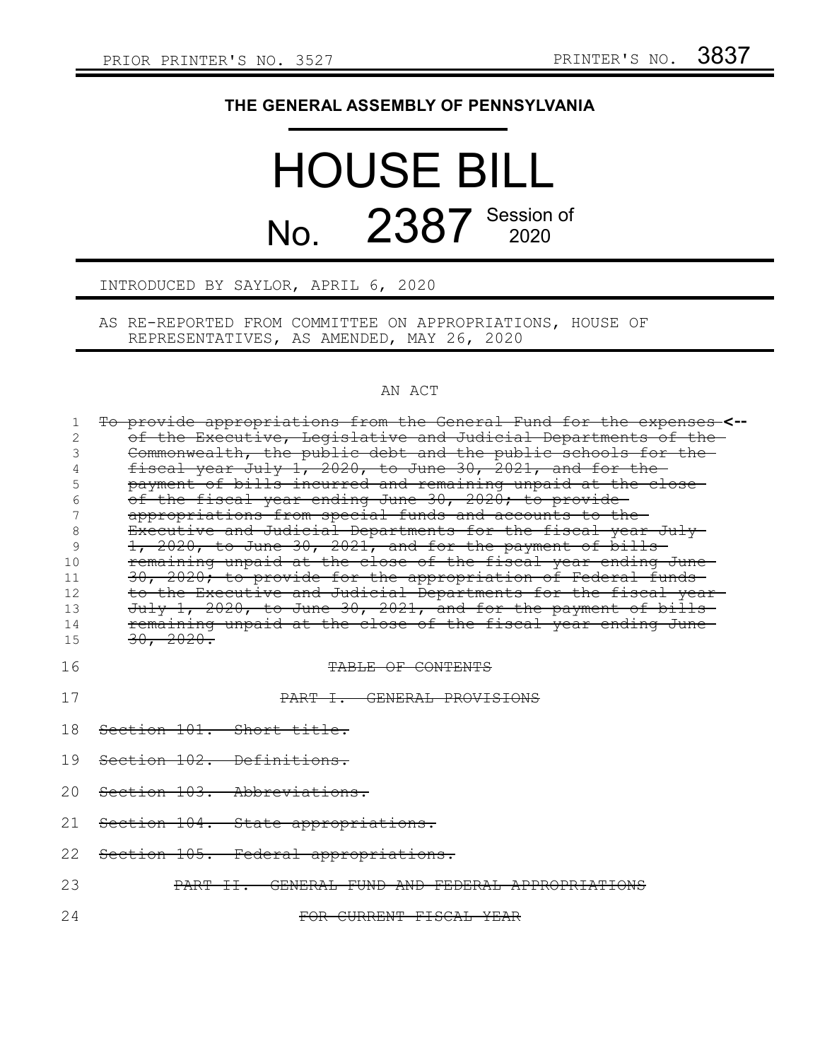## **THE GENERAL ASSEMBLY OF PENNSYLVANIA**

# HOUSE BILL No. 2387 Session of

#### INTRODUCED BY SAYLOR, APRIL 6, 2020

AS RE-REPORTED FROM COMMITTEE ON APPROPRIATIONS, HOUSE OF REPRESENTATIVES, AS AMENDED, MAY 26, 2020

### AN ACT

| 1  | To provide appropriations from the General Fund for the expenses-<-- |  |  |  |  |
|----|----------------------------------------------------------------------|--|--|--|--|
|    | of the Executive, Legislative and Judicial Departments of the        |  |  |  |  |
|    | Commonwealth, the public debt and the public schools for the-        |  |  |  |  |
|    | fiscal year July 1, 2020, to June 30, 2021, and for the-             |  |  |  |  |
| 5  | payment of bills incurred and remaining unpaid at the close          |  |  |  |  |
| 6  | of the fiscal year ending June 30, 2020; to provide-                 |  |  |  |  |
|    | appropriations from special funds and accounts to the-               |  |  |  |  |
| 8  | Executive and Judicial Departments for the fiscal year July-         |  |  |  |  |
| 9  | 1, 2020, to June 30, 2021, and for the payment of bills-             |  |  |  |  |
| 10 | remaining unpaid at the close of the fiscal year ending June         |  |  |  |  |
| 11 | 30, 2020; to provide for the appropriation of Federal funds          |  |  |  |  |
| 12 | to the Executive and Judicial Departments for the fiscal year-       |  |  |  |  |
| 13 | July 1, 2020, to June 30, 2021, and for the payment of bills-        |  |  |  |  |
| 14 | remaining unpaid at the close of the fiscal year ending June         |  |  |  |  |
| 15 | 30, 2020.                                                            |  |  |  |  |
|    |                                                                      |  |  |  |  |
| 16 | TABLE OF CONTENTS                                                    |  |  |  |  |
| 17 | PART I. GENERAL PROVISIONS                                           |  |  |  |  |
| 18 | Section 101. Short title.                                            |  |  |  |  |
| 19 | Section 102. Definitions.                                            |  |  |  |  |
| 20 | Section 103. Abbreviations.                                          |  |  |  |  |
| 21 | Section 104. State appropriations.                                   |  |  |  |  |
| 22 | Section 105. Federal appropriations.                                 |  |  |  |  |
| 23 | GENERAL FUND AND FEDERAL APPROPRIATIONS<br><del>II.</del>            |  |  |  |  |
| 24 | FOR CURRENT FISCAL YEAR                                              |  |  |  |  |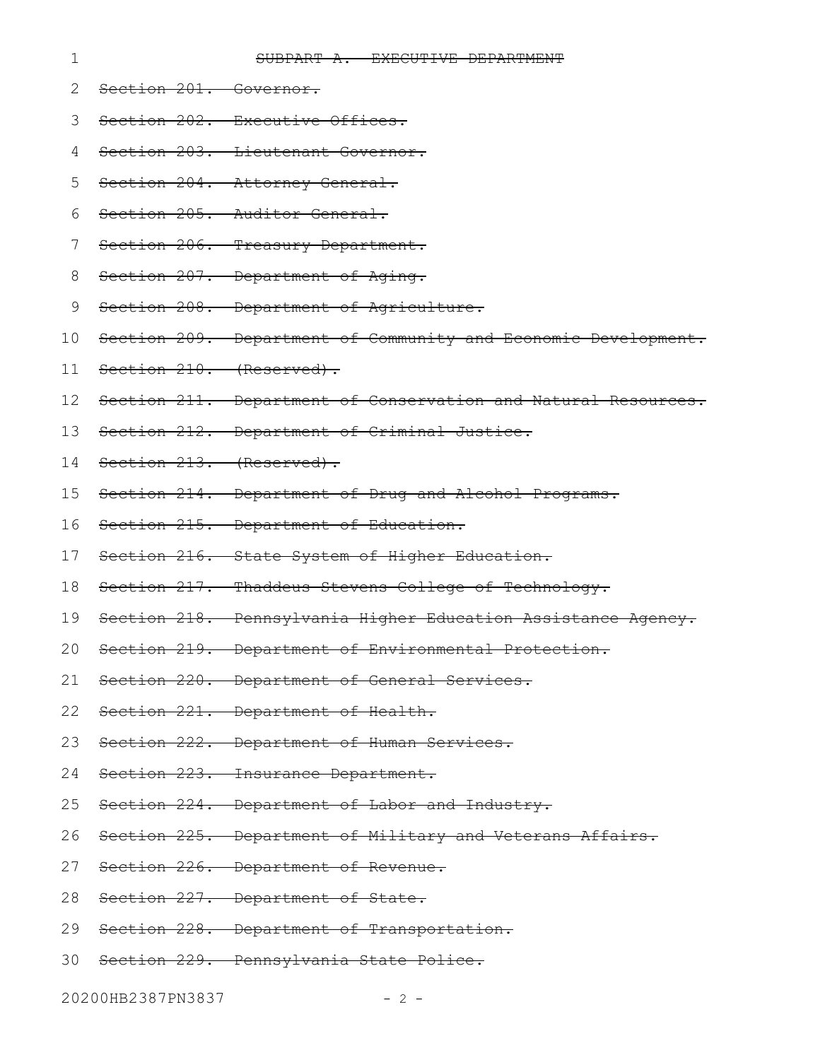#### SUBPART A. EXECUTIVE DEPARTMENT

Section 201. Governor. 2

1

- Section 202. Executive Offices. 3
- Section 203. Lieutenant Governor. 4
- Section 204. Attorney General. 5
- Section 205. Auditor General. 6
- Section 206. Treasury Department. 7
- Section 207. Department of Aging. 8
- Section 208. Department of Agriculture. 9
- Section 209. Department of Community and Economic Development. 10
- Section 210. (Reserved). 11
- 12 Section 211. Department of Conservation and Natural Resources.
- 13 Section 212. Department of Criminal Justice.
- 14 Section 213. (Reserved).
- Section 214. Department of Drug and Alcohol Programs. 15
- Section 215. Department of Education. 16
- 17 Section 216. State System of Higher Education.
- 18 Section 217. Thaddeus Stevens College of Technology.
- Section 218. Pennsylvania Higher Education Assistance Agency. 19
- Section 219. Department of Environmental Protection. 20
- Section 220. Department of General Services. 21
- 22 Section 221. Department of Health.
- 23 Section 222. Department of Human Services.
- 24 Section 223. Insurance Department.
- Section 224. Department of Labor and Industry. 25
- Section 225. Department of Military and Veterans Affairs. 26
- 27 Section 226. Department of Revenue.
- 28 Section 227. Department of State.
- 29 Section 228. Department of Transportation.
- 30 Section 229. Pennsylvania State Police.

20200HB2387PN3837 - 2 -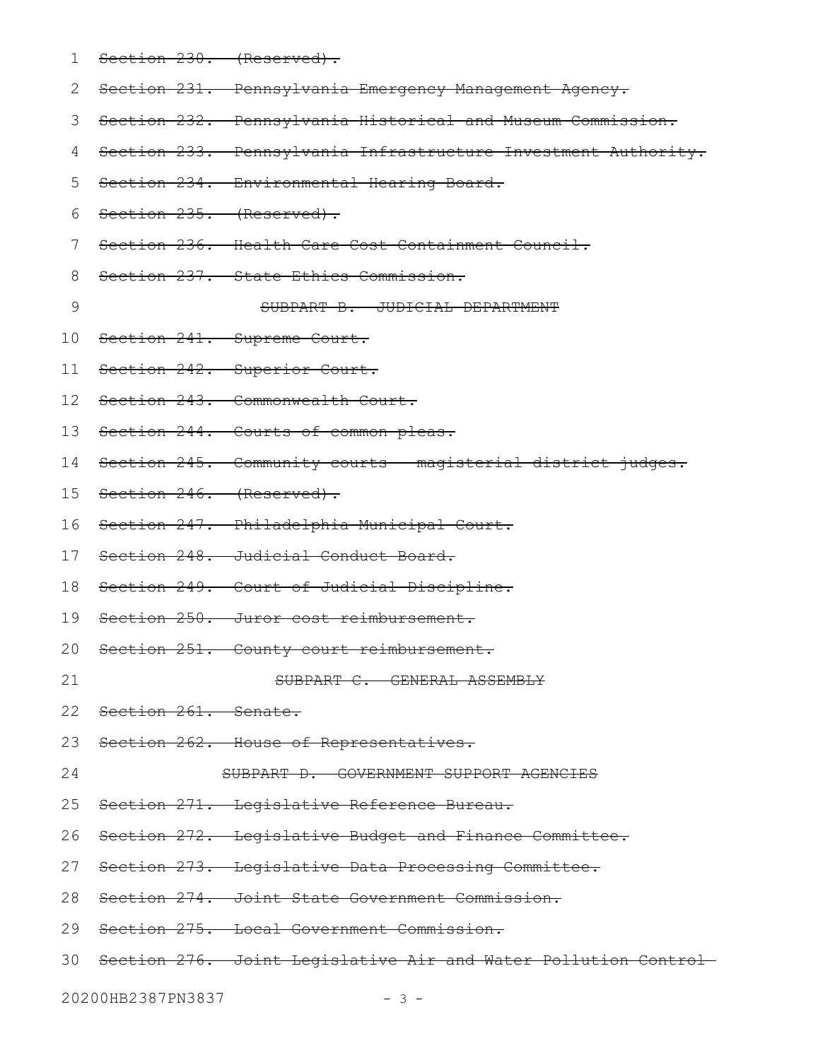Section 230. (Reserved). Section 231. Pennsylvania Emergency Management Agency. Section 232. Pennsylvania Historical and Museum Commission. 3 Section 233. Pennsylvania Infrastructure Investment Authority. Section 234. Environmental Hearing Board. Section 235. (Reserved). Section 236. Health Care Cost Containment Council. Section 237. State Ethics Commission. SUBPART B. JUDICIAL DEPARTMENT Section 241. Supreme Court. Section 242. Superior Court. Section 243. Commonwealth Court. 13 Section 244. Courts of common pleas. 14 Section 245. Community courts - magisterial district judges. 15 Section 246. (Reserved). 16 Section 247. Philadelphia Municipal Court. 17 Section 248. Judicial Conduct Board. 18 Section 249. Court of Judicial Discipline. 19 Section 250. Juror cost reimbursement. 20 Section 251. County court reimbursement. SUBPART C. GENERAL ASSEMBLY 22 Section 261. Senate. 23 Section 262. House of Representatives. SUBPART D. GOVERNMENT SUPPORT AGENCIES Section 271. Legislative Reference Bureau. Section 272. Legislative Budget and Finance Committee. 27 Section 273. Legislative Data Processing Committee. 28 Section 274. Joint State Government Commission. 29 Section 275. Local Government Commission. Section 276. Joint Legislative Air and Water Pollution Control 3020200HB2387PN3837 - 3 -1 2 4 5 6 7 8 9 10 11 12 21 24 25 26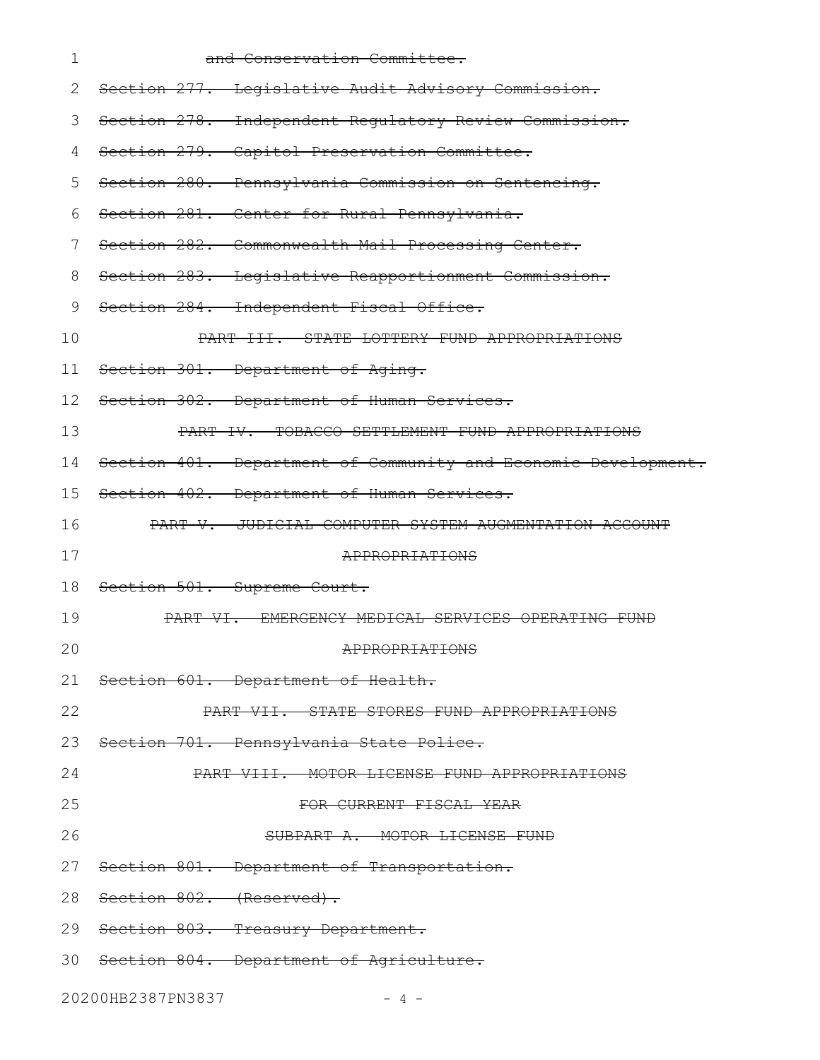| 1  | and Conservation Committee.                                              |
|----|--------------------------------------------------------------------------|
| 2  | Section 277. Legislative Audit Advisory Commission.                      |
| 3  | Section 278. Independent Regulatory Review Commission.                   |
| 4  | Section 279. Capitol Preservation Committee.                             |
| 5  | Section 280. Pennsylvania Commission on Sentencing.                      |
| 6  | Section 281. Center for Rural Pennsylvania.                              |
| 7  | Section 282. Commonwealth Mail Processing Center.                        |
| 8  | Section 283. Legislative Reapportionment Commission.                     |
| 9  | Section 284. Independent Fiscal Office.                                  |
| 10 | PART III. STATE LOTTERY FUND APPROPRIATIONS                              |
| 11 | Section 301. Department of Aging.                                        |
| 12 | Section 302. Department of Human Services.                               |
| 13 | PART IV. TOBACCO SETTLEMENT FUND APPROPRIATIONS                          |
| 14 | Section 401. Department of Community and Economic Development.           |
| 15 | Section 402. Department of Human Services.                               |
| 16 | PART V. JUDICIAL COMPUTER SYSTEM AUGMENTATION ACCOUNT                    |
| 17 | APPROPRIATIONS                                                           |
| 18 | Section 501. Supreme Court.                                              |
| 19 | <u>-EMERGENCY MEDICAL SERVICES OPERATING FUND</u><br><del>PART VI.</del> |
| 20 | APPROPRIATIONS                                                           |
| 21 | Section 601. Department of Health.                                       |
| 22 | PART VII. STATE STORES FUND APPROPRIATIONS                               |
| 23 | Section 701. Pennsylvania State Police.                                  |
| 24 | PART VIII. MOTOR LICENSE FUND APPROPRIATIONS                             |
| 25 | FOR CURRENT FISCAL YEAR                                                  |
| 26 | SUBPART A. MOTOR LICENSE FUND                                            |
|    | 27 Section 801. Department of Transportation.                            |
| 28 | <del>Section 802. (Reserved).</del>                                      |
|    | 29 Section 803. Treasury Department.                                     |
|    | 30 Section 804. Department of Agriculture.                               |
|    | 20200HB2387PN3837<br>$-4-$                                               |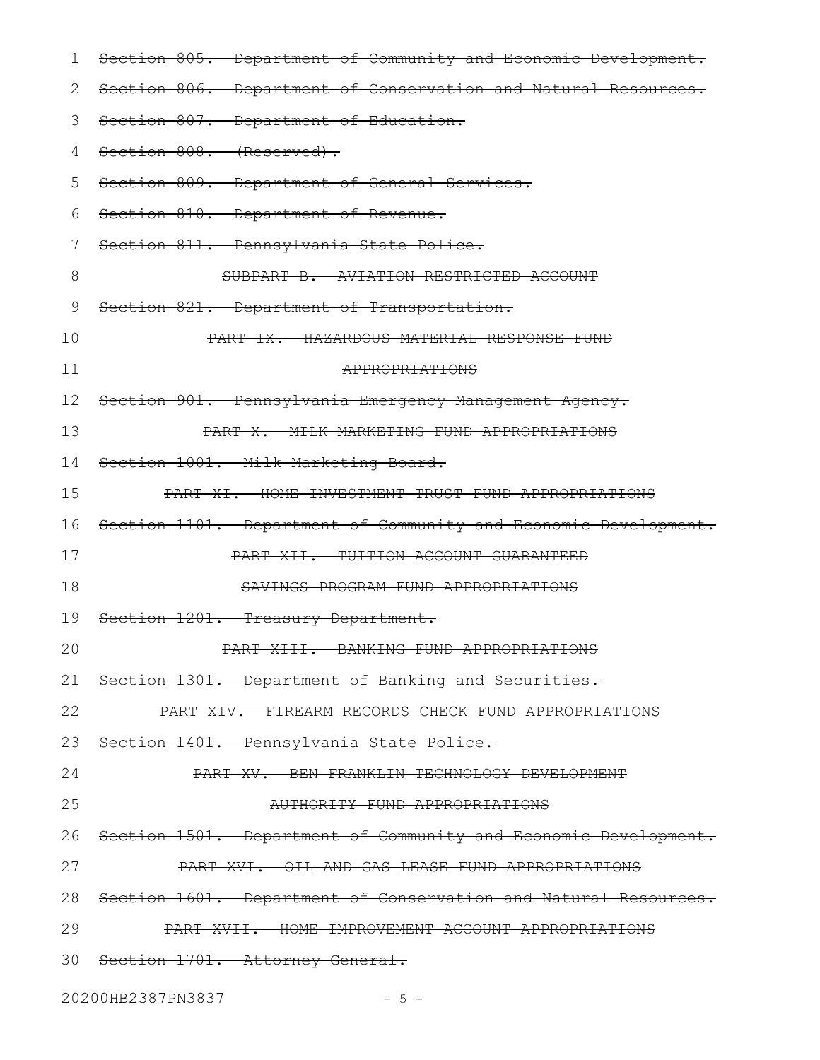| 1               | Section 805. Department of Community and Economic Development.     |
|-----------------|--------------------------------------------------------------------|
| 2               | Section 806. Department of Conservation and Natural Resources.     |
| 3               | Section 807. Department of Education.                              |
| 4               | Section 808. (Reserved).                                           |
| 5               | Section 809. Department of General Services.                       |
| 6               | Section 810. Department of Revenue.                                |
| 7               | Section 811. Pennsylvania State Police.                            |
| 8               | SUBPART B. AVIATION RESTRICTED ACCOUNT                             |
| 9               | Section 821. Department of Transportation.                         |
| 10              | PART IX. HAZARDOUS MATERIAL RESPONSE FUND                          |
| 11              | APPROPRIATIONS                                                     |
| 12 <sup>°</sup> | Section 901. Pennsylvania Emergency Management Agency.             |
| 13              | PART X. MILK MARKETING FUND APPROPRIATIONS                         |
| 14              | Section 1001. Milk Marketing Board.                                |
| 15              | PART XI. HOME INVESTMENT TRUST FUND APPROPRIATIONS                 |
| 16              | Section 1101. Department of Community and Economic Development.    |
| 17              | PART XII. TUITION ACCOUNT GUARANTEED                               |
| 18              | SAVINGS PROGRAM FUND APPROPRIATIONS                                |
| 19              | Section 1201. Treasury Department.                                 |
| 20              | PART XIII. BANKING FUND APPROPRIATIONS                             |
|                 | 21 Section 1301. Department of Banking and Securities.             |
| 22              | PART XIV. FIREARM RECORDS CHECK FUND APPROPRIATIONS                |
|                 | 23 Section 1401. Pennsylvania State Police.                        |
| 24              | PART XV. BEN FRANKLIN TECHNOLOGY DEVELOPMENT                       |
| 25              | AUTHORITY FUND APPROPRIATIONS                                      |
| 26              | Section 1501. Department of Community and Economic Development.    |
| 27              | PART XVI. OIL AND GAS LEASE FUND APPROPRIATIONS                    |
|                 | 28 Section 1601. Department of Conservation and Natural Resources. |
| 29              | PART XVII. HOME IMPROVEMENT ACCOUNT APPROPRIATIONS                 |
|                 | 30 Section 1701. Attorney General.                                 |
|                 | 20200HB2387PN3837<br>$-5 -$                                        |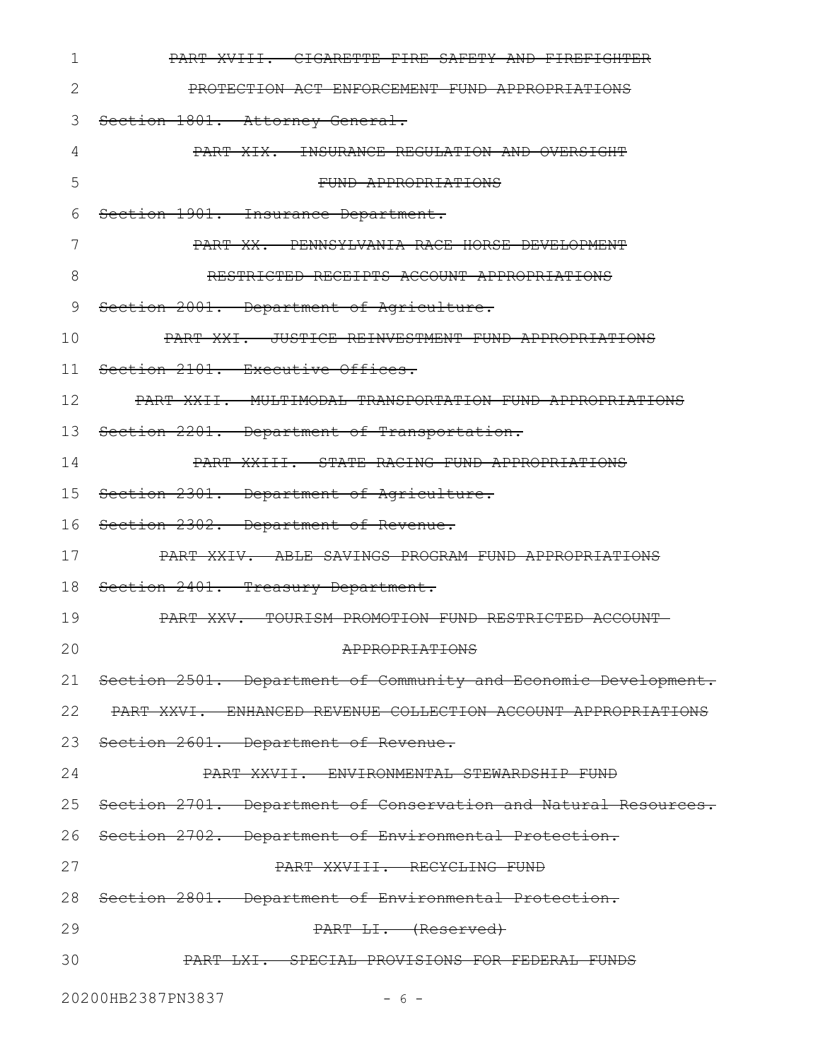| 1            | PART XVIII. CIGARETTE FIRE SAFETY AND FIREFIGHTER               |
|--------------|-----------------------------------------------------------------|
| $\mathbf{2}$ | PROTECTION ACT ENFORCEMENT FUND APPROPRIATIONS                  |
| 3            | Section 1801. Attorney General.                                 |
| 4            | PART XIX. INSURANCE REGULATION AND OVERSIGHT                    |
| 5            | FUND APPROPRIATIONS                                             |
| 6            | Section 1901. Insurance Department.                             |
| 7            | PART XX. PENNSYLVANIA RACE HORSE DEVELOPMENT                    |
| 8            | RESTRICTED RECEIPTS ACCOUNT APPROPRIATIONS                      |
| 9            | Section 2001. Department of Agriculture.                        |
| 10           | PART XXI. JUSTICE REINVESTMENT FUND APPROPRIATIONS              |
| 11           | Section 2101. Executive Offices.                                |
| 12           | PART XXII. MULTIMODAL TRANSPORTATION FUND APPROPRIATIONS        |
| 13           | Section 2201. Department of Transportation.                     |
| 14           | PART XXIII. STATE RACING FUND APPROPRIATIONS                    |
| 15           | Section 2301. Department of Agriculture.                        |
| 16           | Section 2302. Department of Revenue.                            |
| 17           | PART XXIV. ABLE SAVINGS PROGRAM FUND APPROPRIATIONS             |
| 18           | Section 2401. Treasury Department.                              |
| 19           | PART XXV. TOURISM PROMOTION FUND RESTRICTED ACCOUNT             |
| 20           | APPROPRIATIONS                                                  |
| 21           | Section 2501. Department of Community and Economic Development. |
| 22           | PART XXVI. ENHANCED REVENUE COLLECTION ACCOUNT APPROPRIATIONS   |
| 23           | Section 2601. Department of Revenue.                            |
| 24           | PART XXVII. ENVIRONMENTAL STEWARDSHIP FUND                      |
| 25           | Section 2701. Department of Conservation and Natural Resources. |
|              | 26 Section 2702. Department of Environmental Protection.        |
| 27           | PART XXVIII. RECYCLING FUND                                     |
| 28           | Section 2801. Department of Environmental Protection.           |
| 29           | PART LI. (Reserved)                                             |
| 30           | PART LXI. SPECIAL PROVISIONS FOR FEDERAL FUNDS                  |
|              | 20200HB2387PN3837<br>$-6-$                                      |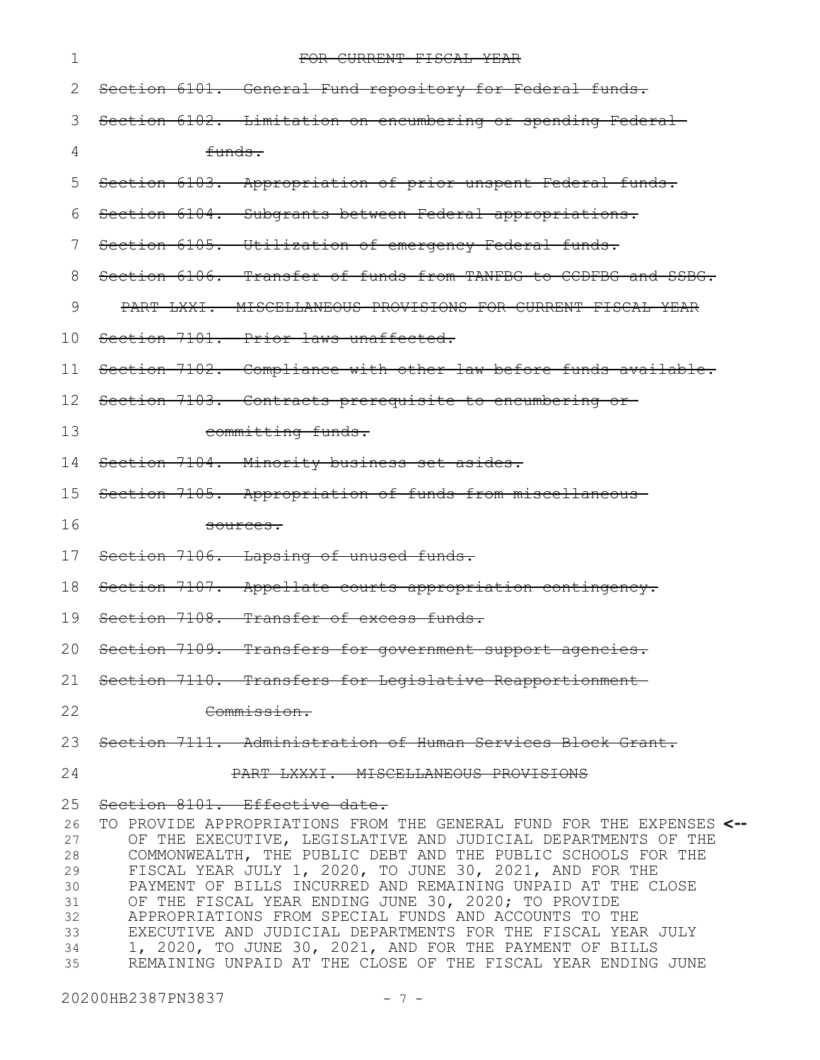| 1                                                              | FOR CURRENT FISCAL YEAR                                                                                                                                                                                                                                                                                                                                                                                                                                                                                                                                                                                                                                                    |  |  |  |  |  |
|----------------------------------------------------------------|----------------------------------------------------------------------------------------------------------------------------------------------------------------------------------------------------------------------------------------------------------------------------------------------------------------------------------------------------------------------------------------------------------------------------------------------------------------------------------------------------------------------------------------------------------------------------------------------------------------------------------------------------------------------------|--|--|--|--|--|
| 2                                                              | Section 6101. General Fund repository for Federal funds.                                                                                                                                                                                                                                                                                                                                                                                                                                                                                                                                                                                                                   |  |  |  |  |  |
| 3                                                              | Section 6102. Limitation on encumbering or spending Federal                                                                                                                                                                                                                                                                                                                                                                                                                                                                                                                                                                                                                |  |  |  |  |  |
| 4                                                              | funds.                                                                                                                                                                                                                                                                                                                                                                                                                                                                                                                                                                                                                                                                     |  |  |  |  |  |
| 5                                                              | Section 6103. Appropriation of prior unspent Federal funds.                                                                                                                                                                                                                                                                                                                                                                                                                                                                                                                                                                                                                |  |  |  |  |  |
| 6                                                              | Section 6104. Subgrants between Federal appropriations.                                                                                                                                                                                                                                                                                                                                                                                                                                                                                                                                                                                                                    |  |  |  |  |  |
| 7                                                              | Section 6105. Utilization of emergency Federal funds.                                                                                                                                                                                                                                                                                                                                                                                                                                                                                                                                                                                                                      |  |  |  |  |  |
| 8                                                              | Section 6106. Transfer of funds from TANFBG to CCDFBG and SSBG.                                                                                                                                                                                                                                                                                                                                                                                                                                                                                                                                                                                                            |  |  |  |  |  |
| 9                                                              | PART LXXI. MISCELLANEOUS PROVISIONS FOR CURRENT FISCAL YEAR                                                                                                                                                                                                                                                                                                                                                                                                                                                                                                                                                                                                                |  |  |  |  |  |
| 10                                                             | Section 7101. Prior laws unaffected.                                                                                                                                                                                                                                                                                                                                                                                                                                                                                                                                                                                                                                       |  |  |  |  |  |
| 11                                                             | Section 7102. Compliance with other law before funds available.                                                                                                                                                                                                                                                                                                                                                                                                                                                                                                                                                                                                            |  |  |  |  |  |
| 12                                                             | Section 7103. Contracts prerequisite to encumbering or-                                                                                                                                                                                                                                                                                                                                                                                                                                                                                                                                                                                                                    |  |  |  |  |  |
| 13                                                             | committing funds.                                                                                                                                                                                                                                                                                                                                                                                                                                                                                                                                                                                                                                                          |  |  |  |  |  |
| 14                                                             | Section 7104. Minority business set asides.                                                                                                                                                                                                                                                                                                                                                                                                                                                                                                                                                                                                                                |  |  |  |  |  |
| 15                                                             | Section 7105. Appropriation of funds from miscellaneous-                                                                                                                                                                                                                                                                                                                                                                                                                                                                                                                                                                                                                   |  |  |  |  |  |
| 16                                                             | <del>sources.</del>                                                                                                                                                                                                                                                                                                                                                                                                                                                                                                                                                                                                                                                        |  |  |  |  |  |
| 17                                                             | Section 7106. Lapsing of unused funds.                                                                                                                                                                                                                                                                                                                                                                                                                                                                                                                                                                                                                                     |  |  |  |  |  |
| 18                                                             | Section 7107. Appellate courts appropriation contingency.                                                                                                                                                                                                                                                                                                                                                                                                                                                                                                                                                                                                                  |  |  |  |  |  |
| 19                                                             | Section 7108. Transfer of excess funds.                                                                                                                                                                                                                                                                                                                                                                                                                                                                                                                                                                                                                                    |  |  |  |  |  |
|                                                                | 20 Section 7109. Transfers for government support agencies.                                                                                                                                                                                                                                                                                                                                                                                                                                                                                                                                                                                                                |  |  |  |  |  |
|                                                                | 21 Section 7110. Transfers for Legislative Reapportionment                                                                                                                                                                                                                                                                                                                                                                                                                                                                                                                                                                                                                 |  |  |  |  |  |
| 22                                                             | Commission.                                                                                                                                                                                                                                                                                                                                                                                                                                                                                                                                                                                                                                                                |  |  |  |  |  |
| 23                                                             | Section 7111. Administration of Human Services Block Grant.                                                                                                                                                                                                                                                                                                                                                                                                                                                                                                                                                                                                                |  |  |  |  |  |
| 24                                                             | PART LXXXI. MISCELLANEOUS PROVISIONS                                                                                                                                                                                                                                                                                                                                                                                                                                                                                                                                                                                                                                       |  |  |  |  |  |
| 25<br>26<br>27<br>28<br>29<br>30<br>31<br>32<br>33<br>34<br>35 | Section 8101. Effective date.<br>TO PROVIDE APPROPRIATIONS FROM THE GENERAL FUND FOR THE EXPENSES <--<br>OF THE EXECUTIVE, LEGISLATIVE AND JUDICIAL DEPARTMENTS OF THE<br>COMMONWEALTH, THE PUBLIC DEBT AND THE PUBLIC SCHOOLS FOR THE<br>FISCAL YEAR JULY 1, 2020, TO JUNE 30, 2021, AND FOR THE<br>PAYMENT OF BILLS INCURRED AND REMAINING UNPAID AT THE CLOSE<br>OF THE FISCAL YEAR ENDING JUNE 30, 2020; TO PROVIDE<br>APPROPRIATIONS FROM SPECIAL FUNDS AND ACCOUNTS TO THE<br>EXECUTIVE AND JUDICIAL DEPARTMENTS FOR THE FISCAL YEAR JULY<br>1, 2020, TO JUNE 30, 2021, AND FOR THE PAYMENT OF BILLS<br>REMAINING UNPAID AT THE CLOSE OF THE FISCAL YEAR ENDING JUNE |  |  |  |  |  |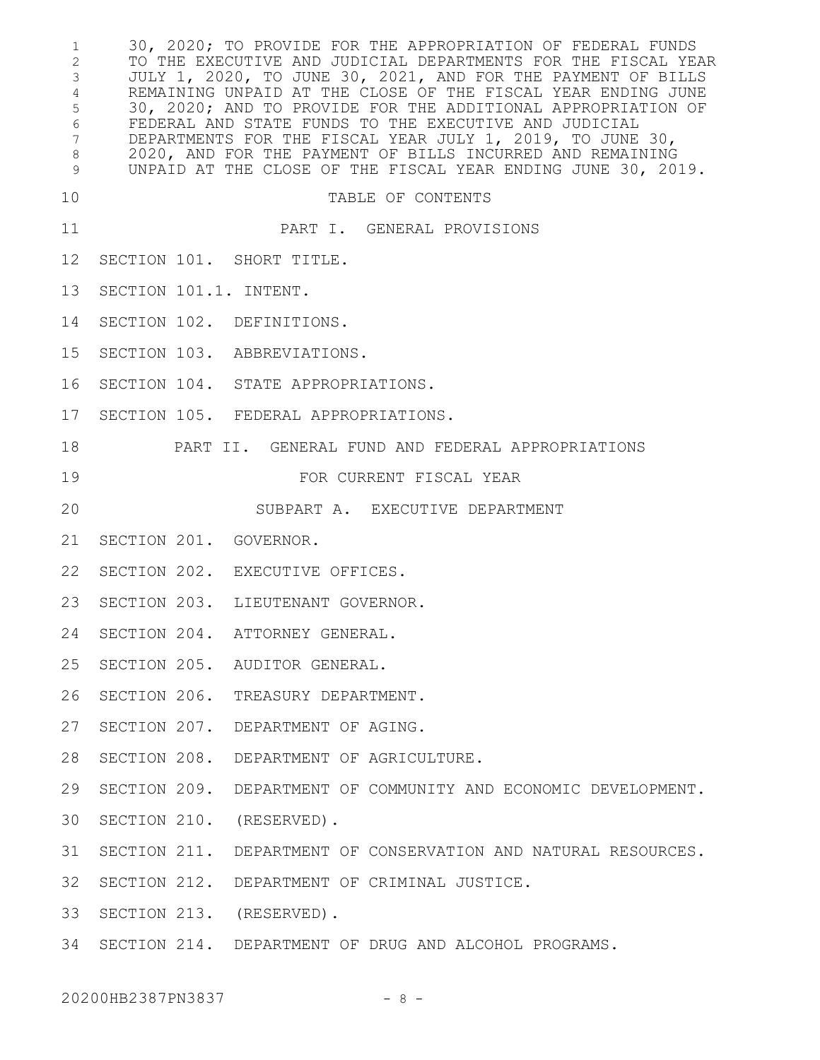30, 2020; TO PROVIDE FOR THE APPROPRIATION OF FEDERAL FUNDS TO THE EXECUTIVE AND JUDICIAL DEPARTMENTS FOR THE FISCAL YEAR JULY 1, 2020, TO JUNE 30, 2021, AND FOR THE PAYMENT OF BILLS REMAINING UNPAID AT THE CLOSE OF THE FISCAL YEAR ENDING JUNE 30, 2020; AND TO PROVIDE FOR THE ADDITIONAL APPROPRIATION OF FEDERAL AND STATE FUNDS TO THE EXECUTIVE AND JUDICIAL DEPARTMENTS FOR THE FISCAL YEAR JULY 1, 2019, TO JUNE 30, 2020, AND FOR THE PAYMENT OF BILLS INCURRED AND REMAINING UNPAID AT THE CLOSE OF THE FISCAL YEAR ENDING JUNE 30, 2019. TABLE OF CONTENTS PART I. GENERAL PROVISIONS SECTION 101. SHORT TITLE. SECTION 101.1. INTENT. SECTION 102. DEFINITIONS. SECTION 103. ABBREVIATIONS. SECTION 104. STATE APPROPRIATIONS. SECTION 105. FEDERAL APPROPRIATIONS. PART II. GENERAL FUND AND FEDERAL APPROPRIATIONS FOR CURRENT FISCAL YEAR SUBPART A. EXECUTIVE DEPARTMENT SECTION 201. GOVERNOR. SECTION 202. EXECUTIVE OFFICES. SECTION 203. LIEUTENANT GOVERNOR. SECTION 204. ATTORNEY GENERAL. SECTION 205. AUDITOR GENERAL. SECTION 206. TREASURY DEPARTMENT. SECTION 207. DEPARTMENT OF AGING. SECTION 208. DEPARTMENT OF AGRICULTURE. SECTION 209. DEPARTMENT OF COMMUNITY AND ECONOMIC DEVELOPMENT. SECTION 210. (RESERVED). SECTION 211. DEPARTMENT OF CONSERVATION AND NATURAL RESOURCES. SECTION 212. DEPARTMENT OF CRIMINAL JUSTICE. SECTION 213. (RESERVED). SECTION 214. DEPARTMENT OF DRUG AND ALCOHOL PROGRAMS. 1 2 3 4 5 6 7 8 9 10 11 12 13 14 15 16 17 18 19 20 21 22 23 24 25 26 27 28 29 30 31 32 33 34

20200HB2387PN3837 - 8 -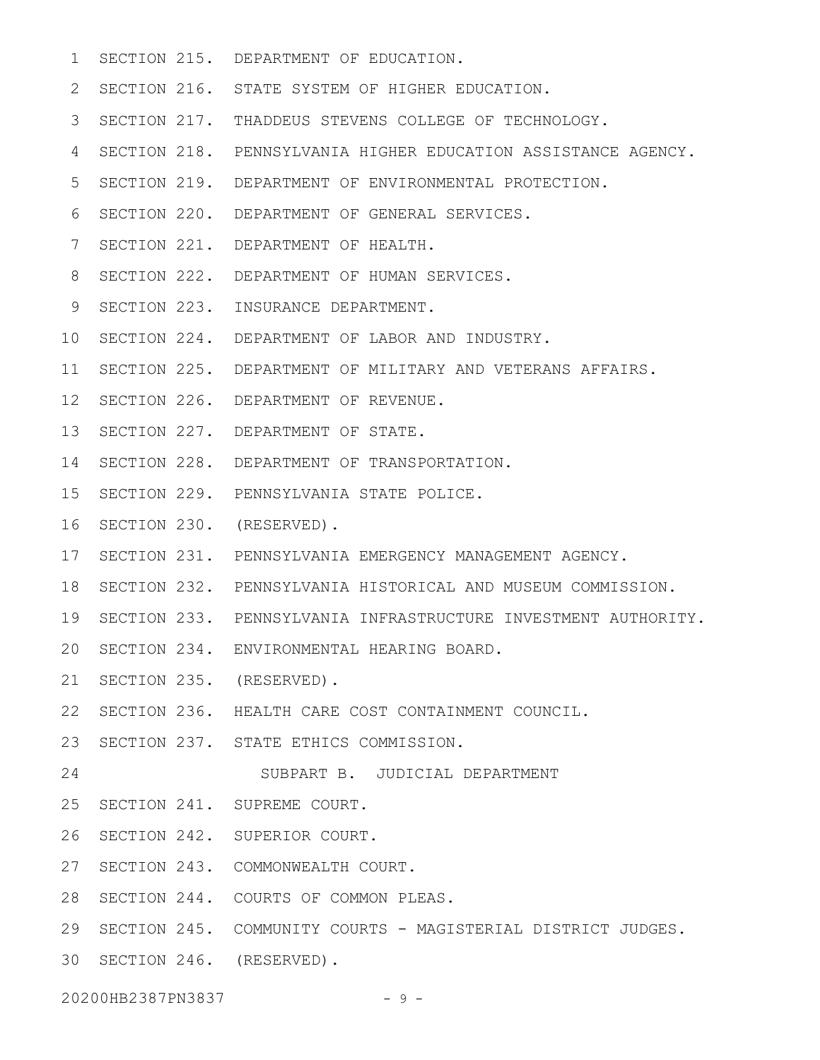- SECTION 215. DEPARTMENT OF EDUCATION. 1
- 2 SECTION 216. STATE SYSTEM OF HIGHER EDUCATION.
- SECTION 217. THADDEUS STEVENS COLLEGE OF TECHNOLOGY. 3
- SECTION 218. PENNSYLVANIA HIGHER EDUCATION ASSISTANCE AGENCY. 4
- SECTION 219. DEPARTMENT OF ENVIRONMENTAL PROTECTION. 5
- 6 SECTION 220. DEPARTMENT OF GENERAL SERVICES.
- 7 SECTION 221. DEPARTMENT OF HEALTH.
- 8 SECTION 222. DEPARTMENT OF HUMAN SERVICES.
- 9 SECTION 223. INSURANCE DEPARTMENT.
- 10 SECTION 224. DEPARTMENT OF LABOR AND INDUSTRY.
- SECTION 225. DEPARTMENT OF MILITARY AND VETERANS AFFAIRS. 11
- 12 SECTION 226. DEPARTMENT OF REVENUE.
- 13 SECTION 227. DEPARTMENT OF STATE.
- 14 SECTION 228. DEPARTMENT OF TRANSPORTATION.
- 15 SECTION 229. PENNSYLVANIA STATE POLICE.
- 16 SECTION 230. (RESERVED).
- SECTION 231. PENNSYLVANIA EMERGENCY MANAGEMENT AGENCY. 17
- 18 SECTION 232. PENNSYLVANIA HISTORICAL AND MUSEUM COMMISSION.
- 19 SECTION 233. PENNSYLVANIA INFRASTRUCTURE INVESTMENT AUTHORITY.
- 20 SECTION 234. ENVIRONMENTAL HEARING BOARD.
- 21 SECTION 235. (RESERVED).
- 22 SECTION 236. HEALTH CARE COST CONTAINMENT COUNCIL.
- 23 SECTION 237. STATE ETHICS COMMISSION.
- SUBPART B. JUDICIAL DEPARTMENT 24
- 25 SECTION 241. SUPREME COURT.
- 26 SECTION 242. SUPERIOR COURT.
- 27 SECTION 243. COMMONWEALTH COURT.
- 28 SECTION 244. COURTS OF COMMON PLEAS.
- 29 SECTION 245. COMMUNITY COURTS MAGISTERIAL DISTRICT JUDGES.
- 30 SECTION 246. (RESERVED).

20200HB2387PN3837 - 9 -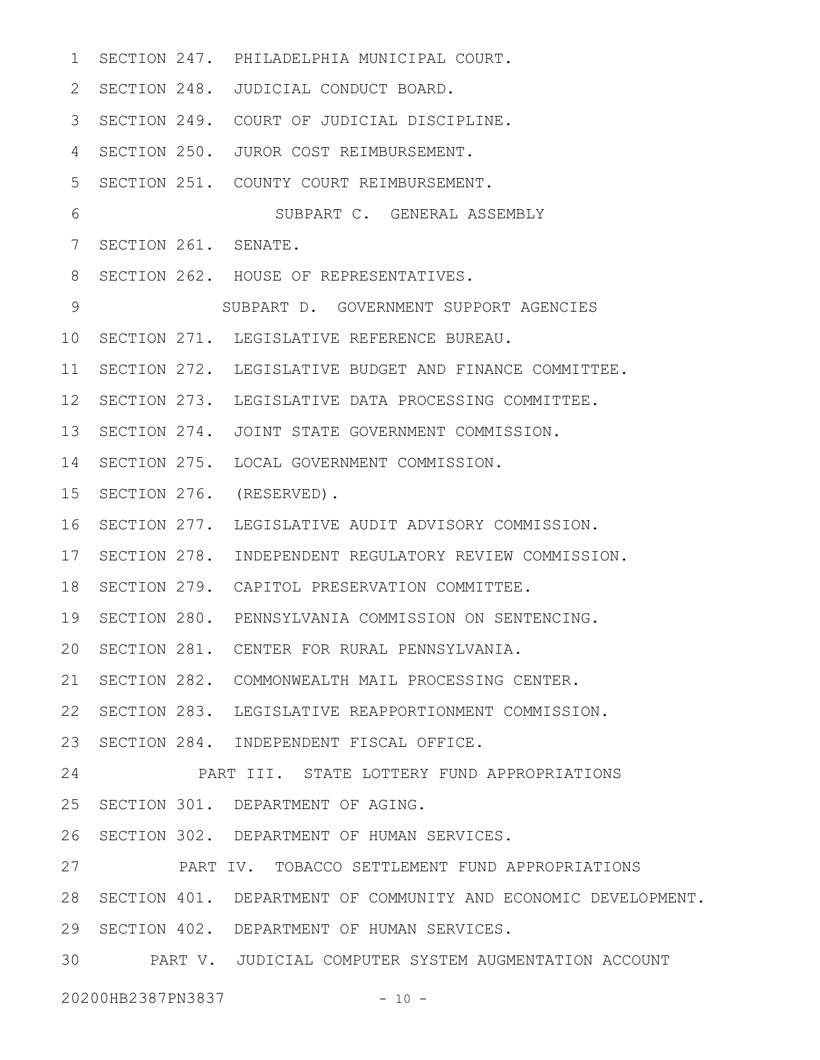| 1           |                      | SECTION 247. PHILADELPHIA MUNICIPAL COURT.                     |
|-------------|----------------------|----------------------------------------------------------------|
| 2           |                      | SECTION 248. JUDICIAL CONDUCT BOARD.                           |
| 3           |                      | SECTION 249. COURT OF JUDICIAL DISCIPLINE.                     |
| 4           |                      | SECTION 250. JUROR COST REIMBURSEMENT.                         |
| 5           |                      | SECTION 251. COUNTY COURT REIMBURSEMENT.                       |
| 6           |                      | SUBPART C. GENERAL ASSEMBLY                                    |
| 7           | SECTION 261. SENATE. |                                                                |
| 8           |                      | SECTION 262. HOUSE OF REPRESENTATIVES.                         |
| $\mathsf 9$ |                      | SUBPART D. GOVERNMENT SUPPORT AGENCIES                         |
| 10          |                      | SECTION 271. LEGISLATIVE REFERENCE BUREAU.                     |
| 11          |                      | SECTION 272. LEGISLATIVE BUDGET AND FINANCE COMMITTEE.         |
| 12          |                      | SECTION 273. LEGISLATIVE DATA PROCESSING COMMITTEE.            |
| 13          |                      | SECTION 274. JOINT STATE GOVERNMENT COMMISSION.                |
| 14          |                      | SECTION 275. LOCAL GOVERNMENT COMMISSION.                      |
| 15          |                      | SECTION 276. (RESERVED).                                       |
| 16          |                      | SECTION 277. LEGISLATIVE AUDIT ADVISORY COMMISSION.            |
| 17          |                      | SECTION 278. INDEPENDENT REGULATORY REVIEW COMMISSION.         |
| 18          |                      | SECTION 279. CAPITOL PRESERVATION COMMITTEE.                   |
| 19          |                      | SECTION 280. PENNSYLVANIA COMMISSION ON SENTENCING.            |
|             |                      | 20 SECTION 281. CENTER FOR RURAL PENNSYLVANIA.                 |
| 21          |                      | SECTION 282. COMMONWEALTH MAIL PROCESSING CENTER.              |
| 22          |                      | SECTION 283. LEGISLATIVE REAPPORTIONMENT COMMISSION.           |
| 23          |                      | SECTION 284. INDEPENDENT FISCAL OFFICE.                        |
| 24          |                      | PART III. STATE LOTTERY FUND APPROPRIATIONS                    |
| 25          |                      | SECTION 301. DEPARTMENT OF AGING.                              |
| 26          |                      | SECTION 302. DEPARTMENT OF HUMAN SERVICES.                     |
| 27          |                      | PART IV. TOBACCO SETTLEMENT FUND APPROPRIATIONS                |
| 28          |                      | SECTION 401. DEPARTMENT OF COMMUNITY AND ECONOMIC DEVELOPMENT. |
| 29          |                      | SECTION 402. DEPARTMENT OF HUMAN SERVICES.                     |
| 30          |                      | PART V. JUDICIAL COMPUTER SYSTEM AUGMENTATION ACCOUNT          |
|             |                      |                                                                |

20200HB2387PN3837 - 10 -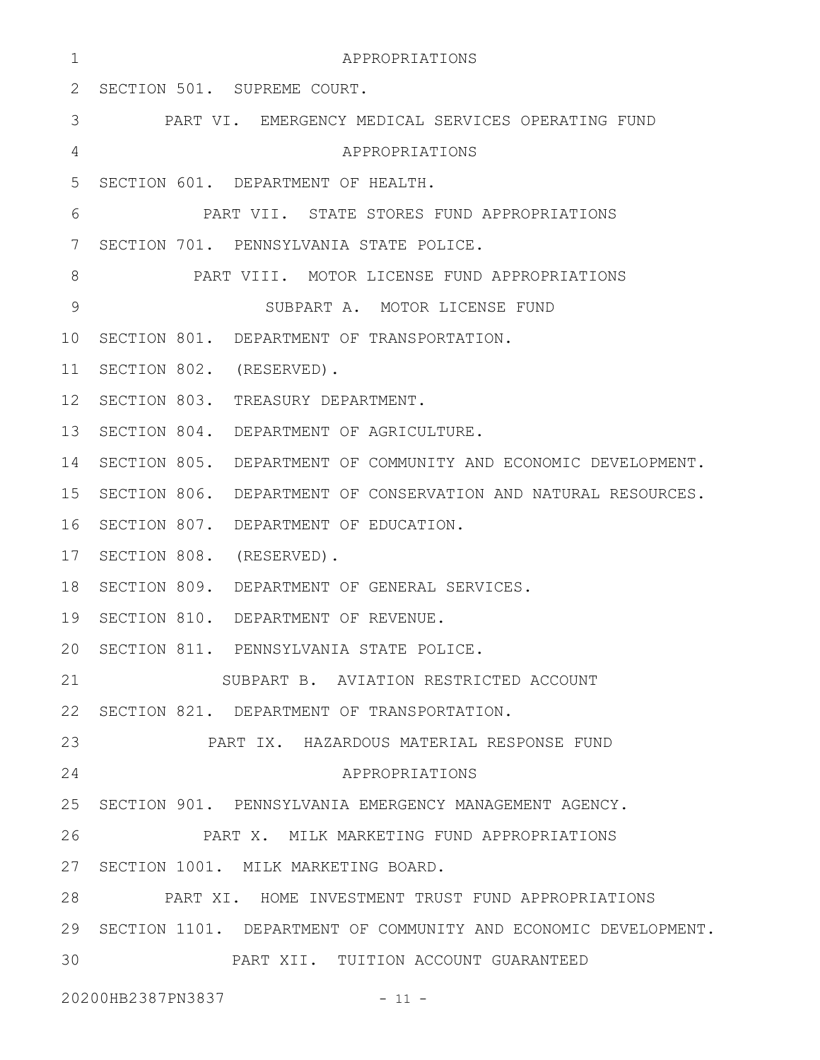| 1               | APPROPRIATIONS                                                     |  |
|-----------------|--------------------------------------------------------------------|--|
| 2               | SECTION 501. SUPREME COURT.                                        |  |
| 3               | PART VI. EMERGENCY MEDICAL SERVICES OPERATING FUND                 |  |
| 4               | APPROPRIATIONS                                                     |  |
| 5               | SECTION 601. DEPARTMENT OF HEALTH.                                 |  |
| 6               | PART VII. STATE STORES FUND APPROPRIATIONS                         |  |
| 7               | SECTION 701. PENNSYLVANIA STATE POLICE.                            |  |
| 8               | PART VIII. MOTOR LICENSE FUND APPROPRIATIONS                       |  |
| $\mathsf 9$     | SUBPART A. MOTOR LICENSE FUND                                      |  |
| 10              | SECTION 801. DEPARTMENT OF TRANSPORTATION.                         |  |
| 11              | SECTION 802. (RESERVED).                                           |  |
| 12 <sup>°</sup> | SECTION 803. TREASURY DEPARTMENT.                                  |  |
| 13              | SECTION 804. DEPARTMENT OF AGRICULTURE.                            |  |
| 14              | SECTION 805. DEPARTMENT OF COMMUNITY AND ECONOMIC DEVELOPMENT.     |  |
| 15              | SECTION 806. DEPARTMENT OF CONSERVATION AND NATURAL RESOURCES.     |  |
| 16              | SECTION 807. DEPARTMENT OF EDUCATION.                              |  |
| 17              | SECTION 808. (RESERVED).                                           |  |
| 18              | SECTION 809. DEPARTMENT OF GENERAL SERVICES.                       |  |
| 19              | SECTION 810. DEPARTMENT OF REVENUE.                                |  |
| 20              | SECTION 811. PENNSYLVANIA STATE POLICE.                            |  |
| 21              | SUBPART B. AVIATION RESTRICTED ACCOUNT                             |  |
| 22              | SECTION 821. DEPARTMENT OF TRANSPORTATION.                         |  |
| 23              | PART IX. HAZARDOUS MATERIAL RESPONSE FUND                          |  |
| 24              | APPROPRIATIONS                                                     |  |
| 25              | SECTION 901. PENNSYLVANIA EMERGENCY MANAGEMENT AGENCY.             |  |
| 26              | PART X. MILK MARKETING FUND APPROPRIATIONS                         |  |
|                 | 27 SECTION 1001. MILK MARKETING BOARD.                             |  |
| 28              | PART XI. HOME INVESTMENT TRUST FUND APPROPRIATIONS                 |  |
|                 | 29 SECTION 1101. DEPARTMENT OF COMMUNITY AND ECONOMIC DEVELOPMENT. |  |
| 30              | PART XII. TUITION ACCOUNT GUARANTEED                               |  |
|                 | 20200HB2387PN3837<br>$-11 -$                                       |  |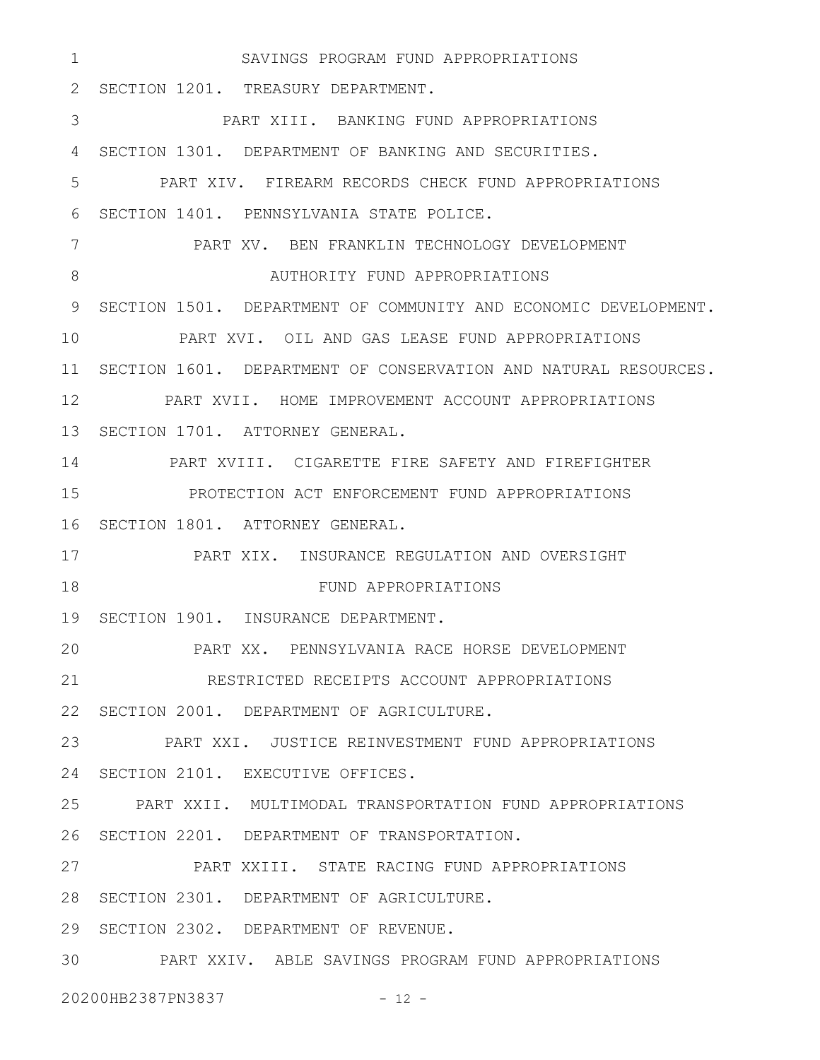SAVINGS PROGRAM FUND APPROPRIATIONS 2 SECTION 1201. TREASURY DEPARTMENT. PART XIII. BANKING FUND APPROPRIATIONS SECTION 1301. DEPARTMENT OF BANKING AND SECURITIES. 4 PART XIV. FIREARM RECORDS CHECK FUND APPROPRIATIONS 6 SECTION 1401. PENNSYLVANIA STATE POLICE. PART XV. BEN FRANKLIN TECHNOLOGY DEVELOPMENT AUTHORITY FUND APPROPRIATIONS 9 SECTION 1501. DEPARTMENT OF COMMUNITY AND ECONOMIC DEVELOPMENT. PART XVI. OIL AND GAS LEASE FUND APPROPRIATIONS SECTION 1601. DEPARTMENT OF CONSERVATION AND NATURAL RESOURCES. 11 PART XVII. HOME IMPROVEMENT ACCOUNT APPROPRIATIONS 13 SECTION 1701. ATTORNEY GENERAL. PART XVIII. CIGARETTE FIRE SAFETY AND FIREFIGHTER PROTECTION ACT ENFORCEMENT FUND APPROPRIATIONS 16 SECTION 1801. ATTORNEY GENERAL. PART XIX. INSURANCE REGULATION AND OVERSIGHT FUND APPROPRIATIONS 19 SECTION 1901. INSURANCE DEPARTMENT. PART XX. PENNSYLVANIA RACE HORSE DEVELOPMENT RESTRICTED RECEIPTS ACCOUNT APPROPRIATIONS 22 SECTION 2001. DEPARTMENT OF AGRICULTURE. PART XXI. JUSTICE REINVESTMENT FUND APPROPRIATIONS 24 SECTION 2101. EXECUTIVE OFFICES. PART XXII. MULTIMODAL TRANSPORTATION FUND APPROPRIATIONS 26 SECTION 2201. DEPARTMENT OF TRANSPORTATION. PART XXIII. STATE RACING FUND APPROPRIATIONS 28 SECTION 2301. DEPARTMENT OF AGRICULTURE. 29 SECTION 2302. DEPARTMENT OF REVENUE. PART XXIV. ABLE SAVINGS PROGRAM FUND APPROPRIATIONS 301 3 5 7 8 10 12 14 15 17 18 20 21 23 25 27

20200HB2387PN3837 - 12 -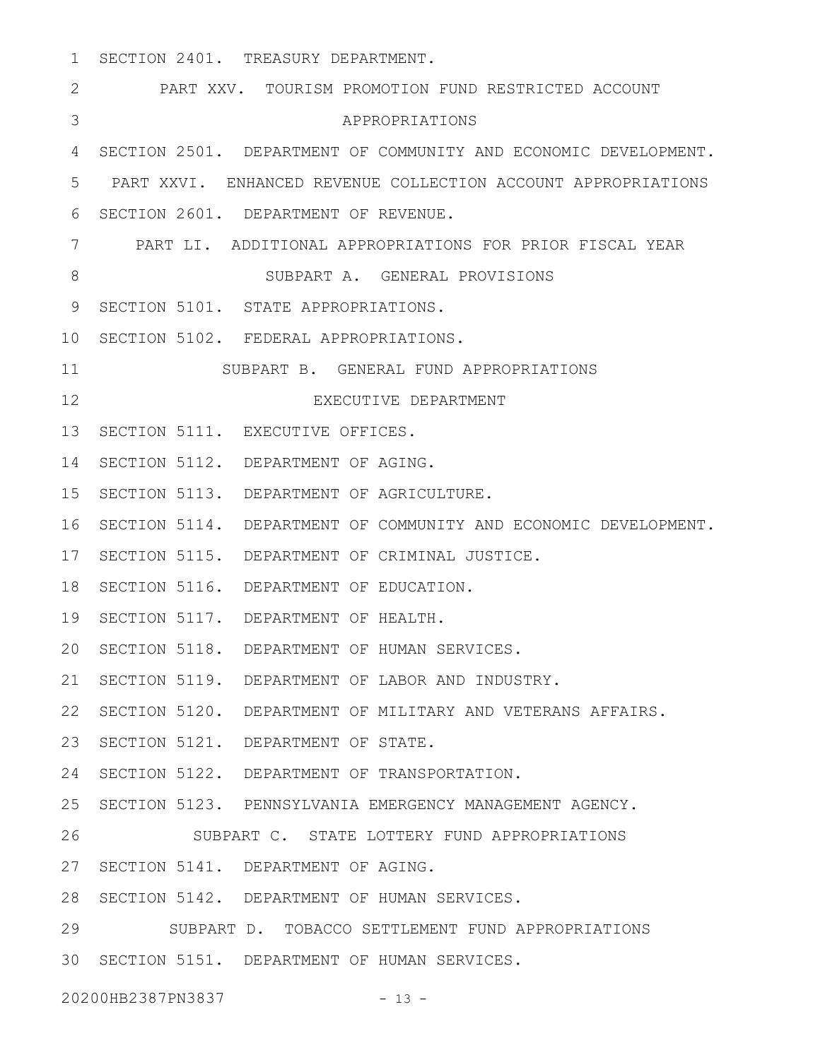SECTION 2401. TREASURY DEPARTMENT. PART XXV. TOURISM PROMOTION FUND RESTRICTED ACCOUNT APPROPRIATIONS SECTION 2501. DEPARTMENT OF COMMUNITY AND ECONOMIC DEVELOPMENT. 4 PART XXVI. ENHANCED REVENUE COLLECTION ACCOUNT APPROPRIATIONS 5 6 SECTION 2601. DEPARTMENT OF REVENUE. PART LI. ADDITIONAL APPROPRIATIONS FOR PRIOR FISCAL YEAR 7 SUBPART A. GENERAL PROVISIONS 9 SECTION 5101. STATE APPROPRIATIONS. 10 SECTION 5102. FEDERAL APPROPRIATIONS. SUBPART B. GENERAL FUND APPROPRIATIONS EXECUTIVE DEPARTMENT 13 SECTION 5111. EXECUTIVE OFFICES. 14 SECTION 5112. DEPARTMENT OF AGING. 15 SECTION 5113. DEPARTMENT OF AGRICULTURE. 16 SECTION 5114. DEPARTMENT OF COMMUNITY AND ECONOMIC DEVELOPMENT. 17 SECTION 5115. DEPARTMENT OF CRIMINAL JUSTICE. 18 SECTION 5116. DEPARTMENT OF EDUCATION. 19 SECTION 5117. DEPARTMENT OF HEALTH. 20 SECTION 5118. DEPARTMENT OF HUMAN SERVICES. 21 SECTION 5119. DEPARTMENT OF LABOR AND INDUSTRY. 22 SECTION 5120. DEPARTMENT OF MILITARY AND VETERANS AFFAIRS. 23 SECTION 5121. DEPARTMENT OF STATE. 24 SECTION 5122. DEPARTMENT OF TRANSPORTATION. 25 SECTION 5123. PENNSYLVANIA EMERGENCY MANAGEMENT AGENCY. SUBPART C. STATE LOTTERY FUND APPROPRIATIONS 27 SECTION 5141. DEPARTMENT OF AGING. 28 SECTION 5142. DEPARTMENT OF HUMAN SERVICES. SUBPART D. TOBACCO SETTLEMENT FUND APPROPRIATIONS SECTION 5151. DEPARTMENT OF HUMAN SERVICES. 301 2 3 8 11 12 26 29

20200HB2387PN3837 - 13 -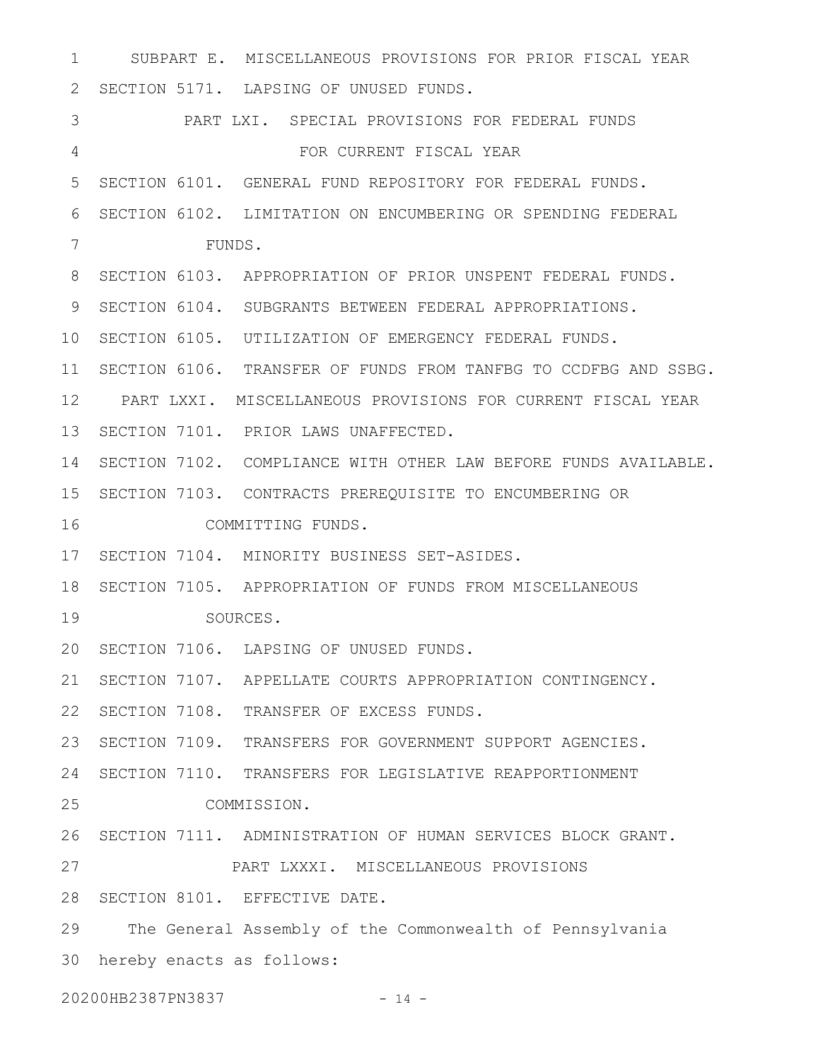SUBPART E. MISCELLANEOUS PROVISIONS FOR PRIOR FISCAL YEAR 2 SECTION 5171. LAPSING OF UNUSED FUNDS. PART LXI. SPECIAL PROVISIONS FOR FEDERAL FUNDS FOR CURRENT FISCAL YEAR SECTION 6101. GENERAL FUND REPOSITORY FOR FEDERAL FUNDS. 5 SECTION 6102. LIMITATION ON ENCUMBERING OR SPENDING FEDERAL FUNDS. 8 SECTION 6103. APPROPRIATION OF PRIOR UNSPENT FEDERAL FUNDS. 9 SECTION 6104. SUBGRANTS BETWEEN FEDERAL APPROPRIATIONS. 10 SECTION 6105. UTILIZATION OF EMERGENCY FEDERAL FUNDS. SECTION 6106. TRANSFER OF FUNDS FROM TANFBG TO CCDFBG AND SSBG. 11 PART LXXI. MISCELLANEOUS PROVISIONS FOR CURRENT FISCAL YEAR 12 13 SECTION 7101. PRIOR LAWS UNAFFECTED. SECTION 7102. COMPLIANCE WITH OTHER LAW BEFORE FUNDS AVAILABLE. 14 15 SECTION 7103. CONTRACTS PREREQUISITE TO ENCUMBERING OR COMMITTING FUNDS. 17 SECTION 7104. MINORITY BUSINESS SET-ASIDES. 18 SECTION 7105. APPROPRIATION OF FUNDS FROM MISCELLANEOUS SOURCES. 20 SECTION 7106. LAPSING OF UNUSED FUNDS. 21 SECTION 7107. APPELLATE COURTS APPROPRIATION CONTINGENCY. 22 SECTION 7108. TRANSFER OF EXCESS FUNDS. 23 SECTION 7109. TRANSFERS FOR GOVERNMENT SUPPORT AGENCIES. 24 SECTION 7110. TRANSFERS FOR LEGISLATIVE REAPPORTIONMENT COMMISSION. 26 SECTION 7111. ADMINISTRATION OF HUMAN SERVICES BLOCK GRANT. PART LXXXI. MISCELLANEOUS PROVISIONS 28 SECTION 8101. EFFECTIVE DATE. The General Assembly of the Commonwealth of Pennsylvania 30 hereby enacts as follows: 20200HB2387PN3837 - 14 -1 3 4 6 7 16 19 25 27 29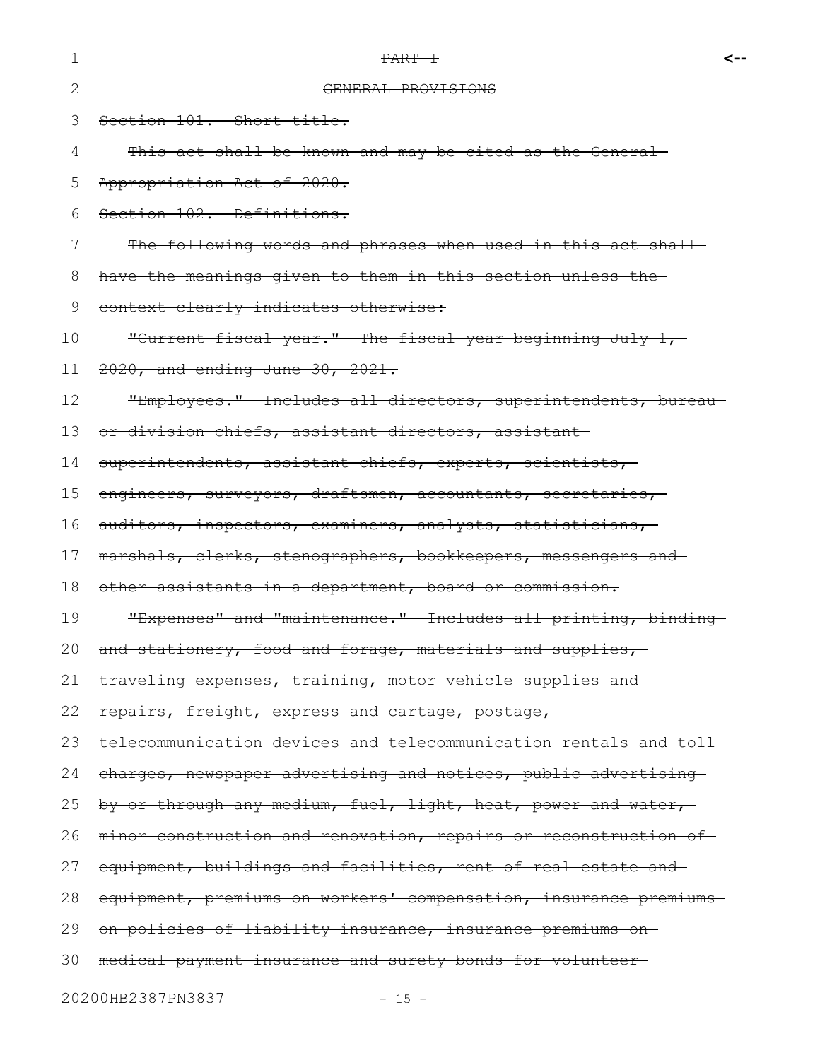| 1  | PART +                                                            | <-- |
|----|-------------------------------------------------------------------|-----|
| 2  | GENERAL PROVISIONS                                                |     |
| 3  | Section 101. Short title.                                         |     |
| 4  | This act shall be known and may be cited as the General-          |     |
| 5  | Appropriation Act of 2020.                                        |     |
| 6  | Section 102. Definitions.                                         |     |
| 7  | The following words and phrases when used in this act shall-      |     |
| 8  | have the meanings given to them in this section unless the-       |     |
| 9  | context clearly indicates otherwise:                              |     |
| 10 | "Current fiscal year." The fiscal year beginning July 1,-         |     |
| 11 | 2020, and ending June 30, 2021.                                   |     |
| 12 | "Employees." Includes all directors, superintendents, bureau-     |     |
| 13 | or division chiefs, assistant directors, assistant                |     |
| 14 | superintendents, assistant chiefs, experts, scientists,           |     |
| 15 | engineers, surveyors, draftsmen, accountants, secretaries,        |     |
| 16 | auditors, inspectors, examiners, analysts, statisticians,         |     |
| 17 | marshals, clerks, stenographers, bookkeepers, messengers and-     |     |
| 18 | other assistants in a department, board or commission.            |     |
| 19 | "Expenses" and "maintenance." Includes all printing, binding-     |     |
| 20 | and stationery, food and forage, materials and supplies,          |     |
| 21 | traveling expenses, training, motor vehicle supplies and          |     |
| 22 | repairs, freight, express and cartage, postage,                   |     |
| 23 | telecommunication devices and telecommunication rentals and toll- |     |
| 24 | charges, newspaper advertising and notices, public advertising    |     |
| 25 | by or through any medium, fuel, light, heat, power and water,     |     |
| 26 | minor construction and renovation, repairs or reconstruction of-  |     |
| 27 | equipment, buildings and facilities, rent of real estate and-     |     |
| 28 | equipment, premiums on workers' compensation, insurance premiums  |     |
| 29 | on policies of liability insurance, insurance premiums on-        |     |
| 30 | medical payment insurance and surety bonds for volunteer          |     |
|    |                                                                   |     |

20200HB2387PN3837 - 15 -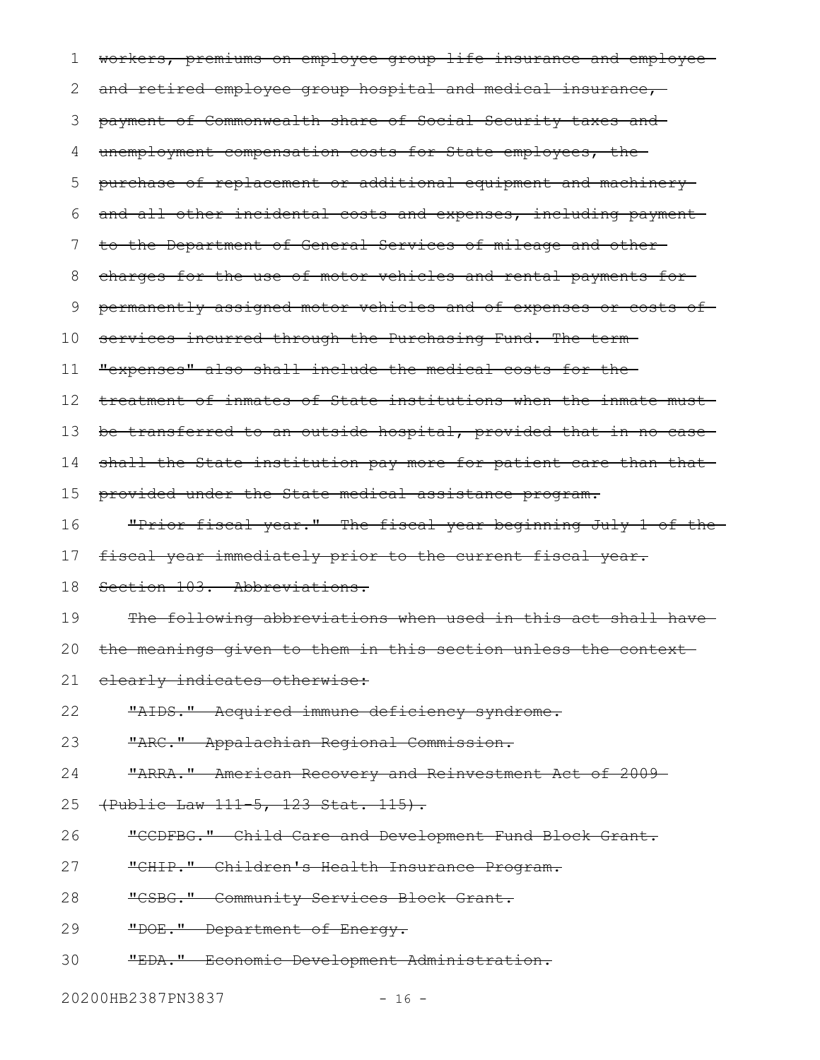| 1  | workers, premiums on employee group life insurance and employee- |
|----|------------------------------------------------------------------|
| 2  | and retired employee group hospital and medical insurance,       |
| 3  | payment of Commonwealth share of Social Security taxes and       |
| 4  | unemployment compensation costs for State employees, the         |
| 5  | purchase of replacement or additional equipment and machinery    |
| 6  | and all other incidental costs and expenses, including payment-  |
| 7  | to the Department of General Services of mileage and other-      |
| 8  | charges for the use of motor vehicles and rental payments for-   |
| 9  | permanently assigned motor vehicles and of expenses or costs of  |
| 10 | services incurred through the Purchasing Fund. The term          |
| 11 | "expenses" also shall include the medical costs for the-         |
| 12 | treatment of inmates of State institutions when the inmate must- |
| 13 | be transferred to an outside hospital, provided that in no case  |
| 14 | shall the State institution pay more for patient care than that- |
| 15 | provided under the State medical assistance program.             |
| 16 | "Prior fiscal year." The fiscal year beginning July 1 of the     |
| 17 | fiscal year immediately prior to the current fiscal year.        |
| 18 | Section 103. Abbreviations.                                      |
| 19 | The following abbreviations when used in this act shall have-    |
| 20 | the meanings given to them in this section unless the context    |
| 21 | elearly indicates otherwise:                                     |
| 22 | "AIDS." Acquired immune deficiency syndrome.                     |
| 23 | "ARC." Appalachian Regional Commission.                          |
| 24 | "ARRA." American Recovery and Reinvestment Act of 2009-          |
| 25 | (Public Law 111-5, 123 Stat. 115).                               |
| 26 | "CCDFBG." Child Care and Development Fund Block Grant.           |
| 27 | "CHIP." Children's Health Insurance Program.                     |
| 28 | "CSBG." Community Services Block Grant.                          |
| 29 | "DOE." Department of Energy.                                     |
| 30 | "EDA." Economic Development Administration.                      |
|    |                                                                  |

20200HB2387PN3837 - 16 -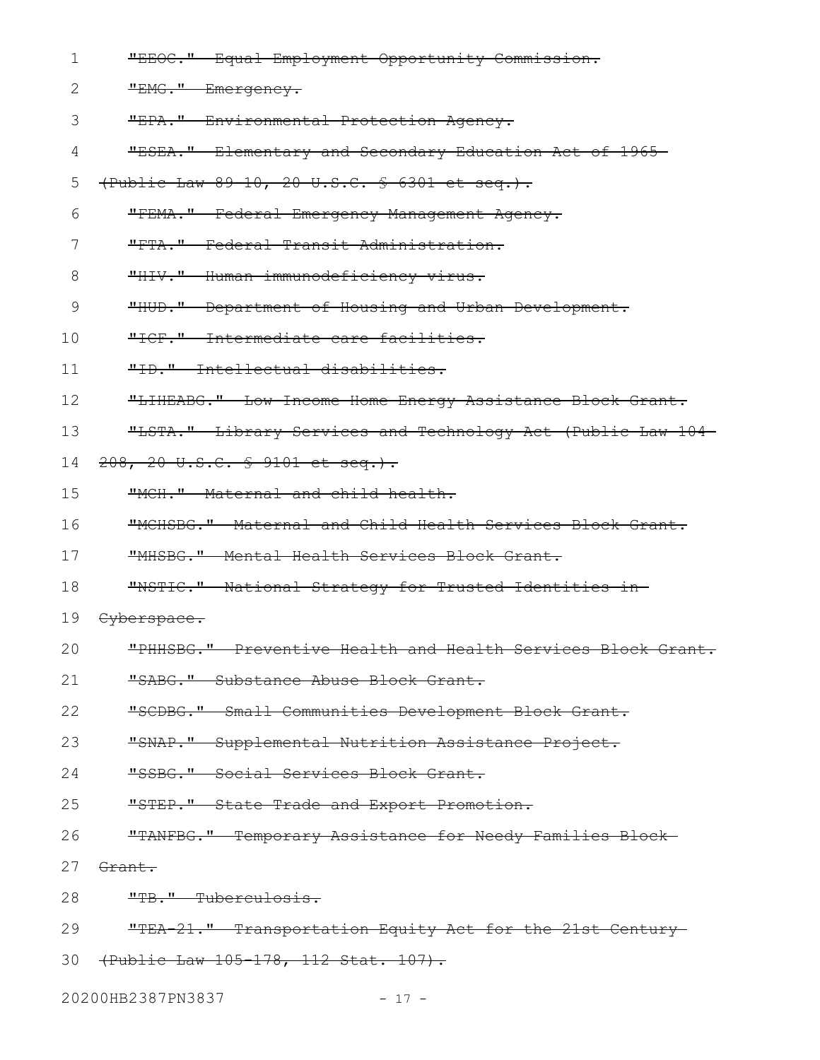| $\mathbf 1$ | "EEOC." Equal Employment Opportunity Commission.             |
|-------------|--------------------------------------------------------------|
| 2           | "EMG." Emergency.                                            |
| 3           | "EPA." Environmental Protection Agency.                      |
| 4           | "ESEA." Elementary and Secondary Education Act of 1965       |
| 5           | (Public Law 89-10, 20 U.S.C. § 6301 et seq.).                |
| 6           | "FEMA." Federal Emergency Management Agency.                 |
| 7           | "FTA." Federal Transit Administration.                       |
| 8           | "HIV." Human immunodeficiency virus.                         |
| 9           | "HUD." Department of Housing and Urban Development.          |
| 10          | "ICF." Intermediate care facilities.                         |
| 11          | "ID." Intellectual disabilities.                             |
| 12          | "LIHEABG." Low-Income Home Energy Assistance Block Grant.    |
| 13          | "LSTA." Library Services and Technology Act (Public Law 104- |
| 14          | 208, 20 U.S.C. § 9101 et seq.).                              |
| 15          | "MCH." Maternal and child health.                            |
| 16          | "MCHSBG." Maternal and Child Health Services Block Grant.    |
| 17          | "MHSBG." Mental Health Services Block Grant.                 |
| 18          | "NSTIC." National Strategy for Trusted Identities in-        |
| 19          | Cyberspace.                                                  |
| 20          | "PHHSBG." Preventive Health and Health Services Block Grant. |
| 21          | "SABG." Substance Abuse Block Grant.                         |
| 22          | "SCDBG." Small Communities Development Block Grant.          |
| 23          | "SNAP." Supplemental Nutrition Assistance Project.           |
| 24          | "SSBG." Social Services Block Grant.                         |
| 25          | "STEP." State Trade and Export Promotion.                    |
| 26          | "TANFBG." Temporary Assistance for Needy Families Block-     |
| 27          | Grant.                                                       |
| 28          | "TB." Tuberculosis.                                          |
| 29          | "TEA 21." Transportation Equity Act for the 21st Century     |
| 30          | (Public Law 105-178, 112 Stat. 107).                         |

20200HB2387PN3837 - 17 -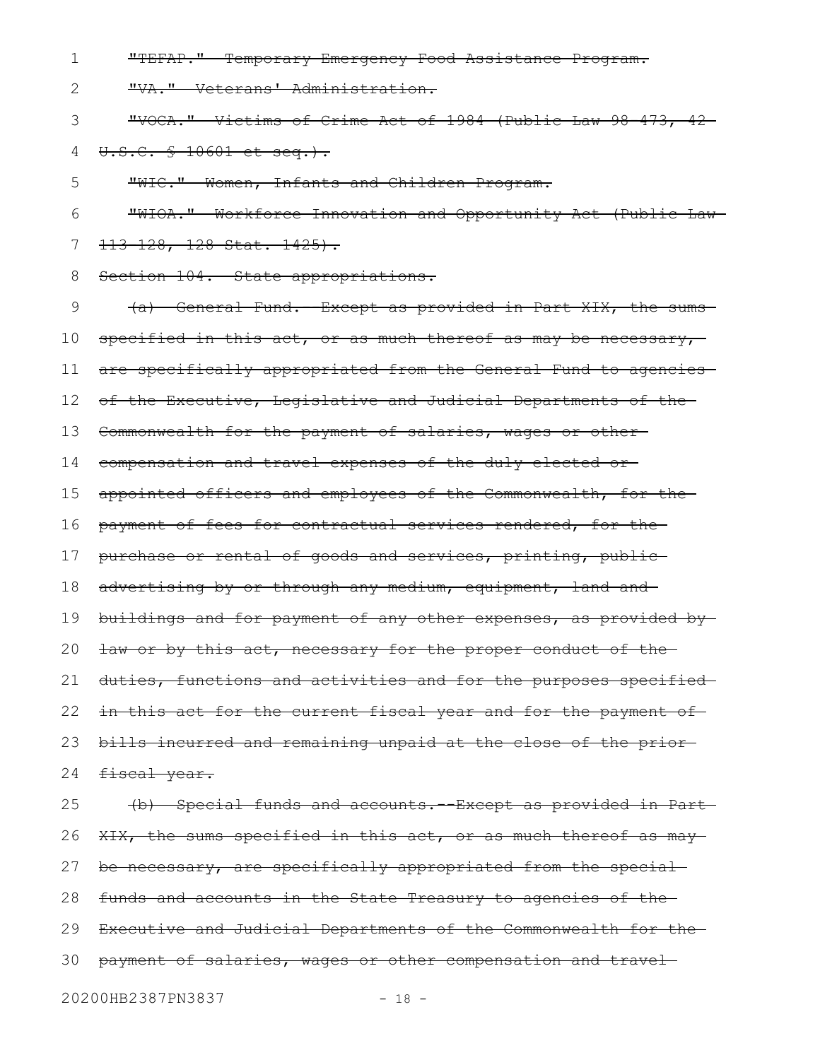"TEFAP." Temporary Emergency Food Assistance Program. 1

"VA." Veterans' Administration. 2

"VOCA." Victims of Crime Act of 1984 (Public Law 98-473, 42 3

U.S.C. § 10601 et seq.). 4

"WIC." Women, Infants and Children Program. 5

"WIOA." Workforce Innovation and Opportunity Act (Public Law 113-128, 128 Stat. 1425). 6 7

Section 104. State appropriations. 8

(a) General Fund.--Except as provided in Part XIX, the sums specified in this act, or as much thereof as may be necessary, are specifically appropriated from the General Fund to agencies of the Executive, Legislative and Judicial Departments of the Commonwealth for the payment of salaries, wages or othercompensation and travel expenses of the duly elected or appointed officers and employees of the Commonwealth, for the payment of fees for contractual services rendered, for the purchase or rental of goods and services, printing, public advertising by or through any medium, equipment, land and buildings and for payment of any other expenses, as provided by law or by this act, necessary for the proper conduct of the duties, functions and activities and for the purposes specified in this act for the current fiscal year and for the payment of bills incurred and remaining unpaid at the close of the prior fiscal year. (b) Special funds and accounts.--Except as provided in Part XIX, the sums specified in this act, or as much thereof as may be necessary, are specifically appropriated from the special funds and accounts in the State Treasury to agencies of the Executive and Judicial Departments of the Commonwealth for the payment of salaries, wages or other compensation and travel 9 10 11 12 13 14 15 16 17 18 19 20 21 22 23 24 25 26 27 28 29 30

20200HB2387PN3837 - 18 -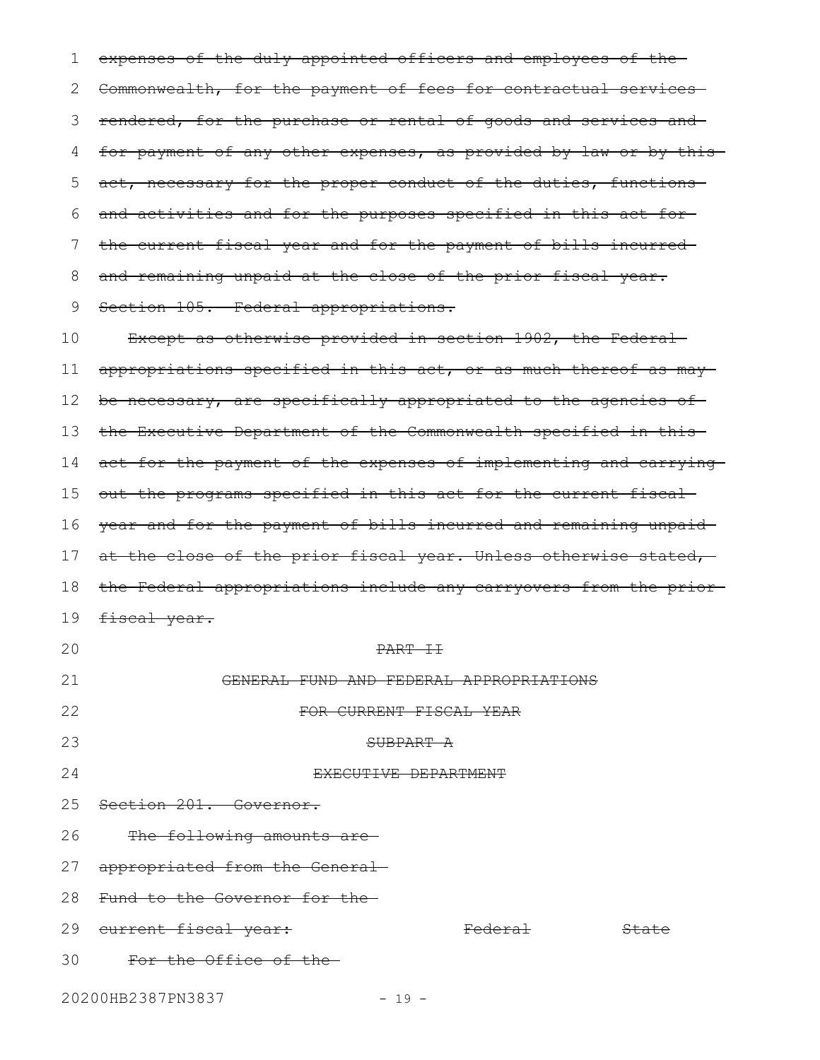expenses of the duly appointed officers and employees of the 2 Commonwealth, for the payment of fees for contractual services 3 rendered, for the purchase or rental of goods and services and for payment of any other expenses, as provided by law or by this act, necessary for the proper conduct of the duties, functions and activities and for the purposes specified in this act for the current fiscal year and for the payment of bills incurred and remaining unpaid at the close of the prior fiscal year. Section 105. Federal appropriations. Except as otherwise provided in section 1902, the Federal appropriations specified in this act, or as much thereof as may be necessary, are specifically appropriated to the agencies of the Executive Department of the Commonwealth specified in this act for the payment of the expenses of implementing and carrying out the programs specified in this act for the current fiscal year and for the payment of bills incurred and remaining unpaid at the close of the prior fiscal year. Unless otherwise stated, the Federal appropriations include any carryovers from the prior fiscal year. PART II GENERAL FUND AND FEDERAL APPROPRIATIONS FOR CURRENT FISCAL YEAR SUBPART A EXECUTIVE DEPARTMENT Section 201. Governor. The following amounts are appropriated from the General Fund to the Governor for the 29 <del>current fiscal year:</del> The Federal State For the Office of the 20200HB2387PN3837 - 19 -1 4 5 6 7 8 9 10 11 12 13 14 15 16 17 18 19 20 21 22 23 24 25 26 27 28 30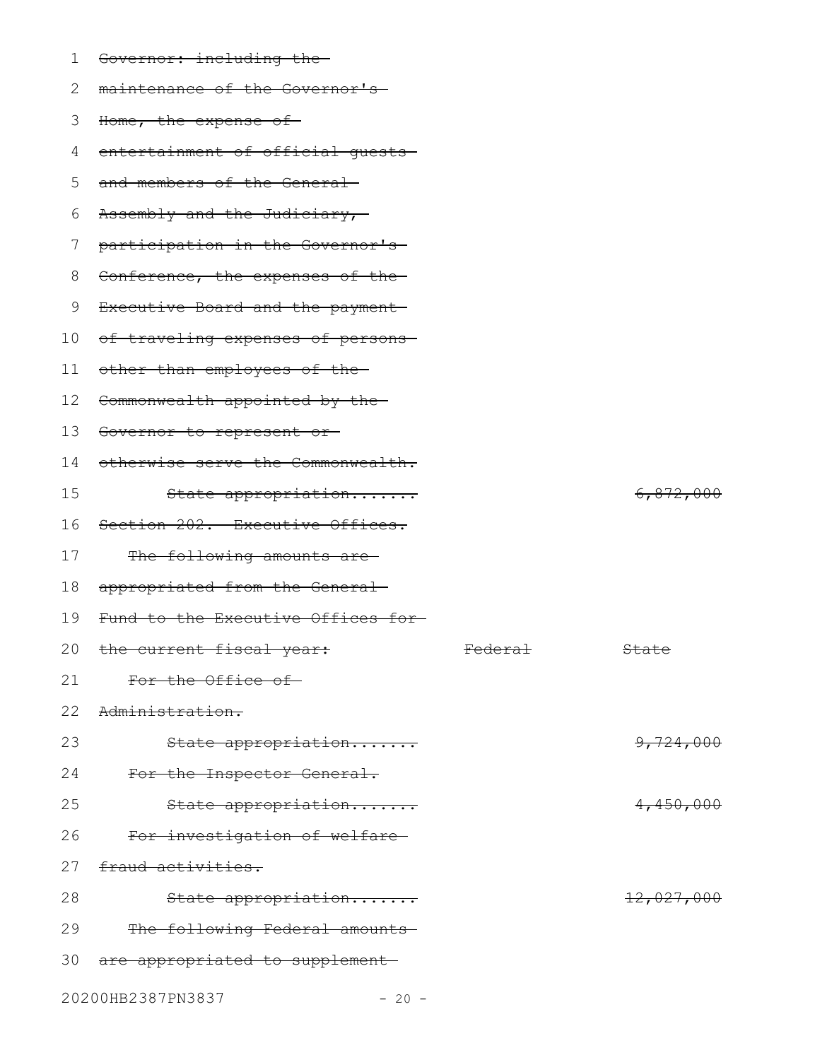| 1  | Governor: including the-           |         |                      |
|----|------------------------------------|---------|----------------------|
| 2  | maintenance of the Governor's-     |         |                      |
| 3  | Home, the expense of               |         |                      |
| 4  | entertainment of official quests-  |         |                      |
| 5  | and members of the General         |         |                      |
| 6  | Assembly and the Judiciary,-       |         |                      |
| 7  | participation in the Governor's    |         |                      |
| 8  | Conference, the expenses of the-   |         |                      |
| 9  | Executive Board and the payment-   |         |                      |
| 10 | of traveling expenses of persons-  |         |                      |
| 11 | other than employees of the-       |         |                      |
| 12 | Commonwealth appointed by the-     |         |                      |
| 13 | Governor to represent or-          |         |                      |
| 14 | otherwise serve the Commonwealth.  |         |                      |
| 15 | State appropriation                |         | <del>6,872,000</del> |
| 16 | Section 202. Executive Offices.    |         |                      |
| 17 | The following amounts are-         |         |                      |
| 18 | appropriated from the General-     |         |                      |
| 19 | Fund to the Executive Offices for- |         |                      |
|    | 20 the current fiscal year:        | Federal | State                |
| 21 | For the Office of-                 |         |                      |
| 22 | Administration.                    |         |                      |
| 23 | State appropriation                |         | 9,724,000            |
| 24 | For the Inspector General.         |         |                      |
| 25 | State appropriation                |         | 4,450,000            |
| 26 | For investigation of welfare-      |         |                      |
| 27 | fraud activities.                  |         |                      |
| 28 | State appropriation                |         | 12,027,000           |
| 29 | The following Federal amounts      |         |                      |
| 30 | are appropriated to supplement     |         |                      |
|    |                                    |         |                      |

20200HB2387PN3837 - 20 -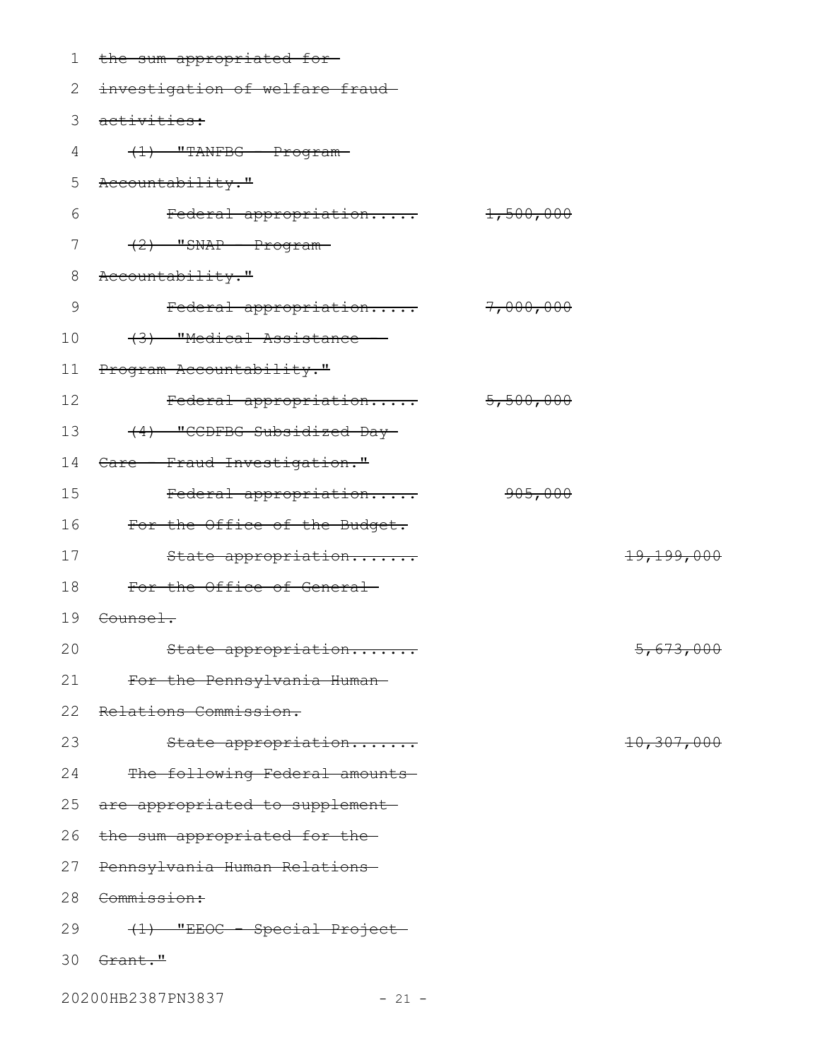| 1  | the sum appropriated for-       |           |                       |
|----|---------------------------------|-----------|-----------------------|
| 2  | investigation of welfare fraud- |           |                       |
| 3  | activities:                     |           |                       |
| 4  | $(1)$ "TANFBG - Program-        |           |                       |
| 5  | Accountability."                |           |                       |
| 6  | Federal appropriation           | 1,500,000 |                       |
| 7  | $(2)$ "SNAP - Program-          |           |                       |
| 8  | Accountability."                |           |                       |
| 9  | Federal appropriation 7,000,000 |           |                       |
| 10 | (3) "Medical Assistance -       |           |                       |
| 11 | Program Accountability."        |           |                       |
| 12 | Federal appropriation           | 5,500,000 |                       |
| 13 | (4) "CCDFBG Subsidized Day-     |           |                       |
| 14 | Care - Fraud Investigation."    |           |                       |
| 15 | Federal appropriation           | 905,000   |                       |
| 16 | For the Office of the Budget.   |           |                       |
| 17 | State appropriation             |           | <del>19,199,000</del> |
| 18 | For the Office of General       |           |                       |
| 19 | <del>Counsel.</del>             |           |                       |
| 20 | State appropriation             |           | 5,673,000             |
| 21 | For the Pennsylvania Human-     |           |                       |
| 22 | Relations Commission.           |           |                       |
| 23 | State appropriation             |           | 10,307,000            |
| 24 | The following Federal amounts   |           |                       |
| 25 | are appropriated to supplement- |           |                       |
| 26 | the sum appropriated for the-   |           |                       |
| 27 | Pennsylvania Human Relations-   |           |                       |
| 28 | Commission:                     |           |                       |
| 29 | (1) "EEOC - Special Project-    |           |                       |
| 30 | <del>Grant."</del>              |           |                       |
|    | 20200HB2387PN3837<br>$-21 -$    |           |                       |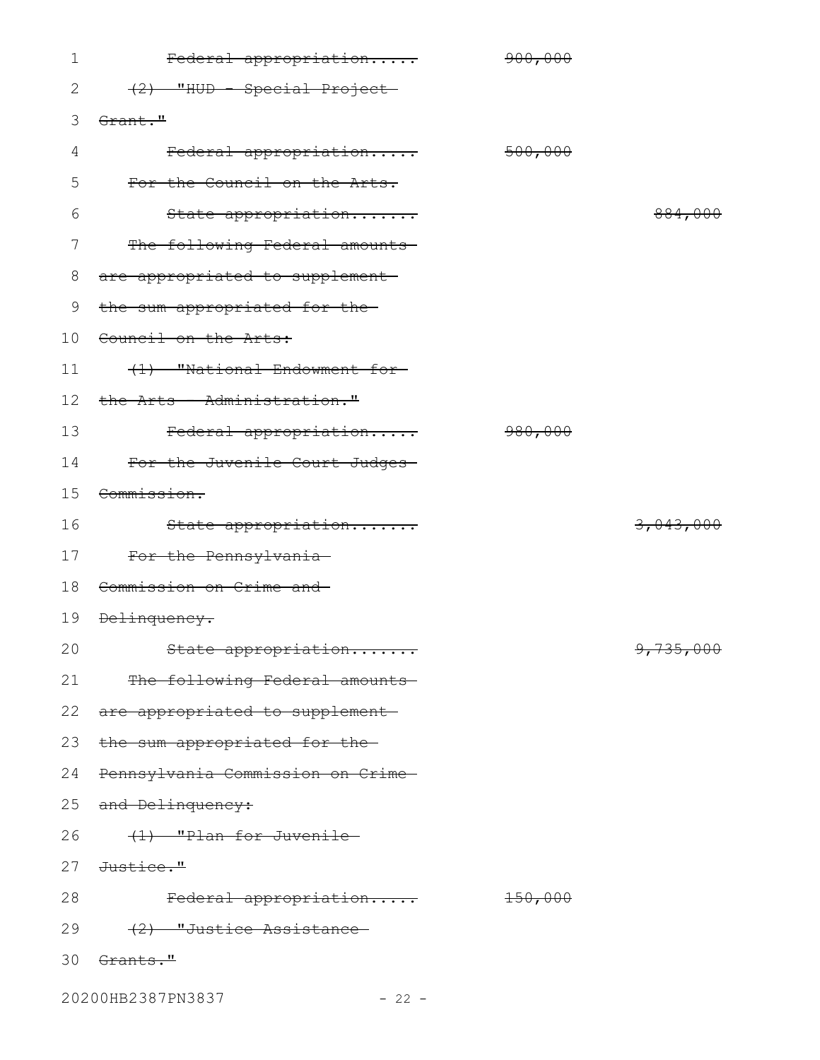| 1               | Federal appropriation             | 900,000   |           |
|-----------------|-----------------------------------|-----------|-----------|
| 2               | (2) "HUD - Special Project-       |           |           |
| 3               | Grant."                           |           |           |
| 4               | Federal appropriation             | 500,000   |           |
| 5               | For the Council on the Arts.      |           |           |
| 6               | State appropriation               |           | 884,000   |
| 7               | The following Federal amounts     |           |           |
| 8               | are appropriated to supplement-   |           |           |
| 9               | the sum appropriated for the-     |           |           |
| 10              | Council on the Arts:              |           |           |
| 11              | (1) "National Endowment for-      |           |           |
| 12 <sup>°</sup> | the Arts - Administration."       |           |           |
| 13              | Federal appropriation             | 980,000   |           |
| 14              | For the Juvenile Court Judges-    |           |           |
| 15              | <del>Commission.</del>            |           |           |
| 16              | State appropriation               |           | 3,043,000 |
| 17              | For the Pennsylvania-             |           |           |
| 18              | Commission on Crime and           |           |           |
| 19              | <del>Delinquency.</del>           |           |           |
| 20              | State appropriation               |           | 9,735,000 |
| 21              | The following Federal amounts     |           |           |
|                 | 22 are appropriated to supplement |           |           |
| 23              | the sum appropriated for the-     |           |           |
| 24              | Pennsylvania Commission on Crime- |           |           |
| 25              | and Delinquency:                  |           |           |
| 26              | (1) "Plan for Juvenile            |           |           |
| 27              | <del>Justice."</del>              |           |           |
| 28              | Federal appropriation             | $+50,000$ |           |
| 29              | (2) "Justice Assistance           |           |           |
| 30              | <del>Grants."</del>               |           |           |
|                 |                                   |           |           |

20200HB2387PN3837 - 22 -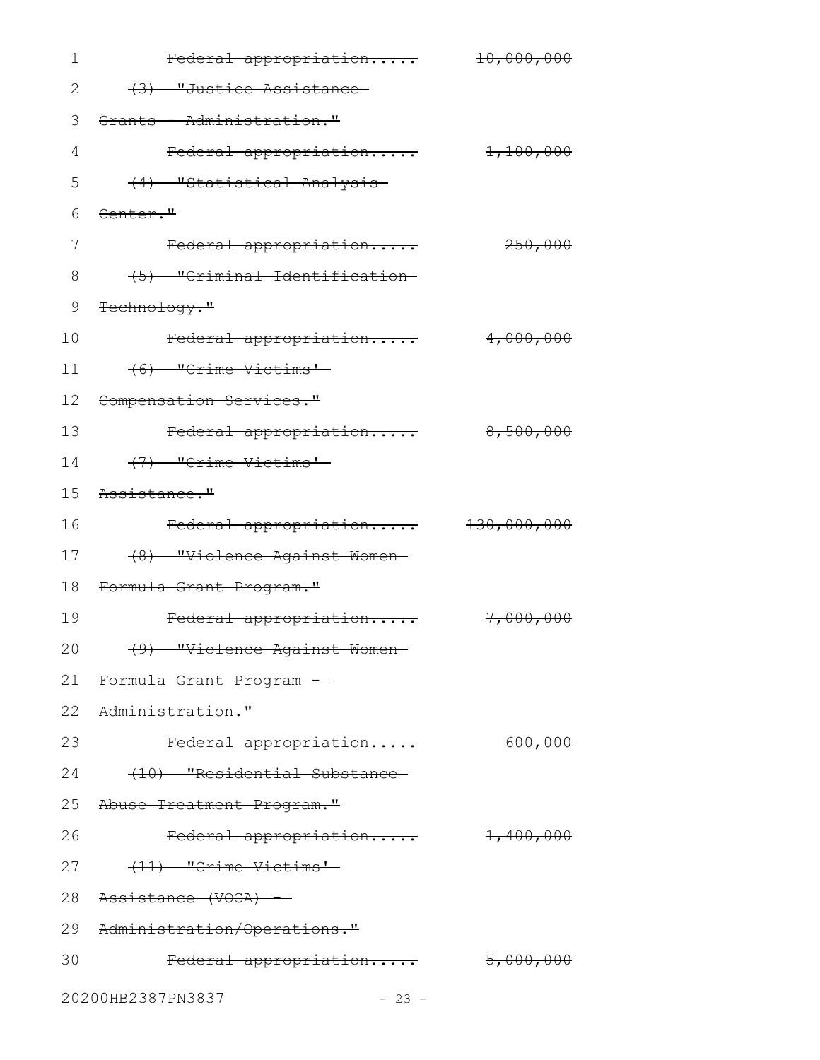| 1  | Federal appropriation              | 10,000,000             |
|----|------------------------------------|------------------------|
| 2  | (3) "Justice Assistance            |                        |
| 3  | Grants - Administration."          |                        |
| 4  | Federal appropriation              | 1,100,000              |
| 5  | (4) "Statistical Analysis-         |                        |
| 6  | Center."                           |                        |
| 7  | Federal appropriation              | 250,000                |
| 8  | (5) "Criminal Identification       |                        |
| 9  | Technology."                       |                        |
| 10 | Federal appropriation              | 4,000,000              |
| 11 | (6) "Crime Victims"                |                        |
| 12 | Compensation Services."            |                        |
| 13 | Federal appropriation              | 8,500,000              |
| 14 | (7) "Crime Victims"                |                        |
| 15 | Assistance."                       |                        |
| 16 | Federal appropriation              | <del>130,000,000</del> |
| 17 | (8) "Violence Against Women-       |                        |
| 18 | Formula Grant Program."            |                        |
| 19 | Federal appropriation              | 7,000,000              |
|    | 20 (9) "Violence Against Women     |                        |
| 21 | <del>Formula Grant Program -</del> |                        |
|    | 22 Administration."                |                        |
| 23 | Federal appropriation              | 600,000                |
| 24 | (10) "Residential Substance-       |                        |
|    | 25 Abuse Treatment Program."       |                        |
| 26 | Federal appropriation              | <del>1,400,000</del>   |
| 27 | (11) "Crime Victims'-              |                        |
|    | 28 Assistance (VOCA) -             |                        |
|    | 29 Administration/Operations."     |                        |
| 30 | Federal appropriation              | <del>5,000,000</del>   |
|    | 20200HB2387PN3837<br>$-23 -$       |                        |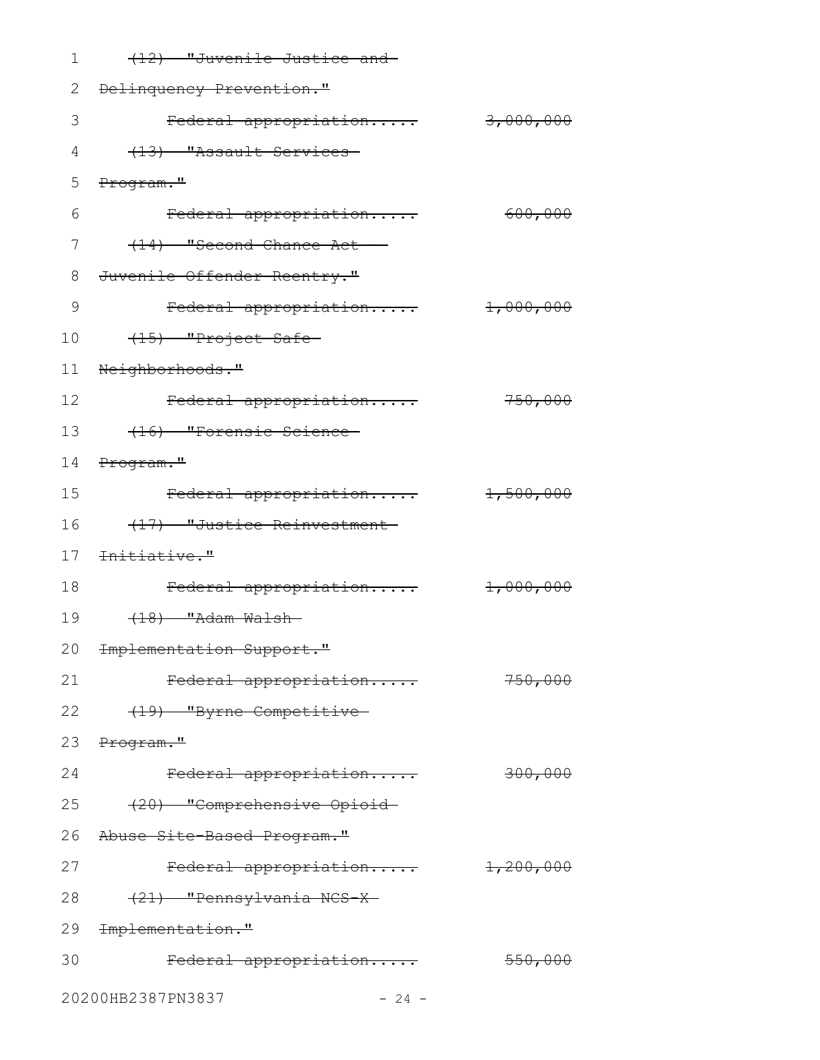| 1  | (12) "Juvenile Justice and-            |                                  |
|----|----------------------------------------|----------------------------------|
| 2  | Delinquency Prevention."               |                                  |
| 3  | Federal appropriation                  | 3,000,000                        |
| 4  | (13) "Assault Services                 |                                  |
| 5  | Program."                              |                                  |
| 6  | Federal appropriation                  | 600,000                          |
| 7  | (14) "Second Chance Act -              |                                  |
| 8  | Juvenile Offender Reentry."            |                                  |
| 9  | Federal appropriation                  | 1,000,000                        |
| 10 | (15) "Project Safe-                    |                                  |
| 11 | Neighborhoods."                        |                                  |
| 12 | Federal appropriation                  | 750,000                          |
| 13 | (16) "Forensic Science-                |                                  |
| 14 | Program."                              |                                  |
| 15 | Federal appropriation                  | 1,500,000                        |
| 16 | (17) "Justice Reinvestment-            |                                  |
| 17 | <del>Initiative."</del>                |                                  |
| 18 | Federal appropriation                  | $\textcolor{red}{\pm 1.000,000}$ |
| 19 | $(18)$ "Adam Walsh-                    |                                  |
|    | 20 <del>Implementation Support."</del> |                                  |
| 21 | Federal appropriation                  | 750,000                          |
| 22 | (19) "Byrne Competitive                |                                  |
|    | 23 Program."                           |                                  |
| 24 | Federal appropriation                  | 300,000                          |
| 25 | (20) "Comprehensive Opioid-            |                                  |
| 26 | Abuse Site-Based Program."             |                                  |
| 27 | Federal appropriation                  | $\frac{1}{2}$ , 200, 000         |
| 28 | (21) "Pennsylvania NCS-X-              |                                  |
|    | 29 <del>Implementation."</del>         |                                  |
| 30 | Federal appropriation                  | 550,000                          |
|    | 20200HB2387PN3837<br>$-24 -$           |                                  |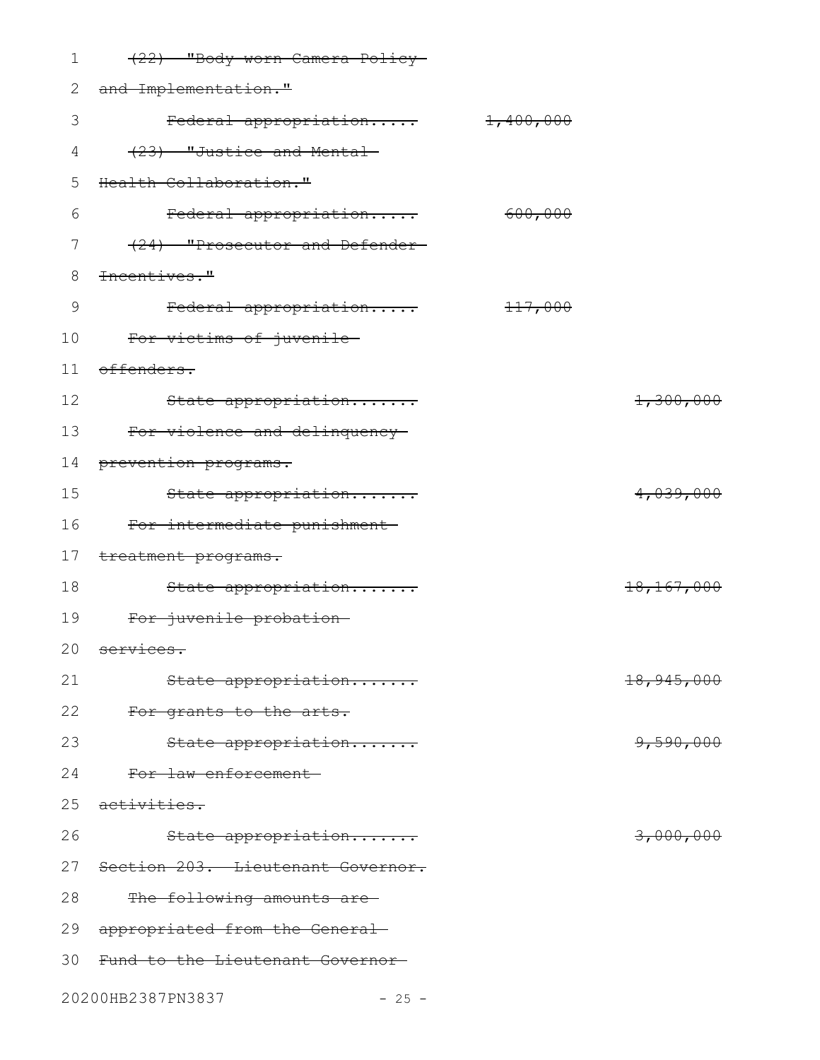| 1             | (22) "Body-worn Camera Policy-    |           |                       |
|---------------|-----------------------------------|-----------|-----------------------|
| 2             | and Implementation."              |           |                       |
| 3             | Federal appropriation             | 1,400,000 |                       |
| 4             | (23) "Justice and Mental          |           |                       |
| 5             | Health Collaboration."            |           |                       |
| 6             | Federal appropriation             | 600,000   |                       |
| 7             | (24) "Prosecutor and Defender-    |           |                       |
| 8             | Incentives."                      |           |                       |
| $\mathcal{G}$ | Federal appropriation             | 117,000   |                       |
| 10            | For victims of juvenile-          |           |                       |
| 11            | offenders.                        |           |                       |
| 12            | State appropriation               |           | 1,300,000             |
| 13            | For violence and delinquency-     |           |                       |
| 14            | prevention programs.              |           |                       |
| 15            | State appropriation               |           | 4,039,000             |
| 16            | For intermediate punishment-      |           |                       |
| 17            | treatment programs.               |           |                       |
| 18            | State appropriation               |           | 18,167,000            |
| 19            | For juvenile probation-           |           |                       |
|               | 20 services.                      |           |                       |
| 21            | State appropriation               |           | <del>18,945,000</del> |
| 22            | For grants to the arts.           |           |                       |
| 23            | State appropriation               |           | 9,590,000             |
| 24            | For law enforcement               |           |                       |
| 25            | <del>activities.</del>            |           |                       |
| 26            | State appropriation               |           | <del>3,000,000</del>  |
| 27            | Section 203. Lieutenant Governor. |           |                       |
| 28            | The following amounts are-        |           |                       |
| 29            | appropriated from the General-    |           |                       |
| 30            | Fund to the Lieutenant Governor-  |           |                       |
|               | 20200HB2387PN3837<br>$-25 -$      |           |                       |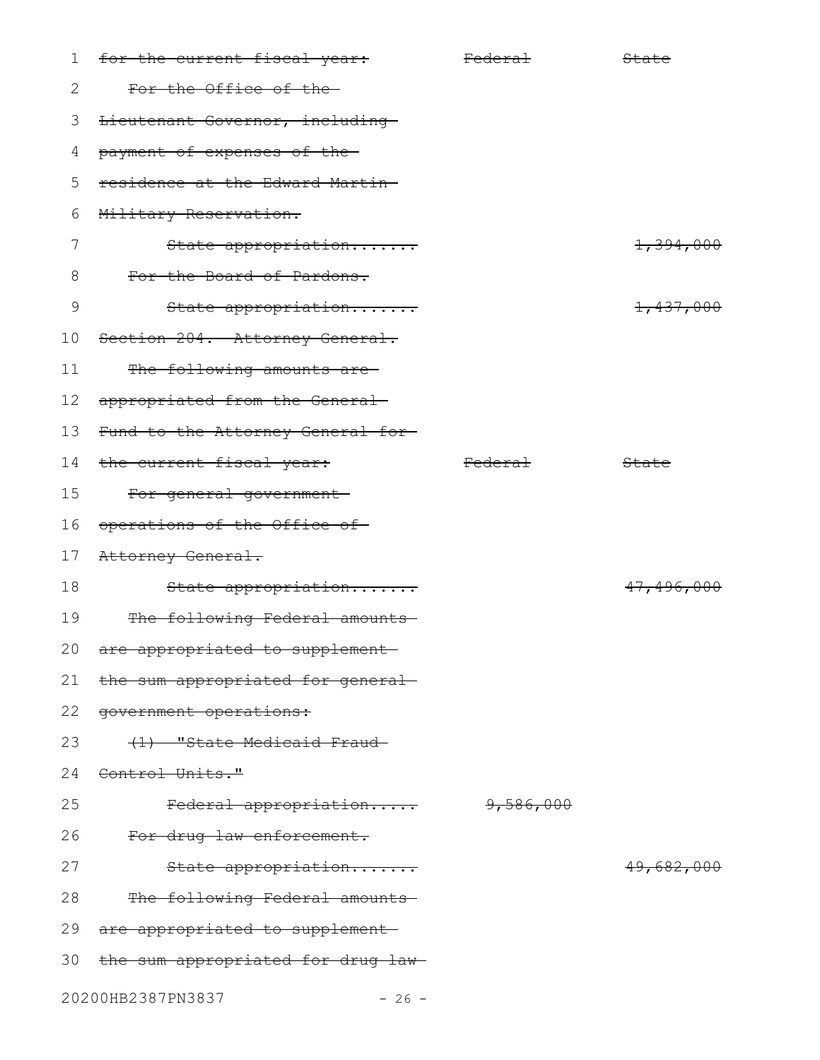| $\mathbf 1$     | <del>for the current fiscal year:</del> | <del>Federal</del> | State                |
|-----------------|-----------------------------------------|--------------------|----------------------|
| 2               | For the Office of the-                  |                    |                      |
| 3               | Lieutenant Governor, including          |                    |                      |
| 4               | payment of expenses of the-             |                    |                      |
| 5               | residence at the Edward Martin-         |                    |                      |
| 6               | Military Reservation.                   |                    |                      |
| 7               | State appropriation                     |                    | <del>1,394,000</del> |
| 8               | For the Board of Pardons.               |                    |                      |
| 9               | State appropriation                     |                    | 1,437,000            |
| 10 <sub>o</sub> | Section 204. Attorney General.          |                    |                      |
| 11              | The following amounts are-              |                    |                      |
| 12 <sup>°</sup> | appropriated from the General-          |                    |                      |
| 13              | Fund to the Attorney General for-       |                    |                      |
|                 | 14 the current fiscal year:             | <del>Federal</del> | State                |
| 15              | For general government-                 |                    |                      |
| 16              | operations of the Office of             |                    |                      |
| 17              | Attorney General.                       |                    |                      |
| 18              | State appropriation                     |                    | 47,496,000           |
| 19              | The following Federal amounts           |                    |                      |
| 20              | are appropriated to supplement-         |                    |                      |
| 21              | the sum appropriated for general-       |                    |                      |
| 22              | government operations:                  |                    |                      |
| 23              | (1) "State Medicaid Fraud-              |                    |                      |
| 24              | Control Units."                         |                    |                      |
| 25              | Federal appropriation                   | 9,586,000          |                      |
| 26              | For drug law enforcement.               |                    |                      |
| 27              | State appropriation                     |                    | 49,682,000           |
| 28              | The following Federal amounts           |                    |                      |
| 29              | are appropriated to supplement-         |                    |                      |
| 30              | the sum appropriated for drug law-      |                    |                      |
|                 | 20200HB2387PN3837<br>$-26 -$            |                    |                      |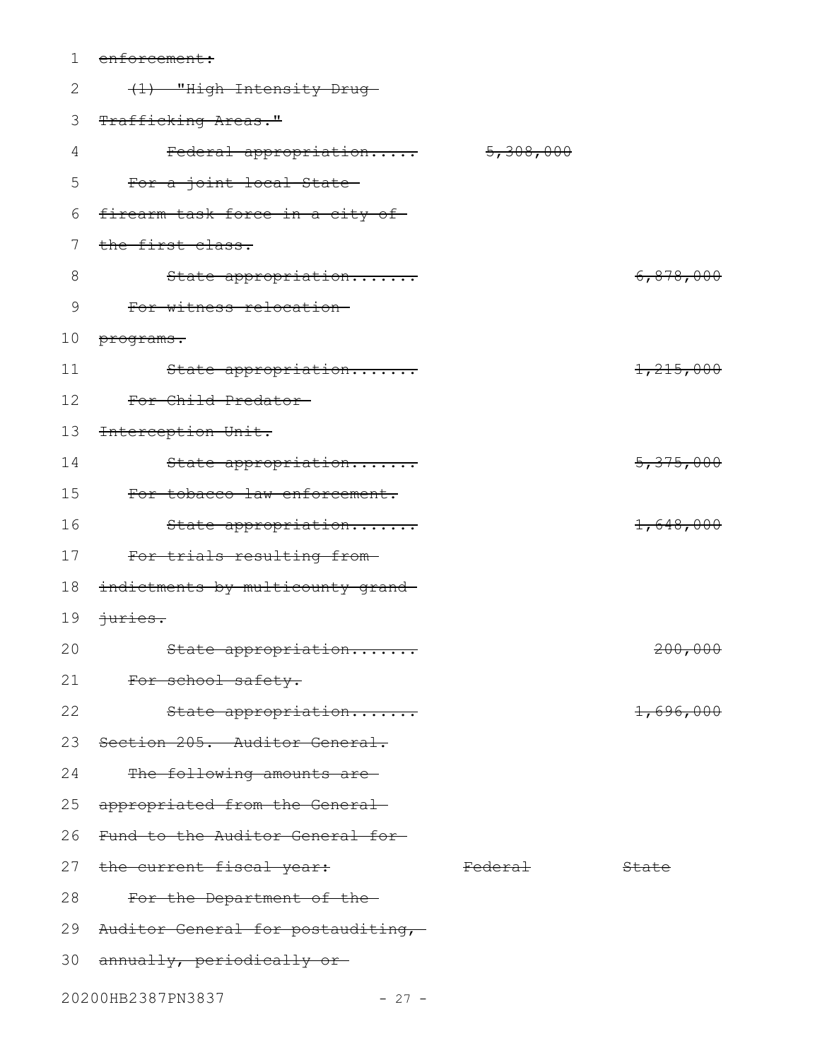| 1  | enforcement:                         |                    |           |
|----|--------------------------------------|--------------------|-----------|
| 2  | (1) "High Intensity Drug-            |                    |           |
| 3  | Trafficking Areas."                  |                    |           |
| 4  | Federal appropriation                | 5,308,000          |           |
| 5  | For a joint local State              |                    |           |
| 6  | firearm task force in a city of      |                    |           |
| 7  | the first class.                     |                    |           |
| 8  | State appropriation                  |                    | 6,878,000 |
| 9  | For witness relocation-              |                    |           |
| 10 | programs.                            |                    |           |
| 11 | State appropriation                  |                    | 1,215,000 |
| 12 | For Child Predator                   |                    |           |
| 13 | Interception Unit.                   |                    |           |
| 14 | State appropriation                  |                    | 5,375,000 |
| 15 | For tobacco law enforcement.         |                    |           |
| 16 | State appropriation                  |                    | 1,648,000 |
| 17 | For trials resulting from-           |                    |           |
| 18 | indictments by multicounty grand-    |                    |           |
| 19 | <del>juries.</del>                   |                    |           |
| 20 | State appropriation                  |                    | 200,000   |
|    | 21 For school safety.                |                    |           |
| 22 | State appropriation                  |                    | 1,696,000 |
|    | 23 Section 205. Auditor General.     |                    |           |
| 24 | The following amounts are-           |                    |           |
|    | 25 appropriated from the General-    |                    |           |
|    | 26 Fund to the Auditor General for-  |                    |           |
|    | 27 the current fiscal year:          | <del>Federal</del> | State     |
| 28 | For the Department of the-           |                    |           |
|    | 29 Auditor General for postauditing, |                    |           |
|    | 30 annually, periodically or         |                    |           |
|    | 20200HB2387PN3837<br>$-27 -$         |                    |           |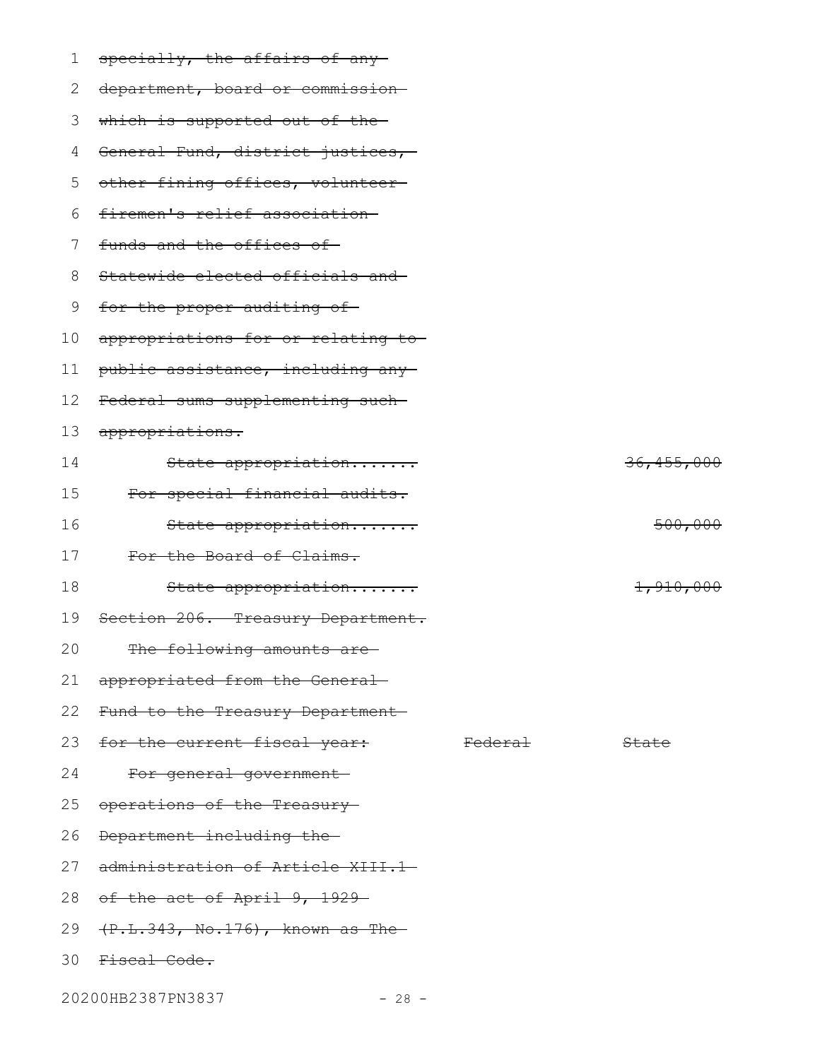| 1  | specially, the affairs of any-             |                    |              |
|----|--------------------------------------------|--------------------|--------------|
| 2  | department, board or commission            |                    |              |
| 3  | which is supported out of the-             |                    |              |
| 4  | General Fund, district justices,           |                    |              |
| 5  | other fining offices, volunteer            |                    |              |
| 6  | firemen's relief association-              |                    |              |
| 7  | funds and the offices of                   |                    |              |
| 8  | Statewide elected officials and            |                    |              |
| 9  | for the proper auditing of                 |                    |              |
| 10 | appropriations for or relating to-         |                    |              |
| 11 | public assistance, including any-          |                    |              |
| 12 | Federal sums supplementing such-           |                    |              |
| 13 | appropriations.                            |                    |              |
| 14 | State appropriation                        |                    | 36, 455, 000 |
| 15 | For special financial audits.              |                    |              |
| 16 | State appropriation                        |                    | 500,000      |
| 17 | For the Board of Claims.                   |                    |              |
| 18 | State appropriation                        |                    | 1,910,000    |
| 19 | Section 206. Treasury Department.          |                    |              |
| 20 | The following amounts are-                 |                    |              |
| 21 | appropriated from the General-             |                    |              |
|    | 22 Fund to the Treasury Department         |                    |              |
|    | 23 for the current fiscal year:            | <del>Federal</del> | State        |
| 24 | For general government-                    |                    |              |
| 25 | operations of the Treasury                 |                    |              |
| 26 | Department including the-                  |                    |              |
| 27 | administration of Article XIII.1-          |                    |              |
|    | 28 of the act of April 9, 1929-            |                    |              |
| 29 | <del>(P.L.343, No.176), known as The</del> |                    |              |
|    | 30 Fiscal Code.                            |                    |              |
|    |                                            |                    |              |

20200HB2387PN3837 - 28 -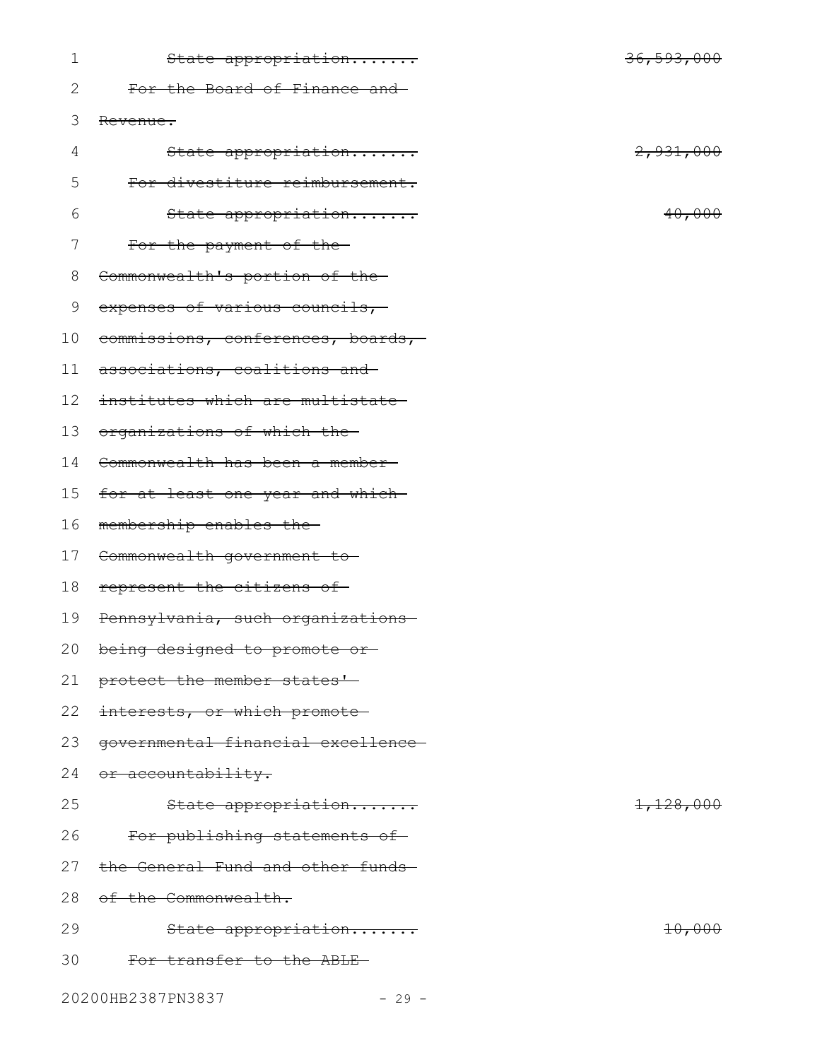| 1  | State appropriation                | <del>36,593,000</del> |
|----|------------------------------------|-----------------------|
| 2  | For the Board of Finance and       |                       |
| 3  | Revenue.                           |                       |
| 4  | State appropriation                | 2,931,000             |
| 5  | For divestiture reimbursement.     |                       |
| 6  | State appropriation                | 40,000                |
| 7  | For the payment of the-            |                       |
| 8  | Commonwealth's portion of the-     |                       |
| 9  | expenses of various councils,-     |                       |
| 10 | commissions, conferences, boards,- |                       |
| 11 | associations, coalitions and       |                       |
| 12 | institutes which are multistate    |                       |
| 13 | organizations of which the         |                       |
| 14 | Commonwealth has been a member-    |                       |
| 15 | for at least one year and which-   |                       |
| 16 | membership enables the-            |                       |
| 17 | Commonwealth government to         |                       |
| 18 | represent the citizens of          |                       |
| 19 | Pennsylvania, such organizations   |                       |
|    | 20 being designed to promote or    |                       |
| 21 | protect the member states'         |                       |
| 22 | interests, or which promote-       |                       |
| 23 | governmental financial excellence- |                       |
| 24 | <del>or accountability.</del>      |                       |
| 25 | State appropriation                | 1,128,000             |
| 26 | For publishing statements of       |                       |
| 27 | the General Fund and other funds-  |                       |
| 28 | of the Commonwealth.               |                       |
| 29 | State appropriation                | 10,000                |
| 30 | For transfer to the ABLE-          |                       |
|    | 20200HB2387PN3837<br>$-29 -$       |                       |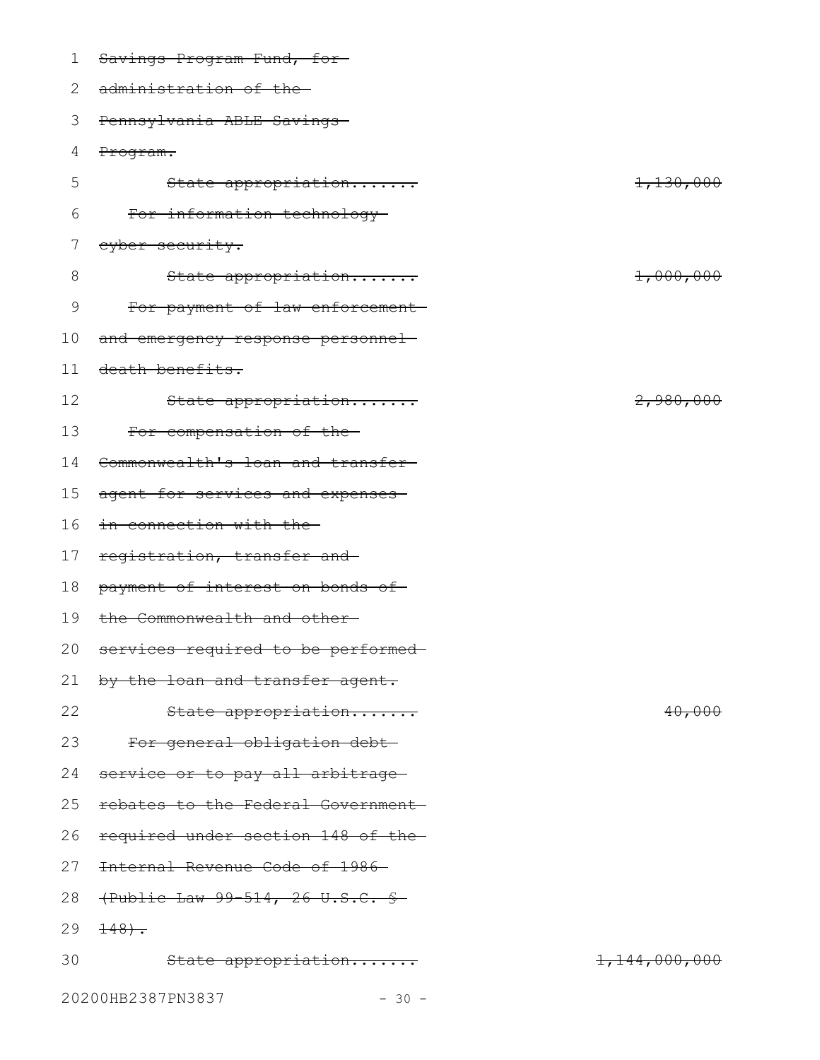| 1  | Savings Program Fund, for-            |               |
|----|---------------------------------------|---------------|
| 2  | administration of the                 |               |
| 3  | Pennsylvania ABLE Savings             |               |
| 4  | Program.                              |               |
| 5  | State appropriation                   | 1,130,000     |
| 6  | For information technology-           |               |
|    | eyber security.                       |               |
| 8  | State appropriation                   | 1,000,000     |
| 9  | For payment of law enforcement-       |               |
| 10 | and emergency response personnel-     |               |
| 11 | death benefits.                       |               |
| 12 | State appropriation                   | 2,980,000     |
| 13 | For compensation of the-              |               |
| 14 | Commonwealth's loan and transfer-     |               |
| 15 | agent for services and expenses       |               |
| 16 | in connection with the                |               |
| 17 | registration, transfer and            |               |
| 18 | payment of interest on bonds of       |               |
| 19 | the Commonwealth and other-           |               |
|    | 20 services required to be performed- |               |
| 21 | by the loan and transfer agent.       |               |
| 22 | State appropriation                   | 40,000        |
| 23 | For general obligation debt-          |               |
| 24 | service or to pay all arbitrage       |               |
| 25 | rebates to the Federal Government-    |               |
| 26 | required under section 148 of the-    |               |
| 27 | Internal Revenue Code of 1986-        |               |
| 28 | (Public Law 99-514, 26 U.S.C. \$      |               |
| 29 | $+48.$                                |               |
| 30 | State appropriation                   | 1,144,000,000 |
|    | 20200HB2387PN3837<br>$-30 -$          |               |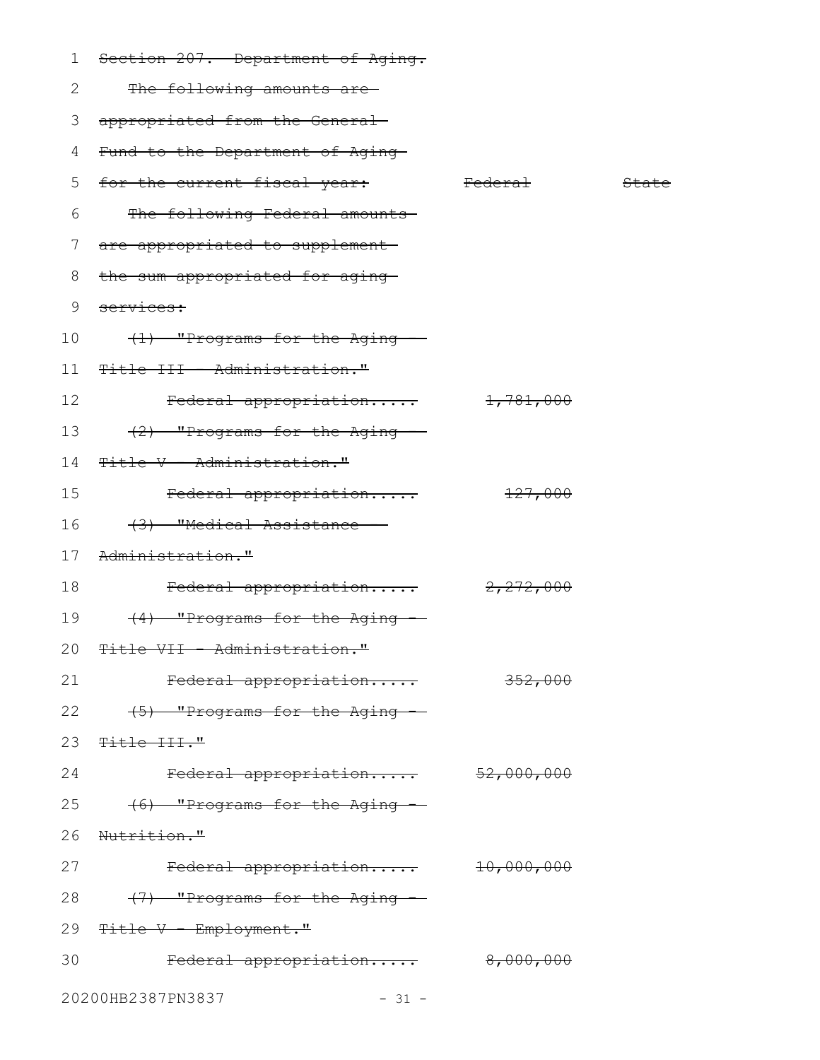| 1  | Section 207. Department of Aging. |                    |       |
|----|-----------------------------------|--------------------|-------|
| 2  | The following amounts are-        |                    |       |
| 3  | appropriated from the General-    |                    |       |
| 4  | Fund to the Department of Aging-  |                    |       |
| 5  | for the current fiscal year:      | <del>Federal</del> | State |
| 6  | The following Federal amounts     |                    |       |
| 7  | are appropriated to supplement-   |                    |       |
| 8  | the sum appropriated for aging-   |                    |       |
| 9  | services:                         |                    |       |
| 10 | (1) "Programs for the Aging       |                    |       |
| 11 | Title III - Administration."      |                    |       |
| 12 | Federal appropriation             | 1,781,000          |       |
| 13 | (2) "Programs for the Aging -     |                    |       |
| 14 | Title V - Administration."        |                    |       |
| 15 | Federal appropriation             | 127,000            |       |
| 16 | (3) "Medical Assistance -         |                    |       |
| 17 | Administration."                  |                    |       |
| 18 | Federal appropriation             | 2,272,000          |       |
| 19 | (4) "Programs for the Aging --    |                    |       |
|    | 20 Title VII - Administration."   |                    |       |
| 21 | Federal appropriation             | 352,000            |       |
| 22 | (5) "Programs for the Aging -     |                    |       |
| 23 | <del>Title III."</del>            |                    |       |
| 24 | Federal appropriation 52,000,000  |                    |       |
| 25 | (6) "Programs for the Aging --    |                    |       |
| 26 | <del>Nutrition."</del>            |                    |       |
| 27 | Federal appropriation 10,000,000  |                    |       |
| 28 | (7) "Programs for the Aging -     |                    |       |
| 29 | <del>Title V - Employment."</del> |                    |       |
| 30 | Federal appropriation 8,000,000   |                    |       |
|    | 20200HB2387PN3837<br>$-31 -$      |                    |       |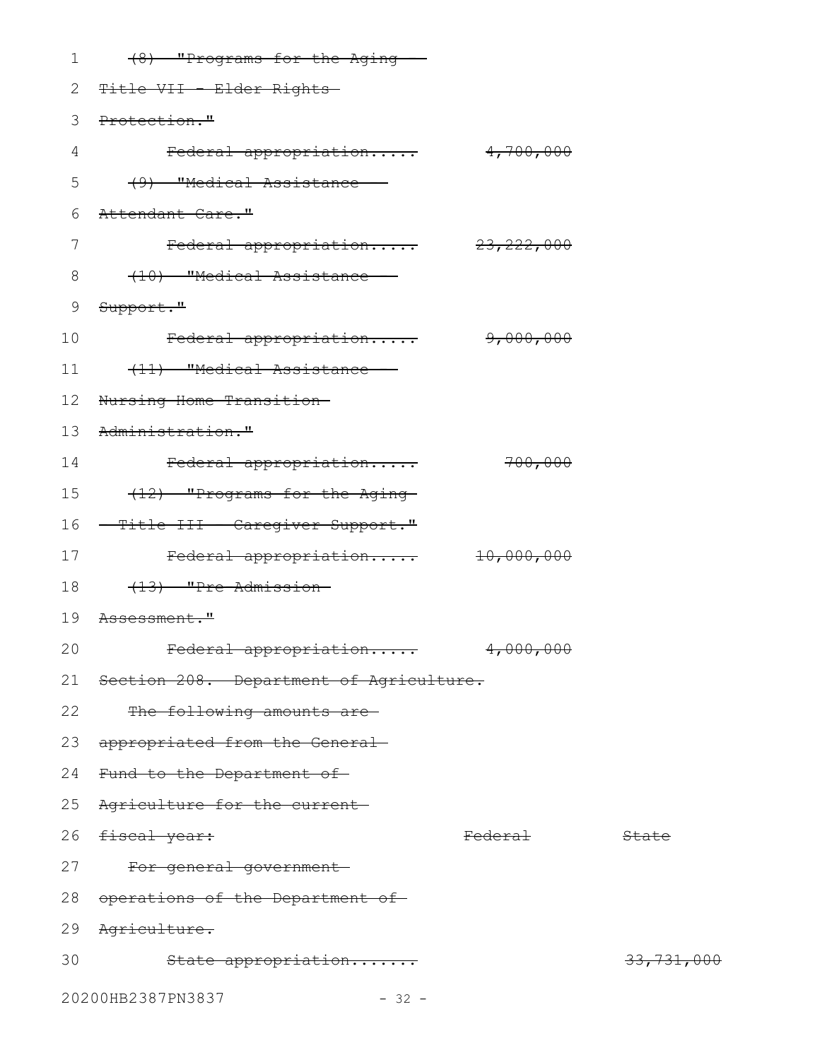| 1  | (8) "Programs for the Aging --               |                    |            |
|----|----------------------------------------------|--------------------|------------|
| 2  | <del>Title VII - Elder Rights-</del>         |                    |            |
| 3  | Protection."                                 |                    |            |
| 4  | Federal appropriation 4,700,000              |                    |            |
| 5  | (9) "Medical Assistance -                    |                    |            |
| 6  | Attendant Care."                             |                    |            |
| 7  | Federal appropriation 23, 222, 000           |                    |            |
| 8  | (10) "Medical Assistance -                   |                    |            |
| 9  | Support."                                    |                    |            |
| 10 | Federal appropriation                        | 9,000,000          |            |
| 11 | (11) "Medical Assistance -                   |                    |            |
| 12 | Nursing Home Transition-                     |                    |            |
| 13 | Administration."                             |                    |            |
| 14 | Federal appropriation                        | 700,000            |            |
| 15 | (12) "Programs for the Aging-                |                    |            |
| 16 | <del>- Title III - Caregiver Support."</del> |                    |            |
| 17 | Federal appropriation 10,000,000             |                    |            |
| 18 | (13) "Pre-Admission-                         |                    |            |
| 19 | <del>Assessment."</del>                      |                    |            |
| 20 | <del>Federal appropriation</del>             | 4,000,000          |            |
|    | 21 Section 208. Department of Agriculture.   |                    |            |
| 22 | The following amounts are-                   |                    |            |
| 23 | appropriated from the General-               |                    |            |
|    | 24 Fund to the Department of                 |                    |            |
| 25 | Agriculture for the current-                 |                    |            |
| 26 | <del>fiscal year:</del>                      | <del>Federal</del> | State      |
| 27 | For general government-                      |                    |            |
| 28 | operations of the Department of              |                    |            |
| 29 | <del>Agriculture.</del>                      |                    |            |
| 30 | State appropriation                          |                    | 33,731,000 |
|    | 20200HB2387PN3837<br>$-32 -$                 |                    |            |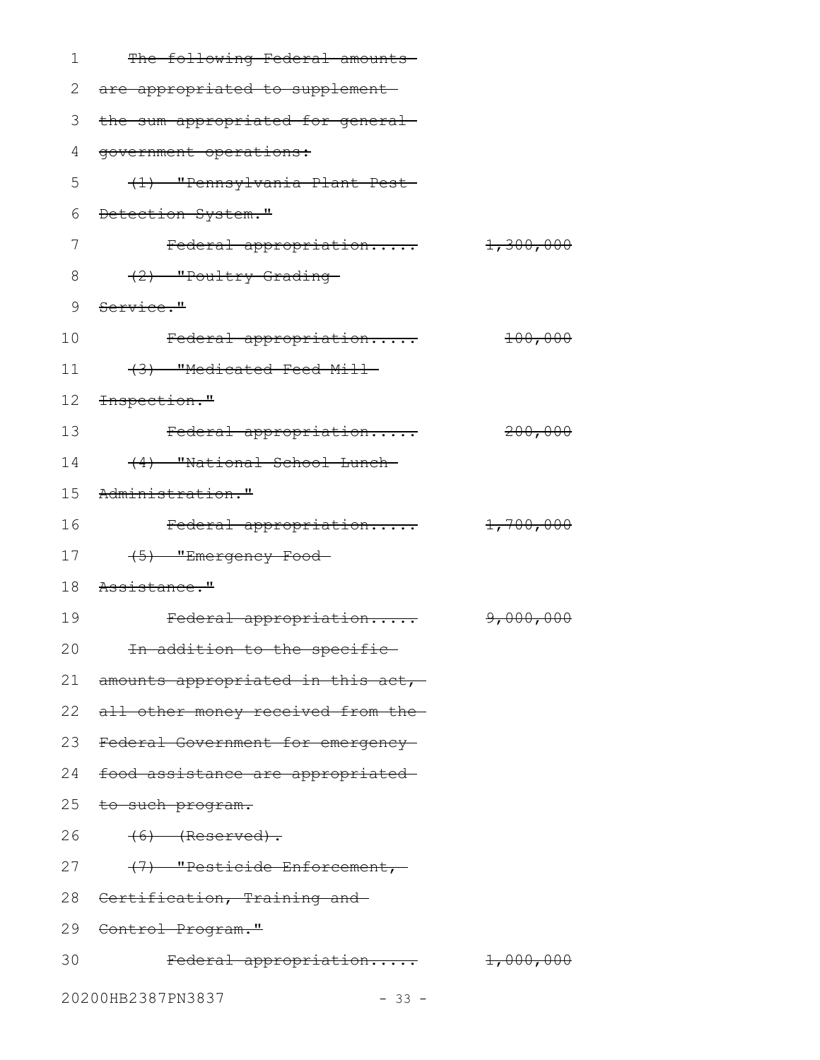| 1  | The following Federal amounts          |           |
|----|----------------------------------------|-----------|
| 2  | are appropriated to supplement-        |           |
| 3  | the sum appropriated for general-      |           |
| 4  | government operations:                 |           |
| 5  | (1) "Pennsylvania Plant Pest           |           |
| 6  | Detection System."                     |           |
| 7  | Federal appropriation 1,300,000        |           |
| 8  | (2) "Poultry Grading-                  |           |
| 9  | Service."                              |           |
| 10 | Federal appropriation                  | 100,000   |
| 11 | (3) "Medicated Feed Mill-              |           |
| 12 | Inspection."                           |           |
| 13 | Federal appropriation                  | 200,000   |
| 14 | (4) "National School Lunch-            |           |
| 15 | Administration."                       |           |
| 16 | Federal appropriation                  | 1,700,000 |
| 17 | (5) "Emergency Food-                   |           |
| 18 | <del>Assistance."</del>                |           |
| 19 | Federal appropriation                  | 9,000,000 |
| 20 | <del>In addition to the specific</del> |           |
|    | 21 amounts appropriated in this act,-  |           |
|    | 22 all other money received from the-  |           |
|    | 23 Federal Government for emergency-   |           |
|    | 24 food assistance are appropriated    |           |
|    | 25 to such program.                    |           |
| 26 | $(6)$ (Reserved).                      |           |
|    | (7) "Pesticide Enforcement,<br>27      |           |
|    | 28 Certification, Training and         |           |
|    | 29 Control Program."                   |           |
| 30 | Federal appropriation 1,000,000        |           |
|    | 20200HB2387PN3837<br>$-33 -$           |           |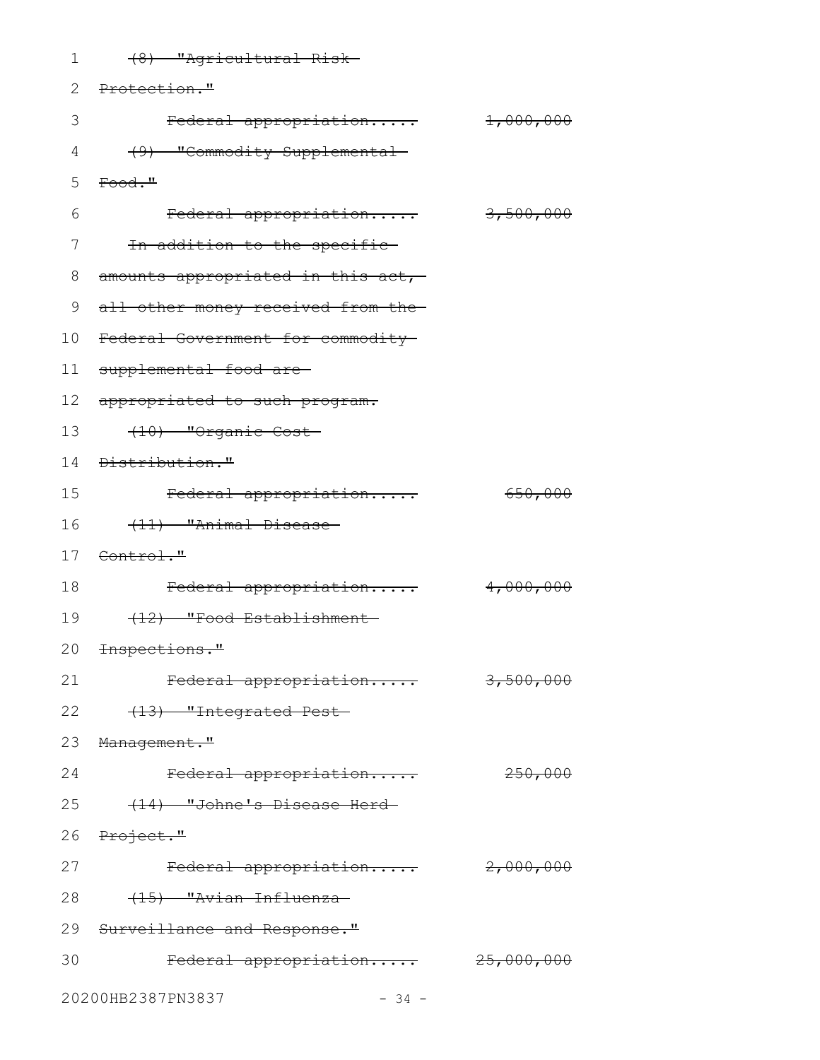| 1                            | (8) "Agricultural Risk-                    |           |  |  |
|------------------------------|--------------------------------------------|-----------|--|--|
| 2                            | Protection."                               |           |  |  |
| 3                            | Federal appropriation                      | 1,000,000 |  |  |
| 4                            | (9) "Commodity Supplemental-               |           |  |  |
| 5                            | $\text{Food.}$ "                           |           |  |  |
| 6                            | Federal appropriation                      | 3,500,000 |  |  |
| 7                            | In addition to the specific-               |           |  |  |
| 8                            | amounts appropriated in this act,-         |           |  |  |
| 9                            | all other money received from the-         |           |  |  |
| 10                           | Federal Government for commodity           |           |  |  |
| 11                           | supplemental food are-                     |           |  |  |
| 12                           | appropriated to such program.              |           |  |  |
| 13                           | (10) "Organic Cost                         |           |  |  |
| 14                           | <del>Distribution."</del>                  |           |  |  |
| 15                           | Federal appropriation                      | 650,000   |  |  |
| 16                           | (11) "Animal Disease-                      |           |  |  |
|                              | 17 Control."                               |           |  |  |
| 18                           | Federal appropriation                      | 4,000,000 |  |  |
| 19                           | (12) "Food Establishment-                  |           |  |  |
|                              | 20 <del>Inspections."</del>                |           |  |  |
| 21                           | Federal appropriation                      | 3,500,000 |  |  |
| 22                           | (13) "Integrated Pest-                     |           |  |  |
|                              | 23 Management."                            |           |  |  |
| 24                           | Federal appropriation                      | 250,000   |  |  |
|                              | 25<br>(14) "Johne's Disease Herd-          |           |  |  |
|                              | 26 Project."                               |           |  |  |
| 27                           | $\text{Federal approximation}$ $2,000,000$ |           |  |  |
| 28                           | (15) "Avian Influenza-                     |           |  |  |
|                              | 29 Surveillance and Response."             |           |  |  |
| 30                           | Federal appropriation 25,000,000           |           |  |  |
| 20200HB2387PN3837<br>$-34 -$ |                                            |           |  |  |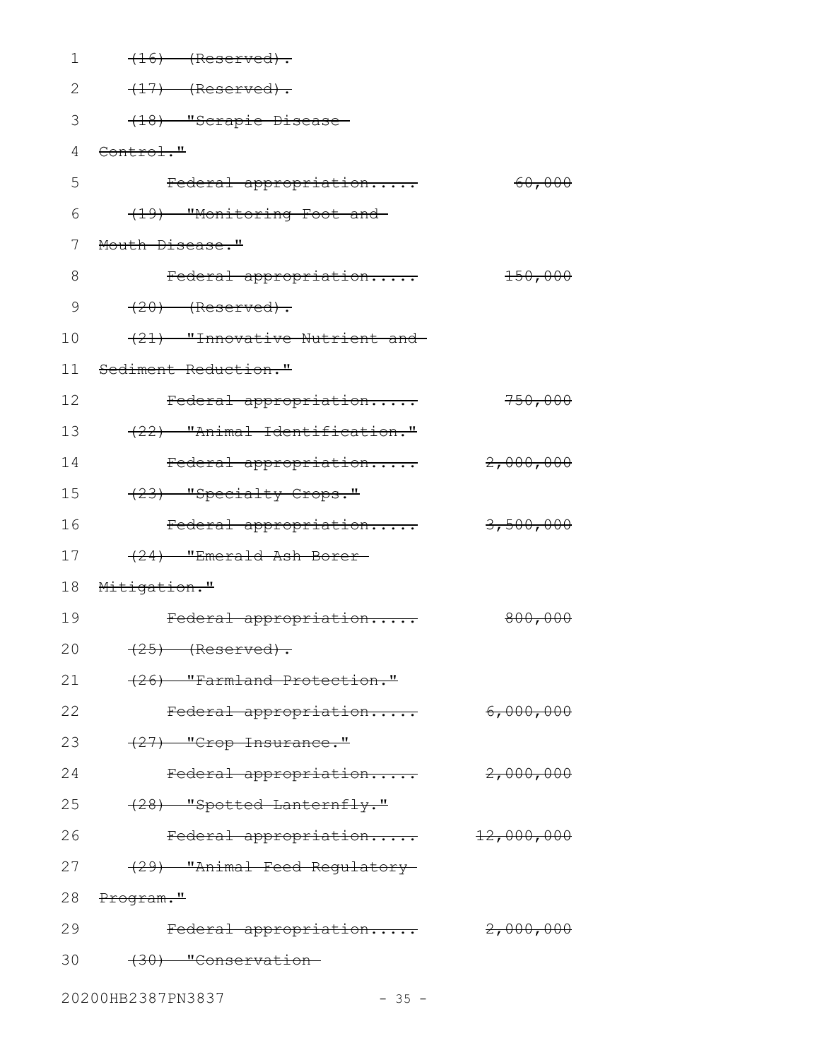| 1  | $(16)$ (Reserved).             |            |
|----|--------------------------------|------------|
| 2  | $(17)$ (Reserved).             |            |
| 3  | (18) "Scrapie Disease-         |            |
| 4  | Control."                      |            |
| 5  | Federal appropriation          | 60,000     |
| 6  | (19) "Monitoring Foot and      |            |
| 7  | Mouth Disease."                |            |
| 8  | Federal appropriation          | $+50,000$  |
| 9  | $(20)$ (Reserved).             |            |
| 10 | (21) "Innovative Nutrient and- |            |
| 11 | Sediment Reduction."           |            |
| 12 | Federal appropriation          | 750,000    |
| 13 | (22) "Animal Identification."  |            |
| 14 | Federal appropriation          | 2,000,000  |
| 15 | (23) "Specialty Crops."        |            |
| 16 | Federal appropriation          | 3,500,000  |
| 17 | (24) "Emerald Ash Borer-       |            |
| 18 | Mitigation."                   |            |
| 19 | Federal appropriation          | 800,000    |
| 20 | <del>(25) (Reserved).</del>    |            |
| 21 | (26) "Farmland Protection."    |            |
| 22 | Federal appropriation          | 6,000,000  |
| 23 | $(27)$ "Crop Insurance."       |            |
| 24 | Federal appropriation          | 2,000,000  |
| 25 | (28) "Spotted Lanternfly."     |            |
| 26 | Federal appropriation          | 12,000,000 |
| 27 | (29) "Animal Feed Requlatory   |            |
| 28 | <del>Program."</del>           |            |
| 29 | Federal appropriation          | 2,000,000  |
| 30 | (30) "Conservation             |            |
|    | 20200HB2387PN3837<br>$-35 -$   |            |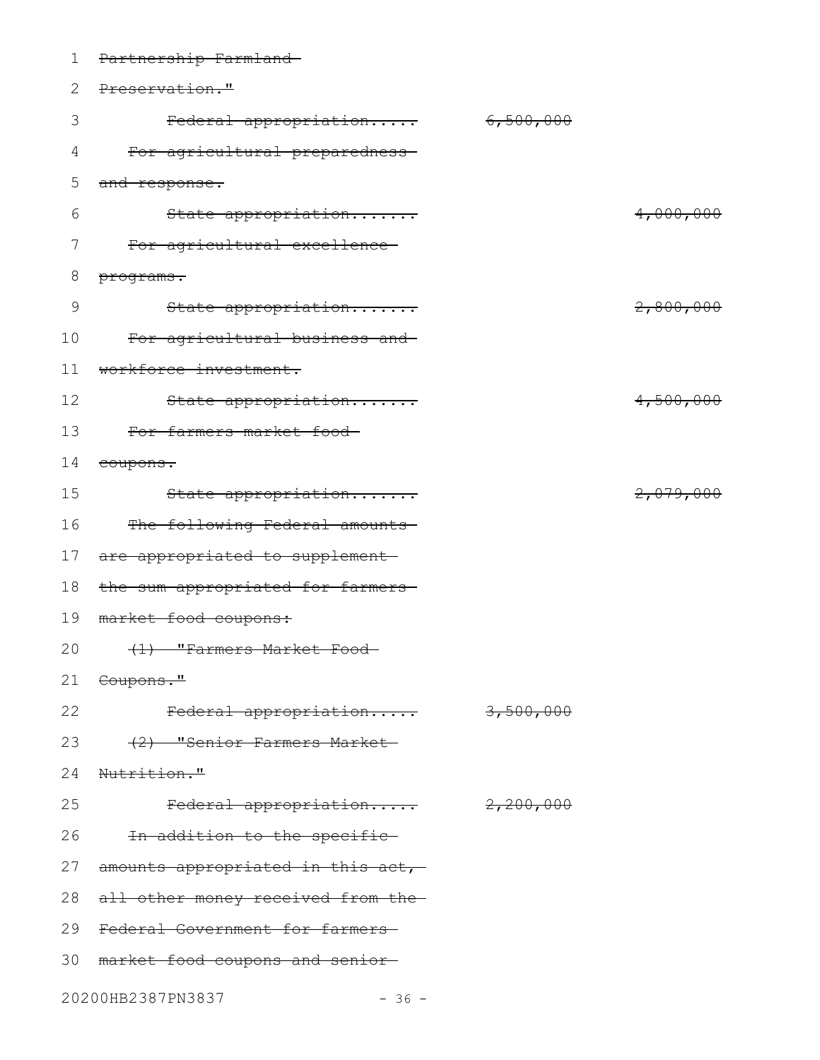| 1  | Partnership Farmland                          |           |           |
|----|-----------------------------------------------|-----------|-----------|
| 2  | Preservation."                                |           |           |
| 3  | Federal appropriation                         | 6,500,000 |           |
| 4  | For agricultural preparedness-                |           |           |
| 5  | and response.                                 |           |           |
| 6  | State appropriation                           |           | 4,000,000 |
| 7  | For agricultural excellence-                  |           |           |
| 8  | programs.                                     |           |           |
| 9  | State appropriation                           |           | 2,800,000 |
| 10 | For agricultural business and                 |           |           |
| 11 | workforce investment.                         |           |           |
| 12 | State appropriation                           |           | 4,500,000 |
| 13 | For farmers market food-                      |           |           |
| 14 | coupons.                                      |           |           |
| 15 | State appropriation                           |           | 2,079,000 |
| 16 | The following Federal amounts                 |           |           |
| 17 | are appropriated to supplement-               |           |           |
| 18 | the sum appropriated for farmers-             |           |           |
| 19 | market food coupons:                          |           |           |
| 20 | <del>(1) "Farmers Market Food</del>           |           |           |
|    | 21 <del>Coupons."</del>                       |           |           |
| 22 | Federal appropriation 3,500,000               |           |           |
| 23 | (2) "Senior Farmers Market-                   |           |           |
| 24 | Nutrition."                                   |           |           |
| 25 | Federal appropriation 2,200,000               |           |           |
|    | 26<br>In addition to the specific-            |           |           |
| 27 | amounts appropriated in this act,-            |           |           |
| 28 | a <del>ll other money received from the</del> |           |           |
| 29 | Federal Government for farmers-               |           |           |
|    | 30 market food coupons and senior-            |           |           |
|    | 20200HB2387PN3837<br>$-36 -$                  |           |           |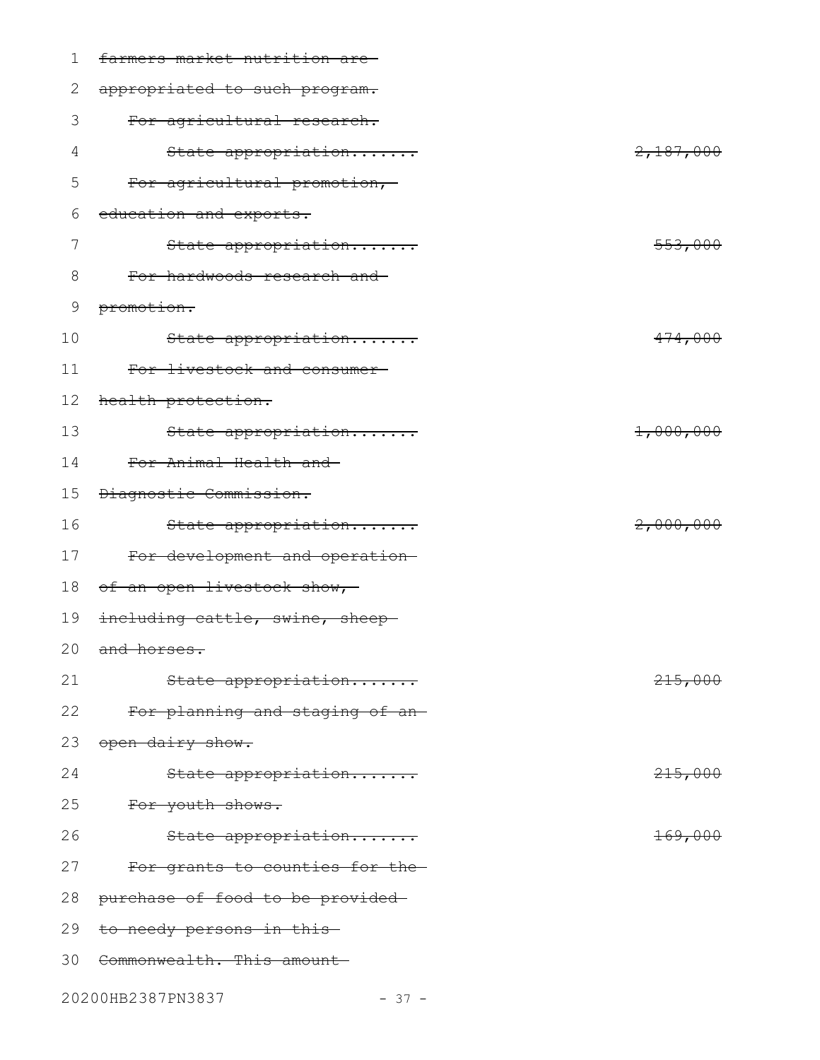| 1           | farmers market nutrition are-   |                    |
|-------------|---------------------------------|--------------------|
| 2           | appropriated to such program.   |                    |
| 3           | For agricultural research.      |                    |
| 4           | State appropriation             | 2,187,000          |
| 5           | For agricultural promotion,-    |                    |
| 6           | education and exports.          |                    |
| 7           | State appropriation             | 553,000            |
| 8           | For hardwoods research and-     |                    |
| $\mathsf 9$ | promotion.                      |                    |
| 10          | State appropriation             | 474,000            |
| 11          | For livestock and consumer-     |                    |
| 12          | health protection.              |                    |
| 13          | State appropriation             | 1,000,000          |
| 14          | For Animal Health and-          |                    |
| 15          | Diagnostic Commission.          |                    |
| 16          | State appropriation             | 2,000,000          |
| 17          | For development and operation-  |                    |
| 18          | of an open livestock show,      |                    |
| 19          | including cattle, swine, sheep- |                    |
|             | 20 and horses.                  |                    |
| 21          | State appropriation             | 215,000            |
| 22          | For planning and staging of an- |                    |
| 23          | open dairy show.                |                    |
| 24          | State appropriation             | 215,000            |
| 25          | For youth shows.                |                    |
| 26          | State appropriation             | <del>169,000</del> |
| 27          | For grants to counties for the- |                    |
| 28          | purchase of food to be provided |                    |
| 29          | to needy persons in this        |                    |
| 30          | Commonwealth. This amount       |                    |
|             | 20200HB2387PN3837<br>$-37 -$    |                    |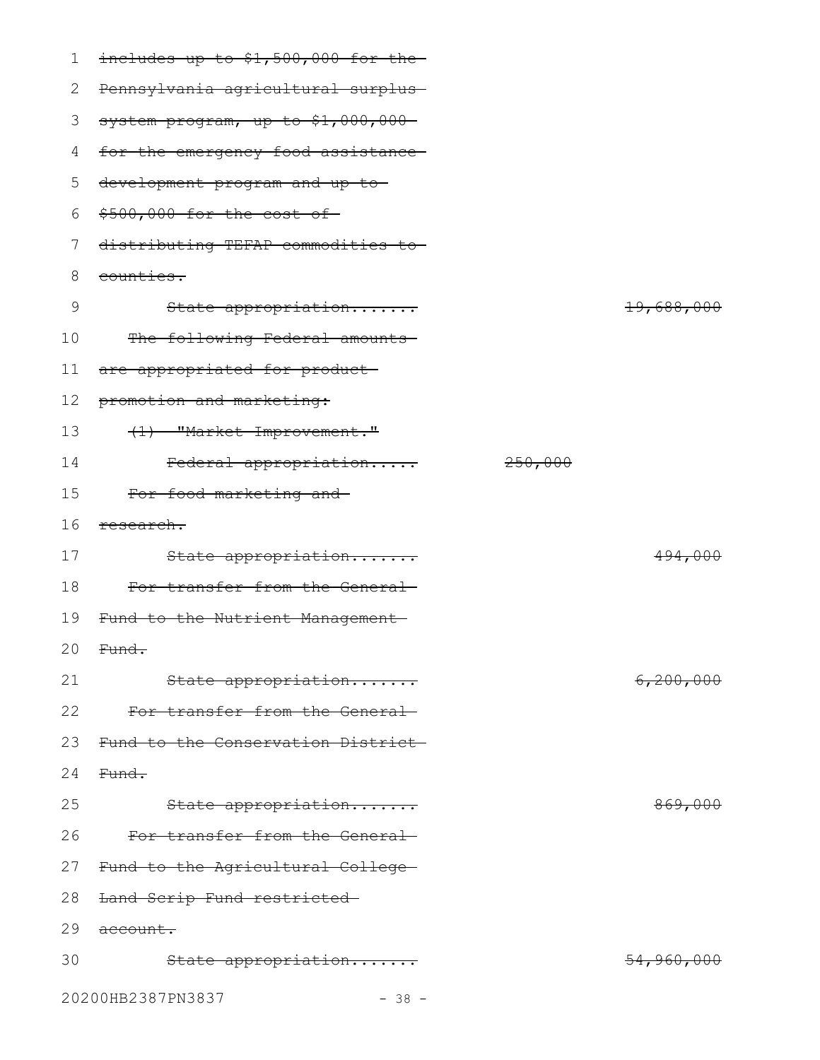| 1  | includes up to \$1,500,000 for the- |         |                       |
|----|-------------------------------------|---------|-----------------------|
| 2  | Pennsylvania agricultural surplus-  |         |                       |
| 3  | system program, up to \$1,000,000-  |         |                       |
| 4  | for the emergency food assistance-  |         |                       |
| 5  | development program and up to-      |         |                       |
| 6  | \$500,000 for the cost of-          |         |                       |
| 7  | distributing TEFAP commodities to-  |         |                       |
| 8  | counties.                           |         |                       |
| 9  | State appropriation                 |         | 19,688,000            |
| 10 | The following Federal amounts       |         |                       |
| 11 | are appropriated for product-       |         |                       |
| 12 | promotion and marketing:            |         |                       |
| 13 | (1) "Market Improvement."           |         |                       |
| 14 | Federal appropriation               | 250,000 |                       |
| 15 | For food marketing and-             |         |                       |
| 16 | research.                           |         |                       |
| 17 | State appropriation                 |         | 494,000               |
| 18 | For transfer from the General-      |         |                       |
| 19 | Fund to the Nutrient Management     |         |                       |
|    | 20 Fund.                            |         |                       |
| 21 | State appropriation                 |         | <del>6,200,000</del>  |
| 22 | For transfer from the General-      |         |                       |
| 23 | Fund to the Conservation District-  |         |                       |
| 24 | Fund.                               |         |                       |
| 25 | State appropriation                 |         | <del>869,000</del>    |
| 26 | For transfer from the General       |         |                       |
| 27 | Fund to the Agricultural College-   |         |                       |
| 28 | Land Scrip Fund restricted          |         |                       |
| 29 | account.                            |         |                       |
| 30 | State appropriation                 |         | <del>54,960,000</del> |
|    | 20200HB2387PN3837<br>$-38 -$        |         |                       |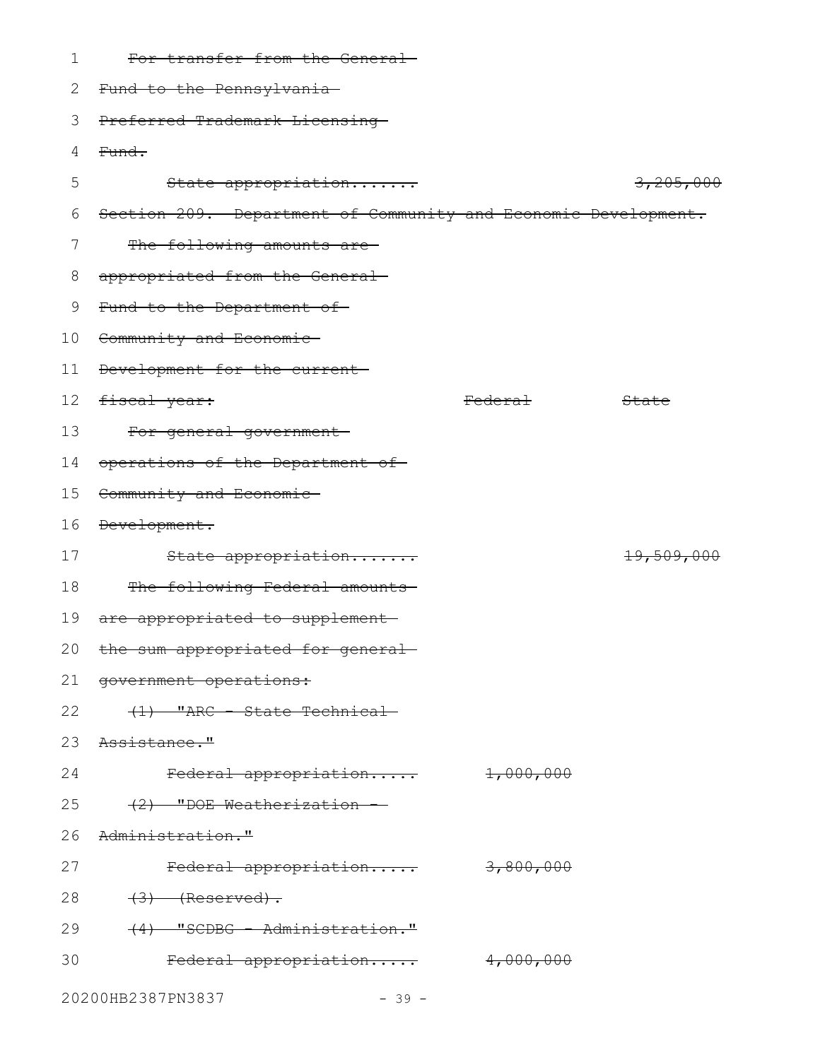| 1               | For transfer from the General-                                 |                    |            |
|-----------------|----------------------------------------------------------------|--------------------|------------|
| 2               | Fund to the Pennsylvania-                                      |                    |            |
| 3               | Preferred Trademark Licensing-                                 |                    |            |
| 4               | Fund.                                                          |                    |            |
| 5               | State appropriation                                            |                    | 3,205,000  |
| 6               | Section 209. Department of Community and Economic Development. |                    |            |
| 7               | The following amounts are-                                     |                    |            |
| 8               | appropriated from the General-                                 |                    |            |
| 9               | Fund to the Department of-                                     |                    |            |
| 10              | Community and Economic-                                        |                    |            |
| 11              | Development for the current-                                   |                    |            |
| 12 <sup>°</sup> | fiscal year:                                                   | <del>Federal</del> | State      |
| 13              | For general government-                                        |                    |            |
| 14              | operations of the Department of                                |                    |            |
| 15              | Community and Economic-                                        |                    |            |
| 16              | Development.                                                   |                    |            |
| 17              | State appropriation                                            |                    | 19,509,000 |
| 18              | The following Federal amounts                                  |                    |            |
| 19              | are appropriated to supplement                                 |                    |            |
| 20              | the sum appropriated for general-                              |                    |            |
|                 | 21 government operations:                                      |                    |            |
| 22              | (1) "ARC - State Technical-                                    |                    |            |
| 23              | <del>Assistance."</del>                                        |                    |            |
| 24              | Federal appropriation                                          | 1,000,000          |            |
| 25              | (2) "DOE Weatherization -                                      |                    |            |
| 26              | Administration."                                               |                    |            |
| 27              | Federal appropriation                                          | 3,800,000          |            |
| 28              | $(3)$ (Reserved).                                              |                    |            |
| 29              | (4) "SCDBG - Administration."                                  |                    |            |
| 30              | Federal appropriation                                          | 4,000,000          |            |
|                 | 20200HB2387PN3837<br>$-39 -$                                   |                    |            |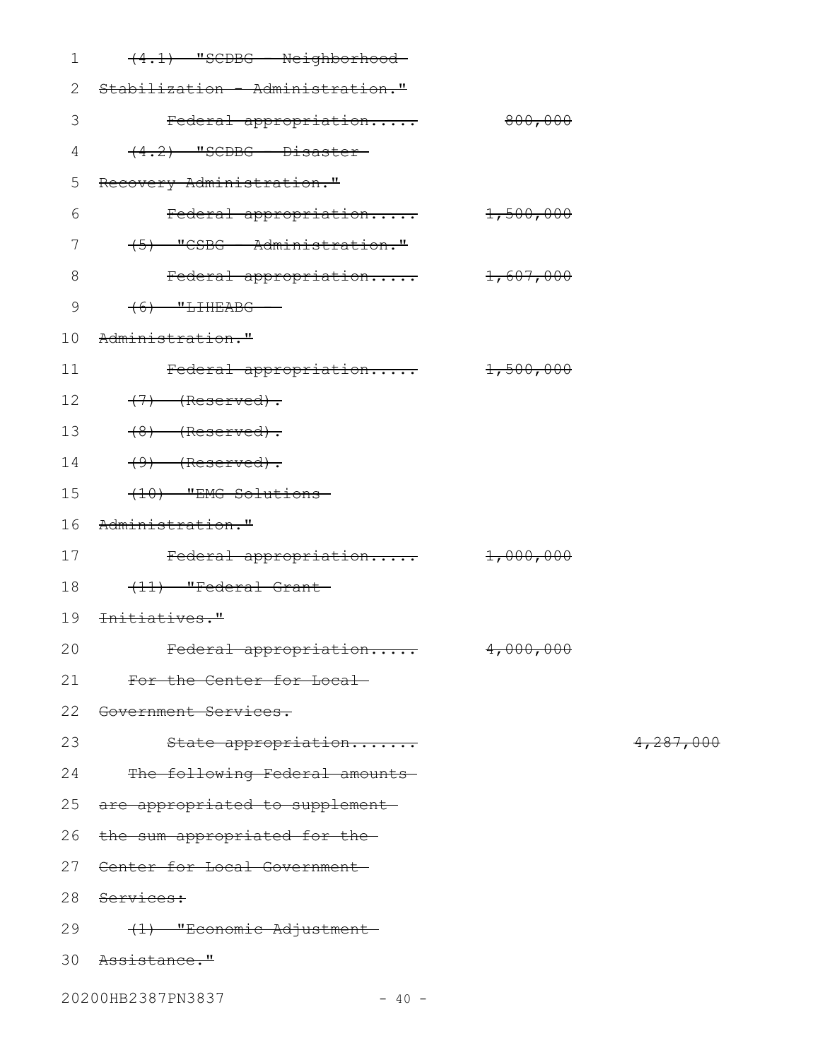| $\mathbf 1$ | $(4.1)$ "SCDBG - Neighborhood-     |         |           |
|-------------|------------------------------------|---------|-----------|
| 2           | Stabilization - Administration."   |         |           |
| 3           | Federal appropriation              | 800,000 |           |
| 4           | $(4.2)$ "SCDBG - Disaster-         |         |           |
| 5           | Recovery Administration."          |         |           |
| 6           | Federal appropriation 1,500,000    |         |           |
| 7           | (5) "CSBG - Administration."       |         |           |
| 8           | Federal appropriation 1,607,000    |         |           |
| $\mathsf 9$ | $(6)$ "LIHEABG -                   |         |           |
| 10          | Administration."                   |         |           |
| 11          | Federal appropriation 1,500,000    |         |           |
| 12          | $(7)$ (Reserved).                  |         |           |
| 13          | $(8)$ (Reserved).                  |         |           |
| 14          | $(9)$ (Reserved).                  |         |           |
| 15          | (10) "EMG Solutions-               |         |           |
| 16          | Administration."                   |         |           |
| 17          | Federal appropriation 1,000,000    |         |           |
| 18          | (11) "Federal Grant-               |         |           |
| 19          | <del>Initiatives."</del>           |         |           |
|             | 20 Federal appropriation 4,000,000 |         |           |
| 21          | For the Center for Local           |         |           |
| 22          | Government Services.               |         |           |
| 23          | State appropriation                |         | 4,287,000 |
| 24          | The following Federal amounts      |         |           |
| 25          | are appropriated to supplement     |         |           |
| 26          | the sum appropriated for the-      |         |           |
| 27          | Center for Local Government-       |         |           |
| 28          | Services:                          |         |           |
| 29          | (1) "Economic Adjustment-          |         |           |
| 30          | <del>Assistance."</del>            |         |           |
|             |                                    |         |           |

20200HB2387PN3837 - 40 -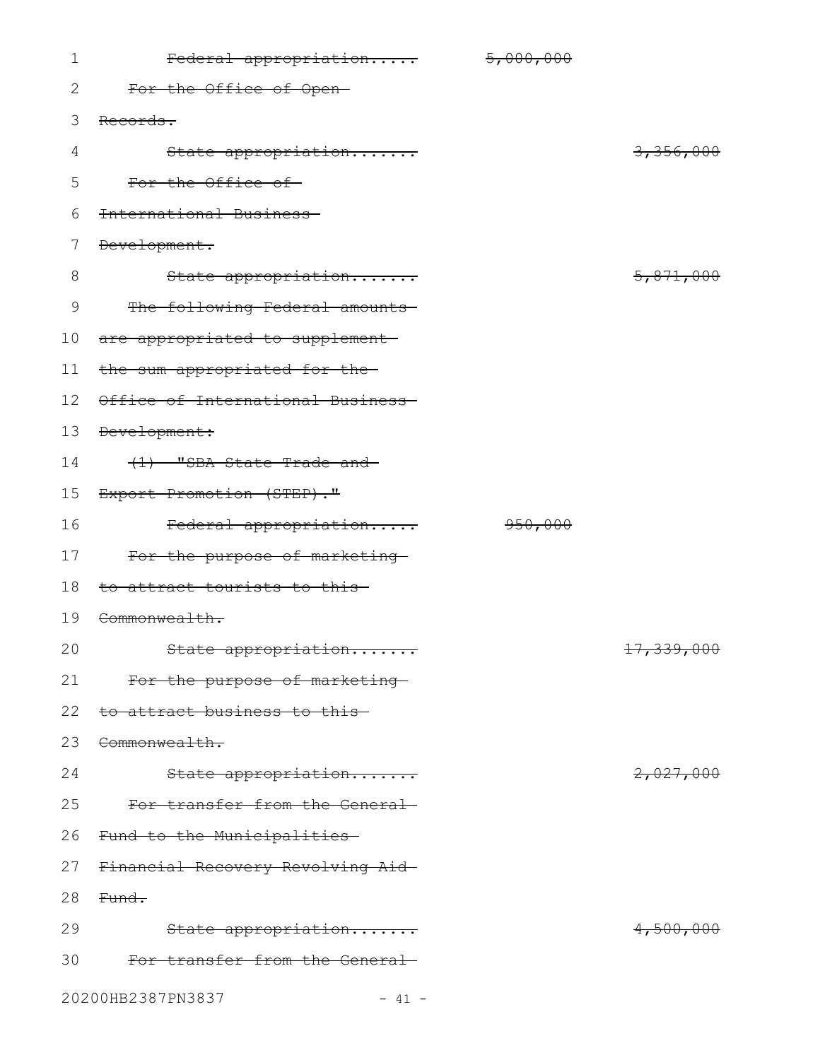| 1              | Federal appropriation             | 5,000,000 |            |
|----------------|-----------------------------------|-----------|------------|
| 2              | For the Office of Open-           |           |            |
| 3              | Records.                          |           |            |
| $\overline{4}$ | State appropriation               |           | 3,356,000  |
| 5              | For the Office of-                |           |            |
| 6              | International Business            |           |            |
| 7              | Development.                      |           |            |
| $8\,$          | State appropriation               |           | 5,871,000  |
| 9              | The following Federal amounts     |           |            |
| 10             | are appropriated to supplement    |           |            |
| 11             | the sum appropriated for the-     |           |            |
| 12             | Office of International Business- |           |            |
| 13             | Development:                      |           |            |
| 14             | $(1)$ "SBA State Trade and        |           |            |
| 15             | Export Promotion (STEP)."         |           |            |
| 16             | Federal appropriation             | 950,000   |            |
| 17             | For the purpose of marketing-     |           |            |
| 18             | to attract tourists to this       |           |            |
| 19             | Commonwealth.                     |           |            |
| 20             | State appropriation               |           | 17,339,000 |
| 21             | For the purpose of marketing      |           |            |
| 22             | to attract business to this       |           |            |
| 23             | Commonwealth.                     |           |            |
| 24             | State appropriation               |           | 2,027,000  |
| 25             | For transfer from the General     |           |            |
| 26             | Fund to the Municipalities-       |           |            |
| 27             | Financial Recovery Revolving Aid- |           |            |
| 28             | Fund.                             |           |            |
| 29             | State appropriation               |           | 4,500,000  |
| 30             | For transfer from the General     |           |            |
|                | 20200HB2387PN3837<br>$-41 -$      |           |            |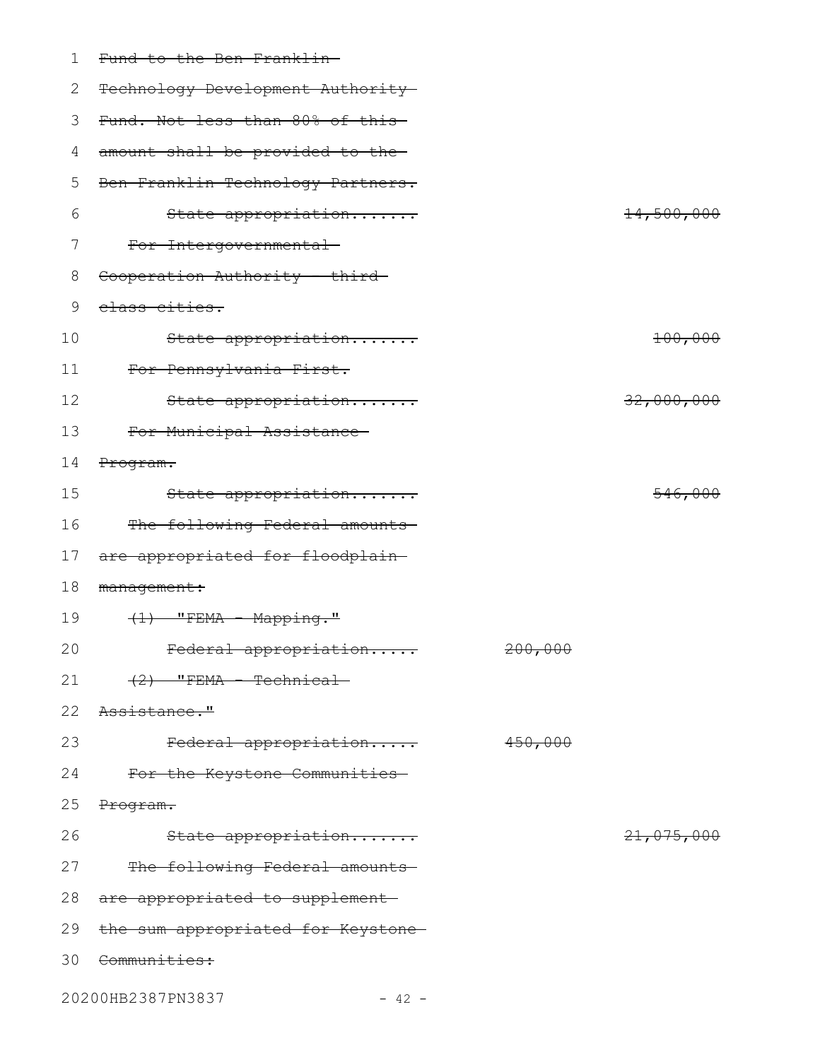| 1  | Fund to the Ben Franklin-          |         |                       |
|----|------------------------------------|---------|-----------------------|
| 2  | Technology Development Authority-  |         |                       |
| 3  | Fund. Not less than 80% of this-   |         |                       |
| 4  | amount shall be provided to the-   |         |                       |
| 5  | Ben Franklin Technology Partners.  |         |                       |
| 6  | State appropriation                |         | <del>14,500,000</del> |
| 7  | For Intergovernmental-             |         |                       |
| 8  | Cooperation Authority - third-     |         |                       |
| 9  | class cities.                      |         |                       |
| 10 | State appropriation                |         | 100,000               |
| 11 | For Pennsylvania First.            |         |                       |
| 12 | State appropriation                |         | 32,000,000            |
| 13 | For Municipal Assistance           |         |                       |
| 14 | Program.                           |         |                       |
| 15 | State appropriation                |         | 546,000               |
| 16 | The following Federal amounts      |         |                       |
| 17 | are appropriated for floodplain-   |         |                       |
| 18 | management:                        |         |                       |
| 19 | $(1)$ "FEMA - Mapping."            |         |                       |
| 20 | Federal appropriation              | 200,000 |                       |
| 21 | $(2)$ "FEMA - Technical-           |         |                       |
| 22 | Assistance."                       |         |                       |
| 23 | Federal appropriation              | 450,000 |                       |
| 24 | For the Keystone Communities-      |         |                       |
| 25 | Program.                           |         |                       |
| 26 | State appropriation                |         | 21,075,000            |
| 27 | The following Federal amounts      |         |                       |
| 28 | are appropriated to supplement-    |         |                       |
| 29 | the sum appropriated for Keystone- |         |                       |
| 30 | <del>Communities:</del>            |         |                       |
|    | 20200HB2387PN3837<br>$-42 -$       |         |                       |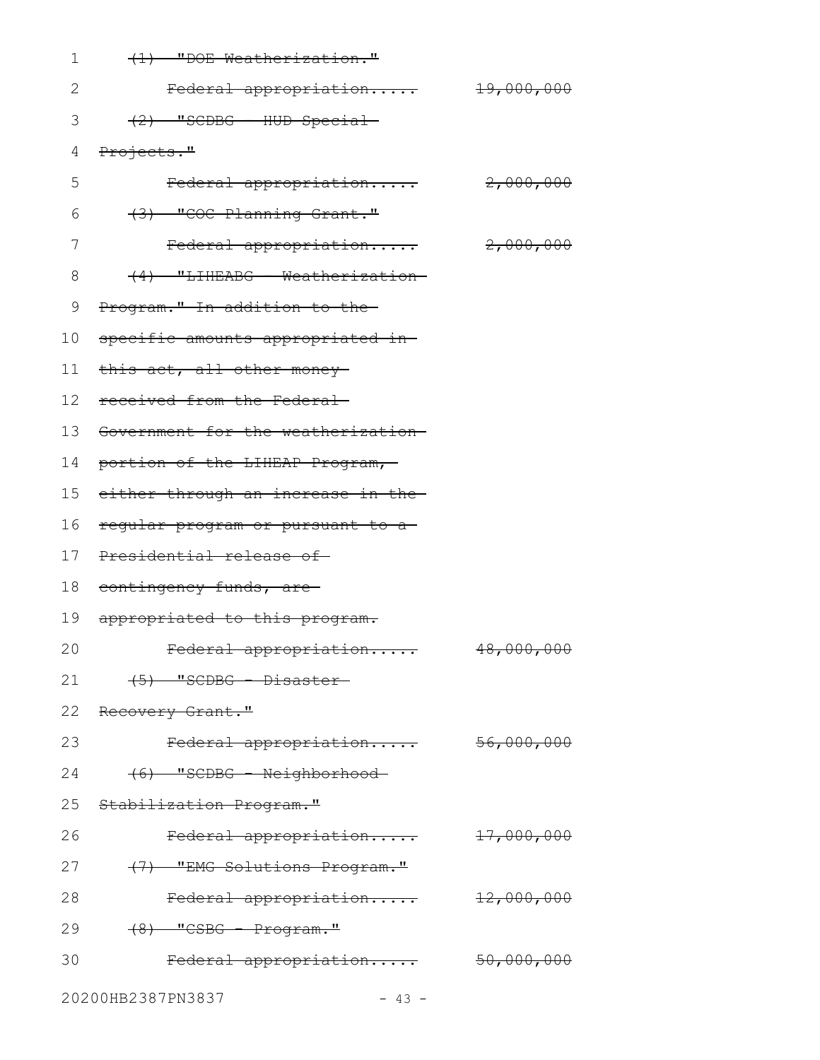| 1  | (1) "DOE Weatherization."             |                       |
|----|---------------------------------------|-----------------------|
| 2  | Federal appropriation                 | <del>19,000,000</del> |
| 3  | $(2)$ "SCDBG - HUD Special-           |                       |
| 4  | Projects."                            |                       |
| 5  | Federal appropriation                 | 2,000,000             |
| 6  | (3) "COC Planning Grant."             |                       |
| 7  | Federal appropriation                 | 2,000,000             |
| 8  | (4) "LIHEABG - Weatherization-        |                       |
| 9  | Program." In addition to the-         |                       |
| 10 | specific amounts appropriated in-     |                       |
| 11 | this act, all other money-            |                       |
| 12 | received from the Federal-            |                       |
| 13 | Government for the weatherization-    |                       |
| 14 | portion of the LIHEAP Program,        |                       |
|    | 15 either through an increase in the- |                       |
| 16 | regular program or pursuant to a-     |                       |
|    | 17 Presidential release of            |                       |
| 18 | <del>contingency funds, are-</del>    |                       |
| 19 | appropriated to this program.         |                       |
| 20 | Federal appropriation                 | 48,000,000            |
| 21 | $(5)$ "SCDBG - Disaster-              |                       |
| 22 | <del>Recovery Grant."</del>           |                       |
| 23 | Federal appropriation                 | 56,000,000            |
| 24 | (6) "SCDBG - Neighborhood-            |                       |
| 25 | Stabilization Program."               |                       |
| 26 | Federal appropriation                 | 17,000,000            |
| 27 | (7) "EMG Solutions Program."          |                       |
| 28 | Federal appropriation                 | 12,000,000            |
| 29 | $(8)$ "CSBG - Program."               |                       |
| 30 | Federal appropriation                 | 50,000,000            |
|    |                                       |                       |

20200HB2387PN3837 - 43 -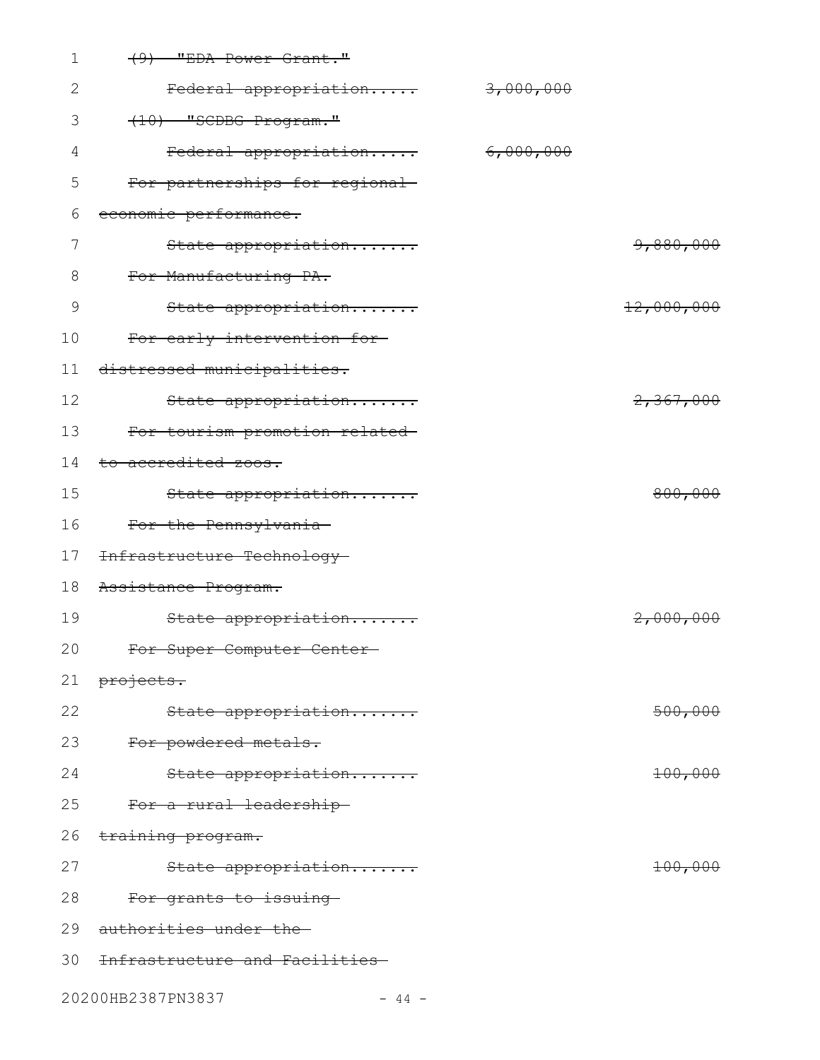| 1  | $(9)$ "EDA Power Grant."           |           |            |
|----|------------------------------------|-----------|------------|
| 2  | Federal appropriation              | 3,000,000 |            |
| 3  | (10) "SCDBG Program."              |           |            |
| 4  | Federal appropriation              | 6,000,000 |            |
| 5  | For partnerships for regional      |           |            |
| 6  | economic performance.              |           |            |
| 7  | State appropriation                |           | 9,880,000  |
| 8  | For Manufacturing PA.              |           |            |
| 9  | State appropriation                |           | 12,000,000 |
| 10 | For early intervention for-        |           |            |
| 11 | distressed municipalities.         |           |            |
| 12 | State appropriation                |           | 2,367,000  |
| 13 | For tourism promotion related-     |           |            |
| 14 | to accredited zoos.                |           |            |
| 15 | State appropriation                |           | 800,000    |
| 16 | For the Pennsylvania-              |           |            |
| 17 | Infrastructure Technology-         |           |            |
| 18 | Assistance Program.                |           |            |
| 19 | State appropriation                |           | 2,000,000  |
| 20 | For Super Computer Center-         |           |            |
| 21 | <del>projects.</del>               |           |            |
| 22 | State appropriation                |           | 500,000    |
| 23 | For powdered metals.               |           |            |
| 24 | State appropriation                |           | 100,000    |
| 25 | For a rural leadership-            |           |            |
| 26 | training program.                  |           |            |
| 27 | State appropriation                |           | 100,000    |
| 28 | <del>For grants to issuing</del> - |           |            |
| 29 | authorities under the              |           |            |
|    | 30 Infrastructure and Facilities-  |           |            |
|    | 20200HB2387PN3837<br>$-44 -$       |           |            |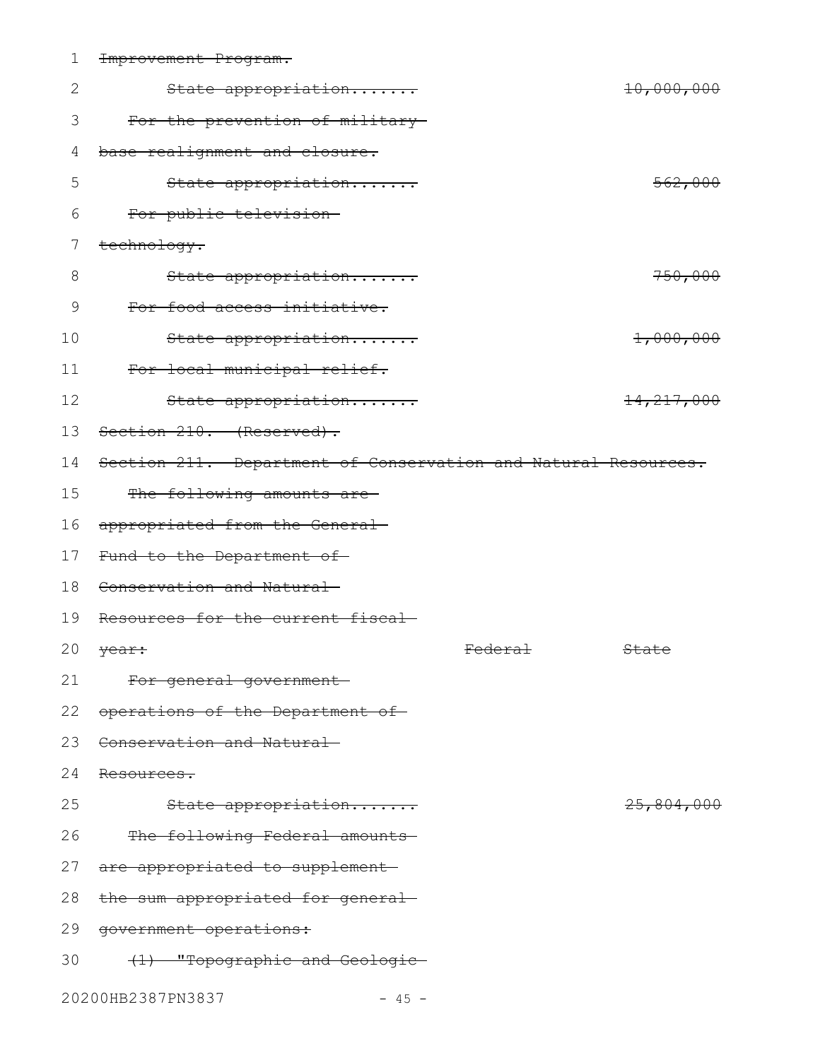| $\mathbf 1$ | Improvement Program.                                           |                |              |
|-------------|----------------------------------------------------------------|----------------|--------------|
| 2           | State appropriation                                            |                | 10,000,000   |
| 3           | For the prevention of military-                                |                |              |
| 4           | base realignment and closure.                                  |                |              |
| 5           | State appropriation                                            |                | 562,000      |
| 6           | For public television-                                         |                |              |
| 7           | technology.                                                    |                |              |
| 8           | State appropriation                                            |                | 750,000      |
| 9           | For food access initiative.                                    |                |              |
| 10          | State appropriation                                            |                | 1,000,000    |
| 11          | For local municipal relief.                                    |                |              |
| 12          | State appropriation                                            |                | 14, 217, 000 |
| 13          | Section 210. (Reserved).                                       |                |              |
| 14          | Section 211. Department of Conservation and Natural Resources. |                |              |
| 15          | The following amounts are-                                     |                |              |
| 16          | appropriated from the General-                                 |                |              |
| 17          | Fund to the Department of-                                     |                |              |
| 18          | Conservation and Natural                                       |                |              |
| 19          | Resources for the current fiscal-                              |                |              |
|             | 20 year:                                                       | <b>Federal</b> | State        |
| 21          | For general government-                                        |                |              |
|             | 22 operations of the Department of                             |                |              |
| 23          | Conservation and Natural                                       |                |              |
| 24          | Resources.                                                     |                |              |
| 25          | State appropriation                                            |                | 25,804,000   |
|             | 26 The following Federal amounts                               |                |              |
|             | 27 are appropriated to supplement-                             |                |              |
|             | 28 the sum appropriated for general-                           |                |              |
| 29          | qovernment operations:                                         |                |              |
| 30          | (1) "Topographic and Geologic-                                 |                |              |
|             | 20200HB2387PN3837<br>$-45 -$                                   |                |              |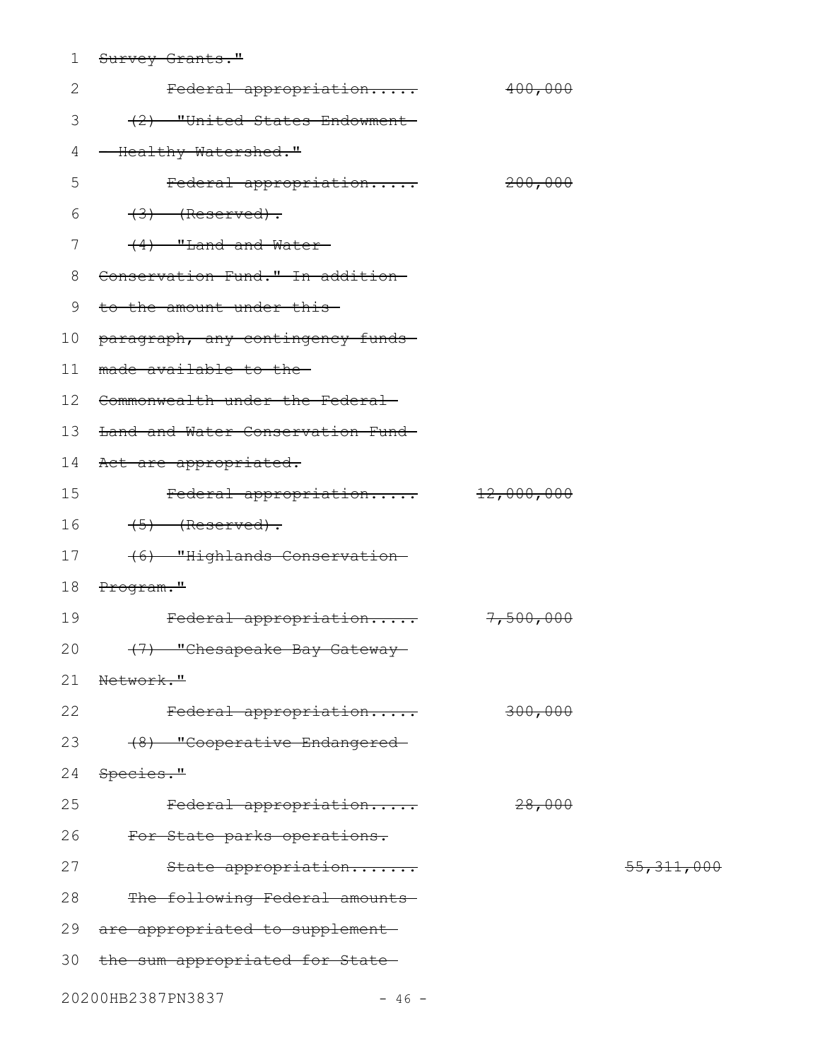|                     | $C_{11}$ $m_{12}$ $n_{13}$ $C_{12}$ $n_{14}$ $C_{15}$ |  |
|---------------------|-------------------------------------------------------|--|
| <del>pulvev –</del> | <del>- Grancs</del>                                   |  |

| 2  | Federal appropriation             | 400,000   |              |
|----|-----------------------------------|-----------|--------------|
| 3  | (2) "United States Endowment      |           |              |
| 4  | - Healthy Watershed."             |           |              |
| 5  | Federal appropriation             | 200,000   |              |
| 6  | $(3)$ (Reserved).                 |           |              |
| 7  | $(4)$ "Land and Water-            |           |              |
| 8  | Conservation Fund." In addition   |           |              |
| 9  | to the amount under this          |           |              |
| 10 | paragraph, any contingency funds- |           |              |
| 11 | made available to the             |           |              |
|    | 12 Commonwealth under the Federal |           |              |
| 13 | Land and Water Conservation Fund- |           |              |
| 14 | Act are appropriated.             |           |              |
| 15 | Federal appropriation 12,000,000  |           |              |
| 16 | $(5)$ (Reserved).                 |           |              |
| 17 | (6) "Highlands Conservation-      |           |              |
| 18 | Program."                         |           |              |
| 19 | Federal appropriation             | 7,500,000 |              |
| 20 | (7) "Chesapeake Bay Gateway       |           |              |
|    | 21 Network."                      |           |              |
| 22 | Federal appropriation             | 300,000   |              |
| 23 | (8) "Cooperative Endangered-      |           |              |
| 24 | Species."                         |           |              |
| 25 | Federal appropriation             | 28,000    |              |
| 26 | For State parks operations.       |           |              |
| 27 | State appropriation               |           | 55, 311, 000 |
| 28 | The following Federal amounts     |           |              |
| 29 | are appropriated to supplement-   |           |              |
| 30 | the sum appropriated for State-   |           |              |
|    |                                   |           |              |

20200HB2387PN3837 - 46 -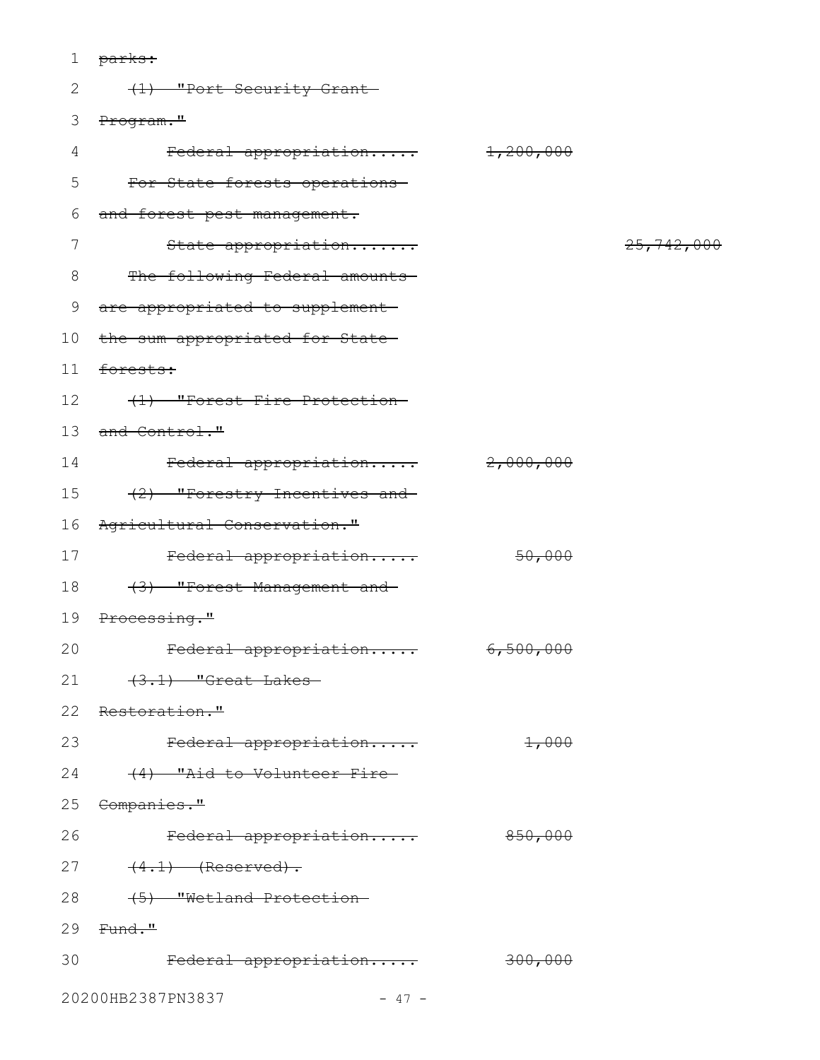| $\mathbf 1$     | <del>parks:</del>               |                      |            |
|-----------------|---------------------------------|----------------------|------------|
| 2               | (1) "Port Security Grant-       |                      |            |
| 3               | Program."                       |                      |            |
| 4               | Federal appropriation           | 1,200,000            |            |
| 5               | For State forests operations-   |                      |            |
| 6               | and forest pest management.     |                      |            |
| 7               | State appropriation             |                      | 25,742,000 |
| 8               | The following Federal amounts   |                      |            |
| 9               | are appropriated to supplement  |                      |            |
| 10 <sub>o</sub> | the sum appropriated for State- |                      |            |
| 11              | forests:                        |                      |            |
| 12              | (1) "Forest Fire Protection-    |                      |            |
| 13              | and Control."                   |                      |            |
| 14              | Federal appropriation           | 2,000,000            |            |
| 15              | (2) "Forestry Incentives and    |                      |            |
| 16              | Agricultural Conservation."     |                      |            |
| 17              | Federal appropriation           | 50,000               |            |
| 18              | (3) "Forest Management and      |                      |            |
| 19              | <del>Processing."</del>         |                      |            |
| 20              | Federal appropriation           | <del>6,500,000</del> |            |
| 21              | $(3.1)$ "Great Lakes            |                      |            |
| 22              | Restoration."                   |                      |            |
| 23              | Federal appropriation           | 1,000                |            |
| 24              | (4) "Aid to Volunteer Fire-     |                      |            |
| 25              | <del>Companies."</del>          |                      |            |
| 26              | Federal appropriation           | 850,000              |            |
| 27              | $(4.1)$ (Reserved).             |                      |            |
| 28              | (5) "Wetland Protection-        |                      |            |
| 29              | <del>Fund."</del>               |                      |            |
| 30              | Federal appropriation           | 300,000              |            |
|                 |                                 |                      |            |

20200HB2387PN3837 - 47 -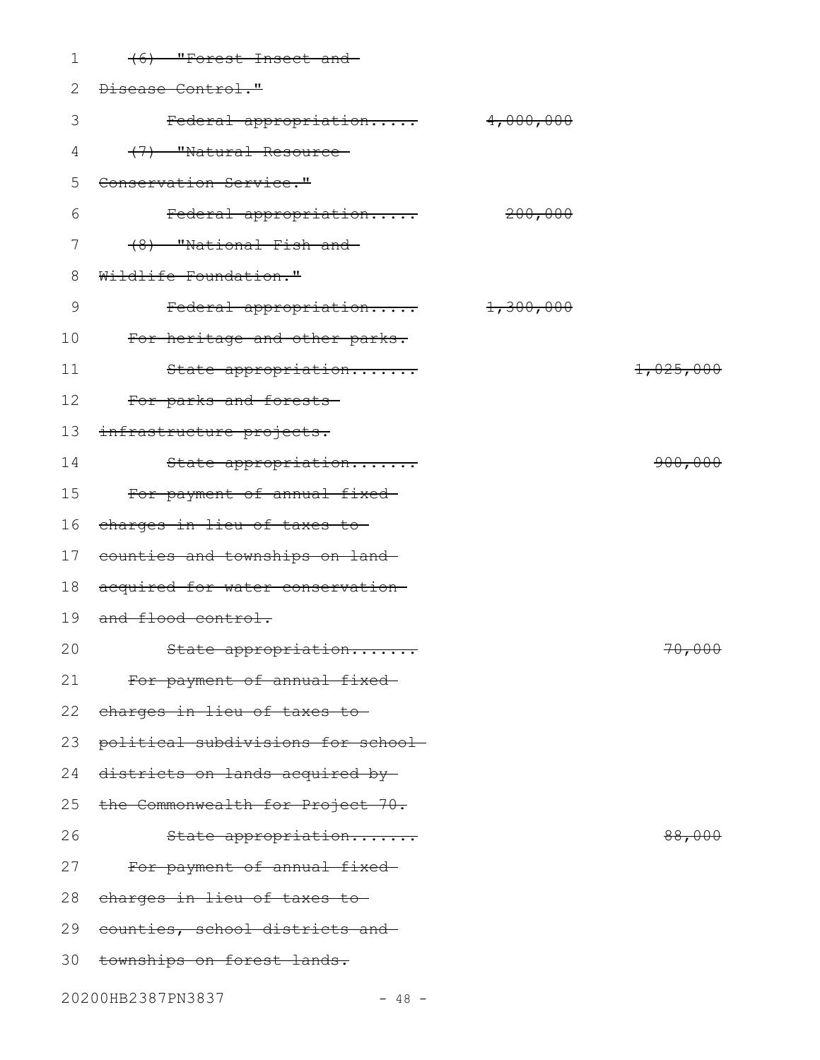| 1  | (6) "Forest Insect and             |           |           |
|----|------------------------------------|-----------|-----------|
| 2  | Disease Control."                  |           |           |
| 3  | Federal appropriation 4,000,000    |           |           |
| 4  | (7) "Natural Resource-             |           |           |
| 5  | Conservation Service."             |           |           |
| 6  | Federal appropriation              | 200,000   |           |
| 7  | (8) "National Fish and             |           |           |
| 8  | Wildlife Foundation."              |           |           |
| 9  | Federal appropriation              | 1,300,000 |           |
| 10 | For heritage and other parks.      |           |           |
| 11 | State appropriation                |           | 1,025,000 |
| 12 | For parks and forests-             |           |           |
| 13 | infrastructure projects.           |           |           |
| 14 | State appropriation                |           | 900,000   |
| 15 | For payment of annual fixed-       |           |           |
| 16 | charges in lieu of taxes to-       |           |           |
| 17 | counties and townships on land-    |           |           |
| 18 | acquired for water conservation    |           |           |
| 19 | and flood control.                 |           |           |
| 20 | State appropriation                |           | 70,000    |
| 21 | For payment of annual fixed-       |           |           |
| 22 | charges in lieu of taxes to        |           |           |
| 23 | political subdivisions for school- |           |           |
| 24 | districts on lands acquired by     |           |           |
| 25 | the Commonwealth for Project 70.   |           |           |
| 26 | State appropriation                |           | 88,000    |
| 27 | For payment of annual fixed-       |           |           |
| 28 | charges in lieu of taxes to-       |           |           |
| 29 | counties, school districts and     |           |           |
|    | 30 townships on forest lands.      |           |           |
|    | 20200HB2387PN3837<br>$-48 -$       |           |           |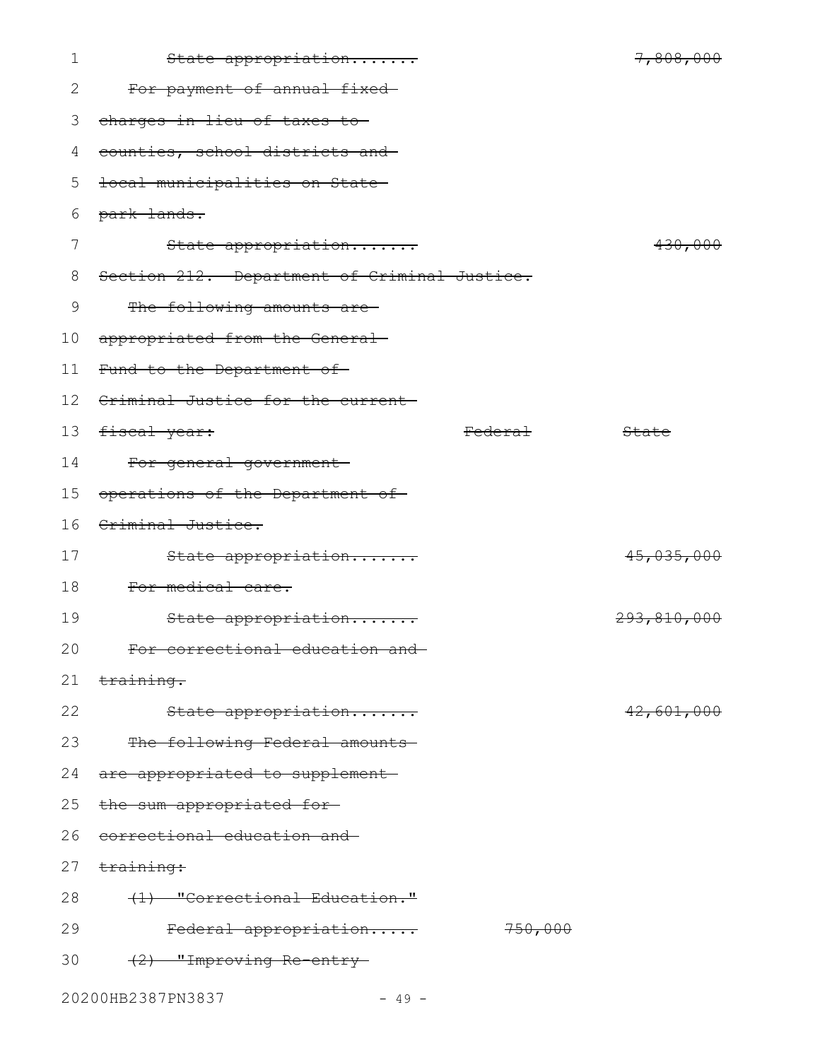| $\mathbf 1$  | State appropriation                          |         | 7,808,000   |
|--------------|----------------------------------------------|---------|-------------|
| $\mathbf{2}$ | For payment of annual fixed-                 |         |             |
| 3            | charges in lieu of taxes to-                 |         |             |
| 4            | counties, school districts and               |         |             |
| 5            | local municipalities on State-               |         |             |
| 6            | park lands.                                  |         |             |
| 7            | State appropriation                          |         | 430,000     |
| 8            | Section 212. Department of Criminal Justice. |         |             |
| 9            | The following amounts are-                   |         |             |
| 10           | appropriated from the General-               |         |             |
| 11           | Fund to the Department of-                   |         |             |
| 12           | Criminal Justice for the current-            |         |             |
| 13           | fiscal year:                                 | Federal | State       |
| 14           | For general government-                      |         |             |
| 15           | operations of the Department of              |         |             |
| 16           | Criminal Justice.                            |         |             |
| 17           | State appropriation                          |         | 45,035,000  |
| 18           | For medical care.                            |         |             |
| 19           | State appropriation                          |         | 293,810,000 |
| 20           | For correctional education and-              |         |             |
| 21           | <del>training.</del>                         |         |             |
| 22           | State appropriation                          |         | 42,601,000  |
| 23           | The following Federal amounts                |         |             |
| 24           | are appropriated to supplement               |         |             |
| 25           | the sum appropriated for-                    |         |             |
| 26           | correctional education and                   |         |             |
| 27           | training:                                    |         |             |
| 28           | (1) "Correctional Education."                |         |             |
| 29           | Federal appropriation                        | 750,000 |             |
| 30           | (2) "Improving Re-entry-                     |         |             |
|              | 20200HB2387PN3837<br>$-49 -$                 |         |             |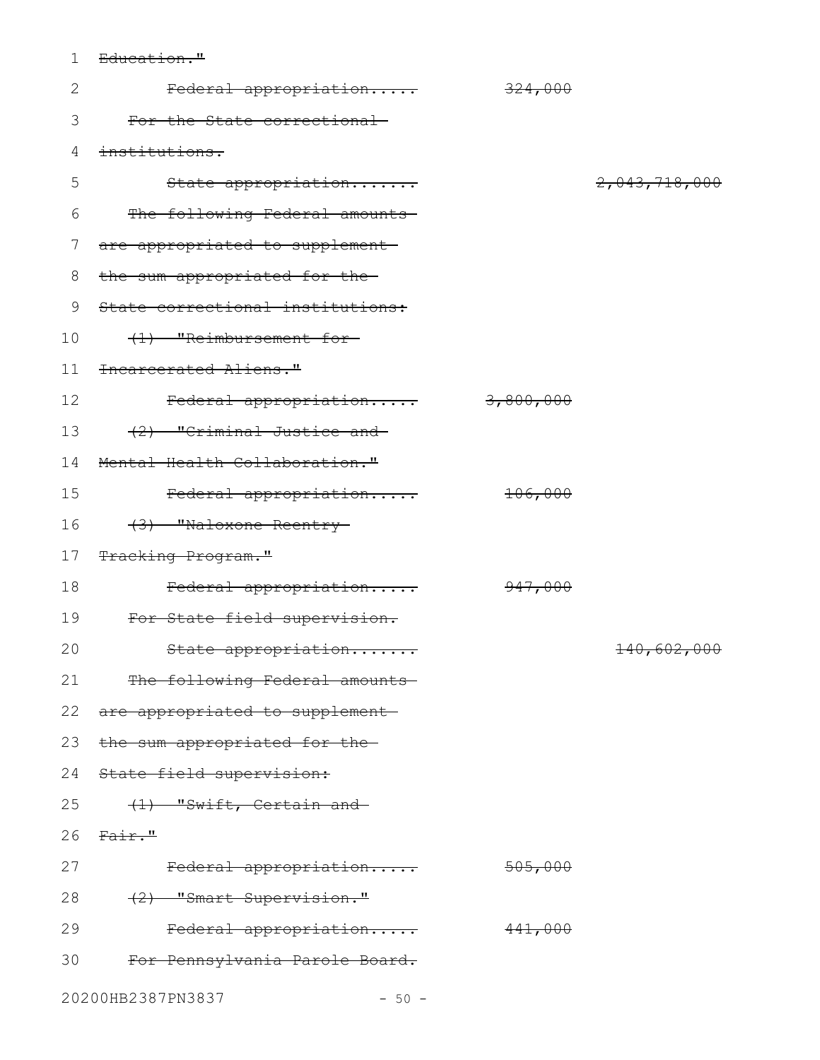1 Education."

| $\mathbf{2}$ | Federal appropriation              | 324,000   |               |
|--------------|------------------------------------|-----------|---------------|
| 3            | For the State correctional-        |           |               |
| 4            | institutions.                      |           |               |
| 5            | State appropriation                |           | 2,043,718,000 |
| 6            | The following Federal amounts      |           |               |
| 7            | are appropriated to supplement     |           |               |
| 8            | the sum appropriated for the-      |           |               |
| 9            | State correctional institutions:   |           |               |
| 10           | (1) "Reimbursement for-            |           |               |
| 11           | Incarcerated Aliens."              |           |               |
| 12           | Federal appropriation              | 3,800,000 |               |
| 13           | (2) "Criminal Justice and          |           |               |
| 14           | Mental Health Collaboration."      |           |               |
| 15           | Federal appropriation              | 106,000   |               |
| 16           | (3) "Naloxone Reentry-             |           |               |
| 17           | Tracking Program."                 |           |               |
| 18           | Federal appropriation              | 947,000   |               |
| 19           | For State field supervision.       |           |               |
| 20           | State appropriation                |           | 140,602,000   |
| 21           | The following Federal amounts      |           |               |
|              | 22 are appropriated to supplement- |           |               |
| 23           | the sum appropriated for the-      |           |               |
| 24           | State field supervision:           |           |               |
| 25           | (1) "Swift, Certain and            |           |               |
| 26           | Fair."                             |           |               |
| 27           | Federal appropriation              | 505,000   |               |
| 28           | (2) "Smart Supervision."           |           |               |
| 29           | Federal appropriation              | 441,000   |               |
| 30           | For Pennsylvania Parole Board.     |           |               |
|              | 20200HB2387PN3837<br>$-50 -$       |           |               |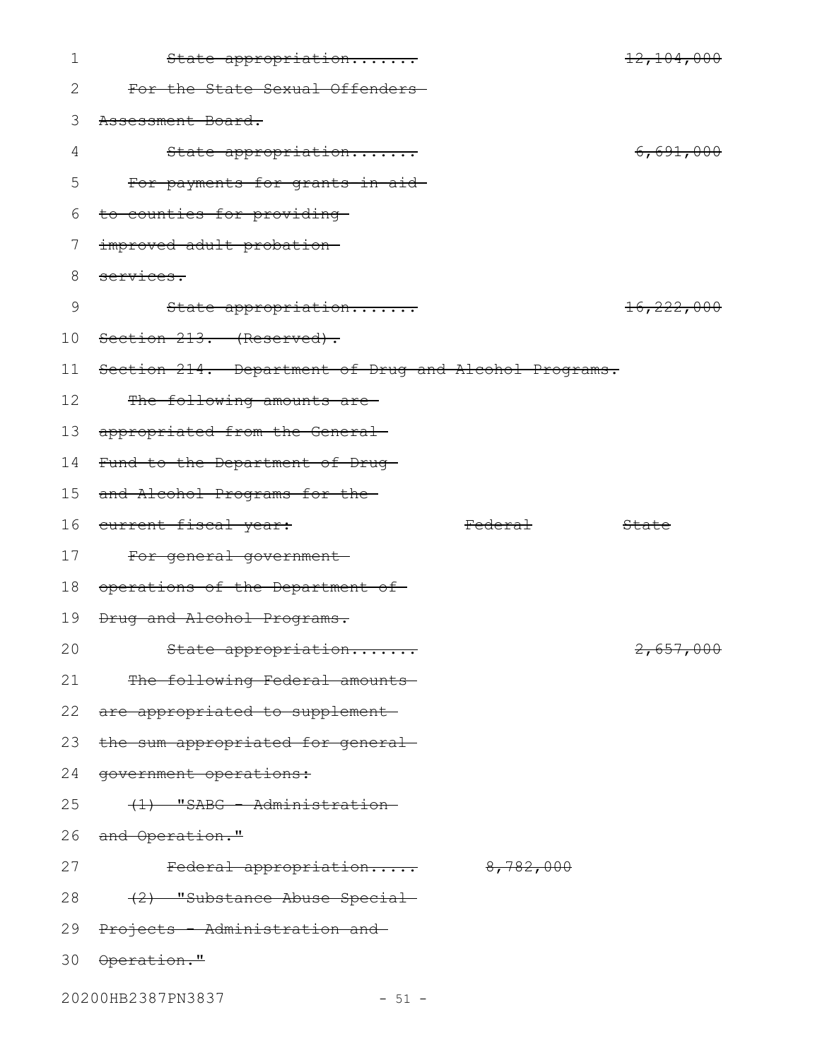| $\mathbf 1$ | State appropriation                                   |                    | 12,104,000            |
|-------------|-------------------------------------------------------|--------------------|-----------------------|
| 2           | For the State Sexual Offenders-                       |                    |                       |
| 3           | Assessment Board.                                     |                    |                       |
| 4           | State appropriation                                   |                    | 6,691,000             |
| 5           | For payments for grants-in-aid-                       |                    |                       |
| 6           | to counties for providing-                            |                    |                       |
| 7           | improved adult probation-                             |                    |                       |
| 8           | services.                                             |                    |                       |
| 9           | State appropriation                                   |                    | <del>16,222,000</del> |
| 10          | Section 213. (Reserved).                              |                    |                       |
| 11          | Section 214. Department of Drug and Alcohol Programs. |                    |                       |
| 12          | The following amounts are-                            |                    |                       |
| 13          | appropriated from the General-                        |                    |                       |
| 14          | Fund to the Department of Drug-                       |                    |                       |
| 15          | and Alcohol Programs for the-                         |                    |                       |
| 16          | eurrent fiscal year:                                  | <del>Federal</del> | State                 |
| 17          | For general government-                               |                    |                       |
| 18          | operations of the Department of                       |                    |                       |
| 19          | Drug and Alcohol Programs.                            |                    |                       |
| 20          | State appropriation                                   |                    | 2,657,000             |
| 21          | The following Federal amounts                         |                    |                       |
|             | 22 are appropriated to supplement                     |                    |                       |
| 23          | the sum appropriated for general-                     |                    |                       |
| 24          | <del>government operations:</del>                     |                    |                       |
| 25          | (1) "SABG - Administration-                           |                    |                       |
|             | 26 and Operation."                                    |                    |                       |
| 27          | Federal appropriation 8,782,000                       |                    |                       |
| 28          | <del>(2) "Substance Abuse Special</del>               |                    |                       |
| 29          | Projects - Administration and                         |                    |                       |
|             | 30 Operation."                                        |                    |                       |
|             | 20200HB2387PN3837<br>$-51 -$                          |                    |                       |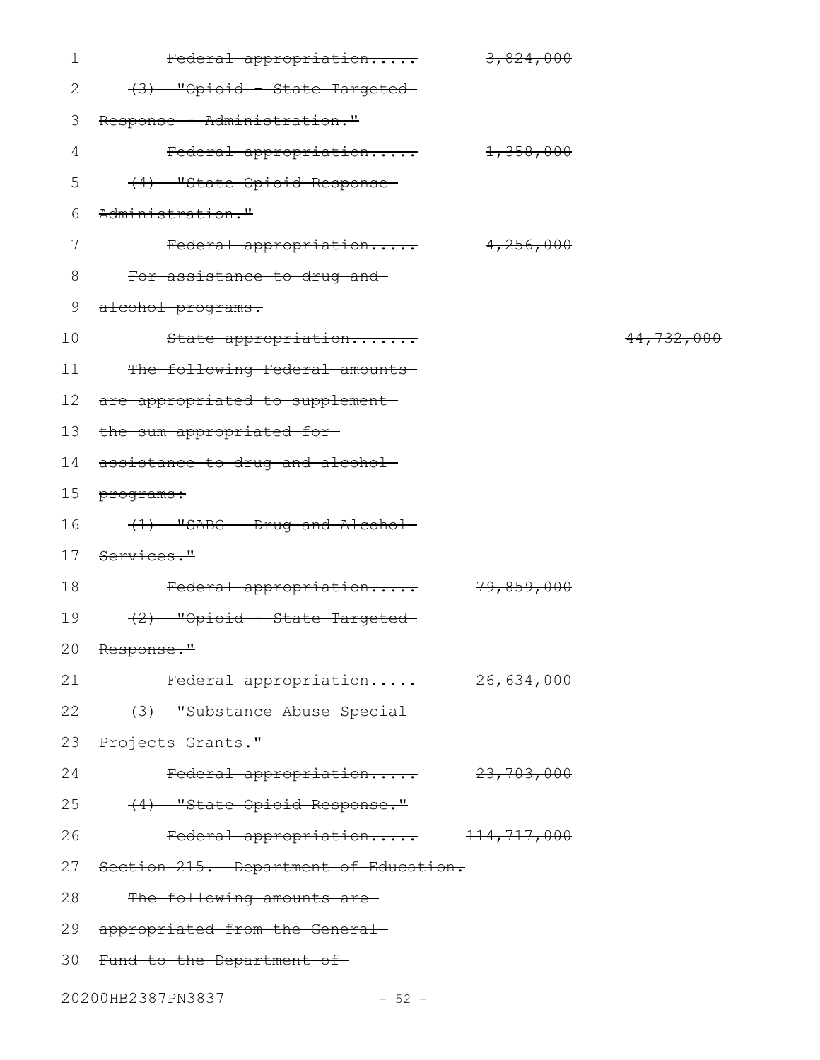| $\mathbf 1$    | Federal appropriation                 | 3,824,000             |            |
|----------------|---------------------------------------|-----------------------|------------|
| 2              | (3) "Opioid State Targeted            |                       |            |
| 3              | Response - Administration."           |                       |            |
| $\overline{4}$ | Federal appropriation                 | 1,358,000             |            |
| 5              | (4) "State Opioid Response-           |                       |            |
| 6              | Administration."                      |                       |            |
| 7              | Federal appropriation                 | 4,256,000             |            |
| 8              | For assistance to drug and-           |                       |            |
| 9              | alcohol programs.                     |                       |            |
| 10             | State appropriation                   |                       | 44,732,000 |
| 11             | The following Federal amounts         |                       |            |
| 12             | are appropriated to supplement-       |                       |            |
| 13             | the sum appropriated for-             |                       |            |
| 14             | assistance to drug and alcohol-       |                       |            |
| 15             | programs:                             |                       |            |
| 16             | (1) "SABG - Drug and Alcohol-         |                       |            |
| 17             | Services."                            |                       |            |
| 18             | Federal appropriation                 | <del>79,859,000</del> |            |
| 19             | (2) "Opioid State Targeted            |                       |            |
|                | 20 Response."                         |                       |            |
| 21             | Federal appropriation                 | <del>26,634,000</del> |            |
| 22             | (3) "Substance Abuse Special          |                       |            |
| 23             | Projects Grants."                     |                       |            |
| 24             | Federal appropriation 23,703,000      |                       |            |
| 25             | (4) "State Opioid Response."          |                       |            |
| 26             | Federal appropriation 114,717,000     |                       |            |
| 27             | Section 215. Department of Education. |                       |            |
| 28             | The following amounts are             |                       |            |
| 29             | appropriated from the General-        |                       |            |
| 30             | Fund to the Department of             |                       |            |
|                |                                       |                       |            |

20200HB2387PN3837 - 52 -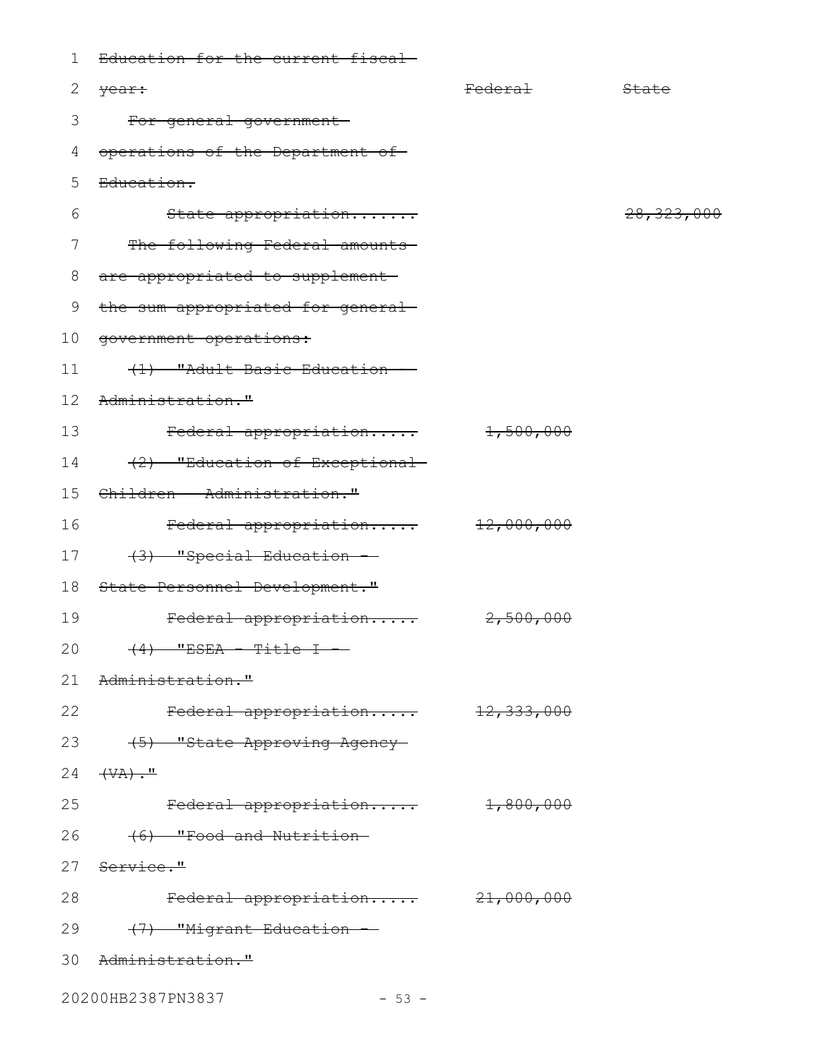| 1  | Education for the current fiscal-          |                    |                         |
|----|--------------------------------------------|--------------------|-------------------------|
| 2  | <del>year:</del>                           | <del>Federal</del> | State                   |
| 3  | For general government-                    |                    |                         |
| 4  | operations of the Department of            |                    |                         |
| 5  | <del>Education.</del>                      |                    |                         |
| 6  | State appropriation                        |                    | <del>28, 323, 000</del> |
| 7  | The following Federal amounts              |                    |                         |
| 8  | are appropriated to supplement-            |                    |                         |
| 9  | the sum appropriated for general-          |                    |                         |
| 10 | government operations:                     |                    |                         |
| 11 | (1) "Adult Basic Education -               |                    |                         |
| 12 | Administration."                           |                    |                         |
| 13 | Federal appropriation                      | 1,500,000          |                         |
| 14 | (2) "Education of Exceptional              |                    |                         |
| 15 | Children - Administration."                |                    |                         |
| 16 | Federal appropriation                      | 12,000,000         |                         |
| 17 | (3) "Special Education -                   |                    |                         |
| 18 | State Personnel Development."              |                    |                         |
| 19 | Federal appropriation                      | 2,500,000          |                         |
| 20 | <del>(4) "ESEA - Title I</del>             |                    |                         |
|    | 21 Administration."                        |                    |                         |
| 22 | Federal appropriation 12,333,000           |                    |                         |
|    | 23 (5) "State Approving Agency-            |                    |                         |
| 24 | $\overline{(\forall A) \cdot \mathbf{''}}$ |                    |                         |
| 25 | Federal appropriation 1,800,000            |                    |                         |
| 26 | <del>(6) "Food and Nutrition-</del>        |                    |                         |
|    | 27 Service."                               |                    |                         |
| 28 | Federal appropriation 21,000,000           |                    |                         |
|    | 29 (7) "Migrant Education -                |                    |                         |
|    | 30 Administration."                        |                    |                         |
|    | 20200HB2387PN3837<br>$-53 -$               |                    |                         |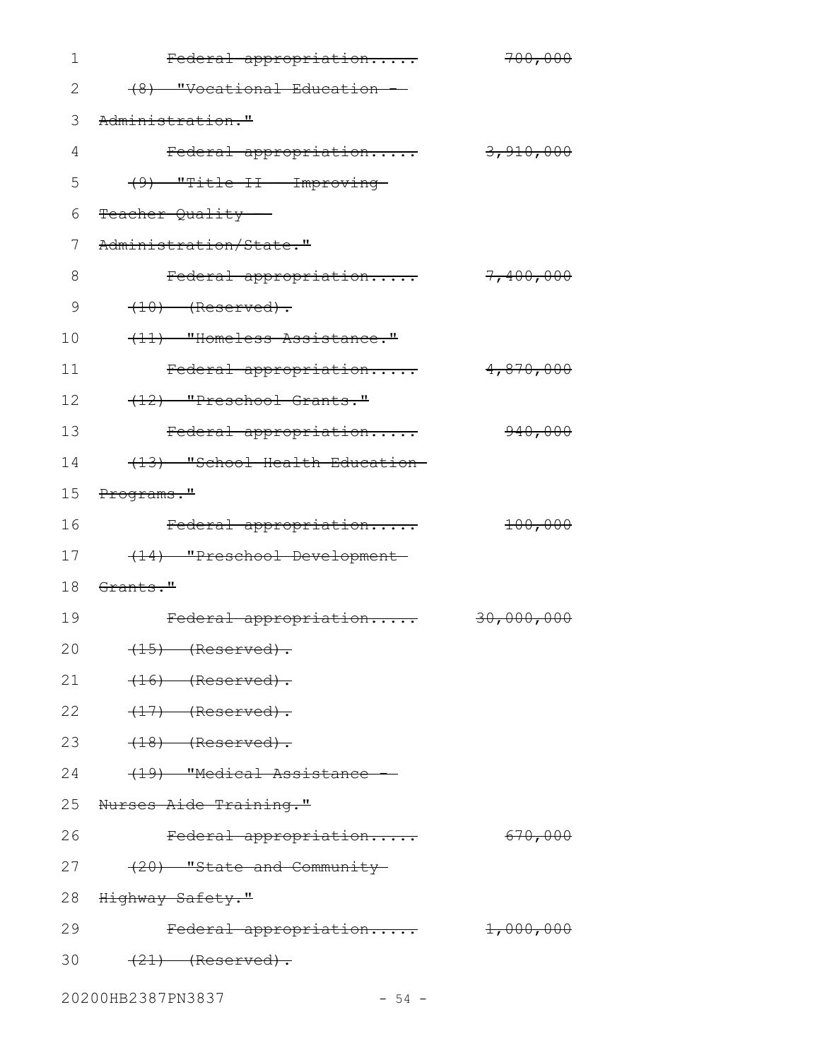| 1  | Federal appropriation          | 700,000              |
|----|--------------------------------|----------------------|
| 2  | (8) "Vocational Education      |                      |
| 3  | Administration."               |                      |
| 4  | Federal appropriation          | 3,910,000            |
| 5  | (9) "Title II - Improving-     |                      |
| 6  | Teacher Quality                |                      |
| 7  | Administration/State."         |                      |
| 8  | Federal appropriation          | 7,400,000            |
| 9  | $(10)$ (Reserved).             |                      |
| 10 | (11) "Homeless Assistance."    |                      |
| 11 | Federal appropriation          | 4,870,000            |
| 12 | (12) "Preschool Grants."       |                      |
| 13 | Federal appropriation          | 940,000              |
| 14 | (13) "School Health Education- |                      |
| 15 | Programs."                     |                      |
| 16 | Federal appropriation          | 100,000              |
| 17 | (14) "Preschool Development-   |                      |
| 18 | Grants."                       |                      |
| 19 | Federal appropriation          | 30,000,000           |
| 20 | $(15)$ (Reserved).             |                      |
| 21 | $(16)$ (Reserved).             |                      |
| 22 | $(17)$ (Reserved).             |                      |
| 23 | $(18)$ (Reserved).             |                      |
| 24 | (19) "Medical Assistance -     |                      |
|    | 25 Nurses Aide Training."      |                      |
| 26 | Federal appropriation          | 670,000              |
| 27 | $(20)$ "State and Community-   |                      |
| 28 | <del>Highway Safety."</del>    |                      |
| 29 | Federal appropriation          | <del>1,000,000</del> |
| 30 | $(21)$ (Reserved).             |                      |
|    | 20200HB2387PN3837<br>$-54 -$   |                      |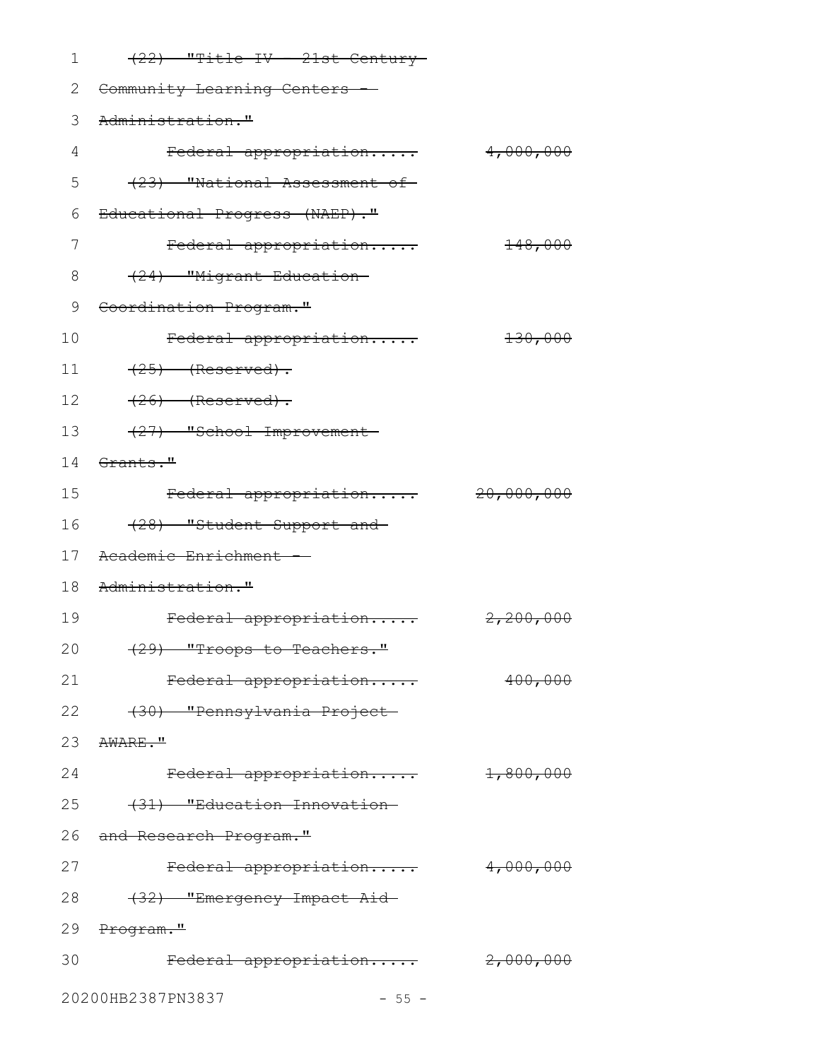| 1  | $(22)$ "Title IV - 21st Century        |            |
|----|----------------------------------------|------------|
| 2  | Community Learning Centers --          |            |
| 3  | Administration."                       |            |
| 4  | Federal appropriation                  | 4,000,000  |
| 5  | (23) "National Assessment of           |            |
| 6  | Educational Progress (NAEP)."          |            |
| 7  | Federal appropriation                  | 148,000    |
| 8  | (24) "Migrant Education-               |            |
| 9  | Coordination Program."                 |            |
| 10 | Federal appropriation                  | 130,000    |
| 11 | $(25)$ (Reserved).                     |            |
| 12 | $(26)$ (Reserved).                     |            |
| 13 | (27) "School Improvement-              |            |
| 14 | Grants."                               |            |
| 15 | Federal appropriation                  | 20,000,000 |
| 16 | (28) "Student Support and              |            |
| 17 | Academic Enrichment -                  |            |
| 18 | Administration."                       |            |
| 19 | Federal appropriation                  | 2,200,000  |
| 20 | <del>(29) "Troops to Teachers."</del>  |            |
| 21 | Federal appropriation                  | 400,000    |
| 22 | (30) "Pennsylvania Project-            |            |
|    | 23 AWARE."                             |            |
| 24 | Federal appropriation 1,800,000        |            |
| 25 | (31) "Education Innovation-            |            |
| 26 | <del>and Research Program."</del>      |            |
| 27 | Federal appropriation                  | 4,000,000  |
| 28 | <del>(32) "Emergency Impact Aid-</del> |            |
|    | 29 Program."                           |            |
| 30 | Federal appropriation 2,000,000        |            |
|    | 20200HB2387PN3837<br>$-55 -$           |            |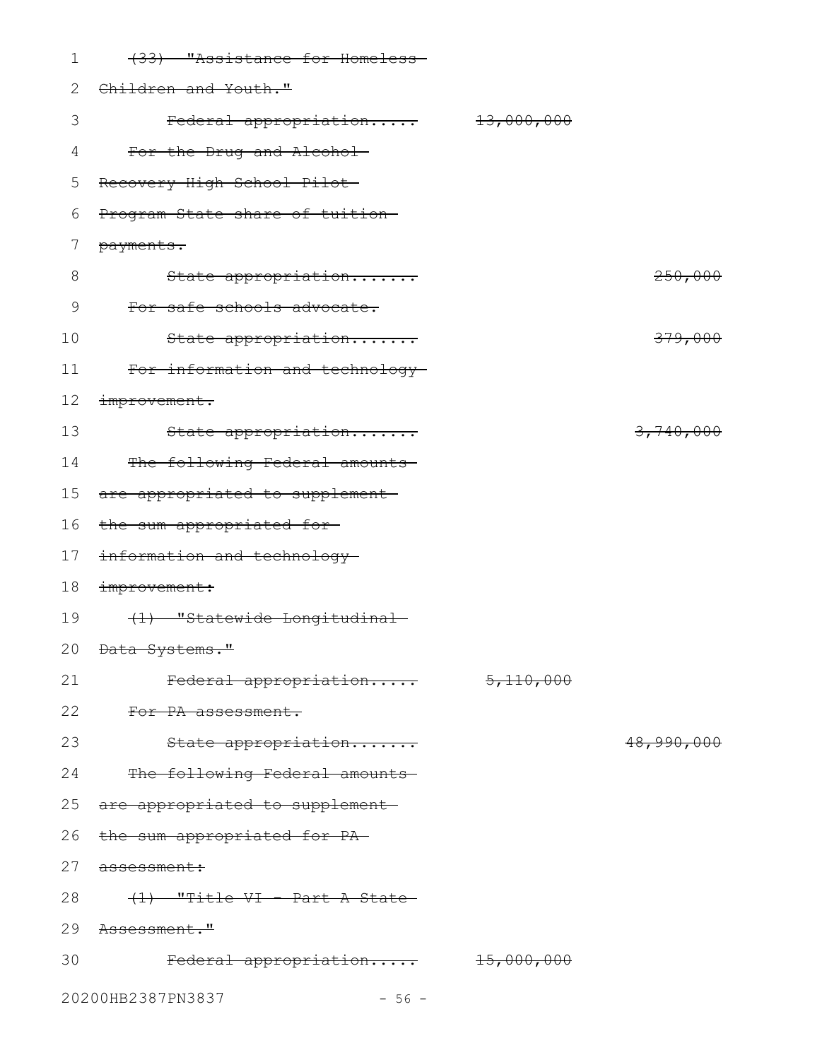| $\mathbf 1$ | (33) "Assistance for Homeless-           |            |            |
|-------------|------------------------------------------|------------|------------|
| 2           | Children and Youth."                     |            |            |
| 3           | Federal appropriation                    | 13,000,000 |            |
| 4           | For the Drug and Alcohol-                |            |            |
| 5           | Recovery High School Pilot               |            |            |
| 6           | Program State share of tuition-          |            |            |
| 7           | payments.                                |            |            |
| 8           | State appropriation                      |            | 250,000    |
| 9           | For safe schools advocate.               |            |            |
| 10          | State appropriation                      |            | 379,000    |
| 11          | For information and technology-          |            |            |
| 12          | improvement.                             |            |            |
| 13          | State appropriation                      |            | 3,740,000  |
| 14          | The following Federal amounts            |            |            |
| 15          | are appropriated to supplement-          |            |            |
| 16          | the sum appropriated for-                |            |            |
| 17          | information and technology               |            |            |
| 18          | improvement:                             |            |            |
| 19          | (1) "Statewide Longitudinal-             |            |            |
|             | 20 <del>Data Systems."</del>             |            |            |
| 21          | Federal appropriation                    | 5,110,000  |            |
| 22          | For PA assessment.                       |            |            |
| 23          | State appropriation                      |            | 48,990,000 |
| 24          | The following Federal amounts            |            |            |
|             | 25 are appropriated to supplement-       |            |            |
|             | 26 the sum appropriated for PA-          |            |            |
|             | 27 assessment:                           |            |            |
| 28          | <del>(1) "Title VI - Part A State-</del> |            |            |
|             | 29 Assessment."                          |            |            |
| 30          | Federal appropriation 15,000,000         |            |            |
|             | 20200HB2387PN3837<br>$-56 -$             |            |            |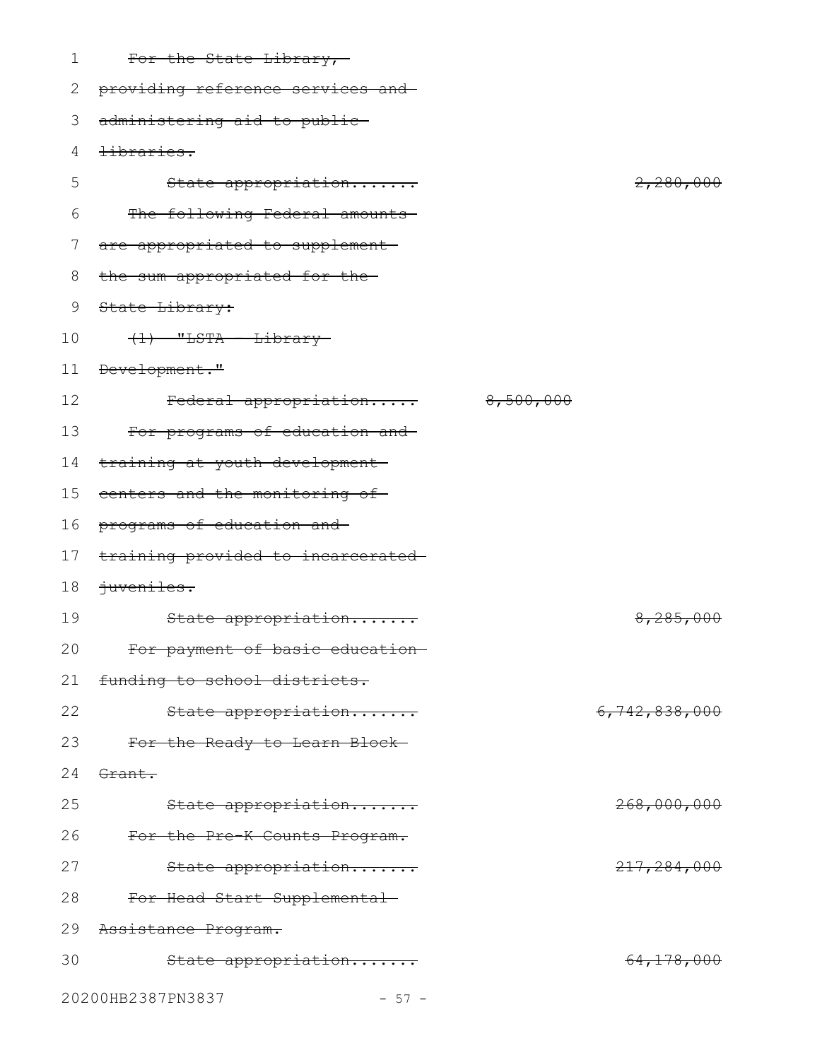| 1  | For the State Library,-                   |           |               |
|----|-------------------------------------------|-----------|---------------|
| 2  | providing reference services and          |           |               |
| 3  | administering aid to public-              |           |               |
| 4  | <del>libraries.</del>                     |           |               |
| 5  | State appropriation                       |           | 2,280,000     |
| 6  | The following Federal amounts             |           |               |
| 7  | are appropriated to supplement            |           |               |
| 8  | the sum appropriated for the-             |           |               |
| 9  | State Library:                            |           |               |
| 10 | $(1)$ "LSTA - Library-                    |           |               |
| 11 | Development."                             |           |               |
| 12 | Federal appropriation                     | 8,500,000 |               |
| 13 | For programs of education and             |           |               |
| 14 | training at youth development-            |           |               |
| 15 | centers and the monitoring of-            |           |               |
| 16 | programs of education and-                |           |               |
| 17 | training provided to incarcerated-        |           |               |
| 18 | juveniles.                                |           |               |
| 19 | State appropriation                       |           | 8,285,000     |
| 20 | <del>For payment of basic education</del> |           |               |
| 21 | funding to school districts.              |           |               |
| 22 | State appropriation                       |           | 6,742,838,000 |
| 23 | For the Ready to Learn Block-             |           |               |
| 24 | Grant.                                    |           |               |
| 25 | State appropriation                       |           | 268,000,000   |
| 26 | For the Pre-K Counts Program.             |           |               |
| 27 | State appropriation                       |           | 217, 284, 000 |
| 28 | For Head Start Supplemental               |           |               |
| 29 | Assistance Program.                       |           |               |
| 30 | State appropriation                       |           | 64,178,000    |
|    | 20200HB2387PN3837<br>$-57 -$              |           |               |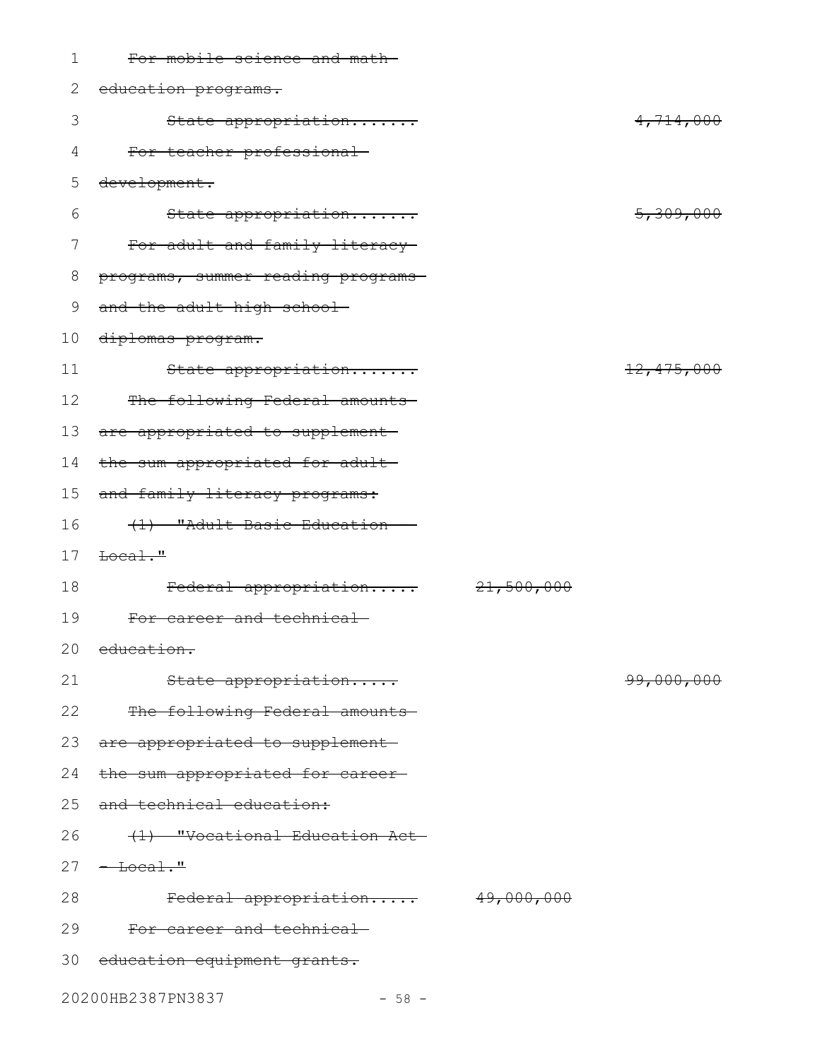| 1  | For mobile science and math-       |                       |                       |
|----|------------------------------------|-----------------------|-----------------------|
| 2  | education programs.                |                       |                       |
| 3  | State appropriation                |                       | 4,714,000             |
| 4  | For teacher professional           |                       |                       |
| 5  | development.                       |                       |                       |
| 6  | State appropriation                |                       | 5,309,000             |
| 7  | For adult and family literacy      |                       |                       |
| 8  | programs, summer reading programs- |                       |                       |
| 9  | and the adult high school-         |                       |                       |
| 10 | diplomas program.                  |                       |                       |
| 11 | State appropriation                |                       | 12,475,000            |
| 12 | The following Federal amounts      |                       |                       |
| 13 | are appropriated to supplement     |                       |                       |
| 14 | the sum appropriated for adult-    |                       |                       |
| 15 | and family literacy programs:      |                       |                       |
| 16 | (1) "Adult Basic Education         |                       |                       |
| 17 | $\text{Eocal}$ ."                  |                       |                       |
| 18 | Federal appropriation              | 21,500,000            |                       |
| 19 | For career and technical           |                       |                       |
|    | 20 education.                      |                       |                       |
| 21 | State appropriation                |                       | <del>99,000,000</del> |
| 22 | The following Federal amounts      |                       |                       |
| 23 | are appropriated to supplement     |                       |                       |
| 24 | the sum appropriated for career-   |                       |                       |
| 25 | and technical education:           |                       |                       |
| 26 | (1) "Vocational Education Act-     |                       |                       |
| 27 | $-$ Local."                        |                       |                       |
| 28 | Federal appropriation              | <del>49,000,000</del> |                       |
| 29 | For career and technical           |                       |                       |
|    | 30 education equipment grants.     |                       |                       |
|    | 20200HB2387PN3837<br>$-58 -$       |                       |                       |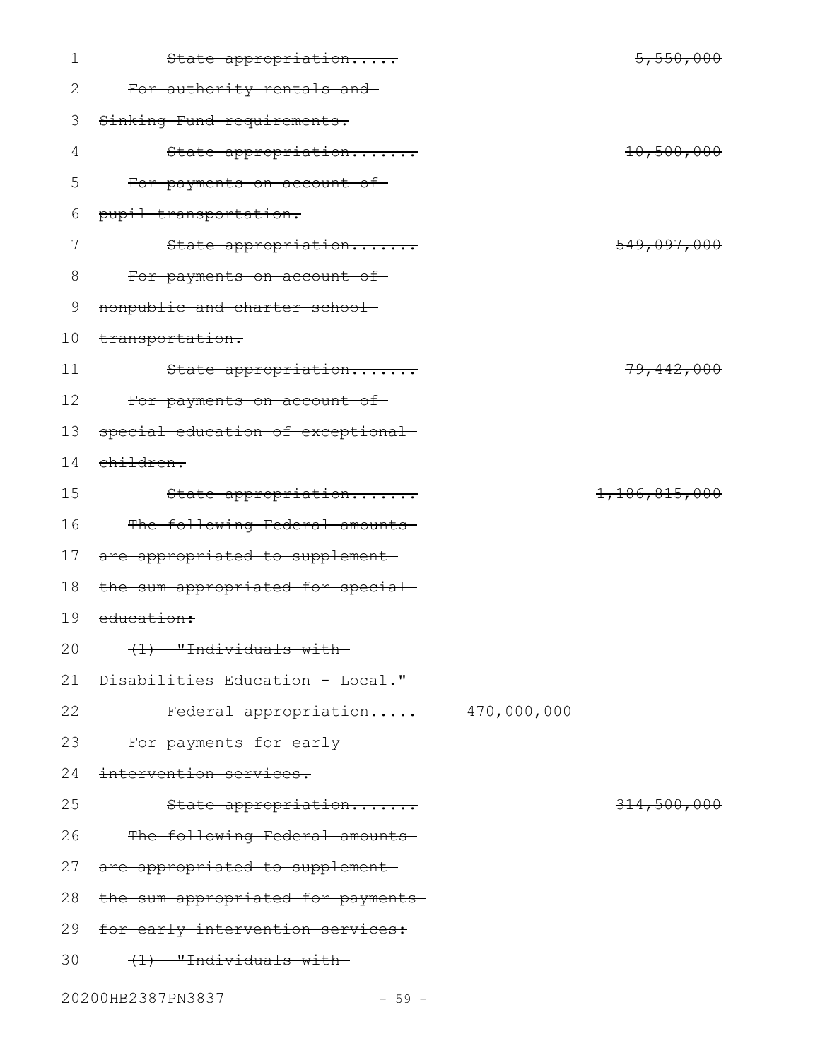| $\mathbf 1$   | State appropriation                | 5,550,000     |
|---------------|------------------------------------|---------------|
| 2             | For authority rentals and          |               |
| 3             | Sinking Fund requirements.         |               |
| 4             | State appropriation                | 10,500,000    |
| 5             | For payments on account of         |               |
| 6             | pupil transportation.              |               |
| 7             | State appropriation                | 549,097,000   |
| 8             | For payments on account of-        |               |
| $\mathcal{G}$ | nonpublic and charter school-      |               |
| 10            | transportation.                    |               |
| 11            | State appropriation                | 79, 442, 000  |
| 12            | For payments on account of-        |               |
| 13            | special education of exceptional-  |               |
| 14            | children.                          |               |
| 15            | State appropriation                | 1,186,815,000 |
| 16            | The following Federal amounts      |               |
| 17            | are appropriated to supplement-    |               |
| 18            | the sum appropriated for special-  |               |
| 19            | education:                         |               |
| 20            | <del>(1) "Individuals with</del>   |               |
| 21            | Disabilities Education - Local."   |               |
| 22            | Federal appropriation 470,000,000  |               |
| 23            | For payments for early-            |               |
| 24            | intervention services.             |               |
| 25            | State appropriation                | 314,500,000   |
| 26            | The following Federal amounts      |               |
| 27            | are appropriated to supplement-    |               |
| 28            | the sum appropriated for payments- |               |
| 29            | for early intervention services:   |               |
| 30            | (1) "Individuals with-             |               |

20200HB2387PN3837 - 59 -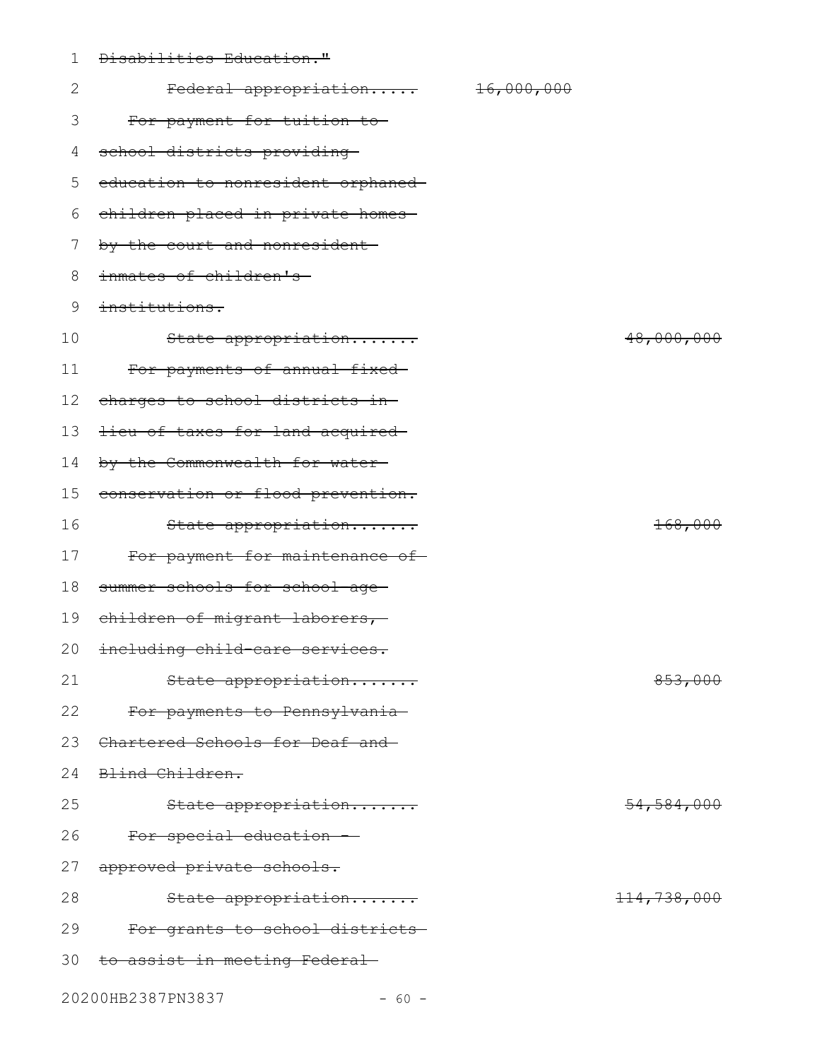| 1  | Disabilities Education."           |                       |                    |
|----|------------------------------------|-----------------------|--------------------|
| 2  | Federal appropriation              | <del>16,000,000</del> |                    |
| 3  | For payment for tuition to-        |                       |                    |
| 4  | school districts providing         |                       |                    |
| 5  | education to nonresident orphaned- |                       |                    |
| 6  | children placed in private homes-  |                       |                    |
| 7  | by the court and nonresident-      |                       |                    |
| 8  | inmates of children's              |                       |                    |
| 9  | institutions.                      |                       |                    |
| 10 | State appropriation                |                       | 48,000,000         |
| 11 | For payments of annual fixed-      |                       |                    |
| 12 | charges to school districts in-    |                       |                    |
| 13 | lieu of taxes for land acquired    |                       |                    |
| 14 | by the Commonwealth for water-     |                       |                    |
| 15 | conservation or flood prevention.  |                       |                    |
| 16 | State appropriation                |                       | <del>168,000</del> |
| 17 | For payment for maintenance of-    |                       |                    |
| 18 | summer schools for school-age-     |                       |                    |
| 19 | children of migrant laborers,      |                       |                    |
|    | 20 including child-care services.  |                       |                    |
| 21 | State appropriation                |                       | 853,000            |
| 22 | For payments to Pennsylvania       |                       |                    |
| 23 | Chartered Schools for Deaf and     |                       |                    |
| 24 | Blind Children.                    |                       |                    |
| 25 | State appropriation                |                       | 54,584,000         |
| 26 | For special education              |                       |                    |
| 27 | approved private schools.          |                       |                    |
| 28 | State appropriation                |                       | 114,738,000        |
| 29 | For grants to school districts-    |                       |                    |
| 30 | to assist in meeting Federal-      |                       |                    |
|    |                                    |                       |                    |

20200HB2387PN3837 - 60 -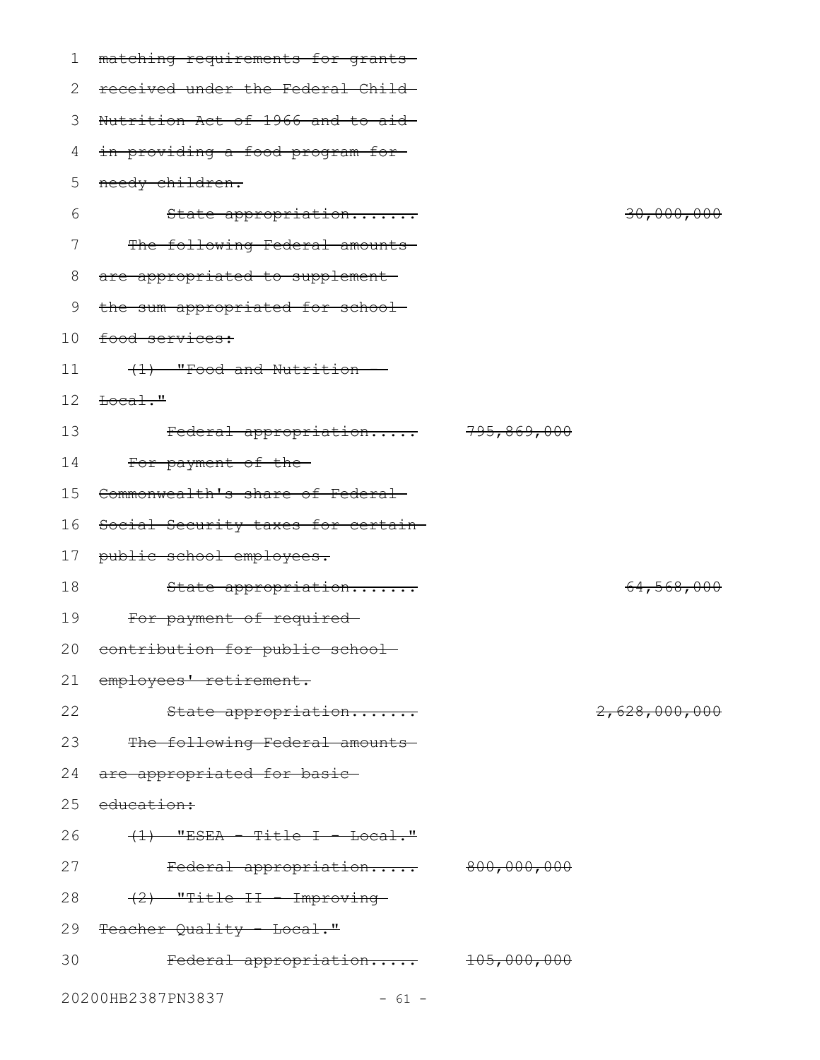| 1  | matching requirements for grants   |               |
|----|------------------------------------|---------------|
| 2  | received under the Federal Child-  |               |
| 3  | Nutrition Act of 1966 and to aid-  |               |
| 4  | in providing a food program for    |               |
| 5  | needy children.                    |               |
| 6  | State appropriation                | 30,000,000    |
| 7  | The following Federal amounts      |               |
| 8  | are appropriated to supplement-    |               |
| 9  | the sum appropriated for school-   |               |
| 10 | food services:                     |               |
| 11 | (1) "Food and Nutrition            |               |
| 12 | $\text{Hocal}$ ."                  |               |
| 13 | Federal appropriation 795,869,000  |               |
| 14 | For payment of the-                |               |
| 15 | Commonwealth's share of Federal    |               |
| 16 | Social Security taxes for certain- |               |
| 17 | public school employees.           |               |
| 18 | State appropriation                | 64,568,000    |
| 19 | For payment of required-           |               |
|    | 20 contribution for public school  |               |
| 21 | employees' retirement.             |               |
| 22 | State appropriation                | 2,628,000,000 |
| 23 | The following Federal amounts      |               |
| 24 | are appropriated for basic         |               |
| 25 | <del>education:</del>              |               |
| 26 | $(1)$ "ESEA - Title I - Local."    |               |
| 27 | Federal appropriation 800,000,000  |               |
| 28 | (2) "Title II - Improving-         |               |
|    | 29 Teacher Quality - Local."       |               |
| 30 | Federal appropriation 105,000,000  |               |
|    | 20200HB2387PN3837<br>$-61 -$       |               |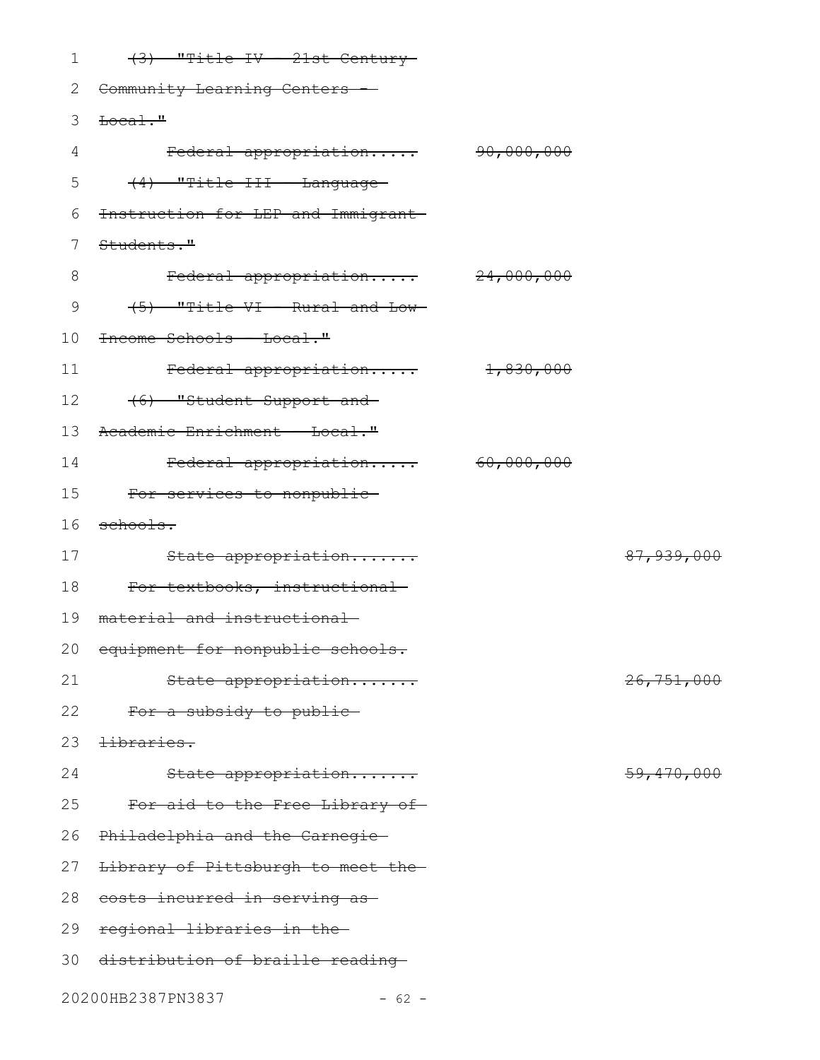| 1  | (3) "Title IV - 21st Century        |                       |              |
|----|-------------------------------------|-----------------------|--------------|
| 2  | Community Learning Centers -        |                       |              |
| 3  | $\text{Local.}$ "                   |                       |              |
| 4  | Federal appropriation               | <del>90,000,000</del> |              |
| 5  | (4) "Title III - Language-          |                       |              |
| 6  | Instruction for LEP and Immigrant-  |                       |              |
| 7  | Students."                          |                       |              |
| 8  | Federal appropriation 24,000,000    |                       |              |
| 9  | (5) "Title VI - Rural and Low-      |                       |              |
| 10 | <del>Income Schools - Local."</del> |                       |              |
| 11 | Federal appropriation               | 1,830,000             |              |
| 12 | (6) "Student Support and            |                       |              |
| 13 | Academic Enrichment - Local."       |                       |              |
| 14 | Federal appropriation               | <del>60,000,000</del> |              |
| 15 | For services to nonpublic-          |                       |              |
| 16 | schools.                            |                       |              |
| 17 | State appropriation                 |                       | 87, 939, 000 |
| 18 | For textbooks, instructional        |                       |              |
| 19 | material and instructional          |                       |              |
|    | 20 equipment for nonpublic schools. |                       |              |
| 21 | State appropriation                 |                       | 26,751,000   |
| 22 | For a subsidy to public-            |                       |              |
| 23 | tibraries.                          |                       |              |
| 24 | State appropriation                 |                       | 59, 470, 000 |
| 25 | For aid to the Free Library of      |                       |              |
| 26 | Philadelphia and the Carnegie-      |                       |              |
| 27 | Library of Pittsburgh to meet the-  |                       |              |
| 28 | costs incurred in serving as-       |                       |              |
| 29 | regional libraries in the-          |                       |              |
| 30 | distribution of braille reading     |                       |              |
|    | 20200HB2387PN3837<br>$-62 -$        |                       |              |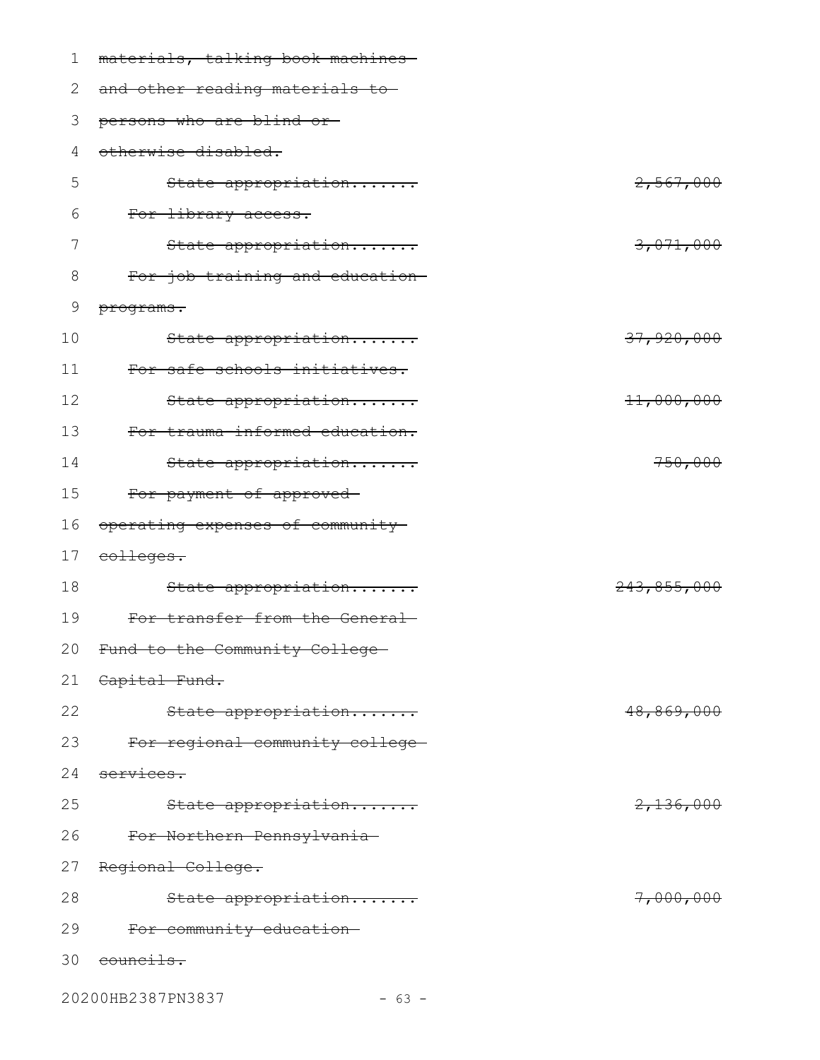| 1  | materials, talking book machines  |                      |
|----|-----------------------------------|----------------------|
| 2  | and other reading materials to-   |                      |
| 3  | persons who are blind or-         |                      |
| 4  | otherwise disabled.               |                      |
| 5  | State appropriation               | 2,567,000            |
| 6  | For library access.               |                      |
| 7  | State appropriation               | 3,071,000            |
| 8  | For job training and education-   |                      |
| 9  | programs.                         |                      |
| 10 | State appropriation               | 37,920,000           |
| 11 | For safe schools initiatives.     |                      |
| 12 | State appropriation               | 11,000,000           |
| 13 | For trauma-informed education.    |                      |
| 14 | State appropriation               | 750,000              |
| 15 | For payment of approved-          |                      |
| 16 | operating expenses of community   |                      |
| 17 | eolleges.                         |                      |
| 18 | State appropriation               | 243,855,000          |
| 19 | For transfer from the General     |                      |
|    | 20 Fund to the Community College- |                      |
| 21 | Capital Fund.                     |                      |
| 22 | State appropriation               | 48,869,000           |
| 23 | For regional community college-   |                      |
| 24 | services.                         |                      |
| 25 | State appropriation               | <del>2,136,000</del> |
| 26 | For Northern Pennsylvania-        |                      |
| 27 | Regional College.                 |                      |
| 28 | State appropriation               | <del>7,000,000</del> |
| 29 | For community education-          |                      |
| 30 | <del>councils.</del>              |                      |
|    |                                   |                      |

20200HB2387PN3837 - 63 -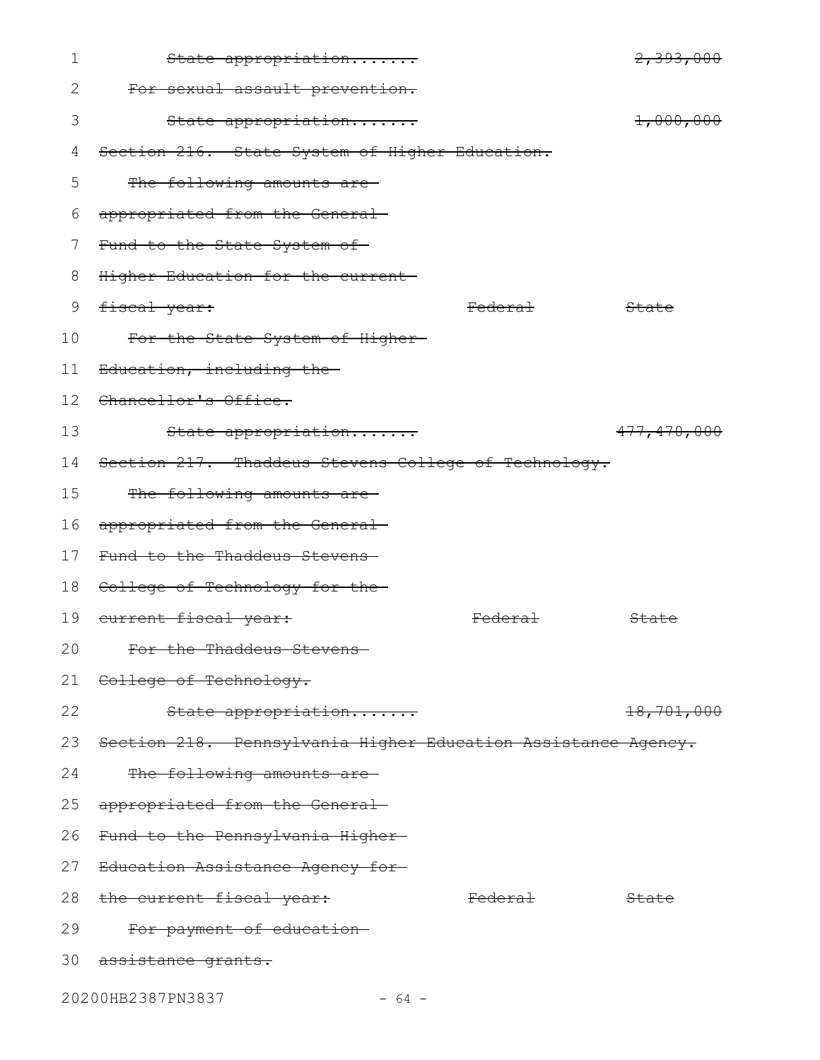| 1  | State appropriation                                           |                    | 2,393,000        |
|----|---------------------------------------------------------------|--------------------|------------------|
| 2  | For sexual assault prevention.                                |                    |                  |
| 3  | State appropriation                                           |                    | 1,000,000        |
| 4  | Section 216. State System of Higher Education.                |                    |                  |
| 5  | The following amounts are-                                    |                    |                  |
| 6  | appropriated from the General-                                |                    |                  |
| 7  | Fund to the State System of-                                  |                    |                  |
| 8  | Higher Education for the current-                             |                    |                  |
| 9  | fiscal year:                                                  | <del>Federal</del> | State            |
| 10 | For the State System of Higher-                               |                    |                  |
| 11 | Education, including the-                                     |                    |                  |
| 12 | Chancellor's Office.                                          |                    |                  |
| 13 | State appropriation                                           |                    | 477,470,000      |
| 14 | Section 217. Thaddeus Stevens College of Technology.          |                    |                  |
| 15 | The following amounts are-                                    |                    |                  |
| 16 | appropriated from the General-                                |                    |                  |
| 17 | Fund to the Thaddeus Stevens-                                 |                    |                  |
| 18 | College of Technology for the-                                |                    |                  |
| 19 | eurrent fiscal year:                                          | <del>Federal</del> | State            |
| 20 | For the Thaddeus Stevens                                      |                    |                  |
|    | 21 College of Technology.                                     |                    |                  |
| 22 | State appropriation                                           |                    | 18,701,000       |
| 23 | Section 218. Pennsylvania Higher Education Assistance Agency. |                    |                  |
| 24 | The following amounts are-                                    |                    |                  |
| 25 | appropriated from the General-                                |                    |                  |
| 26 | Fund to the Pennsylvania Higher                               |                    |                  |
| 27 | Education Assistance Agency for                               |                    |                  |
| 28 | the current fiscal year:                                      | <del>Federal</del> | <del>State</del> |
| 29 | For payment of education-                                     |                    |                  |
|    | 30 assistance grants.                                         |                    |                  |
|    | 20200HB2387PN3837<br>$-64 -$                                  |                    |                  |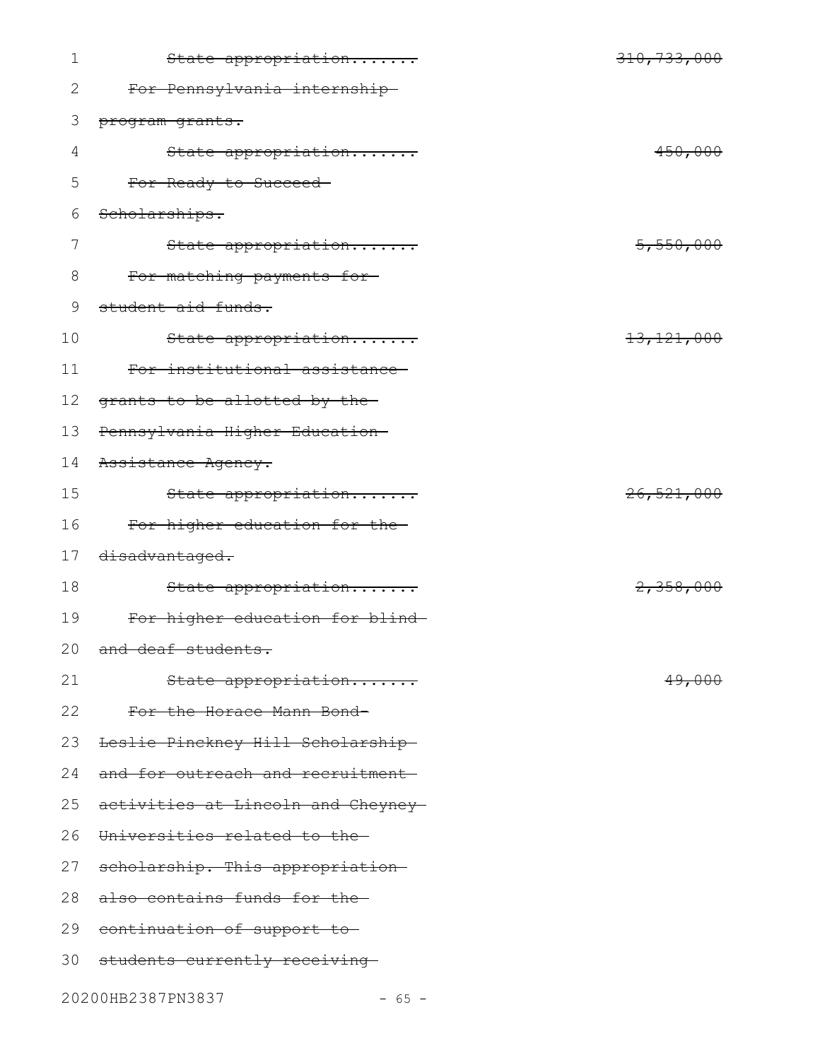| $\mathbf 1$ | State appropriation                | 310,733,000           |
|-------------|------------------------------------|-----------------------|
| 2           | For Pennsylvania internship-       |                       |
| 3           | program grants.                    |                       |
| 4           | State appropriation                | 450,000               |
| 5           | For Ready to Succeed-              |                       |
| 6           | Scholarships.                      |                       |
| 7           | State appropriation                | 5,550,000             |
| 8           | For matching payments for          |                       |
| 9           | student aid funds.                 |                       |
| 10          | State appropriation                | 13, 121, 000          |
| 11          | For institutional assistance       |                       |
| 12          | grants to be allotted by the-      |                       |
| 13          | Pennsylvania Higher Education-     |                       |
| 14          | Assistance Agency.                 |                       |
| 15          | State appropriation                | <del>26,521,000</del> |
| 16          | For higher education for the-      |                       |
| 17          | disadvantaged.                     |                       |
| 18          | State appropriation                | 2,358,000             |
| 19          | For higher education for blind     |                       |
|             | 20 and deaf students.              |                       |
| 21          | State appropriation                | <del>49,000</del>     |
| 22          | For the Horace Mann Bond-          |                       |
| 23          | Leslie Pinckney Hill Scholarship-  |                       |
| 24          | and for outreach and recruitment-  |                       |
| 25          | activities at Lincoln and Cheyney- |                       |
| 26          | Universities related to the-       |                       |
| 27          | scholarship. This appropriation    |                       |
| 28          | also contains funds for the-       |                       |
| 29          | continuation of support to         |                       |
|             | 30 students currently receiving-   |                       |
|             |                                    |                       |

20200HB2387PN3837 - 65 -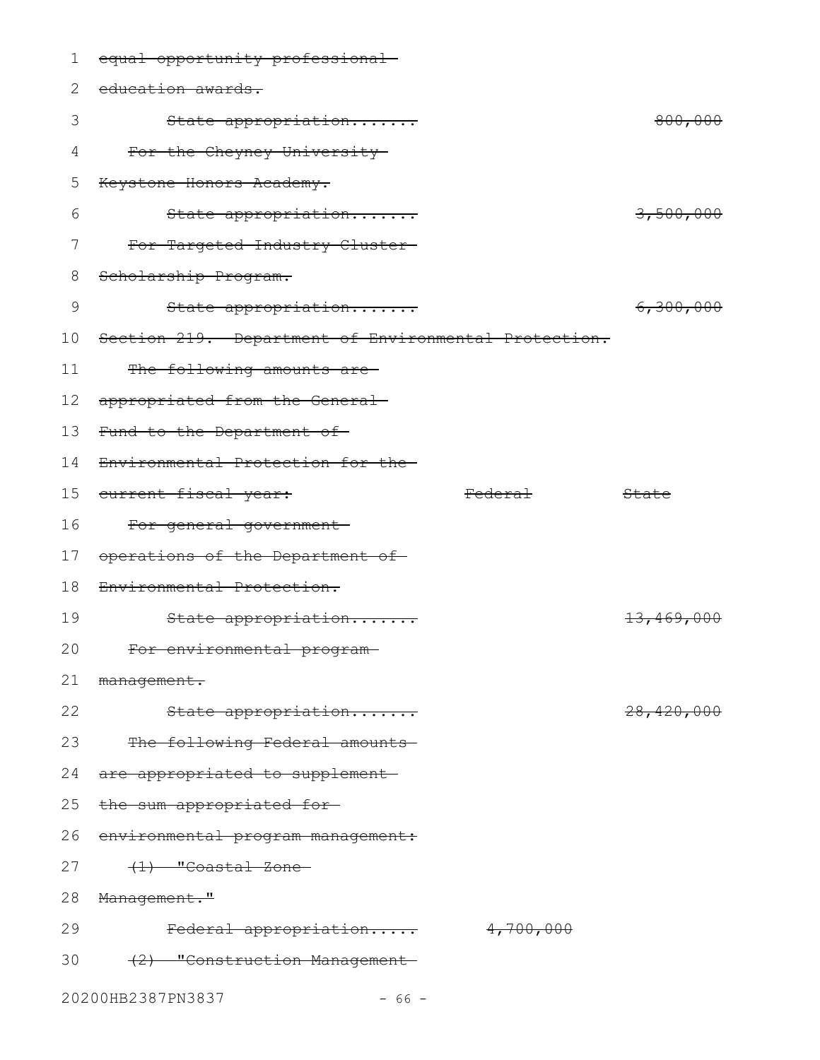| 1  | equal opportunity professional-                      |                |              |
|----|------------------------------------------------------|----------------|--------------|
| 2  | education awards.                                    |                |              |
| 3  | State appropriation                                  |                | 800,000      |
| 4  | For the Cheyney University-                          |                |              |
| 5  | Keystone Honors Academy.                             |                |              |
| 6  | State appropriation                                  |                | 3,500,000    |
| 7  | For Targeted Industry Cluster-                       |                |              |
| 8  | Scholarship Program.                                 |                |              |
| 9  | State appropriation                                  |                | 6,300,000    |
| 10 | Section 219. Department of Environmental Protection. |                |              |
| 11 | The following amounts are-                           |                |              |
| 12 | appropriated from the General-                       |                |              |
| 13 | Fund to the Department of-                           |                |              |
| 14 | Environmental Protection for the-                    |                |              |
| 15 | eurrent fiscal year:                                 | <b>Federal</b> | State        |
| 16 | For general government-                              |                |              |
| 17 | operations of the Department of                      |                |              |
| 18 | Environmental Protection.                            |                |              |
| 19 | State appropriation                                  |                | 13,469,000   |
| 20 | For environmental program                            |                |              |
| 21 | management.                                          |                |              |
| 22 | State appropriation                                  |                | 28, 420, 000 |
| 23 | The following Federal amounts                        |                |              |
| 24 | are appropriated to supplement-                      |                |              |
| 25 | the sum appropriated for-                            |                |              |
| 26 | environmental program management:                    |                |              |
| 27 | (1) "Coastal Zone-                                   |                |              |
| 28 | Management."                                         |                |              |
| 29 | Federal appropriation                                | 4,700,000      |              |
| 30 | (2) "Construction Management                         |                |              |
|    | 20200HB2387PN3837<br>$-66 -$                         |                |              |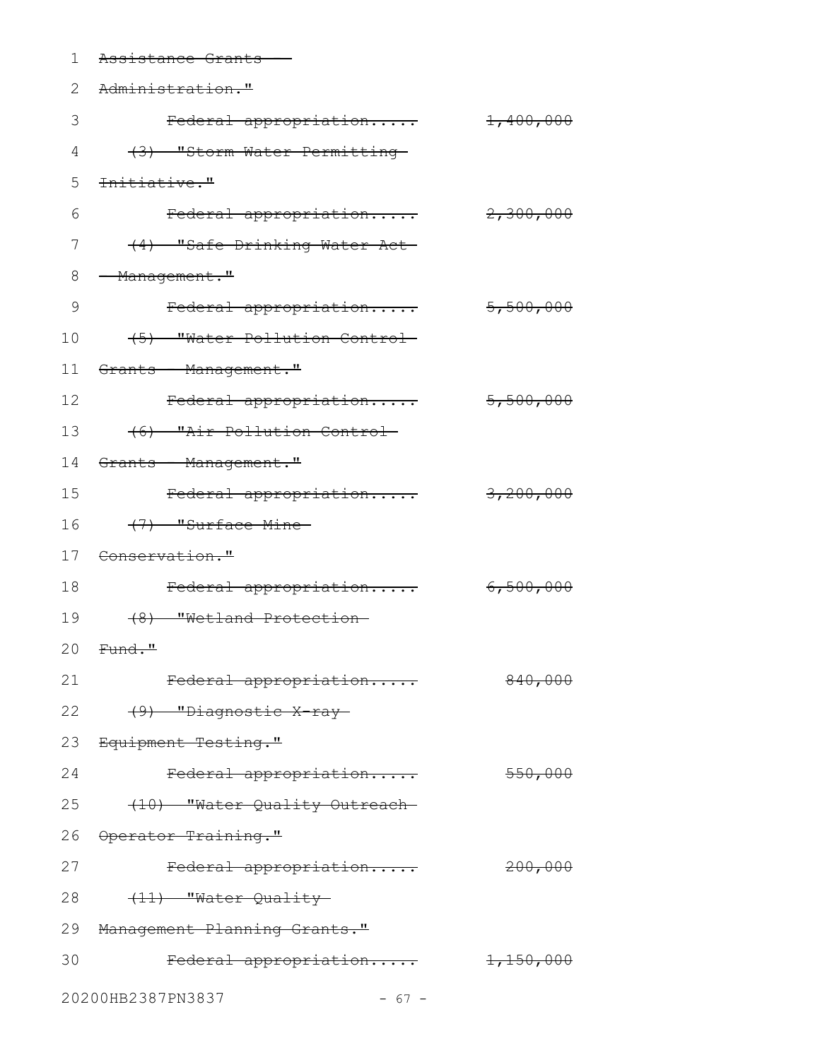| 1  | Assistance Grants                          |                       |
|----|--------------------------------------------|-----------------------|
| 2  | Administration."                           |                       |
| 3  | Federal appropriation                      | $\frac{1,400,000}{ }$ |
| 4  | (3) "Storm Water Permitting-               |                       |
| 5  | <del>Initiative."</del>                    |                       |
| 6  | Federal appropriation                      | 2,300,000             |
| 7  | (4) "Safe Drinking Water Act               |                       |
| 8  | - Management."                             |                       |
| 9  | Federal appropriation                      | 5,500,000             |
| 10 | (5) Water Pollution Control                |                       |
| 11 | Grants - Management."                      |                       |
| 12 | Federal appropriation                      | 5,500,000             |
| 13 | (6) "Air Pollution Control-                |                       |
| 14 | <del>Grants - Management."</del>           |                       |
| 15 | Federal appropriation                      | 3,200,000             |
| 16 | (7) "Surface Mine                          |                       |
| 17 | <del>Conservation."</del>                  |                       |
| 18 | Federal appropriation                      | 6,500,000             |
| 19 | (8) "Wetland Protection-                   |                       |
|    | 20 <del>Fund."</del>                       |                       |
| 21 | Federal appropriation                      | 840,000               |
| 22 | (9) "Diagnostic X ray-                     |                       |
|    | 23 Equipment Testing."                     |                       |
| 24 | Federal appropriation                      | 550,000               |
| 25 | (10) "Water Quality Outreach-              |                       |
|    | 26 Operator Training."                     |                       |
| 27 | Federal appropriation                      | 200,000               |
| 28 | (11) "Water Quality-                       |                       |
|    | 29 Management Planning Grants."            |                       |
| 30 | $\text{Federal approximation}$ $1,150,000$ |                       |
|    | 20200HB2387PN3837<br>$-67 -$               |                       |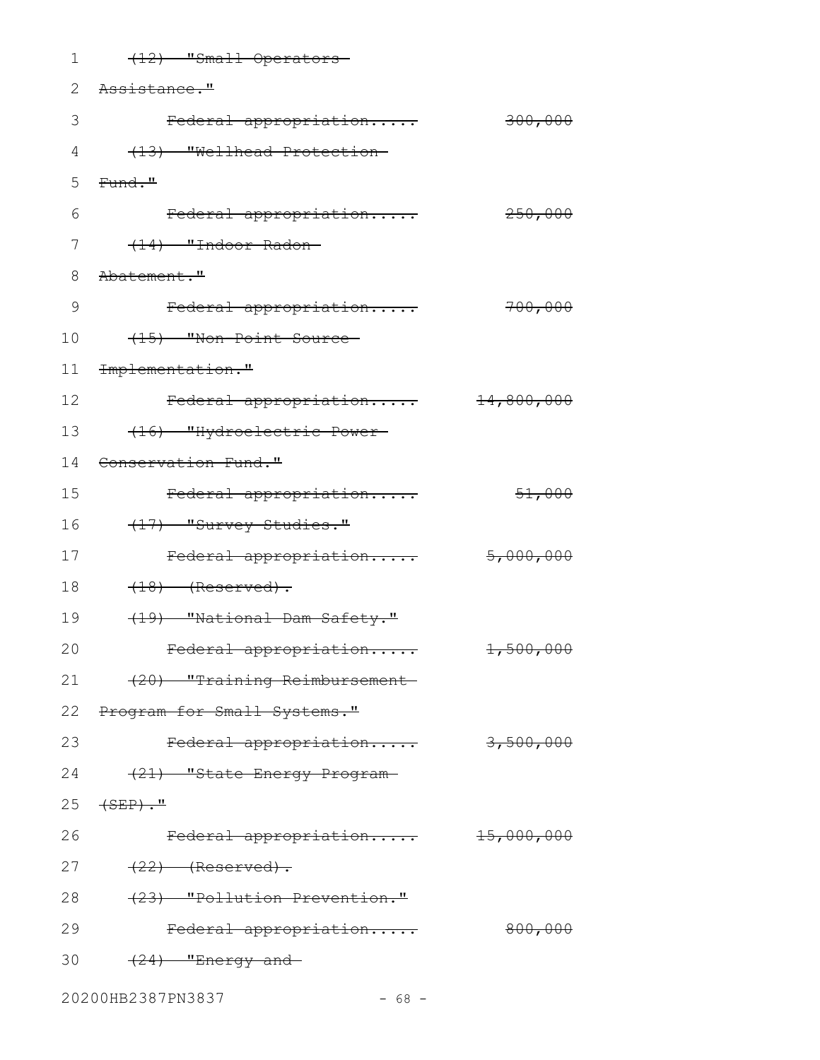| 1  | (12) "Small Operators-                 |                       |
|----|----------------------------------------|-----------------------|
| 2  | <del>Assistance."</del>                |                       |
| 3  | Federal appropriation                  | 300,000               |
| 4  | (13) "Wellhead Protection-             |                       |
| 5  | Fund."                                 |                       |
| 6  | Federal appropriation                  | 250,000               |
| 7  | (14) "Indoor Radon-                    |                       |
| 8  | <del>Abatement."</del>                 |                       |
| 9  | Federal appropriation                  | 700,000               |
| 10 | (15) "Non-Point Source                 |                       |
| 11 | Implementation."                       |                       |
| 12 | Federal appropriation                  | 14,800,000            |
| 13 | (16) "Hydroelectric Power-             |                       |
| 14 | <del>Conservation Fund."</del>         |                       |
| 15 | Federal appropriation                  | 51,000                |
| 16 | (17) "Survey Studies."                 |                       |
| 17 | Federal appropriation                  | 5,000,000             |
| 18 | $(18)$ (Reserved).                     |                       |
| 19 | (19) "National Dam Safety."            |                       |
| 20 | <del>Federal appropriation</del>       | 1,500,000             |
| 21 | (20) "Training Reimbursement           |                       |
| 22 | <del>Program for Small Systems."</del> |                       |
| 23 | Federal appropriation                  | 3,500,000             |
| 24 | (21) "State Energy Program-            |                       |
| 25 | <del>(SEP)."</del>                     |                       |
| 26 | Federal appropriation                  | <del>15,000,000</del> |
| 27 | $(22)$ (Reserved).                     |                       |
| 28 | (23) "Pollution Prevention."           |                       |
| 29 | Federal appropriation                  | 800,000               |
| 30 | $(24)$ "Energy and-                    |                       |
|    |                                        |                       |

20200HB2387PN3837 - 68 -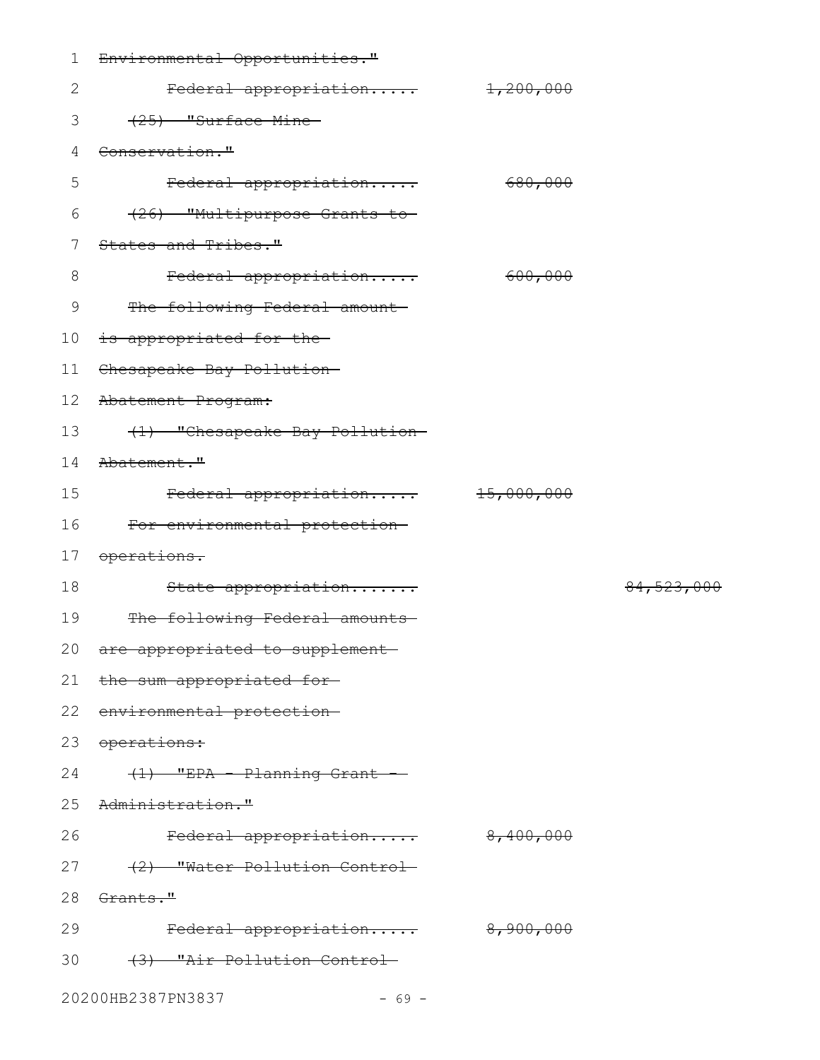| 1               | Environmental Opportunities."       |           |              |
|-----------------|-------------------------------------|-----------|--------------|
| $\mathbf{2}$    | Federal appropriation               | 1,200,000 |              |
| 3               | (25) "Surface Mine                  |           |              |
| 4               | Conservation."                      |           |              |
| 5               | Federal appropriation               | 680,000   |              |
| 6               | (26) "Multipurpose Grants to-       |           |              |
| $\overline{7}$  | States and Tribes."                 |           |              |
| 8               | Federal appropriation               | 600,000   |              |
| 9               | The following Federal amount        |           |              |
| 10              | is appropriated for the-            |           |              |
| 11              | Chesapeake Bay Pollution-           |           |              |
| 12 <sup>°</sup> | Abatement Program:                  |           |              |
| 13              | (1) "Chesapeake Bay Pollution-      |           |              |
| 14              | <del>Abatement."</del>              |           |              |
| 15              | Federal appropriation 15,000,000    |           |              |
| 16              | For environmental protection-       |           |              |
| 17              | <del>operations.</del>              |           |              |
| 18              | State appropriation                 |           | 84, 523, 000 |
| 19              | The following Federal amounts       |           |              |
|                 | 20 are appropriated to supplement   |           |              |
|                 | 21 the sum appropriated for-        |           |              |
|                 | 22 environmental protection-        |           |              |
|                 | 23 operations:                      |           |              |
|                 | 24<br>$(1)$ "EPA - Planning Grant - |           |              |
|                 | 25 Administration."                 |           |              |
| 26              | Federal appropriation 8,400,000     |           |              |
|                 | 27 (2) "Water Pollution Control-    |           |              |
|                 | 28 Grants."                         |           |              |
| 29              | Federal appropriation 8,900,000     |           |              |
|                 | 30 (3) "Air Pollution Control-      |           |              |
|                 |                                     |           |              |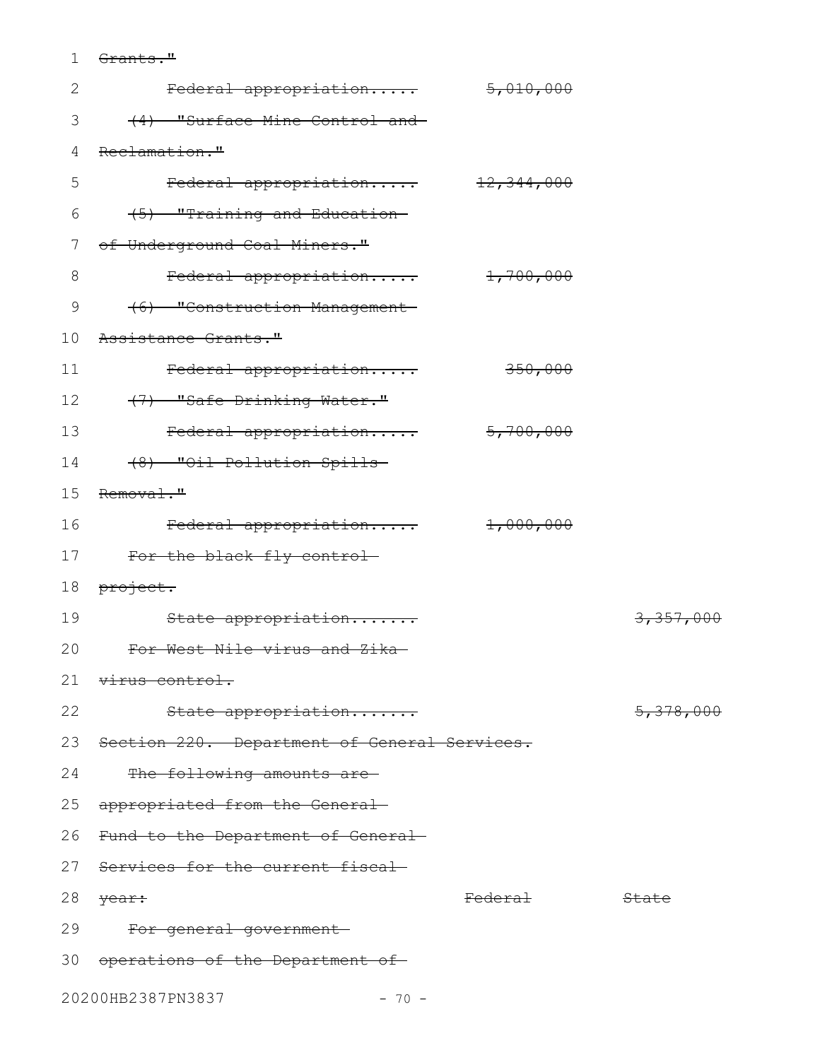1 <del>Grants."</del>

| $\mathbf{2}$ | Federal appropriation                           | 5,010,000          |                  |
|--------------|-------------------------------------------------|--------------------|------------------|
| 3            | (4) "Surface Mine Control and-                  |                    |                  |
| 4            | Reclamation."                                   |                    |                  |
| 5            | Federal appropriation 12,344,000                |                    |                  |
| 6            | (5) "Training and Education-                    |                    |                  |
| 7            | of Underground Coal Miners."                    |                    |                  |
| 8            | Federal appropriation 1,700,000                 |                    |                  |
| 9            | (6) "Construction Management                    |                    |                  |
| 10           | Assistance Grants."                             |                    |                  |
| 11           | Federal appropriation                           | 350,000            |                  |
|              | 12<br>(7) "Safe Drinking Water."                |                    |                  |
| 13           | Federal appropriation 5,700,000                 |                    |                  |
| 14           | (8) "Oil Pollution Spills-                      |                    |                  |
| 15           | Removal."                                       |                    |                  |
| 16           | Federal appropriation 1,000,000                 |                    |                  |
|              | 17<br>For the black fly control-                |                    |                  |
| 18           | <del>project.</del>                             |                    |                  |
| 19           | State appropriation                             |                    | 3,357,000        |
| 20           | For West Nile virus and Zika-                   |                    |                  |
|              | 21 virus control.                               |                    |                  |
| 22           | State appropriation                             |                    | 5,378,000        |
|              | 23 Section 220. Department of General Services. |                    |                  |
| 24           | The following amounts are-                      |                    |                  |
| 25           | appropriated from the General-                  |                    |                  |
|              | 26 Fund to the Department of General-           |                    |                  |
| 27           | Services for the current fiscal                 |                    |                  |
| 28           | year:                                           | <del>Federal</del> | <del>State</del> |
| 29           | For general government-                         |                    |                  |
|              | 30 operations of the Department of              |                    |                  |
|              | $0.00001100000001000$                           |                    |                  |

## 20200HB2387PN3837 - 70 -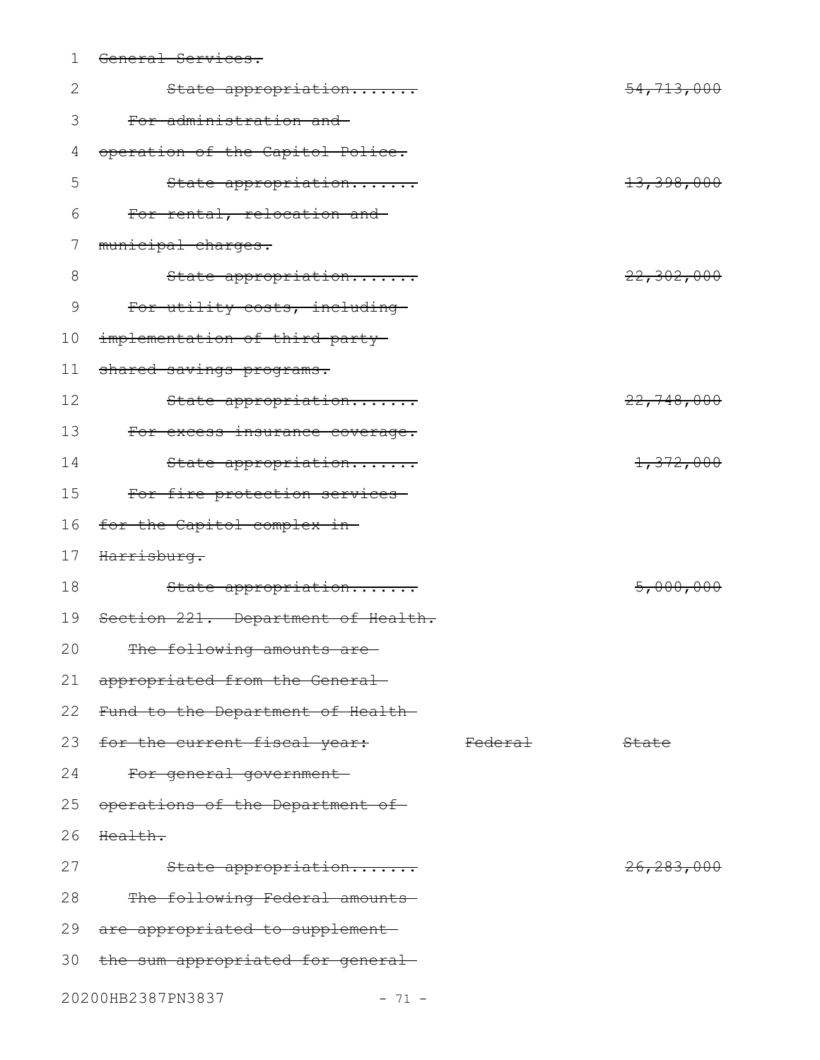| 1  | General Services.                    |                    |                         |
|----|--------------------------------------|--------------------|-------------------------|
| 2  | State appropriation                  |                    | <del>54,713,000</del>   |
| 3  | For administration and               |                    |                         |
| 4  | operation of the Capitol Police.     |                    |                         |
| 5  | State appropriation                  |                    | <del>13, 398, 000</del> |
| 6  | For rental, relocation and-          |                    |                         |
| 7  | municipal charges.                   |                    |                         |
| 8  | State appropriation                  |                    | 22,302,000              |
| 9  | For utility costs, including         |                    |                         |
| 10 | implementation of third-party-       |                    |                         |
| 11 | shared savings programs.             |                    |                         |
| 12 | State appropriation                  |                    | 22,748,000              |
| 13 | For excess insurance coverage.       |                    |                         |
| 14 | State appropriation                  |                    | 1,372,000               |
| 15 | For fire protection services-        |                    |                         |
| 16 | for the Capitol complex in-          |                    |                         |
| 17 | Harrisburg.                          |                    |                         |
| 18 | State appropriation                  |                    | 5,000,000               |
| 19 | Section 221. Department of Health.   |                    |                         |
| 20 | The following amounts are            |                    |                         |
| 21 | appropriated from the General-       |                    |                         |
| 22 | Fund to the Department of Health—    |                    |                         |
| 23 | for the current fiscal year:         | <del>Federal</del> | State                   |
| 24 | For general government-              |                    |                         |
| 25 | operations of the Department of      |                    |                         |
| 26 | Health.                              |                    |                         |
| 27 | State appropriation                  |                    | <del>26,283,000</del>   |
| 28 | The following Federal amounts        |                    |                         |
| 29 | are appropriated to supplement       |                    |                         |
|    | 30 the sum appropriated for general- |                    |                         |
|    | 20200HB2387PN3837<br>$-71 -$         |                    |                         |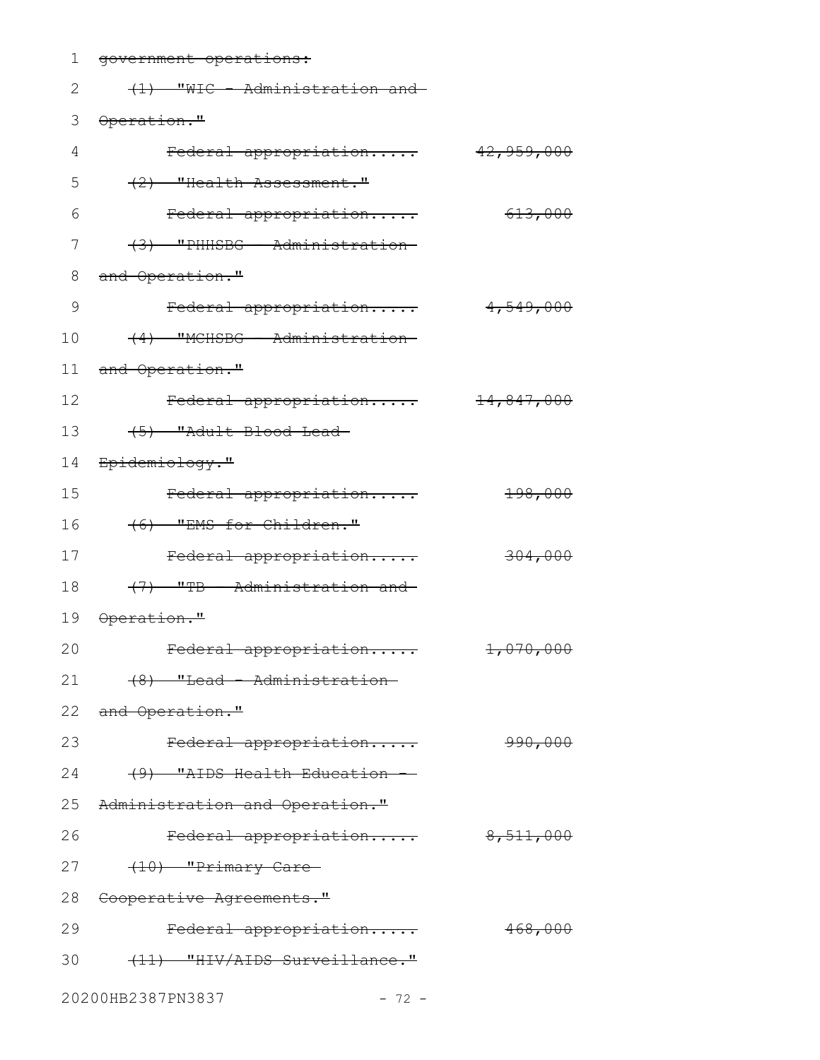| $\mathbf 1$ | government operations:                 |                       |
|-------------|----------------------------------------|-----------------------|
| 2           | (1) "WIC - Administration and          |                       |
| 3           | Operation."                            |                       |
| 4           | Federal appropriation                  | 42,959,000            |
| 5           | (2) "Health Assessment."               |                       |
| 6           | Federal appropriation                  | 613,000               |
| 7           | (3) "PHHSBG - Administration-          |                       |
| $\,8\,$     | and Operation."                        |                       |
| 9           | Federal appropriation                  | 4,549,000             |
| 10          | (4) "MCHSBG - Administration-          |                       |
| 11          | and Operation."                        |                       |
| 12          | Federal appropriation                  | <del>14,847,000</del> |
| 13          | (5) "Adult Blood Lead-                 |                       |
| 14          | <del>Epidemiology."</del>              |                       |
| 15          | Federal appropriation                  | 198,000               |
| 16          | (6) "EMS for Children."                |                       |
| 17          | Federal appropriation                  | 304,000               |
| 18          | (7) "TB - Administration and           |                       |
| 19          | <del>Operation."</del>                 |                       |
| 20          | Federal appropriation                  | 1,070,000             |
| 21          | <del>(8) "Lead - Administration-</del> |                       |
|             | 22 and Operation."                     |                       |
| 23          | Federal appropriation                  | 990,000               |
| 24          | (9) "AIDS Health Education             |                       |
|             | 25 Administration and Operation."      |                       |
| 26          | Federal appropriation                  | 8,511,000             |
| 27          | (10) "Primary Care                     |                       |
| 28          | <del>Cooperative Agreements."</del>    |                       |
| 29          | Federal appropriation                  | 468,000               |
| 30          | (11) "HIV/AIDS Surveillance."          |                       |
|             |                                        |                       |

20200HB2387PN3837 - 72 -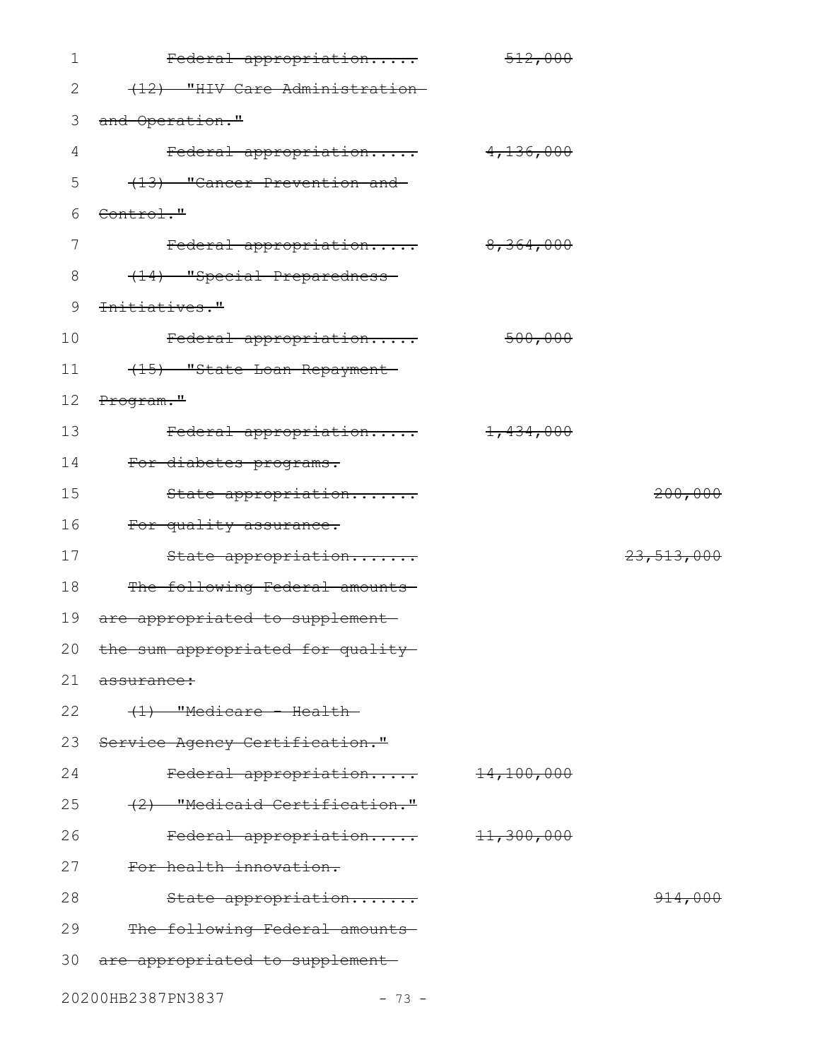| $\mathbf 1$ | Federal appropriation                | 512,000      |                    |
|-------------|--------------------------------------|--------------|--------------------|
| 2           | (12) "HIV Care Administration-       |              |                    |
| 3           | and Operation."                      |              |                    |
| 4           | Federal appropriation                | 4,136,000    |                    |
| 5           | (13) "Cancer Prevention and          |              |                    |
| 6           | Control."                            |              |                    |
| 7           | Federal appropriation                | 8,364,000    |                    |
| 8           | (14) "Special Preparedness-          |              |                    |
| 9           | <del>Initiatives."</del>             |              |                    |
| 10          | Federal appropriation                | 500,000      |                    |
| 11          | (15) "State Loan Repayment-          |              |                    |
| 12          | Program."                            |              |                    |
| 13          | Federal appropriation 1,434,000      |              |                    |
| 14          | For diabetes programs.               |              |                    |
| 15          | State appropriation                  |              | 200,000            |
| 16          | For quality assurance.               |              |                    |
| 17          | State appropriation                  |              | 23,513,000         |
| 18          | The following Federal amounts        |              |                    |
| 19          | are appropriated to supplement-      |              |                    |
|             | 20 the sum appropriated for quality- |              |                    |
| 21          | assurance:                           |              |                    |
| 22          | $(1)$ "Medicare - Health-            |              |                    |
| 23          | Service Agency Certification."       |              |                    |
| 24          | Federal appropriation                | 14,100,000   |                    |
| 25          | (2) "Medicaid Certification."        |              |                    |
| 26          | Federal appropriation                | $+1,300,000$ |                    |
| 27          | For health innovation.               |              |                    |
| 28          | State appropriation                  |              | <del>914,000</del> |
| 29          | The following Federal amounts        |              |                    |
| 30          | are appropriated to supplement       |              |                    |
|             |                                      |              |                    |

20200HB2387PN3837 - 73 -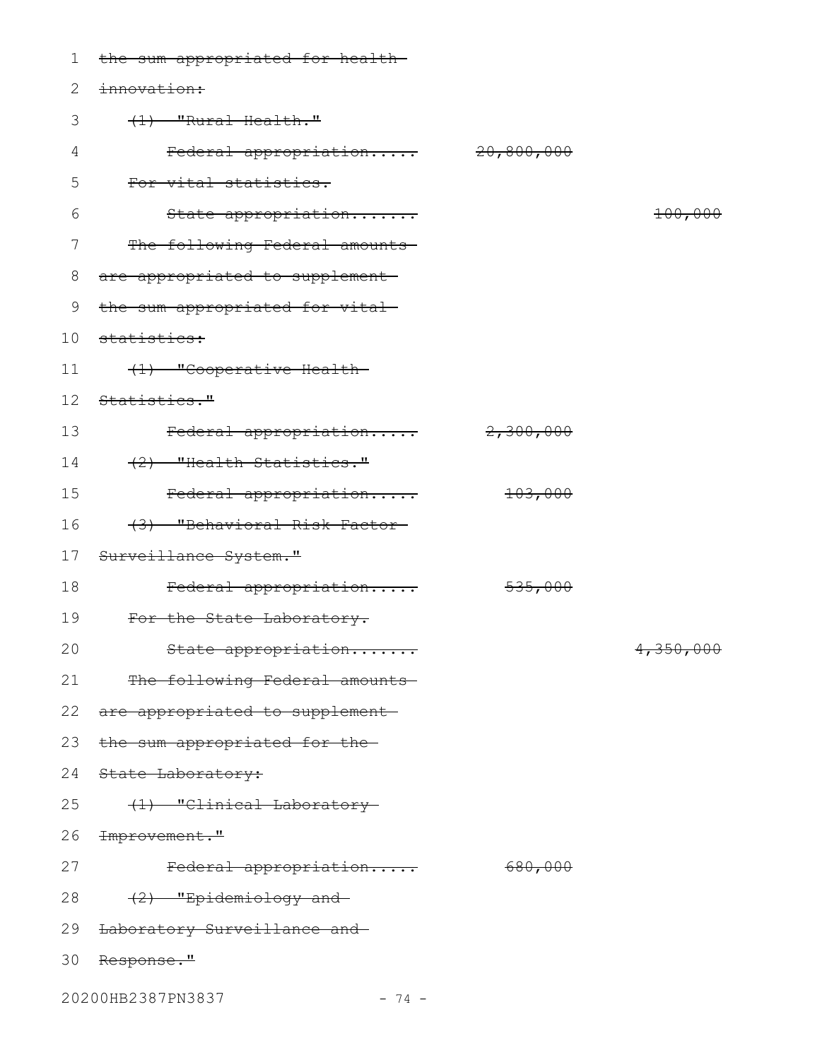| 1  | the sum appropriated for health-   |                       |           |
|----|------------------------------------|-----------------------|-----------|
| 2  | innovation:                        |                       |           |
| 3  | (1) "Rural Health."                |                       |           |
| 4  | Federal appropriation              | <del>20,800,000</del> |           |
| 5  | For vital statistics.              |                       |           |
| 6  | State appropriation                |                       | 100,000   |
| 7  | The following Federal amounts      |                       |           |
| 8  | are appropriated to supplement     |                       |           |
| 9  | the sum appropriated for vital-    |                       |           |
| 10 | <del>statistics:</del>             |                       |           |
| 11 | (1) "Cooperative Health-           |                       |           |
| 12 | Statistics."                       |                       |           |
| 13 | Federal appropriation              | 2,300,000             |           |
| 14 | (2) "Health Statistics."           |                       |           |
| 15 | Federal appropriation              | 103,000               |           |
| 16 | (3) "Behavioral Risk Factor-       |                       |           |
| 17 | Surveillance System."              |                       |           |
| 18 | Federal appropriation              | 535,000               |           |
| 19 | For the State Laboratory.          |                       |           |
| 20 | State appropriation                |                       | 4,350,000 |
| 21 | The following Federal amounts      |                       |           |
|    | 22 are appropriated to supplement- |                       |           |
| 23 | the sum appropriated for the-      |                       |           |
| 24 | <del>State Laboratory:</del>       |                       |           |
| 25 | (1) "Clinical Laboratory-          |                       |           |
| 26 | <del>Improvement."</del>           |                       |           |
| 27 | Federal appropriation              | 680,000               |           |
| 28 | (2) "Epidemiology and              |                       |           |
| 29 | Laboratory Surveillance and        |                       |           |
| 30 | <del>Response."</del>              |                       |           |
|    | 20200HB2387PN3837<br>$-74 -$       |                       |           |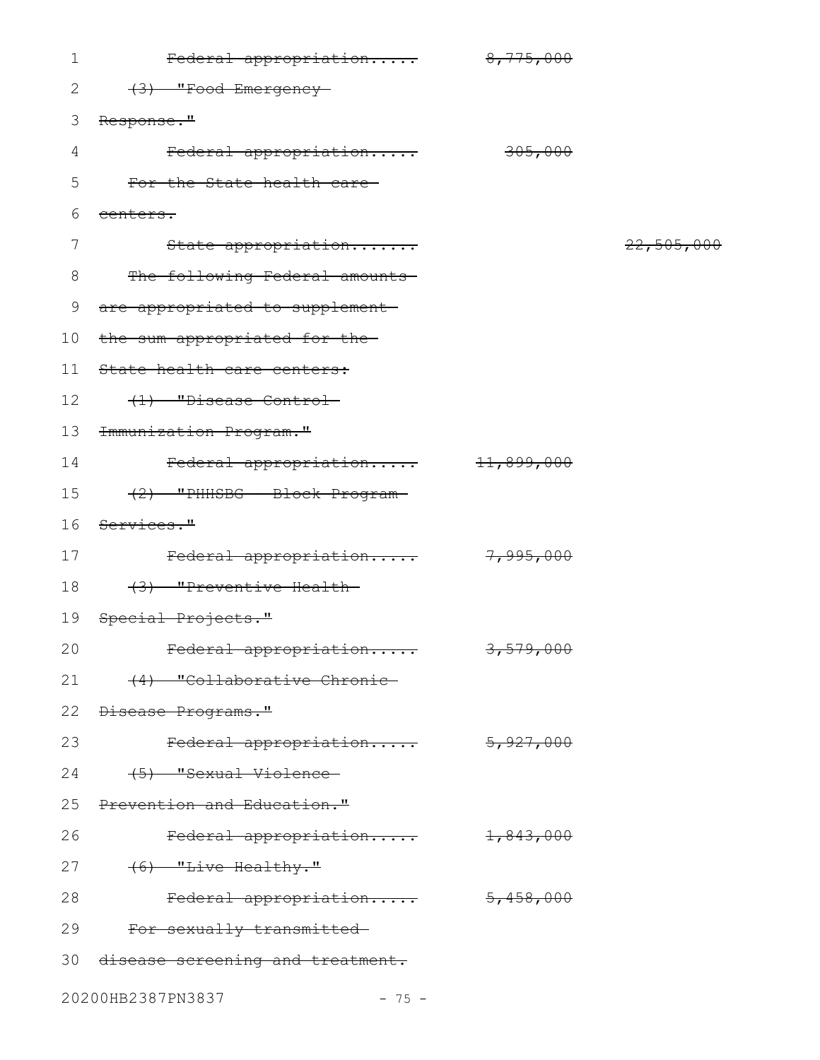| 1               | Federal appropriation             | 8,775,000 |            |
|-----------------|-----------------------------------|-----------|------------|
| 2               | (3) "Food Emergency-              |           |            |
| 3               | Response."                        |           |            |
| 4               | Federal appropriation             | 305,000   |            |
| 5               | For the State health care-        |           |            |
| 6               | eenters.                          |           |            |
| 7               | State appropriation               |           | 22,505,000 |
| 8               | The following Federal amounts     |           |            |
| 9               | are appropriated to supplement-   |           |            |
| 10 <sub>o</sub> | the sum appropriated for the-     |           |            |
| 11              | State health care centers:        |           |            |
| 12              | (1) "Disease Control-             |           |            |
| 13              | <del>Immunization Program."</del> |           |            |
| 14              | Federal appropriation 11,899,000  |           |            |
| 15              | (2) "PHHSBG - Block Program-      |           |            |
| 16              | Services."                        |           |            |
| 17              | Federal appropriation             | 7,995,000 |            |
| 18              | (3) "Preventive Health-           |           |            |
| 19              | Special Projects."                |           |            |
| 20              | Federal appropriation             | 3,579,000 |            |
| 21              | (4) "Collaborative Chronic-       |           |            |
| 22              | Disease Programs."                |           |            |
| 23              | Federal appropriation             | 5,927,000 |            |
| 24              | (5) "Sexual Violence-             |           |            |
| 25              | Prevention and Education."        |           |            |
| 26              | Federal appropriation             | 1,843,000 |            |
| 27              | $(6)$ "Live Healthy."             |           |            |
| 28              | Federal appropriation             | 5,458,000 |            |
| 29              | For sexually transmitted          |           |            |
| 30              | disease screening and treatment.  |           |            |
|                 | 20200HB2387PN3837<br>$-75 -$      |           |            |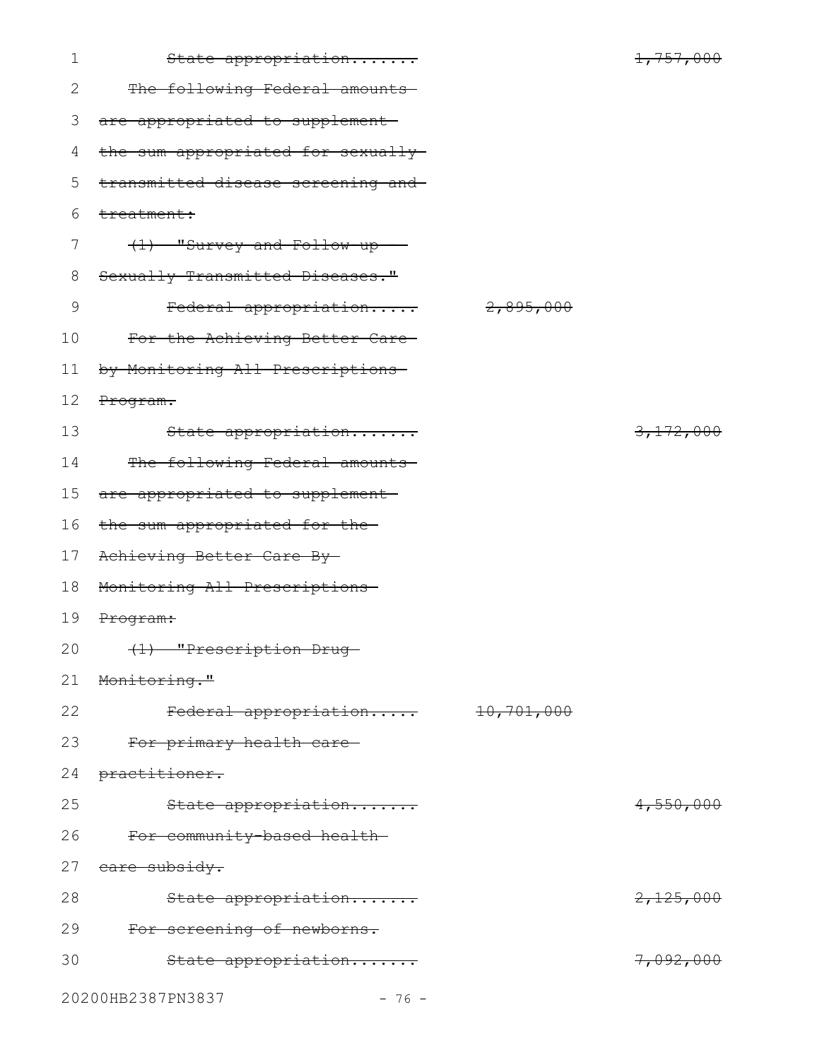| $\mathbf 1$   | State appropriation                |                       | 1,757,000 |
|---------------|------------------------------------|-----------------------|-----------|
| $\mathbf{2}$  | The following Federal amounts      |                       |           |
| 3             | are appropriated to supplement-    |                       |           |
| 4             | the sum appropriated for sexually- |                       |           |
| 5             | transmitted disease screening and- |                       |           |
| 6             | treatment:                         |                       |           |
| 7             | $(1)$ "Survey and Follow-up -      |                       |           |
| 8             | Sexually Transmitted Diseases."    |                       |           |
| $\mathcal{G}$ | Federal appropriation              | 2,895,000             |           |
| 10            | For the Achieving Better Care-     |                       |           |
| 11            | by Monitoring All Prescriptions    |                       |           |
| 12            | Program.                           |                       |           |
| 13            | State appropriation                |                       | 3,172,000 |
| 14            | The following Federal amounts      |                       |           |
| 15            | are appropriated to supplement-    |                       |           |
| 16            | the sum appropriated for the-      |                       |           |
| 17            | Achieving Better Care By-          |                       |           |
| 18            | Monitoring All Prescriptions-      |                       |           |
| 19            | Program:                           |                       |           |
| 20            | (1) "Prescription Drug-            |                       |           |
| 21            | Monitoring."                       |                       |           |
| 22            | Federal appropriation              | <del>10,701,000</del> |           |
| 23            | For primary health care-           |                       |           |
| 24            | practitioner.                      |                       |           |
| 25            | State appropriation                |                       | 4,550,000 |
| 26            | For community-based health-        |                       |           |
| 27            | eare subsidy.                      |                       |           |
| 28            | State appropriation                |                       | 2,125,000 |
| 29            | For screening of newborns.         |                       |           |
| 30            | State appropriation                |                       | 7,092,000 |
|               | 20200HB2387PN3837<br>$-76 -$       |                       |           |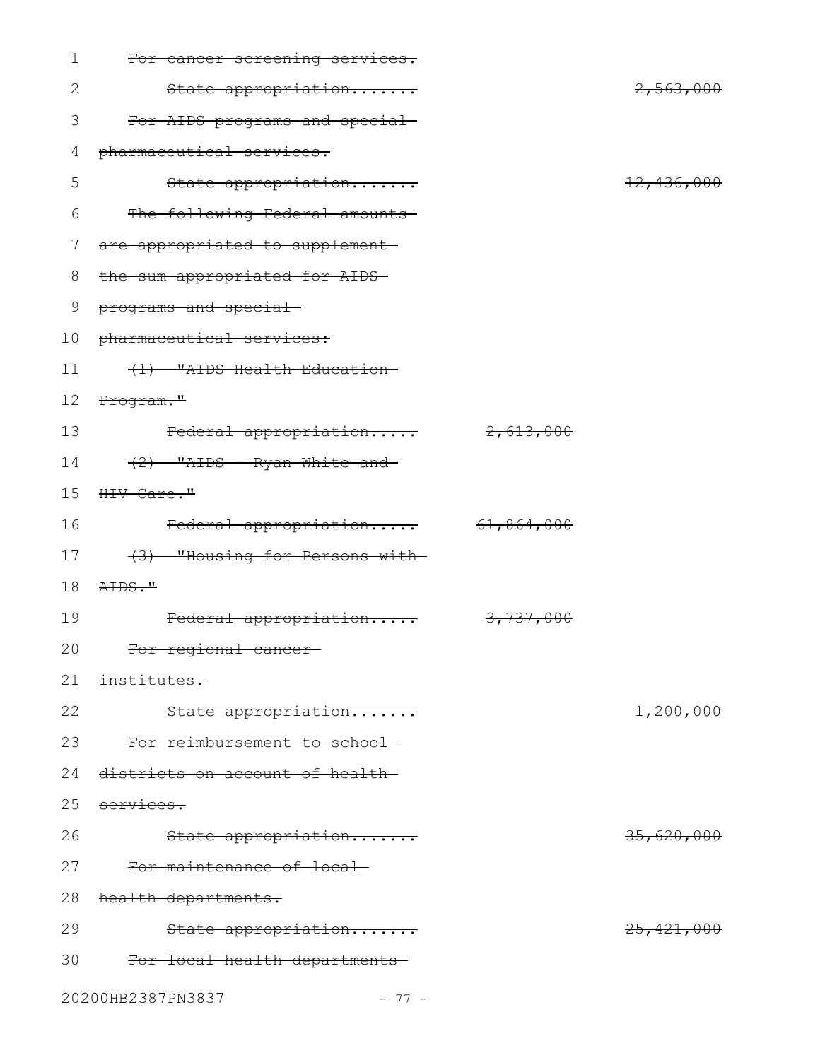| $\mathbf 1$ | For cancer screening services.  |            |                       |
|-------------|---------------------------------|------------|-----------------------|
| 2           | State appropriation             |            | 2,563,000             |
| 3           | For AIDS programs and special   |            |                       |
| 4           | pharmaceutical services.        |            |                       |
| 5           | State appropriation             |            | <del>12,436,000</del> |
| 6           | The following Federal amounts   |            |                       |
| 7           | are appropriated to supplement- |            |                       |
| 8           | the sum appropriated for AIDS-  |            |                       |
| 9           | programs and special            |            |                       |
| 10          | pharmaceutical services:        |            |                       |
| 11          | (1) "AIDS Health Education-     |            |                       |
| 12          | Program."                       |            |                       |
| 13          | Federal appropriation           | 2,613,000  |                       |
| 14          | (2) "AIDS - Ryan White and      |            |                       |
| 15          | HIV Care."                      |            |                       |
| 16          | Federal appropriation           | 61,864,000 |                       |
| 17          | (3) "Housing for Persons with-  |            |                       |
| 18          | AIDS."                          |            |                       |
| 19          | Federal appropriation           | 3,737,000  |                       |
| 20          | <del>For regional cancer-</del> |            |                       |
| 21          | institutes.                     |            |                       |
| 22          | State appropriation             |            | 1,200,000             |
| 23          | For reimbursement to school-    |            |                       |
| 24          | districts on account of health- |            |                       |
| 25          | services.                       |            |                       |
| 26          | State appropriation             |            | 35,620,000            |
| 27          | For maintenance of local        |            |                       |
| 28          | health departments.             |            |                       |
| 29          | State appropriation             |            | 25, 421, 000          |
| 30          | For local health departments    |            |                       |
|             | 20200HB2387PN3837<br>$-77-$     |            |                       |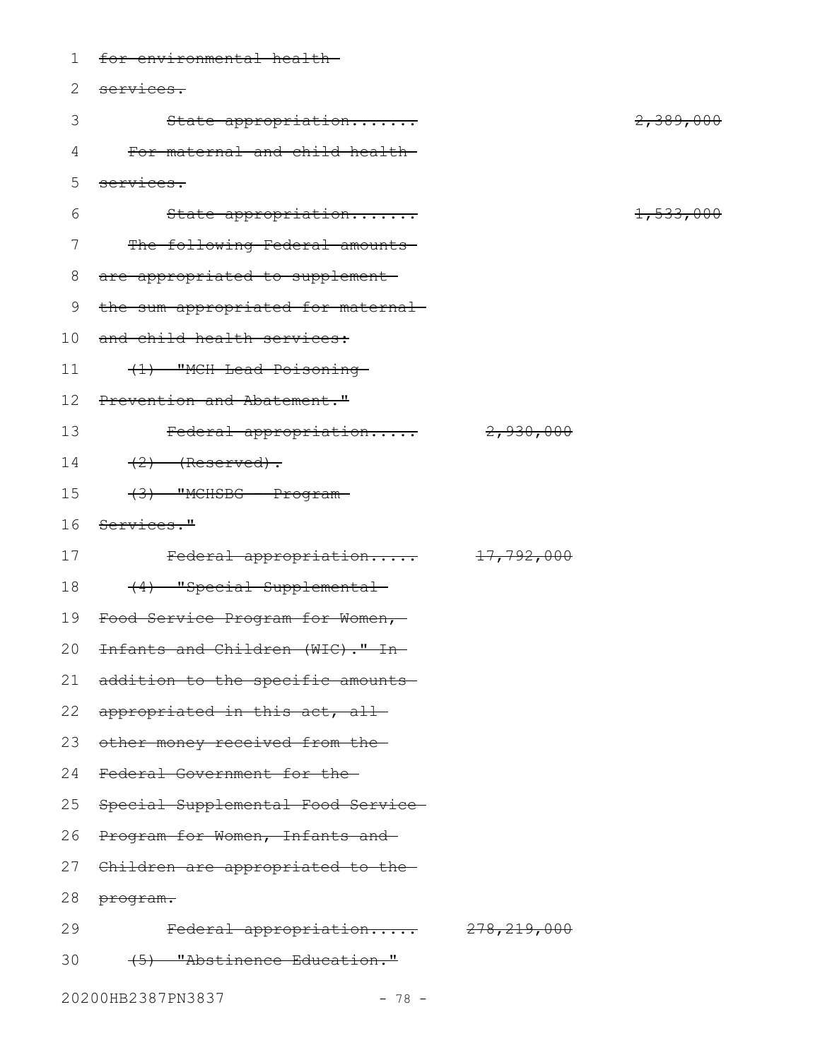| 1  | for environmental health-                     |           |           |
|----|-----------------------------------------------|-----------|-----------|
| 2  | services.                                     |           |           |
| 3  | State appropriation                           |           | 2,389,000 |
| 4  | For maternal and child health-                |           |           |
| 5  | services.                                     |           |           |
| 6  | State appropriation                           |           | 1,533,000 |
| 7  | The following Federal amounts                 |           |           |
| 8  | are appropriated to supplement                |           |           |
| 9  | the sum appropriated for maternal-            |           |           |
| 10 | and child health services:                    |           |           |
| 11 | (1) "MCH Lead Poisoning                       |           |           |
| 12 | Prevention and Abatement."                    |           |           |
| 13 | Federal appropriation                         | 2,930,000 |           |
| 14 | $(2)$ (Reserved).                             |           |           |
| 15 | $(3)$ "MCHSBG - Program-                      |           |           |
| 16 | <del>Services."</del>                         |           |           |
| 17 | Federal appropriation 17,792,000              |           |           |
| 18 | (4) "Special Supplemental-                    |           |           |
| 19 | <del>Food Service Program for Women,</del>    |           |           |
|    | 20 <del>Infants and Children (WIC)." In</del> |           |           |
| 21 | addition to the specific amounts—             |           |           |
| 22 | appropriated in this act, all-                |           |           |
| 23 | other money received from the-                |           |           |
| 24 | Federal Government for the                    |           |           |
| 25 | Special Supplemental Food Service-            |           |           |
| 26 | <del>Program for Women, Infants and</del>     |           |           |
|    | 27 Children are appropriated to the-          |           |           |
| 28 | <del>program.</del>                           |           |           |
| 29 | Federal appropriation 278,219,000             |           |           |
| 30 | (5) "Abstinence Education."                   |           |           |
|    | 20200HB2387PN3837<br>$-78 -$                  |           |           |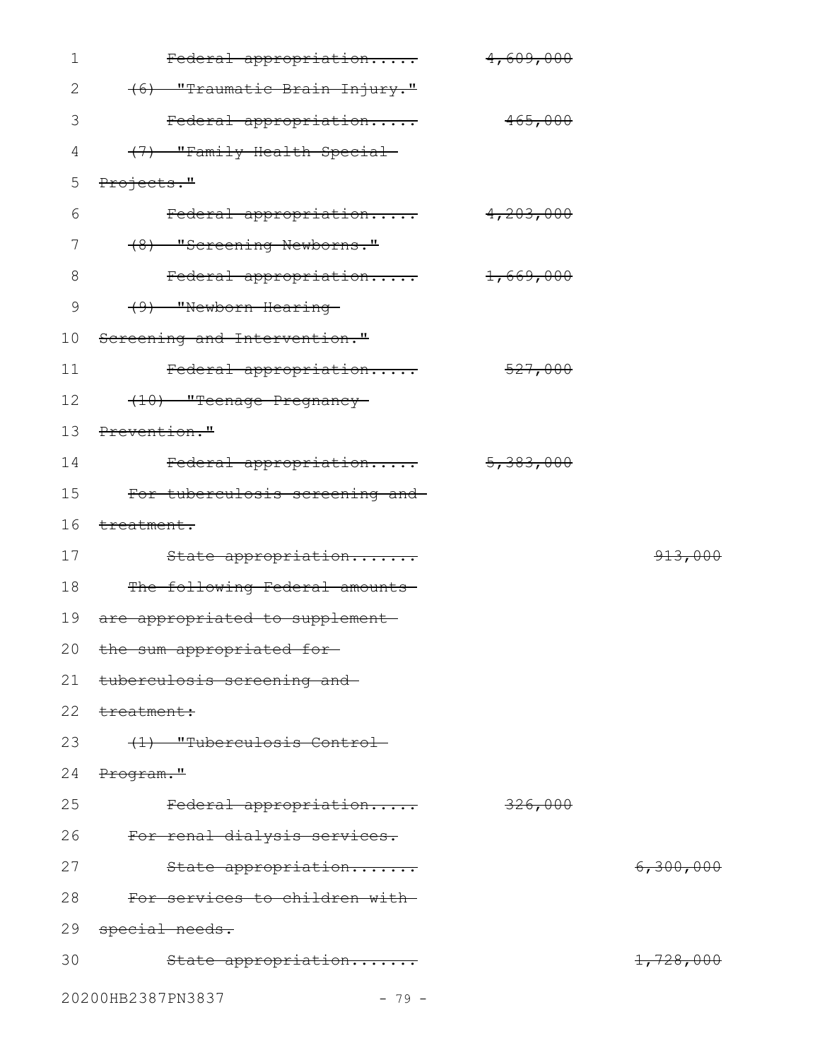| $\mathbf 1$   | Federal appropriation           | 4,609,000 |           |
|---------------|---------------------------------|-----------|-----------|
| $\mathbf{2}$  | (6) "Traumatic Brain Injury."   |           |           |
| 3             | Federal appropriation           | 465,000   |           |
| 4             | (7) "Family Health Special-     |           |           |
| 5             | Projects."                      |           |           |
| 6             | Federal appropriation           | 4,203,000 |           |
| 7             | (8) "Screening Newborns."       |           |           |
| $8\,$         | Federal appropriation           | 1,669,000 |           |
| $\mathcal{G}$ | (9) "Newborn Hearing-           |           |           |
| 10            | Screening and Intervention."    |           |           |
| 11            | Federal appropriation           | 527,000   |           |
| 12            | (10) "Teenage Pregnancy-        |           |           |
| 13            | Prevention."                    |           |           |
| 14            | Federal appropriation           | 5,383,000 |           |
| 15            | For tuberculosis screening and- |           |           |
| 16            | <del>treatment.</del>           |           |           |
| 17            | State appropriation             |           | 913,000   |
| 18            | The following Federal amounts   |           |           |
| 19            | are appropriated to supplement- |           |           |
|               | 20 the sum appropriated for-    |           |           |
| 21            | tuberculosis screening and      |           |           |
| 22            | treatment:                      |           |           |
| 23            | (1) "Tuberculosis Control-      |           |           |
| 24            | <del>Program."</del>            |           |           |
| 25            | Federal appropriation           | 326,000   |           |
| 26            | For renal dialysis services.    |           |           |
| 27            | State appropriation             |           | 6,300,000 |
| 28            | For services to children with   |           |           |
| 29            | special needs.                  |           |           |
| 30            | State appropriation             |           | 1,728,000 |
|               | 20200HB2387PN3837<br>$-79 -$    |           |           |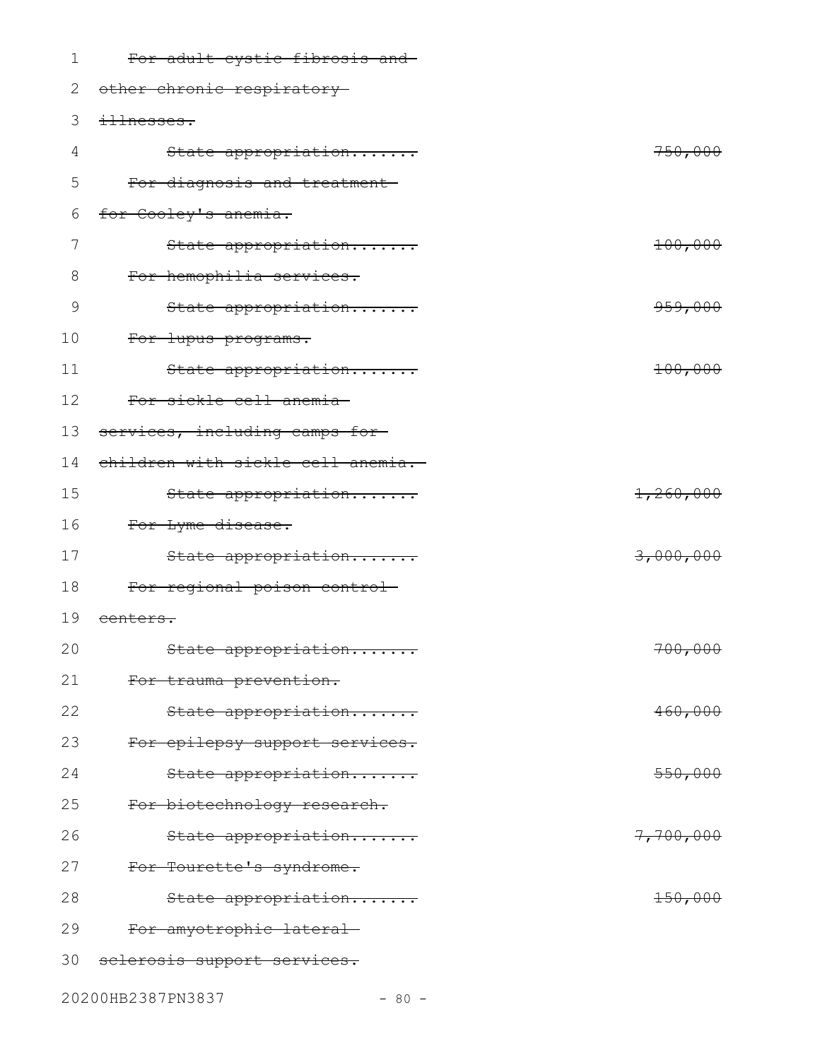| 1  | For adult cystic fibrosis and     |           |
|----|-----------------------------------|-----------|
| 2  | other chronic respiratory-        |           |
| 3  | illnesses.                        |           |
| 4  | State appropriation               | 750,000   |
| 5  | For diagnosis and treatment-      |           |
| 6  | for Cooley's anemia.              |           |
| 7  | State appropriation               | 100,000   |
| 8  | For hemophilia services.          |           |
| 9  | State appropriation               | 959,000   |
| 10 | For lupus programs.               |           |
| 11 | State appropriation               | 100,000   |
| 12 | For sickle cell anemia            |           |
| 13 | services, including camps for-    |           |
| 14 | children with sickle cell anemia. |           |
| 15 | State appropriation               | 1,260,000 |
| 16 | For Lyme disease.                 |           |
| 17 | State appropriation               | 3,000,000 |
| 18 | For regional poison control-      |           |
| 19 | <del>centers.</del>               |           |
| 20 | State appropriation               | 700,000   |
| 21 | For trauma prevention.            |           |
| 22 | State appropriation               | 460,000   |
| 23 | For epilepsy support services.    |           |
| 24 | State appropriation               | 550,000   |
| 25 | For biotechnology research.       |           |
| 26 | State appropriation               | 7,700,000 |
| 27 | For Tourette's syndrome.          |           |
| 28 | State appropriation               | 150,000   |
| 29 | For amyotrophic lateral           |           |
| 30 | sclerosis support services.       |           |

20200HB2387PN3837 - 80 -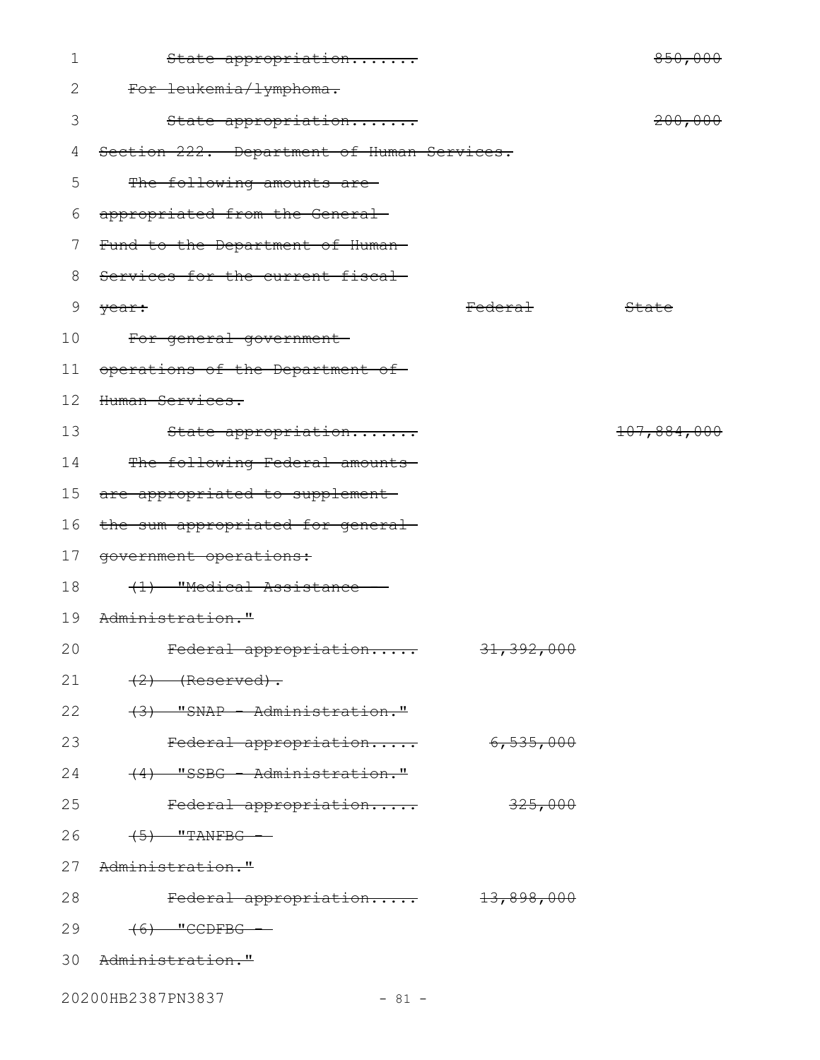| 1  | State appropriation                        |                       | 850,000            |
|----|--------------------------------------------|-----------------------|--------------------|
| 2  | For leukemia/lymphoma.                     |                       |                    |
| 3  | State appropriation                        |                       | <del>200,000</del> |
| 4  | Section 222. Department of Human Services. |                       |                    |
| 5  | The following amounts are                  |                       |                    |
| 6  | appropriated from the General-             |                       |                    |
| 7  | Fund to the Department of Human-           |                       |                    |
| 8  | Services for the current fiscal            |                       |                    |
| 9  | year:                                      | Federa <del>l</del>   | State              |
| 10 | For general government                     |                       |                    |
| 11 | operations of the Department of            |                       |                    |
| 12 | Human Services.                            |                       |                    |
| 13 | State appropriation                        |                       | 107,884,000        |
| 14 | The following Federal amounts-             |                       |                    |
| 15 | are appropriated to supplement-            |                       |                    |
| 16 | the sum appropriated for general-          |                       |                    |
| 17 | government operations:                     |                       |                    |
| 18 | (1) "Medical Assistance                    |                       |                    |
| 19 | Administration."                           |                       |                    |
| 20 | <del>Federal appropriation</del>           | <del>31,392,000</del> |                    |
| 21 | $(2)$ (Reserved).                          |                       |                    |
| 22 | (3) "SNAP - Administration."               |                       |                    |
| 23 | Federal appropriation                      | 6,535,000             |                    |
| 24 | (4) "SSBG - Administration."               |                       |                    |
| 25 | Federal appropriation                      | 325,000               |                    |
| 26 | $(5)$ "TANFBG -                            |                       |                    |
| 27 | <del>Administration."</del>                |                       |                    |
| 28 | Federal appropriation 13,898,000           |                       |                    |
| 29 | $(6)$ "CCDFBG -                            |                       |                    |
|    | 30 Administration."                        |                       |                    |
|    | 20200HB2387PN3837<br>$-81 -$               |                       |                    |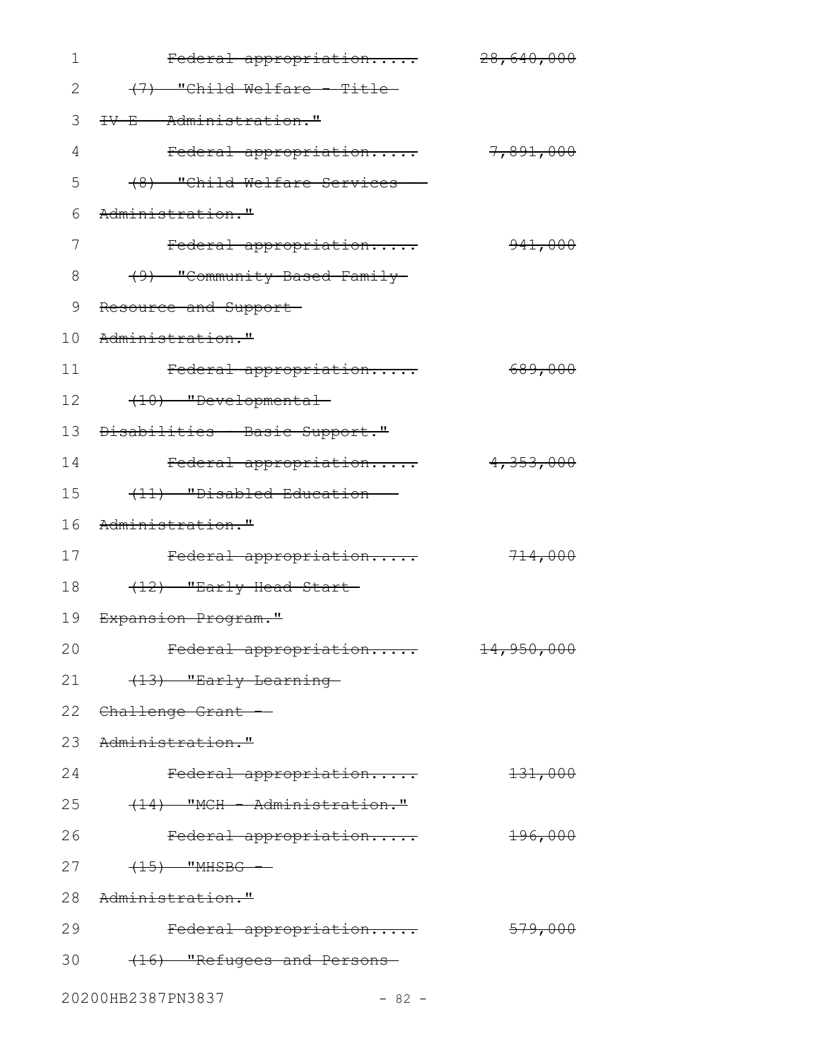| 1  | Federal appropriation          | 28,640,000 |
|----|--------------------------------|------------|
| 2  | (7) "Child Welfare Title-      |            |
| 3  | <b>TV-E - Administration."</b> |            |
| 4  | Federal appropriation          | 7,891,000  |
| 5  | (8) "Child Welfare Services    |            |
| 6  | Administration."               |            |
| 7  | Federal appropriation          | 941,000    |
| 8  | (9) "Community-Based Family-   |            |
| 9  | Resource and Support-          |            |
| 10 | Administration."               |            |
| 11 | Federal appropriation          | 689,000    |
| 12 | (10) "Developmental            |            |
| 13 | Disabilities - Basic Support." |            |
| 14 | Federal appropriation          | 4,353,000  |
| 15 | (11) "Disabled Education       |            |
| 16 | Administration."               |            |
| 17 | Federal appropriation          | 714,000    |
| 18 | (12) "Early Head Start-        |            |
| 19 | <del>Expansion Program."</del> |            |
| 20 | Federal appropriation          | 14,950,000 |
| 21 | (13) "Early Learning-          |            |
|    | 22 Challenge Grant --          |            |
|    | 23 Administration."            |            |
| 24 | Federal appropriation          | 131,000    |
| 25 | (14) "MCH - Administration."   |            |
| 26 | Federal appropriation          | 196,000    |
| 27 | $(15)$ "MHSBG -                |            |
|    | 28 Administration."            |            |
| 29 | Federal appropriation          | 579,000    |
| 30 | (16) "Refugees and Persons-    |            |
|    | 20200HB2387PN3837<br>$-82 -$   |            |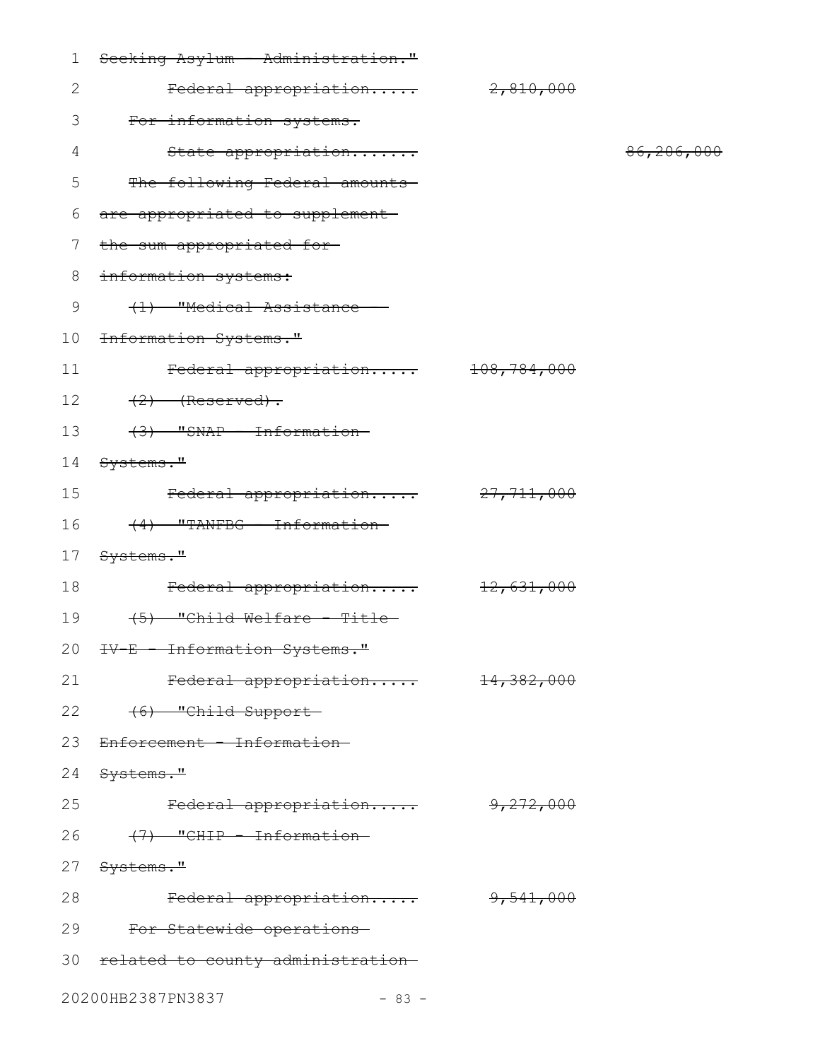| 1            | Seeking Asylum - Administration."          |                        |            |
|--------------|--------------------------------------------|------------------------|------------|
| $\mathbf{2}$ | Federal appropriation                      | 2,810,000              |            |
| 3            | For information systems.                   |                        |            |
| 4            | State appropriation                        |                        | 86,206,000 |
| 5            | The following Federal amounts              |                        |            |
| 6            | are appropriated to supplement-            |                        |            |
| 7            | the sum appropriated for-                  |                        |            |
| 8            | information systems:                       |                        |            |
| 9            | (1) "Medical Assistance -                  |                        |            |
| 10           | Information Systems."                      |                        |            |
| 11           | Federal appropriation                      | <del>108,784,000</del> |            |
| 12           | $(2)$ (Reserved).                          |                        |            |
| 13           | (3) "SNAP - Information-                   |                        |            |
| 14           | <del>Systems."</del>                       |                        |            |
| 15           | Federal appropriation 27,711,000           |                        |            |
| 16           | $(4)$ "TANFBG - Information-               |                        |            |
| 17           | Systems."                                  |                        |            |
| 18           | Federal appropriation 12,631,000           |                        |            |
| 19           | $(5)$ "Child Welfare - Title-              |                        |            |
|              | 20 <del>IV-E - Information Systems."</del> |                        |            |
| 21           | Federal appropriation                      | <del>14,382,000</del>  |            |
|              | (6) "Child Support-<br>22                  |                        |            |
| 23           | Enforcement - Information-                 |                        |            |
| 24           | <del>Systems."</del>                       |                        |            |
| 25           | Federal appropriation                      | <del>9,272,000</del>   |            |
| 26           | <del>(7) "CHIP - Information-</del>        |                        |            |
| 27           | <del>Systems."</del>                       |                        |            |
| 28           | Federal appropriation                      | <del>9,541,000</del>   |            |
| 29           | For Statewide operations                   |                        |            |
|              | 30 related to county administration-       |                        |            |
|              | 20200HB2387PN3837<br>$-83 -$               |                        |            |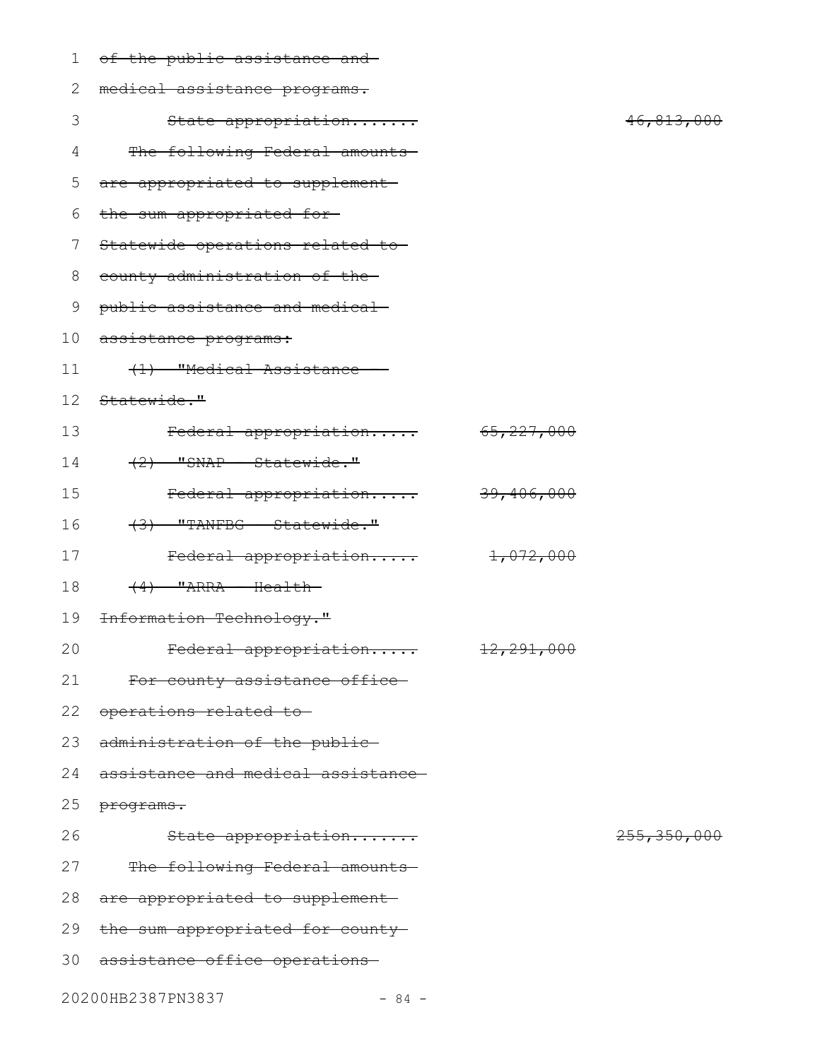| $\mathbf 1$ | of the public assistance and-      |                       |               |
|-------------|------------------------------------|-----------------------|---------------|
| 2           | medical assistance programs.       |                       |               |
| 3           | State appropriation                |                       | 46,813,000    |
| 4           | The following Federal amounts-     |                       |               |
| 5           | are appropriated to supplement-    |                       |               |
| 6           | the sum appropriated for-          |                       |               |
| 7           | Statewide operations related to    |                       |               |
| 8           | county administration of the-      |                       |               |
| 9           | public assistance and medical-     |                       |               |
| 10          | <del>assistance programs:</del>    |                       |               |
| 11          | (1) "Medical Assistance -          |                       |               |
| 12          | Statewide."                        |                       |               |
| 13          | Federal appropriation              | 65, 227, 000          |               |
| 14          | $(2)$ "SNAP - Statewide."          |                       |               |
| 15          | Federal appropriation              | <del>39,406,000</del> |               |
| 16          | $(3)$ "TANFBG - Statewide."        |                       |               |
| 17          | Federal appropriation              | <del>1,072,000</del>  |               |
| 18          | $(4)$ "ARRA - Health-              |                       |               |
| 19          | Information Technology."           |                       |               |
| 20          | Federal appropriation              | 12,291,000            |               |
| 21          | For county assistance office-      |                       |               |
| 22          | operations related to              |                       |               |
| 23          | administration of the public-      |                       |               |
| 24          | assistance and medical assistance- |                       |               |
| 25          | programs.                          |                       |               |
| 26          | State appropriation                |                       | 255, 350, 000 |
| 27          | The following Federal amounts-     |                       |               |
| 28          | are appropriated to supplement-    |                       |               |
| 29          | the sum appropriated for county-   |                       |               |
| 30          | assistance office operations-      |                       |               |
|             |                                    |                       |               |

20200HB2387PN3837 - 84 -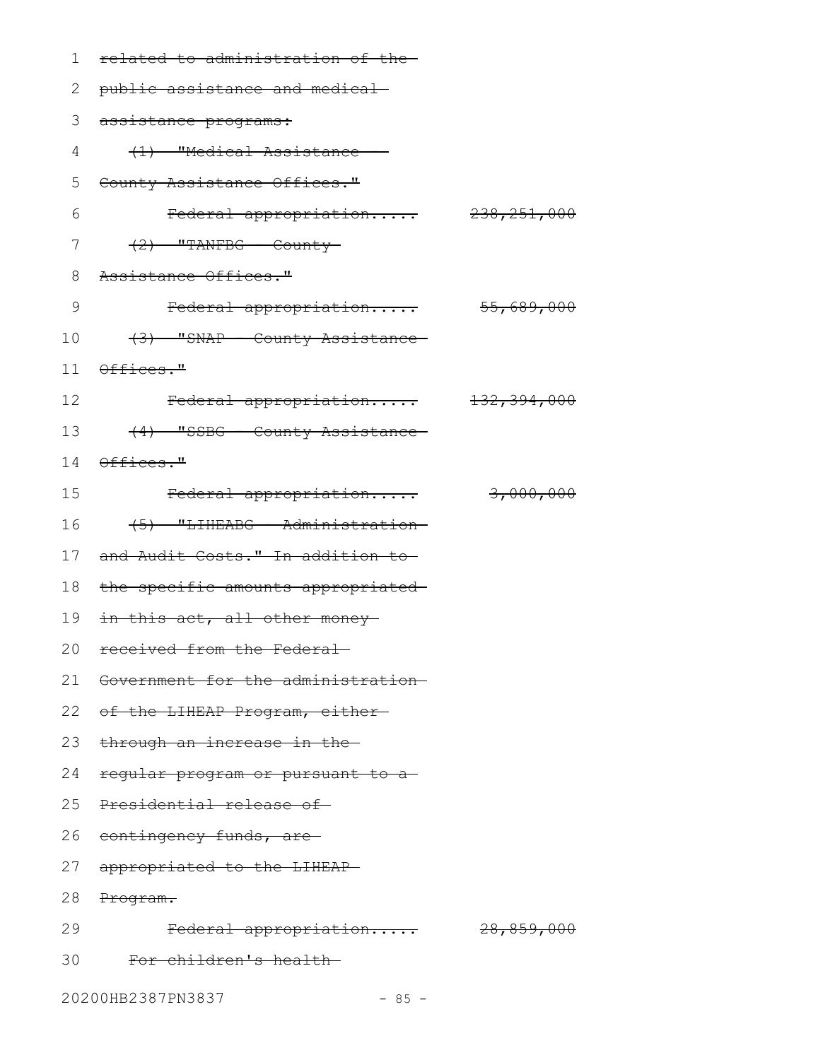| 1               | related to administration of the-          |           |
|-----------------|--------------------------------------------|-----------|
| 2               | public assistance and medical-             |           |
| 3               | assistance programs:                       |           |
| 4               | (1) "Medical Assistance -                  |           |
| 5               | <del>County Assistance Offices."</del>     |           |
| 6               | Federal appropriation 238,251,000          |           |
| 7               | $(2)$ "TANFBG - County-                    |           |
| 8               | Assistance Offices."                       |           |
| 9               | Federal appropriation 55,689,000           |           |
| 10              | (3) "SNAP - County Assistance-             |           |
|                 | $11$ $0$ ffices."                          |           |
| 12 <sup>°</sup> | Federal appropriation 132,394,000          |           |
| 13              | (4) "SSBG - County Assistance              |           |
|                 | 14 Offices."                               |           |
| 15              | Federal appropriation                      | 3,000,000 |
| 16              | (5) "LIHEABG - Administration-             |           |
| 17              | and Audit Costs." In addition to-          |           |
| 18              | the specific amounts appropriated-         |           |
|                 | 19 <del>in this act, all other money</del> |           |
|                 | 20 received from the Federal               |           |
|                 | 21 Government for the administration-      |           |
|                 | 22 of the LIHEAP Program, either-          |           |
| 23              | through an increase in the-                |           |
| 24              | regular program or pursuant to a           |           |
| 25              | Presidential release of-                   |           |
|                 | 26 contingency funds, are                  |           |
| 27              | appropriated to the LIHEAP-                |           |
| 28              | Program.                                   |           |
| 29              | Federal appropriation 28,859,000           |           |
| 30              | For children's health-                     |           |
|                 |                                            |           |

20200HB2387PN3837 - 85 -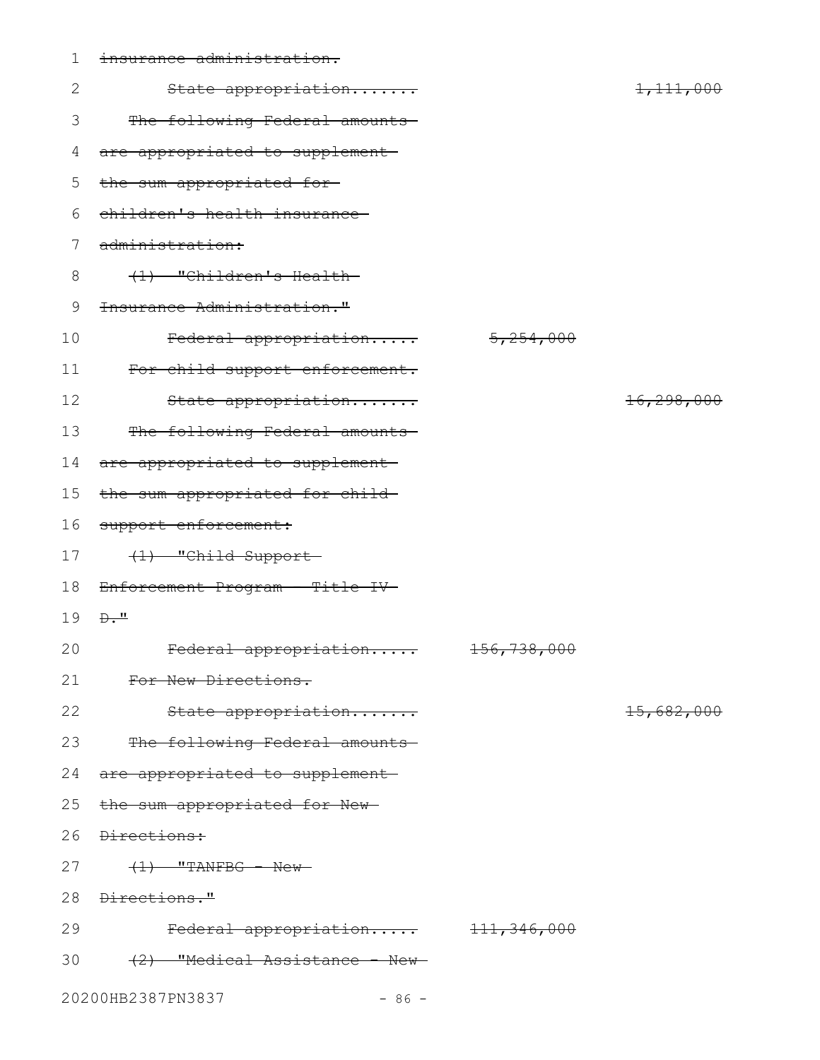| $\mathbf 1$ | insurance administration.         |             |            |
|-------------|-----------------------------------|-------------|------------|
| 2           | State appropriation               |             | 1,111,000  |
| 3           | The following Federal amounts-    |             |            |
| 4           | are appropriated to supplement-   |             |            |
| 5           | the sum appropriated for-         |             |            |
| 6           | children's health insurance-      |             |            |
| 7           | administration:                   |             |            |
| 8           | (1) "Children's Health-           |             |            |
| 9           | Insurance Administration."        |             |            |
| 10          | Federal appropriation             | 5,254,000   |            |
| 11          | For child support enforcement.    |             |            |
| 12          | State appropriation               |             | 16,298,000 |
| 13          | The following Federal amounts     |             |            |
| 14          | are appropriated to supplement    |             |            |
| 15          | the sum appropriated for child-   |             |            |
| 16          | support enforcement:              |             |            |
| 17          | (1) "Child Support-               |             |            |
| 18          | Enforcement Program - Title IV-   |             |            |
| 19          | $\overline{D \cdot \overline{L}}$ |             |            |
| 20          | Federal appropriation             | 156,738,000 |            |
| 21          | For New Directions.               |             |            |
| 22          | State appropriation               |             | 15,682,000 |
| 23          | The following Federal amounts-    |             |            |
| 24          | are appropriated to supplement    |             |            |
| 25          | the sum appropriated for New-     |             |            |
| 26          | <del>Directions:</del>            |             |            |
| 27          | $\left(1\right)$ "TANFBG - New-   |             |            |
|             | 28 <del>Directions."</del>        |             |            |
| 29          | Federal appropriation 111,346,000 |             |            |
| 30          | (2) "Medical Assistance - New-    |             |            |
|             | 20200HB2387PN3837<br>$-86 -$      |             |            |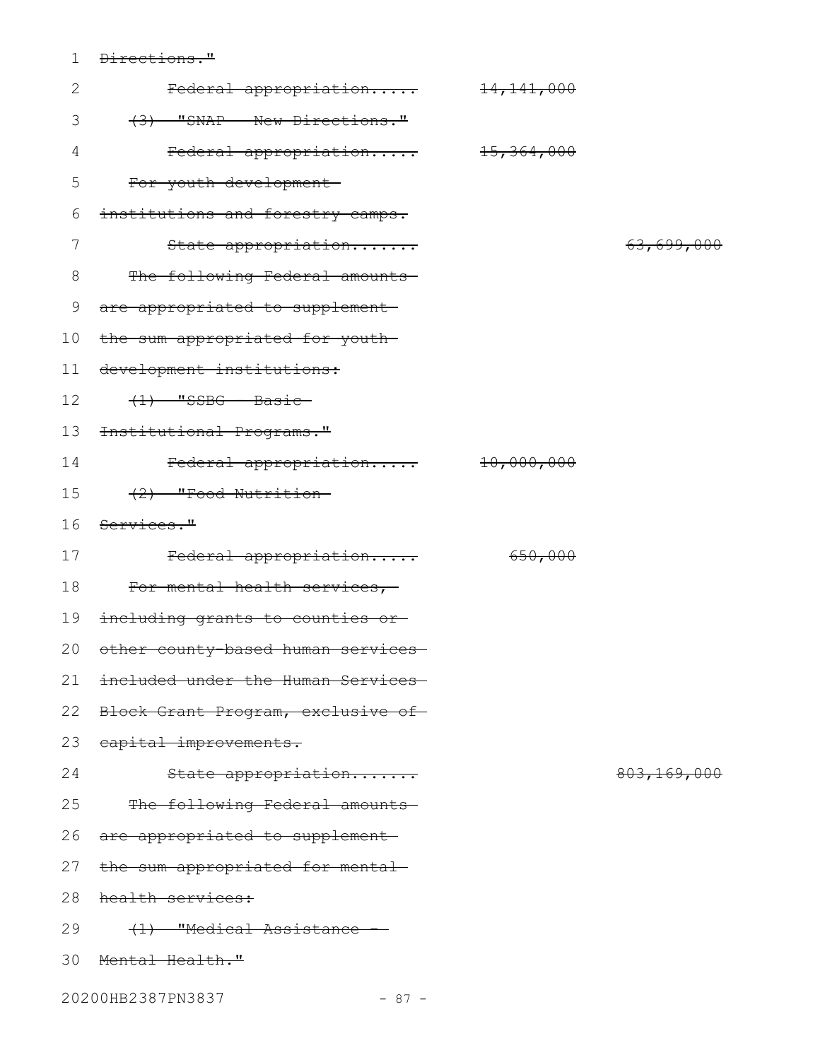1 <del>Directions."</del>

| $\mathbf{2}$ | Federal appropriation                 | 14, 141, 000          |             |
|--------------|---------------------------------------|-----------------------|-------------|
| 3            | (3) "SNAP - New Directions."          |                       |             |
| 4            | Federal appropriation                 | <del>15,364,000</del> |             |
| 5            | For youth development-                |                       |             |
| 6            | institutions and forestry camps.      |                       |             |
| 7            | State appropriation                   |                       | 63,699,000  |
| $8\,$        | The following Federal amounts         |                       |             |
| 9            | are appropriated to supplement-       |                       |             |
| 10           | the sum appropriated for youth-       |                       |             |
| 11           | development institutions:             |                       |             |
| 12           | $(1)$ "SSBG - Basic-                  |                       |             |
| 13           | Institutional Programs."              |                       |             |
| 14           | Federal appropriation                 | 10,000,000            |             |
| 15           | (2) "Food Nutrition-                  |                       |             |
| 16           | Services."                            |                       |             |
|              |                                       |                       |             |
| 17           | Federal appropriation                 | 650,000               |             |
| 18           | For mental health services,           |                       |             |
| 19           | including grants to counties or       |                       |             |
| 20           | other county-based human services-    |                       |             |
|              | 21 included under the Human Services- |                       |             |
| 22           | Block Grant Program, exclusive of-    |                       |             |
| 23           | capital improvements.                 |                       |             |
| 24           | State appropriation                   |                       | 803,169,000 |
| 25           | The following Federal amounts         |                       |             |
| 26           | are appropriated to supplement-       |                       |             |
| 27           | the sum appropriated for mental-      |                       |             |
| 28           | health services:                      |                       |             |
| 29           | (1) "Medical Assistance               |                       |             |
| 30           | Menta <del>l Health."</del>           |                       |             |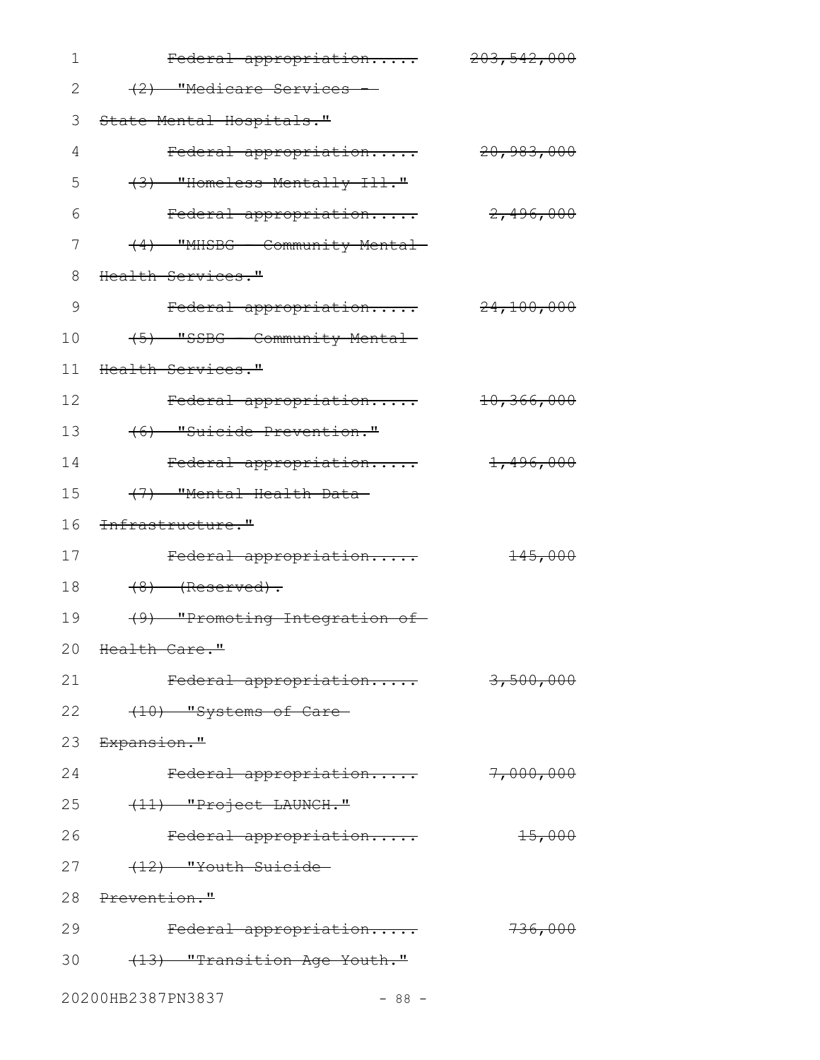| 1  | Federal appropriation 203,542,000 |                       |
|----|-----------------------------------|-----------------------|
| 2  | (2) "Medicare Services -          |                       |
| 3  | State Mental Hospitals."          |                       |
| 4  | Federal appropriation             | 20,983,000            |
| 5  | $(3)$ "Homeless Mentally Ill."    |                       |
| 6  | Federal appropriation             | <del>2,496,000</del>  |
| 7  | (4) "MHSBG - Community Mental-    |                       |
| 8  | Health Services."                 |                       |
| 9  | Federal appropriation 24,100,000  |                       |
| 10 | (5) "SSBG - Community Mental-     |                       |
| 11 | Health Services."                 |                       |
| 12 | Federal appropriation             | <del>10,366,000</del> |
| 13 | (6) "Suicide Prevention."         |                       |
| 14 | Federal appropriation             | 1,496,000             |
| 15 | (7) "Mental Health Data-          |                       |
| 16 | <del>Infrastructure."</del>       |                       |
| 17 | Federal appropriation             | <del>145,000</del>    |
| 18 | $(8)$ (Reserved).                 |                       |
| 19 | (9) "Promoting Integration of     |                       |
|    | 20 Health Care."                  |                       |
| 21 | Federal appropriation             | 3,500,000             |
| 22 | (10) "Systems of Care-            |                       |
|    | 23 Expansion."                    |                       |
| 24 | Federal appropriation             | 7,000,000             |
|    | 25<br>(11) "Project LAUNCH."      |                       |
| 26 | Federal appropriation             | $+5,000$              |
| 27 | (12) "Youth Suicide               |                       |
|    | 28 Prevention."                   |                       |
| 29 | Federal appropriation             | 736,000               |
|    | 30 (13) "Transition Age Youth."   |                       |
|    | 20200HB2387PN3837<br>$-88 -$      |                       |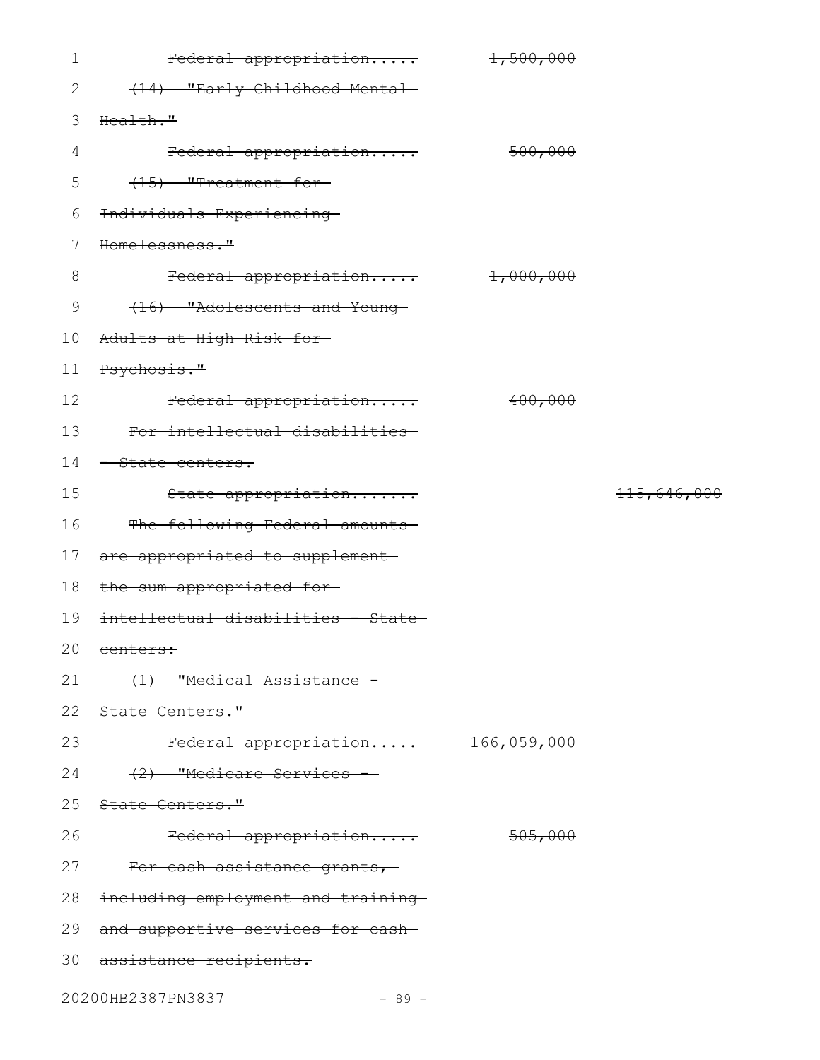| $\mathbf 1$     | Federal appropriation               | 1,500,000 |                        |
|-----------------|-------------------------------------|-----------|------------------------|
| 2               | (14) "Early Childhood Mental-       |           |                        |
| 3               | Health."                            |           |                        |
| 4               | <del>Federal appropriation</del>    | 500,000   |                        |
| 5               | (15) "Treatment for                 |           |                        |
| 6               | Individuals Experiencing            |           |                        |
| 7               | Homelessness."                      |           |                        |
| $8\,$           | Federal appropriation 1,000,000     |           |                        |
| 9               | (16) "Adolescents and Young-        |           |                        |
| 10 <sub>1</sub> | <del>Adults at High Risk for-</del> |           |                        |
| 11              | Psychosis."                         |           |                        |
| 12              | Federal appropriation               | 400,000   |                        |
| 13              | For intellectual disabilities       |           |                        |
| 14              | <del>- State centers.</del>         |           |                        |
| 15              | State appropriation                 |           | <del>115,646,000</del> |
| 16              | The following Federal amounts-      |           |                        |
| 17 <sub>2</sub> | are appropriated to supplement      |           |                        |
| 18              | the sum appropriated for-           |           |                        |
| 19              | intellectual disabilities - State-  |           |                        |
|                 |                                     |           |                        |
|                 | 20 centers:                         |           |                        |
| 21              | (1) "Medical Assistance             |           |                        |
|                 | 22 State Centers."                  |           |                        |
| 23              | Federal appropriation 166,059,000   |           |                        |
| 24              | (2) "Medicare Services -            |           |                        |
|                 | 25 State Centers."                  |           |                        |
| 26              | Federal appropriation               | 505,000   |                        |
| 27              | For cash assistance grants,         |           |                        |
| 28              | including employment and training-  |           |                        |
| 29              | and supportive services for cash-   |           |                        |
|                 | 30 assistance recipients.           |           |                        |

20200HB2387PN3837 - 89 -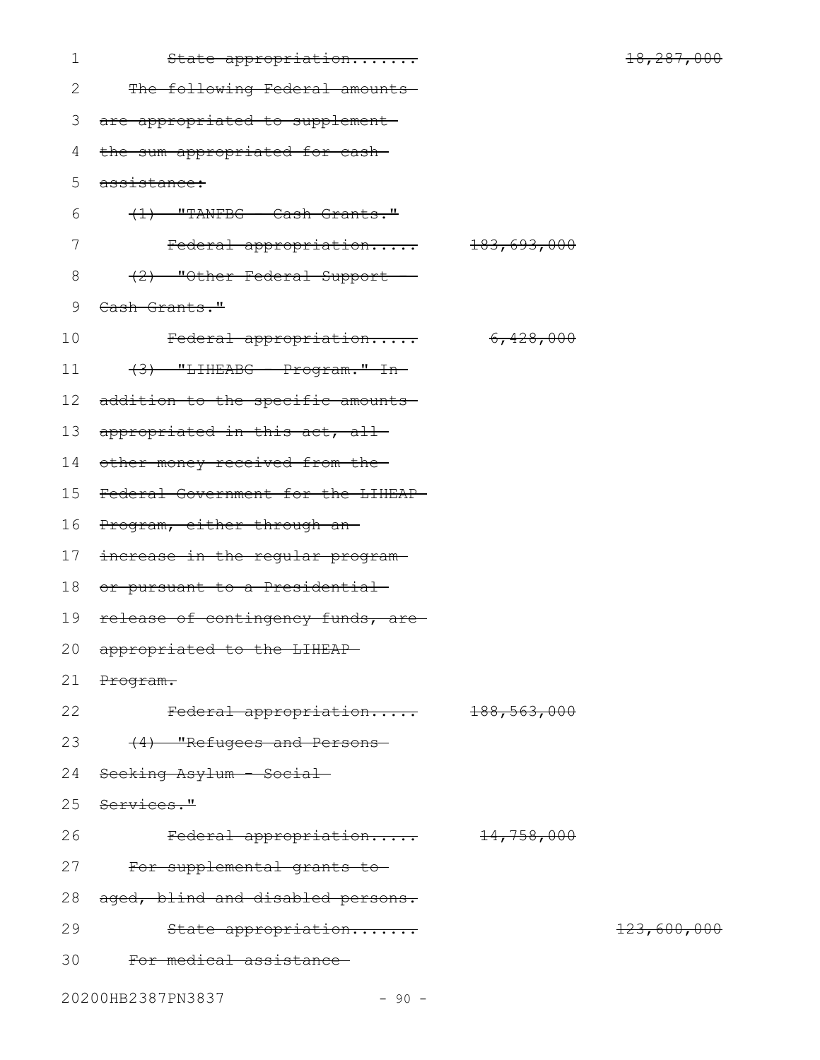| $\mathbf 1$     | State appropriation                |                       | 18,287,000  |
|-----------------|------------------------------------|-----------------------|-------------|
| 2               | The following Federal amounts-     |                       |             |
| 3               | are appropriated to supplement-    |                       |             |
| 4               | the sum appropriated for cash-     |                       |             |
| 5               | assistance:                        |                       |             |
| 6               | $(1)$ "TANFBG - Cash Grants."      |                       |             |
| 7               | Federal appropriation 183,693,000  |                       |             |
| 8               | (2) "Other Federal Support         |                       |             |
| 9               | Cash Grants."                      |                       |             |
| 10              | Federal appropriation              | <del>6,428,000</del>  |             |
| 11              | $(3)$ "LIHEABG - Program." In-     |                       |             |
| 12 <sub>2</sub> | addition to the specific amounts-  |                       |             |
| 13              | appropriated in this act, all-     |                       |             |
| 14              | other money received from the-     |                       |             |
| 15              | Federal Government for the LIHEAP- |                       |             |
| 16              | Program, either through an-        |                       |             |
| 17              | increase in the regular program-   |                       |             |
| 18              | or pursuant to a Presidential-     |                       |             |
| 19              | release of contingency funds, are- |                       |             |
| 20              | appropriated to the LIHEAP-        |                       |             |
| 21              | Program.                           |                       |             |
| 22              | Federal appropriation 188,563,000  |                       |             |
| 23              | (4) "Refugees and Persons-         |                       |             |
| 24              | Seeking Asylum - Social-           |                       |             |
|                 | 25 Services."                      |                       |             |
| 26              | Federal appropriation              | <del>14,758,000</del> |             |
| 27              | For supplemental grants to-        |                       |             |
| 28              | aged, blind and disabled persons.  |                       |             |
| 29              | State appropriation                |                       | 123,600,000 |
| 30              | For medical assistance             |                       |             |
|                 | 20200HB2387PN3837<br>$-90 -$       |                       |             |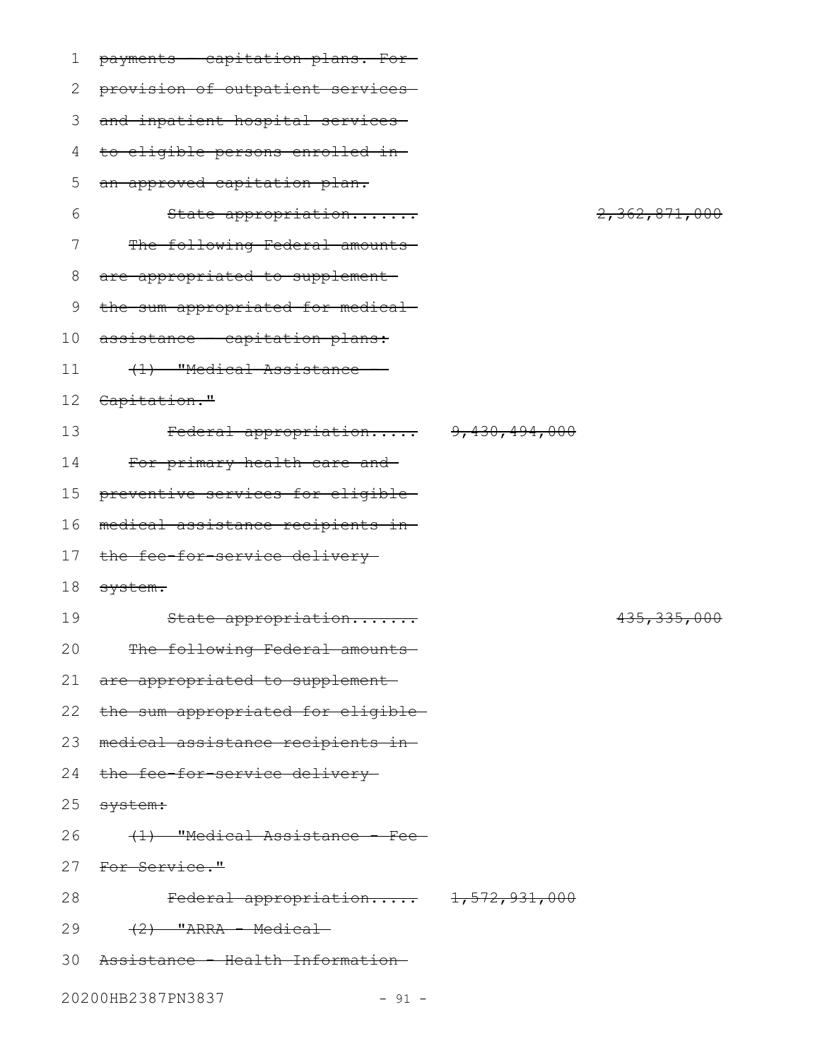| 1  | payments - capitation plans. For-   |                          |
|----|-------------------------------------|--------------------------|
| 2  | provision of outpatient services-   |                          |
| 3  | and inpatient hospital services     |                          |
| 4  | to eligible persons enrolled in-    |                          |
| 5  | an approved capitation plan.        |                          |
| 6  | State appropriation                 | 2,362,871,000            |
| 7  | The following Federal amounts       |                          |
| 8  | are appropriated to supplement      |                          |
| 9  | the sum appropriated for medical-   |                          |
| 10 | assistance - capitation plans:      |                          |
| 11 | (1) "Medical Assistance             |                          |
| 12 | Capitation."                        |                          |
| 13 | Federal appropriation 9,430,494,000 |                          |
| 14 | For primary health care and-        |                          |
| 15 | preventive services for eligible-   |                          |
| 16 | medical assistance recipients in-   |                          |
| 17 | the fee-for-service delivery-       |                          |
| 18 | system.                             |                          |
| 19 | State appropriation                 | <del>435, 335, 000</del> |
| 20 | The following Federal amounts       |                          |
|    | 21 are appropriated to supplement   |                          |
| 22 | the sum appropriated for eligible-  |                          |
| 23 | medical assistance recipients in-   |                          |
| 24 | the fee-for-service delivery-       |                          |
| 25 | <del>system:</del>                  |                          |
| 26 | (1) "Medical Assistance - Fee-      |                          |
| 27 | <del>For Service."</del>            |                          |
| 28 | Federal appropriation 1,572,931,000 |                          |
| 29 | $(2)$ "ARRA - Medical               |                          |
| 30 | Assistance - Health Information-    |                          |
|    | 20200HB2387PN3837<br>$-91 -$        |                          |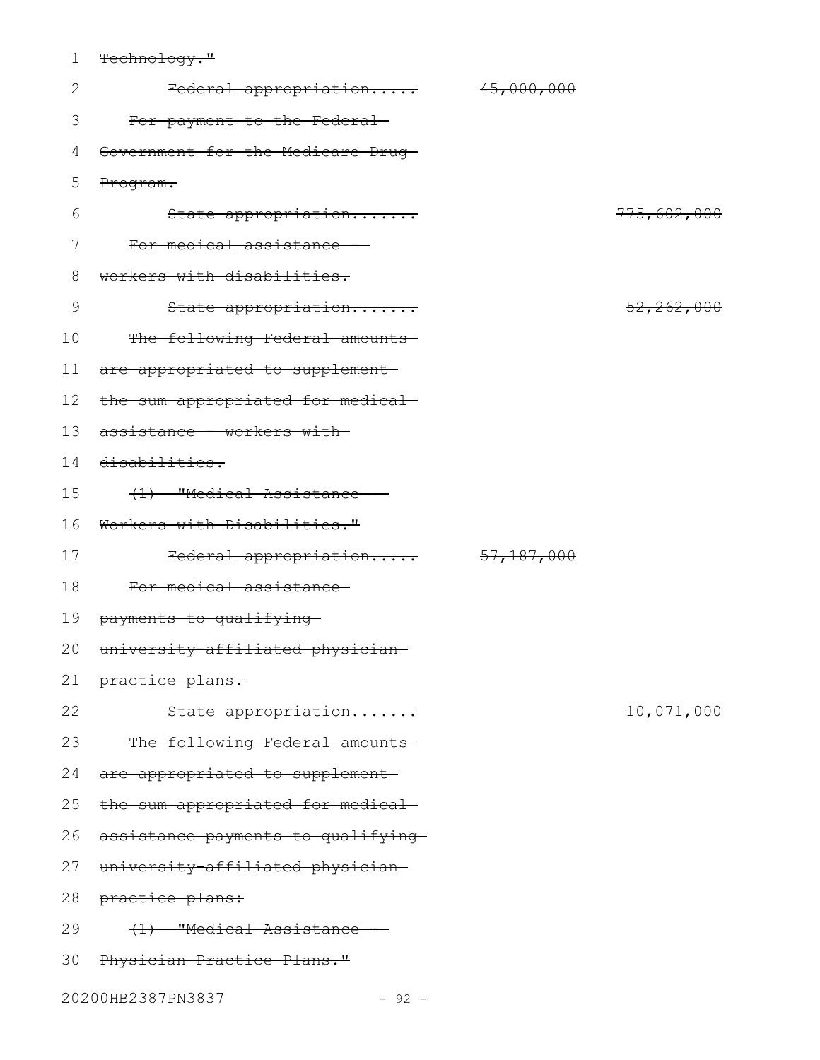1 Technology."

| $\mathbf{2}$ | Federal appropriation 45,000,000   |            |              |
|--------------|------------------------------------|------------|--------------|
| 3            | For payment to the Federal-        |            |              |
| 4            | Government for the Medicare Drug-  |            |              |
| 5            | Program.                           |            |              |
| 6            | State appropriation                |            | 775,602,000  |
| 7            | For medical assistance             |            |              |
| $8\,$        | workers with disabilities.         |            |              |
| 9            | State appropriation                |            | 52, 262, 000 |
| 10           | The following Federal amounts      |            |              |
| 11           | are appropriated to supplement-    |            |              |
| 12           | the sum appropriated for medical-  |            |              |
| 13           | assistance - workers with-         |            |              |
| 14           | disabilities.                      |            |              |
| 15           | (1) "Medical Assistance            |            |              |
| 16           | Workers with Disabilities."        |            |              |
| 17           | Federal appropriation              | 57,187,000 |              |
| 18           | For medical assistance             |            |              |
| 19           | payments to qualifying             |            |              |
| 20           | university affiliated physician    |            |              |
|              | 21 practice plans.                 |            |              |
| 22           | State appropriation                |            | 10,071,000   |
| 23           | The following Federal amounts      |            |              |
| 24           | are appropriated to supplement     |            |              |
| 25           | the sum appropriated for medical-  |            |              |
| 26           | assistance payments to qualifying- |            |              |
| 27           | university-affiliated physician-   |            |              |
| 28           | practice plans:                    |            |              |
| 29           | (1) "Medical Assistance            |            |              |
| 30           | Physician Practice Plans."         |            |              |
|              |                                    |            |              |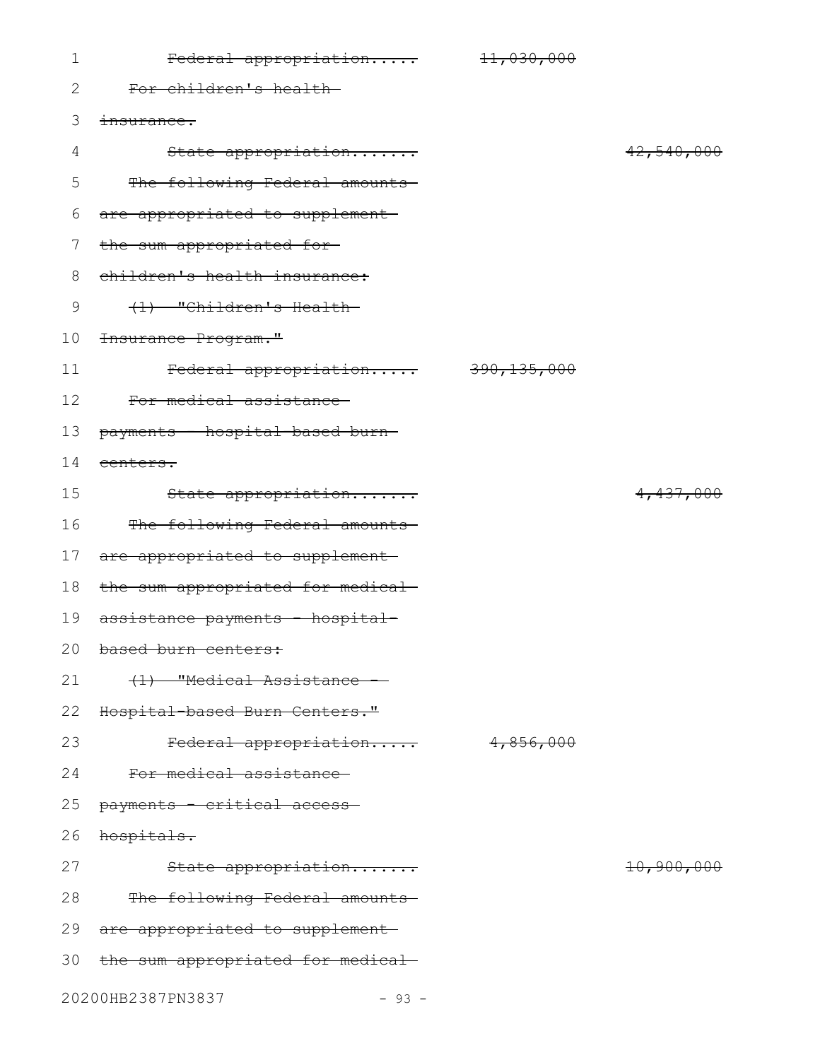| $\mathbf 1$ | Federal appropriation             | 11,030,000    |                       |
|-------------|-----------------------------------|---------------|-----------------------|
| 2           | For children's health-            |               |                       |
| 3           | insurance.                        |               |                       |
| 4           | State appropriation               |               | 42,540,000            |
| 5           | The following Federal amounts-    |               |                       |
| 6           | are appropriated to supplement-   |               |                       |
| 7           | the sum appropriated for-         |               |                       |
| 8           | children's health insurance:      |               |                       |
| 9           | (1) "Children's Health-           |               |                       |
| 10          | <del>Insurance Program."</del>    |               |                       |
| 11          | Federal appropriation             | 390, 135, 000 |                       |
| 12          | For medical assistance            |               |                       |
| 13          | payments - hospital-based burn-   |               |                       |
| 14          | centers.                          |               |                       |
| 15          | State appropriation               |               | 4,437,000             |
| 16          | The following Federal amounts-    |               |                       |
| 17          | are appropriated to supplement-   |               |                       |
| 18          | the sum appropriated for medical- |               |                       |
| 19          | assistance payments - hospital-   |               |                       |
|             | 20 based burn centers:            |               |                       |
| 21          | (1) "Medical Assistance           |               |                       |
| 22          | Hospital based Burn Centers."     |               |                       |
| 23          | Federal appropriation             | 4,856,000     |                       |
| 24          | For medical assistance-           |               |                       |
| 25          | payments - critical access-       |               |                       |
| 26          | hospitals.                        |               |                       |
| 27          | State appropriation               |               | <del>10,900,000</del> |
| 28          | The following Federal amounts-    |               |                       |
| 29          | are appropriated to supplement    |               |                       |
| 30          | the sum appropriated for medical- |               |                       |
|             | 20200HB2387PN3837<br>$-93 -$      |               |                       |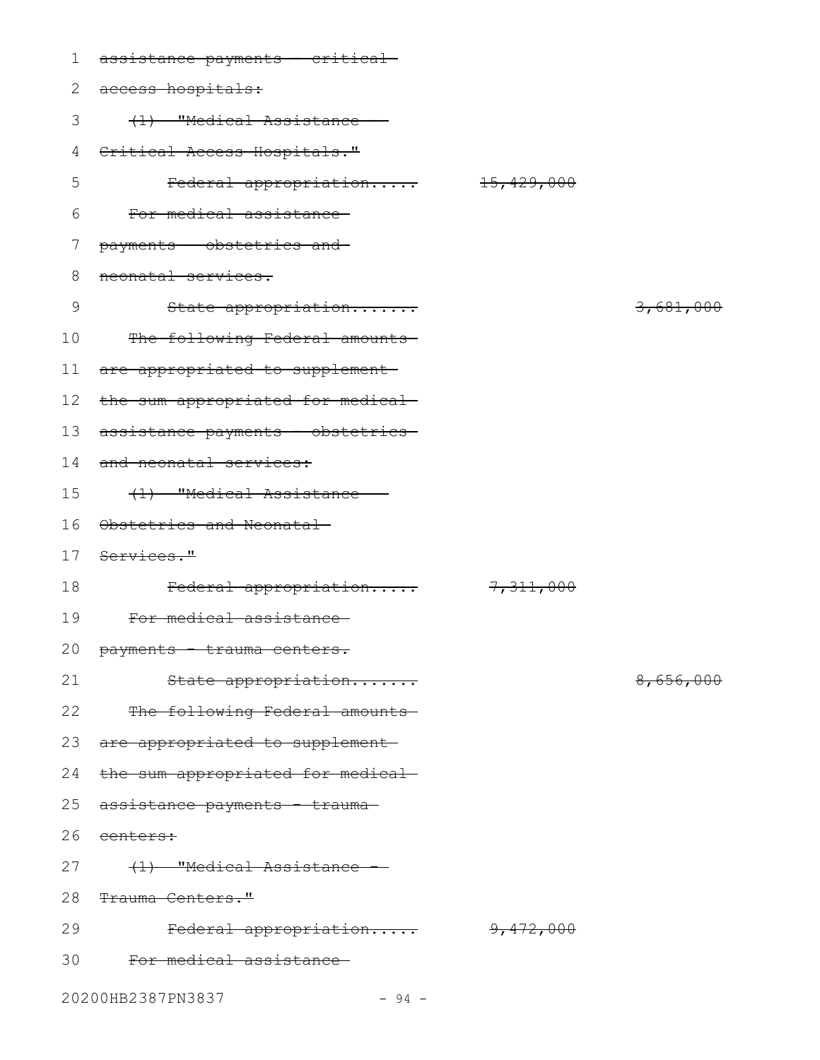| 1  | assistance payments - critical-          |           |                      |
|----|------------------------------------------|-----------|----------------------|
| 2  | access hospitals:                        |           |                      |
| 3  | (1) "Medical Assistance -                |           |                      |
| 4  | Critical Access Hospitals."              |           |                      |
| 5  | Federal appropriation 15,429,000         |           |                      |
| 6  | For medical assistance                   |           |                      |
| 7  | payments - obstetrics and                |           |                      |
| 8  | neonatal services.                       |           |                      |
| 9  | State appropriation                      |           | 3,681,000            |
| 10 | The following Federal amounts            |           |                      |
| 11 | are appropriated to supplement           |           |                      |
| 12 | the sum appropriated for medical-        |           |                      |
| 13 | assistance payments - obstetrics-        |           |                      |
| 14 | and neonatal services:                   |           |                      |
| 15 | (1) "Medical Assistance -                |           |                      |
| 16 | Obstetrics and Neonatal                  |           |                      |
| 17 | <del>Services."</del>                    |           |                      |
| 18 | Federal appropriation                    | 7,311,000 |                      |
| 19 | For medical assistance                   |           |                      |
|    | 20 payments - trauma centers.            |           |                      |
| 21 | State appropriation                      |           | <del>8,656,000</del> |
| 22 | The following Federal amounts            |           |                      |
|    | 23 are appropriated to supplement        |           |                      |
| 24 | the sum appropriated for medical-        |           |                      |
| 25 | <del>assistance payments - trauma-</del> |           |                      |
| 26 | <del>centers:</del>                      |           |                      |
| 27 | (1) "Medical Assistance -                |           |                      |
| 28 | <del>Trauma Centers."</del>              |           |                      |
| 29 | Federal appropriation 9,472,000          |           |                      |
| 30 | For medical assistance-                  |           |                      |
|    | 20200HB2387PN3837<br>$-94 -$             |           |                      |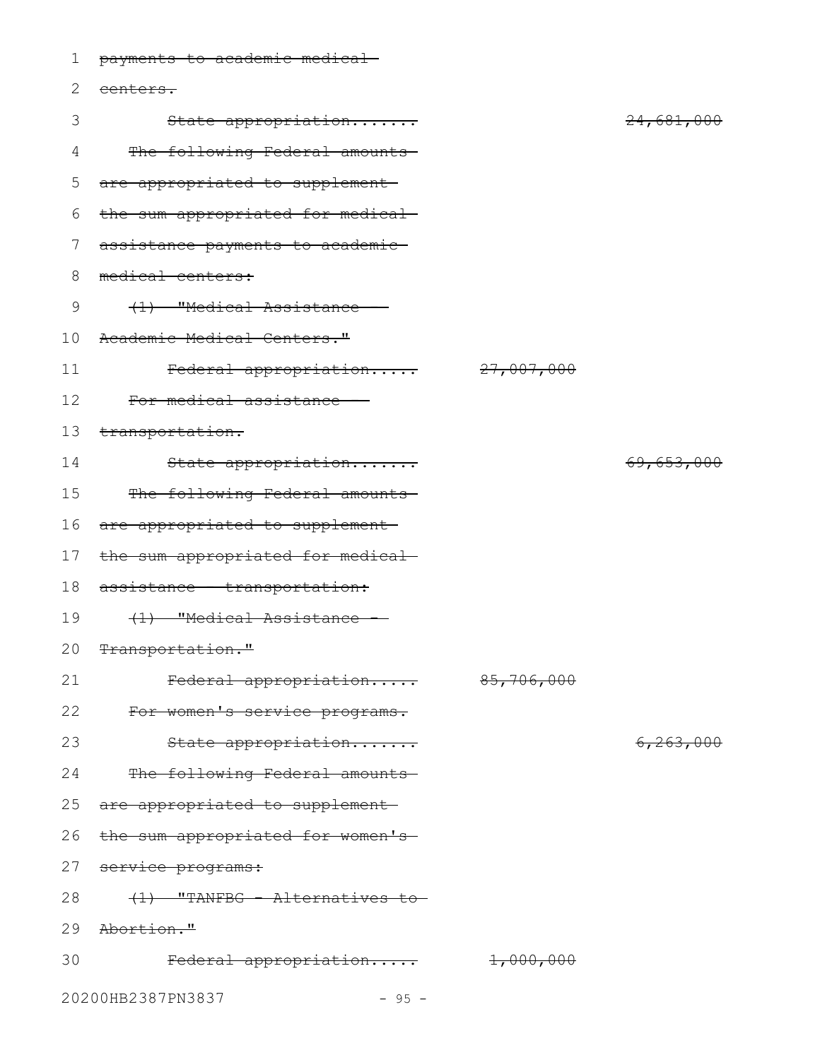| 1  | payments to academic medical-     |                       |                       |
|----|-----------------------------------|-----------------------|-----------------------|
| 2  | centers.                          |                       |                       |
| 3  | State appropriation               |                       | 24,681,000            |
| 4  | The following Federal amounts-    |                       |                       |
| 5  | are appropriated to supplement    |                       |                       |
| 6  | the sum appropriated for medical- |                       |                       |
| 7  | assistance payments to academic   |                       |                       |
| 8  | medical centers:                  |                       |                       |
| 9  | (1) "Medical Assistance -         |                       |                       |
| 10 | Academic Medical Centers."        |                       |                       |
| 11 | Federal appropriation             | <del>27,007,000</del> |                       |
| 12 | For medical assistance            |                       |                       |
| 13 | transportation.                   |                       |                       |
| 14 | State appropriation               |                       | <del>69,653,000</del> |
| 15 | The following Federal amounts     |                       |                       |
| 16 | are appropriated to supplement-   |                       |                       |
| 17 | the sum appropriated for medical- |                       |                       |
| 18 | assistance transportation:        |                       |                       |
| 19 | (1) "Medical Assistance           |                       |                       |
|    | 20 Transportation."               |                       |                       |
| 21 | Federal appropriation             | 85,706,000            |                       |
| 22 | For women's service programs.     |                       |                       |
| 23 | State appropriation               |                       | <del>6,263,000</del>  |
| 24 | The following Federal amounts     |                       |                       |
| 25 | are appropriated to supplement    |                       |                       |
| 26 | the sum appropriated for women's- |                       |                       |
| 27 | service programs:                 |                       |                       |
| 28 | $(1)$ "TANFBG - Alternatives to-  |                       |                       |
| 29 | <del>Abortion."</del>             |                       |                       |
| 30 | Federal appropriation             | 1,000,000             |                       |
|    | 20200HB2387PN3837<br>$-95 -$      |                       |                       |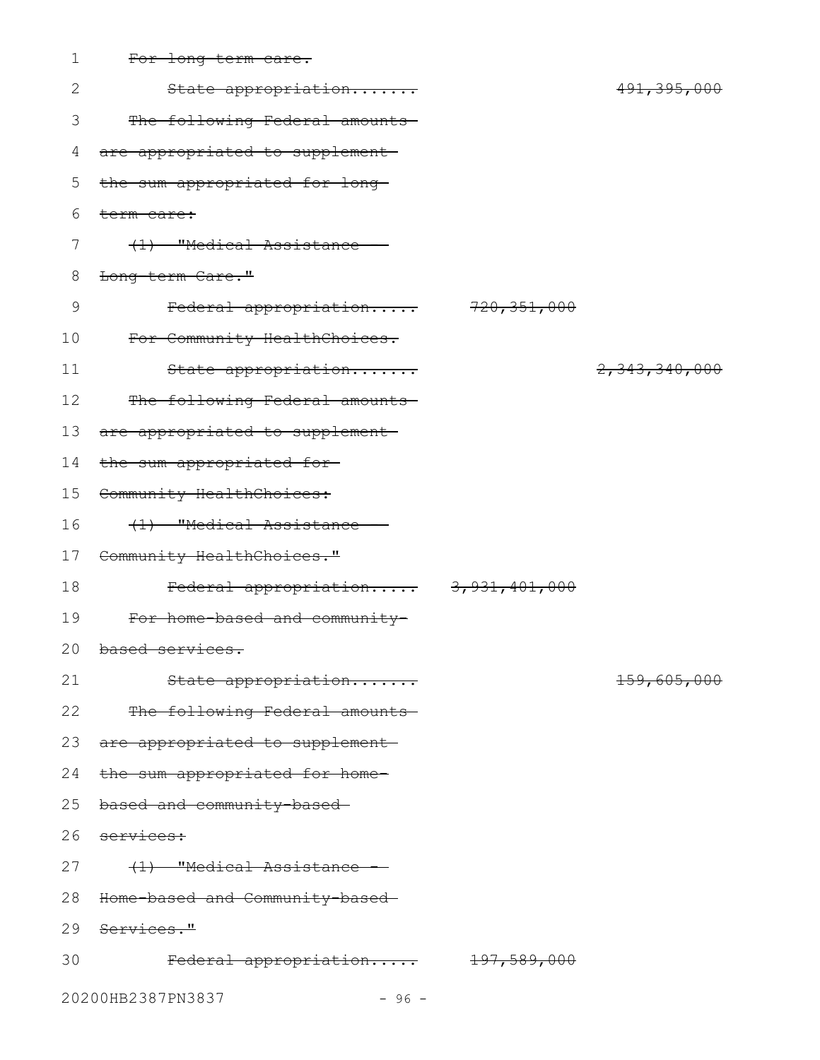| $\mathbf 1$ | For long term care.                 |               |                        |
|-------------|-------------------------------------|---------------|------------------------|
| 2           | State appropriation                 |               | 491, 395, 000          |
| 3           | The following Federal amounts-      |               |                        |
| 4           | are appropriated to supplement-     |               |                        |
| 5           | the sum appropriated for long-      |               |                        |
| 6           | term care:                          |               |                        |
| 7           | (1) "Medical Assistance             |               |                        |
| 8           | Long term Care."                    |               |                        |
| $\mathsf 9$ | Federal appropriation               | 720, 351, 000 |                        |
| 10          | For Community HealthChoices.        |               |                        |
| 11          | State appropriation                 |               | 2,343,340,000          |
| 12          | The following Federal amounts       |               |                        |
| 13          | are appropriated to supplement-     |               |                        |
| 14          | the sum appropriated for-           |               |                        |
| 15          | Community HealthChoices:            |               |                        |
| 16          | (1) "Medical Assistance -           |               |                        |
| 17          | Community HealthChoices."           |               |                        |
| 18          | Federal appropriation 3,931,401,000 |               |                        |
| 19          | For home based and community-       |               |                        |
|             | 20 based services.                  |               |                        |
| 21          | State appropriation                 |               | <del>159,605,000</del> |
| 22          | The following Federal amounts       |               |                        |
| 23          | are appropriated to supplement      |               |                        |
| 24          | the sum appropriated for home-      |               |                        |
| 25          | based and community-based-          |               |                        |
| 26          | services:                           |               |                        |
| 27          | (1) "Medical Assistance -           |               |                        |
| 28          | Home-based and Community-based      |               |                        |
|             | 29 Services."                       |               |                        |
| 30          | Federal appropriation 197,589,000   |               |                        |
|             | 20200HB2387PN3837<br>$-96 -$        |               |                        |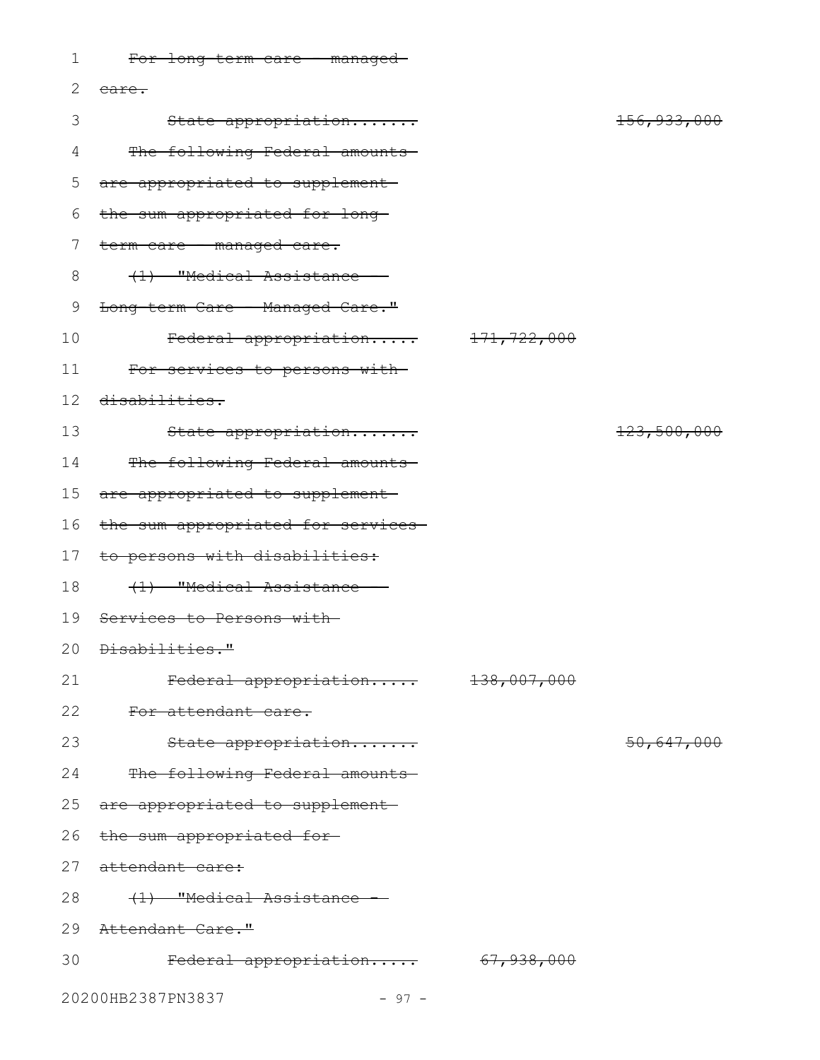| $\mathbf 1$ | For long-term care - managed-      |             |                        |
|-------------|------------------------------------|-------------|------------------------|
| 2           | <del>care.</del>                   |             |                        |
| 3           | State appropriation                |             | <del>156,933,000</del> |
| 4           | The following Federal amounts      |             |                        |
| 5           | are appropriated to supplement     |             |                        |
| 6           | the sum appropriated for long-     |             |                        |
| 7           | term care - managed care.          |             |                        |
| 8           | (1) "Medical Assistance -          |             |                        |
| 9           | Long-term Care - Managed Care."    |             |                        |
| 10          | Federal appropriation              | 171,722,000 |                        |
| 11          | For services to persons with-      |             |                        |
| 12          | disabilities.                      |             |                        |
| 13          | State appropriation                |             | 123,500,000            |
| 14          | The following Federal amounts      |             |                        |
| 15          | are appropriated to supplement     |             |                        |
| 16          | the sum appropriated for services- |             |                        |
| 17          | to persons with disabilities:      |             |                        |
| 18          | (1) "Medical Assistance            |             |                        |
| 19          | Services to Persons with-          |             |                        |
|             | 20 <del>Disabilities."</del>       |             |                        |
| 21          | Federal appropriation 138,007,000  |             |                        |
| 22          | For attendant care.                |             |                        |
| 23          | State appropriation                |             | 50,647,000             |
| 24          | The following Federal amounts-     |             |                        |
| 25          | are appropriated to supplement-    |             |                        |
|             | 26 the sum appropriated for-       |             |                        |
|             | 27 attendant care:                 |             |                        |
| 28          | (1) "Medical Assistance -          |             |                        |
|             | 29 Attendant Care."                |             |                        |
| 30          | Federal appropriation 67,938,000   |             |                        |
|             | 20200HB2387PN3837<br>$-97 -$       |             |                        |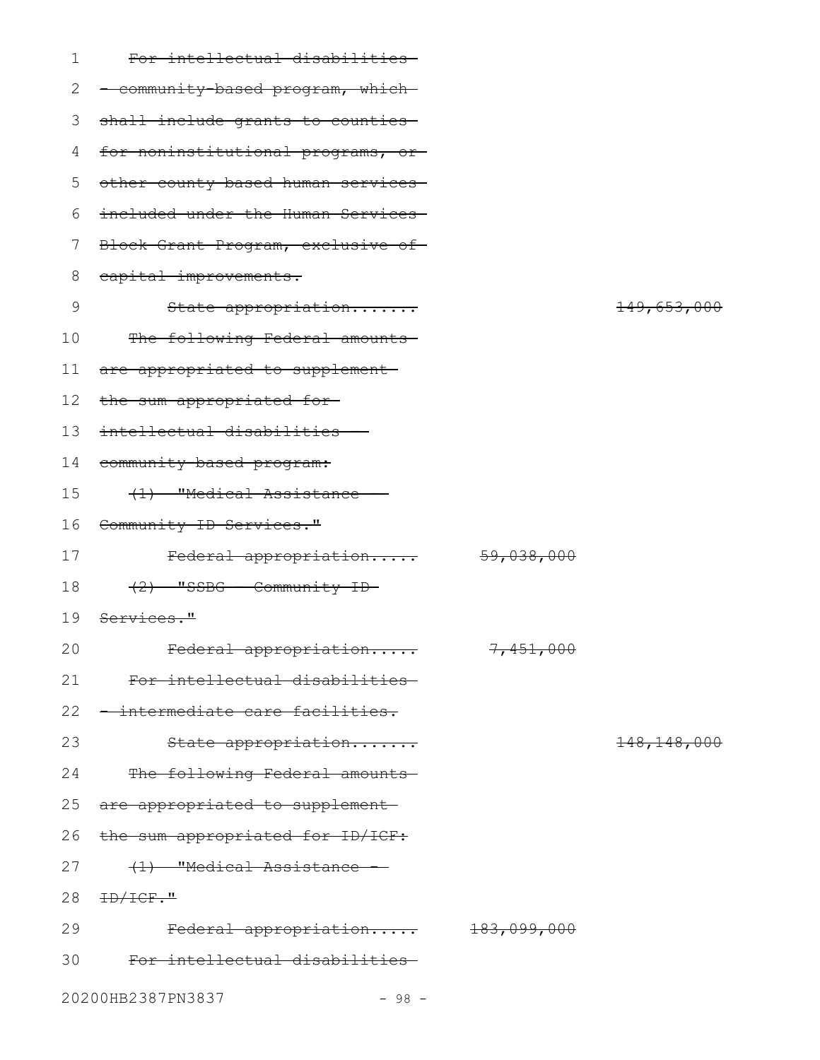| 1  | For intellectual disabilities-     |                       |                          |
|----|------------------------------------|-----------------------|--------------------------|
| 2  | - community-based program, which-  |                       |                          |
| 3  | shall include grants to counties-  |                       |                          |
| 4  | for noninstitutional programs, or- |                       |                          |
| 5  | other county-based human services- |                       |                          |
| 6  | included under the Human Services- |                       |                          |
| 7  | Block Grant Program, exclusive of- |                       |                          |
| 8  | capital improvements.              |                       |                          |
| 9  | State appropriation                |                       | 149,653,000              |
| 10 | The following Federal amounts-     |                       |                          |
| 11 | are appropriated to supplement-    |                       |                          |
| 12 | the sum appropriated for-          |                       |                          |
| 13 | intellectual disabilities -        |                       |                          |
| 14 | community based program:           |                       |                          |
| 15 | (1) "Medical Assistance -          |                       |                          |
| 16 | Community ID Services."            |                       |                          |
| 17 | Federal appropriation              | <del>59,038,000</del> |                          |
| 18 | $(2)$ "SSBG - Community ID-        |                       |                          |
| 19 | <del>Services."</del>              |                       |                          |
| 20 | <del>Federal appropriation</del>   | 7,451,000             |                          |
| 21 | For intellectual disabilities-     |                       |                          |
| 22 | -intermediate care facilities.     |                       |                          |
| 23 | State appropriation                |                       | <del>148, 148, 000</del> |
| 24 | The following Federal amounts      |                       |                          |
| 25 | are appropriated to supplement-    |                       |                          |
| 26 | the sum appropriated for ID/ICF:   |                       |                          |
| 27 | (1) "Medical Assistance            |                       |                          |
| 28 | HD/ICF."                           |                       |                          |
| 29 | Federal appropriation 183,099,000  |                       |                          |
| 30 | For intellectual disabilities-     |                       |                          |
|    | 20200HB2387PN3837<br>$-98 -$       |                       |                          |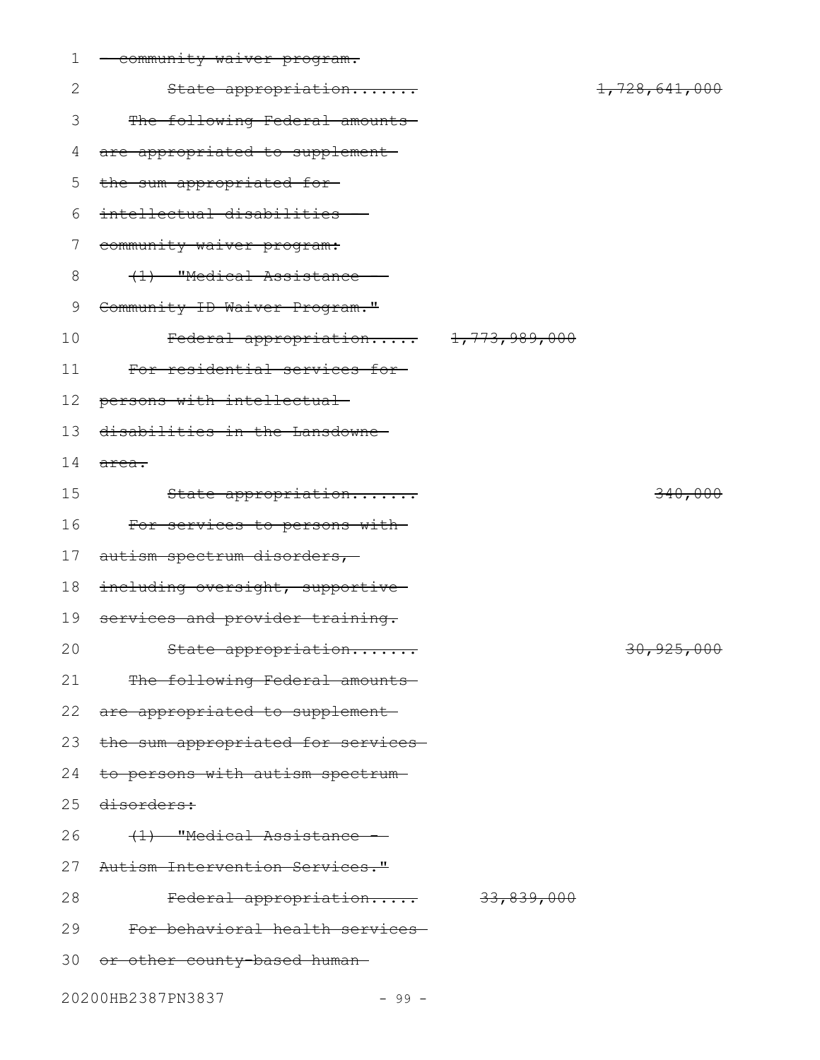| 1  | community waiver program.            |               |
|----|--------------------------------------|---------------|
| 2  | State appropriation                  | 1,728,641,000 |
| 3  | The following Federal amounts        |               |
| 4  | are appropriated to supplement       |               |
| 5  | the sum appropriated for-            |               |
| 6  | intellectual disabilities -          |               |
| 7  | community waiver program:            |               |
| 8  | (1) "Medical Assistance -            |               |
| 9  | Community ID Waiver Program."        |               |
| 10 | Federal appropriation 1,773,989,000  |               |
| 11 | For residential services for-        |               |
| 12 | persons with intellectual-           |               |
| 13 | disabilities in the Lansdowne-       |               |
| 14 | <del>area.</del>                     |               |
| 15 | State appropriation                  | 340,000       |
| 16 | For services to persons with-        |               |
| 17 | autism spectrum disorders,           |               |
| 18 | including oversight, supportive      |               |
| 19 | services and provider training.      |               |
| 20 | State appropriation                  | 30,925,000    |
|    | 21 The following Federal amounts     |               |
|    | 22 are appropriated to supplement-   |               |
| 23 | the sum appropriated for services-   |               |
| 24 | to persons with autism spectrum-     |               |
|    | 25 disorders:                        |               |
| 26 | <del>(1) "Medical Assistance -</del> |               |
|    | 27 Autism Intervention Services."    |               |
| 28 | Federal appropriation 33,839,000     |               |
|    | 29 For behavioral health services    |               |
|    | 30 or other county-based human-      |               |
|    | 20200HB2387PN3837<br>$-99 -$         |               |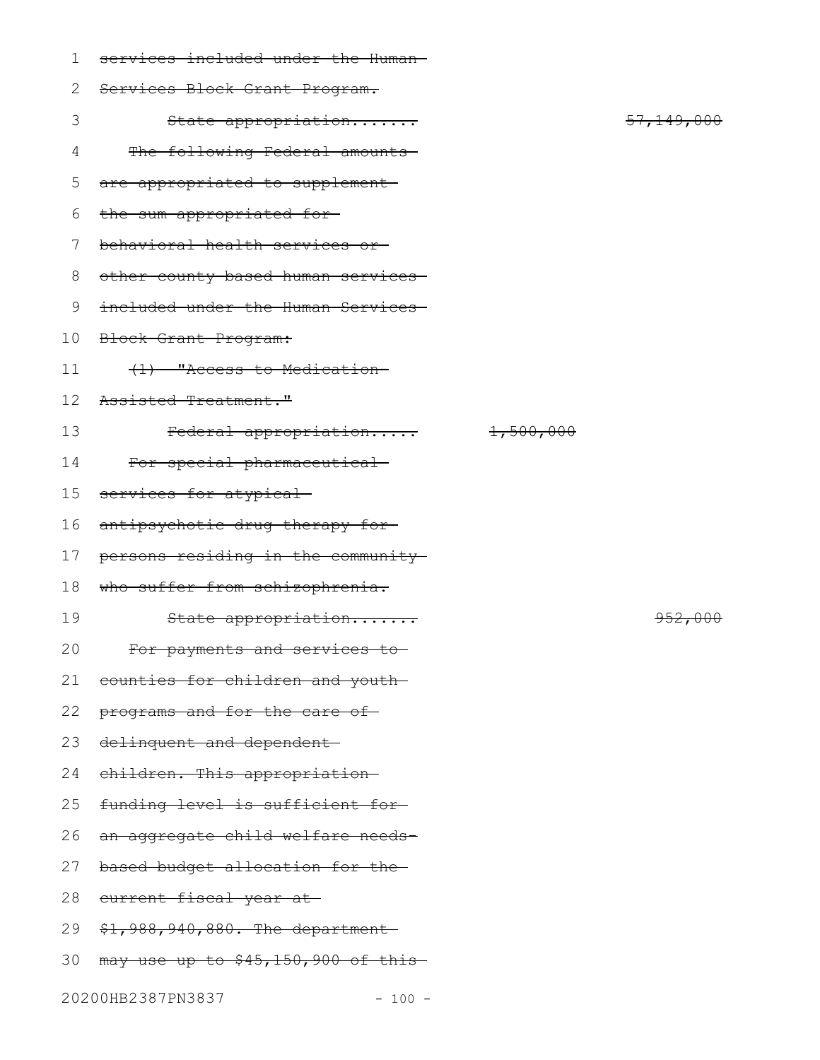| $\mathbf{1}$ | services included under the Human-  |           |                    |
|--------------|-------------------------------------|-----------|--------------------|
| $\mathbf{2}$ | Services Block Grant Program.       |           |                    |
| 3            | State appropriation                 |           | 57, 149, 000       |
| 4            | The following Federal amounts       |           |                    |
| 5            | are appropriated to supplement-     |           |                    |
| 6            | the sum appropriated for-           |           |                    |
| 7            | behavioral health services or       |           |                    |
| 8            | other county-based human services-  |           |                    |
| 9            | included under the Human Services-  |           |                    |
| 10           | Block Grant Program:                |           |                    |
| 11           | (1) "Access to Medication-          |           |                    |
| 12           | Assisted Treatment."                |           |                    |
| 13           | Federal appropriation               | 1,500,000 |                    |
| 14           | For special pharmaceutical-         |           |                    |
| 15           | services for atypical               |           |                    |
| 16           | antipsychotic drug therapy for-     |           |                    |
| 17           | persons residing in the community   |           |                    |
| 18           | who suffer from schizophrenia.      |           |                    |
| 19           | State appropriation                 |           | <del>952,000</del> |
| 20           | For payments and services to-       |           |                    |
| 21           | counties for children and youth-    |           |                    |
| 22           | programs and for the care of-       |           |                    |
| 23           | delinquent and dependent-           |           |                    |
| 24           | children. This appropriation-       |           |                    |
| 25           | funding level is sufficient for-    |           |                    |
| 26           | an aggregate child welfare needs-   |           |                    |
| 27           | based budget allocation for the-    |           |                    |
| 28           | current fiscal year at-             |           |                    |
| 29           | $$1,988,940,880.$ The department    |           |                    |
| 30           | may use up to \$45,150,900 of this- |           |                    |
|              | 20200HB2387PN3837<br>$-100 -$       |           |                    |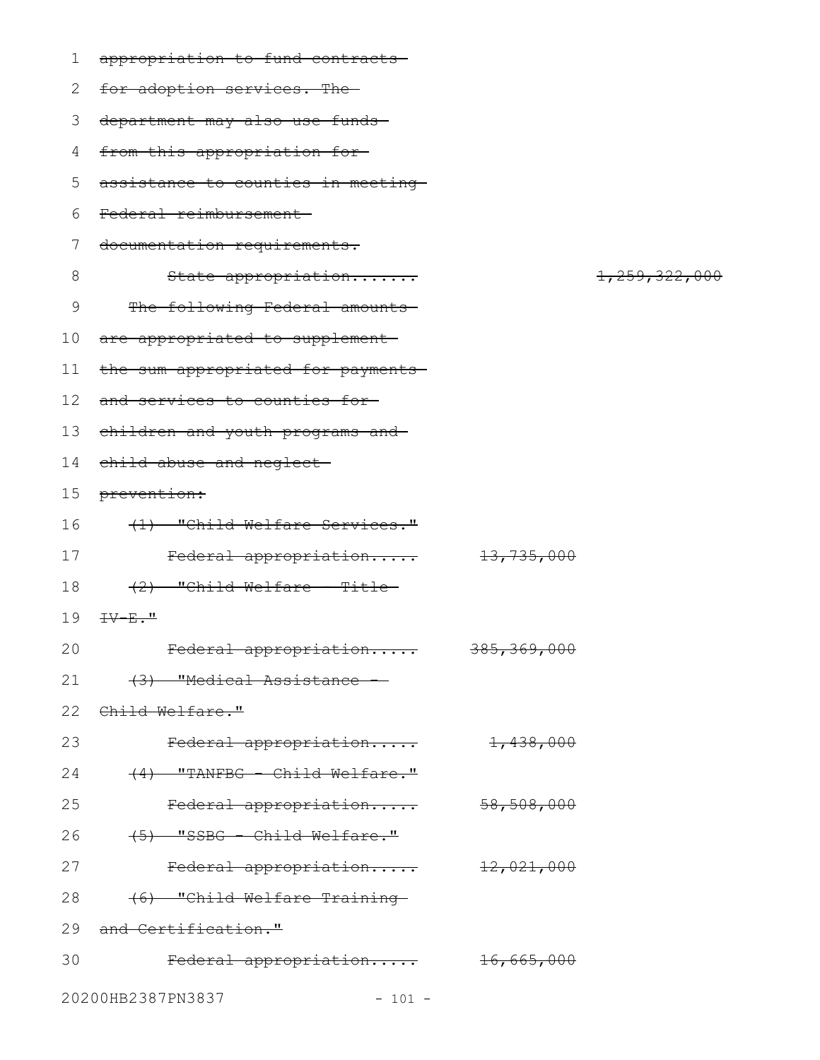| 1  | appropriation to fund contracts-            |                        |                  |
|----|---------------------------------------------|------------------------|------------------|
| 2  | for adoption services. The-                 |                        |                  |
| 3  | department may also use funds-              |                        |                  |
| 4  | from this appropriation for-                |                        |                  |
| 5  | assistance to counties in meeting           |                        |                  |
| 6  | Federal reimbursement                       |                        |                  |
| 7  | documentation requirements.                 |                        |                  |
| 8  | State appropriation                         |                        | 1, 259, 322, 000 |
| 9  | The following Federal amounts-              |                        |                  |
| 10 | are appropriated to supplement              |                        |                  |
| 11 | the sum appropriated for payments-          |                        |                  |
| 12 | and services to counties for-               |                        |                  |
| 13 | children and youth programs and             |                        |                  |
| 14 | <del>child abuse and neglect-</del>         |                        |                  |
| 15 | <del>prevention:</del>                      |                        |                  |
| 16 | (1) "Child Welfare Services."               |                        |                  |
| 17 | Federal appropriation                       | <del>13,735,000</del>  |                  |
| 18 | $(2)$ "Child Welfare - Title-               |                        |                  |
| 19 | $\pm\sqrt{-E}$ ."                           |                        |                  |
| 20 | Federal appropriation                       | <del>385,369,000</del> |                  |
| 21 | (3) "Medical Assistance -                   |                        |                  |
|    | 22 Child Welfare."                          |                        |                  |
| 23 | Federal appropriation 1,438,000             |                        |                  |
| 24 | $(4)$ "TANFBG - Child Welfare."             |                        |                  |
| 25 | Federal appropriation 58,508,000            |                        |                  |
| 26 | (5) "SSBG - Child Welfare."                 |                        |                  |
| 27 | $\text{Federal approximation}$ $12,021,000$ |                        |                  |
| 28 | (6) "Child Welfare Training-                |                        |                  |
| 29 | and Certification."                         |                        |                  |
| 30 | Federal appropriation 16,665,000            |                        |                  |
|    | 20200HB2387PN3837<br>$-101 -$               |                        |                  |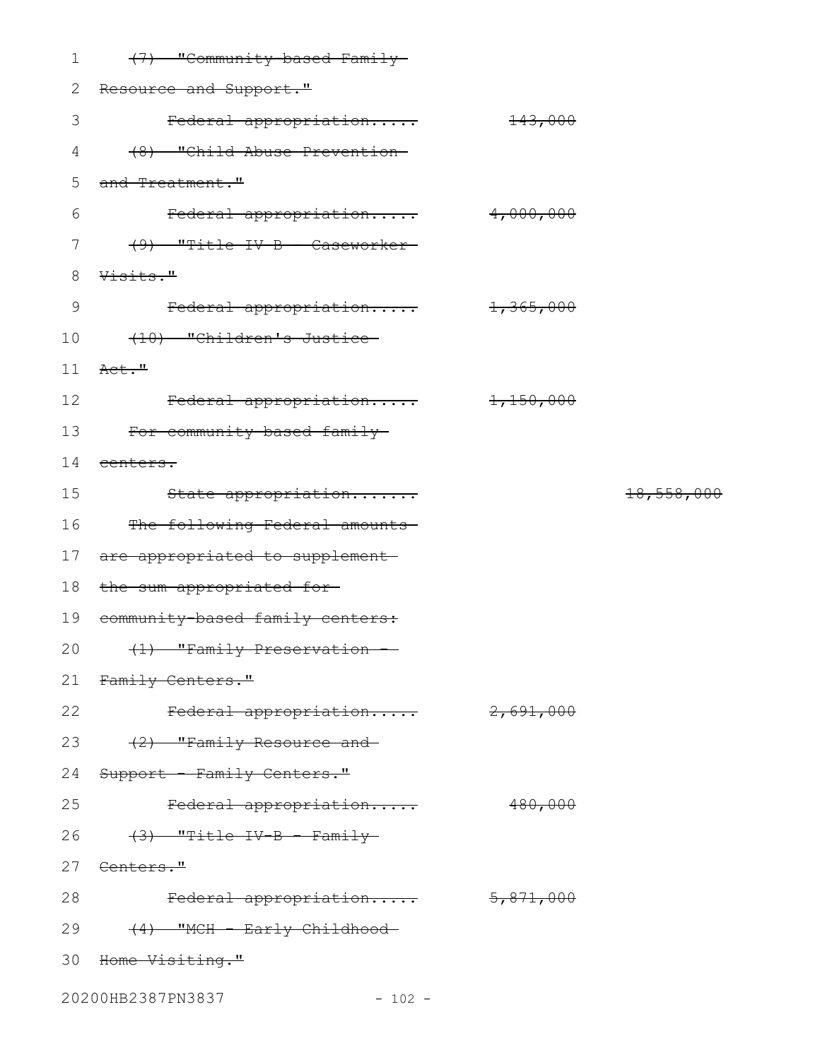| $\mathbf 1$   | (7) "Community-based Family-           |                    |            |
|---------------|----------------------------------------|--------------------|------------|
| 2             | Resource and Support."                 |                    |            |
| 3             | Federal appropriation                  | <del>143,000</del> |            |
| 4             | (8) "Child Abuse Prevention-           |                    |            |
| 5             | and Treatment."                        |                    |            |
| 6             | Federal appropriation 4,000,000        |                    |            |
| 7             | (9) "Title IV-B - Caseworker-          |                    |            |
| 8             | Visits."                               |                    |            |
| $\mathcal{G}$ | Federal appropriation 1,365,000        |                    |            |
| 10            | (10) "Children's Justice               |                    |            |
| 11            | <del>Act."</del>                       |                    |            |
| 12            | Federal appropriation                  | 1,150,000          |            |
|               | 13 For community-based family          |                    |            |
| 14            | <del>centers.</del>                    |                    |            |
| 15            | State appropriation                    |                    | 18,558,000 |
|               | 16 The following Federal amounts       |                    |            |
| 17            | are appropriated to supplement-        |                    |            |
| 18            | the sum appropriated for-              |                    |            |
| 19            | community based family centers:        |                    |            |
|               | 20 (1) "Family Preservation -          |                    |            |
| 21            | Family Centers."                       |                    |            |
| 22            |                                        |                    |            |
|               | Federal appropriation 2,691,000        |                    |            |
| 23            | (2) "Family Resource and               |                    |            |
| 24            | Support - Family Centers."             |                    |            |
| 25            | Federal appropriation                  | 480,000            |            |
|               | 26 <del>(3) "Title IV-B - Family</del> |                    |            |
|               | 27 <del>Centers."</del>                |                    |            |
| 28            | Federal appropriation 5,871,000        |                    |            |
| 29            | <del>(4) "MCH - Early Childhood-</del> |                    |            |
|               | 30 <del>Home Visiting."</del>          |                    |            |

20200HB2387PN3837 - 102 -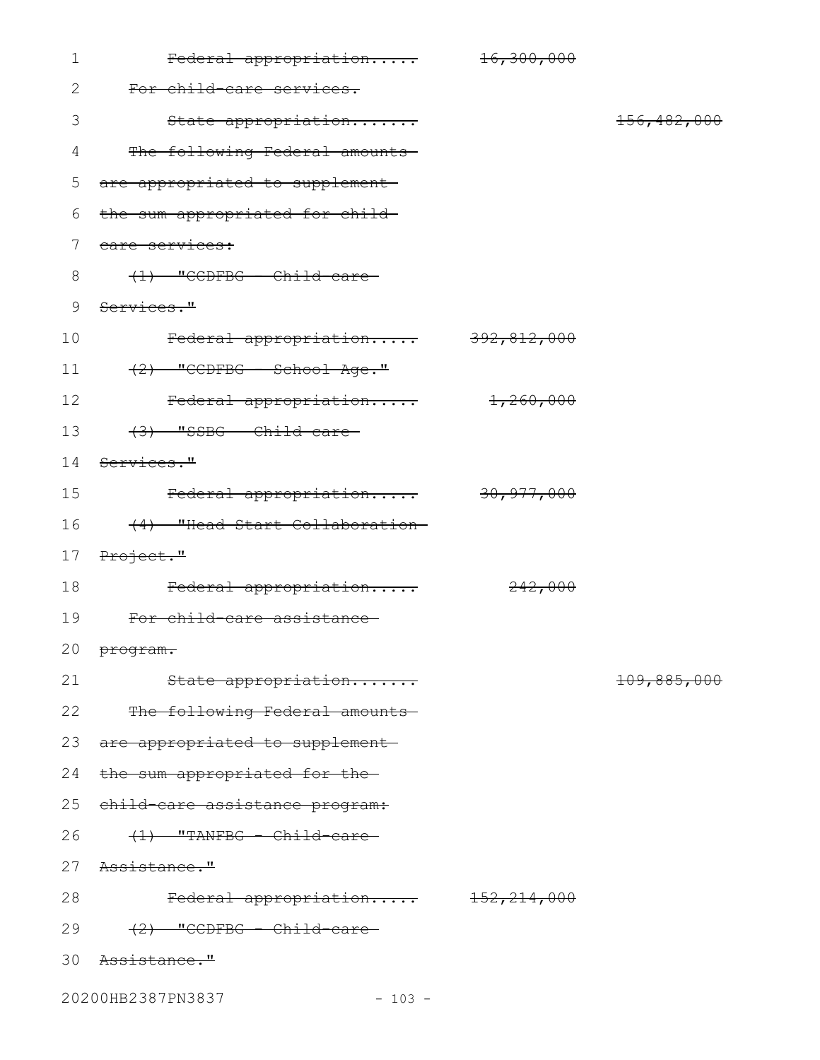| $\mathbf 1$     | Federal appropriation             | <del>16,300,000</del> |               |
|-----------------|-----------------------------------|-----------------------|---------------|
| $\mathbf{2}$    | For child-care services.          |                       |               |
| 3               | State appropriation               |                       | 156, 482, 000 |
| 4               | The following Federal amounts     |                       |               |
| 5               | are appropriated to supplement    |                       |               |
| 6               | the sum appropriated for child-   |                       |               |
| 7               | care services:                    |                       |               |
| 8               | $(1)$ "CCDFBG - Child-care-       |                       |               |
| 9               | Services."                        |                       |               |
| 10              | Federal appropriation 392,812,000 |                       |               |
| 11              | $(2)$ "CCDFBG - School Age."      |                       |               |
| 12              | Federal appropriation 1,260,000   |                       |               |
| 13              | $(3)$ "SSBG - Child-care-         |                       |               |
| 14              | Services."                        |                       |               |
| 15              | Federal appropriation 30,977,000  |                       |               |
| 16              | (4) "Head Start Collaboration-    |                       |               |
| 17 <sub>2</sub> | Project."                         |                       |               |
| 18              | Federal appropriation             | 242,000               |               |
| 19              | For child-care assistance         |                       |               |
|                 | 20 program.                       |                       |               |
| 21              | State appropriation               |                       | 109,885,000   |
| 22              | The following Federal amounts     |                       |               |
|                 | 23 are appropriated to supplement |                       |               |
| 24              | the sum appropriated for the-     |                       |               |
| 25              | child-care assistance program:    |                       |               |
| 26              | $(1)$ "TANFBG - Child-care-       |                       |               |
| 27              | <del>Assistance."</del>           |                       |               |
| 28              | Federal appropriation 152,214,000 |                       |               |
| 29              | $(2)$ "CCDFBG - Child-care-       |                       |               |
| 30              | <del>Assistance."</del>           |                       |               |
|                 |                                   |                       |               |

20200HB2387PN3837 - 103 -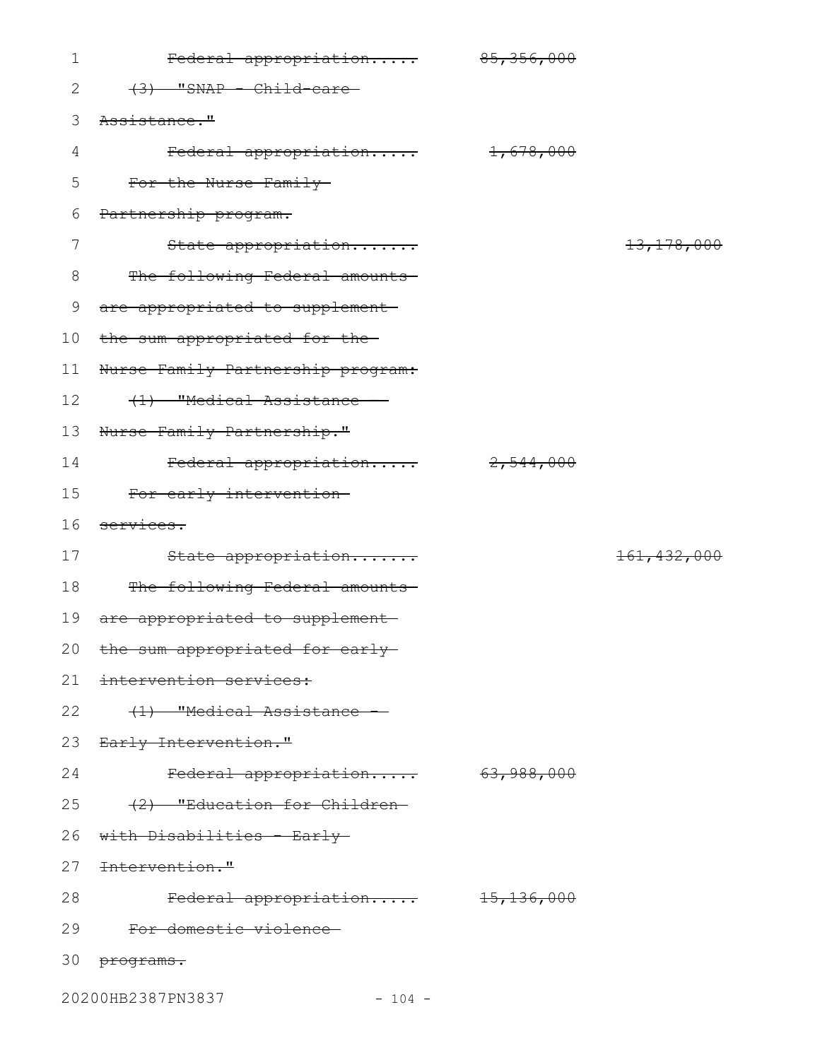| $\mathbf 1$ | Federal appropriation 85,356,000   |                      |               |
|-------------|------------------------------------|----------------------|---------------|
| 2           | $(3)$ "SNAP - Child-care-          |                      |               |
| 3           | Assistance."                       |                      |               |
| 4           | Federal appropriation              | $1$ , 678, 000       |               |
| 5           | For the Nurse Family               |                      |               |
| 6           | Partnership program.               |                      |               |
| 7           | State appropriation                |                      | 13, 178, 000  |
| 8           | The following Federal amounts-     |                      |               |
| 9           | are appropriated to supplement-    |                      |               |
| 10          | the sum appropriated for the-      |                      |               |
| 11          | Nurse Family Partnership program:  |                      |               |
| 12          | (1) "Medical Assistance -          |                      |               |
| 13          | Nurse Family Partnership."         |                      |               |
| 14          | Federal appropriation              | <del>2,544,000</del> |               |
| 15          | For early intervention-            |                      |               |
|             |                                    |                      |               |
| 16          | services.                          |                      |               |
| 17          | State appropriation                |                      | 161, 432, 000 |
| 18          | The following Federal amounts-     |                      |               |
| 19          | are appropriated to supplement     |                      |               |
|             | 20 the sum appropriated for early- |                      |               |
| 21          | intervention services:             |                      |               |
| 22          | (1) "Medical Assistance            |                      |               |
| 23          | <del>Early Intervention."</del>    |                      |               |
| 24          | Federal appropriation 63,988,000   |                      |               |
| 25          | (2) "Education for Children-       |                      |               |
| 26          | with Disabilities - Early          |                      |               |
| 27          | Intervention."                     |                      |               |
| 28          | Federal appropriation 15,136,000   |                      |               |
| 29          | For domestic violence              |                      |               |

20200HB2387PN3837 - 104 -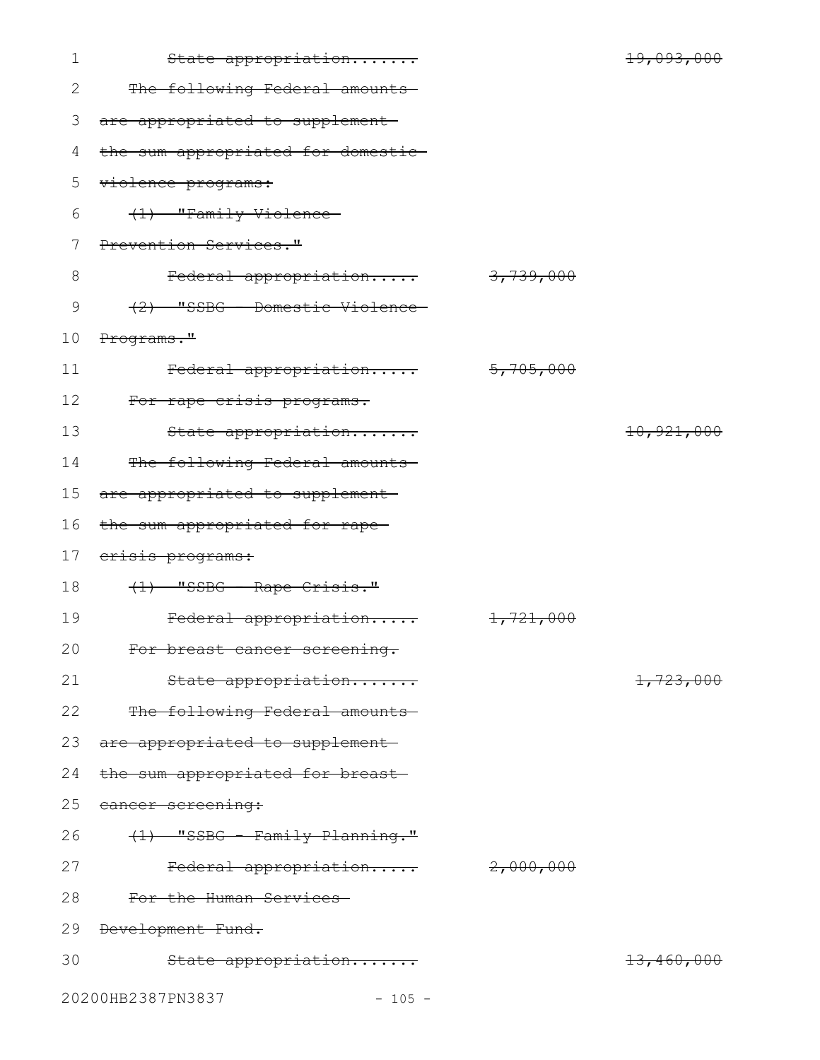| $\mathbf 1$  | State appropriation                |           | 19,093,000           |
|--------------|------------------------------------|-----------|----------------------|
| $\mathbf{2}$ | The following Federal amounts-     |           |                      |
| 3            | are appropriated to supplement     |           |                      |
| 4            | the sum appropriated for domestic- |           |                      |
| 5            | violence programs:                 |           |                      |
| 6            | (1) "Family Violence-              |           |                      |
| 7            | Prevention Services."              |           |                      |
| $8\,$        | Federal appropriation              | 3,739,000 |                      |
| 9            | (2) "SSBG - Domestic Violence      |           |                      |
| 10           | Programs."                         |           |                      |
| 11           | Federal appropriation              | 5,705,000 |                      |
| 12           | For rape crisis programs.          |           |                      |
| 13           | State appropriation                |           | 10,921,000           |
| 14           | The following Federal amounts      |           |                      |
| 15           | are appropriated to supplement-    |           |                      |
| 16           | the sum appropriated for rape-     |           |                      |
| 17           | erisis programs:                   |           |                      |
| 18           | (1) "SSBG - Rape Crisis."          |           |                      |
| 19           | Federal appropriation              | 1,721,000 |                      |
| 20           | For breast cancer screening.       |           |                      |
| 21           | State appropriation                |           | <del>1,723,000</del> |
| 22           | The following Federal amounts      |           |                      |
| 23           | are appropriated to supplement-    |           |                      |
| 24           | the sum appropriated for breast-   |           |                      |
| 25           | cancer screening:                  |           |                      |
| 26           | (1) "SSBG - Family Planning."      |           |                      |
| 27           | Federal appropriation              | 2,000,000 |                      |
| 28           | For the Human Services             |           |                      |
| 29           | Development Fund.                  |           |                      |
| 30           | State appropriation                |           | 13,460,000           |
|              | 20200HB2387PN3837<br>$-105 -$      |           |                      |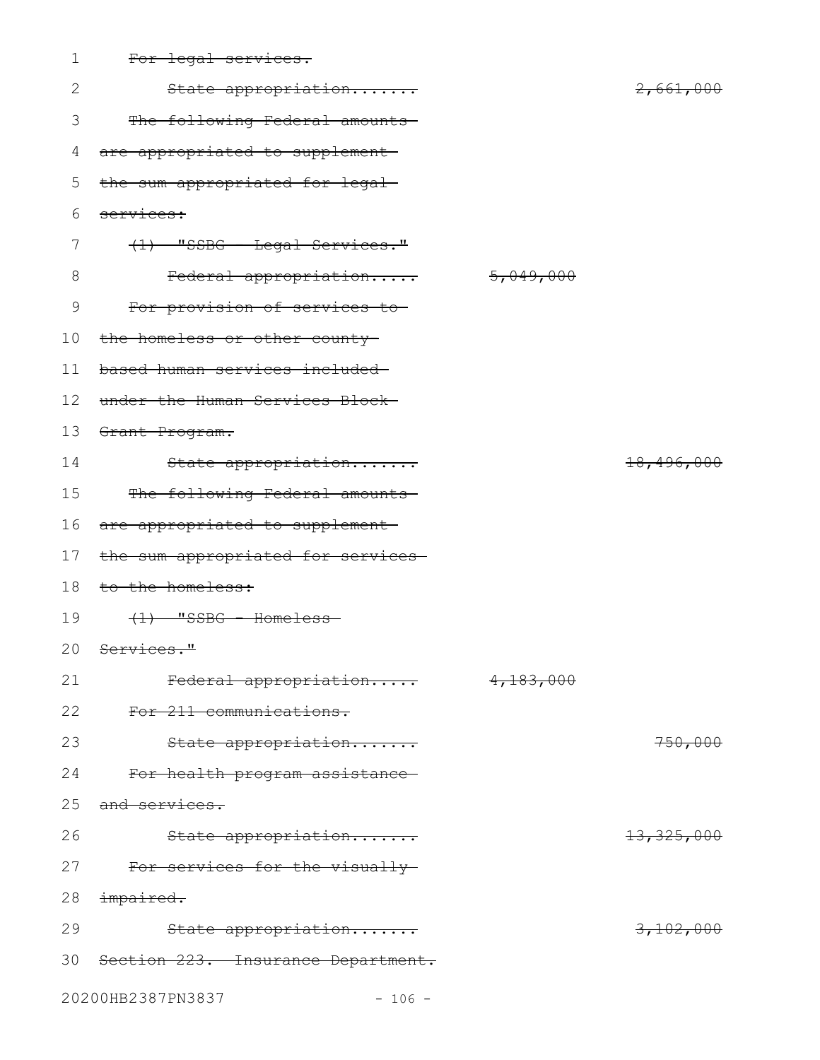| 1               | For legal services.                   |           |                         |
|-----------------|---------------------------------------|-----------|-------------------------|
| 2               | State appropriation                   |           | 2,661,000               |
| 3               | The following Federal amounts-        |           |                         |
| 4               | are appropriated to supplement-       |           |                         |
| 5               | the sum appropriated for legal-       |           |                         |
| 6               | services:                             |           |                         |
| 7               | (1) "SSBG - Legal Services."          |           |                         |
| 8               | Federal appropriation                 | 5,049,000 |                         |
| $\mathcal{G}$   | For provision of services to-         |           |                         |
| 10 <sub>o</sub> | the homeless or other county-         |           |                         |
| 11              | based human services included-        |           |                         |
| 12              | under the Human Services Block-       |           |                         |
| 13              | Grant Program.                        |           |                         |
| 14              | State appropriation                   |           | <del>18,496,000</del>   |
| 15              | The following Federal amounts-        |           |                         |
| 16              | are appropriated to supplement        |           |                         |
| 17              | the sum appropriated for services-    |           |                         |
| 18              | to the homeless:                      |           |                         |
| 19              | $(1)$ "SSBG - Homeless-               |           |                         |
|                 | 20 Services."                         |           |                         |
| 21              | Federal appropriation                 | 4,183,000 |                         |
| 22              | For 211 communications.               |           |                         |
| 23              | State appropriation                   |           | 750,000                 |
| 24              | For health program assistance-        |           |                         |
| 25              | and services.                         |           |                         |
| 26              | State appropriation                   |           | <del>13, 325, 000</del> |
| 27              | For services for the visually-        |           |                         |
| 28              | impaired.                             |           |                         |
| 29              | State appropriation                   |           | 3,102,000               |
|                 | 30 Section 223. Insurance Department. |           |                         |
|                 | 20200HB2387PN3837<br>$-106 -$         |           |                         |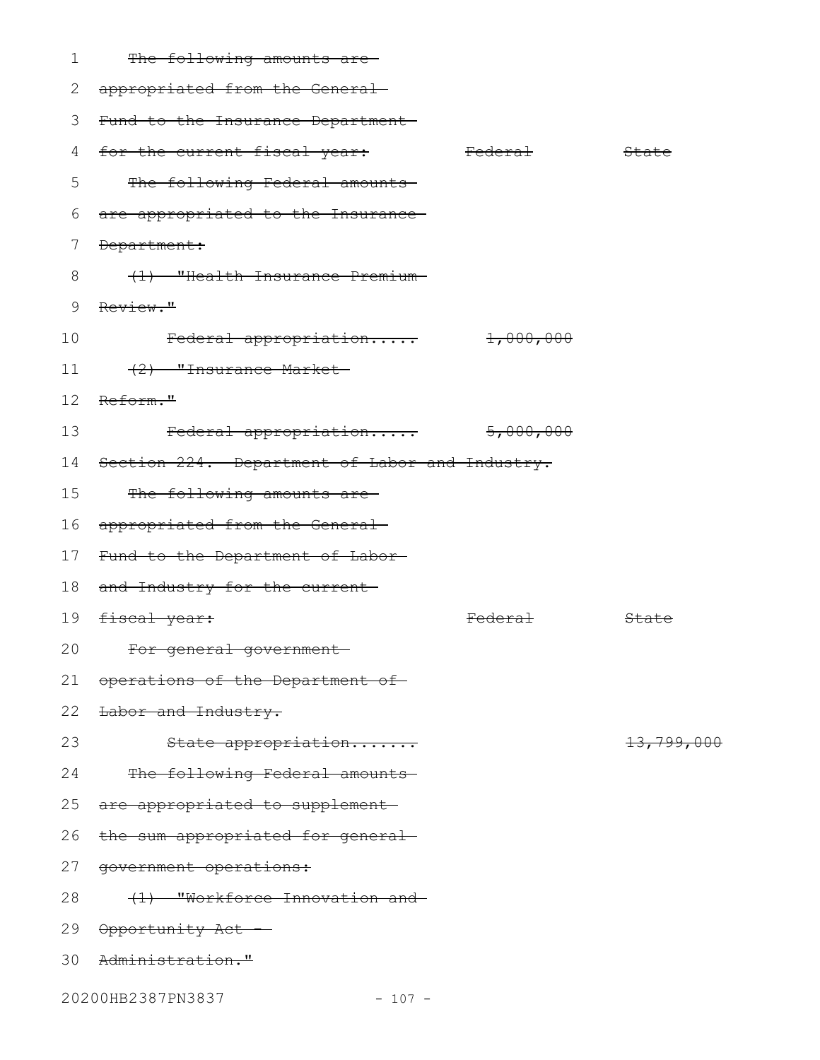|  | The fallowing smaunts are            |  |
|--|--------------------------------------|--|
|  | <del>the rorrowing amounts are</del> |  |

| 2  | appropriated from the General-                 |                    |                       |
|----|------------------------------------------------|--------------------|-----------------------|
| 3  | Fund to the Insurance Department               |                    |                       |
| 4  | for the current fiscal year: Federal           |                    | State                 |
| 5  | The following Federal amounts                  |                    |                       |
| 6  | are appropriated to the Insurance-             |                    |                       |
| 7  | Department:                                    |                    |                       |
| 8  | (1) "Health Insurance Premium-                 |                    |                       |
| 9  | Review."                                       |                    |                       |
| 10 | $\text{Federal approximation}$ $1,000,000$     |                    |                       |
| 11 | (2) "Insurance Market-                         |                    |                       |
| 12 | Reform."                                       |                    |                       |
| 13 | Federal appropriation 5,000,000                |                    |                       |
| 14 | Section 224. Department of Labor and Industry. |                    |                       |
| 15 | The following amounts are-                     |                    |                       |
| 16 | appropriated from the General-                 |                    |                       |
| 17 | Fund to the Department of Labor                |                    |                       |
| 18 | and Industry for the current-                  |                    |                       |
| 19 | <del>fiscal year:</del>                        | <del>Federal</del> | State                 |
| 20 | For general government-                        |                    |                       |
| 21 | operations of the Department of                |                    |                       |
| 22 | Labor and Industry.                            |                    |                       |
| 23 | State appropriation                            |                    | <del>13,799,000</del> |
| 24 | The following Federal amounts                  |                    |                       |
| 25 | are appropriated to supplement-                |                    |                       |
| 26 | the sum appropriated for general-              |                    |                       |
| 27 | government operations:                         |                    |                       |
| 28 | (1) "Workforce Innovation and                  |                    |                       |
| 29 | <del>Opportunity Act</del>                     |                    |                       |
| 30 | Administration."                               |                    |                       |

20200HB2387PN3837 - 107 -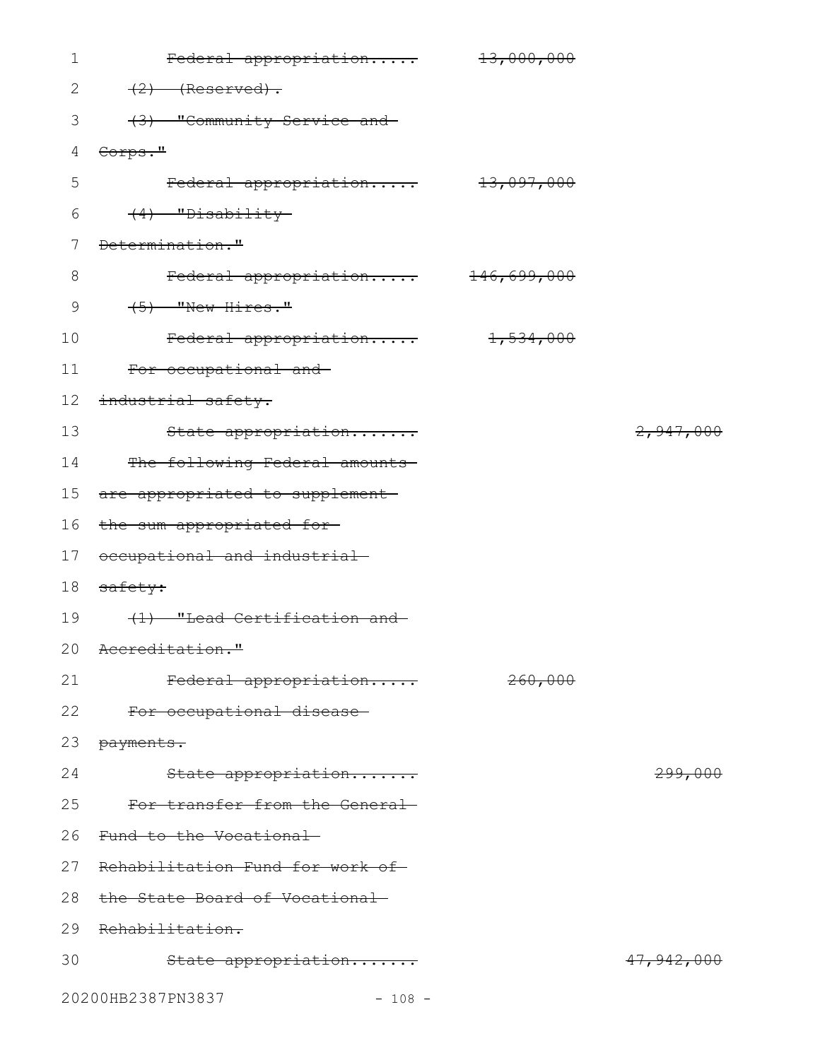| $\mathbf 1$                   | Federal appropriation             | <del>13,000,000</del> |                    |
|-------------------------------|-----------------------------------|-----------------------|--------------------|
| 2                             | $(2)$ (Reserved).                 |                       |                    |
| 3                             | (3) "Community Service and        |                       |                    |
| 4                             | Corps."                           |                       |                    |
| 5                             | Federal appropriation 13,097,000  |                       |                    |
| 6                             | $(4)$ "Disability-                |                       |                    |
| 7                             | Determination."                   |                       |                    |
| 8                             | Federal appropriation 146,699,000 |                       |                    |
| 9                             | $(5)$ "New Hires."                |                       |                    |
| 10                            | Federal appropriation 1,534,000   |                       |                    |
| 11                            | For occupational and              |                       |                    |
| 12                            | industrial safety.                |                       |                    |
| 13                            | State appropriation               |                       | 2,947,000          |
| 14                            | The following Federal amounts     |                       |                    |
| 15                            | are appropriated to supplement-   |                       |                    |
| 16                            | the sum appropriated for-         |                       |                    |
| 17                            | occupational and industrial-      |                       |                    |
| 18                            | safety:                           |                       |                    |
| 19                            | (1) "Lead Certification and       |                       |                    |
|                               | 20 Accreditation."                |                       |                    |
| 21                            | Federal appropriation             | 260,000               |                    |
| 22                            | For occupational disease          |                       |                    |
| 23                            | payments.                         |                       |                    |
| 24                            | State appropriation               |                       | <del>299,000</del> |
| 25                            | For transfer from the General     |                       |                    |
| 26                            | Fund to the Vocational            |                       |                    |
| 27                            | Rehabilitation Fund for work of   |                       |                    |
| 28                            | the State Board of Vocational-    |                       |                    |
| 29                            | Rehabilitation.                   |                       |                    |
| 30                            | State appropriation               |                       | 47,942,000         |
| 20200HB2387PN3837<br>$-108 -$ |                                   |                       |                    |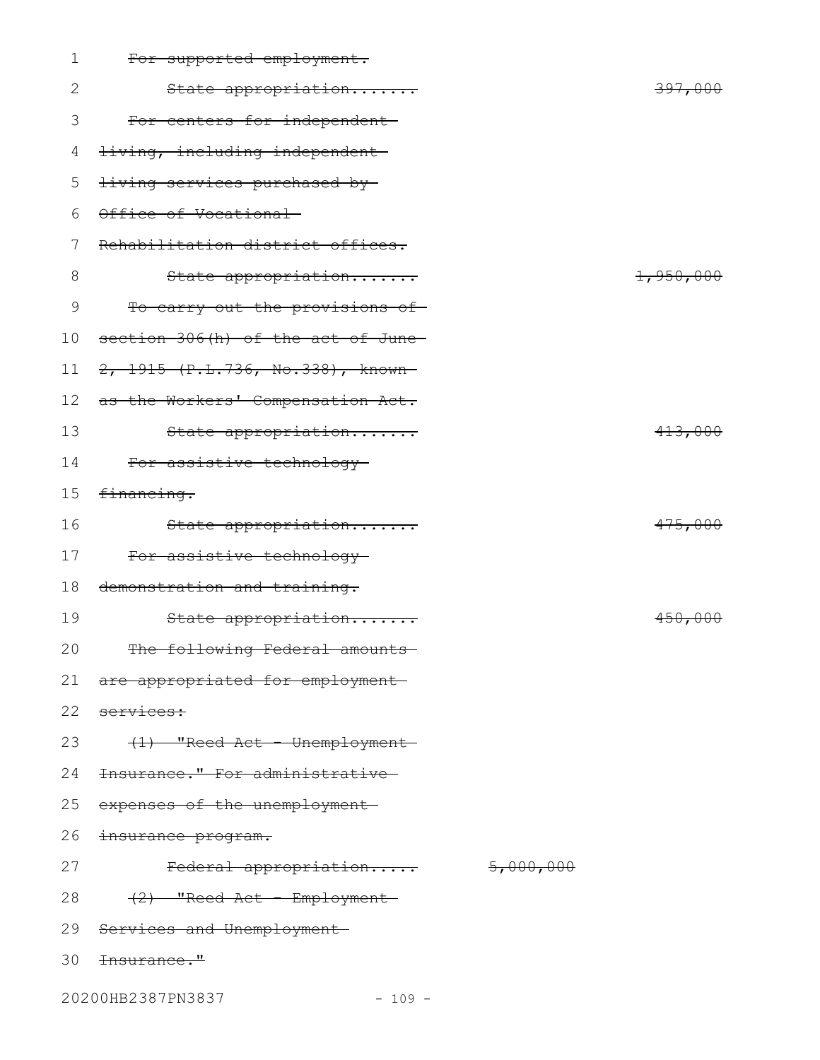| 1  | For supported employment.                |           |
|----|------------------------------------------|-----------|
| 2  | State appropriation                      | 397,000   |
| 3  | For centers for independent-             |           |
| 4  | <del>living, including independent</del> |           |
| 5  | living services purchased by-            |           |
| 6  | Office of Vocational-                    |           |
| 7  | Rehabilitation district offices.         |           |
| 8  | State appropriation                      | 1,950,000 |
| 9  | To carry out the provisions of-          |           |
| 10 | section 306(h) of the act of June-       |           |
| 11 | 2, 1915 (P.L.736, No.338), known-        |           |
| 12 | as the Workers' Compensation Act.        |           |
| 13 | State appropriation                      | 413,000   |
| 14 | For assistive technology                 |           |
| 15 | financing.                               |           |
| 16 | State appropriation                      | 475,000   |
| 17 | For assistive technology                 |           |
| 18 | demonstration and training.              |           |
| 19 | State appropriation                      | 450,000   |
| 20 | The following Federal amounts            |           |
|    | 21 are appropriated for employment       |           |
| 22 | services:                                |           |
| 23 | (1) "Reed Act - Unemployment-            |           |
| 24 | Insurance." For administrative           |           |
| 25 | expenses of the unemployment-            |           |
| 26 | insurance program.                       |           |
| 27 | Federal appropriation 5,000,000          |           |
| 28 | <del>(2) "Reed Act - Employment-</del>   |           |
|    | 29 Services and Unemployment-            |           |
|    | 30 <del>Insurance."</del>                |           |
|    | 20200HB2387PN3837<br>$-109 -$            |           |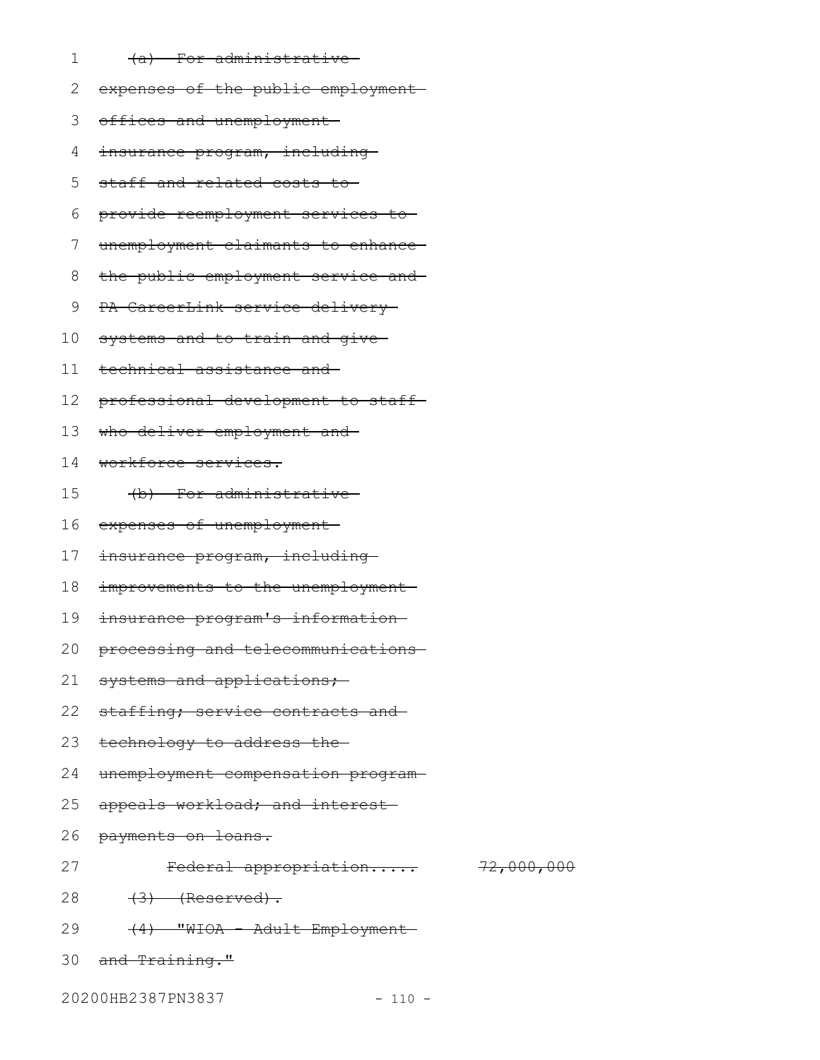- (a) For administrative 1
- expenses of the public employment 2
- 3 offices and unemployment
- insurance program, including 4
- staff and related costs to 5
- provide reemployment services to 6
- unemployment claimants to enhance 7
- the public employment service and 8
- PA CareerLink service delivery 9
- systems and to train and give 10
- technical assistance and 11
- professional development to staff 12
- who deliver employment and 13
- workforce services. 14
- (b) For administrative 15
- expenses of unemployment 16
- insurance program, including 17
- improvements to the unemployment-18
- insurance program's information 19
- processing and telecommunications 20
- systems and applications; 21
- staffing; service contracts and 22
- technology to address the 23
- unemployment compensation program 24
- appeals workload; and interest-25
- payments on loans. 26
- 27

Federal appropriation..... 72,000,000

- $(3)$  (Reserved). 28
- (4) "WIOA Adult Employment 29
- and Training." 30

20200HB2387PN3837 - 110 -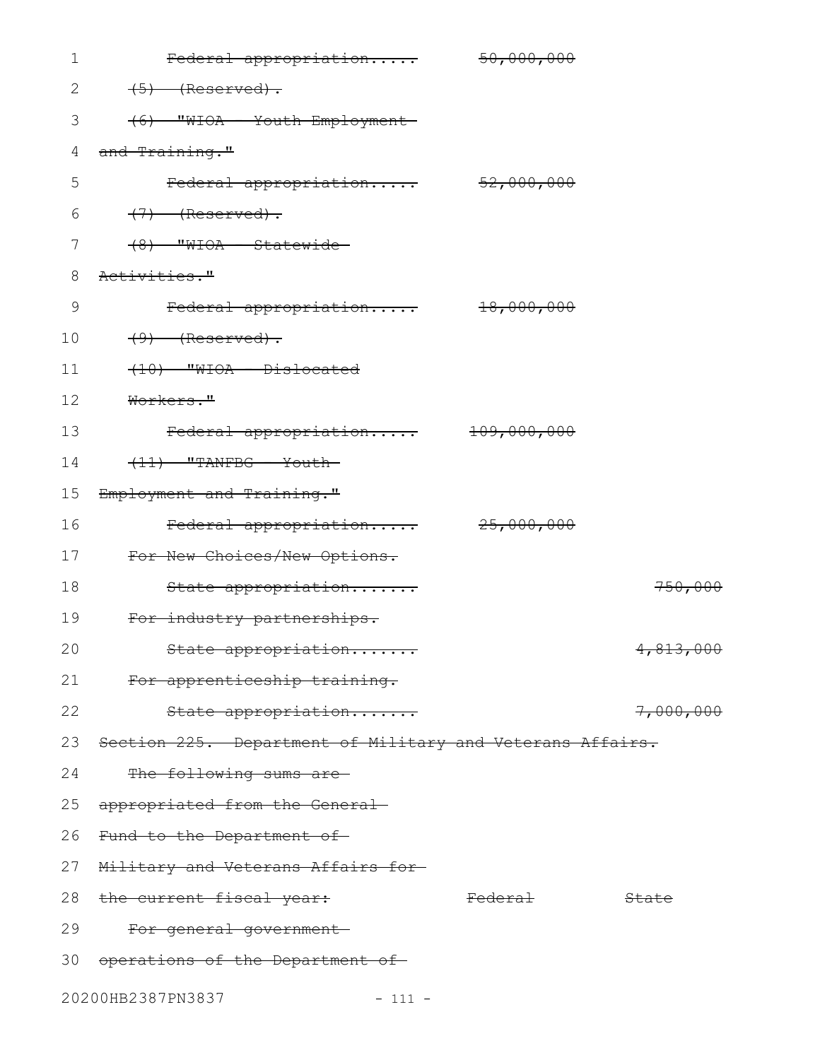| 1            | Federal appropriation                                     | 50,000,000            |           |
|--------------|-----------------------------------------------------------|-----------------------|-----------|
| $\mathbf{2}$ | $(5)$ (Reserved).                                         |                       |           |
| 3            | (6) WHOA - Youth Employment                               |                       |           |
| 4            | and Training."                                            |                       |           |
| 5            | Federal appropriation 52,000,000                          |                       |           |
| 6            | $(7)$ (Reserved).                                         |                       |           |
| 7            | $(8)$ "WIOA - Statewide-                                  |                       |           |
| $8\,$        | Activities."                                              |                       |           |
| 9            | Federal appropriation                                     | <del>18,000,000</del> |           |
| 10           | $(9)$ (Reserved).                                         |                       |           |
| 11           | (10) "WIOA - Dislocated                                   |                       |           |
| 12           | Workers."                                                 |                       |           |
| 13           | Federal appropriation                                     | 109,000,000           |           |
| 14           | $(11)$ "TANFBG - Youth-                                   |                       |           |
| 15           | Employment and Training."                                 |                       |           |
| 16           | Federal appropriation 25,000,000                          |                       |           |
| 17           | For New Choices/New Options.                              |                       |           |
| 18           | State appropriation                                       |                       | 750,000   |
| 19           | For industry partnerships.                                |                       |           |
| 20           | State appropriation                                       |                       | 4,813,000 |
| 21           | For apprenticeship training.                              |                       |           |
| 22           | State appropriation                                       |                       | 7,000,000 |
| 23           | Section 225. Department of Military and Veterans Affairs. |                       |           |
| 24           | The following sums are-                                   |                       |           |
| 25           | appropriated from the General-                            |                       |           |
| 26           | Fund to the Department of-                                |                       |           |
| 27           | Military and Veterans Affairs for-                        |                       |           |
| 28           | the current fiscal year:                                  | <del>Federal</del>    | State     |
| 29           | For general government-                                   |                       |           |
|              | 30 operations of the Department of                        |                       |           |
|              | 20200HB2387PN3837<br>$-111 -$                             |                       |           |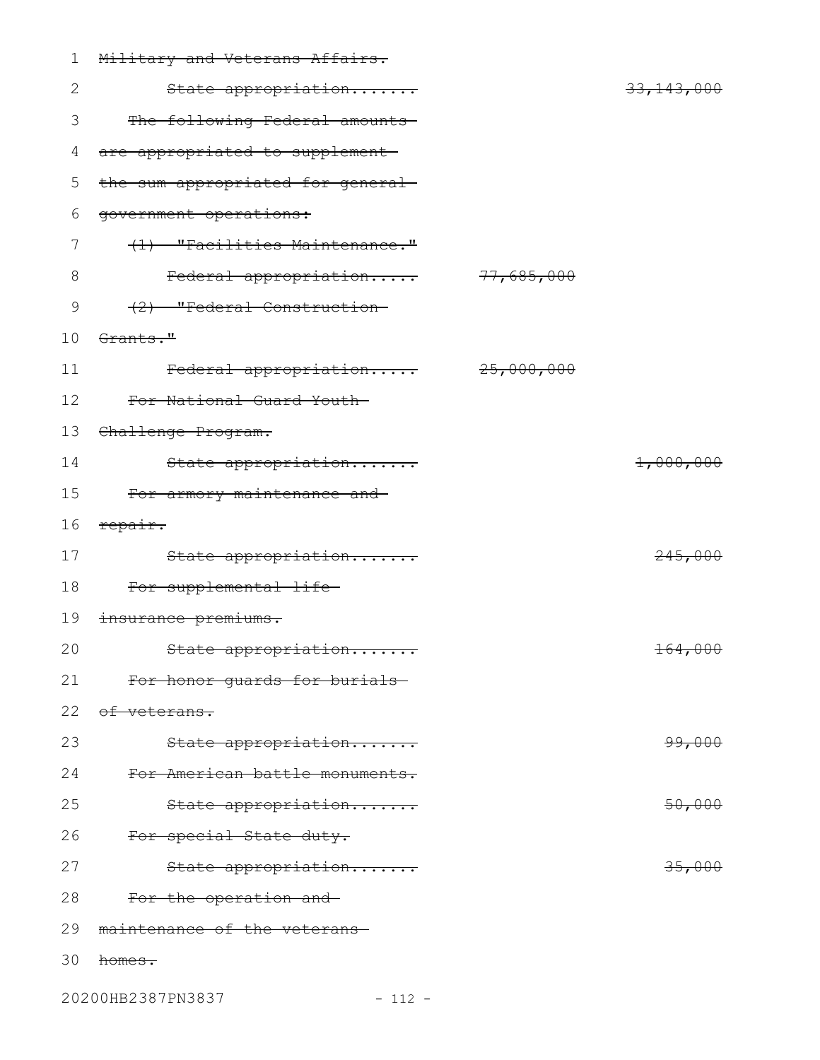| 1  | Military and Veterans Affairs.    |                       |
|----|-----------------------------------|-----------------------|
| 2  | State appropriation               | <del>33,143,000</del> |
| 3  | The following Federal amounts     |                       |
| 4  | are appropriated to supplement-   |                       |
| 5  | the sum appropriated for general- |                       |
| 6  | government operations:            |                       |
| 7  | (1) "Facilities Maintenance."     |                       |
| 8  | Federal appropriation 77,685,000  |                       |
| 9  | (2) "Federal Construction-        |                       |
| 10 | Grants."                          |                       |
| 11 | Federal appropriation 25,000,000  |                       |
| 12 | For National Guard Youth-         |                       |
| 13 | Challenge Program.                |                       |
| 14 | State appropriation               | 1,000,000             |
| 15 | For armory maintenance and        |                       |
| 16 | repair.                           |                       |
| 17 | State appropriation               | 245,000               |
| 18 | For supplemental life-            |                       |
| 19 | insurance premiums.               |                       |
| 20 | State appropriation               | 164,000               |
| 21 | For honor guards for burials      |                       |
| 22 | of veterans.                      |                       |
| 23 | State appropriation               | 99,000                |
| 24 | For American battle monuments.    |                       |
| 25 | State appropriation               | 50,000                |
| 26 | For special State duty.           |                       |
| 27 | State appropriation               | 35,000                |
| 28 | For the operation and             |                       |
| 29 | maintenance of the veterans-      |                       |
| 30 | homes.                            |                       |

20200HB2387PN3837 - 112 -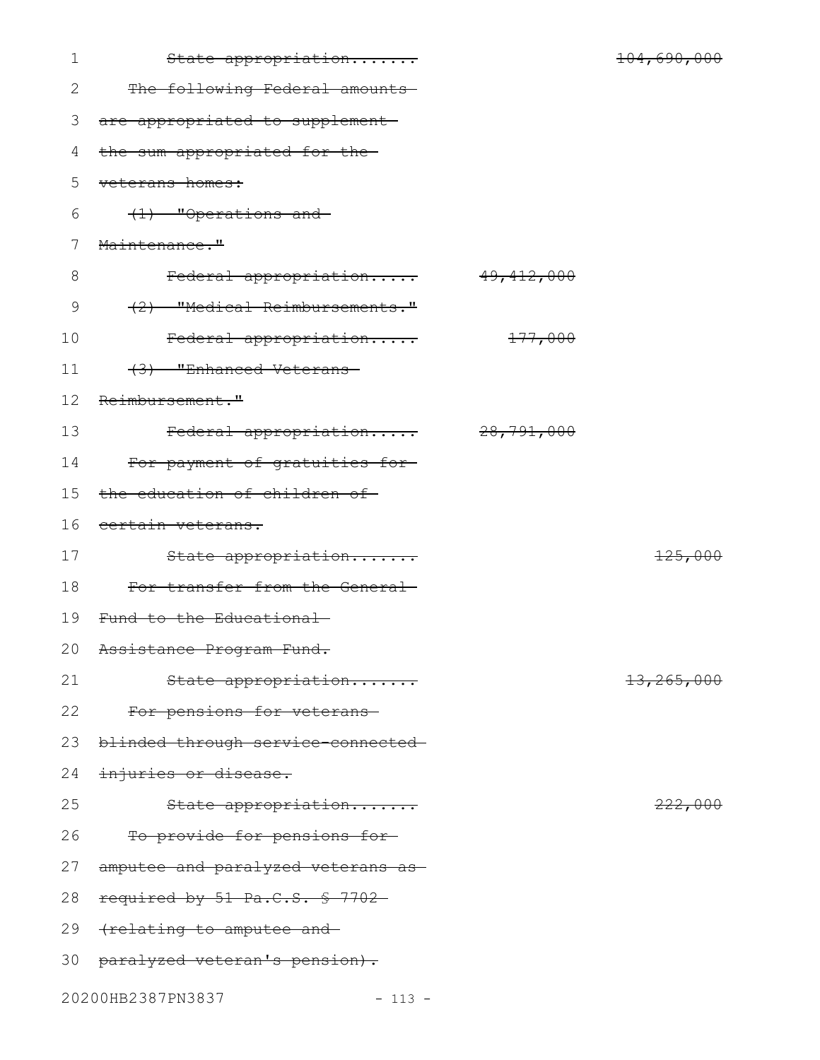| 1  | State appropriation                |                       | 104,690,000 |
|----|------------------------------------|-----------------------|-------------|
| 2  | The following Federal amounts      |                       |             |
| 3  | are appropriated to supplement-    |                       |             |
| 4  | the sum appropriated for the-      |                       |             |
| 5  | veterans homes:                    |                       |             |
| 6  | (1) "Operations and                |                       |             |
| 7  | Maintenance."                      |                       |             |
| 8  | Federal appropriation              | <del>49,412,000</del> |             |
| 9  | (2) "Medical Reimbursements."      |                       |             |
| 10 | Federal appropriation              | <del>177,000</del>    |             |
| 11 | (3) "Enhanced Veterans-            |                       |             |
| 12 | Reimbursement."                    |                       |             |
| 13 | Federal appropriation              | <del>28,791,000</del> |             |
| 14 | For payment of gratuities for      |                       |             |
| 15 | the education of children of-      |                       |             |
| 16 | certain veterans.                  |                       |             |
| 17 | State appropriation                |                       | 125,000     |
| 18 | For transfer from the General-     |                       |             |
| 19 | Fund to the Educational-           |                       |             |
|    | 20 Assistance Program Fund.        |                       |             |
| 21 | State appropriation                |                       | 13,265,000  |
| 22 | For pensions for veterans          |                       |             |
| 23 | blinded through service connected  |                       |             |
| 24 | injuries or disease.               |                       |             |
| 25 | State appropriation                |                       | 222,000     |
| 26 | To provide for pensions for-       |                       |             |
| 27 | amputee and paralyzed veterans as- |                       |             |
| 28 | required by 51 Pa.C.S. § 7702-     |                       |             |
| 29 | frelating to amputee and           |                       |             |
| 30 | paralyzed veteran's pension).      |                       |             |
|    | 20200HB2387PN3837<br>$-113 -$      |                       |             |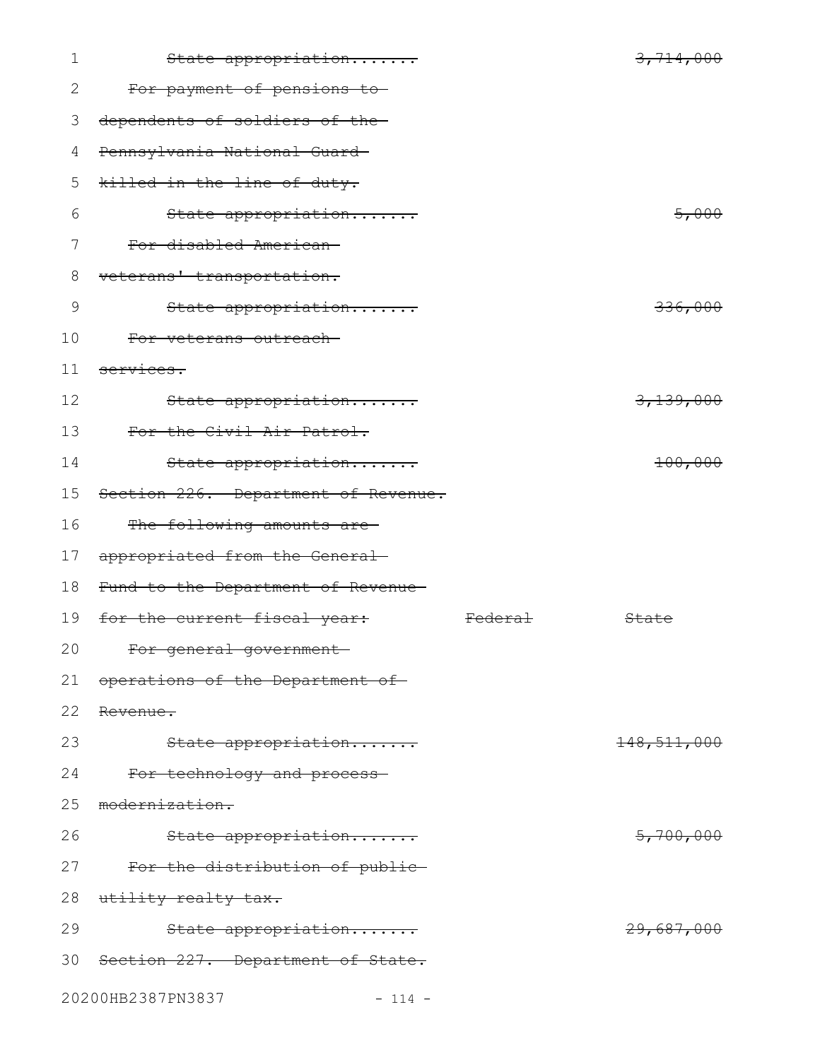| $\mathbf 1$ | State appropriation                  |                    | 3,714,000     |
|-------------|--------------------------------------|--------------------|---------------|
| 2           | For payment of pensions to-          |                    |               |
| 3           | dependents of soldiers of the-       |                    |               |
| 4           | Pennsylvania National Guard-         |                    |               |
| 5           | killed in the line of duty.          |                    |               |
| 6           | State appropriation                  |                    | 5,000         |
| 7           | For disabled American-               |                    |               |
| 8           | veterans' transportation.            |                    |               |
| 9           | State appropriation                  |                    | 336,000       |
| 10          | For veterans outreach-               |                    |               |
| 11          | services.                            |                    |               |
| 12          | State appropriation                  |                    | 3,139,000     |
| 13          | For the Civil Air Patrol.            |                    |               |
| 14          | State appropriation                  |                    | 100,000       |
| 15          | Section 226. Department of Revenue.  |                    |               |
| 16          | The following amounts are-           |                    |               |
| 17          | appropriated from the General-       |                    |               |
| 18          | Fund to the Department of Revenue-   |                    |               |
| 19          | for the current fiscal year:         | <del>Federal</del> | State         |
| 20          | For general government               |                    |               |
| 21          | operations of the Department of      |                    |               |
| 22          | Revenue.                             |                    |               |
| 23          | State appropriation                  |                    | 148, 511, 000 |
| 24          | For technology and process-          |                    |               |
| 25          | modernization.                       |                    |               |
| 26          | State appropriation                  |                    | 5,700,000     |
| 27          | For the distribution of public-      |                    |               |
| 28          | utility realty tax.                  |                    |               |
| 29          | State appropriation                  |                    | 29,687,000    |
|             | 30 Section 227. Department of State. |                    |               |
|             | 20200HB2387PN3837<br>$-114 -$        |                    |               |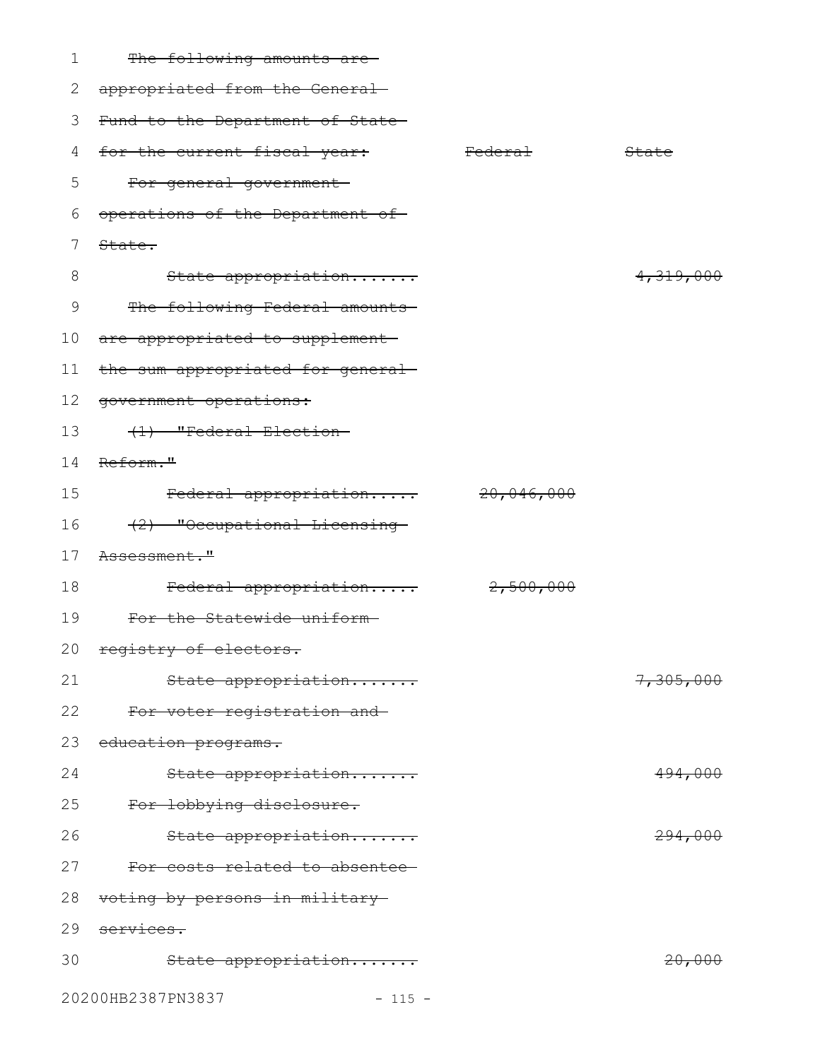| 1  | The following amounts are-        |                    |                    |
|----|-----------------------------------|--------------------|--------------------|
| 2  | appropriated from the General-    |                    |                    |
| 3  | Fund to the Department of State-  |                    |                    |
| 4  | for the current fiscal year:      | <del>Federal</del> | State              |
| 5  | For general government-           |                    |                    |
| 6  | operations of the Department of   |                    |                    |
| 7  | State.                            |                    |                    |
| 8  | State appropriation               |                    | 4,319,000          |
| 9  | The following Federal amounts     |                    |                    |
| 10 | are appropriated to supplement    |                    |                    |
| 11 | the sum appropriated for general- |                    |                    |
| 12 | government operations:            |                    |                    |
| 13 | (1) "Federal Election-            |                    |                    |
| 14 | Reform."                          |                    |                    |
| 15 | Federal appropriation             | 20,046,000         |                    |
| 16 | (2) "Occupational Licensing-      |                    |                    |
| 17 | Assessment."                      |                    |                    |
| 18 | Federal appropriation             | 2,500,000          |                    |
| 19 | For the Statewide uniform-        |                    |                    |
|    | 20 registry of electors.          |                    |                    |
| 21 | State appropriation               |                    | 7,305,000          |
| 22 | For voter registration and-       |                    |                    |
| 23 | education programs.               |                    |                    |
| 24 | State appropriation               |                    | 494,000            |
| 25 | For lobbying disclosure.          |                    |                    |
| 26 | State appropriation               |                    | <del>294,000</del> |
| 27 | For costs related to absentee     |                    |                    |
| 28 | voting by persons in military-    |                    |                    |
| 29 | services.                         |                    |                    |
| 30 | State appropriation               |                    | <del>20,000</del>  |
|    | 20200HB2387PN3837<br>$-115 -$     |                    |                    |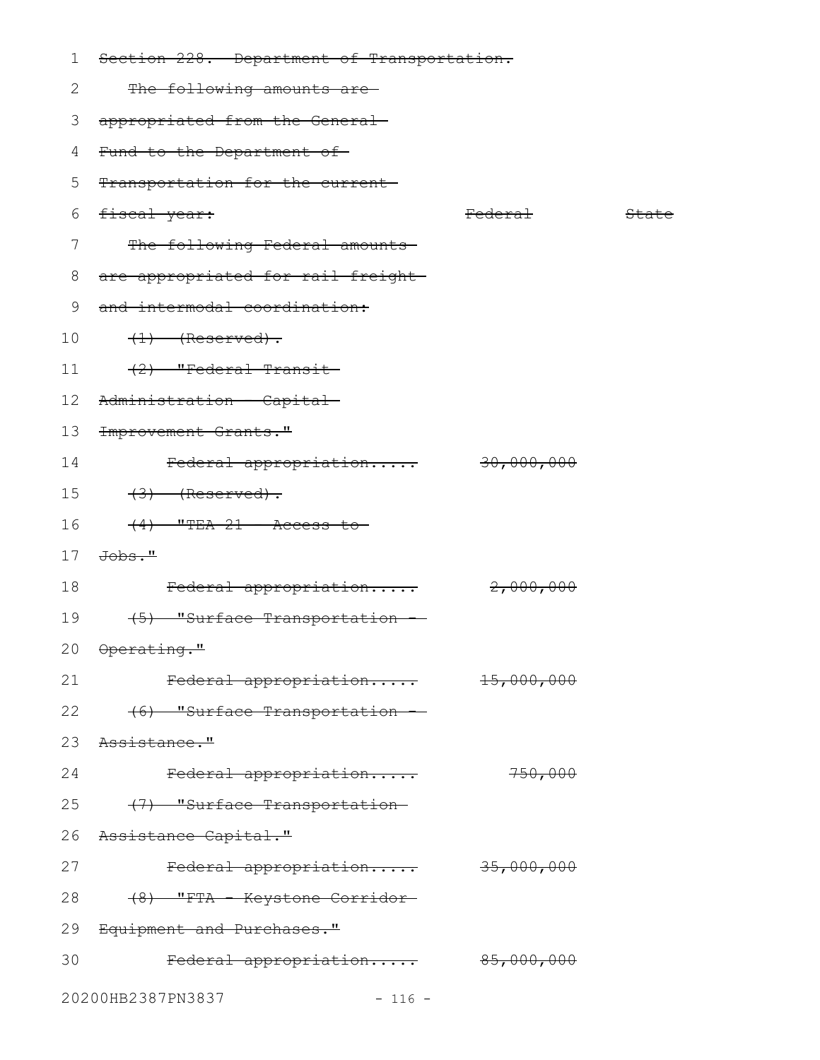| 1       | Section 228. Department of Transportation. |                       |       |
|---------|--------------------------------------------|-----------------------|-------|
| 2       | The following amounts are-                 |                       |       |
| 3       | appropriated from the General-             |                       |       |
| 4       | Fund to the Department of-                 |                       |       |
| 5       | Transportation for the current             |                       |       |
| 6       | fiscal year:                               | <del>Federal</del>    | State |
| 7       | The following Federal amounts              |                       |       |
| 8       | are appropriated for rail freight-         |                       |       |
| 9       | and intermodal coordination:               |                       |       |
| 10      | $(1)$ (Reserved).                          |                       |       |
| 11      | $(2)$ "Federal Transit-                    |                       |       |
| $12 \,$ | Administration - Capital-                  |                       |       |
| 13      | <del>Improvement Grants."</del>            |                       |       |
| 14      | Federal appropriation                      | <del>30,000,000</del> |       |
| 15      | $(3)$ (Reserved).                          |                       |       |
| 16      | $(4)$ "TEA-21 - Access to                  |                       |       |
| 17      | <del>Jobs."</del>                          |                       |       |
| 18      | Federal appropriation                      | 2,000,000             |       |
| 19      | (5) "Surface Transportation                |                       |       |
|         | 20 Operating."                             |                       |       |
| 21      | Federal appropriation 15,000,000           |                       |       |
| 22      | (6) "Surface Transportation -              |                       |       |
| 23      | <del>Assistance."</del>                    |                       |       |
| 24      | Federal appropriation                      | 750,000               |       |
| 25      | (7) "Surface Transportation-               |                       |       |
| 26      | Assistance Capital."                       |                       |       |
| 27      | Federal appropriation 35,000,000           |                       |       |
| 28      | (8) "FTA - Keystone Corridor-              |                       |       |
| 29      | Equipment and Purchases."                  |                       |       |
| 30      | Federal appropriation 85,000,000           |                       |       |
|         |                                            |                       |       |
|         | 20200HB2387PN3837<br>$-116 -$              |                       |       |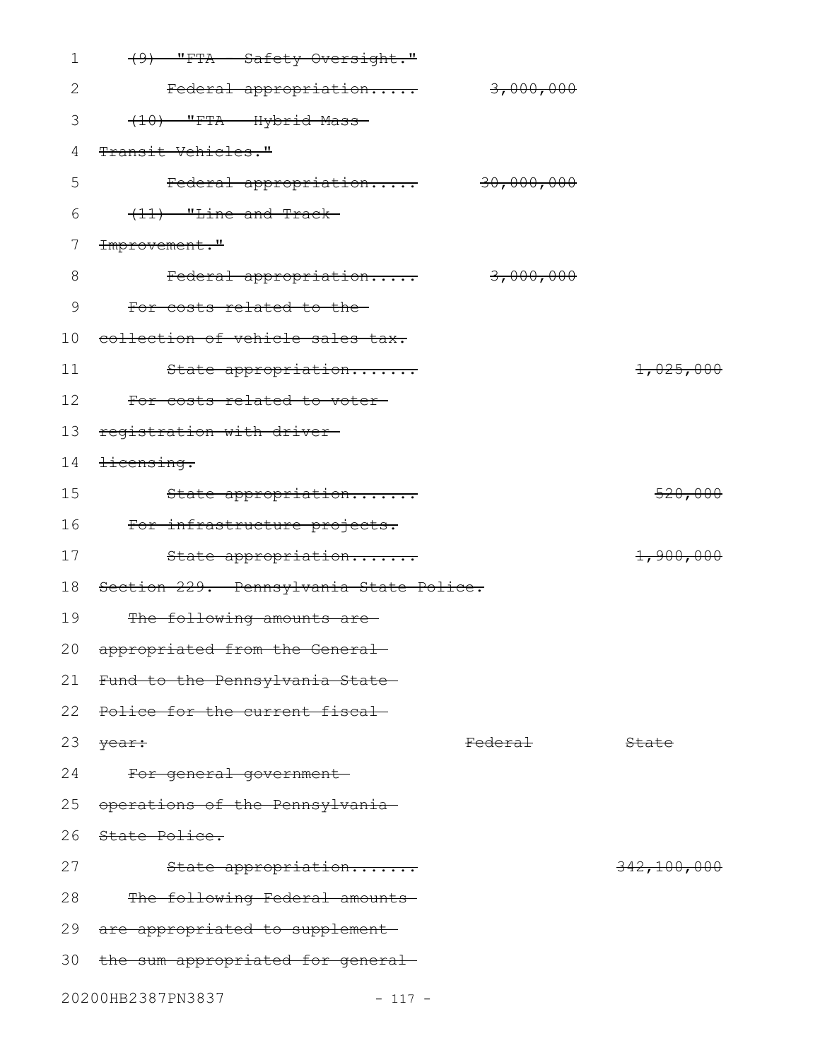| 1     | (9) "FTA - Safety Oversight."           |                    |             |
|-------|-----------------------------------------|--------------------|-------------|
| 2     | Federal appropriation                   | 3,000,000          |             |
| 3     | (10) "FTA - Hybrid Mass-                |                    |             |
| 4     | Transit Vehicles."                      |                    |             |
| 5     | Federal appropriation 30,000,000        |                    |             |
| 6     | $(11)$ "Line and Track-                 |                    |             |
| 7     | Improvement."                           |                    |             |
| $8\,$ | Federal appropriation                   | 3,000,000          |             |
| 9     | For costs related to the-               |                    |             |
| 10    | collection of vehicle sales tax.        |                    |             |
| 11    | State appropriation                     |                    | 1,025,000   |
| 12    | For costs related to voter-             |                    |             |
| 13    | registration with driver-               |                    |             |
| 14    | <del>licensing.</del>                   |                    |             |
| 15    | State appropriation                     |                    | 520,000     |
| 16    | For infrastructure projects.            |                    |             |
| 17    | State appropriation                     |                    | 1,900,000   |
| 18    | Section 229. Pennsylvania State Police. |                    |             |
| 19    | The following amounts are-              |                    |             |
|       | 20 appropriated from the General        |                    |             |
| 21    | Fund to the Pennsylvania State          |                    |             |
| 22    | Police for the current fiscal           |                    |             |
| 23    | year:                                   | <del>Federal</del> | State       |
| 24    | For general government-                 |                    |             |
| 25    | operations of the Pennsylvania          |                    |             |
| 26    | State Police.                           |                    |             |
| 27    | State appropriation                     |                    | 342,100,000 |
| 28    | The following Federal amounts           |                    |             |
| 29    | are appropriated to supplement          |                    |             |
| 30    | the sum appropriated for general-       |                    |             |
|       | 20200HB2387PN3837<br>$-117 -$           |                    |             |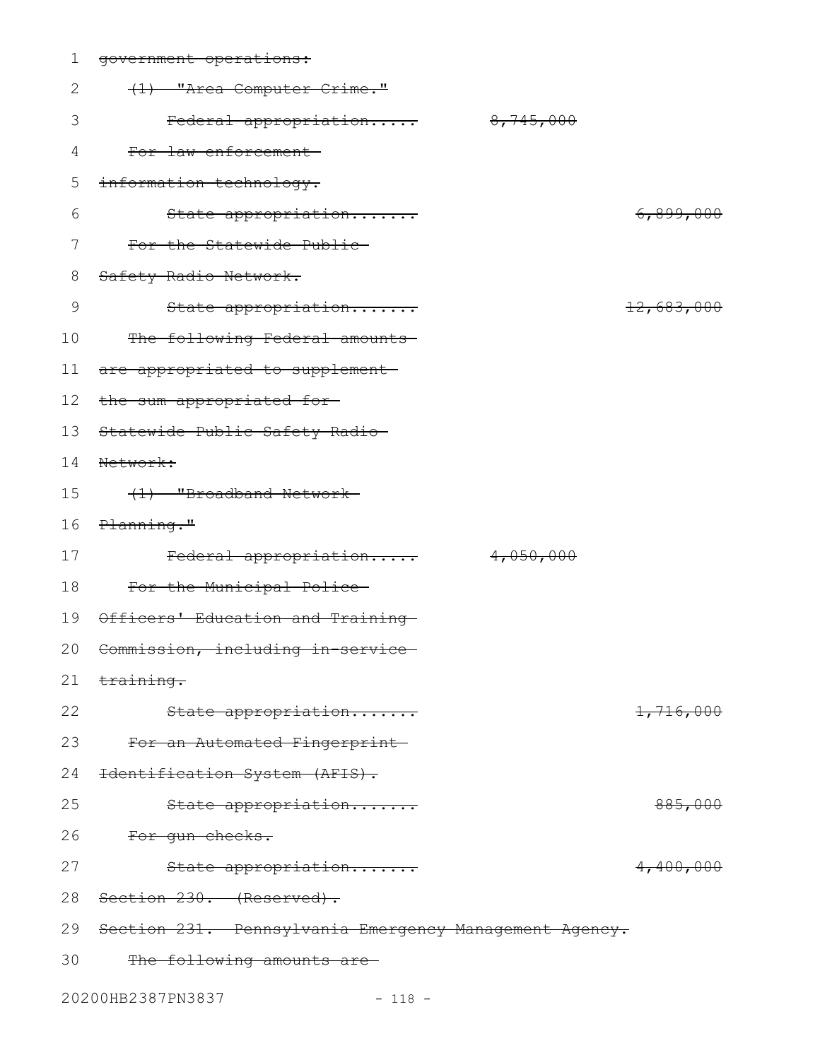| 1               | government operations:                                 |            |
|-----------------|--------------------------------------------------------|------------|
| 2               | (1) "Area Computer Crime."                             |            |
| 3               | 8,745,000<br>Federal appropriation                     |            |
| 4               | For law enforcement                                    |            |
| 5               | information technology.                                |            |
| 6               | State appropriation                                    | 6,899,000  |
| 7               | For the Statewide Public                               |            |
| 8               | Safety Radio Network.                                  |            |
| 9               | State appropriation                                    | 12,683,000 |
| 10              | The following Federal amounts                          |            |
| 11              | are appropriated to supplement-                        |            |
| 12 <sup>°</sup> | the sum appropriated for-                              |            |
| 13              | Statewide Public Safety Radio-                         |            |
| 14              | Network:                                               |            |
| 15              | (1) "Broadband Network-                                |            |
| 16              | Planning."                                             |            |
| 17              | 4,050,000<br>Federal appropriation                     |            |
| 18              | For the Municipal Police-                              |            |
| 19              | Officers' Education and Training                       |            |
|                 | 20 Commission, including in-service                    |            |
| 21              | training.                                              |            |
| 22              | State appropriation                                    | 1,716,000  |
| 23              | For an Automated Fingerprint-                          |            |
| 24              | Identification System (AFIS).                          |            |
| 25              | State appropriation                                    | 885,000    |
| 26              | For gun checks.                                        |            |
| 27              | State appropriation                                    | 4,400,000  |
| 28              | Section 230. (Reserved).                               |            |
| 29              | Section 231. Pennsylvania Emergency Management Agency. |            |
| 30              | The following amounts are                              |            |
|                 | 20200HB2387PN3837<br>$-118 -$                          |            |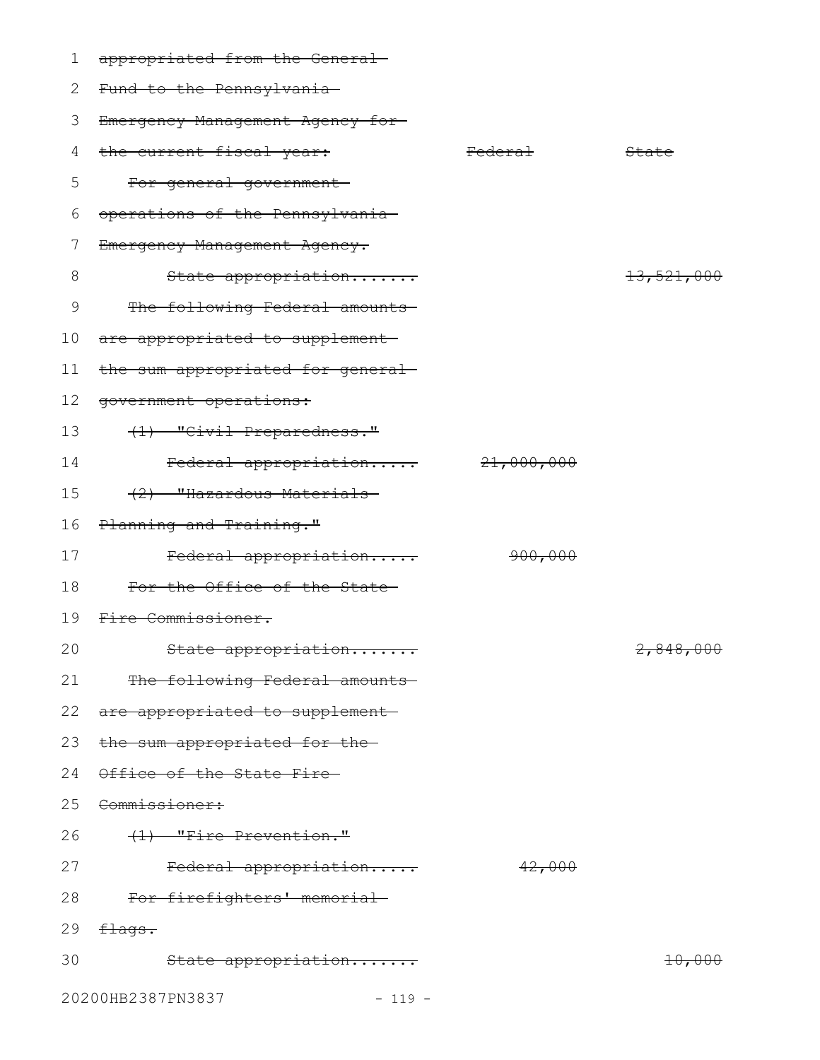| 1  | appropriated from the General-    |                    |                   |
|----|-----------------------------------|--------------------|-------------------|
| 2  | Fund to the Pennsylvania-         |                    |                   |
| 3  | Emergency Management Agency for-  |                    |                   |
| 4  | the current fiscal year:          | <del>Federal</del> | State             |
| 5  | For general government-           |                    |                   |
| 6  | operations of the Pennsylvania    |                    |                   |
| 7  | Emergency Management Agency.      |                    |                   |
| 8  | State appropriation               |                    | 13,521,000        |
| 9  | The following Federal amounts     |                    |                   |
| 10 | are appropriated to supplement-   |                    |                   |
| 11 | the sum appropriated for general- |                    |                   |
| 12 | government operations:            |                    |                   |
| 13 | (1) "Civil Preparedness."         |                    |                   |
| 14 | Federal appropriation             | 21,000,000         |                   |
| 15 | (2) "Hazardous Materials-         |                    |                   |
| 16 | Planning and Training."           |                    |                   |
| 17 | Federal appropriation             | 900,000            |                   |
| 18 | For the Office of the State-      |                    |                   |
| 19 | Fire Commissioner.                |                    |                   |
| 20 | State appropriation               |                    | 2,848,000         |
| 21 | The following Federal amounts     |                    |                   |
|    | 22 are appropriated to supplement |                    |                   |
| 23 | the sum appropriated for the-     |                    |                   |
| 24 | Office of the State Fire-         |                    |                   |
| 25 | <del>Commissioner:</del>          |                    |                   |
| 26 | $(1)$ "Fire Prevention."          |                    |                   |
| 27 | Federal appropriation             | 42,000             |                   |
| 28 | For firefighters' memorial-       |                    |                   |
| 29 | <del>flags.</del>                 |                    |                   |
| 30 | State appropriation               |                    | <del>10,000</del> |
|    | 20200HB2387PN3837<br>$-119 -$     |                    |                   |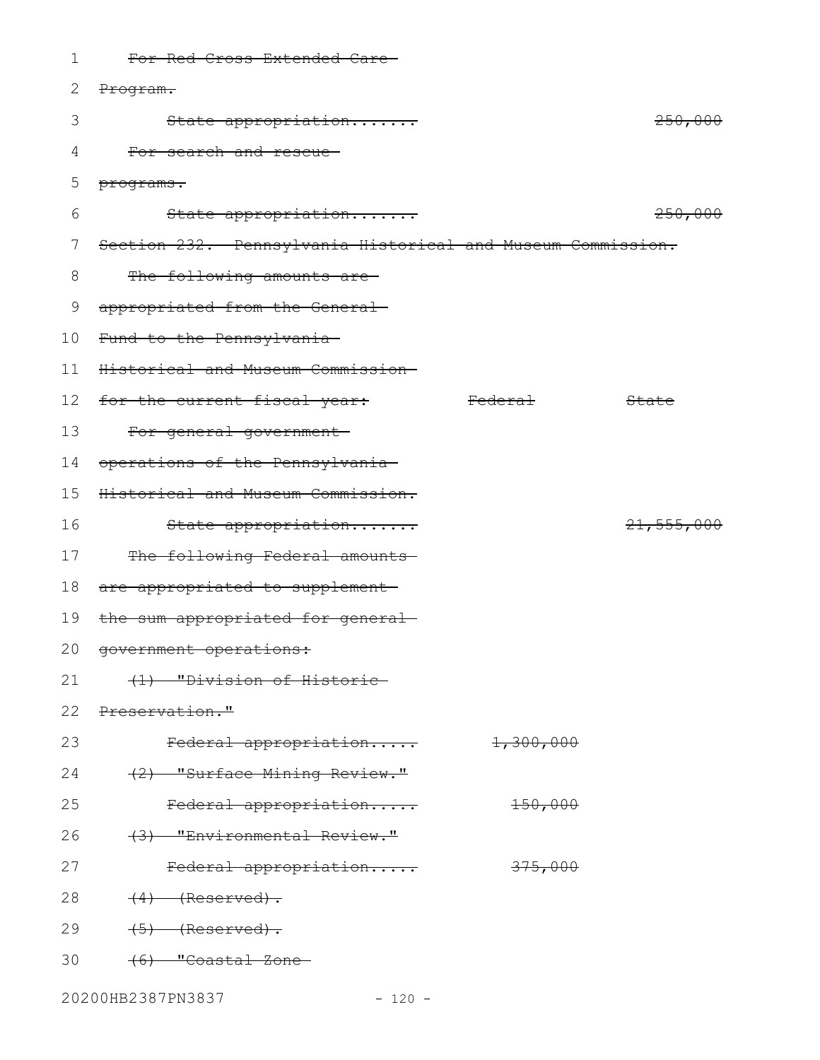| 1               | For Red Cross Extended Care-                                |                    |            |
|-----------------|-------------------------------------------------------------|--------------------|------------|
| 2               | Program.                                                    |                    |            |
| 3               | State appropriation                                         |                    | 250,000    |
| 4               | For search and rescue-                                      |                    |            |
| 5               | programs.                                                   |                    |            |
| 6               | State appropriation                                         |                    | 250,000    |
| 7               | Section 232. Pennsylvania Historical and Museum Commission. |                    |            |
| 8               | The following amounts are-                                  |                    |            |
| 9               | appropriated from the General-                              |                    |            |
| 10 <sub>o</sub> | Fund to the Pennsylvania-                                   |                    |            |
| 11              | Historical and Museum Commission-                           |                    |            |
| 12 <sup>°</sup> | for the current fiscal year:                                | <del>Federal</del> | State      |
| 13              | For general government-                                     |                    |            |
| 14              | operations of the Pennsylvania-                             |                    |            |
| 15              | Historical and Museum Commission.                           |                    |            |
| 16              | State appropriation                                         |                    | 21,555,000 |
| 17              | The following Federal amounts                               |                    |            |
| 18              | are appropriated to supplement-                             |                    |            |
| 19              | the sum appropriated for general-                           |                    |            |
|                 | 20 government operations:                                   |                    |            |
| 21              | (1) "Division of Historic-                                  |                    |            |
| 22              | Preservation."                                              |                    |            |
| 23              | Federal appropriation                                       | 1,300,000          |            |
| 24              | (2) "Surface Mining Review."                                |                    |            |
| 25              | Federal appropriation                                       | $+50,000$          |            |
| 26              | (3) "Environmental Review."                                 |                    |            |
| 27              | Federal appropriation                                       | 375,000            |            |
| 28              | $(4)$ (Reserved).                                           |                    |            |
| 29              | $(5)$ (Reserved).                                           |                    |            |
| 30              | (6) "Coastal Zone-                                          |                    |            |
|                 |                                                             |                    |            |

20200HB2387PN3837 - 120 -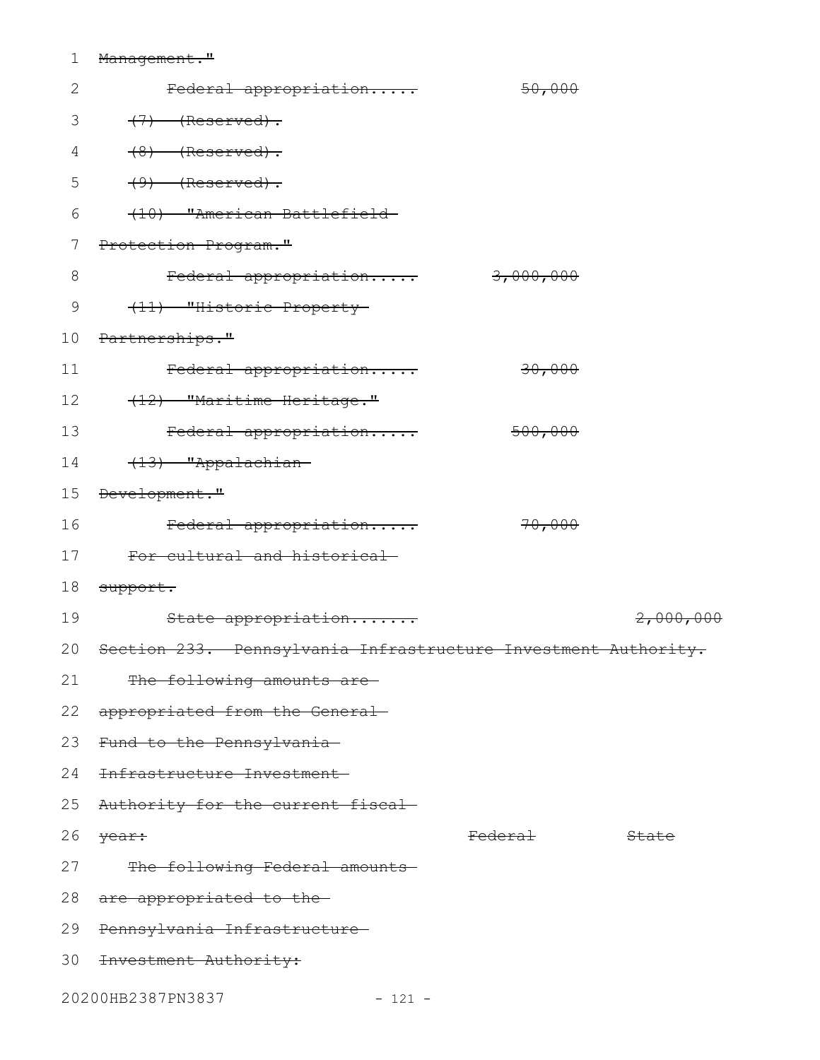## 1 Management."

| $\mathbf{2}$   | Federal appropriation                                                        | 50,000             |           |
|----------------|------------------------------------------------------------------------------|--------------------|-----------|
| 3              | $(7)$ (Reserved).                                                            |                    |           |
| 4              | $(8)$ (Reserved).                                                            |                    |           |
| 5              | $(9)$ (Reserved).                                                            |                    |           |
| 6              | (10) "American Battlefield-                                                  |                    |           |
| $\overline{7}$ | Protection Program."                                                         |                    |           |
| $8\,$          | Federal appropriation 3,000,000                                              |                    |           |
| $\mathsf 9$    | (11) "Historic Property-                                                     |                    |           |
| 10             | Partnerships."                                                               |                    |           |
| 11             | Federal appropriation                                                        | 30,000             |           |
| 12             | (12) "Maritime Heritage."                                                    |                    |           |
| 13             | Federal appropriation                                                        | <del>500,000</del> |           |
| 14             | (13) "Appalachian-                                                           |                    |           |
|                | 15 Development."                                                             |                    |           |
| 16             | Federal appropriation                                                        | 70,000             |           |
|                | 17 For cultural and historical-                                              |                    |           |
|                | 18 <del>support.</del>                                                       |                    |           |
| 19             | State appropriation                                                          |                    | 2,000,000 |
|                | 20 <del>Section 233. Pennsylvania Infrastructure Investment Authority.</del> |                    |           |
| 21             | The following amounts are-                                                   |                    |           |
| 22             | appropriated from the General-                                               |                    |           |
|                | 23 Fund to the Pennsylvania-                                                 |                    |           |
| 24             | Infrastructure Investment                                                    |                    |           |
| 25             | Authority for the current fiscal-                                            |                    |           |
| 26             | year:                                                                        | <del>Federal</del> | State     |
| 27             | The following Federal amounts                                                |                    |           |
|                | 28 are appropriated to the                                                   |                    |           |
| 29             | Pennsylvania Infrastructure                                                  |                    |           |
| 30             | Investment Authority:                                                        |                    |           |
|                |                                                                              |                    |           |

20200HB2387PN3837 - 121 -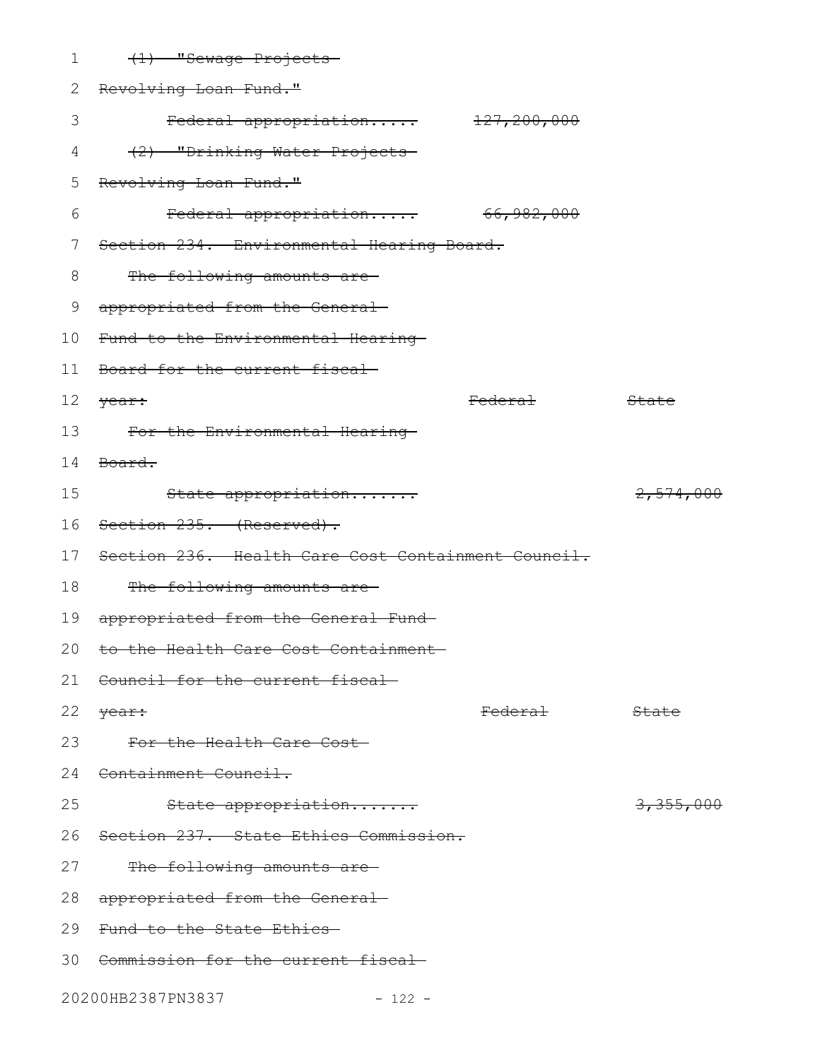| 1  | (1) "Sewage Projects-                              |                    |                  |
|----|----------------------------------------------------|--------------------|------------------|
| 2  | Revolving Loan Fund."                              |                    |                  |
| 3  | Federal appropriation 127,200,000                  |                    |                  |
| 4  | (2) "Drinking Water Projects-                      |                    |                  |
| 5  | Revolving Loan Fund."                              |                    |                  |
| 6  | Federal appropriation 66,982,000                   |                    |                  |
| 7  | Section 234. Environmental Hearing Board.          |                    |                  |
| 8  | The following amounts are-                         |                    |                  |
| 9  | appropriated from the General-                     |                    |                  |
| 10 | Fund to the Environmental Hearing-                 |                    |                  |
| 11 | Board for the current fiscal-                      |                    |                  |
| 12 | <del>year:</del>                                   | <del>Federal</del> | State            |
| 13 | For the Environmental Hearing                      |                    |                  |
| 14 | <del>Board.</del>                                  |                    |                  |
| 15 | State appropriation                                |                    | 2,574,000        |
| 16 | <del>Section 235. (Reserved).</del>                |                    |                  |
| 17 | Section 236. Health Care Cost Containment Council. |                    |                  |
| 18 | The following amounts are-                         |                    |                  |
| 19 | appropriated from the General Fund-                |                    |                  |
|    | 20 to the Health Care Cost Containment-            |                    |                  |
| 21 | Council for the current fiscal                     |                    |                  |
| 22 | <del>year:</del>                                   | <del>Federal</del> | <del>State</del> |
| 23 | For the Health Care Cost                           |                    |                  |
|    | 24 Containment Council.                            |                    |                  |
| 25 | State appropriation                                |                    | 3,355,000        |
| 26 | Section 237. State Ethics Commission.              |                    |                  |
| 27 | The following amounts are-                         |                    |                  |
| 28 | appropriated from the General-                     |                    |                  |
|    | 29 Fund to the State Ethics-                       |                    |                  |
|    | 30 Commission for the current fiscal-              |                    |                  |
|    | 20200HB2387PN3837<br>$-122 -$                      |                    |                  |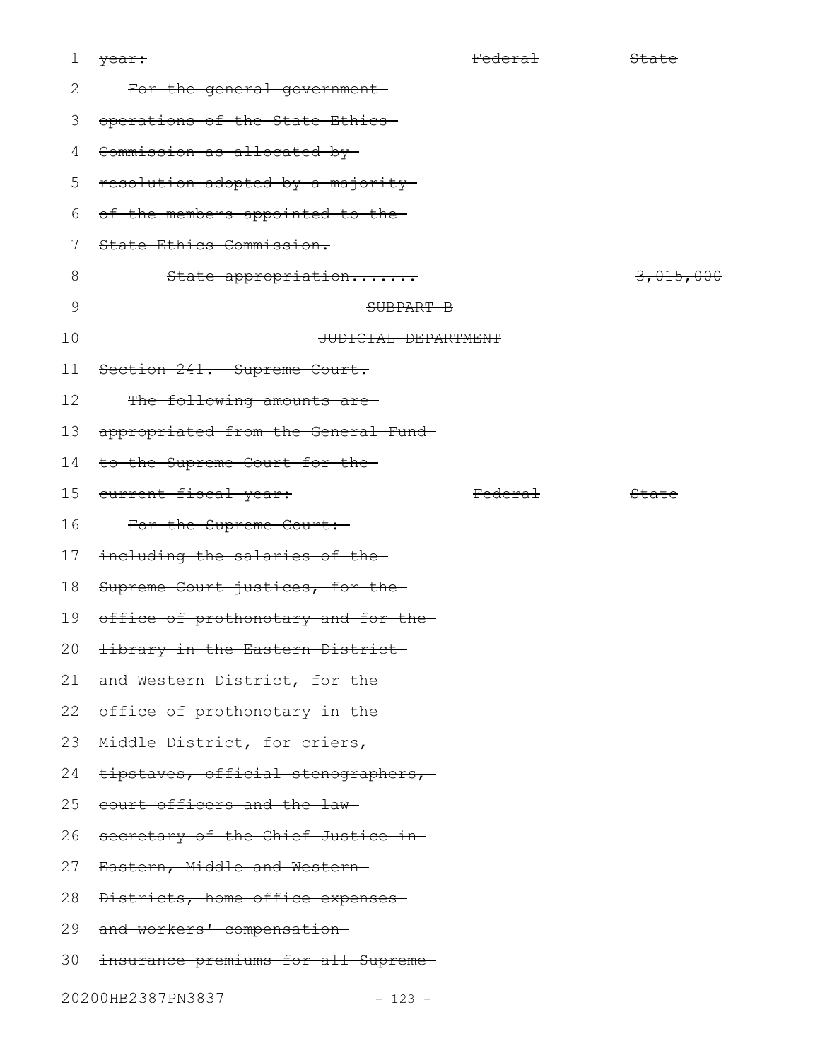| 1  | <del>year:</del>                              | Federal            | State     |
|----|-----------------------------------------------|--------------------|-----------|
| 2  | For the general government-                   |                    |           |
| 3  | operations of the State Ethics                |                    |           |
| 4  | Commission as allocated by                    |                    |           |
| 5  | resolution adopted by a majority              |                    |           |
| 6  | of the members appointed to the-              |                    |           |
| 7  | State Ethics Commission.                      |                    |           |
| 8  | State appropriation                           |                    | 3,015,000 |
| 9  | SUBPART B                                     |                    |           |
| 10 | JUDICIAL DEPARTMENT                           |                    |           |
| 11 | Section 241. Supreme Court.                   |                    |           |
| 12 | The following amounts are-                    |                    |           |
| 13 | appropriated from the General Fund-           |                    |           |
| 14 | to the Supreme Court for the-                 |                    |           |
| 15 | current fiscal year:                          | <del>Federal</del> | State     |
| 16 | For the Supreme Court:-                       |                    |           |
| 17 | including the salaries of the-                |                    |           |
| 18 | Supreme Court justices, for the-              |                    |           |
| 19 | office of prothonotary and for the-           |                    |           |
|    | 20 <del>library in the Eastern District</del> |                    |           |
| 21 | and Western District, for the-                |                    |           |
| 22 | office of prothonotary in the-                |                    |           |
| 23 | Middle District, for criers,                  |                    |           |
| 24 | tipstaves, official stenographers,            |                    |           |
| 25 | court officers and the law-                   |                    |           |
| 26 | secretary of the Chief Justice in-            |                    |           |
| 27 | Eastern, Middle and Western-                  |                    |           |
| 28 | Districts, home office expenses               |                    |           |
| 29 | and workers' compensation-                    |                    |           |
| 30 | insurance premiums for all Supreme-           |                    |           |
|    | 20200HB2387PN3837<br>$-123 -$                 |                    |           |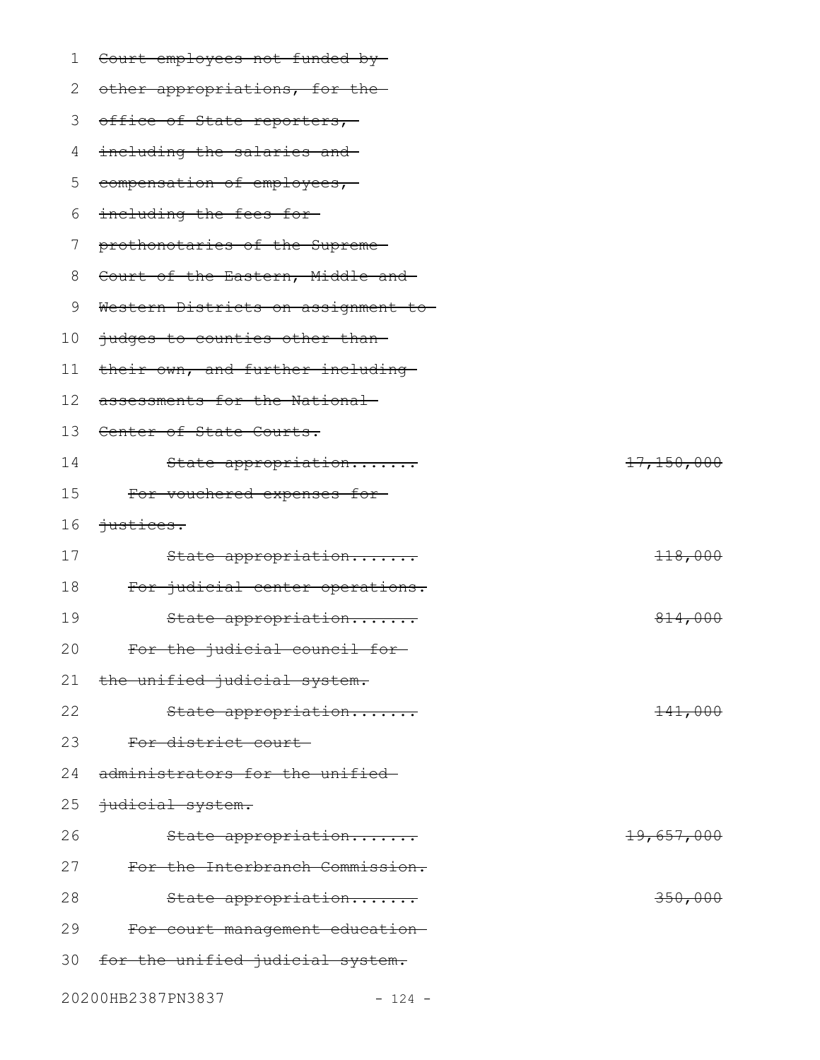| 1  | Court employees not funded by-     |            |
|----|------------------------------------|------------|
| 2  | other appropriations, for the-     |            |
| 3  | office of State reporters,         |            |
| 4  | including the salaries and         |            |
| 5  | compensation of employees,         |            |
| 6  | including the fees for-            |            |
| 7  | prothonotaries of the Supreme-     |            |
| 8  | Court of the Eastern, Middle and-  |            |
| 9  | Western Districts on assignment to |            |
| 10 | judges to counties other than-     |            |
| 11 | their own, and further including   |            |
| 12 | assessments for the National-      |            |
| 13 | Center of State Courts.            |            |
| 14 | State appropriation                | 17,150,000 |
| 15 | For vouchered expenses for-        |            |
| 16 | $justices.$                        |            |
| 17 | State appropriation                | 118,000    |
| 18 | For judicial center operations.    |            |
| 19 | State appropriation                | 814,000    |
| 20 | For the judicial council for-      |            |
| 21 | the unified judicial system.       |            |
| 22 | State appropriation                | $+41,000$  |
| 23 | For district court-                |            |
| 24 | administrators for the unified-    |            |
| 25 | judicial system.                   |            |
| 26 | State appropriation                | 19,657,000 |
| 27 | For the Interbranch Commission.    |            |
| 28 | State appropriation                | 350,000    |
| 29 | For court management education-    |            |
| 30 | for the unified judicial system.   |            |
|    | 20200HB2387PN3837<br>$-124 -$      |            |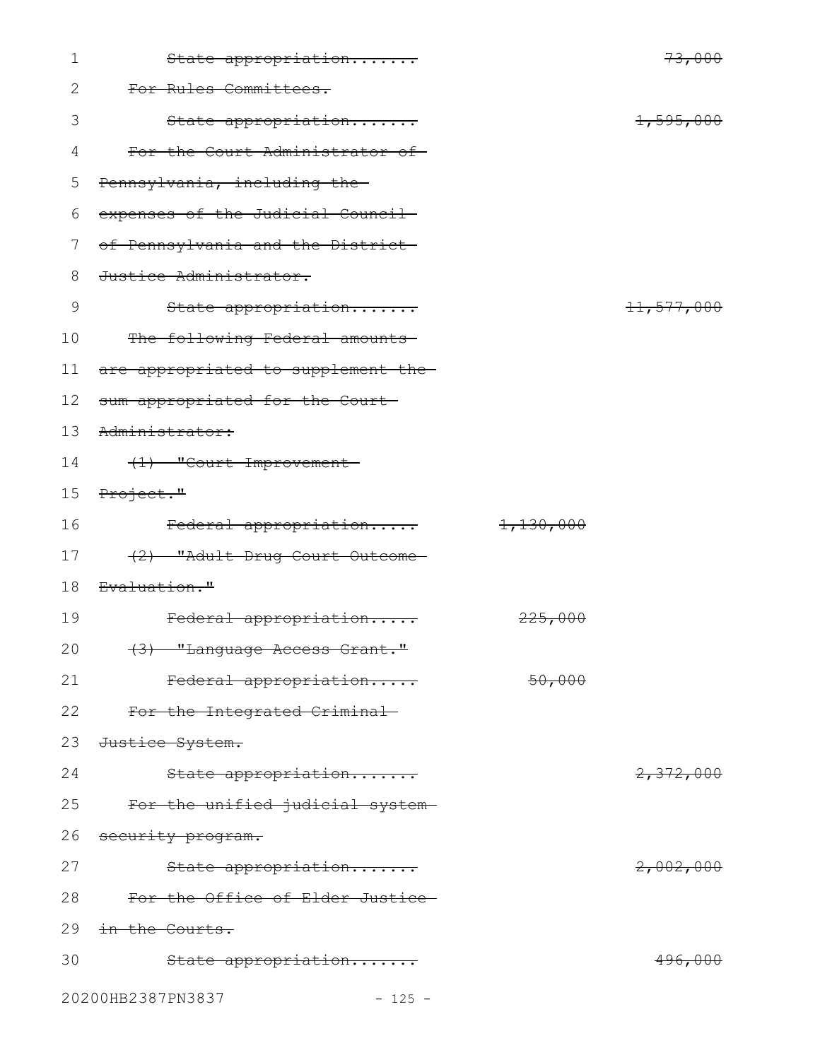| $\mathbf 1$ | State appropriation                     |           | 73,000             |
|-------------|-----------------------------------------|-----------|--------------------|
| 2           | For Rules Committees.                   |           |                    |
| 3           | State appropriation                     |           | 1,595,000          |
| 4           | For the Court Administrator of-         |           |                    |
| 5           | Pennsylvania, including the-            |           |                    |
| 6           | expenses of the Judicial Council        |           |                    |
| 7           | of Pennsylvania and the District-       |           |                    |
| 8           | Justice Administrator.                  |           |                    |
| 9           | State appropriation                     |           | 11,577,000         |
| 10          | The following Federal amounts           |           |                    |
| 11          | are appropriated to supplement the-     |           |                    |
| 12          | sum appropriated for the Court-         |           |                    |
| 13          | Administrator:                          |           |                    |
| 14          | (1) "Court Improvement                  |           |                    |
| 15          | Project."                               |           |                    |
| 16          | Federal appropriation                   | 1,130,000 |                    |
| 17          | (2) "Adult Drug Court Outcome-          |           |                    |
| 18          | <del>Evaluation."</del>                 |           |                    |
| 19          | Federal appropriation                   | 225,000   |                    |
| 20          | <del>(3) "Language Access Grant."</del> |           |                    |
| 21          | Federal appropriation                   | 50,000    |                    |
| 22          | For the Integrated Criminal-            |           |                    |
| 23          | Justice System.                         |           |                    |
| 24          | State appropriation                     |           | 2,372,000          |
| 25          | For the unified judicial system-        |           |                    |
| 26          | security program.                       |           |                    |
| 27          | State appropriation                     |           | 2,002,000          |
| 28          | For the Office of Elder Justice-        |           |                    |
| 29          | in the Courts.                          |           |                    |
| 30          | State appropriation                     |           | <del>496,000</del> |
|             | 20200HB2387PN3837<br>$-125 -$           |           |                    |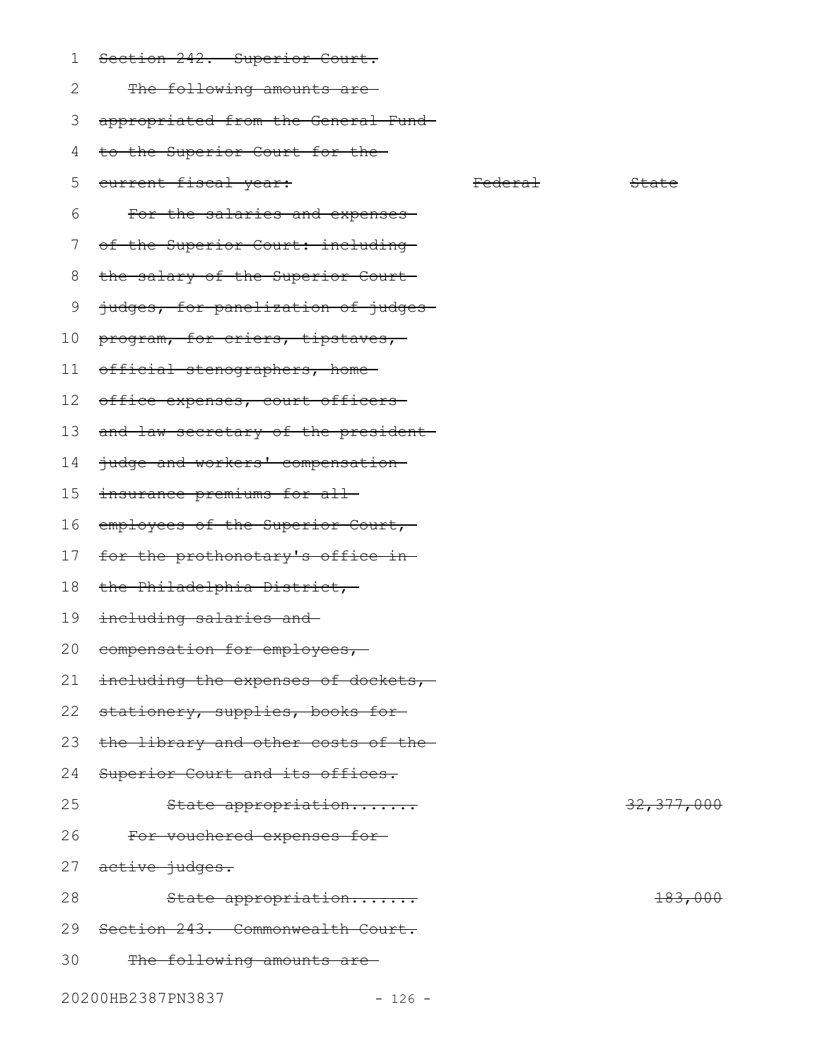- Section 242. Superior Court. 1
- The following amounts are 2

appropriated from the General Fund 3

- to the Superior Court for the 4
- current fiscal year: Tederal State State State 5
- For the salaries and expenses 6
- of the Superior Court: including-7
- the salary of the Superior Court 8
- judges, for panelization of judges 9
- program, for criers, tipstaves, 10
- official stenographers, home 11
- office expenses, court officers-12
- 13 and law secretary of the president
- judge and workers' compensation 14
- insurance premiums for all 15
- employees of the Superior Court, 16
- for the prothonotary's office in 17
- the Philadelphia District, 18
- 19 <del>including salaries and</del>
- 20 compensation for employees,
- including the expenses of dockets, 21
- 22 stationery, supplies, books for
- the library and other costs of the 23
- Superior Court and its offices. 24
- State appropriation....... 32,377,000 For vouchered expenses for 25 26
- active judges. 27
- State appropriation....... 183,000 Section 243. Commonwealth Court. 28 29
- The following amounts are 30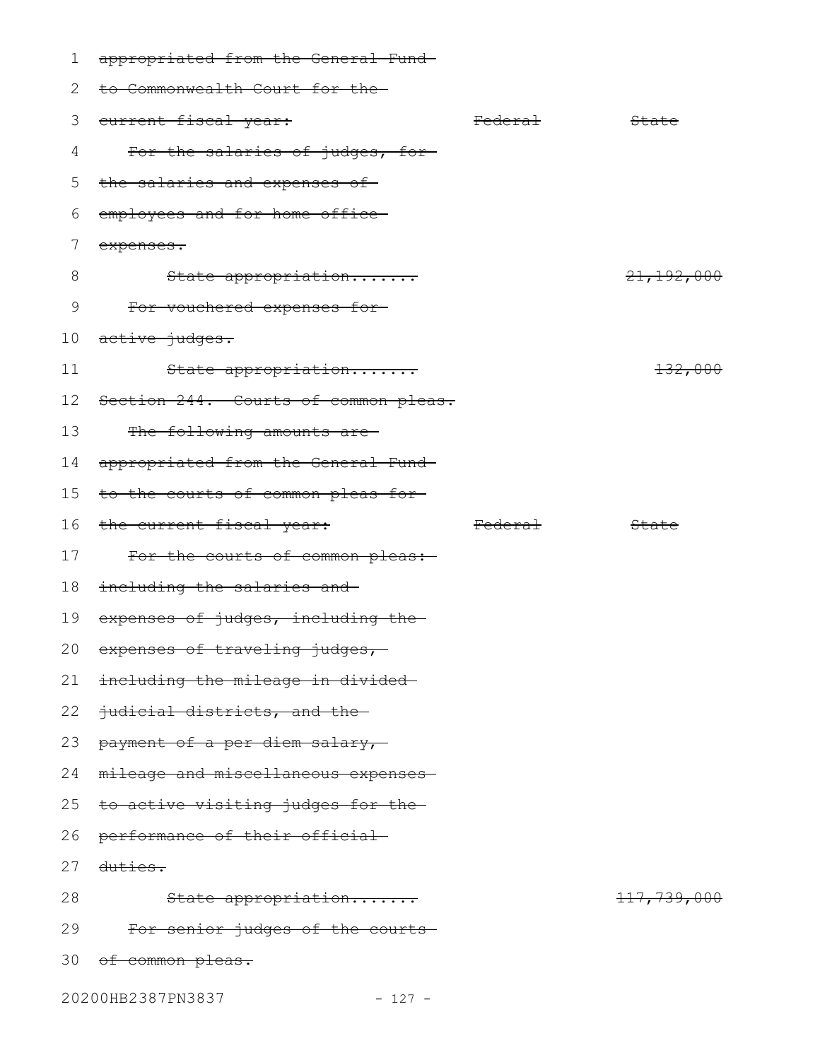| 1  | appropriated from the General Fund-  |                    |                        |
|----|--------------------------------------|--------------------|------------------------|
| 2  | to Commonwealth Court for the-       |                    |                        |
| 3  | eurrent fiscal year:                 | <del>Federal</del> | State                  |
| 4  | For the salaries of judges, for-     |                    |                        |
| 5  | the salaries and expenses of-        |                    |                        |
| 6  | employees and for home office-       |                    |                        |
| 7  | expenses.                            |                    |                        |
| 8  | State appropriation                  |                    | 21, 192, 000           |
| 9  | For vouchered expenses for-          |                    |                        |
| 10 | active judges.                       |                    |                        |
| 11 | State appropriation                  |                    | 132,000                |
| 12 | Section 244. Courts of common pleas. |                    |                        |
| 13 | The following amounts are-           |                    |                        |
| 14 | appropriated from the General Fund-  |                    |                        |
| 15 | to the courts of common pleas for-   |                    |                        |
| 16 | the current fiscal year:             | Federal            | State                  |
| 17 | For the courts of common pleas:-     |                    |                        |
| 18 | including the salaries and           |                    |                        |
| 19 | expenses of judges, including the-   |                    |                        |
|    | 20 expenses of traveling judges,     |                    |                        |
| 21 | including the mileage in divided-    |                    |                        |
| 22 | judicial districts, and the-         |                    |                        |
| 23 | payment of a per diem salary,        |                    |                        |
| 24 | mileage and miscellaneous expenses-  |                    |                        |
| 25 | to active visiting judges for the-   |                    |                        |
| 26 | performance of their official        |                    |                        |
| 27 | <del>duties.</del>                   |                    |                        |
| 28 | State appropriation                  |                    | <del>117,739,000</del> |
| 29 | For senior judges of the courts-     |                    |                        |
|    | 30 of common pleas.                  |                    |                        |
|    | 20200HB2387PN3837<br>$-127 -$        |                    |                        |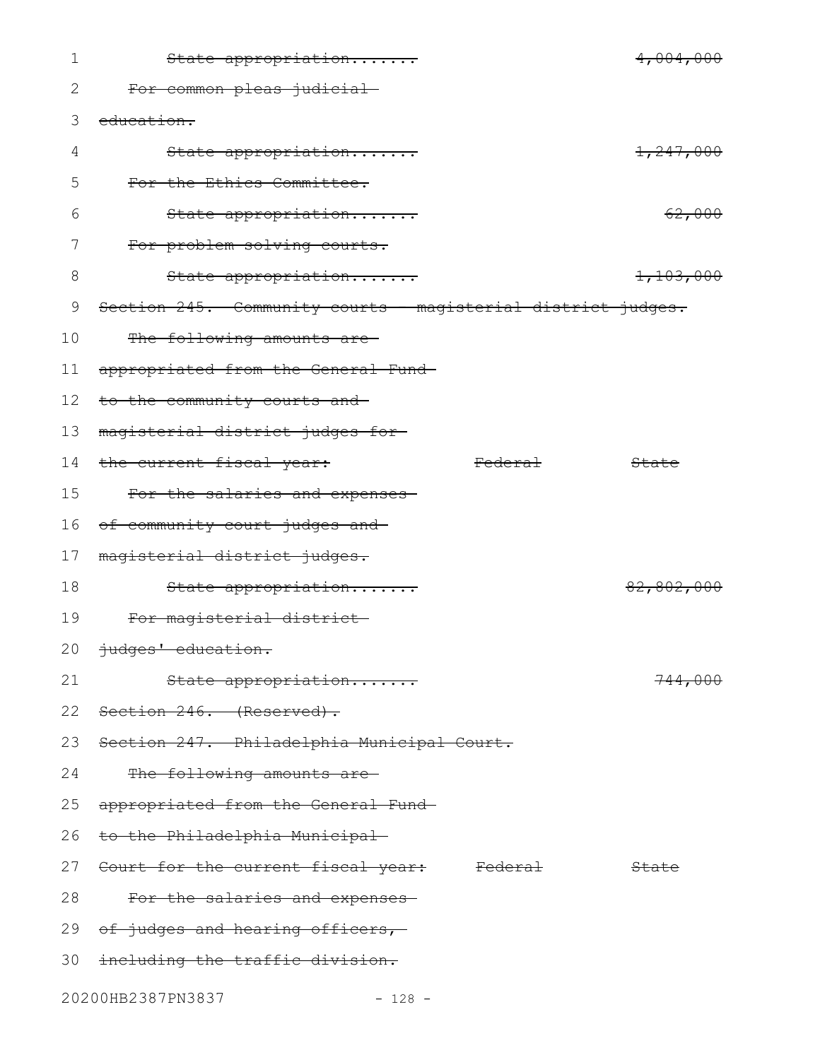| 1  | State appropriation                                          |                | 4,004,000          |
|----|--------------------------------------------------------------|----------------|--------------------|
| 2  | For common pleas judicial-                                   |                |                    |
| 3  | education.                                                   |                |                    |
| 4  | State appropriation                                          |                | 1,247,000          |
| 5  | For the Ethics Committee.                                    |                |                    |
| 6  | State appropriation                                          |                | 62,000             |
| 7  | For problem solving courts.                                  |                |                    |
| 8  | State appropriation                                          |                | 1,103,000          |
| 9  | Section 245. Community courts - magisterial district judges. |                |                    |
| 10 | The following amounts are-                                   |                |                    |
| 11 | appropriated from the General Fund-                          |                |                    |
| 12 | to the community courts and-                                 |                |                    |
| 13 | magisterial district judges for-                             |                |                    |
| 14 | the current fiscal year:                                     | <b>Federal</b> | State              |
| 15 | For the salaries and expenses-                               |                |                    |
| 16 | of community court judges and                                |                |                    |
| 17 | magisterial district judges.                                 |                |                    |
| 18 | State appropriation                                          |                | 82,802,000         |
| 19 | For magisterial district                                     |                |                    |
|    | 20 judges' education.                                        |                |                    |
| 21 | State appropriation                                          |                | <del>744,000</del> |
|    | 22 Section 246. (Reserved).                                  |                |                    |
| 23 | Section 247. Philadelphia Municipal Court.                   |                |                    |
| 24 | The following amounts are-                                   |                |                    |
| 25 | appropriated from the General Fund-                          |                |                    |
| 26 | <del>to the Philadelphia Municipal</del>                     |                |                    |
|    | 27 Court for the current fiscal year: Federal                |                | State              |
| 28 | For the salaries and expenses                                |                |                    |
|    | 29 of judges and hearing officers,                           |                |                    |
|    | 30 including the traffic division.                           |                |                    |
|    | 20200HB2387PN3837<br>$-128 -$                                |                |                    |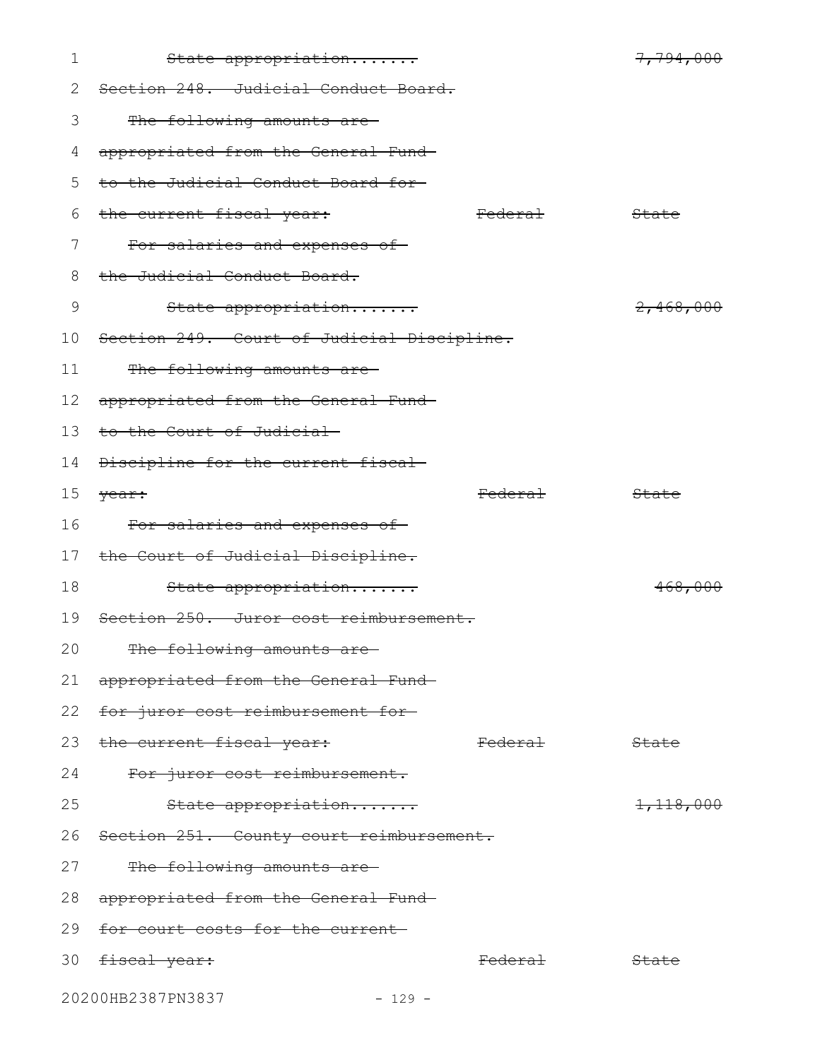| 1  | State appropriation                        |                    | 7,794,000 |
|----|--------------------------------------------|--------------------|-----------|
| 2  | Section 248. Judicial Conduct Board.       |                    |           |
| 3  | The following amounts are-                 |                    |           |
| 4  | appropriated from the General Fund-        |                    |           |
| 5  | to the Judicial Conduct Board for-         |                    |           |
| 6  | the current fiscal year:                   | <del>Federal</del> | State     |
| 7  | For salaries and expenses of               |                    |           |
| 8  | the Judicial Conduct Board.                |                    |           |
| 9  | State appropriation                        |                    | 2,468,000 |
| 10 | Section 249. Court of Judicial Discipline. |                    |           |
| 11 | The following amounts are                  |                    |           |
| 12 | appropriated from the General Fund-        |                    |           |
| 13 | to the Court of Judicial                   |                    |           |
| 14 | Discipline for the current fiscal-         |                    |           |
| 15 | year:                                      | <del>Federal</del> | State     |
| 16 | For salaries and expenses of               |                    |           |
| 17 | the Court of Judicial Discipline.          |                    |           |
| 18 | State appropriation                        |                    | 468,000   |
| 19 | Section 250. Juror cost reimbursement.     |                    |           |
| 20 | The following amounts are-                 |                    |           |
| 21 | appropriated from the General Fund-        |                    |           |
| 22 | for juror cost reimbursement for-          |                    |           |
| 23 | the current fiscal year:                   | <del>Federal</del> | State     |
| 24 | For juror cost reimbursement.              |                    |           |
| 25 | State appropriation                        |                    | 1,118,000 |
| 26 | Section 251. County court reimbursement.   |                    |           |
| 27 | The following amounts are-                 |                    |           |
| 28 | appropriated from the General Fund-        |                    |           |
| 29 | for court costs for the current            |                    |           |
| 30 | <del>fiscal year:</del>                    | <del>Federal</del> | State     |
|    | 20200HB2387PN3837<br>$-129 -$              |                    |           |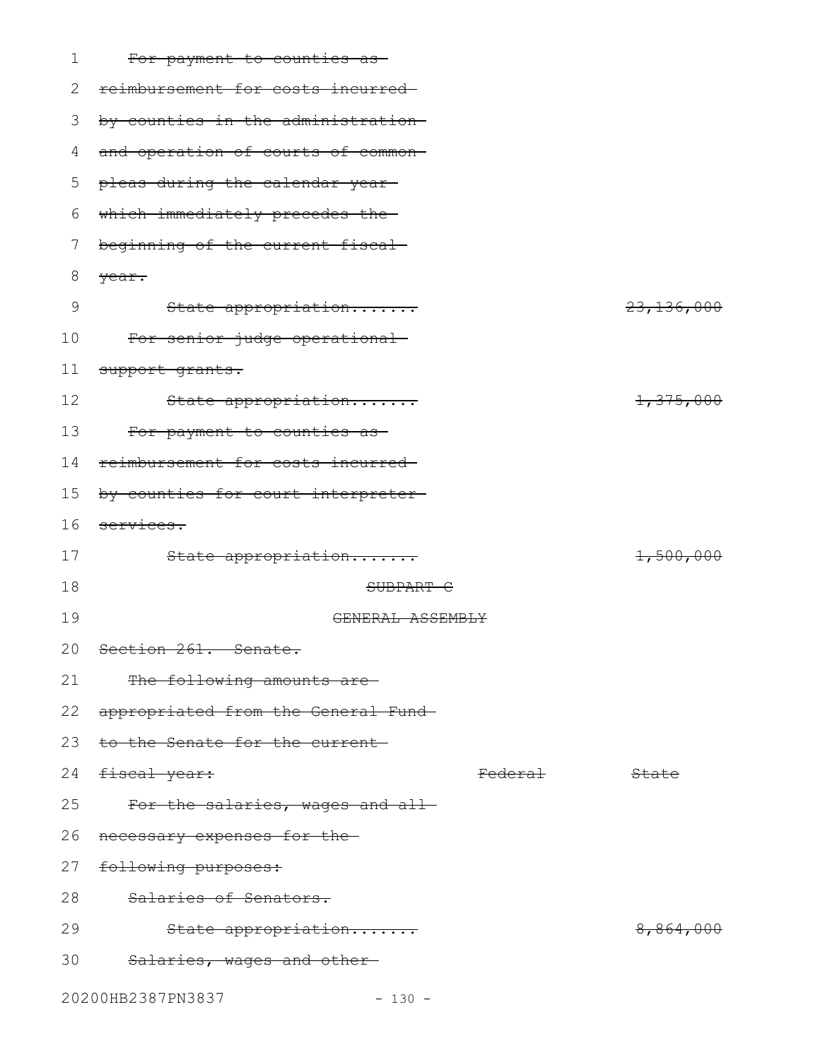| 1  | For payment to counties as-         |                    |                       |
|----|-------------------------------------|--------------------|-----------------------|
| 2  | reimbursement for costs incurred-   |                    |                       |
| 3  | by counties in the administration-  |                    |                       |
| 4  | and operation of courts of common-  |                    |                       |
| 5  | pleas during the calendar year-     |                    |                       |
| 6  | which immediately precedes the-     |                    |                       |
| 7  | beginning of the current fiscal     |                    |                       |
| 8  | year.                               |                    |                       |
| 9  | State appropriation                 |                    | <del>23,136,000</del> |
| 10 | For senior judge operational        |                    |                       |
| 11 | support grants.                     |                    |                       |
| 12 | State appropriation                 |                    | 1,375,000             |
| 13 | For payment to counties as-         |                    |                       |
| 14 | reimbursement for costs incurred-   |                    |                       |
| 15 | by counties for court interpreter-  |                    |                       |
| 16 | services.                           |                    |                       |
| 17 | State appropriation                 |                    | 1,500,000             |
| 18 | SUBPART C                           |                    |                       |
| 19 | GENERAL ASSEMBLY                    |                    |                       |
| 20 | Section 261. Senate.                |                    |                       |
| 21 | The following amounts are-          |                    |                       |
| 22 | appropriated from the General Fund- |                    |                       |
| 23 | to the Senate for the current-      |                    |                       |
| 24 | <del>fiscal year:</del>             | <del>Federal</del> | State                 |
| 25 | For the salaries, wages and all-    |                    |                       |
| 26 | necessary expenses for the-         |                    |                       |
| 27 | following purposes:                 |                    |                       |
| 28 | Salaries of Senators.               |                    |                       |
| 29 | State appropriation                 |                    | <del>8,864,000</del>  |
| 30 | Salaries, wages and other-          |                    |                       |
|    | 20200HB2387PN3837<br>$-130 -$       |                    |                       |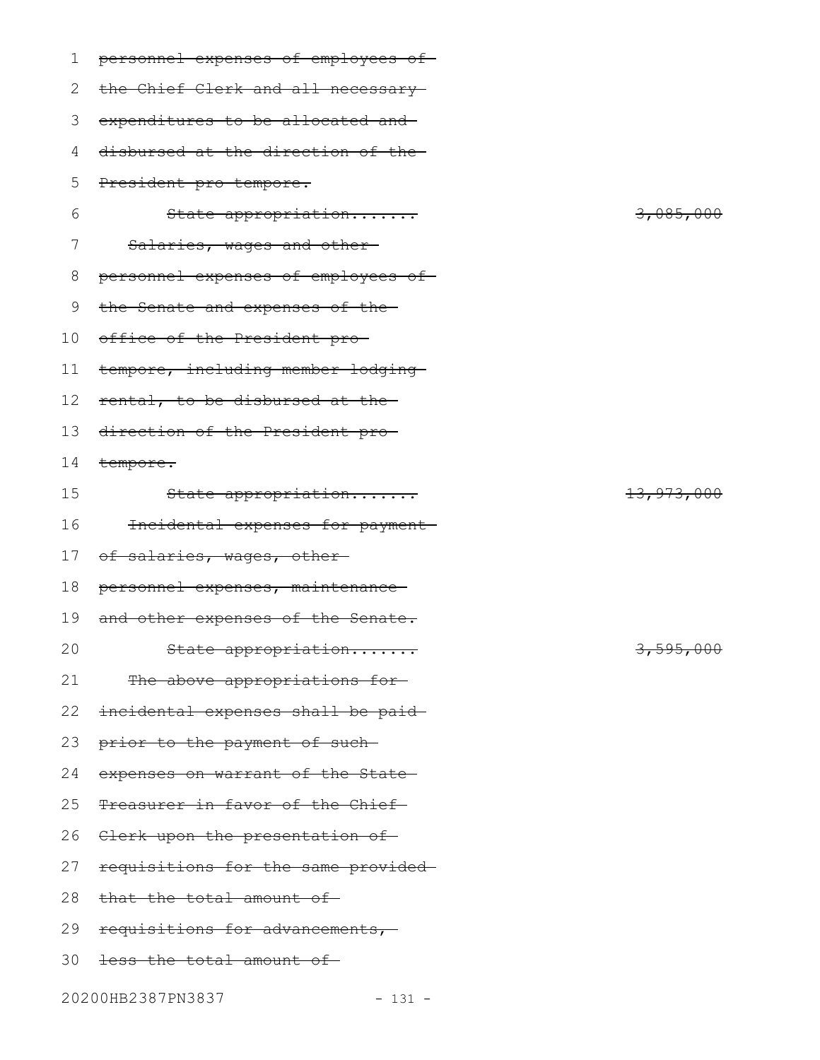| 1  | personnel expenses of employees of- |            |
|----|-------------------------------------|------------|
| 2  | the Chief Clerk and all necessary-  |            |
| 3  | expenditures to be allocated and-   |            |
| 4  | disbursed at the direction of the-  |            |
| 5  | President pro tempore.              |            |
| 6  | State appropriation                 | 3,085,000  |
| 7  | Salaries, wages and other-          |            |
| 8  | personnel expenses of employees of- |            |
| 9  | the Senate and expenses of the-     |            |
| 10 | office of the President pro-        |            |
| 11 | tempore, including member lodging-  |            |
| 12 | rental, to be disbursed at the-     |            |
| 13 | direction of the President pro-     |            |
| 14 | tempore.                            |            |
| 15 | State appropriation                 | 13,973,000 |
| 16 | Incidental expenses for payment-    |            |
| 17 | of salaries, wages, other-          |            |
| 18 | personnel expenses, maintenance-    |            |
| 19 | and other expenses of the Senate.   |            |
| 20 | State appropriation                 | 3,595,000  |
| 21 | The above appropriations for-       |            |
| 22 | incidental expenses shall be paid-  |            |
| 23 | prior to the payment of such-       |            |
| 24 | expenses on warrant of the State-   |            |
| 25 | Treasurer in favor of the Chief     |            |
| 26 | Clerk upon the presentation of-     |            |
| 27 | requisitions for the same provided- |            |
| 28 | that the total amount of-           |            |
| 29 | requisitions for advancements,-     |            |
| 30 | <del>less the total amount of</del> |            |
|    | 20200HB2387PN3837<br>$-131 -$       |            |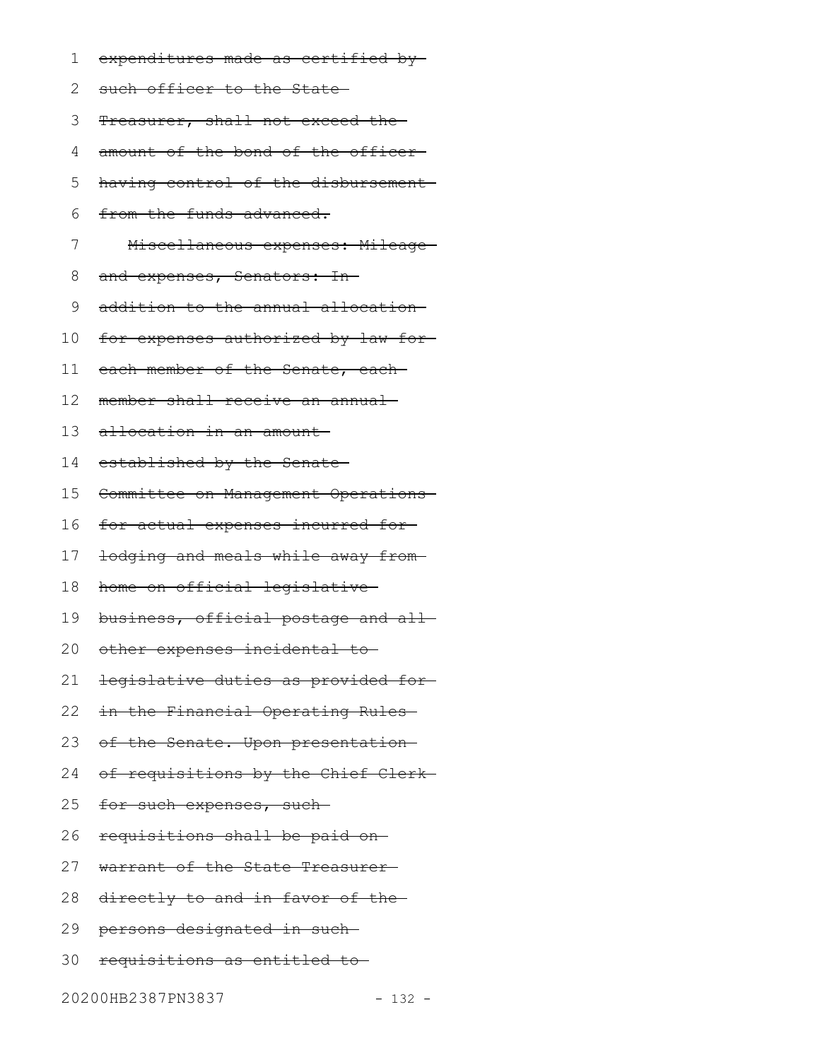- expenditures made as certified by 1
- 2 such officer to the State
- Treasurer, shall not exceed the 3
- amount of the bond of the officer-4
- having control of the disbursement 5
- from the funds advanced. 6
- Miscellaneous expenses: Mileage 7
- and expenses, Senators: In-8
- addition to the annual allocation 9
- for expenses authorized by law for 10
- each member of the Senate, each-11
- member shall receive an annual 12
- allocation in an amount 13
- established by the Senate 14
- Committee on Management Operations 15
- for actual expenses incurred for 16
- lodging and meals while away from 17
- home on official legislative 18
- business, official postage and all 19
- other expenses incidental to 20
- legislative duties as provided for 21
- in the Financial Operating Rules 22
- of the Senate. Upon presentation 23
- of requisitions by the Chief Clerk 24
- for such expenses, such-25
- requisitions shall be paid on 26
- warrant of the State Treasurer 27
- 28 directly to and in favor of the
- 29 <del>persons designated in such</del>
- 30 requisitions as entitled to

20200HB2387PN3837 - 132 -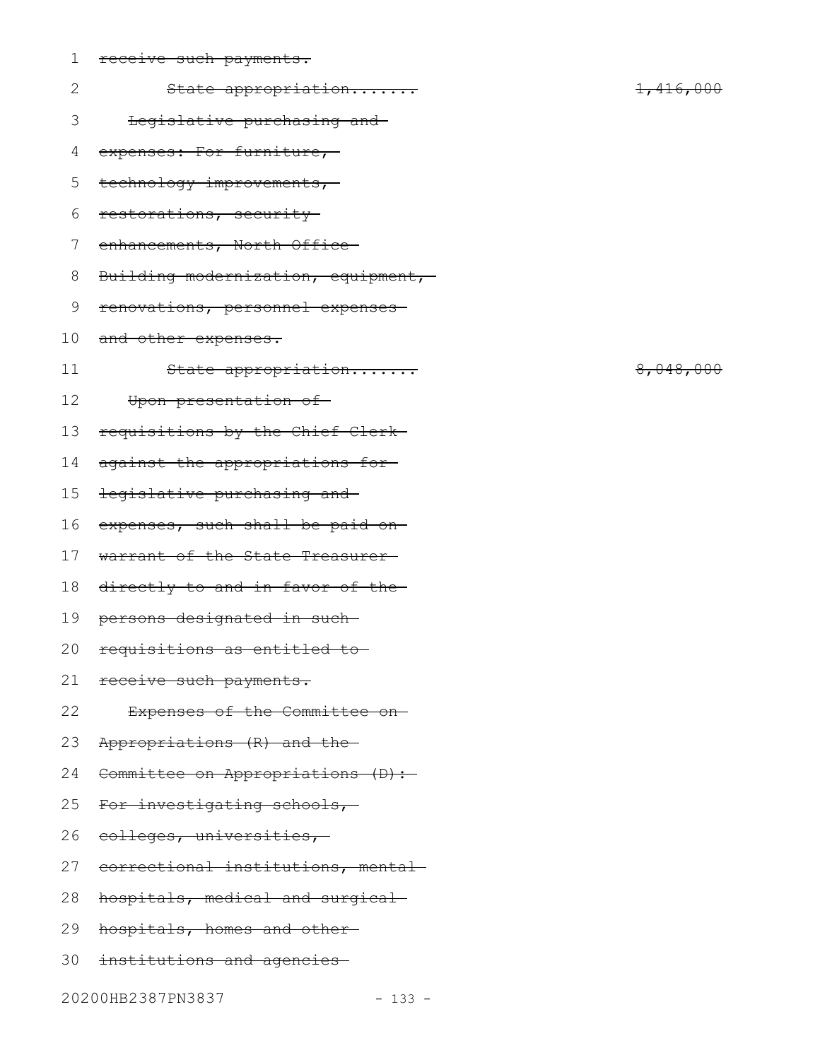| $\mathbf 1$  | receive such payments.             |                      |  |
|--------------|------------------------------------|----------------------|--|
| $\mathbf{2}$ | State appropriation                | <del>1,416,000</del> |  |
| 3            | Legislative purchasing and-        |                      |  |
| 4            | expenses: For furniture,           |                      |  |
| 5            | technology improvements,           |                      |  |
| 6            | restorations, security             |                      |  |
| 7            | enhancements, North Office         |                      |  |
| 8            | Building modernization, equipment, |                      |  |
| $\mathsf 9$  | renovations, personnel expenses    |                      |  |
| 10           | and other expenses.                |                      |  |
| 11           | State appropriation                | 8,048,000            |  |
| 12           | Upon presentation of-              |                      |  |
| 13           | requisitions by the Chief Clerk-   |                      |  |
| 14           | against the appropriations for-    |                      |  |
| 15           | legislative purchasing and         |                      |  |
| 16           | expenses, such shall be paid on-   |                      |  |
| 17           | warrant of the State Treasurer-    |                      |  |
| 18           | directly to and in favor of the    |                      |  |
| 19           | persons designated in such-        |                      |  |
| 20           | requisitions as entitled to-       |                      |  |
| 21           | receive such payments.             |                      |  |
| 22           | Expenses of the Committee on-      |                      |  |
| 23           | Appropriations (R) and the         |                      |  |
| 24           | Committee on Appropriations (D):   |                      |  |
| 25           | For investigating schools,         |                      |  |
| 26           | eolleges, universities,-           |                      |  |
| 27           | correctional institutions, mental- |                      |  |
| 28           | hospitals, medical and surgical    |                      |  |
| 29           | hospitals, homes and other-        |                      |  |
| 30           | institutions and agencies          |                      |  |

20200HB2387PN3837 - 133 -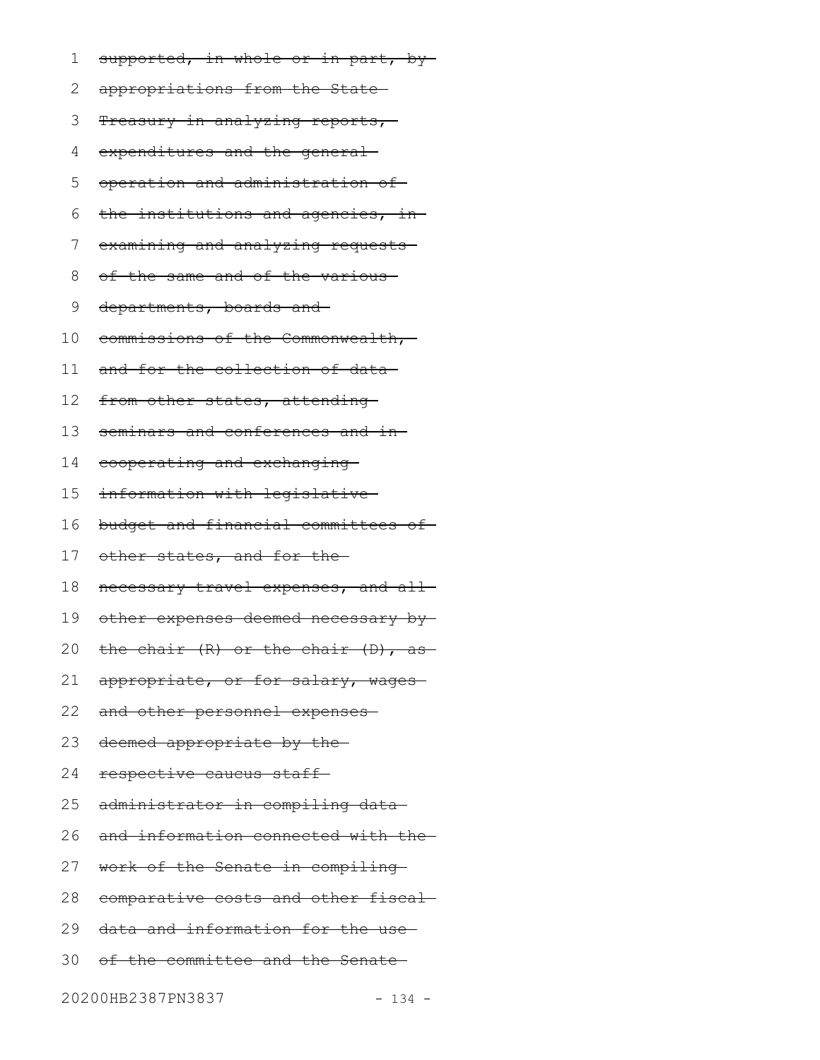- supported, in whole or in part, by-1
- appropriations from the State 2
- 3 Treasury in analyzing reports,
- expenditures and the general 4
- operation and administration of 5
- the institutions and agencies, in-6
- examining and analyzing requests-7
- of the same and of the various 8
- departments, boards and 9
- commissions of the Commonwealth, 10
- and for the collection of data 11
- from other states, attending-12
- seminars and conferences and in-13
- cooperating and exchanging 14
- information with legislative 15
- budget and financial committees of 16
- other states, and for the 17
- necessary travel expenses, and all-18
- other expenses deemed necessary by 19
- the chair (R) or the chair (D), as 20
- appropriate, or for salary, wages-21
- and other personnel expenses 22
- deemed appropriate by the 23
- respective caucus staff 24
- administrator in compiling data 25
- and information connected with the 26
- work of the Senate in compiling 27
- comparative costs and other fiscal 28
- data and information for the use 29
- of the committee and the Senate 30

20200HB2387PN3837 - 134 -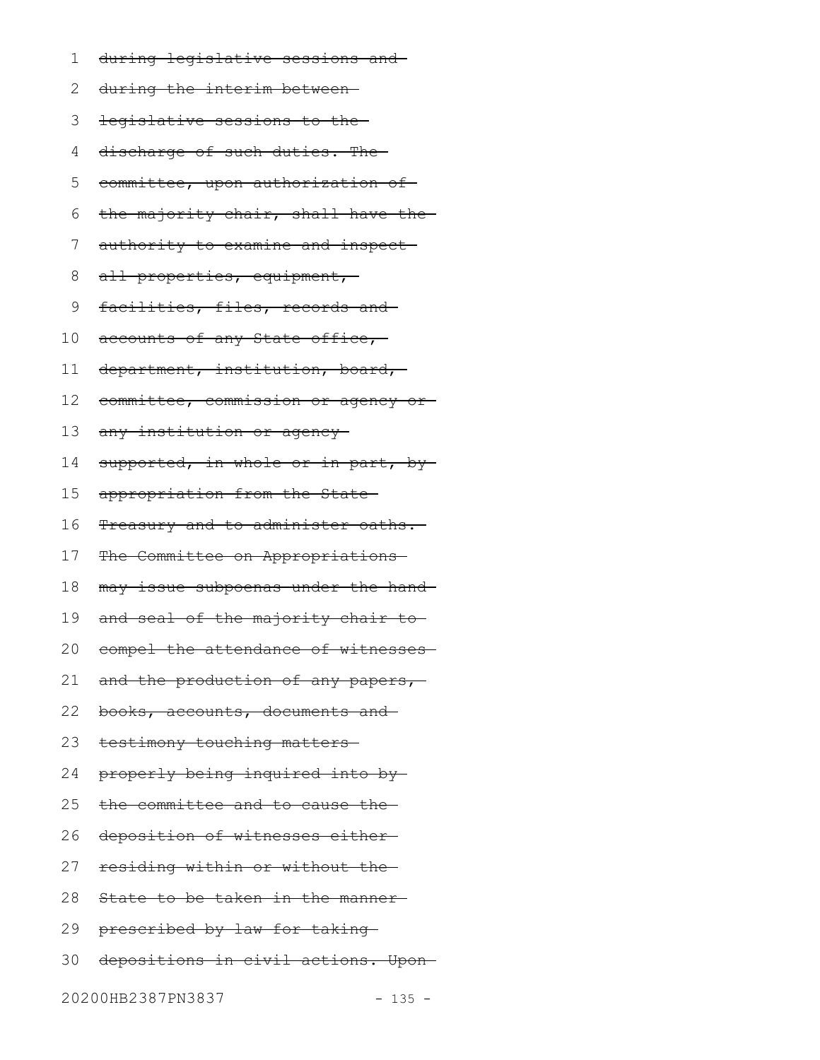- during legislative sessions and 1
- during the interim between 2
- legislative sessions to the 3
- discharge of such duties. The 4
- committee, upon authorization of 5
- the majority chair, shall have the 6
- authority to examine and inspect 7
- all properties, equipment, 8
- facilities, files, records and 9
- accounts of any State office, 10
- department, institution, board, 11
- committee, commission or agency or 12
- any institution or agency 13
- supported, in whole or in part, by-14
- appropriation from the State 15
- Treasury and to administer oaths. 16
- The Committee on Appropriations 17
- may issue subpoenas under the hand 18
- and seal of the majority chair to 19
- compel the attendance of witnesses 20
- and the production of any papers,-21
- books, accounts, documents and 22
- testimony touching matters 23
- properly being inquired into by 24
- the committee and to cause the 25
- deposition of witnesses either 26
- residing within or without the 27
- State to be taken in the manner-28
- 29 prescribed by law for taking
- depositions in civil actions. Upon 30
- 20200HB2387PN3837 135 -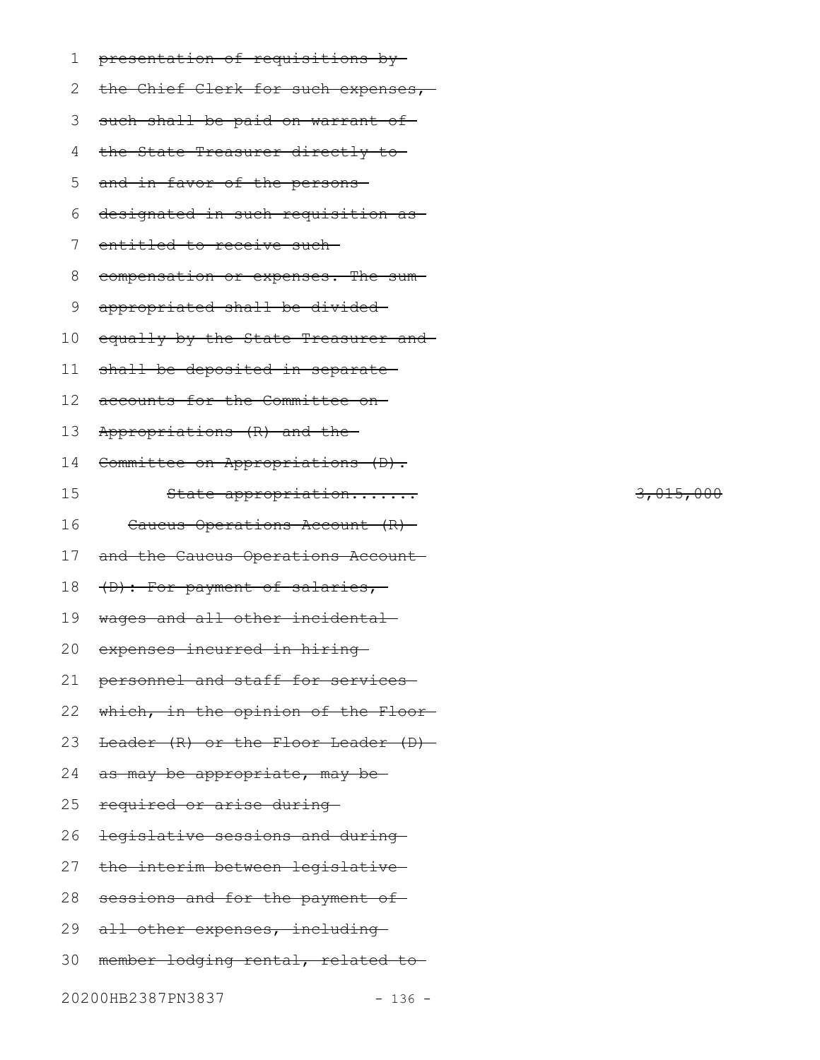| 1  | presentation of requisitions by     |
|----|-------------------------------------|
| 2  | the Chief Clerk for such expenses,  |
| 3  | such shall be paid on warrant of    |
| 4  | the State Treasurer directly to     |
| 5  | and in favor of the persons-        |
| 6  | designated in such requisition as   |
| 7  | entitled to receive such-           |
| 8  | compensation or expenses. The sum-  |
| 9  | appropriated shall be divided-      |
| 10 | equally by the State Treasurer and- |
| 11 | shall be deposited in separate-     |
| 12 | accounts for the Committee on-      |
| 13 | Appropriations (R) and the          |
| 14 | Committee on Appropriations (D).    |
| 15 | State appropriation                 |
| 16 | Caucus Operations Account (R)-      |
| 17 | and the Caucus Operations Account-  |
| 18 | (D): For payment of salaries,-      |
| 19 | wages and all other incidental-     |
|    | 20 expenses incurred in hiring      |
| 21 | personnel and staff for services    |
| 22 | which, in the opinion of the Floor- |
| 23 | Leader (R) or the Floor Leader (D)- |
| 24 | as may be appropriate, may be-      |
| 25 | required or arise during-           |
| 26 | legislative sessions and during     |
| 27 | the interim between legislative     |
| 28 | sessions and for the payment of     |
| 29 | all other expenses, including-      |
| 30 | member lodging rental, related to-  |
|    |                                     |

20200HB2387PN3837 - 136 -

3,015,000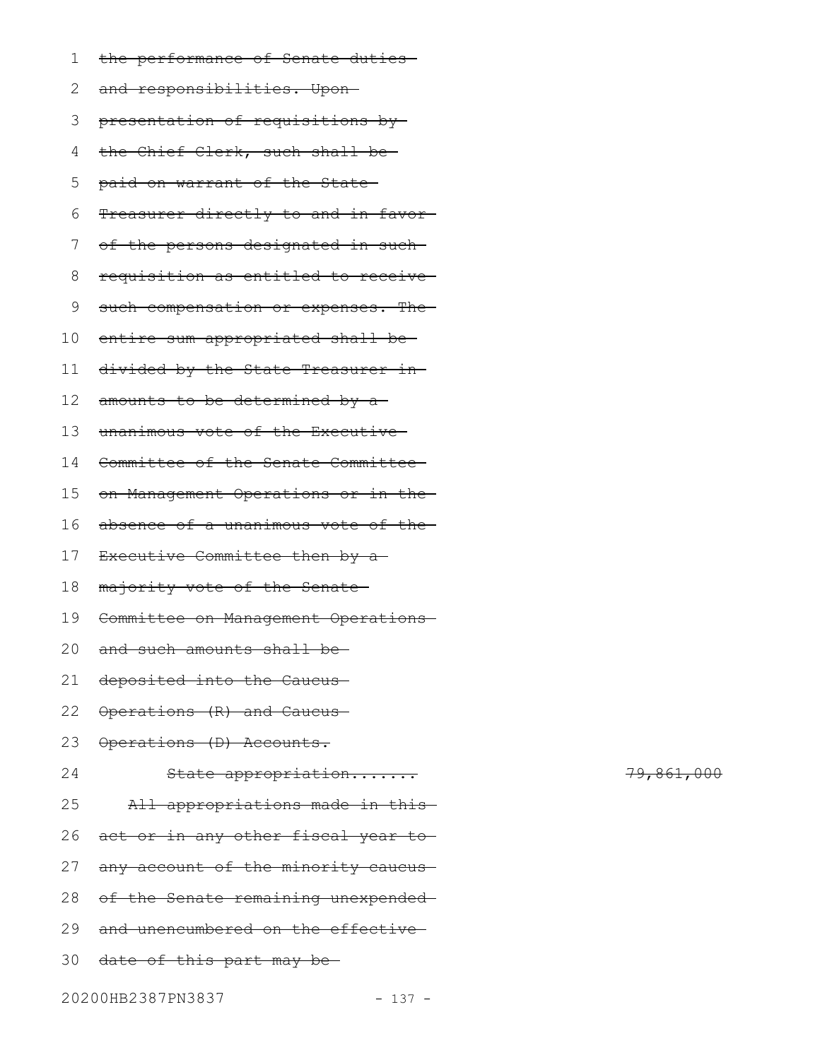| 1   | the performance of Senate duties-                |
|-----|--------------------------------------------------|
| 2   | and responsibilities. Upon-                      |
| 3   | presentation of requisitions by                  |
| 4   | the Chief Clerk, such shall be-                  |
| 5   | paid on warrant of the State-                    |
| 6   | Treasurer directly to and in favor-              |
| 7   | of the persons designated in such-               |
| 8   | requisition as entitled to receive-              |
| 9   | such compensation or expenses. The-              |
| 10  | entire sum appropriated shall be-                |
| 11  | divided by the State Treasurer in-               |
| 12  | amounts to be determined by a-                   |
| 13  | unanimous vote of the Executive-                 |
| 14  | Committee of the Senate Committee-               |
| 15  | on Management Operations or in the-              |
| 16  | absence of a unanimous vote of the-              |
| 17  | Executive Committee then by a-                   |
| 18  | majority vote of the Senate-                     |
| 19  | Committee on Management Operations-              |
| 20. | and such amounts shall be-                       |
|     | 21 <del>deposited into the Caucus</del>          |
|     | 22 <del>Operations (R) and Caucus</del>          |
| 23  | Operations (D) Accounts.                         |
| 24  | State appropriation                              |
| 25  | All appropriations made in this-                 |
| 26  | act or in any other fiscal year to-              |
| 27  | any account of the minority caucus-              |
| 28  | of the Senate remaining unexpended-              |
|     | 29 <del>and unencumbered on the effective-</del> |
|     | 30 <del>date of this part may be</del>           |
|     |                                                  |

79,861,000

20200HB2387PN3837 - 137 -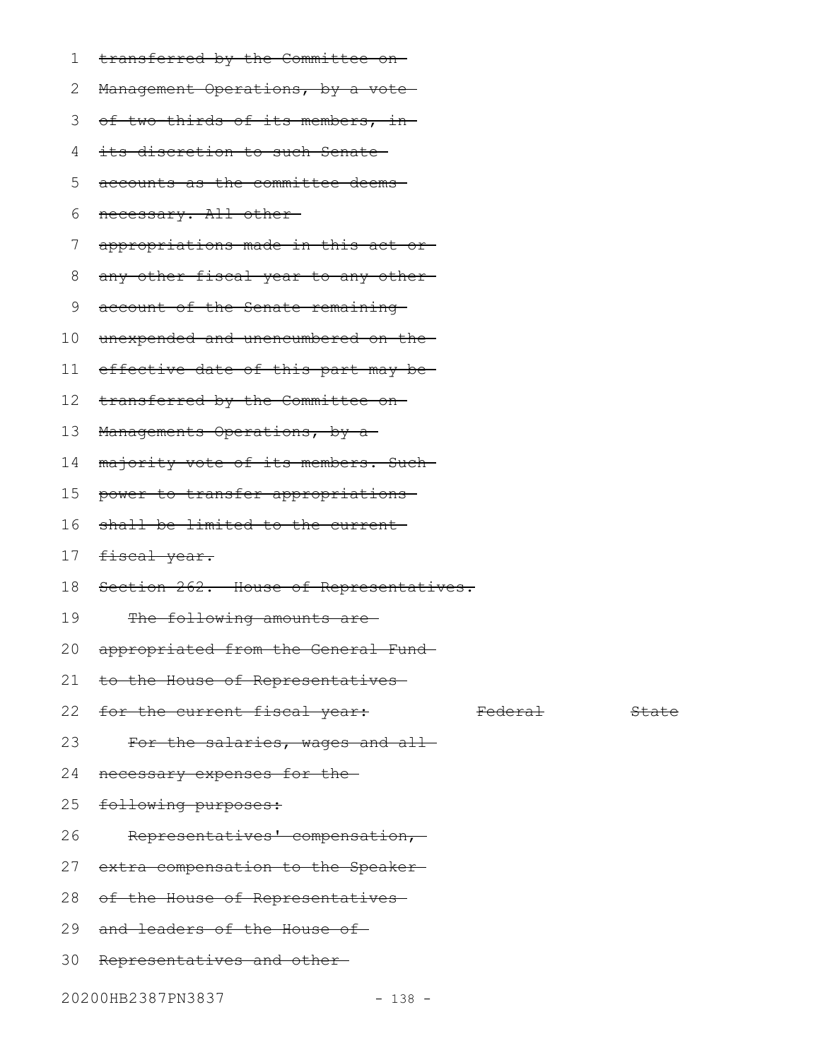- transferred by the Committee on 1
- Management Operations, by a vote-2

3 <del>of two-thirds of its members, in</del>

- its discretion to such Senate 4
- accounts as the committee deems 5
- necessary. All other 6
- appropriations made in this act or 7
- any other fiscal year to any other 8
- account of the Senate remaining 9
- unexpended and unencumbered on the 10
- effective date of this part may be 11
- transferred by the Committee on 12
- Managements Operations, by a-13
- majority vote of its members. Such 14
- power to transfer appropriations 15
- shall be limited to the current 16
- fiscal year. 17
- Section 262. House of Representatives. 18
- The following amounts are-19
- appropriated from the General Fund 20
- to the House of Representatives 21
- 22 for the current fiscal year: Tederal Federal
- For the salaries, wages and all-23
- necessary expenses for the 24
- following purposes: 25
- Representatives' compensation, 26
- extra compensation to the Speaker 27
- 28 of the House of Representatives
- 29 and leaders of the House of
- 30 Representatives and other
- 20200HB2387PN3837 138 -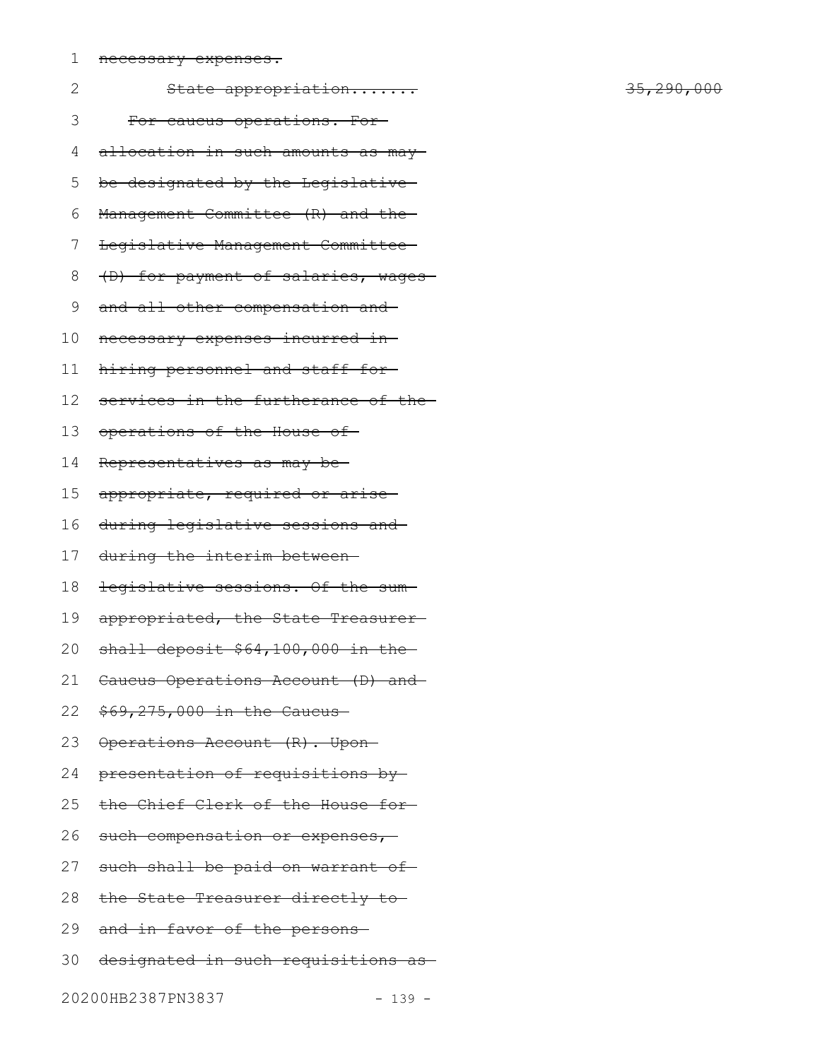1 necessary expenses.

| 2  | State appropriation                 |
|----|-------------------------------------|
| 3  | For caucus operations. For-         |
| 4  | allocation in such amounts as may-  |
| 5  | be designated by the Legislative    |
| 6  | Management Committee (R) and the    |
| 7  | Legislative Management Committee-   |
| 8  | (D) for payment of salaries, wages- |
| 9  | and all other compensation and      |
| 10 | necessary expenses incurred in-     |
| 11 | hiring personnel and staff for-     |
| 12 | services in the furtherance of the  |
| 13 | operations of the House of          |
| 14 | Representatives as may be-          |
| 15 | appropriate, required or arise-     |
| 16 | during legislative sessions and     |
| 17 | during the interim between-         |
| 18 | legislative sessions. Of the sum-   |
| 19 | appropriated, the State Treasurer-  |
| 20 | shall deposit \$64,100,000 in the-  |
| 21 | Caucus Operations Account (D) and   |
| 22 | $$69,275,000$ in the Caucus         |
| 23 | Operations Account (R). Upon-       |
| 24 | presentation of requisitions by     |
| 25 | the Chief Clerk of the House for-   |
| 26 | such compensation or expenses,-     |
| 27 | such shall be paid on warrant of    |
| 28 | the State Treasurer directly to     |
| 29 | and in favor of the persons-        |

30 designated in such requisitions as

20200HB2387PN3837 - 139 -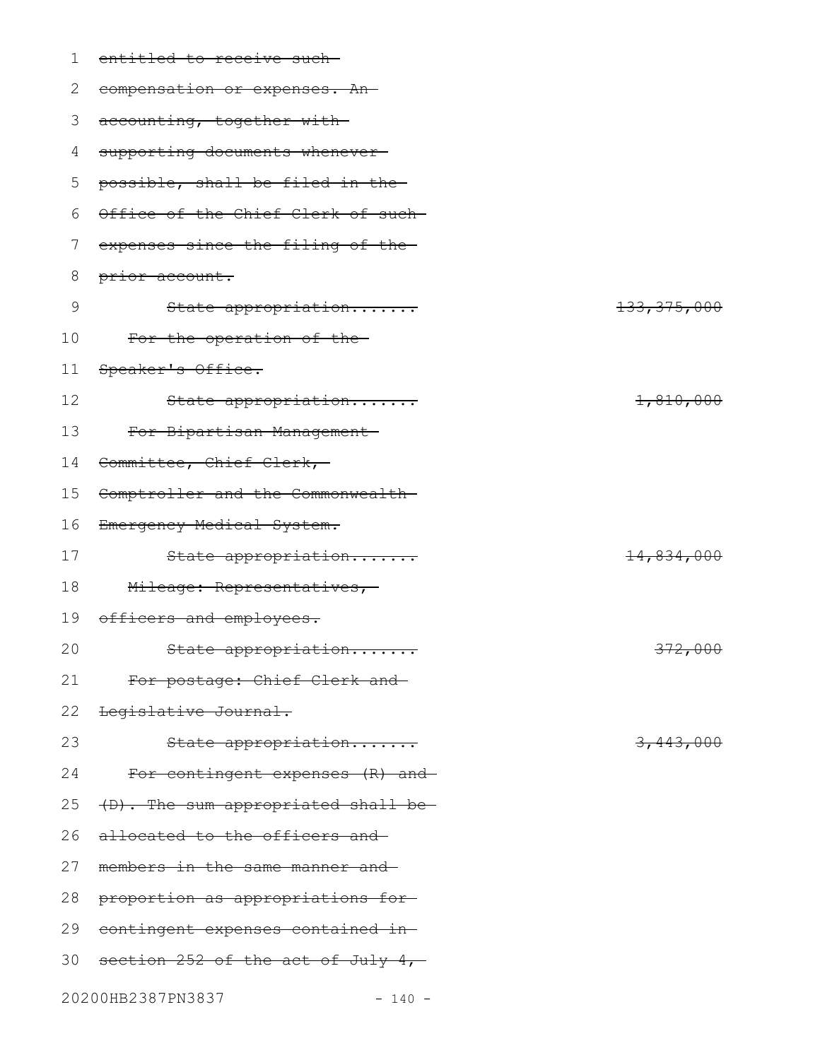| 1  | entitled to receive such-           |               |
|----|-------------------------------------|---------------|
| 2  | compensation or expenses. An-       |               |
| 3  | accounting, together with-          |               |
| 4  | supporting documents whenever-      |               |
| 5  | possible, shall be filed in the-    |               |
| 6  | Office of the Chief Clerk of such-  |               |
| 7  | expenses since the filing of the-   |               |
| 8  | prior account.                      |               |
| 9  | State appropriation                 | 133, 375, 000 |
| 10 | For the operation of the            |               |
| 11 | Speaker's Office.                   |               |
| 12 | State appropriation                 | 1,810,000     |
| 13 | For Bipartisan Management-          |               |
| 14 | Committee, Chief Clerk,-            |               |
| 15 | Comptroller and the Commonwealth-   |               |
| 16 | Emergency Medical System.           |               |
| 17 | State appropriation                 | 14,834,000    |
| 18 | Mileage: Representatives,-          |               |
| 19 | officers and employees.             |               |
| 20 | State appropriation                 | 372,000       |
| 21 | For postage: Chief Clerk and        |               |
| 22 | Legislative Journal.                |               |
| 23 | State appropriation                 | 3,443,000     |
| 24 | For contingent expenses (R) and-    |               |
| 25 | (D). The sum appropriated shall be- |               |
| 26 | allocated to the officers and       |               |
| 27 | members in the same manner and      |               |
| 28 | proportion as appropriations for-   |               |
| 29 | contingent expenses contained in-   |               |
| 30 | section 252 of the act of July 4,   |               |
|    | 20200HB2387PN3837<br>$-140 -$       |               |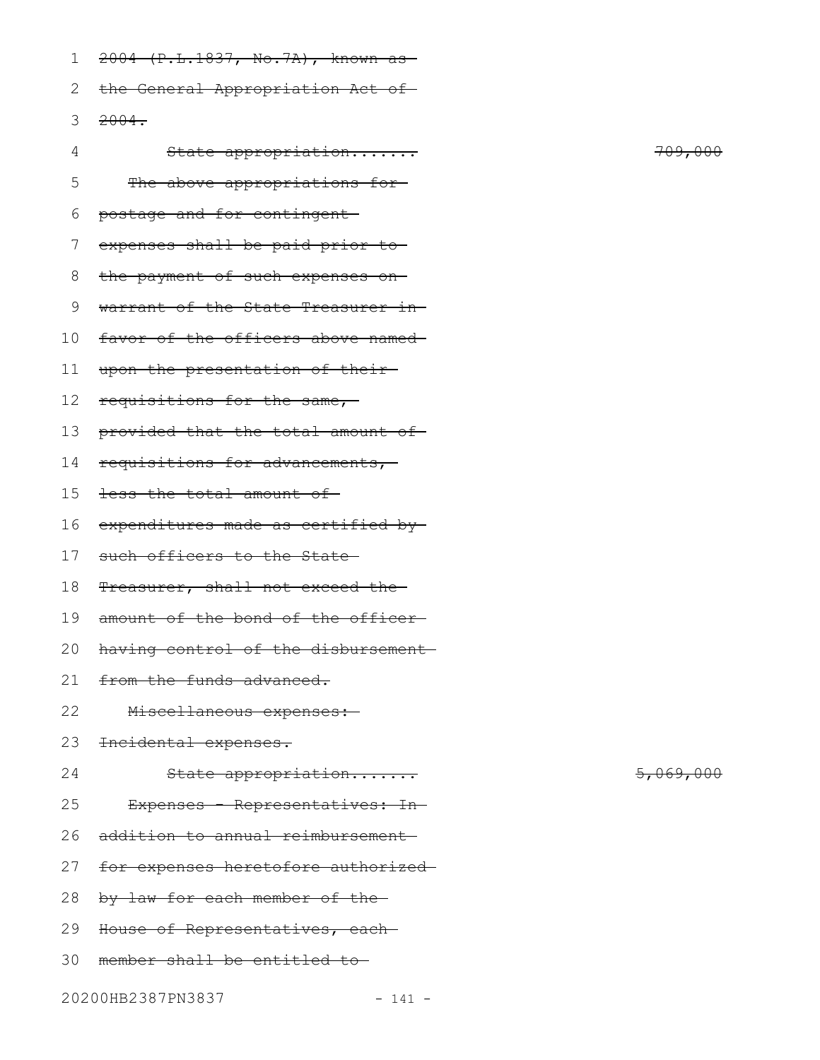|  |  | $2004$ (D I 1927 No 71) From 28              |  |
|--|--|----------------------------------------------|--|
|  |  | $2004$ (i.l. $1037$ , $107.74$ ), allowit as |  |

2 the General Appropriation Act of

3 <del>2004.</del>

| 4  | State appropriation                 | 709,000              |
|----|-------------------------------------|----------------------|
| 5  | The above appropriations for-       |                      |
| 6  | postage and for contingent          |                      |
| 7  | expenses shall be paid prior to     |                      |
| 8  | the payment of such expenses on-    |                      |
| 9  | warrant of the State Treasurer in-  |                      |
| 10 | favor of the officers above named-  |                      |
| 11 | upon the presentation of their-     |                      |
| 12 | requisitions for the same,          |                      |
| 13 | provided that the total amount of-  |                      |
| 14 | requisitions for advancements,-     |                      |
| 15 | less the total amount of-           |                      |
| 16 | expenditures made as certified by-  |                      |
| 17 | such officers to the State-         |                      |
| 18 | Treasurer, shall not exceed the     |                      |
| 19 | amount of the bond of the officer-  |                      |
| 20 | having control of the disbursement- |                      |
| 21 | from the funds advanced.            |                      |
| 22 | Miscellaneous expenses:-            |                      |
| 23 | Incidental expenses.                |                      |
| 24 | State appropriation                 | <del>5,069,000</del> |
| 25 | Expenses - Representatives: In-     |                      |
| 26 | addition to annual reimbursement-   |                      |
| 27 | for expenses heretofore authorized- |                      |
| 28 | by law for each member of the-      |                      |
| 29 | House of Representatives, each-     |                      |
| 30 | member shall be entitled to-        |                      |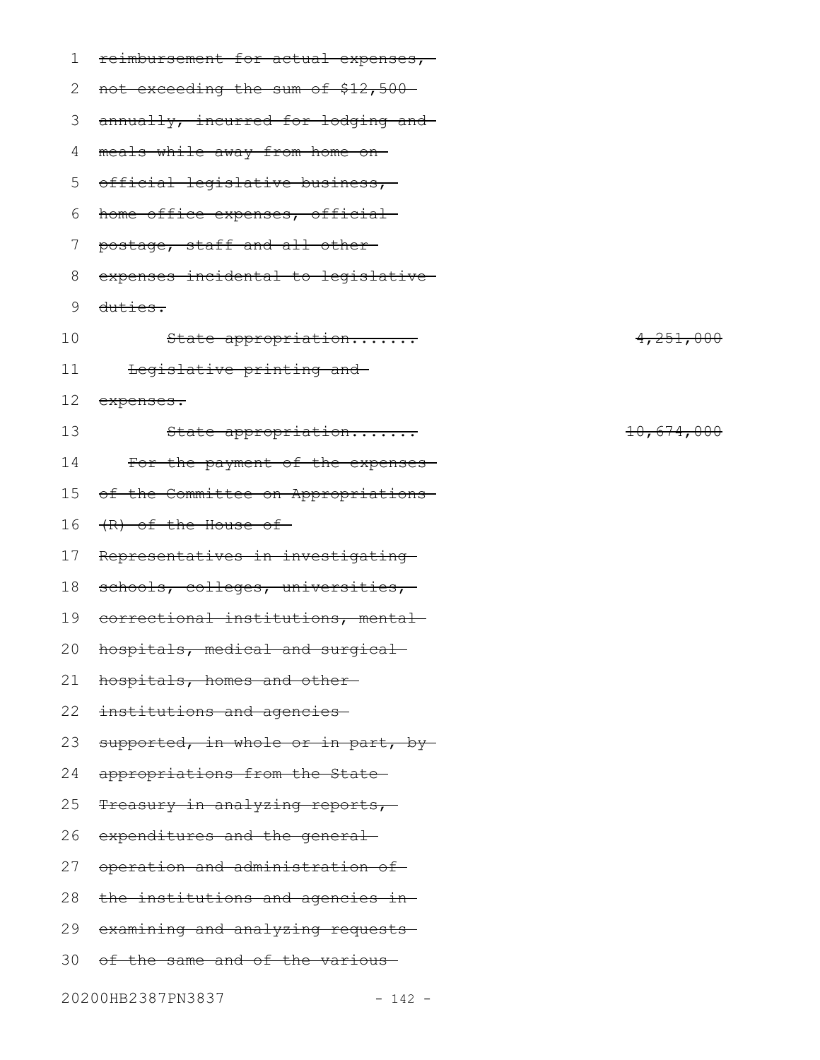| 1  | reimbursement for actual expenses,- |            |
|----|-------------------------------------|------------|
| 2  | not exceeding the sum of \$12,500-  |            |
| 3  | annually, incurred for lodging and  |            |
| 4  | meals while away from home on-      |            |
| 5  | official legislative business,      |            |
| 6  | home office expenses, official      |            |
| 7  | postage, staff and all other-       |            |
| 8  | expenses incidental to legislative- |            |
| 9  | duties.                             |            |
| 10 | State appropriation                 | 4,251,000  |
| 11 | Legislative printing and            |            |
| 12 | expenses.                           |            |
| 13 | State appropriation                 | 10,674,000 |
| 14 | For the payment of the expenses-    |            |
| 15 | of the Committee on Appropriations- |            |
| 16 | (R) of the House of                 |            |
| 17 | Representatives in investigating    |            |
| 18 | schools, colleges, universities,    |            |
| 19 | correctional institutions, mental-  |            |
|    | 20 hospitals, medical and surgical  |            |
| 21 | hospitals, homes and other-         |            |
| 22 | institutions and agencies-          |            |
| 23 | supported, in whole or in part, by- |            |
| 24 | appropriations from the State-      |            |
| 25 | Treasury in analyzing reports,-     |            |
| 26 | expenditures and the general-       |            |
| 27 | operation and administration of     |            |
| 28 | the institutions and agencies in-   |            |
| 29 | examining and analyzing requests    |            |
|    | 30 of the same and of the various   |            |
|    |                                     |            |

20200HB2387PN3837 - 142 -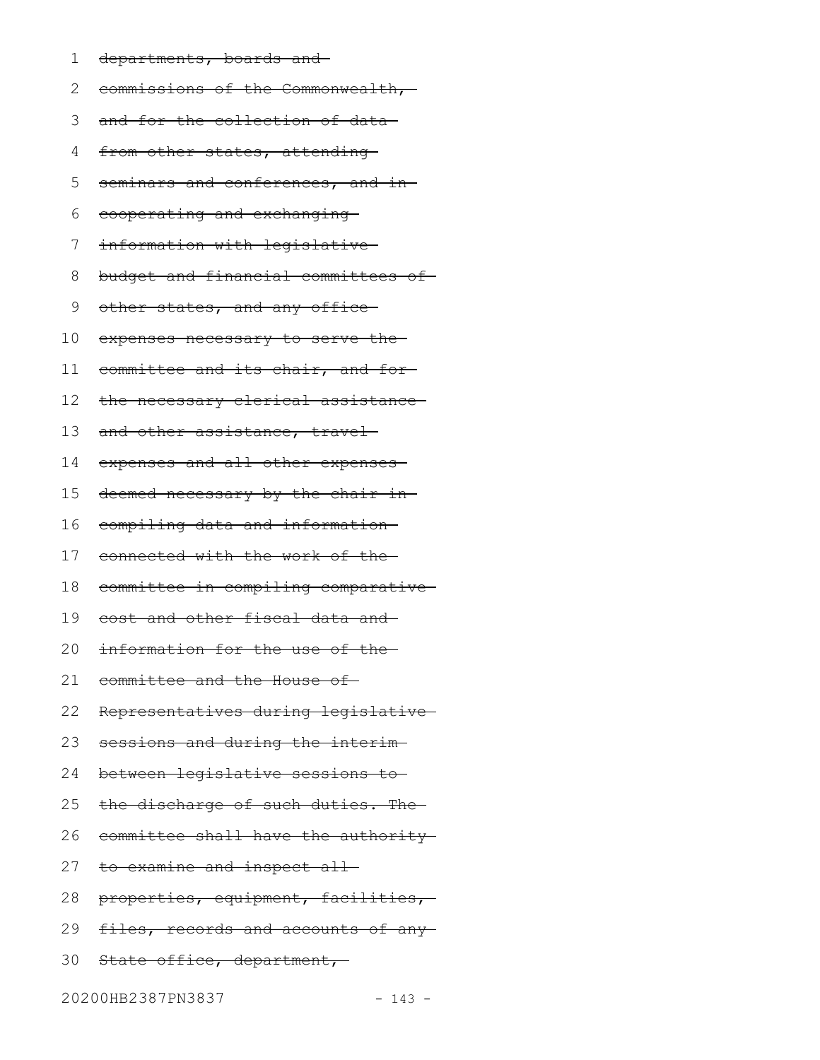departments, boards and 1

commissions of the Commonwealth, 2

- 3 and for the collection of data
- from other states, attending-4
- seminars and conferences, and in-5
- cooperating and exchanging 6
- information with legislative 7
- budget and financial committees of 8
- other states, and any office-9
- expenses necessary to serve the 10
- committee and its chair, and for 11
- the necessary clerical assistance 12
- and other assistance, travel-13
- expenses and all other expenses 14
- deemed necessary by the chair in-15
- compiling data and information 16
- connected with the work of the 17
- committee in compiling comparative 18
- cost and other fiscal data and 19
- information for the use of the 20
- committee and the House of 21
- Representatives during legislative 22
- sessions and during the interim 23
- between legislative sessions to 24
- the discharge of such duties. The 25
- committee shall have the authority 26
- 27 to examine and inspect all
- properties, equipment, facilities, 28
- files, records and accounts of any-29
- State office, department, 30

20200HB2387PN3837 - 143 -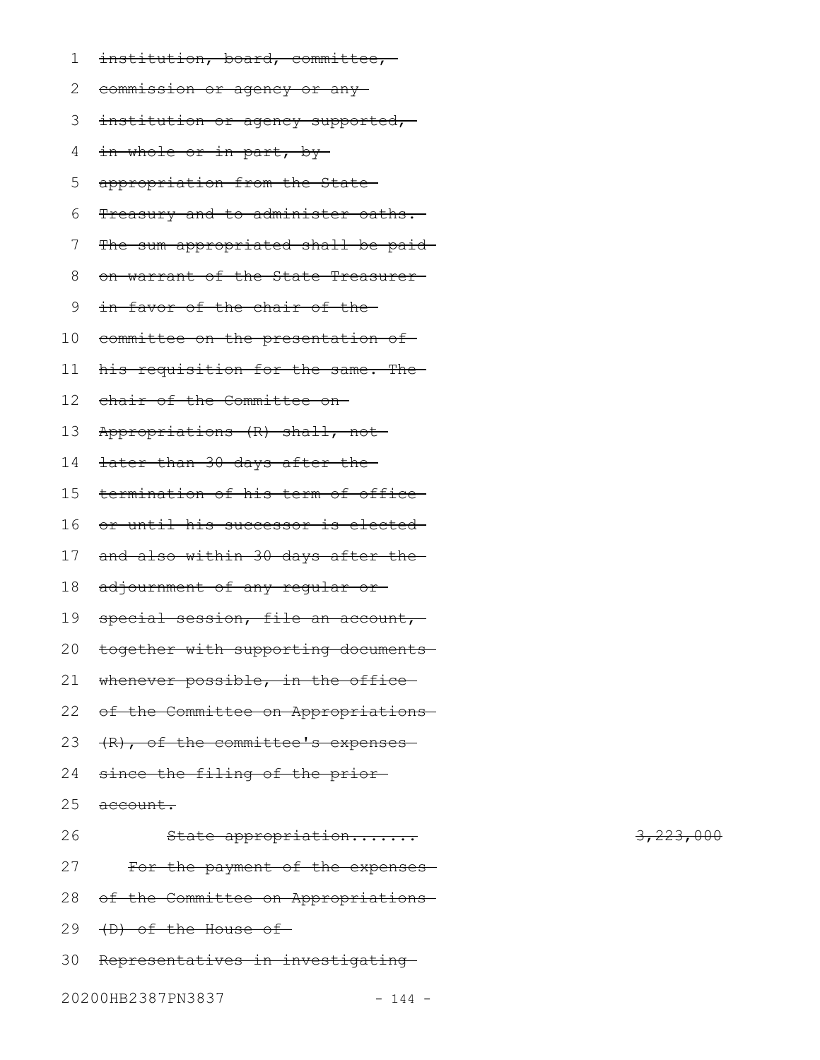- institution, board, committee, 1
- 2 <del>commission or agency or any</del>
- 3 institution or agency supported,
- in whole or in part, by-4
- appropriation from the State 5
- Treasury and to administer oaths. 6
- The sum appropriated shall be paid-7
- on warrant of the State Treasurer 8
- in favor of the chair of the 9
- 10 committee on the presentation of
- his requisition for the same. The 11
- chair of the Committee on 12
- Appropriations (R) shall, not 13
- later than 30 days after the 14
- termination of his term of office 15
- or until his successor is elected 16
- and also within 30 days after the 17
- adjournment of any regular or 18
- special session, file an account,-19
- together with supporting documents 20
- whenever possible, in the office-21
- 22 of the Committee on Appropriations
- (R), of the committee's expenses 23
- since the filing of the prior-24
- account. 25
- State appropriation....... 3,223,000 For the payment of the expenses of the Committee on Appropriations 29 (D) of the House of 30 Representatives in investigating 26 27 28
- 20200HB2387PN3837 144 -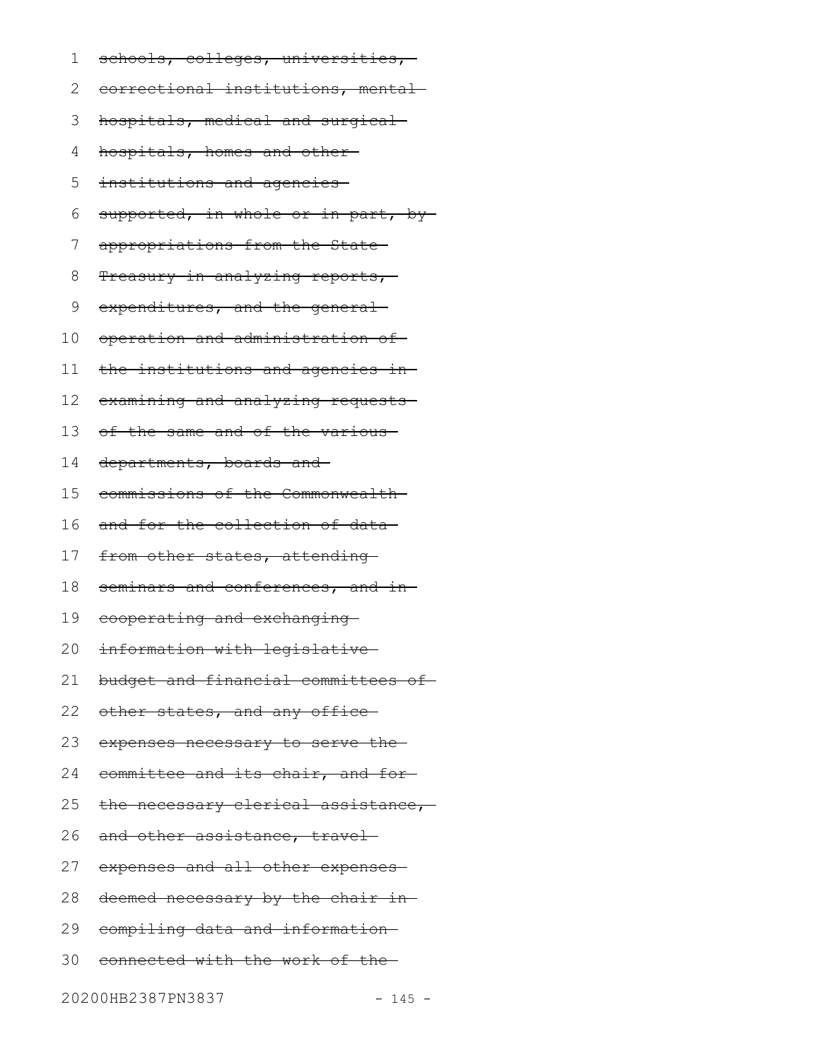schools, colleges, universities, 1

correctional institutions, mental 2

hospitals, medical and surgical 3

hospitals, homes and other 4

institutions and agencies 5

supported, in whole or in part, by-6

appropriations from the State 7

Treasury in analyzing reports, 8

expenditures, and the general-9

operation and administration of 10

the institutions and agencies in 11

examining and analyzing requests-12

of the same and of the various 13

departments, boards and 14

commissions of the Commonwealth 15

and for the collection of data 16

from other states, attending-17

seminars and conferences, and in 18

cooperating and exchanging 19

information with legislative 20

budget and financial committees of 21

other states, and any office-22

expenses necessary to serve the 23

committee and its chair, and for 24

the necessary clerical assistance, 25

and other assistance, travel-26

expenses and all other expenses 27

deemed necessary by the chair in 28

compiling data and information 29

connected with the work of the 30

20200HB2387PN3837 - 145 -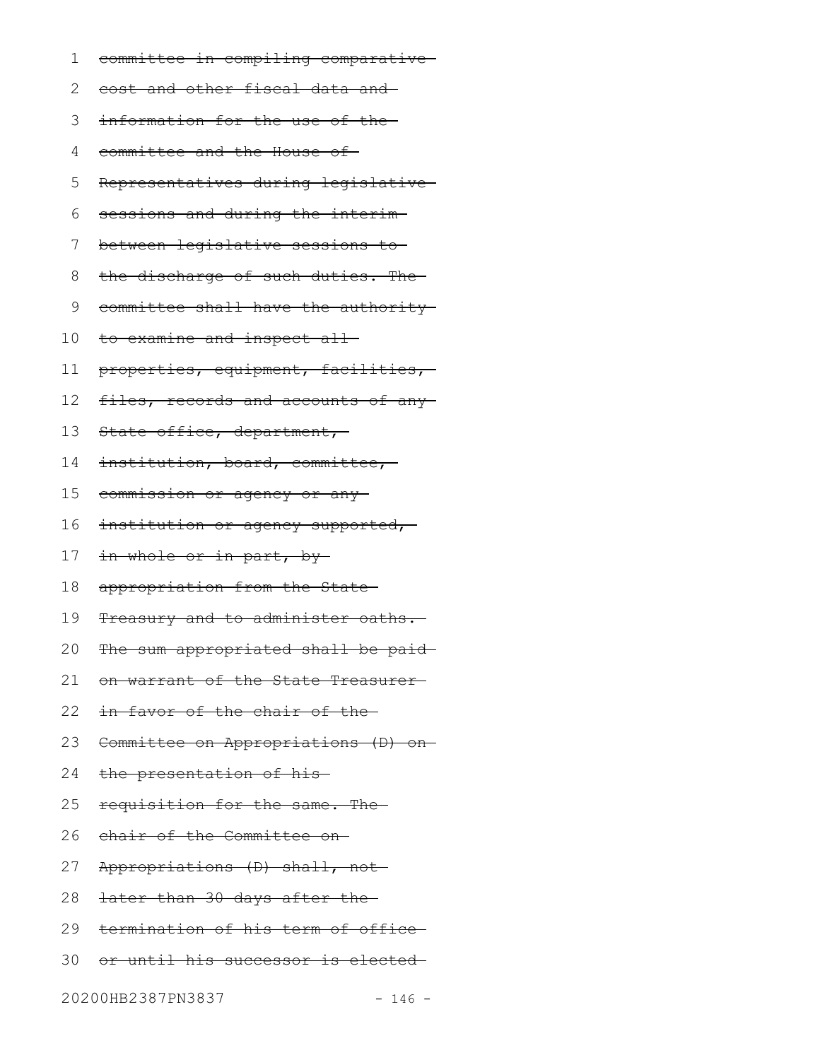- committee in compiling comparative 1
- cost and other fiscal data and 2
- information for the use of the 3
- committee and the House of 4
- Representatives during legislative 5
- sessions and during the interim 6
- between legislative sessions to 7
- the discharge of such duties. The 8
- committee shall have the authority 9
- 10 to examine and inspect all
- properties, equipment, facilities, 11
- files, records and accounts of any-12
- State office, department, 13
- institution, board, committee, 14
- commission or agency or any 15
- institution or agency supported, 16
- in whole or in part, by-17
- appropriation from the State 18
- Treasury and to administer oaths. 19
- The sum appropriated shall be paid-20
- on warrant of the State Treasurer 21
- in favor of the chair of the 22
- Committee on Appropriations (D) on 23
- the presentation of his 24
- requisition for the same. The 25
- chair of the Committee on 26
- Appropriations (D) shall, not 27
- later than 30 days after the 28
- termination of his term of office 29
- or until his successor is elected 30

20200HB2387PN3837 - 146 -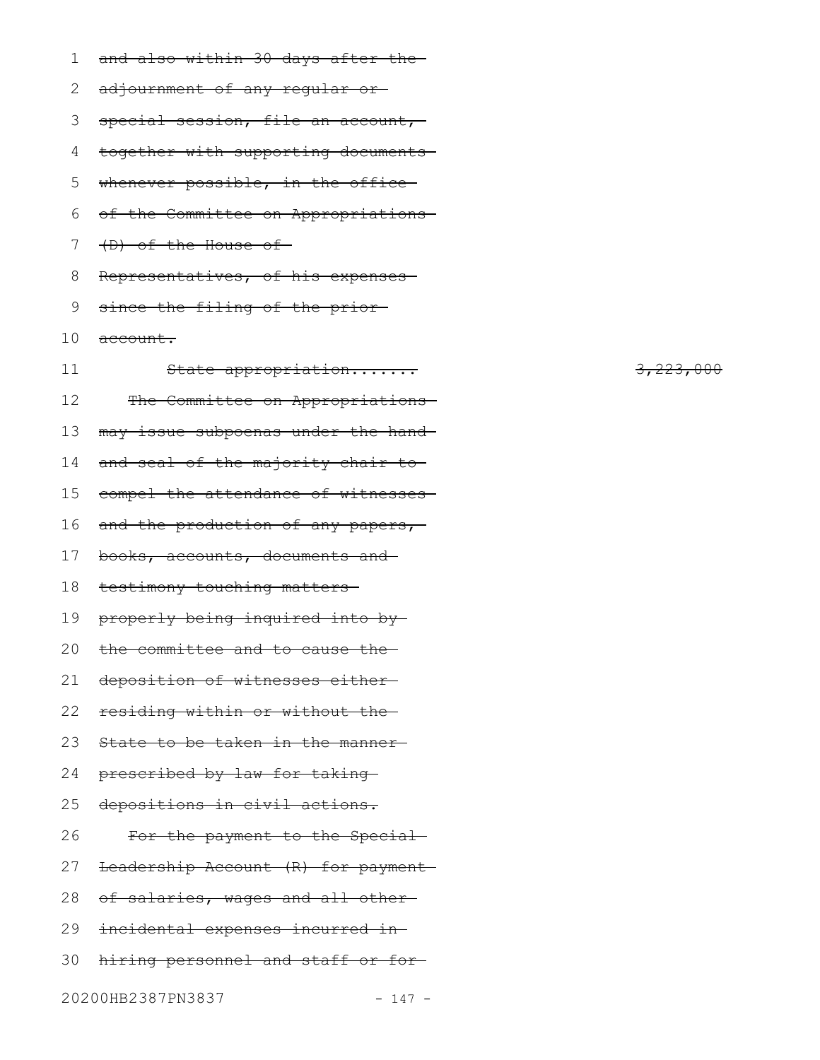| 1  | and also within 30 days after the-  |
|----|-------------------------------------|
| 2  | adjournment of any regular or-      |
| 3  | special session, file an account,-  |
| 4  | together with supporting documents- |
| 5  | whenever possible, in the office-   |
| 6  | of the Committee on Appropriations- |
| 7  | (D) of the House of-                |
| 8  | Representatives, of his expenses-   |
| 9  | since the filing of the prior-      |
| 10 | <del>account.</del>                 |
| 11 | State appropriation                 |
| 12 | The Committee on Appropriations-    |
| 13 | may issue subpoenas under the hand- |
| 14 | and seal of the majority chair to-  |
| 15 | compel the attendance of witnesses- |
| 16 | and the production of any papers,   |
| 17 | books, accounts, documents and      |
| 18 | testimony touching matters          |
| 19 | properly being inquired into by     |
| 20 | the committee and to cause the      |
| 21 | deposition of witnesses either-     |
| 22 | residing within or without the      |
| 23 | State to be taken in the manner-    |
| 24 | prescribed by law for taking-       |
| 25 | depositions in civil actions.       |
| 26 | For the payment to the Special-     |
| 27 | Leadership Account (R) for payment- |
| 28 | of salaries, wages and all other-   |
| 29 | incidental expenses incurred in-    |
| 30 | hiring personnel and staff or for-  |
|    |                                     |

3,223,000

20200HB2387PN3837 - 147 -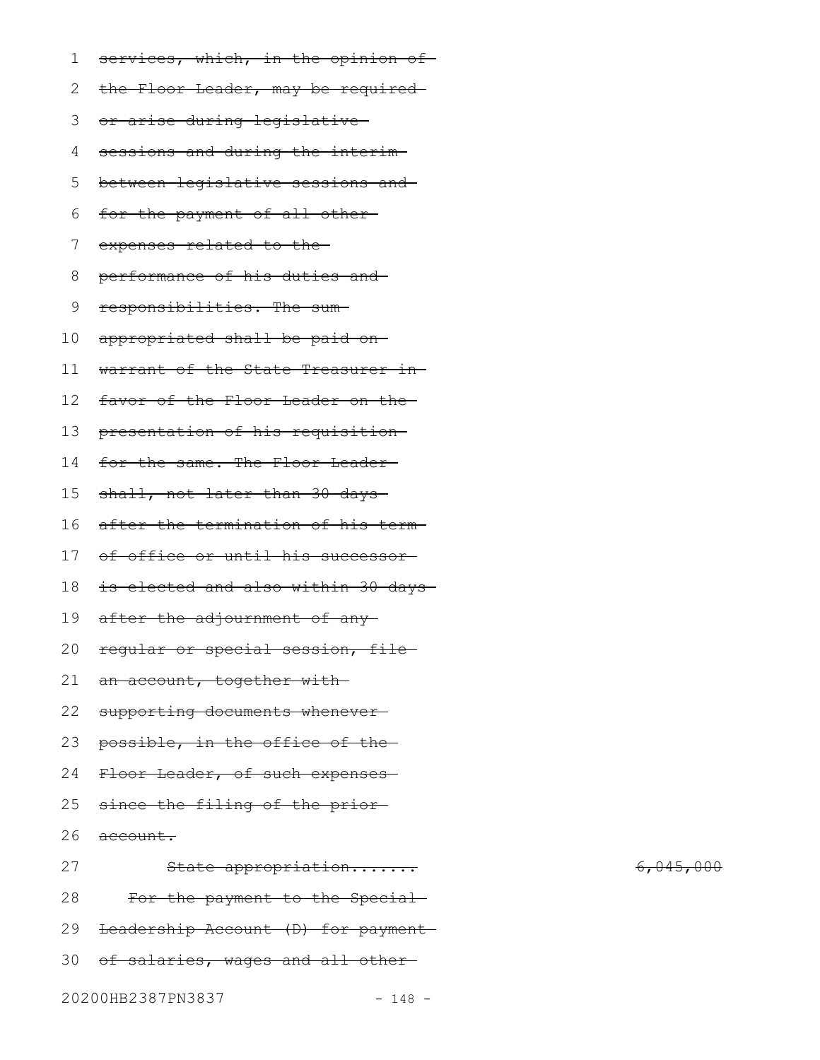| 1  | services, which, in the opinion of- |
|----|-------------------------------------|
| 2  | the Floor Leader, may be required-  |
| 3  | or arise during legislative-        |
| 4  | sessions and during the interim-    |
| 5  | between legislative sessions and    |
| 6  | for the payment of all other-       |
| 7  | expenses related to the-            |
| 8  | performance of his duties and-      |
| 9  | responsibilities. The sum-          |
| 10 | appropriated shall be paid on-      |
| 11 | warrant of the State Treasurer in-  |
| 12 | favor of the Floor Leader on the-   |
| 13 | presentation of his requisition     |
| 14 | for the same. The Floor Leader-     |
| 15 | shall, not later than 30 days-      |
| 16 | after the termination of his term-  |
| 17 | of office or until his successor-   |
| 18 | is elected and also within 30 days- |
| 19 | after the adjournment of any-       |
| 20 | regular or special session, file    |
| 21 | an account, together with-          |
| 22 | supporting documents whenever-      |
| 23 | possible, in the office of the-     |
| 24 | Floor Leader, of such expenses-     |
| 25 | since the filing of the prior-      |
| 26 | account.                            |
| 27 | State appropriation                 |
| 28 | For the payment to the Special-     |
| 29 | Leadership Account (D) for payment  |
| 30 | of salaries, wages and all other-   |

 $6,045,000$ 

20200HB2387PN3837 - 148 -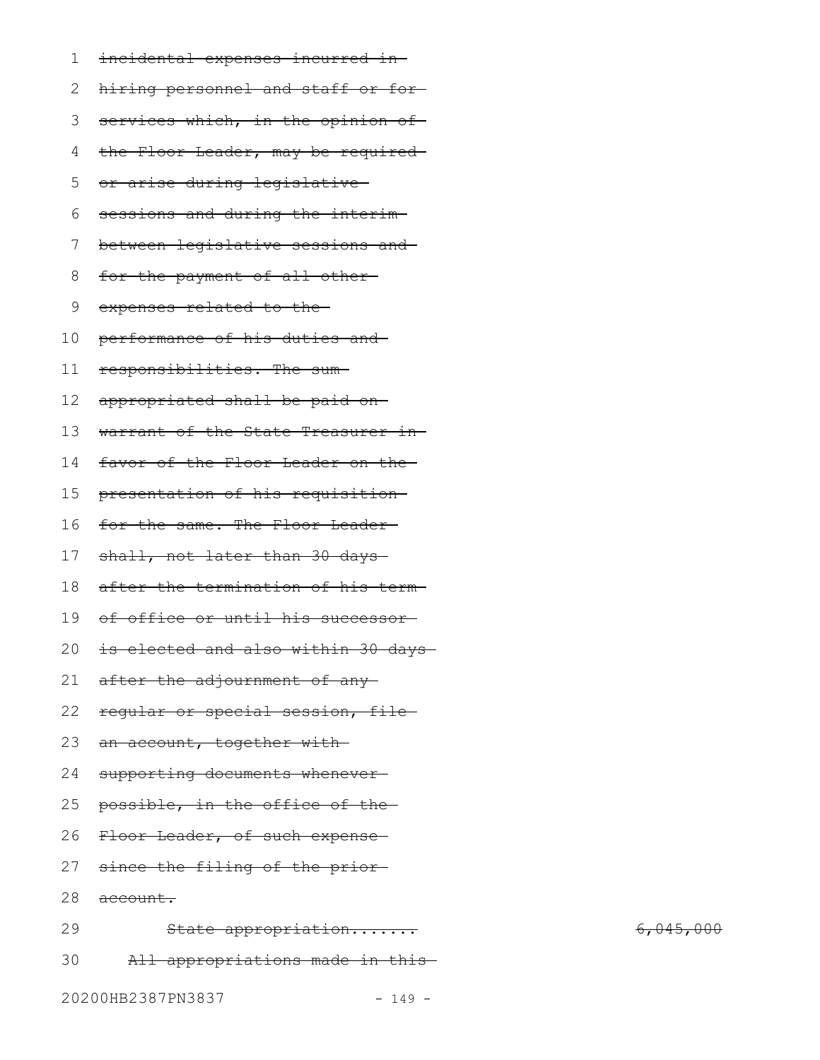| 1  | incidental expenses incurred in-   |
|----|------------------------------------|
| 2  | hiring personnel and staff or for- |
| 3  | services which, in the opinion of- |
| 4  | the Floor Leader, may be required- |
| 5  | or arise during legislative-       |
| 6  | sessions and during the interim-   |
| 7  | between legislative sessions and   |
| 8  | for the payment of all other-      |
| 9  | expenses related to the-           |
| 10 | performance of his duties and-     |
| 11 | responsibilities. The sum-         |
| 12 | appropriated shall be paid on-     |
| 13 | warrant of the State Treasurer in- |
| 14 | favor of the Floor Leader on the-  |
| 15 | presentation of his requisition    |
| 16 | for the same. The Floor Leader-    |
| 17 | shall, not later than 30 days-     |
| 18 | after the termination of his term- |
| 19 | of office or until his successor-  |
| 20 | is elected and also within 30 days |
| 21 | after the adjournment of any-      |
| 22 | regular or special session, file-  |
| 23 | an account, together with-         |
| 24 | supporting documents whenever-     |
| 25 | possible, in the office of the-    |
| 26 | Floor Leader, of such expense      |
| 27 | since the filing of the prior-     |
| 28 | account.                           |
| 29 | State appropriation                |
| 30 | All appropriations made in this    |

6,045,000

20200HB2387PN3837 - 149 -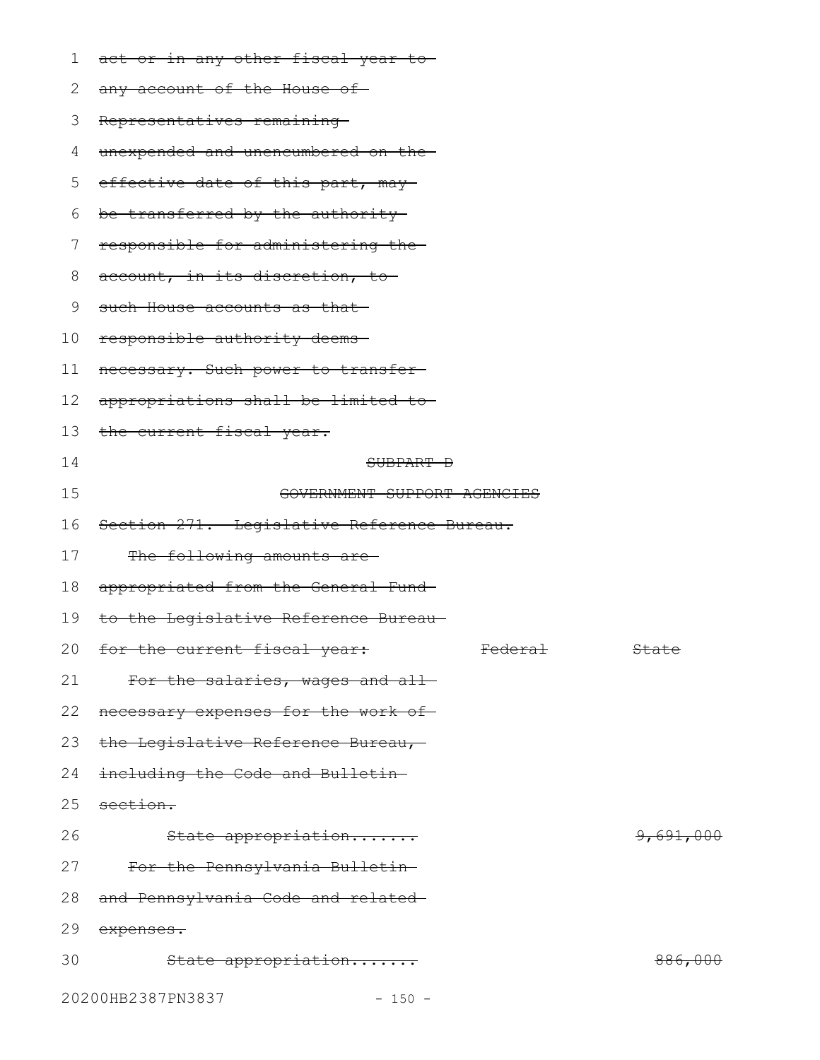| 1  | act or in any other fiscal year to-        |                    |                      |
|----|--------------------------------------------|--------------------|----------------------|
| 2  | any account of the House of                |                    |                      |
| 3  | Representatives remaining                  |                    |                      |
| 4  | unexpended and unencumbered on the-        |                    |                      |
| 5  | effective date of this part, may-          |                    |                      |
| 6  | be transferred by the authority            |                    |                      |
| 7  | responsible for administering the-         |                    |                      |
| 8  | account, in its discretion, to             |                    |                      |
| 9  | such House accounts as that                |                    |                      |
| 10 | responsible authority deems-               |                    |                      |
| 11 | necessary. Such power to transfer-         |                    |                      |
| 12 | appropriations shall be limited to-        |                    |                      |
| 13 | the current fiscal year.                   |                    |                      |
| 14 | SUBPART D                                  |                    |                      |
| 15 | GOVERNMENT SUPPORT AGENCIES                |                    |                      |
| 16 | Section 271. Legislative Reference Bureau. |                    |                      |
| 17 | The following amounts are-                 |                    |                      |
| 18 | appropriated from the General Fund-        |                    |                      |
| 19 | to the Legislative Reference Bureau-       |                    |                      |
|    | 20 for the current fiscal year:            | <del>Federal</del> | <del>State</del>     |
| 21 | For the salaries, wages and all-           |                    |                      |
|    | 22 necessary expenses for the work of-     |                    |                      |
|    | 23 the Legislative Reference Bureau,-      |                    |                      |
| 24 | including the Code and Bulletin-           |                    |                      |
| 25 | section.                                   |                    |                      |
| 26 | State appropriation                        |                    | <del>9,691,000</del> |
| 27 | For the Pennsylvania Bulletin-             |                    |                      |
| 28 | and Pennsylvania Code and related-         |                    |                      |
| 29 | expenses.                                  |                    |                      |
| 30 | State appropriation                        |                    | <del>886,000</del>   |
|    | 20200HB2387PN3837<br>$-150 -$              |                    |                      |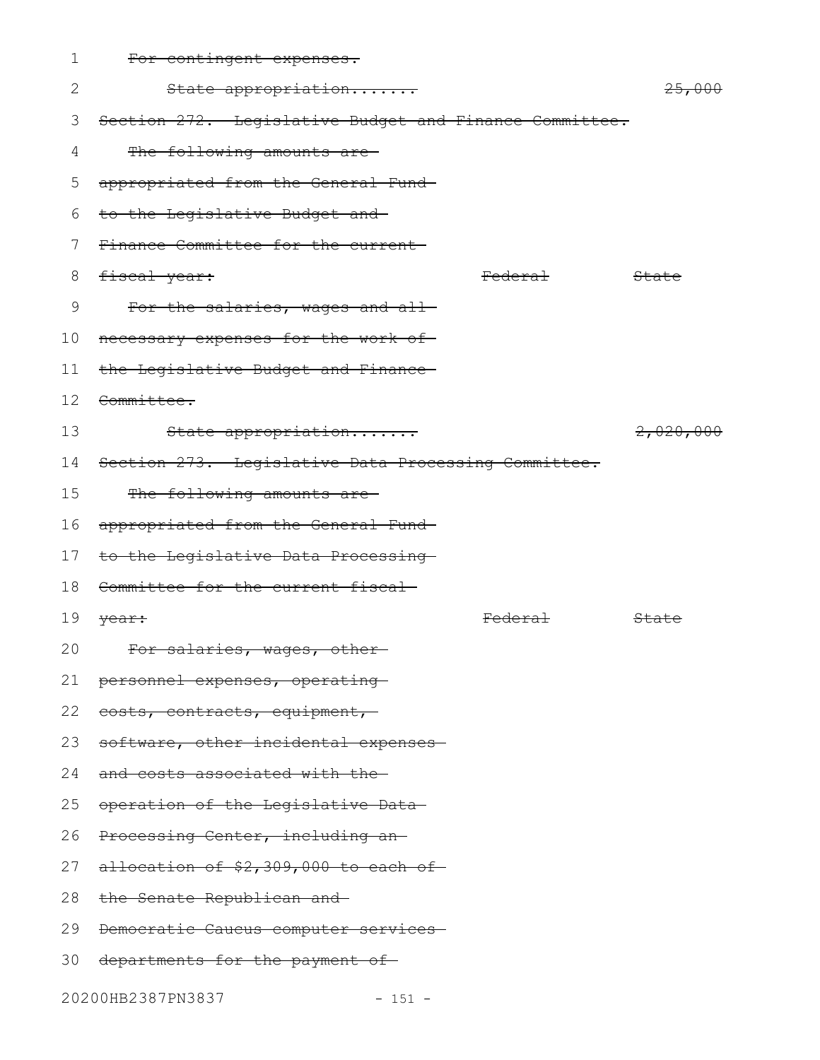| 1  | For contingent expenses.                               |                    |                   |
|----|--------------------------------------------------------|--------------------|-------------------|
| 2  | State appropriation                                    |                    | <del>25,000</del> |
| 3  | Section 272. Legislative Budget and Finance Committee. |                    |                   |
| 4  | The following amounts are-                             |                    |                   |
| 5  | appropriated from the General Fund-                    |                    |                   |
| 6  | to the Legislative Budget and                          |                    |                   |
| 7  | Finance Committee for the current-                     |                    |                   |
| 8  | fiscal year:                                           | <del>Federal</del> | State             |
| 9  | For the salaries, wages and all-                       |                    |                   |
| 10 | necessary expenses for the work of-                    |                    |                   |
| 11 | the Legislative Budget and Finance-                    |                    |                   |
|    | 12 <del>Committee.</del>                               |                    |                   |
| 13 | State appropriation                                    |                    | 2,020,000         |
|    | 14 Section 273. Legislative Data Processing Committee. |                    |                   |
| 15 | The following amounts are-                             |                    |                   |
| 16 | appropriated from the General Fund-                    |                    |                   |
| 17 | to the Legislative Data Processing-                    |                    |                   |
| 18 | Committee for the current fiscal-                      |                    |                   |
| 19 | year:                                                  | <del>Federal</del> | State             |
| 20 | For salaries, wages, other-                            |                    |                   |
| 21 | personnel expenses, operating-                         |                    |                   |
| 22 | costs, contracts, equipment,-                          |                    |                   |
| 23 | software, other incidental expenses-                   |                    |                   |
| 24 | and costs associated with the-                         |                    |                   |
| 25 | operation of the Legislative Data-                     |                    |                   |
| 26 | Processing Center, including an-                       |                    |                   |
| 27 | allocation of \$2,309,000 to each of                   |                    |                   |
| 28 | the Senate Republican and                              |                    |                   |
| 29 | Democratic Caucus computer services                    |                    |                   |
| 30 | departments for the payment of-                        |                    |                   |
|    |                                                        |                    |                   |

20200HB2387PN3837 - 151 -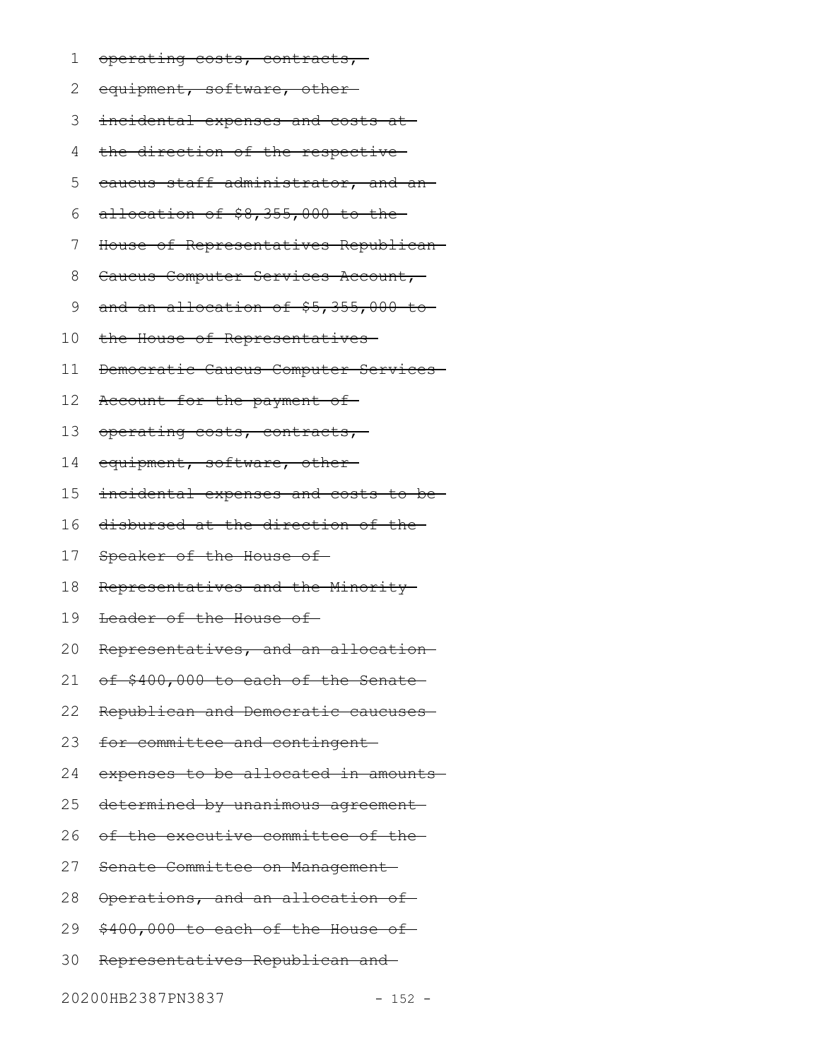- operating costs, contracts, 1
- equipment, software, other 2
- 3 incidental expenses and costs at
- the direction of the respective 4
- caucus staff administrator, and an 5
- allocation of \$8,355,000 to the 6
- House of Representatives Republican 7
- Caucus Computer Services Account, 8
- and an allocation of \$5,355,000 to 9
- the House of Representatives 10
- Democratic Caucus Computer Services 11
- Account for the payment of 12
- operating costs, contracts, 13
- equipment, software, other-14
- incidental expenses and costs to be 15
- disbursed at the direction of the 16
- Speaker of the House of 17
- Representatives and the Minority 18
- Leader of the House of 19
- Representatives, and an allocation 20
- of \$400,000 to each of the Senate-21
- Republican and Democratic caucuses 22
- for committee and contingent 23
- expenses to be allocated in amounts 24
- determined by unanimous agreement-25
- of the executive committee of the 26
- Senate Committee on Management 27
- Operations, and an allocation of 28
- \$400,000 to each of the House of 29
- Representatives Republican and 30

20200HB2387PN3837 - 152 -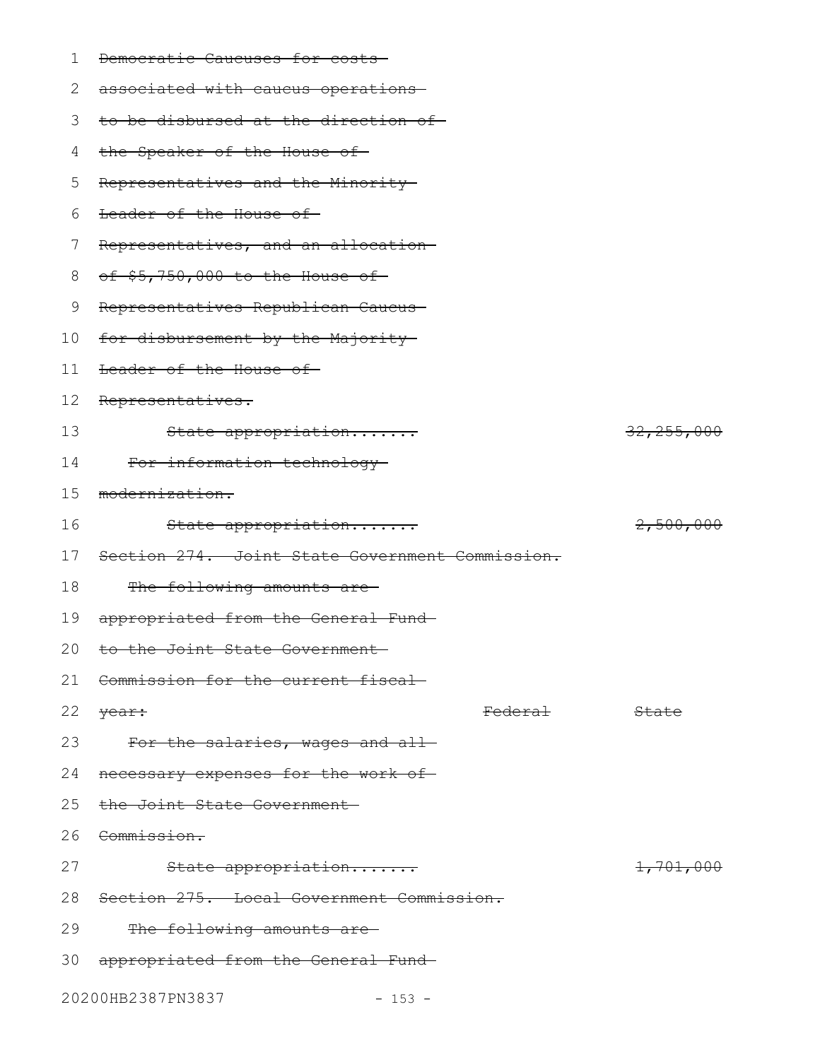1 <del>Democratic Caucuses for costs</del>

| 2  | associated with caucus operations-              |                    |                      |
|----|-------------------------------------------------|--------------------|----------------------|
| 3  | to be disbursed at the direction of-            |                    |                      |
| 4  | the Speaker of the House of                     |                    |                      |
| 5  | Representatives and the Minority-               |                    |                      |
| 6  | Leader of the House of                          |                    |                      |
| 7  | Representatives, and an allocation-             |                    |                      |
| 8  | of \$5,750,000 to the House of-                 |                    |                      |
| 9  | Representatives Republican Caucus-              |                    |                      |
| 10 | for disbursement by the Majority                |                    |                      |
| 11 | Leader of the House of                          |                    |                      |
| 12 | Representatives.                                |                    |                      |
| 13 | State appropriation                             |                    | 32, 255, 000         |
| 14 | For information technology-                     |                    |                      |
| 15 | modernization.                                  |                    |                      |
| 16 | State appropriation                             |                    | <del>2,500,000</del> |
| 17 | Section 274. Joint State Government Commission. |                    |                      |
| 18 | The following amounts are-                      |                    |                      |
| 19 | appropriated from the General Fund-             |                    |                      |
| 20 | to the Joint State Government-                  |                    |                      |
| 21 | Commission for the current fiscal-              |                    |                      |
| 22 | year:                                           | <del>Federal</del> | State                |
| 23 | For the salaries, wages and all-                |                    |                      |
| 24 | necessary expenses for the work of-             |                    |                      |
| 25 | the Joint State Government                      |                    |                      |
| 26 | <del>Commission.</del>                          |                    |                      |
| 27 | State appropriation                             |                    | <del>1,701,000</del> |
| 28 | Section 275. Local Government Commission.       |                    |                      |
|    |                                                 |                    |                      |

The following amounts are-29

- 30 appropriated from the General Fund
- 20200HB2387PN3837 153 -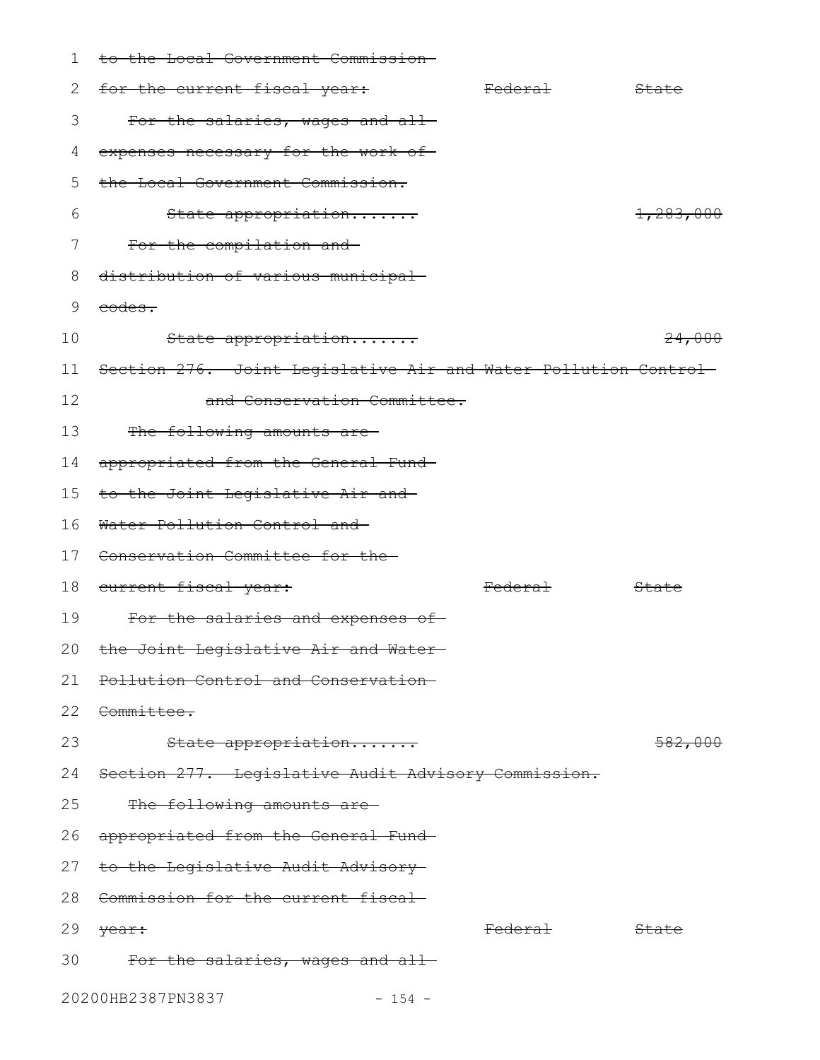| $\mathbf 1$ | to the Local Government Commission-                             |                    |                  |
|-------------|-----------------------------------------------------------------|--------------------|------------------|
| 2           | for the current fiscal year:                                    | <del>Federal</del> | State            |
| 3           | For the salaries, wages and all-                                |                    |                  |
| 4           | expenses necessary for the work of-                             |                    |                  |
| 5           | the Local Government Commission.                                |                    |                  |
| 6           | State appropriation                                             |                    | 1,283,000        |
| 7           | For the compilation and                                         |                    |                  |
| 8           | distribution of various municipal-                              |                    |                  |
| 9           | eodes.                                                          |                    |                  |
| 10          | State appropriation                                             |                    | 24,000           |
| 11          | Section 276. Joint Legislative Air and Water Pollution Control- |                    |                  |
| 12          | and Conservation Committee.                                     |                    |                  |
| 13          | The following amounts are-                                      |                    |                  |
| 14          | appropriated from the General Fund-                             |                    |                  |
| 15          | to the Joint Legislative Air and                                |                    |                  |
| 16          | Water Pollution Control and                                     |                    |                  |
| 17          | Conservation Committee for the                                  |                    |                  |
| 18          | <del>current fiscal year:</del>                                 | <del>Federal</del> | <del>State</del> |
| 19          | For the salaries and expenses of-                               |                    |                  |
|             | 20 the Joint Legislative Air and Water-                         |                    |                  |
| 21          | Pollution Control and Conservation-                             |                    |                  |
| 22          | <del>Committee.</del>                                           |                    |                  |
| 23          | State appropriation                                             |                    | 582,000          |
| 24          | Section 277. Legislative Audit Advisory Commission.             |                    |                  |
| 25          | The following amounts are                                       |                    |                  |
| 26          | appropriated from the General Fund-                             |                    |                  |
|             | 27 to the Legislative Audit Advisory-                           |                    |                  |
| 28          | Commission for the current fiscal-                              |                    |                  |
| 29          | <del>year:</del>                                                | <del>Federal</del> | <del>State</del> |
| 30          | For the salaries, wages and all-                                |                    |                  |
|             | 20200HB2387PN3837<br>$-154 -$                                   |                    |                  |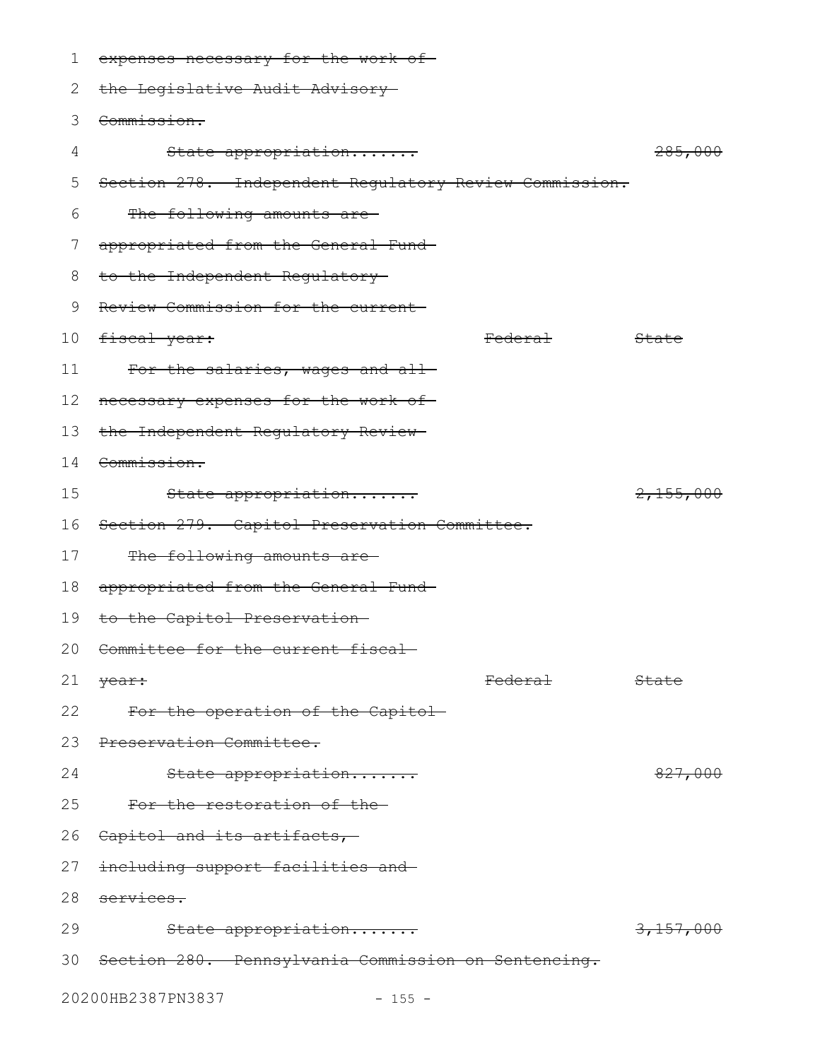| 1             | expenses necessary for the work of-                    |                  |
|---------------|--------------------------------------------------------|------------------|
| 2             | the Legislative Audit Advisory-                        |                  |
| 3             | Commission.                                            |                  |
| 4             | State appropriation                                    | 285,000          |
| 5             | Section 278. Independent Regulatory Review Commission. |                  |
| 6             | The following amounts are-                             |                  |
| $\frac{1}{2}$ | appropriated from the General Fund-                    |                  |
| 8             | to the Independent Regulatory-                         |                  |
| 9             | Review Commission for the current-                     |                  |
| 10            | <del>fiscal year:</del><br><del>Federal</del>          | <del>State</del> |
| 11            | For the salaries, wages and all-                       |                  |
| 12            | necessary expenses for the work of-                    |                  |
| 13            | the Independent Regulatory Review-                     |                  |
| 14            | Commission.                                            |                  |
| 15            | State appropriation                                    | 2,155,000        |
| 16            | Section 279. Capitol Preservation Committee.           |                  |
| 17            | The following amounts are-                             |                  |
| 18            | appropriated from the General Fund-                    |                  |
| 19            | to the Capitol Preservation-                           |                  |
|               | 20 Committee for the current fiscal-                   |                  |
| 21            | <del>Federal</del><br>year:                            | State            |
| 22            | For the operation of the Capitol                       |                  |
|               | 23 Preservation Committee.                             |                  |
| 24            | State appropriation                                    | 827,000          |
| 25            | For the restoration of the-                            |                  |
|               | 26 Capitol and its artifacts,                          |                  |
|               | 27 <del>including support facilities and</del>         |                  |
| 28            | services.                                              |                  |
| 29            | State appropriation                                    | 3,157,000        |
|               | 30 Section 280. Pennsylvania Commission on Sentencing. |                  |
|               | 20200HB2387PN3837<br>$-155 -$                          |                  |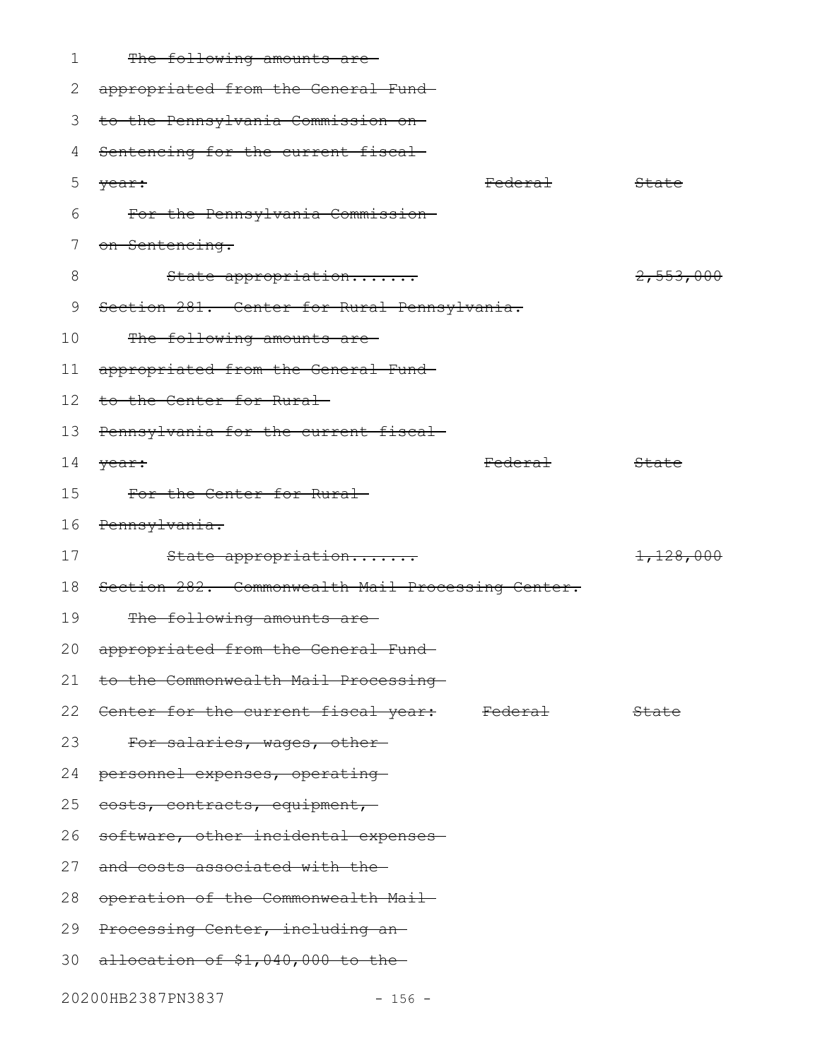|  | The following small $550$ |  |
|--|---------------------------|--|
|  | THE LOILOWING amounts ale |  |

2 appropriated from the General Fund 3 to the Pennsylvania Commission on 4 Sentencing for the current fiscal year: State State State State State State State State State State State State State State State State State State State State State State State State State State State State State State State State State State State State For the Pennsylvania Commission on Sentencing. State appropriation....... 2,553,000 Section 281. Center for Rural Pennsylvania. The following amounts areappropriated from the General Fund 12 to the Center for Rural 13 Pennsylvania for the current fiscal year: State State State State State State State State State State State State State State State State State State State State State State State State State State State State State State State State State State State State For the Center for Rural Pennsylvania. State appropriation....... 1,128,000 18 Section 282. Commonwealth Mail Processing Center. The following amounts areappropriated from the General Fund to the Commonwealth Mail Processing 22 <del>Center for the current fiscal year:</del> Federal State For salaries, wages, other-24 personnel expenses, operating 25 eosts, contracts, equipment, 26 software, other incidental expenses 27 and costs associated with the 28 operation of the Commonwealth Mail 29 Processing Center, including an 30 allocation of \$1,040,000 to the 5 6 7 8 9 10 11 14  $\sqrt{ear}$ : 15 16 17 19 20 21 23

20200HB2387PN3837 - 156 -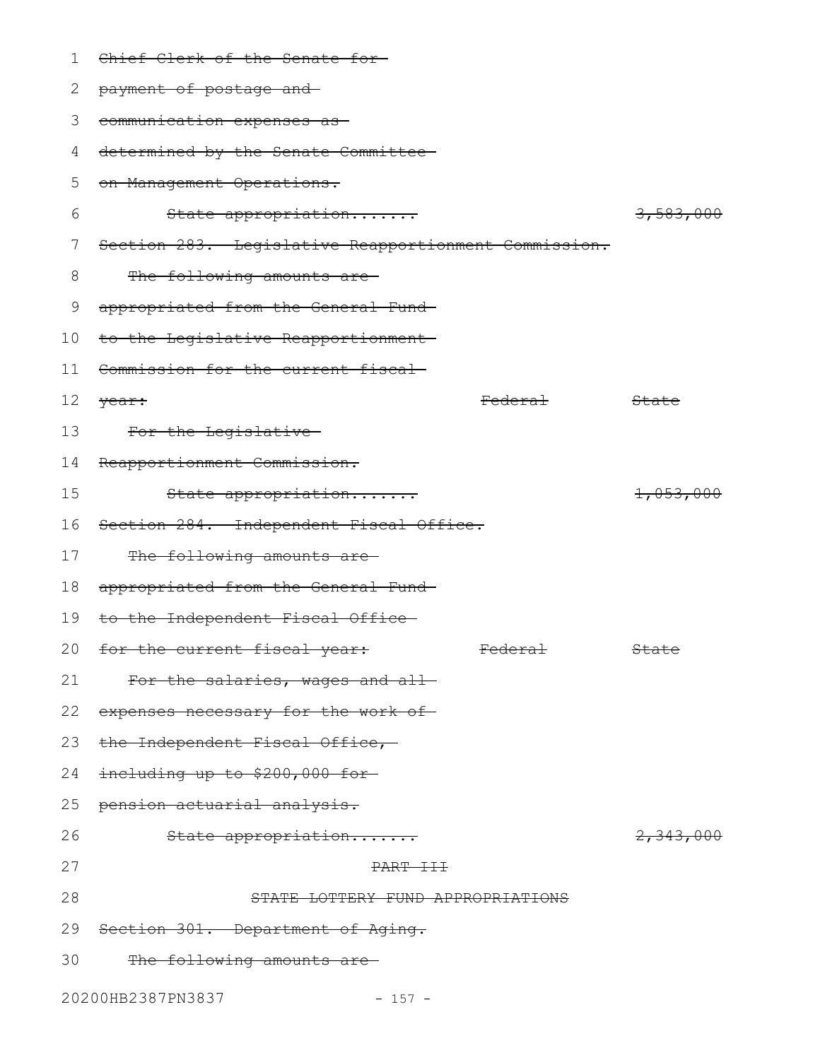| 1       | Chief Clerk of the Senate for-                       |                      |
|---------|------------------------------------------------------|----------------------|
| 2       | payment of postage and-                              |                      |
| 3       | communication expenses as                            |                      |
| 4       | determined by the Senate Committee-                  |                      |
| 5       | on Management Operations.                            |                      |
| 6       | State appropriation                                  | 3,583,000            |
| 7       | Section 283. Legislative Reapportionment Commission. |                      |
| 8       | The following amounts are-                           |                      |
| 9       | appropriated from the General Fund-                  |                      |
| $10 \,$ | to the Legislative Reapportionment-                  |                      |
| 11      | Commission for the current fiscal-                   |                      |
| 12      | <del>Federal</del><br>year:                          | State                |
| 13      | For the Legislative                                  |                      |
| 14      | Reapportionment Commission.                          |                      |
| 15      | State appropriation                                  | 1,053,000            |
| 16      | Section 284. Independent Fiscal Office.              |                      |
| 17      | The following amounts are-                           |                      |
| 18      | appropriated from the General Fund-                  |                      |
| 19      | to the Independent Fiscal Office-                    |                      |
|         | 20 for the current fiscal year:<br><b>Federal</b>    | <b>State</b>         |
| 21      | For the salaries, wages and all-                     |                      |
| 22      | expenses necessary for the work of-                  |                      |
| 23      | the Independent Fiscal Office,                       |                      |
| 24      | including up to \$200,000 for-                       |                      |
| 25      | pension actuarial analysis.                          |                      |
| 26      | State appropriation                                  | <del>2,343,000</del> |
| 27      | PART III                                             |                      |
| 28      | STATE LOTTERY FUND APPROPRIATIONS                    |                      |
| 29      | Section 301. Department of Aging.                    |                      |
| 30      | The following amounts are-                           |                      |
|         |                                                      |                      |

20200HB2387PN3837 - 157 -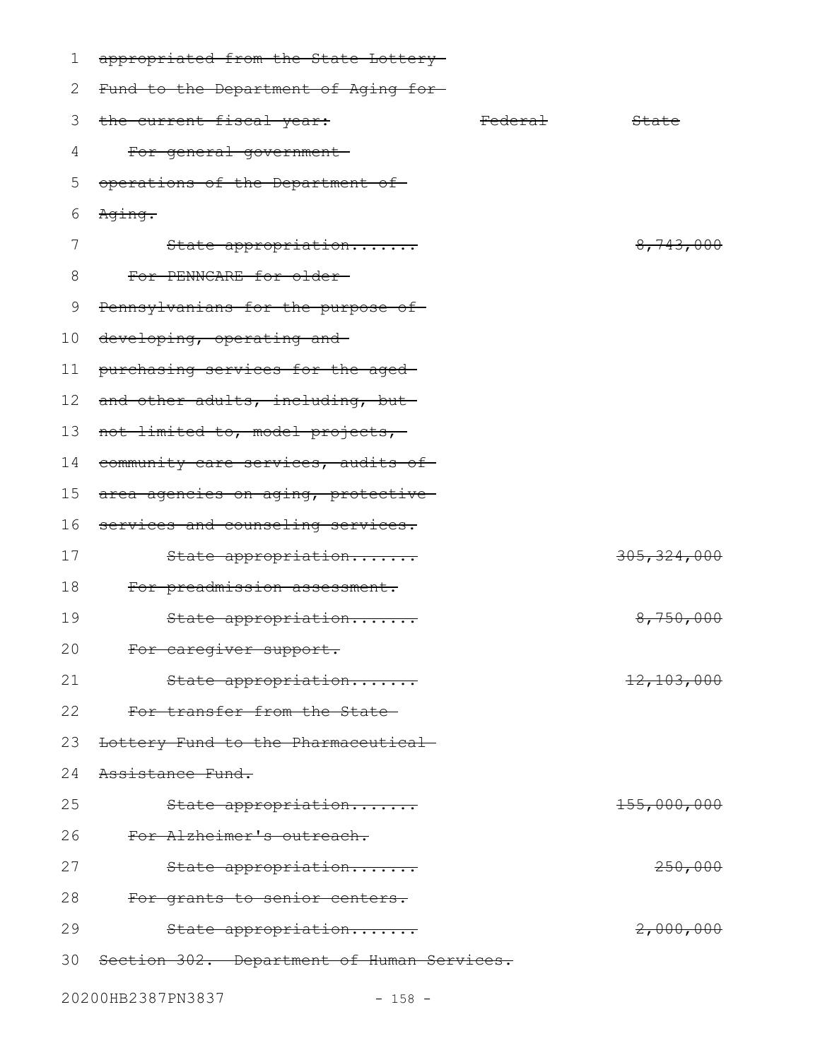| 1  | appropriated from the State Lottery-       |                    |             |
|----|--------------------------------------------|--------------------|-------------|
| 2  | Fund to the Department of Aging for-       |                    |             |
| 3  | the current fiscal year:                   | <del>Federal</del> | State       |
| 4  | For general government-                    |                    |             |
| 5  | operations of the Department of            |                    |             |
| 6  | Aging.                                     |                    |             |
| 7  | State appropriation                        |                    | 8,743,000   |
| 8  | For PENNCARE for older-                    |                    |             |
| 9  | Pennsylvanians for the purpose of-         |                    |             |
| 10 | developing, operating and                  |                    |             |
| 11 | purchasing services for the aged-          |                    |             |
| 12 | and other adults, including, but-          |                    |             |
| 13 | not limited to, model projects,            |                    |             |
| 14 | community care services, audits of-        |                    |             |
| 15 | area agencies on aging, protective-        |                    |             |
| 16 | services and counseling services.          |                    |             |
| 17 | State appropriation                        |                    | 305,324,000 |
| 18 | For preadmission assessment.               |                    |             |
| 19 | State appropriation                        |                    | 8,750,000   |
| 20 | For caregiver support.                     |                    |             |
| 21 | State appropriation                        |                    | 12,103,000  |
| 22 | For transfer from the State-               |                    |             |
| 23 | Lottery Fund to the Pharmaceutical-        |                    |             |
| 24 | Assistance Fund.                           |                    |             |
| 25 | State appropriation                        |                    | 155,000,000 |
| 26 | For Alzheimer's outreach.                  |                    |             |
| 27 | State appropriation                        |                    | 250,000     |
| 28 | For grants to senior centers.              |                    |             |
| 29 | State appropriation                        |                    | 2,000,000   |
| 30 | Section 302. Department of Human Services. |                    |             |
|    |                                            |                    |             |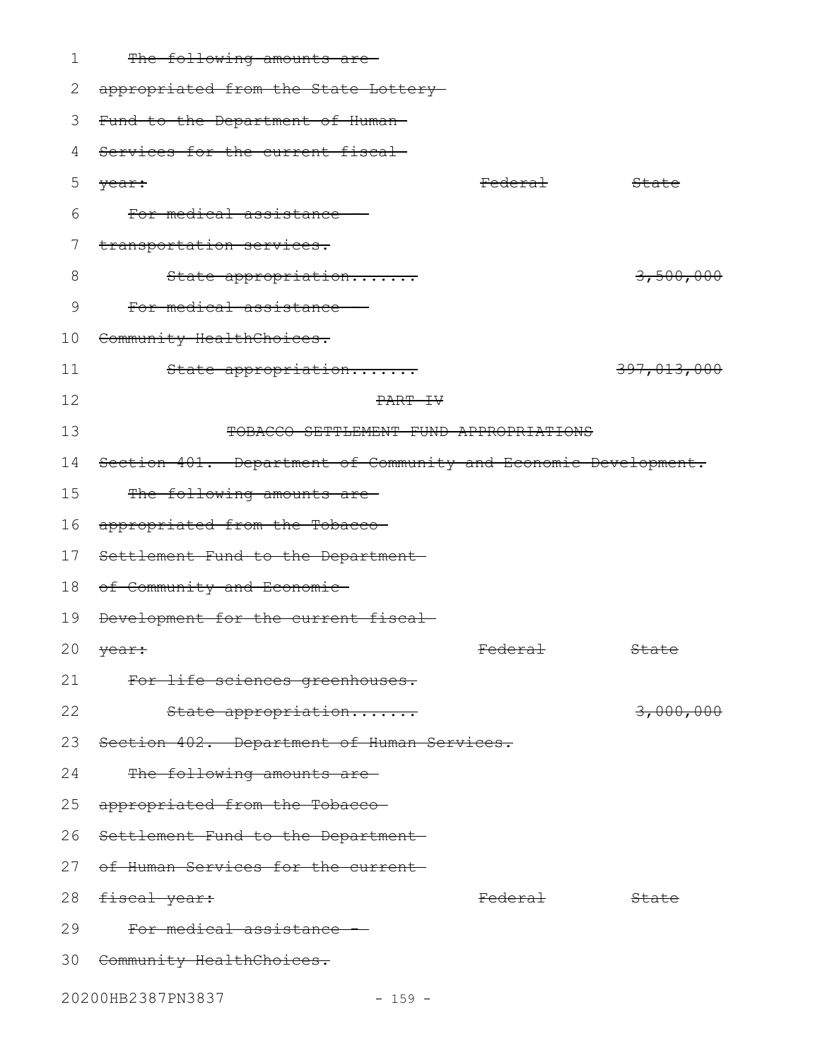| 1  | The following amounts are-                                     |                    |             |
|----|----------------------------------------------------------------|--------------------|-------------|
| 2  | appropriated from the State Lottery-                           |                    |             |
| 3  | Fund to the Department of Human-                               |                    |             |
| 4  | Services for the current fiscal                                |                    |             |
| 5  | year:                                                          | <del>Federal</del> | State       |
| 6  | For medical assistance                                         |                    |             |
| 7  | transportation services.                                       |                    |             |
| 8  | State appropriation                                            |                    | 3,500,000   |
| 9  | For medical assistance                                         |                    |             |
| 10 | Community HealthChoices.                                       |                    |             |
| 11 | State appropriation                                            |                    | 397,013,000 |
| 12 | PART IV                                                        |                    |             |
| 13 | TOBACCO SETTLEMENT FUND APPROPRIATIONS                         |                    |             |
| 14 | Section 401. Department of Community and Economic Development. |                    |             |
| 15 | The following amounts are-                                     |                    |             |
| 16 | appropriated from the Tobacco-                                 |                    |             |
| 17 | Settlement Fund to the Department-                             |                    |             |
| 18 | of Community and Economic-                                     |                    |             |
| 19 | Development for the current fiscal-                            |                    |             |
|    | 20 $\sqrt{ear}$ :                                              | Federal            | State       |
| 21 | For life sciences greenhouses.                                 |                    |             |
| 22 | State appropriation                                            |                    | 3,000,000   |
|    | 23 Section 402. Department of Human Services.                  |                    |             |
| 24 | The following amounts are-                                     |                    |             |
| 25 | appropriated from the Tobacco-                                 |                    |             |
|    | 26 Settlement Fund to the Department-                          |                    |             |
|    | 27 of Human Services for the current-                          |                    |             |
|    | 28 fiscal year:                                                | <del>Federal</del> | State       |
| 29 | For medical assistance                                         |                    |             |
|    | 30 Community HealthChoices.                                    |                    |             |
|    | 20200HB2387PN3837<br>$-159 -$                                  |                    |             |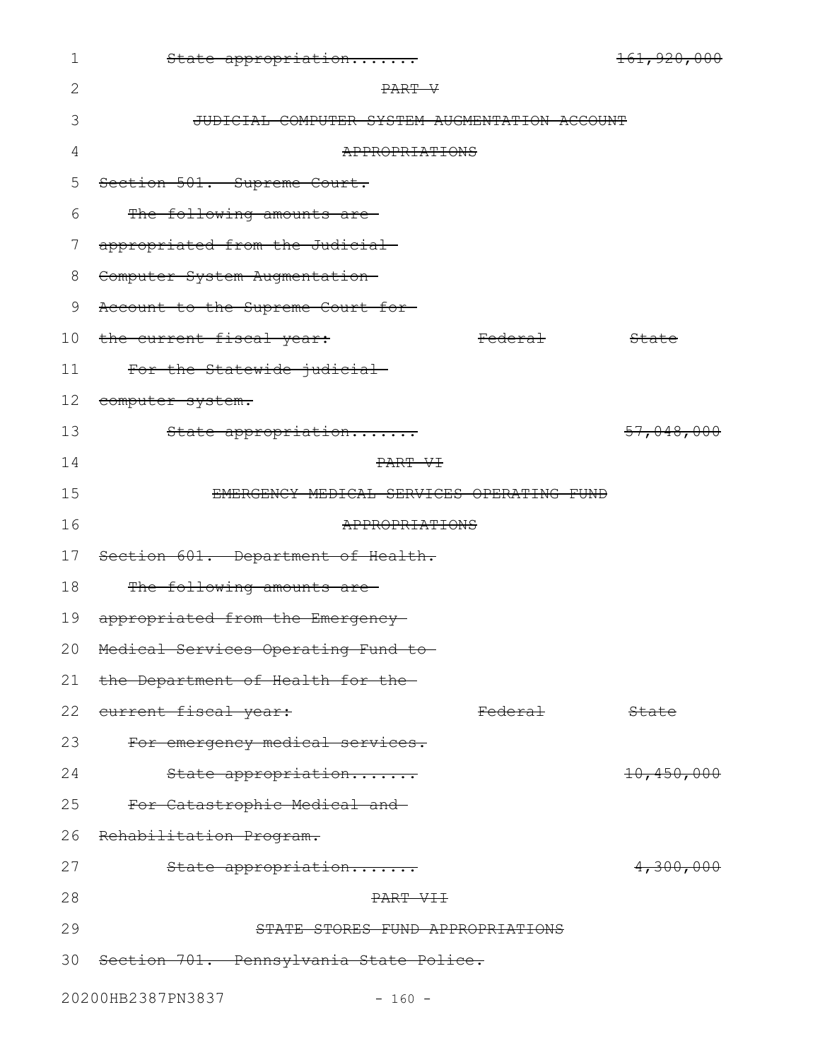| $\mathbf 1$ | State appropriation                           |                     | 161,920,000 |
|-------------|-----------------------------------------------|---------------------|-------------|
| 2           | PART V                                        |                     |             |
| 3           | JUDICIAL COMPUTER SYSTEM AUGMENTATION ACCOUNT |                     |             |
| 4           | APPROPRIATIONS                                |                     |             |
| 5           | Section 501. Supreme Court.                   |                     |             |
| 6           | The following amounts are-                    |                     |             |
| 7           | appropriated from the Judicial-               |                     |             |
| 8           | Computer System Augmentation-                 |                     |             |
| 9           | Account to the Supreme Court for-             |                     |             |
| 10          | the current fiscal year:                      | Federa <del>l</del> | State       |
| 11          | For the Statewide judicial-                   |                     |             |
| 12          | computer system.                              |                     |             |
| 13          | State appropriation                           |                     | 57,048,000  |
| 14          | PART VI                                       |                     |             |
| 15          | EMERGENCY MEDICAL SERVICES OPERATING FUND     |                     |             |
| 16          | APPROPRIATIONS                                |                     |             |
| 17          | Section 601. Department of Health.            |                     |             |
| 18          | The following amounts are                     |                     |             |
| 19          | appropriated from the Emergency               |                     |             |
|             | 20 Medical Services Operating Fund to-        |                     |             |
| 21          | the Department of Health for the-             |                     |             |
| 22          | current fiscal year:                          | <del>Federal</del>  | State       |
| 23          | For emergency medical services.               |                     |             |
| 24          | State appropriation                           |                     | 10,450,000  |
| 25          | For Catastrophic Medical and-                 |                     |             |
| 26          | Rehabilitation Program.                       |                     |             |
| 27          | State appropriation                           |                     | 4,300,000   |
| 28          | PART VII                                      |                     |             |
| 29          | STATE STORES FUND APPROPRIATIONS              |                     |             |
| 30          | Section 701. Pennsylvania State Police.       |                     |             |
|             | 20200HB2387PN3837<br>$-160 -$                 |                     |             |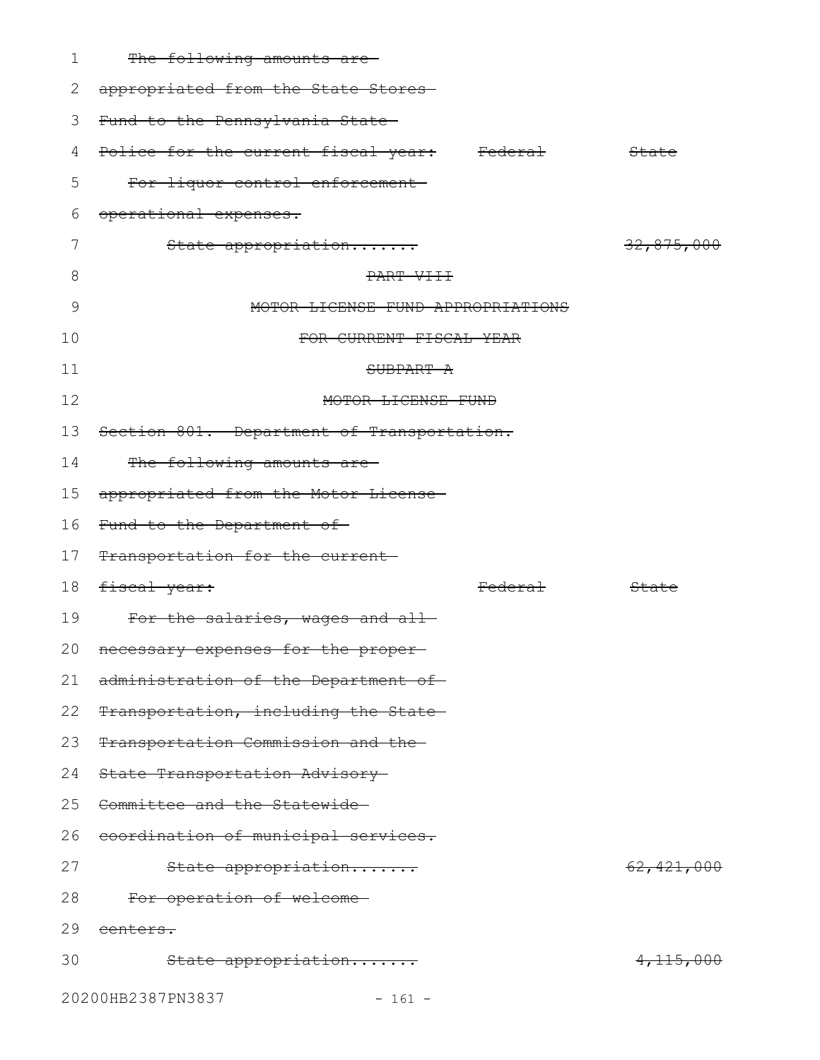| 1  | The following amounts are-                  |            |
|----|---------------------------------------------|------------|
| 2  | appropriated from the State Stores-         |            |
| 3  | Fund to the Pennsylvania State              |            |
| 4  | Police for the current fiscal year: Federal | State      |
| 5  | For liquor control enforcement-             |            |
| 6  | operational expenses.                       |            |
|    | State appropriation                         | 32,875,000 |
| 8  | PART VIII                                   |            |
| 9  | MOTOR LICENSE FUND APPROPRIATIONS           |            |
| 10 | FOR CURRENT FISCAL YEAR                     |            |
| 11 | SUBPART A                                   |            |
| 12 | MOTOR LICENSE FUND                          |            |
| 13 | Section 801. Department of Transportation.  |            |
| 14 | The following amounts are-                  |            |
| 15 | appropriated from the Motor License-        |            |
| 16 | Fund to the Department of-                  |            |
| 17 | Transportation for the current              |            |
| 18 | fiscal year:<br><del>Federal</del>          | State      |
| 19 | For the salaries, wages and all-            |            |
| 20 | necessary expenses for the proper           |            |
| 21 | administration of the Department of-        |            |
| 22 | Transportation, including the State-        |            |
| 23 | Transportation Commission and the-          |            |
| 24 | State Transportation Advisory-              |            |
| 25 | Committee and the Statewide-                |            |
| 26 | coordination of municipal services.         |            |
| 27 | State appropriation                         | 62,421,000 |
| 28 | For operation of welcome                    |            |
| 29 | <del>centers.</del>                         |            |
| 30 | State appropriation                         | 4,115,000  |
|    | 20200HB2387PN3837<br>$-161 -$               |            |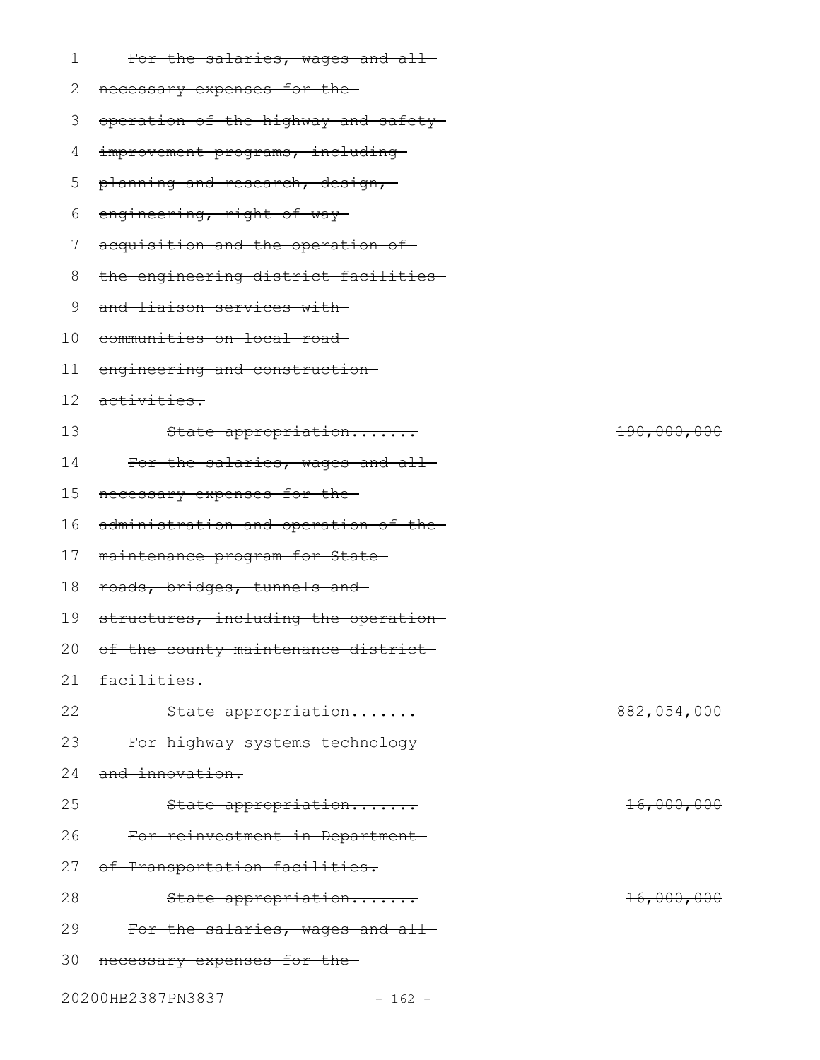| For the salaries, wages and all-       |
|----------------------------------------|
| 2 necessary expenses for the           |
| 3 operation of the highway and safety- |
| 4 improvement programs, including      |

- 5 p<del>lanning and research, design,</del>
- 6 engineering, right-of-way
- 7 acquisition and the operation of
- 8 the engineering district facilities
- 9 and liaison services with
- 10 communities on local road
- engineering and construction 11
- 12 activities.
- State appropriation....... 190,000,000 For the salaries, wages and all-13 14
- necessary expenses for the 15
- 16 administration and operation of the
- 17 maintenance program for State
- 18 roads, bridges, tunnels and
- 19 structures, including the operation
- 20 of the county maintenance district
- facilities. 21
- State appropriation....... 882,054,000 22
- For highway systems technology 23
- and innovation. 24
- State appropriation....... 16,000,000 For reinvestment in Department 27 of Transportation facilities. 25 26
- State appropriation....... 16,000,000 28
- For the salaries, wages and all-29
- 30 necessary expenses for the
- 20200HB2387PN3837 162 -
	-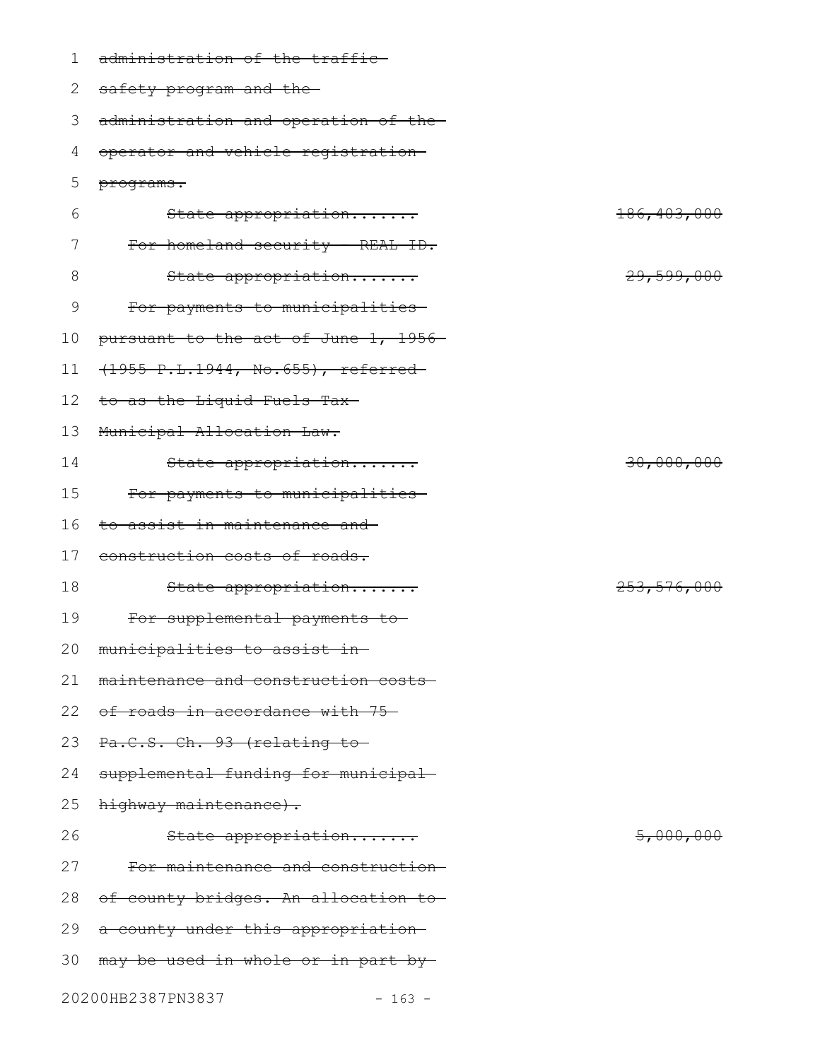| $\mathbf 1$   | administration of the traffic-       |                      |
|---------------|--------------------------------------|----------------------|
| 2             | safety program and the-              |                      |
| 3             | administration and operation of the- |                      |
| 4             | operator and vehicle registration-   |                      |
| 5             | programs.                            |                      |
| 6             | State appropriation                  | 186, 403, 000        |
| 7             | For homeland security - REAL ID.     |                      |
| 8             | State appropriation                  | 29,599,000           |
| $\mathcal{G}$ | For payments to municipalities-      |                      |
| 10            | pursuant to the act of June 1, 1956- |                      |
| 11            | (1955 P.L.1944, No.655), referred-   |                      |
| 12            | to as the Liquid Fuels Tax-          |                      |
| 13            | Municipal Allocation Law.            |                      |
| 14            | State appropriation                  | 30,000,000           |
| 15            | For payments to municipalities-      |                      |
| 16            | to assist in maintenance and         |                      |
| 17            | construction costs of roads.         |                      |
| 18            | State appropriation                  | 253,576,000          |
| 19            | For supplemental payments to-        |                      |
| 20            | municipalities to assist in          |                      |
| 21            | maintenance and construction costs-  |                      |
| 22            | of roads in accordance with 75-      |                      |
| 23            | Pa.C.S. Ch. 93 (relating to-         |                      |
| 24            | supplemental funding for municipal-  |                      |
| 25            | highway maintenance).                |                      |
| 26            | State appropriation                  | <del>5,000,000</del> |
| 27            | For maintenance and construction-    |                      |
| 28            | of county bridges. An allocation to- |                      |
| 29            | a county under this appropriation-   |                      |
| 30            | may be used in whole or in part by-  |                      |
|               |                                      |                      |

20200HB2387PN3837 - 163 -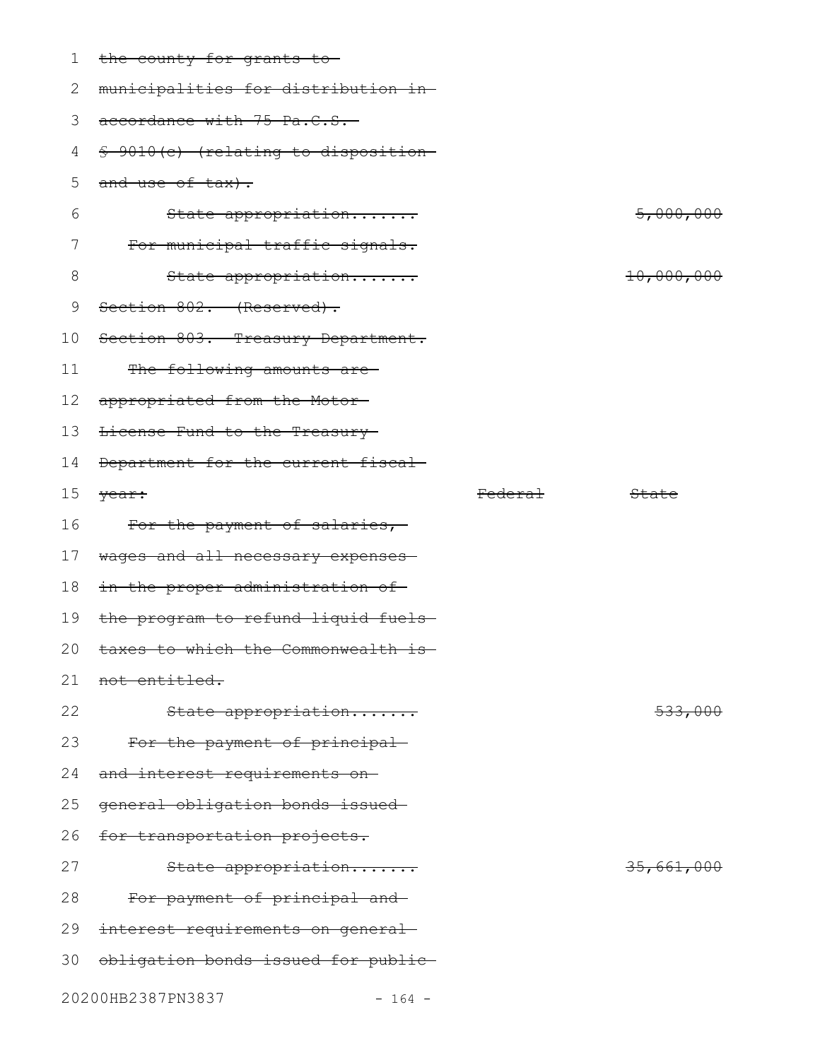| 1  | the county for grants to-             |                    |                       |
|----|---------------------------------------|--------------------|-----------------------|
| 2  | municipalities for distribution in-   |                    |                       |
| 3  | accordance with 75 Pa.C.S.            |                    |                       |
| 4  | \$ 9010 (c) (relating to disposition- |                    |                       |
| 5  | and use of tax).                      |                    |                       |
| 6  | State appropriation                   |                    | 5,000,000             |
| 7  | For municipal traffic signals.        |                    |                       |
| 8  | State appropriation                   |                    | <del>10,000,000</del> |
| 9  | Section 802. (Reserved).              |                    |                       |
| 10 | Section 803. Treasury Department.     |                    |                       |
| 11 | The following amounts are-            |                    |                       |
| 12 | appropriated from the Motor-          |                    |                       |
| 13 | License Fund to the Treasury-         |                    |                       |
| 14 | Department for the current fiscal-    |                    |                       |
| 15 | year:                                 | <del>Federal</del> | State                 |
|    |                                       |                    |                       |
| 16 | For the payment of salaries,          |                    |                       |
| 17 | wages and all necessary expenses-     |                    |                       |
| 18 | in the proper administration of       |                    |                       |
| 19 | the program to refund liquid fuels-   |                    |                       |
| 20 | taxes to which the Commonwealth is-   |                    |                       |
| 21 | not entitled.                         |                    |                       |
| 22 | State appropriation                   |                    | 533,000               |
| 23 | For the payment of principal-         |                    |                       |
| 24 | and interest requirements on-         |                    |                       |
| 25 | general obligation bonds issued       |                    |                       |
| 26 | for transportation projects.          |                    |                       |
| 27 | State appropriation                   |                    | 35,661,000            |
| 28 | For payment of principal and-         |                    |                       |
| 29 | interest requirements on general-     |                    |                       |
| 30 | obligation bonds issued for public-   |                    |                       |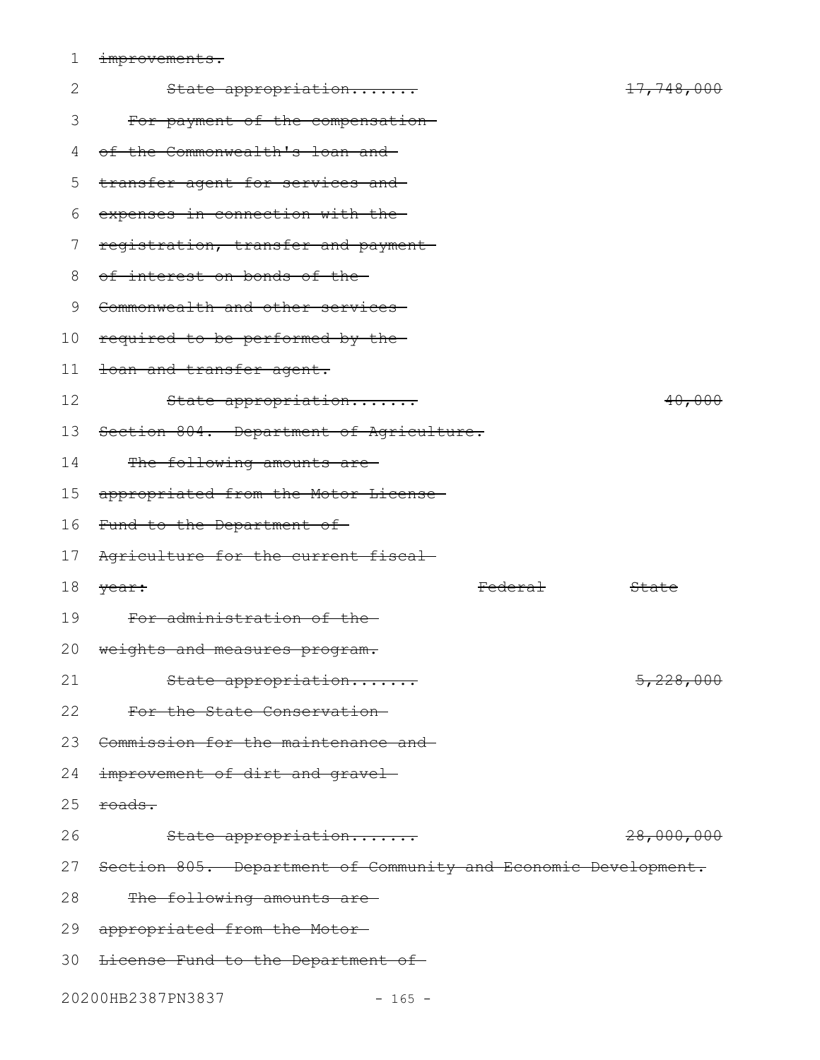1 improvements.

| $\mathbf{2}$ | State appropriation                                               | <del>17,748,000</del> |
|--------------|-------------------------------------------------------------------|-----------------------|
| 3            | For payment of the compensation-                                  |                       |
| 4            | of the Commonwealth's loan and                                    |                       |
| 5            | transfer agent for services and                                   |                       |
| 6            | expenses in connection with the                                   |                       |
| 7            | registration, transfer and payment-                               |                       |
| 8            | of interest on bonds of the-                                      |                       |
| 9            | Commonwealth and other services                                   |                       |
| 10           | required to be performed by the                                   |                       |
| 11           | toan and transfer agent.                                          |                       |
| 12           | State appropriation                                               | 40,000                |
| 13           | Section 804. Department of Agriculture.                           |                       |
| 14           | The following amounts are-                                        |                       |
| 15           | appropriated from the Motor License-                              |                       |
| 16           | Fund to the Department of-                                        |                       |
| 17           | Agriculture for the current fiscal-                               |                       |
| 18           | Federal<br>year:                                                  | State                 |
| 19           | For administration of the-                                        |                       |
| 20           | weights and measures program.                                     |                       |
| 21           | State appropriation                                               | 5,228,000             |
| 22           | For the State Conservation-                                       |                       |
| 23           | Commission for the maintenance and                                |                       |
| 24           | improvement of dirt and gravel-                                   |                       |
| 25           | roads.                                                            |                       |
| 26           |                                                                   |                       |
|              | State appropriation                                               | 28,000,000            |
|              | 27 Section 805. Department of Community and Economic Development. |                       |
| 28           | The following amounts are-                                        |                       |
| 29           | appropriated from the Motor-                                      |                       |
|              | 30 <del>License Fund to the Department of</del>                   |                       |

20200HB2387PN3837 - 165 -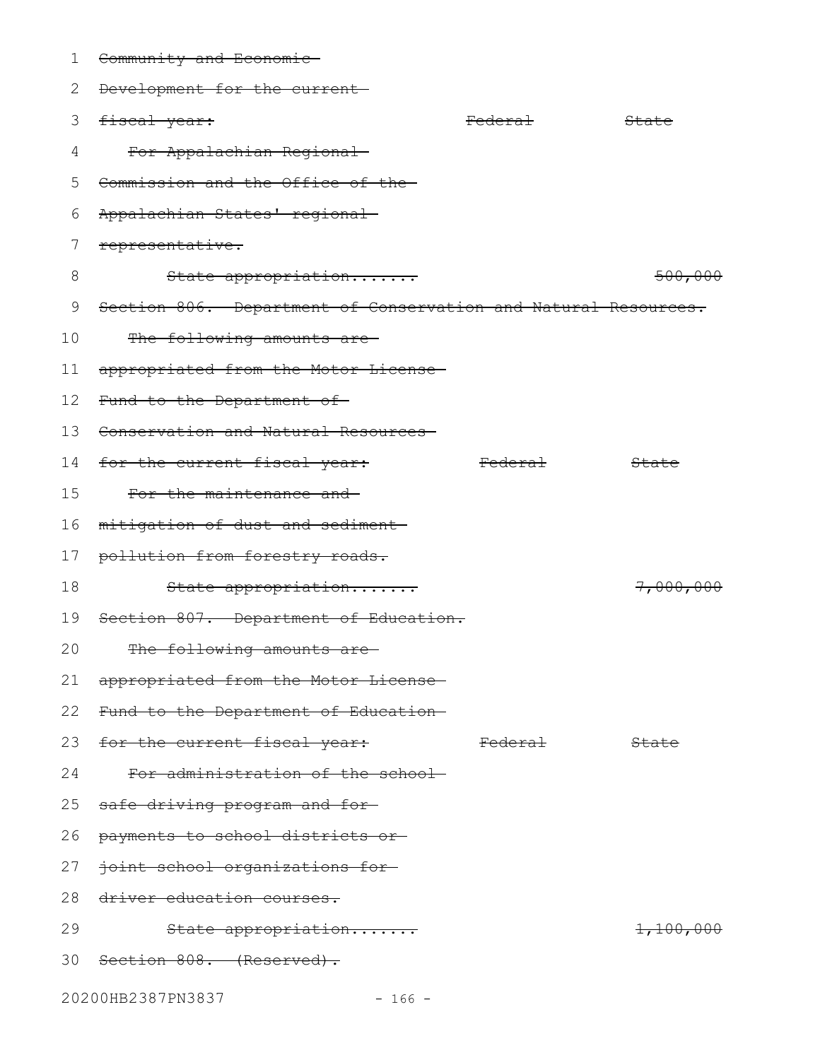| ı  | Community and Economic-                                        |                    |                      |
|----|----------------------------------------------------------------|--------------------|----------------------|
| 2  | Development for the current-                                   |                    |                      |
| 3  | fiscal year:                                                   | <del>Federal</del> | State                |
| 4  | For Appalachian Regional                                       |                    |                      |
| 5  | Commission and the Office of the-                              |                    |                      |
| 6  | Appalachian States' regional-                                  |                    |                      |
| 7  | representative.                                                |                    |                      |
| 8  | State appropriation                                            |                    | 500,000              |
| 9  | Section 806. Department of Conservation and Natural Resources. |                    |                      |
| 10 | The following amounts are-                                     |                    |                      |
| 11 | appropriated from the Motor License-                           |                    |                      |
| 12 | Fund to the Department of-                                     |                    |                      |
| 13 | Conservation and Natural Resources-                            |                    |                      |
| 14 | for the current fiscal year:                                   | <del>Federal</del> | State                |
| 15 | For the maintenance and                                        |                    |                      |
| 16 | mitigation of dust and sediment                                |                    |                      |
| 17 | pollution from forestry roads.                                 |                    |                      |
| 18 | State appropriation                                            |                    | <del>7,000,000</del> |
| 19 | Section 807. Department of Education.                          |                    |                      |
| 20 | The following amounts are-                                     |                    |                      |
| 21 | appropriated from the Motor License-                           |                    |                      |
| 22 | Fund to the Department of Education-                           |                    |                      |
|    | 23 <del>for the current fiscal year:</del>                     | <del>Federal</del> | State                |
| 24 | For administration of the school-                              |                    |                      |
| 25 | safe driving program and for-                                  |                    |                      |
| 26 | payments to school districts or                                |                    |                      |
| 27 | joint school organizations for                                 |                    |                      |
| 28 | driver education courses.                                      |                    |                      |
| 29 | State appropriation                                            |                    | 1,100,000            |
|    | 30 Section 808. (Reserved).                                    |                    |                      |
|    | 20200HB2387PN3837<br>$-166 -$                                  |                    |                      |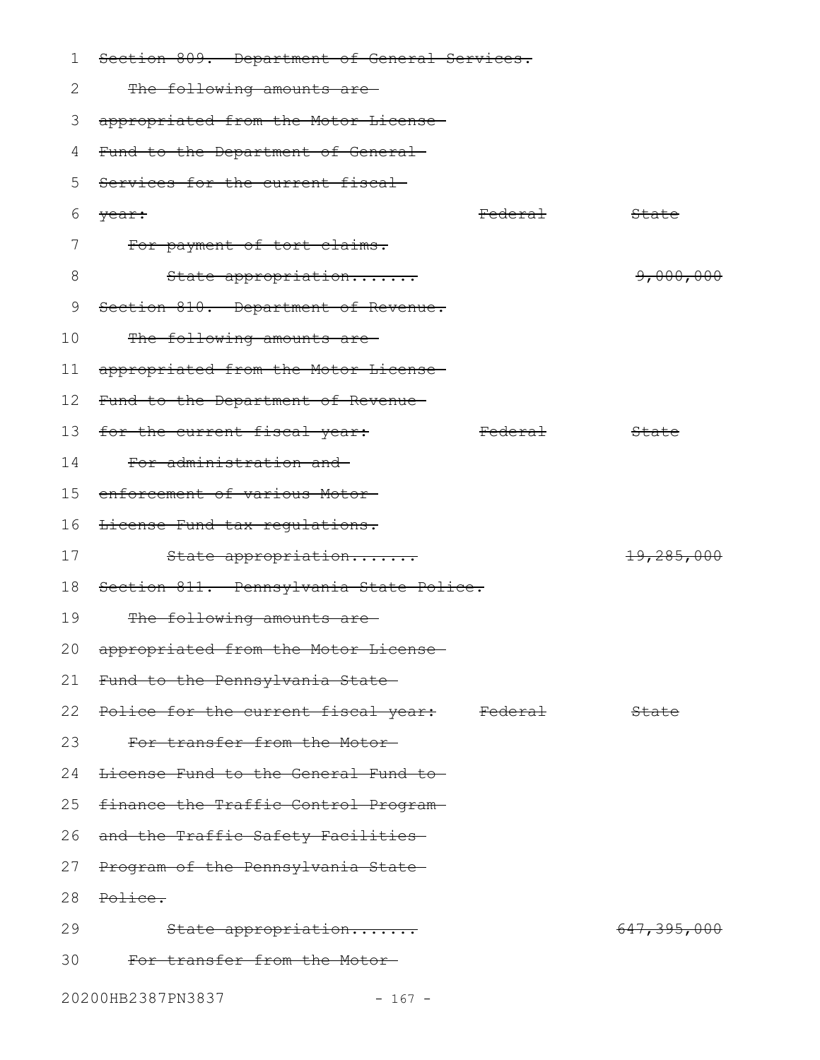| 1               | Section 809. Department of General Services.   |                    |                          |
|-----------------|------------------------------------------------|--------------------|--------------------------|
| 2               | The following amounts are-                     |                    |                          |
| 3               | appropriated from the Motor License-           |                    |                          |
| 4               | Fund to the Department of General-             |                    |                          |
| 5               | Services for the current fiscal                |                    |                          |
| 6               | year:                                          | <del>Federal</del> | State                    |
| 7               | For payment of tort claims.                    |                    |                          |
| 8               | State appropriation                            |                    | 9,000,000                |
| 9               | Section 810. Department of Revenue.            |                    |                          |
| 10              | The following amounts are-                     |                    |                          |
| 11              | appropriated from the Motor License-           |                    |                          |
| 12 <sup>°</sup> | Fund to the Department of Revenue-             |                    |                          |
| 13              | for the current fiscal year:                   | <del>Federal</del> | State                    |
| 14              | For administration and                         |                    |                          |
| 15              | enforcement of various Motor-                  |                    |                          |
| 16              | License Fund tax regulations.                  |                    |                          |
| 17              | State appropriation                            |                    | <del>19,285,000</del>    |
| 18              | Section 811. Pennsylvania State Police.        |                    |                          |
| 19              | The following amounts are-                     |                    |                          |
| 20              | appropriated from the Motor License-           |                    |                          |
| 21              | Fund to the Pennsylvania State-                |                    |                          |
|                 | 22 Police for the current fiscal year: Federal |                    | <b>State</b>             |
| 23              | For transfer from the Motor-                   |                    |                          |
| 24              | License Fund to the General Fund to            |                    |                          |
| 25              | finance the Traffic Control Program-           |                    |                          |
| 26              | and the Traffic Safety Facilities-             |                    |                          |
| 27              | Program of the Pennsylvania State-             |                    |                          |
| 28              | Police.                                        |                    |                          |
| 29              | State appropriation                            |                    | <del>647, 395, 000</del> |
| 30              | For transfer from the Motor-                   |                    |                          |
|                 | 20200HB2387PN3837<br>$-167 -$                  |                    |                          |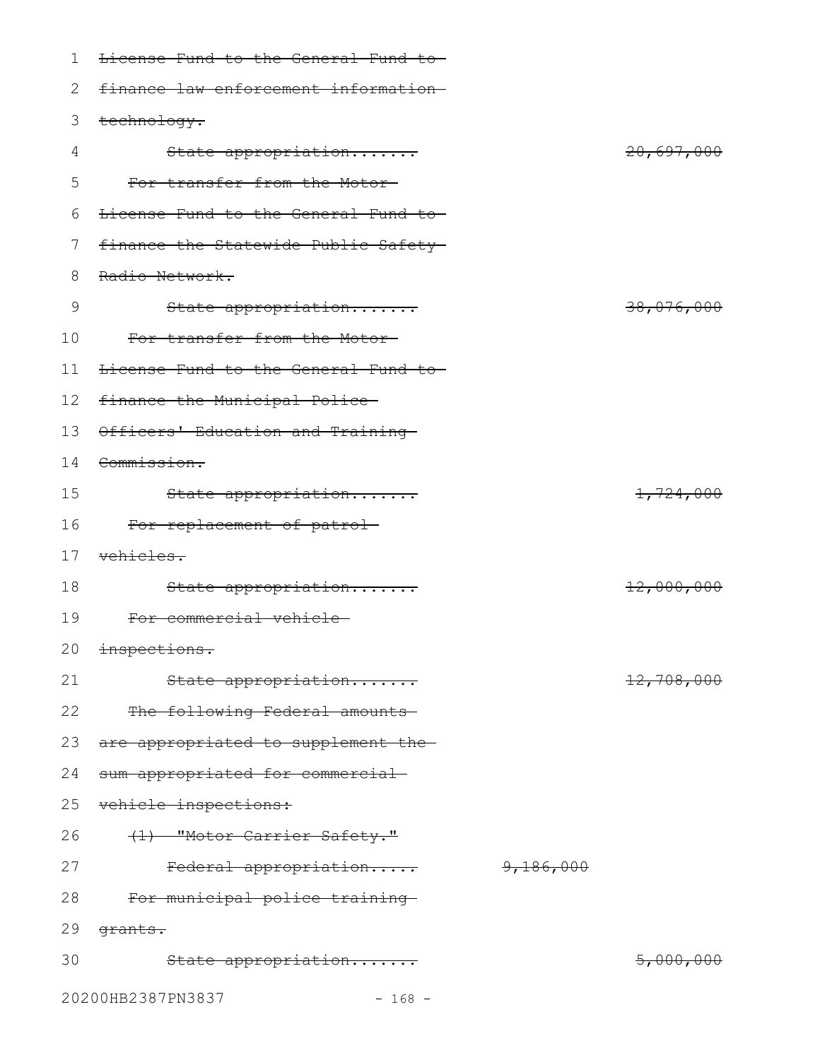| 1               | License Fund to the General Fund to- |           |                       |
|-----------------|--------------------------------------|-----------|-----------------------|
| 2               | finance law enforcement information- |           |                       |
| 3               | technology.                          |           |                       |
| 4               | State appropriation                  |           | 20,697,000            |
| 5               | For transfer from the Motor-         |           |                       |
| 6               | License Fund to the General Fund to- |           |                       |
| 7               | finance the Statewide Public Safety- |           |                       |
| 8               | Radio Network.                       |           |                       |
| 9               | State appropriation                  |           | <del>38,076,000</del> |
| 10              | For transfer from the Motor-         |           |                       |
| 11              | License Fund to the General Fund to- |           |                       |
| 12 <sup>°</sup> | finance the Municipal Police-        |           |                       |
| 13              | Officers' Education and Training     |           |                       |
| 14              | Commission.                          |           |                       |
| 15              | State appropriation                  |           | 1,724,000             |
| 16              | For replacement of patrol-           |           |                       |
| 17              | <del>vehicles.</del>                 |           |                       |
| 18              | State appropriation                  |           | 12,000,000            |
| 19              | For commercial vehicle-              |           |                       |
|                 | 20 inspections.                      |           |                       |
| 21              | State appropriation                  |           | 12,708,000            |
| 22              | The following Federal amounts        |           |                       |
| 23              | are appropriated to supplement the-  |           |                       |
| 24              | sum appropriated for commercial      |           |                       |
| 25              | vehicle inspections:                 |           |                       |
| 26              | (1) "Motor Carrier Safety."          |           |                       |
| 27              | Federal appropriation                | 9,186,000 |                       |
| 28              | For municipal police training        |           |                       |
| 29              | grants.                              |           |                       |
| 30              | State appropriation                  |           | 5,000,000             |
|                 | 20200HB2387PN3837<br>$-168 -$        |           |                       |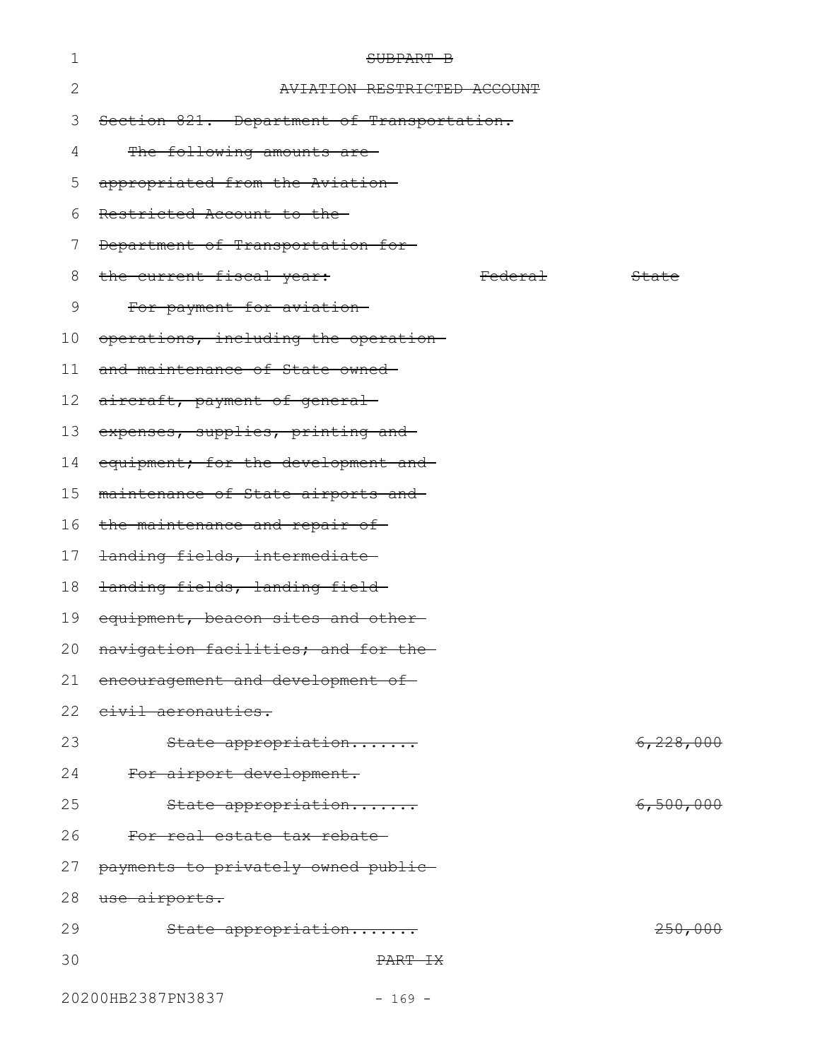| 1  | SUBPART B                                  |                    |           |
|----|--------------------------------------------|--------------------|-----------|
| 2  | <b>TATION RESTRICTED ACCOUNT</b>           |                    |           |
| 3  | Section 821. Department of Transportation. |                    |           |
| 4  | The following amounts are-                 |                    |           |
| 5  | appropriated from the Aviation-            |                    |           |
| 6  | Restricted Account to the                  |                    |           |
| 7  | Department of Transportation for-          |                    |           |
| 8  | the current fiscal year:                   | <del>Federal</del> | State     |
| 9  | For payment for aviation                   |                    |           |
| 10 | operations, including the operation-       |                    |           |
| 11 | and maintenance of State-owned-            |                    |           |
| 12 | aircraft, payment of general-              |                    |           |
| 13 | expenses, supplies, printing and           |                    |           |
| 14 | equipment; for the development and         |                    |           |
| 15 | maintenance of State airports and-         |                    |           |
| 16 | the maintenance and repair of-             |                    |           |
| 17 | landing fields, intermediate-              |                    |           |
| 18 | landing fields, landing field-             |                    |           |
| 19 | equipment, beacon sites and other-         |                    |           |
|    | 20 navigation facilities; and for the      |                    |           |
| 21 | encouragement and development of-          |                    |           |
| 22 | civil aeronautics.                         |                    |           |
| 23 | State appropriation                        |                    | 6,228,000 |
| 24 | For airport development.                   |                    |           |
| 25 | State appropriation                        |                    | 6,500,000 |
| 26 | For real estate tax rebate                 |                    |           |
| 27 | payments to privately owned public-        |                    |           |
| 28 | use airports.                              |                    |           |
| 29 | State appropriation                        |                    | 250,000   |
| 30 | PART IX                                    |                    |           |
|    | 20200HB2387PN3837<br>$-169 -$              |                    |           |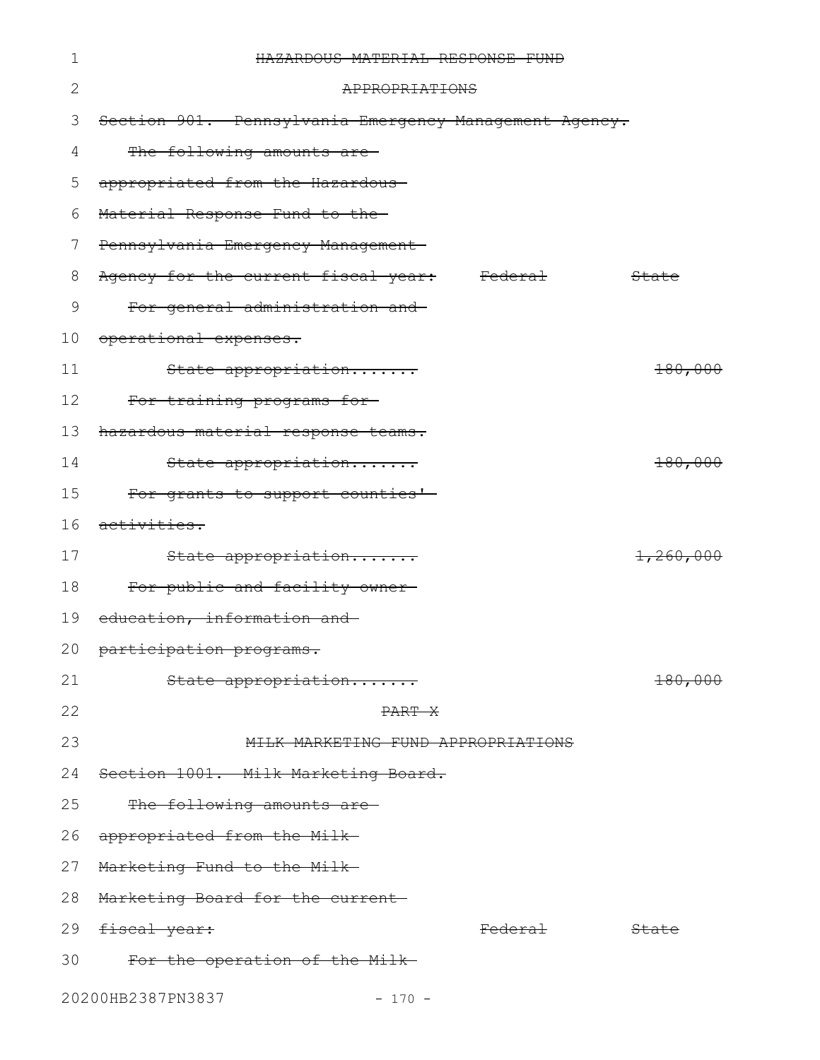| 1  | HAZARDOUS MATERIAL RESPONSE FUND                       |                    |                    |
|----|--------------------------------------------------------|--------------------|--------------------|
| 2  | APPROPRIATIONS                                         |                    |                    |
| 3  | Section 901. Pennsylvania Emergency Management Agency. |                    |                    |
| 4  | The following amounts are-                             |                    |                    |
| 5  | appropriated from the Hazardous                        |                    |                    |
| 6  | Material Response Fund to the-                         |                    |                    |
| 7  | Pennsylvania Emergency Management-                     |                    |                    |
| 8  | Agency for the current fiscal year:                    | <del>Federal</del> | State              |
| 9  | For general administration and                         |                    |                    |
| 10 | operational expenses.                                  |                    |                    |
| 11 | State appropriation                                    |                    | 180,000            |
| 12 | For training programs for-                             |                    |                    |
| 13 | hazardous material response teams.                     |                    |                    |
| 14 | State appropriation                                    |                    | 180,000            |
| 15 | For grants to support counties'-                       |                    |                    |
| 16 | <del>activities.</del>                                 |                    |                    |
| 17 | State appropriation                                    |                    | 1,260,000          |
| 18 | For public and facility owner-                         |                    |                    |
| 19 | education, information and                             |                    |                    |
|    | 20 participation programs.                             |                    |                    |
| 21 | State appropriation                                    |                    | <del>180,000</del> |
| 22 | PART X                                                 |                    |                    |
| 23 | MILK MARKETING FUND APPROPRIATIONS                     |                    |                    |
| 24 | Section 1001. Milk Marketing Board.                    |                    |                    |
| 25 | The following amounts are-                             |                    |                    |
|    | 26 appropriated from the Milk                          |                    |                    |
|    | 27 Marketing Fund to the Milk-                         |                    |                    |
|    | 28 Marketing Board for the current                     |                    |                    |
|    | 29 <del>fiscal year:</del>                             | <del>Federal</del> | <del>State</del>   |
| 30 | For the operation of the Milk-                         |                    |                    |
|    | 20200HB2387PN3837<br>$-170 -$                          |                    |                    |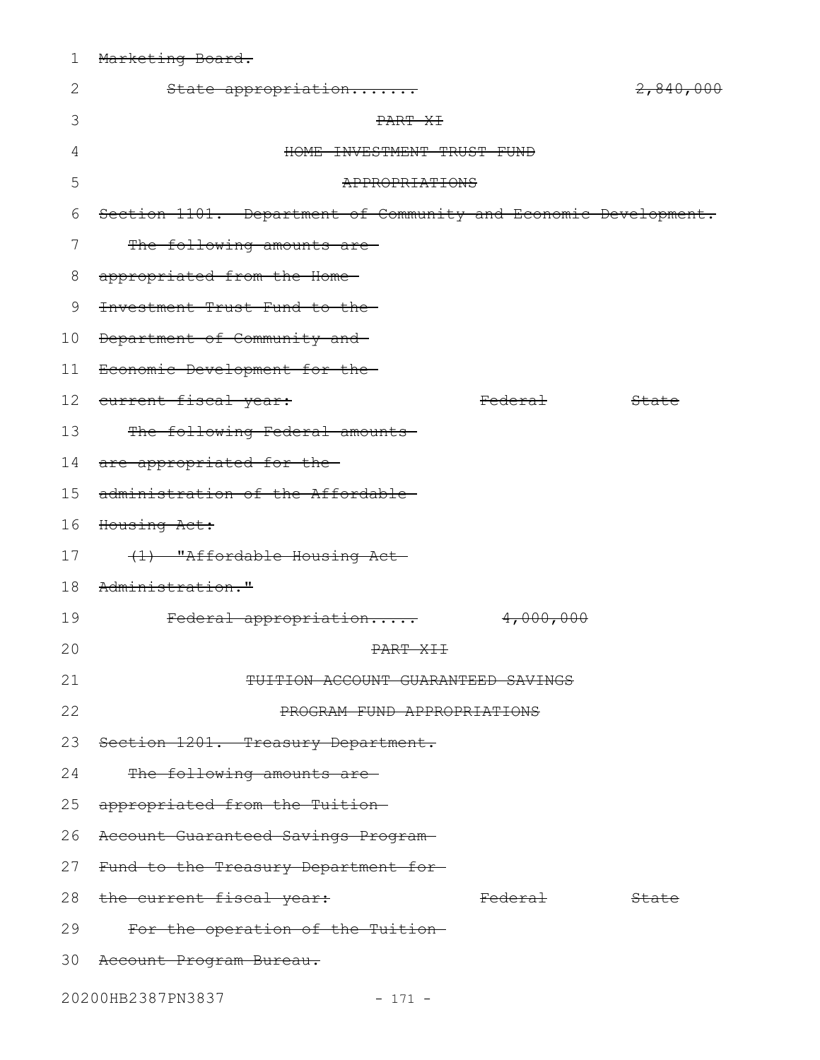| $\mathbf{2}$ | State appropriation                                             |                    | 2,840,000 |
|--------------|-----------------------------------------------------------------|--------------------|-----------|
| 3            | PART XI                                                         |                    |           |
| 4            | HOME INVESTMENT TRUST FUND                                      |                    |           |
| 5            | APPROPRIATIONS                                                  |                    |           |
| 6            | Section 1101. Department of Community and Economic Development. |                    |           |
| 7            | The following amounts are                                       |                    |           |
| 8            | appropriated from the Home-                                     |                    |           |
| 9            | Investment Trust Fund to the-                                   |                    |           |
| 10           | Department of Community and                                     |                    |           |
| 11           | Economic Development for the-                                   |                    |           |
| 12           | current fiscal year:                                            | <del>Federal</del> | State     |
| 13           | The following Federal amounts                                   |                    |           |
| 14           | are appropriated for the-                                       |                    |           |
| 15           | administration of the Affordable-                               |                    |           |
| 16           | Housing Act:                                                    |                    |           |
| 17           | (1) "Affordable Housing Act-                                    |                    |           |
| 18           | Administration."                                                |                    |           |
| 19           | Federal appropriation                                           | 4,000,000          |           |
| 20           | <del>PART XII</del>                                             |                    |           |
| 21           | TUITION ACCOUNT GUARANTEED SAVINGS                              |                    |           |
| 22           | PROGRAM FUND APPROPRIATIONS                                     |                    |           |
| 23           | Section 1201. Treasury Department.                              |                    |           |
| 24           | The following amounts are-                                      |                    |           |
| 25           | appropriated from the Tuition-                                  |                    |           |
| 26           | Account Guaranteed Savings Program-                             |                    |           |
| 27           | Fund to the Treasury Department for-                            |                    |           |
| 28           | the current fiscal year:                                        | <del>Federal</del> | State     |
| 29           | For the operation of the Tuition-                               |                    |           |
| 30           | <del>Account Program Bureau.</del>                              |                    |           |
|              | 20200HB2387PN3837<br>$-171 -$                                   |                    |           |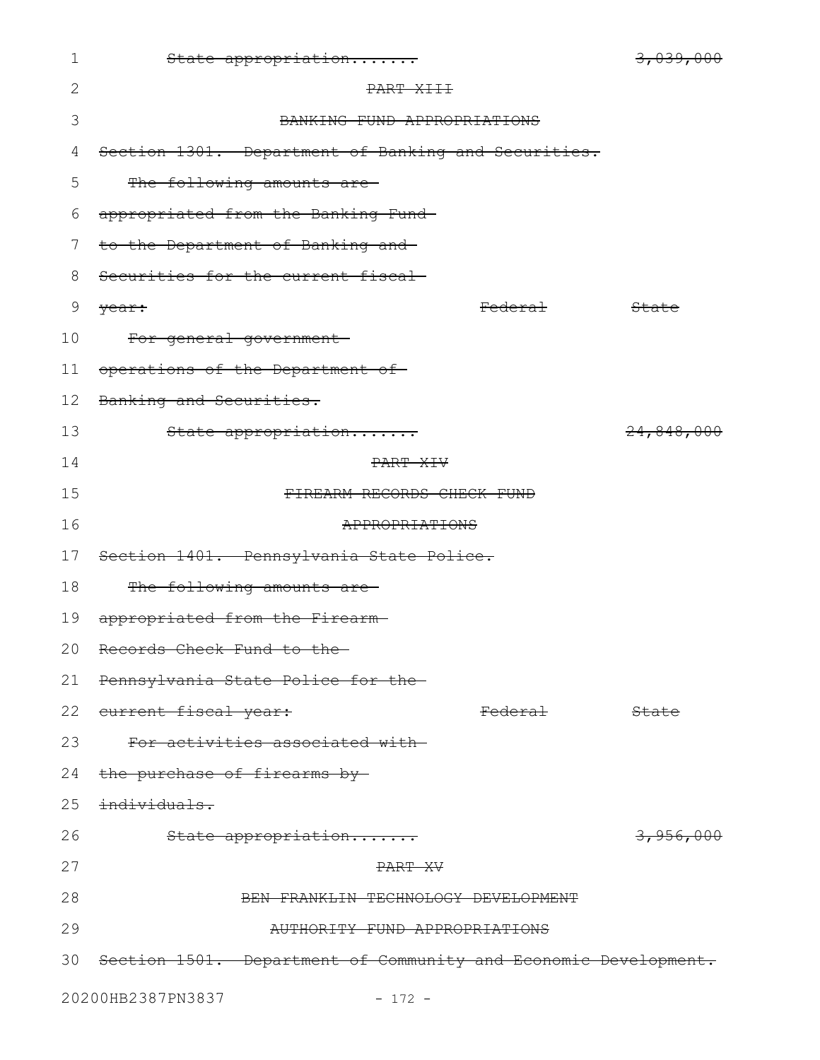| 1  | State appropriation                                             | 3,039,000            |
|----|-----------------------------------------------------------------|----------------------|
| 2  | PART XIII                                                       |                      |
| 3  | BANKING FUND APPROPRIATIONS                                     |                      |
| 4  | Section 1301. Department of Banking and Securities.             |                      |
| 5  | The following amounts are-                                      |                      |
| 6  | appropriated from the Banking Fund-                             |                      |
| 7  | to the Department of Banking and-                               |                      |
| 8  | Securities for the current fiscal-                              |                      |
| 9  | <del>Federal</del><br><del>year:</del>                          | State                |
| 10 | For general government-                                         |                      |
| 11 | operations of the Department of                                 |                      |
| 12 | Banking and Securities.                                         |                      |
| 13 | State appropriation                                             | 24,848,000           |
| 14 | PART XIV                                                        |                      |
| 15 | FIREARM RECORDS CHECK FUND                                      |                      |
| 16 | APPROPRIATIONS                                                  |                      |
| 17 | Section 1401. Pennsylvania State Police.                        |                      |
| 18 | The following amounts are-                                      |                      |
| 19 | appropriated from the Firearm-                                  |                      |
|    | 20 Records Check Fund to the                                    |                      |
| 21 | Pennsylvania State Police for the-                              |                      |
| 22 | <del>current fiscal year:</del><br><del>Federal</del>           | State                |
| 23 | For activities associated with-                                 |                      |
|    | 24 the purchase of firearms by                                  |                      |
| 25 | <del>individuals.</del>                                         |                      |
| 26 | State appropriation                                             | <del>3,956,000</del> |
| 27 | PART XV                                                         |                      |
| 28 | BEN FRANKLIN TECHNOLOGY DEVELOPMENT                             |                      |
| 29 | AUTHORITY FUND APPROPRIATIONS                                   |                      |
| 30 | Section 1501. Department of Community and Economic Development. |                      |
|    | 20200HB2387PN3837<br>$-172 -$                                   |                      |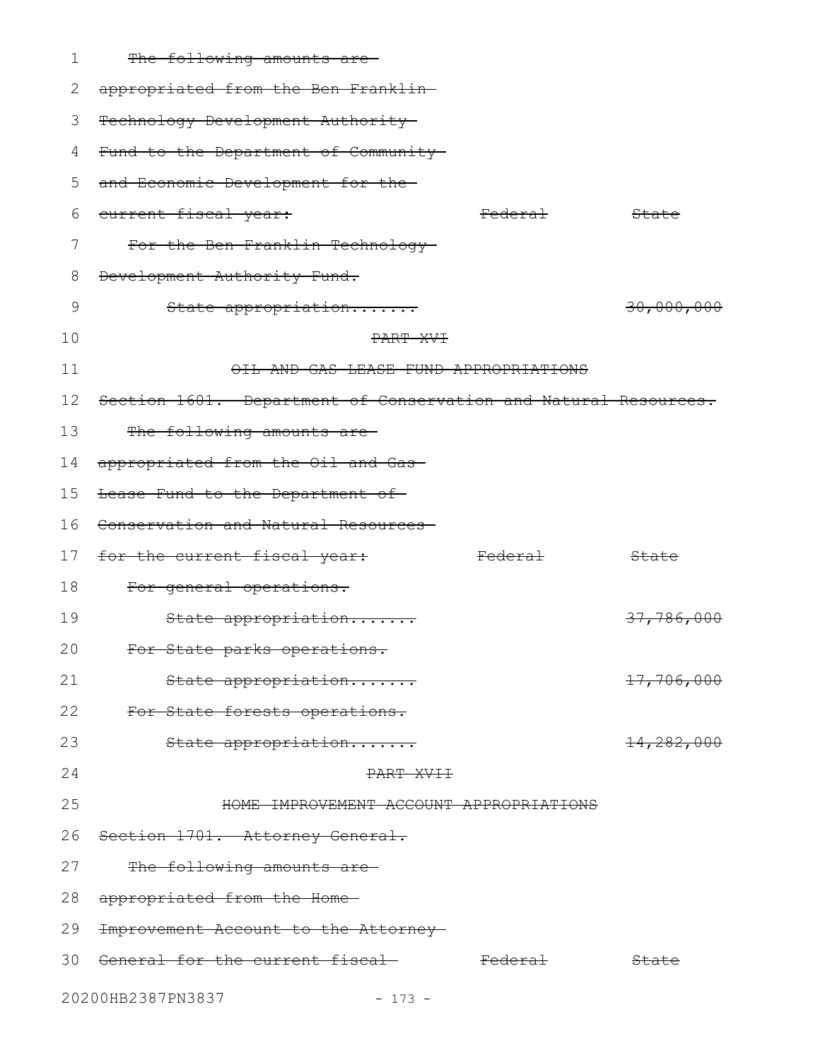| 1  | The following amounts are-                                      |                    |                       |
|----|-----------------------------------------------------------------|--------------------|-----------------------|
| 2  | appropriated from the Ben Franklin-                             |                    |                       |
| 3  | Technology Development Authority-                               |                    |                       |
| 4  | Fund to the Department of Community                             |                    |                       |
| 5  | and Economic Development for the-                               |                    |                       |
| 6  | eurrent fiscal year:                                            | <del>Federal</del> | State                 |
| 7  | For the Ben Franklin Technology-                                |                    |                       |
| 8  | Development Authority Fund.                                     |                    |                       |
| 9  | State appropriation                                             |                    | 30,000,000            |
| 10 | PART XVT                                                        |                    |                       |
| 11 | OIL AND GAS LEASE FUND APPROPRIATIONS                           |                    |                       |
| 12 | Section 1601. Department of Conservation and Natural Resources. |                    |                       |
| 13 | The following amounts are-                                      |                    |                       |
| 14 | appropriated from the Oil and Gas-                              |                    |                       |
| 15 | Lease Fund to the Department of-                                |                    |                       |
| 16 | Conservation and Natural Resources-                             |                    |                       |
| 17 | for the current fiscal year:                                    | <del>Federal</del> | State                 |
| 18 | For general operations.                                         |                    |                       |
| 19 | State appropriation                                             |                    | <del>37,786,000</del> |
| 20 | For State parks operations.                                     |                    |                       |
| 21 | State appropriation                                             |                    | 17,706,000            |
| 22 | For State forests operations.                                   |                    |                       |
| 23 | State appropriation                                             |                    | <del>14,282,000</del> |
| 24 | PART XVII                                                       |                    |                       |
| 25 | HOME IMPROVEMENT ACCOUNT APPROPRIATIONS                         |                    |                       |
| 26 | Section 1701. Attorney General.                                 |                    |                       |
| 27 | The following amounts are-                                      |                    |                       |
| 28 | appropriated from the Home-                                     |                    |                       |
| 29 | Improvement Account to the Attorney-                            |                    |                       |
| 30 | <del>General for the current fiscal-</del>                      | <del>Federal</del> | State                 |
|    | 20200HB2387PN3837<br>$-173 -$                                   |                    |                       |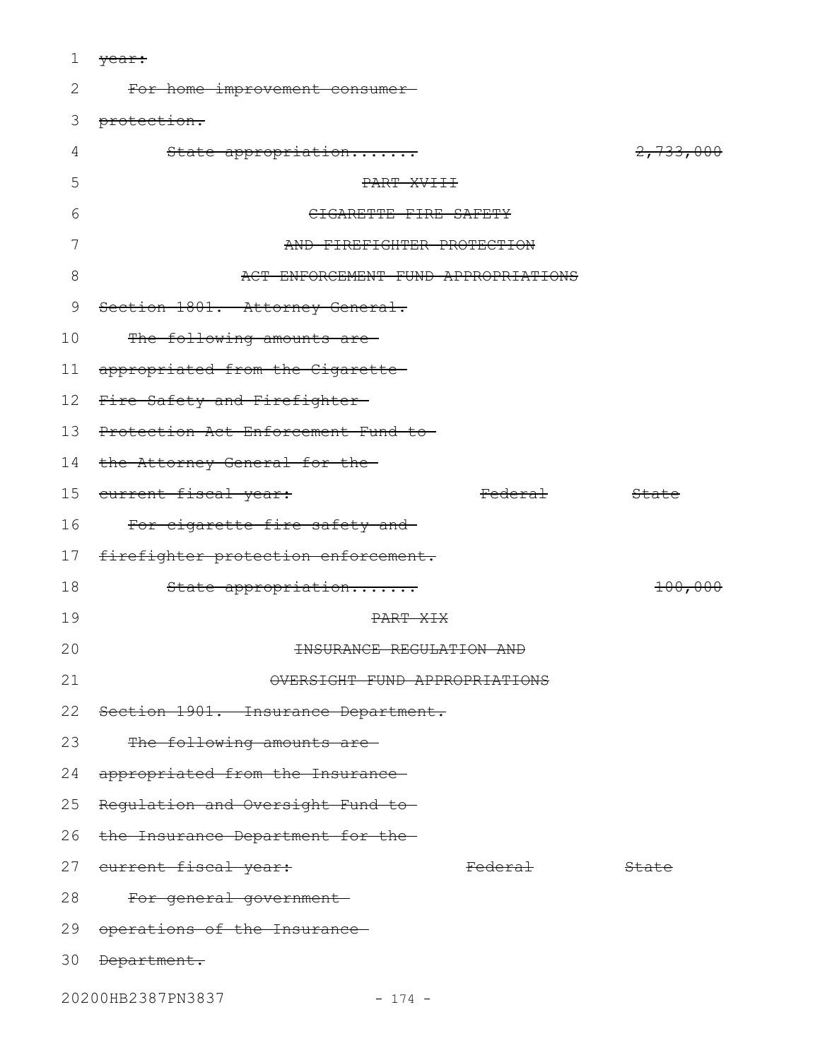1 <del>year:</del>

| 2  | For home improvement consumer-                        |           |
|----|-------------------------------------------------------|-----------|
| 3  | protection.                                           |           |
| 4  | State appropriation                                   | 2,733,000 |
| 5  | PART XVIII                                            |           |
| 6  | CIGARETTE FIRE SAFETY                                 |           |
| 7  | AND FIREFIGHTER PROTECTION                            |           |
| 8  | ACT ENFORCEMENT FUND APPROPRIATIONS                   |           |
| 9  | Section 1801. Attorney General.                       |           |
| 10 | The following amounts are-                            |           |
| 11 | appropriated from the Cigarette                       |           |
| 12 | Fire Safety and Firefighter-                          |           |
| 13 | Protection Act Enforcement Fund to-                   |           |
| 14 | the Attorney General for the-                         |           |
|    | 15 current fiscal year:<br><del>Federal</del>         | State     |
| 16 | For cigarette fire safety and                         |           |
| 17 | firefighter protection enforcement.                   |           |
| 18 | State appropriation                                   | 100,000   |
| 19 | PART XIX                                              |           |
| 20 | <b>INSURANCE REGULATION AND</b>                       |           |
| 21 | OVERSIGHT FUND APPROPRIATIONS                         |           |
| 22 | Section 1901. Insurance Department.                   |           |
| 23 | The following amounts are-                            |           |
| 24 | appropriated from the Insurance                       |           |
| 25 | Regulation and Oversight Fund to-                     |           |
| 26 | the Insurance Department for the-                     |           |
| 27 | <del>current fiscal year:</del><br><del>Federal</del> | State     |
| 28 | For general government-                               |           |
| 29 | operations of the Insurance-                          |           |
| 30 | Department.                                           |           |
|    |                                                       |           |

20200HB2387PN3837 - 174 -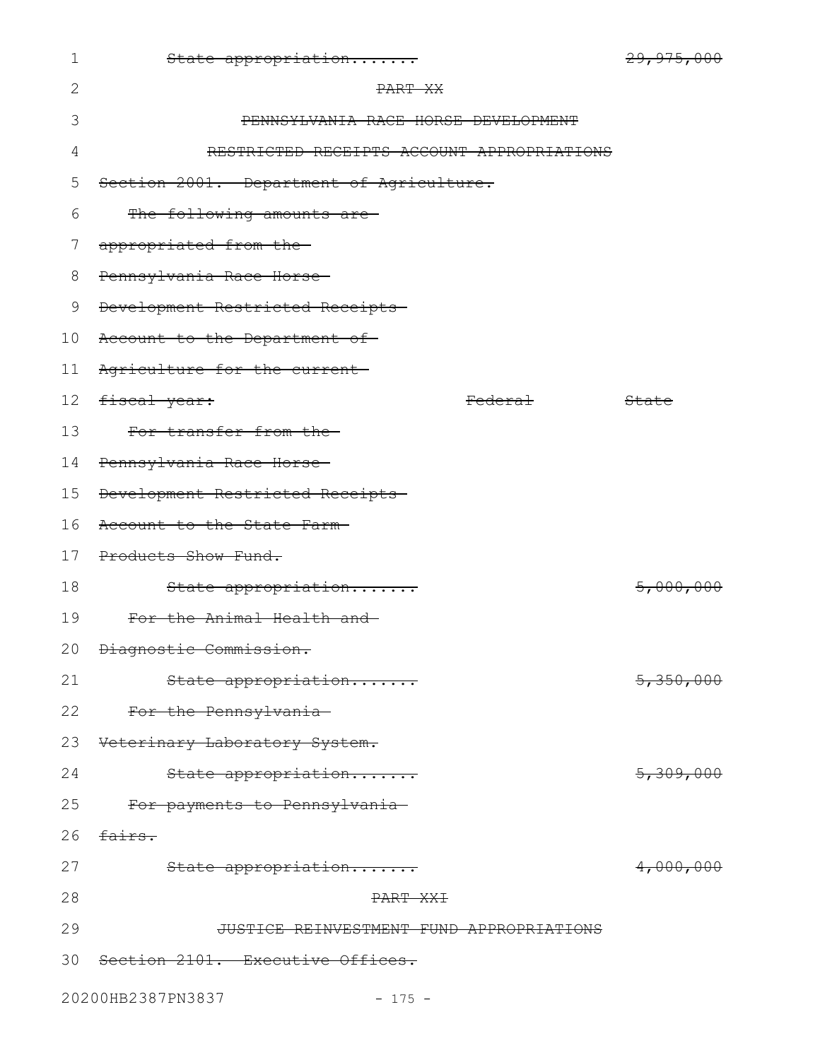| $\mathbf 1$     | State appropriation                        |                    | 29, 975, 000         |
|-----------------|--------------------------------------------|--------------------|----------------------|
| $\mathbf{2}$    | PART XX                                    |                    |                      |
| 3               | PENNSYLVANIA RACE HORSE DEVELOPMENT        |                    |                      |
| 4               | RESTRICTED RECEIPTS ACCOUNT APPROPRIATIONS |                    |                      |
| 5               | Section 2001. Department of Agriculture.   |                    |                      |
| 6               | The following amounts are                  |                    |                      |
| 7               | appropriated from the                      |                    |                      |
| 8               | Pennsylvania Race Horse-                   |                    |                      |
| 9               | Development Restricted Receipts            |                    |                      |
| 10 <sub>o</sub> | Account to the Department of-              |                    |                      |
| 11              | Agriculture for the current                |                    |                      |
| 12 <sub>2</sub> | <del>fiscal year:</del>                    | <del>Federal</del> | State                |
| 13              | For transfer from the-                     |                    |                      |
| 14              | Pennsylvania Race Horse-                   |                    |                      |
| 15              | Development Restricted Receipts            |                    |                      |
| 16              | Account to the State Farm-                 |                    |                      |
| 17              | Products Show Fund.                        |                    |                      |
| 18              | State appropriation                        |                    | 5,000,000            |
| 19              | For the Animal Health and-                 |                    |                      |
|                 | 20 <del>Diagnostic Commission.</del>       |                    |                      |
| 21              | State appropriation                        |                    | 5,350,000            |
| 22              | For the Pennsylvania-                      |                    |                      |
| 23              | Veterinary Laboratory System.              |                    |                      |
| 24              | State appropriation                        |                    | <del>5,309,000</del> |
| 25              | For payments to Pennsylvania               |                    |                      |
| 26              | fairs.                                     |                    |                      |
| 27              | State appropriation                        |                    | 4,000,000            |
| 28              | PART XXI                                   |                    |                      |
| 29              | JUSTICE REINVESTMENT FUND APPROPRIATIONS   |                    |                      |
| 30              | Section 2101. Executive Offices.           |                    |                      |
|                 | 20200HB2387PN3837<br>$-175 -$              |                    |                      |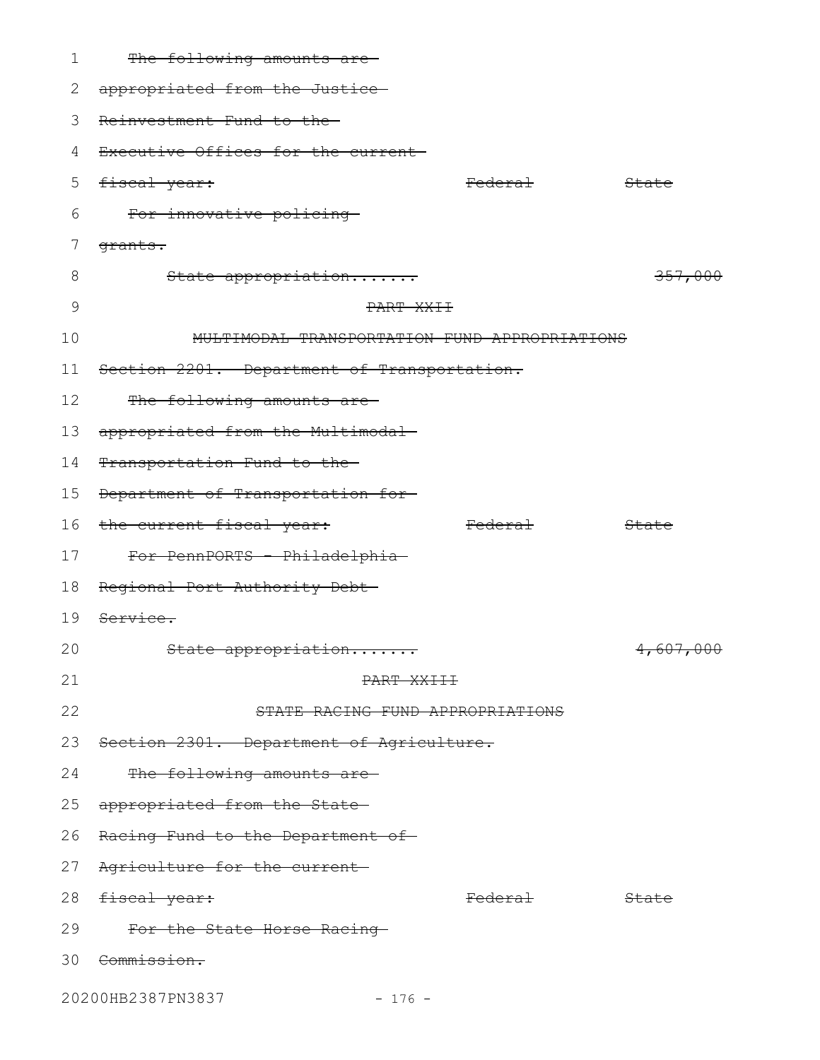| 1  | The following amounts are-                    |                    |           |
|----|-----------------------------------------------|--------------------|-----------|
| 2  | appropriated from the Justice-                |                    |           |
| 3  | Reinvestment Fund to the-                     |                    |           |
| 4  | Executive Offices for the current-            |                    |           |
| 5  | fiscal year:                                  | <del>Federal</del> | State     |
| 6  | For innovative policing                       |                    |           |
| 7  | <del>grants.</del>                            |                    |           |
| 8  | State appropriation                           |                    | 357,000   |
| 9  | PART XXII                                     |                    |           |
| 10 | MULTIMODAL TRANSPORTATION FUND APPROPRIATIONS |                    |           |
| 11 | Section 2201. Department of Transportation.   |                    |           |
| 12 | The following amounts are-                    |                    |           |
| 13 | appropriated from the Multimodal-             |                    |           |
| 14 | Transportation Fund to the                    |                    |           |
| 15 | Department of Transportation for-             |                    |           |
| 16 | the current fiscal year:                      | <b>Federal</b>     | State     |
| 17 | For PennPORTS - Philadelphia-                 |                    |           |
| 18 | Regional Port Authority Debt-                 |                    |           |
| 19 | <del>Service.</del>                           |                    |           |
| 20 | State appropriation                           |                    | 4,607,000 |
| 21 | PART XXIII                                    |                    |           |
| 22 | STATE RACING FUND APPROPRIATIONS              |                    |           |
| 23 | Section 2301. Department of Agriculture.      |                    |           |
| 24 | The following amounts are-                    |                    |           |
| 25 | appropriated from the State-                  |                    |           |
| 26 | Racing Fund to the Department of              |                    |           |
| 27 | Agriculture for the current-                  |                    |           |
| 28 | <del>fiscal year:</del>                       | <del>Federal</del> | State     |
| 29 | For the State Horse Racing-                   |                    |           |
|    | 30 <del>Commission.</del>                     |                    |           |
|    | 20200HB2387PN3837<br>$-176 -$                 |                    |           |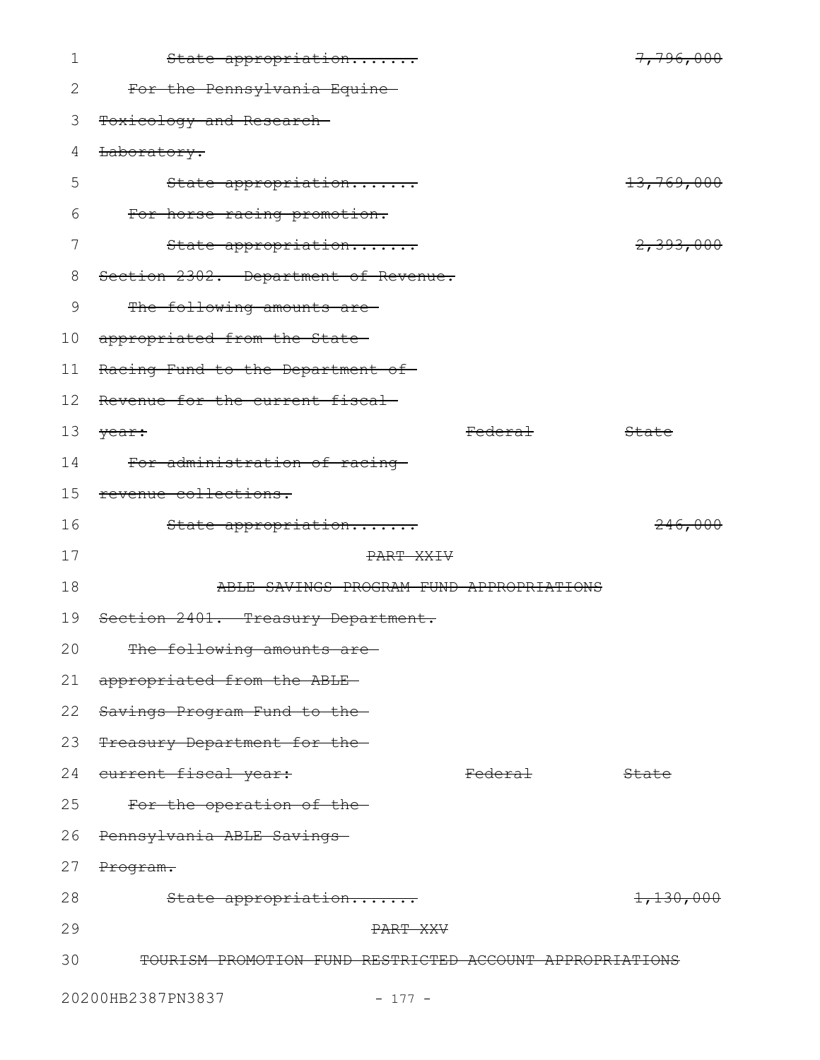| 1  | State appropriation                                      |                    | 7,796,000             |
|----|----------------------------------------------------------|--------------------|-----------------------|
| 2  | For the Pennsylvania Equine-                             |                    |                       |
| 3  | Toxicology and Research-                                 |                    |                       |
| 4  | Laboratory.                                              |                    |                       |
| 5  | State appropriation                                      |                    | <del>13,769,000</del> |
| 6  | For horse racing promotion.                              |                    |                       |
| 7  | State appropriation                                      |                    | 2,393,000             |
| 8  | Section 2302. Department of Revenue.                     |                    |                       |
| 9  | The following amounts are                                |                    |                       |
| 10 | appropriated from the State-                             |                    |                       |
| 11 | Racing Fund to the Department of-                        |                    |                       |
| 12 | Revenue for the current fiscal                           |                    |                       |
| 13 | year:                                                    | Federal            | State                 |
| 14 | For administration of racing                             |                    |                       |
| 15 | revenue collections.                                     |                    |                       |
| 16 | State appropriation                                      |                    | 246,000               |
| 17 | PART XXIV                                                |                    |                       |
| 18 | ABLE SAVINGS PROGRAM FUND APPROPRIATIONS                 |                    |                       |
| 19 | Section 2401. Treasury Department.                       |                    |                       |
| 20 | The following amounts are                                |                    |                       |
| 21 | appropriated from the ABLE-                              |                    |                       |
| 22 | Savings Program Fund to the-                             |                    |                       |
| 23 | Treasury Department for the-                             |                    |                       |
| 24 | current fiscal year:                                     | <del>Federal</del> | State                 |
| 25 | For the operation of the-                                |                    |                       |
| 26 | Pennsylvania ABLE Savings                                |                    |                       |
| 27 | Program.                                                 |                    |                       |
| 28 | State appropriation                                      |                    | <del>1,130,000</del>  |
| 29 | PART XXV                                                 |                    |                       |
| 30 | TOURISM PROMOTION FUND RESTRICTED ACCOUNT APPROPRIATIONS |                    |                       |
|    | 20200HB2387PN3837<br>$-177 -$                            |                    |                       |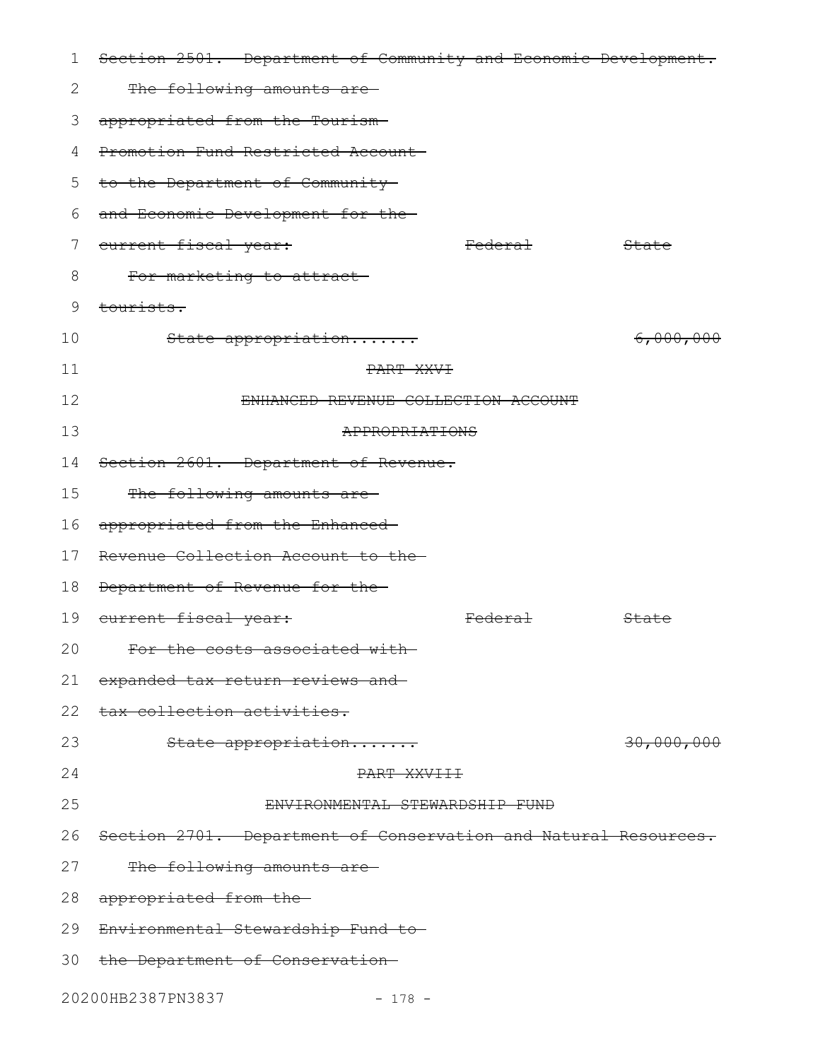| 1  | Section 2501. Department of Community and Economic Development. |                    |                  |
|----|-----------------------------------------------------------------|--------------------|------------------|
| 2  | The following amounts are-                                      |                    |                  |
| 3  | appropriated from the Tourism-                                  |                    |                  |
| 4  | Promotion Fund Restricted Account                               |                    |                  |
| 5  | to the Department of Community                                  |                    |                  |
| 6  | and Economic Development for the-                               |                    |                  |
| 7  | current fiscal year:                                            | <del>Federal</del> | <del>State</del> |
| 8  | For marketing to attract                                        |                    |                  |
| 9  | tourists.                                                       |                    |                  |
| 10 | State appropriation                                             |                    | 6,000,000        |
| 11 | PART XXVI                                                       |                    |                  |
| 12 | ENHANCED REVENUE COLLECTION ACCOUNT                             |                    |                  |
| 13 | APPROPRIATIONS                                                  |                    |                  |
| 14 | Section 2601. Department of Revenue.                            |                    |                  |
| 15 | The following amounts are                                       |                    |                  |
| 16 | appropriated from the Enhanced-                                 |                    |                  |
| 17 | Revenue Collection Account to the-                              |                    |                  |
| 18 | Department of Revenue for the-                                  |                    |                  |
| 19 | <del>current fiscal year:</del>                                 | <del>Federal</del> | State            |
|    | 20 For the costs associated with                                |                    |                  |
| 21 | expanded tax return reviews and                                 |                    |                  |
| 22 | tax collection activities.                                      |                    |                  |
| 23 | State appropriation                                             |                    | 30,000,000       |
| 24 | PART XXVIII                                                     |                    |                  |
| 25 | ENVIRONMENTAL STEWARDSHIP FUND                                  |                    |                  |
| 26 | Section 2701. Department of Conservation and Natural Resources. |                    |                  |
| 27 | The following amounts are                                       |                    |                  |
| 28 | appropriated from the                                           |                    |                  |
| 29 | Environmental Stewardship Fund to-                              |                    |                  |
|    | 30 the Department of Conservation-                              |                    |                  |
|    | 20200HB2387PN3837<br>$-178 -$                                   |                    |                  |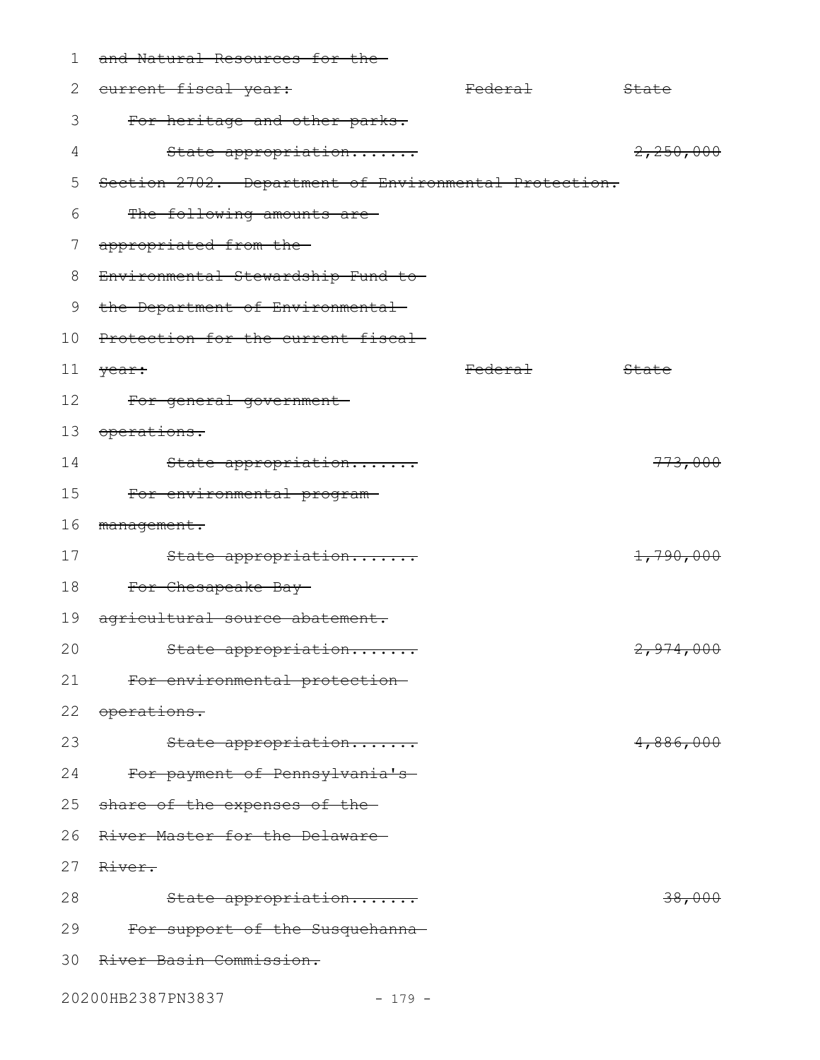| 1               | and Natural Resources for the-                        |                    |                  |
|-----------------|-------------------------------------------------------|--------------------|------------------|
| 2               | eurrent fiscal year:                                  | <del>Federal</del> | <del>State</del> |
| 3               | For heritage and other parks.                         |                    |                  |
| 4               | State appropriation                                   |                    | 2,250,000        |
| 5               | Section 2702. Department of Environmental Protection. |                    |                  |
| 6               | The following amounts are-                            |                    |                  |
| 7               | appropriated from the-                                |                    |                  |
| 8               | Environmental Stewardship Fund to-                    |                    |                  |
| 9               | the Department of Environmental                       |                    |                  |
| 10              | Protection for the current fiscal-                    |                    |                  |
| 11 <sub>1</sub> | <del>year:</del>                                      | Federal            | State            |
| 12              | For general government-                               |                    |                  |
| 13              | <del>operations.</del>                                |                    |                  |
| 14              | State appropriation                                   |                    | 773,000          |
| 15              | For environmental program-                            |                    |                  |
| 16              | management.                                           |                    |                  |
| 17              | State appropriation                                   |                    | 1,790,000        |
| 18              | For Chesapeake Bay-                                   |                    |                  |
| 19              | agricultural source abatement.                        |                    |                  |
| 20              | <del>State appropriation</del>                        |                    | 2,974,000        |
| 21              | For environmental protection-                         |                    |                  |
| 22              | <del>operations.</del>                                |                    |                  |
| 23              | State appropriation                                   |                    | 4,886,000        |
| 24              | For payment of Pennsylvania's                         |                    |                  |
| 25              | share of the expenses of the-                         |                    |                  |
| 26              | River Master for the Delaware-                        |                    |                  |
| 27              | <del>River.</del>                                     |                    |                  |
| 28              | State appropriation                                   |                    | 38,000           |
| 29              | For support of the Susquehanna-                       |                    |                  |
| 30              | River Basin Commission.                               |                    |                  |
|                 |                                                       |                    |                  |

20200HB2387PN3837 - 179 -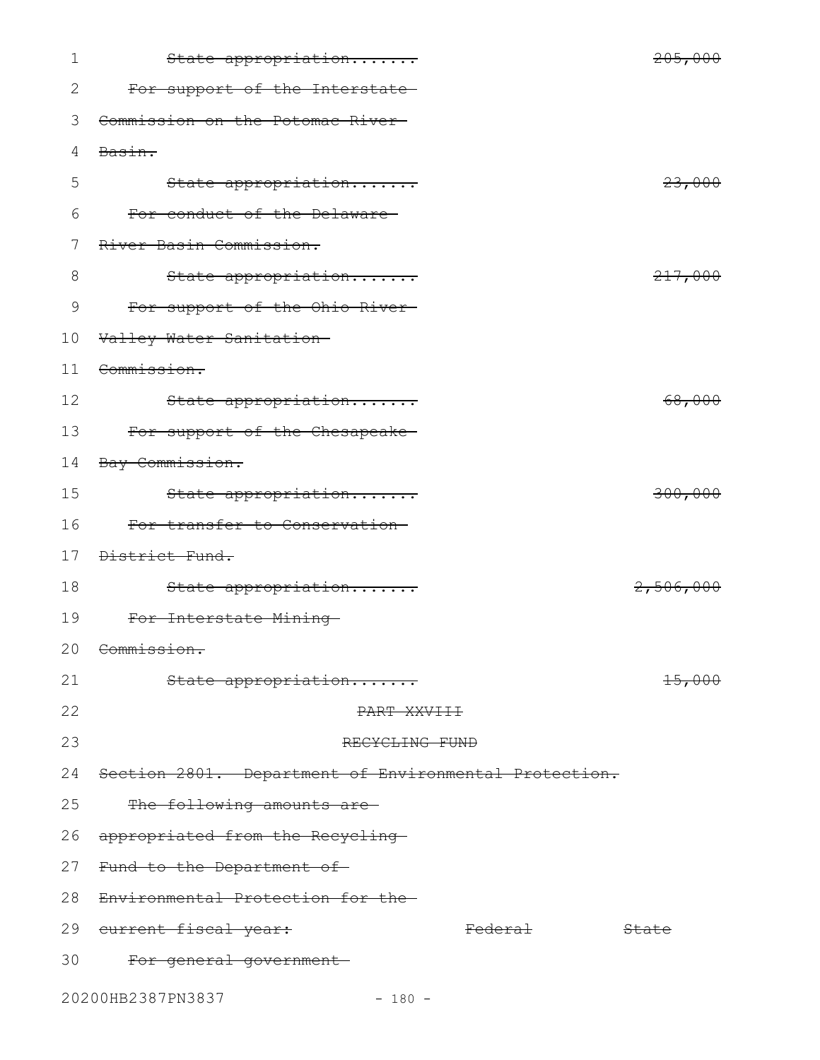| 1  | State appropriation                                   |                    | 205,000              |
|----|-------------------------------------------------------|--------------------|----------------------|
| 2  | For support of the Interstate-                        |                    |                      |
| 3  | Commission on the Potomac River-                      |                    |                      |
| 4  | Basin.                                                |                    |                      |
| 5  | State appropriation                                   |                    | 23,000               |
| 6  | For conduct of the Delaware-                          |                    |                      |
| 7  | River Basin Commission.                               |                    |                      |
| 8  | State appropriation                                   |                    | 217,000              |
| 9  | For support of the Ohio River-                        |                    |                      |
| 10 | Valley Water Sanitation-                              |                    |                      |
| 11 | Commission.                                           |                    |                      |
| 12 | State appropriation                                   |                    | 68,000               |
| 13 | For support of the Chesapeake-                        |                    |                      |
| 14 | Bay Commission.                                       |                    |                      |
| 15 | State appropriation                                   |                    | 300,000              |
| 16 | For transfer to Conservation-                         |                    |                      |
| 17 | District Fund.                                        |                    |                      |
| 18 | State appropriation                                   |                    | <del>2,506,000</del> |
| 19 | For Interstate Mining-                                |                    |                      |
|    | 20 Commission.                                        |                    |                      |
| 21 | State appropriation                                   |                    | <del>15,000</del>    |
| 22 | PART XXVIII                                           |                    |                      |
| 23 | RECYCLING FUND                                        |                    |                      |
| 24 | Section 2801. Department of Environmental Protection. |                    |                      |
| 25 | The following amounts are-                            |                    |                      |
| 26 | appropriated from the Recycling                       |                    |                      |
| 27 | Fund to the Department of                             |                    |                      |
| 28 | Environmental Protection for the-                     |                    |                      |
|    | 29 eurrent fiscal year:                               | <del>Federal</del> | <del>State</del>     |
| 30 | For general government-                               |                    |                      |
|    | 20200HB2387PN3837<br>$-180 -$                         |                    |                      |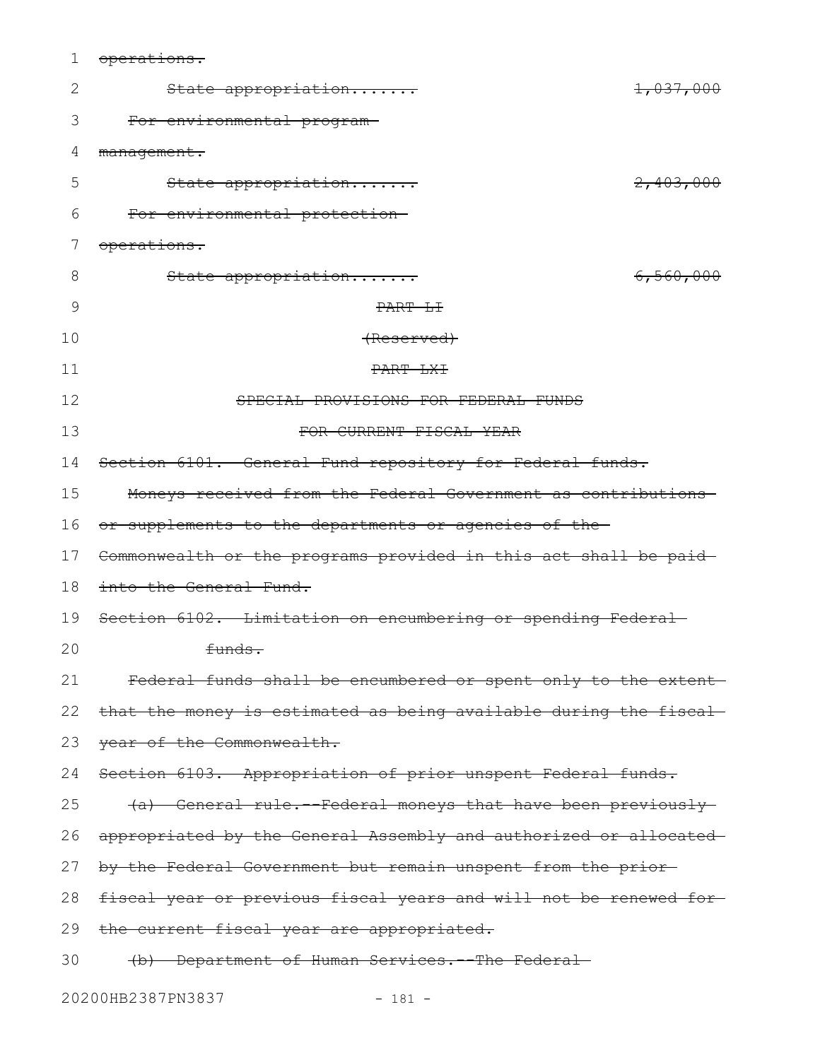| 1  | operations.                                                       |           |
|----|-------------------------------------------------------------------|-----------|
| 2  | State appropriation                                               | 1,037,000 |
| 3  | For environmental program-                                        |           |
| 4  | management.                                                       |           |
| 5  | State appropriation                                               | 2,403,000 |
| 6  | For environmental protection-                                     |           |
|    | operations.                                                       |           |
| 8  | State appropriation                                               | 6,560,000 |
| 9  | PART LI                                                           |           |
| 10 | <del>(Reserved)</del>                                             |           |
| 11 | PART LXI                                                          |           |
| 12 | SPECIAL PROVISIONS FOR FEDERAL FUNDS                              |           |
| 13 | FOR CURRENT FISCAL YEAR                                           |           |
| 14 | Section 6101. General Fund repository for Federal funds.          |           |
| 15 | Moneys received from the Federal Government as contributions      |           |
| 16 | or supplements to the departments or agencies of the-             |           |
| 17 | Commonwealth or the programs provided in this act shall be paid-  |           |
| 18 | into the General Fund.                                            |           |
| 19 | Section 6102. Limitation on encumbering or spending Federal-      |           |
| 20 | funds.                                                            |           |
| 21 | Federal funds shall be encumbered or spent only to the extent-    |           |
| 22 | that the money is estimated as being available during the fiscal- |           |
| 23 | year of the Commonwealth.                                         |           |
| 24 | Section 6103. Appropriation of prior unspent Federal funds.       |           |
| 25 | (a) General rule. - Federal moneys that have been previously      |           |
| 26 | appropriated by the General Assembly and authorized or allocated  |           |
| 27 | by the Federal Government but remain unspent from the prior-      |           |
| 28 | fiscal year or previous fiscal years and will not be renewed for- |           |
| 29 | the current fiscal year are appropriated.                         |           |
| 30 | (b) Department of Human Services. - The Federal-                  |           |
|    | 20200HB2387PN3837<br>$-181 -$                                     |           |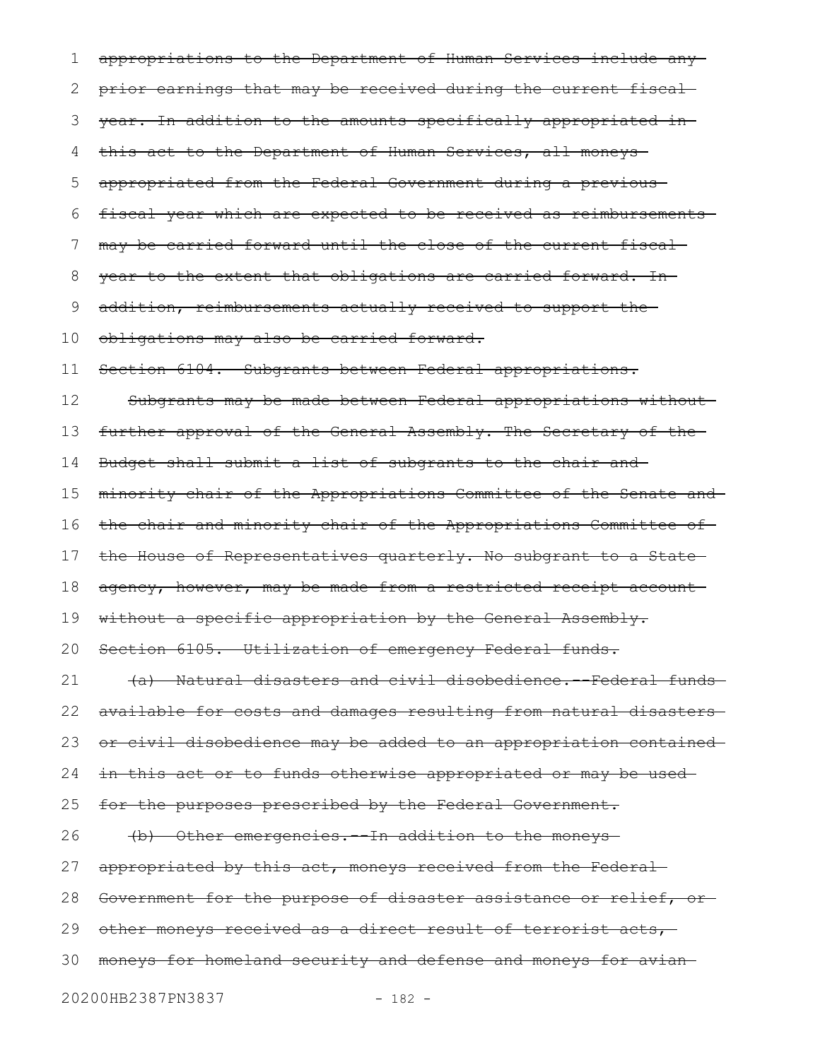appropriations to the Department of Human Services include any prior earnings that may be received during the current fiscal year. In addition to the amounts specifically appropriated in this act to the Department of Human Services, all moneys appropriated from the Federal Government during a previous fiscal year which are expected to be received as reimbursements may be carried forward until the close of the current fiscal year to the extent that obligations are carried forward. In addition, reimbursements actually received to support the obligations may also be carried forward. Section 6104. Subgrants between Federal appropriations. Subgrants may be made between Federal appropriations without further approval of the General Assembly. The Secretary of the Budget shall submit a list of subgrants to the chair and minority chair of the Appropriations Committee of the Senate and the chair and minority chair of the Appropriations Committee of the House of Representatives quarterly. No subgrant to a State agency, however, may be made from a restricted receipt account without a specific appropriation by the General Assembly. Section 6105. Utilization of emergency Federal funds. (a) Natural disasters and civil disobedience.--Federal funds available for costs and damages resulting from natural disasters or civil disobedience may be added to an appropriation contained in this act or to funds otherwise appropriated or may be used for the purposes prescribed by the Federal Government. (b) Other emergencies.--In addition to the moneys appropriated by this act, moneys received from the Federal Government for the purpose of disaster assistance or relief, or other moneys received as a direct result of terrorist acts, moneys for homeland security and defense and moneys for avian 3020200HB2387PN3837 - 182 - 1 2 3 4 5 6 7 8 9 10 11 12 13 14 15 16 17 18 19 20 21 22 23 24 25 26 27 28 29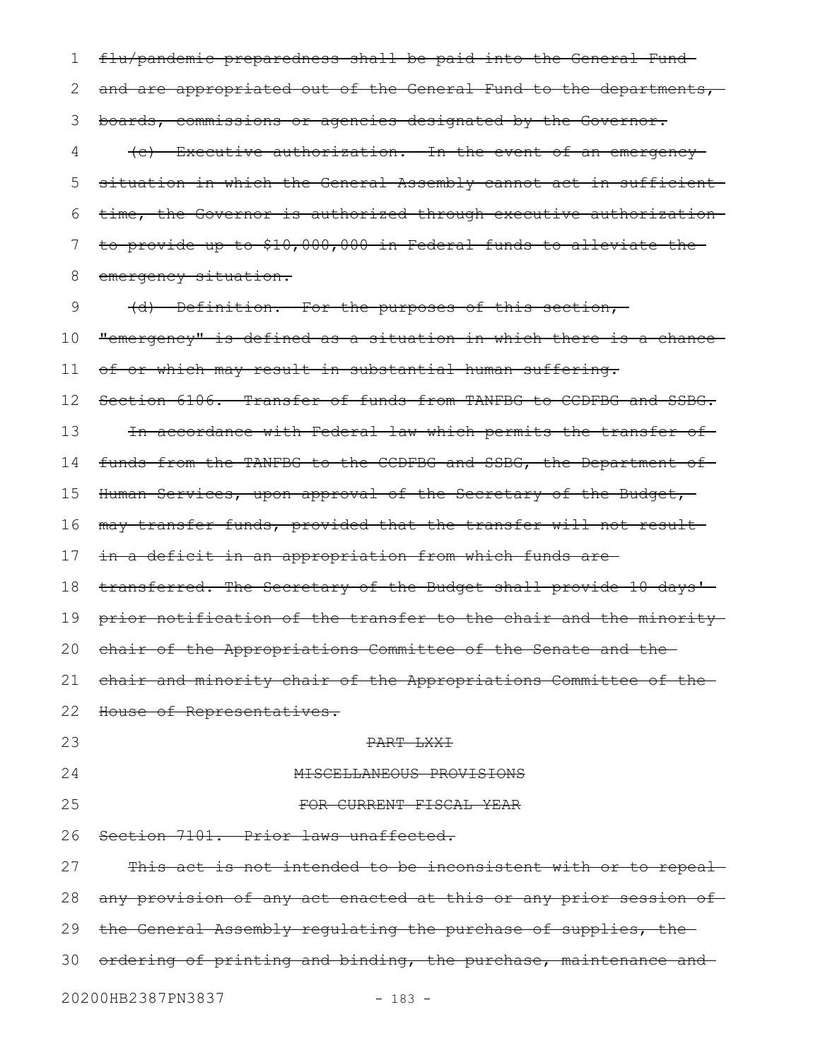flu/pandemic preparedness shall be paid into the General Fund and are appropriated out of the General Fund to the departments, boards, commissions or agencies designated by the Governor. (c) Executive authorization.--In the event of an emergency situation in which the General Assembly cannot act in sufficient time, the Governor is authorized through executive authorization to provide up to \$10,000,000 in Federal funds to alleviate the emergency situation. (d) Definition.--For the purposes of this section, "emergency" is defined as a situation in which there is a chance of or which may result in substantial human suffering. Section 6106. Transfer of funds from TANFBG to CCDFBG and SSBG. In accordance with Federal law which permits the transfer of funds from the TANFBG to the CCDFBG and SSBG, the Department of Human Services, upon approval of the Secretary of the Budget, may transfer funds, provided that the transfer will not result in a deficit in an appropriation from which funds are transferred. The Secretary of the Budget shall provide 10 days' prior notification of the transfer to the chair and the minority chair of the Appropriations Committee of the Senate and the chair and minority chair of the Appropriations Committee of the House of Representatives. PART LXXI MISCELLANEOUS PROVISIONS FOR CURRENT FISCAL YEAR Section 7101. Prior laws unaffected. This act is not intended to be inconsistent with or to repeal any provision of any act enacted at this or any prior session of the General Assembly regulating the purchase of supplies, the ordering of printing and binding, the purchase, maintenance and 20200HB2387PN3837 - 183 - 1 2 3 4 5 6 7 8 9 10 11 12 13 14 15 16 17 18 19 20 21 22 23 24 25 26 27 28 29 30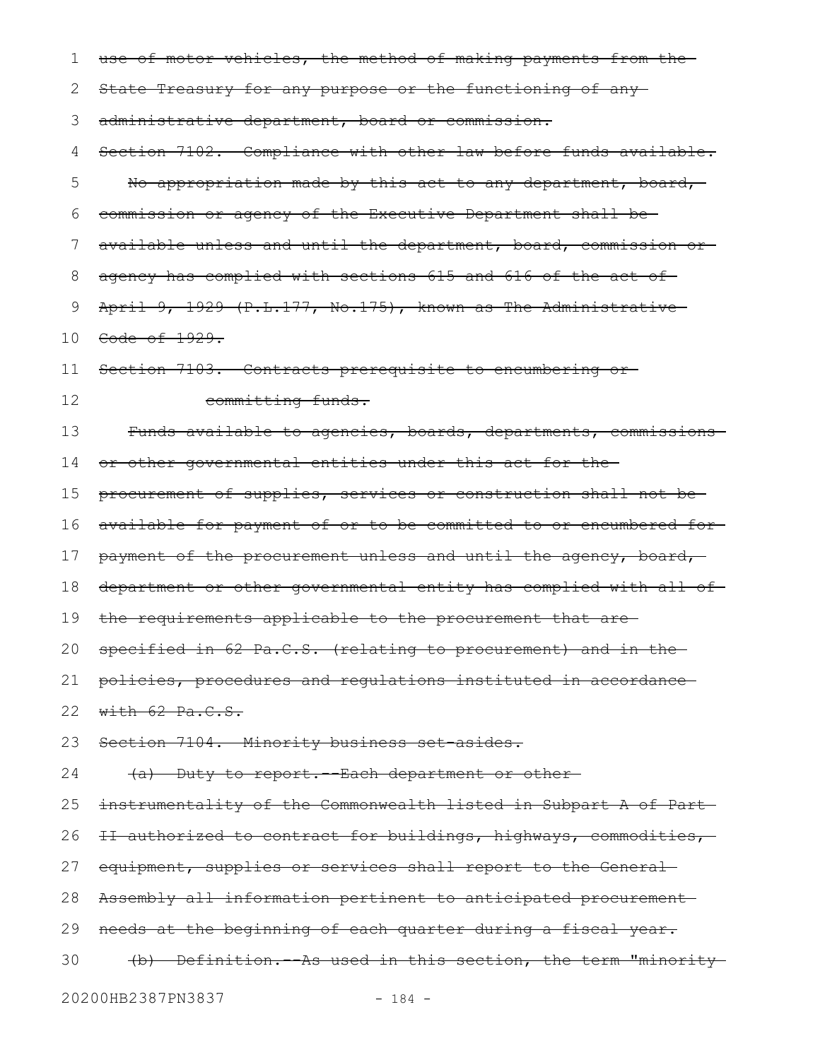| 1  | use of motor vehicles, the method of making payments from the-   |
|----|------------------------------------------------------------------|
| 2  | State Treasury for any purpose or the functioning of any-        |
| 3  | administrative department, board or commission.                  |
| 4  | Section 7102. Compliance with other law before funds available.  |
| 5  | No appropriation made by this act to any department, board,      |
| 6  | commission or agency of the Executive Department shall be-       |
| 7  | available unless and until the department, board, commission or- |
| 8  | agency has complied with sections 615 and 616 of the act of-     |
| 9  | April 9, 1929 (P.L.177, No.175), known as The Administrative     |
| 10 | Code of 1929.                                                    |
| 11 | Section 7103. Contracts prerequisite to encumbering or-          |
| 12 | committing funds.                                                |
| 13 | Funds available to agencies, boards, departments, commissions    |
| 14 | or other governmental entities under this act for the-           |
| 15 | procurement of supplies, services or construction shall not be-  |
| 16 | available for payment of or to be committed to or encumbered for |
| 17 | payment of the procurement unless and until the agency, board,   |
| 18 | department or other governmental entity has complied with all of |
| 19 | the requirements applicable to the procurement that are-         |
| 20 | specified in 62 Pa.C.S. (relating to procurement) and in the     |
| 21 | policies, procedures and regulations instituted in accordance    |
| 22 | with $62$ $Pa.C.S.$                                              |
| 23 | Section 7104. Minority business set asides.                      |
| 24 | (a) Duty to report. - Each department or other-                  |
| 25 | instrumentality of the Commonwealth listed in Subpart A of Part- |
| 26 | II authorized to contract for buildings, highways, commodities,  |
| 27 | equipment, supplies or services shall report to the General      |
| 28 | Assembly all information pertinent to anticipated procurement    |
| 29 | needs at the beginning of each quarter during a fiscal year.     |
| 30 | (b) Definition. - As used in this section, the term "minority-   |
|    | 20200HB2387PN3837<br>$-184 -$                                    |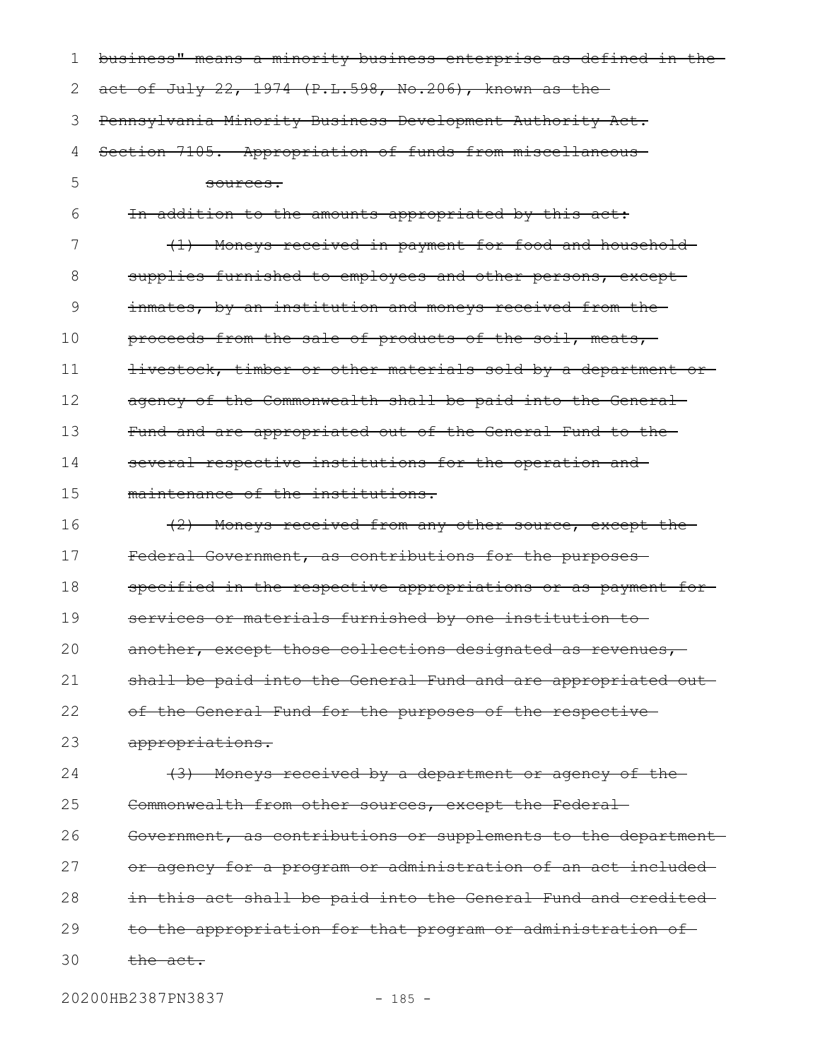| 1  | business" means a minority business enterprise as defined in the- |
|----|-------------------------------------------------------------------|
| 2  | act of July 22, 1974 (P.L.598, No.206), known as the              |
| 3  | Pennsylvania Minority Business Development Authority Act.         |
| 4  | Section 7105. Appropriation of funds from miscellaneous-          |
| 5  | <del>sources.</del>                                               |
| 6  | In addition to the amounts appropriated by this act:              |
| 7  | (1) Moneys received in payment for food and household-            |
| 8  | supplies furnished to employees and other persons, except-        |
| 9  | inmates, by an institution and moneys received from the-          |
| 10 | proceeds from the sale of products of the soil, meats,            |
| 11 | livestock, timber or other materials sold by a department or      |
| 12 | agency of the Commonwealth shall be paid into the General-        |
| 13 | Fund and are appropriated out of the General Fund to the-         |
| 14 | several respective institutions for the operation and             |
| 15 | maintenance of the institutions.                                  |
| 16 | (2) Moneys received from any other source, except the             |
| 17 | Federal Government, as contributions for the purposes-            |
| 18 | specified in the respective appropriations or as payment for-     |
| 19 | services or materials furnished by one institution to-            |
| 20 | another, except those collections designated as revenues,         |
| 21 | shall be paid into the General Fund and are appropriated out      |
| 22 | of the General Fund for the purposes of the respective-           |
| 23 | appropriations.                                                   |
| 24 | (3) Moneys received by a department or agency of the-             |
| 25 | Commonwealth from other sources, except the Federal-              |
| 26 | Government, as contributions or supplements to the department-    |
| 27 | or agency for a program or administration of an act included-     |
| 28 | in this act shall be paid into the General Fund and credited-     |
| 29 | to the appropriation for that program or administration of        |
| 30 | the act.                                                          |
|    |                                                                   |

20200HB2387PN3837 - 185 -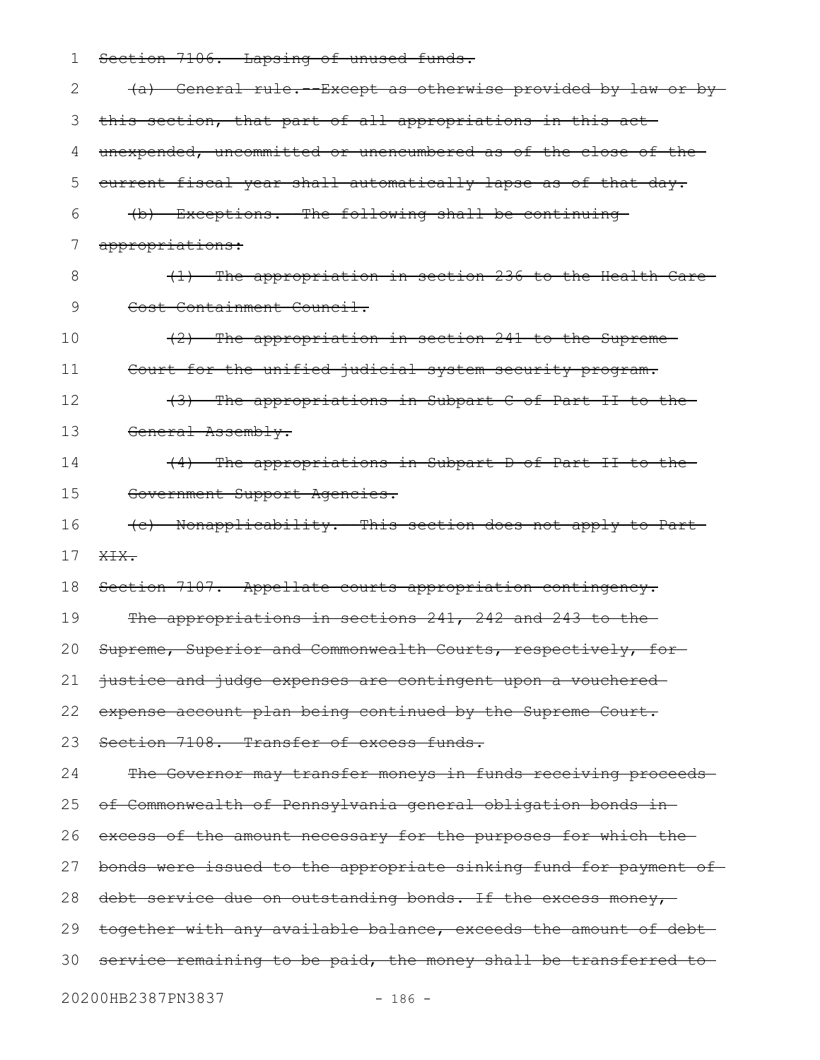| 1  | Section 7106. Lapsing of unused funds.                           |
|----|------------------------------------------------------------------|
| 2  | (a) General rule. - Except as otherwise provided by law or by    |
| 3  | this section, that part of all appropriations in this act-       |
| 4  | unexpended, uncommitted or unencumbered as of the close of the   |
| 5  | eurrent fiscal year shall automatically lapse as of that day.    |
| 6  | (b) Exceptions. - The following shall be continuing              |
| 7  | appropriations:                                                  |
| 8  | (1) The appropriation in section 236 to the Health Care-         |
| 9  | Cost Containment Council.                                        |
| 10 | (2) The appropriation in section 241 to the Supreme-             |
| 11 | Court for the unified judicial system security program.          |
| 12 | (3) The appropriations in Subpart C of Part II to the            |
| 13 | General Assembly.                                                |
| 14 | (4) The appropriations in Subpart D of Part II to the            |
| 15 | Government Support Agencies.                                     |
| 16 | (c) Nonapplicability. This section does not apply to Part        |
| 17 | XIX.                                                             |
| 18 | Section 7107. Appellate courts appropriation contingency.        |
| 19 | The appropriations in sections 241, 242 and 243 to the           |
| 20 | Supreme, Superior and Commonwealth Courts, respectively, for-    |
| 21 | justice and judge expenses are contingent upon a vouchered-      |
| 22 | expense account plan being continued by the Supreme Court.       |
| 23 | Section 7108. Transfer of excess funds.                          |
| 24 | The Governor may transfer moneys in funds receiving proceeds-    |
| 25 | of Commonwealth of Pennsylvania general obligation bonds in-     |
| 26 | excess of the amount necessary for the purposes for which the-   |
| 27 | bonds were issued to the appropriate sinking fund for payment of |
| 28 | debt service due on outstanding bonds. If the excess money,      |
| 29 | together with any available balance, exceeds the amount of debt- |
| 30 | service remaining to be paid, the money shall be transferred to  |
|    | 20200HB2387PN3837<br>$-186 -$                                    |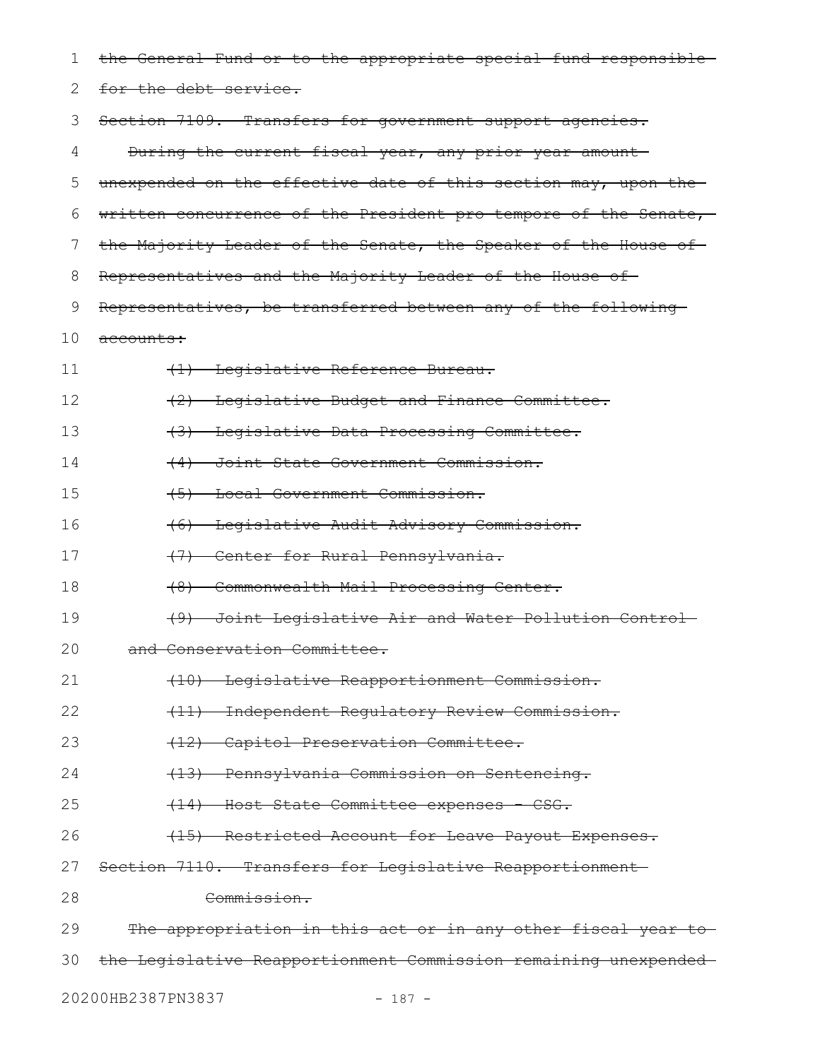| 1  | the General Fund or to the appropriate special fund responsible |
|----|-----------------------------------------------------------------|
| 2  | for the debt service.                                           |
| 3  | Section 7109. Transfers for government support agencies.        |
| 4  | During the current fiscal year, any prior year amount-          |
| 5  | unexpended on the effective date of this section may, upon the  |
| 6  | written concurrence of the President pro tempore of the Senate, |
| 7  | the Majority Leader of the Senate, the Speaker of the House of- |
| 8  | Representatives and the Majority Leader of the House of         |
| 9  | Representatives, be transferred between any of the following    |
| 10 | <del>accounts:</del>                                            |
| 11 | (1) Legislative Reference Bureau.                               |
| 12 | (2) Legislative Budget and Finance Committee.                   |
| 13 | (3) Legislative Data Processing Committee.                      |
| 14 | (4) Joint State Government Commission.                          |
| 15 | (5) Local Government Commission.                                |
| 16 | (6) Legislative Audit Advisory Commission.                      |
| 17 | (7) Center for Rural Pennsylvania.                              |
| 18 | Commonwealth Mail Processing Center.<br>$+8$ )                  |
| 19 | (9) Joint Legislative Air and Water Pollution Control-          |
| 20 | and Conservation Committee.                                     |
| 21 | (10) Legislative Reapportionment Commission.                    |
| 22 | (11) Independent Regulatory Review Commission.                  |
| 23 | (12) Capitol Preservation Committee.                            |
| 24 | (13) Pennsylvania Commission on Sentencing.                     |
| 25 | (14) Host State Committee expenses - CSG.                       |
| 26 | (15) Restricted Account for Leave Payout Expenses.              |
| 27 | Section-7110. Transfers for Legislative Reapportionment-        |
| 28 | Commission.                                                     |
| 29 | The appropriation in this act or in any other fiscal year to    |
| 30 | the Legislative Reapportionment Commission remaining unexpended |
|    | 20200HB2387PN3837<br>$-187 -$                                   |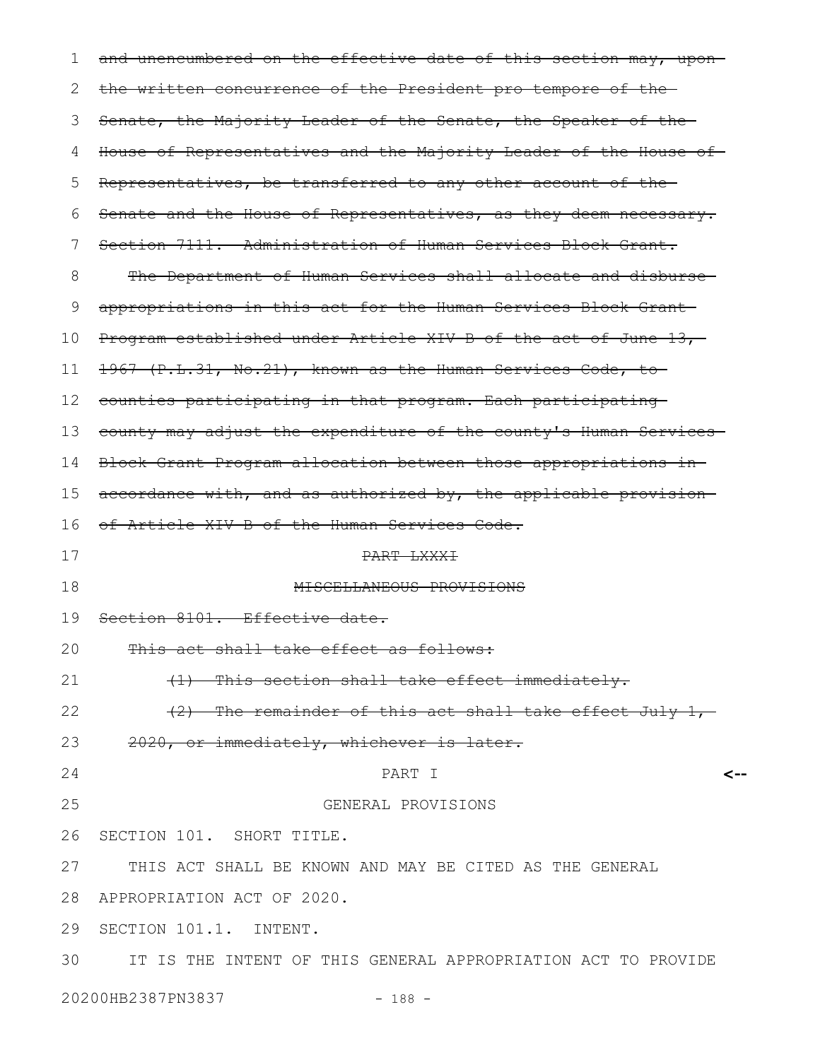| 1  | and unencumbered on the effective date of this section may, upon- |
|----|-------------------------------------------------------------------|
| 2  | the written concurrence of the President pro tempore of the-      |
| 3  | Senate, the Majority Leader of the Senate, the Speaker of the     |
| 4  | House of Representatives and the Majority Leader of the House of  |
| 5  | Representatives, be transferred to any other account of the-      |
| 6  | Senate and the House of Representatives, as they deem necessary.  |
| 7  | Section 7111. Administration of Human Services Block Grant.       |
| 8  | The Department of Human Services shall allocate and disburse-     |
| 9  | appropriations in this act for the Human Services Block Grant-    |
| 10 | Program established under Article XIV B of the act of June 13,    |
| 11 | 1967 (P.L.31, No.21), known as the Human Services Code, to        |
| 12 | counties participating in that program. Each participating        |
| 13 | county may adjust the expenditure of the county's Human Services  |
| 14 | Block Grant Program allocation between those appropriations in-   |
| 15 | accordance with, and as authorized by, the applicable provision   |
| 16 | of Article XIV-B of the Human Services Code.                      |
| 17 | <del>PART LXXXI</del>                                             |
| 18 | MISCELLANEOUS PROVISIONS                                          |
| 19 | Section 8101. Effective date.                                     |
| 20 | This act shall take effect as follows:                            |
| 21 | (1) This section shall take effect immediately.                   |
| 22 | (2) The remainder of this act shall take effect July 1,-          |
| 23 | 2020, or immediately, whichever is later.                         |
| 24 | PART I                                                            |
| 25 | GENERAL PROVISIONS                                                |
| 26 | SECTION 101. SHORT TITLE.                                         |
|    | 27 THIS ACT SHALL BE KNOWN AND MAY BE CITED AS THE GENERAL        |
|    | 28 APPROPRIATION ACT OF 2020.                                     |
|    | 29 SECTION 101.1. INTENT.                                         |
|    | 30 IT IS THE INTENT OF THIS GENERAL APPROPRIATION ACT TO PROVIDE  |
|    | 20200HB2387PN3837<br>$-188 -$                                     |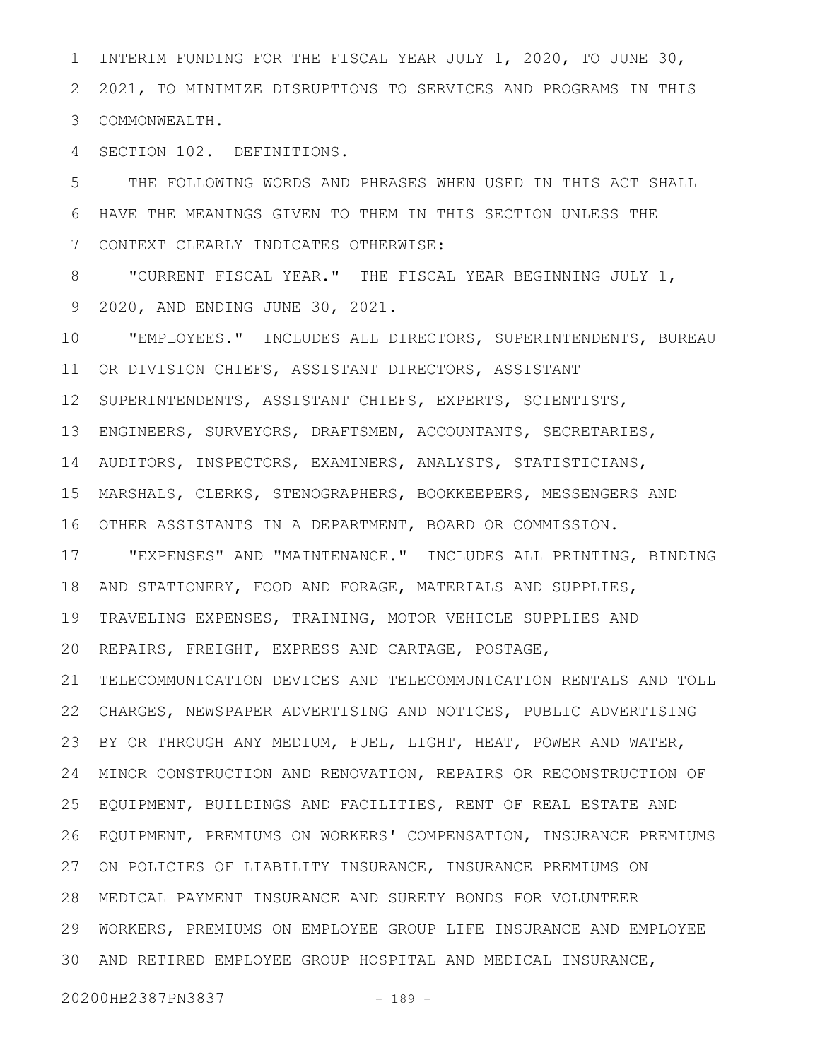INTERIM FUNDING FOR THE FISCAL YEAR JULY 1, 2020, TO JUNE 30, 2021, TO MINIMIZE DISRUPTIONS TO SERVICES AND PROGRAMS IN THIS COMMONWEALTH. 3 1 2

SECTION 102. DEFINITIONS. 4

THE FOLLOWING WORDS AND PHRASES WHEN USED IN THIS ACT SHALL HAVE THE MEANINGS GIVEN TO THEM IN THIS SECTION UNLESS THE CONTEXT CLEARLY INDICATES OTHERWISE: 5 6 7

"CURRENT FISCAL YEAR." THE FISCAL YEAR BEGINNING JULY 1, 2020, AND ENDING JUNE 30, 2021. 8 9

"EMPLOYEES." INCLUDES ALL DIRECTORS, SUPERINTENDENTS, BUREAU OR DIVISION CHIEFS, ASSISTANT DIRECTORS, ASSISTANT SUPERINTENDENTS, ASSISTANT CHIEFS, EXPERTS, SCIENTISTS, ENGINEERS, SURVEYORS, DRAFTSMEN, ACCOUNTANTS, SECRETARIES, AUDITORS, INSPECTORS, EXAMINERS, ANALYSTS, STATISTICIANS, MARSHALS, CLERKS, STENOGRAPHERS, BOOKKEEPERS, MESSENGERS AND OTHER ASSISTANTS IN A DEPARTMENT, BOARD OR COMMISSION. "EXPENSES" AND "MAINTENANCE." INCLUDES ALL PRINTING, BINDING AND STATIONERY, FOOD AND FORAGE, MATERIALS AND SUPPLIES, TRAVELING EXPENSES, TRAINING, MOTOR VEHICLE SUPPLIES AND REPAIRS, FREIGHT, EXPRESS AND CARTAGE, POSTAGE, TELECOMMUNICATION DEVICES AND TELECOMMUNICATION RENTALS AND TOLL CHARGES, NEWSPAPER ADVERTISING AND NOTICES, PUBLIC ADVERTISING 22 BY OR THROUGH ANY MEDIUM, FUEL, LIGHT, HEAT, POWER AND WATER, MINOR CONSTRUCTION AND RENOVATION, REPAIRS OR RECONSTRUCTION OF EQUIPMENT, BUILDINGS AND FACILITIES, RENT OF REAL ESTATE AND EQUIPMENT, PREMIUMS ON WORKERS' COMPENSATION, INSURANCE PREMIUMS ON POLICIES OF LIABILITY INSURANCE, INSURANCE PREMIUMS ON MEDICAL PAYMENT INSURANCE AND SURETY BONDS FOR VOLUNTEER 28 WORKERS, PREMIUMS ON EMPLOYEE GROUP LIFE INSURANCE AND EMPLOYEE AND RETIRED EMPLOYEE GROUP HOSPITAL AND MEDICAL INSURANCE, 3010 11 12 13 14 15 16 17 18 19 20 21 23 24 25 26 27 29

20200HB2387PN3837 - 189 -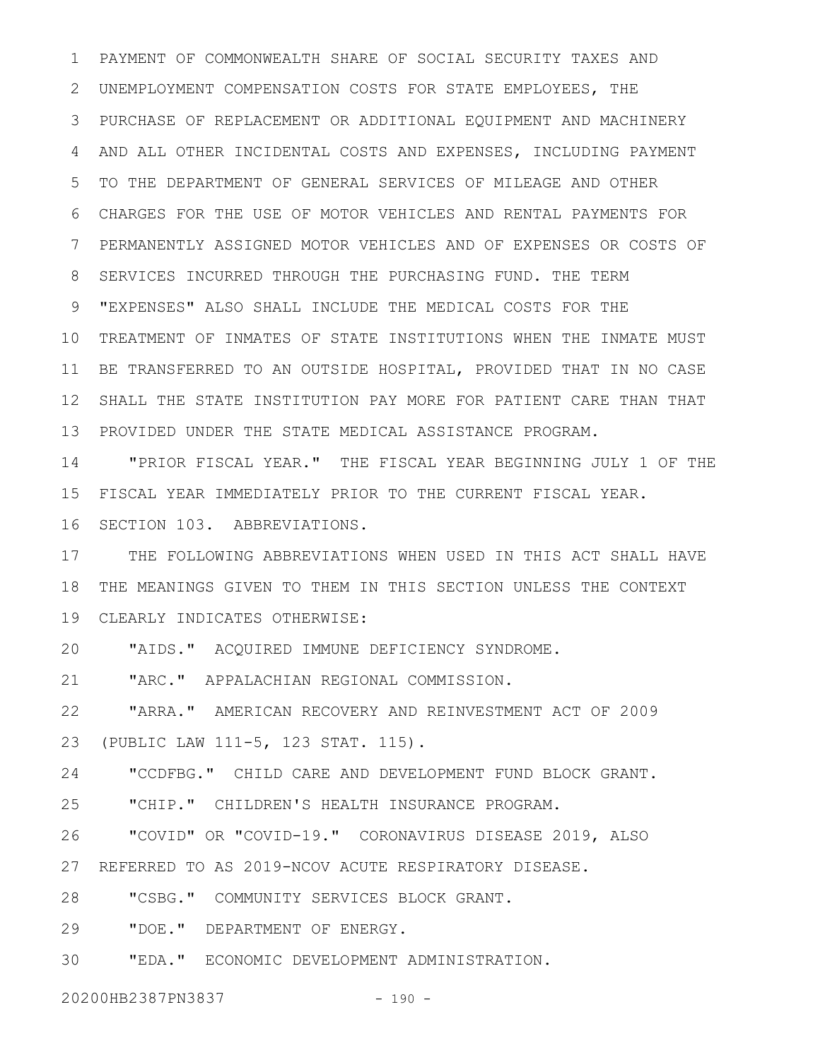PAYMENT OF COMMONWEALTH SHARE OF SOCIAL SECURITY TAXES AND UNEMPLOYMENT COMPENSATION COSTS FOR STATE EMPLOYEES, THE PURCHASE OF REPLACEMENT OR ADDITIONAL EQUIPMENT AND MACHINERY AND ALL OTHER INCIDENTAL COSTS AND EXPENSES, INCLUDING PAYMENT TO THE DEPARTMENT OF GENERAL SERVICES OF MILEAGE AND OTHER CHARGES FOR THE USE OF MOTOR VEHICLES AND RENTAL PAYMENTS FOR PERMANENTLY ASSIGNED MOTOR VEHICLES AND OF EXPENSES OR COSTS OF SERVICES INCURRED THROUGH THE PURCHASING FUND. THE TERM "EXPENSES" ALSO SHALL INCLUDE THE MEDICAL COSTS FOR THE 10 TREATMENT OF INMATES OF STATE INSTITUTIONS WHEN THE INMATE MUST BE TRANSFERRED TO AN OUTSIDE HOSPITAL, PROVIDED THAT IN NO CASE SHALL THE STATE INSTITUTION PAY MORE FOR PATIENT CARE THAN THAT PROVIDED UNDER THE STATE MEDICAL ASSISTANCE PROGRAM. 1 2 3 4 5 6 7 8 9 11 12 13

"PRIOR FISCAL YEAR." THE FISCAL YEAR BEGINNING JULY 1 OF THE FISCAL YEAR IMMEDIATELY PRIOR TO THE CURRENT FISCAL YEAR. 16 SECTION 103. ABBREVIATIONS. 14 15

THE FOLLOWING ABBREVIATIONS WHEN USED IN THIS ACT SHALL HAVE THE MEANINGS GIVEN TO THEM IN THIS SECTION UNLESS THE CONTEXT 18 CLEARLY INDICATES OTHERWISE: 19 17

"AIDS." ACQUIRED IMMUNE DEFICIENCY SYNDROME. 20

"ARC." APPALACHIAN REGIONAL COMMISSION. 21

"ARRA." AMERICAN RECOVERY AND REINVESTMENT ACT OF 2009 (PUBLIC LAW 111-5, 123 STAT. 115). 22 23

"CCDFBG." CHILD CARE AND DEVELOPMENT FUND BLOCK GRANT. 24

"CHIP." CHILDREN'S HEALTH INSURANCE PROGRAM. 25

"COVID" OR "COVID-19." CORONAVIRUS DISEASE 2019, ALSO REFERRED TO AS 2019-NCOV ACUTE RESPIRATORY DISEASE. 26 27

"CSBG." COMMUNITY SERVICES BLOCK GRANT. 28

"DOE." DEPARTMENT OF ENERGY. 29

"EDA." ECONOMIC DEVELOPMENT ADMINISTRATION. 30

20200HB2387PN3837 - 190 -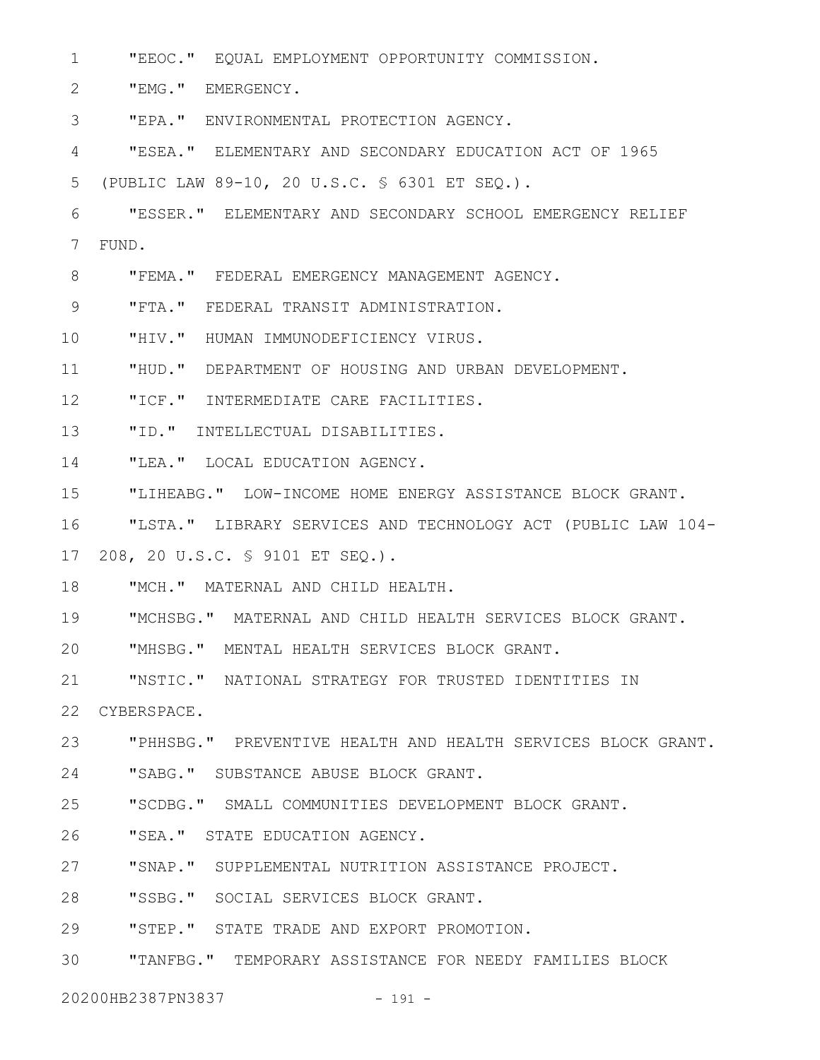"EEOC." EQUAL EMPLOYMENT OPPORTUNITY COMMISSION. 1

"EMG." EMERGENCY. 2

"EPA." ENVIRONMENTAL PROTECTION AGENCY. 3

"ESEA." ELEMENTARY AND SECONDARY EDUCATION ACT OF 1965 4

(PUBLIC LAW 89-10, 20 U.S.C. § 6301 ET SEQ.). 5

"ESSER." ELEMENTARY AND SECONDARY SCHOOL EMERGENCY RELIEF FUND. 6 7

"FEMA." FEDERAL EMERGENCY MANAGEMENT AGENCY. 8

"FTA." FEDERAL TRANSIT ADMINISTRATION. 9

"HIV." HUMAN IMMUNODEFICIENCY VIRUS. 10

"HUD." DEPARTMENT OF HOUSING AND URBAN DEVELOPMENT. 11

"ICF." INTERMEDIATE CARE FACILITIES. 12

"ID." INTELLECTUAL DISABILITIES. 13

"LEA." LOCAL EDUCATION AGENCY. 14

"LIHEABG." LOW-INCOME HOME ENERGY ASSISTANCE BLOCK GRANT. 15

"LSTA." LIBRARY SERVICES AND TECHNOLOGY ACT (PUBLIC LAW 104- 16

208, 20 U.S.C. § 9101 ET SEQ.). 17

"MCH." MATERNAL AND CHILD HEALTH. 18

"MCHSBG." MATERNAL AND CHILD HEALTH SERVICES BLOCK GRANT. 19

"MHSBG." MENTAL HEALTH SERVICES BLOCK GRANT. 20

"NSTIC." NATIONAL STRATEGY FOR TRUSTED IDENTITIES IN 21

CYBERSPACE. 22

"PHHSBG." PREVENTIVE HEALTH AND HEALTH SERVICES BLOCK GRANT. 23

"SABG." SUBSTANCE ABUSE BLOCK GRANT. 24

"SCDBG." SMALL COMMUNITIES DEVELOPMENT BLOCK GRANT. 25

"SEA." STATE EDUCATION AGENCY. 26

"SNAP." SUPPLEMENTAL NUTRITION ASSISTANCE PROJECT. 27

"SSBG." SOCIAL SERVICES BLOCK GRANT. 28

"STEP." STATE TRADE AND EXPORT PROMOTION. 29

"TANFBG." TEMPORARY ASSISTANCE FOR NEEDY FAMILIES BLOCK 30

20200HB2387PN3837 - 191 -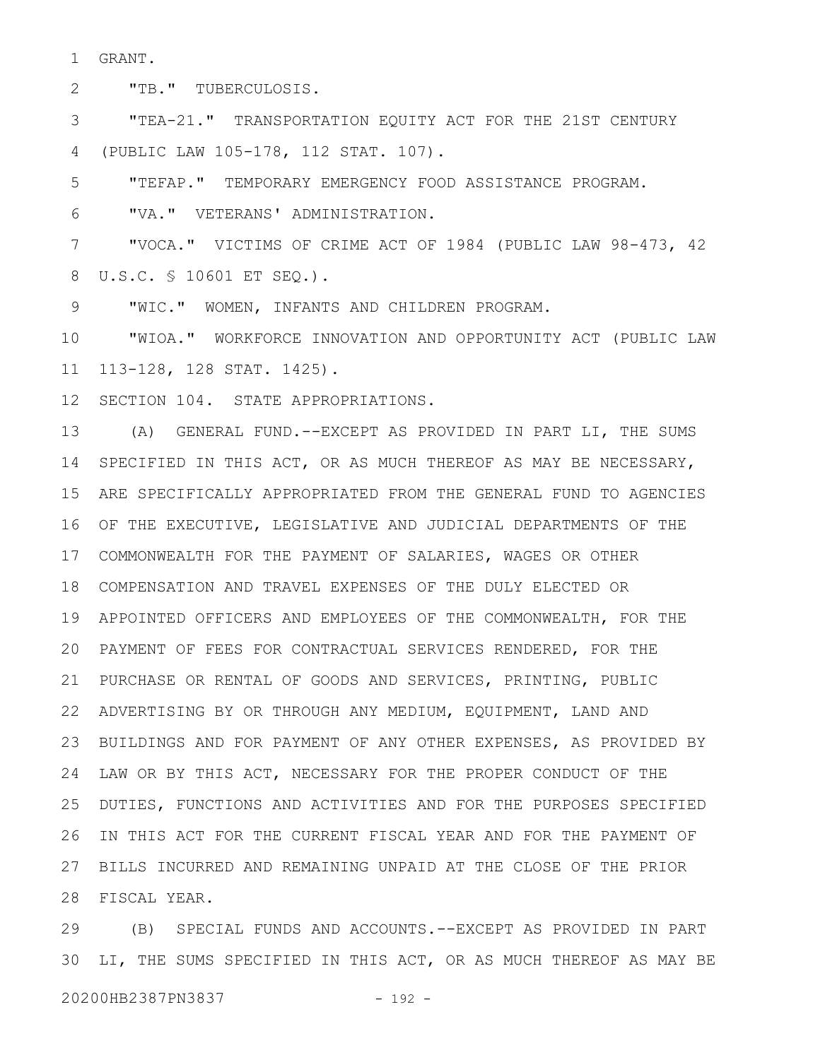GRANT. 1

"TB." TUBERCULOSIS. 2

"TEA-21." TRANSPORTATION EQUITY ACT FOR THE 21ST CENTURY (PUBLIC LAW 105-178, 112 STAT. 107). 3 4

"TEFAP." TEMPORARY EMERGENCY FOOD ASSISTANCE PROGRAM. 5

"VA." VETERANS' ADMINISTRATION. 6

"VOCA." VICTIMS OF CRIME ACT OF 1984 (PUBLIC LAW 98-473, 42 U.S.C. § 10601 ET SEQ.). 8 7

"WIC." WOMEN, INFANTS AND CHILDREN PROGRAM. 9

"WIOA." WORKFORCE INNOVATION AND OPPORTUNITY ACT (PUBLIC LAW 113-128, 128 STAT. 1425). 10 11

12 SECTION 104. STATE APPROPRIATIONS.

(A) GENERAL FUND.--EXCEPT AS PROVIDED IN PART LI, THE SUMS SPECIFIED IN THIS ACT, OR AS MUCH THEREOF AS MAY BE NECESSARY, 14 ARE SPECIFICALLY APPROPRIATED FROM THE GENERAL FUND TO AGENCIES 15 16 OF THE EXECUTIVE, LEGISLATIVE AND JUDICIAL DEPARTMENTS OF THE COMMONWEALTH FOR THE PAYMENT OF SALARIES, WAGES OR OTHER 17 COMPENSATION AND TRAVEL EXPENSES OF THE DULY ELECTED OR 18 APPOINTED OFFICERS AND EMPLOYEES OF THE COMMONWEALTH, FOR THE 19 PAYMENT OF FEES FOR CONTRACTUAL SERVICES RENDERED, FOR THE 20 PURCHASE OR RENTAL OF GOODS AND SERVICES, PRINTING, PUBLIC 21 ADVERTISING BY OR THROUGH ANY MEDIUM, EQUIPMENT, LAND AND 22 23 BUILDINGS AND FOR PAYMENT OF ANY OTHER EXPENSES, AS PROVIDED BY 24 LAW OR BY THIS ACT, NECESSARY FOR THE PROPER CONDUCT OF THE DUTIES, FUNCTIONS AND ACTIVITIES AND FOR THE PURPOSES SPECIFIED 26 IN THIS ACT FOR THE CURRENT FISCAL YEAR AND FOR THE PAYMENT OF BILLS INCURRED AND REMAINING UNPAID AT THE CLOSE OF THE PRIOR 27 FISCAL YEAR. 28 13 25

(B) SPECIAL FUNDS AND ACCOUNTS.--EXCEPT AS PROVIDED IN PART 30 LI, THE SUMS SPECIFIED IN THIS ACT, OR AS MUCH THEREOF AS MAY BE 20200HB2387PN3837 - 192 -29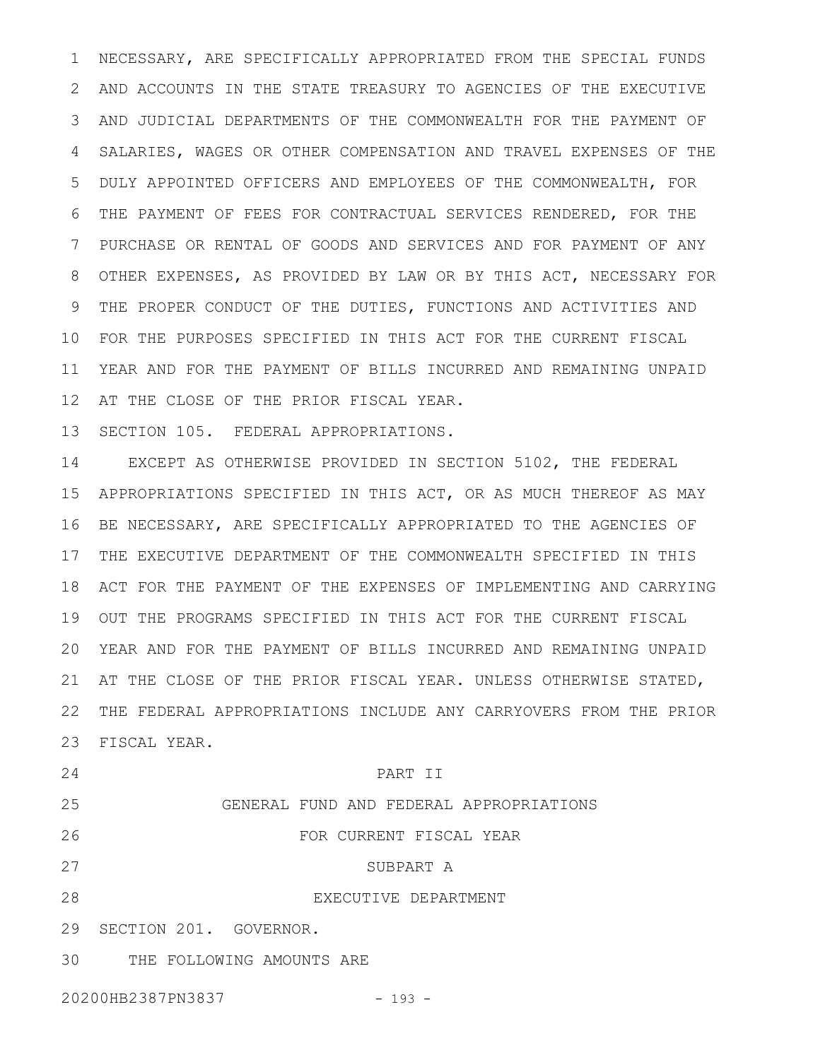NECESSARY, ARE SPECIFICALLY APPROPRIATED FROM THE SPECIAL FUNDS AND ACCOUNTS IN THE STATE TREASURY TO AGENCIES OF THE EXECUTIVE AND JUDICIAL DEPARTMENTS OF THE COMMONWEALTH FOR THE PAYMENT OF SALARIES, WAGES OR OTHER COMPENSATION AND TRAVEL EXPENSES OF THE DULY APPOINTED OFFICERS AND EMPLOYEES OF THE COMMONWEALTH, FOR THE PAYMENT OF FEES FOR CONTRACTUAL SERVICES RENDERED, FOR THE PURCHASE OR RENTAL OF GOODS AND SERVICES AND FOR PAYMENT OF ANY OTHER EXPENSES, AS PROVIDED BY LAW OR BY THIS ACT, NECESSARY FOR THE PROPER CONDUCT OF THE DUTIES, FUNCTIONS AND ACTIVITIES AND FOR THE PURPOSES SPECIFIED IN THIS ACT FOR THE CURRENT FISCAL 10 YEAR AND FOR THE PAYMENT OF BILLS INCURRED AND REMAINING UNPAID 11 12 AT THE CLOSE OF THE PRIOR FISCAL YEAR. 1 2 3 4 5 6 7 8 9

13 SECTION 105. FEDERAL APPROPRIATIONS.

EXCEPT AS OTHERWISE PROVIDED IN SECTION 5102, THE FEDERAL APPROPRIATIONS SPECIFIED IN THIS ACT, OR AS MUCH THEREOF AS MAY 15 16 BE NECESSARY, ARE SPECIFICALLY APPROPRIATED TO THE AGENCIES OF 17 THE EXECUTIVE DEPARTMENT OF THE COMMONWEALTH SPECIFIED IN THIS ACT FOR THE PAYMENT OF THE EXPENSES OF IMPLEMENTING AND CARRYING 18 OUT THE PROGRAMS SPECIFIED IN THIS ACT FOR THE CURRENT FISCAL 19 YEAR AND FOR THE PAYMENT OF BILLS INCURRED AND REMAINING UNPAID 20 AT THE CLOSE OF THE PRIOR FISCAL YEAR. UNLESS OTHERWISE STATED, 21 THE FEDERAL APPROPRIATIONS INCLUDE ANY CARRYOVERS FROM THE PRIOR 22 FISCAL YEAR. 23 14

PART II GENERAL FUND AND FEDERAL APPROPRIATIONS FOR CURRENT FISCAL YEAR SUBPART A EXECUTIVE DEPARTMENT 29 SECTION 201. GOVERNOR. THE FOLLOWING AMOUNTS ARE 24 25 26 27 28 30

20200HB2387PN3837 - 193 -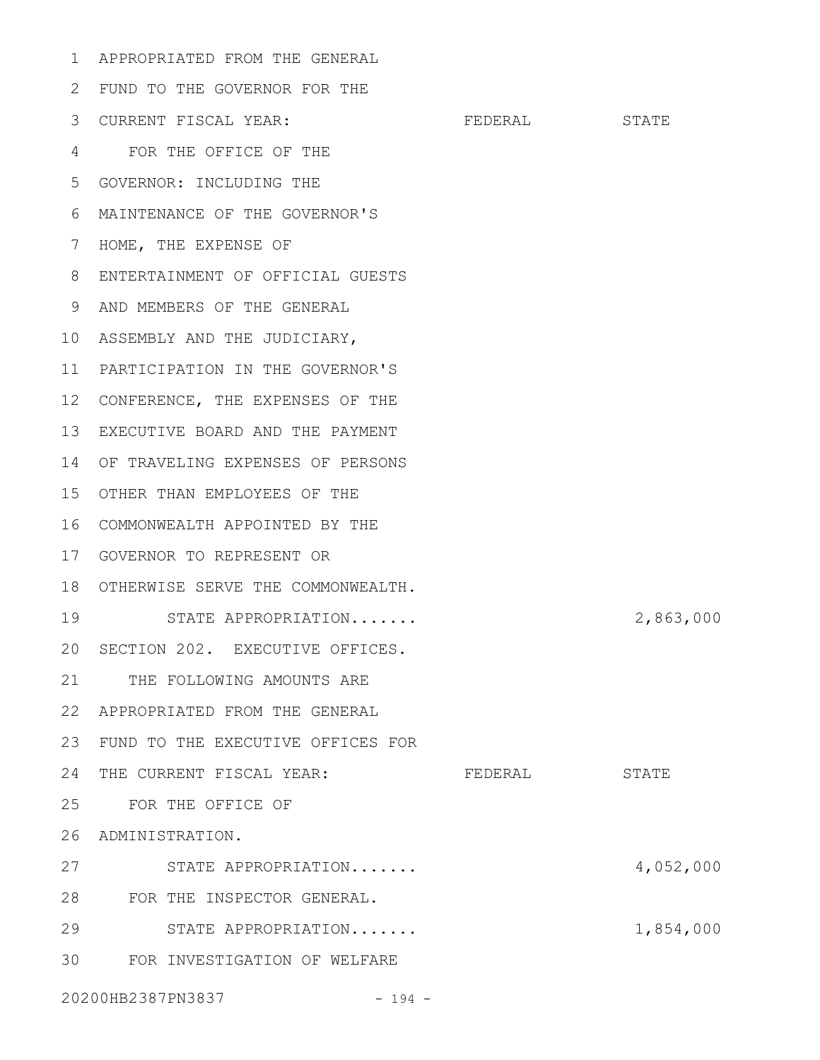APPROPRIATED FROM THE GENERAL 1

| 2  | FUND TO THE GOVERNOR FOR THE      |         |           |
|----|-----------------------------------|---------|-----------|
| 3  | CURRENT FISCAL YEAR:              | FEDERAL | STATE     |
| 4  | FOR THE OFFICE OF THE             |         |           |
| 5  | GOVERNOR: INCLUDING THE           |         |           |
| 6  | MAINTENANCE OF THE GOVERNOR'S     |         |           |
| 7  | HOME, THE EXPENSE OF              |         |           |
| 8  | ENTERTAINMENT OF OFFICIAL GUESTS  |         |           |
| 9  | AND MEMBERS OF THE GENERAL        |         |           |
| 10 | ASSEMBLY AND THE JUDICIARY,       |         |           |
| 11 | PARTICIPATION IN THE GOVERNOR'S   |         |           |
| 12 | CONFERENCE, THE EXPENSES OF THE   |         |           |
| 13 | EXECUTIVE BOARD AND THE PAYMENT   |         |           |
| 14 | OF TRAVELING EXPENSES OF PERSONS  |         |           |
| 15 | OTHER THAN EMPLOYEES OF THE       |         |           |
| 16 | COMMONWEALTH APPOINTED BY THE     |         |           |
| 17 | GOVERNOR TO REPRESENT OR          |         |           |
| 18 | OTHERWISE SERVE THE COMMONWEALTH. |         |           |
| 19 | STATE APPROPRIATION               |         | 2,863,000 |
| 20 | SECTION 202. EXECUTIVE OFFICES.   |         |           |
| 21 | THE FOLLOWING AMOUNTS ARE         |         |           |
| 22 | APPROPRIATED FROM THE GENERAL     |         |           |
| 23 | FUND TO THE EXECUTIVE OFFICES FOR |         |           |
| 24 | THE CURRENT FISCAL YEAR:          | FEDERAL | STATE     |
| 25 | FOR THE OFFICE OF                 |         |           |
| 26 | ADMINISTRATION.                   |         |           |
| 27 | STATE APPROPRIATION               |         | 4,052,000 |
| 28 | FOR THE INSPECTOR GENERAL.        |         |           |
| 29 | STATE APPROPRIATION               |         | 1,854,000 |
| 30 | FOR INVESTIGATION OF WELFARE      |         |           |
|    | 20200HB2387PN3837<br>$-194 -$     |         |           |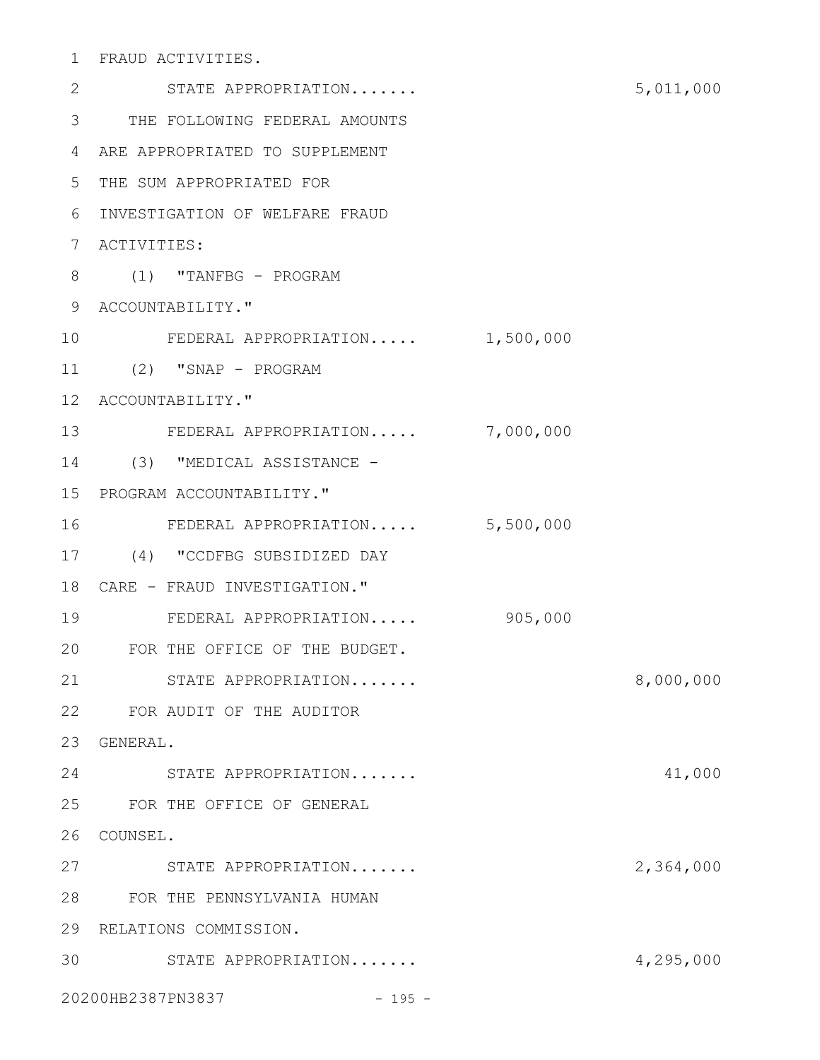FRAUD ACTIVITIES. 1

| 2               | STATE APPROPRIATION             |           | 5,011,000 |
|-----------------|---------------------------------|-----------|-----------|
| 3               | THE FOLLOWING FEDERAL AMOUNTS   |           |           |
| 4               | ARE APPROPRIATED TO SUPPLEMENT  |           |           |
| 5               | THE SUM APPROPRIATED FOR        |           |           |
| 6               | INVESTIGATION OF WELFARE FRAUD  |           |           |
| 7               | ACTIVITIES:                     |           |           |
| 8               | $(1)$ "TANFBG - PROGRAM         |           |           |
| 9               | ACCOUNTABILITY."                |           |           |
| 10              | FEDERAL APPROPRIATION           | 1,500,000 |           |
| 11              | (2) "SNAP - PROGRAM             |           |           |
| 12 <sub>1</sub> | ACCOUNTABILITY."                |           |           |
| 13              | FEDERAL APPROPRIATION 7,000,000 |           |           |
| 14              | (3) "MEDICAL ASSISTANCE -       |           |           |
| 15 <sub>1</sub> | PROGRAM ACCOUNTABILITY."        |           |           |
| 16              | FEDERAL APPROPRIATION 5,500,000 |           |           |
| 17              | (4) "CCDFBG SUBSIDIZED DAY      |           |           |
| 18              | CARE - FRAUD INVESTIGATION."    |           |           |
| 19              | FEDERAL APPROPRIATION           | 905,000   |           |
| 20              | FOR THE OFFICE OF THE BUDGET.   |           |           |
| 21              | STATE APPROPRIATION             |           | 8,000,000 |
|                 | 22 FOR AUDIT OF THE AUDITOR     |           |           |
| 23              | GENERAL.                        |           |           |
| 24              | STATE APPROPRIATION             |           | 41,000    |
| 25              | FOR THE OFFICE OF GENERAL       |           |           |
| 26              | COUNSEL.                        |           |           |
| 27              | STATE APPROPRIATION             |           | 2,364,000 |
| 28              | FOR THE PENNSYLVANIA HUMAN      |           |           |
| 29              | RELATIONS COMMISSION.           |           |           |
| 30              | STATE APPROPRIATION             |           | 4,295,000 |
|                 | 20200HB2387PN3837<br>$-195 -$   |           |           |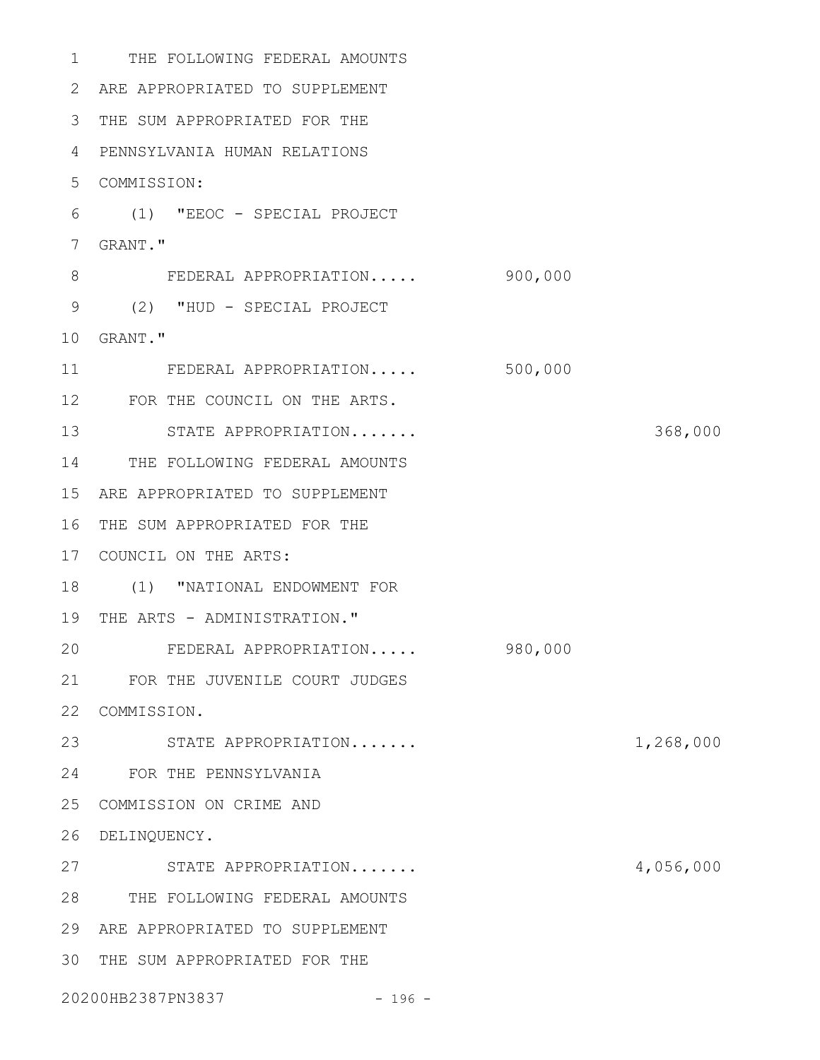| 1           | THE FOLLOWING FEDERAL AMOUNTS  |         |           |
|-------------|--------------------------------|---------|-----------|
| 2           | ARE APPROPRIATED TO SUPPLEMENT |         |           |
| 3           | THE SUM APPROPRIATED FOR THE   |         |           |
| 4           | PENNSYLVANIA HUMAN RELATIONS   |         |           |
| 5           | COMMISSION:                    |         |           |
| 6           | (1) "EEOC - SPECIAL PROJECT    |         |           |
| 7           | GRANT."                        |         |           |
| $8\,$       | FEDERAL APPROPRIATION          | 900,000 |           |
| $\mathsf 9$ | (2) "HUD - SPECIAL PROJECT     |         |           |
| 10          | GRANT."                        |         |           |
| 11          | FEDERAL APPROPRIATION          | 500,000 |           |
| 12          | FOR THE COUNCIL ON THE ARTS.   |         |           |
| 13          | STATE APPROPRIATION            |         | 368,000   |
| 14          | THE FOLLOWING FEDERAL AMOUNTS  |         |           |
| 15          | ARE APPROPRIATED TO SUPPLEMENT |         |           |
| 16          | THE SUM APPROPRIATED FOR THE   |         |           |
| 17          | COUNCIL ON THE ARTS:           |         |           |
| 18          | (1) "NATIONAL ENDOWMENT FOR    |         |           |
| 19          | THE ARTS - ADMINISTRATION."    |         |           |
| 20          | FEDERAL APPROPRIATION          | 980,000 |           |
| 21          | FOR THE JUVENILE COURT JUDGES  |         |           |
| 22          | COMMISSION.                    |         |           |
| 23          | STATE APPROPRIATION            |         | 1,268,000 |
| 24          | FOR THE PENNSYLVANIA           |         |           |
| 25          | COMMISSION ON CRIME AND        |         |           |
| 26          | DELINQUENCY.                   |         |           |
| 27          | STATE APPROPRIATION            |         | 4,056,000 |
| 28          | THE FOLLOWING FEDERAL AMOUNTS  |         |           |
| 29          | ARE APPROPRIATED TO SUPPLEMENT |         |           |
| 30          | THE SUM APPROPRIATED FOR THE   |         |           |
|             | 20200HB2387PN3837<br>$-196 -$  |         |           |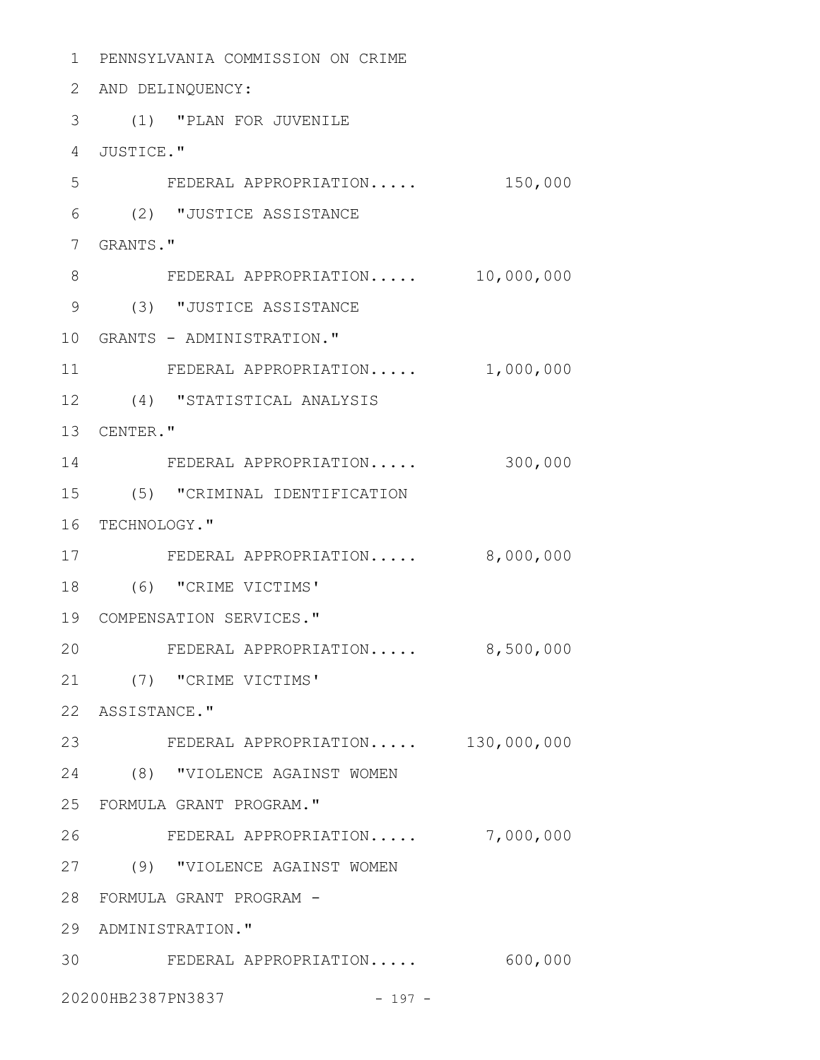PENNSYLVANIA COMMISSION ON CRIME 2 AND DELINQUENCY: (1) "PLAN FOR JUVENILE JUSTICE." FEDERAL APPROPRIATION..... 150,000 (2) "JUSTICE ASSISTANCE GRANTS." FEDERAL APPROPRIATION..... 10,000,000 (3) "JUSTICE ASSISTANCE GRANTS - ADMINISTRATION." FEDERAL APPROPRIATION..... 1,000,000 (4) "STATISTICAL ANALYSIS 13 CENTER." FEDERAL APPROPRIATION..... 300,000 (5) "CRIMINAL IDENTIFICATION 16 TECHNOLOGY." FEDERAL APPROPRIATION..... 8,000,000 (6) "CRIME VICTIMS' COMPENSATION SERVICES." FEDERAL APPROPRIATION..... 8,500,000 (7) "CRIME VICTIMS' 22 ASSISTANCE." FEDERAL APPROPRIATION..... 130,000,000 (8) "VIOLENCE AGAINST WOMEN FORMULA GRANT PROGRAM." FEDERAL APPROPRIATION..... 7,000,000 (9) "VIOLENCE AGAINST WOMEN FORMULA GRANT PROGRAM - 29 ADMINISTRATION." FEDERAL APPROPRIATION..... 600,000 20200HB2387PN3837 - 197 -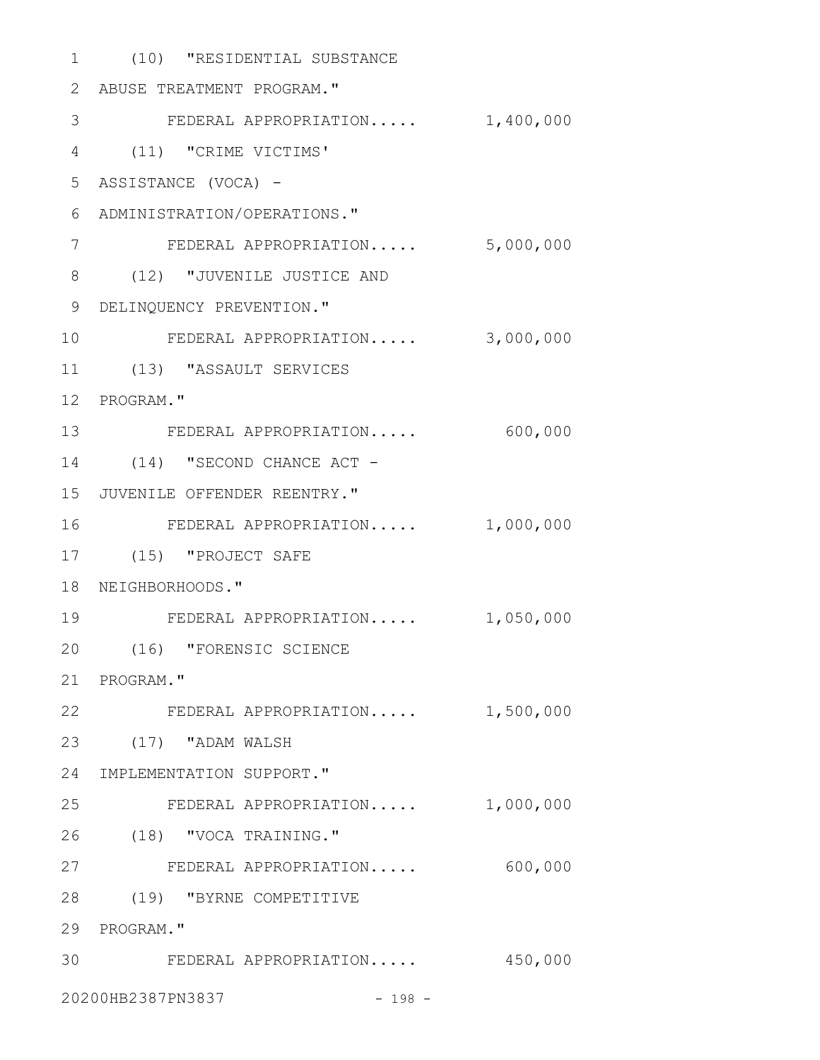(10) "RESIDENTIAL SUBSTANCE 1 ABUSE TREATMENT PROGRAM." 2 3 FEDERAL APPROPRIATION..... 1,400,000 (11) "CRIME VICTIMS' 4 ASSISTANCE (VOCA) - 5 ADMINISTRATION/OPERATIONS." 6 FEDERAL APPROPRIATION..... 5,000,000 (12) "JUVENILE JUSTICE AND 8 9 DELINQUENCY PREVENTION." FEDERAL APPROPRIATION..... 3,000,000 (13) "ASSAULT SERVICES 11 12 PROGRAM." FEDERAL APPROPRIATION..... 600,000 13 14 (14) "SECOND CHANCE ACT -15 JUVENILE OFFENDER REENTRY." FEDERAL APPROPRIATION..... 1,000,000 (15) "PROJECT SAFE 17 18 NEIGHBORHOODS." 19 FEDERAL APPROPRIATION..... 1,050,000 (16) "FORENSIC SCIENCE 20 21 PROGRAM." 22 FEDERAL APPROPRIATION..... 1,500,000 (17) "ADAM WALSH 23 24 IMPLEMENTATION SUPPORT." FEDERAL APPROPRIATION..... 1,000,000 (18) "VOCA TRAINING." 26 FEDERAL APPROPRIATION..... 600,000 27 (19) "BYRNE COMPETITIVE 28 29 PROGRAM." FEDERAL APPROPRIATION..... 450,000 3020200HB2387PN3837 - 198 -7 10 16 25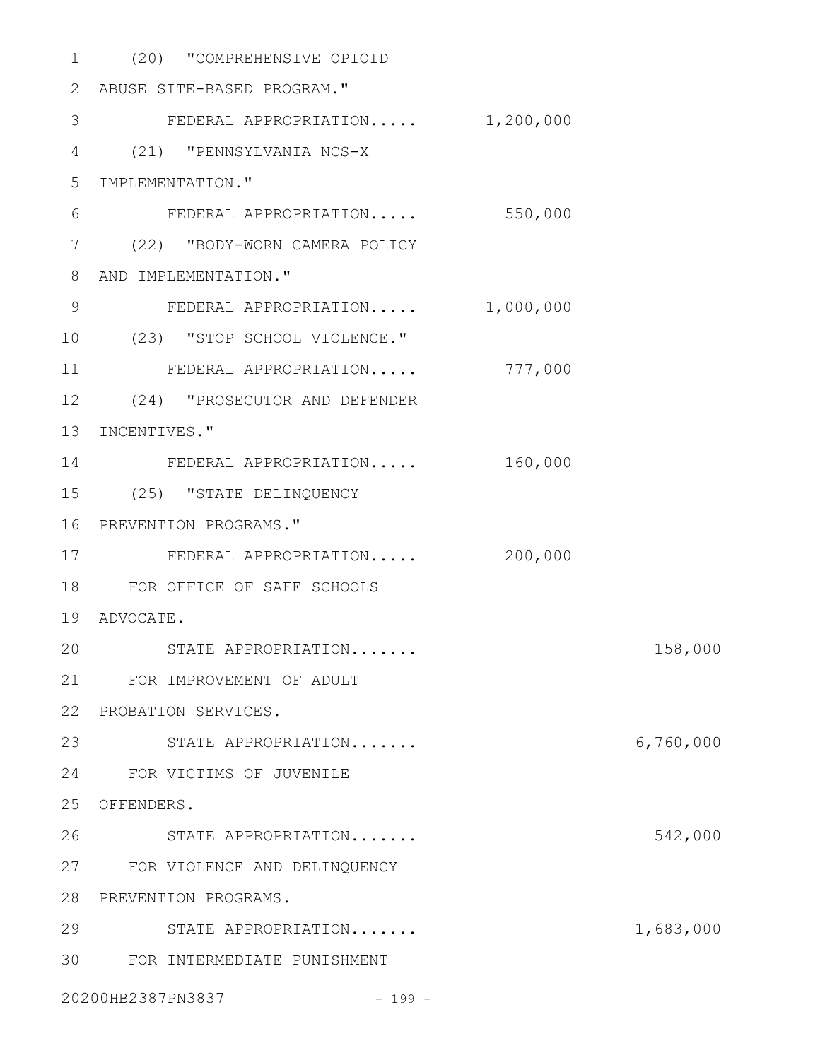| $\mathbf 1$ | (20) "COMPREHENSIVE OPIOID      |           |           |
|-------------|---------------------------------|-----------|-----------|
| 2           | ABUSE SITE-BASED PROGRAM."      |           |           |
| 3           | FEDERAL APPROPRIATION 1,200,000 |           |           |
| 4           | (21) "PENNSYLVANIA NCS-X        |           |           |
| 5           | IMPLEMENTATION."                |           |           |
| 6           | FEDERAL APPROPRIATION           | 550,000   |           |
| 7           | (22) "BODY-WORN CAMERA POLICY   |           |           |
| 8           | AND IMPLEMENTATION."            |           |           |
| $\mathsf 9$ | FEDERAL APPROPRIATION           | 1,000,000 |           |
| 10          | (23) "STOP SCHOOL VIOLENCE."    |           |           |
| 11          | FEDERAL APPROPRIATION           | 777,000   |           |
| 12          | (24) "PROSECUTOR AND DEFENDER   |           |           |
| 13          | INCENTIVES."                    |           |           |
| 14          | FEDERAL APPROPRIATION           | 160,000   |           |
| 15          | (25) "STATE DELINQUENCY         |           |           |
| 16          | PREVENTION PROGRAMS."           |           |           |
| 17          | FEDERAL APPROPRIATION           | 200,000   |           |
| 18          | FOR OFFICE OF SAFE SCHOOLS      |           |           |
| 19          | ADVOCATE.                       |           |           |
|             | 20 STATE APPROPRIATION          |           | 158,000   |
|             | 21 FOR IMPROVEMENT OF ADULT     |           |           |
| 22          | PROBATION SERVICES.             |           |           |
| 23          | STATE APPROPRIATION             |           | 6,760,000 |
| 24          | FOR VICTIMS OF JUVENILE         |           |           |
| 25          | OFFENDERS.                      |           |           |
| 26          | STATE APPROPRIATION             |           | 542,000   |
| 27          | FOR VIOLENCE AND DELINQUENCY    |           |           |
| 28          | PREVENTION PROGRAMS.            |           |           |
| 29          | STATE APPROPRIATION             |           | 1,683,000 |
| 30          | FOR INTERMEDIATE PUNISHMENT     |           |           |
|             | 20200HB2387PN3837<br>$-199 -$   |           |           |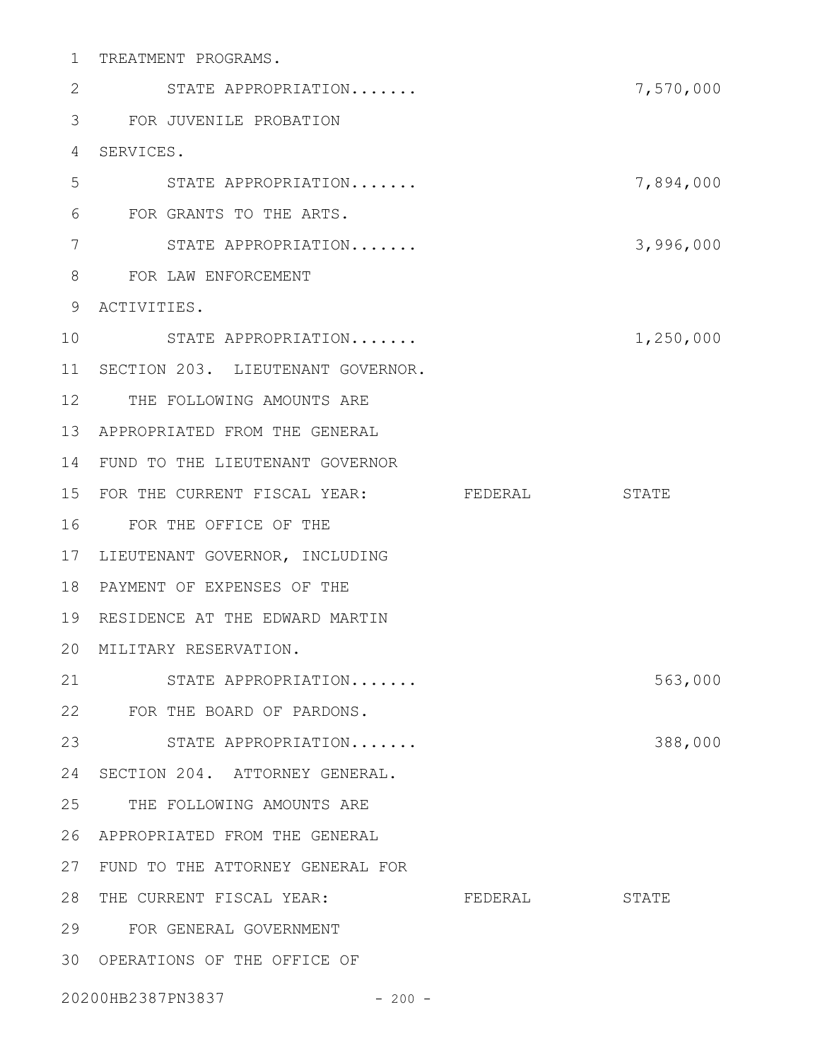| 1               | TREATMENT PROGRAMS.                  |         |           |
|-----------------|--------------------------------------|---------|-----------|
| 2               | STATE APPROPRIATION                  |         | 7,570,000 |
| 3               | FOR JUVENILE PROBATION               |         |           |
| 4               | SERVICES.                            |         |           |
| 5               | STATE APPROPRIATION                  |         | 7,894,000 |
| 6               | FOR GRANTS TO THE ARTS.              |         |           |
| 7               | STATE APPROPRIATION                  |         | 3,996,000 |
| 8               | FOR LAW ENFORCEMENT                  |         |           |
| 9               | ACTIVITIES.                          |         |           |
| 10              | STATE APPROPRIATION                  |         | 1,250,000 |
| 11              | SECTION 203. LIEUTENANT GOVERNOR.    |         |           |
| 12 <sup>°</sup> | THE FOLLOWING AMOUNTS ARE            |         |           |
| 13              | APPROPRIATED FROM THE GENERAL        |         |           |
| 14              | FUND TO THE LIEUTENANT GOVERNOR      |         |           |
| 15              | FOR THE CURRENT FISCAL YEAR: FEDERAL |         | STATE     |
| 16              | FOR THE OFFICE OF THE                |         |           |
| 17              | LIEUTENANT GOVERNOR, INCLUDING       |         |           |
| 18              | PAYMENT OF EXPENSES OF THE           |         |           |
| 19              | RESIDENCE AT THE EDWARD MARTIN       |         |           |
|                 | 20 MILITARY RESERVATION.             |         |           |
|                 | 21<br>STATE APPROPRIATION            |         | 563,000   |
|                 | 22 FOR THE BOARD OF PARDONS.         |         |           |
| 23              | STATE APPROPRIATION                  |         | 388,000   |
| 24              | SECTION 204. ATTORNEY GENERAL.       |         |           |
| 25              | THE FOLLOWING AMOUNTS ARE            |         |           |
| 26              | APPROPRIATED FROM THE GENERAL        |         |           |
| 27              | FUND TO THE ATTORNEY GENERAL FOR     |         |           |
| 28              | THE CURRENT FISCAL YEAR:             | FEDERAL | STATE     |
| 29              | FOR GENERAL GOVERNMENT               |         |           |
| 30              | OPERATIONS OF THE OFFICE OF          |         |           |
|                 | 20200HB2387PN3837 - 200 -            |         |           |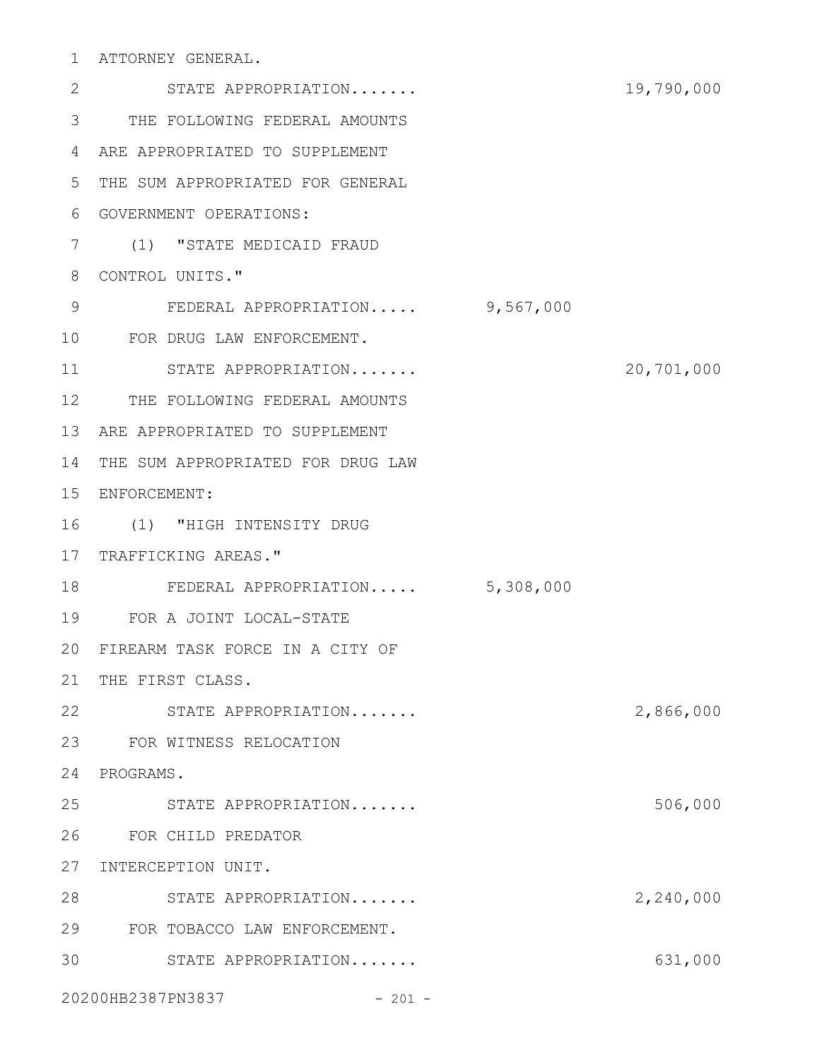ATTORNEY GENERAL. 1

STATE APPROPRIATION....... 19,790,000 THE FOLLOWING FEDERAL AMOUNTS 3 ARE APPROPRIATED TO SUPPLEMENT 4 5 THE SUM APPROPRIATED FOR GENERAL GOVERNMENT OPERATIONS: 6 (1) "STATE MEDICAID FRAUD 7 8 CONTROL UNITS." FEDERAL APPROPRIATION..... 9,567,000 FOR DRUG LAW ENFORCEMENT. 10 STATE APPROPRIATION....... 20,701,000 12 THE FOLLOWING FEDERAL AMOUNTS 13 ARE APPROPRIATED TO SUPPLEMENT 14 THE SUM APPROPRIATED FOR DRUG LAW 15 ENFORCEMENT: (1) "HIGH INTENSITY DRUG 16 17 TRAFFICKING AREAS." FEDERAL APPROPRIATION..... 5,308,000 FOR A JOINT LOCAL-STATE 19 FIREARM TASK FORCE IN A CITY OF 20 21 THE FIRST CLASS. 22 STATE APPROPRIATION....... 2,866,000 FOR WITNESS RELOCATION 23 24 PROGRAMS. STATE APPROPRIATION....... 506,000 FOR CHILD PREDATOR 26 27 INTERCEPTION UNIT. 28 STATE APPROPRIATION....... 2,240,000 FOR TOBACCO LAW ENFORCEMENT. 29 30 STATE APPROPRIATION....... 631,000 20200HB2387PN3837 - 201 -2 9 11 18 25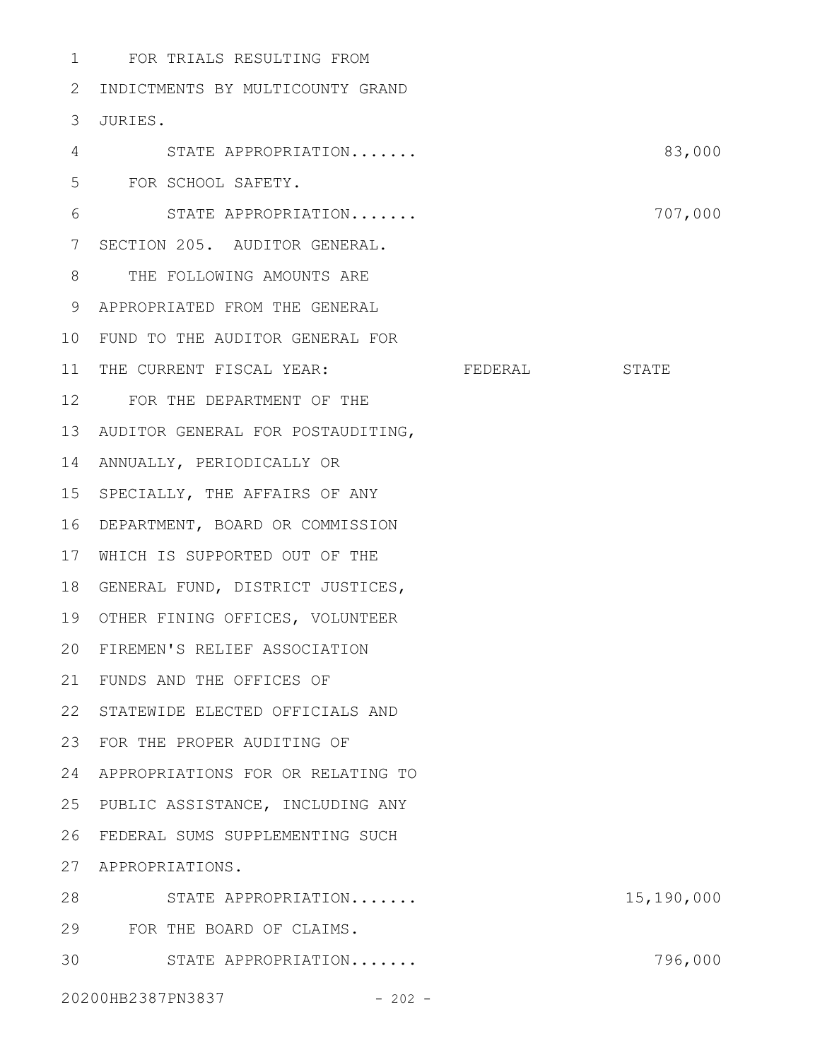| 1              | FOR TRIALS RESULTING FROM         |            |
|----------------|-----------------------------------|------------|
| 2              | INDICTMENTS BY MULTICOUNTY GRAND  |            |
| 3              | JURIES.                           |            |
| 4              | STATE APPROPRIATION               | 83,000     |
| 5              | FOR SCHOOL SAFETY.                |            |
| 6              | STATE APPROPRIATION               | 707,000    |
| $7\phantom{.}$ | SECTION 205. AUDITOR GENERAL.     |            |
| 8              | THE FOLLOWING AMOUNTS ARE         |            |
| 9              | APPROPRIATED FROM THE GENERAL     |            |
| 10             | FUND TO THE AUDITOR GENERAL FOR   |            |
| 11             | THE CURRENT FISCAL YEAR: FEDERAL  | STATE      |
| 12             | FOR THE DEPARTMENT OF THE         |            |
| 13             | AUDITOR GENERAL FOR POSTAUDITING, |            |
| 14             | ANNUALLY, PERIODICALLY OR         |            |
| 15             | SPECIALLY, THE AFFAIRS OF ANY     |            |
| 16             | DEPARTMENT, BOARD OR COMMISSION   |            |
| 17             | WHICH IS SUPPORTED OUT OF THE     |            |
| 18             | GENERAL FUND, DISTRICT JUSTICES,  |            |
| 19             | OTHER FINING OFFICES, VOLUNTEER   |            |
| 20             | FIREMEN'S RELIEF ASSOCIATION      |            |
| 21             | FUNDS AND THE OFFICES OF          |            |
| 22             | STATEWIDE ELECTED OFFICIALS AND   |            |
| 23             | FOR THE PROPER AUDITING OF        |            |
| 24             | APPROPRIATIONS FOR OR RELATING TO |            |
| 25             | PUBLIC ASSISTANCE, INCLUDING ANY  |            |
| 26             | FEDERAL SUMS SUPPLEMENTING SUCH   |            |
| 27             | APPROPRIATIONS.                   |            |
| 28             | STATE APPROPRIATION               | 15,190,000 |
| 29             | FOR THE BOARD OF CLAIMS.          |            |
| 30             | STATE APPROPRIATION               | 796,000    |
|                | 20200HB2387PN3837 - 202 -         |            |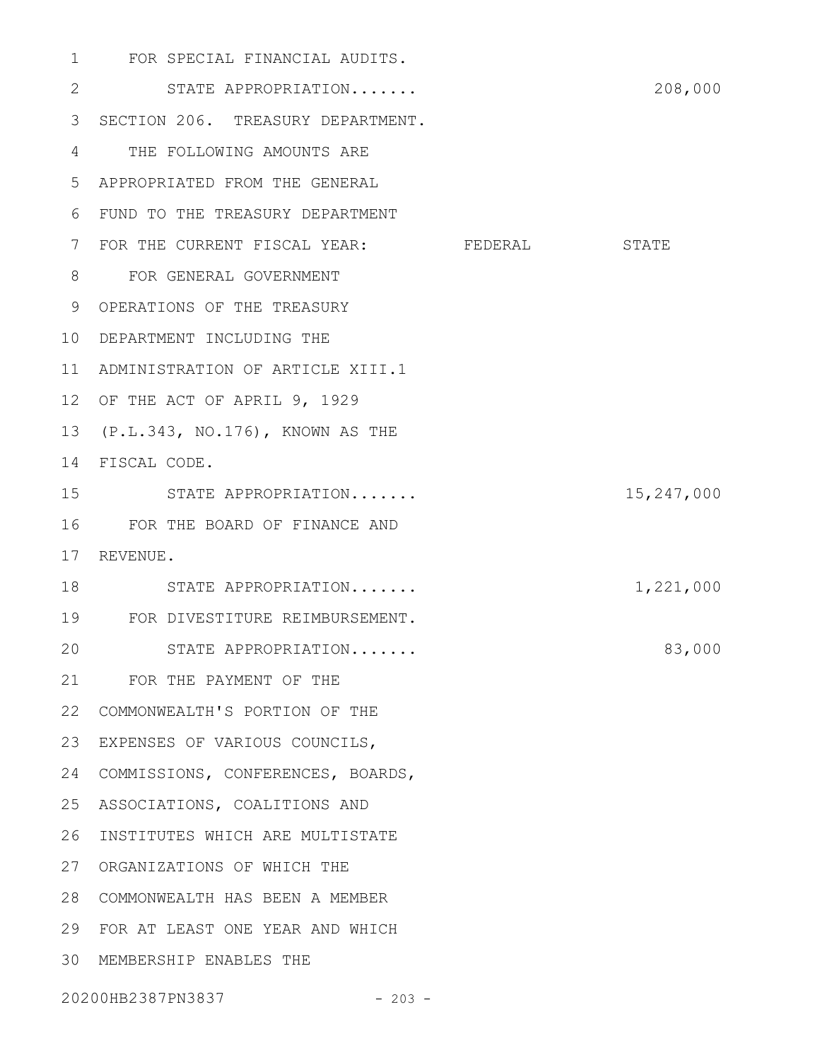FOR SPECIAL FINANCIAL AUDITS. 1 STATE APPROPRIATION....... 208,000 3 SECTION 206. TREASURY DEPARTMENT. THE FOLLOWING AMOUNTS ARE 4 APPROPRIATED FROM THE GENERAL 5 FUND TO THE TREASURY DEPARTMENT 6 7 FOR THE CURRENT FISCAL YEAR: FEDERAL STATE FOR GENERAL GOVERNMENT 8 9 OPERATIONS OF THE TREASURY 10 DEPARTMENT INCLUDING THE 11 ADMINISTRATION OF ARTICLE XIII.1 12 OF THE ACT OF APRIL 9, 1929 13 (P.L.343, NO.176), KNOWN AS THE FISCAL CODE. 14 STATE APPROPRIATION....... 15,247,000 FOR THE BOARD OF FINANCE AND 16 17 REVENUE. 18 STATE APPROPRIATION....... 1,221,000 FOR DIVESTITURE REIMBURSEMENT. 19 STATE APPROPRIATION....... 83,000 FOR THE PAYMENT OF THE 21 COMMONWEALTH'S PORTION OF THE 22 23 EXPENSES OF VARIOUS COUNCILS, 24 COMMISSIONS, CONFERENCES, BOARDS, 25 ASSOCIATIONS, COALITIONS AND 26 INSTITUTES WHICH ARE MULTISTATE 27 ORGANIZATIONS OF WHICH THE COMMONWEALTH HAS BEEN A MEMBER 28 FOR AT LEAST ONE YEAR AND WHICH 29 MEMBERSHIP ENABLES THE 302 15 20

20200HB2387PN3837 - 203 -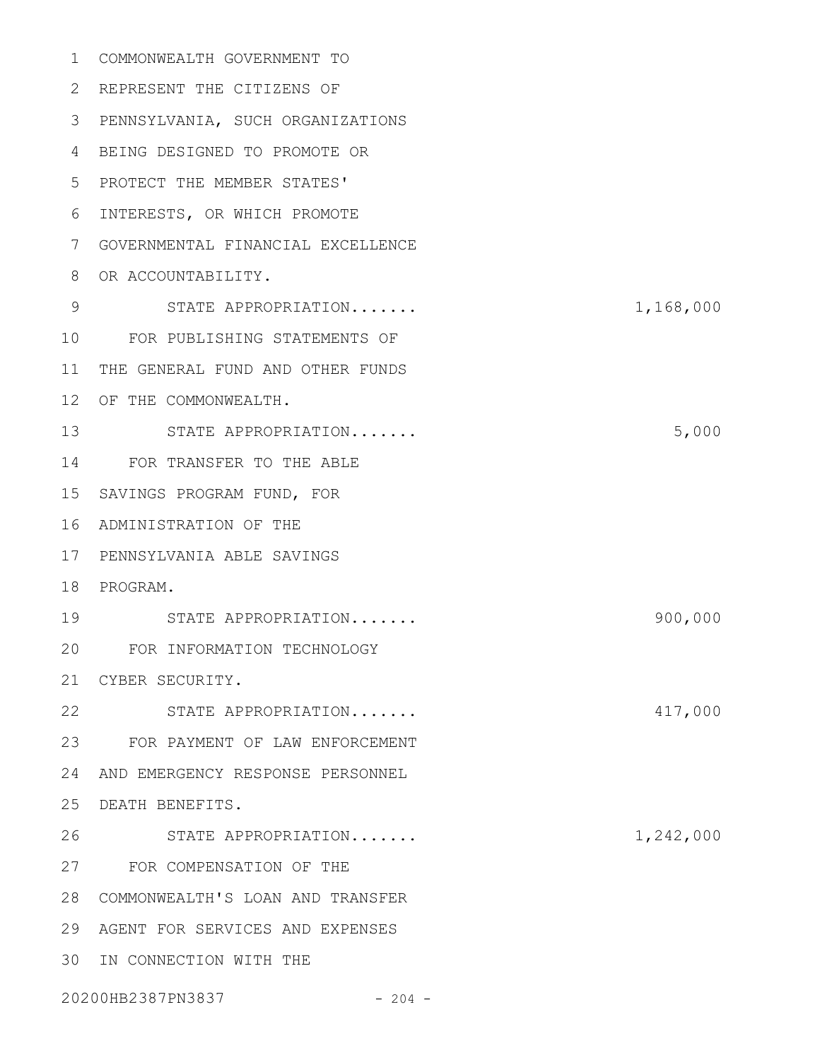| 1               | COMMONWEALTH GOVERNMENT TO        |           |
|-----------------|-----------------------------------|-----------|
| 2               | REPRESENT THE CITIZENS OF         |           |
| 3               | PENNSYLVANIA, SUCH ORGANIZATIONS  |           |
| 4               | BEING DESIGNED TO PROMOTE OR      |           |
| 5               | PROTECT THE MEMBER STATES'        |           |
| 6               | INTERESTS, OR WHICH PROMOTE       |           |
| 7               | GOVERNMENTAL FINANCIAL EXCELLENCE |           |
| 8               | OR ACCOUNTABILITY.                |           |
| 9               | STATE APPROPRIATION               | 1,168,000 |
| 10              | FOR PUBLISHING STATEMENTS OF      |           |
| 11              | THE GENERAL FUND AND OTHER FUNDS  |           |
| 12 <sup>°</sup> | OF THE COMMONWEALTH.              |           |
| 13              | STATE APPROPRIATION               | 5,000     |
| 14              | FOR TRANSFER TO THE ABLE          |           |
| 15              | SAVINGS PROGRAM FUND, FOR         |           |
| 16              | ADMINISTRATION OF THE             |           |
| 17              | PENNSYLVANIA ABLE SAVINGS         |           |
| 18              | PROGRAM.                          |           |
| 19              | STATE APPROPRIATION               | 900,000   |
| 20              | FOR INFORMATION TECHNOLOGY        |           |
|                 | 21 CYBER SECURITY.                |           |
| 22              | STATE APPROPRIATION               | 417,000   |
|                 | 23 FOR PAYMENT OF LAW ENFORCEMENT |           |
| 24              | AND EMERGENCY RESPONSE PERSONNEL  |           |
| 25              | DEATH BENEFITS.                   |           |
| 26              | STATE APPROPRIATION               | 1,242,000 |
|                 | 27 FOR COMPENSATION OF THE        |           |
| 28              | COMMONWEALTH'S LOAN AND TRANSFER  |           |
| 29              | AGENT FOR SERVICES AND EXPENSES   |           |
| 30              | IN CONNECTION WITH THE            |           |
|                 | 20200HB2387PN3837<br>$-204 -$     |           |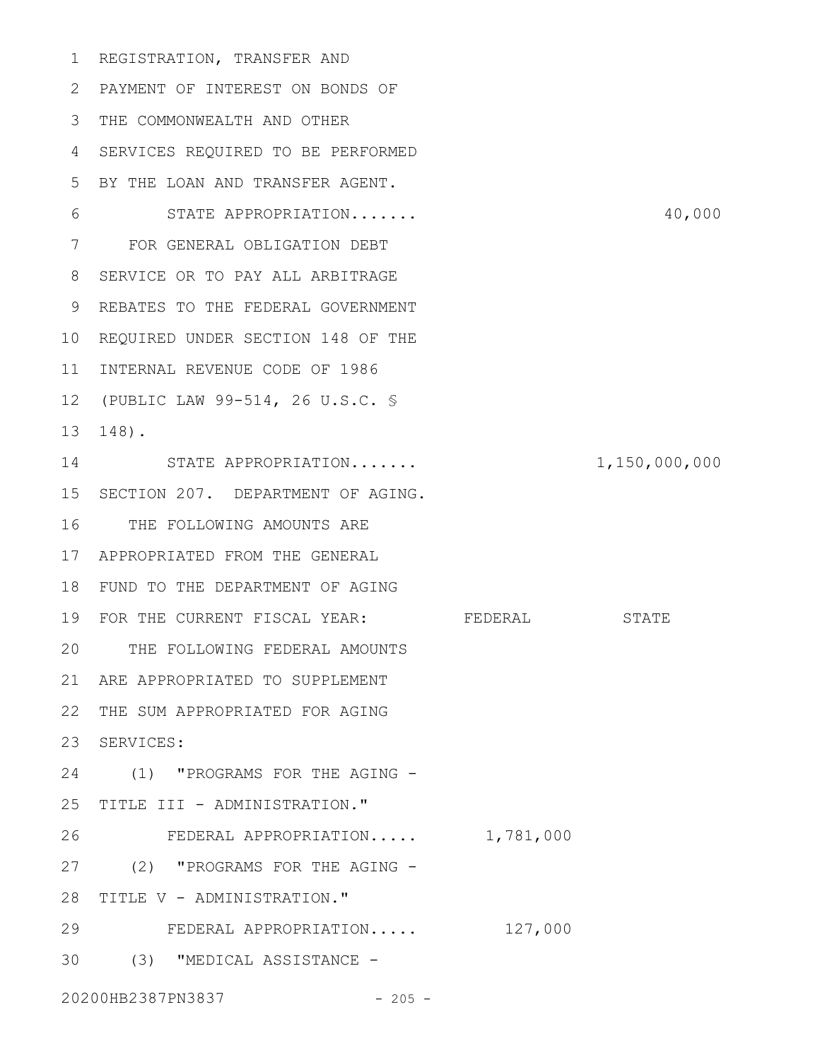1 REGISTRATION, TRANSFER AND PAYMENT OF INTEREST ON BONDS OF 2 THE COMMONWEALTH AND OTHER 3 SERVICES REQUIRED TO BE PERFORMED 4 BY THE LOAN AND TRANSFER AGENT. 5 STATE APPROPRIATION....... 40,000 FOR GENERAL OBLIGATION DEBT 7 8 SERVICE OR TO PAY ALL ARBITRAGE 9 REBATES TO THE FEDERAL GOVERNMENT 10 REQUIRED UNDER SECTION 148 OF THE 11 INTERNAL REVENUE CODE OF 1986 (PUBLIC LAW 99-514, 26 U.S.C. § 12 148). 13 14 STATE APPROPRIATION....... 1,150,000,000 15 SECTION 207. DEPARTMENT OF AGING. 16 THE FOLLOWING AMOUNTS ARE APPROPRIATED FROM THE GENERAL 17 FUND TO THE DEPARTMENT OF AGING 18 19 FOR THE CURRENT FISCAL YEAR: FEDERAL STATE THE FOLLOWING FEDERAL AMOUNTS 20 ARE APPROPRIATED TO SUPPLEMENT 21 22 THE SUM APPROPRIATED FOR AGING 23 SERVICES: 24 (1) "PROGRAMS FOR THE AGING -25 TITLE III - ADMINISTRATION." FEDERAL APPROPRIATION..... 1,781,000 27 (2) "PROGRAMS FOR THE AGING -28 TITLE V - ADMINISTRATION." FEDERAL APPROPRIATION..... 127,000 (3) "MEDICAL ASSISTANCE - 3020200HB2387PN3837 - 205 -6 26 29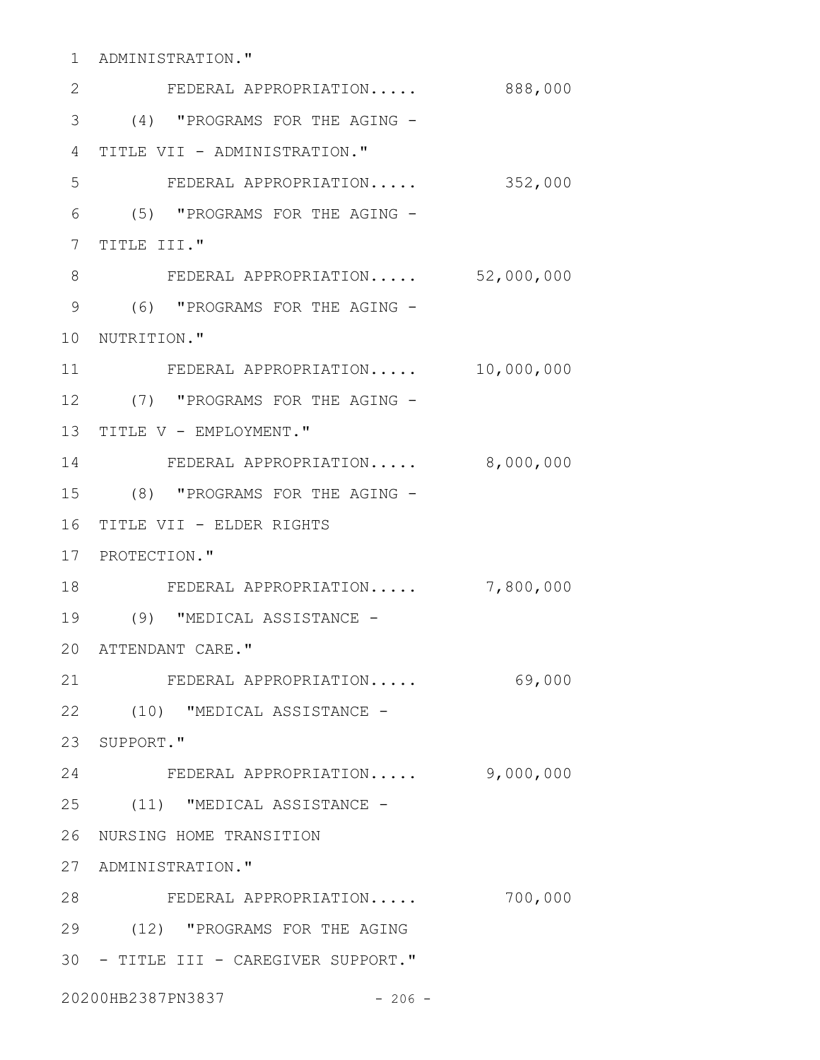ADMINISTRATION." 1

| 2               | FEDERAL APPROPRIATION                | 888,000    |
|-----------------|--------------------------------------|------------|
| 3               | (4) "PROGRAMS FOR THE AGING -        |            |
| 4               | TITLE VII - ADMINISTRATION."         |            |
| 5               | FEDERAL APPROPRIATION                | 352,000    |
| 6               | (5) "PROGRAMS FOR THE AGING -        |            |
| 7               | TITLE III."                          |            |
| 8               | FEDERAL APPROPRIATION 52,000,000     |            |
| $\mathcal{G}$   | (6) "PROGRAMS FOR THE AGING -        |            |
| 10 <sub>o</sub> | NUTRITION."                          |            |
| 11              | FEDERAL APPROPRIATION                | 10,000,000 |
| 12              | (7) "PROGRAMS FOR THE AGING -        |            |
| 13              | TITLE V - EMPLOYMENT."               |            |
| 14              | FEDERAL APPROPRIATION 8,000,000      |            |
| 15              | (8) "PROGRAMS FOR THE AGING -        |            |
| 16              | TITLE VII - ELDER RIGHTS             |            |
|                 | 17 PROTECTION."                      |            |
| 18              | FEDERAL APPROPRIATION                | 7,800,000  |
| 19              | (9) "MEDICAL ASSISTANCE -            |            |
| 20              | ATTENDANT CARE."                     |            |
| 21              | FEDERAL APPROPRIATION                | 69,000     |
|                 | 22 (10) "MEDICAL ASSISTANCE -        |            |
|                 | 23 SUPPORT."                         |            |
| 24              | FEDERAL APPROPRIATION                | 9,000,000  |
|                 | 25 (11) "MEDICAL ASSISTANCE -        |            |
|                 | 26 NURSING HOME TRANSITION           |            |
|                 | 27 ADMINISTRATION."                  |            |
| 28              | FEDERAL APPROPRIATION                | 700,000    |
|                 | 29 (12) "PROGRAMS FOR THE AGING      |            |
|                 | 30 - TITLE III - CAREGIVER SUPPORT." |            |
|                 | 20200HB2387PN3837<br>$-206 -$        |            |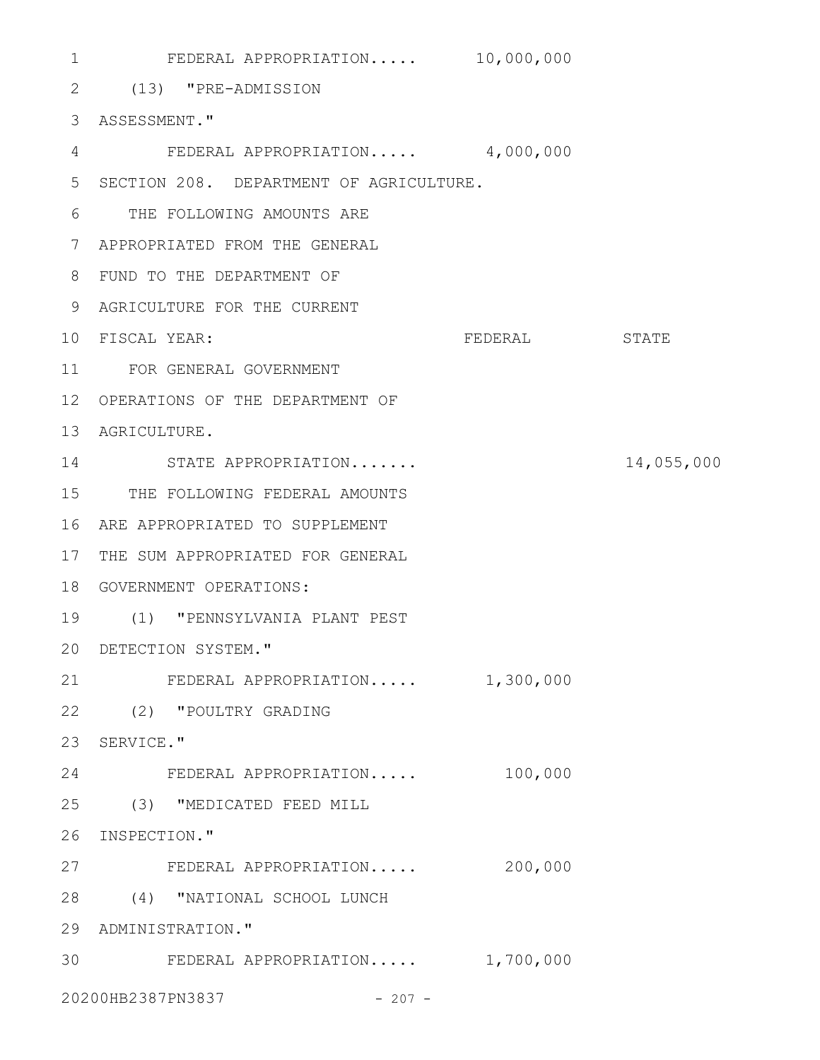FEDERAL APPROPRIATION..... 10,000,000 (13) "PRE-ADMISSION 2 ASSESSMENT." 3 FEDERAL APPROPRIATION..... 4,000,000 4 SECTION 208. DEPARTMENT OF AGRICULTURE. 5 THE FOLLOWING AMOUNTS ARE 6 APPROPRIATED FROM THE GENERAL 7 FUND TO THE DEPARTMENT OF 8 AGRICULTURE FOR THE CURRENT 9 10 FISCAL YEAR: THE STATE STATE STATE FOR GENERAL GOVERNMENT 11 12 OPERATIONS OF THE DEPARTMENT OF 13 AGRICULTURE. 14 STATE APPROPRIATION....... 14,055,000 15 THE FOLLOWING FEDERAL AMOUNTS ARE APPROPRIATED TO SUPPLEMENT 16 17 THE SUM APPROPRIATED FOR GENERAL 18 GOVERNMENT OPERATIONS: (1) "PENNSYLVANIA PLANT PEST 19 DETECTION SYSTEM." 20 FEDERAL APPROPRIATION..... 1,300,000 (2) "POULTRY GRADING 22 23 SERVICE." FEDERAL APPROPRIATION..... 100,000 (3) "MEDICATED FEED MILL 25 26 INSPECTION." FEDERAL APPROPRIATION..... 200,000 27 (4) "NATIONAL SCHOOL LUNCH 28 29 ADMINISTRATION." 30 FEDERAL APPROPRIATION..... 1,700,000 20200HB2387PN3837 - 207 - 1 21 24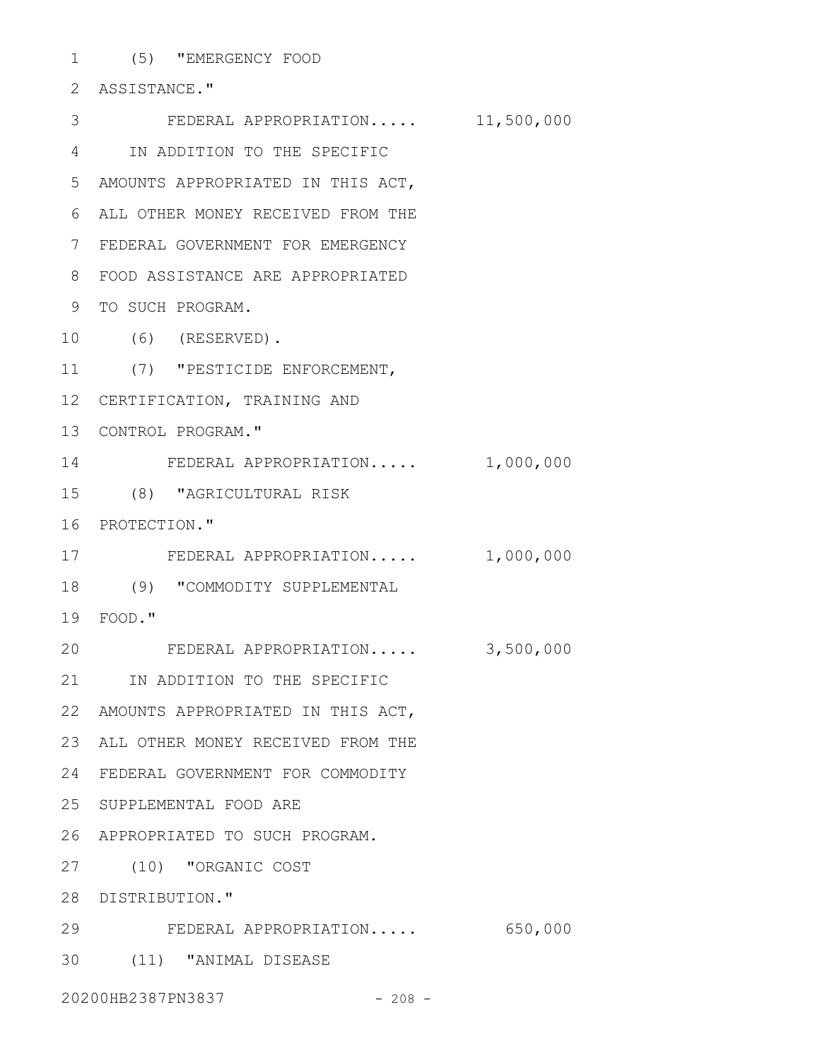(5) "EMERGENCY FOOD 1 2 ASSISTANCE." FEDERAL APPROPRIATION..... 11,500,000 3 IN ADDITION TO THE SPECIFIC 4 AMOUNTS APPROPRIATED IN THIS ACT, 5 ALL OTHER MONEY RECEIVED FROM THE 6 FEDERAL GOVERNMENT FOR EMERGENCY 7 FOOD ASSISTANCE ARE APPROPRIATED 8 9 TO SUCH PROGRAM. (6) (RESERVED). 10 (7) "PESTICIDE ENFORCEMENT, 11 12 CERTIFICATION, TRAINING AND 13 CONTROL PROGRAM." 14 FEDERAL APPROPRIATION..... 1,000,000 (8) "AGRICULTURAL RISK 15 16 PROTECTION." 17 FEDERAL APPROPRIATION..... 1,000,000

(9) "COMMODITY SUPPLEMENTAL 18

FOOD." 19

FEDERAL APPROPRIATION..... 3,500,000 20

21 IN ADDITION TO THE SPECIFIC

AMOUNTS APPROPRIATED IN THIS ACT, 22

23 ALL OTHER MONEY RECEIVED FROM THE

FEDERAL GOVERNMENT FOR COMMODITY 24

25 SUPPLEMENTAL FOOD ARE

APPROPRIATED TO SUCH PROGRAM. 26

(10) "ORGANIC COST 27

28 DISTRIBUTION."

FEDERAL APPROPRIATION..... 650,000 29

(11) "ANIMAL DISEASE 30

20200HB2387PN3837 - 208 -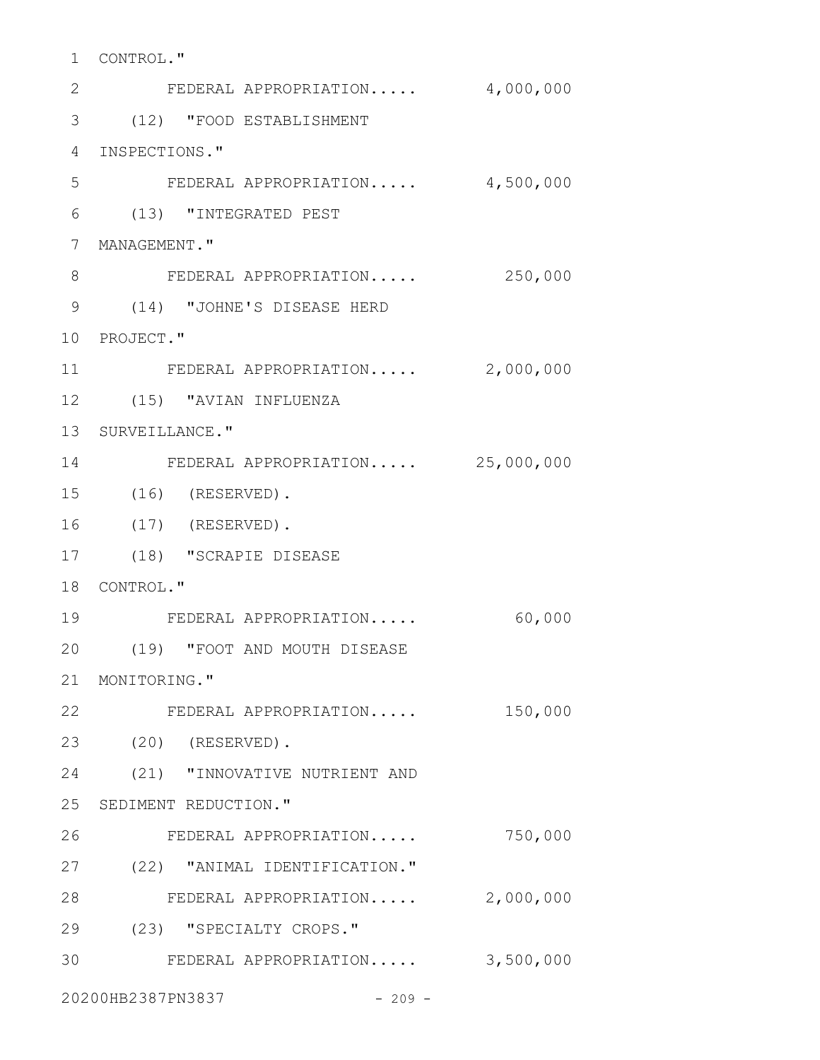| 1               | CONTROL."                        |           |
|-----------------|----------------------------------|-----------|
| 2               | FEDERAL APPROPRIATION            | 4,000,000 |
| 3               | (12) "FOOD ESTABLISHMENT         |           |
| 4               | INSPECTIONS."                    |           |
| 5               | FEDERAL APPROPRIATION            | 4,500,000 |
| 6               | (13) "INTEGRATED PEST            |           |
| $7\phantom{.0}$ | MANAGEMENT."                     |           |
| 8               | FEDERAL APPROPRIATION            | 250,000   |
| 9               | (14) "JOHNE'S DISEASE HERD       |           |
|                 | 10 PROJECT."                     |           |
| 11              | FEDERAL APPROPRIATION            | 2,000,000 |
|                 | 12 (15) "AVIAN INFLUENZA         |           |
|                 | 13 SURVEILLANCE."                |           |
| 14              | FEDERAL APPROPRIATION 25,000,000 |           |
| 15              | $(16)$ (RESERVED).               |           |
| 16              | $(17)$ (RESERVED).               |           |
| 17              | (18) "SCRAPIE DISEASE            |           |
|                 | 18 CONTROL."                     |           |
| 19              | FEDERAL APPROPRIATION            | 60,000    |
| 20              | (19)   "FOOT AND MOUTH DISEASE   |           |
|                 | 21 MONITORING."                  |           |
|                 | 22<br>FEDERAL APPROPRIATION      | 150,000   |
| 23              | $(20)$ (RESERVED).               |           |
| 24              | (21) "INNOVATIVE NUTRIENT AND    |           |
|                 | 25 SEDIMENT REDUCTION."          |           |
| 26              | FEDERAL APPROPRIATION            | 750,000   |
| 27              | (22) "ANIMAL IDENTIFICATION."    |           |
| 28              | FEDERAL APPROPRIATION            | 2,000,000 |
| 29              | (23) "SPECIALTY CROPS."          |           |
| 30              | FEDERAL APPROPRIATION            | 3,500,000 |
|                 |                                  |           |

20200HB2387PN3837 - 209 -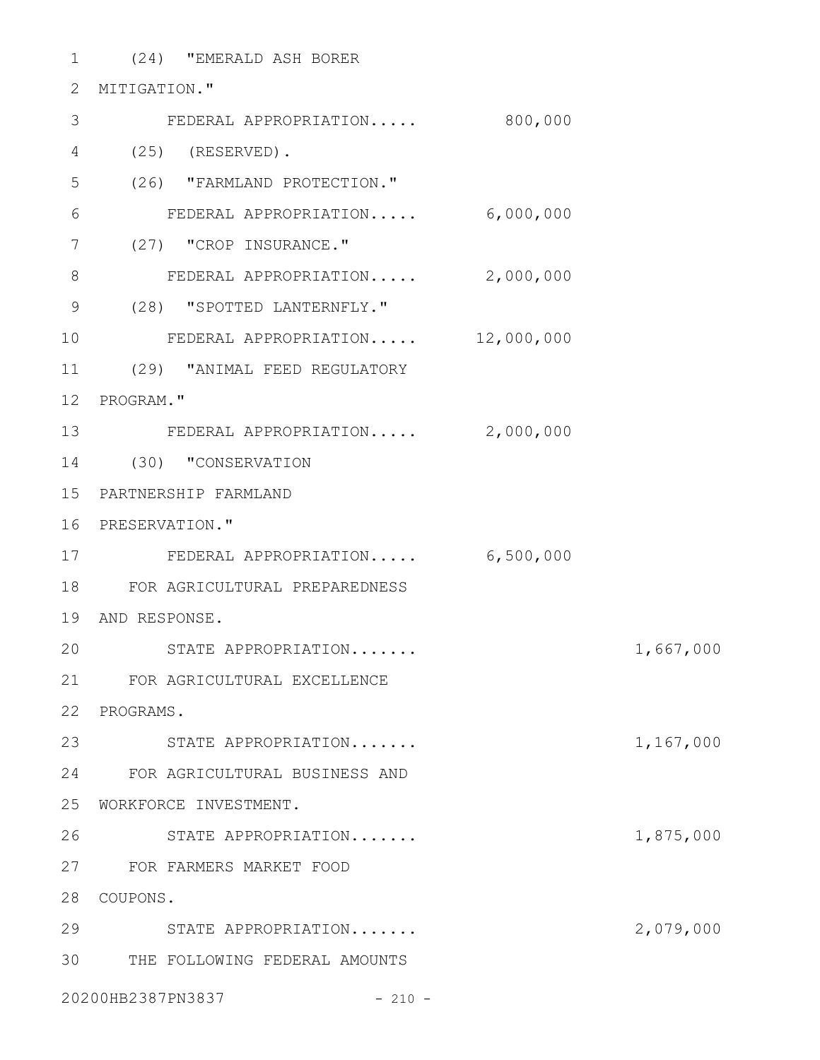(24) "EMERALD ASH BORER 1 2 **MITIGATION."** FEDERAL APPROPRIATION..... 800,000 3 (25) (RESERVED). 4 (26) "FARMLAND PROTECTION." FEDERAL APPROPRIATION..... 6,000,000 7 (27) "CROP INSURANCE." 8 FEDERAL APPROPRIATION..... 2,000,000 (28) "SPOTTED LANTERNFLY." 9 FEDERAL APPROPRIATION..... 12,000,000 (29) "ANIMAL FEED REGULATORY 11 12 PROGRAM." 13 FEDERAL APPROPRIATION..... 2,000,000 (30) "CONSERVATION 14 PARTNERSHIP FARMLAND 15 16 PRESERVATION." FEDERAL APPROPRIATION..... 6,500,000 17 FOR AGRICULTURAL PREPAREDNESS 18 19 AND RESPONSE. STATE APPROPRIATION....... 1,667,000 FOR AGRICULTURAL EXCELLENCE 21 22 PROGRAMS. STATE APPROPRIATION....... 1,167,000 23 FOR AGRICULTURAL BUSINESS AND 24 25 WORKFORCE INVESTMENT. STATE APPROPRIATION....... 1,875,000 FOR FARMERS MARKET FOOD 27 28 COUPONS. STATE APPROPRIATION....... 2,079,000 29 THE FOLLOWING FEDERAL AMOUNTS 305 6 10 20 26

20200HB2387PN3837 - 210 -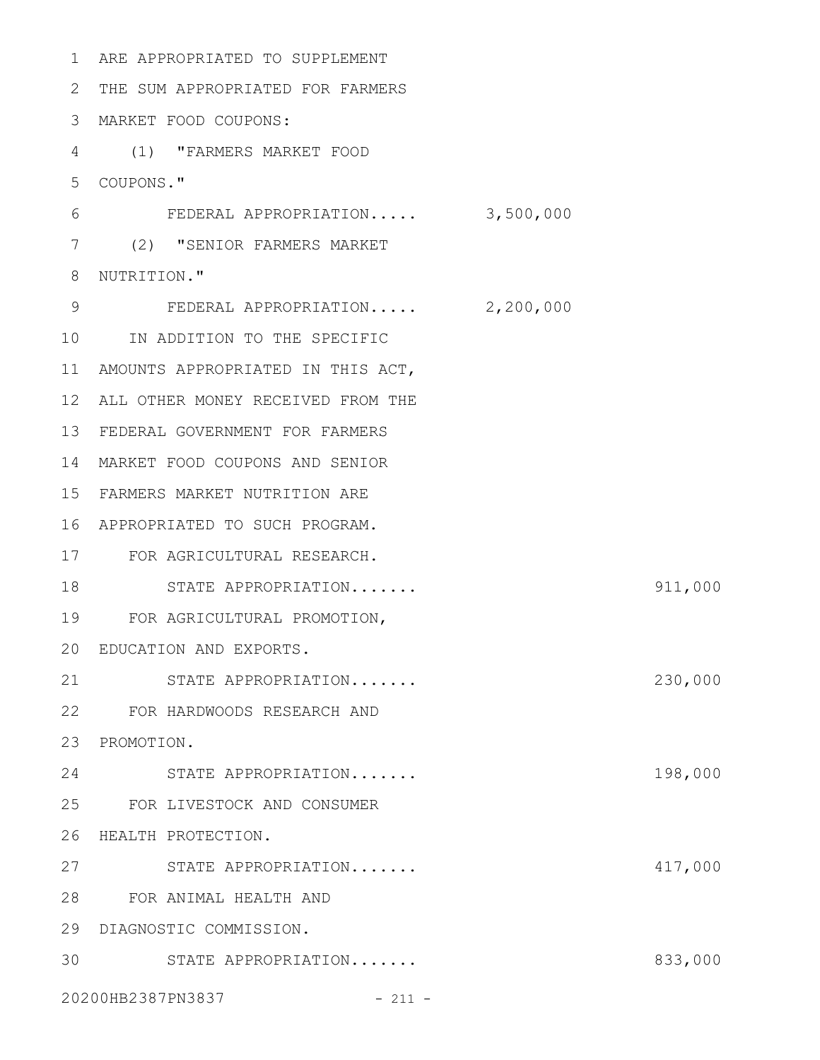| 1               | ARE APPROPRIATED TO SUPPLEMENT    |           |         |
|-----------------|-----------------------------------|-----------|---------|
| 2               | THE SUM APPROPRIATED FOR FARMERS  |           |         |
| 3               | MARKET FOOD COUPONS:              |           |         |
| 4               | (1) "FARMERS MARKET FOOD          |           |         |
| 5               | COUPONS."                         |           |         |
| 6               | FEDERAL APPROPRIATION             | 3,500,000 |         |
| 7               | (2) "SENIOR FARMERS MARKET        |           |         |
| 8               | NUTRITION."                       |           |         |
| 9               | FEDERAL APPROPRIATION 2,200,000   |           |         |
| 10              | IN ADDITION TO THE SPECIFIC       |           |         |
| 11              | AMOUNTS APPROPRIATED IN THIS ACT, |           |         |
| 12 <sup>°</sup> | ALL OTHER MONEY RECEIVED FROM THE |           |         |
| 13              | FEDERAL GOVERNMENT FOR FARMERS    |           |         |
| 14              | MARKET FOOD COUPONS AND SENIOR    |           |         |
| 15              | FARMERS MARKET NUTRITION ARE      |           |         |
| 16              | APPROPRIATED TO SUCH PROGRAM.     |           |         |
| 17              | FOR AGRICULTURAL RESEARCH.        |           |         |
| 18              | STATE APPROPRIATION               |           | 911,000 |
| 19              | FOR AGRICULTURAL PROMOTION,       |           |         |
|                 | 20 EDUCATION AND EXPORTS.         |           |         |
| 21              | STATE APPROPRIATION               |           | 230,000 |
| 22              | FOR HARDWOODS RESEARCH AND        |           |         |
| 23              | PROMOTION.                        |           |         |
| 24              | STATE APPROPRIATION               |           | 198,000 |
|                 | 25 FOR LIVESTOCK AND CONSUMER     |           |         |
| 26              | HEALTH PROTECTION.                |           |         |
| 27              | STATE APPROPRIATION               |           | 417,000 |
| 28              | FOR ANIMAL HEALTH AND             |           |         |
| 29              | DIAGNOSTIC COMMISSION.            |           |         |
| 30              | STATE APPROPRIATION               |           | 833,000 |
|                 | 20200HB2387PN3837<br>$-211 -$     |           |         |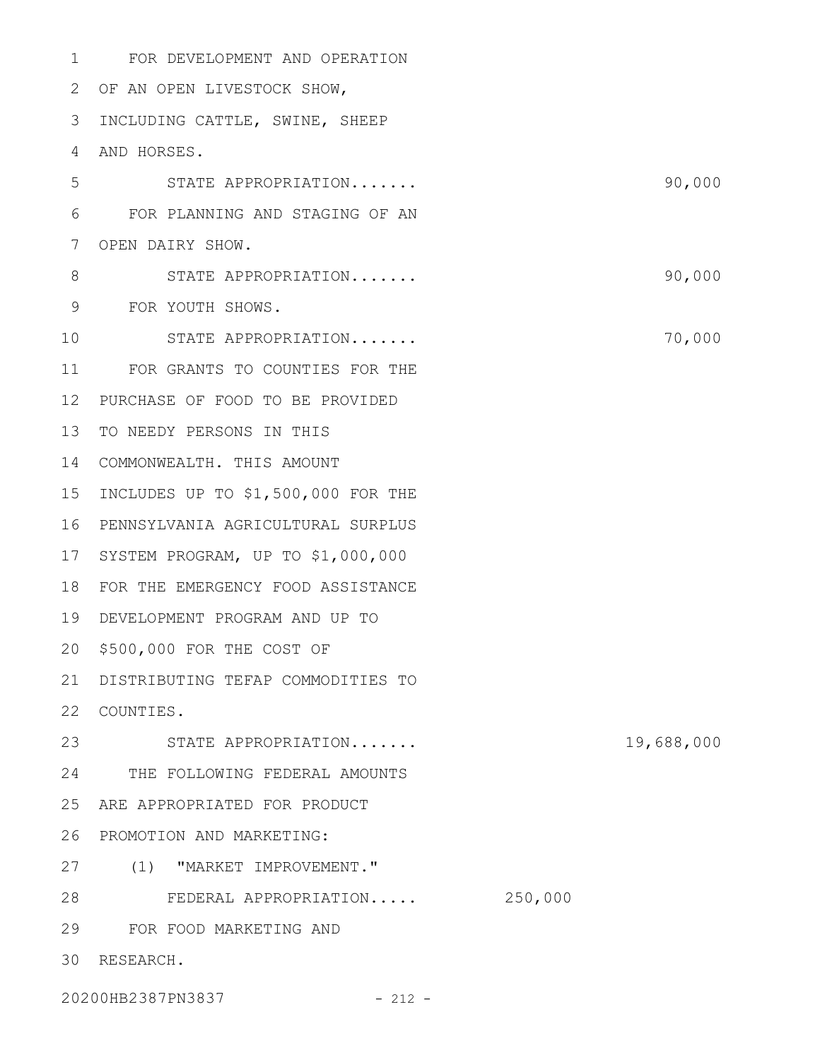FOR DEVELOPMENT AND OPERATION 1 2 OF AN OPEN LIVESTOCK SHOW, 3 INCLUDING CATTLE, SWINE, SHEEP 4 AND HORSES. STATE APPROPRIATION....... 90,000 FOR PLANNING AND STAGING OF AN 7 OPEN DAIRY SHOW. STATE APPROPRIATION....... 90,000 FOR YOUTH SHOWS. 9 STATE APPROPRIATION....... 2000 70,000 11 FOR GRANTS TO COUNTIES FOR THE PURCHASE OF FOOD TO BE PROVIDED 12 13 TO NEEDY PERSONS IN THIS COMMONWEALTH. THIS AMOUNT 14 15 INCLUDES UP TO \$1,500,000 FOR THE PENNSYLVANIA AGRICULTURAL SURPLUS 16 17 SYSTEM PROGRAM, UP TO \$1,000,000 18 FOR THE EMERGENCY FOOD ASSISTANCE DEVELOPMENT PROGRAM AND UP TO 19 \$500,000 FOR THE COST OF 20 DISTRIBUTING TEFAP COMMODITIES TO 21 22 COUNTIES. STATE APPROPRIATION....... 19,688,000 23 THE FOLLOWING FEDERAL AMOUNTS 24 25 ARE APPROPRIATED FOR PRODUCT 26 PROMOTION AND MARKETING: 27 (1) "MARKET IMPROVEMENT." FEDERAL APPROPRIATION..... 250,000 28 FOR FOOD MARKETING AND 29 30 RESEARCH. 5 6 8 10

20200HB2387PN3837 - 212 -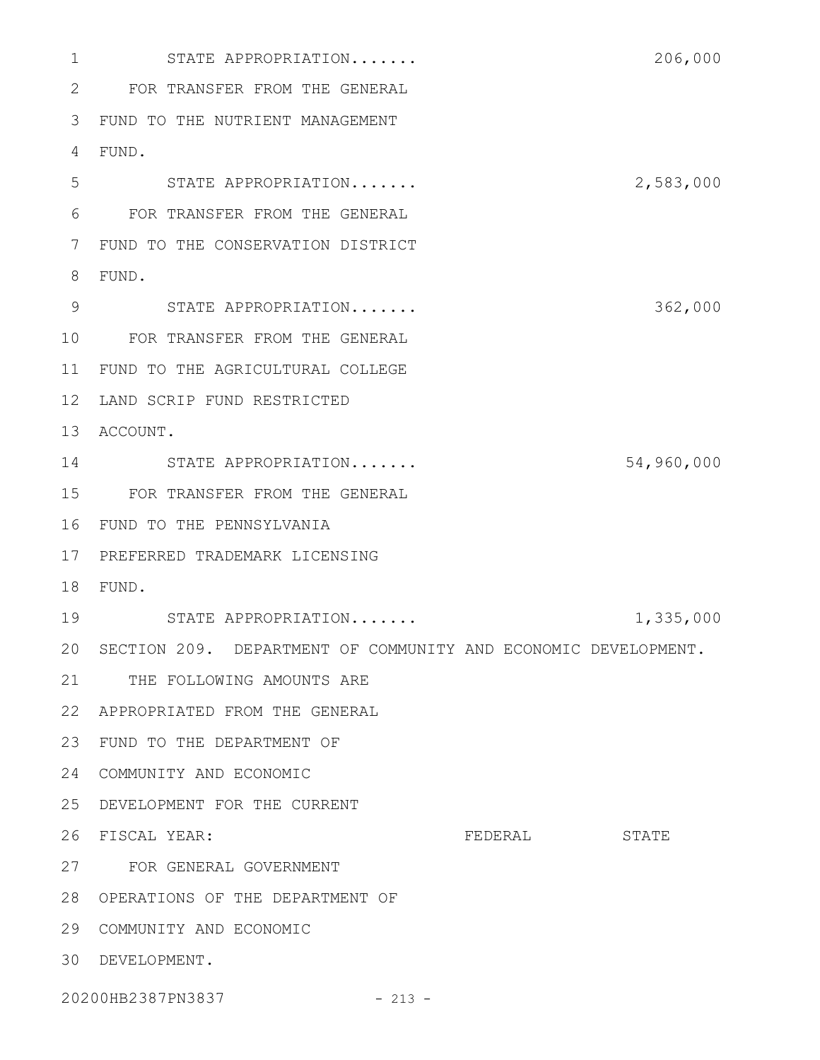STATE APPROPRIATION....... 206,000 FOR TRANSFER FROM THE GENERAL FUND TO THE NUTRIENT MANAGEMENT FUND. STATE APPROPRIATION....... 2,583,000 FOR TRANSFER FROM THE GENERAL FUND TO THE CONSERVATION DISTRICT FUND. 9 STATE APPROPRIATION....... 362,000 FOR TRANSFER FROM THE GENERAL 11 FUND TO THE AGRICULTURAL COLLEGE 12 LAND SCRIP FUND RESTRICTED 13 ACCOUNT. STATE APPROPRIATION....... 54,960,000 FOR TRANSFER FROM THE GENERAL FUND TO THE PENNSYLVANIA PREFERRED TRADEMARK LICENSING FUND. STATE APPROPRIATION....... 1,335,000 20 SECTION 209. DEPARTMENT OF COMMUNITY AND ECONOMIC DEVELOPMENT. 21 THE FOLLOWING AMOUNTS ARE APPROPRIATED FROM THE GENERAL FUND TO THE DEPARTMENT OF 24 COMMUNITY AND ECONOMIC DEVELOPMENT FOR THE CURRENT FEDERAL STATE FOR GENERAL GOVERNMENT OPERATIONS OF THE DEPARTMENT OF 29 COMMUNITY AND ECONOMIC DEVELOPMENT. 26 FISCAL YEAR:

20200HB2387PN3837 - 213 -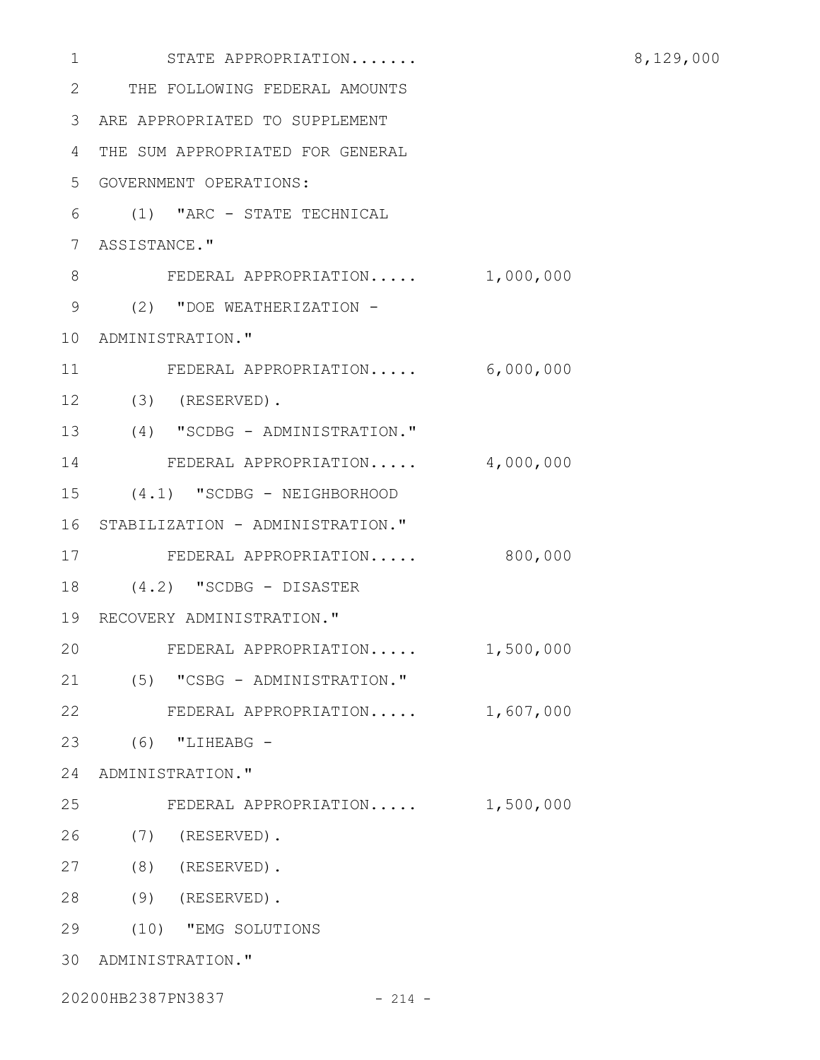| 1  | STATE APPROPRIATION               |           |
|----|-----------------------------------|-----------|
| 2  | THE FOLLOWING FEDERAL AMOUNTS     |           |
| 3  | ARE APPROPRIATED TO SUPPLEMENT    |           |
| 4  | THE SUM APPROPRIATED FOR GENERAL  |           |
| 5  | GOVERNMENT OPERATIONS:            |           |
| 6  | (1) "ARC - STATE TECHNICAL        |           |
| 7  | ASSISTANCE."                      |           |
| 8  | FEDERAL APPROPRIATION             | 1,000,000 |
| 9  | (2) "DOE WEATHERIZATION -         |           |
| 10 | ADMINISTRATION."                  |           |
| 11 | FEDERAL APPROPRIATION             | 6,000,000 |
| 12 | $(3)$ (RESERVED).                 |           |
| 13 | (4) "SCDBG - ADMINISTRATION."     |           |
| 14 | FEDERAL APPROPRIATION             | 4,000,000 |
| 15 | (4.1) "SCDBG - NEIGHBORHOOD       |           |
| 16 | STABILIZATION - ADMINISTRATION."  |           |
| 17 | FEDERAL APPROPRIATION             | 800,000   |
| 18 | $(4.2)$ "SCDBG - DISASTER         |           |
|    | 19 RECOVERY ADMINISTRATION."      |           |
| 20 | FEDERAL APPROPRIATION             | 1,500,000 |
| 21 | (5) "CSBG - ADMINISTRATION."      |           |
| 22 | FEDERAL APPROPRIATION $1,607,000$ |           |
| 23 | $(6)$ "LIHEABG -                  |           |
|    | 24 ADMINISTRATION."               |           |
| 25 | FEDERAL APPROPRIATION             | 1,500,000 |
| 26 | $(7)$ (RESERVED).                 |           |
| 27 | $(8)$ (RESERVED).                 |           |
| 28 | $(9)$ (RESERVED).                 |           |
| 29 | (10) "EMG SOLUTIONS               |           |
|    | 30 ADMINISTRATION."               |           |
|    | 20200HB2387PN3837<br>$-214 -$     |           |

8,129,000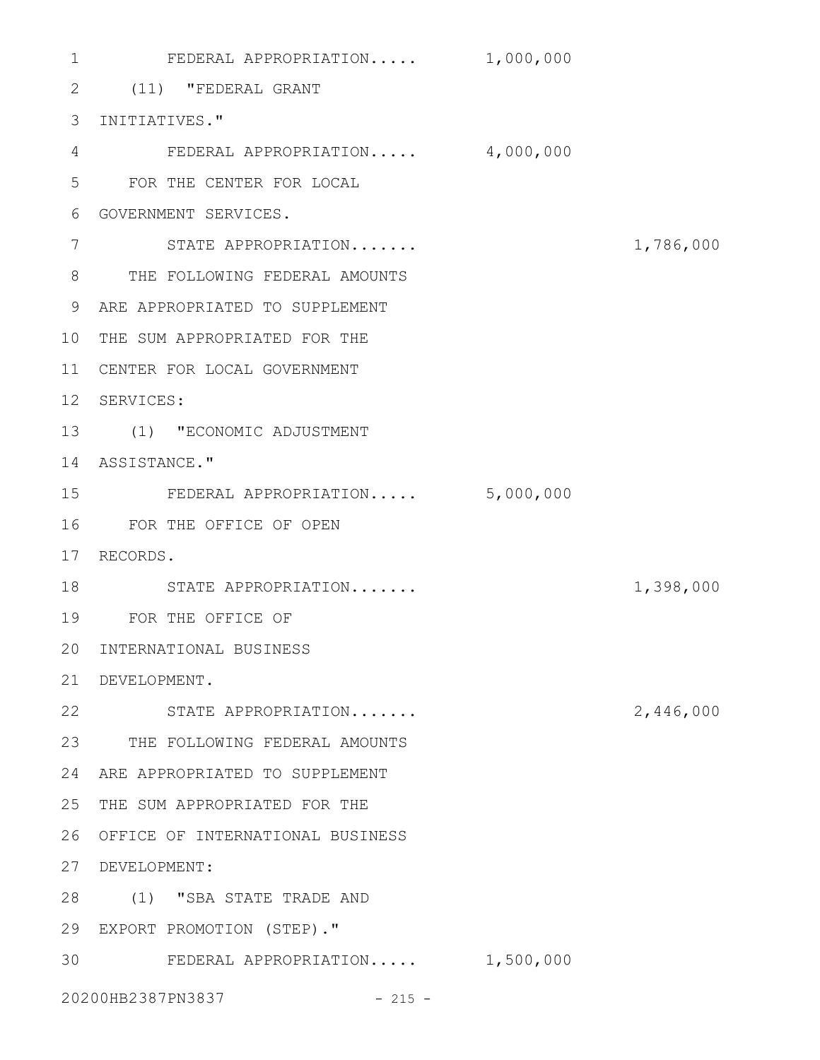FEDERAL APPROPRIATION..... 1,000,000 (11) "FEDERAL GRANT 2 3 INITIATIVES." FEDERAL APPROPRIATION..... 4,000,000 FOR THE CENTER FOR LOCAL 5 GOVERNMENT SERVICES. 6 STATE APPROPRIATION....... 1,786,000 THE FOLLOWING FEDERAL AMOUNTS 8 ARE APPROPRIATED TO SUPPLEMENT 9 10 THE SUM APPROPRIATED FOR THE CENTER FOR LOCAL GOVERNMENT 11 12 SERVICES: (1) "ECONOMIC ADJUSTMENT 13 14 ASSISTANCE." FEDERAL APPROPRIATION..... 5,000,000 FOR THE OFFICE OF OPEN 16 17 RECORDS. 18 STATE APPROPRIATION....... 1,398,000 FOR THE OFFICE OF 19 20 INTERNATIONAL BUSINESS DEVELOPMENT. 21 22 STATE APPROPRIATION....... 2,446,000 23 THE FOLLOWING FEDERAL AMOUNTS ARE APPROPRIATED TO SUPPLEMENT 24 25 THE SUM APPROPRIATED FOR THE 26 OFFICE OF INTERNATIONAL BUSINESS DEVELOPMENT: 27 (1) "SBA STATE TRADE AND 28 EXPORT PROMOTION (STEP)." 29 30 FEDERAL APPROPRIATION..... 1,500,000 20200HB2387PN3837 - 215 -1 4 7 15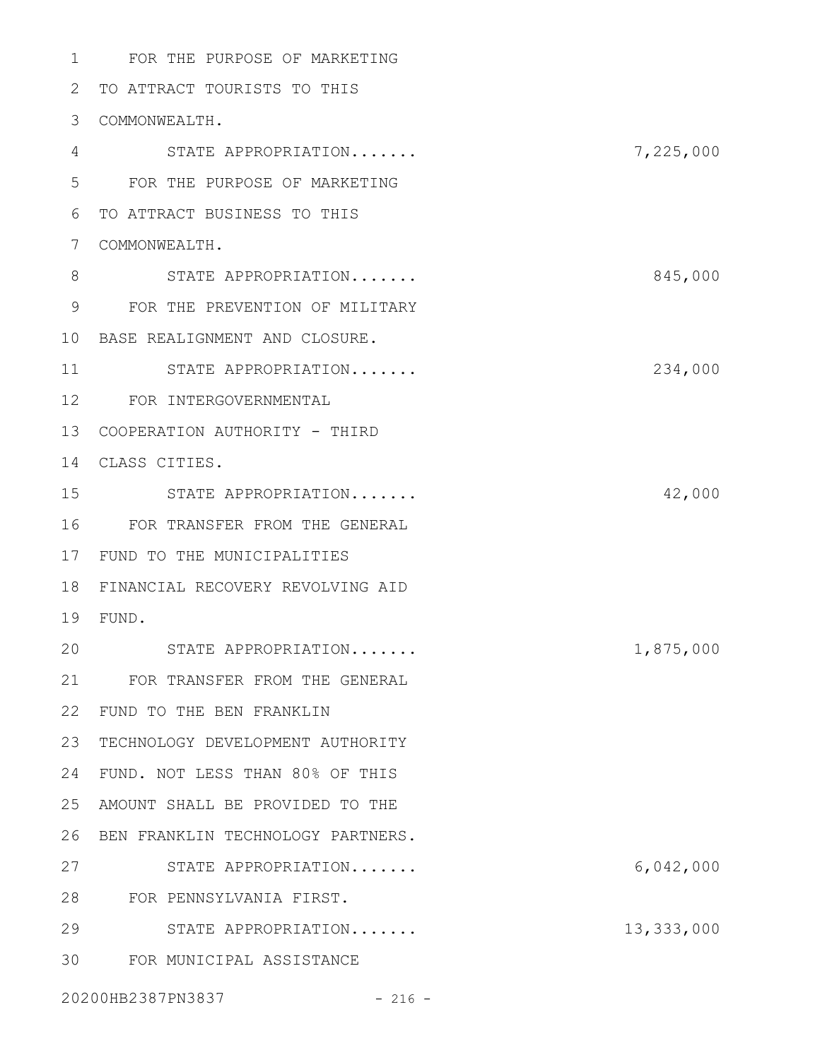FOR THE PURPOSE OF MARKETING TO ATTRACT TOURISTS TO THIS COMMONWEALTH. STATE APPROPRIATION....... 7,225,000 FOR THE PURPOSE OF MARKETING TO ATTRACT BUSINESS TO THIS COMMONWEALTH. STATE APPROPRIATION....... 845,000 FOR THE PREVENTION OF MILITARY BASE REALIGNMENT AND CLOSURE. STATE APPROPRIATION....... 234,000 FOR INTERGOVERNMENTAL 13 COOPERATION AUTHORITY - THIRD CLASS CITIES. STATE APPROPRIATION....... 42,000 FOR TRANSFER FROM THE GENERAL 17 FUND TO THE MUNICIPALITIES FINANCIAL RECOVERY REVOLVING AID FUND. STATE APPROPRIATION....... 1,875,000 FOR TRANSFER FROM THE GENERAL FUND TO THE BEN FRANKLIN 23 TECHNOLOGY DEVELOPMENT AUTHORITY FUND. NOT LESS THAN 80% OF THIS AMOUNT SHALL BE PROVIDED TO THE 26 BEN FRANKLIN TECHNOLOGY PARTNERS. STATE APPROPRIATION....... 6,042,000 FOR PENNSYLVANIA FIRST. STATE APPROPRIATION....... 13,333,000 FOR MUNICIPAL ASSISTANCE 

20200HB2387PN3837 - 216 -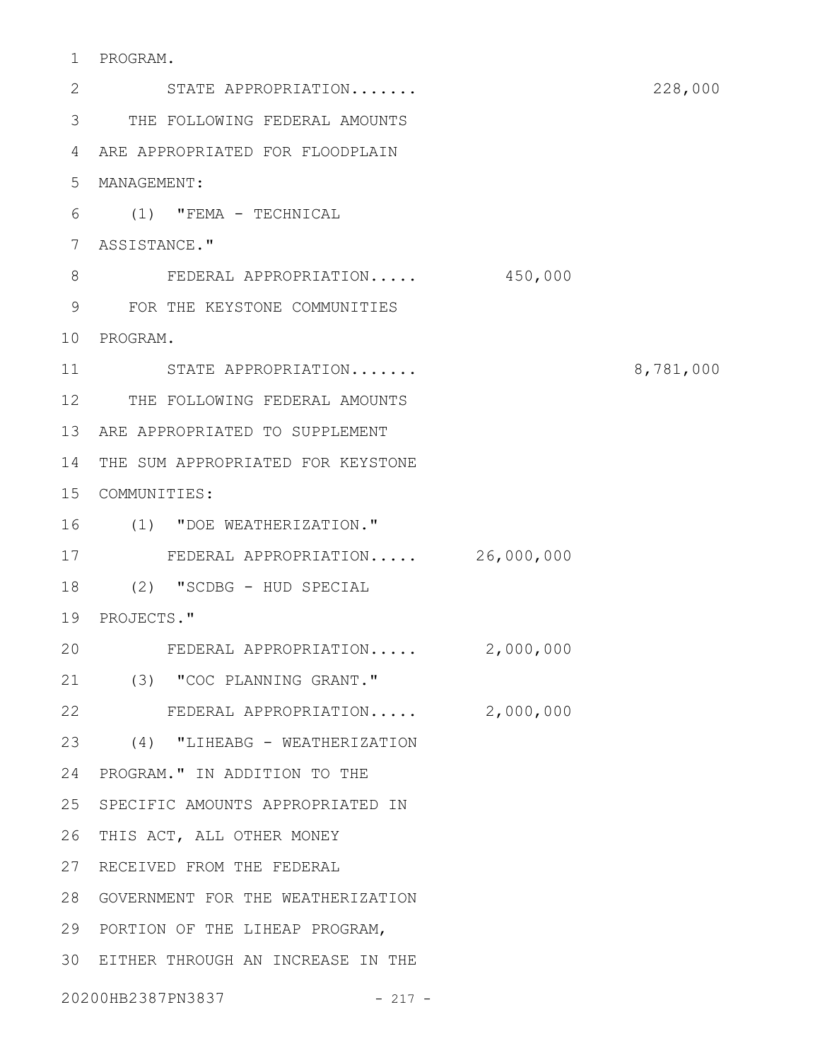PROGRAM. 1

2 STATE APPROPRIATION....... 228,000 THE FOLLOWING FEDERAL AMOUNTS 3 ARE APPROPRIATED FOR FLOODPLAIN 4 MANAGEMENT: 5 (1) "FEMA - TECHNICAL 6 ASSISTANCE." 7 FEDERAL APPROPRIATION..... 450,000 FOR THE KEYSTONE COMMUNITIES 9 10 PROGRAM. STATE APPROPRIATION....... 8,781,000 12 THE FOLLOWING FEDERAL AMOUNTS 13 ARE APPROPRIATED TO SUPPLEMENT 14 THE SUM APPROPRIATED FOR KEYSTONE COMMUNITIES: 15 (1) "DOE WEATHERIZATION." 16 FEDERAL APPROPRIATION..... 26,000,000 17 (2) "SCDBG - HUD SPECIAL 18 19 PROJECTS." FEDERAL APPROPRIATION..... 2,000,000 (3) "COC PLANNING GRANT." 21 22 FEDERAL APPROPRIATION..... 2,000,000 (4) "LIHEABG - WEATHERIZATION 23 24 PROGRAM." IN ADDITION TO THE 25 SPECIFIC AMOUNTS APPROPRIATED IN 26 THIS ACT, ALL OTHER MONEY 27 RECEIVED FROM THE FEDERAL GOVERNMENT FOR THE WEATHERIZATION 28 29 PORTION OF THE LIHEAP PROGRAM, EITHER THROUGH AN INCREASE IN THE 3020200HB2387PN3837 - 217 - 8 11 20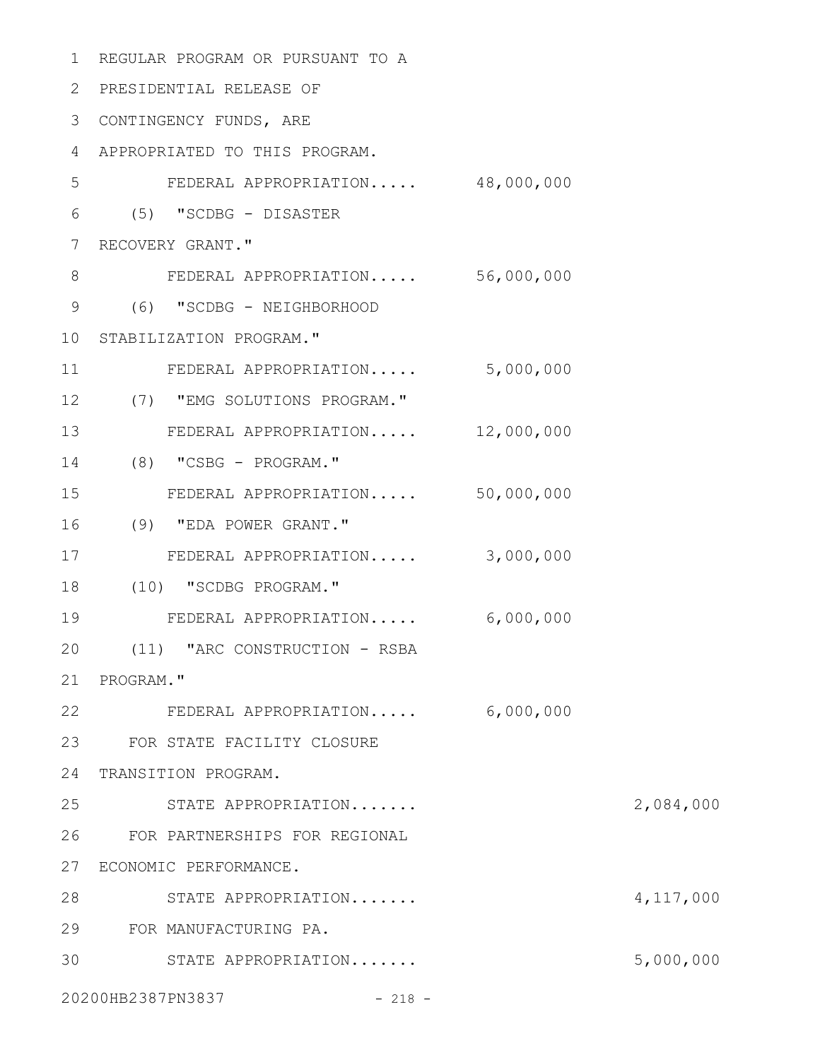| $\mathbf 1$ | REGULAR PROGRAM OR PURSUANT TO A |           |           |
|-------------|----------------------------------|-----------|-----------|
| 2           | PRESIDENTIAL RELEASE OF          |           |           |
| 3           | CONTINGENCY FUNDS, ARE           |           |           |
| 4           | APPROPRIATED TO THIS PROGRAM.    |           |           |
| 5           | FEDERAL APPROPRIATION 48,000,000 |           |           |
| 6           | $(5)$ "SCDBG - DISASTER          |           |           |
| 7           | RECOVERY GRANT."                 |           |           |
| $8\,$       | FEDERAL APPROPRIATION 56,000,000 |           |           |
| 9           | (6) "SCDBG - NEIGHBORHOOD        |           |           |
| 10          | STABILIZATION PROGRAM."          |           |           |
| 11          | FEDERAL APPROPRIATION            | 5,000,000 |           |
| 12          | (7) "EMG SOLUTIONS PROGRAM."     |           |           |
| 13          | FEDERAL APPROPRIATION 12,000,000 |           |           |
| 14          | $(8)$ "CSBG - PROGRAM."          |           |           |
| 15          | FEDERAL APPROPRIATION 50,000,000 |           |           |
| 16          | (9) "EDA POWER GRANT."           |           |           |
| 17          | FEDERAL APPROPRIATION            | 3,000,000 |           |
| 18          | (10) "SCDBG PROGRAM."            |           |           |
| 19          | FEDERAL APPROPRIATION            | 6,000,000 |           |
| 20          | (11) "ARC CONSTRUCTION - RSBA    |           |           |
| 21          | PROGRAM."                        |           |           |
| 22          | FEDERAL APPROPRIATION            | 6,000,000 |           |
| 23          | FOR STATE FACILITY CLOSURE       |           |           |
| 24          | TRANSITION PROGRAM.              |           |           |
| 25          | STATE APPROPRIATION              |           | 2,084,000 |
| 26          | FOR PARTNERSHIPS FOR REGIONAL    |           |           |
| 27          | ECONOMIC PERFORMANCE.            |           |           |
| 28          | STATE APPROPRIATION              |           | 4,117,000 |
| 29          | FOR MANUFACTURING PA.            |           |           |
| 30          | STATE APPROPRIATION              |           | 5,000,000 |
|             | 20200HB2387PN3837<br>$-218 -$    |           |           |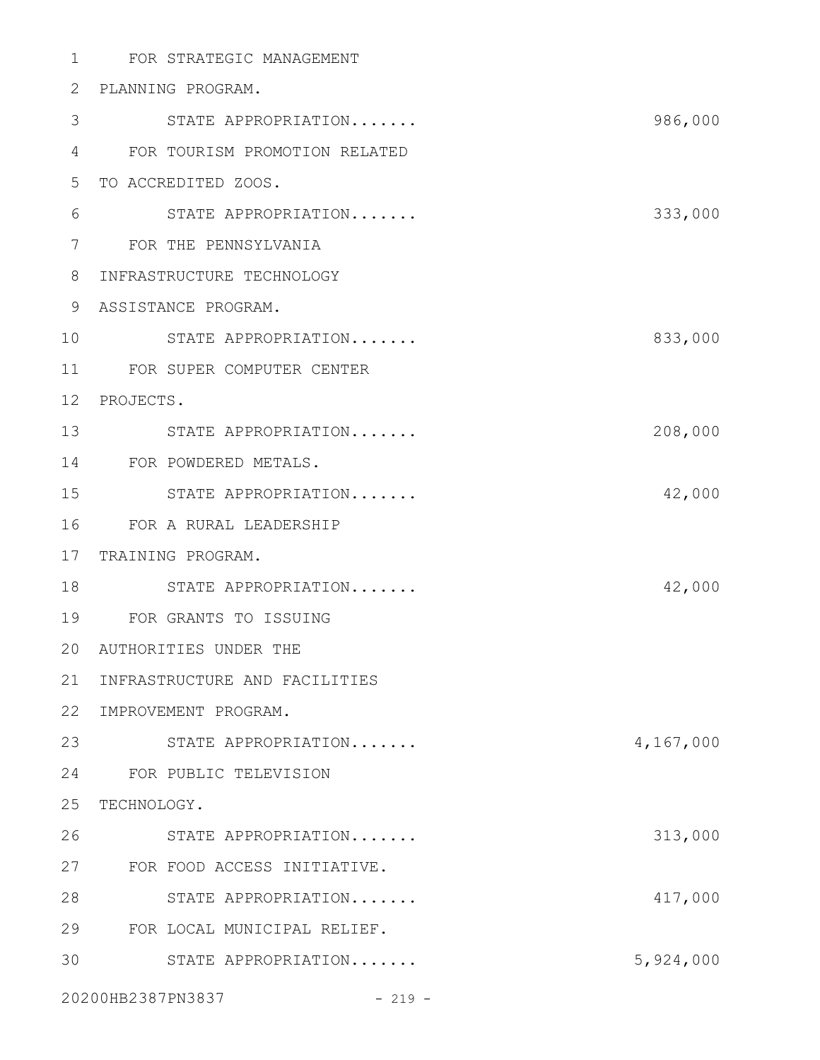| $\mathbf 1$ | FOR STRATEGIC MANAGEMENT      |           |
|-------------|-------------------------------|-----------|
| 2           | PLANNING PROGRAM.             |           |
| 3           | STATE APPROPRIATION           | 986,000   |
| 4           | FOR TOURISM PROMOTION RELATED |           |
| 5           | TO ACCREDITED ZOOS.           |           |
| 6           | STATE APPROPRIATION           | 333,000   |
| 7           | FOR THE PENNSYLVANIA          |           |
| 8           | INFRASTRUCTURE TECHNOLOGY     |           |
| 9           | ASSISTANCE PROGRAM.           |           |
| 10          | STATE APPROPRIATION           | 833,000   |
| 11          | FOR SUPER COMPUTER CENTER     |           |
| 12          | PROJECTS.                     |           |
| 13          | STATE APPROPRIATION           | 208,000   |
| 14          | FOR POWDERED METALS.          |           |
| 15          | STATE APPROPRIATION           | 42,000    |
| 16          | FOR A RURAL LEADERSHIP        |           |
| 17          | TRAINING PROGRAM.             |           |
| 18          | STATE APPROPRIATION           | 42,000    |
| 19          | FOR GRANTS TO ISSUING         |           |
|             | 20 AUTHORITIES UNDER THE      |           |
| 21          | INFRASTRUCTURE AND FACILITIES |           |
| 22          | IMPROVEMENT PROGRAM.          |           |
| 23          | STATE APPROPRIATION           | 4,167,000 |
| 24          | FOR PUBLIC TELEVISION         |           |
| 25          | TECHNOLOGY.                   |           |
| 26          | STATE APPROPRIATION           | 313,000   |
| 27          | FOR FOOD ACCESS INITIATIVE.   |           |
| 28          | STATE APPROPRIATION           | 417,000   |
| 29          | FOR LOCAL MUNICIPAL RELIEF.   |           |
| 30          | STATE APPROPRIATION           | 5,924,000 |
|             |                               |           |

20200HB2387PN3837 - 219 -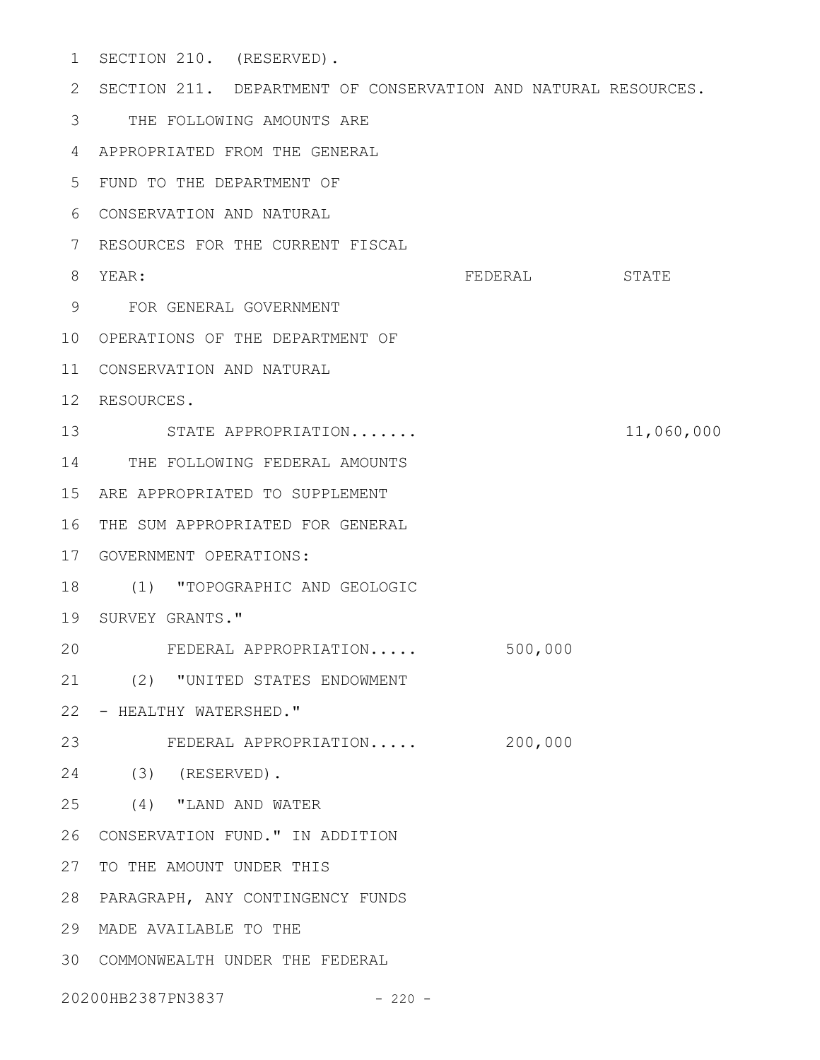- 1 SECTION 210. (RESERVED). 2 SECTION 211. DEPARTMENT OF CONSERVATION AND NATURAL RESOURCES. THE FOLLOWING AMOUNTS ARE 3 APPROPRIATED FROM THE GENERAL 4 FUND TO THE DEPARTMENT OF 5 CONSERVATION AND NATURAL 6 RESOURCES FOR THE CURRENT FISCAL 7 FEDERAL STATE FOR GENERAL GOVERNMENT 9 10 OPERATIONS OF THE DEPARTMENT OF 11 CONSERVATION AND NATURAL 12 RESOURCES. STATE APPROPRIATION....... 11,060,000 13 14 THE FOLLOWING FEDERAL AMOUNTS ARE APPROPRIATED TO SUPPLEMENT 15 16 THE SUM APPROPRIATED FOR GENERAL 17 GOVERNMENT OPERATIONS: (1) "TOPOGRAPHIC AND GEOLOGIC 18 19 SURVEY GRANTS." FEDERAL APPROPRIATION..... 500,000 (2) "UNITED STATES ENDOWMENT 21 22 - HEALTHY WATERSHED." 23 FEDERAL APPROPRIATION..... 200,000 (3) (RESERVED). 24 (4) "LAND AND WATER 25 26 CONSERVATION FUND." IN ADDITION 27 TO THE AMOUNT UNDER THIS PARAGRAPH, ANY CONTINGENCY FUNDS 28 MADE AVAILABLE TO THE 29 8 YEAR: 20
- COMMONWEALTH UNDER THE FEDERAL 30

20200HB2387PN3837 - 220 -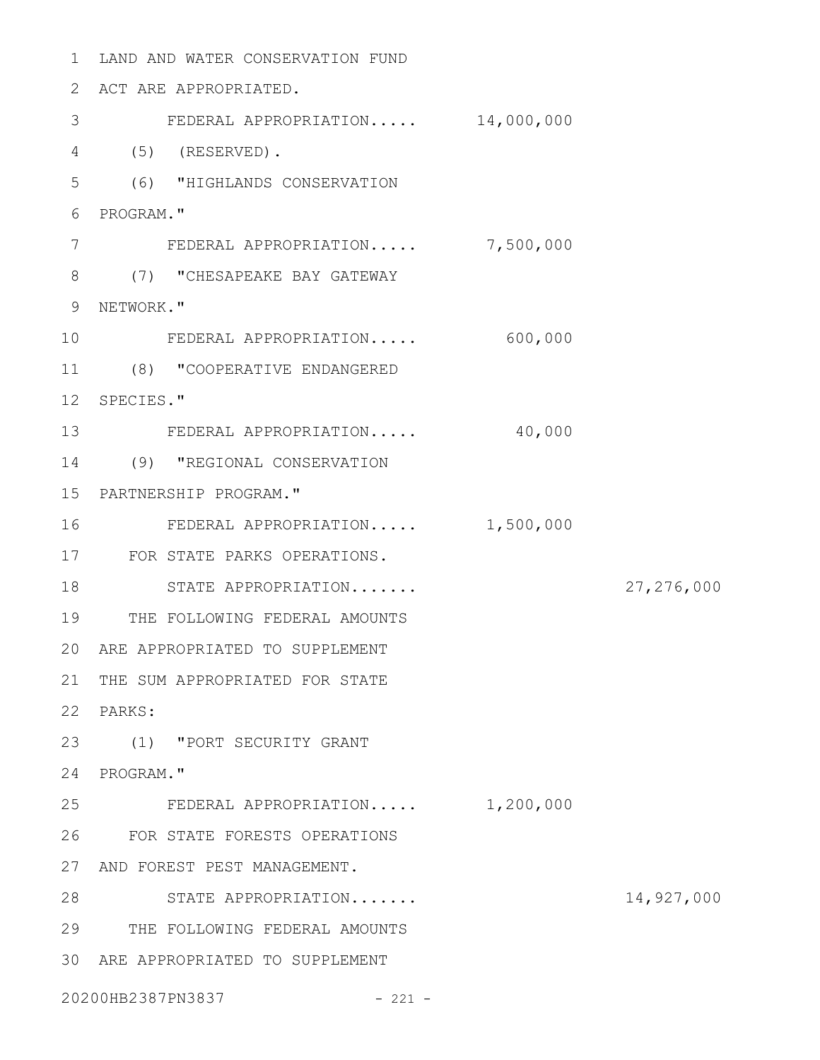1 LAND AND WATER CONSERVATION FUND ACT ARE APPROPRIATED. FEDERAL APPROPRIATION..... 14,000,000 (5) (RESERVED). (6) "HIGHLANDS CONSERVATION PROGRAM." FEDERAL APPROPRIATION..... 7,500,000 (7) "CHESAPEAKE BAY GATEWAY 9 NETWORK." FEDERAL APPROPRIATION..... 600,000 (8) "COOPERATIVE ENDANGERED 12 SPECIES." 13 FEDERAL APPROPRIATION..... 40,000 (9) "REGIONAL CONSERVATION PARTNERSHIP PROGRAM." FEDERAL APPROPRIATION..... 1,500,000 FOR STATE PARKS OPERATIONS. 18 STATE APPROPRIATION....... 27,276,000 THE FOLLOWING FEDERAL AMOUNTS ARE APPROPRIATED TO SUPPLEMENT 21 THE SUM APPROPRIATED FOR STATE PARKS: (1) "PORT SECURITY GRANT 24 PROGRAM." FEDERAL APPROPRIATION..... 1,200,000 FOR STATE FORESTS OPERATIONS 27 AND FOREST PEST MANAGEMENT. STATE APPROPRIATION....... 14,927,000 THE FOLLOWING FEDERAL AMOUNTS ARE APPROPRIATED TO SUPPLEMENT 20200HB2387PN3837 - 221 -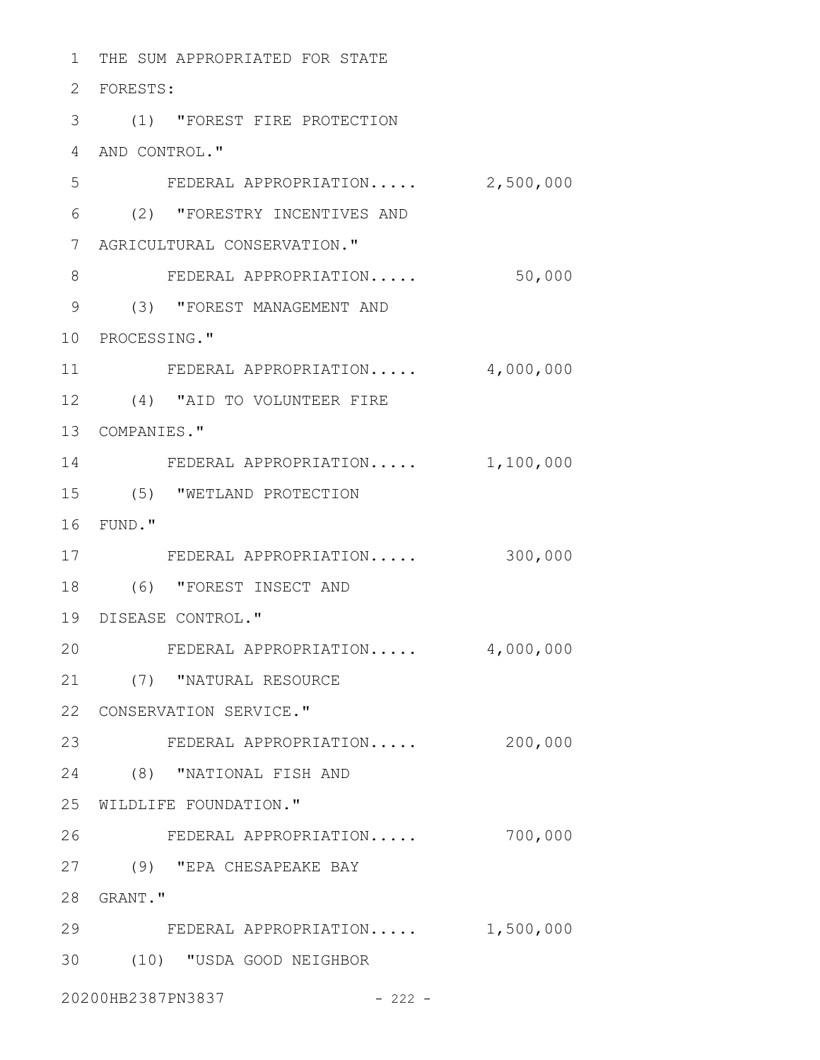1 THE SUM APPROPRIATED FOR STATE FORESTS: 2 (1) "FOREST FIRE PROTECTION 3 4 AND CONTROL." FEDERAL APPROPRIATION..... 2,500,000 (2) "FORESTRY INCENTIVES AND 6 AGRICULTURAL CONSERVATION." 7 FEDERAL APPROPRIATION..... 50,000 (3) "FOREST MANAGEMENT AND 9 10 PROCESSING." FEDERAL APPROPRIATION..... 4,000,000 (4) "AID TO VOLUNTEER FIRE 12 13 COMPANIES." 14 FEDERAL APPROPRIATION..... 1,100,000 (5) "WETLAND PROTECTION 15 FUND." 16 FEDERAL APPROPRIATION..... 300,000 17 (6) "FOREST INSECT AND 18 19 DISEASE CONTROL." FEDERAL APPROPRIATION..... 4,000,000 (7) "NATURAL RESOURCE 21 22 CONSERVATION SERVICE." 23 FEDERAL APPROPRIATION..... 200,000 (8) "NATIONAL FISH AND 24 25 WILDLIFE FOUNDATION." FEDERAL APPROPRIATION..... 700,000 (9) "EPA CHESAPEAKE BAY 27 GRANT." 28 29 FEDERAL APPROPRIATION..... 1,500,000 (10) "USDA GOOD NEIGHBOR 3020200HB2387PN3837 - 222 -5 8 11 20 26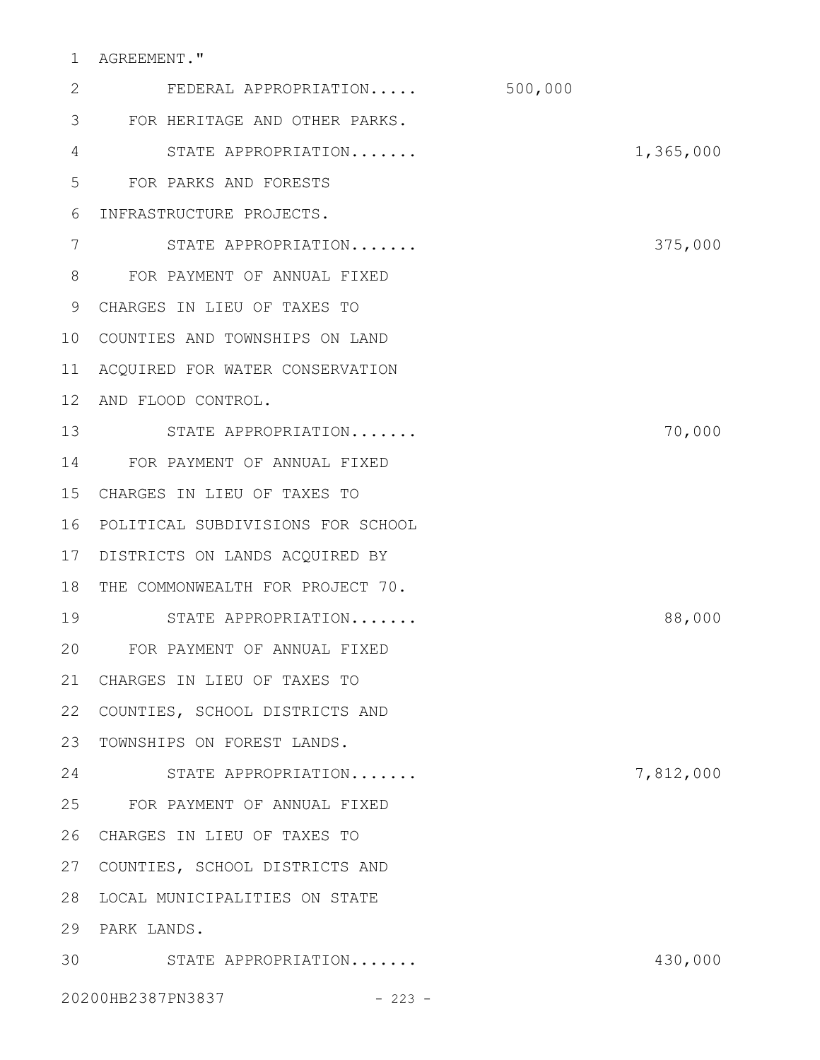# 1 AGREEMENT."

| 2  | FEDERAL APPROPRIATION             | 500,000   |         |
|----|-----------------------------------|-----------|---------|
| 3  | FOR HERITAGE AND OTHER PARKS.     |           |         |
| 4  | STATE APPROPRIATION               | 1,365,000 |         |
| 5  | FOR PARKS AND FORESTS             |           |         |
| 6  | INFRASTRUCTURE PROJECTS.          |           |         |
| 7  | STATE APPROPRIATION               |           | 375,000 |
| 8  | FOR PAYMENT OF ANNUAL FIXED       |           |         |
| 9  | CHARGES IN LIEU OF TAXES TO       |           |         |
| 10 | COUNTIES AND TOWNSHIPS ON LAND    |           |         |
| 11 | ACQUIRED FOR WATER CONSERVATION   |           |         |
| 12 | AND FLOOD CONTROL.                |           |         |
| 13 | STATE APPROPRIATION               |           | 70,000  |
| 14 | FOR PAYMENT OF ANNUAL FIXED       |           |         |
| 15 | CHARGES IN LIEU OF TAXES TO       |           |         |
| 16 | POLITICAL SUBDIVISIONS FOR SCHOOL |           |         |
| 17 | DISTRICTS ON LANDS ACQUIRED BY    |           |         |
| 18 | THE COMMONWEALTH FOR PROJECT 70.  |           |         |
| 19 | STATE APPROPRIATION               |           | 88,000  |
| 20 | FOR PAYMENT OF ANNUAL FIXED       |           |         |
|    | 21 CHARGES IN LIEU OF TAXES TO    |           |         |
| 22 | COUNTIES, SCHOOL DISTRICTS AND    |           |         |
| 23 | TOWNSHIPS ON FOREST LANDS.        |           |         |
| 24 | STATE APPROPRIATION               | 7,812,000 |         |
| 25 | FOR PAYMENT OF ANNUAL FIXED       |           |         |
| 26 | CHARGES IN LIEU OF TAXES TO       |           |         |
| 27 | COUNTIES, SCHOOL DISTRICTS AND    |           |         |
| 28 | LOCAL MUNICIPALITIES ON STATE     |           |         |
| 29 | PARK LANDS.                       |           |         |
| 30 | STATE APPROPRIATION               |           | 430,000 |
|    | 20200HB2387PN3837<br>$-223 -$     |           |         |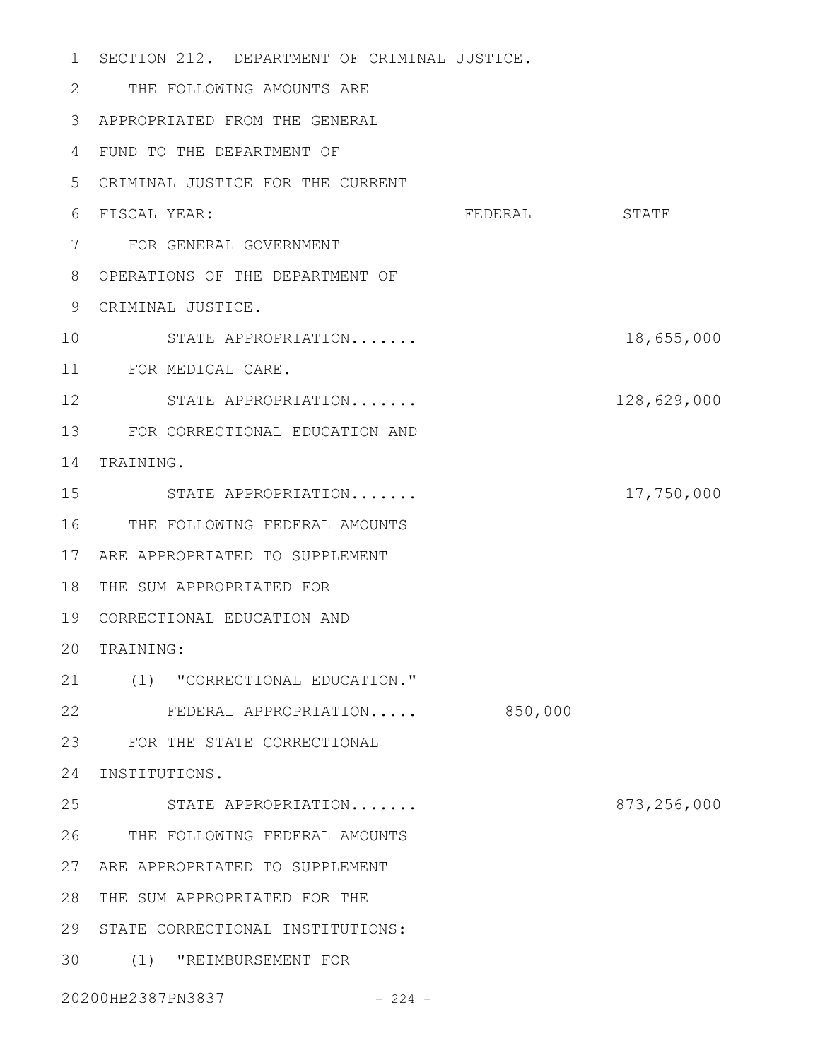| $\mathbf{1}$ | SECTION 212. DEPARTMENT OF CRIMINAL JUSTICE. |               |             |
|--------------|----------------------------------------------|---------------|-------------|
| 2            | THE FOLLOWING AMOUNTS ARE                    |               |             |
| 3            | APPROPRIATED FROM THE GENERAL                |               |             |
| 4            | FUND TO THE DEPARTMENT OF                    |               |             |
| 5            | CRIMINAL JUSTICE FOR THE CURRENT             |               |             |
| 6            | FISCAL YEAR:                                 | FEDERAL STATE |             |
| 7            | FOR GENERAL GOVERNMENT                       |               |             |
| 8            | OPERATIONS OF THE DEPARTMENT OF              |               |             |
| 9            | CRIMINAL JUSTICE.                            |               |             |
| 10           | STATE APPROPRIATION                          |               | 18,655,000  |
| 11           | FOR MEDICAL CARE.                            |               |             |
| 12           | STATE APPROPRIATION                          |               | 128,629,000 |
| 13           | FOR CORRECTIONAL EDUCATION AND               |               |             |
| 14           | TRAINING.                                    |               |             |
| 15           | STATE APPROPRIATION                          |               | 17,750,000  |
| 16           | THE FOLLOWING FEDERAL AMOUNTS                |               |             |
| 17           | ARE APPROPRIATED TO SUPPLEMENT               |               |             |
| 18           | THE SUM APPROPRIATED FOR                     |               |             |
| 19           | CORRECTIONAL EDUCATION AND                   |               |             |
|              | 20 TRAINING:                                 |               |             |
|              | 21 (1) "CORRECTIONAL EDUCATION."             |               |             |
| 22           | FEDERAL APPROPRIATION                        | 850,000       |             |
| 23           | FOR THE STATE CORRECTIONAL                   |               |             |
| 24           | INSTITUTIONS.                                |               |             |
| 25           | STATE APPROPRIATION                          |               | 873,256,000 |
|              | 26 THE FOLLOWING FEDERAL AMOUNTS             |               |             |
| 27           | ARE APPROPRIATED TO SUPPLEMENT               |               |             |
| 28           | THE SUM APPROPRIATED FOR THE                 |               |             |
| 29           | STATE CORRECTIONAL INSTITUTIONS:             |               |             |
| 30           | (1) "REIMBURSEMENT FOR                       |               |             |
|              | 20200HB2387PN3837 - 224 -                    |               |             |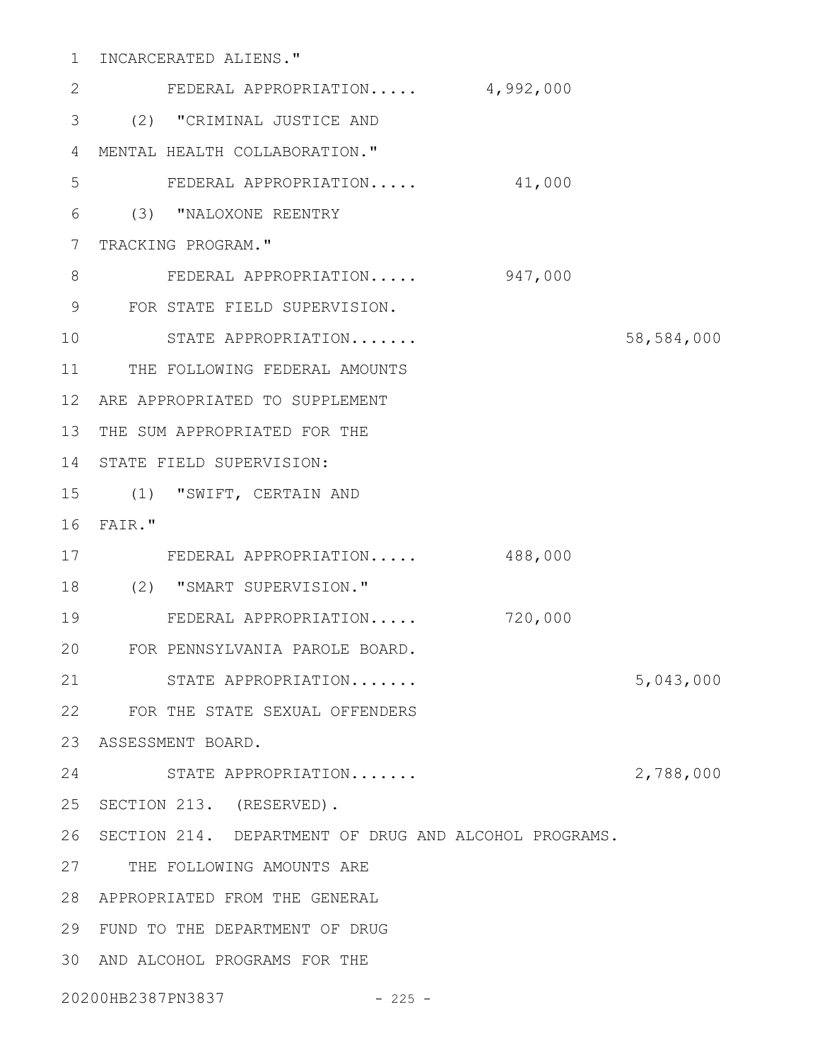| $\mathbf 1$  | INCARCERATED ALIENS."                                 |         |            |
|--------------|-------------------------------------------------------|---------|------------|
| $\mathbf{2}$ | FEDERAL APPROPRIATION 4,992,000                       |         |            |
| 3            | (2) "CRIMINAL JUSTICE AND                             |         |            |
| 4            | MENTAL HEALTH COLLABORATION."                         |         |            |
| 5            | FEDERAL APPROPRIATION                                 | 41,000  |            |
| 6            | (3) "NALOXONE REENTRY                                 |         |            |
| 7            | TRACKING PROGRAM."                                    |         |            |
| 8            | FEDERAL APPROPRIATION                                 | 947,000 |            |
| 9            | FOR STATE FIELD SUPERVISION.                          |         |            |
| 10           | STATE APPROPRIATION                                   |         | 58,584,000 |
| 11           | THE FOLLOWING FEDERAL AMOUNTS                         |         |            |
| 12           | ARE APPROPRIATED TO SUPPLEMENT                        |         |            |
| 13           | THE SUM APPROPRIATED FOR THE                          |         |            |
| 14           | STATE FIELD SUPERVISION:                              |         |            |
| 15           | (1) "SWIFT, CERTAIN AND                               |         |            |
| 16           | FAIR."                                                |         |            |
| 17           | FEDERAL APPROPRIATION                                 | 488,000 |            |
| 18           | (2) "SMART SUPERVISION."                              |         |            |
| 19           | FEDERAL APPROPRIATION                                 | 720,000 |            |
| 20           | FOR PENNSYLVANIA PAROLE BOARD.                        |         |            |
| 21           | STATE APPROPRIATION                                   |         | 5,043,000  |
| 22           | FOR THE STATE SEXUAL OFFENDERS                        |         |            |
| 23           | ASSESSMENT BOARD.                                     |         |            |
| 24           | STATE APPROPRIATION                                   |         | 2,788,000  |
| 25           | SECTION 213. (RESERVED).                              |         |            |
| 26           | SECTION 214. DEPARTMENT OF DRUG AND ALCOHOL PROGRAMS. |         |            |
| 27           | THE FOLLOWING AMOUNTS ARE                             |         |            |
| 28           | APPROPRIATED FROM THE GENERAL                         |         |            |
| 29           | FUND TO THE DEPARTMENT OF DRUG                        |         |            |
| 30           | AND ALCOHOL PROGRAMS FOR THE                          |         |            |
|              | 20200HB2387PN3837<br>$-225 -$                         |         |            |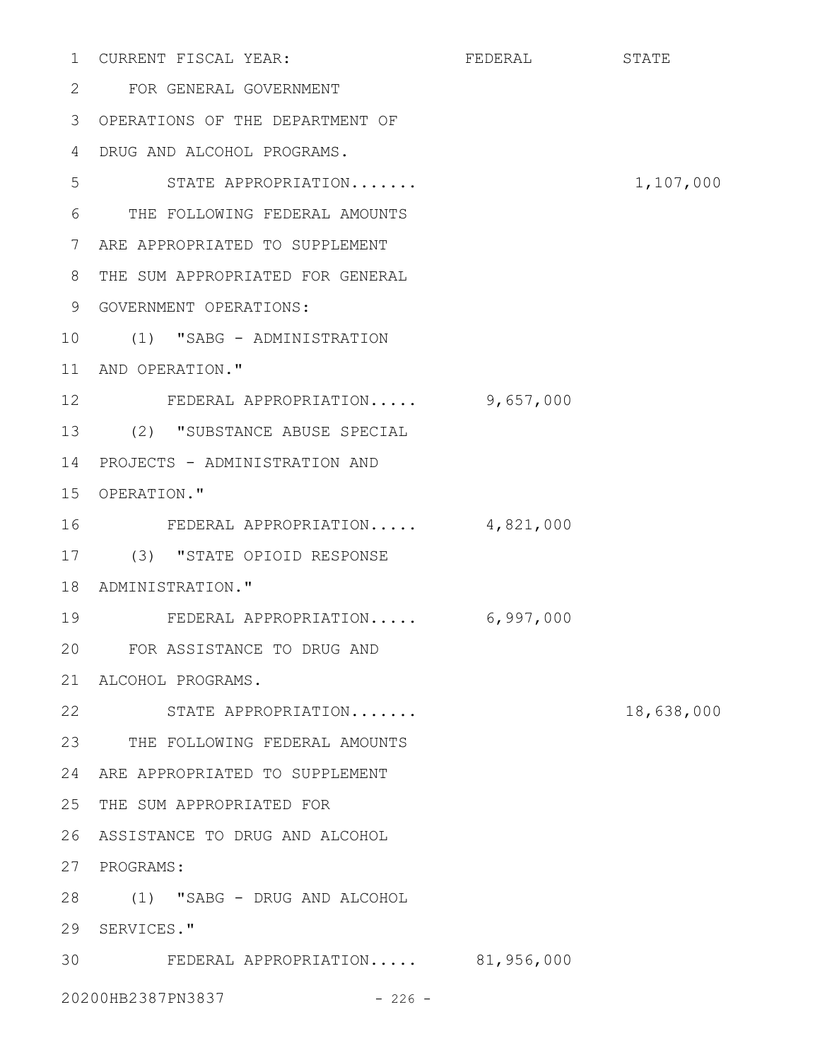|                 | 1 CURRENT FISCAL YEAR:           | FEDERAL STATE |            |
|-----------------|----------------------------------|---------------|------------|
| 2               | FOR GENERAL GOVERNMENT           |               |            |
| 3               | OPERATIONS OF THE DEPARTMENT OF  |               |            |
| 4               | DRUG AND ALCOHOL PROGRAMS.       |               |            |
| 5               | STATE APPROPRIATION              |               | 1,107,000  |
| 6               | THE FOLLOWING FEDERAL AMOUNTS    |               |            |
| 7               | ARE APPROPRIATED TO SUPPLEMENT   |               |            |
| 8               | THE SUM APPROPRIATED FOR GENERAL |               |            |
| 9               | GOVERNMENT OPERATIONS:           |               |            |
| 10              | (1) "SABG - ADMINISTRATION       |               |            |
| 11              | AND OPERATION."                  |               |            |
| 12 <sup>°</sup> | FEDERAL APPROPRIATION 9,657,000  |               |            |
| 13              | (2) "SUBSTANCE ABUSE SPECIAL     |               |            |
| 14              | PROJECTS - ADMINISTRATION AND    |               |            |
| 15              | OPERATION."                      |               |            |
| 16              | FEDERAL APPROPRIATION 4,821,000  |               |            |
| 17              | (3) "STATE OPIOID RESPONSE       |               |            |
| 18              | ADMINISTRATION."                 |               |            |
| 19              | FEDERAL APPROPRIATION 6,997,000  |               |            |
| 20              | FOR ASSISTANCE TO DRUG AND       |               |            |
| 21              | ALCOHOL PROGRAMS.                |               |            |
| 22              | STATE APPROPRIATION              |               | 18,638,000 |
|                 | 23 THE FOLLOWING FEDERAL AMOUNTS |               |            |
| 24              | ARE APPROPRIATED TO SUPPLEMENT   |               |            |
| 25              | THE SUM APPROPRIATED FOR         |               |            |
| 26              | ASSISTANCE TO DRUG AND ALCOHOL   |               |            |
|                 | 27 PROGRAMS:                     |               |            |
|                 | 28 (1) "SABG - DRUG AND ALCOHOL  |               |            |
| 29              | SERVICES."                       |               |            |
| 30              | FEDERAL APPROPRIATION 81,956,000 |               |            |
|                 | 20200HB2387PN3837<br>$-226 -$    |               |            |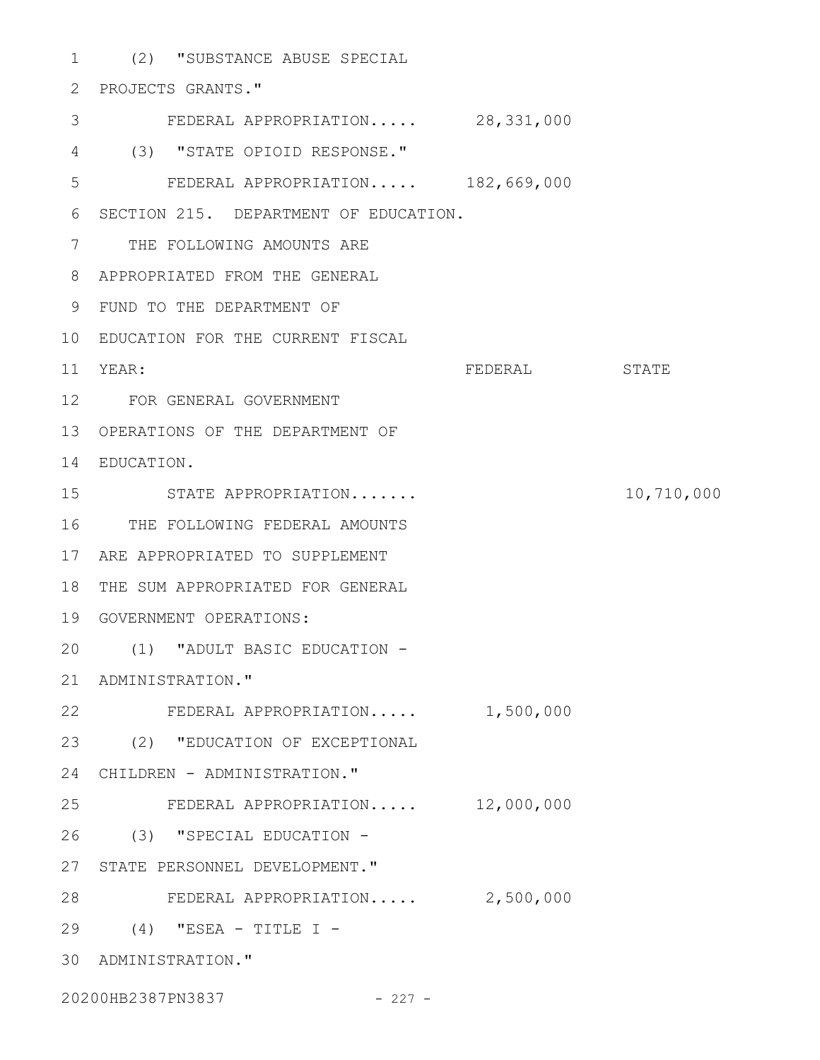(2) "SUBSTANCE ABUSE SPECIAL 1 PROJECTS GRANTS." 2 FEDERAL APPROPRIATION..... 28,331,000 (3) "STATE OPIOID RESPONSE." 4 FEDERAL APPROPRIATION..... 182,669,000 6 SECTION 215. DEPARTMENT OF EDUCATION. 7 THE FOLLOWING AMOUNTS ARE APPROPRIATED FROM THE GENERAL 8 FUND TO THE DEPARTMENT OF 9 EDUCATION FOR THE CURRENT FISCAL 10 FEDERAL STATE FOR GENERAL GOVERNMENT 12 13 OPERATIONS OF THE DEPARTMENT OF EDUCATION. 14 STATE APPROPRIATION....... 10,710,000 16 THE FOLLOWING FEDERAL AMOUNTS ARE APPROPRIATED TO SUPPLEMENT 17 18 THE SUM APPROPRIATED FOR GENERAL GOVERNMENT OPERATIONS: 19 (1) "ADULT BASIC EDUCATION - 20 21 ADMINISTRATION." 22 FEDERAL APPROPRIATION..... 1,500,000 (2) "EDUCATION OF EXCEPTIONAL 23 24 CHILDREN - ADMINISTRATION." FEDERAL APPROPRIATION..... 12,000,000 (3) "SPECIAL EDUCATION - 26 27 STATE PERSONNEL DEVELOPMENT." 28 FEDERAL APPROPRIATION..... 2,500,000 (4) "ESEA - TITLE I - 29 ADMINISTRATION." 303 5 11 YEAR: 15 25

20200HB2387PN3837 - 227 -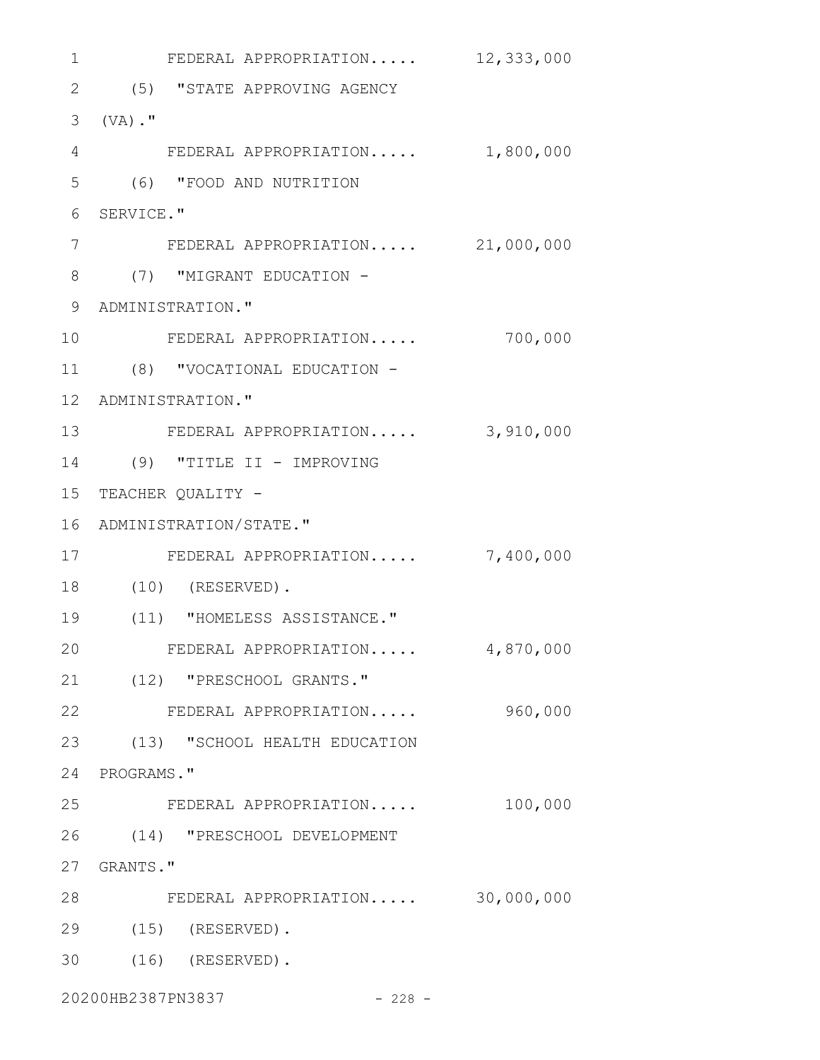| $\mathbf 1$     | FEDERAL APPROPRIATION $12,333,000$ |           |
|-----------------|------------------------------------|-----------|
| $\overline{2}$  | (5) "STATE APPROVING AGENCY        |           |
| 3               | $(VA)$ ."                          |           |
| $\overline{4}$  | FEDERAL APPROPRIATION 1,800,000    |           |
| 5               | (6) "FOOD AND NUTRITION            |           |
| 6               | SERVICE."                          |           |
| 7               | FEDERAL APPROPRIATION 21,000,000   |           |
| 8               | (7) "MIGRANT EDUCATION -           |           |
| 9               | ADMINISTRATION."                   |           |
| 10              | FEDERAL APPROPRIATION              | 700,000   |
| 11              | (8) "VOCATIONAL EDUCATION -        |           |
| 12 <sup>°</sup> | ADMINISTRATION."                   |           |
| 13              | FEDERAL APPROPRIATION              | 3,910,000 |
| 14              | (9) "TITLE II - IMPROVING          |           |
| 15              | TEACHER QUALITY -                  |           |
| 16              | ADMINISTRATION/STATE."             |           |
| 17              | FEDERAL APPROPRIATION              | 7,400,000 |
| 18              | $(10)$ (RESERVED).                 |           |
| 19              | (11) "HOMELESS ASSISTANCE."        |           |
| 20              | FEDERAL APPROPRIATION              | 4,870,000 |
|                 | 21 (12) "PRESCHOOL GRANTS."        |           |
| 22              | FEDERAL APPROPRIATION              | 960,000   |
|                 | 23 (13) "SCHOOL HEALTH EDUCATION   |           |
|                 | 24 PROGRAMS."                      |           |
| 25              | FEDERAL APPROPRIATION              | 100,000   |
|                 | 26 (14) "PRESCHOOL DEVELOPMENT     |           |
|                 | 27 GRANTS."                        |           |
| 28              | FEDERAL APPROPRIATION 30,000,000   |           |
| 29              | $(15)$ (RESERVED).                 |           |
| 30              | $(16)$ (RESERVED).                 |           |
|                 | 20200HB2387PN3837<br>$-228 -$      |           |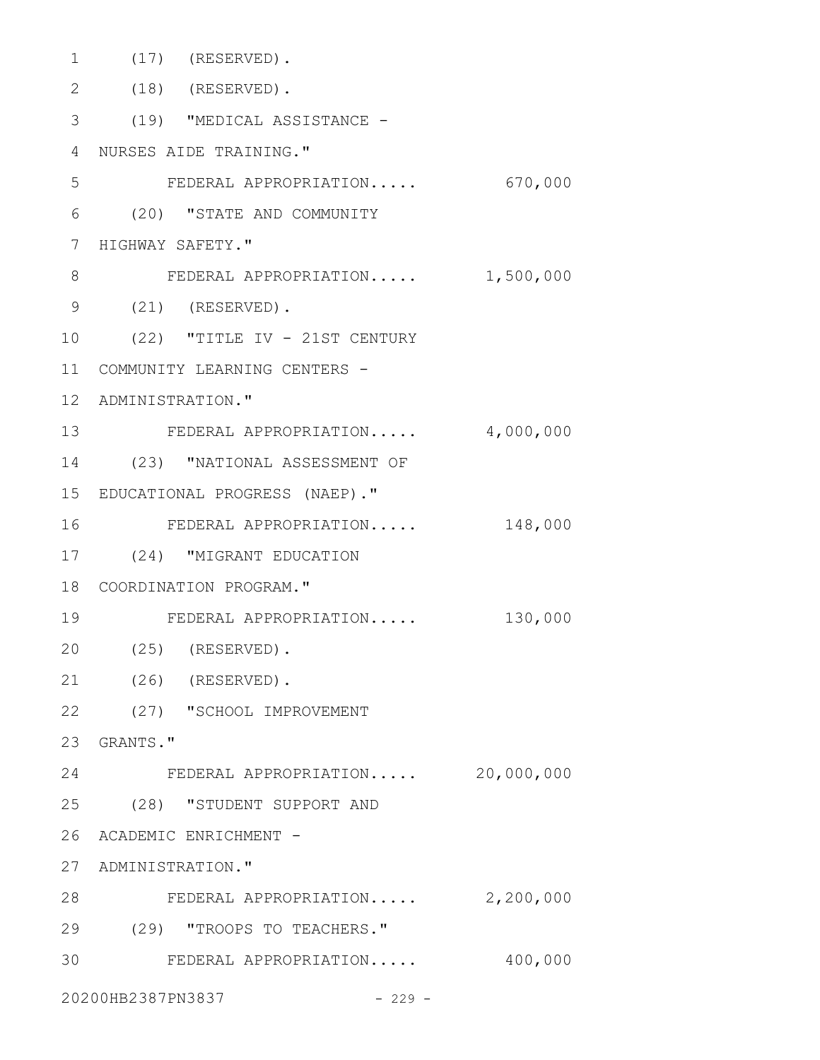| 1             | $(17)$ (RESERVED).               |           |
|---------------|----------------------------------|-----------|
| $\mathbf{2}$  | $(18)$ (RESERVED).               |           |
| 3             | (19) "MEDICAL ASSISTANCE -       |           |
| 4             | NURSES AIDE TRAINING."           |           |
| 5             | FEDERAL APPROPRIATION 670,000    |           |
| 6             | (20) "STATE AND COMMUNITY        |           |
| 7             | HIGHWAY SAFETY."                 |           |
| 8             | FEDERAL APPROPRIATION            | 1,500,000 |
| $\mathcal{G}$ | $(21)$ (RESERVED).               |           |
| 10            | (22) "TITLE IV - 21ST CENTURY    |           |
| 11            | COMMUNITY LEARNING CENTERS -     |           |
| $12 \,$       | ADMINISTRATION."                 |           |
| 13            | FEDERAL APPROPRIATION            | 4,000,000 |
| 14            | (23) "NATIONAL ASSESSMENT OF     |           |
|               | 15 EDUCATIONAL PROGRESS (NAEP)." |           |
| 16            | FEDERAL APPROPRIATION            | 148,000   |
| 17            | (24) "MIGRANT EDUCATION          |           |
|               | 18 COORDINATION PROGRAM."        |           |
| 19            | FEDERAL APPROPRIATION            | 130,000   |
| 20            | $(25)$ (RESERVED).               |           |
| 21            | $(26)$ (RESERVED).               |           |
|               | 22 (27) "SCHOOL IMPROVEMENT      |           |
|               | 23 GRANTS."                      |           |
| 24            | FEDERAL APPROPRIATION 20,000,000 |           |
|               | 25 (28) "STUDENT SUPPORT AND     |           |
|               | 26 ACADEMIC ENRICHMENT -         |           |
|               | 27 ADMINISTRATION."              |           |
| 28            | FEDERAL APPROPRIATION 2,200,000  |           |
| 29            | (29) "TROOPS TO TEACHERS."       |           |
| 30            | FEDERAL APPROPRIATION            | 400,000   |
|               | 20200HB2387PN3837<br>$-229 -$    |           |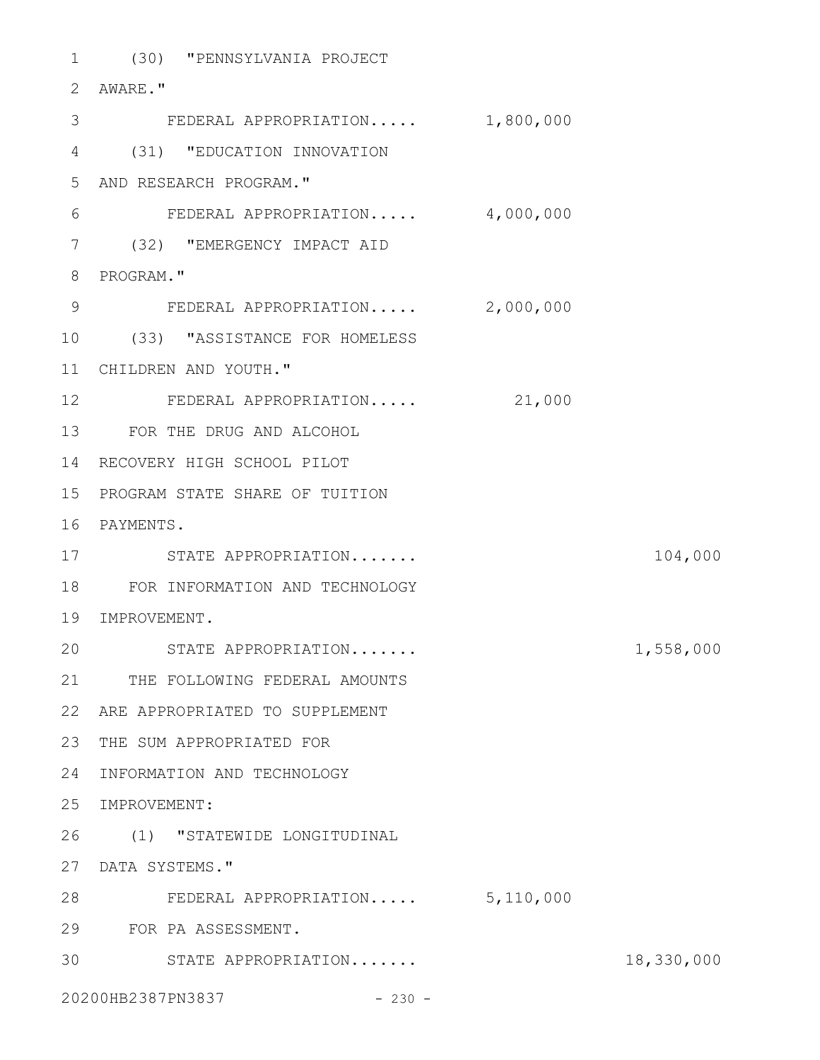(30) "PENNSYLVANIA PROJECT 1 AWARE." 2 3 FEDERAL APPROPRIATION..... 1,800,000 (31) "EDUCATION INNOVATION 4 AND RESEARCH PROGRAM." 5 FEDERAL APPROPRIATION..... 4,000,000 (32) "EMERGENCY IMPACT AID 7 8 PROGRAM." FEDERAL APPROPRIATION..... 2,000,000 (33) "ASSISTANCE FOR HOMELESS 10 CHILDREN AND YOUTH." 11 12 FEDERAL APPROPRIATION..... 21,000 FOR THE DRUG AND ALCOHOL 13 14 RECOVERY HIGH SCHOOL PILOT PROGRAM STATE SHARE OF TUITION 15 16 PAYMENTS. 17 STATE APPROPRIATION....... 104,000 FOR INFORMATION AND TECHNOLOGY 18 19 IMPROVEMENT. STATE APPROPRIATION....... 1,558,000 21 THE FOLLOWING FEDERAL AMOUNTS ARE APPROPRIATED TO SUPPLEMENT 22 23 THE SUM APPROPRIATED FOR 24 INFORMATION AND TECHNOLOGY 25 IMPROVEMENT: (1) "STATEWIDE LONGITUDINAL 26 27 DATA SYSTEMS." FEDERAL APPROPRIATION..... 5,110,000 28 FOR PA ASSESSMENT. 29 STATE APPROPRIATION....... 18,330,000 306 9 20

20200HB2387PN3837 - 230 -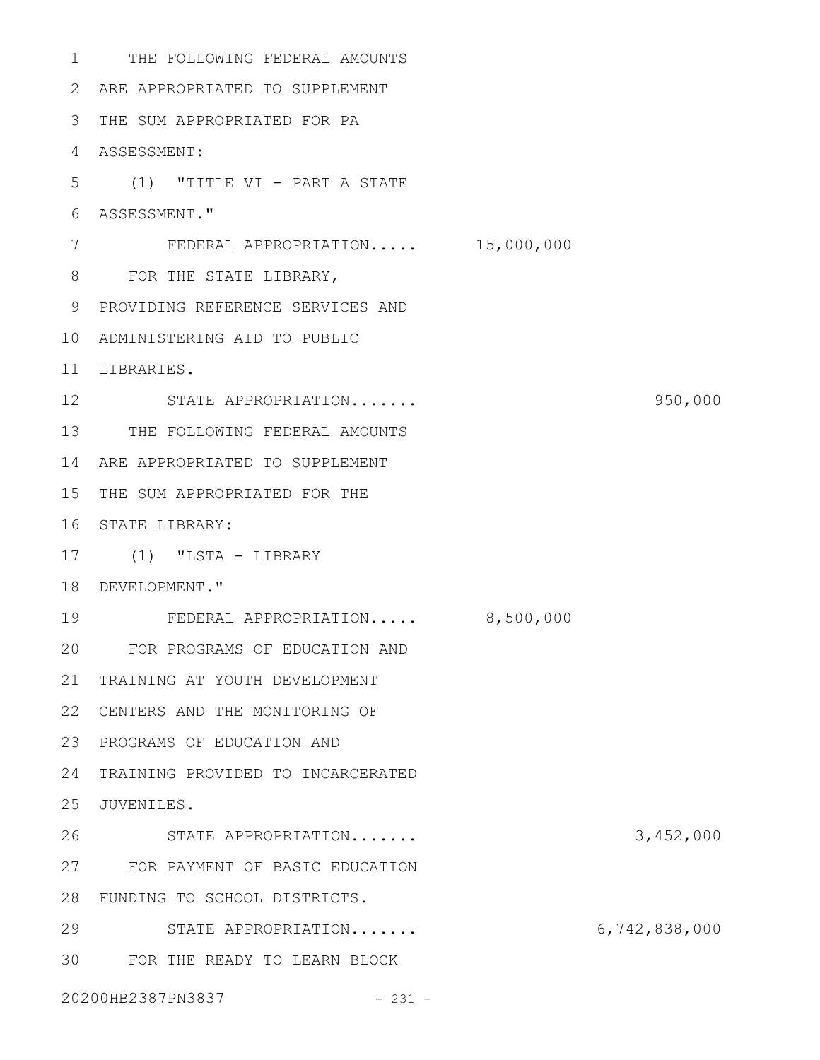1 THE FOLLOWING FEDERAL AMOUNTS ARE APPROPRIATED TO SUPPLEMENT 2 THE SUM APPROPRIATED FOR PA 3 ASSESSMENT: 4 (1) "TITLE VI - PART A STATE 5 ASSESSMENT." 6 FEDERAL APPROPRIATION..... 15,000,000 8 FOR THE STATE LIBRARY, 9 PROVIDING REFERENCE SERVICES AND ADMINISTERING AID TO PUBLIC 10 11 LIBRARIES. 12 STATE APPROPRIATION....... 950,000 13 THE FOLLOWING FEDERAL AMOUNTS ARE APPROPRIATED TO SUPPLEMENT 14 15 THE SUM APPROPRIATED FOR THE 16 STATE LIBRARY: (1) "LSTA - LIBRARY 17 18 DEVELOPMENT." FEDERAL APPROPRIATION..... 8,500,000 FOR PROGRAMS OF EDUCATION AND 20 21 TRAINING AT YOUTH DEVELOPMENT 22 CENTERS AND THE MONITORING OF 23 PROGRAMS OF EDUCATION AND 24 TRAINING PROVIDED TO INCARCERATED 25 JUVENILES. STATE APPROPRIATION....... 3,452,000 FOR PAYMENT OF BASIC EDUCATION 27 FUNDING TO SCHOOL DISTRICTS. 28 STATE APPROPRIATION....... 6,742,838,000 29 FOR THE READY TO LEARN BLOCK 3020200HB2387PN3837 - 231 - 7 19 26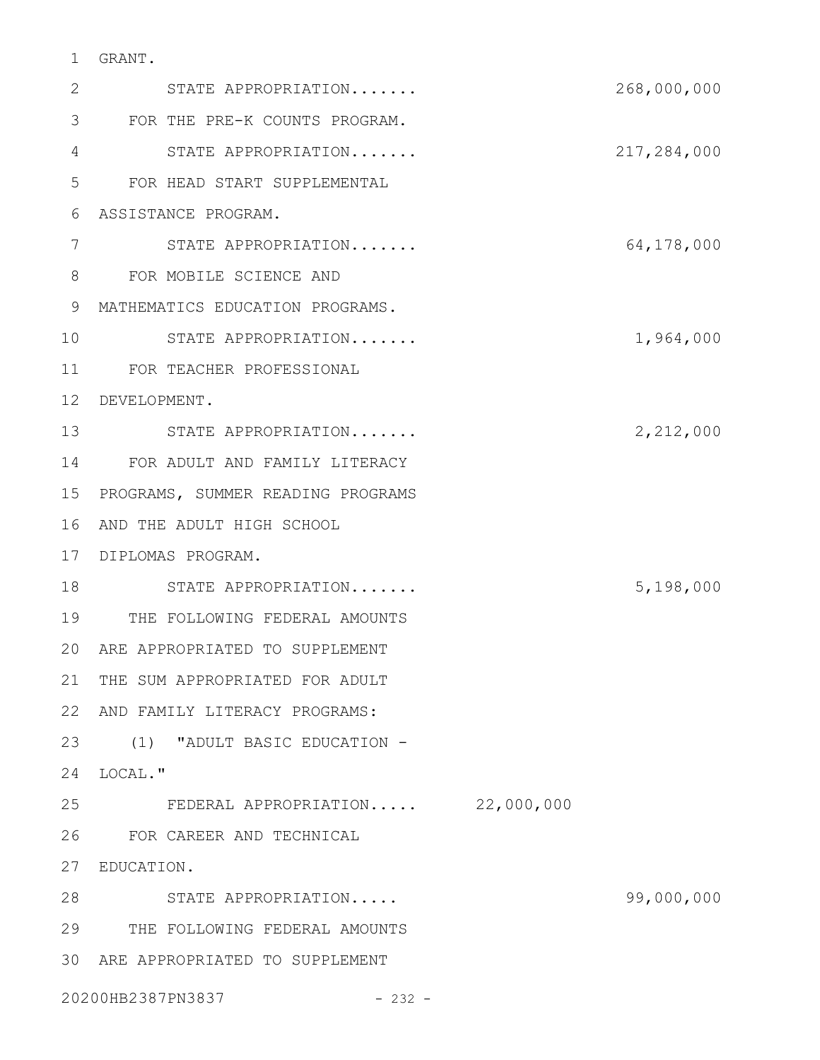# GRANT. 1

| 2  | STATE APPROPRIATION               | 268,000,000 |
|----|-----------------------------------|-------------|
| 3  | FOR THE PRE-K COUNTS PROGRAM.     |             |
| 4  | STATE APPROPRIATION               | 217,284,000 |
| 5  | FOR HEAD START SUPPLEMENTAL       |             |
| 6  | ASSISTANCE PROGRAM.               |             |
| 7  | STATE APPROPRIATION               | 64,178,000  |
| 8  | FOR MOBILE SCIENCE AND            |             |
| 9  | MATHEMATICS EDUCATION PROGRAMS.   |             |
| 10 | STATE APPROPRIATION               | 1,964,000   |
| 11 | FOR TEACHER PROFESSIONAL          |             |
| 12 | DEVELOPMENT.                      |             |
| 13 | STATE APPROPRIATION               | 2,212,000   |
| 14 | FOR ADULT AND FAMILY LITERACY     |             |
| 15 | PROGRAMS, SUMMER READING PROGRAMS |             |
| 16 | AND THE ADULT HIGH SCHOOL         |             |
| 17 | DIPLOMAS PROGRAM.                 |             |
| 18 | STATE APPROPRIATION               | 5,198,000   |
| 19 | THE FOLLOWING FEDERAL AMOUNTS     |             |
| 20 | ARE APPROPRIATED TO SUPPLEMENT    |             |
|    | 21 THE SUM APPROPRIATED FOR ADULT |             |
| 22 | AND FAMILY LITERACY PROGRAMS:     |             |
| 23 | (1) "ADULT BASIC EDUCATION -      |             |
| 24 | LOCAL."                           |             |
| 25 | FEDERAL APPROPRIATION 22,000,000  |             |
| 26 | FOR CAREER AND TECHNICAL          |             |
| 27 | EDUCATION.                        |             |
| 28 | STATE APPROPRIATION               | 99,000,000  |
| 29 | THE FOLLOWING FEDERAL AMOUNTS     |             |
| 30 | ARE APPROPRIATED TO SUPPLEMENT    |             |
|    | 20200HB2387PN3837<br>$-232 -$     |             |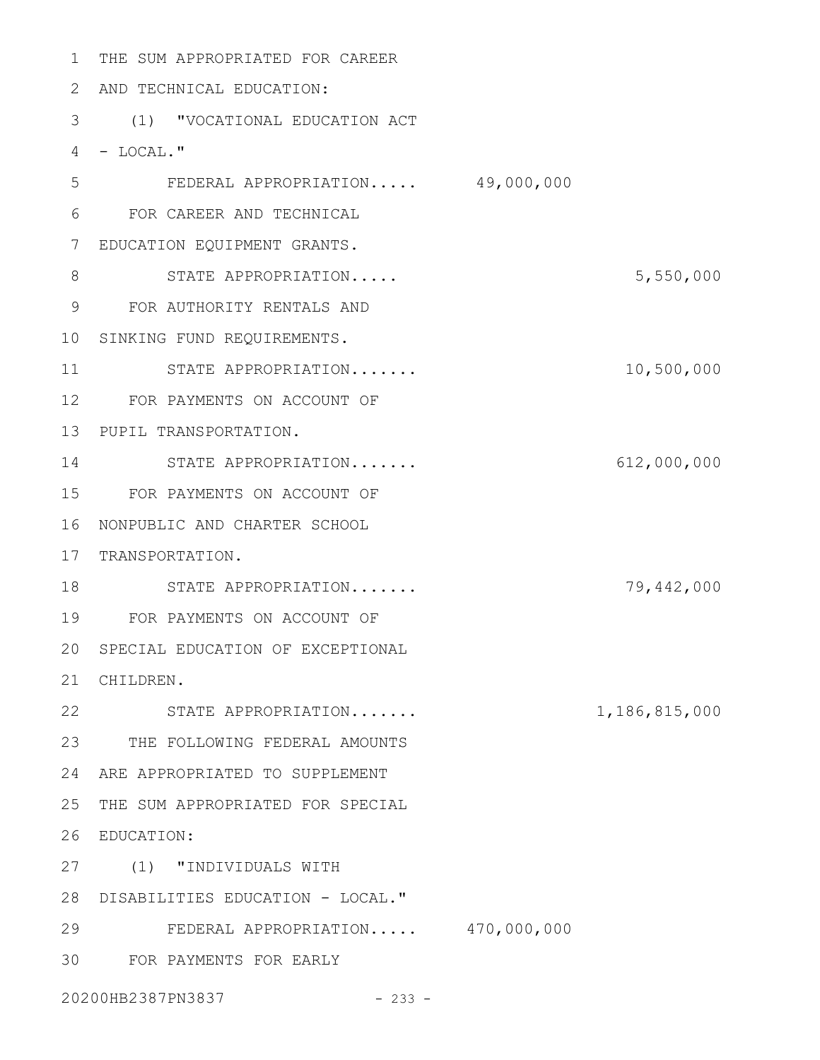THE SUM APPROPRIATED FOR CAREER 1 2 AND TECHNICAL EDUCATION: (1) "VOCATIONAL EDUCATION ACT 3 4 - LOCAL." FEDERAL APPROPRIATION..... 49,000,000 FOR CAREER AND TECHNICAL 6 EDUCATION EQUIPMENT GRANTS. 7 STATE APPROPRIATION..... 5,550,000 FOR AUTHORITY RENTALS AND 9 10 SINKING FUND REQUIREMENTS. STATE APPROPRIATION....... 10,500,000 12 FOR PAYMENTS ON ACCOUNT OF 13 PUPIL TRANSPORTATION. STATE APPROPRIATION....... 612,000,000 14 FOR PAYMENTS ON ACCOUNT OF 15 16 NONPUBLIC AND CHARTER SCHOOL 17 TRANSPORTATION. STATE APPROPRIATION....... 79,442,000 18 FOR PAYMENTS ON ACCOUNT OF 19 20 SPECIAL EDUCATION OF EXCEPTIONAL CHILDREN. 21 22 STATE APPROPRIATION....... 1,186,815,000 23 THE FOLLOWING FEDERAL AMOUNTS ARE APPROPRIATED TO SUPPLEMENT 24 25 THE SUM APPROPRIATED FOR SPECIAL EDUCATION: 26 (1) "INDIVIDUALS WITH 27 28 DISABILITIES EDUCATION - LOCAL." FEDERAL APPROPRIATION..... 470,000,000 29 FOR PAYMENTS FOR EARLY 305 8 11

20200HB2387PN3837 - 233 -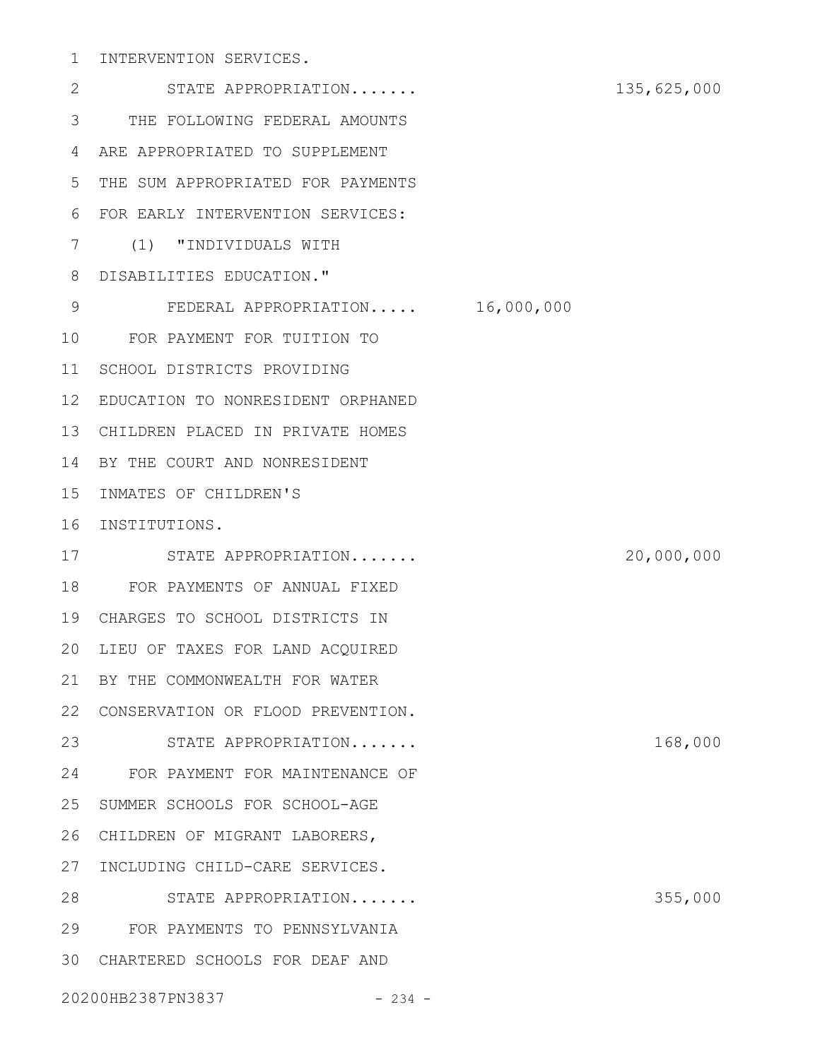# 1 INTERVENTION SERVICES.

STATE APPROPRIATION....... 135,625,000 THE FOLLOWING FEDERAL AMOUNTS 3 ARE APPROPRIATED TO SUPPLEMENT 4 5 THE SUM APPROPRIATED FOR PAYMENTS FOR EARLY INTERVENTION SERVICES: 6 (1) "INDIVIDUALS WITH 7 DISABILITIES EDUCATION." 8 FEDERAL APPROPRIATION..... 16,000,000 FOR PAYMENT FOR TUITION TO 10 11 SCHOOL DISTRICTS PROVIDING EDUCATION TO NONRESIDENT ORPHANED 12 CHILDREN PLACED IN PRIVATE HOMES 13 14 BY THE COURT AND NONRESIDENT 15 INMATES OF CHILDREN'S 16 INSTITUTIONS. STATE APPROPRIATION....... 20,000,000 17 FOR PAYMENTS OF ANNUAL FIXED 18 CHARGES TO SCHOOL DISTRICTS IN 19 20 LIEU OF TAXES FOR LAND ACQUIRED 21 BY THE COMMONWEALTH FOR WATER 22 CONSERVATION OR FLOOD PREVENTION. 23 STATE APPROPRIATION....... 168,000 FOR PAYMENT FOR MAINTENANCE OF 24 25 SUMMER SCHOOLS FOR SCHOOL-AGE 26 CHILDREN OF MIGRANT LABORERS, 27 INCLUDING CHILD-CARE SERVICES. 28 STATE APPROPRIATION....... 355,000 FOR PAYMENTS TO PENNSYLVANIA 29 CHARTERED SCHOOLS FOR DEAF AND 3020200HB2387PN3837 - 234 - 2 9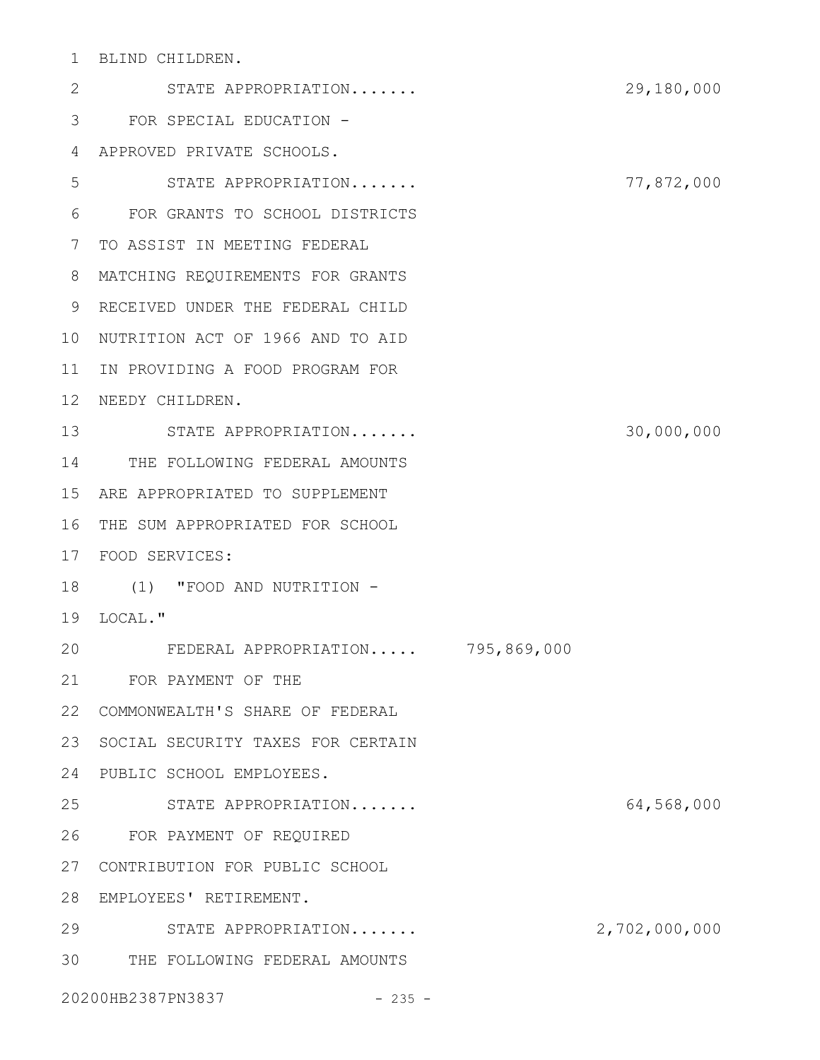BLIND CHILDREN. 1

STATE APPROPRIATION....... 29,180,000 FOR SPECIAL EDUCATION - 3 APPROVED PRIVATE SCHOOLS. 4 STATE APPROPRIATION....... 77,872,000 FOR GRANTS TO SCHOOL DISTRICTS 6 TO ASSIST IN MEETING FEDERAL 7 MATCHING REQUIREMENTS FOR GRANTS 8 9 RECEIVED UNDER THE FEDERAL CHILD 10 NUTRITION ACT OF 1966 AND TO AID 11 IN PROVIDING A FOOD PROGRAM FOR 12 NEEDY CHILDREN. STATE APPROPRIATION....... 30,000,000 13 14 THE FOLLOWING FEDERAL AMOUNTS ARE APPROPRIATED TO SUPPLEMENT 15 16 THE SUM APPROPRIATED FOR SCHOOL FOOD SERVICES: 17 18 (1) "FOOD AND NUTRITION -19 LOCAL." FEDERAL APPROPRIATION..... 795,869,000 FOR PAYMENT OF THE 21 COMMONWEALTH'S SHARE OF FEDERAL 22 23 SOCIAL SECURITY TAXES FOR CERTAIN PUBLIC SCHOOL EMPLOYEES. 24 STATE APPROPRIATION....... 64,568,000 FOR PAYMENT OF REQUIRED 26 27 CONTRIBUTION FOR PUBLIC SCHOOL EMPLOYEES' RETIREMENT. 28 29 STATE APPROPRIATION....... 2,702,000,000 THE FOLLOWING FEDERAL AMOUNTS 3020200HB2387PN3837 - 235 - 2 5 20 25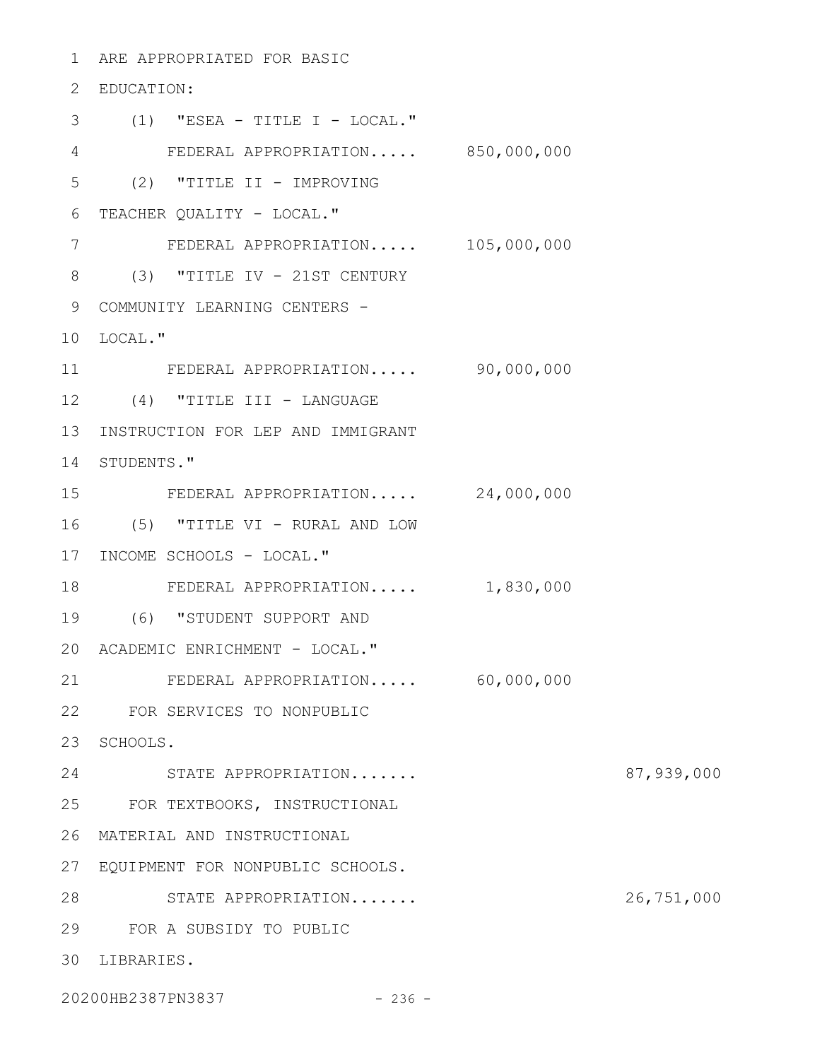ARE APPROPRIATED FOR BASIC 1 EDUCATION: 2 (1) "ESEA - TITLE I - LOCAL." 3 FEDERAL APPROPRIATION..... 850,000,000 4 (2) "TITLE II - IMPROVING 6 TEACHER QUALITY - LOCAL." FEDERAL APPROPRIATION..... 105,000,000 (3) "TITLE IV - 21ST CENTURY 8 9 COMMUNITY LEARNING CENTERS -10 LOCAL." FEDERAL APPROPRIATION..... 90,000,000 12 (4) "TITLE III - LANGUAGE 13 INSTRUCTION FOR LEP AND IMMIGRANT 14 STUDENTS." FEDERAL APPROPRIATION..... 24,000,000 (5) "TITLE VI - RURAL AND LOW 16 17 INCOME SCHOOLS - LOCAL." FEDERAL APPROPRIATION..... 1,830,000 (6) "STUDENT SUPPORT AND 19 20 ACADEMIC ENRICHMENT - LOCAL." FEDERAL APPROPRIATION..... 60,000,000 FOR SERVICES TO NONPUBLIC 22 23 SCHOOLS. STATE APPROPRIATION....... 87,939,000 24 FOR TEXTBOOKS, INSTRUCTIONAL 25 MATERIAL AND INSTRUCTIONAL 26 EQUIPMENT FOR NONPUBLIC SCHOOLS. 27 STATE APPROPRIATION....... 26,751,000 28 FOR A SUBSIDY TO PUBLIC 29 LIBRARIES. 305 7 11 15 18 21

20200HB2387PN3837 - 236 -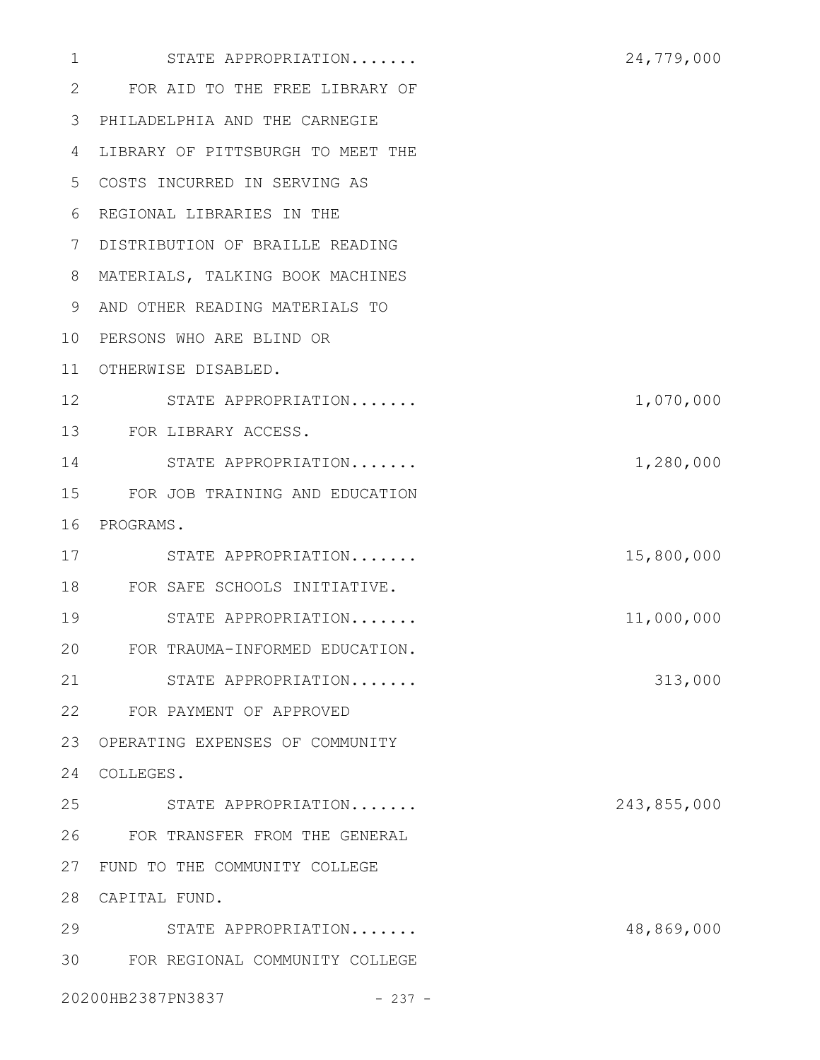| $\mathbf{1}$ | STATE APPROPRIATION               | 24,779,000  |
|--------------|-----------------------------------|-------------|
| 2            | FOR AID TO THE FREE LIBRARY OF    |             |
| 3            | PHILADELPHIA AND THE CARNEGIE     |             |
| 4            | LIBRARY OF PITTSBURGH TO MEET THE |             |
| 5            | COSTS INCURRED IN SERVING AS      |             |
| 6            | REGIONAL LIBRARIES IN THE         |             |
| 7            | DISTRIBUTION OF BRAILLE READING   |             |
| 8            | MATERIALS, TALKING BOOK MACHINES  |             |
| 9            | AND OTHER READING MATERIALS TO    |             |
| 10           | PERSONS WHO ARE BLIND OR          |             |
| 11           | OTHERWISE DISABLED.               |             |
| 12           | STATE APPROPRIATION               | 1,070,000   |
| 13           | FOR LIBRARY ACCESS.               |             |
| 14           | STATE APPROPRIATION               | 1,280,000   |
| 15           | FOR JOB TRAINING AND EDUCATION    |             |
| 16           | PROGRAMS.                         |             |
| 17           | STATE APPROPRIATION               | 15,800,000  |
| 18           | FOR SAFE SCHOOLS INITIATIVE.      |             |
| 19           | STATE APPROPRIATION               | 11,000,000  |
| 20           | FOR TRAUMA-INFORMED EDUCATION.    |             |
| 21           | STATE APPROPRIATION               | 313,000     |
| 22           | FOR PAYMENT OF APPROVED           |             |
| 23           | OPERATING EXPENSES OF COMMUNITY   |             |
| 24           | COLLEGES.                         |             |
| 25           | STATE APPROPRIATION               | 243,855,000 |
| 26           | FOR TRANSFER FROM THE GENERAL     |             |
| 27           | FUND TO THE COMMUNITY COLLEGE     |             |
| 28           | CAPITAL FUND.                     |             |
| 29           | STATE APPROPRIATION               | 48,869,000  |
|              | 30 FOR REGIONAL COMMUNITY COLLEGE |             |
|              | 20200HB2387PN3837<br>$-237 -$     |             |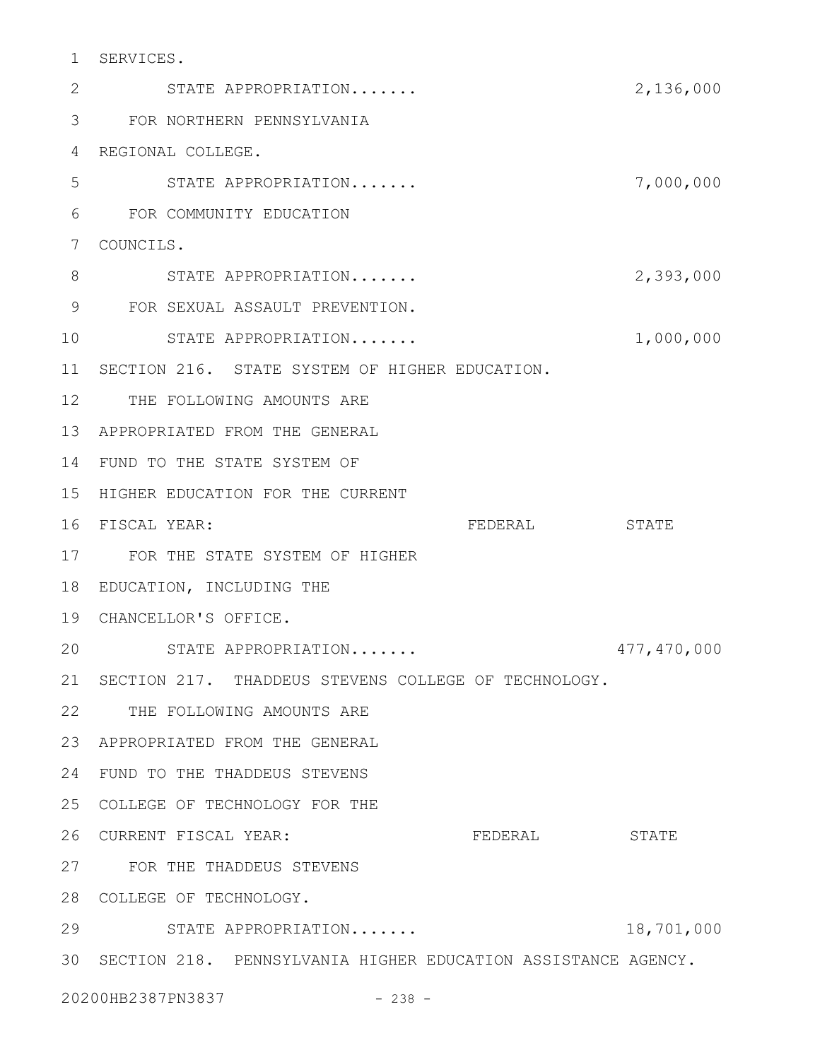SERVICES. 1

STATE APPROPRIATION....... 2,136,000 FOR NORTHERN PENNSYLVANIA 3 REGIONAL COLLEGE. 4 STATE APPROPRIATION....... 7,000,000 FOR COMMUNITY EDUCATION 6 7 COUNCILS. STATE APPROPRIATION....... 2,393,000 FOR SEXUAL ASSAULT PREVENTION. 9 STATE APPROPRIATION....... 1,000,000 11 SECTION 216. STATE SYSTEM OF HIGHER EDUCATION. 12 THE FOLLOWING AMOUNTS ARE APPROPRIATED FROM THE GENERAL 13 14 FUND TO THE STATE SYSTEM OF 15 HIGHER EDUCATION FOR THE CURRENT FEDERAL STATE FOR THE STATE SYSTEM OF HIGHER 17 18 EDUCATION, INCLUDING THE CHANCELLOR'S OFFICE. 19 STATE APPROPRIATION....... 477,470,000 21 SECTION 217. THADDEUS STEVENS COLLEGE OF TECHNOLOGY. 22 THE FOLLOWING AMOUNTS ARE APPROPRIATED FROM THE GENERAL 23 24 FUND TO THE THADDEUS STEVENS COLLEGE OF TECHNOLOGY FOR THE 25 FEDERAL STATE FOR THE THADDEUS STEVENS 27 28 COLLEGE OF TECHNOLOGY. STATE APPROPRIATION....... 18,701,000 29 SECTION 218. PENNSYLVANIA HIGHER EDUCATION ASSISTANCE AGENCY. 3020200HB2387PN3837 - 238 -2 5 8 10 16 FISCAL YEAR: 20 26 CURRENT FISCAL YEAR: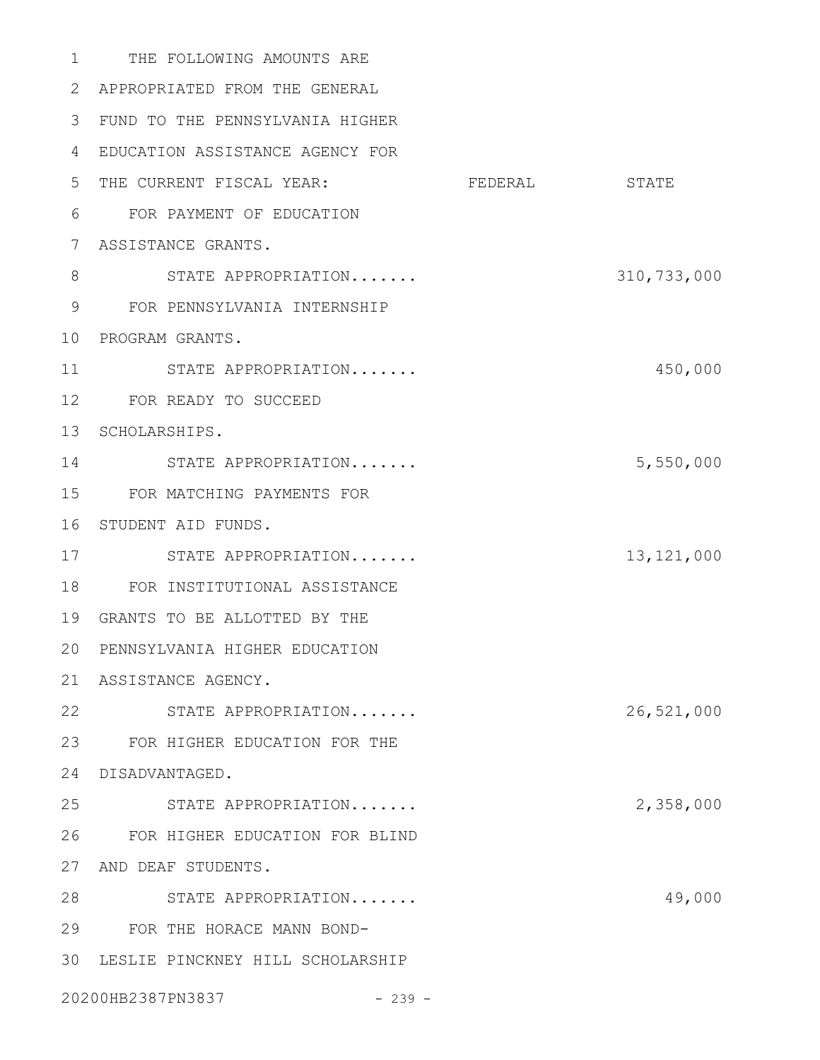1 THE FOLLOWING AMOUNTS ARE APPROPRIATED FROM THE GENERAL FUND TO THE PENNSYLVANIA HIGHER EDUCATION ASSISTANCE AGENCY FOR 5 THE CURRENT FISCAL YEAR: FEDERAL STATE FOR PAYMENT OF EDUCATION ASSISTANCE GRANTS. STATE APPROPRIATION....... 310,733,000 FOR PENNSYLVANIA INTERNSHIP 10 PROGRAM GRANTS. STATE APPROPRIATION....... 450,000 FOR READY TO SUCCEED 13 SCHOLARSHIPS. 14 STATE APPROPRIATION....... 5,550,000 FOR MATCHING PAYMENTS FOR 16 STUDENT AID FUNDS. STATE APPROPRIATION....... 13,121,000 FOR INSTITUTIONAL ASSISTANCE GRANTS TO BE ALLOTTED BY THE PENNSYLVANIA HIGHER EDUCATION ASSISTANCE AGENCY. STATE APPROPRIATION....... 26,521,000 FOR HIGHER EDUCATION FOR THE DISADVANTAGED. STATE APPROPRIATION....... 2,358,000 FOR HIGHER EDUCATION FOR BLIND 27 AND DEAF STUDENTS. 28 STATE APPROPRIATION....... 49,000 FOR THE HORACE MANN BOND- LESLIE PINCKNEY HILL SCHOLARSHIP 20200HB2387PN3837 - 239 -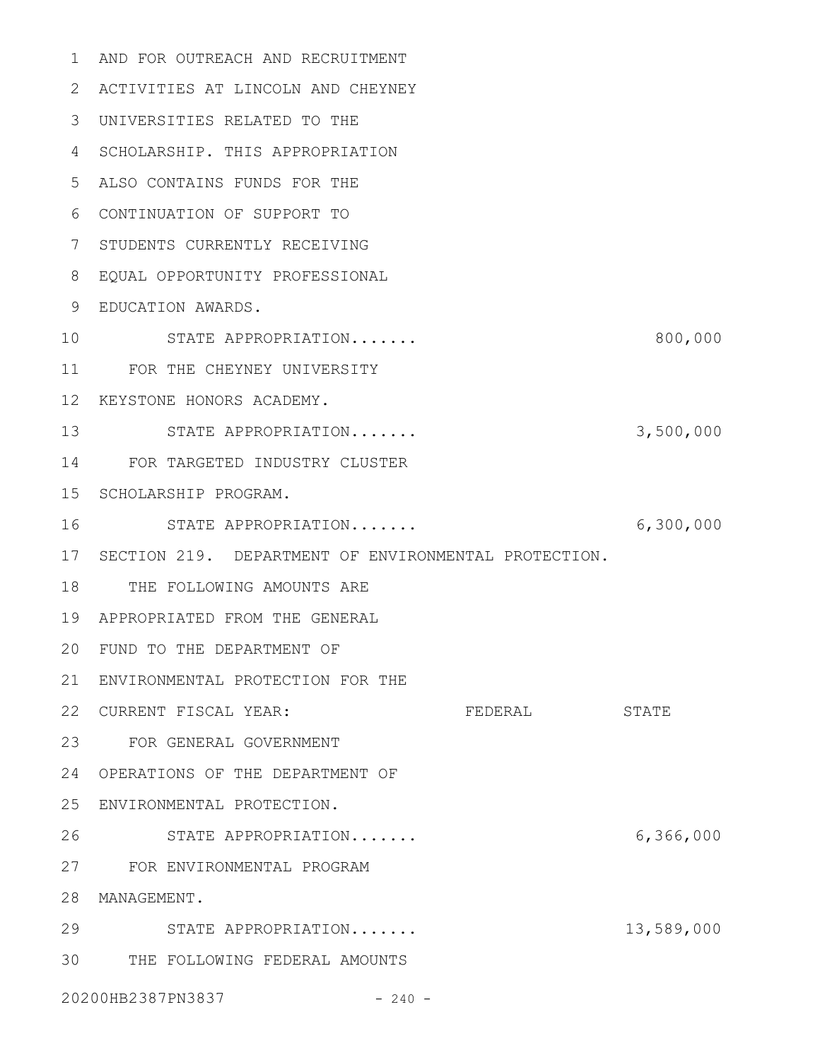AND FOR OUTREACH AND RECRUITMENT 1 ACTIVITIES AT LINCOLN AND CHEYNEY 2 UNIVERSITIES RELATED TO THE 3 4 SCHOLARSHIP. THIS APPROPRIATION ALSO CONTAINS FUNDS FOR THE 5 CONTINUATION OF SUPPORT TO 6 7 STUDENTS CURRENTLY RECEIVING EQUAL OPPORTUNITY PROFESSIONAL 8 EDUCATION AWARDS. 9 STATE APPROPRIATION....... 800,000 11 FOR THE CHEYNEY UNIVERSITY 12 KEYSTONE HONORS ACADEMY. 13 STATE APPROPRIATION....... 3,500,000 FOR TARGETED INDUSTRY CLUSTER 14 15 SCHOLARSHIP PROGRAM. STATE APPROPRIATION....... 6,300,000 17 SECTION 219. DEPARTMENT OF ENVIRONMENTAL PROTECTION. 18 THE FOLLOWING AMOUNTS ARE APPROPRIATED FROM THE GENERAL 19 FUND TO THE DEPARTMENT OF 20 21 ENVIRONMENTAL PROTECTION FOR THE 22 CURRENT FISCAL YEAR: FEDERAL STATE FOR GENERAL GOVERNMENT 23 OPERATIONS OF THE DEPARTMENT OF 24 ENVIRONMENTAL PROTECTION. 25 STATE APPROPRIATION....... 6,366,000 FOR ENVIRONMENTAL PROGRAM 27 28 MANAGEMENT. STATE APPROPRIATION....... 13,589,000 29 THE FOLLOWING FEDERAL AMOUNTS 3020200HB2387PN3837 - 240 -10 16 26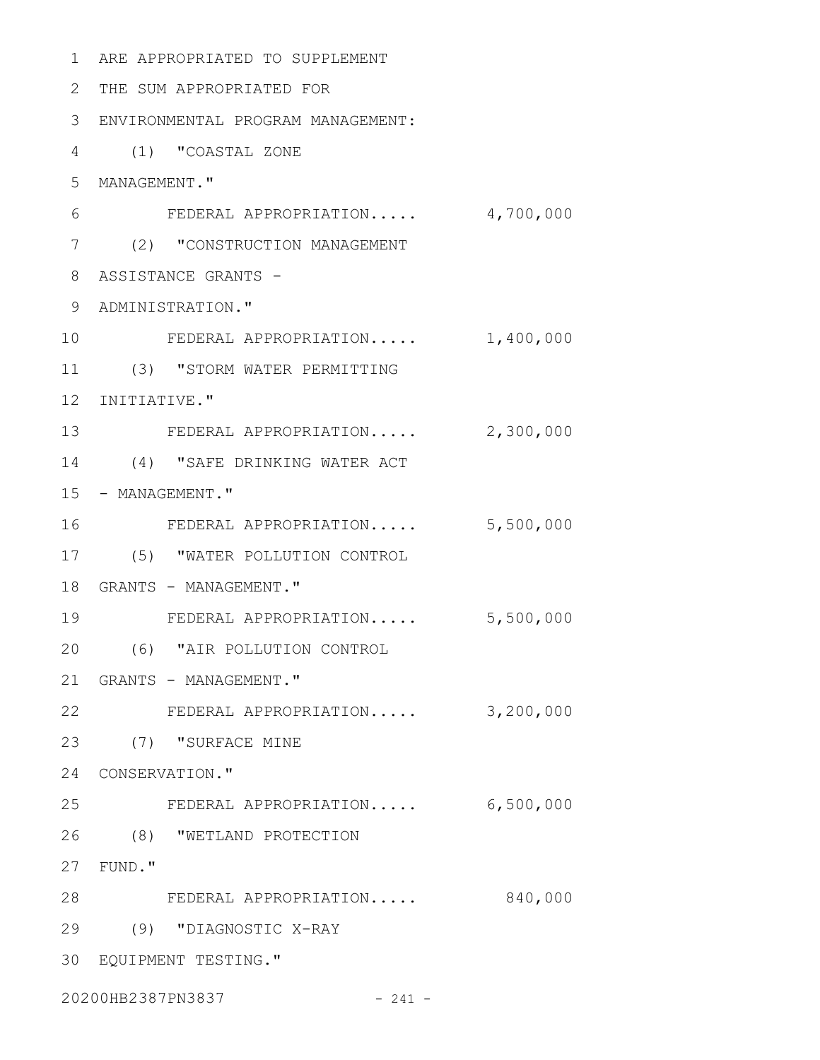ARE APPROPRIATED TO SUPPLEMENT 1 THE SUM APPROPRIATED FOR 2 ENVIRONMENTAL PROGRAM MANAGEMENT: 3 (1) "COASTAL ZONE 4 5 MANAGEMENT." FEDERAL APPROPRIATION..... 4,700,000 (2) "CONSTRUCTION MANAGEMENT 7 8 ASSISTANCE GRANTS -9 ADMINISTRATION." FEDERAL APPROPRIATION..... 1,400,000 (3) "STORM WATER PERMITTING 11 12 INITIATIVE." 13 FEDERAL APPROPRIATION..... 2,300,000 14 (4) "SAFE DRINKING WATER ACT 15 - MANAGEMENT." FEDERAL APPROPRIATION..... 5,500,000 (5) "WATER POLLUTION CONTROL 17 18 GRANTS - MANAGEMENT." FEDERAL APPROPRIATION..... 5,500,000 (6) "AIR POLLUTION CONTROL 20 21 GRANTS - MANAGEMENT." FEDERAL APPROPRIATION..... 3,200,000 22 (7) "SURFACE MINE 23 24 CONSERVATION." FEDERAL APPROPRIATION..... 6,500,000 (8) "WETLAND PROTECTION 26 FUND." 27 FEDERAL APPROPRIATION..... 840,000 28 (9) "DIAGNOSTIC X-RAY 29 EQUIPMENT TESTING." 3020200HB2387PN3837 - 241 -6 10 16 19 25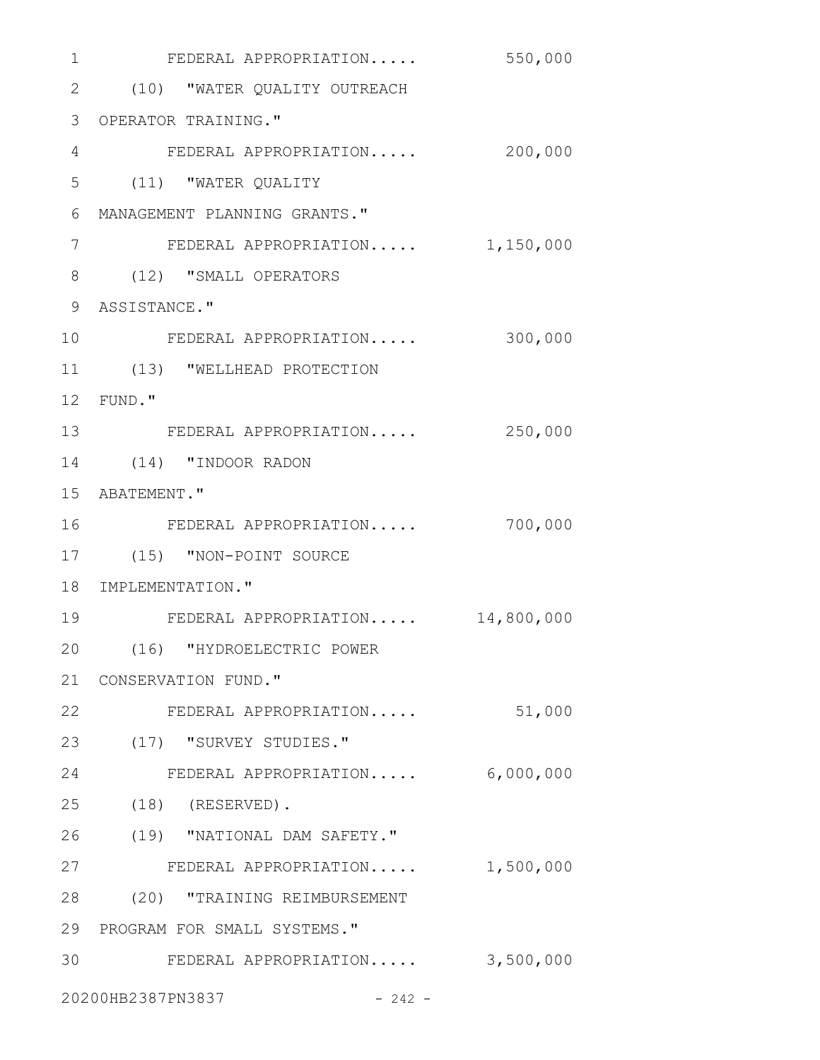| 1  | FEDERAL APPROPRIATION           | 550,000    |
|----|---------------------------------|------------|
|    | 2 (10) "WATER QUALITY OUTREACH  |            |
|    | 3 OPERATOR TRAINING."           |            |
| 4  | FEDERAL APPROPRIATION           | 200,000    |
| 5  | (11) "WATER QUALITY             |            |
| 6  | MANAGEMENT PLANNING GRANTS."    |            |
| 7  | FEDERAL APPROPRIATION 1,150,000 |            |
| 8  | (12) "SMALL OPERATORS           |            |
| 9  | ASSISTANCE."                    |            |
| 10 | FEDERAL APPROPRIATION           | 300,000    |
| 11 | (13) "WELLHEAD PROTECTION       |            |
|    | 12 FUND."                       |            |
| 13 | FEDERAL APPROPRIATION           | 250,000    |
| 14 | (14) "INDOOR RADON              |            |
|    | 15 ABATEMENT."                  |            |
| 16 | FEDERAL APPROPRIATION           | 700,000    |
| 17 | (15) "NON-POINT SOURCE          |            |
|    | 18 IMPLEMENTATION."             |            |
| 19 | FEDERAL APPROPRIATION           | 14,800,000 |
|    | 20 (16) "HYDROELECTRIC POWER    |            |
|    | 21 CONSERVATION FUND."          |            |
| 22 | FEDERAL APPROPRIATION           | 51,000     |
| 23 | (17) "SURVEY STUDIES."          |            |
| 24 | FEDERAL APPROPRIATION 6,000,000 |            |
|    | 25 (18) (RESERVED).             |            |
| 26 | (19) "NATIONAL DAM SAFETY."     |            |
| 27 | FEDERAL APPROPRIATION 1,500,000 |            |
|    | 28 (20) "TRAINING REIMBURSEMENT |            |
|    | 29 PROGRAM FOR SMALL SYSTEMS."  |            |
| 30 | FEDERAL APPROPRIATION 3,500,000 |            |
|    | 20200HB2387PN3837<br>$-242 -$   |            |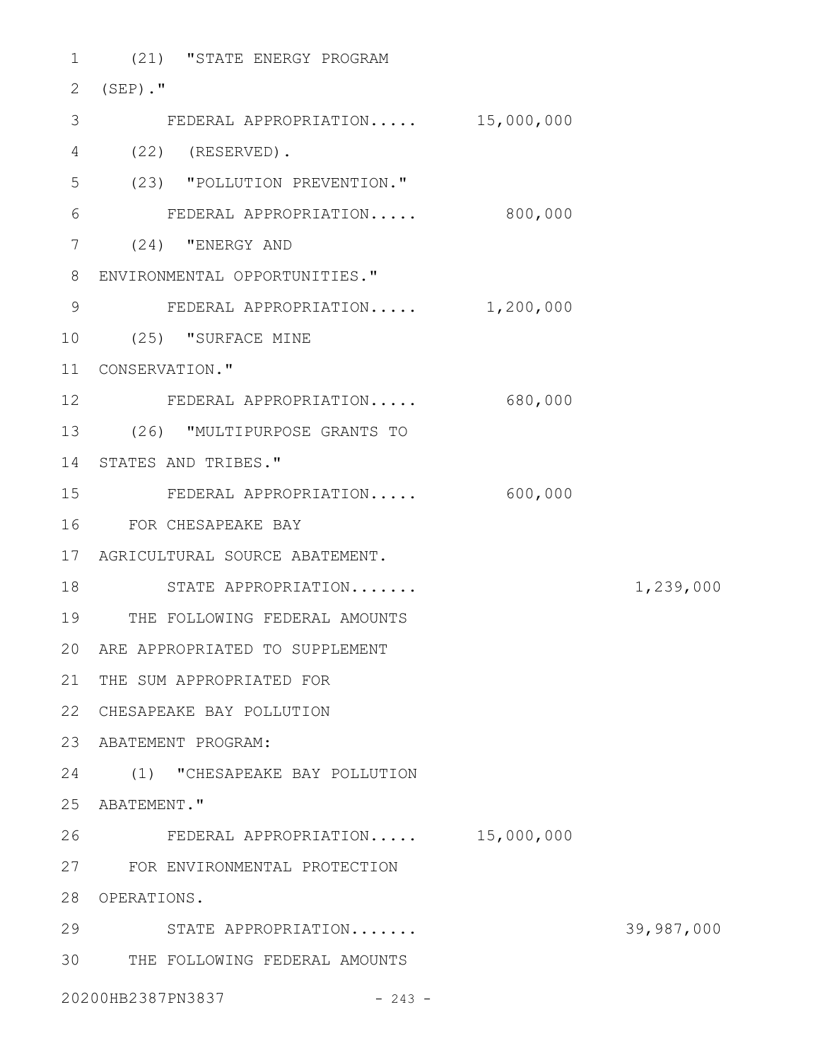| $\mathbf 1$ | (21) "STATE ENERGY PROGRAM        |           |            |
|-------------|-----------------------------------|-----------|------------|
| 2           | $(SEP)$ ."                        |           |            |
| 3           | FEDERAL APPROPRIATION 15,000,000  |           |            |
| 4           | $(22)$ (RESERVED).                |           |            |
| 5           | (23) "POLLUTION PREVENTION."      |           |            |
| 6           | FEDERAL APPROPRIATION             | 800,000   |            |
| 7           | (24) "ENERGY AND                  |           |            |
| 8           | ENVIRONMENTAL OPPORTUNITIES."     |           |            |
| 9           | FEDERAL APPROPRIATION             | 1,200,000 |            |
| 10          | (25) "SURFACE MINE                |           |            |
| 11          | CONSERVATION."                    |           |            |
| 12          | FEDERAL APPROPRIATION             | 680,000   |            |
| 13          | (26) "MULTIPURPOSE GRANTS TO      |           |            |
| 14          | STATES AND TRIBES."               |           |            |
| 15          | FEDERAL APPROPRIATION             | 600,000   |            |
| 16          | FOR CHESAPEAKE BAY                |           |            |
| 17          | AGRICULTURAL SOURCE ABATEMENT.    |           |            |
| 18          | STATE APPROPRIATION               |           | 1,239,000  |
| 19          | THE FOLLOWING FEDERAL AMOUNTS     |           |            |
|             | 20 ARE APPROPRIATED TO SUPPLEMENT |           |            |
| 21          | THE SUM APPROPRIATED FOR          |           |            |
| 22          | CHESAPEAKE BAY POLLUTION          |           |            |
| 23          | ABATEMENT PROGRAM:                |           |            |
|             | 24 (1) "CHESAPEAKE BAY POLLUTION  |           |            |
| 25          | ABATEMENT."                       |           |            |
| 26          | FEDERAL APPROPRIATION 15,000,000  |           |            |
| 27          | FOR ENVIRONMENTAL PROTECTION      |           |            |
| 28          | OPERATIONS.                       |           |            |
| 29          | STATE APPROPRIATION               |           | 39,987,000 |
| 30          | THE FOLLOWING FEDERAL AMOUNTS     |           |            |
|             | 20200HB2387PN3837<br>$-243 -$     |           |            |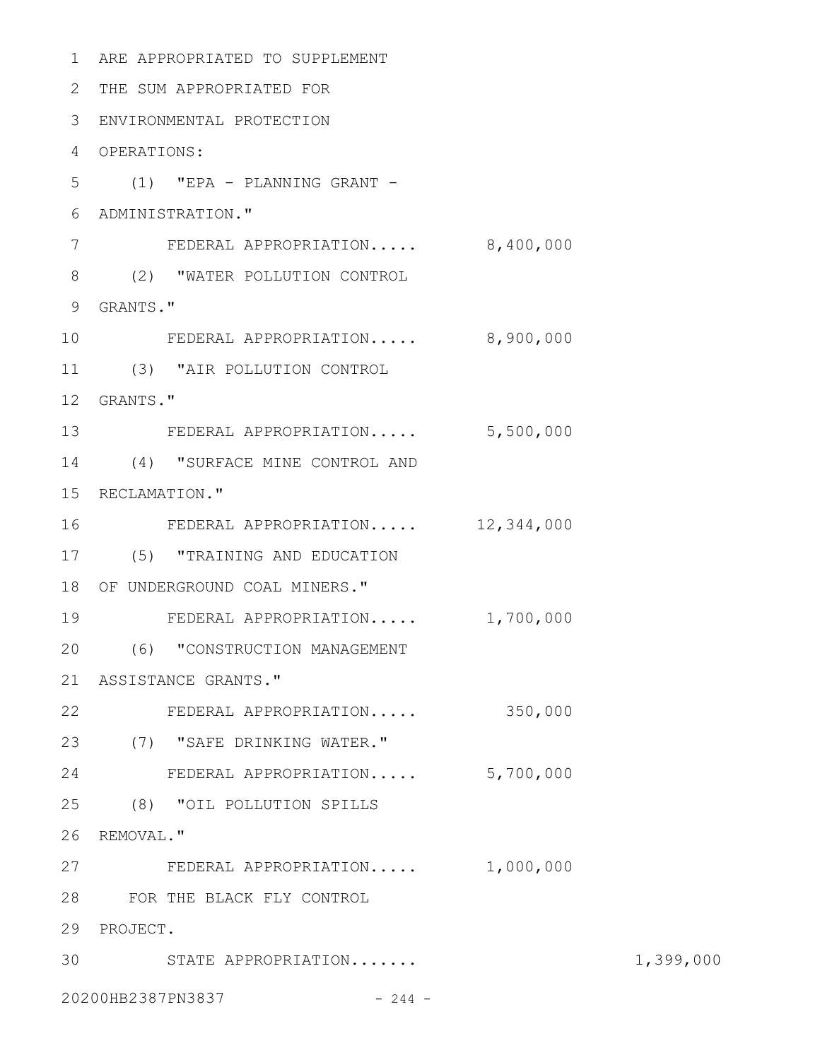ARE APPROPRIATED TO SUPPLEMENT 1 THE SUM APPROPRIATED FOR 2 ENVIRONMENTAL PROTECTION 3 OPERATIONS: 4 (1) "EPA - PLANNING GRANT - 5 ADMINISTRATION." 6 FEDERAL APPROPRIATION..... 8,400,000 (2) "WATER POLLUTION CONTROL 8 9 GRANTS." FEDERAL APPROPRIATION..... 8,900,000 (3) "AIR POLLUTION CONTROL 11 12 GRANTS." 13 FEDERAL APPROPRIATION..... 5,500,000 14 (4) "SURFACE MINE CONTROL AND 15 RECLAMATION." FEDERAL APPROPRIATION..... 12,344,000 (5) "TRAINING AND EDUCATION 17 18 OF UNDERGROUND COAL MINERS." FEDERAL APPROPRIATION..... 1,700,000 (6) "CONSTRUCTION MANAGEMENT 20 ASSISTANCE GRANTS." 21 FEDERAL APPROPRIATION..... 350,000 22 (7) "SAFE DRINKING WATER." 23 FEDERAL APPROPRIATION..... 5,700,000 24 (8) "OIL POLLUTION SPILLS 26 REMOVAL." FEDERAL APPROPRIATION..... 1,000,000 FOR THE BLACK FLY CONTROL 28 29 PROJECT. STATE APPROPRIATION....... 1,399,000 3020200HB2387PN3837 - 244 -7 10 16 19 25 27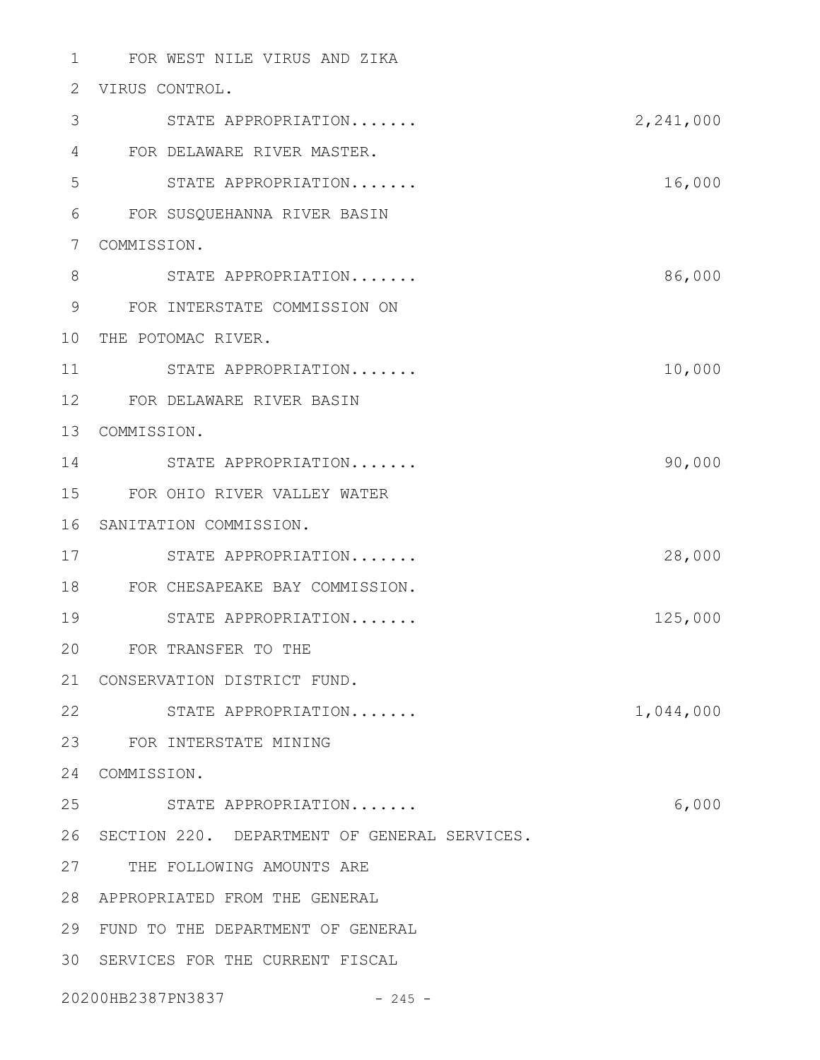FOR WEST NILE VIRUS AND ZIKA 1 2 VIRUS CONTROL. STATE APPROPRIATION....... 2,241,000 FOR DELAWARE RIVER MASTER. 4 STATE APPROPRIATION....... 16,000 FOR SUSQUEHANNA RIVER BASIN 6 COMMISSION. 7 STATE APPROPRIATION....... 86,000 FOR INTERSTATE COMMISSION ON 9 10 THE POTOMAC RIVER. STATE APPROPRIATION....... 10,000 FOR DELAWARE RIVER BASIN 12 13 COMMISSION. 14 STATE APPROPRIATION....... 90,000 FOR OHIO RIVER VALLEY WATER 15 16 SANITATION COMMISSION. STATE APPROPRIATION....... 28,000 FOR CHESAPEAKE BAY COMMISSION. 18 STATE APPROPRIATION....... 125,000 FOR TRANSFER TO THE 20 21 CONSERVATION DISTRICT FUND. 22 STATE APPROPRIATION....... 1,044,000 FOR INTERSTATE MINING 23 24 COMMISSION. STATE APPROPRIATION....... 6,000 26 SECTION 220. DEPARTMENT OF GENERAL SERVICES. 27 THE FOLLOWING AMOUNTS ARE APPROPRIATED FROM THE GENERAL 28 FUND TO THE DEPARTMENT OF GENERAL 29 30 SERVICES FOR THE CURRENT FISCAL 20200HB2387PN3837 - 245 -3 5 8 11 17 19 25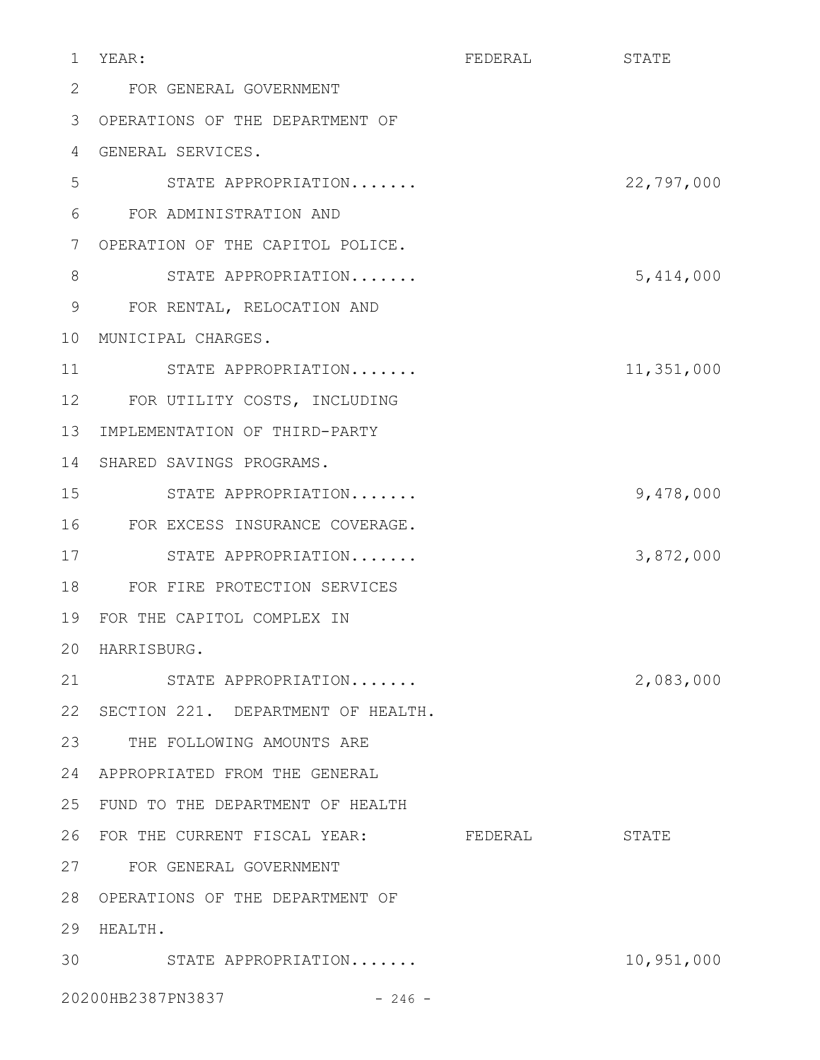| 1  | YEAR:                                | FEDERAL | STATE      |
|----|--------------------------------------|---------|------------|
| 2  | FOR GENERAL GOVERNMENT               |         |            |
| 3  | OPERATIONS OF THE DEPARTMENT OF      |         |            |
| 4  | GENERAL SERVICES.                    |         |            |
| 5  | STATE APPROPRIATION                  |         | 22,797,000 |
| 6  | FOR ADMINISTRATION AND               |         |            |
| 7  | OPERATION OF THE CAPITOL POLICE.     |         |            |
| 8  | STATE APPROPRIATION                  |         | 5,414,000  |
| 9  | FOR RENTAL, RELOCATION AND           |         |            |
| 10 | MUNICIPAL CHARGES.                   |         |            |
| 11 | STATE APPROPRIATION                  |         | 11,351,000 |
| 12 | FOR UTILITY COSTS, INCLUDING         |         |            |
| 13 | IMPLEMENTATION OF THIRD-PARTY        |         |            |
| 14 | SHARED SAVINGS PROGRAMS.             |         |            |
| 15 | STATE APPROPRIATION                  |         | 9,478,000  |
| 16 | FOR EXCESS INSURANCE COVERAGE.       |         |            |
| 17 | STATE APPROPRIATION                  |         | 3,872,000  |
| 18 | FOR FIRE PROTECTION SERVICES         |         |            |
| 19 | FOR THE CAPITOL COMPLEX IN           |         |            |
|    | 20 HARRISBURG.                       |         |            |
| 21 | STATE APPROPRIATION                  |         | 2,083,000  |
| 22 | SECTION 221. DEPARTMENT OF HEALTH.   |         |            |
| 23 | THE FOLLOWING AMOUNTS ARE            |         |            |
| 24 | APPROPRIATED FROM THE GENERAL        |         |            |
| 25 | FUND TO THE DEPARTMENT OF HEALTH     |         |            |
| 26 | FOR THE CURRENT FISCAL YEAR: FEDERAL |         | STATE      |
|    | 27 FOR GENERAL GOVERNMENT            |         |            |
| 28 | OPERATIONS OF THE DEPARTMENT OF      |         |            |
| 29 | HEALTH.                              |         |            |
| 30 | STATE APPROPRIATION                  |         | 10,951,000 |
|    | 20200HB2387PN3837<br>$-246 -$        |         |            |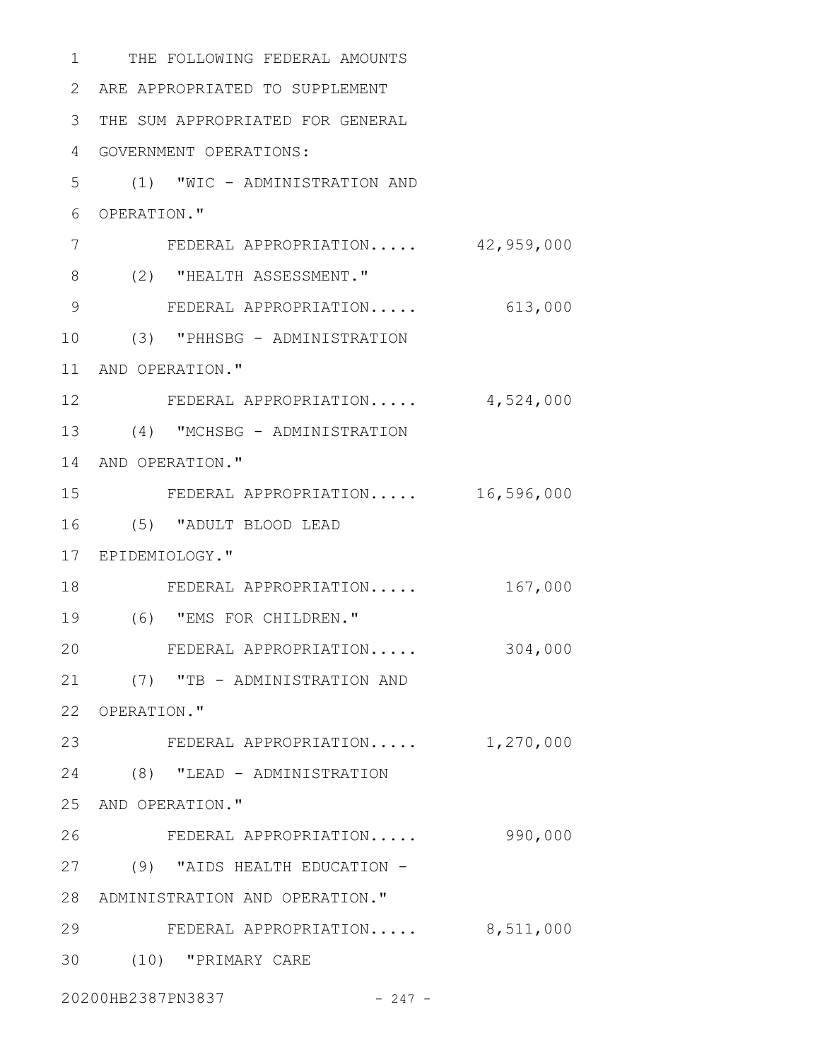| 1  | THE FOLLOWING FEDERAL AMOUNTS    |            |
|----|----------------------------------|------------|
| 2  | ARE APPROPRIATED TO SUPPLEMENT   |            |
| 3  | THE SUM APPROPRIATED FOR GENERAL |            |
| 4  | GOVERNMENT OPERATIONS:           |            |
| 5  | (1) "WIC - ADMINISTRATION AND    |            |
| 6  | OPERATION."                      |            |
| 7  | FEDERAL APPROPRIATION 42,959,000 |            |
| 8  | (2) "HEALTH ASSESSMENT."         |            |
| 9  | FEDERAL APPROPRIATION            | 613,000    |
| 10 | (3) "PHHSBG - ADMINISTRATION     |            |
| 11 | AND OPERATION."                  |            |
| 12 | FEDERAL APPROPRIATION            | 4,524,000  |
| 13 | (4) "MCHSBG - ADMINISTRATION     |            |
|    | 14 AND OPERATION."               |            |
| 15 | FEDERAL APPROPRIATION            | 16,596,000 |
| 16 | (5) "ADULT BLOOD LEAD            |            |
|    | 17 EPIDEMIOLOGY."                |            |
| 18 | FEDERAL APPROPRIATION            | 167,000    |
| 19 | (6) "EMS FOR CHILDREN."          |            |
| 20 | FEDERAL APPROPRIATION            | 304,000    |
| 21 | (7) "TB - ADMINISTRATION AND     |            |
|    | 22 OPERATION."                   |            |
| 23 | FEDERAL APPROPRIATION 1,270,000  |            |
| 24 | (8) "LEAD - ADMINISTRATION       |            |
|    | 25 AND OPERATION."               |            |
| 26 | FEDERAL APPROPRIATION            | 990,000    |
| 27 | (9) "AIDS HEALTH EDUCATION -     |            |
| 28 | ADMINISTRATION AND OPERATION."   |            |
| 29 | FEDERAL APPROPRIATION 8,511,000  |            |
| 30 | (10) "PRIMARY CARE               |            |
|    |                                  |            |

20200HB2387PN3837 - 247 -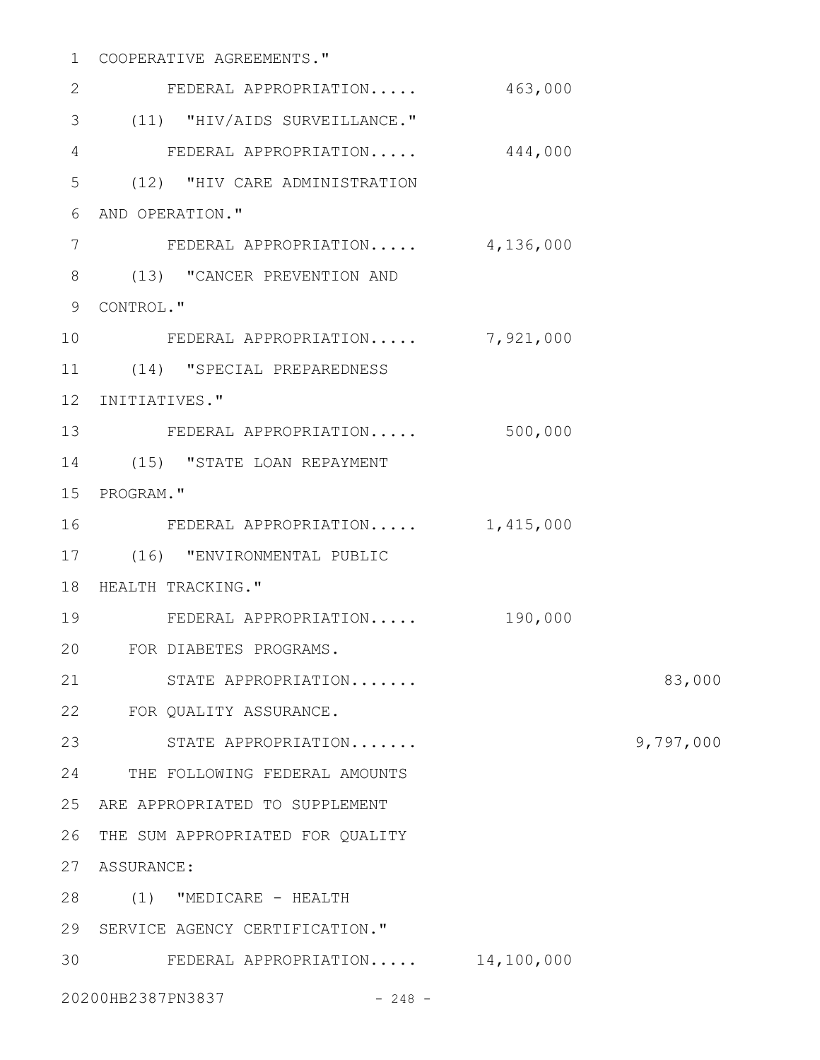# COOPERATIVE AGREEMENTS." 1

| $\mathbf{2}$    | FEDERAL APPROPRIATION              | 463,000 |           |
|-----------------|------------------------------------|---------|-----------|
| 3               | (11) "HIV/AIDS SURVEILLANCE."      |         |           |
| $\overline{4}$  | FEDERAL APPROPRIATION              | 444,000 |           |
| 5               | (12) "HIV CARE ADMINISTRATION      |         |           |
| 6               | AND OPERATION."                    |         |           |
| 7               | FEDERAL APPROPRIATION 4,136,000    |         |           |
| 8               | (13) "CANCER PREVENTION AND        |         |           |
| 9               | CONTROL."                          |         |           |
| 10 <sub>o</sub> | FEDERAL APPROPRIATION 7,921,000    |         |           |
| 11              | (14) "SPECIAL PREPAREDNESS         |         |           |
| 12              | INITIATIVES."                      |         |           |
|                 | 13 FEDERAL APPROPRIATION           | 500,000 |           |
| 14              | (15) "STATE LOAN REPAYMENT         |         |           |
| 15              | PROGRAM."                          |         |           |
| 16              | FEDERAL APPROPRIATION  1,415,000   |         |           |
| 17              | (16) "ENVIRONMENTAL PUBLIC         |         |           |
| 18              | HEALTH TRACKING."                  |         |           |
| 19              | FEDERAL APPROPRIATION              | 190,000 |           |
| 20              | FOR DIABETES PROGRAMS.             |         |           |
| 21              | STATE APPROPRIATION                |         | 83,000    |
|                 | 22 FOR QUALITY ASSURANCE.          |         |           |
| 23              | STATE APPROPRIATION                |         | 9,797,000 |
| 24              | THE FOLLOWING FEDERAL AMOUNTS      |         |           |
| 25              | ARE APPROPRIATED TO SUPPLEMENT     |         |           |
| 26              | THE SUM APPROPRIATED FOR QUALITY   |         |           |
| 27              | ASSURANCE:                         |         |           |
| 28              | (1) "MEDICARE - HEALTH             |         |           |
| 29              | SERVICE AGENCY CERTIFICATION."     |         |           |
| 30              | FEDERAL APPROPRIATION $14,100,000$ |         |           |
|                 | 20200HB2387PN3837<br>$-248 -$      |         |           |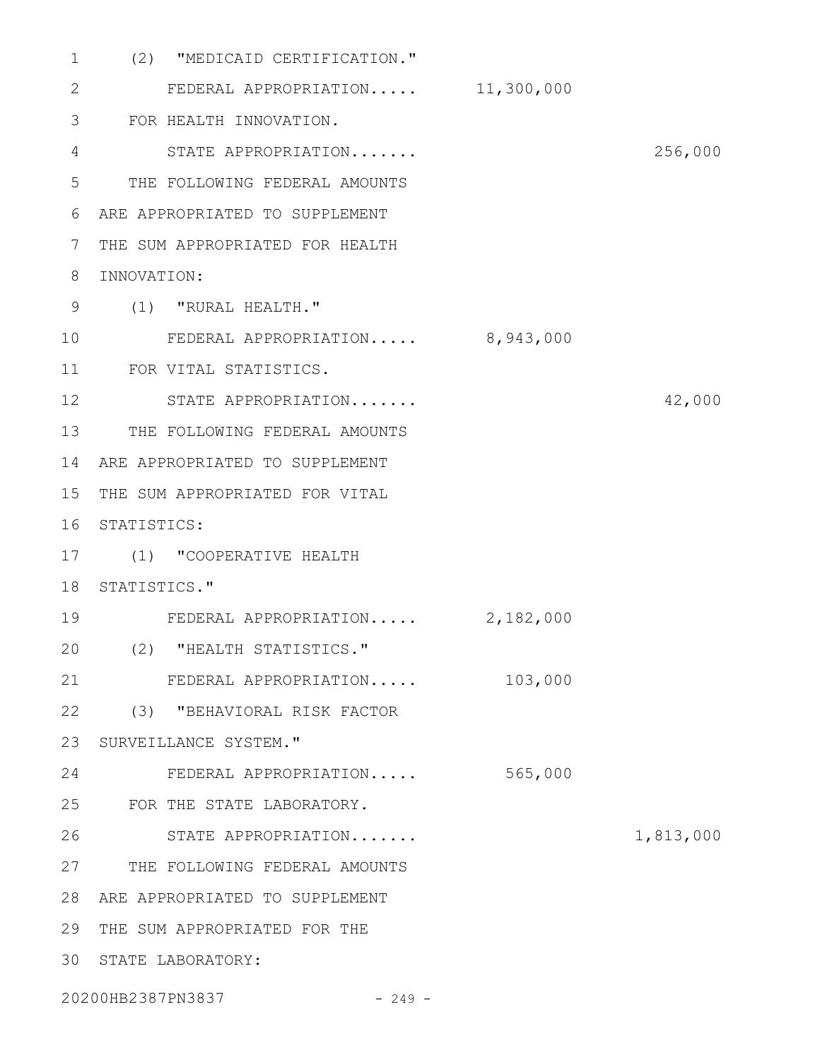| $\mathbf 1$ | "MEDICAID CERTIFICATION."<br>(2) |           |           |
|-------------|----------------------------------|-----------|-----------|
| 2           | FEDERAL APPROPRIATION 11,300,000 |           |           |
| 3           | FOR HEALTH INNOVATION.           |           |           |
| 4           | STATE APPROPRIATION              |           | 256,000   |
| 5           | THE FOLLOWING FEDERAL AMOUNTS    |           |           |
| 6           | ARE APPROPRIATED TO SUPPLEMENT   |           |           |
| 7           | THE SUM APPROPRIATED FOR HEALTH  |           |           |
| 8           | INNOVATION:                      |           |           |
| 9           | (1) "RURAL HEALTH."              |           |           |
| 10          | FEDERAL APPROPRIATION 8,943,000  |           |           |
| 11          | FOR VITAL STATISTICS.            |           |           |
| 12          | STATE APPROPRIATION              |           | 42,000    |
| 13          | THE FOLLOWING FEDERAL AMOUNTS    |           |           |
| 14          | ARE APPROPRIATED TO SUPPLEMENT   |           |           |
| 15          | THE SUM APPROPRIATED FOR VITAL   |           |           |
| 16          | STATISTICS:                      |           |           |
| 17          | (1) "COOPERATIVE HEALTH          |           |           |
| 18          | STATISTICS."                     |           |           |
| 19          | FEDERAL APPROPRIATION            | 2,182,000 |           |
| 20          | (2) "HEALTH STATISTICS."         |           |           |
| 21          | FEDERAL APPROPRIATION            | 103,000   |           |
| 22          | (3) "BEHAVIORAL RISK FACTOR      |           |           |
| 23          | SURVEILLANCE SYSTEM."            |           |           |
| 24          | FEDERAL APPROPRIATION            | 565,000   |           |
| 25          | FOR THE STATE LABORATORY.        |           |           |
| 26          | STATE APPROPRIATION              |           | 1,813,000 |
| 27          | THE FOLLOWING FEDERAL AMOUNTS    |           |           |
| 28          | ARE APPROPRIATED TO SUPPLEMENT   |           |           |
| 29          | THE SUM APPROPRIATED FOR THE     |           |           |
| 30          | STATE LABORATORY:                |           |           |
|             | 20200HB2387PN3837<br>$-249 -$    |           |           |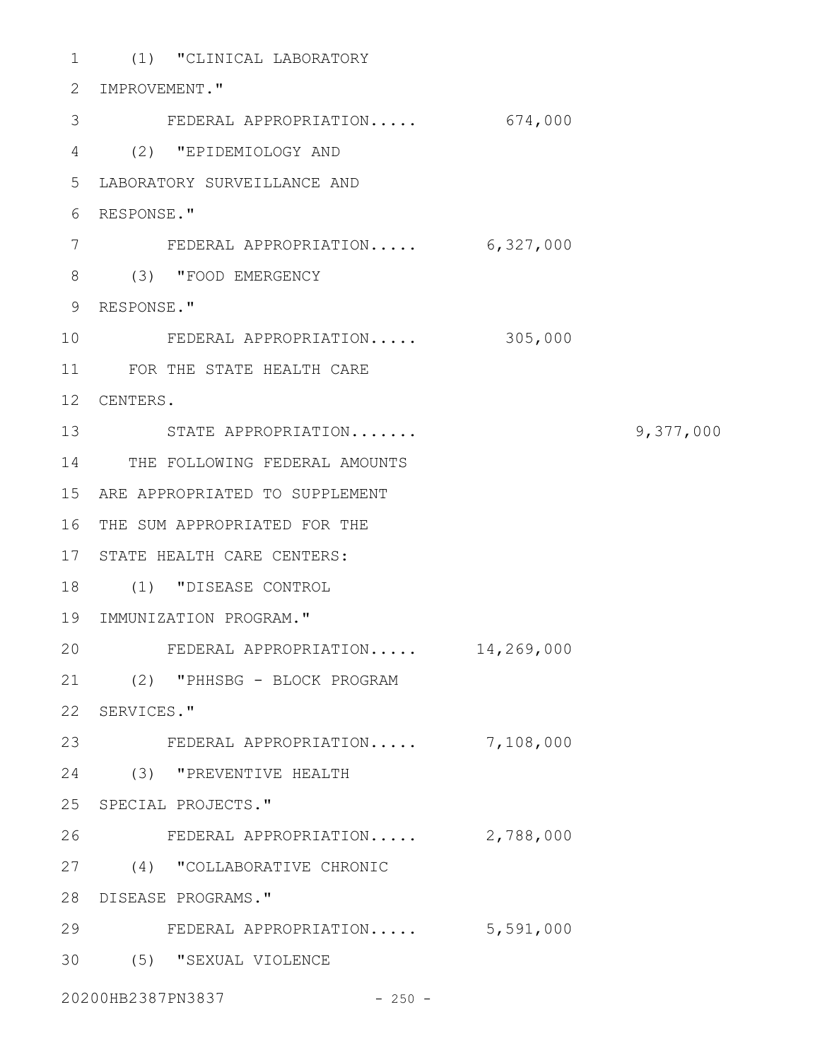(1) "CLINICAL LABORATORY 1 2 IMPROVEMENT." FEDERAL APPROPRIATION..... 674,000 (2) "EPIDEMIOLOGY AND 4 LABORATORY SURVEILLANCE AND 5 RESPONSE." 6 FEDERAL APPROPRIATION..... 6,327,000 (3) "FOOD EMERGENCY 8 RESPONSE." 9 FEDERAL APPROPRIATION..... 305,000 11 FOR THE STATE HEALTH CARE 12 CENTERS. STATE APPROPRIATION....... 9,377,000 13 14 THE FOLLOWING FEDERAL AMOUNTS ARE APPROPRIATED TO SUPPLEMENT 15 16 THE SUM APPROPRIATED FOR THE 17 STATE HEALTH CARE CENTERS: (1) "DISEASE CONTROL 18 19 IMMUNIZATION PROGRAM." FEDERAL APPROPRIATION..... 14,269,000 (2) "PHHSBG - BLOCK PROGRAM 21 22 SERVICES." 23 FEDERAL APPROPRIATION..... 7,108,000 (3) "PREVENTIVE HEALTH 24 25 SPECIAL PROJECTS." FEDERAL APPROPRIATION..... 2,788,000 (4) "COLLABORATIVE CHRONIC 27 DISEASE PROGRAMS." 28 FEDERAL APPROPRIATION..... 5,591,000 29 (5) "SEXUAL VIOLENCE 3020200HB2387PN3837 - 250 -3 7 10 20 26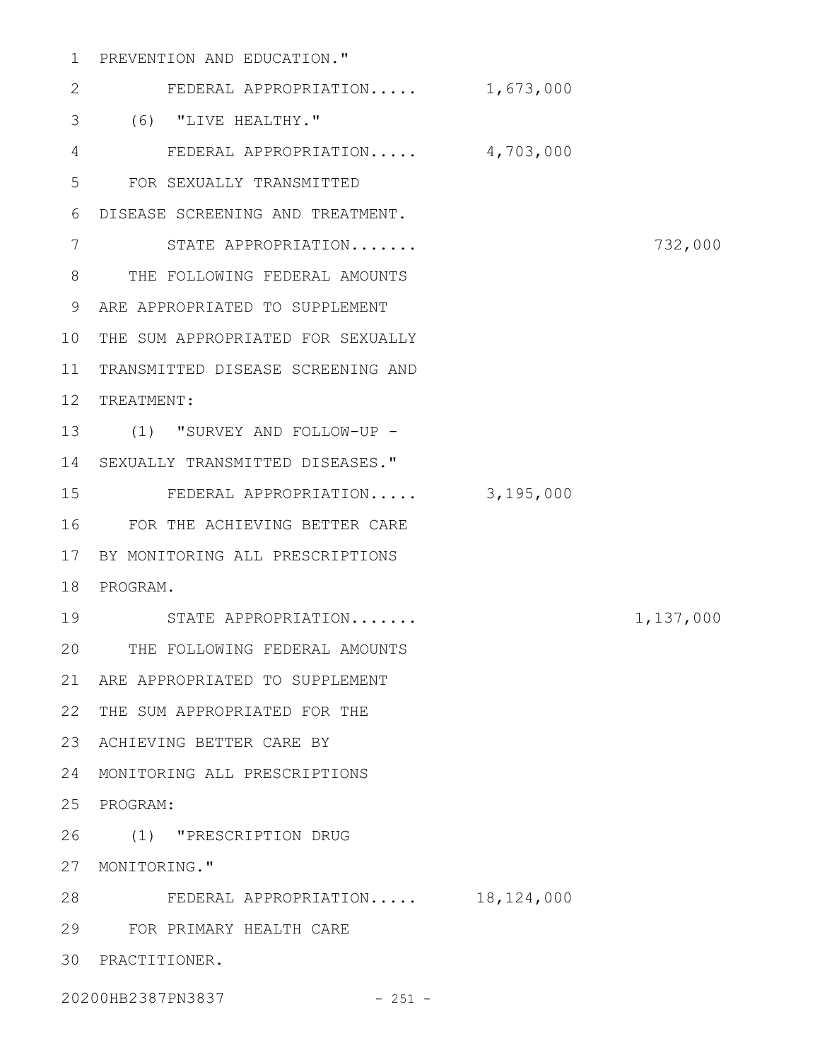# PREVENTION AND EDUCATION." 1

| $\mathbf{2}$   | FEDERAL APPROPRIATION $1,673,000$ |           |
|----------------|-----------------------------------|-----------|
| 3              | (6) "LIVE HEALTHY."               |           |
| $\overline{4}$ | FEDERAL APPROPRIATION 4,703,000   |           |
| 5              | FOR SEXUALLY TRANSMITTED          |           |
| 6              | DISEASE SCREENING AND TREATMENT.  |           |
| 7              | STATE APPROPRIATION               | 732,000   |
| 8              | THE FOLLOWING FEDERAL AMOUNTS     |           |
| 9              | ARE APPROPRIATED TO SUPPLEMENT    |           |
| 10             | THE SUM APPROPRIATED FOR SEXUALLY |           |
| 11             | TRANSMITTED DISEASE SCREENING AND |           |
| 12             | TREATMENT:                        |           |
| 13             | (1) "SURVEY AND FOLLOW-UP -       |           |
| 14             | SEXUALLY TRANSMITTED DISEASES."   |           |
| 15             | FEDERAL APPROPRIATION 3,195,000   |           |
| 16             | FOR THE ACHIEVING BETTER CARE     |           |
| 17             | BY MONITORING ALL PRESCRIPTIONS   |           |
| 18             | PROGRAM.                          |           |
| 19             | STATE APPROPRIATION               | 1,137,000 |
| 20             | THE FOLLOWING FEDERAL AMOUNTS     |           |
| 21             | ARE APPROPRIATED TO SUPPLEMENT    |           |
| 22             | THE SUM APPROPRIATED FOR THE      |           |
| 23             | ACHIEVING BETTER CARE BY          |           |
| 24             | MONITORING ALL PRESCRIPTIONS      |           |
| 25             | PROGRAM:                          |           |
| 26             | (1) "PRESCRIPTION DRUG            |           |
| 27             | MONITORING."                      |           |
| 28             | FEDERAL APPROPRIATION 18,124,000  |           |
| 29             | FOR PRIMARY HEALTH CARE           |           |
| 30             | PRACTITIONER.                     |           |
|                | 20200HB2387PN3837<br>$-251 -$     |           |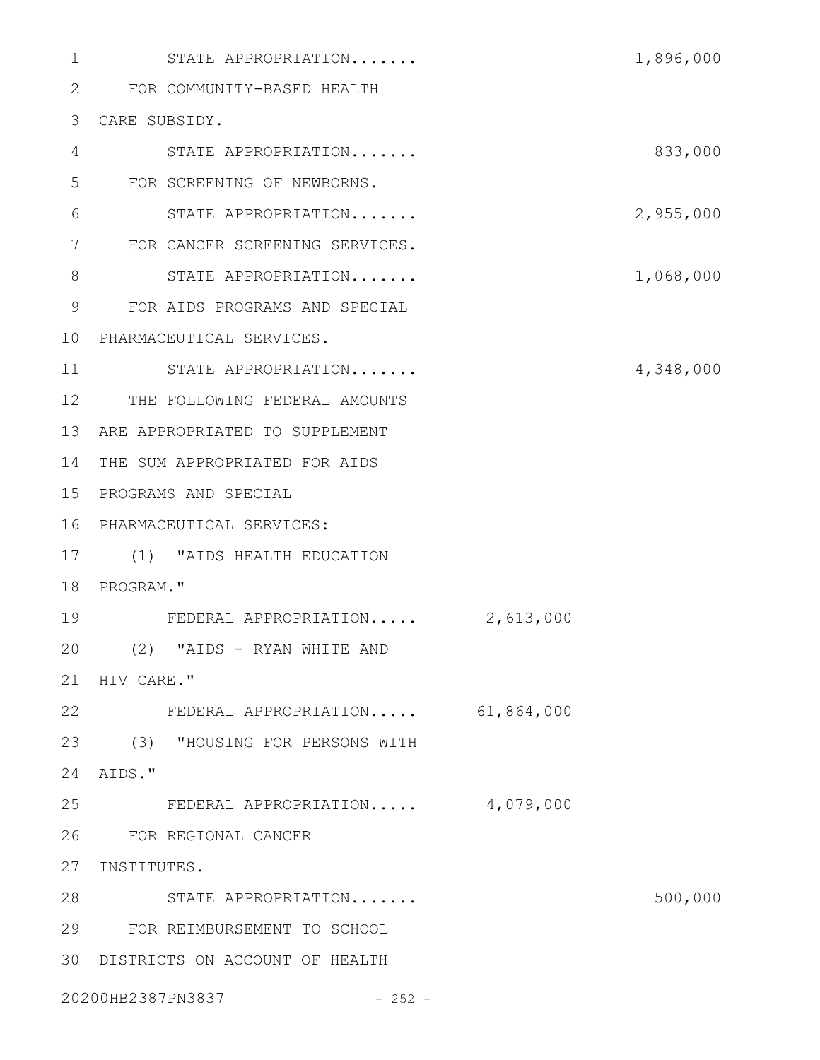| $\mathbf{1}$ | STATE APPROPRIATION                |           | 1,896,000 |
|--------------|------------------------------------|-----------|-----------|
| 2            | FOR COMMUNITY-BASED HEALTH         |           |           |
| 3            | CARE SUBSIDY.                      |           |           |
| 4            | STATE APPROPRIATION                |           | 833,000   |
| 5            | FOR SCREENING OF NEWBORNS.         |           |           |
| 6            | STATE APPROPRIATION                |           | 2,955,000 |
| 7            | FOR CANCER SCREENING SERVICES.     |           |           |
| 8            | STATE APPROPRIATION                |           | 1,068,000 |
| 9            | FOR AIDS PROGRAMS AND SPECIAL      |           |           |
| 10           | PHARMACEUTICAL SERVICES.           |           |           |
| 11           | STATE APPROPRIATION                |           | 4,348,000 |
| 12           | THE FOLLOWING FEDERAL AMOUNTS      |           |           |
| 13           | ARE APPROPRIATED TO SUPPLEMENT     |           |           |
| 14           | THE SUM APPROPRIATED FOR AIDS      |           |           |
| 15           | PROGRAMS AND SPECIAL               |           |           |
| 16           | PHARMACEUTICAL SERVICES:           |           |           |
| 17           | (1) "AIDS HEALTH EDUCATION         |           |           |
| 18           | PROGRAM."                          |           |           |
| 19           | FEDERAL APPROPRIATION              | 2,613,000 |           |
| 20           | (2) "AIDS - RYAN WHITE AND         |           |           |
|              | 21 HIV CARE."                      |           |           |
| 22           | FEDERAL APPROPRIATION 61,864,000   |           |           |
|              | 23 (3) "HOUSING FOR PERSONS WITH   |           |           |
| 24           | AIDS."                             |           |           |
|              | 25 FEDERAL APPROPRIATION 4,079,000 |           |           |
| 26           | FOR REGIONAL CANCER                |           |           |
| 27           | INSTITUTES.                        |           |           |
|              | 28 STATE APPROPRIATION             |           | 500,000   |
| 29           | FOR REIMBURSEMENT TO SCHOOL        |           |           |
| 30           | DISTRICTS ON ACCOUNT OF HEALTH     |           |           |
|              | 20200HB2387PN3837<br>$-252 -$      |           |           |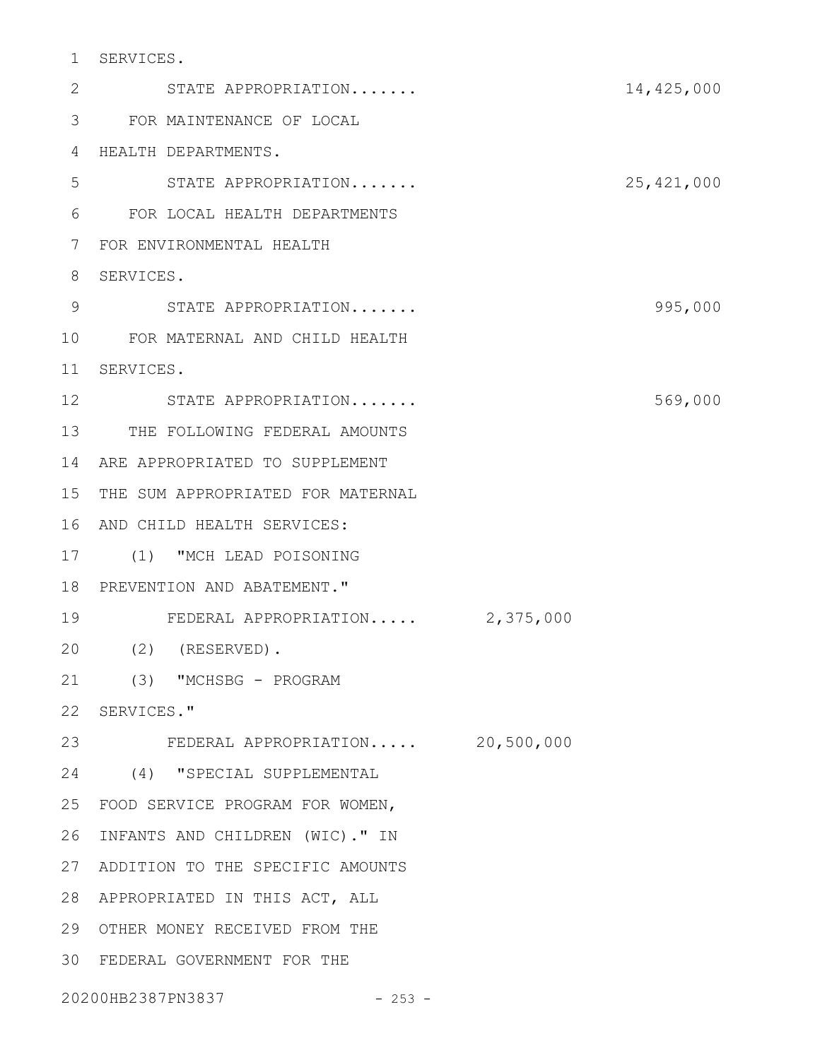SERVICES. 1

STATE APPROPRIATION....... 14,425,000 FOR MAINTENANCE OF LOCAL 3 HEALTH DEPARTMENTS. 4 STATE APPROPRIATION....... 25,421,000 5 FOR LOCAL HEALTH DEPARTMENTS 6 FOR ENVIRONMENTAL HEALTH 7 8 SERVICES. 9
STATE APPROPRIATION.......
995,000 FOR MATERNAL AND CHILD HEALTH 10 SERVICES. 11 12 STATE APPROPRIATION....... 569,000 13 THE FOLLOWING FEDERAL AMOUNTS ARE APPROPRIATED TO SUPPLEMENT 14 15 THE SUM APPROPRIATED FOR MATERNAL 16 AND CHILD HEALTH SERVICES: (1) "MCH LEAD POISONING 17 18 PREVENTION AND ABATEMENT." FEDERAL APPROPRIATION..... 2,375,000 19 (2) (RESERVED). 20 21 (3) "MCHSBG - PROGRAM 22 SERVICES." FEDERAL APPROPRIATION..... 20,500,000 23 (4) "SPECIAL SUPPLEMENTAL 24 FOOD SERVICE PROGRAM FOR WOMEN, 25 26 INFANTS AND CHILDREN (WIC)." IN ADDITION TO THE SPECIFIC AMOUNTS 27 APPROPRIATED IN THIS ACT, ALL 28 29 OTHER MONEY RECEIVED FROM THE FEDERAL GOVERNMENT FOR THE 302

20200HB2387PN3837 - 253 -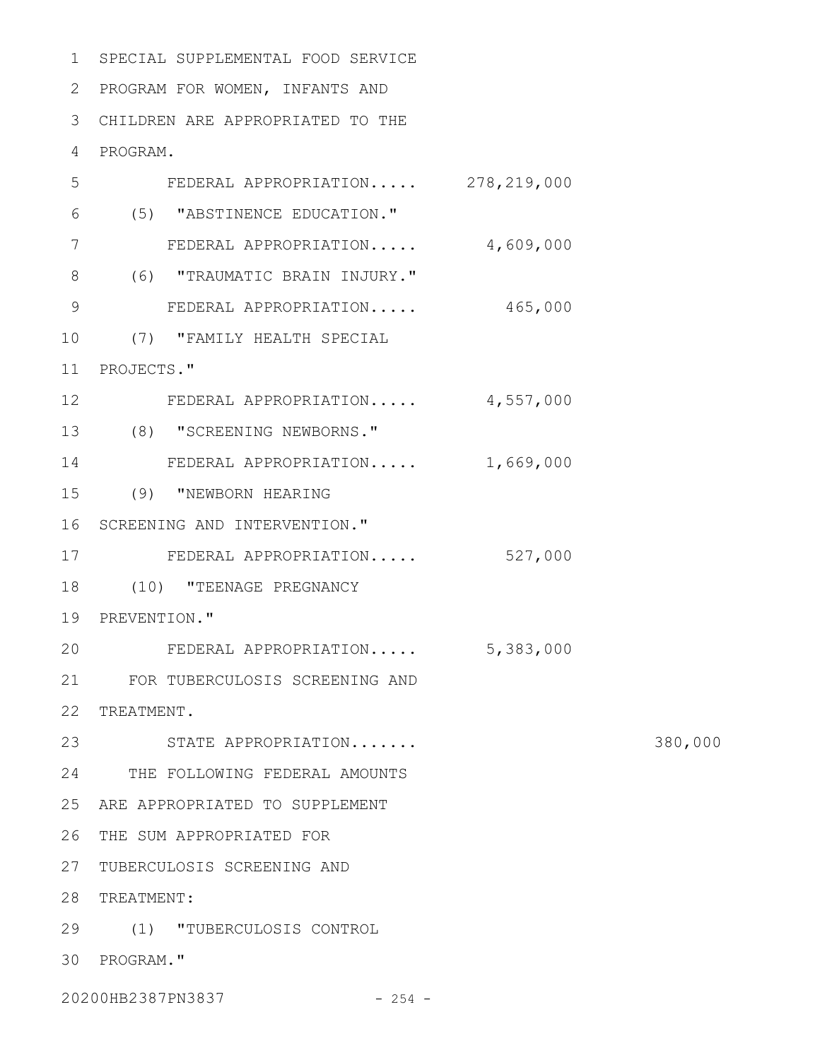SPECIAL SUPPLEMENTAL FOOD SERVICE 1

2 PROGRAM FOR WOMEN, INFANTS AND

CHILDREN ARE APPROPRIATED TO THE 3

PROGRAM. 4

| 5       | FEDERAL APPROPRIATION $278,219,000$ |           |
|---------|-------------------------------------|-----------|
| 6       | (5) "ABSTINENCE EDUCATION."         |           |
| 7       | FEDERAL APPROPRIATION 4,609,000     |           |
| 8       | (6) "TRAUMATIC BRAIN INJURY."       |           |
| 9       | FEDERAL APPROPRIATION 465,000       |           |
| 10      | (7) "FAMILY HEALTH SPECIAL          |           |
| 11      | PROJECTS."                          |           |
| $12 \,$ | FEDERAL APPROPRIATION 4,557,000     |           |
|         | 13 (8) "SCREENING NEWBORNS."        |           |
| 14      | FEDERAL APPROPRIATION 1,669,000     |           |
|         | 15 (9) "NEWBORN HEARING             |           |
|         | 16 SCREENING AND INTERVENTION."     |           |
| 17      | FEDERAL APPROPRIATION               | 527,000   |
| 18      | (10) "TEENAGE PREGNANCY             |           |
|         | 19 PREVENTION."                     |           |
| 20      | FEDERAL APPROPRIATION               | 5,383,000 |
|         | 21 FOR TUBERCULOSIS SCREENING AND   |           |
|         | 22 TREATMENT.                       |           |
| 23      | STATE APPROPRIATION                 |           |
| 24      | THE FOLLOWING FEDERAL AMOUNTS       |           |
| 25      | ARE APPROPRIATED TO SUPPLEMENT      |           |
| 26      | THE SUM APPROPRIATED FOR            |           |
| 27      | TUBERCULOSIS SCREENING AND          |           |
| 28      | TREATMENT:                          |           |
| 29      | (1) "TUBERCULOSIS CONTROL           |           |
|         | 30 PROGRAM."                        |           |
|         |                                     |           |

20200HB2387PN3837 - 254 -

380,000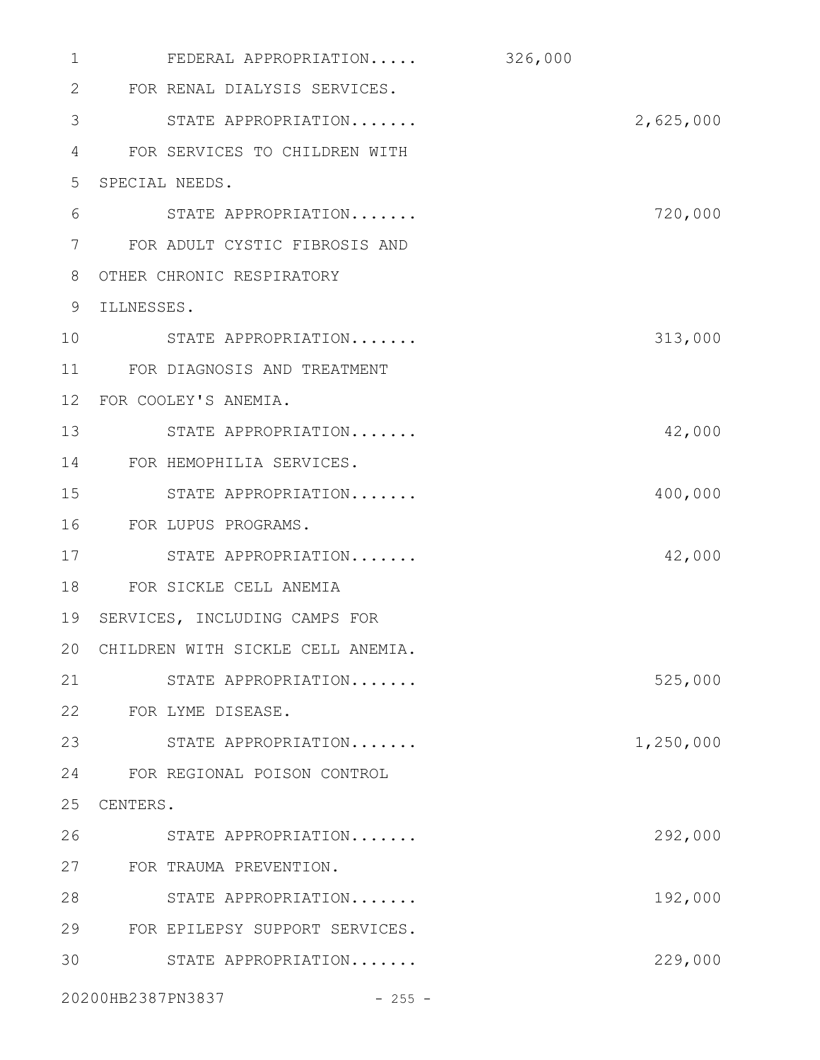| 1  | FEDERAL APPROPRIATION                | 326,000   |
|----|--------------------------------------|-----------|
| 2  | FOR RENAL DIALYSIS SERVICES.         |           |
| 3  | STATE APPROPRIATION                  | 2,625,000 |
| 4  | FOR SERVICES TO CHILDREN WITH        |           |
| 5  | SPECIAL NEEDS.                       |           |
| 6  | STATE APPROPRIATION                  | 720,000   |
| 7  | FOR ADULT CYSTIC FIBROSIS AND        |           |
| 8  | OTHER CHRONIC RESPIRATORY            |           |
| 9  | ILLNESSES.                           |           |
| 10 | STATE APPROPRIATION                  | 313,000   |
| 11 | FOR DIAGNOSIS AND TREATMENT          |           |
| 12 | FOR COOLEY'S ANEMIA.                 |           |
| 13 | STATE APPROPRIATION                  | 42,000    |
| 14 | FOR HEMOPHILIA SERVICES.             |           |
| 15 | STATE APPROPRIATION                  | 400,000   |
| 16 | FOR LUPUS PROGRAMS.                  |           |
| 17 | STATE APPROPRIATION                  | 42,000    |
| 18 | FOR SICKLE CELL ANEMIA               |           |
| 19 | SERVICES, INCLUDING CAMPS FOR        |           |
|    | 20 CHILDREN WITH SICKLE CELL ANEMIA. |           |
| 21 | STATE APPROPRIATION                  | 525,000   |
| 22 | FOR LYME DISEASE.                    |           |
| 23 | STATE APPROPRIATION                  | 1,250,000 |
| 24 | FOR REGIONAL POISON CONTROL          |           |
| 25 | CENTERS.                             |           |
| 26 | STATE APPROPRIATION                  | 292,000   |
| 27 | FOR TRAUMA PREVENTION.               |           |
| 28 | STATE APPROPRIATION                  | 192,000   |
| 29 | FOR EPILEPSY SUPPORT SERVICES.       |           |
| 30 | STATE APPROPRIATION                  | 229,000   |
|    | 20200HB2387PN3837<br>$-255 -$        |           |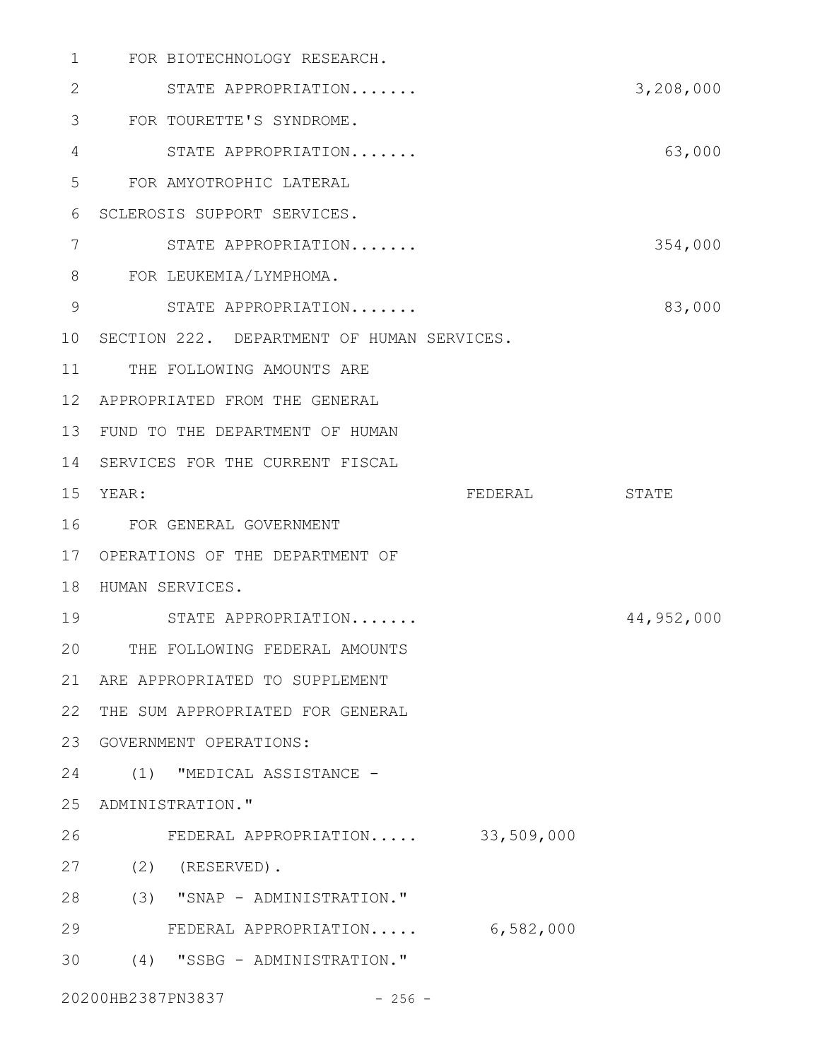| 1              | FOR BIOTECHNOLOGY RESEARCH.                |           |            |
|----------------|--------------------------------------------|-----------|------------|
| 2              | STATE APPROPRIATION                        |           | 3,208,000  |
| 3              | FOR TOURETTE'S SYNDROME.                   |           |            |
| 4              | STATE APPROPRIATION                        |           | 63,000     |
| 5              | FOR AMYOTROPHIC LATERAL                    |           |            |
| 6              | SCLEROSIS SUPPORT SERVICES.                |           |            |
| 7              | STATE APPROPRIATION                        |           | 354,000    |
| 8              | FOR LEUKEMIA/LYMPHOMA.                     |           |            |
| $\overline{9}$ | STATE APPROPRIATION                        |           | 83,000     |
| 10             | SECTION 222. DEPARTMENT OF HUMAN SERVICES. |           |            |
| 11             | THE FOLLOWING AMOUNTS ARE                  |           |            |
| 12             | APPROPRIATED FROM THE GENERAL              |           |            |
| 13             | FUND TO THE DEPARTMENT OF HUMAN            |           |            |
| 14             | SERVICES FOR THE CURRENT FISCAL            |           |            |
| 15             | YEAR:                                      | FEDERAL   | STATE      |
| 16             | FOR GENERAL GOVERNMENT                     |           |            |
| 17             | OPERATIONS OF THE DEPARTMENT OF            |           |            |
| 18             | HUMAN SERVICES.                            |           |            |
| 19             | STATE APPROPRIATION                        |           | 44,952,000 |
| 20             | THE FOLLOWING FEDERAL AMOUNTS              |           |            |
| 21             | ARE APPROPRIATED TO SUPPLEMENT             |           |            |
| 22             | THE SUM APPROPRIATED FOR GENERAL           |           |            |
| 23             | GOVERNMENT OPERATIONS:                     |           |            |
| 24             | (1) "MEDICAL ASSISTANCE -                  |           |            |
| 25             | ADMINISTRATION."                           |           |            |
| 26             | FEDERAL APPROPRIATION 33,509,000           |           |            |
| 27             | $(2)$ (RESERVED).                          |           |            |
| 28             | (3) "SNAP - ADMINISTRATION."               |           |            |
| 29             | FEDERAL APPROPRIATION                      | 6,582,000 |            |
|                |                                            |           |            |
| 30             | (4) "SSBG - ADMINISTRATION."               |           |            |

20200HB2387PN3837 - 256 -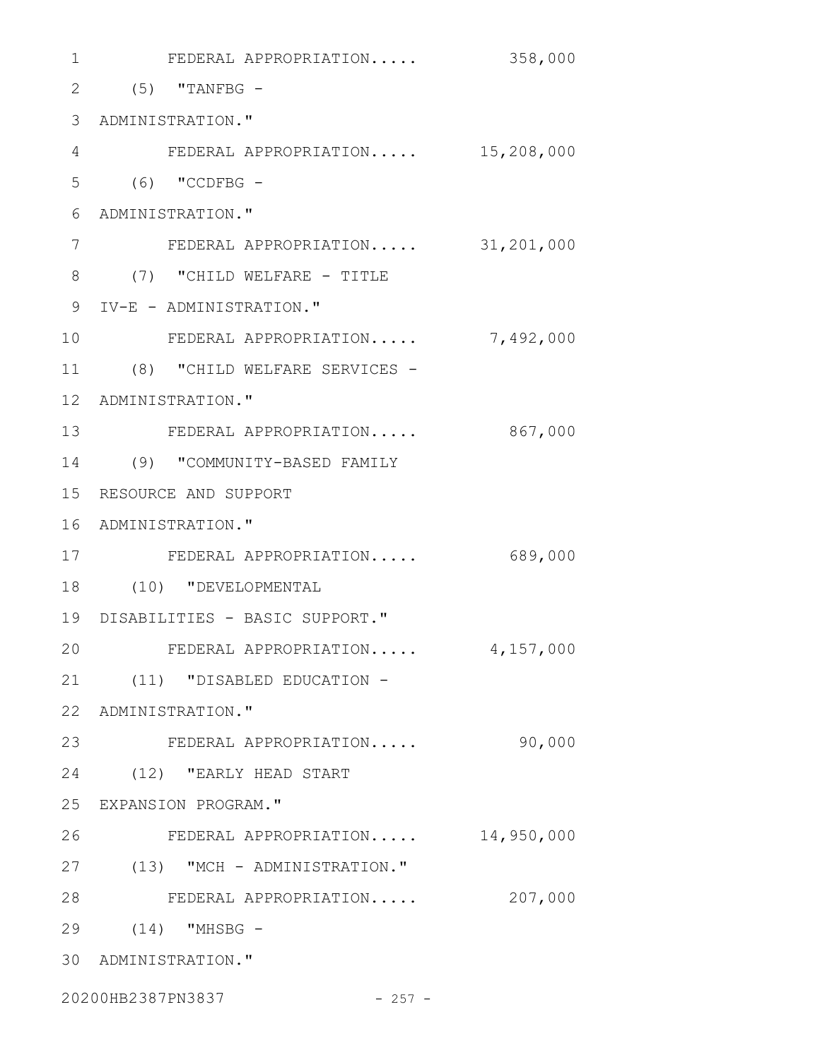| 1            | FEDERAL APPROPRIATION             | 358,000    |
|--------------|-----------------------------------|------------|
| $\mathbf{2}$ | $(5)$ "TANFBG -                   |            |
| 3            | ADMINISTRATION."                  |            |
| 4            | FEDERAL APPROPRIATION             | 15,208,000 |
| 5            | $(6)$ "CCDFBG -                   |            |
| 6            | ADMINISTRATION."                  |            |
| 7            | FEDERAL APPROPRIATION 31,201,000  |            |
| 8            | (7) "CHILD WELFARE - TITLE        |            |
| 9            | IV-E - ADMINISTRATION."           |            |
| 10           | FEDERAL APPROPRIATION             | 7,492,000  |
| 11           | (8) "CHILD WELFARE SERVICES -     |            |
| $12 \,$      | ADMINISTRATION."                  |            |
| 13           | FEDERAL APPROPRIATION             | 867,000    |
| 14           | (9) "COMMUNITY-BASED FAMILY       |            |
| 15           | RESOURCE AND SUPPORT              |            |
| 16           | ADMINISTRATION."                  |            |
| 17           | FEDERAL APPROPRIATION             | 689,000    |
| 18           | (10) "DEVELOPMENTAL               |            |
|              | 19 DISABILITIES - BASIC SUPPORT." |            |
| 20           | FEDERAL APPROPRIATION             | 4,157,000  |
| 21           | (11) "DISABLED EDUCATION -        |            |
|              | 22 ADMINISTRATION."               |            |
| 23           | FEDERAL APPROPRIATION             | 90,000     |
| 24           | (12) "EARLY HEAD START            |            |
|              | 25 EXPANSION PROGRAM."            |            |
| 26           | FEDERAL APPROPRIATION             | 14,950,000 |
| 27           | (13) "MCH - ADMINISTRATION."      |            |
| 28           | FEDERAL APPROPRIATION             | 207,000    |
| 29           |                                   |            |
|              | 30 ADMINISTRATION."               |            |
|              |                                   |            |

20200HB2387PN3837 - 257 -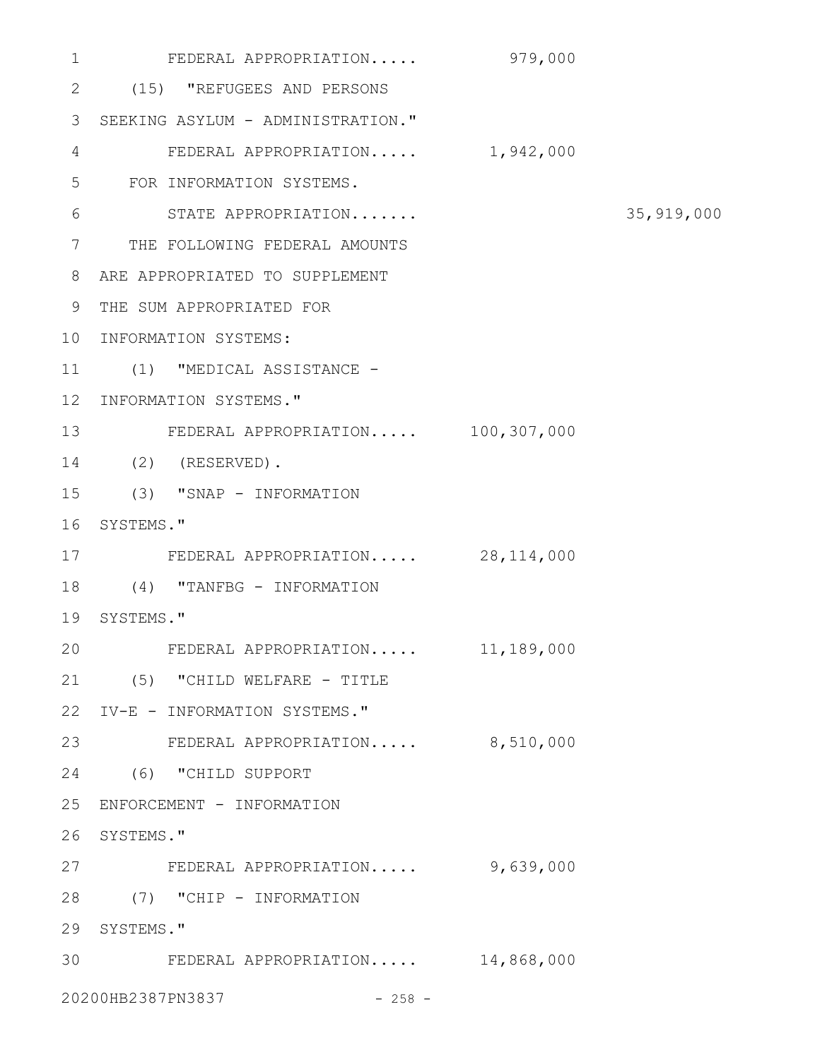| 1            | FEDERAL APPROPRIATION              | 979,000 |              |
|--------------|------------------------------------|---------|--------------|
| $\mathbf{2}$ | (15) "REFUGEES AND PERSONS         |         |              |
| 3            | SEEKING ASYLUM - ADMINISTRATION."  |         |              |
| 4            | FEDERAL APPROPRIATION 1,942,000    |         |              |
| 5            | FOR INFORMATION SYSTEMS.           |         |              |
| 6            | STATE APPROPRIATION                |         | 35, 919, 000 |
| 7            | THE FOLLOWING FEDERAL AMOUNTS      |         |              |
| 8            | ARE APPROPRIATED TO SUPPLEMENT     |         |              |
| 9            | THE SUM APPROPRIATED FOR           |         |              |
| 10           | INFORMATION SYSTEMS:               |         |              |
| 11           | (1) "MEDICAL ASSISTANCE -          |         |              |
| $12 \,$      | INFORMATION SYSTEMS."              |         |              |
| 13           | FEDERAL APPROPRIATION 100,307,000  |         |              |
| 14           | $(2)$ (RESERVED).                  |         |              |
| 15           | (3) "SNAP - INFORMATION            |         |              |
| 16           | SYSTEMS."                          |         |              |
| 17           | FEDERAL APPROPRIATION 28,114,000   |         |              |
| 18           | (4) "TANFBG - INFORMATION          |         |              |
| 19           | SYSTEMS."                          |         |              |
| 20           | FEDERAL APPROPRIATION 11,189,000   |         |              |
|              | 21 (5) "CHILD WELFARE - TITLE      |         |              |
|              | 22 IV-E - INFORMATION SYSTEMS."    |         |              |
| 23           | FEDERAL APPROPRIATION 8,510,000    |         |              |
|              | 24 (6) "CHILD SUPPORT              |         |              |
| 25           | ENFORCEMENT - INFORMATION          |         |              |
| 26           | SYSTEMS."                          |         |              |
|              | 27 FEDERAL APPROPRIATION 9,639,000 |         |              |
| 28           | (7) "CHIP - INFORMATION            |         |              |
| 29           | SYSTEMS."                          |         |              |
| 30           | FEDERAL APPROPRIATION 14,868,000   |         |              |
|              | 20200HB2387PN3837<br>$-258 -$      |         |              |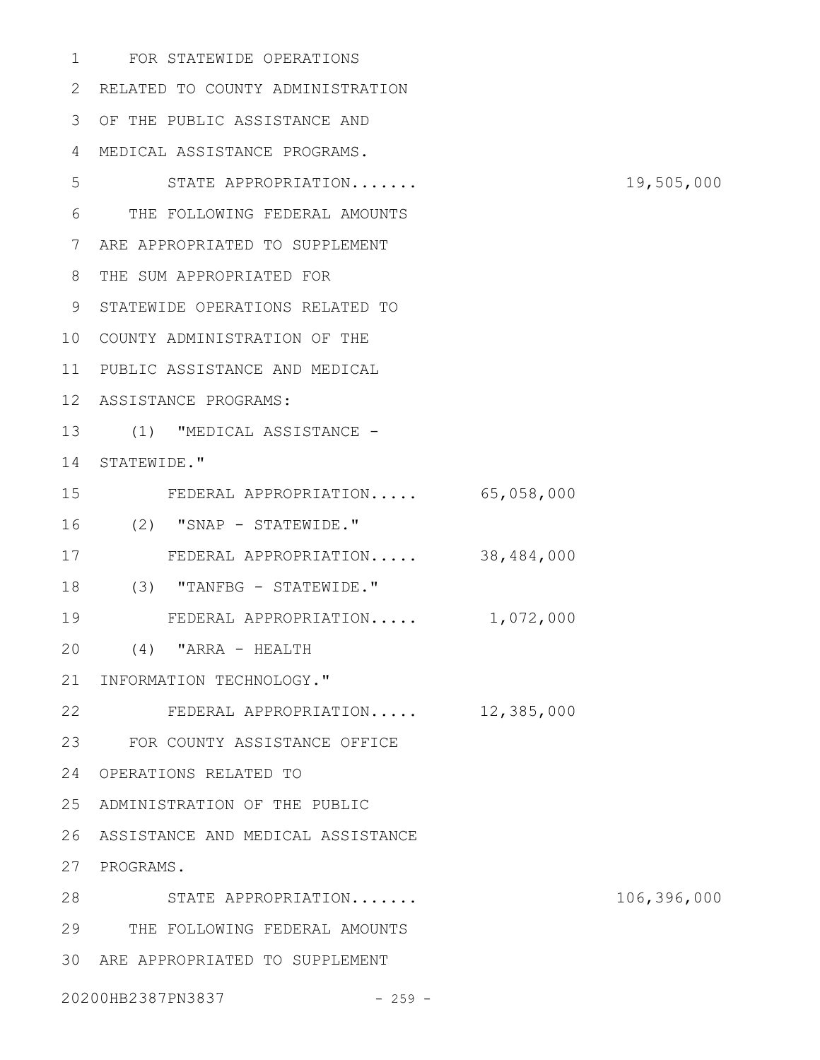FOR STATEWIDE OPERATIONS 2 RELATED TO COUNTY ADMINISTRATION OF THE PUBLIC ASSISTANCE AND MEDICAL ASSISTANCE PROGRAMS. STATE APPROPRIATION....... 19,505,000 THE FOLLOWING FEDERAL AMOUNTS ARE APPROPRIATED TO SUPPLEMENT THE SUM APPROPRIATED FOR 9 STATEWIDE OPERATIONS RELATED TO 10 COUNTY ADMINISTRATION OF THE PUBLIC ASSISTANCE AND MEDICAL ASSISTANCE PROGRAMS: 13 (1) "MEDICAL ASSISTANCE -14 STATEWIDE." FEDERAL APPROPRIATION..... 65,058,000 (2) "SNAP - STATEWIDE." FEDERAL APPROPRIATION..... 38,484,000 (3) "TANFBG - STATEWIDE." FEDERAL APPROPRIATION..... 1,072,000 (4) "ARRA - HEALTH 21 INFORMATION TECHNOLOGY." FEDERAL APPROPRIATION..... 12,385,000 FOR COUNTY ASSISTANCE OFFICE OPERATIONS RELATED TO 25 ADMINISTRATION OF THE PUBLIC ASSISTANCE AND MEDICAL ASSISTANCE 27 PROGRAMS. STATE APPROPRIATION....... 106,396,000 THE FOLLOWING FEDERAL AMOUNTS ARE APPROPRIATED TO SUPPLEMENT 

20200HB2387PN3837 - 259 -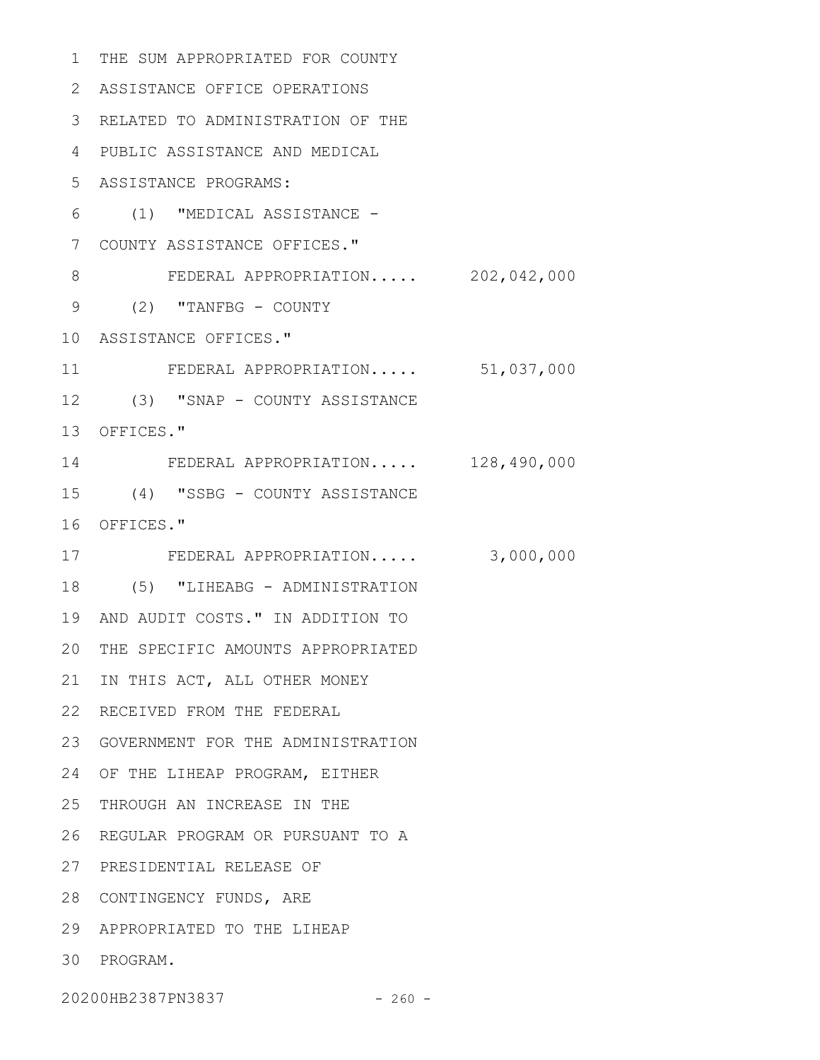1 THE SUM APPROPRIATED FOR COUNTY ASSISTANCE OFFICE OPERATIONS 2 RELATED TO ADMINISTRATION OF THE 3 PUBLIC ASSISTANCE AND MEDICAL 4 ASSISTANCE PROGRAMS: 5 (1) "MEDICAL ASSISTANCE - 6 COUNTY ASSISTANCE OFFICES." 7 FEDERAL APPROPRIATION..... 202,042,000 9 (2) "TANFBG - COUNTY 10 ASSISTANCE OFFICES." FEDERAL APPROPRIATION..... 51,037,000 12 (3) "SNAP - COUNTY ASSISTANCE 13 OFFICES." FEDERAL APPROPRIATION..... 128,490,000 14 (4) "SSBG - COUNTY ASSISTANCE 15 16 OFFICES." FEDERAL APPROPRIATION..... 3,000,000 17 (5) "LIHEABG - ADMINISTRATION 18 19 AND AUDIT COSTS." IN ADDITION TO 20 THE SPECIFIC AMOUNTS APPROPRIATED 21 IN THIS ACT, ALL OTHER MONEY 22 RECEIVED FROM THE FEDERAL GOVERNMENT FOR THE ADMINISTRATION 23 24 OF THE LIHEAP PROGRAM, EITHER 25 THROUGH AN INCREASE IN THE 26 REGULAR PROGRAM OR PURSUANT TO A 27 PRESIDENTIAL RELEASE OF 28 CONTINGENCY FUNDS, ARE APPROPRIATED TO THE LIHEAP 29 30 PROGRAM. 8 11

20200HB2387PN3837 - 260 -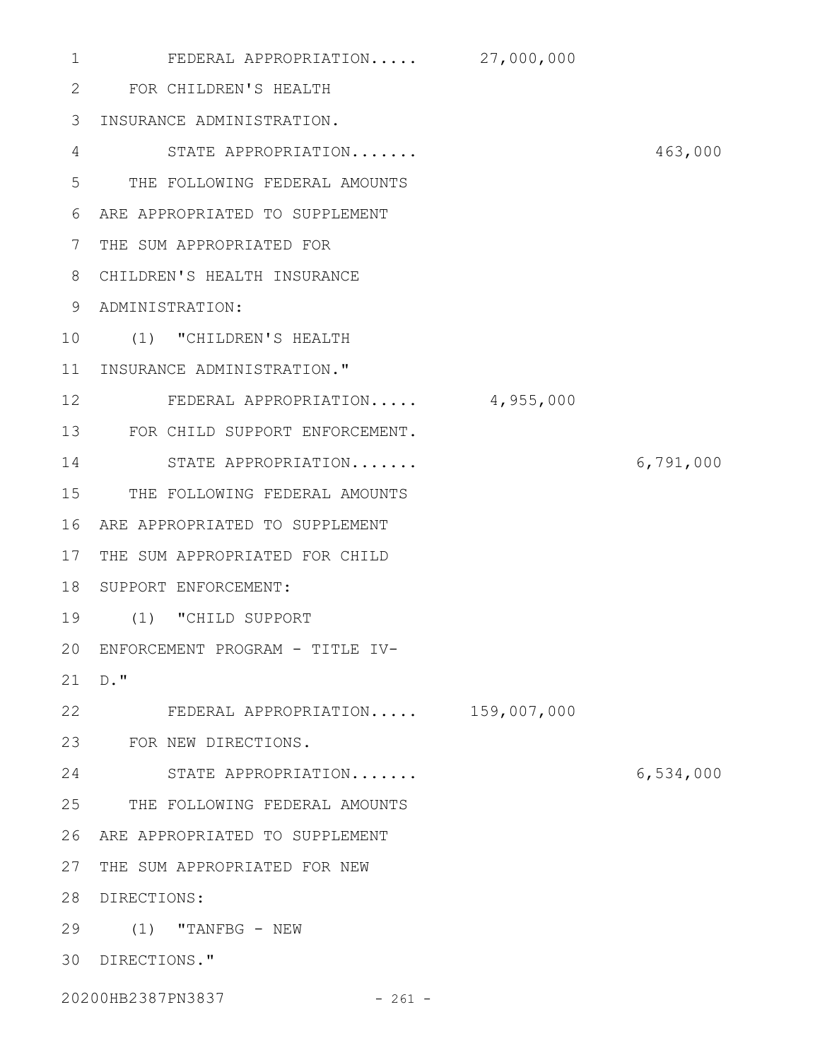| 1            | FEDERAL APPROPRIATION 27,000,000   |             |           |
|--------------|------------------------------------|-------------|-----------|
| $\mathbf{2}$ | FOR CHILDREN'S HEALTH              |             |           |
| 3            | INSURANCE ADMINISTRATION.          |             |           |
| 4            | STATE APPROPRIATION                |             | 463,000   |
| 5            | THE FOLLOWING FEDERAL AMOUNTS      |             |           |
| 6            | ARE APPROPRIATED TO SUPPLEMENT     |             |           |
| 7            | THE SUM APPROPRIATED FOR           |             |           |
| 8            | CHILDREN'S HEALTH INSURANCE        |             |           |
| 9            | ADMINISTRATION:                    |             |           |
| 10           | (1) "CHILDREN'S HEALTH             |             |           |
| 11           | INSURANCE ADMINISTRATION."         |             |           |
| 12           | FEDERAL APPROPRIATION              | 4,955,000   |           |
| 13           | FOR CHILD SUPPORT ENFORCEMENT.     |             |           |
| 14           | STATE APPROPRIATION                |             | 6,791,000 |
| 15           | THE FOLLOWING FEDERAL AMOUNTS      |             |           |
| 16           | ARE APPROPRIATED TO SUPPLEMENT     |             |           |
| 17           | THE SUM APPROPRIATED FOR CHILD     |             |           |
| 18           | SUPPORT ENFORCEMENT:               |             |           |
| 19           | (1) "CHILD SUPPORT                 |             |           |
|              | 20 ENFORCEMENT PROGRAM - TITLE IV- |             |           |
| 21           | $D.$ "                             |             |           |
| 22           | FEDERAL APPROPRIATION              | 159,007,000 |           |
| 23           | FOR NEW DIRECTIONS.                |             |           |
| 24           | STATE APPROPRIATION                |             | 6,534,000 |
| 25           | THE FOLLOWING FEDERAL AMOUNTS      |             |           |
| 26           | ARE APPROPRIATED TO SUPPLEMENT     |             |           |
| 27           | THE SUM APPROPRIATED FOR NEW       |             |           |
| 28           | DIRECTIONS:                        |             |           |
| 29           | $(1)$ "TANFBG - NEW                |             |           |
| 30           | DIRECTIONS."                       |             |           |
|              |                                    |             |           |

20200HB2387PN3837 - 261 -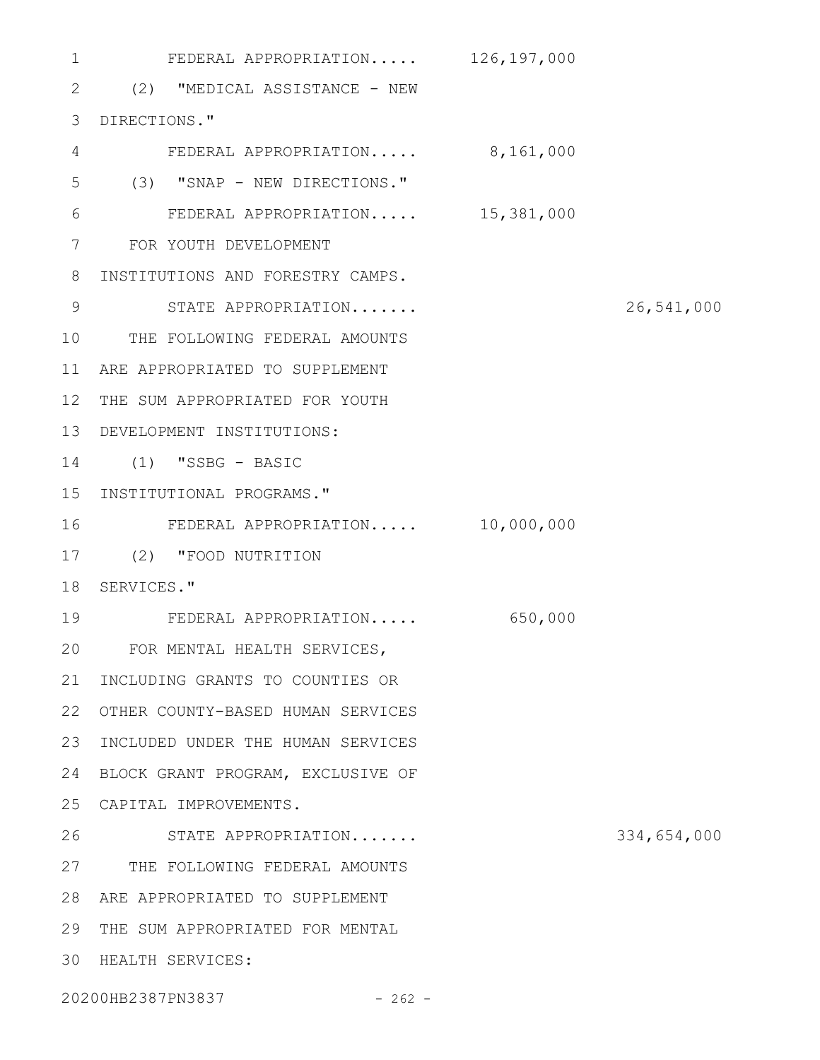FEDERAL APPROPRIATION..... 126,197,000 2 (2) "MEDICAL ASSISTANCE - NEW DIRECTIONS." 3 FEDERAL APPROPRIATION..... 8,161,000 (3) "SNAP - NEW DIRECTIONS." FEDERAL APPROPRIATION..... 15,381,000 FOR YOUTH DEVELOPMENT 7 8 INSTITUTIONS AND FORESTRY CAMPS. STATE APPROPRIATION....... 26,541,000 10 THE FOLLOWING FEDERAL AMOUNTS ARE APPROPRIATED TO SUPPLEMENT 11 12 THE SUM APPROPRIATED FOR YOUTH DEVELOPMENT INSTITUTIONS: 13 (1) "SSBG - BASIC 14 15 INSTITUTIONAL PROGRAMS." FEDERAL APPROPRIATION..... 10,000,000 (2) "FOOD NUTRITION 17 18 SERVICES." FEDERAL APPROPRIATION..... 650,000 FOR MENTAL HEALTH SERVICES, 20 21 INCLUDING GRANTS TO COUNTIES OR 22 OTHER COUNTY-BASED HUMAN SERVICES 23 INCLUDED UNDER THE HUMAN SERVICES 24 BLOCK GRANT PROGRAM, EXCLUSIVE OF CAPITAL IMPROVEMENTS. 25 STATE APPROPRIATION....... 334,654,000 27 THE FOLLOWING FEDERAL AMOUNTS ARE APPROPRIATED TO SUPPLEMENT 28 29 THE SUM APPROPRIATED FOR MENTAL HEALTH SERVICES: 301 4 5 6 9 16 19 26

20200HB2387PN3837 - 262 -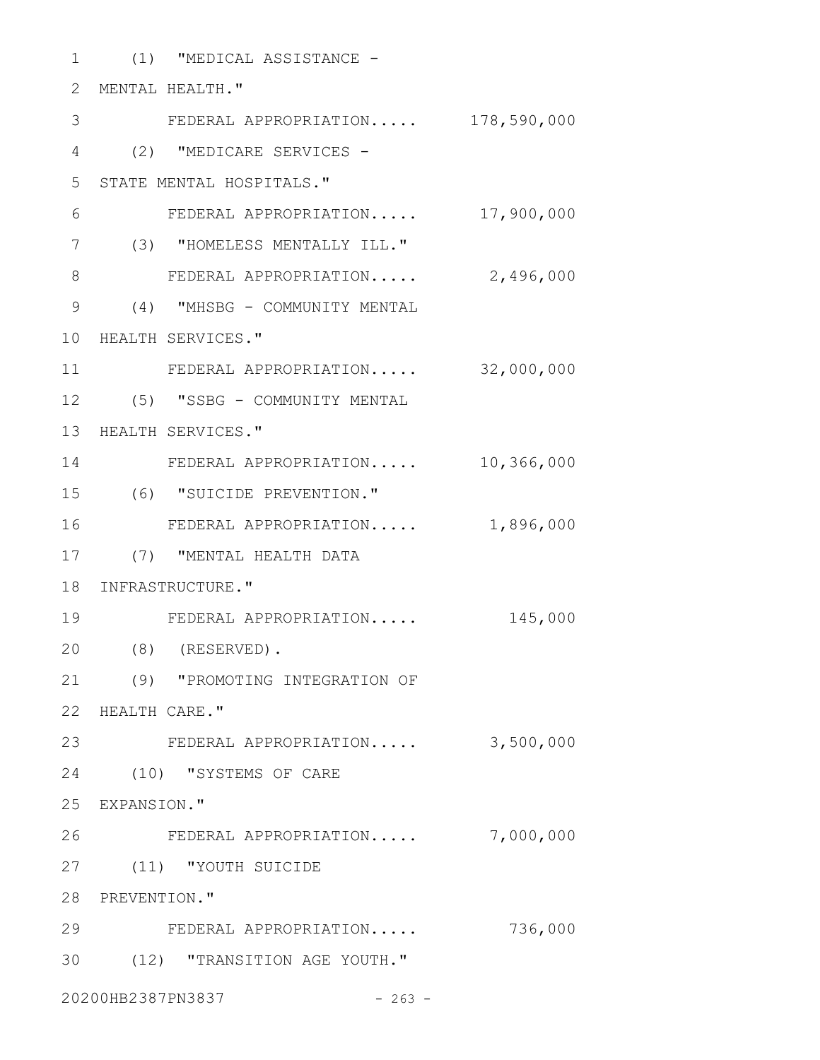| 1                     |                  | (1) "MEDICAL ASSISTANCE -         |            |
|-----------------------|------------------|-----------------------------------|------------|
| $\mathbf{2}^{\prime}$ |                  | MENTAL HEALTH."                   |            |
| 3                     |                  | FEDERAL APPROPRIATION 178,590,000 |            |
| 4                     |                  | (2) "MEDICARE SERVICES -          |            |
| 5                     |                  | STATE MENTAL HOSPITALS."          |            |
| 6                     |                  | FEDERAL APPROPRIATION             | 17,900,000 |
| 7                     |                  | (3) "HOMELESS MENTALLY ILL."      |            |
| 8                     |                  | FEDERAL APPROPRIATION             | 2,496,000  |
| $\mathcal{G}$         |                  | (4) "MHSBG - COMMUNITY MENTAL     |            |
| 10                    |                  | HEALTH SERVICES."                 |            |
| 11                    |                  | FEDERAL APPROPRIATION             | 32,000,000 |
| 12                    |                  | (5) "SSBG - COMMUNITY MENTAL      |            |
|                       |                  | 13 HEALTH SERVICES."              |            |
| 14                    |                  | FEDERAL APPROPRIATION             | 10,366,000 |
| 15                    |                  | (6) "SUICIDE PREVENTION."         |            |
| 16                    |                  | FEDERAL APPROPRIATION             | 1,896,000  |
| 17                    |                  | (7) "MENTAL HEALTH DATA           |            |
|                       |                  | 18 INFRASTRUCTURE."               |            |
| 19                    |                  | FEDERAL APPROPRIATION             | 145,000    |
| 20                    |                  | $(8)$ (RESERVED).                 |            |
| 21                    |                  | (9) "PROMOTING INTEGRATION OF     |            |
|                       | 22 HEALTH CARE." |                                   |            |
| 23                    |                  | FEDERAL APPROPRIATION             | 3,500,000  |
|                       |                  | 24 (10) "SYSTEMS OF CARE          |            |
|                       | 25 EXPANSION."   |                                   |            |
| 26                    |                  | FEDERAL APPROPRIATION             | 7,000,000  |
| 27                    |                  | (11) "YOUTH SUICIDE               |            |
|                       | 28 PREVENTION."  |                                   |            |
| 29                    |                  | FEDERAL APPROPRIATION             | 736,000    |
| 30                    |                  | (12) "TRANSITION AGE YOUTH."      |            |
|                       |                  | 20200HB2387PN3837<br>$-263 -$     |            |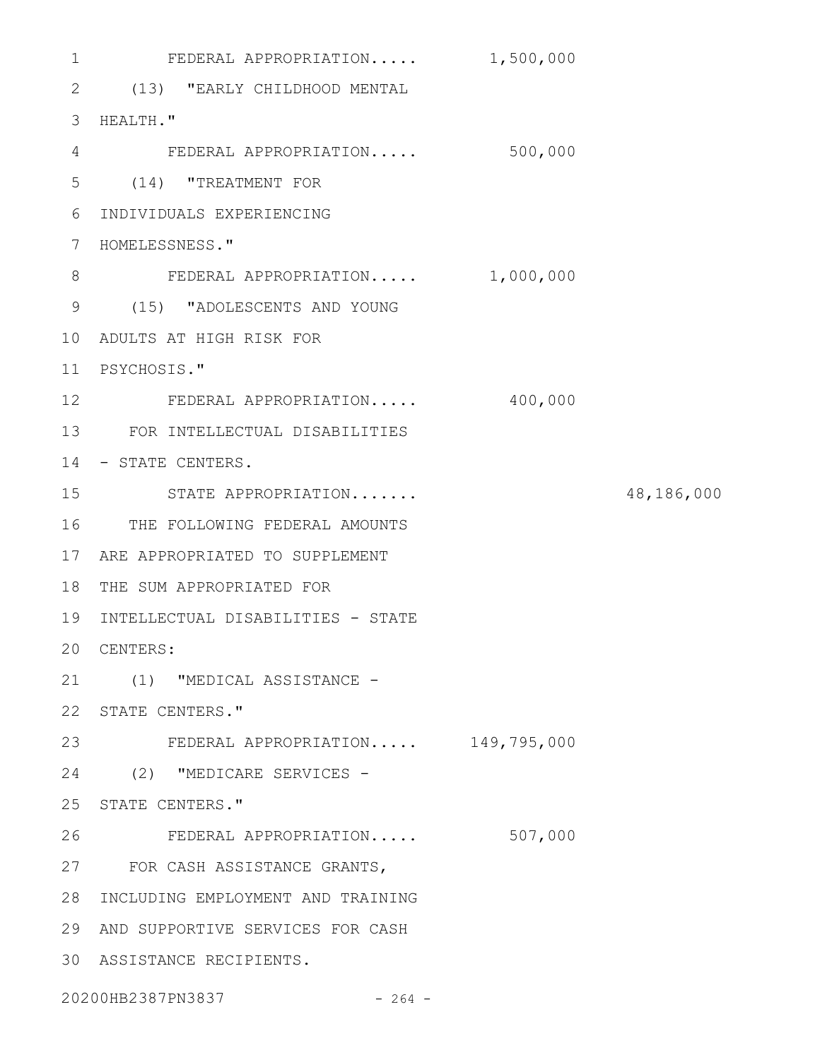FEDERAL APPROPRIATION..... 1,500,000 (13) "EARLY CHILDHOOD MENTAL 2 3 HEALTH." FEDERAL APPROPRIATION..... 500,000 4 (14) "TREATMENT FOR 5 INDIVIDUALS EXPERIENCING 6 7 HOMELESSNESS." 8 FEDERAL APPROPRIATION..... 1,000,000 (15) "ADOLESCENTS AND YOUNG 9 ADULTS AT HIGH RISK FOR 10 PSYCHOSIS." 11 12 FEDERAL APPROPRIATION..... 400,000 FOR INTELLECTUAL DISABILITIES 13 14 - STATE CENTERS. STATE APPROPRIATION....... 48,186,000 16 THE FOLLOWING FEDERAL AMOUNTS ARE APPROPRIATED TO SUPPLEMENT 17 18 THE SUM APPROPRIATED FOR 19 INTELLECTUAL DISABILITIES - STATE 20 CENTERS: (1) "MEDICAL ASSISTANCE - 21 22 STATE CENTERS." FEDERAL APPROPRIATION..... 149,795,000 23 24 (2) "MEDICARE SERVICES -25 STATE CENTERS." FEDERAL APPROPRIATION..... 507,000 27 FOR CASH ASSISTANCE GRANTS, 28 INCLUDING EMPLOYMENT AND TRAINING AND SUPPORTIVE SERVICES FOR CASH 29 ASSISTANCE RECIPIENTS. 301 15 26

20200HB2387PN3837 - 264 -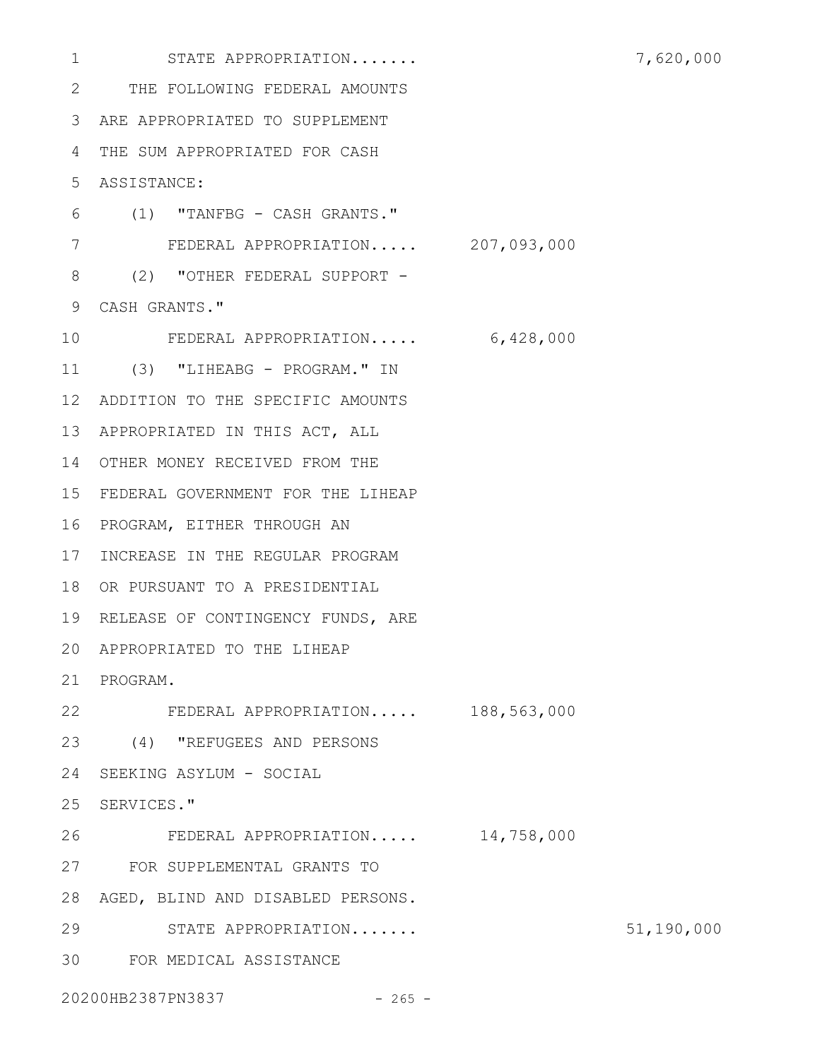STATE APPROPRIATION....... 7,620,000 THE FOLLOWING FEDERAL AMOUNTS 2 ARE APPROPRIATED TO SUPPLEMENT 3 THE SUM APPROPRIATED FOR CASH 4 ASSISTANCE: 5 (1) "TANFBG - CASH GRANTS." 6 FEDERAL APPROPRIATION..... 207,093,000 7 8 (2) "OTHER FEDERAL SUPPORT -CASH GRANTS." 9 FEDERAL APPROPRIATION..... 6,428,000 11 (3) "LIHEABG - PROGRAM." IN ADDITION TO THE SPECIFIC AMOUNTS 12 13 APPROPRIATED IN THIS ACT, ALL 14 OTHER MONEY RECEIVED FROM THE FEDERAL GOVERNMENT FOR THE LIHEAP 15 16 PROGRAM, EITHER THROUGH AN 17 INCREASE IN THE REGULAR PROGRAM 18 OR PURSUANT TO A PRESIDENTIAL 19 RELEASE OF CONTINGENCY FUNDS, ARE APPROPRIATED TO THE LIHEAP 20 21 PROGRAM. FEDERAL APPROPRIATION..... 188,563,000 22 (4) "REFUGEES AND PERSONS 23 24 SEEKING ASYLUM - SOCIAL 25 SERVICES." FEDERAL APPROPRIATION..... 14,758,000 FOR SUPPLEMENTAL GRANTS TO 27 28 AGED, BLIND AND DISABLED PERSONS. STATE APPROPRIATION....... 51,190,000 FOR MEDICAL ASSISTANCE 3020200HB2387PN3837 - 265 -1 10 26 29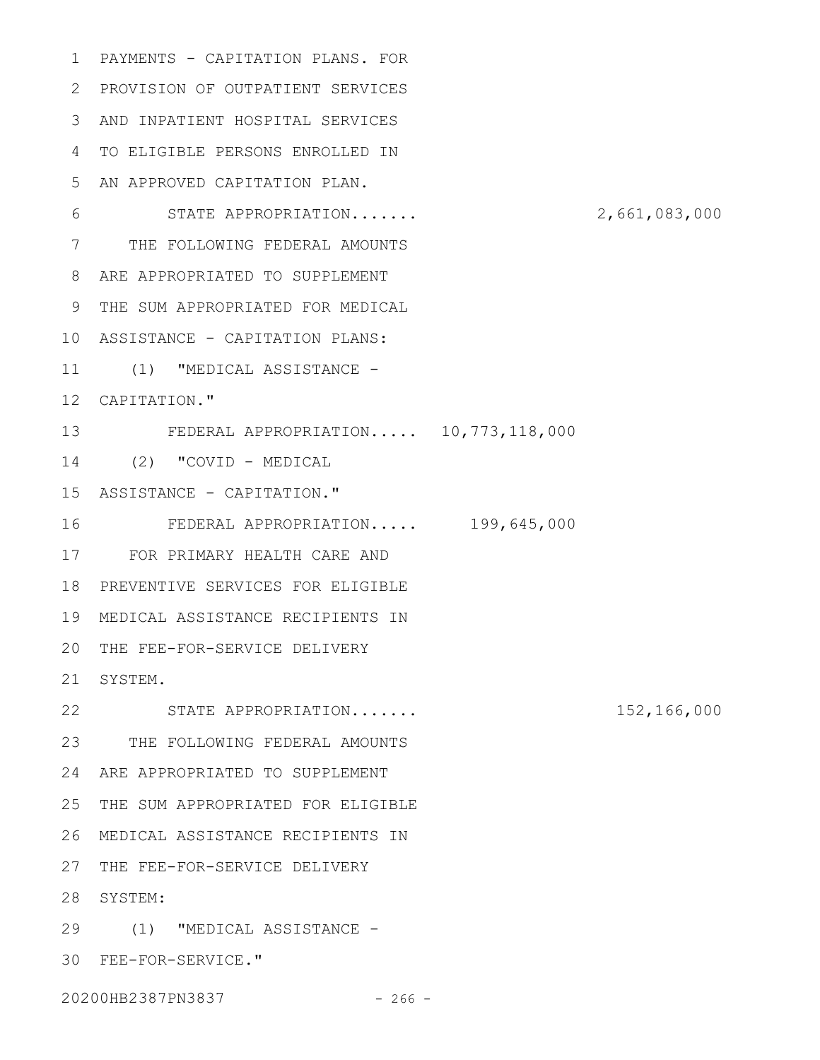1 PAYMENTS - CAPITATION PLANS. FOR PROVISION OF OUTPATIENT SERVICES 2 AND INPATIENT HOSPITAL SERVICES 3 TO ELIGIBLE PERSONS ENROLLED IN 4 5 AN APPROVED CAPITATION PLAN. STATE APPROPRIATION....... 2,661,083,000 7 THE FOLLOWING FEDERAL AMOUNTS ARE APPROPRIATED TO SUPPLEMENT 8 THE SUM APPROPRIATED FOR MEDICAL 9 ASSISTANCE - CAPITATION PLANS: 10 11 (1) "MEDICAL ASSISTANCE -12 CAPITATION." FEDERAL APPROPRIATION..... 10,773,118,000 13 (2) "COVID - MEDICAL 14 15 ASSISTANCE - CAPITATION." FEDERAL APPROPRIATION..... 199,645,000 FOR PRIMARY HEALTH CARE AND 17 18 PREVENTIVE SERVICES FOR ELIGIBLE MEDICAL ASSISTANCE RECIPIENTS IN 19 20 THE FEE-FOR-SERVICE DELIVERY 21 SYSTEM. STATE APPROPRIATION....... 152,166,000 22 23 THE FOLLOWING FEDERAL AMOUNTS 24 ARE APPROPRIATED TO SUPPLEMENT 25 THE SUM APPROPRIATED FOR ELIGIBLE MEDICAL ASSISTANCE RECIPIENTS IN 26 27 THE FEE-FOR-SERVICE DELIVERY 28 SYSTEM: (1) "MEDICAL ASSISTANCE - 29 FEE-FOR-SERVICE." 306 16

20200HB2387PN3837 - 266 -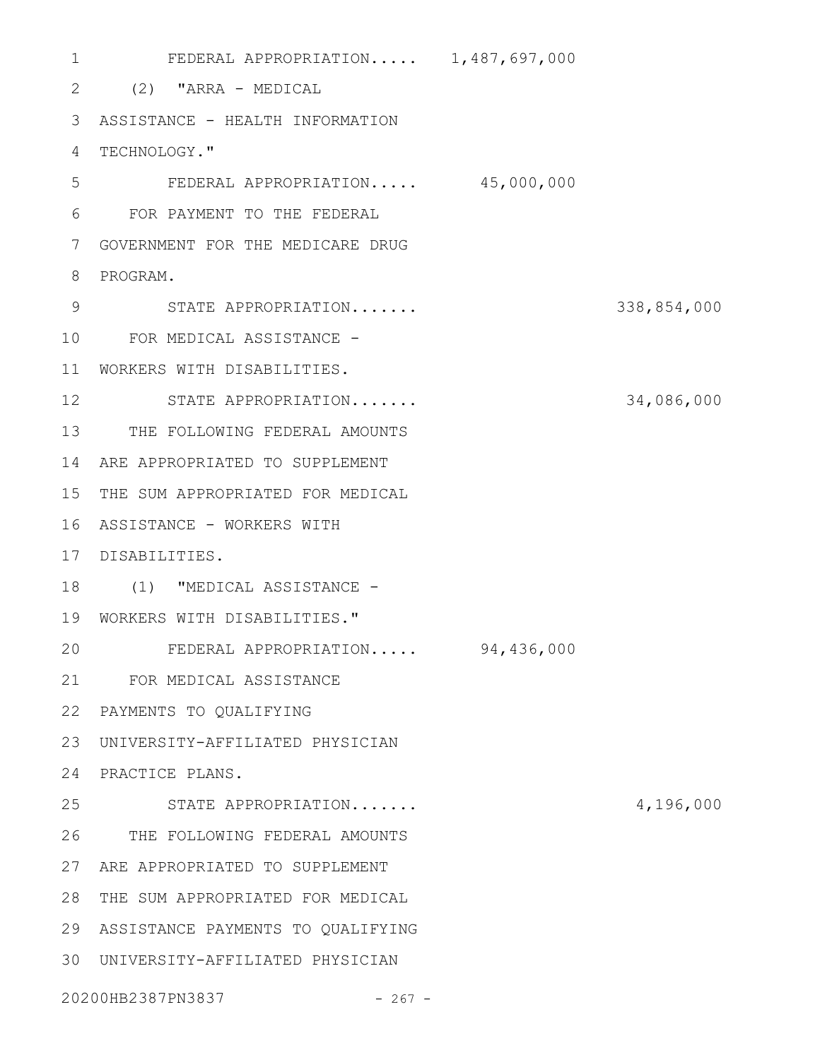FEDERAL APPROPRIATION..... 1,487,697,000 (2) "ARRA - MEDICAL 2 ASSISTANCE - HEALTH INFORMATION 3 4 TECHNOLOGY." FEDERAL APPROPRIATION..... 45,000,000 FOR PAYMENT TO THE FEDERAL 6 GOVERNMENT FOR THE MEDICARE DRUG 7 8 PROGRAM. STATE APPROPRIATION....... 338,854,000 9 FOR MEDICAL ASSISTANCE - 10 WORKERS WITH DISABILITIES. 11 STATE APPROPRIATION....... 34,086,000 12 13 THE FOLLOWING FEDERAL AMOUNTS 14 ARE APPROPRIATED TO SUPPLEMENT 15 THE SUM APPROPRIATED FOR MEDICAL 16 ASSISTANCE - WORKERS WITH DISABILITIES. 17 18 (1) "MEDICAL ASSISTANCE -WORKERS WITH DISABILITIES." 19 FEDERAL APPROPRIATION..... 94,436,000 FOR MEDICAL ASSISTANCE 21 22 PAYMENTS TO QUALIFYING UNIVERSITY-AFFILIATED PHYSICIAN 23 24 PRACTICE PLANS. STATE APPROPRIATION....... 4,196,000 THE FOLLOWING FEDERAL AMOUNTS 26 ARE APPROPRIATED TO SUPPLEMENT 27 28 THE SUM APPROPRIATED FOR MEDICAL ASSISTANCE PAYMENTS TO QUALIFYING 29 UNIVERSITY-AFFILIATED PHYSICIAN 3020200HB2387PN3837 - 267 - 1 5 20 25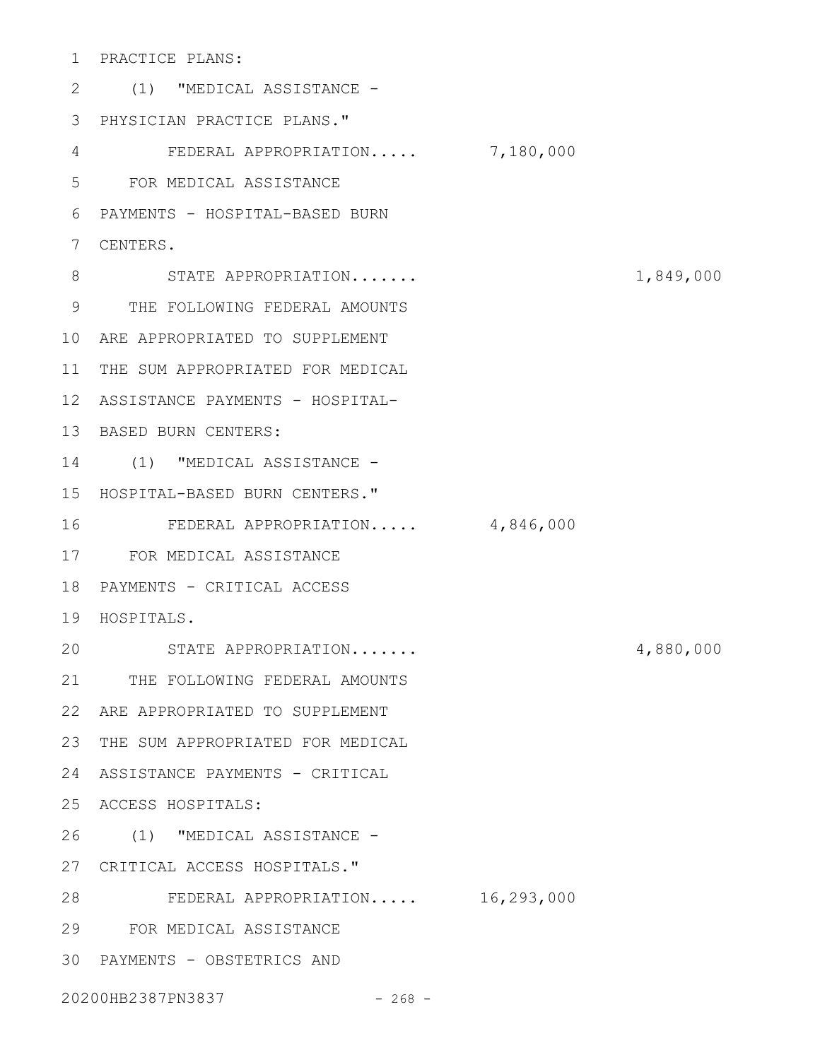PRACTICE PLANS: 1

(1) "MEDICAL ASSISTANCE - 2 PHYSICIAN PRACTICE PLANS." 3 FEDERAL APPROPRIATION..... 7,180,000 FOR MEDICAL ASSISTANCE 5 PAYMENTS - HOSPITAL-BASED BURN 6 CENTERS. 7 8 STATE APPROPRIATION....... 1,849,000 THE FOLLOWING FEDERAL AMOUNTS 9 ARE APPROPRIATED TO SUPPLEMENT 10 11 THE SUM APPROPRIATED FOR MEDICAL 12 ASSISTANCE PAYMENTS - HOSPITAL-13 BASED BURN CENTERS: 14 (1) "MEDICAL ASSISTANCE -15 HOSPITAL-BASED BURN CENTERS." FEDERAL APPROPRIATION..... 4,846,000 FOR MEDICAL ASSISTANCE 17 18 PAYMENTS - CRITICAL ACCESS 19 HOSPITALS. STATE APPROPRIATION....... 4,880,000 21 THE FOLLOWING FEDERAL AMOUNTS ARE APPROPRIATED TO SUPPLEMENT 22 23 THE SUM APPROPRIATED FOR MEDICAL ASSISTANCE PAYMENTS - CRITICAL 24 ACCESS HOSPITALS: 25 (1) "MEDICAL ASSISTANCE - 26 CRITICAL ACCESS HOSPITALS." 27 FEDERAL APPROPRIATION..... 16,293,000 28 FOR MEDICAL ASSISTANCE 29 30 PAYMENTS - OBSTETRICS AND 20200HB2387PN3837 - 268 -4 16 20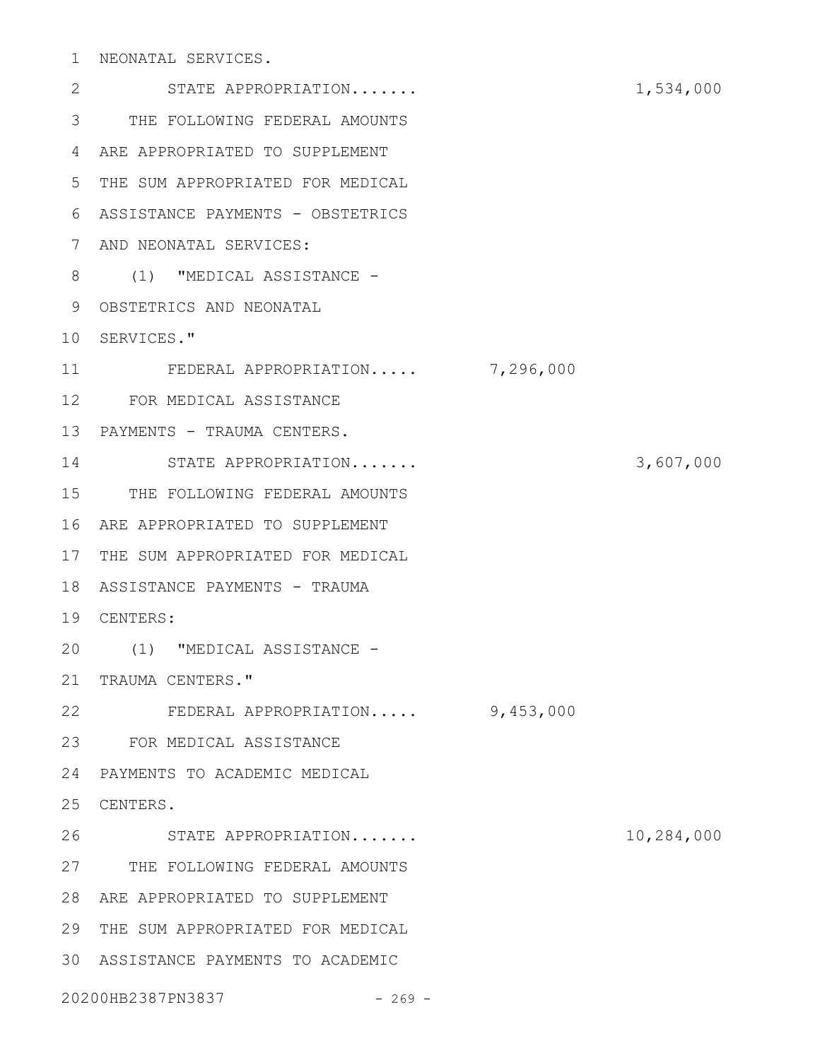NEONATAL SERVICES. 1

STATE APPROPRIATION....... 1,534,000 THE FOLLOWING FEDERAL AMOUNTS 3 ARE APPROPRIATED TO SUPPLEMENT 4 5 THE SUM APPROPRIATED FOR MEDICAL ASSISTANCE PAYMENTS - OBSTETRICS 6 AND NEONATAL SERVICES: 7 8 (1) "MEDICAL ASSISTANCE -9 OBSTETRICS AND NEONATAL 10 SERVICES." FEDERAL APPROPRIATION..... 7,296,000 FOR MEDICAL ASSISTANCE 12 13 PAYMENTS - TRAUMA CENTERS. STATE APPROPRIATION....... 3,607,000 14 15 THE FOLLOWING FEDERAL AMOUNTS ARE APPROPRIATED TO SUPPLEMENT 16 17 THE SUM APPROPRIATED FOR MEDICAL 18 ASSISTANCE PAYMENTS - TRAUMA CENTERS: 19 (1) "MEDICAL ASSISTANCE - 20 21 TRAUMA CENTERS." FEDERAL APPROPRIATION..... 9,453,000 22 FOR MEDICAL ASSISTANCE 23 PAYMENTS TO ACADEMIC MEDICAL 24 25 CENTERS. STATE APPROPRIATION....... 10,284,000 27 THE FOLLOWING FEDERAL AMOUNTS ARE APPROPRIATED TO SUPPLEMENT 28 29 THE SUM APPROPRIATED FOR MEDICAL ASSISTANCE PAYMENTS TO ACADEMIC 3020200HB2387PN3837 - 269 -2 11 26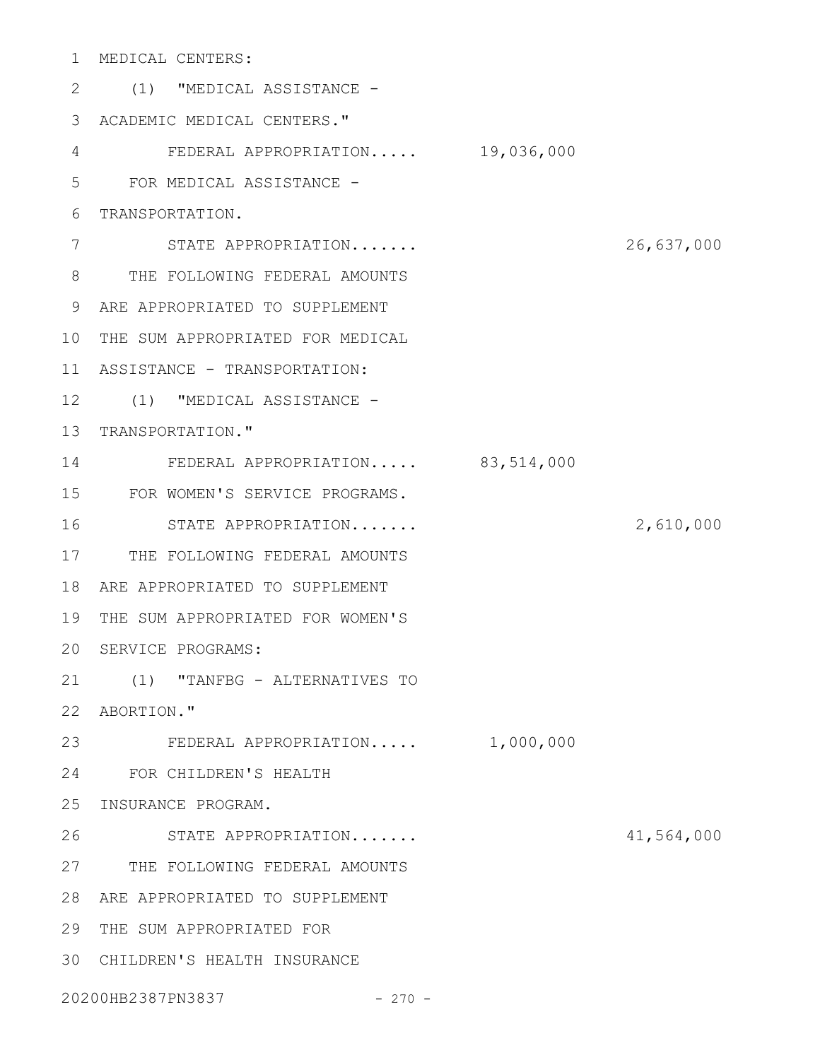MEDICAL CENTERS: 1

(1) "MEDICAL ASSISTANCE - 2 ACADEMIC MEDICAL CENTERS." 3 FEDERAL APPROPRIATION..... 19,036,000 FOR MEDICAL ASSISTANCE - 6 TRANSPORTATION. STATE APPROPRIATION....... 26,637,000 THE FOLLOWING FEDERAL AMOUNTS 8 ARE APPROPRIATED TO SUPPLEMENT 9 10 THE SUM APPROPRIATED FOR MEDICAL 11 ASSISTANCE - TRANSPORTATION: 12 (1) "MEDICAL ASSISTANCE -13 TRANSPORTATION." FEDERAL APPROPRIATION..... 83,514,000 FOR WOMEN'S SERVICE PROGRAMS. STATE APPROPRIATION....... 2,610,000 17 THE FOLLOWING FEDERAL AMOUNTS ARE APPROPRIATED TO SUPPLEMENT 18 19 THE SUM APPROPRIATED FOR WOMEN'S 20 SERVICE PROGRAMS: (1) "TANFBG - ALTERNATIVES TO 21 22 ABORTION." 23 FEDERAL APPROPRIATION..... 1,000,000 FOR CHILDREN'S HEALTH 24 25 INSURANCE PROGRAM. STATE APPROPRIATION....... 41,564,000 27 THE FOLLOWING FEDERAL AMOUNTS ARE APPROPRIATED TO SUPPLEMENT 28 29 THE SUM APPROPRIATED FOR CHILDREN'S HEALTH INSURANCE 3020200HB2387PN3837 - 270 -4 5 7 14 15 16 26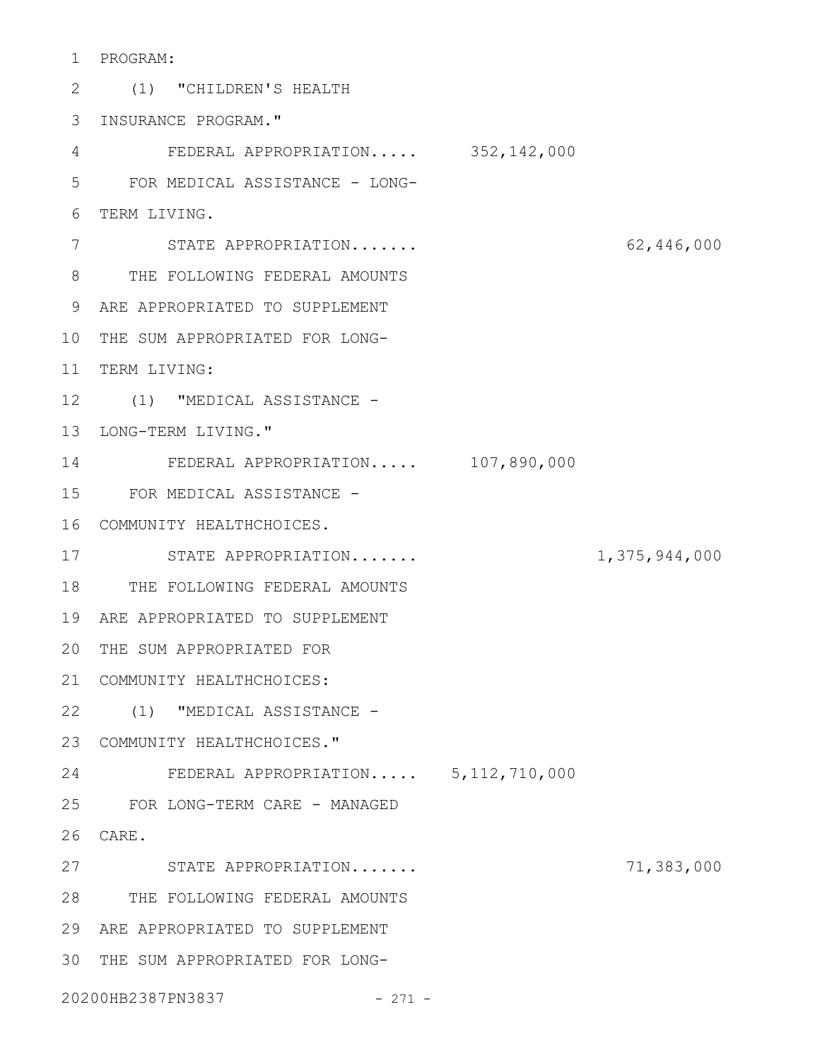PROGRAM: 1

(1) "CHILDREN'S HEALTH 2 3 INSURANCE PROGRAM." FEDERAL APPROPRIATION..... 352,142,000 FOR MEDICAL ASSISTANCE - LONG-6 TERM LIVING. STATE APPROPRIATION....... 62,446,000 THE FOLLOWING FEDERAL AMOUNTS 8 ARE APPROPRIATED TO SUPPLEMENT 9 10 THE SUM APPROPRIATED FOR LONG-11 TERM LIVING: 12 (1) "MEDICAL ASSISTANCE -13 LONG-TERM LIVING." FEDERAL APPROPRIATION..... 107,890,000 14 FOR MEDICAL ASSISTANCE - 15 COMMUNITY HEALTHCHOICES. 16 17 STATE APPROPRIATION....... 1,375,944,000 18 THE FOLLOWING FEDERAL AMOUNTS ARE APPROPRIATED TO SUPPLEMENT 19 20 THE SUM APPROPRIATED FOR 21 COMMUNITY HEALTHCHOICES: (1) "MEDICAL ASSISTANCE - 22 23 COMMUNITY HEALTHCHOICES." FEDERAL APPROPRIATION..... 5,112,710,000 24 25 FOR LONG-TERM CARE - MANAGED CARE. 26 STATE APPROPRIATION....... 71,383,000 27 THE FOLLOWING FEDERAL AMOUNTS 28 ARE APPROPRIATED TO SUPPLEMENT 29 30 THE SUM APPROPRIATED FOR LONG-20200HB2387PN3837 - 271 -4 5 7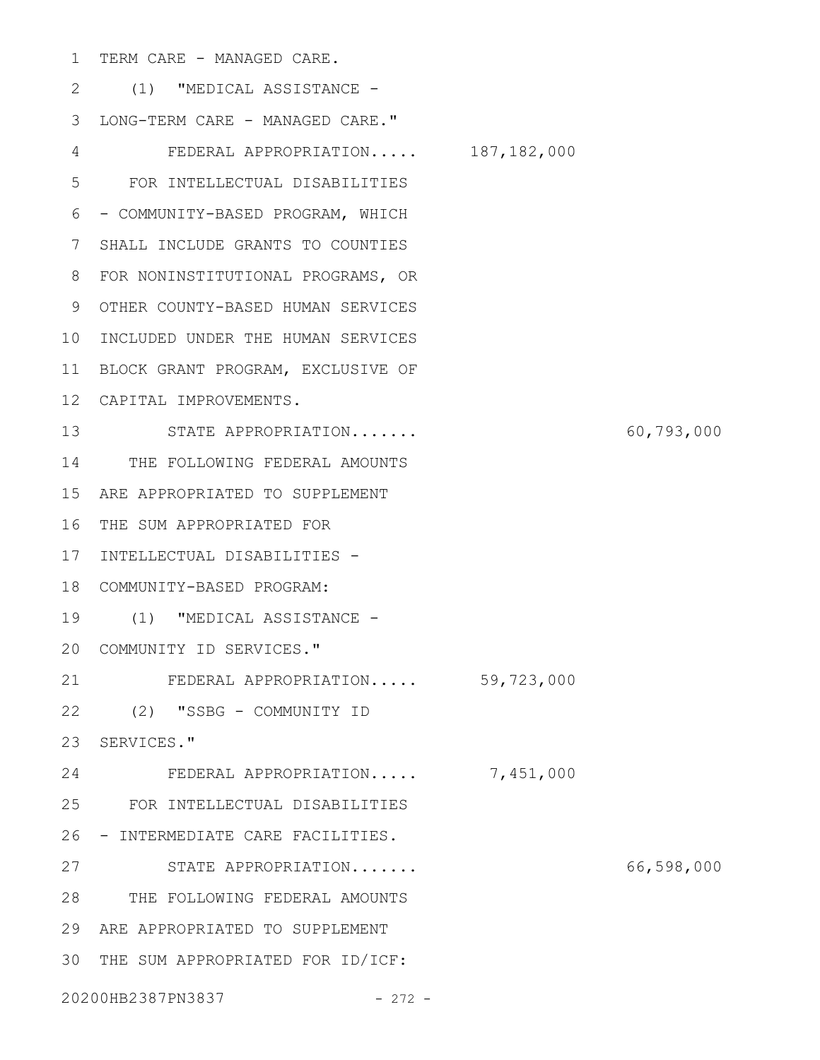1 TERM CARE - MANAGED CARE.

(1) "MEDICAL ASSISTANCE - 2 3 LONG-TERM CARE - MANAGED CARE." FEDERAL APPROPRIATION..... 187,182,000 FOR INTELLECTUAL DISABILITIES 6 - COMMUNITY-BASED PROGRAM, WHICH SHALL INCLUDE GRANTS TO COUNTIES 7 FOR NONINSTITUTIONAL PROGRAMS, OR 8 9 OTHER COUNTY-BASED HUMAN SERVICES 10 INCLUDED UNDER THE HUMAN SERVICES 11 BLOCK GRANT PROGRAM, EXCLUSIVE OF CAPITAL IMPROVEMENTS. 12 STATE APPROPRIATION....... 60,793,000 13 14 THE FOLLOWING FEDERAL AMOUNTS ARE APPROPRIATED TO SUPPLEMENT 15 16 THE SUM APPROPRIATED FOR 17 INTELLECTUAL DISABILITIES -COMMUNITY-BASED PROGRAM: 18 (1) "MEDICAL ASSISTANCE - 19 20 COMMUNITY ID SERVICES." FEDERAL APPROPRIATION..... 59,723,000 (2) "SSBG - COMMUNITY ID 22 23 SERVICES." FEDERAL APPROPRIATION..... 7,451,000 FOR INTELLECTUAL DISABILITIES 25 26 - INTERMEDIATE CARE FACILITIES. STATE APPROPRIATION....... 66,598,000 27 THE FOLLOWING FEDERAL AMOUNTS 28 ARE APPROPRIATED TO SUPPLEMENT 29 30 THE SUM APPROPRIATED FOR ID/ICF: 20200HB2387PN3837 - 272 -4 5 21 24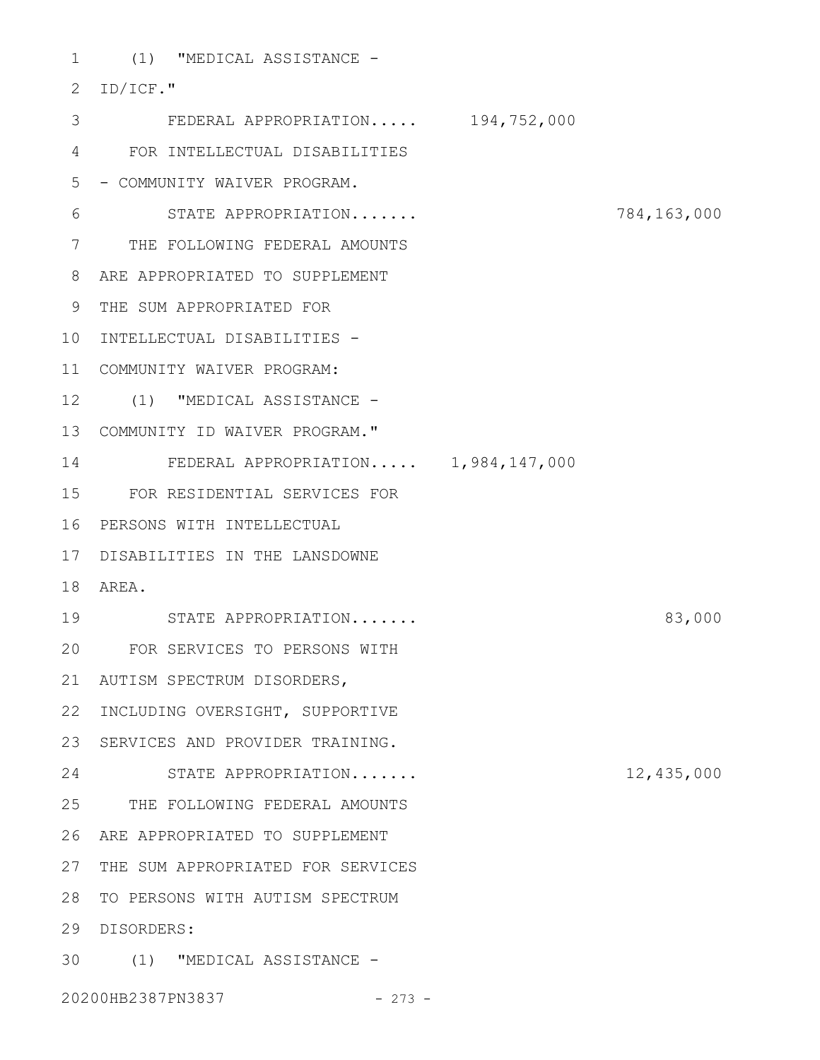1 (1) "MEDICAL ASSISTANCE -

2 ID/ICF." FEDERAL APPROPRIATION..... 194,752,000 3 FOR INTELLECTUAL DISABILITIES 4 5 - COMMUNITY WAIVER PROGRAM. STATE APPROPRIATION....... 784,163,000 7 THE FOLLOWING FEDERAL AMOUNTS ARE APPROPRIATED TO SUPPLEMENT 8 THE SUM APPROPRIATED FOR 9 10 INTELLECTUAL DISABILITIES -COMMUNITY WAIVER PROGRAM: 11 12 (1) "MEDICAL ASSISTANCE -COMMUNITY ID WAIVER PROGRAM." 13 FEDERAL APPROPRIATION..... 1,984,147,000 14 FOR RESIDENTIAL SERVICES FOR 15 16 PERSONS WITH INTELLECTUAL DISABILITIES IN THE LANSDOWNE 17 AREA. 18 STATE APPROPRIATION....... 83,000 19 FOR SERVICES TO PERSONS WITH 20 AUTISM SPECTRUM DISORDERS, 21 22 INCLUDING OVERSIGHT, SUPPORTIVE 23 SERVICES AND PROVIDER TRAINING. STATE APPROPRIATION....... 12,435,000 24 25 THE FOLLOWING FEDERAL AMOUNTS ARE APPROPRIATED TO SUPPLEMENT 26 27 THE SUM APPROPRIATED FOR SERVICES 28 TO PERSONS WITH AUTISM SPECTRUM DISORDERS: 29 (1) "MEDICAL ASSISTANCE - 306

20200HB2387PN3837 - 273 -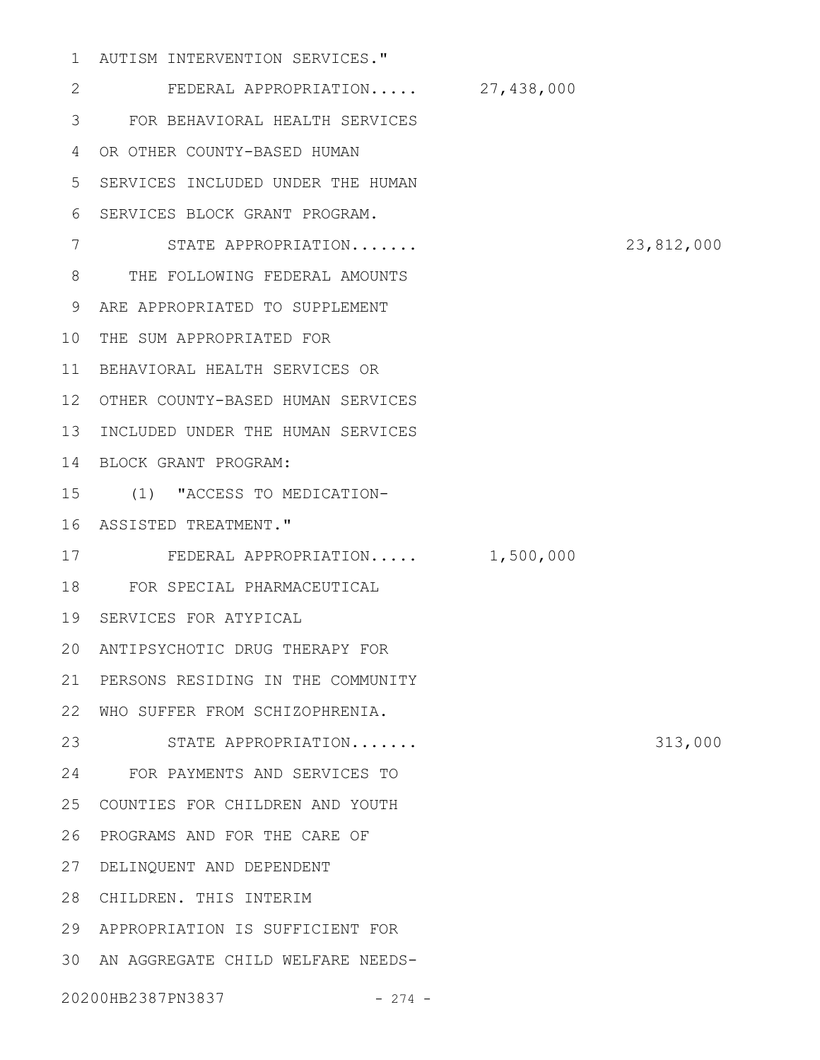AUTISM INTERVENTION SERVICES." 1

FEDERAL APPROPRIATION..... 27,438,000 FOR BEHAVIORAL HEALTH SERVICES 3 OR OTHER COUNTY-BASED HUMAN 4 SERVICES INCLUDED UNDER THE HUMAN 5 6 SERVICES BLOCK GRANT PROGRAM. STATE APPROPRIATION....... 23,812,000 8 THE FOLLOWING FEDERAL AMOUNTS ARE APPROPRIATED TO SUPPLEMENT 9 10 THE SUM APPROPRIATED FOR BEHAVIORAL HEALTH SERVICES OR 11 OTHER COUNTY-BASED HUMAN SERVICES 12 13 INCLUDED UNDER THE HUMAN SERVICES BLOCK GRANT PROGRAM: 14 (1) "ACCESS TO MEDICATION-15 16 ASSISTED TREATMENT." 17 FEDERAL APPROPRIATION..... 1,500,000 FOR SPECIAL PHARMACEUTICAL 18 19 SERVICES FOR ATYPICAL ANTIPSYCHOTIC DRUG THERAPY FOR 20 21 PERSONS RESIDING IN THE COMMUNITY WHO SUFFER FROM SCHIZOPHRENIA. 22 23 STATE APPROPRIATION....... 313,000 FOR PAYMENTS AND SERVICES TO 24 COUNTIES FOR CHILDREN AND YOUTH 25 26 PROGRAMS AND FOR THE CARE OF DELINQUENT AND DEPENDENT 27 28 CHILDREN. THIS INTERIM APPROPRIATION IS SUFFICIENT FOR 29 AN AGGREGATE CHILD WELFARE NEEDS-3020200HB2387PN3837 - 274 -2 7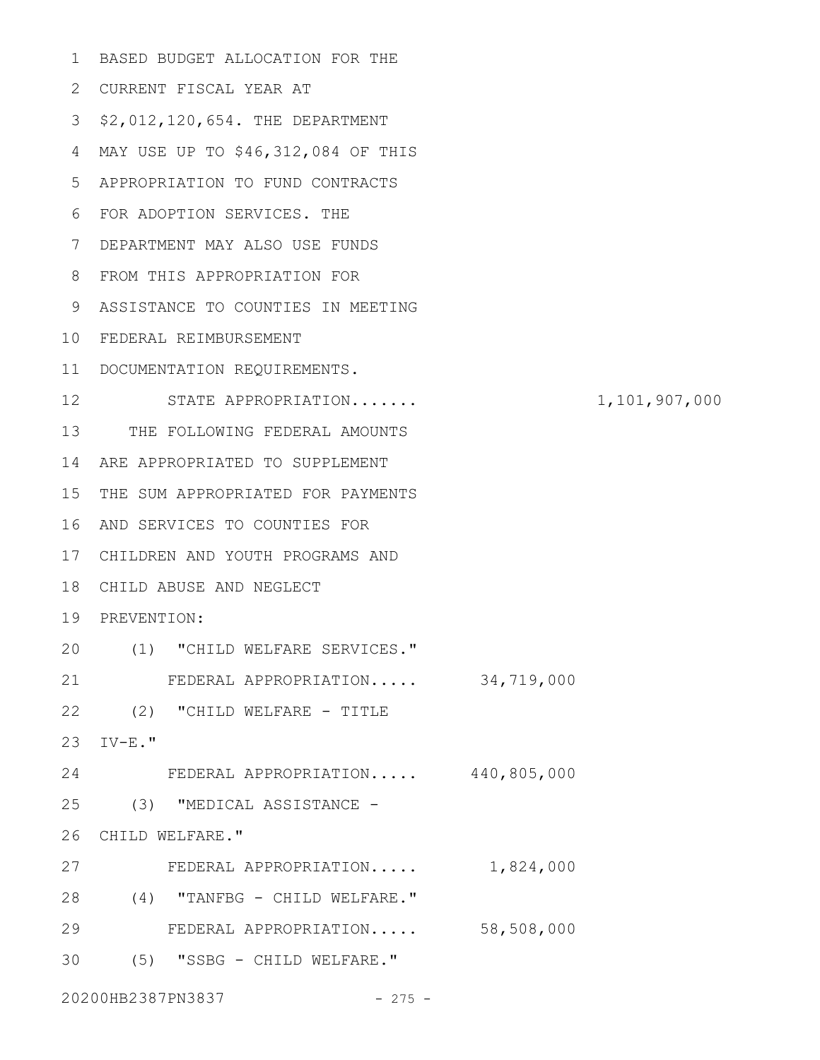| $\mathbf 1$ | BASED BUDGET ALLOCATION FOR THE    |               |
|-------------|------------------------------------|---------------|
| 2           | CURRENT FISCAL YEAR AT             |               |
| 3           | \$2,012,120,654. THE DEPARTMENT    |               |
| 4           | MAY USE UP TO \$46,312,084 OF THIS |               |
| 5           | APPROPRIATION TO FUND CONTRACTS    |               |
| 6           | FOR ADOPTION SERVICES. THE         |               |
| 7           | DEPARTMENT MAY ALSO USE FUNDS      |               |
| 8           | FROM THIS APPROPRIATION FOR        |               |
| 9           | ASSISTANCE TO COUNTIES IN MEETING  |               |
| 10          | FEDERAL REIMBURSEMENT              |               |
| 11          | DOCUMENTATION REQUIREMENTS.        |               |
| 12          | STATE APPROPRIATION                | 1,101,907,000 |
| 13          | THE FOLLOWING FEDERAL AMOUNTS      |               |
| 14          | ARE APPROPRIATED TO SUPPLEMENT     |               |
| 15          | THE SUM APPROPRIATED FOR PAYMENTS  |               |
| 16          | AND SERVICES TO COUNTIES FOR       |               |
| 17          | CHILDREN AND YOUTH PROGRAMS AND    |               |
| 18          | CHILD ABUSE AND NEGLECT            |               |
| 19          | PREVENTION:                        |               |
| 20          | (1) "CHILD WELFARE SERVICES."      |               |
| 21          | FEDERAL APPROPRIATION 34,719,000   |               |
| 22          | (2) "CHILD WELFARE - TITLE         |               |
| 23          | $IV-E.$ $"$                        |               |
| 24          | FEDERAL APPROPRIATION 440,805,000  |               |
| 25          | (3) "MEDICAL ASSISTANCE -          |               |
| 26          | CHILD WELFARE."                    |               |
| 27          | FEDERAL APPROPRIATION 1,824,000    |               |
| 28          | (4) "TANFBG - CHILD WELFARE."      |               |
| 29          | FEDERAL APPROPRIATION 58,508,000   |               |
| 30          | (5) "SSBG - CHILD WELFARE."        |               |
|             |                                    |               |

20200HB2387PN3837 - 275 -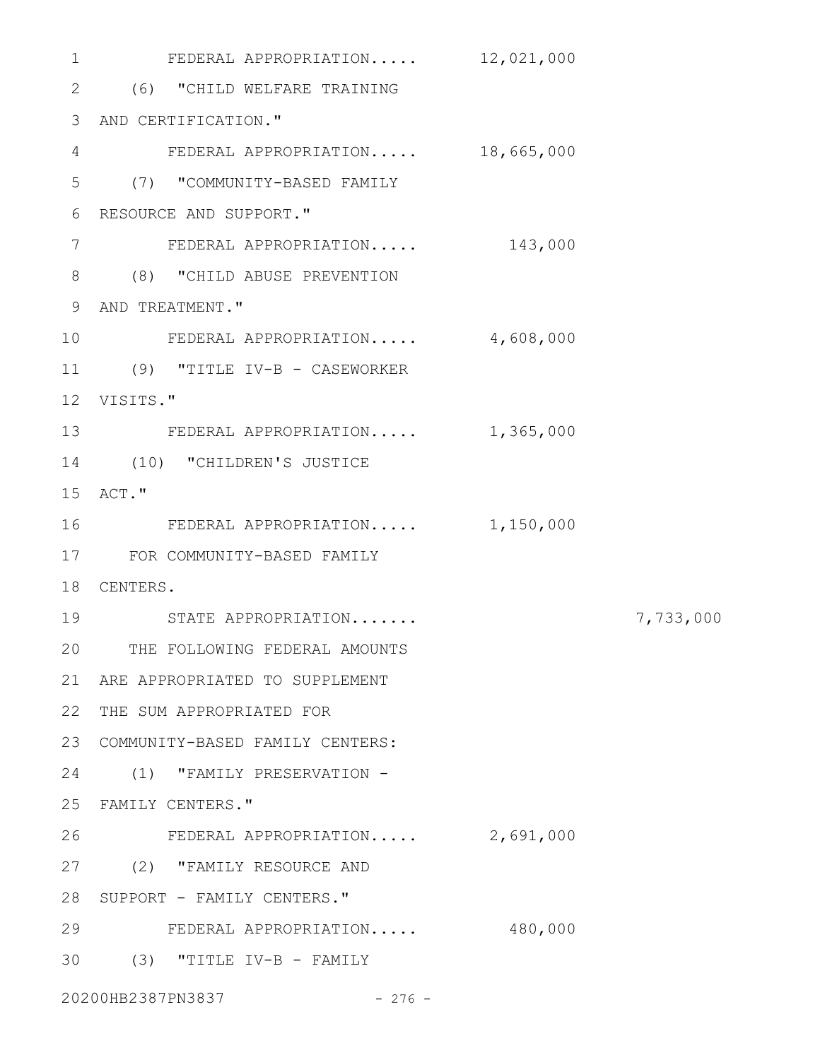FEDERAL APPROPRIATION..... 12,021,000 (6) "CHILD WELFARE TRAINING 2 AND CERTIFICATION." 3 FEDERAL APPROPRIATION..... 18,665,000 4 (7) "COMMUNITY-BASED FAMILY 5 6 RESOURCE AND SUPPORT." FEDERAL APPROPRIATION..... 143,000 (8) "CHILD ABUSE PREVENTION 8 9 AND TREATMENT." FEDERAL APPROPRIATION..... 4,608,000 11 (9) "TITLE IV-B - CASEWORKER VISITS." 12 13 FEDERAL APPROPRIATION..... 1,365,000 14 (10) "CHILDREN'S JUSTICE 15 ACT." FEDERAL APPROPRIATION..... 1,150,000 FOR COMMUNITY-BASED FAMILY 17 18 CENTERS. STATE APPROPRIATION....... 7,733,000 19 THE FOLLOWING FEDERAL AMOUNTS 20 ARE APPROPRIATED TO SUPPLEMENT 21 22 THE SUM APPROPRIATED FOR 23 COMMUNITY-BASED FAMILY CENTERS: 24 (1) "FAMILY PRESERVATION -FAMILY CENTERS." 25 FEDERAL APPROPRIATION..... 2,691,000 (2) "FAMILY RESOURCE AND 27 28 SUPPORT - FAMILY CENTERS." FEDERAL APPROPRIATION..... 480,000 29 (3) "TITLE IV-B - FAMILY 3020200HB2387PN3837 - 276 -1 7 10 16 26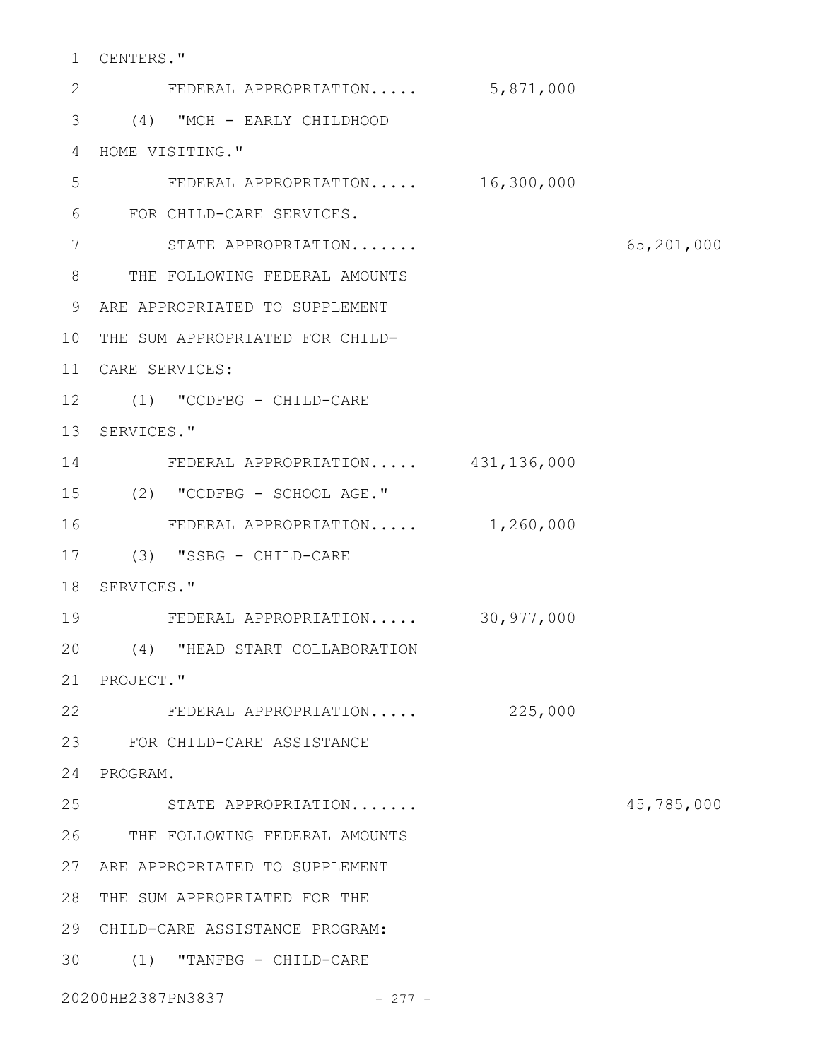CENTERS." 1

FEDERAL APPROPRIATION..... 5,871,000 (4) "MCH - EARLY CHILDHOOD 3 4 HOME VISITING." FEDERAL APPROPRIATION..... 16,300,000 FOR CHILD-CARE SERVICES. STATE APPROPRIATION....... 65,201,000 8 THE FOLLOWING FEDERAL AMOUNTS ARE APPROPRIATED TO SUPPLEMENT 9 10 THE SUM APPROPRIATED FOR CHILD-CARE SERVICES: 11 (1) "CCDFBG - CHILD-CARE 12 13 SERVICES." FEDERAL APPROPRIATION..... 431,136,000 (2) "CCDFBG - SCHOOL AGE." 15 FEDERAL APPROPRIATION..... 1,260,000 (3) "SSBG - CHILD-CARE 17 18 SERVICES." FEDERAL APPROPRIATION..... 30,977,000 (4) "HEAD START COLLABORATION 20 21 PROJECT." 22 FEDERAL APPROPRIATION..... 225,000 FOR CHILD-CARE ASSISTANCE 23 24 PROGRAM. STATE APPROPRIATION....... 45,785,000 THE FOLLOWING FEDERAL AMOUNTS 26 ARE APPROPRIATED TO SUPPLEMENT 27 28 THE SUM APPROPRIATED FOR THE CHILD-CARE ASSISTANCE PROGRAM: 29 (1) "TANFBG - CHILD-CARE 3020200HB2387PN3837 - 277 - 2 5 6 7 14 16 19 25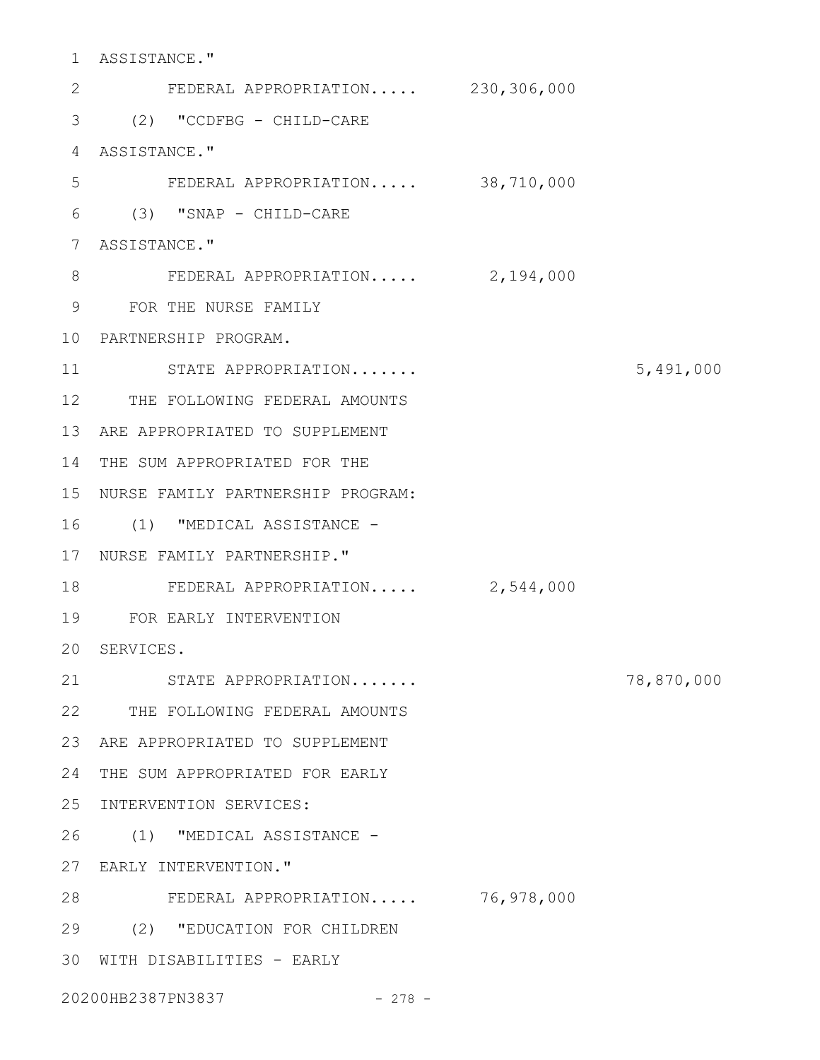ASSISTANCE." 1 FEDERAL APPROPRIATION..... 230,306,000 (2) "CCDFBG - CHILD-CARE 3 4 ASSISTANCE." FEDERAL APPROPRIATION..... 38,710,000 (3) "SNAP - CHILD-CARE 6 7 ASSISTANCE." FEDERAL APPROPRIATION..... 2,194,000 FOR THE NURSE FAMILY 9 PARTNERSHIP PROGRAM. 10 STATE APPROPRIATION....... 5,491,000 12 THE FOLLOWING FEDERAL AMOUNTS 13 ARE APPROPRIATED TO SUPPLEMENT 14 THE SUM APPROPRIATED FOR THE 15 NURSE FAMILY PARTNERSHIP PROGRAM: 16 (1) "MEDICAL ASSISTANCE -17 NURSE FAMILY PARTNERSHIP." 18 FEDERAL APPROPRIATION..... 2,544,000 FOR EARLY INTERVENTION 19 20 SERVICES. STATE APPROPRIATION....... 78,870,000 22 THE FOLLOWING FEDERAL AMOUNTS 23 ARE APPROPRIATED TO SUPPLEMENT 24 THE SUM APPROPRIATED FOR EARLY 25 INTERVENTION SERVICES: (1) "MEDICAL ASSISTANCE - 26 27 EARLY INTERVENTION." FEDERAL APPROPRIATION..... 76,978,000 28 (2) "EDUCATION FOR CHILDREN 29 30 WITH DISABILITIES - EARLY 2 5 8 11 21

20200HB2387PN3837 - 278 -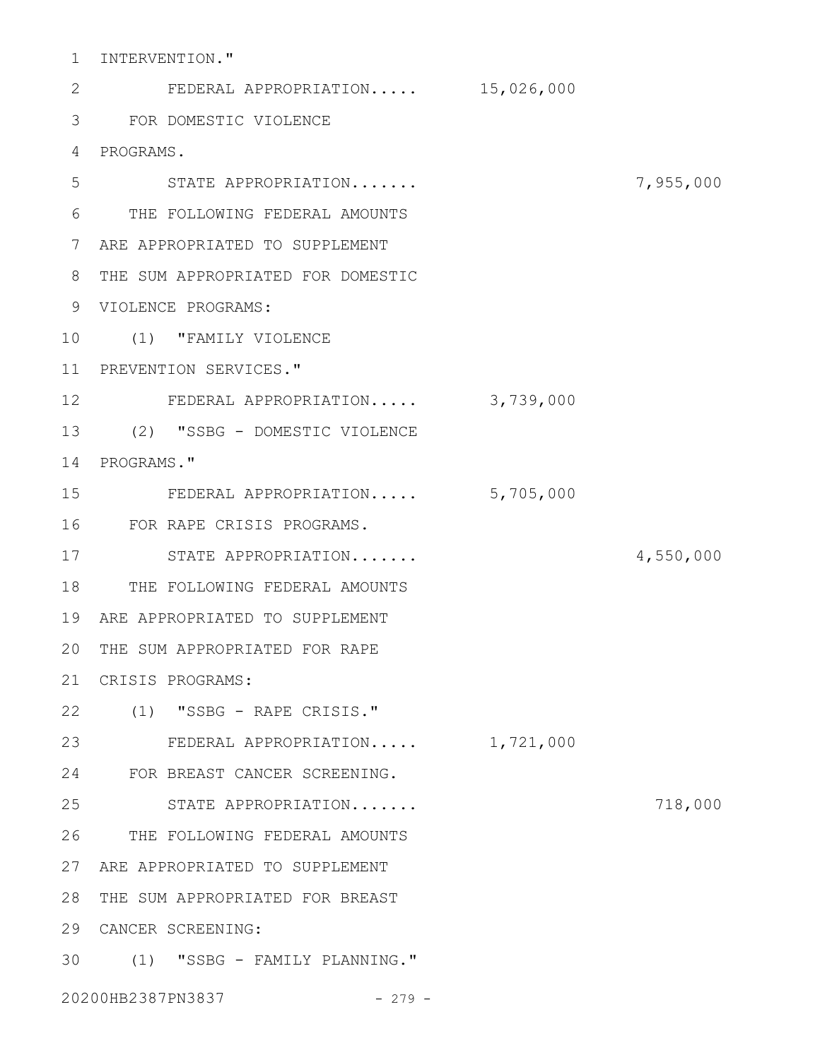1 INTERVENTION."

| $\mathbf{2}$    | FEDERAL APPROPRIATION 15,026,000  |           |           |
|-----------------|-----------------------------------|-----------|-----------|
| 3               | FOR DOMESTIC VIOLENCE             |           |           |
| 4               | PROGRAMS.                         |           |           |
| 5               | STATE APPROPRIATION               |           | 7,955,000 |
| 6               | THE FOLLOWING FEDERAL AMOUNTS     |           |           |
| 7               | ARE APPROPRIATED TO SUPPLEMENT    |           |           |
| 8               | THE SUM APPROPRIATED FOR DOMESTIC |           |           |
| 9               | VIOLENCE PROGRAMS:                |           |           |
| 10              | (1) "FAMILY VIOLENCE              |           |           |
| 11              | PREVENTION SERVICES."             |           |           |
| 12 <sup>°</sup> | FEDERAL APPROPRIATION             | 3,739,000 |           |
| 13              | (2) "SSBG - DOMESTIC VIOLENCE     |           |           |
| 14              | PROGRAMS."                        |           |           |
| 15              | FEDERAL APPROPRIATION             | 5,705,000 |           |
| 16              | FOR RAPE CRISIS PROGRAMS.         |           |           |
| 17              | STATE APPROPRIATION               |           | 4,550,000 |
| 18              | THE FOLLOWING FEDERAL AMOUNTS     |           |           |
| 19              | ARE APPROPRIATED TO SUPPLEMENT    |           |           |
| 20              | THE SUM APPROPRIATED FOR RAPE     |           |           |
| 21              | CRISIS PROGRAMS:                  |           |           |
| 22              | (1) "SSBG - RAPE CRISIS."         |           |           |
| 23              | FEDERAL APPROPRIATION             | 1,721,000 |           |
| 24              | FOR BREAST CANCER SCREENING.      |           |           |
| 25              | STATE APPROPRIATION               |           | 718,000   |
| 26              | THE FOLLOWING FEDERAL AMOUNTS     |           |           |
| 27              | ARE APPROPRIATED TO SUPPLEMENT    |           |           |
| 28              | THE SUM APPROPRIATED FOR BREAST   |           |           |
| 29              | CANCER SCREENING:                 |           |           |
| 30              | (1) "SSBG - FAMILY PLANNING."     |           |           |
|                 | 20200HB2387PN3837<br>$-279 -$     |           |           |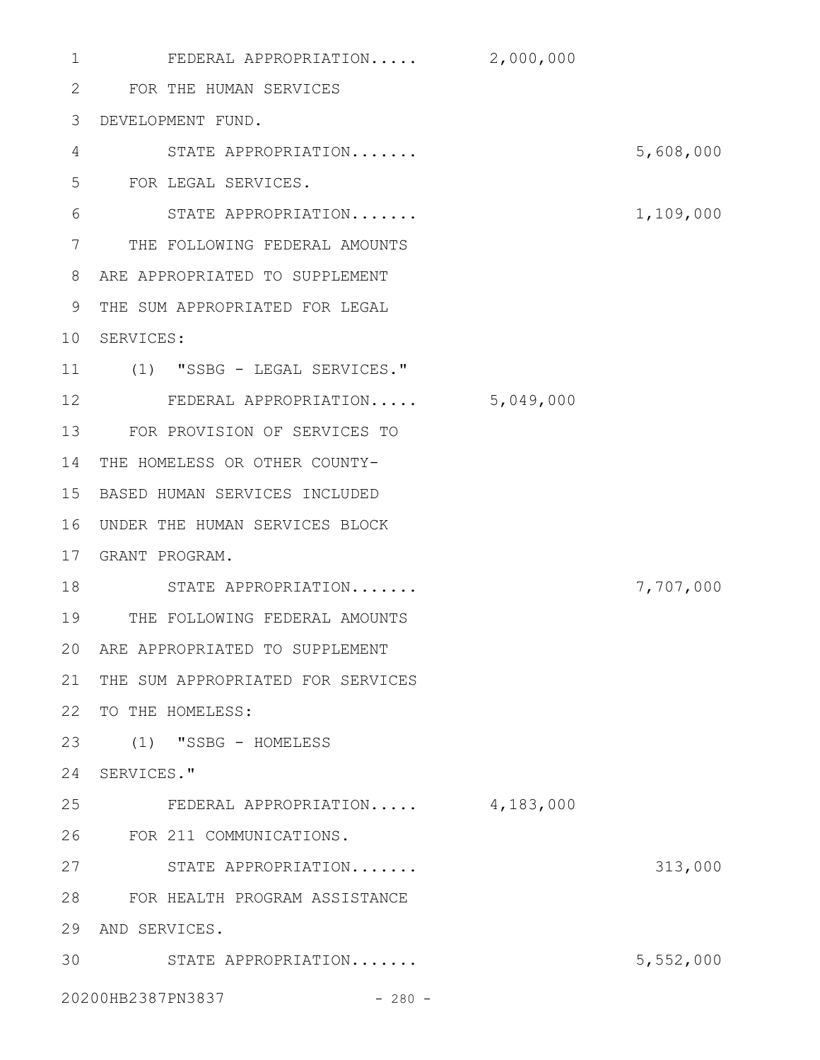FEDERAL APPROPRIATION..... 2,000,000 FOR THE HUMAN SERVICES 2 DEVELOPMENT FUND. 3 STATE APPROPRIATION....... 5,608,000 FOR LEGAL SERVICES. STATE APPROPRIATION....... 1,109,000 7 THE FOLLOWING FEDERAL AMOUNTS ARE APPROPRIATED TO SUPPLEMENT 8 THE SUM APPROPRIATED FOR LEGAL 9 10 SERVICES: (1) "SSBG - LEGAL SERVICES." 11 FEDERAL APPROPRIATION..... 5,049,000 12 FOR PROVISION OF SERVICES TO 13 14 THE HOMELESS OR OTHER COUNTY-BASED HUMAN SERVICES INCLUDED 15 16 UNDER THE HUMAN SERVICES BLOCK GRANT PROGRAM. 17 18 STATE APPROPRIATION....... 7,707,000 THE FOLLOWING FEDERAL AMOUNTS 19 ARE APPROPRIATED TO SUPPLEMENT 20 21 THE SUM APPROPRIATED FOR SERVICES 22 TO THE HOMELESS: (1) "SSBG - HOMELESS 23 24 SERVICES." FEDERAL APPROPRIATION..... 4,183,000 FOR 211 COMMUNICATIONS. 26 27 STATE APPROPRIATION....... 313,000 FOR HEALTH PROGRAM ASSISTANCE 28 29 AND SERVICES. STATE APPROPRIATION....... 5,552,000 3020200HB2387PN3837 - 280 -1 4 5 6 25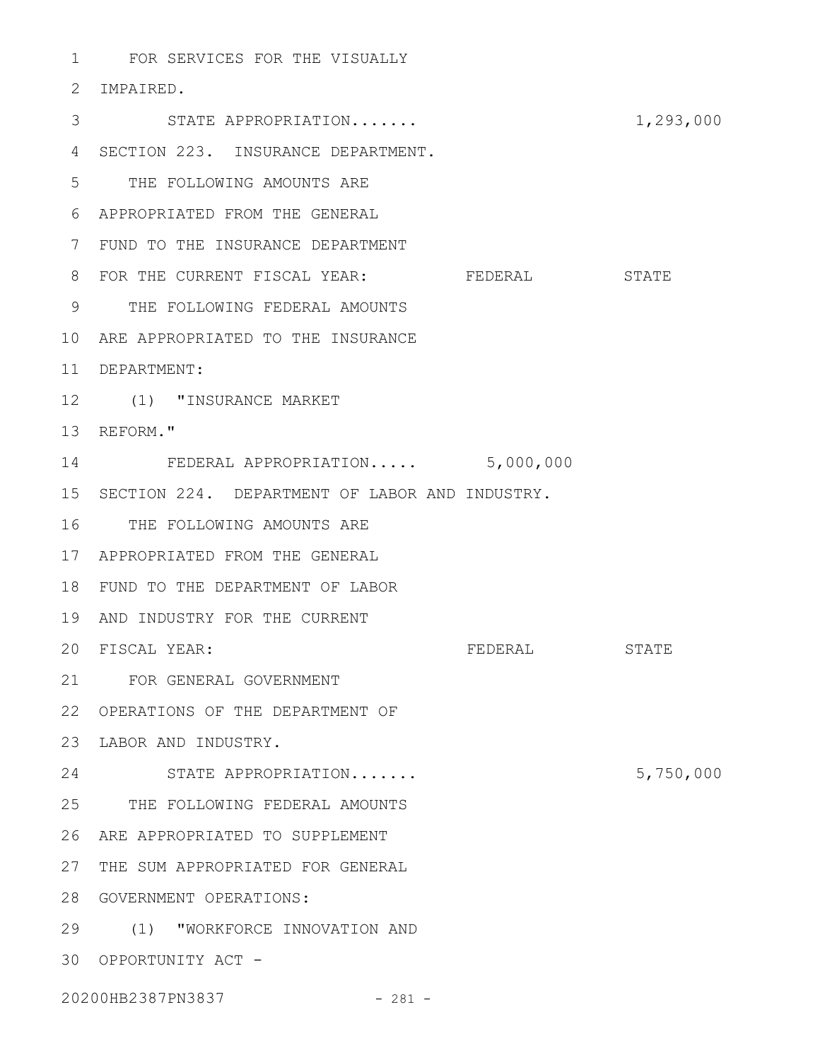FOR SERVICES FOR THE VISUALLY 1

## 2 IMPAIRED.

| 3  | STATE APPROPRIATION                               |         | 1,293,000 |
|----|---------------------------------------------------|---------|-----------|
| 4  | SECTION 223. INSURANCE DEPARTMENT.                |         |           |
| 5  | THE FOLLOWING AMOUNTS ARE                         |         |           |
| 6  | APPROPRIATED FROM THE GENERAL                     |         |           |
| 7  | FUND TO THE INSURANCE DEPARTMENT                  |         |           |
| 8  | FOR THE CURRENT FISCAL YEAR: FEDERAL STATE        |         |           |
| 9  | THE FOLLOWING FEDERAL AMOUNTS                     |         |           |
| 10 | ARE APPROPRIATED TO THE INSURANCE                 |         |           |
|    | 11 DEPARTMENT:                                    |         |           |
|    | 12 (1) "INSURANCE MARKET                          |         |           |
|    | 13 REFORM."                                       |         |           |
|    | 14 FEDERAL APPROPRIATION 5,000,000                |         |           |
|    | 15 SECTION 224. DEPARTMENT OF LABOR AND INDUSTRY. |         |           |
| 16 | THE FOLLOWING AMOUNTS ARE                         |         |           |
|    | 17 APPROPRIATED FROM THE GENERAL                  |         |           |
| 18 | FUND TO THE DEPARTMENT OF LABOR                   |         |           |
| 19 | AND INDUSTRY FOR THE CURRENT                      |         |           |
|    | 20 FISCAL YEAR:                                   | FEDERAL | STATE     |
|    | 21 FOR GENERAL GOVERNMENT                         |         |           |
|    | 22 OPERATIONS OF THE DEPARTMENT OF                |         |           |
|    | 23 LABOR AND INDUSTRY.                            |         |           |
| 24 | STATE APPROPRIATION                               |         | 5,750,000 |
| 25 | THE FOLLOWING FEDERAL AMOUNTS                     |         |           |
| 26 | ARE APPROPRIATED TO SUPPLEMENT                    |         |           |
| 27 | THE SUM APPROPRIATED FOR GENERAL                  |         |           |
| 28 | GOVERNMENT OPERATIONS:                            |         |           |
|    | 29 (1) "WORKFORCE INNOVATION AND                  |         |           |
|    | 30 OPPORTUNITY ACT -                              |         |           |
|    | 20200HB2387PN3837<br>$-281 -$                     |         |           |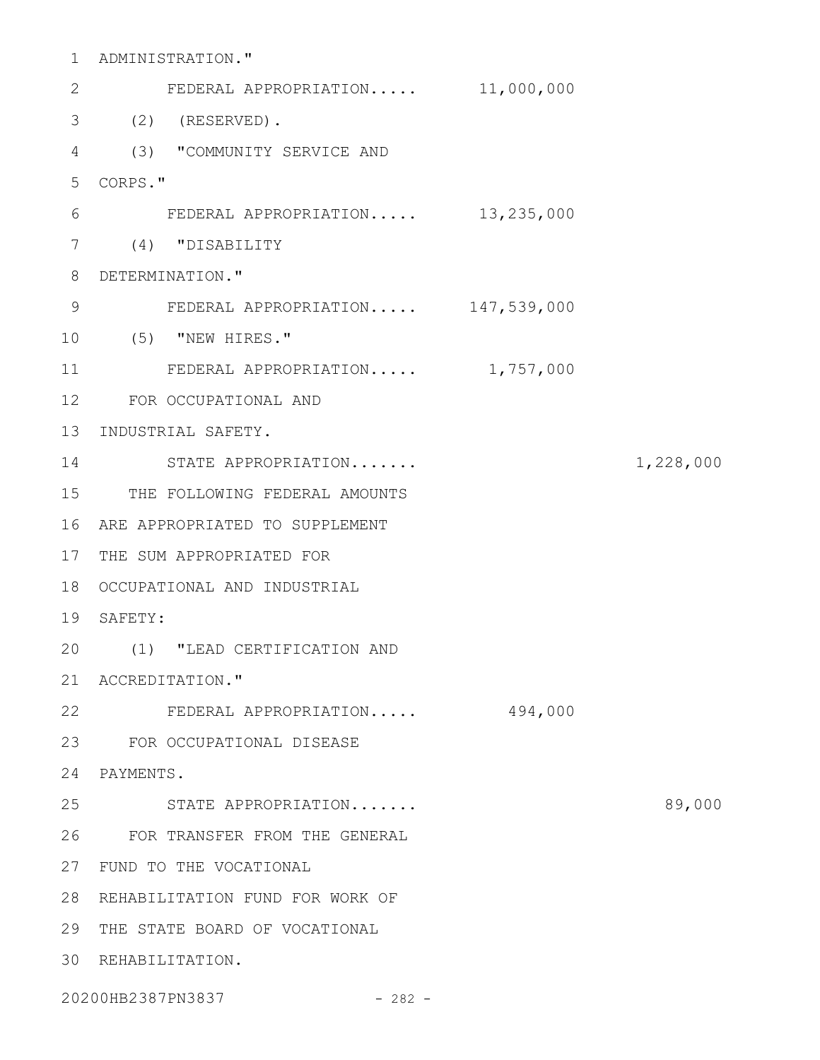ADMINISTRATION." 1 FEDERAL APPROPRIATION..... 11,000,000 (2) (RESERVED). 3 (3) "COMMUNITY SERVICE AND 4 CORPS." 5 FEDERAL APPROPRIATION..... 13,235,000 (4) "DISABILITY 7 8 DETERMINATION." FEDERAL APPROPRIATION..... 147,539,000 (5) "NEW HIRES." 10 FEDERAL APPROPRIATION..... 1,757,000 FOR OCCUPATIONAL AND 12 13 INDUSTRIAL SAFETY. 14 STATE APPROPRIATION....... 1,228,000 15 THE FOLLOWING FEDERAL AMOUNTS ARE APPROPRIATED TO SUPPLEMENT 16 17 THE SUM APPROPRIATED FOR 18 OCCUPATIONAL AND INDUSTRIAL 19 SAFETY: (1) "LEAD CERTIFICATION AND 20 21 ACCREDITATION." FEDERAL APPROPRIATION..... 494,000 22 FOR OCCUPATIONAL DISEASE 23 PAYMENTS. 24 STATE APPROPRIATION....... 89,000 FOR TRANSFER FROM THE GENERAL 26 27 FUND TO THE VOCATIONAL 28 REHABILITATION FUND FOR WORK OF 29 THE STATE BOARD OF VOCATIONAL 30 REHABILITATION. 2 6 9 11 25

20200HB2387PN3837 - 282 -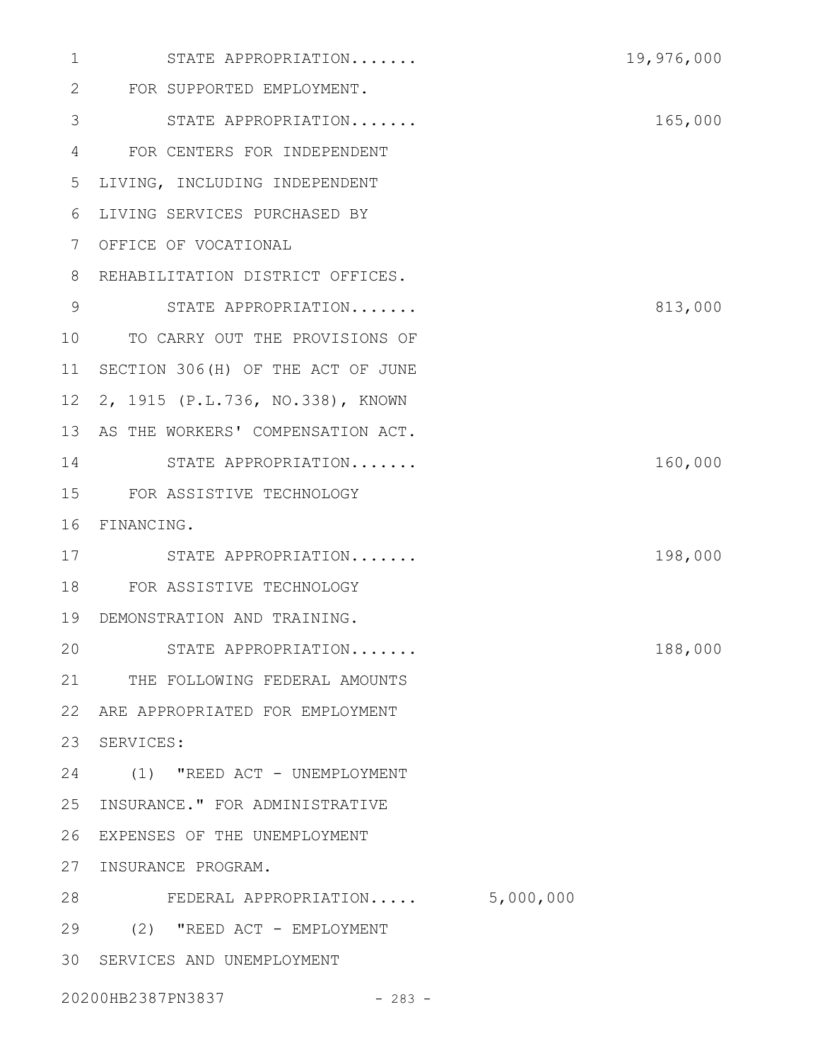| $\mathbf 1$  | STATE APPROPRIATION                                                                                                                                                                                                                                                                                                                                                                                     | 19,976,000 |
|--------------|---------------------------------------------------------------------------------------------------------------------------------------------------------------------------------------------------------------------------------------------------------------------------------------------------------------------------------------------------------------------------------------------------------|------------|
| $\mathbf{2}$ | FOR SUPPORTED EMPLOYMENT.                                                                                                                                                                                                                                                                                                                                                                               |            |
| 3            | STATE APPROPRIATION                                                                                                                                                                                                                                                                                                                                                                                     | 165,000    |
| 4            | FOR CENTERS FOR INDEPENDENT                                                                                                                                                                                                                                                                                                                                                                             |            |
| 5            | LIVING, INCLUDING INDEPENDENT                                                                                                                                                                                                                                                                                                                                                                           |            |
| 6            | LIVING SERVICES PURCHASED BY                                                                                                                                                                                                                                                                                                                                                                            |            |
| 7            | OFFICE OF VOCATIONAL                                                                                                                                                                                                                                                                                                                                                                                    |            |
| 8            | REHABILITATION DISTRICT OFFICES.                                                                                                                                                                                                                                                                                                                                                                        |            |
| 9            | STATE APPROPRIATION                                                                                                                                                                                                                                                                                                                                                                                     | 813,000    |
| 10           | TO CARRY OUT THE PROVISIONS OF                                                                                                                                                                                                                                                                                                                                                                          |            |
| 11           | SECTION 306(H) OF THE ACT OF JUNE                                                                                                                                                                                                                                                                                                                                                                       |            |
| 12           | 2, 1915 (P.L.736, NO.338), KNOWN                                                                                                                                                                                                                                                                                                                                                                        |            |
| 13           | AS THE WORKERS' COMPENSATION ACT.                                                                                                                                                                                                                                                                                                                                                                       |            |
| 14           | STATE APPROPRIATION                                                                                                                                                                                                                                                                                                                                                                                     | 160,000    |
| 15           | FOR ASSISTIVE TECHNOLOGY                                                                                                                                                                                                                                                                                                                                                                                |            |
| 16           | FINANCING.                                                                                                                                                                                                                                                                                                                                                                                              |            |
| 17           | STATE APPROPRIATION                                                                                                                                                                                                                                                                                                                                                                                     | 198,000    |
| 18           | FOR ASSISTIVE TECHNOLOGY                                                                                                                                                                                                                                                                                                                                                                                |            |
| 19           | DEMONSTRATION AND TRAINING.                                                                                                                                                                                                                                                                                                                                                                             |            |
| 20           | STATE APPROPRIATION                                                                                                                                                                                                                                                                                                                                                                                     | 188,000    |
|              | 21 THE FOLLOWING FEDERAL AMOUNTS                                                                                                                                                                                                                                                                                                                                                                        |            |
| 22           | ARE APPROPRIATED FOR EMPLOYMENT                                                                                                                                                                                                                                                                                                                                                                         |            |
| 23           | SERVICES:                                                                                                                                                                                                                                                                                                                                                                                               |            |
| 24           | (1) "REED ACT - UNEMPLOYMENT                                                                                                                                                                                                                                                                                                                                                                            |            |
| 25           | INSURANCE." FOR ADMINISTRATIVE                                                                                                                                                                                                                                                                                                                                                                          |            |
| 26           | EXPENSES OF THE UNEMPLOYMENT                                                                                                                                                                                                                                                                                                                                                                            |            |
| 27           | INSURANCE PROGRAM.                                                                                                                                                                                                                                                                                                                                                                                      |            |
| 28           | FEDERAL APPROPRIATION 5,000,000                                                                                                                                                                                                                                                                                                                                                                         |            |
| 29           | (2) "REED ACT - EMPLOYMENT                                                                                                                                                                                                                                                                                                                                                                              |            |
| 30           | SERVICES AND UNEMPLOYMENT                                                                                                                                                                                                                                                                                                                                                                               |            |
|              | $\bigcap_{n=1}^{\infty} \bigcap_{n=1}^{\infty} \bigcap_{n=1}^{\infty} \bigcap_{n=1}^{\infty} \bigcap_{n=1}^{\infty} \bigcap_{n=1}^{\infty} \bigcap_{n=1}^{\infty} \bigcap_{n=1}^{\infty} \bigcap_{n=1}^{\infty} \bigcap_{n=1}^{\infty} \bigcap_{n=1}^{\infty} \bigcap_{n=1}^{\infty} \bigcap_{n=1}^{\infty} \bigcap_{n=1}^{\infty} \bigcap_{n=1}^{\infty} \bigcap_{n=1}^{\infty} \bigcap_{n=1}^{\infty$ |            |

20200HB2387PN3837 - 283 -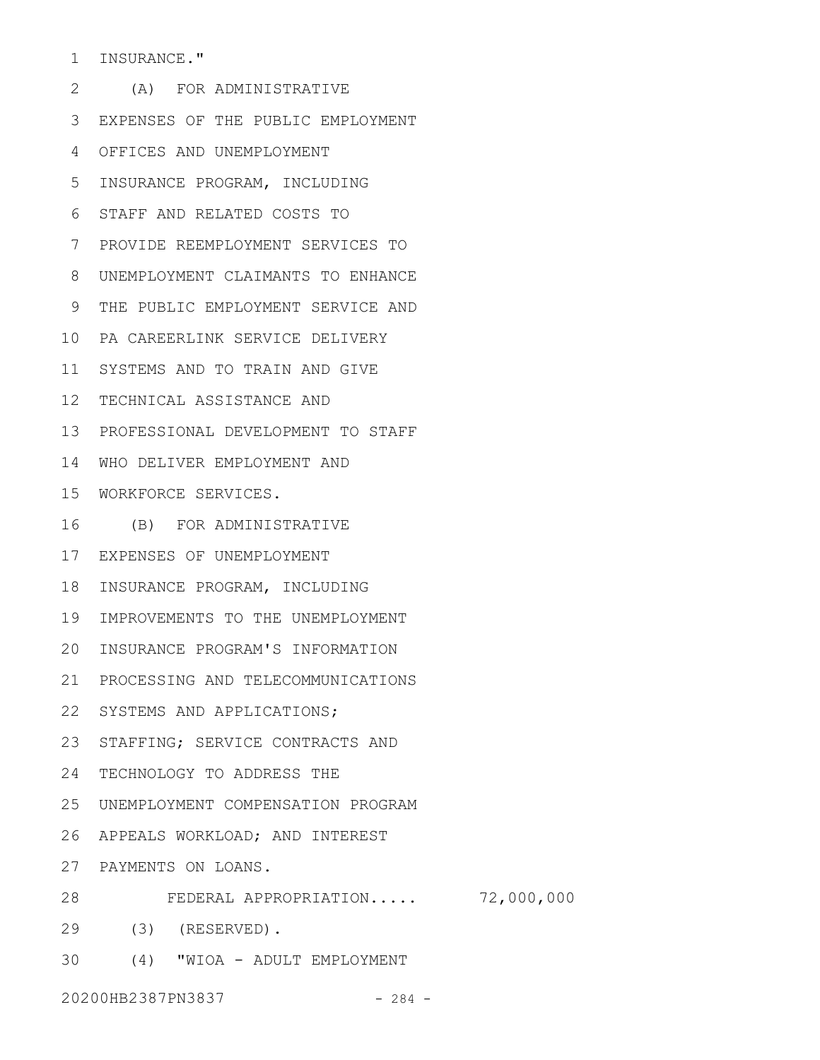INSURANCE." 1

(A) FOR ADMINISTRATIVE 2 EXPENSES OF THE PUBLIC EMPLOYMENT 3 OFFICES AND UNEMPLOYMENT 4 5 INSURANCE PROGRAM, INCLUDING STAFF AND RELATED COSTS TO 6 PROVIDE REEMPLOYMENT SERVICES TO 7 UNEMPLOYMENT CLAIMANTS TO ENHANCE 8 THE PUBLIC EMPLOYMENT SERVICE AND 9 PA CAREERLINK SERVICE DELIVERY 10 11 SYSTEMS AND TO TRAIN AND GIVE 12 TECHNICAL ASSISTANCE AND 13 PROFESSIONAL DEVELOPMENT TO STAFF 14 WHO DELIVER EMPLOYMENT AND WORKFORCE SERVICES. 15 (B) FOR ADMINISTRATIVE 16 EXPENSES OF UNEMPLOYMENT 17 18 INSURANCE PROGRAM, INCLUDING 19 IMPROVEMENTS TO THE UNEMPLOYMENT 20 INSURANCE PROGRAM'S INFORMATION 21 PROCESSING AND TELECOMMUNICATIONS 22 SYSTEMS AND APPLICATIONS; 23 STAFFING; SERVICE CONTRACTS AND TECHNOLOGY TO ADDRESS THE 24 25 UNEMPLOYMENT COMPENSATION PROGRAM 26 APPEALS WORKLOAD; AND INTEREST PAYMENTS ON LOANS. 27 FEDERAL APPROPRIATION..... 72,000,000 28 (3) (RESERVED). 29

(4) "WIOA - ADULT EMPLOYMENT 30

20200HB2387PN3837 - 284 -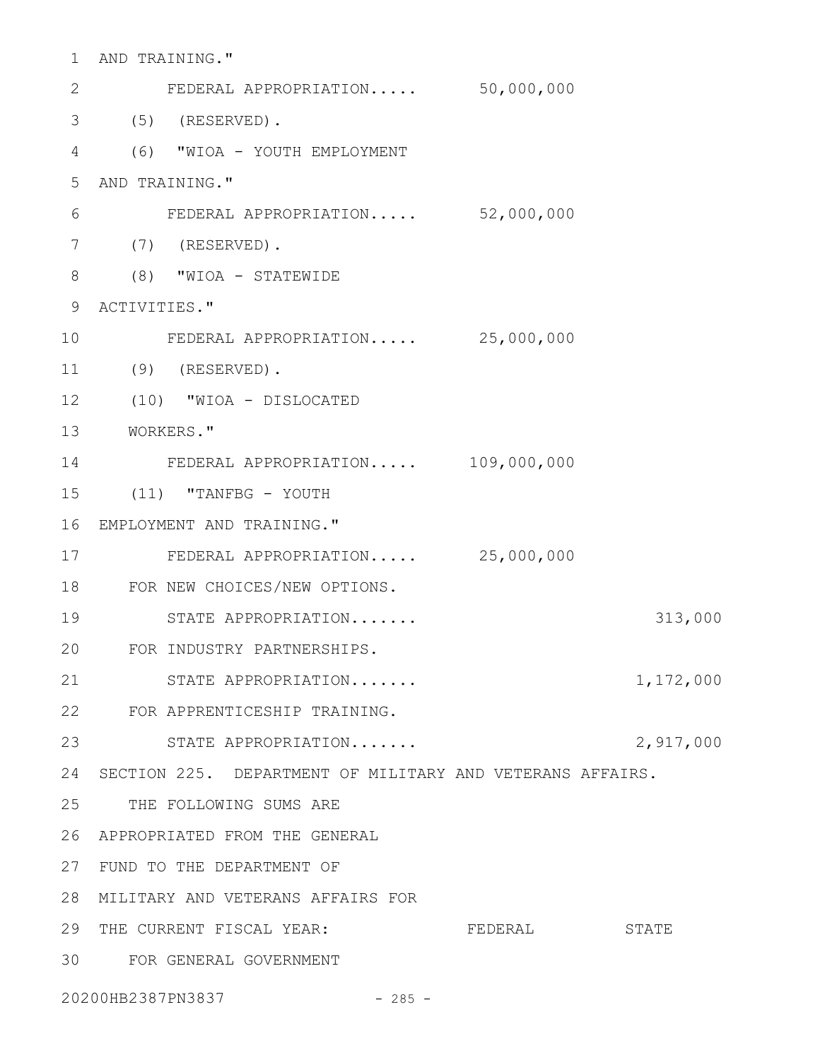| $\mathbf 1$    | AND TRAINING."                                            |             |           |
|----------------|-----------------------------------------------------------|-------------|-----------|
| 2              | FEDERAL APPROPRIATION 50,000,000                          |             |           |
| 3              | $(5)$ (RESERVED).                                         |             |           |
| 4              | (6) "WIOA - YOUTH EMPLOYMENT                              |             |           |
| 5              | AND TRAINING."                                            |             |           |
| 6              | FEDERAL APPROPRIATION 52,000,000                          |             |           |
| $\overline{7}$ | $(7)$ (RESERVED).                                         |             |           |
| 8              | $(8)$ "WIOA - STATEWIDE                                   |             |           |
| 9              | ACTIVITIES."                                              |             |           |
| 10             | FEDERAL APPROPRIATION 25,000,000                          |             |           |
| 11             | $(9)$ (RESERVED).                                         |             |           |
| 12             | (10) "WIOA - DISLOCATED                                   |             |           |
| 13             | WORKERS."                                                 |             |           |
| 14             | FEDERAL APPROPRIATION                                     | 109,000,000 |           |
| 15             | (11) "TANFBG - YOUTH                                      |             |           |
| 16             | EMPLOYMENT AND TRAINING."                                 |             |           |
| 17             | FEDERAL APPROPRIATION 25,000,000                          |             |           |
| 18             | FOR NEW CHOICES/NEW OPTIONS.                              |             |           |
| 19             | STATE APPROPRIATION                                       |             | 313,000   |
| 20             | FOR INDUSTRY PARTNERSHIPS.                                |             |           |
| 21             | STATE APPROPRIATION                                       |             | 1,172,000 |
|                | 22 FOR APPRENTICESHIP TRAINING.                           |             |           |
| 23             | STATE APPROPRIATION                                       |             | 2,917,000 |
| 24             | SECTION 225. DEPARTMENT OF MILITARY AND VETERANS AFFAIRS. |             |           |
| 25             | THE FOLLOWING SUMS ARE                                    |             |           |
| 26             | APPROPRIATED FROM THE GENERAL                             |             |           |
| 27             | FUND TO THE DEPARTMENT OF                                 |             |           |
| 28             | MILITARY AND VETERANS AFFAIRS FOR                         |             |           |
| 29             | THE CURRENT FISCAL YEAR:                                  | FEDERAL     | STATE     |
| 30             | FOR GENERAL GOVERNMENT                                    |             |           |
|                |                                                           |             |           |

20200HB2387PN3837 - 285 -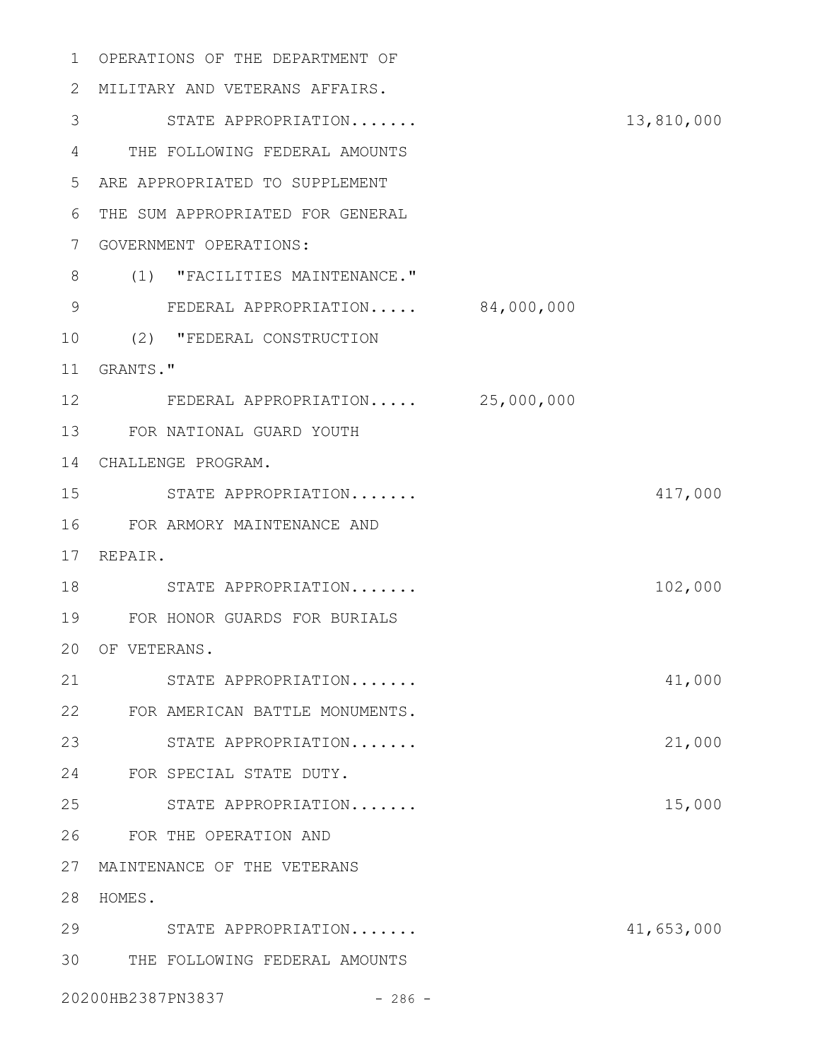OPERATIONS OF THE DEPARTMENT OF MILITARY AND VETERANS AFFAIRS. STATE APPROPRIATION....... 13,810,000 THE FOLLOWING FEDERAL AMOUNTS ARE APPROPRIATED TO SUPPLEMENT THE SUM APPROPRIATED FOR GENERAL GOVERNMENT OPERATIONS: (1) "FACILITIES MAINTENANCE." 9 FEDERAL APPROPRIATION..... 84,000,000 (2) "FEDERAL CONSTRUCTION GRANTS." FEDERAL APPROPRIATION..... 25,000,000 FOR NATIONAL GUARD YOUTH CHALLENGE PROGRAM. STATE APPROPRIATION....... 417,000 FOR ARMORY MAINTENANCE AND 17 REPAIR. 18 STATE APPROPRIATION....... 102,000 FOR HONOR GUARDS FOR BURIALS 20 OF VETERANS. STATE APPROPRIATION....... 41,000 FOR AMERICAN BATTLE MONUMENTS. STATE APPROPRIATION....... 21,000 FOR SPECIAL STATE DUTY. STATE APPROPRIATION....... 15,000 FOR THE OPERATION AND MAINTENANCE OF THE VETERANS HOMES. STATE APPROPRIATION....... 41,653,000 THE FOLLOWING FEDERAL AMOUNTS 20200HB2387PN3837 - 286 -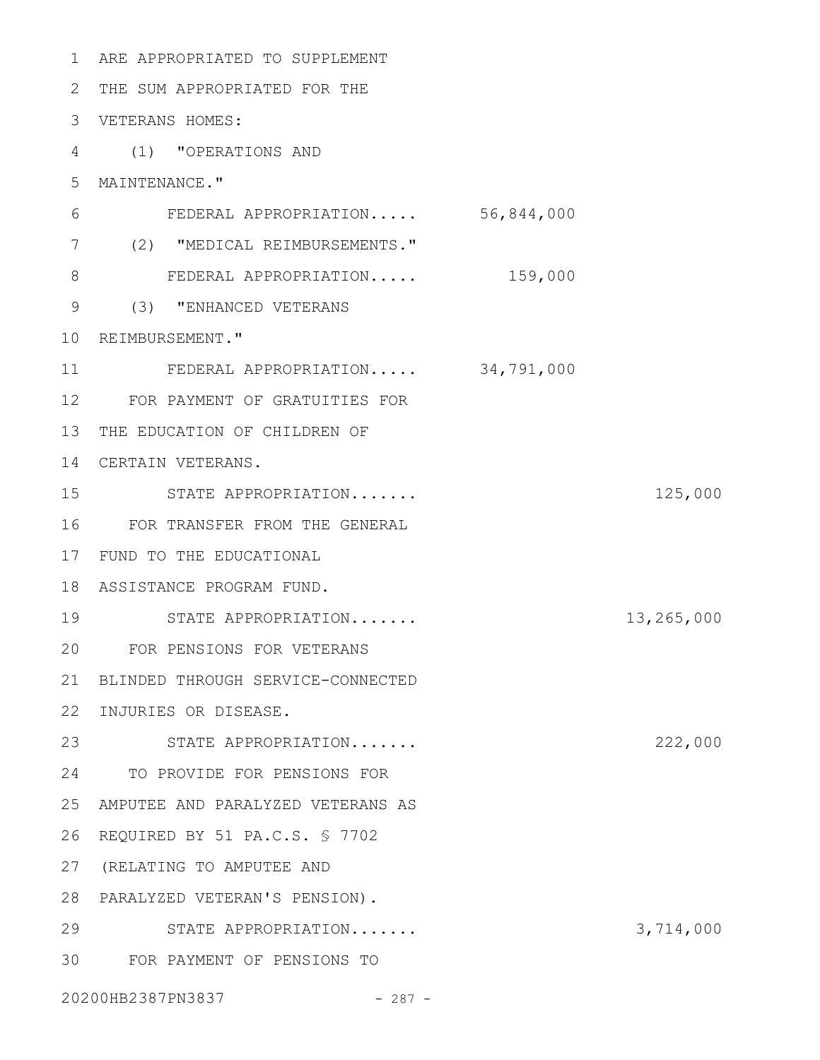| $\mathbf{1}$ | ARE APPROPRIATED TO SUPPLEMENT    |            |
|--------------|-----------------------------------|------------|
| 2            | THE SUM APPROPRIATED FOR THE      |            |
| 3            | VETERANS HOMES:                   |            |
| 4            | (1) "OPERATIONS AND               |            |
| 5            | MAINTENANCE."                     |            |
| 6            | FEDERAL APPROPRIATION 56,844,000  |            |
| 7            | (2) "MEDICAL REIMBURSEMENTS."     |            |
| 8            | FEDERAL APPROPRIATION 159,000     |            |
| $\mathsf 9$  | (3) "ENHANCED VETERANS            |            |
| 10           | REIMBURSEMENT."                   |            |
| 11           | FEDERAL APPROPRIATION 34,791,000  |            |
| 12           | FOR PAYMENT OF GRATUITIES FOR     |            |
| 13           | THE EDUCATION OF CHILDREN OF      |            |
| 14           | CERTAIN VETERANS.                 |            |
| 15           | STATE APPROPRIATION               | 125,000    |
| 16           | FOR TRANSFER FROM THE GENERAL     |            |
| 17           | FUND TO THE EDUCATIONAL           |            |
| 18           | ASSISTANCE PROGRAM FUND.          |            |
| 19           | STATE APPROPRIATION               | 13,265,000 |
| 20           | FOR PENSIONS FOR VETERANS         |            |
| 21           | BLINDED THROUGH SERVICE-CONNECTED |            |
| 22           | INJURIES OR DISEASE.              |            |
| 23           | STATE APPROPRIATION               | 222,000    |
| 24           | TO PROVIDE FOR PENSIONS FOR       |            |
| 25           | AMPUTEE AND PARALYZED VETERANS AS |            |
| 26           | REQUIRED BY 51 PA.C.S. § 7702     |            |
| 27           | (RELATING TO AMPUTEE AND          |            |
| 28           | PARALYZED VETERAN'S PENSION).     |            |
| 29           | STATE APPROPRIATION               | 3,714,000  |
| 30           | FOR PAYMENT OF PENSIONS TO        |            |
|              |                                   |            |

20200HB2387PN3837 - 287 -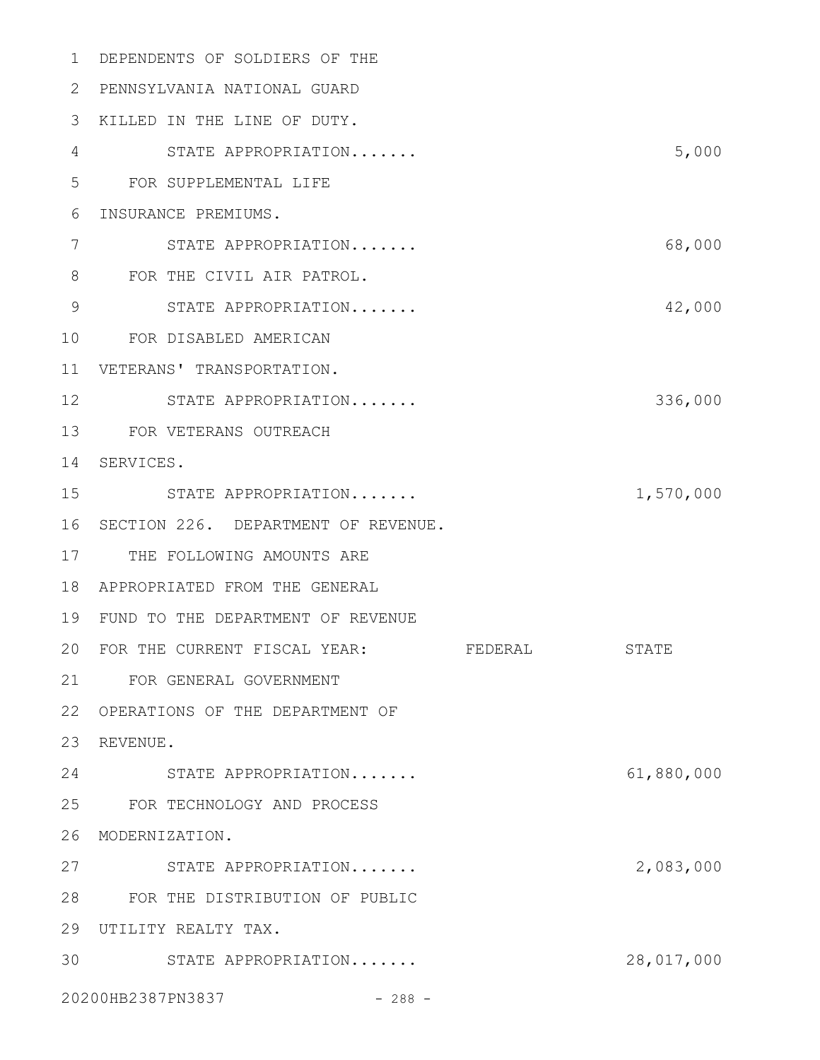DEPENDENTS OF SOLDIERS OF THE 1 PENNSYLVANIA NATIONAL GUARD 2 KILLED IN THE LINE OF DUTY. 3 STATE APPROPRIATION....... 5,000 FOR SUPPLEMENTAL LIFE 5 6 INSURANCE PREMIUMS. STATE APPROPRIATION....... 68,000 8 FOR THE CIVIL AIR PATROL. STATE APPROPRIATION....... 42,000 FOR DISABLED AMERICAN 10 VETERANS' TRANSPORTATION. 11 12 STATE APPROPRIATION....... 336,000 FOR VETERANS OUTREACH 13 14 SERVICES. STATE APPROPRIATION....... 1,570,000 16 SECTION 226. DEPARTMENT OF REVENUE. 17 THE FOLLOWING AMOUNTS ARE APPROPRIATED FROM THE GENERAL 18 FUND TO THE DEPARTMENT OF REVENUE 19 20 FOR THE CURRENT FISCAL YEAR: FEDERAL STATE FOR GENERAL GOVERNMENT 21 22 OPERATIONS OF THE DEPARTMENT OF 23 REVENUE. STATE APPROPRIATION....... 61,880,000 24 FOR TECHNOLOGY AND PROCESS 25 26 MODERNIZATION. STATE APPROPRIATION....... 2,083,000 FOR THE DISTRIBUTION OF PUBLIC 28 UTILITY REALTY TAX. 29 STATE APPROPRIATION....... 28,017,000 3020200HB2387PN3837 - 288 -4 7 9 15 27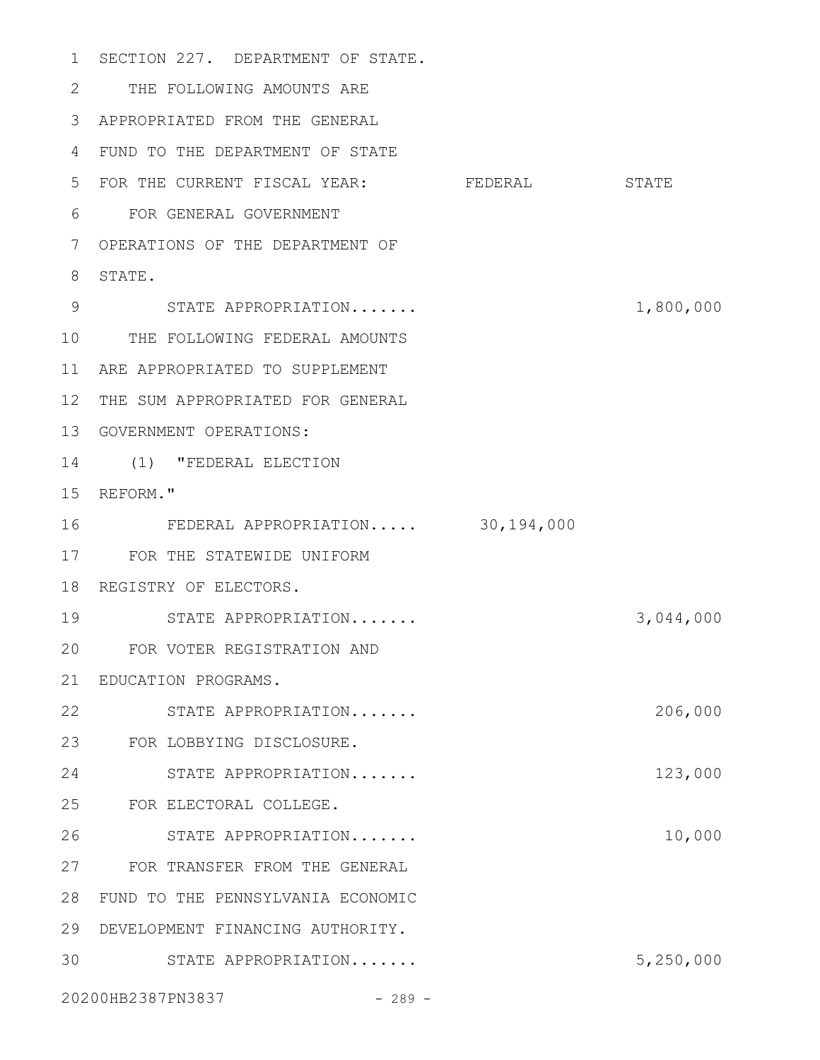1 SECTION 227. DEPARTMENT OF STATE. THE FOLLOWING AMOUNTS ARE 2 APPROPRIATED FROM THE GENERAL 3 FUND TO THE DEPARTMENT OF STATE 4 5 FOR THE CURRENT FISCAL YEAR: FEDERAL STATE FOR GENERAL GOVERNMENT 6 7 OPERATIONS OF THE DEPARTMENT OF 8 STATE. STATE APPROPRIATION....... 1,800,000 9 10 THE FOLLOWING FEDERAL AMOUNTS ARE APPROPRIATED TO SUPPLEMENT 11 12 THE SUM APPROPRIATED FOR GENERAL 13 GOVERNMENT OPERATIONS: (1) "FEDERAL ELECTION 14 15 REFORM." FEDERAL APPROPRIATION..... 30,194,000 FOR THE STATEWIDE UNIFORM 17 18 REGISTRY OF ELECTORS. STATE APPROPRIATION....... 3,044,000 FOR VOTER REGISTRATION AND 20 EDUCATION PROGRAMS. 21 STATE APPROPRIATION....... 206,000 FOR LOBBYING DISCLOSURE. 23 STATE APPROPRIATION....... 123,000 FOR ELECTORAL COLLEGE. STATE APPROPRIATION....... 10,000 FOR TRANSFER FROM THE GENERAL 27 FUND TO THE PENNSYLVANIA ECONOMIC 28 29 DEVELOPMENT FINANCING AUTHORITY. STATE APPROPRIATION....... 5,250,000 3016 19 22 24 25 26

20200HB2387PN3837 - 289 -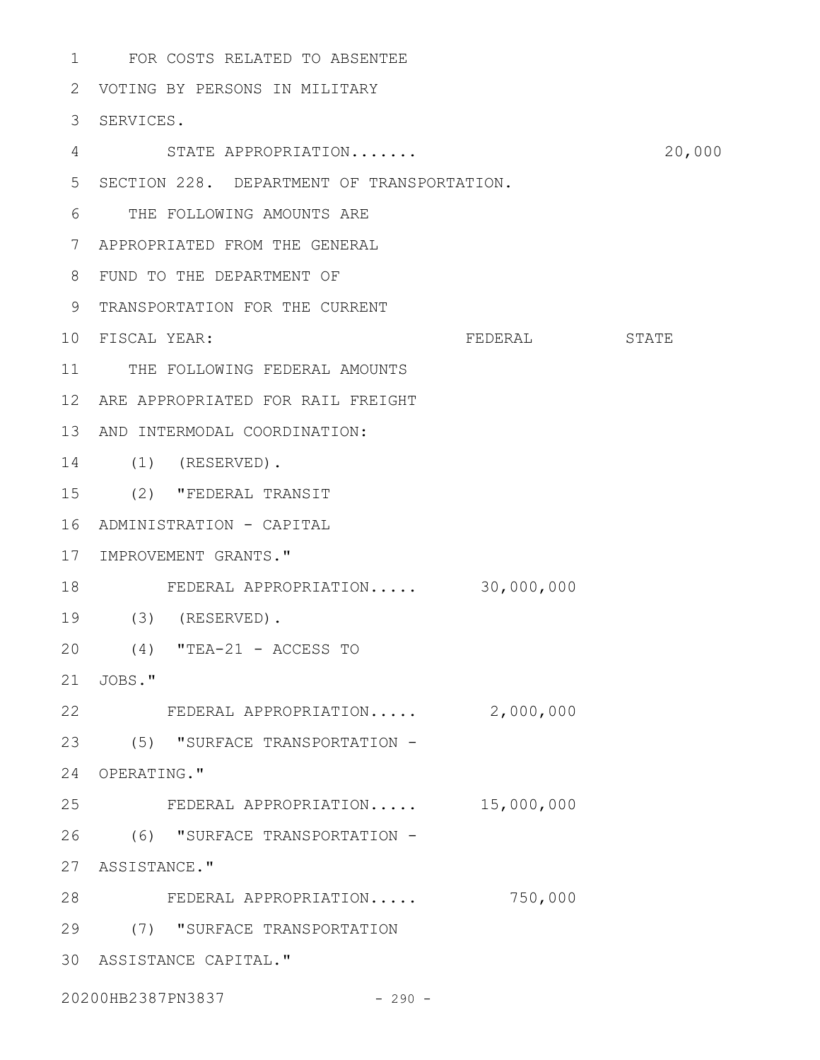FOR COSTS RELATED TO ABSENTEE 1 2 VOTING BY PERSONS IN MILITARY 3 SERVICES. STATE APPROPRIATION....... 20,000 SECTION 228. DEPARTMENT OF TRANSPORTATION. 5 THE FOLLOWING AMOUNTS ARE 6 APPROPRIATED FROM THE GENERAL 7 FUND TO THE DEPARTMENT OF 8 9 TRANSPORTATION FOR THE CURRENT FEDERAL STATE 11 THE FOLLOWING FEDERAL AMOUNTS ARE APPROPRIATED FOR RAIL FREIGHT 12 13 AND INTERMODAL COORDINATION: (1) (RESERVED). 14 (2) "FEDERAL TRANSIT 15 ADMINISTRATION - CAPITAL 16 17 IMPROVEMENT GRANTS." FEDERAL APPROPRIATION..... 30,000,000 18 (3) (RESERVED). 19 (4) "TEA-21 - ACCESS TO 20 21 JOBS." 22 FEDERAL APPROPRIATION..... 2,000,000 (5) "SURFACE TRANSPORTATION - 23 24 OPERATING." FEDERAL APPROPRIATION..... 15,000,000 (6) "SURFACE TRANSPORTATION - 26 27 ASSISTANCE." FEDERAL APPROPRIATION..... 750,000 28 (7) "SURFACE TRANSPORTATION 29 4 10 FISCAL YEAR: 25

ASSISTANCE CAPITAL." 30

20200HB2387PN3837 - 290 -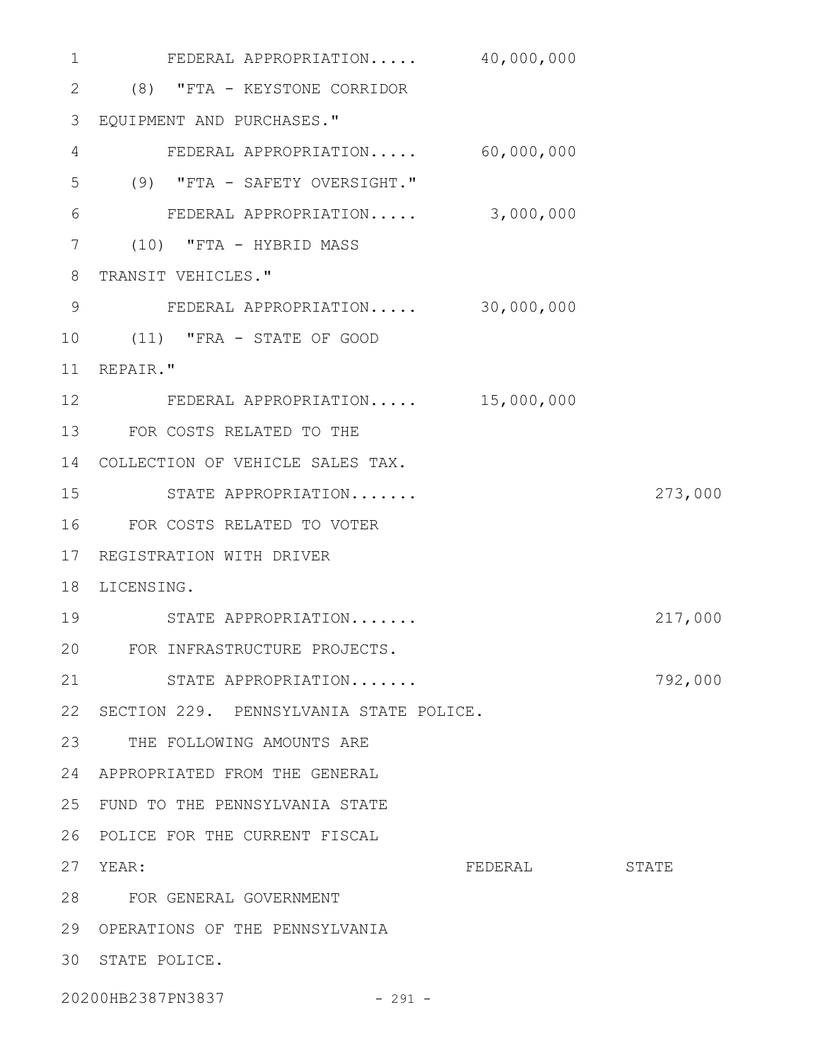| $\mathbf 1$     | FEDERAL APPROPRIATION 40,000,000        |         |         |
|-----------------|-----------------------------------------|---------|---------|
| $\mathbf{2}$    | (8) "FTA - KEYSTONE CORRIDOR            |         |         |
| 3               | EQUIPMENT AND PURCHASES."               |         |         |
| 4               | FEDERAL APPROPRIATION 60,000,000        |         |         |
| 5               | (9) "FTA - SAFETY OVERSIGHT."           |         |         |
| 6               | FEDERAL APPROPRIATION 3,000,000         |         |         |
| 7               | $(10)$ "FTA - HYBRID MASS               |         |         |
| 8               | TRANSIT VEHICLES."                      |         |         |
| 9               | FEDERAL APPROPRIATION 30,000,000        |         |         |
| 10              | (11) "FRA - STATE OF GOOD               |         |         |
| 11              | REPAIR."                                |         |         |
| 12 <sup>°</sup> | FEDERAL APPROPRIATION 15,000,000        |         |         |
| 13              | FOR COSTS RELATED TO THE                |         |         |
| 14              | COLLECTION OF VEHICLE SALES TAX.        |         |         |
| 15              | STATE APPROPRIATION                     |         | 273,000 |
| 16              | FOR COSTS RELATED TO VOTER              |         |         |
| 17              | REGISTRATION WITH DRIVER                |         |         |
| 18              | LICENSING.                              |         |         |
| 19              | STATE APPROPRIATION                     |         | 217,000 |
| 20              | FOR INFRASTRUCTURE PROJECTS.            |         |         |
| 21              | STATE APPROPRIATION                     |         | 792,000 |
| 22              | SECTION 229. PENNSYLVANIA STATE POLICE. |         |         |
| 23              | THE FOLLOWING AMOUNTS ARE               |         |         |
| 24              | APPROPRIATED FROM THE GENERAL           |         |         |
| 25              | FUND TO THE PENNSYLVANIA STATE          |         |         |
| 26              | POLICE FOR THE CURRENT FISCAL           |         |         |
| 27              | YEAR:                                   | FEDERAL | STATE   |
| 28              | FOR GENERAL GOVERNMENT                  |         |         |
| 29              | OPERATIONS OF THE PENNSYLVANIA          |         |         |
| 30              | STATE POLICE.                           |         |         |
|                 |                                         |         |         |

20200HB2387PN3837 - 291 -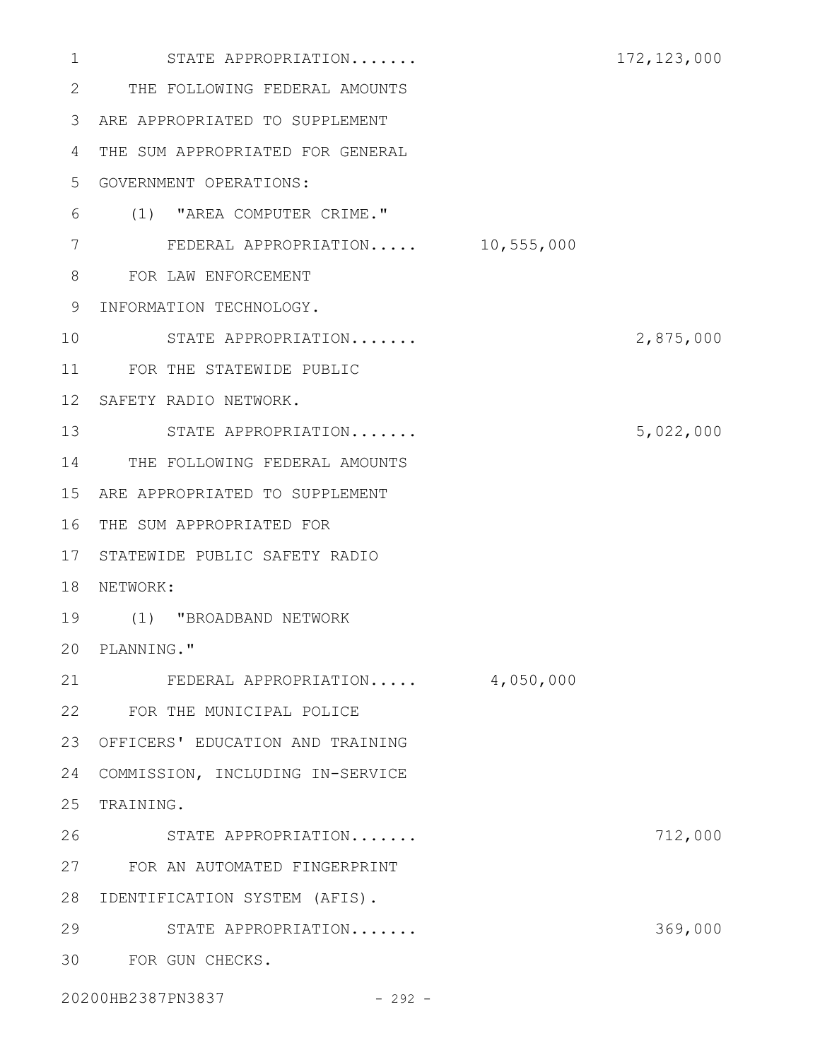| 1  | STATE APPROPRIATION              | 172, 123, 000 |
|----|----------------------------------|---------------|
| 2  | THE FOLLOWING FEDERAL AMOUNTS    |               |
| 3  | ARE APPROPRIATED TO SUPPLEMENT   |               |
| 4  | THE SUM APPROPRIATED FOR GENERAL |               |
| 5  | GOVERNMENT OPERATIONS:           |               |
| 6  | (1) "AREA COMPUTER CRIME."       |               |
| 7  | FEDERAL APPROPRIATION 10,555,000 |               |
| 8  | FOR LAW ENFORCEMENT              |               |
| 9  | INFORMATION TECHNOLOGY.          |               |
| 10 | STATE APPROPRIATION              | 2,875,000     |
| 11 | FOR THE STATEWIDE PUBLIC         |               |
| 12 | SAFETY RADIO NETWORK.            |               |
| 13 | STATE APPROPRIATION              | 5,022,000     |
| 14 | THE FOLLOWING FEDERAL AMOUNTS    |               |
| 15 | ARE APPROPRIATED TO SUPPLEMENT   |               |
| 16 | THE SUM APPROPRIATED FOR         |               |
| 17 | STATEWIDE PUBLIC SAFETY RADIO    |               |
| 18 | NETWORK:                         |               |
| 19 | (1) "BROADBAND NETWORK           |               |
|    | 20 PLANNING."                    |               |
| 21 | FEDERAL APPROPRIATION 4,050,000  |               |
|    | 22 FOR THE MUNICIPAL POLICE      |               |
| 23 | OFFICERS' EDUCATION AND TRAINING |               |
| 24 | COMMISSION, INCLUDING IN-SERVICE |               |
| 25 | TRAINING.                        |               |
| 26 | STATE APPROPRIATION              | 712,000       |
| 27 | FOR AN AUTOMATED FINGERPRINT     |               |
| 28 | IDENTIFICATION SYSTEM (AFIS).    |               |
| 29 | STATE APPROPRIATION              | 369,000       |
| 30 | FOR GUN CHECKS.                  |               |
|    | 20200HB2387PN3837<br>$-292 -$    |               |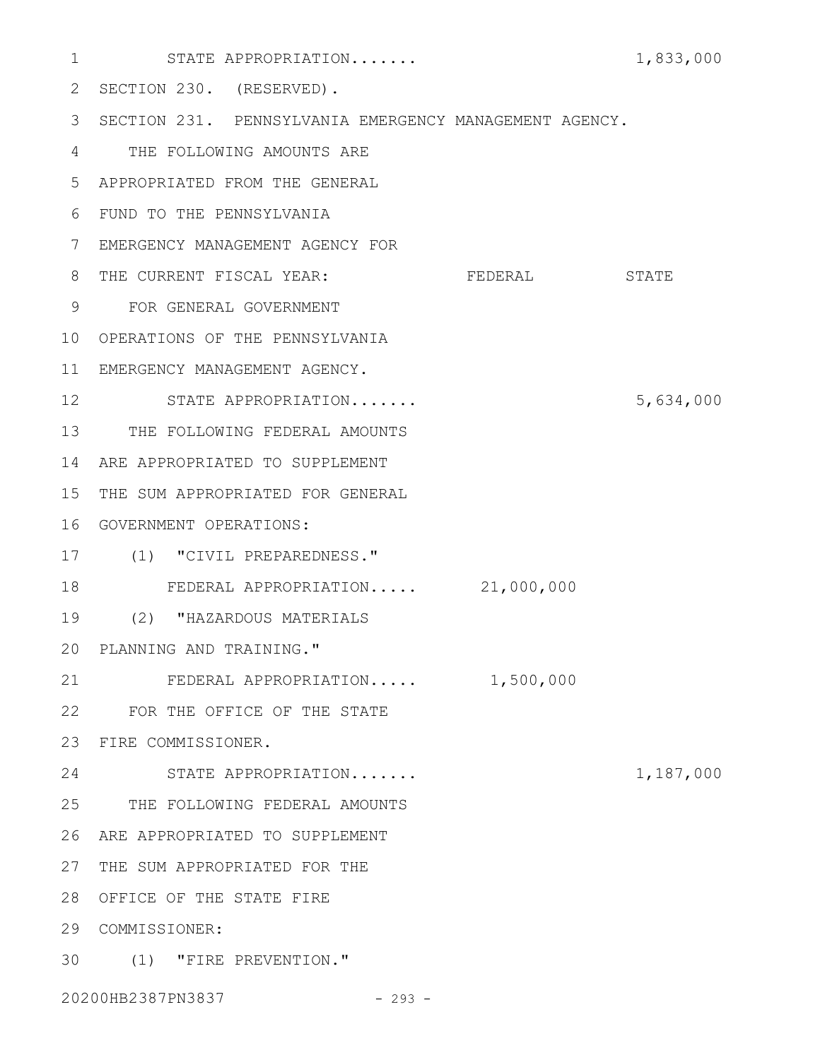| 1  | STATE APPROPRIATION                                    |           | 1,833,000 |
|----|--------------------------------------------------------|-----------|-----------|
| 2  | SECTION 230. (RESERVED).                               |           |           |
| 3  | SECTION 231. PENNSYLVANIA EMERGENCY MANAGEMENT AGENCY. |           |           |
| 4  | THE FOLLOWING AMOUNTS ARE                              |           |           |
| 5  | APPROPRIATED FROM THE GENERAL                          |           |           |
| 6  | FUND TO THE PENNSYLVANIA                               |           |           |
| 7  | EMERGENCY MANAGEMENT AGENCY FOR                        |           |           |
| 8  | THE CURRENT FISCAL YEAR:                               | FEDERAL   | STATE     |
| 9  | FOR GENERAL GOVERNMENT                                 |           |           |
| 10 | OPERATIONS OF THE PENNSYLVANIA                         |           |           |
| 11 | EMERGENCY MANAGEMENT AGENCY.                           |           |           |
| 12 | STATE APPROPRIATION                                    |           | 5,634,000 |
| 13 | THE FOLLOWING FEDERAL AMOUNTS                          |           |           |
| 14 | ARE APPROPRIATED TO SUPPLEMENT                         |           |           |
| 15 | THE SUM APPROPRIATED FOR GENERAL                       |           |           |
| 16 | GOVERNMENT OPERATIONS:                                 |           |           |
| 17 | (1) "CIVIL PREPAREDNESS."                              |           |           |
| 18 | FEDERAL APPROPRIATION 21,000,000                       |           |           |
| 19 | (2) "HAZARDOUS MATERIALS                               |           |           |
|    | 20 PLANNING AND TRAINING."                             |           |           |
| 21 | FEDERAL APPROPRIATION                                  | 1,500,000 |           |
|    | 22 FOR THE OFFICE OF THE STATE                         |           |           |
| 23 | FIRE COMMISSIONER.                                     |           |           |
| 24 | STATE APPROPRIATION                                    |           | 1,187,000 |
|    | 25 THE FOLLOWING FEDERAL AMOUNTS                       |           |           |
| 26 | ARE APPROPRIATED TO SUPPLEMENT                         |           |           |
| 27 | THE SUM APPROPRIATED FOR THE                           |           |           |
| 28 | OFFICE OF THE STATE FIRE                               |           |           |
| 29 | COMMISSIONER:                                          |           |           |
|    | 30 (1) "FIRE PREVENTION."                              |           |           |
|    | 20200HB2387PN3837<br>$-293 -$                          |           |           |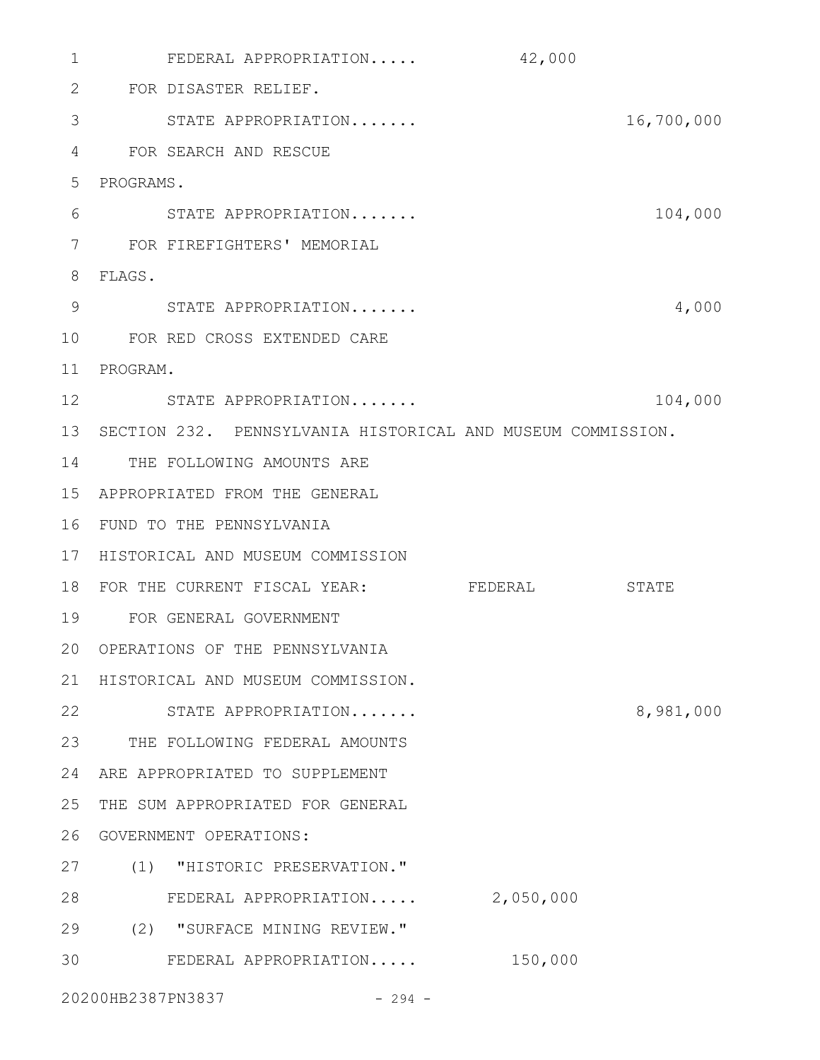FEDERAL APPROPRIATION..... 42,000 1 FOR DISASTER RELIEF. 2 STATE APPROPRIATION....... 16,700,000 3 FOR SEARCH AND RESCUE 4 5 PROGRAMS. STATE APPROPRIATION....... 104,000 FOR FIREFIGHTERS' MEMORIAL 7 FLAGS. 8 STATE APPROPRIATION....... 4,000 9 FOR RED CROSS EXTENDED CARE 10 11 PROGRAM. 12 STATE APPROPRIATION....... 104,000 13 SECTION 232. PENNSYLVANIA HISTORICAL AND MUSEUM COMMISSION. 14 THE FOLLOWING AMOUNTS ARE APPROPRIATED FROM THE GENERAL 15 FUND TO THE PENNSYLVANIA 16 17 HISTORICAL AND MUSEUM COMMISSION 18 FOR THE CURRENT FISCAL YEAR: FEDERAL STATE FOR GENERAL GOVERNMENT 19 20 OPERATIONS OF THE PENNSYLVANIA 21 HISTORICAL AND MUSEUM COMMISSION. 22 STATE APPROPRIATION....... 8,981,000 23 THE FOLLOWING FEDERAL AMOUNTS ARE APPROPRIATED TO SUPPLEMENT 24 25 THE SUM APPROPRIATED FOR GENERAL 26 GOVERNMENT OPERATIONS: (1) "HISTORIC PRESERVATION." 27 28 FEDERAL APPROPRIATION..... 2,050,000 (2) "SURFACE MINING REVIEW." 29 FEDERAL APPROPRIATION..... 150,000 3020200HB2387PN3837 - 294 -6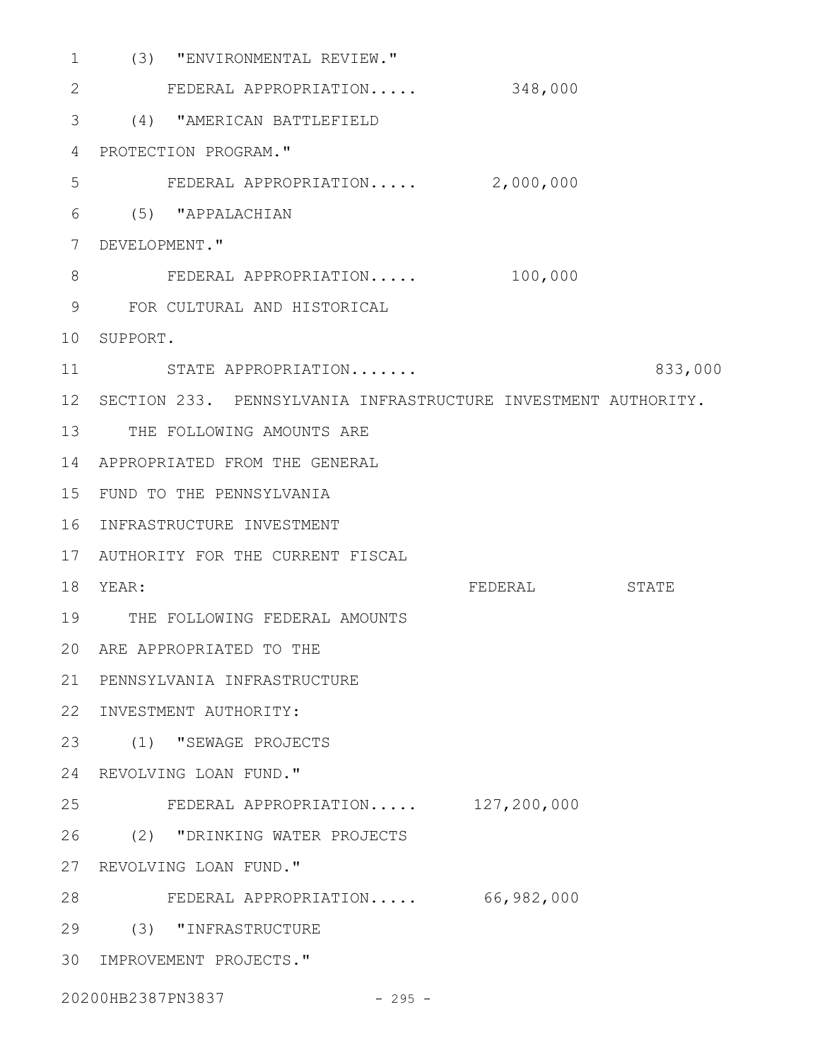| 1               | (3) "ENVIRONMENTAL REVIEW."                                    |         |         |
|-----------------|----------------------------------------------------------------|---------|---------|
| 2               | FEDERAL APPROPRIATION                                          | 348,000 |         |
| 3               | (4) "AMERICAN BATTLEFIELD                                      |         |         |
| 4               | PROTECTION PROGRAM."                                           |         |         |
| 5               | FEDERAL APPROPRIATION 2,000,000                                |         |         |
| 6               | (5) "APPALACHIAN                                               |         |         |
| 7               | DEVELOPMENT."                                                  |         |         |
| 8               | FEDERAL APPROPRIATION                                          | 100,000 |         |
| 9               | FOR CULTURAL AND HISTORICAL                                    |         |         |
| 10              | SUPPORT.                                                       |         |         |
| 11              | STATE APPROPRIATION                                            |         | 833,000 |
| 12 <sup>°</sup> | SECTION 233. PENNSYLVANIA INFRASTRUCTURE INVESTMENT AUTHORITY. |         |         |
| 13              | THE FOLLOWING AMOUNTS ARE                                      |         |         |
| 14              | APPROPRIATED FROM THE GENERAL                                  |         |         |
| 15              | FUND TO THE PENNSYLVANIA                                       |         |         |
| 16              | INFRASTRUCTURE INVESTMENT                                      |         |         |
| 17              | AUTHORITY FOR THE CURRENT FISCAL                               |         |         |
| 18              | YEAR:                                                          | FEDERAL | STATE   |
| 19              | THE FOLLOWING FEDERAL AMOUNTS                                  |         |         |
|                 | 20 ARE APPROPRIATED TO THE                                     |         |         |
| 21              | PENNSYLVANIA INFRASTRUCTURE                                    |         |         |
| 22              | INVESTMENT AUTHORITY:                                          |         |         |
| 23              | (1) "SEWAGE PROJECTS                                           |         |         |
| 24              | REVOLVING LOAN FUND."                                          |         |         |
| 25              | FEDERAL APPROPRIATION 127,200,000                              |         |         |
| 26              | (2) "DRINKING WATER PROJECTS                                   |         |         |
| 27              | REVOLVING LOAN FUND."                                          |         |         |
| 28              | FEDERAL APPROPRIATION 66,982,000                               |         |         |
| 29              | (3) "INFRASTRUCTURE                                            |         |         |
| 30              | IMPROVEMENT PROJECTS."                                         |         |         |
|                 | 20200HB2387PN3837<br>$-295 -$                                  |         |         |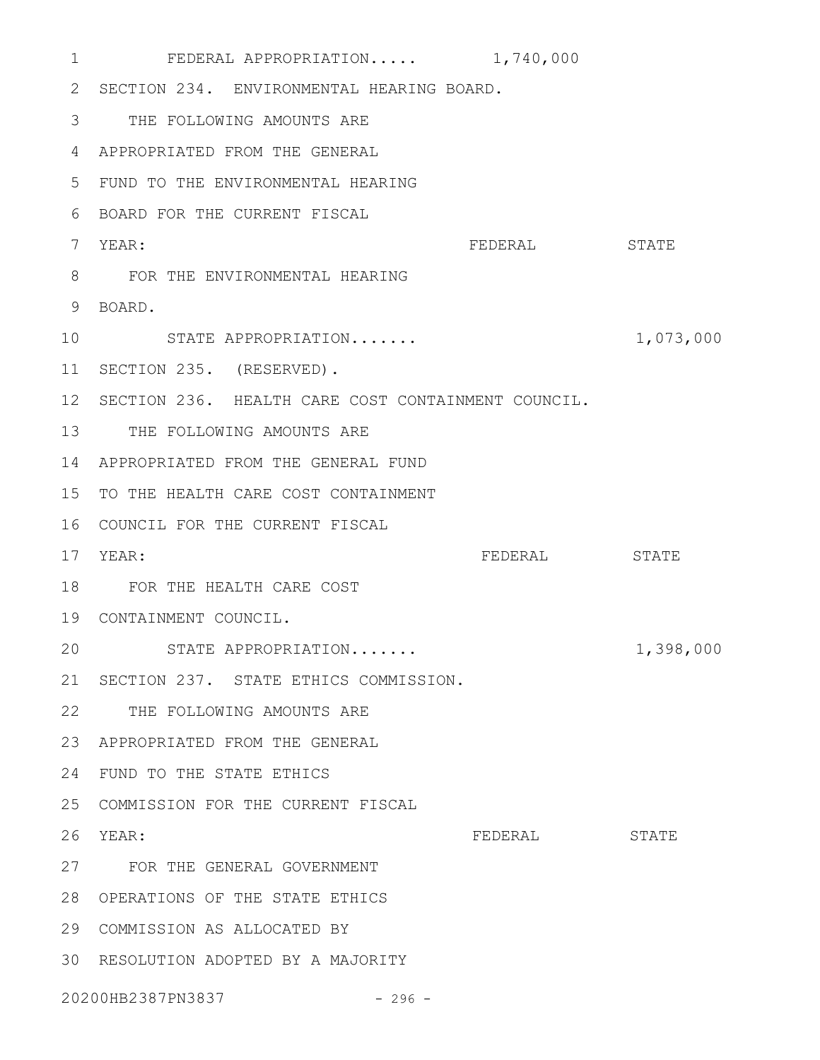| 1                 | FEDERAL APPROPRIATION 1,740,000                    |         |           |
|-------------------|----------------------------------------------------|---------|-----------|
| 2                 | SECTION 234. ENVIRONMENTAL HEARING BOARD.          |         |           |
| 3                 | THE FOLLOWING AMOUNTS ARE                          |         |           |
| 4                 | APPROPRIATED FROM THE GENERAL                      |         |           |
| 5                 | FUND TO THE ENVIRONMENTAL HEARING                  |         |           |
| 6                 | BOARD FOR THE CURRENT FISCAL                       |         |           |
| 7                 | YEAR:                                              | FEDERAL | STATE     |
| 8                 | FOR THE ENVIRONMENTAL HEARING                      |         |           |
| 9                 | BOARD.                                             |         |           |
| 10                | STATE APPROPRIATION                                |         | 1,073,000 |
| 11 <sup>1</sup>   | SECTION 235. (RESERVED).                           |         |           |
| 12 <sup>°</sup>   | SECTION 236. HEALTH CARE COST CONTAINMENT COUNCIL. |         |           |
| 13                | THE FOLLOWING AMOUNTS ARE                          |         |           |
| 14                | APPROPRIATED FROM THE GENERAL FUND                 |         |           |
| 15                | TO THE HEALTH CARE COST CONTAINMENT                |         |           |
| 16                | COUNCIL FOR THE CURRENT FISCAL                     |         |           |
| 17                | YEAR:                                              | FEDERAL | STATE     |
| 18                | FOR THE HEALTH CARE COST                           |         |           |
|                   | 19 CONTAINMENT COUNCIL.                            |         |           |
| 20                | STATE APPROPRIATION                                |         | 1,398,000 |
| 21                | SECTION 237. STATE ETHICS COMMISSION.              |         |           |
| 22                | THE FOLLOWING AMOUNTS ARE                          |         |           |
| 23                | APPROPRIATED FROM THE GENERAL                      |         |           |
| 24                | FUND TO THE STATE ETHICS                           |         |           |
| 25                | COMMISSION FOR THE CURRENT FISCAL                  |         |           |
| 26                | YEAR:                                              | FEDERAL | STATE     |
|                   | 27 FOR THE GENERAL GOVERNMENT                      |         |           |
| 28                | OPERATIONS OF THE STATE ETHICS                     |         |           |
| 29                | COMMISSION AS ALLOCATED BY                         |         |           |
|                   | 30 RESOLUTION ADOPTED BY A MAJORITY                |         |           |
| 20200HB2387PN3837 |                                                    |         |           |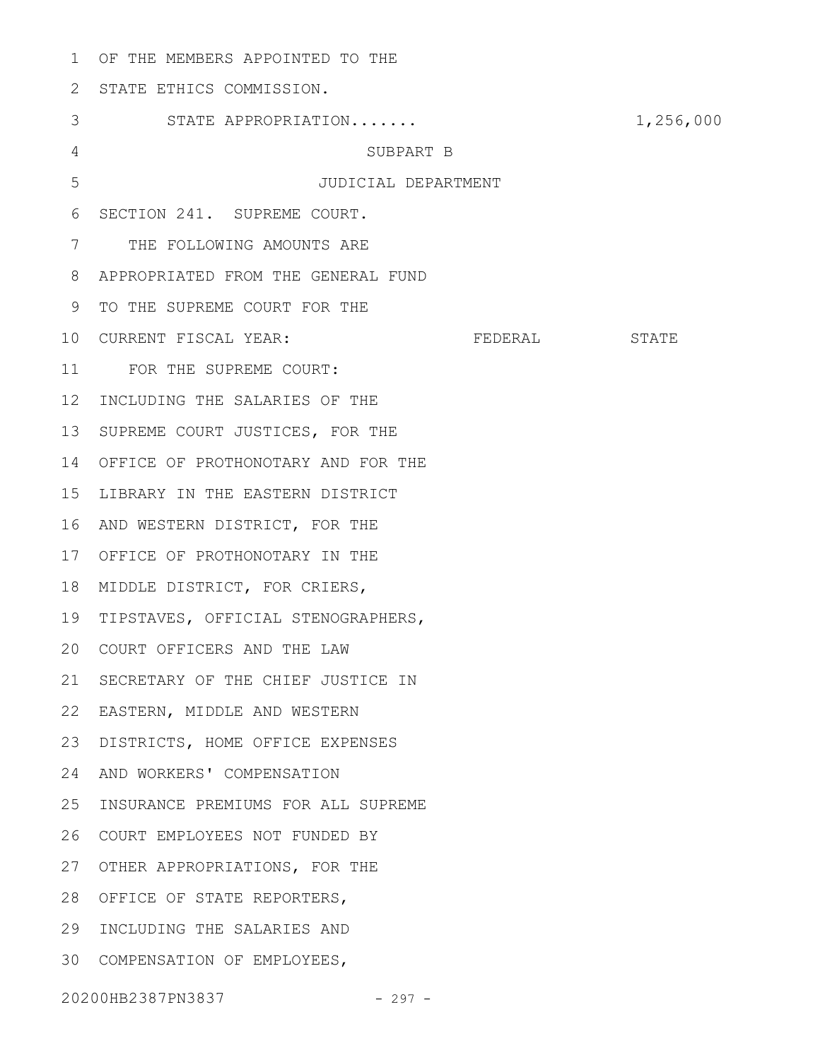OF THE MEMBERS APPOINTED TO THE 1 2 STATE ETHICS COMMISSION. STATE APPROPRIATION....... 1,256,000 SUBPART B JUDICIAL DEPARTMENT 6 SECTION 241. SUPREME COURT. 7 THE FOLLOWING AMOUNTS ARE APPROPRIATED FROM THE GENERAL FUND 8 9 TO THE SUPREME COURT FOR THE 10 CURRENT FISCAL YEAR: FEDERAL STATE 11 FOR THE SUPREME COURT: 12 INCLUDING THE SALARIES OF THE 13 SUPREME COURT JUSTICES, FOR THE 14 OFFICE OF PROTHONOTARY AND FOR THE 15 LIBRARY IN THE EASTERN DISTRICT 16 AND WESTERN DISTRICT, FOR THE 17 OFFICE OF PROTHONOTARY IN THE 18 MIDDLE DISTRICT, FOR CRIERS, TIPSTAVES, OFFICIAL STENOGRAPHERS, 19 20 COURT OFFICERS AND THE LAW 21 SECRETARY OF THE CHIEF JUSTICE IN EASTERN, MIDDLE AND WESTERN 22 DISTRICTS, HOME OFFICE EXPENSES 23 24 AND WORKERS' COMPENSATION 25 INSURANCE PREMIUMS FOR ALL SUPREME 26 COURT EMPLOYEES NOT FUNDED BY 27 OTHER APPROPRIATIONS, FOR THE 28 OFFICE OF STATE REPORTERS, 29 INCLUDING THE SALARIES AND COMPENSATION OF EMPLOYEES, 3020200HB2387PN3837 - 297 - 3 4 5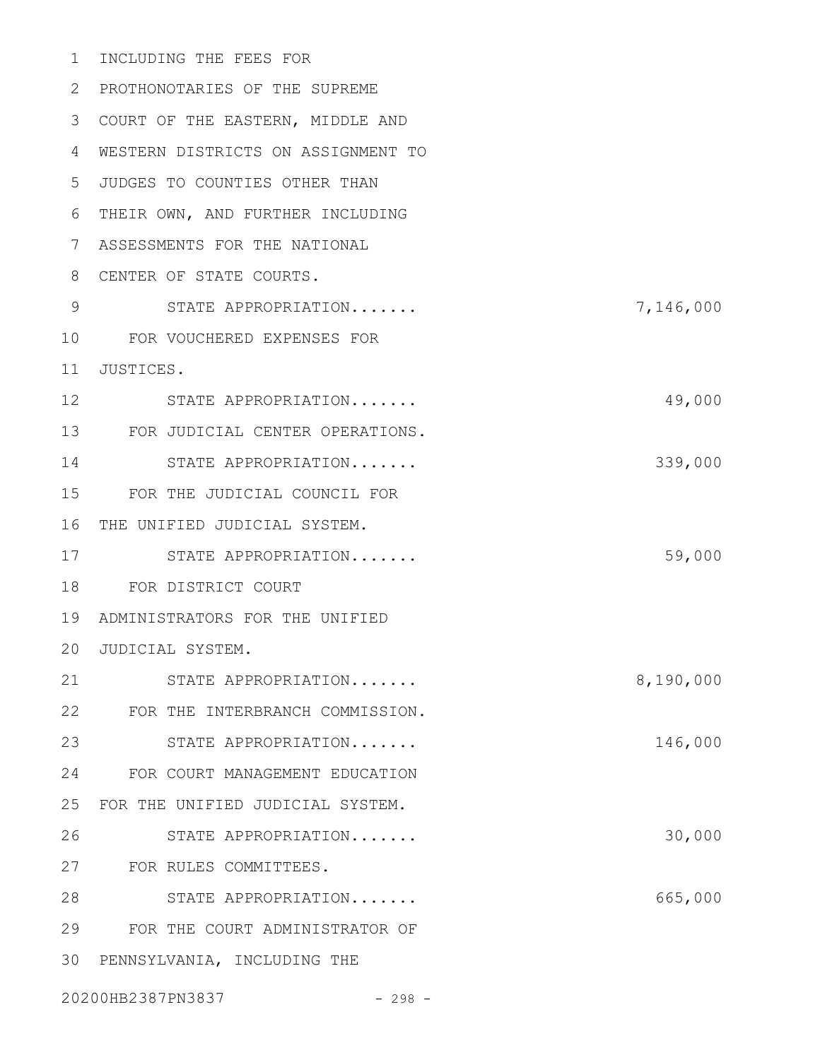| 1  | INCLUDING THE FEES FOR             |           |
|----|------------------------------------|-----------|
| 2  | PROTHONOTARIES OF THE SUPREME      |           |
| 3  | COURT OF THE EASTERN, MIDDLE AND   |           |
| 4  | WESTERN DISTRICTS ON ASSIGNMENT TO |           |
| 5  | JUDGES TO COUNTIES OTHER THAN      |           |
| 6  | THEIR OWN, AND FURTHER INCLUDING   |           |
| 7  | ASSESSMENTS FOR THE NATIONAL       |           |
| 8  | CENTER OF STATE COURTS.            |           |
| 9  | STATE APPROPRIATION                | 7,146,000 |
| 10 | FOR VOUCHERED EXPENSES FOR         |           |
| 11 | JUSTICES.                          |           |
| 12 | STATE APPROPRIATION                | 49,000    |
| 13 | FOR JUDICIAL CENTER OPERATIONS.    |           |
| 14 | STATE APPROPRIATION                | 339,000   |
| 15 | FOR THE JUDICIAL COUNCIL FOR       |           |
| 16 | THE UNIFIED JUDICIAL SYSTEM.       |           |
| 17 | STATE APPROPRIATION                | 59,000    |
| 18 | FOR DISTRICT COURT                 |           |
| 19 | ADMINISTRATORS FOR THE UNIFIED     |           |
|    | 20 JUDICIAL SYSTEM.                |           |
| 21 | STATE APPROPRIATION                | 8,190,000 |
| 22 | FOR THE INTERBRANCH COMMISSION.    |           |
| 23 | STATE APPROPRIATION                | 146,000   |
| 24 | FOR COURT MANAGEMENT EDUCATION     |           |
| 25 | FOR THE UNIFIED JUDICIAL SYSTEM.   |           |
| 26 | STATE APPROPRIATION                | 30,000    |
| 27 | FOR RULES COMMITTEES.              |           |
| 28 | STATE APPROPRIATION                | 665,000   |
| 29 | FOR THE COURT ADMINISTRATOR OF     |           |
| 30 | PENNSYLVANIA, INCLUDING THE        |           |
|    | 20200HB2387PN3837<br>$-298 -$      |           |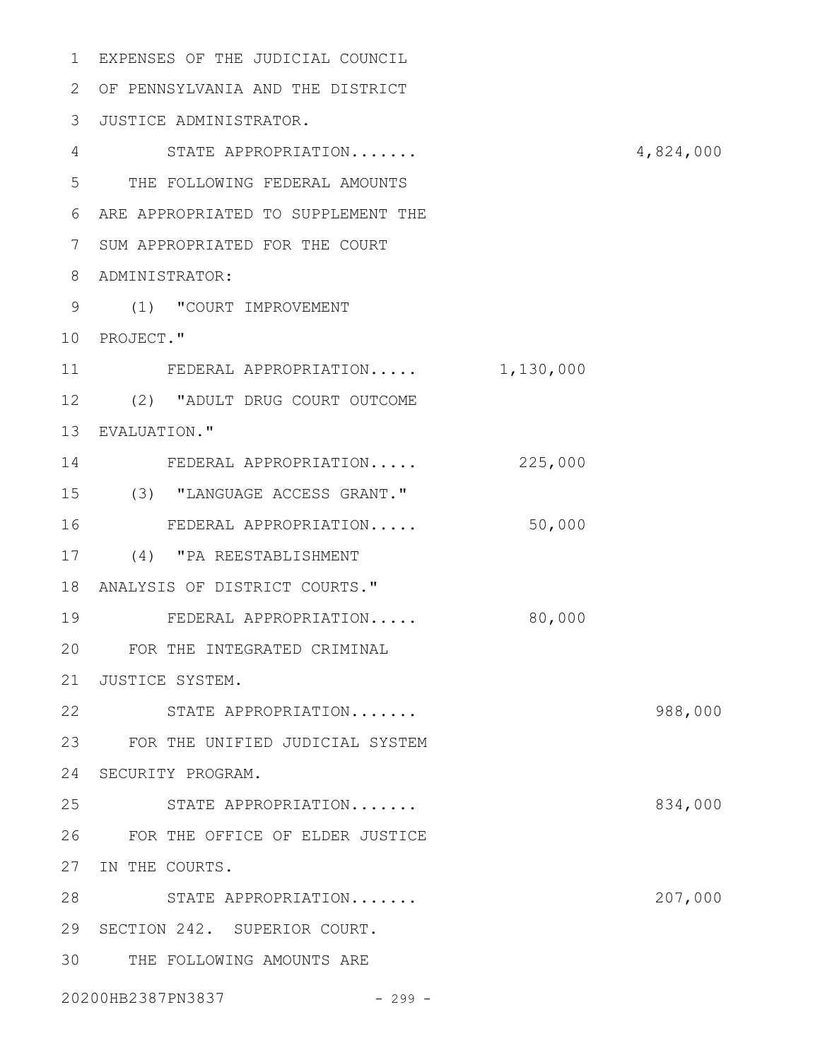| $\mathbf{1}$    | EXPENSES OF THE JUDICIAL COUNCIL   |         |           |
|-----------------|------------------------------------|---------|-----------|
| 2               | OF PENNSYLVANIA AND THE DISTRICT   |         |           |
| 3               | JUSTICE ADMINISTRATOR.             |         |           |
| 4               | STATE APPROPRIATION                |         | 4,824,000 |
| 5               | THE FOLLOWING FEDERAL AMOUNTS      |         |           |
| 6               | ARE APPROPRIATED TO SUPPLEMENT THE |         |           |
| 7               | SUM APPROPRIATED FOR THE COURT     |         |           |
| 8               | ADMINISTRATOR:                     |         |           |
| 9               | (1) "COURT IMPROVEMENT             |         |           |
| 10              | PROJECT."                          |         |           |
| 11              | FEDERAL APPROPRIATION 1,130,000    |         |           |
| 12 <sup>°</sup> | (2) "ADULT DRUG COURT OUTCOME      |         |           |
| 13              | EVALUATION."                       |         |           |
| 14              | FEDERAL APPROPRIATION              | 225,000 |           |
| 15              | (3) "LANGUAGE ACCESS GRANT."       |         |           |
| 16              | FEDERAL APPROPRIATION              | 50,000  |           |
| 17              | (4) "PA REESTABLISHMENT            |         |           |
| 18              | ANALYSIS OF DISTRICT COURTS."      |         |           |
| 19              | FEDERAL APPROPRIATION              | 80,000  |           |
| 20              | FOR THE INTEGRATED CRIMINAL        |         |           |
| 21              | JUSTICE SYSTEM.                    |         |           |
| 22              | STATE APPROPRIATION                |         | 988,000   |
| 23              | FOR THE UNIFIED JUDICIAL SYSTEM    |         |           |
| 24              | SECURITY PROGRAM.                  |         |           |
| 25              | STATE APPROPRIATION                |         | 834,000   |
| 26              | FOR THE OFFICE OF ELDER JUSTICE    |         |           |
| 27              | IN THE COURTS.                     |         |           |
| 28              | STATE APPROPRIATION                |         | 207,000   |
| 29              | SECTION 242. SUPERIOR COURT.       |         |           |
| 30              | THE FOLLOWING AMOUNTS ARE          |         |           |
|                 | 20200HB2387PN3837<br>$-299 -$      |         |           |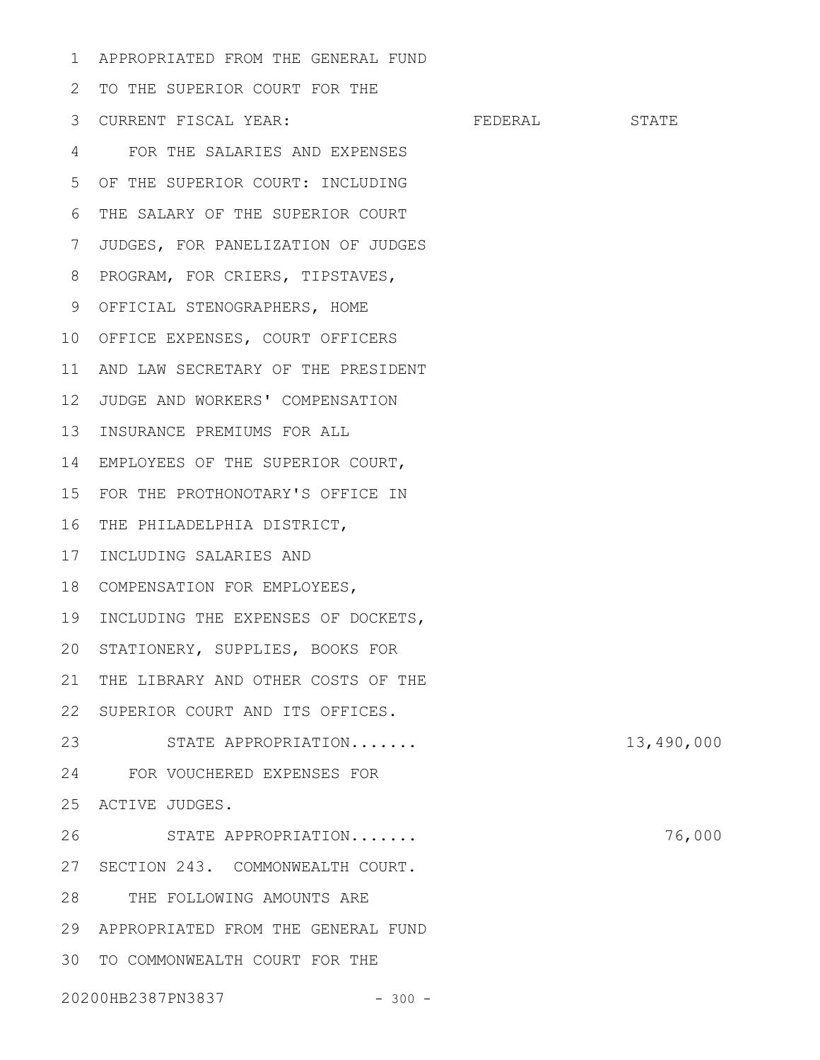APPROPRIATED FROM THE GENERAL FUND 1

2 TO THE SUPERIOR COURT FOR THE FEDERAL STATE FOR THE SALARIES AND EXPENSES 4 OF THE SUPERIOR COURT: INCLUDING THE SALARY OF THE SUPERIOR COURT 6 7 JUDGES, FOR PANELIZATION OF JUDGES 8 PROGRAM, FOR CRIERS, TIPSTAVES, 9 OFFICIAL STENOGRAPHERS, HOME 10 OFFICE EXPENSES, COURT OFFICERS AND LAW SECRETARY OF THE PRESIDENT 11 JUDGE AND WORKERS' COMPENSATION 12 13 INSURANCE PREMIUMS FOR ALL EMPLOYEES OF THE SUPERIOR COURT, 14 FOR THE PROTHONOTARY'S OFFICE IN 15 16 THE PHILADELPHIA DISTRICT, 17 INCLUDING SALARIES AND 18 COMPENSATION FOR EMPLOYEES, 19 INCLUDING THE EXPENSES OF DOCKETS, 20 STATIONERY, SUPPLIES, BOOKS FOR 21 THE LIBRARY AND OTHER COSTS OF THE 22 SUPERIOR COURT AND ITS OFFICES. STATE APPROPRIATION....... 13,490,000 FOR VOUCHERED EXPENSES FOR 24 25 ACTIVE JUDGES. STATE APPROPRIATION....... 76,000 27 SECTION 243. COMMONWEALTH COURT. 28 THE FOLLOWING AMOUNTS ARE APPROPRIATED FROM THE GENERAL FUND 29 30 TO COMMONWEALTH COURT FOR THE 20200HB2387PN3837 - 300 -3 CURRENT FISCAL YEAR: 5 23 26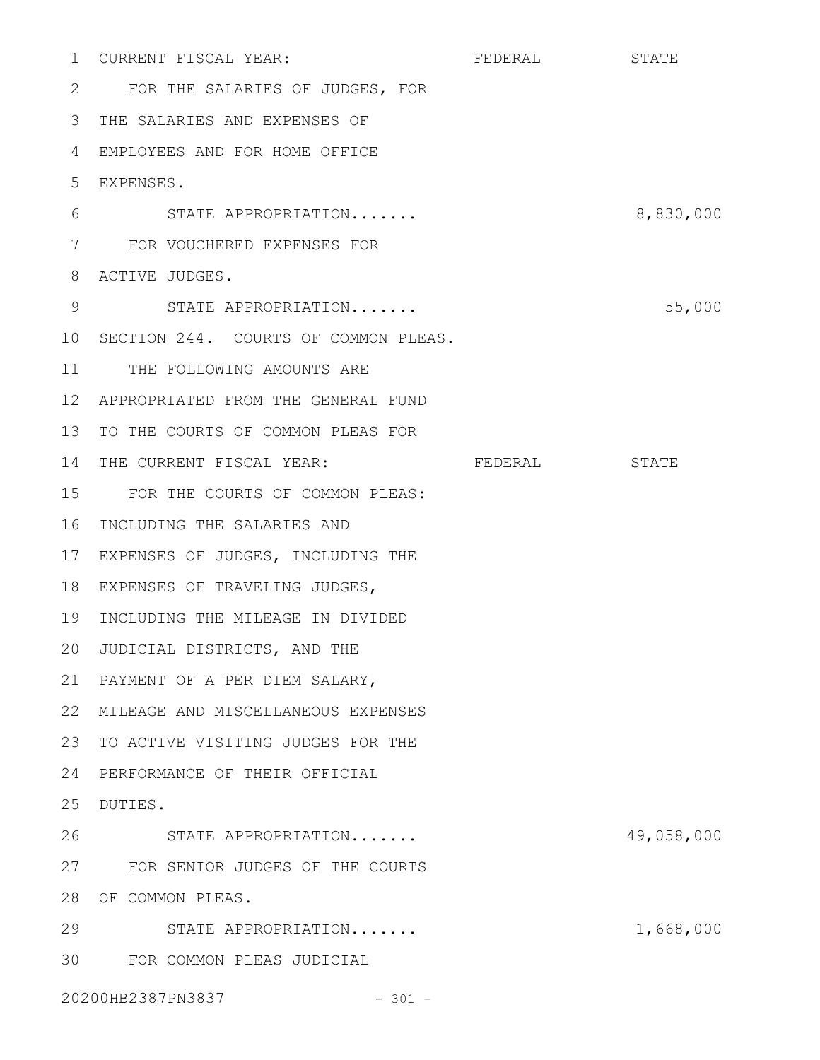|                 | 1 CURRENT FISCAL YEAR:               | FEDERAL | STATE      |
|-----------------|--------------------------------------|---------|------------|
| 2               | FOR THE SALARIES OF JUDGES, FOR      |         |            |
| 3               | THE SALARIES AND EXPENSES OF         |         |            |
| 4               | EMPLOYEES AND FOR HOME OFFICE        |         |            |
| $5^{\circ}$     | EXPENSES.                            |         |            |
| 6               | STATE APPROPRIATION                  |         | 8,830,000  |
| 7               | FOR VOUCHERED EXPENSES FOR           |         |            |
| 8               | ACTIVE JUDGES.                       |         |            |
| 9               | STATE APPROPRIATION                  |         | 55,000     |
| 10 <sub>o</sub> | SECTION 244. COURTS OF COMMON PLEAS. |         |            |
| 11              | THE FOLLOWING AMOUNTS ARE            |         |            |
| 12 <sup>°</sup> | APPROPRIATED FROM THE GENERAL FUND   |         |            |
| 13              | TO THE COURTS OF COMMON PLEAS FOR    |         |            |
| 14              | THE CURRENT FISCAL YEAR:             | FEDERAL | STATE      |
| 15              | FOR THE COURTS OF COMMON PLEAS:      |         |            |
| 16              | INCLUDING THE SALARIES AND           |         |            |
| 17              | EXPENSES OF JUDGES, INCLUDING THE    |         |            |
| 18              | EXPENSES OF TRAVELING JUDGES,        |         |            |
| 19              | INCLUDING THE MILEAGE IN DIVIDED     |         |            |
| 20              | JUDICIAL DISTRICTS, AND THE          |         |            |
| 21              | PAYMENT OF A PER DIEM SALARY,        |         |            |
| 22              | MILEAGE AND MISCELLANEOUS EXPENSES   |         |            |
| 23              | TO ACTIVE VISITING JUDGES FOR THE    |         |            |
| 24              | PERFORMANCE OF THEIR OFFICIAL        |         |            |
| 25              | DUTIES.                              |         |            |
| 26              | STATE APPROPRIATION                  |         | 49,058,000 |
| 27              | FOR SENIOR JUDGES OF THE COURTS      |         |            |
| 28              | OF COMMON PLEAS.                     |         |            |
| 29              | STATE APPROPRIATION                  |         | 1,668,000  |
| 30              | FOR COMMON PLEAS JUDICIAL            |         |            |
|                 | 20200HB2387PN3837<br>$-301 -$        |         |            |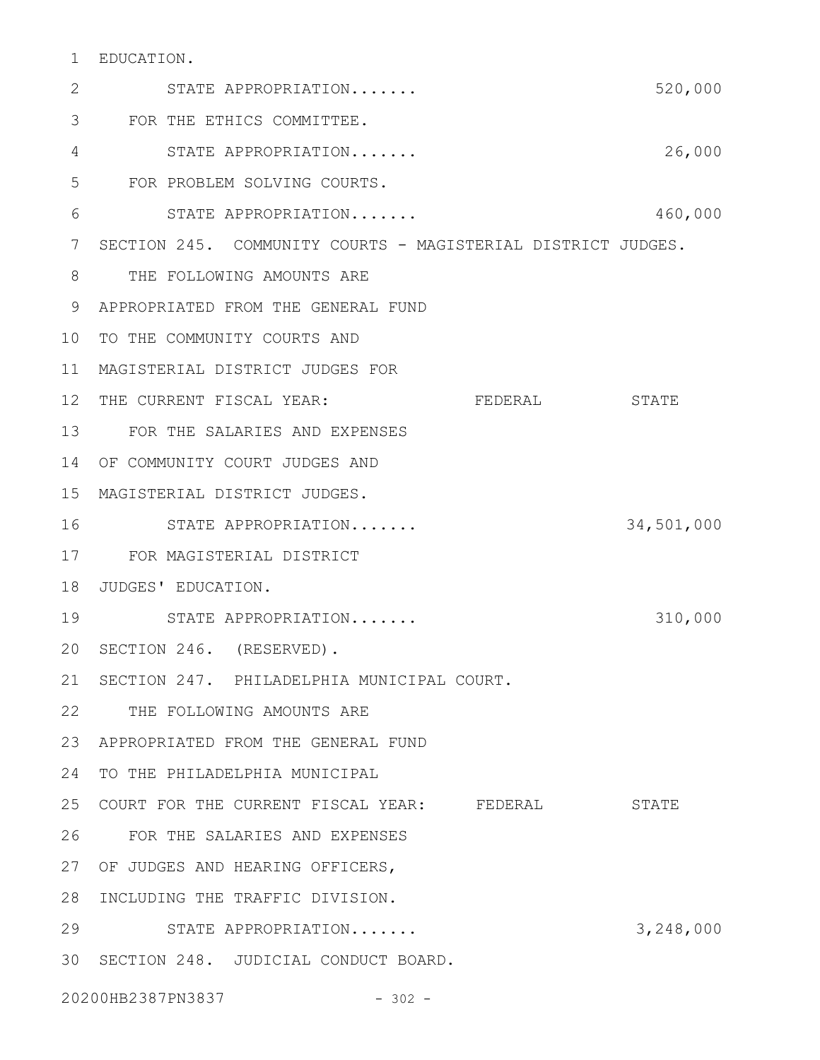## EDUCATION. 1

| 2  | STATE APPROPRIATION                                          |         | 520,000    |
|----|--------------------------------------------------------------|---------|------------|
| 3  | FOR THE ETHICS COMMITTEE.                                    |         |            |
| 4  | STATE APPROPRIATION                                          |         | 26,000     |
| 5  | FOR PROBLEM SOLVING COURTS.                                  |         |            |
| 6  | STATE APPROPRIATION                                          |         | 460,000    |
| 7  | SECTION 245. COMMUNITY COURTS - MAGISTERIAL DISTRICT JUDGES. |         |            |
| 8  | THE FOLLOWING AMOUNTS ARE                                    |         |            |
| 9  | APPROPRIATED FROM THE GENERAL FUND                           |         |            |
| 10 | TO THE COMMUNITY COURTS AND                                  |         |            |
| 11 | MAGISTERIAL DISTRICT JUDGES FOR                              |         |            |
| 12 | THE CURRENT FISCAL YEAR:                                     | FEDERAL | STATE      |
| 13 | FOR THE SALARIES AND EXPENSES                                |         |            |
| 14 | OF COMMUNITY COURT JUDGES AND                                |         |            |
| 15 | MAGISTERIAL DISTRICT JUDGES.                                 |         |            |
| 16 | STATE APPROPRIATION                                          |         | 34,501,000 |
| 17 | FOR MAGISTERIAL DISTRICT                                     |         |            |
| 18 | JUDGES' EDUCATION.                                           |         |            |
| 19 | STATE APPROPRIATION                                          |         | 310,000    |
| 20 | SECTION 246. (RESERVED).                                     |         |            |
|    | 21 SECTION 247. PHILADELPHIA MUNICIPAL COURT.                |         |            |
| 22 | THE FOLLOWING AMOUNTS ARE                                    |         |            |
| 23 | APPROPRIATED FROM THE GENERAL FUND                           |         |            |
| 24 | TO THE PHILADELPHIA MUNICIPAL                                |         |            |
| 25 | COURT FOR THE CURRENT FISCAL YEAR: FEDERAL                   |         | STATE      |
| 26 | FOR THE SALARIES AND EXPENSES                                |         |            |
| 27 | OF JUDGES AND HEARING OFFICERS,                              |         |            |
| 28 | INCLUDING THE TRAFFIC DIVISION.                              |         |            |
| 29 | STATE APPROPRIATION                                          |         | 3,248,000  |
| 30 | SECTION 248. JUDICIAL CONDUCT BOARD.                         |         |            |
|    | 20200HB2387PN3837<br>$-302 -$                                |         |            |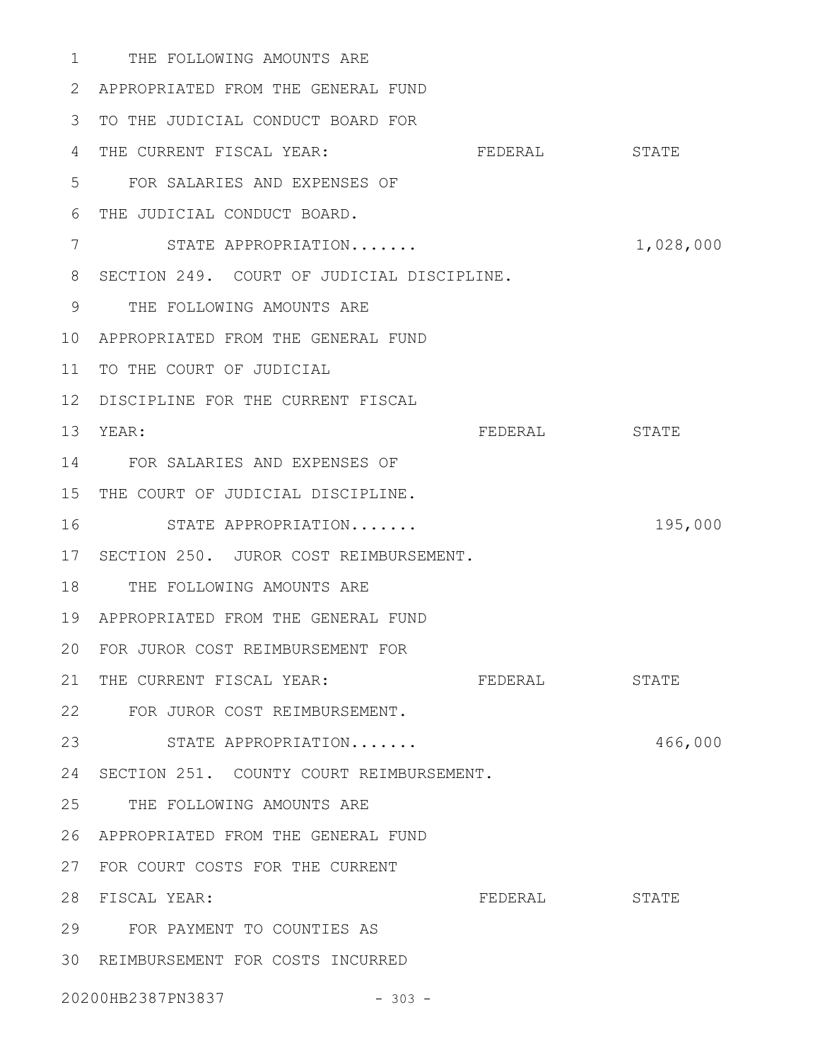1 THE FOLLOWING AMOUNTS ARE APPROPRIATED FROM THE GENERAL FUND 2 3 TO THE JUDICIAL CONDUCT BOARD FOR 4 THE CURRENT FISCAL YEAR: FEDERAL STATE FOR SALARIES AND EXPENSES OF 5 THE JUDICIAL CONDUCT BOARD. 6 STATE APPROPRIATION....... 1,028,000 8 SECTION 249. COURT OF JUDICIAL DISCIPLINE. THE FOLLOWING AMOUNTS ARE 9 APPROPRIATED FROM THE GENERAL FUND 10 11 TO THE COURT OF JUDICIAL 12 DISCIPLINE FOR THE CURRENT FISCAL FEDERAL STATE FOR SALARIES AND EXPENSES OF 14 15 THE COURT OF JUDICIAL DISCIPLINE. STATE APPROPRIATION....... 195,000 17 SECTION 250. JUROR COST REIMBURSEMENT. 18 THE FOLLOWING AMOUNTS ARE APPROPRIATED FROM THE GENERAL FUND 19 FOR JUROR COST REIMBURSEMENT FOR 20 21 THE CURRENT FISCAL YEAR: FEDERAL STATE FOR JUROR COST REIMBURSEMENT. 22 23 STATE APPROPRIATION....... 466,000 24 SECTION 251. COUNTY COURT REIMBURSEMENT. 25 THE FOLLOWING AMOUNTS ARE APPROPRIATED FROM THE GENERAL FUND 26 27 FOR COURT COSTS FOR THE CURRENT FEDERAL STATE FOR PAYMENT TO COUNTIES AS 29 30 REIMBURSEMENT FOR COSTS INCURRED 7 13 YEAR: 16 28 FISCAL YEAR:

20200HB2387PN3837 - 303 -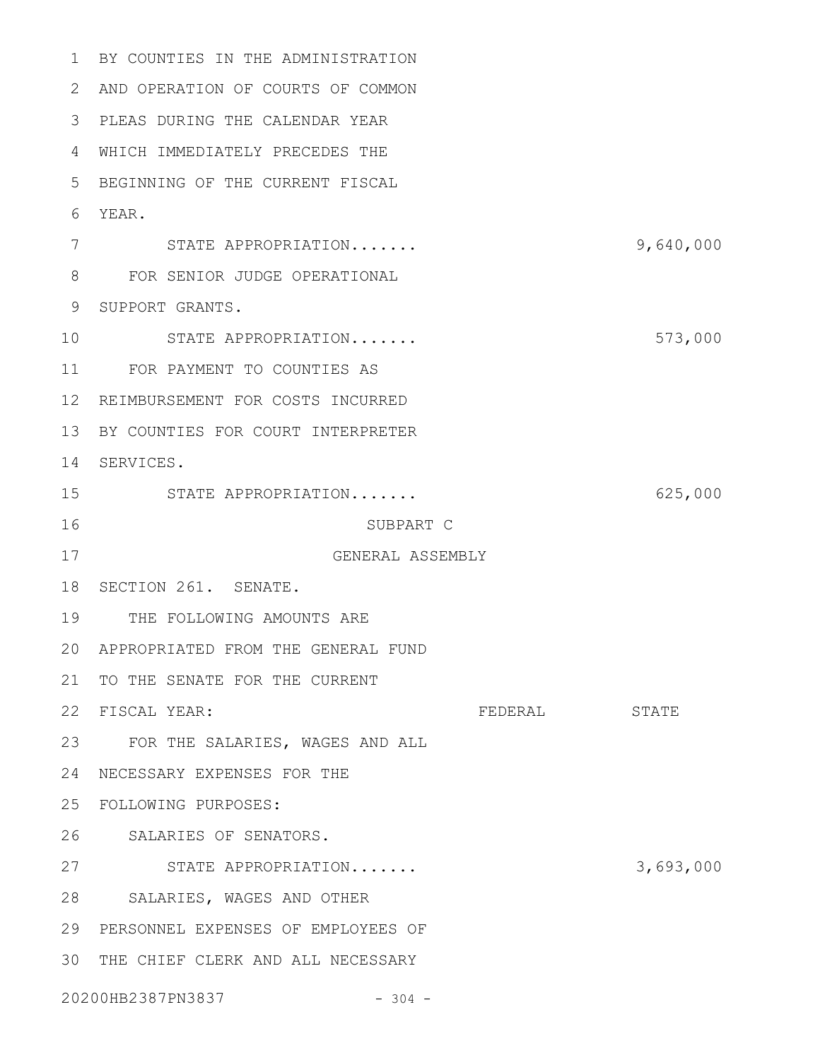BY COUNTIES IN THE ADMINISTRATION 1 AND OPERATION OF COURTS OF COMMON 2 PLEAS DURING THE CALENDAR YEAR 3 WHICH IMMEDIATELY PRECEDES THE 4 5 BEGINNING OF THE CURRENT FISCAL YEAR. 6 STATE APPROPRIATION....... 9,640,000 FOR SENIOR JUDGE OPERATIONAL 8 9 SUPPORT GRANTS. STATE APPROPRIATION....... 573,000 FOR PAYMENT TO COUNTIES AS 11 12 REIMBURSEMENT FOR COSTS INCURRED 13 BY COUNTIES FOR COURT INTERPRETER 14 SERVICES. STATE APPROPRIATION....... 625,000 SUBPART C GENERAL ASSEMBLY 18 SECTION 261. SENATE. 19 THE FOLLOWING AMOUNTS ARE APPROPRIATED FROM THE GENERAL FUND 20 21 TO THE SENATE FOR THE CURRENT FISCAL YEAR: FEDERAL STATE FOR THE SALARIES, WAGES AND ALL 23 NECESSARY EXPENSES FOR THE 24 FOLLOWING PURPOSES: 25 26 SALARIES OF SENATORS. STATE APPROPRIATION....... 3,693,000 27 28 SALARIES, WAGES AND OTHER PERSONNEL EXPENSES OF EMPLOYEES OF 29 30 THE CHIEF CLERK AND ALL NECESSARY 20200HB2387PN3837 - 304 - 7 10 15 16 17 22 FISCAL YEAR: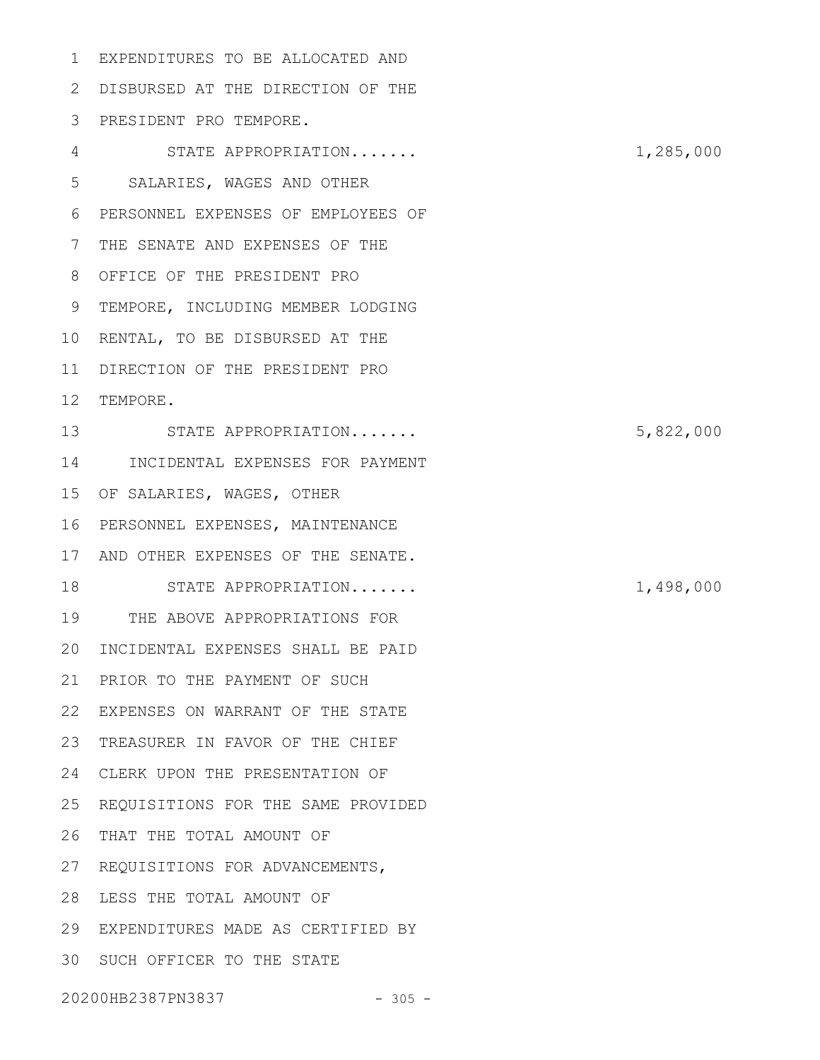EXPENDITURES TO BE ALLOCATED AND DISBURSED AT THE DIRECTION OF THE 2 PRESIDENT PRO TEMPORE. 3 STATE APPROPRIATION....... 1,285,000 SALARIES, WAGES AND OTHER PERSONNEL EXPENSES OF EMPLOYEES OF 7 THE SENATE AND EXPENSES OF THE OFFICE OF THE PRESIDENT PRO 8 9 TEMPORE, INCLUDING MEMBER LODGING 10 RENTAL, TO BE DISBURSED AT THE 11 DIRECTION OF THE PRESIDENT PRO 12 TEMPORE. STATE APPROPRIATION....... 5,822,000 13 14 INCIDENTAL EXPENSES FOR PAYMENT OF SALARIES, WAGES, OTHER 15 16 PERSONNEL EXPENSES, MAINTENANCE 17 AND OTHER EXPENSES OF THE SENATE. STATE APPROPRIATION....... 1,498,000 19 THE ABOVE APPROPRIATIONS FOR 20 INCIDENTAL EXPENSES SHALL BE PAID 21 PRIOR TO THE PAYMENT OF SUCH EXPENSES ON WARRANT OF THE STATE 22 23 TREASURER IN FAVOR OF THE CHIEF CLERK UPON THE PRESENTATION OF 24 25 REQUISITIONS FOR THE SAME PROVIDED 26 THAT THE TOTAL AMOUNT OF 27 REQUISITIONS FOR ADVANCEMENTS, 28 LESS THE TOTAL AMOUNT OF EXPENDITURES MADE AS CERTIFIED BY 29 SUCH OFFICER TO THE STATE 301 4 5 6 18

20200HB2387PN3837 - 305 -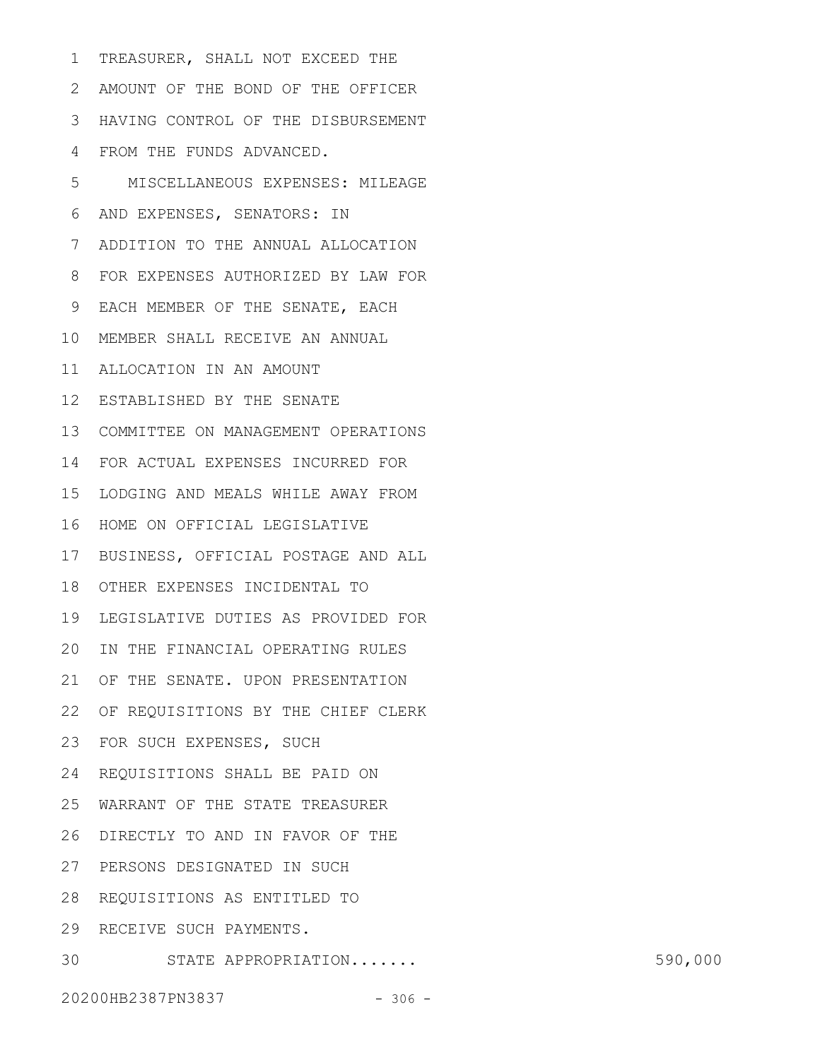TREASURER, SHALL NOT EXCEED THE AMOUNT OF THE BOND OF THE OFFICER 2 HAVING CONTROL OF THE DISBURSEMENT 3 FROM THE FUNDS ADVANCED. 4 MISCELLANEOUS EXPENSES: MILEAGE AND EXPENSES, SENATORS: IN ADDITION TO THE ANNUAL ALLOCATION FOR EXPENSES AUTHORIZED BY LAW FOR 8 EACH MEMBER OF THE SENATE, EACH 9 MEMBER SHALL RECEIVE AN ANNUAL 10 ALLOCATION IN AN AMOUNT 11 12 ESTABLISHED BY THE SENATE 13 COMMITTEE ON MANAGEMENT OPERATIONS FOR ACTUAL EXPENSES INCURRED FOR 14 15 LODGING AND MEALS WHILE AWAY FROM 16 HOME ON OFFICIAL LEGISLATIVE 17 BUSINESS, OFFICIAL POSTAGE AND ALL 18 OTHER EXPENSES INCIDENTAL TO 19 LEGISLATIVE DUTIES AS PROVIDED FOR 20 IN THE FINANCIAL OPERATING RULES 21 OF THE SENATE. UPON PRESENTATION 22 OF REQUISITIONS BY THE CHIEF CLERK 23 FOR SUCH EXPENSES, SUCH REQUISITIONS SHALL BE PAID ON 24 WARRANT OF THE STATE TREASURER 25 DIRECTLY TO AND IN FAVOR OF THE 26 27 PERSONS DESIGNATED IN SUCH 28 REQUISITIONS AS ENTITLED TO 29 RECEIVE SUCH PAYMENTS. 30 STATE APPROPRIATION....... 590,000 1 5 6 7

20200HB2387PN3837 - 306 -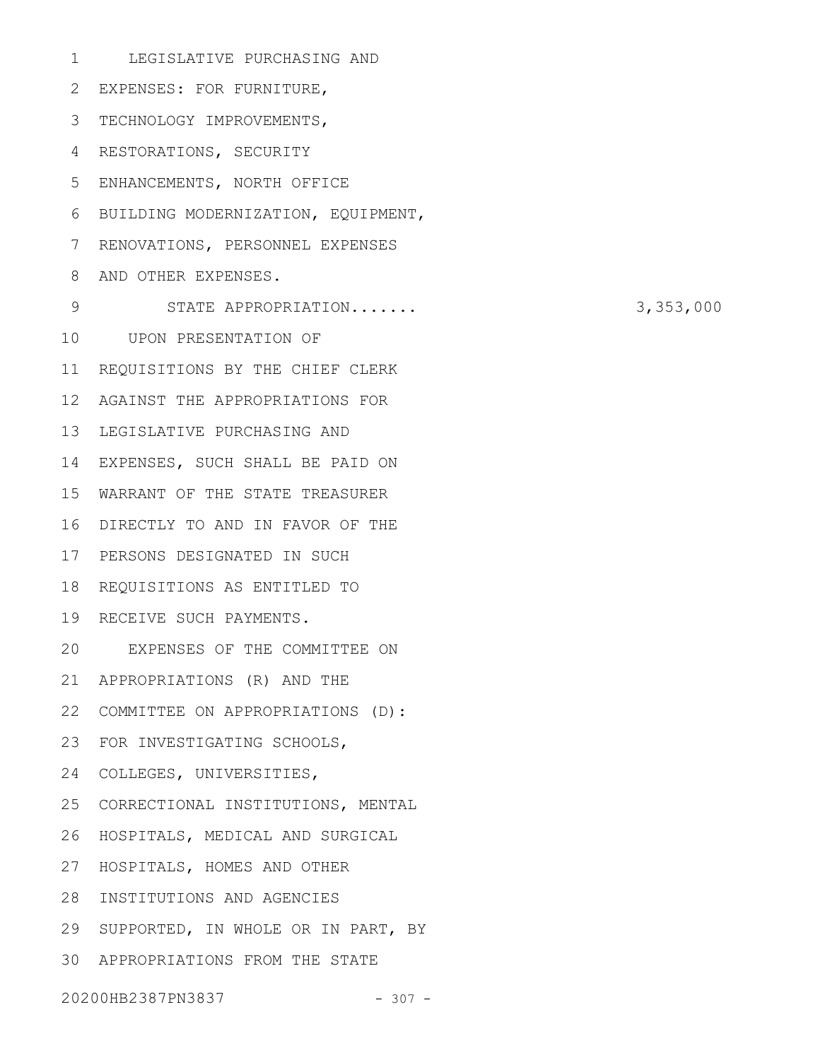LEGISLATIVE PURCHASING AND EXPENSES: FOR FURNITURE, 2 3 TECHNOLOGY IMPROVEMENTS, 4 RESTORATIONS, SECURITY ENHANCEMENTS, NORTH OFFICE 5 BUILDING MODERNIZATION, EQUIPMENT, 6 7 RENOVATIONS, PERSONNEL EXPENSES AND OTHER EXPENSES. 8 STATE APPROPRIATION....... 3,353,000 10 UPON PRESENTATION OF 11 REQUISITIONS BY THE CHIEF CLERK 12 AGAINST THE APPROPRIATIONS FOR 13 LEGISLATIVE PURCHASING AND 14 EXPENSES, SUCH SHALL BE PAID ON WARRANT OF THE STATE TREASURER 15 DIRECTLY TO AND IN FAVOR OF THE 16 17 PERSONS DESIGNATED IN SUCH 18 REQUISITIONS AS ENTITLED TO 19 RECEIVE SUCH PAYMENTS. EXPENSES OF THE COMMITTEE ON 20 APPROPRIATIONS (R) AND THE 21 22 COMMITTEE ON APPROPRIATIONS (D): FOR INVESTIGATING SCHOOLS, 23 24 COLLEGES, UNIVERSITIES, 25 CORRECTIONAL INSTITUTIONS, MENTAL 26 HOSPITALS, MEDICAL AND SURGICAL 27 HOSPITALS, HOMES AND OTHER 28 INSTITUTIONS AND AGENCIES 29 SUPPORTED, IN WHOLE OR IN PART, BY APPROPRIATIONS FROM THE STATE 301 9

20200HB2387PN3837 - 307 -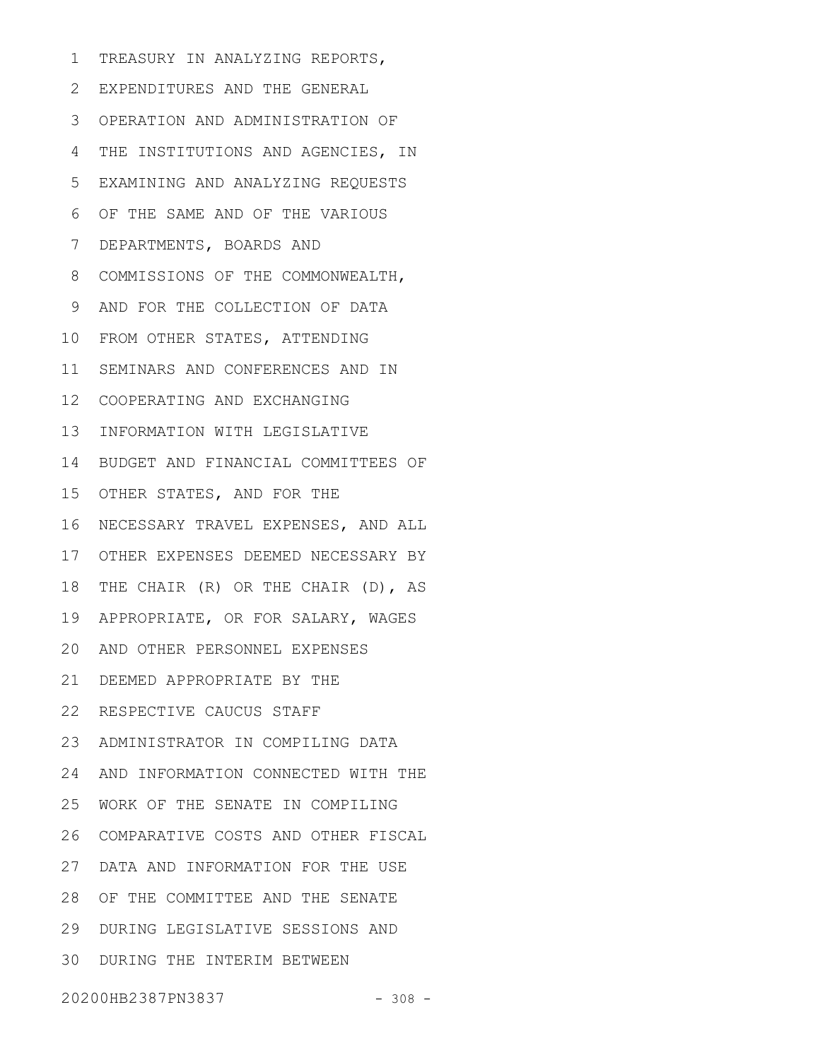TREASURY IN ANALYZING REPORTS, 1

EXPENDITURES AND THE GENERAL 2 OPERATION AND ADMINISTRATION OF 3 4 THE INSTITUTIONS AND AGENCIES, IN EXAMINING AND ANALYZING REQUESTS 5 OF THE SAME AND OF THE VARIOUS DEPARTMENTS, BOARDS AND 7 COMMISSIONS OF THE COMMONWEALTH, 8 AND FOR THE COLLECTION OF DATA 9 10 FROM OTHER STATES, ATTENDING 11 SEMINARS AND CONFERENCES AND IN COOPERATING AND EXCHANGING 12 13 INFORMATION WITH LEGISLATIVE 14 BUDGET AND FINANCIAL COMMITTEES OF 15 OTHER STATES, AND FOR THE 16 NECESSARY TRAVEL EXPENSES, AND ALL OTHER EXPENSES DEEMED NECESSARY BY 17 18 THE CHAIR (R) OR THE CHAIR (D), AS APPROPRIATE, OR FOR SALARY, WAGES 19 AND OTHER PERSONNEL EXPENSES 20 DEEMED APPROPRIATE BY THE 21 22 RESPECTIVE CAUCUS STAFF ADMINISTRATOR IN COMPILING DATA 23 24 AND INFORMATION CONNECTED WITH THE WORK OF THE SENATE IN COMPILING 25 COMPARATIVE COSTS AND OTHER FISCAL 26 DATA AND INFORMATION FOR THE USE 27 28 OF THE COMMITTEE AND THE SENATE DURING LEGISLATIVE SESSIONS AND 29 30 DURING THE INTERIM BETWEEN 6

20200HB2387PN3837 - 308 -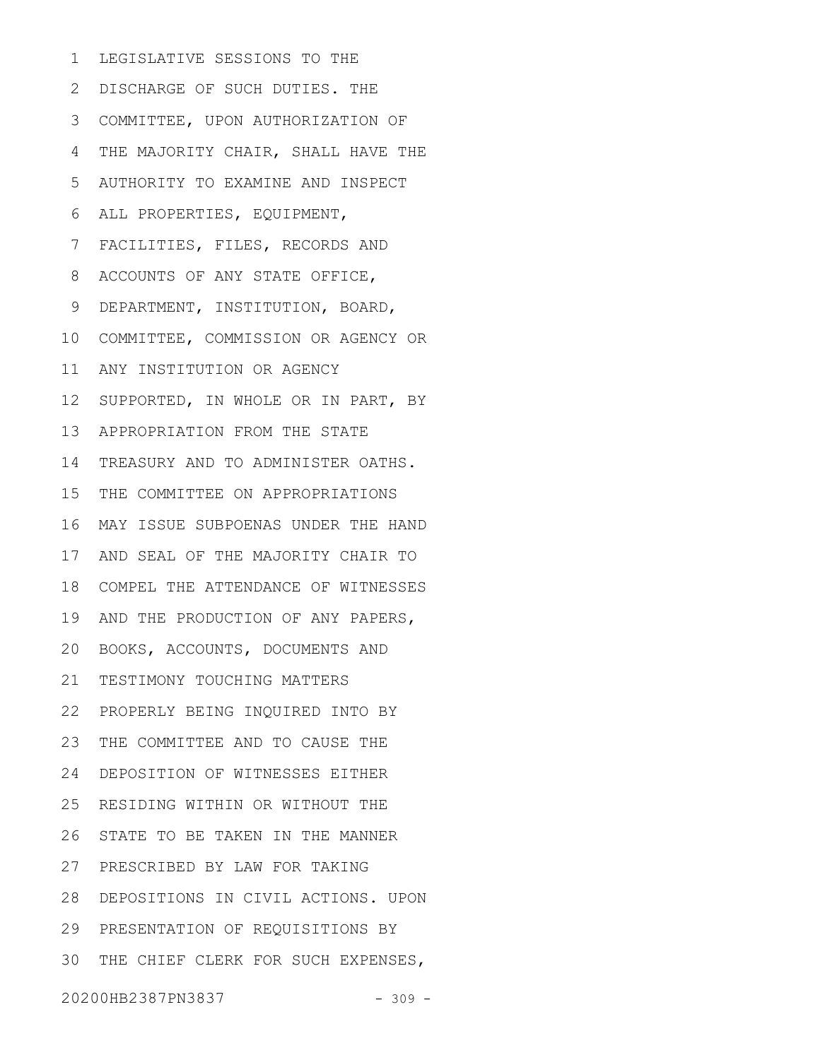LEGISLATIVE SESSIONS TO THE 1

2 DISCHARGE OF SUCH DUTIES. THE 3 COMMITTEE, UPON AUTHORIZATION OF THE MAJORITY CHAIR, SHALL HAVE THE AUTHORITY TO EXAMINE AND INSPECT ALL PROPERTIES, EQUIPMENT, FACILITIES, FILES, RECORDS AND ACCOUNTS OF ANY STATE OFFICE, DEPARTMENT, INSTITUTION, BOARD, COMMITTEE, COMMISSION OR AGENCY OR ANY INSTITUTION OR AGENCY 12 SUPPORTED, IN WHOLE OR IN PART, BY 13 APPROPRIATION FROM THE STATE 14 TREASURY AND TO ADMINISTER OATHS. 15 THE COMMITTEE ON APPROPRIATIONS MAY ISSUE SUBPOENAS UNDER THE HAND 16 17 AND SEAL OF THE MAJORITY CHAIR TO 18 COMPEL THE ATTENDANCE OF WITNESSES 19 AND THE PRODUCTION OF ANY PAPERS, 20 BOOKS, ACCOUNTS, DOCUMENTS AND 21 TESTIMONY TOUCHING MATTERS PROPERLY BEING INQUIRED INTO BY 22 23 THE COMMITTEE AND TO CAUSE THE DEPOSITION OF WITNESSES EITHER 24 RESIDING WITHIN OR WITHOUT THE 25 26 STATE TO BE TAKEN IN THE MANNER PRESCRIBED BY LAW FOR TAKING 27 28 DEPOSITIONS IN CIVIL ACTIONS. UPON 29 PRESENTATION OF REQUISITIONS BY 30 THE CHIEF CLERK FOR SUCH EXPENSES, 4 5 6 7 8 9 10 11

20200HB2387PN3837 - 309 -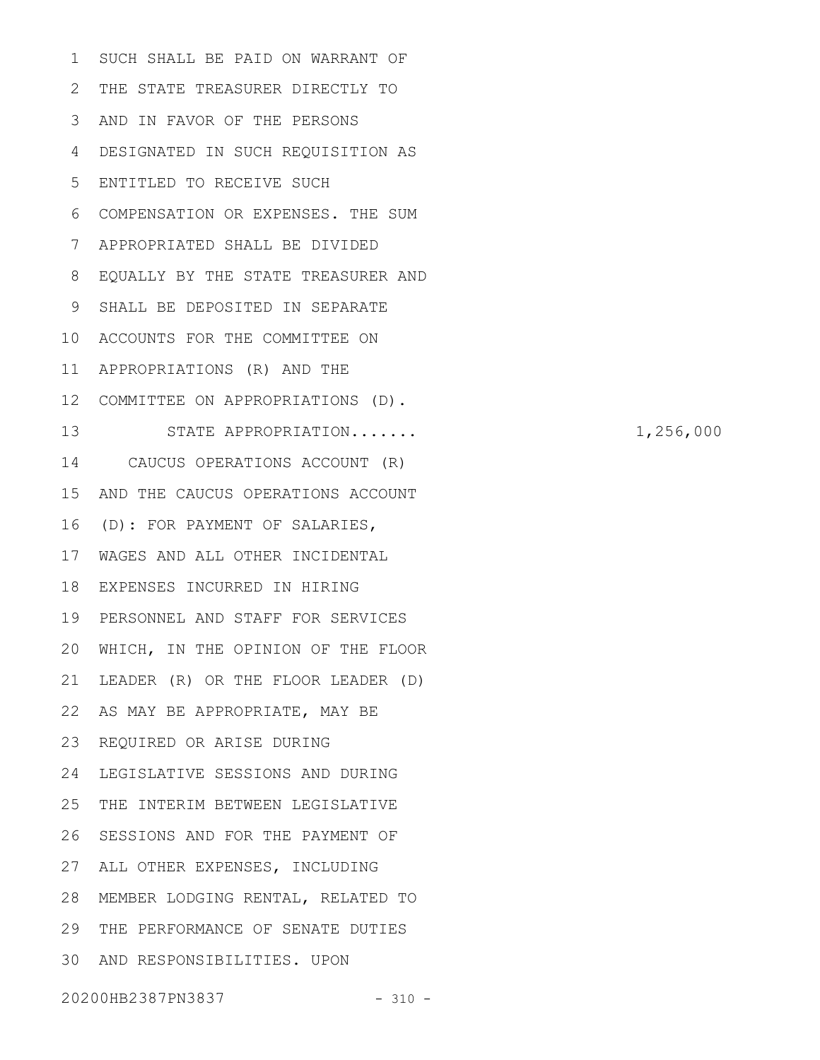SUCH SHALL BE PAID ON WARRANT OF THE STATE TREASURER DIRECTLY TO 2 AND IN FAVOR OF THE PERSONS 3 DESIGNATED IN SUCH REQUISITION AS ENTITLED TO RECEIVE SUCH COMPENSATION OR EXPENSES. THE SUM APPROPRIATED SHALL BE DIVIDED EQUALLY BY THE STATE TREASURER AND 8 SHALL BE DEPOSITED IN SEPARATE 10 ACCOUNTS FOR THE COMMITTEE ON 11 APPROPRIATIONS (R) AND THE COMMITTEE ON APPROPRIATIONS (D). 12 STATE APPROPRIATION....... 1,256,000 CAUCUS OPERATIONS ACCOUNT (R) 15 AND THE CAUCUS OPERATIONS ACCOUNT (D): FOR PAYMENT OF SALARIES, 16 WAGES AND ALL OTHER INCIDENTAL 17 18 EXPENSES INCURRED IN HIRING PERSONNEL AND STAFF FOR SERVICES 19 WHICH, IN THE OPINION OF THE FLOOR 20 LEADER (R) OR THE FLOOR LEADER (D) 22 AS MAY BE APPROPRIATE, MAY BE 23 REQUIRED OR ARISE DURING 24 LEGISLATIVE SESSIONS AND DURING THE INTERIM BETWEEN LEGISLATIVE 26 SESSIONS AND FOR THE PAYMENT OF 27 ALL OTHER EXPENSES, INCLUDING MEMBER LODGING RENTAL, RELATED TO 28 29 THE PERFORMANCE OF SENATE DUTIES AND RESPONSIBILITIES. UPON 301 4 5 6 7 9 13 14 21 25

20200HB2387PN3837 - 310 -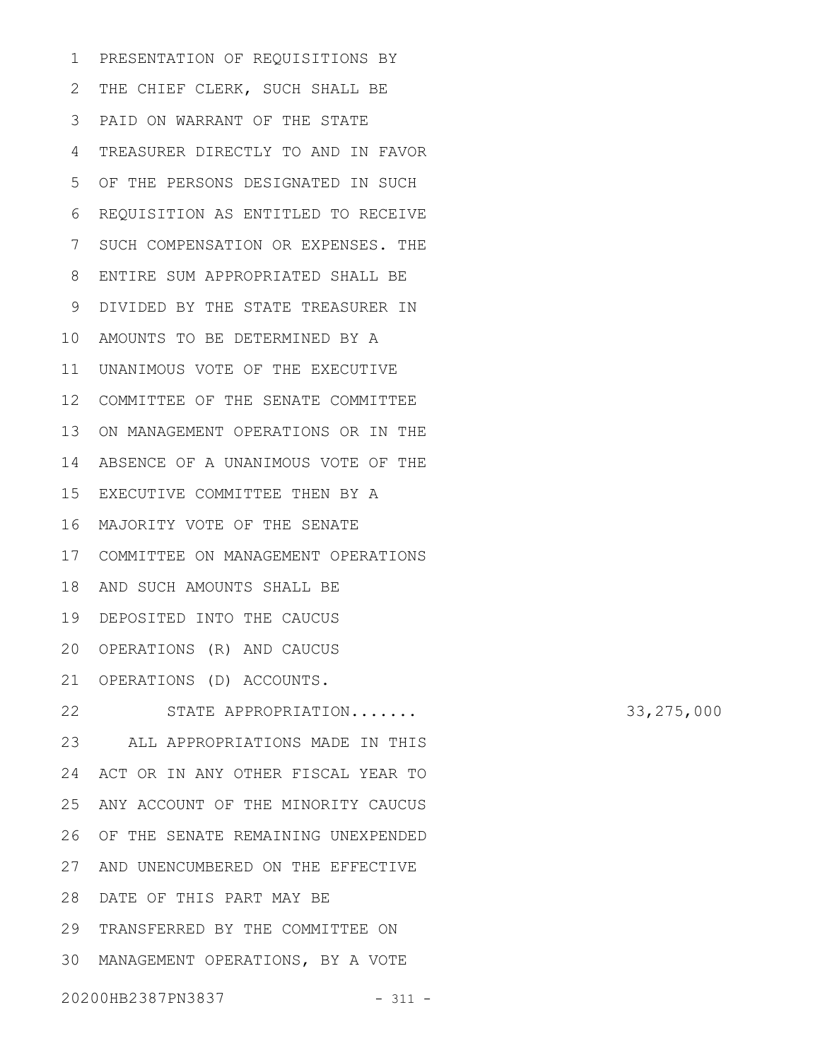PRESENTATION OF REQUISITIONS BY THE CHIEF CLERK, SUCH SHALL BE PAID ON WARRANT OF THE STATE 3 TREASURER DIRECTLY TO AND IN FAVOR 4 OF THE PERSONS DESIGNATED IN SUCH 5 REQUISITION AS ENTITLED TO RECEIVE SUCH COMPENSATION OR EXPENSES. THE ENTIRE SUM APPROPRIATED SHALL BE 8 DIVIDED BY THE STATE TREASURER IN 9 AMOUNTS TO BE DETERMINED BY A 10 11 UNANIMOUS VOTE OF THE EXECUTIVE 12 COMMITTEE OF THE SENATE COMMITTEE 13 ON MANAGEMENT OPERATIONS OR IN THE 14 ABSENCE OF A UNANIMOUS VOTE OF THE 15 EXECUTIVE COMMITTEE THEN BY A MAJORITY VOTE OF THE SENATE 16 COMMITTEE ON MANAGEMENT OPERATIONS 17 18 AND SUCH AMOUNTS SHALL BE DEPOSITED INTO THE CAUCUS 19 20 OPERATIONS (R) AND CAUCUS 21 OPERATIONS (D) ACCOUNTS. STATE APPROPRIATION....... 33,275,000 ALL APPROPRIATIONS MADE IN THIS 23 24 ACT OR IN ANY OTHER FISCAL YEAR TO 25 ANY ACCOUNT OF THE MINORITY CAUCUS 26 OF THE SENATE REMAINING UNEXPENDED 27 AND UNENCUMBERED ON THE EFFECTIVE DATE OF THIS PART MAY BE 28 29 TRANSFERRED BY THE COMMITTEE ON MANAGEMENT OPERATIONS, BY A VOTE 301 2 6 7 22

20200HB2387PN3837 - 311 -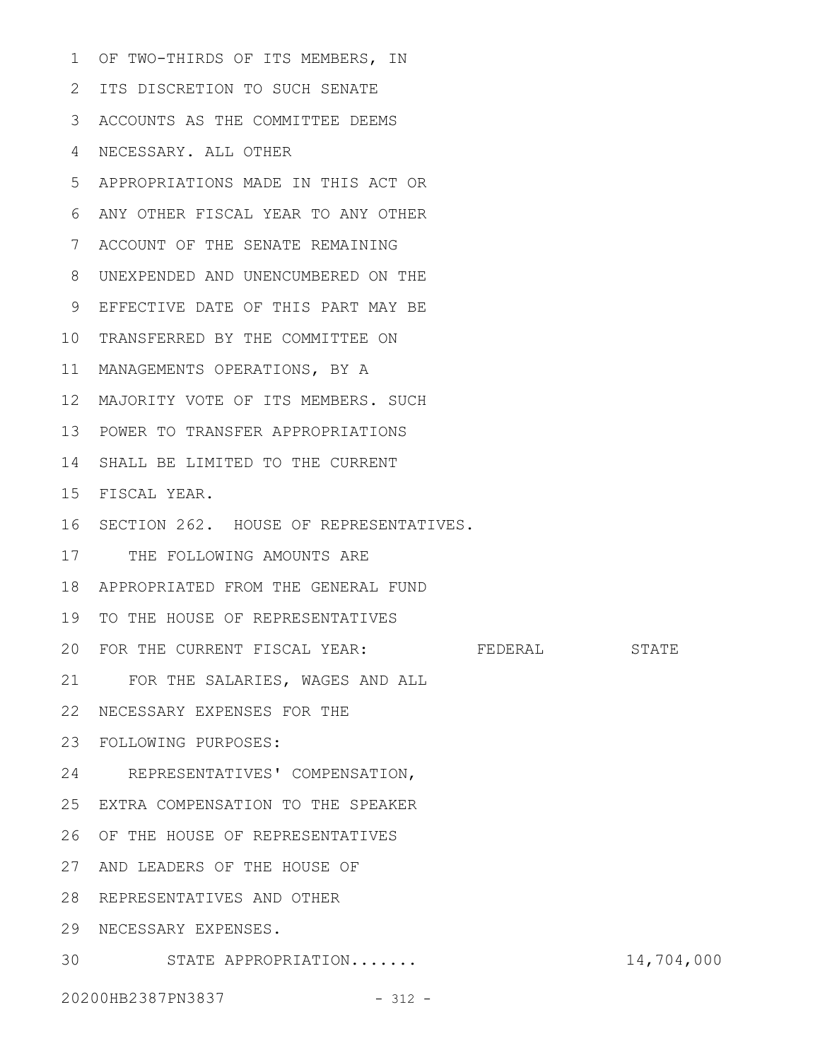OF TWO-THIRDS OF ITS MEMBERS, IN 1 2 ITS DISCRETION TO SUCH SENATE ACCOUNTS AS THE COMMITTEE DEEMS 3 NECESSARY. ALL OTHER 4 APPROPRIATIONS MADE IN THIS ACT OR 5 ANY OTHER FISCAL YEAR TO ANY OTHER 6 ACCOUNT OF THE SENATE REMAINING 7 UNEXPENDED AND UNENCUMBERED ON THE 8 9 EFFECTIVE DATE OF THIS PART MAY BE 10 TRANSFERRED BY THE COMMITTEE ON 11 MANAGEMENTS OPERATIONS, BY A MAJORITY VOTE OF ITS MEMBERS. SUCH 12 POWER TO TRANSFER APPROPRIATIONS 13 14 SHALL BE LIMITED TO THE CURRENT FISCAL YEAR. 15 16 SECTION 262. HOUSE OF REPRESENTATIVES. 17 THE FOLLOWING AMOUNTS ARE APPROPRIATED FROM THE GENERAL FUND 18 19 TO THE HOUSE OF REPRESENTATIVES 20 FOR THE CURRENT FISCAL YEAR: FEDERAL STATE FOR THE SALARIES, WAGES AND ALL 21 22 NECESSARY EXPENSES FOR THE FOLLOWING PURPOSES: 23 24 REPRESENTATIVES' COMPENSATION, 25 EXTRA COMPENSATION TO THE SPEAKER 26 OF THE HOUSE OF REPRESENTATIVES 27 AND LEADERS OF THE HOUSE OF 28 REPRESENTATIVES AND OTHER NECESSARY EXPENSES. 29 STATE APPROPRIATION....... 14,704,000 30

20200HB2387PN3837 - 312 -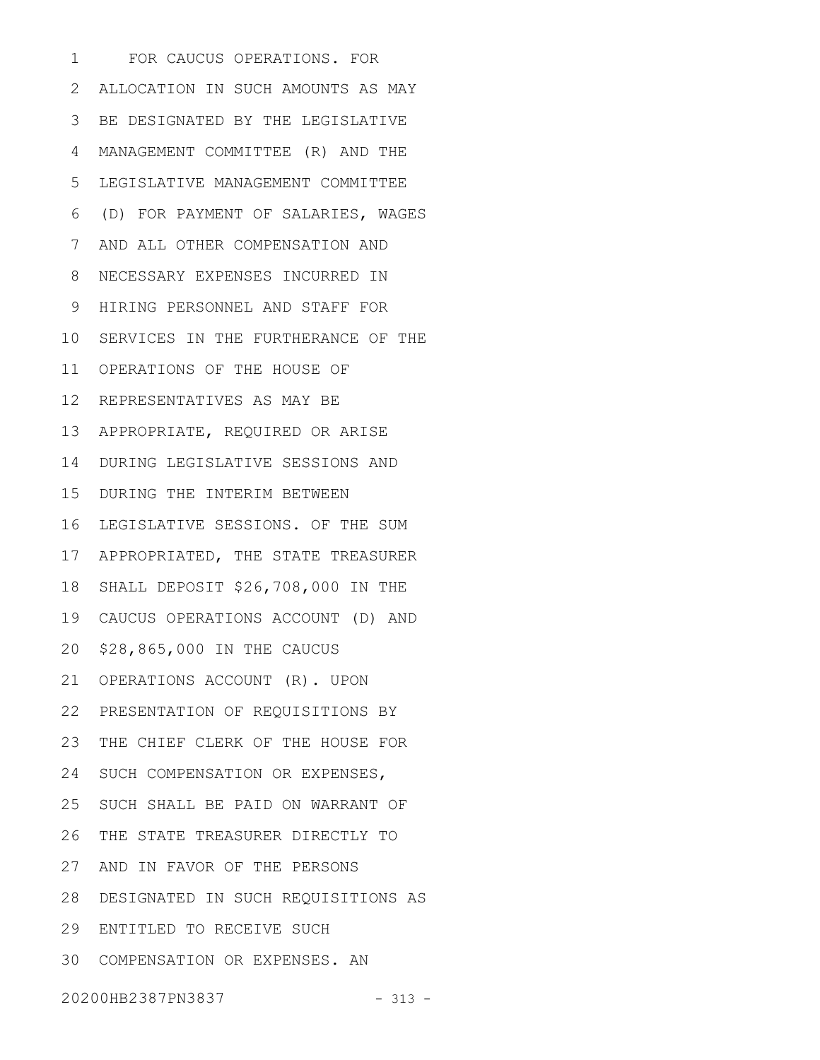FOR CAUCUS OPERATIONS. FOR ALLOCATION IN SUCH AMOUNTS AS MAY BE DESIGNATED BY THE LEGISLATIVE 3 MANAGEMENT COMMITTEE (R) AND THE LEGISLATIVE MANAGEMENT COMMITTEE (D) FOR PAYMENT OF SALARIES, WAGES 6 AND ALL OTHER COMPENSATION AND 7 NECESSARY EXPENSES INCURRED IN HIRING PERSONNEL AND STAFF FOR 10 SERVICES IN THE FURTHERANCE OF THE 11 OPERATIONS OF THE HOUSE OF 12 REPRESENTATIVES AS MAY BE APPROPRIATE, REQUIRED OR ARISE 13 DURING LEGISLATIVE SESSIONS AND 14 15 DURING THE INTERIM BETWEEN 16 LEGISLATIVE SESSIONS. OF THE SUM 17 APPROPRIATED, THE STATE TREASURER 18 SHALL DEPOSIT \$26,708,000 IN THE CAUCUS OPERATIONS ACCOUNT (D) AND 19 \$28,865,000 IN THE CAUCUS 20 21 OPERATIONS ACCOUNT (R). UPON PRESENTATION OF REQUISITIONS BY 22 23 THE CHIEF CLERK OF THE HOUSE FOR 24 SUCH COMPENSATION OR EXPENSES, 25 SUCH SHALL BE PAID ON WARRANT OF 26 THE STATE TREASURER DIRECTLY TO 27 AND IN FAVOR OF THE PERSONS DESIGNATED IN SUCH REQUISITIONS AS 28 ENTITLED TO RECEIVE SUCH 29 COMPENSATION OR EXPENSES. AN 301 2 4 5 8 9

20200HB2387PN3837 - 313 -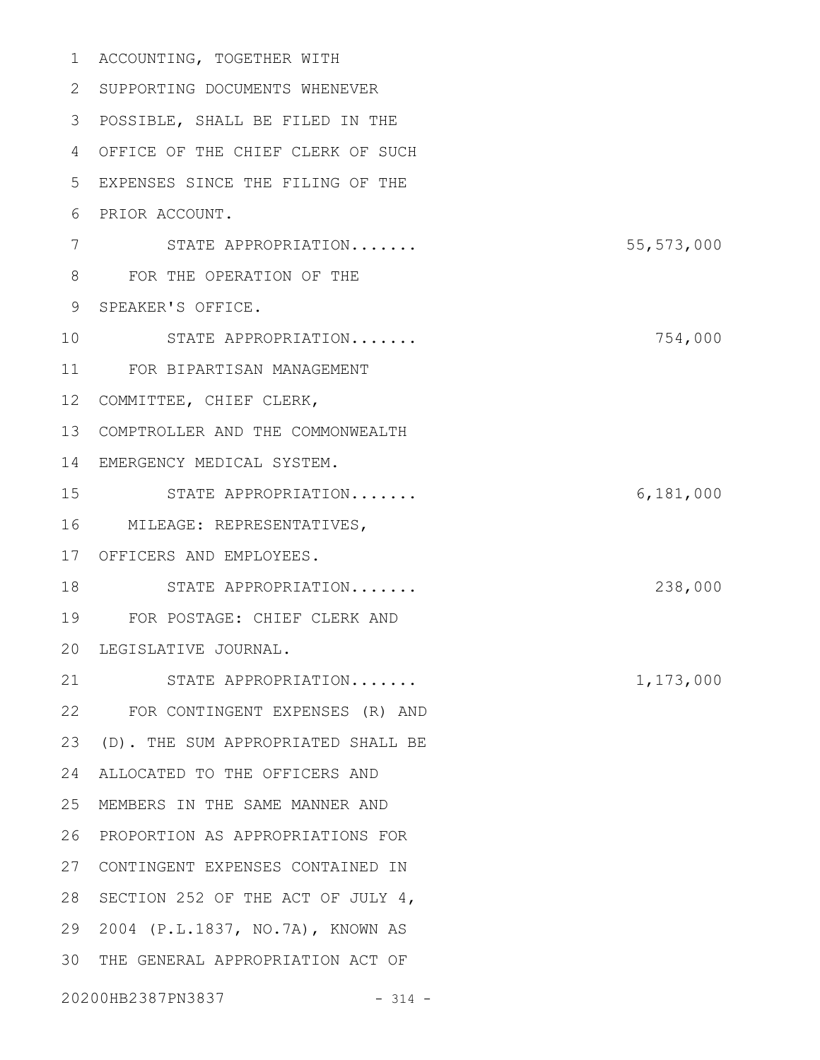| 1  | ACCOUNTING, TOGETHER WITH          |              |
|----|------------------------------------|--------------|
| 2  | SUPPORTING DOCUMENTS WHENEVER      |              |
| 3  | POSSIBLE, SHALL BE FILED IN THE    |              |
| 4  | OFFICE OF THE CHIEF CLERK OF SUCH  |              |
| 5  | EXPENSES SINCE THE FILING OF THE   |              |
| 6  | PRIOR ACCOUNT.                     |              |
| 7  | STATE APPROPRIATION                | 55, 573, 000 |
| 8  | FOR THE OPERATION OF THE           |              |
| 9  | SPEAKER'S OFFICE.                  |              |
| 10 | STATE APPROPRIATION                | 754,000      |
| 11 | FOR BIPARTISAN MANAGEMENT          |              |
| 12 | COMMITTEE, CHIEF CLERK,            |              |
| 13 | COMPTROLLER AND THE COMMONWEALTH   |              |
| 14 | EMERGENCY MEDICAL SYSTEM.          |              |
| 15 | STATE APPROPRIATION                | 6,181,000    |
| 16 | MILEAGE: REPRESENTATIVES,          |              |
| 17 | OFFICERS AND EMPLOYEES.            |              |
| 18 | STATE APPROPRIATION                | 238,000      |
| 19 | FOR POSTAGE: CHIEF CLERK AND       |              |
|    | 20 LEGISLATIVE JOURNAL.            |              |
| 21 | STATE APPROPRIATION                | 1,173,000    |
|    | 22 FOR CONTINGENT EXPENSES (R) AND |              |
| 23 | (D). THE SUM APPROPRIATED SHALL BE |              |
| 24 | ALLOCATED TO THE OFFICERS AND      |              |
| 25 | MEMBERS IN THE SAME MANNER AND     |              |
| 26 | PROPORTION AS APPROPRIATIONS FOR   |              |
| 27 | CONTINGENT EXPENSES CONTAINED IN   |              |
| 28 | SECTION 252 OF THE ACT OF JULY 4,  |              |
| 29 | 2004 (P.L.1837, NO.7A), KNOWN AS   |              |
| 30 | THE GENERAL APPROPRIATION ACT OF   |              |
|    | 20200HB2387PN3837<br>$-314 -$      |              |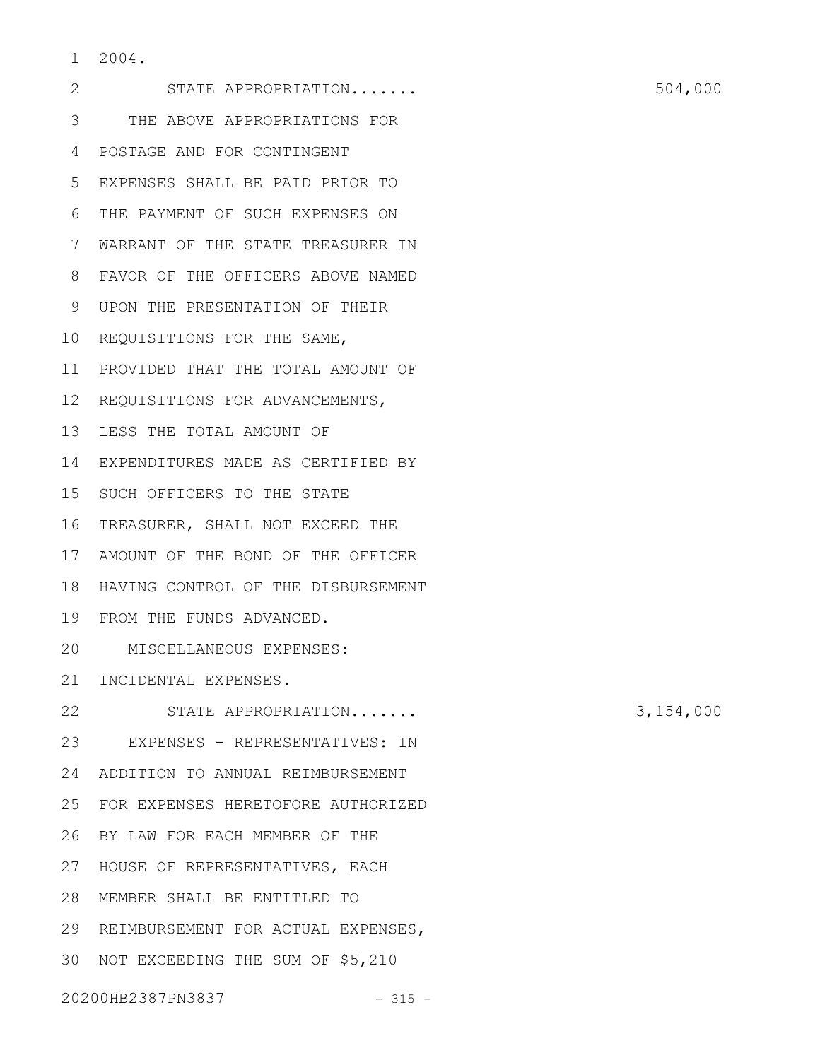2004. 1

STATE APPROPRIATION....... 504,000 THE ABOVE APPROPRIATIONS FOR 3 POSTAGE AND FOR CONTINGENT 4 EXPENSES SHALL BE PAID PRIOR TO 5 THE PAYMENT OF SUCH EXPENSES ON 6 WARRANT OF THE STATE TREASURER IN 7 FAVOR OF THE OFFICERS ABOVE NAMED 8 UPON THE PRESENTATION OF THEIR 9 10 REQUISITIONS FOR THE SAME, 11 PROVIDED THAT THE TOTAL AMOUNT OF 12 REQUISITIONS FOR ADVANCEMENTS, 13 LESS THE TOTAL AMOUNT OF 14 EXPENDITURES MADE AS CERTIFIED BY 15 SUCH OFFICERS TO THE STATE 16 TREASURER, SHALL NOT EXCEED THE 17 AMOUNT OF THE BOND OF THE OFFICER 18 HAVING CONTROL OF THE DISBURSEMENT FROM THE FUNDS ADVANCED. 19 MISCELLANEOUS EXPENSES: 20 21 INCIDENTAL EXPENSES. STATE APPROPRIATION....... 3,154,000 23 EXPENSES - REPRESENTATIVES: IN ADDITION TO ANNUAL REIMBURSEMENT 24 FOR EXPENSES HERETOFORE AUTHORIZED 25 BY LAW FOR EACH MEMBER OF THE 26 27 HOUSE OF REPRESENTATIVES, EACH MEMBER SHALL BE ENTITLED TO 28 29 REIMBURSEMENT FOR ACTUAL EXPENSES, 30 NOT EXCEEDING THE SUM OF \$5,210 2 22

20200HB2387PN3837 - 315 -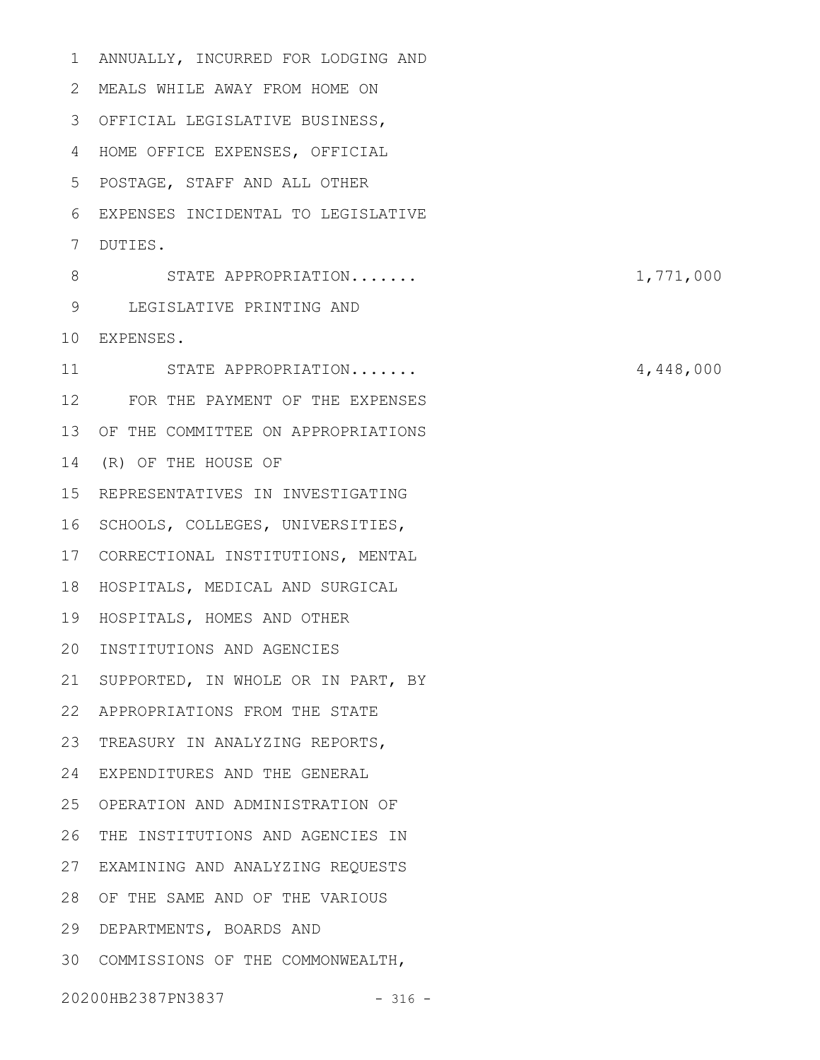ANNUALLY, INCURRED FOR LODGING AND MEALS WHILE AWAY FROM HOME ON 2 OFFICIAL LEGISLATIVE BUSINESS, 3 4 HOME OFFICE EXPENSES, OFFICIAL POSTAGE, STAFF AND ALL OTHER 5 EXPENSES INCIDENTAL TO LEGISLATIVE 6 7 DUTIES. STATE APPROPRIATION....... 1,771,000 LEGISLATIVE PRINTING AND 9 EXPENSES. 10 STATE APPROPRIATION....... 4,448,000 FOR THE PAYMENT OF THE EXPENSES 12 13 OF THE COMMITTEE ON APPROPRIATIONS 14 (R) OF THE HOUSE OF 15 REPRESENTATIVES IN INVESTIGATING 16 SCHOOLS, COLLEGES, UNIVERSITIES, 17 CORRECTIONAL INSTITUTIONS, MENTAL 18 HOSPITALS, MEDICAL AND SURGICAL 19 HOSPITALS, HOMES AND OTHER INSTITUTIONS AND AGENCIES 20 21 SUPPORTED, IN WHOLE OR IN PART, BY APPROPRIATIONS FROM THE STATE 22 23 TREASURY IN ANALYZING REPORTS, EXPENDITURES AND THE GENERAL 24 OPERATION AND ADMINISTRATION OF 25 26 THE INSTITUTIONS AND AGENCIES IN EXAMINING AND ANALYZING REQUESTS 27 OF THE SAME AND OF THE VARIOUS 28 29 DEPARTMENTS, BOARDS AND COMMISSIONS OF THE COMMONWEALTH, 3020200HB2387PN3837 - 316 -1 8 11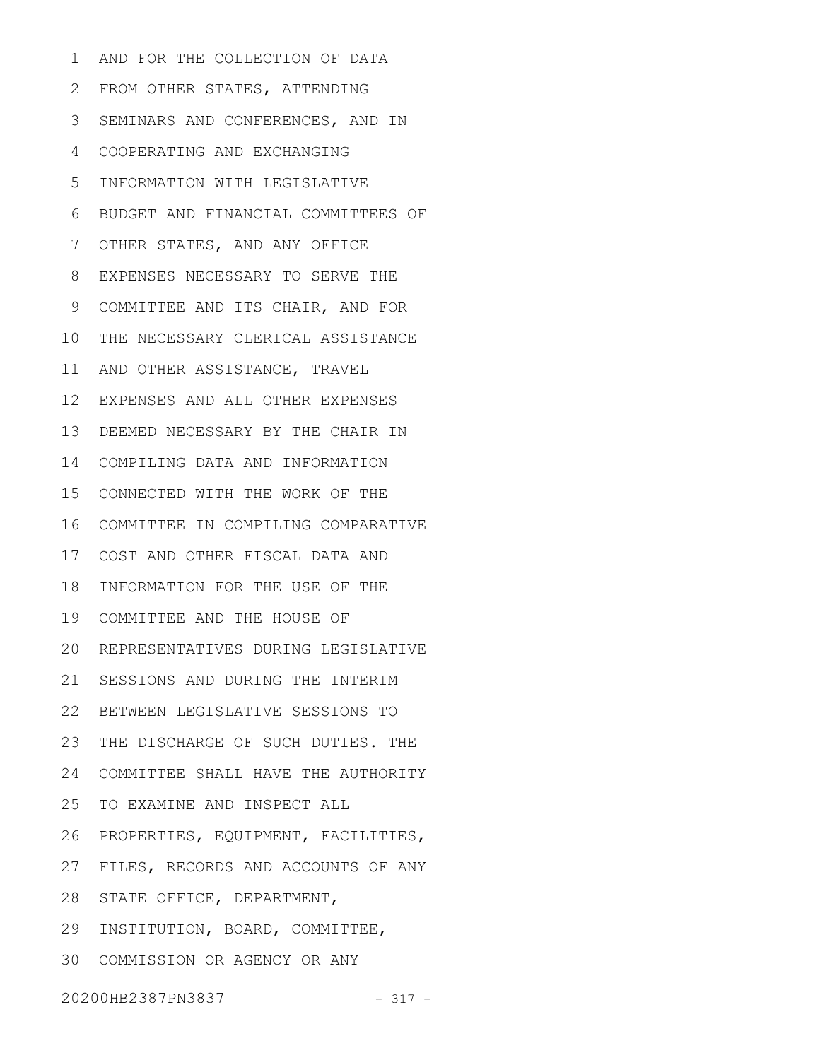AND FOR THE COLLECTION OF DATA 2 FROM OTHER STATES, ATTENDING 3 SEMINARS AND CONFERENCES, AND IN COOPERATING AND EXCHANGING 4 INFORMATION WITH LEGISLATIVE BUDGET AND FINANCIAL COMMITTEES OF OTHER STATES, AND ANY OFFICE EXPENSES NECESSARY TO SERVE THE 8 9 COMMITTEE AND ITS CHAIR, AND FOR 10 THE NECESSARY CLERICAL ASSISTANCE 11 AND OTHER ASSISTANCE, TRAVEL EXPENSES AND ALL OTHER EXPENSES 12 13 DEEMED NECESSARY BY THE CHAIR IN COMPILING DATA AND INFORMATION 14 CONNECTED WITH THE WORK OF THE 15 16 COMMITTEE IN COMPILING COMPARATIVE COST AND OTHER FISCAL DATA AND 17 18 INFORMATION FOR THE USE OF THE 19 COMMITTEE AND THE HOUSE OF 20 REPRESENTATIVES DURING LEGISLATIVE 21 SESSIONS AND DURING THE INTERIM BETWEEN LEGISLATIVE SESSIONS TO 22 23 THE DISCHARGE OF SUCH DUTIES. THE COMMITTEE SHALL HAVE THE AUTHORITY 24 25 TO EXAMINE AND INSPECT ALL 26 PROPERTIES, EQUIPMENT, FACILITIES, 27 FILES, RECORDS AND ACCOUNTS OF ANY 28 STATE OFFICE, DEPARTMENT, 29 INSTITUTION, BOARD, COMMITTEE, COMMISSION OR AGENCY OR ANY 301 5 6 7

20200HB2387PN3837 - 317 -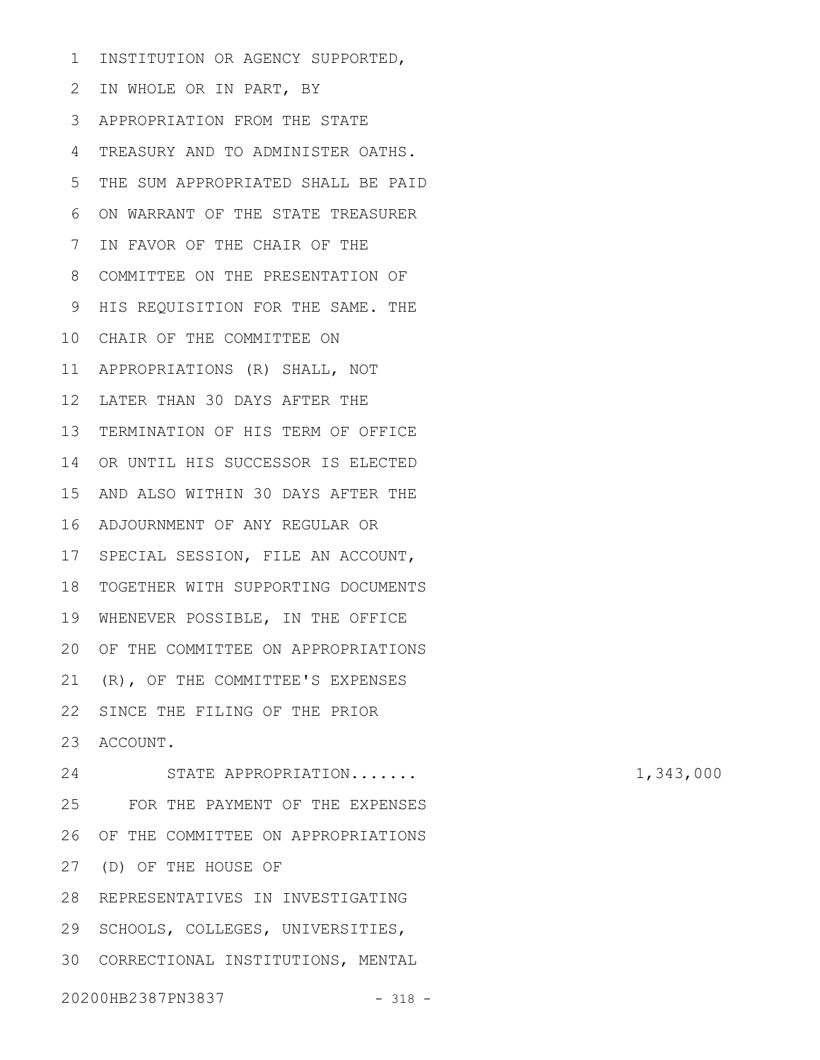INSTITUTION OR AGENCY SUPPORTED, 1

2 IN WHOLE OR IN PART, BY APPROPRIATION FROM THE STATE 3 TREASURY AND TO ADMINISTER OATHS. 4 THE SUM APPROPRIATED SHALL BE PAID ON WARRANT OF THE STATE TREASURER 7 IN FAVOR OF THE CHAIR OF THE 8 COMMITTEE ON THE PRESENTATION OF 9 HIS REQUISITION FOR THE SAME. THE 10 CHAIR OF THE COMMITTEE ON APPROPRIATIONS (R) SHALL, NOT 11 12 LATER THAN 30 DAYS AFTER THE 13 TERMINATION OF HIS TERM OF OFFICE 14 OR UNTIL HIS SUCCESSOR IS ELECTED 15 AND ALSO WITHIN 30 DAYS AFTER THE ADJOURNMENT OF ANY REGULAR OR 16 17 SPECIAL SESSION, FILE AN ACCOUNT, 18 TOGETHER WITH SUPPORTING DOCUMENTS 19 WHENEVER POSSIBLE, IN THE OFFICE 20 OF THE COMMITTEE ON APPROPRIATIONS 21 (R), OF THE COMMITTEE'S EXPENSES 22 SINCE THE FILING OF THE PRIOR 23 ACCOUNT. STATE APPROPRIATION....... 1,343,000 FOR THE PAYMENT OF THE EXPENSES 26 OF THE COMMITTEE ON APPROPRIATIONS (D) OF THE HOUSE OF 27 28 REPRESENTATIVES IN INVESTIGATING 29 SCHOOLS, COLLEGES, UNIVERSITIES, 30 CORRECTIONAL INSTITUTIONS, MENTAL 5 6 24 25

20200HB2387PN3837 - 318 -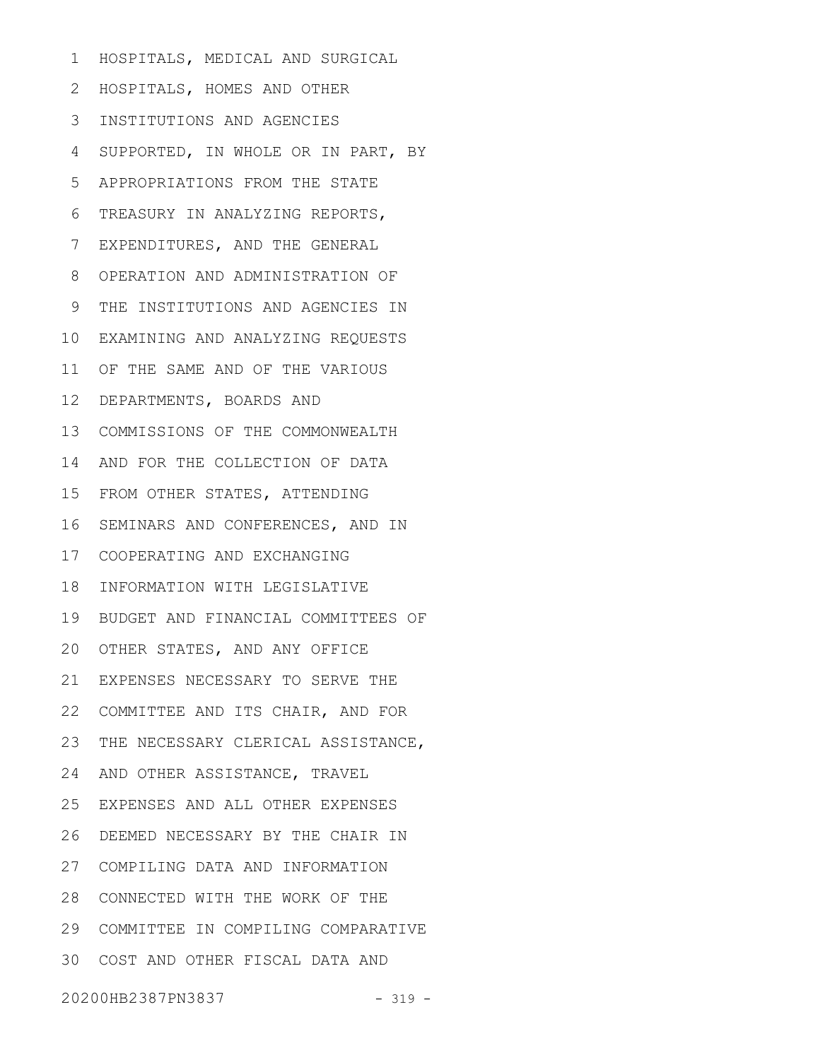HOSPITALS, MEDICAL AND SURGICAL 1

HOSPITALS, HOMES AND OTHER 2

- INSTITUTIONS AND AGENCIES 3
- SUPPORTED, IN WHOLE OR IN PART, BY 4
- APPROPRIATIONS FROM THE STATE 5
- TREASURY IN ANALYZING REPORTS, 6
- EXPENDITURES, AND THE GENERAL 7
- OPERATION AND ADMINISTRATION OF 8
- THE INSTITUTIONS AND AGENCIES IN 9
- EXAMINING AND ANALYZING REQUESTS 10
- 11 OF THE SAME AND OF THE VARIOUS
- 12 DEPARTMENTS, BOARDS AND
- COMMISSIONS OF THE COMMONWEALTH 13
- 14 AND FOR THE COLLECTION OF DATA
- 15 FROM OTHER STATES, ATTENDING
- 16 SEMINARS AND CONFERENCES, AND IN
- COOPERATING AND EXCHANGING 17
- 18 INFORMATION WITH LEGISLATIVE
- 19 BUDGET AND FINANCIAL COMMITTEES OF
- 20 OTHER STATES, AND ANY OFFICE
- EXPENSES NECESSARY TO SERVE THE 21
- 22 COMMITTEE AND ITS CHAIR, AND FOR
- 23 THE NECESSARY CLERICAL ASSISTANCE,
- 24 AND OTHER ASSISTANCE, TRAVEL
- EXPENSES AND ALL OTHER EXPENSES 25
- 26 DEEMED NECESSARY BY THE CHAIR IN
- COMPILING DATA AND INFORMATION 27
- 28 CONNECTED WITH THE WORK OF THE
- COMMITTEE IN COMPILING COMPARATIVE 29
- COST AND OTHER FISCAL DATA AND 30
- 20200HB2387PN3837 319 -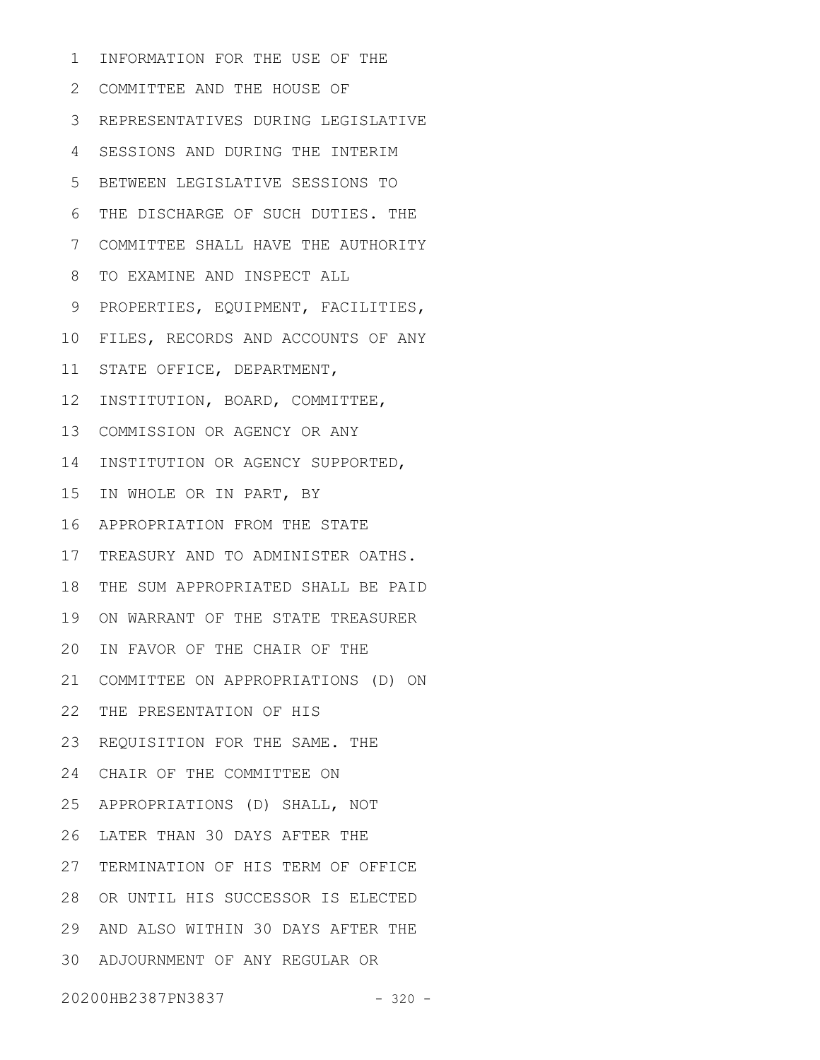INFORMATION FOR THE USE OF THE 1

COMMITTEE AND THE HOUSE OF 2 REPRESENTATIVES DURING LEGISLATIVE 3 SESSIONS AND DURING THE INTERIM BETWEEN LEGISLATIVE SESSIONS TO THE DISCHARGE OF SUCH DUTIES. THE COMMITTEE SHALL HAVE THE AUTHORITY TO EXAMINE AND INSPECT ALL PROPERTIES, EQUIPMENT, FACILITIES, FILES, RECORDS AND ACCOUNTS OF ANY STATE OFFICE, DEPARTMENT, 12 INSTITUTION, BOARD, COMMITTEE, 13 COMMISSION OR AGENCY OR ANY 14 INSTITUTION OR AGENCY SUPPORTED, IN WHOLE OR IN PART, BY APPROPRIATION FROM THE STATE 16 17 TREASURY AND TO ADMINISTER OATHS. 18 THE SUM APPROPRIATED SHALL BE PAID 19 ON WARRANT OF THE STATE TREASURER 20 IN FAVOR OF THE CHAIR OF THE 21 COMMITTEE ON APPROPRIATIONS (D) ON 22 THE PRESENTATION OF HIS 23 REQUISITION FOR THE SAME. THE CHAIR OF THE COMMITTEE ON 24 APPROPRIATIONS (D) SHALL, NOT 25 26 LATER THAN 30 DAYS AFTER THE 27 TERMINATION OF HIS TERM OF OFFICE 28 OR UNTIL HIS SUCCESSOR IS ELECTED AND ALSO WITHIN 30 DAYS AFTER THE 29 ADJOURNMENT OF ANY REGULAR OR 304 5 6 7 8 9 10 11 15

20200HB2387PN3837 - 320 -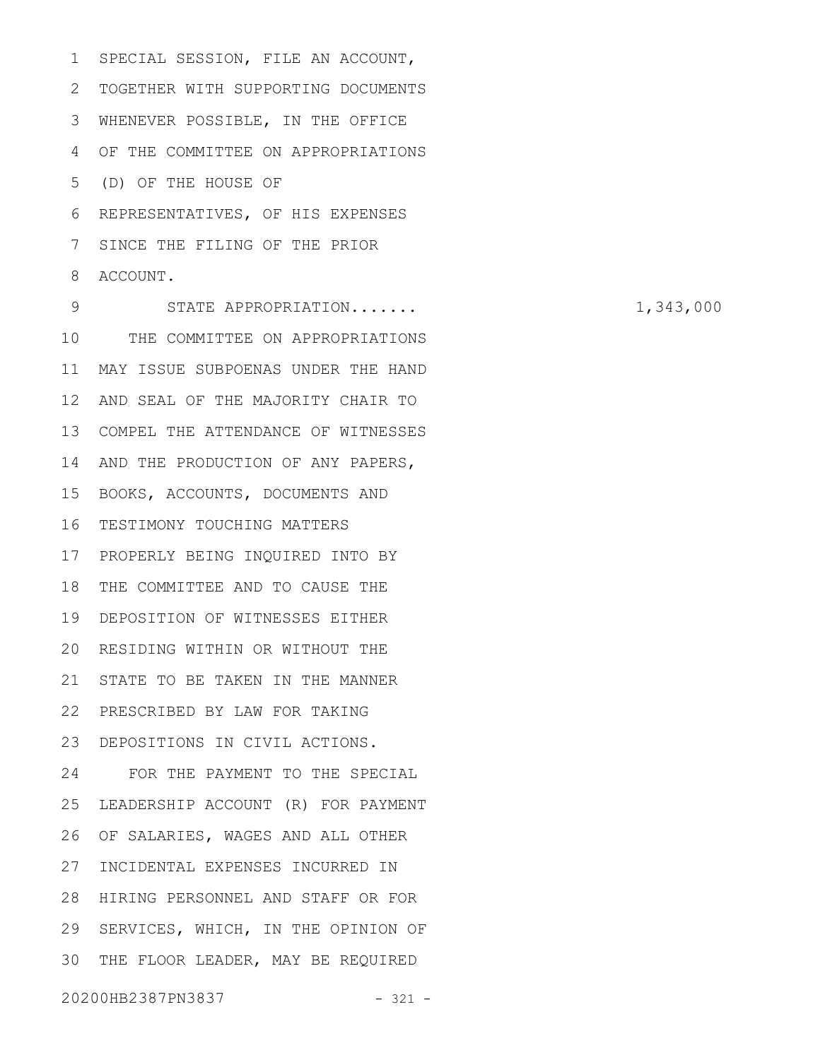SPECIAL SESSION, FILE AN ACCOUNT, 2 TOGETHER WITH SUPPORTING DOCUMENTS WHENEVER POSSIBLE, IN THE OFFICE 3 OF THE COMMITTEE ON APPROPRIATIONS 4 (D) OF THE HOUSE OF 5 REPRESENTATIVES, OF HIS EXPENSES 6 SINCE THE FILING OF THE PRIOR 8 ACCOUNT. 1 7

STATE APPROPRIATION....... 1,343,000 10 THE COMMITTEE ON APPROPRIATIONS MAY ISSUE SUBPOENAS UNDER THE HAND 11 12 AND SEAL OF THE MAJORITY CHAIR TO 13 COMPEL THE ATTENDANCE OF WITNESSES 14 AND THE PRODUCTION OF ANY PAPERS, 15 BOOKS, ACCOUNTS, DOCUMENTS AND 16 TESTIMONY TOUCHING MATTERS 17 PROPERLY BEING INQUIRED INTO BY 18 THE COMMITTEE AND TO CAUSE THE DEPOSITION OF WITNESSES EITHER 19 20 RESIDING WITHIN OR WITHOUT THE 21 STATE TO BE TAKEN IN THE MANNER PRESCRIBED BY LAW FOR TAKING 22 DEPOSITIONS IN CIVIL ACTIONS. 23 FOR THE PAYMENT TO THE SPECIAL 25 LEADERSHIP ACCOUNT (R) FOR PAYMENT 26 OF SALARIES, WAGES AND ALL OTHER 27 INCIDENTAL EXPENSES INCURRED IN 28 HIRING PERSONNEL AND STAFF OR FOR 29 SERVICES, WHICH, IN THE OPINION OF 30 THE FLOOR LEADER, MAY BE REQUIRED 20200HB2387PN3837 - 321 - 9 24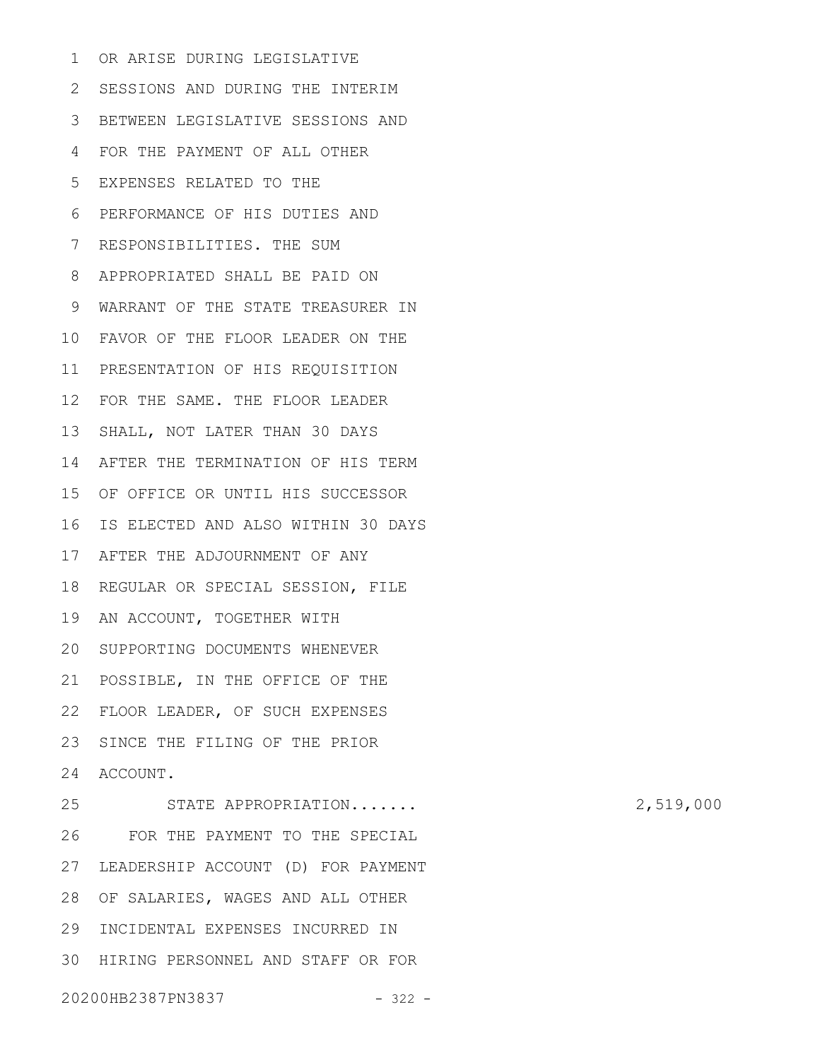OR ARISE DURING LEGISLATIVE 2 SESSIONS AND DURING THE INTERIM BETWEEN LEGISLATIVE SESSIONS AND 3 FOR THE PAYMENT OF ALL OTHER EXPENSES RELATED TO THE PERFORMANCE OF HIS DUTIES AND RESPONSIBILITIES. THE SUM APPROPRIATED SHALL BE PAID ON WARRANT OF THE STATE TREASURER IN FAVOR OF THE FLOOR LEADER ON THE 10 PRESENTATION OF HIS REQUISITION 11 FOR THE SAME. THE FLOOR LEADER 12 13 SHALL, NOT LATER THAN 30 DAYS 14 AFTER THE TERMINATION OF HIS TERM 15 OF OFFICE OR UNTIL HIS SUCCESSOR 16 IS ELECTED AND ALSO WITHIN 30 DAYS 17 AFTER THE ADJOURNMENT OF ANY 18 REGULAR OR SPECIAL SESSION, FILE 19 AN ACCOUNT, TOGETHER WITH 20 SUPPORTING DOCUMENTS WHENEVER 21 POSSIBLE, IN THE OFFICE OF THE 22 FLOOR LEADER, OF SUCH EXPENSES 23 SINCE THE FILING OF THE PRIOR 24 ACCOUNT. STATE APPROPRIATION....... 2,519,000 FOR THE PAYMENT TO THE SPECIAL 27 LEADERSHIP ACCOUNT (D) FOR PAYMENT 28 OF SALARIES, WAGES AND ALL OTHER 29 INCIDENTAL EXPENSES INCURRED IN 30 HIRING PERSONNEL AND STAFF OR FOR 1 4 5 6 7 8 9 25 26

20200HB2387PN3837 - 322 -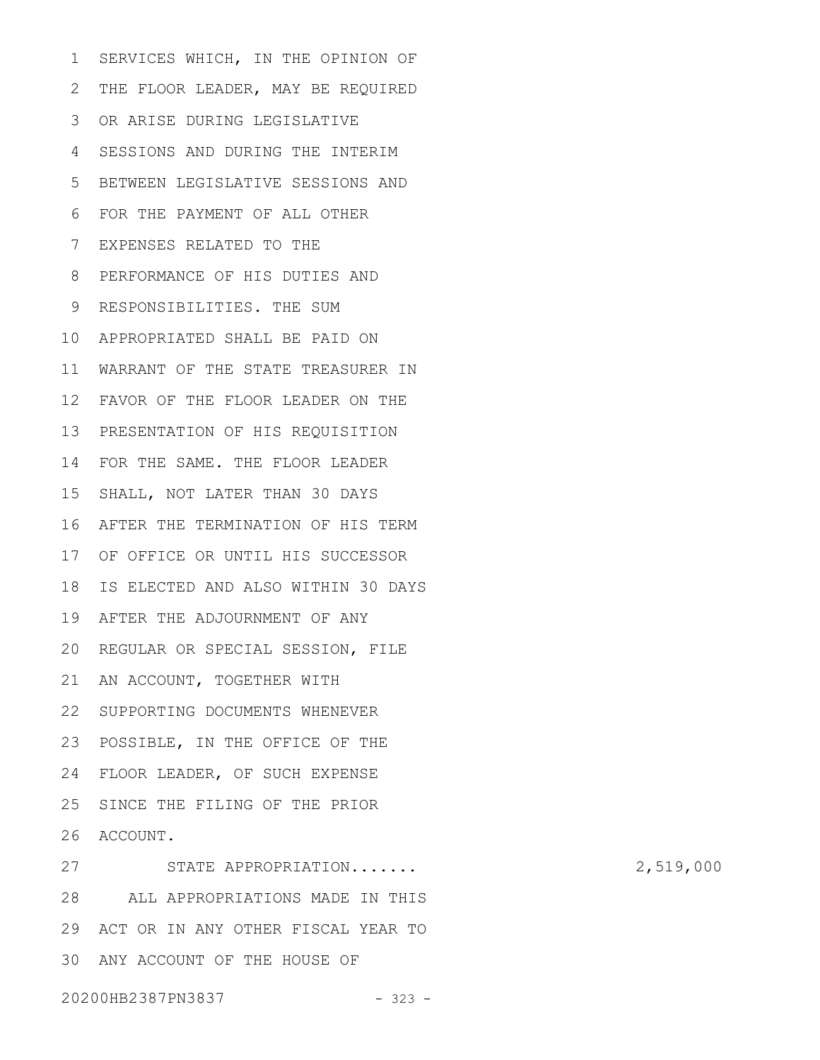SERVICES WHICH, IN THE OPINION OF 2 THE FLOOR LEADER, MAY BE REQUIRED OR ARISE DURING LEGISLATIVE 3 SESSIONS AND DURING THE INTERIM 4 BETWEEN LEGISLATIVE SESSIONS AND 5 FOR THE PAYMENT OF ALL OTHER 6 EXPENSES RELATED TO THE 7 PERFORMANCE OF HIS DUTIES AND 8 9 RESPONSIBILITIES. THE SUM APPROPRIATED SHALL BE PAID ON 10 11 WARRANT OF THE STATE TREASURER IN FAVOR OF THE FLOOR LEADER ON THE 12 PRESENTATION OF HIS REQUISITION 13 14 FOR THE SAME. THE FLOOR LEADER 15 SHALL, NOT LATER THAN 30 DAYS 16 AFTER THE TERMINATION OF HIS TERM 17 OF OFFICE OR UNTIL HIS SUCCESSOR 18 IS ELECTED AND ALSO WITHIN 30 DAYS 19 AFTER THE ADJOURNMENT OF ANY 20 REGULAR OR SPECIAL SESSION, FILE 21 AN ACCOUNT, TOGETHER WITH 22 SUPPORTING DOCUMENTS WHENEVER 23 POSSIBLE, IN THE OFFICE OF THE 24 FLOOR LEADER, OF SUCH EXPENSE 25 SINCE THE FILING OF THE PRIOR 26 ACCOUNT. STATE APPROPRIATION....... 2,519,000 ALL APPROPRIATIONS MADE IN THIS 28 1 27

ACT OR IN ANY OTHER FISCAL YEAR TO 29 30 ANY ACCOUNT OF THE HOUSE OF

20200HB2387PN3837 - 323 -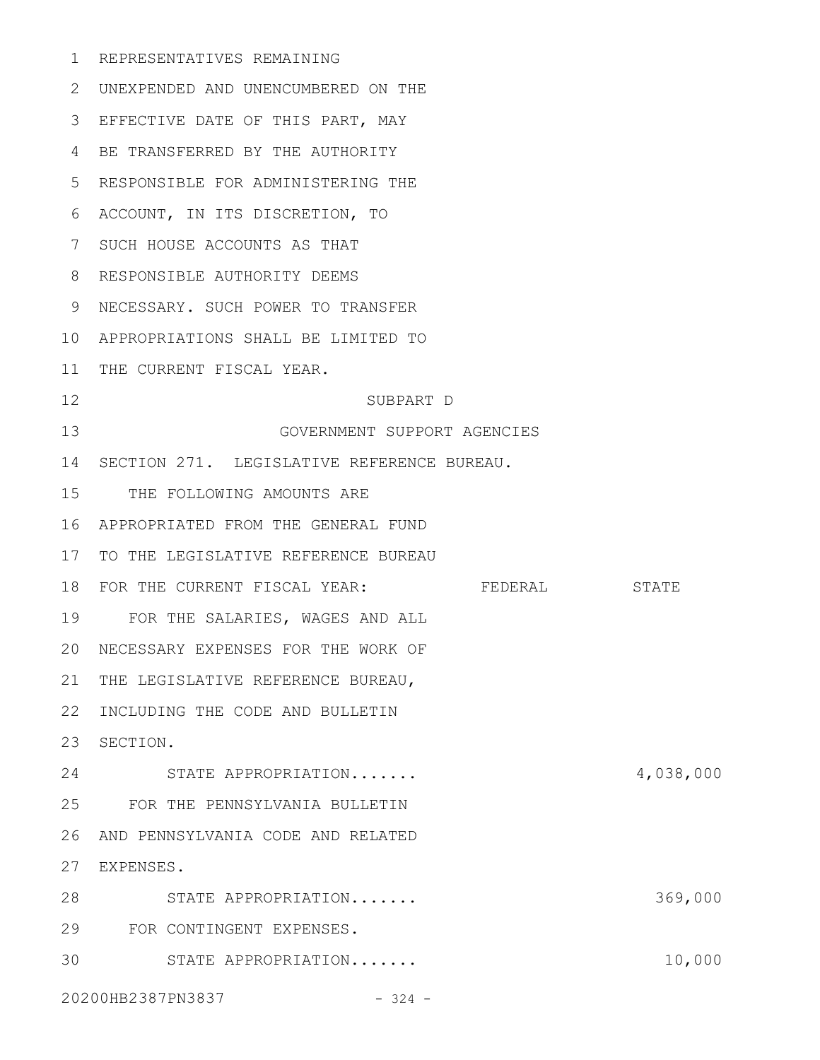REPRESENTATIVES REMAINING 1 UNEXPENDED AND UNENCUMBERED ON THE 2 EFFECTIVE DATE OF THIS PART, MAY 3 BE TRANSFERRED BY THE AUTHORITY 4 RESPONSIBLE FOR ADMINISTERING THE 5 ACCOUNT, IN ITS DISCRETION, TO 6 7 SUCH HOUSE ACCOUNTS AS THAT 8 RESPONSIBLE AUTHORITY DEEMS NECESSARY. SUCH POWER TO TRANSFER 9 APPROPRIATIONS SHALL BE LIMITED TO 10 11 THE CURRENT FISCAL YEAR. SUBPART D GOVERNMENT SUPPORT AGENCIES 14 SECTION 271. LEGISLATIVE REFERENCE BUREAU. 15 THE FOLLOWING AMOUNTS ARE APPROPRIATED FROM THE GENERAL FUND 16 17 TO THE LEGISLATIVE REFERENCE BUREAU 18 FOR THE CURRENT FISCAL YEAR: FEDERAL STATE FOR THE SALARIES, WAGES AND ALL 19 NECESSARY EXPENSES FOR THE WORK OF 20 21 THE LEGISLATIVE REFERENCE BUREAU, 22 INCLUDING THE CODE AND BULLETIN 23 SECTION. STATE APPROPRIATION....... 4,038,000 24 FOR THE PENNSYLVANIA BULLETIN 25 AND PENNSYLVANIA CODE AND RELATED 26 EXPENSES. 27 28 STATE APPROPRIATION....... 369,000 FOR CONTINGENT EXPENSES. 29 30 STATE APPROPRIATION....... 10,000 12 13

20200HB2387PN3837 - 324 -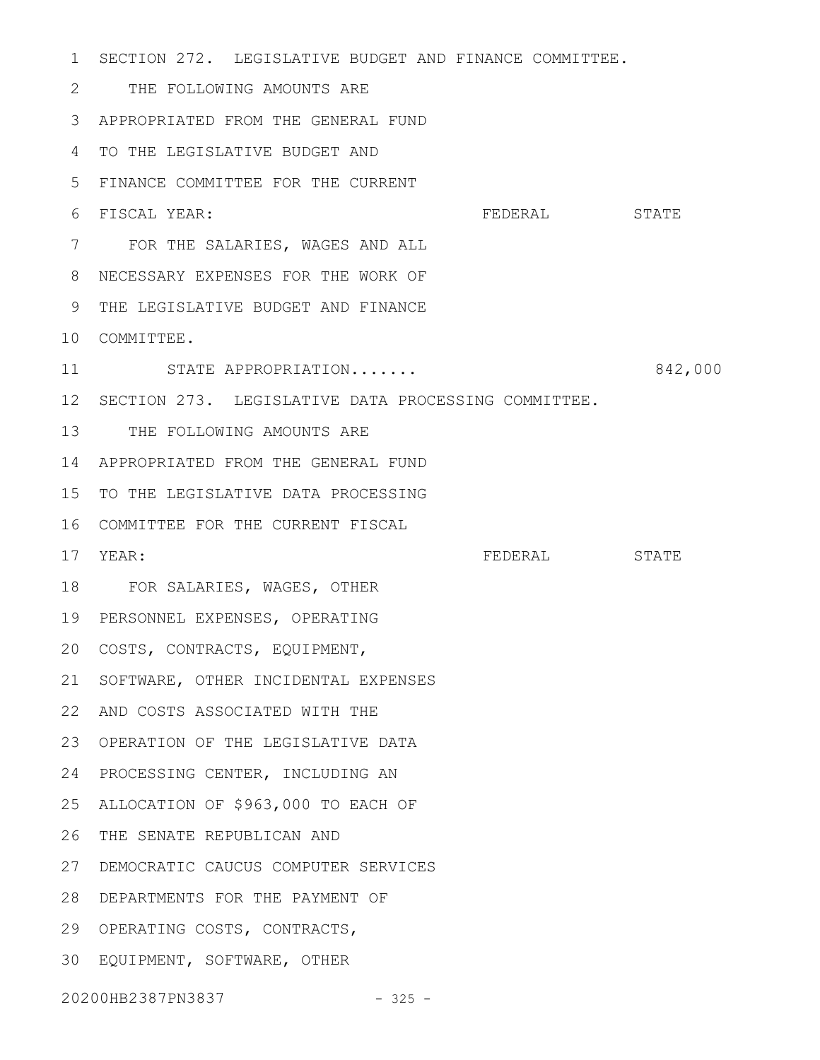1 SECTION 272. LEGISLATIVE BUDGET AND FINANCE COMMITTEE. THE FOLLOWING AMOUNTS ARE 2 APPROPRIATED FROM THE GENERAL FUND 3 TO THE LEGISLATIVE BUDGET AND 4 FINANCE COMMITTEE FOR THE CURRENT 5 FEDERAL STATE FOR THE SALARIES, WAGES AND ALL 7 NECESSARY EXPENSES FOR THE WORK OF 8 9 THE LEGISLATIVE BUDGET AND FINANCE 10 COMMITTEE. STATE APPROPRIATION....... 6842,000 SECTION 273. LEGISLATIVE DATA PROCESSING COMMITTEE. 12 13 THE FOLLOWING AMOUNTS ARE APPROPRIATED FROM THE GENERAL FUND 14 15 TO THE LEGISLATIVE DATA PROCESSING 16 COMMITTEE FOR THE CURRENT FISCAL YEAR: FEDERAL STATE FOR SALARIES, WAGES, OTHER 18 PERSONNEL EXPENSES, OPERATING 19 COSTS, CONTRACTS, EQUIPMENT, 20 21 SOFTWARE, OTHER INCIDENTAL EXPENSES AND COSTS ASSOCIATED WITH THE 22 23 OPERATION OF THE LEGISLATIVE DATA 24 PROCESSING CENTER, INCLUDING AN ALLOCATION OF \$963,000 TO EACH OF 25 26 THE SENATE REPUBLICAN AND DEMOCRATIC CAUCUS COMPUTER SERVICES 27 DEPARTMENTS FOR THE PAYMENT OF 28 29 OPERATING COSTS, CONTRACTS, EQUIPMENT, SOFTWARE, OTHER 3020200HB2387PN3837 - 325 -6 FISCAL YEAR: 11 17 YEAR: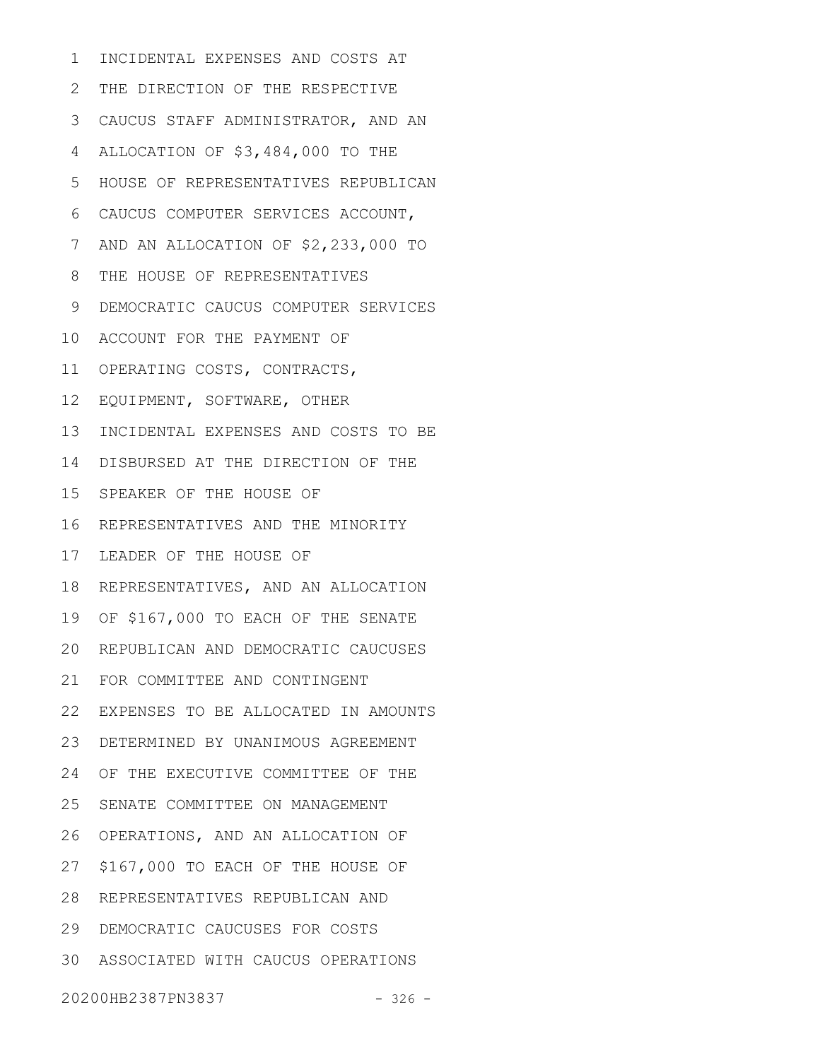INCIDENTAL EXPENSES AND COSTS AT 2 THE DIRECTION OF THE RESPECTIVE CAUCUS STAFF ADMINISTRATOR, AND AN 3 ALLOCATION OF \$3,484,000 TO THE HOUSE OF REPRESENTATIVES REPUBLICAN CAUCUS COMPUTER SERVICES ACCOUNT, 6 7 AND AN ALLOCATION OF \$2,233,000 TO THE HOUSE OF REPRESENTATIVES DEMOCRATIC CAUCUS COMPUTER SERVICES 10 ACCOUNT FOR THE PAYMENT OF 11 OPERATING COSTS, CONTRACTS, 12 EQUIPMENT, SOFTWARE, OTHER 13 INCIDENTAL EXPENSES AND COSTS TO BE 14 DISBURSED AT THE DIRECTION OF THE 15 SPEAKER OF THE HOUSE OF 16 REPRESENTATIVES AND THE MINORITY 17 LEADER OF THE HOUSE OF 18 REPRESENTATIVES, AND AN ALLOCATION 19 OF \$167,000 TO EACH OF THE SENATE 20 REPUBLICAN AND DEMOCRATIC CAUCUSES FOR COMMITTEE AND CONTINGENT 21 EXPENSES TO BE ALLOCATED IN AMOUNTS 22 DETERMINED BY UNANIMOUS AGREEMENT 23 24 OF THE EXECUTIVE COMMITTEE OF THE 25 SENATE COMMITTEE ON MANAGEMENT 26 OPERATIONS, AND AN ALLOCATION OF 27 \$167,000 TO EACH OF THE HOUSE OF REPRESENTATIVES REPUBLICAN AND 28 DEMOCRATIC CAUCUSES FOR COSTS 29 ASSOCIATED WITH CAUCUS OPERATIONS 3020200HB2387PN3837 - 326 -1 4 5 8 9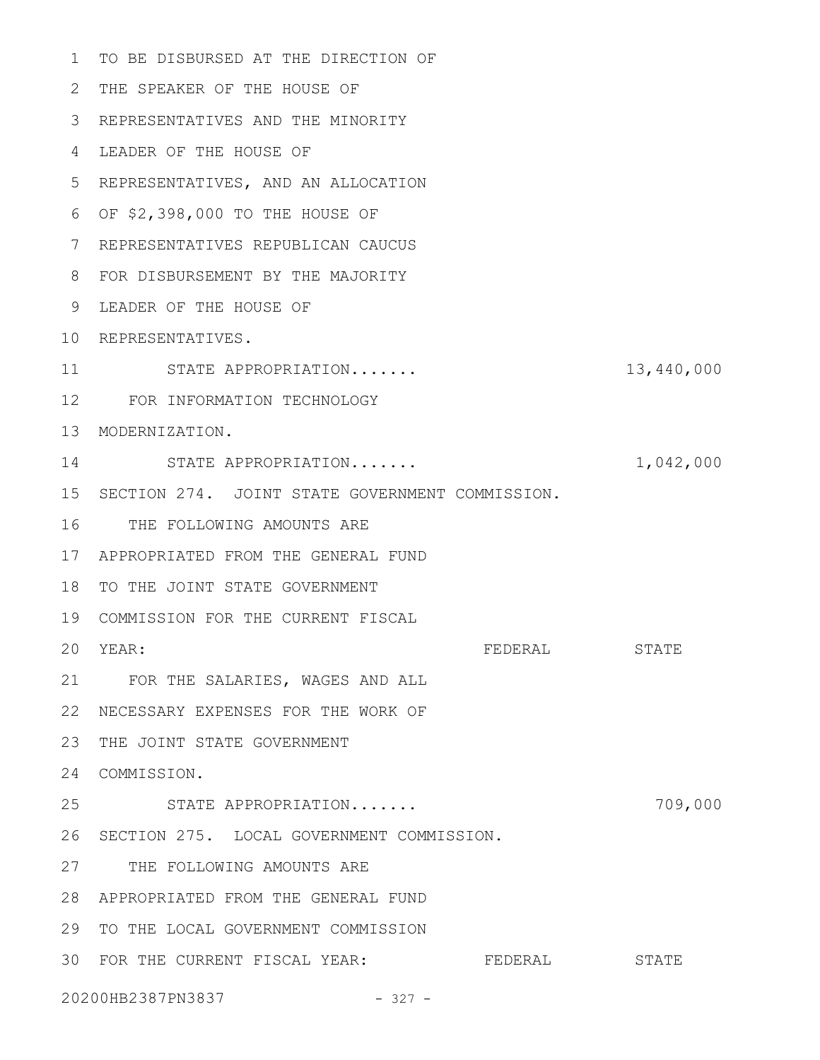1 TO BE DISBURSED AT THE DIRECTION OF THE SPEAKER OF THE HOUSE OF 2 REPRESENTATIVES AND THE MINORITY 3 LEADER OF THE HOUSE OF 4 REPRESENTATIVES, AND AN ALLOCATION 5 OF \$2,398,000 TO THE HOUSE OF 6 REPRESENTATIVES REPUBLICAN CAUCUS 7 FOR DISBURSEMENT BY THE MAJORITY 8 LEADER OF THE HOUSE OF 9 10 REPRESENTATIVES. STATE APPROPRIATION....... 13,440,000 FOR INFORMATION TECHNOLOGY 12 13 MODERNIZATION. 14 STATE APPROPRIATION....... 1,042,000 15 SECTION 274. JOINT STATE GOVERNMENT COMMISSION. 16 THE FOLLOWING AMOUNTS ARE APPROPRIATED FROM THE GENERAL FUND 17 18 TO THE JOINT STATE GOVERNMENT COMMISSION FOR THE CURRENT FISCAL 19 FEDERAL STATE FOR THE SALARIES, WAGES AND ALL 21 NECESSARY EXPENSES FOR THE WORK OF 22 23 THE JOINT STATE GOVERNMENT 24 COMMISSION. STATE APPROPRIATION....... 709,000 26 SECTION 275. LOCAL GOVERNMENT COMMISSION. 27 THE FOLLOWING AMOUNTS ARE APPROPRIATED FROM THE GENERAL FUND 28 29 TO THE LOCAL GOVERNMENT COMMISSION 30 FOR THE CURRENT FISCAL YEAR: FEDERAL STATE 20200HB2387PN3837 - 327 - 11 20 YEAR: 25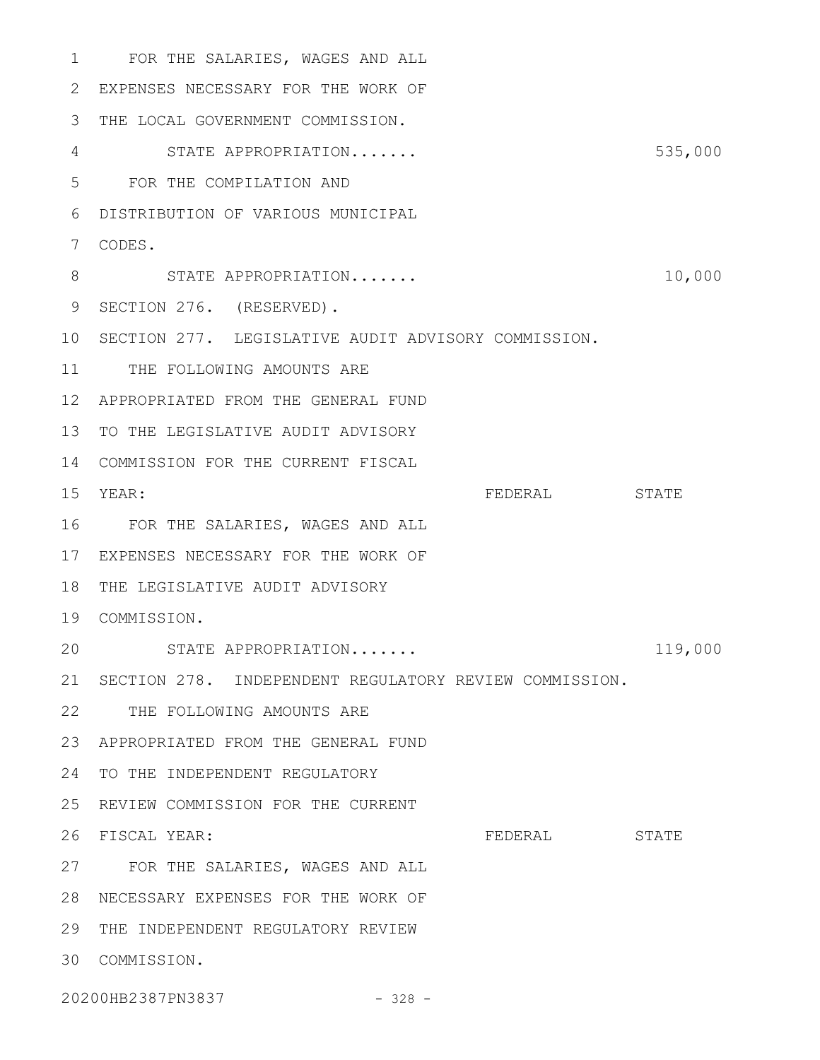FOR THE SALARIES, WAGES AND ALL 1 EXPENSES NECESSARY FOR THE WORK OF 2 3 THE LOCAL GOVERNMENT COMMISSION. STATE APPROPRIATION....... 535,000 4 FOR THE COMPILATION AND 5 DISTRIBUTION OF VARIOUS MUNICIPAL 6 CODES. 7 8 STATE APPROPRIATION....... 10,000 9 SECTION 276. (RESERVED). 10 SECTION 277. LEGISLATIVE AUDIT ADVISORY COMMISSION. 11 THE FOLLOWING AMOUNTS ARE APPROPRIATED FROM THE GENERAL FUND 12 13 TO THE LEGISLATIVE AUDIT ADVISORY 14 COMMISSION FOR THE CURRENT FISCAL FEDERAL STATE FOR THE SALARIES, WAGES AND ALL 16 17 EXPENSES NECESSARY FOR THE WORK OF 18 THE LEGISLATIVE AUDIT ADVISORY COMMISSION. 19 STATE APPROPRIATION....... 119,000 21 SECTION 278. INDEPENDENT REGULATORY REVIEW COMMISSION. 22 THE FOLLOWING AMOUNTS ARE APPROPRIATED FROM THE GENERAL FUND 23 24 TO THE INDEPENDENT REGULATORY 25 REVIEW COMMISSION FOR THE CURRENT FEDERAL STATE FOR THE SALARIES, WAGES AND ALL 27 NECESSARY EXPENSES FOR THE WORK OF 28 29 THE INDEPENDENT REGULATORY REVIEW COMMISSION. 3015 YEAR: 20 26 FISCAL YEAR:

20200HB2387PN3837 - 328 -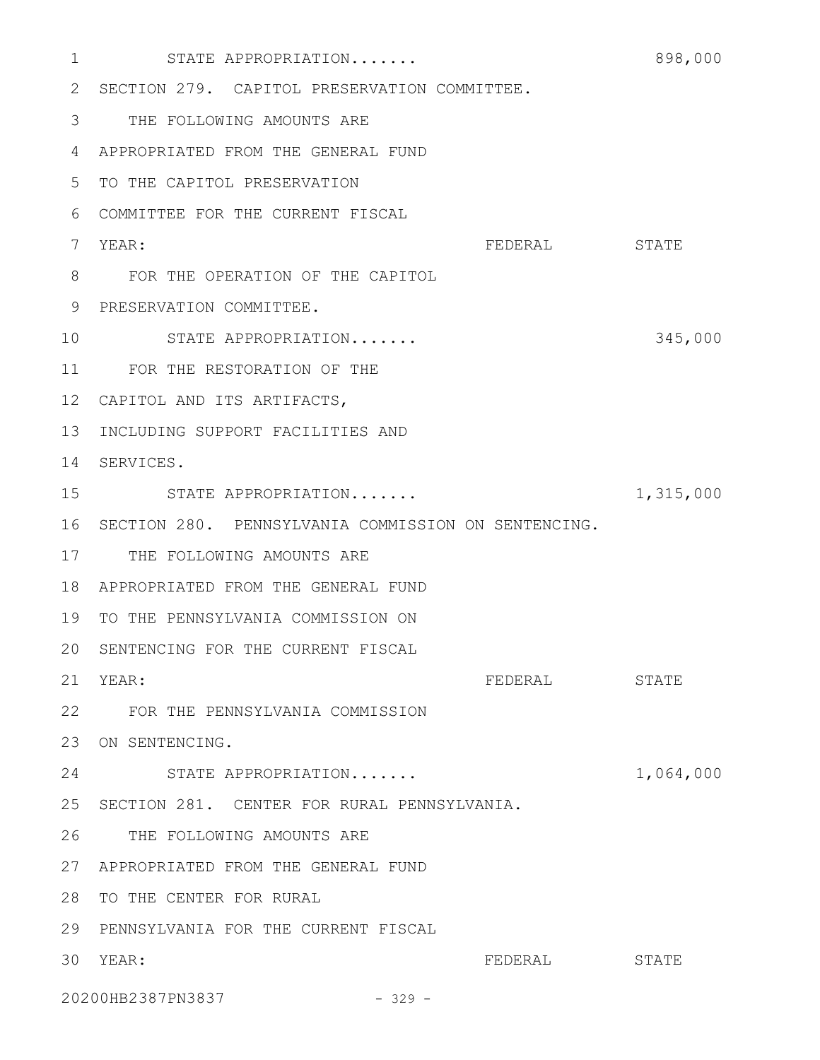| 1               | STATE APPROPRIATION                                 |         | 898,000   |
|-----------------|-----------------------------------------------------|---------|-----------|
| 2               | SECTION 279. CAPITOL PRESERVATION COMMITTEE.        |         |           |
| 3               | THE FOLLOWING AMOUNTS ARE                           |         |           |
| 4               | APPROPRIATED FROM THE GENERAL FUND                  |         |           |
| 5               | TO THE CAPITOL PRESERVATION                         |         |           |
| 6               | COMMITTEE FOR THE CURRENT FISCAL                    |         |           |
| 7               | YEAR:                                               | FEDERAL | STATE     |
| 8               | FOR THE OPERATION OF THE CAPITOL                    |         |           |
| 9               | PRESERVATION COMMITTEE.                             |         |           |
| 10              | STATE APPROPRIATION                                 |         | 345,000   |
| 11              | FOR THE RESTORATION OF THE                          |         |           |
| 12 <sup>°</sup> | CAPITOL AND ITS ARTIFACTS,                          |         |           |
| 13              | INCLUDING SUPPORT FACILITIES AND                    |         |           |
| 14              | SERVICES.                                           |         |           |
| 15              | STATE APPROPRIATION                                 |         | 1,315,000 |
| 16              | SECTION 280. PENNSYLVANIA COMMISSION ON SENTENCING. |         |           |
| 17              | THE FOLLOWING AMOUNTS ARE                           |         |           |
| 18              | APPROPRIATED FROM THE GENERAL FUND                  |         |           |
| 19              | TO THE PENNSYLVANIA COMMISSION ON                   |         |           |
| 20              | SENTENCING FOR THE CURRENT FISCAL                   |         |           |
| 21              | YEAR:                                               | FEDERAL | STATE     |
| 22              | FOR THE PENNSYLVANIA COMMISSION                     |         |           |
| 23              | ON SENTENCING.                                      |         |           |
| 24              | STATE APPROPRIATION                                 |         | 1,064,000 |
| 25              | SECTION 281. CENTER FOR RURAL PENNSYLVANIA.         |         |           |
| 26              | THE FOLLOWING AMOUNTS ARE                           |         |           |
| 27              | APPROPRIATED FROM THE GENERAL FUND                  |         |           |
| 28              | TO THE CENTER FOR RURAL                             |         |           |
| 29              | PENNSYLVANIA FOR THE CURRENT FISCAL                 |         |           |
| 30              | YEAR:                                               | FEDERAL | STATE     |
|                 | 20200HB2387PN3837<br>$-329 -$                       |         |           |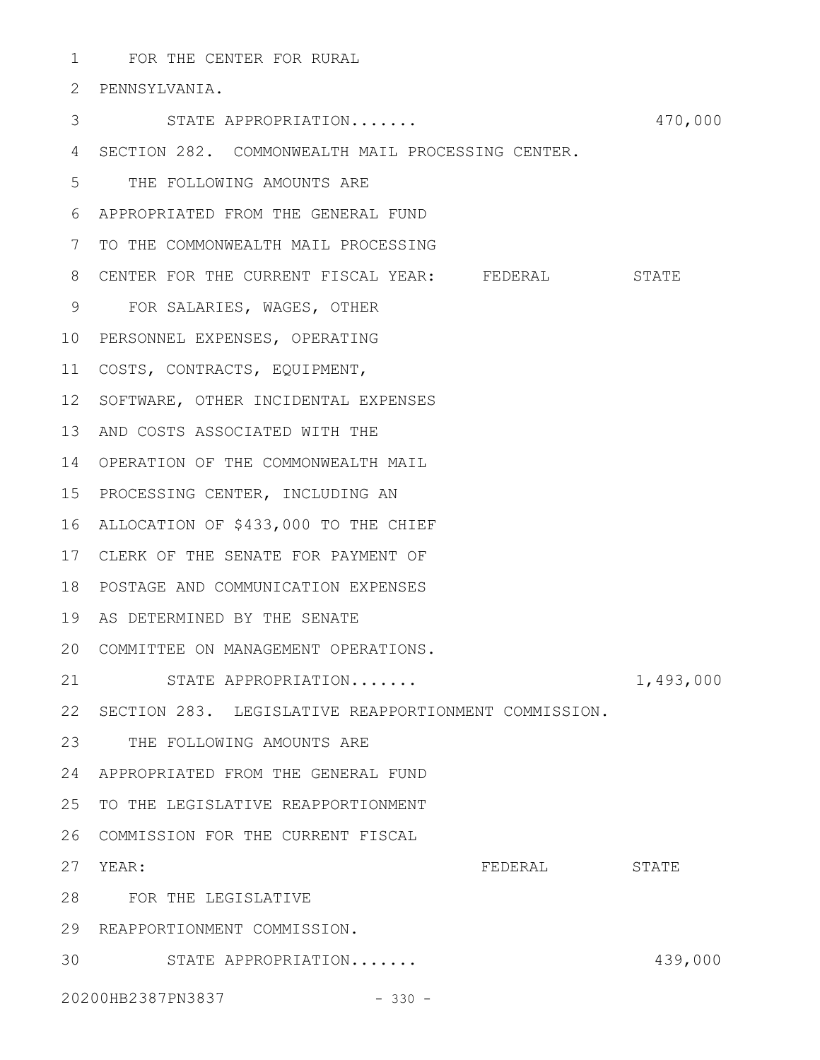FOR THE CENTER FOR RURAL 1

PENNSYLVANIA. 2

- STATE APPROPRIATION....... 470,000 3 SECTION 282. COMMONWEALTH MAIL PROCESSING CENTER. 4 THE FOLLOWING AMOUNTS ARE 5 APPROPRIATED FROM THE GENERAL FUND 6 7 TO THE COMMONWEALTH MAIL PROCESSING 8 CENTER FOR THE CURRENT FISCAL YEAR: FEDERAL STATE FOR SALARIES, WAGES, OTHER 9 10 PERSONNEL EXPENSES, OPERATING COSTS, CONTRACTS, EQUIPMENT, 11 12 SOFTWARE, OTHER INCIDENTAL EXPENSES 13 AND COSTS ASSOCIATED WITH THE 14 OPERATION OF THE COMMONWEALTH MAIL 15 PROCESSING CENTER, INCLUDING AN ALLOCATION OF \$433,000 TO THE CHIEF 16 17 CLERK OF THE SENATE FOR PAYMENT OF POSTAGE AND COMMUNICATION EXPENSES 18 19 AS DETERMINED BY THE SENATE COMMITTEE ON MANAGEMENT OPERATIONS. 20 STATE APPROPRIATION....... 1,493,000 22 SECTION 283. LEGISLATIVE REAPPORTIONMENT COMMISSION. 23 THE FOLLOWING AMOUNTS ARE APPROPRIATED FROM THE GENERAL FUND 24 25 TO THE LEGISLATIVE REAPPORTIONMENT 26 COMMISSION FOR THE CURRENT FISCAL FEDERAL STATE FOR THE LEGISLATIVE 28 29 REAPPORTIONMENT COMMISSION. 21 27 YEAR:
- STATE APPROPRIATION....... 439,000 30

20200HB2387PN3837 - 330 -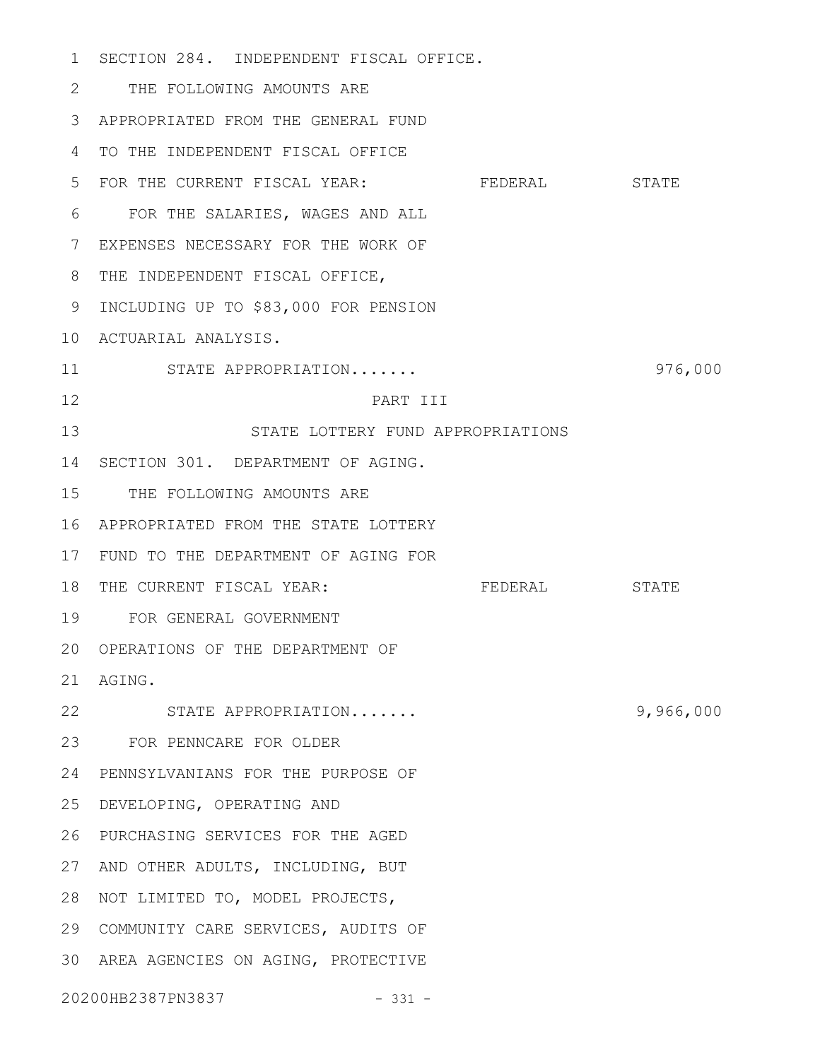SECTION 284. INDEPENDENT FISCAL OFFICE. 1 THE FOLLOWING AMOUNTS ARE 2 APPROPRIATED FROM THE GENERAL FUND 3 4 TO THE INDEPENDENT FISCAL OFFICE 5 FOR THE CURRENT FISCAL YEAR: FEDERAL STATE FOR THE SALARIES, WAGES AND ALL 6 EXPENSES NECESSARY FOR THE WORK OF 7 8 THE INDEPENDENT FISCAL OFFICE, 9 INCLUDING UP TO \$83,000 FOR PENSION ACTUARIAL ANALYSIS. 10 STATE APPROPRIATION....... 976,000 PART III STATE LOTTERY FUND APPROPRIATIONS 14 SECTION 301. DEPARTMENT OF AGING. 15 THE FOLLOWING AMOUNTS ARE APPROPRIATED FROM THE STATE LOTTERY 16 FUND TO THE DEPARTMENT OF AGING FOR 17 THE FEDERAL STATE FOR GENERAL GOVERNMENT 19 20 OPERATIONS OF THE DEPARTMENT OF AGING. 21 STATE APPROPRIATION....... 9,966,000 22 FOR PENNCARE FOR OLDER 23 24 PENNSYLVANIANS FOR THE PURPOSE OF DEVELOPING, OPERATING AND 25 PURCHASING SERVICES FOR THE AGED 26 27 AND OTHER ADULTS, INCLUDING, BUT NOT LIMITED TO, MODEL PROJECTS, 28 29 COMMUNITY CARE SERVICES, AUDITS OF 30 AREA AGENCIES ON AGING, PROTECTIVE 20200HB2387PN3837 - 331 - 11 12 13 18 THE CURRENT FISCAL YEAR: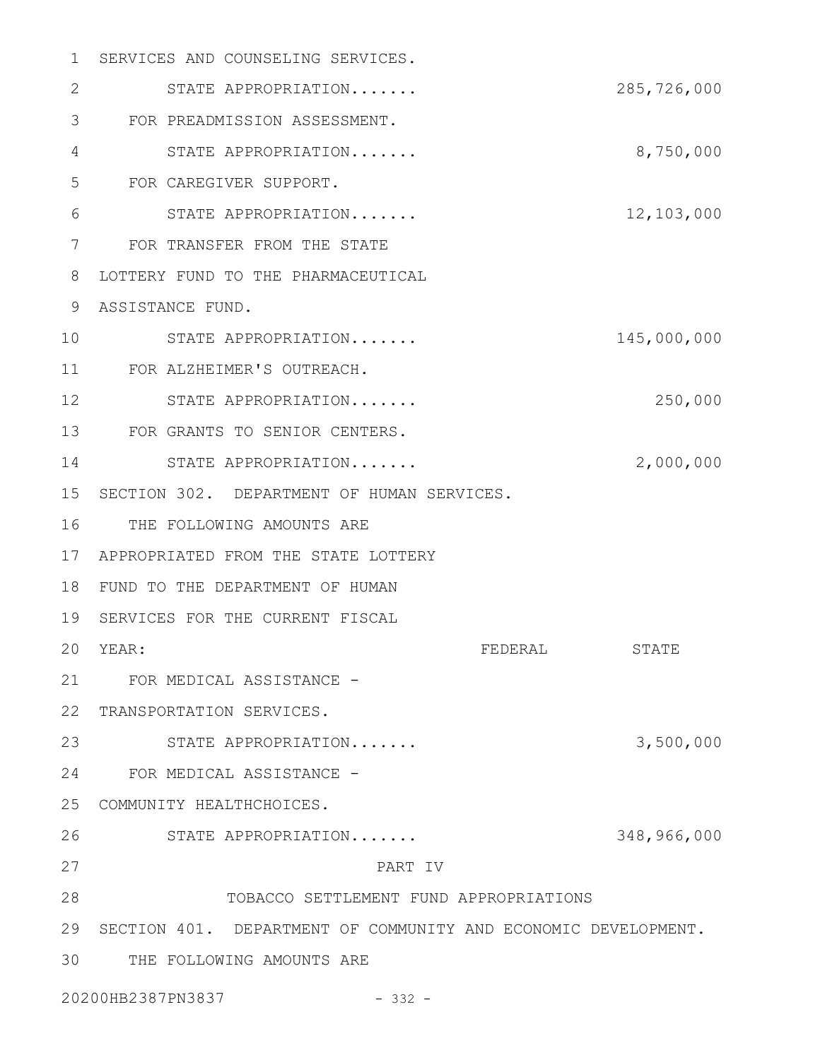| 1            | SERVICES AND COUNSELING SERVICES.                              |          |             |
|--------------|----------------------------------------------------------------|----------|-------------|
| $\mathbf{2}$ | STATE APPROPRIATION                                            |          | 285,726,000 |
| 3            | FOR PREADMISSION ASSESSMENT.                                   |          |             |
| 4            | STATE APPROPRIATION                                            |          | 8,750,000   |
| 5            | FOR CAREGIVER SUPPORT.                                         |          |             |
| 6            | STATE APPROPRIATION                                            |          | 12,103,000  |
| 7            | FOR TRANSFER FROM THE STATE                                    |          |             |
| 8            | LOTTERY FUND TO THE PHARMACEUTICAL                             |          |             |
| 9            | ASSISTANCE FUND.                                               |          |             |
| 10           | STATE APPROPRIATION                                            |          | 145,000,000 |
| 11           | FOR ALZHEIMER'S OUTREACH.                                      |          |             |
| 12           | STATE APPROPRIATION                                            |          | 250,000     |
| 13           | FOR GRANTS TO SENIOR CENTERS.                                  |          |             |
| 14           | STATE APPROPRIATION                                            |          | 2,000,000   |
| 15           | SECTION 302. DEPARTMENT OF HUMAN SERVICES.                     |          |             |
| 16           | THE FOLLOWING AMOUNTS ARE                                      |          |             |
| 17           | APPROPRIATED FROM THE STATE LOTTERY                            |          |             |
| 18           | FUND TO THE DEPARTMENT OF HUMAN                                |          |             |
| 19           | SERVICES FOR THE CURRENT FISCAL                                |          |             |
| 20           | YEAR:                                                          | FEDERAI. | STATE       |
| 21           | FOR MEDICAL ASSISTANCE -                                       |          |             |
| 22           | TRANSPORTATION SERVICES.                                       |          |             |
| 23           | STATE APPROPRIATION                                            |          | 3,500,000   |
| 24           | FOR MEDICAL ASSISTANCE -                                       |          |             |
| 25           | COMMUNITY HEALTHCHOICES.                                       |          |             |
| 26           | STATE APPROPRIATION                                            |          | 348,966,000 |
| 27           | PART IV                                                        |          |             |
| 28           | TOBACCO SETTLEMENT FUND APPROPRIATIONS                         |          |             |
| 29           | SECTION 401. DEPARTMENT OF COMMUNITY AND ECONOMIC DEVELOPMENT. |          |             |
| 30           | THE FOLLOWING AMOUNTS ARE                                      |          |             |
|              | 20200HB2387PN3837<br>$-332 -$                                  |          |             |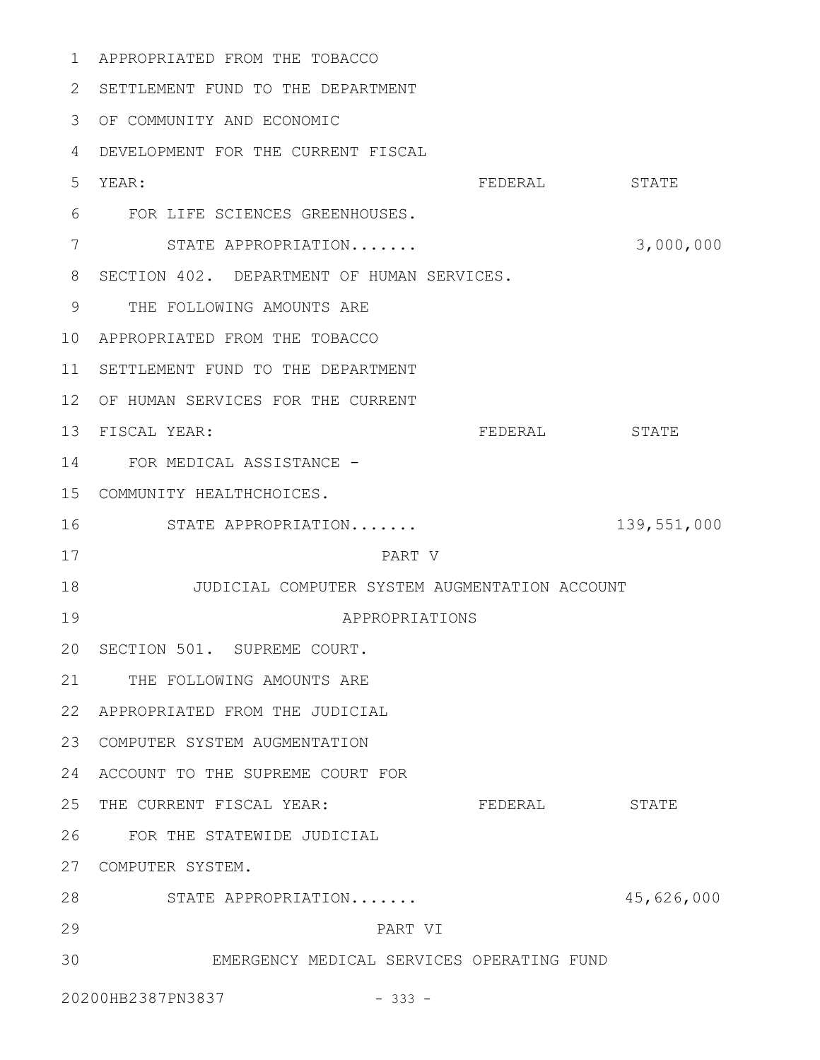APPROPRIATED FROM THE TOBACCO 1 2 SETTLEMENT FUND TO THE DEPARTMENT OF COMMUNITY AND ECONOMIC 3 DEVELOPMENT FOR THE CURRENT FISCAL 4 FEDERAL STATE FOR LIFE SCIENCES GREENHOUSES. 6 STATE APPROPRIATION....... 3,000,000 8 SECTION 402. DEPARTMENT OF HUMAN SERVICES. 9 THE FOLLOWING AMOUNTS ARE APPROPRIATED FROM THE TOBACCO 10 11 SETTLEMENT FUND TO THE DEPARTMENT 12 OF HUMAN SERVICES FOR THE CURRENT FEDERAL STATE 14 FOR MEDICAL ASSISTANCE -COMMUNITY HEALTHCHOICES. 15 STATE APPROPRIATION....... 139,551,000 PART V JUDICIAL COMPUTER SYSTEM AUGMENTATION ACCOUNT 18 APPROPRIATIONS 20 SECTION 501. SUPREME COURT. 21 THE FOLLOWING AMOUNTS ARE APPROPRIATED FROM THE JUDICIAL 22 COMPUTER SYSTEM AUGMENTATION 23 24 ACCOUNT TO THE SUPREME COURT FOR FEDERAL STATE FOR THE STATEWIDE JUDICIAL 26 COMPUTER SYSTEM. 27 STATE APPROPRIATION....... 45,626,000 28 PART VI EMERGENCY MEDICAL SERVICES OPERATING FUND 20200HB2387PN3837 - 333 - 5 YEAR: 7 13 FISCAL YEAR: 16 17 19 25 THE CURRENT FISCAL YEAR: 29 30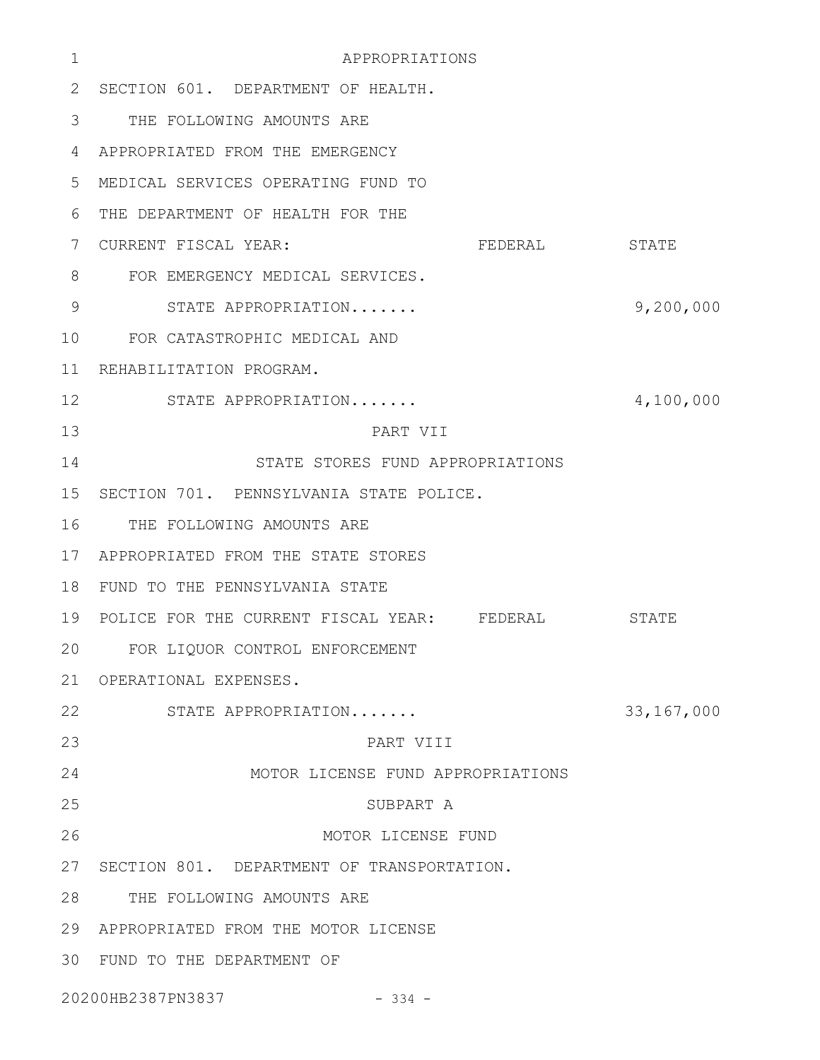| 1  | APPROPRIATIONS                              |              |  |
|----|---------------------------------------------|--------------|--|
| 2  | SECTION 601. DEPARTMENT OF HEALTH.          |              |  |
| 3  | THE FOLLOWING AMOUNTS ARE                   |              |  |
| 4  | APPROPRIATED FROM THE EMERGENCY             |              |  |
| 5  | MEDICAL SERVICES OPERATING FUND TO          |              |  |
| 6  | THE DEPARTMENT OF HEALTH FOR THE            |              |  |
| 7  | CURRENT FISCAL YEAR:<br>FEDERAL             | STATE        |  |
| 8  | FOR EMERGENCY MEDICAL SERVICES.             |              |  |
| 9  | STATE APPROPRIATION                         | 9,200,000    |  |
| 10 | FOR CATASTROPHIC MEDICAL AND                |              |  |
| 11 | REHABILITATION PROGRAM.                     |              |  |
| 12 | STATE APPROPRIATION                         | 4,100,000    |  |
| 13 | PART VII                                    |              |  |
| 14 | STATE STORES FUND APPROPRIATIONS            |              |  |
| 15 | SECTION 701. PENNSYLVANIA STATE POLICE.     |              |  |
| 16 | THE FOLLOWING AMOUNTS ARE                   |              |  |
| 17 | APPROPRIATED FROM THE STATE STORES          |              |  |
| 18 | FUND TO THE PENNSYLVANIA STATE              |              |  |
| 19 | POLICE FOR THE CURRENT FISCAL YEAR: FEDERAL | <b>STATE</b> |  |
| 20 | FOR LIQUOR CONTROL ENFORCEMENT              |              |  |
| 21 | OPERATIONAL EXPENSES.                       |              |  |
| 22 | STATE APPROPRIATION                         | 33, 167, 000 |  |
| 23 | PART VIII                                   |              |  |
| 24 | MOTOR LICENSE FUND APPROPRIATIONS           |              |  |
| 25 | SUBPART A                                   |              |  |
| 26 | MOTOR LICENSE FUND                          |              |  |
| 27 | SECTION 801. DEPARTMENT OF TRANSPORTATION.  |              |  |
| 28 | THE FOLLOWING AMOUNTS ARE                   |              |  |
| 29 | APPROPRIATED FROM THE MOTOR LICENSE         |              |  |
|    | 30 FUND TO THE DEPARTMENT OF                |              |  |
|    | 20200HB2387PN3837<br>$-334 -$               |              |  |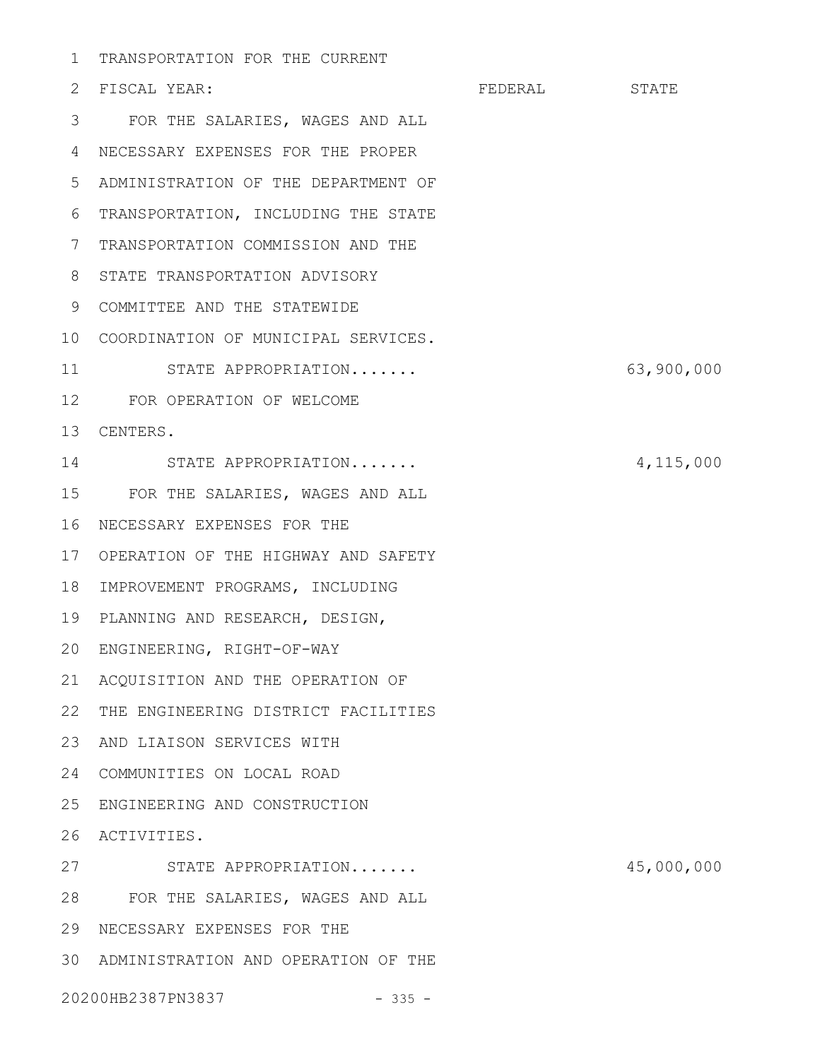1 TRANSPORTATION FOR THE CURRENT

| 2               | FISCAL YEAR:                        | FEDERAL | STATE      |
|-----------------|-------------------------------------|---------|------------|
| 3               | FOR THE SALARIES, WAGES AND ALL     |         |            |
| 4               | NECESSARY EXPENSES FOR THE PROPER   |         |            |
| 5               | ADMINISTRATION OF THE DEPARTMENT OF |         |            |
| 6               | TRANSPORTATION, INCLUDING THE STATE |         |            |
| 7               | TRANSPORTATION COMMISSION AND THE   |         |            |
| 8               | STATE TRANSPORTATION ADVISORY       |         |            |
| 9               | COMMITTEE AND THE STATEWIDE         |         |            |
| 10 <sub>o</sub> | COORDINATION OF MUNICIPAL SERVICES. |         |            |
| 11              | STATE APPROPRIATION                 |         | 63,900,000 |
| 12 <sup>°</sup> | FOR OPERATION OF WELCOME            |         |            |
| 13              | CENTERS.                            |         |            |
| 14              | STATE APPROPRIATION                 |         | 4,115,000  |
| 15              | FOR THE SALARIES, WAGES AND ALL     |         |            |
| 16              | NECESSARY EXPENSES FOR THE          |         |            |
| 17              | OPERATION OF THE HIGHWAY AND SAFETY |         |            |
| 18              | IMPROVEMENT PROGRAMS, INCLUDING     |         |            |
| 19              | PLANNING AND RESEARCH, DESIGN,      |         |            |
| 20              | ENGINEERING, RIGHT-OF-WAY           |         |            |
|                 | 21 ACQUISITION AND THE OPERATION OF |         |            |
| 22              | THE ENGINEERING DISTRICT FACILITIES |         |            |
| 23              | AND LIAISON SERVICES WITH           |         |            |
| 24              | COMMUNITIES ON LOCAL ROAD           |         |            |
| 25              | ENGINEERING AND CONSTRUCTION        |         |            |
| 26              | ACTIVITIES.                         |         |            |
| 27              | STATE APPROPRIATION                 |         | 45,000,000 |
| 28              | FOR THE SALARIES, WAGES AND ALL     |         |            |
| 29              | NECESSARY EXPENSES FOR THE          |         |            |
| 30              | ADMINISTRATION AND OPERATION OF THE |         |            |
|                 | 20200HB2387PN3837<br>$-335 -$       |         |            |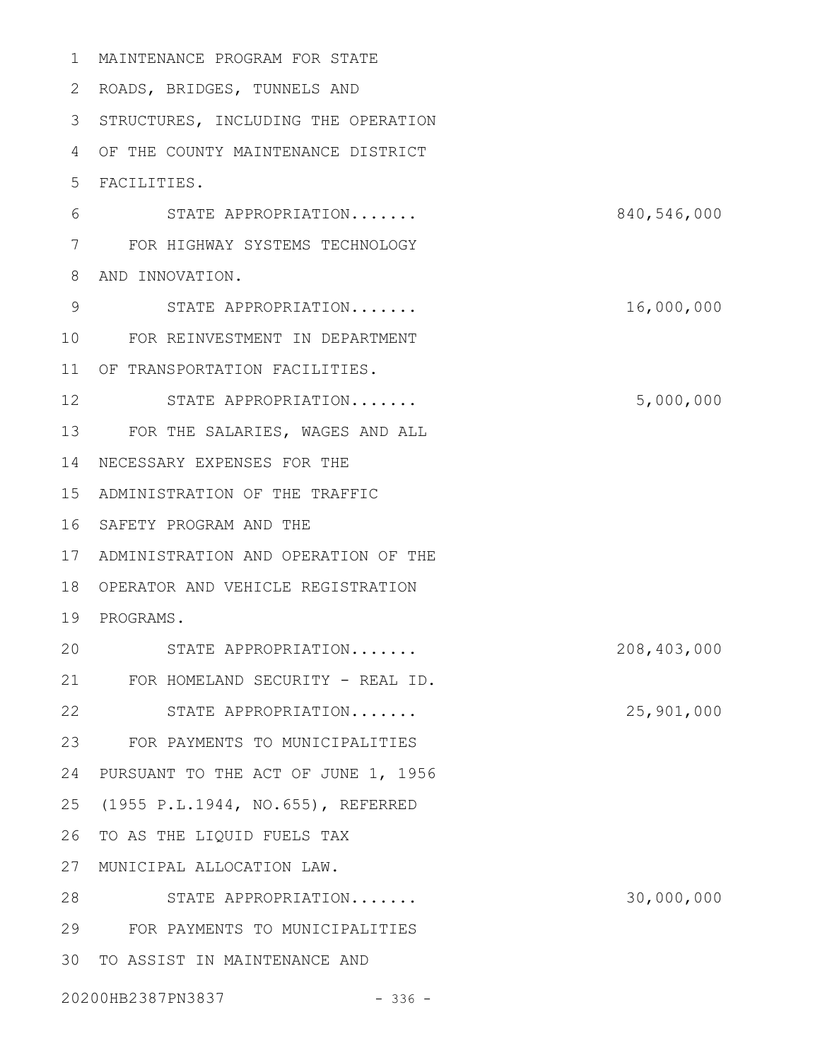MAINTENANCE PROGRAM FOR STATE 1

2 ROADS, BRIDGES, TUNNELS AND

3 STRUCTURES, INCLUDING THE OPERATION

OF THE COUNTY MAINTENANCE DISTRICT 4

FACILITIES. 5

- STATE APPROPRIATION....... 840,546,000 FOR HIGHWAY SYSTEMS TECHNOLOGY 7 8 AND INNOVATION. STATE APPROPRIATION....... 16,000,000 FOR REINVESTMENT IN DEPARTMENT 10 OF TRANSPORTATION FACILITIES. 11 STATE APPROPRIATION....... 5,000,000 FOR THE SALARIES, WAGES AND ALL 13 14 NECESSARY EXPENSES FOR THE 6 9 12
- ADMINISTRATION OF THE TRAFFIC 15
- 16 SAFETY PROGRAM AND THE

17 ADMINISTRATION AND OPERATION OF THE

18 OPERATOR AND VEHICLE REGISTRATION

## 19 PROGRAMS.

STATE APPROPRIATION....... 208,403,000 21 FOR HOMELAND SECURITY - REAL ID. STATE APPROPRIATION....... 25,901,000 FOR PAYMENTS TO MUNICIPALITIES 23 24 PURSUANT TO THE ACT OF JUNE 1, 1956 25 (1955 P.L.1944, NO.655), REFERRED 26 TO AS THE LIQUID FUELS TAX MUNICIPAL ALLOCATION LAW. 27 STATE APPROPRIATION....... 30,000,000 28 FOR PAYMENTS TO MUNICIPALITIES 29 30 TO ASSIST IN MAINTENANCE AND 20 22

20200HB2387PN3837 - 336 -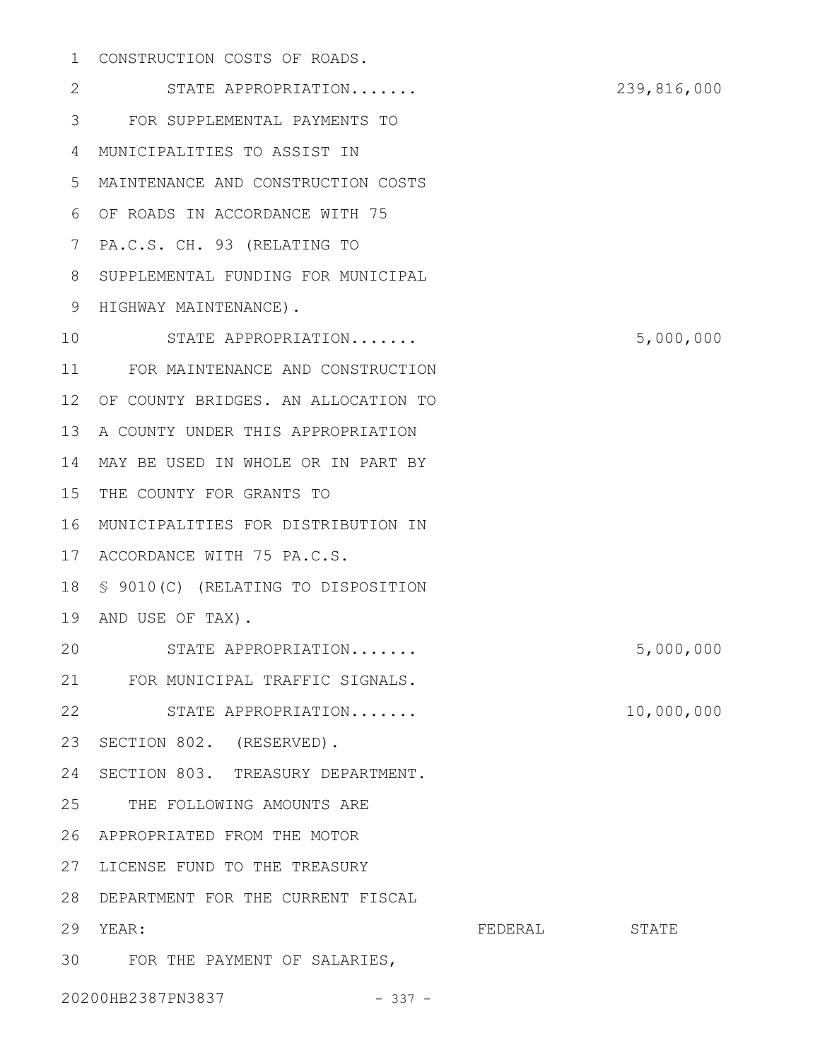## 1 CONSTRUCTION COSTS OF ROADS.

STATE APPROPRIATION....... 239,816,000 FOR SUPPLEMENTAL PAYMENTS TO 3 MUNICIPALITIES TO ASSIST IN 4 MAINTENANCE AND CONSTRUCTION COSTS 5 OF ROADS IN ACCORDANCE WITH 75 6 7 PA.C.S. CH. 93 (RELATING TO 8 SUPPLEMENTAL FUNDING FOR MUNICIPAL 9 HIGHWAY MAINTENANCE). STATE APPROPRIATION....... 5,000,000 FOR MAINTENANCE AND CONSTRUCTION 11 12 OF COUNTY BRIDGES. AN ALLOCATION TO 13 A COUNTY UNDER THIS APPROPRIATION 14 MAY BE USED IN WHOLE OR IN PART BY 15 THE COUNTY FOR GRANTS TO MUNICIPALITIES FOR DISTRIBUTION IN 16 17 ACCORDANCE WITH 75 PA.C.S. § 9010(C) (RELATING TO DISPOSITION 18 19 AND USE OF TAX). STATE APPROPRIATION....... 5,000,000 FOR MUNICIPAL TRAFFIC SIGNALS. 21 STATE APPROPRIATION....... 10,000,000 23 SECTION 802. (RESERVED). 24 SECTION 803. TREASURY DEPARTMENT. 25 THE FOLLOWING AMOUNTS ARE APPROPRIATED FROM THE MOTOR 26 27 LICENSE FUND TO THE TREASURY DEPARTMENT FOR THE CURRENT FISCAL 28 FEDERAL STATE FOR THE PAYMENT OF SALARIES, 302 10 20 22 29 YEAR:

20200HB2387PN3837 - 337 -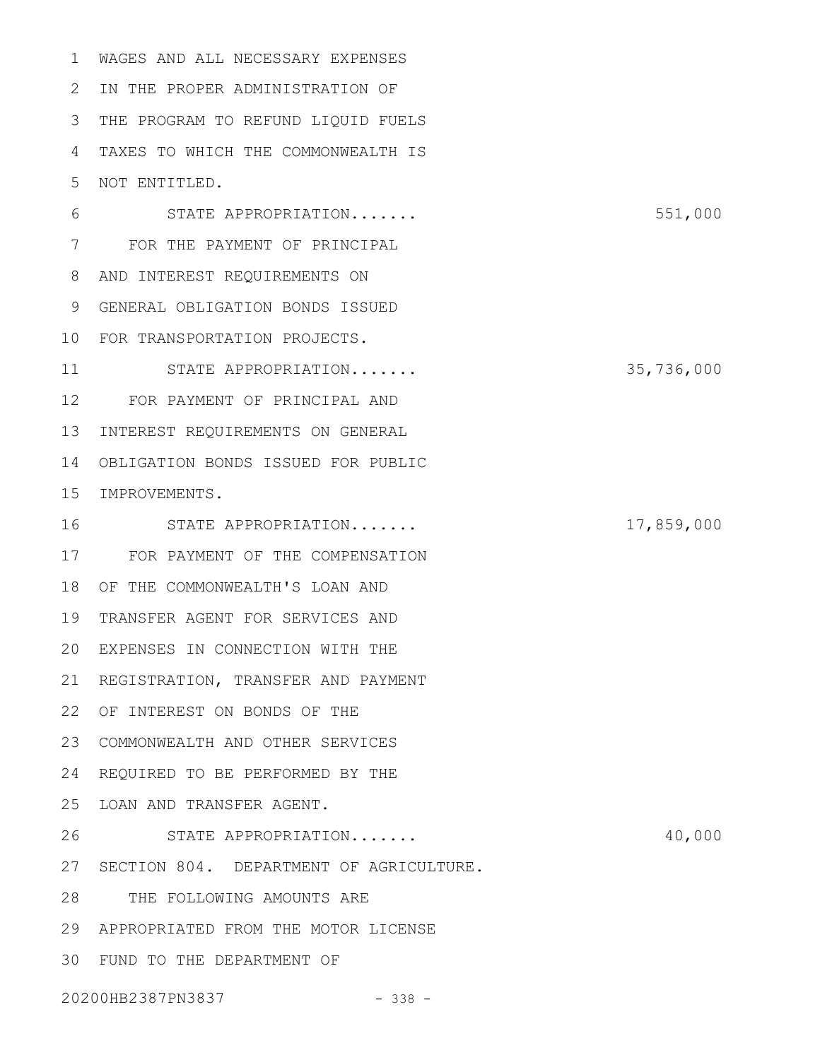WAGES AND ALL NECESSARY EXPENSES 2 IN THE PROPER ADMINISTRATION OF 3 THE PROGRAM TO REFUND LIQUID FUELS TAXES TO WHICH THE COMMONWEALTH IS NOT ENTITLED. 1 4 5

STATE APPROPRIATION....... 551,000 FOR THE PAYMENT OF PRINCIPAL 7 AND INTEREST REQUIREMENTS ON 8 GENERAL OBLIGATION BONDS ISSUED 9 FOR TRANSPORTATION PROJECTS. 10 STATE APPROPRIATION....... 35,736,000 FOR PAYMENT OF PRINCIPAL AND 12 13 INTEREST REQUIREMENTS ON GENERAL 14 OBLIGATION BONDS ISSUED FOR PUBLIC 15 IMPROVEMENTS. STATE APPROPRIATION....... 17,859,000 FOR PAYMENT OF THE COMPENSATION 17 OF THE COMMONWEALTH'S LOAN AND 18 19 TRANSFER AGENT FOR SERVICES AND EXPENSES IN CONNECTION WITH THE 20 21 REGISTRATION, TRANSFER AND PAYMENT 22 OF INTEREST ON BONDS OF THE COMMONWEALTH AND OTHER SERVICES 23 24 REQUIRED TO BE PERFORMED BY THE 25 LOAN AND TRANSFER AGENT. STATE APPROPRIATION....... 40,000 27 SECTION 804. DEPARTMENT OF AGRICULTURE. THE FOLLOWING AMOUNTS ARE APPROPRIATED FROM THE MOTOR LICENSE 29 FUND TO THE DEPARTMENT OF 3020200HB2387PN3837 - 338 - 6 11 16 26 28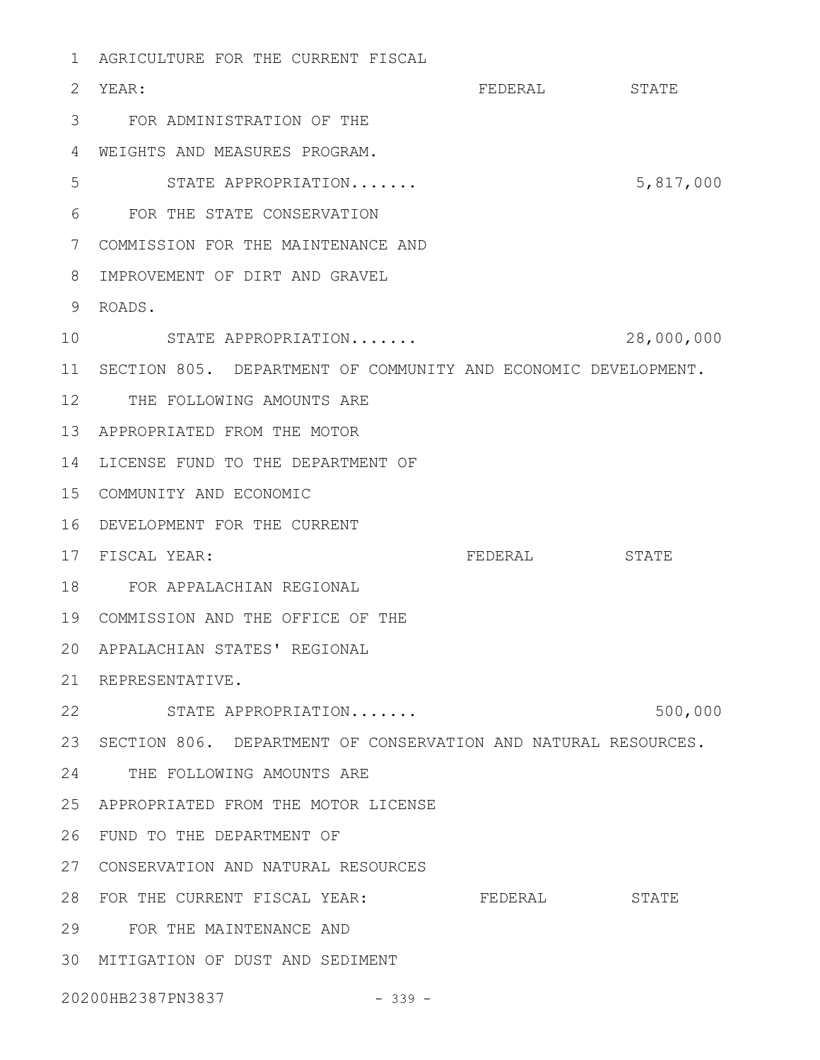AGRICULTURE FOR THE CURRENT FISCAL 1 FEDERAL STATE FOR ADMINISTRATION OF THE 3 WEIGHTS AND MEASURES PROGRAM. 4 STATE APPROPRIATION....... 5,817,000 FOR THE STATE CONSERVATION 6 COMMISSION FOR THE MAINTENANCE AND 7 IMPROVEMENT OF DIRT AND GRAVEL 8 ROADS. 9 STATE APPROPRIATION....... 28,000,000 10 11 SECTION 805. DEPARTMENT OF COMMUNITY AND ECONOMIC DEVELOPMENT. 12 THE FOLLOWING AMOUNTS ARE APPROPRIATED FROM THE MOTOR 13 14 LICENSE FUND TO THE DEPARTMENT OF COMMUNITY AND ECONOMIC 15 DEVELOPMENT FOR THE CURRENT 16 FEDERAL STATE FOR APPALACHIAN REGIONAL 18 COMMISSION AND THE OFFICE OF THE 19 APPALACHIAN STATES' REGIONAL 20 21 REPRESENTATIVE. 22 STATE APPROPRIATION....... 500,000 23 SECTION 806. DEPARTMENT OF CONSERVATION AND NATURAL RESOURCES. 24 THE FOLLOWING AMOUNTS ARE APPROPRIATED FROM THE MOTOR LICENSE 25 FUND TO THE DEPARTMENT OF 26 CONSERVATION AND NATURAL RESOURCES 27 28 FOR THE CURRENT FISCAL YEAR: FEDERAL STATE FOR THE MAINTENANCE AND 29 MITIGATION OF DUST AND SEDIMENT 3020200HB2387PN3837 - 339 -2 YEAR: 5 17 FISCAL YEAR: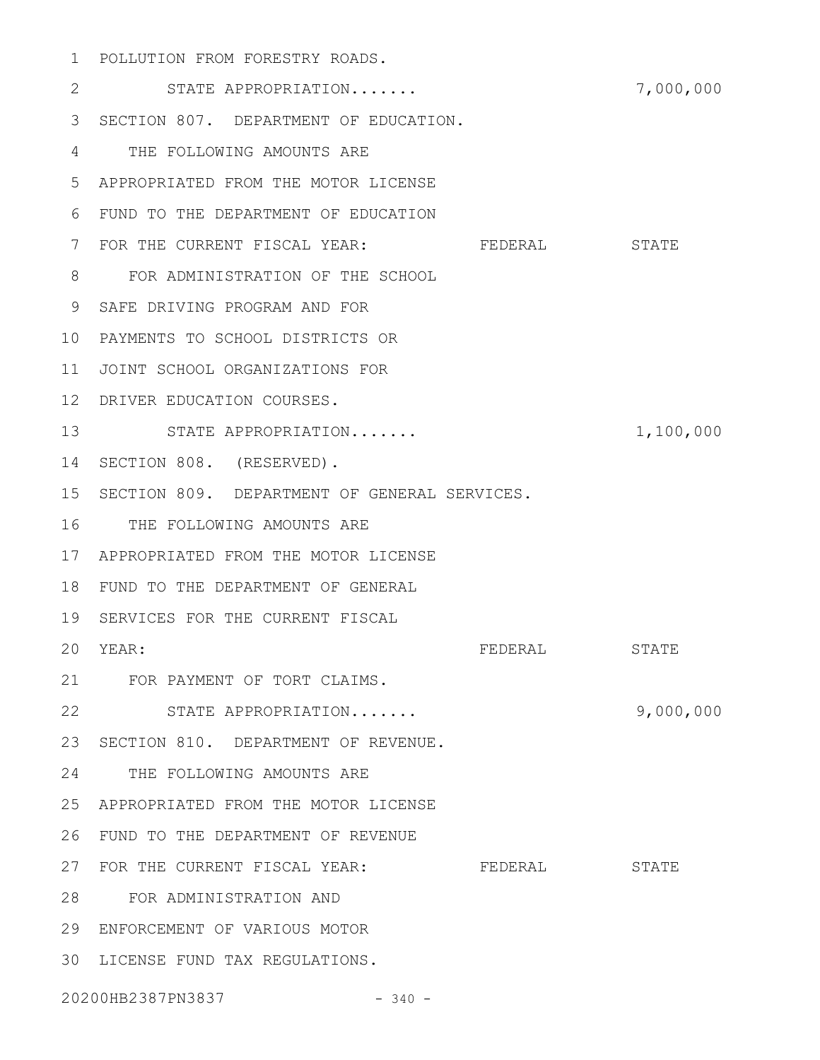POLLUTION FROM FORESTRY ROADS. 1

STATE APPROPRIATION....... 7,000,000 3 SECTION 807. DEPARTMENT OF EDUCATION. THE FOLLOWING AMOUNTS ARE 4 APPROPRIATED FROM THE MOTOR LICENSE 5 FUND TO THE DEPARTMENT OF EDUCATION 6 7 FOR THE CURRENT FISCAL YEAR: FEDERAL STATE FOR ADMINISTRATION OF THE SCHOOL 8 9 SAFE DRIVING PROGRAM AND FOR PAYMENTS TO SCHOOL DISTRICTS OR 10 11 JOINT SCHOOL ORGANIZATIONS FOR 12 DRIVER EDUCATION COURSES. 13 STATE APPROPRIATION....... 1,100,000 14 SECTION 808. (RESERVED). 15 SECTION 809. DEPARTMENT OF GENERAL SERVICES. 16 THE FOLLOWING AMOUNTS ARE APPROPRIATED FROM THE MOTOR LICENSE 17 FUND TO THE DEPARTMENT OF GENERAL 18 19 SERVICES FOR THE CURRENT FISCAL FEDERAL STATE FOR PAYMENT OF TORT CLAIMS. 21 STATE APPROPRIATION....... 9,000,000 22 23 SECTION 810. DEPARTMENT OF REVENUE. 24 THE FOLLOWING AMOUNTS ARE APPROPRIATED FROM THE MOTOR LICENSE 25 FUND TO THE DEPARTMENT OF REVENUE 26 27 FOR THE CURRENT FISCAL YEAR: FEDERAL STATE FOR ADMINISTRATION AND 28 ENFORCEMENT OF VARIOUS MOTOR 29 30 LICENSE FUND TAX REGULATIONS. 20200HB2387PN3837 - 340 -2 20 YEAR: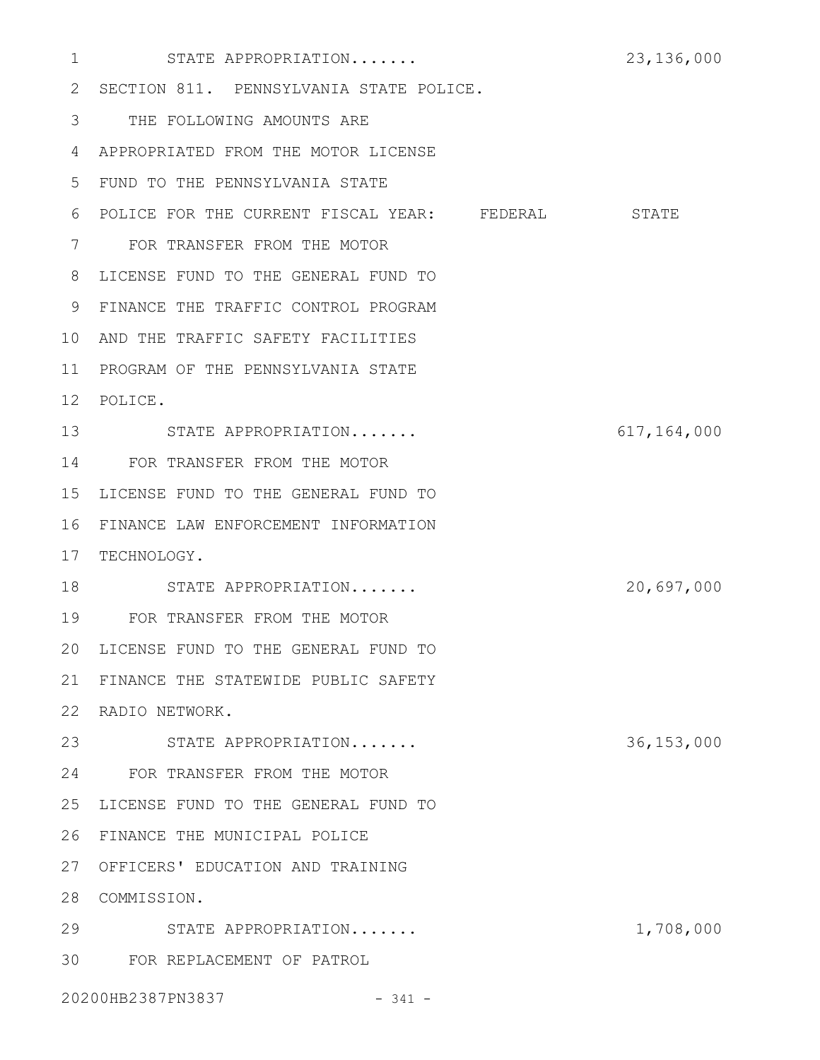STATE APPROPRIATION....... 23,136,000 2 SECTION 811. PENNSYLVANIA STATE POLICE. THE FOLLOWING AMOUNTS ARE 3 APPROPRIATED FROM THE MOTOR LICENSE 4 FUND TO THE PENNSYLVANIA STATE 5 6 POLICE FOR THE CURRENT FISCAL YEAR: FEDERAL STATE FOR TRANSFER FROM THE MOTOR 7 LICENSE FUND TO THE GENERAL FUND TO 8 FINANCE THE TRAFFIC CONTROL PROGRAM 9 10 AND THE TRAFFIC SAFETY FACILITIES 11 PROGRAM OF THE PENNSYLVANIA STATE POLICE. 12 STATE APPROPRIATION....... 617,164,000 13 14 FOR TRANSFER FROM THE MOTOR 15 LICENSE FUND TO THE GENERAL FUND TO FINANCE LAW ENFORCEMENT INFORMATION 16 17 TECHNOLOGY. STATE APPROPRIATION....... 20,697,000 FOR TRANSFER FROM THE MOTOR 19 20 LICENSE FUND TO THE GENERAL FUND TO FINANCE THE STATEWIDE PUBLIC SAFETY 21 22 RADIO NETWORK. STATE APPROPRIATION....... 36,153,000 23 FOR TRANSFER FROM THE MOTOR 24 25 LICENSE FUND TO THE GENERAL FUND TO 26 FINANCE THE MUNICIPAL POLICE 27 OFFICERS' EDUCATION AND TRAINING 28 COMMISSION. STATE APPROPRIATION....... 1,708,000 29 FOR REPLACEMENT OF PATROL 3020200HB2387PN3837 - 341 -1 18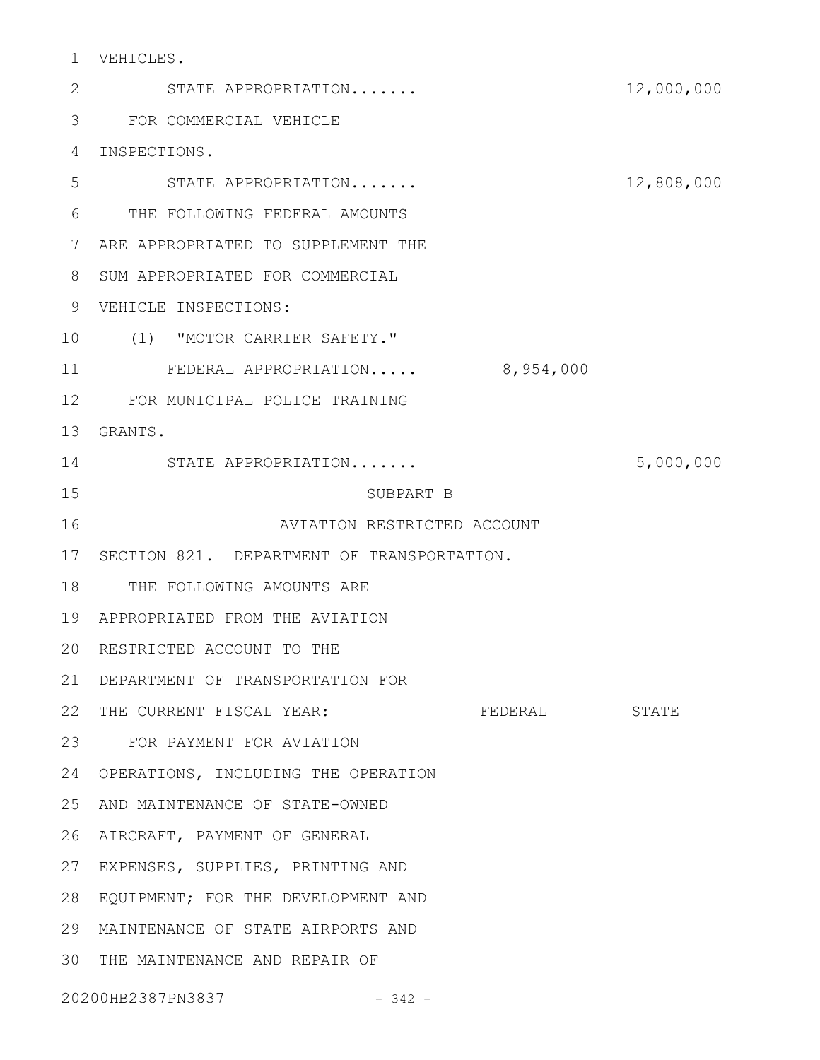VEHICLES. 1

STATE APPROPRIATION....... 12,000,000 FOR COMMERCIAL VEHICLE 3 4 INSPECTIONS. STATE APPROPRIATION....... 12,808,000 THE FOLLOWING FEDERAL AMOUNTS 6 7 ARE APPROPRIATED TO SUPPLEMENT THE 8 SUM APPROPRIATED FOR COMMERCIAL VEHICLE INSPECTIONS: 9 (1) "MOTOR CARRIER SAFETY." 10 FEDERAL APPROPRIATION..... 8,954,000 FOR MUNICIPAL POLICE TRAINING 12 GRANTS. 13 STATE APPROPRIATION....... 5,000,000 14 SUBPART B AVIATION RESTRICTED ACCOUNT 17 SECTION 821. DEPARTMENT OF TRANSPORTATION. 18 THE FOLLOWING AMOUNTS ARE APPROPRIATED FROM THE AVIATION 19 20 RESTRICTED ACCOUNT TO THE DEPARTMENT OF TRANSPORTATION FOR 21 22 THE CURRENT FISCAL YEAR: FEDERAL STATE FOR PAYMENT FOR AVIATION 23 24 OPERATIONS, INCLUDING THE OPERATION 25 AND MAINTENANCE OF STATE-OWNED 26 AIRCRAFT, PAYMENT OF GENERAL 27 EXPENSES, SUPPLIES, PRINTING AND 28 EQUIPMENT; FOR THE DEVELOPMENT AND MAINTENANCE OF STATE AIRPORTS AND 29 30 THE MAINTENANCE AND REPAIR OF 20200HB2387PN3837 - 342 -2 5 11 15 16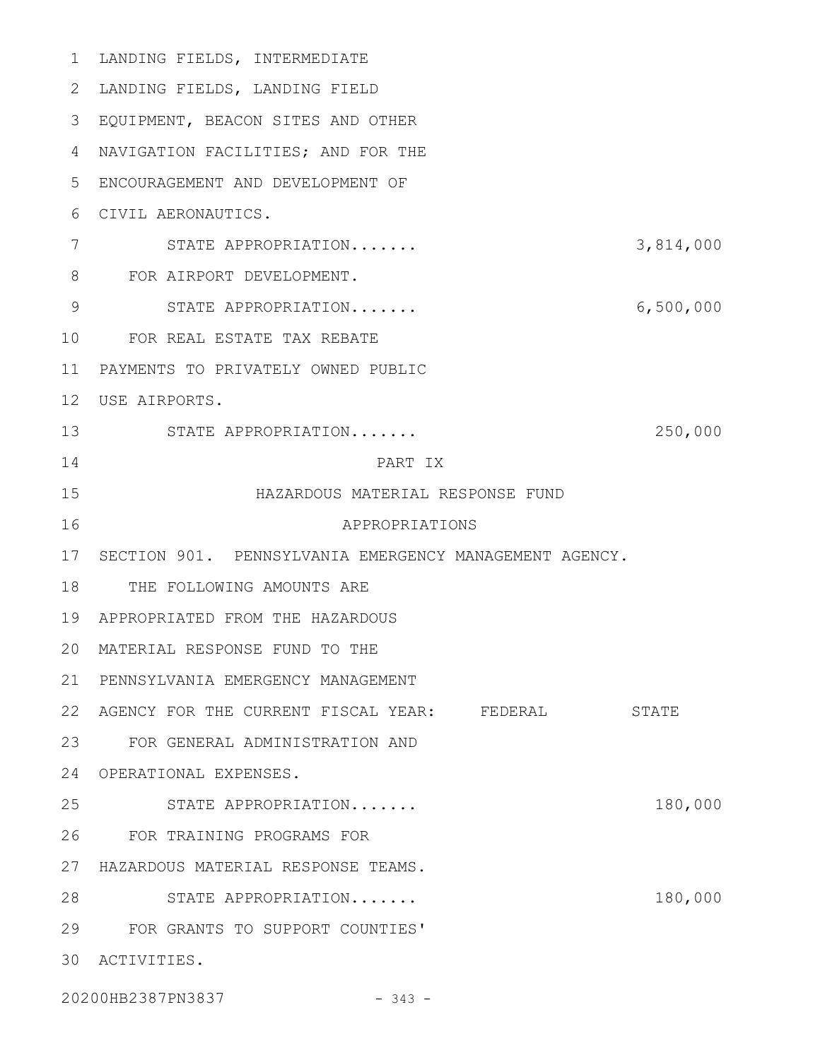| 1               | LANDING FIELDS, INTERMEDIATE                           |           |
|-----------------|--------------------------------------------------------|-----------|
| 2               | LANDING FIELDS, LANDING FIELD                          |           |
| 3               | EQUIPMENT, BEACON SITES AND OTHER                      |           |
| 4               | NAVIGATION FACILITIES; AND FOR THE                     |           |
| 5               | ENCOURAGEMENT AND DEVELOPMENT OF                       |           |
| 6               | CIVIL AERONAUTICS.                                     |           |
| 7               | STATE APPROPRIATION                                    | 3,814,000 |
| 8               | FOR AIRPORT DEVELOPMENT.                               |           |
| 9               | STATE APPROPRIATION                                    | 6,500,000 |
| 10              | FOR REAL ESTATE TAX REBATE                             |           |
| 11              | PAYMENTS TO PRIVATELY OWNED PUBLIC                     |           |
| 12 <sup>°</sup> | USE AIRPORTS.                                          |           |
| 13              | STATE APPROPRIATION                                    | 250,000   |
| 14              | PART IX                                                |           |
| 15              | HAZARDOUS MATERIAL RESPONSE FUND                       |           |
| 16              | APPROPRIATIONS                                         |           |
| 17              | SECTION 901. PENNSYLVANIA EMERGENCY MANAGEMENT AGENCY. |           |
| 18              | THE FOLLOWING AMOUNTS ARE                              |           |
| 19              | APPROPRIATED FROM THE HAZARDOUS                        |           |
|                 | 20 MATERIAL RESPONSE FUND TO THE                       |           |
| 21              | PENNSYLVANIA EMERGENCY MANAGEMENT                      |           |
| 22              | AGENCY FOR THE CURRENT FISCAL YEAR: FEDERAL            | STATE     |
| 23              | FOR GENERAL ADMINISTRATION AND                         |           |
| 24              | OPERATIONAL EXPENSES.                                  |           |
| 25              | STATE APPROPRIATION                                    | 180,000   |
| 26              | FOR TRAINING PROGRAMS FOR                              |           |
| 27              | HAZARDOUS MATERIAL RESPONSE TEAMS.                     |           |
| 28              | STATE APPROPRIATION                                    | 180,000   |
| 29              | FOR GRANTS TO SUPPORT COUNTIES'                        |           |
| 30              | ACTIVITIES.                                            |           |
|                 | 20200HB2387PN3837<br>$-343 -$                          |           |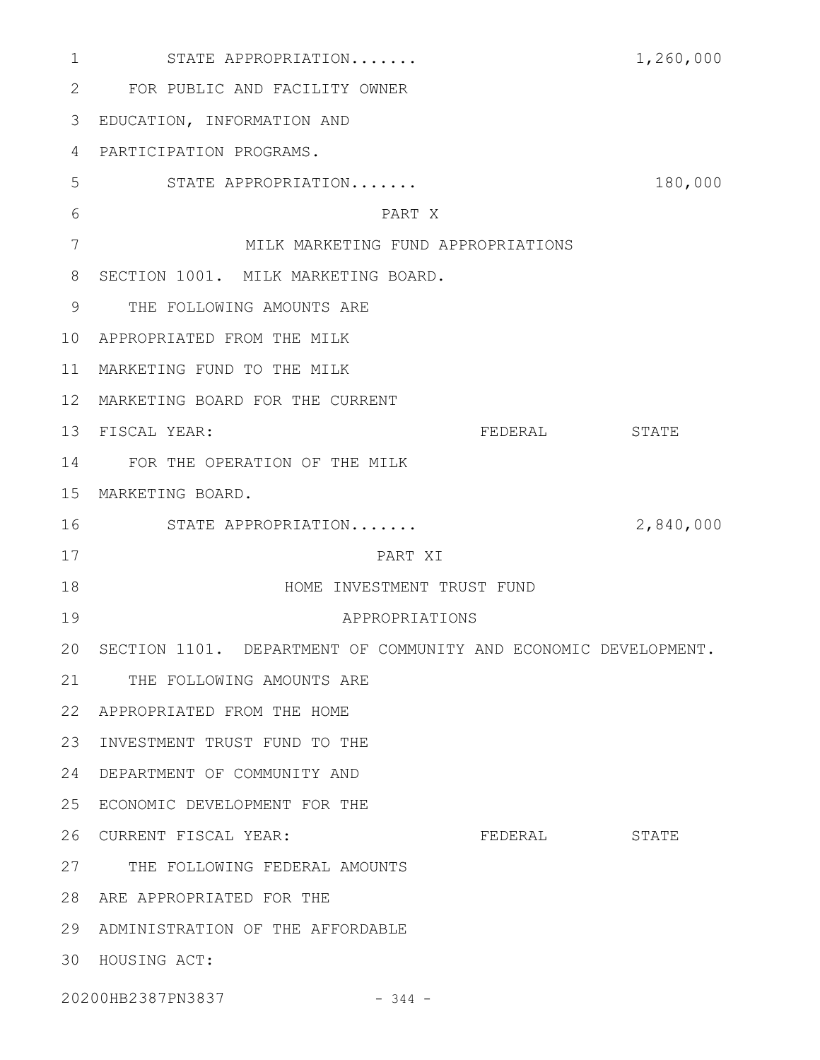| $\mathbf 1$  | STATE APPROPRIATION                                            |                |         | 1,260,000    |
|--------------|----------------------------------------------------------------|----------------|---------|--------------|
| $\mathbf{2}$ | FOR PUBLIC AND FACILITY OWNER                                  |                |         |              |
| 3            | EDUCATION, INFORMATION AND                                     |                |         |              |
| 4            | PARTICIPATION PROGRAMS.                                        |                |         |              |
| 5            | STATE APPROPRIATION                                            |                |         | 180,000      |
| 6            |                                                                | PART X         |         |              |
| 7            | MILK MARKETING FUND APPROPRIATIONS                             |                |         |              |
| 8            | SECTION 1001. MILK MARKETING BOARD.                            |                |         |              |
| 9            | THE FOLLOWING AMOUNTS ARE                                      |                |         |              |
| 10           | APPROPRIATED FROM THE MILK                                     |                |         |              |
| 11           | MARKETING FUND TO THE MILK                                     |                |         |              |
| 12           | MARKETING BOARD FOR THE CURRENT                                |                |         |              |
| 13           | FISCAL YEAR:                                                   |                | FEDERAL | <b>STATE</b> |
| 14           | FOR THE OPERATION OF THE MILK                                  |                |         |              |
| 15           | MARKETING BOARD.                                               |                |         |              |
| 16           | STATE APPROPRIATION                                            |                |         | 2,840,000    |
| 17           |                                                                | PART XI        |         |              |
| 18           | HOME INVESTMENT TRUST FUND                                     |                |         |              |
| 19           |                                                                | APPROPRIATIONS |         |              |
| 20           | SECTION 1101. DEPARTMENT OF COMMUNITY AND ECONOMIC DEVELOPMENT |                |         |              |
| 21           | THE FOLLOWING AMOUNTS ARE                                      |                |         |              |
| 22           | APPROPRIATED FROM THE HOME                                     |                |         |              |
| 23           | INVESTMENT TRUST FUND TO THE                                   |                |         |              |
| 24           | DEPARTMENT OF COMMUNITY AND                                    |                |         |              |
| 25           | ECONOMIC DEVELOPMENT FOR THE                                   |                |         |              |
| 26           | CURRENT FISCAL YEAR:                                           |                | FEDERAL | STATE        |
| 27           | THE FOLLOWING FEDERAL AMOUNTS                                  |                |         |              |
| 28           | ARE APPROPRIATED FOR THE                                       |                |         |              |
| 29           | ADMINISTRATION OF THE AFFORDABLE                               |                |         |              |
| 30           | HOUSING ACT:                                                   |                |         |              |
|              | 20200HB2387PN3837                                              | $-344 -$       |         |              |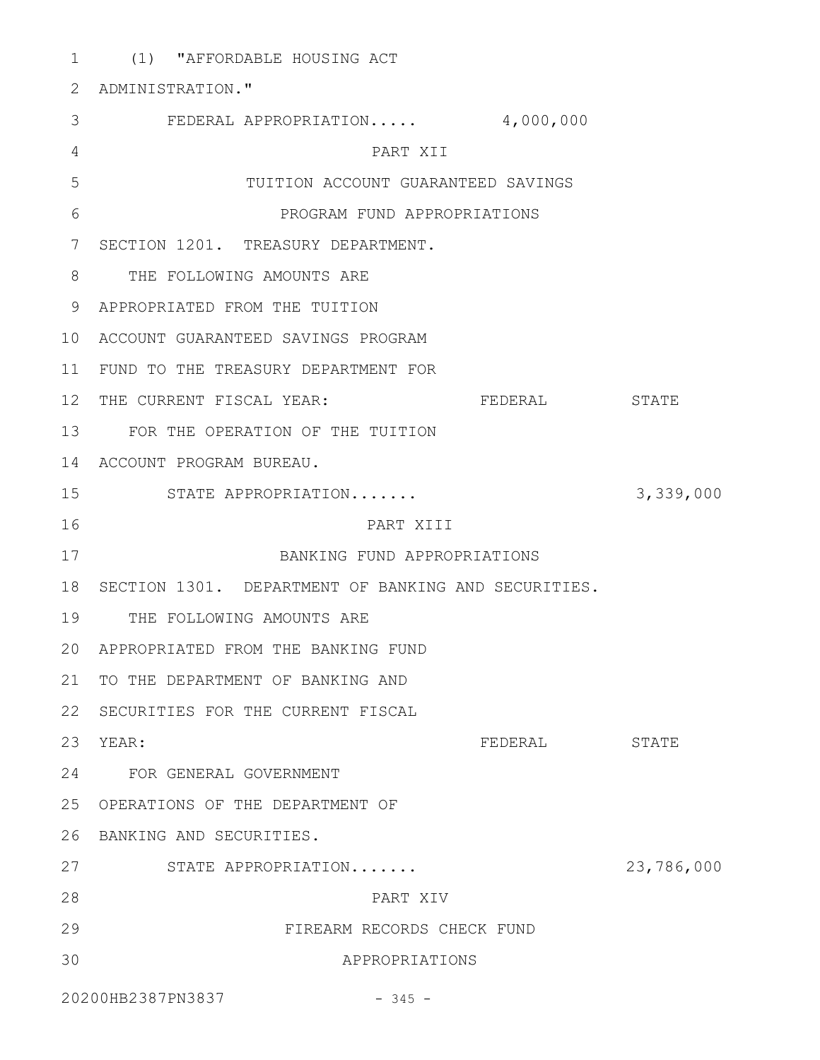(1) "AFFORDABLE HOUSING ACT 1 2 ADMINISTRATION." FEDERAL APPROPRIATION..... 4,000,000 3 PART XII TUITION ACCOUNT GUARANTEED SAVINGS PROGRAM FUND APPROPRIATIONS 7 SECTION 1201. TREASURY DEPARTMENT. 8 THE FOLLOWING AMOUNTS ARE APPROPRIATED FROM THE TUITION 9 ACCOUNT GUARANTEED SAVINGS PROGRAM 10 11 FUND TO THE TREASURY DEPARTMENT FOR 12 THE CURRENT FISCAL YEAR: FEDERAL STATE FOR THE OPERATION OF THE TUITION 13 14 ACCOUNT PROGRAM BUREAU. STATE APPROPRIATION....... 3,339,000 15 PART XIII BANKING FUND APPROPRIATIONS 18 SECTION 1301. DEPARTMENT OF BANKING AND SECURITIES. 19 THE FOLLOWING AMOUNTS ARE APPROPRIATED FROM THE BANKING FUND 20 21 TO THE DEPARTMENT OF BANKING AND 22 SECURITIES FOR THE CURRENT FISCAL FEDERAL STATE FOR GENERAL GOVERNMENT 24 OPERATIONS OF THE DEPARTMENT OF 25 26 BANKING AND SECURITIES. STATE APPROPRIATION....... 23,786,000 27 PART XIV FIREARM RECORDS CHECK FUND APPROPRIATIONS 20200HB2387PN3837 - 345 -4 5 6 16 17 23 YEAR: 28 29 30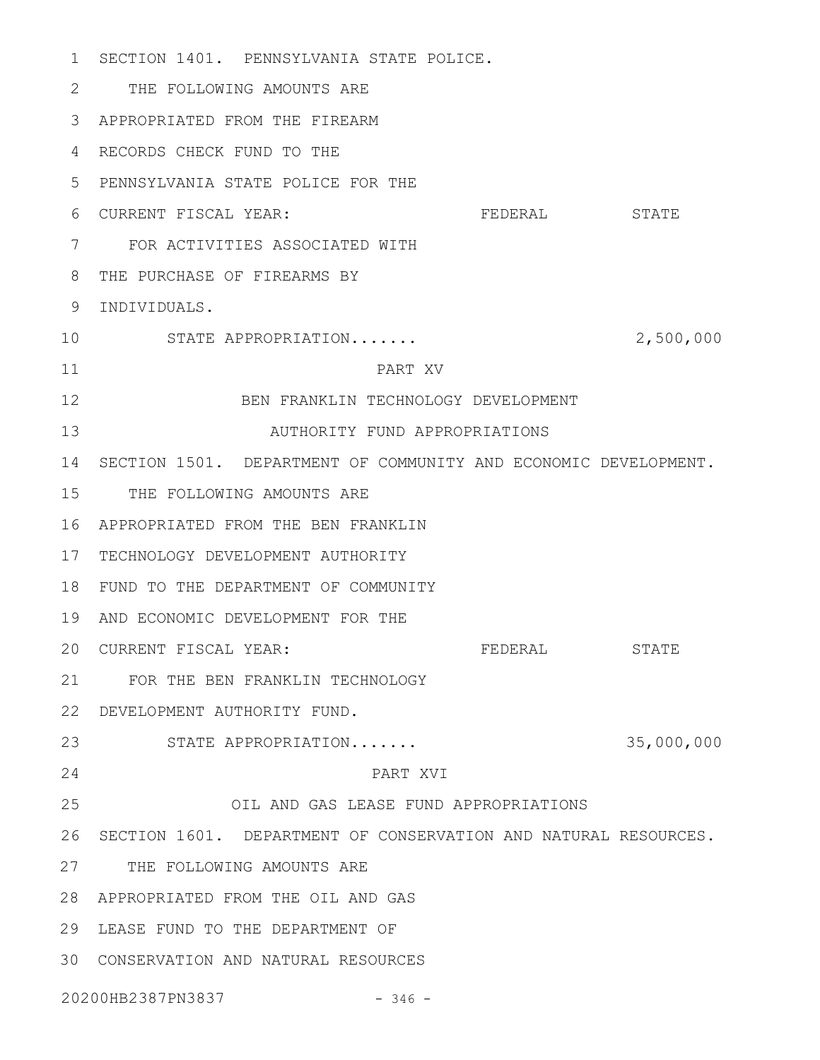1 SECTION 1401. PENNSYLVANIA STATE POLICE. THE FOLLOWING AMOUNTS ARE 2 APPROPRIATED FROM THE FIREARM 3 RECORDS CHECK FUND TO THE 4 PENNSYLVANIA STATE POLICE FOR THE 5 FEDERAL STATE FOR ACTIVITIES ASSOCIATED WITH 7 THE PURCHASE OF FIREARMS BY 8 9 INDIVIDUALS. STATE APPROPRIATION....... 2,500,000 PART XV BEN FRANKLIN TECHNOLOGY DEVELOPMENT AUTHORITY FUND APPROPRIATIONS SECTION 1501. DEPARTMENT OF COMMUNITY AND ECONOMIC DEVELOPMENT. 14 15 THE FOLLOWING AMOUNTS ARE APPROPRIATED FROM THE BEN FRANKLIN 16 17 TECHNOLOGY DEVELOPMENT AUTHORITY 18 FUND TO THE DEPARTMENT OF COMMUNITY 19 AND ECONOMIC DEVELOPMENT FOR THE FEDERAL STATE FOR THE BEN FRANKLIN TECHNOLOGY 21 DEVELOPMENT AUTHORITY FUND. 22 STATE APPROPRIATION....... 35,000,000 23 PART XVI OIL AND GAS LEASE FUND APPROPRIATIONS 26 SECTION 1601. DEPARTMENT OF CONSERVATION AND NATURAL RESOURCES. 27 THE FOLLOWING AMOUNTS ARE APPROPRIATED FROM THE OIL AND GAS 28 LEASE FUND TO THE DEPARTMENT OF 29 CONSERVATION AND NATURAL RESOURCES 3020200HB2387PN3837 - 346 -6 CURRENT FISCAL YEAR: 10 11 12 13 20 CURRENT FISCAL YEAR: 24 25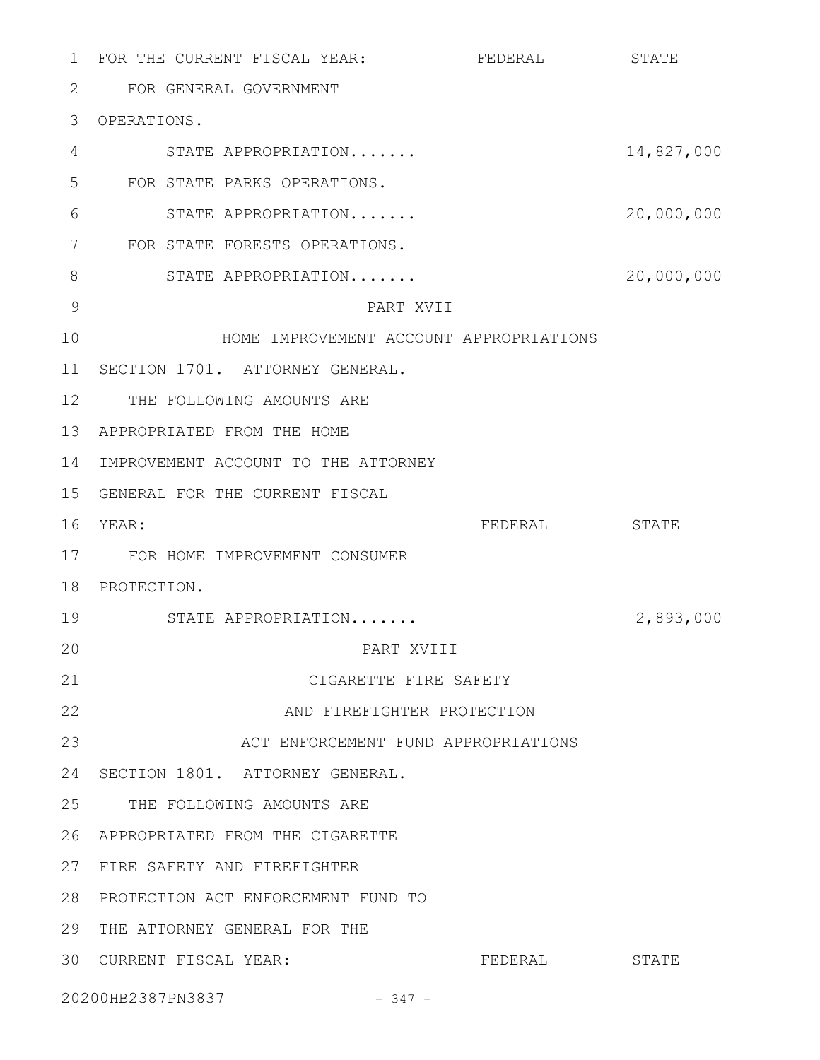FEDERAL STATE FOR GENERAL GOVERNMENT 2 3 OPERATIONS. STATE APPROPRIATION....... 14,827,000 FOR STATE PARKS OPERATIONS. STATE APPROPRIATION....... 20,000,000 FOR STATE FORESTS OPERATIONS. 7 STATE APPROPRIATION....... 20,000,000 PART XVII HOME IMPROVEMENT ACCOUNT APPROPRIATIONS 11 SECTION 1701. ATTORNEY GENERAL. 12 THE FOLLOWING AMOUNTS ARE 13 APPROPRIATED FROM THE HOME 14 IMPROVEMENT ACCOUNT TO THE ATTORNEY GENERAL FOR THE CURRENT FISCAL 15 FEDERAL STATE FOR HOME IMPROVEMENT CONSUMER 17 18 PROTECTION. STATE APPROPRIATION....... 2,893,000 PART XVIII CIGARETTE FIRE SAFETY AND FIREFIGHTER PROTECTION ACT ENFORCEMENT FUND APPROPRIATIONS 24 SECTION 1801. ATTORNEY GENERAL. 25 THE FOLLOWING AMOUNTS ARE APPROPRIATED FROM THE CIGARETTE 26 27 FIRE SAFETY AND FIREFIGHTER 28 PROTECTION ACT ENFORCEMENT FUND TO 29 THE ATTORNEY GENERAL FOR THE 30 CURRENT FISCAL YEAR: FEDERAL STATE 20200HB2387PN3837 - 347 - 1 FOR THE CURRENT FISCAL YEAR: 4 5 6 8 9 10 16 YEAR: 19 20 21 22 23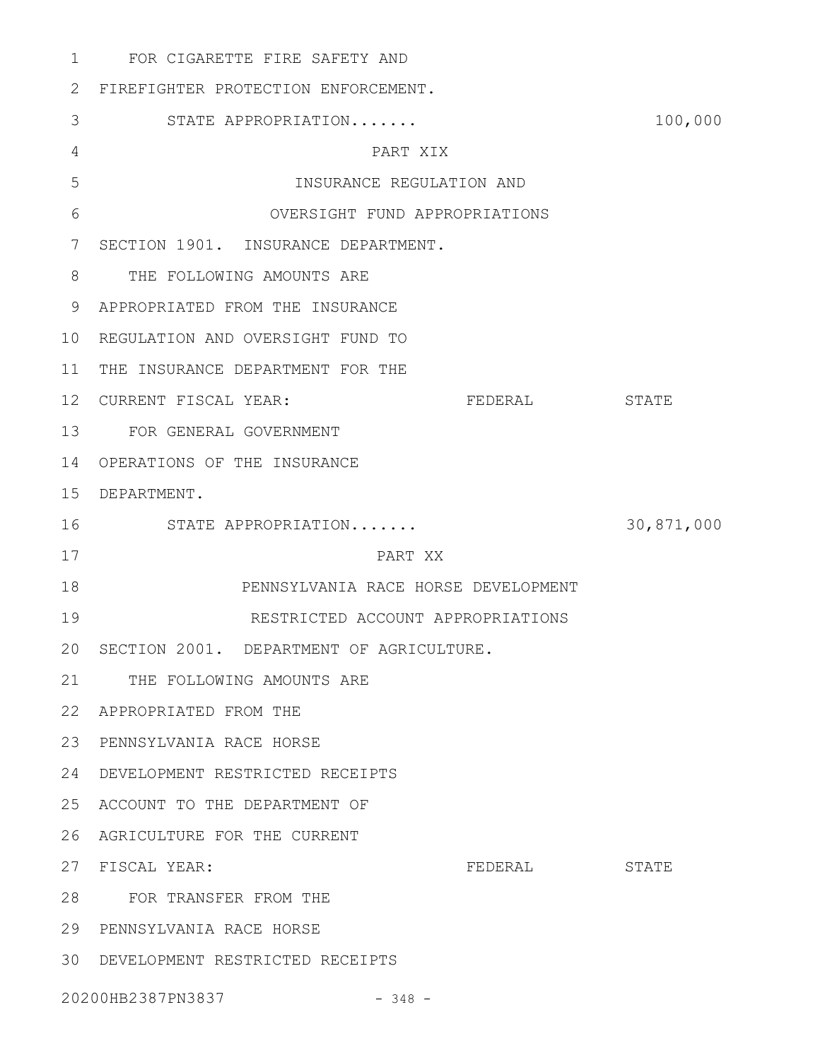FOR CIGARETTE FIRE SAFETY AND 1 FIREFIGHTER PROTECTION ENFORCEMENT. 2 STATE APPROPRIATION....... 100,000 PART XIX INSURANCE REGULATION AND OVERSIGHT FUND APPROPRIATIONS 7 SECTION 1901. INSURANCE DEPARTMENT. 8 THE FOLLOWING AMOUNTS ARE APPROPRIATED FROM THE INSURANCE 9 10 REGULATION AND OVERSIGHT FUND TO 11 THE INSURANCE DEPARTMENT FOR THE FEDERAL STATE FOR GENERAL GOVERNMENT 13 14 OPERATIONS OF THE INSURANCE DEPARTMENT. 15 STATE APPROPRIATION....... 30,871,000 PART XX PENNSYLVANIA RACE HORSE DEVELOPMENT RESTRICTED ACCOUNT APPROPRIATIONS 20 SECTION 2001. DEPARTMENT OF AGRICULTURE. 21 THE FOLLOWING AMOUNTS ARE APPROPRIATED FROM THE 22 PENNSYLVANIA RACE HORSE 23 DEVELOPMENT RESTRICTED RECEIPTS 24 25 ACCOUNT TO THE DEPARTMENT OF 26 AGRICULTURE FOR THE CURRENT FEDERAL STATE FOR TRANSFER FROM THE 28 29 PENNSYLVANIA RACE HORSE DEVELOPMENT RESTRICTED RECEIPTS 303 4 5 6 12 CURRENT FISCAL YEAR: 16 17 18 19 27 FISCAL YEAR:

20200HB2387PN3837 - 348 -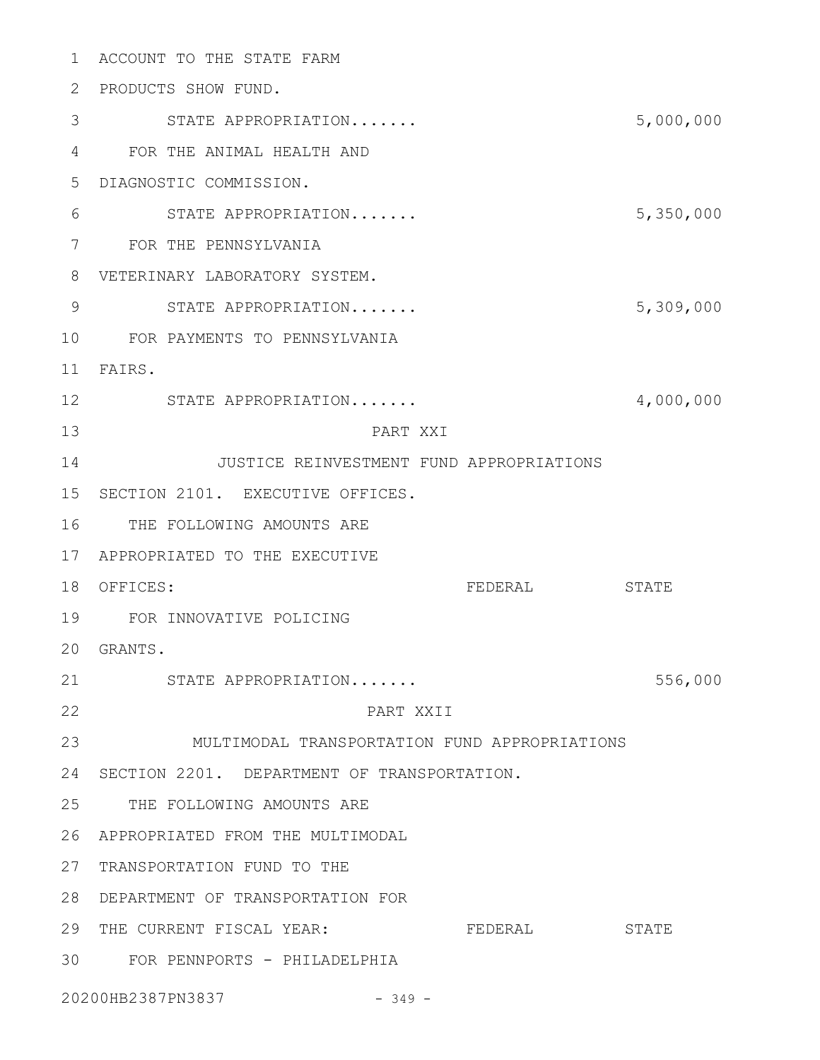ACCOUNT TO THE STATE FARM 1 2 PRODUCTS SHOW FUND. STATE APPROPRIATION....... 5,000,000 3 FOR THE ANIMAL HEALTH AND 4 DIAGNOSTIC COMMISSION. 5 STATE APPROPRIATION....... 5,350,000 FOR THE PENNSYLVANIA 7 VETERINARY LABORATORY SYSTEM. 8 STATE APPROPRIATION....... 5,309,000 FOR PAYMENTS TO PENNSYLVANIA 10 FAIRS. 11 STATE APPROPRIATION....... 4,000,000 12 PART XXI JUSTICE REINVESTMENT FUND APPROPRIATIONS 15 SECTION 2101. EXECUTIVE OFFICES. 16 THE FOLLOWING AMOUNTS ARE APPROPRIATED TO THE EXECUTIVE 17 FEDERAL STATE FOR INNOVATIVE POLICING 19 GRANTS. 20 STATE APPROPRIATION....... STATE 356,000 PART XXII MULTIMODAL TRANSPORTATION FUND APPROPRIATIONS 23 24 SECTION 2201. DEPARTMENT OF TRANSPORTATION. 25 THE FOLLOWING AMOUNTS ARE APPROPRIATED FROM THE MULTIMODAL 26 27 TRANSPORTATION FUND TO THE DEPARTMENT OF TRANSPORTATION FOR 28 29 THE CURRENT FISCAL YEAR: FEDERAL STATE FOR PENNPORTS - PHILADELPHIA 306 9 13 14 18 OFFICES: 21 22

20200HB2387PN3837 - 349 -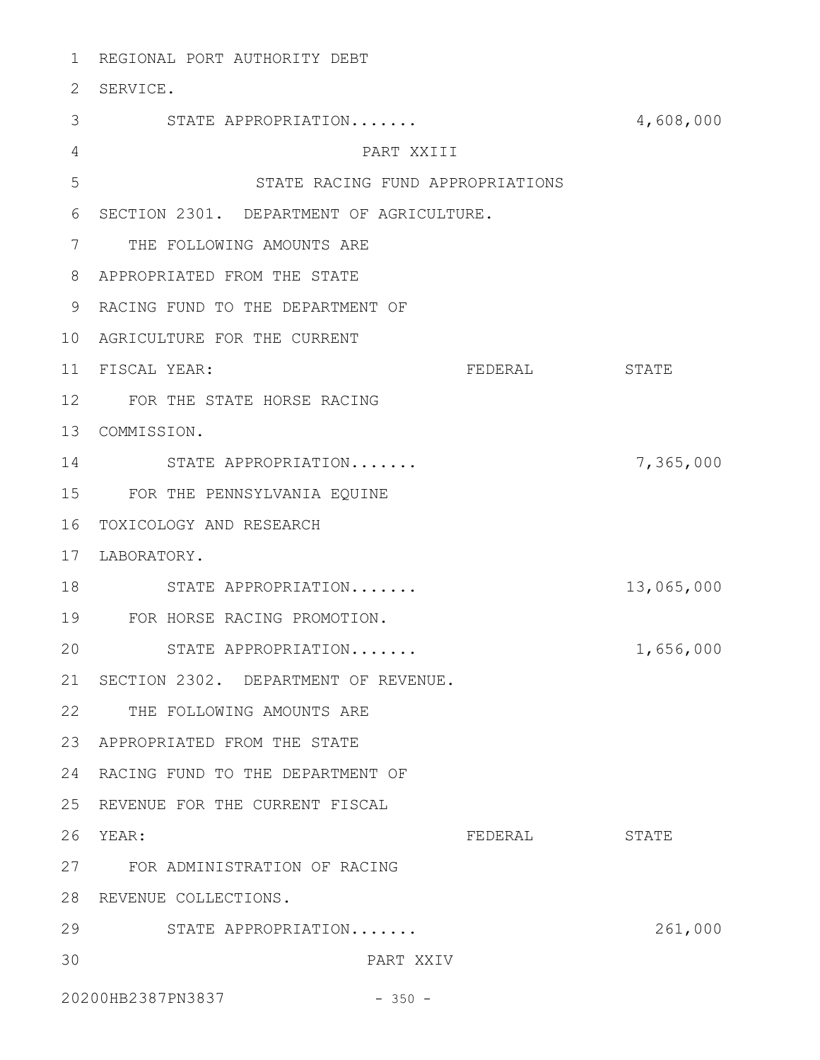REGIONAL PORT AUTHORITY DEBT 1 2 SERVICE. STATE APPROPRIATION....... 4,608,000 3 PART XXIII STATE RACING FUND APPROPRIATIONS 6 SECTION 2301. DEPARTMENT OF AGRICULTURE. 7 THE FOLLOWING AMOUNTS ARE APPROPRIATED FROM THE STATE 8 9 RACING FUND TO THE DEPARTMENT OF 10 AGRICULTURE FOR THE CURRENT FISCAL YEAR: FEDERAL STATE FOR THE STATE HORSE RACING 12 13 COMMISSION. STATE APPROPRIATION....... 7,365,000 14 FOR THE PENNSYLVANIA EQUINE 15 16 TOXICOLOGY AND RESEARCH 17 LABORATORY. 18 STATE APPROPRIATION....... 13,065,000 FOR HORSE RACING PROMOTION. 19 STATE APPROPRIATION....... 2000 1,656,000 21 SECTION 2302. DEPARTMENT OF REVENUE. 22 THE FOLLOWING AMOUNTS ARE APPROPRIATED FROM THE STATE 23 24 RACING FUND TO THE DEPARTMENT OF 25 REVENUE FOR THE CURRENT FISCAL FEDERAL STATE FOR ADMINISTRATION OF RACING 27 28 REVENUE COLLECTIONS. 29 STATE APPROPRIATION....... 261,000 PART XXIV 20200HB2387PN3837 - 350 -4 5 11 FISCAL YEAR: 20 26 YEAR: 30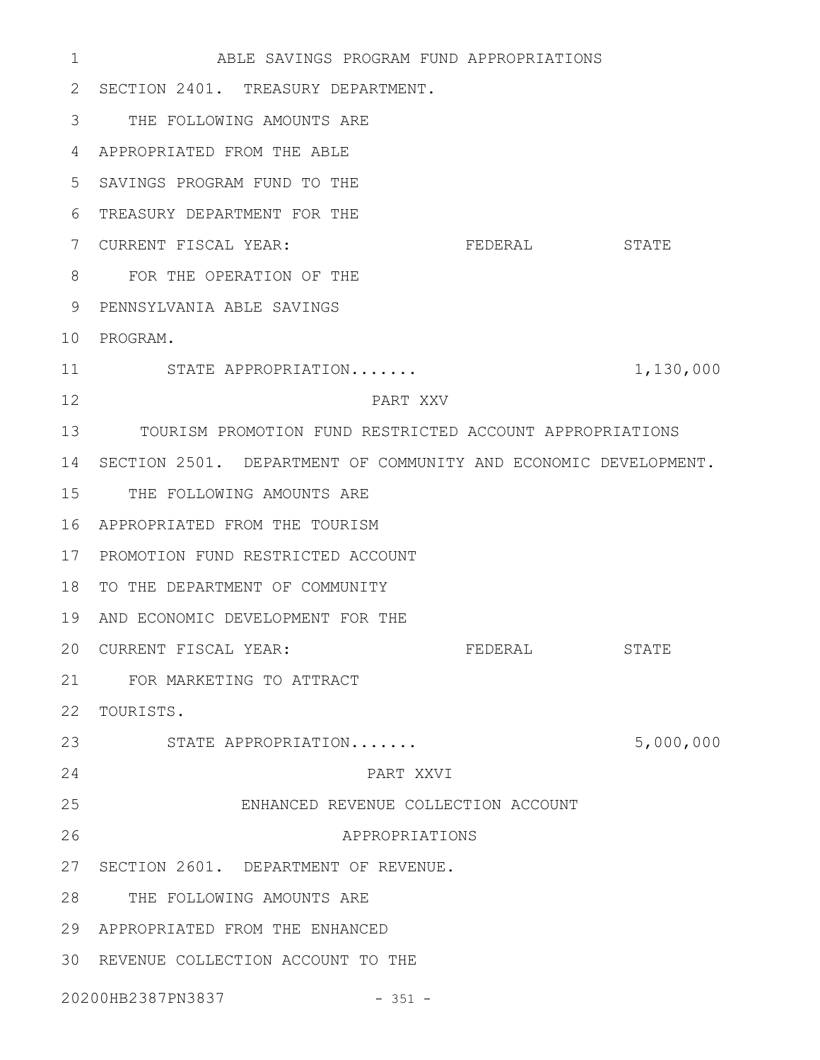ABLE SAVINGS PROGRAM FUND APPROPRIATIONS 2 SECTION 2401. TREASURY DEPARTMENT. THE FOLLOWING AMOUNTS ARE 3 APPROPRIATED FROM THE ABLE 4 SAVINGS PROGRAM FUND TO THE 5 TREASURY DEPARTMENT FOR THE 6 FEDERAL STATE 8 FOR THE OPERATION OF THE PENNSYLVANIA ABLE SAVINGS 9 10 PROGRAM. STATE APPROPRIATION....... 1,130,000 PART XXV TOURISM PROMOTION FUND RESTRICTED ACCOUNT APPROPRIATIONS 13 SECTION 2501. DEPARTMENT OF COMMUNITY AND ECONOMIC DEVELOPMENT. 14 15 THE FOLLOWING AMOUNTS ARE APPROPRIATED FROM THE TOURISM 16 17 PROMOTION FUND RESTRICTED ACCOUNT 18 TO THE DEPARTMENT OF COMMUNITY 19 AND ECONOMIC DEVELOPMENT FOR THE FEDERAL STATE FOR MARKETING TO ATTRACT 21 22 TOURISTS. STATE APPROPRIATION....... 5,000,000 23 PART XXVI ENHANCED REVENUE COLLECTION ACCOUNT APPROPRIATIONS 27 SECTION 2601. DEPARTMENT OF REVENUE. 28 THE FOLLOWING AMOUNTS ARE APPROPRIATED FROM THE ENHANCED 29 30 REVENUE COLLECTION ACCOUNT TO THE 20200HB2387PN3837 - 351 - 1 7 CURRENT FISCAL YEAR: 11 12 20 CURRENT FISCAL YEAR: 24 25 26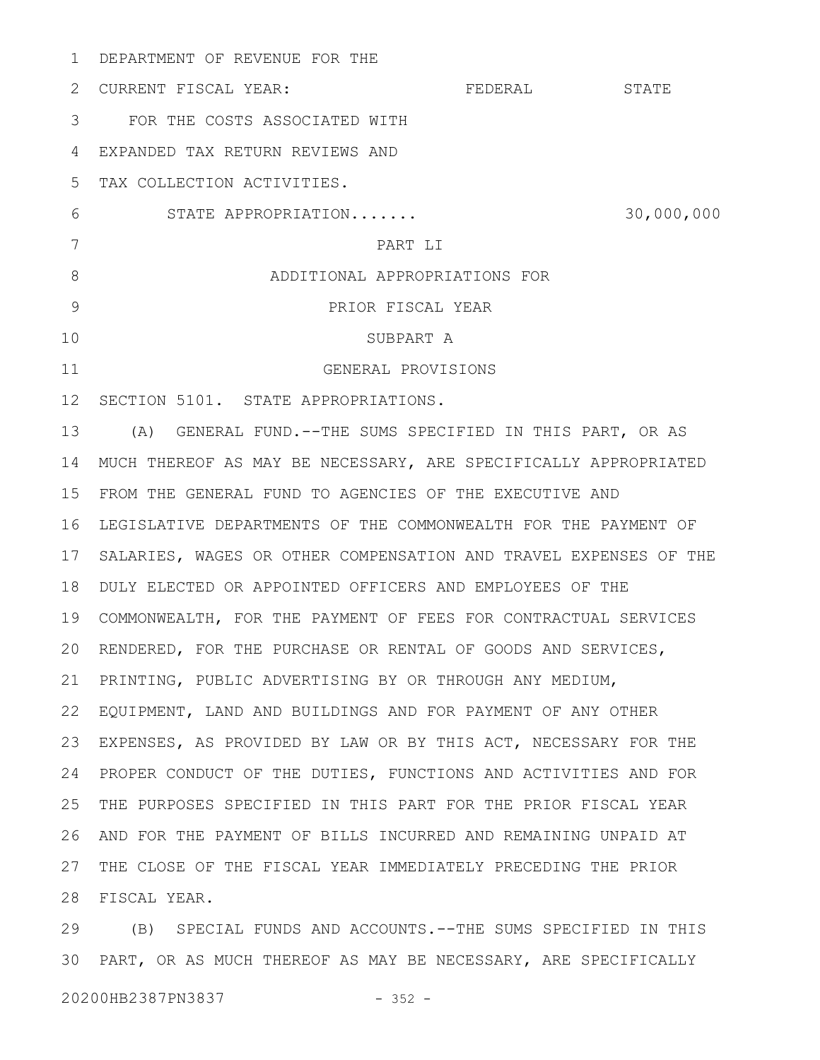| $\mathbf{1}$ | DEPARTMENT OF REVENUE FOR THE                                                                                                                                                                                                 |         |            |
|--------------|-------------------------------------------------------------------------------------------------------------------------------------------------------------------------------------------------------------------------------|---------|------------|
| 2            | CURRENT FISCAL YEAR:                                                                                                                                                                                                          | FEDERAL | STATE      |
| 3            | FOR THE COSTS ASSOCIATED WITH                                                                                                                                                                                                 |         |            |
| 4            | EXPANDED TAX RETURN REVIEWS AND                                                                                                                                                                                               |         |            |
| 5            | TAX COLLECTION ACTIVITIES.                                                                                                                                                                                                    |         |            |
| 6            | STATE APPROPRIATION                                                                                                                                                                                                           |         | 30,000,000 |
| 7            | PART LI                                                                                                                                                                                                                       |         |            |
| 8            | ADDITIONAL APPROPRIATIONS FOR                                                                                                                                                                                                 |         |            |
| 9            | PRIOR FISCAL YEAR                                                                                                                                                                                                             |         |            |
| 10           | SUBPART A                                                                                                                                                                                                                     |         |            |
| 11           | GENERAL PROVISIONS                                                                                                                                                                                                            |         |            |
| 12           | SECTION 5101. STATE APPROPRIATIONS.                                                                                                                                                                                           |         |            |
| 13           | (A) GENERAL FUND.--THE SUMS SPECIFIED IN THIS PART, OR AS                                                                                                                                                                     |         |            |
| 14           | MUCH THEREOF AS MAY BE NECESSARY, ARE SPECIFICALLY APPROPRIATED                                                                                                                                                               |         |            |
| 15           | FROM THE GENERAL FUND TO AGENCIES OF THE EXECUTIVE AND                                                                                                                                                                        |         |            |
| 16           | LEGISLATIVE DEPARTMENTS OF THE COMMONWEALTH FOR THE PAYMENT OF                                                                                                                                                                |         |            |
| 17           | SALARIES, WAGES OR OTHER COMPENSATION AND TRAVEL EXPENSES OF THE                                                                                                                                                              |         |            |
| 18           | DULY ELECTED OR APPOINTED OFFICERS AND EMPLOYEES OF THE                                                                                                                                                                       |         |            |
| 19           | COMMONWEALTH, FOR THE PAYMENT OF FEES FOR CONTRACTUAL SERVICES                                                                                                                                                                |         |            |
|              | 20 RENDERED, FOR THE PURCHASE OR RENTAL OF GOODS AND SERVICES,                                                                                                                                                                |         |            |
| 21           | PRINTING, PUBLIC ADVERTISING BY OR THROUGH ANY MEDIUM,                                                                                                                                                                        |         |            |
| 22           | EQUIPMENT, LAND AND BUILDINGS AND FOR PAYMENT OF ANY OTHER                                                                                                                                                                    |         |            |
| 23           | EXPENSES, AS PROVIDED BY LAW OR BY THIS ACT, NECESSARY FOR THE                                                                                                                                                                |         |            |
| 24           | PROPER CONDUCT OF THE DUTIES, FUNCTIONS AND ACTIVITIES AND FOR                                                                                                                                                                |         |            |
| 25           | THE PURPOSES SPECIFIED IN THIS PART FOR THE PRIOR FISCAL YEAR                                                                                                                                                                 |         |            |
| 26           | AND FOR THE PAYMENT OF BILLS INCURRED AND REMAINING UNPAID AT                                                                                                                                                                 |         |            |
| 27           | THE CLOSE OF THE FISCAL YEAR IMMEDIATELY PRECEDING THE PRIOR                                                                                                                                                                  |         |            |
| 28           | FISCAL YEAR.                                                                                                                                                                                                                  |         |            |
|              | $(2)$ $(1)$ $(2)$ $(3)$ $(4)$ $(5)$ $(7)$ $(7)$ $(8)$ $(8)$ $(7)$ $(8)$ $(9)$ $(10)$ $(10)$ $(11)$ $(11)$ $(11)$ $(11)$ $(11)$ $(11)$ $(11)$ $(11)$ $(11)$ $(11)$ $(11)$ $(11)$ $(11)$ $(11)$ $(11)$ $(11)$ $(11)$ $(11)$ $($ |         |            |

(B) SPECIAL FUNDS AND ACCOUNTS.--THE SUMS SPECIFIED IN THIS PART, OR AS MUCH THEREOF AS MAY BE NECESSARY, ARE SPECIFICALLY 3029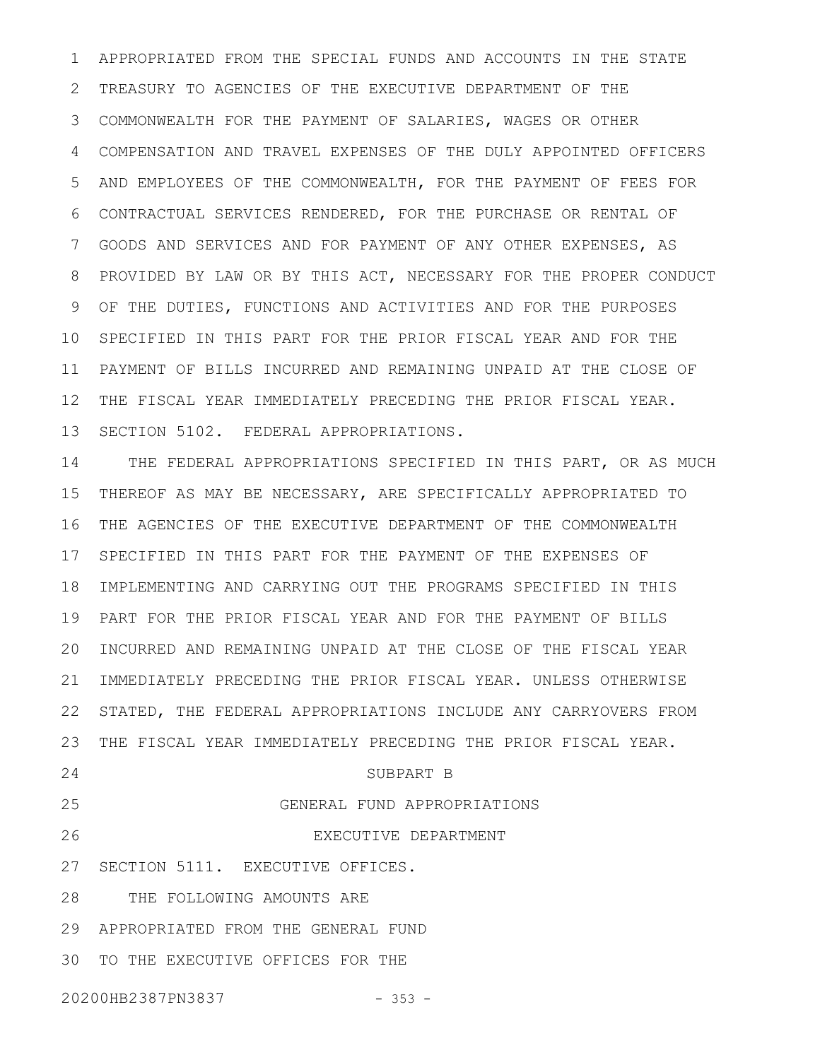APPROPRIATED FROM THE SPECIAL FUNDS AND ACCOUNTS IN THE STATE TREASURY TO AGENCIES OF THE EXECUTIVE DEPARTMENT OF THE COMMONWEALTH FOR THE PAYMENT OF SALARIES, WAGES OR OTHER COMPENSATION AND TRAVEL EXPENSES OF THE DULY APPOINTED OFFICERS AND EMPLOYEES OF THE COMMONWEALTH, FOR THE PAYMENT OF FEES FOR CONTRACTUAL SERVICES RENDERED, FOR THE PURCHASE OR RENTAL OF GOODS AND SERVICES AND FOR PAYMENT OF ANY OTHER EXPENSES, AS PROVIDED BY LAW OR BY THIS ACT, NECESSARY FOR THE PROPER CONDUCT OF THE DUTIES, FUNCTIONS AND ACTIVITIES AND FOR THE PURPOSES SPECIFIED IN THIS PART FOR THE PRIOR FISCAL YEAR AND FOR THE PAYMENT OF BILLS INCURRED AND REMAINING UNPAID AT THE CLOSE OF THE FISCAL YEAR IMMEDIATELY PRECEDING THE PRIOR FISCAL YEAR. SECTION 5102. FEDERAL APPROPRIATIONS. 1 2 3 4 5 6 7 8 9 10 11 12 13

THE FEDERAL APPROPRIATIONS SPECIFIED IN THIS PART, OR AS MUCH THEREOF AS MAY BE NECESSARY, ARE SPECIFICALLY APPROPRIATED TO 15 THE AGENCIES OF THE EXECUTIVE DEPARTMENT OF THE COMMONWEALTH 17 SPECIFIED IN THIS PART FOR THE PAYMENT OF THE EXPENSES OF 18 IMPLEMENTING AND CARRYING OUT THE PROGRAMS SPECIFIED IN THIS PART FOR THE PRIOR FISCAL YEAR AND FOR THE PAYMENT OF BILLS 19 INCURRED AND REMAINING UNPAID AT THE CLOSE OF THE FISCAL YEAR 20 21 IMMEDIATELY PRECEDING THE PRIOR FISCAL YEAR. UNLESS OTHERWISE STATED, THE FEDERAL APPROPRIATIONS INCLUDE ANY CARRYOVERS FROM THE FISCAL YEAR IMMEDIATELY PRECEDING THE PRIOR FISCAL YEAR. SUBPART B 14 16 22 23 24

25

## GENERAL FUND APPROPRIATIONS

EXECUTIVE DEPARTMENT 26

27 SECTION 5111. EXECUTIVE OFFICES.

THE FOLLOWING AMOUNTS ARE 28

APPROPRIATED FROM THE GENERAL FUND 29

30 TO THE EXECUTIVE OFFICES FOR THE

20200HB2387PN3837 - 353 -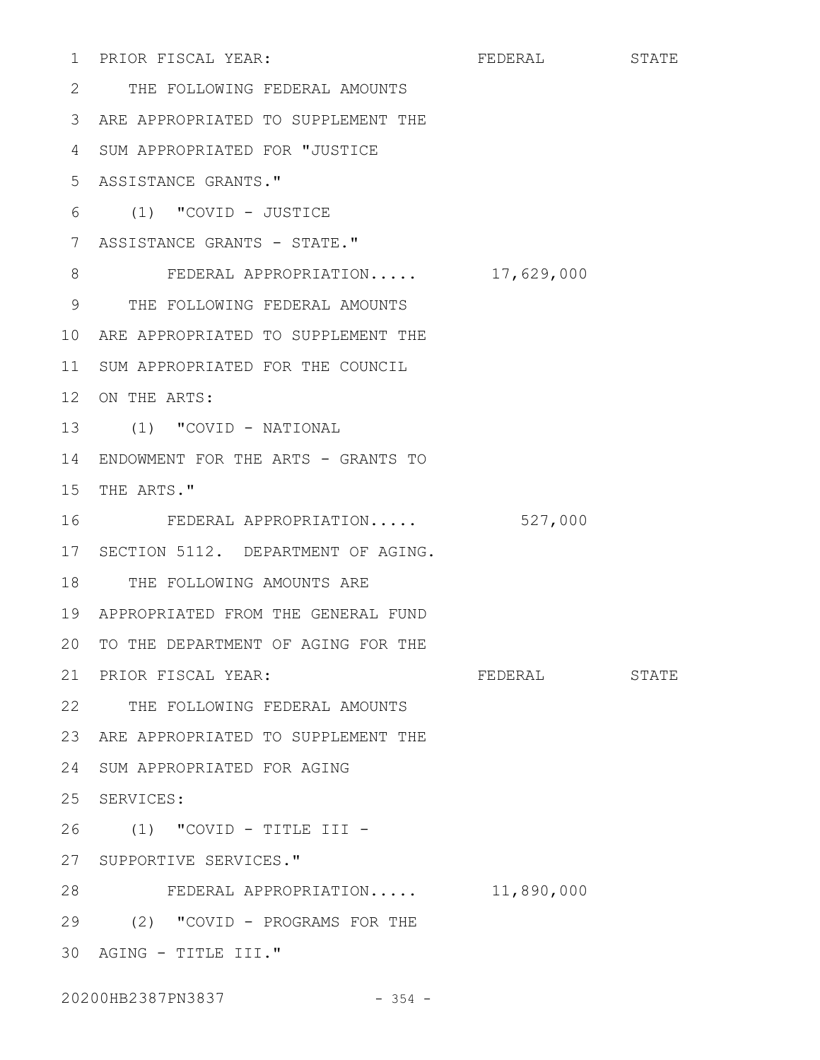PRIOR FISCAL YEAR: FEDERAL STATE THE FOLLOWING FEDERAL AMOUNTS 2 ARE APPROPRIATED TO SUPPLEMENT THE 3 4 SUM APPROPRIATED FOR "JUSTICE ASSISTANCE GRANTS." 5 (1) "COVID - JUSTICE 6 7 ASSISTANCE GRANTS - STATE." FEDERAL APPROPRIATION..... 17,629,000 THE FOLLOWING FEDERAL AMOUNTS 9 10 ARE APPROPRIATED TO SUPPLEMENT THE 11 SUM APPROPRIATED FOR THE COUNCIL 12 ON THE ARTS: (1) "COVID - NATIONAL 13 14 ENDOWMENT FOR THE ARTS - GRANTS TO 15 THE ARTS." FEDERAL APPROPRIATION..... 527,000 17 SECTION 5112. DEPARTMENT OF AGING. 18 THE FOLLOWING AMOUNTS ARE APPROPRIATED FROM THE GENERAL FUND 19 20 TO THE DEPARTMENT OF AGING FOR THE PRIOR FISCAL YEAR: FEDERAL STATE THE FOLLOWING FEDERAL AMOUNTS 22 23 ARE APPROPRIATED TO SUPPLEMENT THE 24 SUM APPROPRIATED FOR AGING 25 SERVICES: (1) "COVID - TITLE III - 26 27 SUPPORTIVE SERVICES." FEDERAL APPROPRIATION..... 11,890,000 (2) "COVID - PROGRAMS FOR THE 29 30 AGING - TITLE III." 1 PRIOR FISCAL YEAR: 8 16 21 PRIOR FISCAL YEAR: 28

20200HB2387PN3837 - 354 -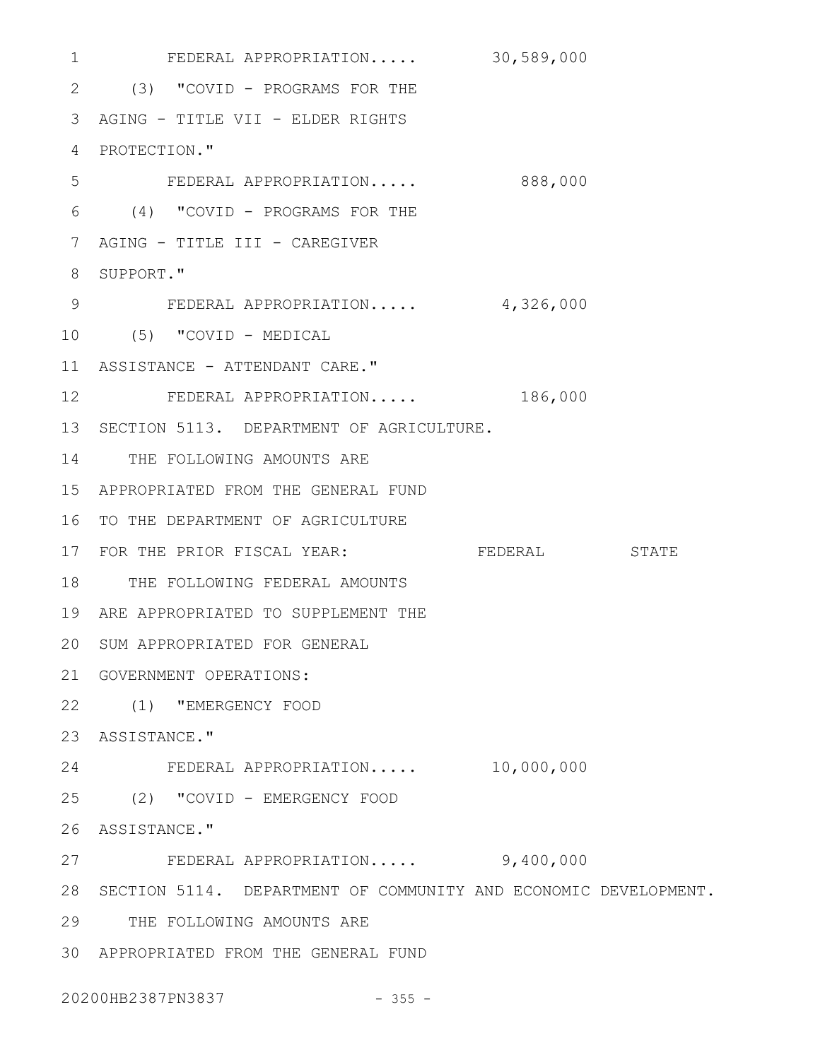FEDERAL APPROPRIATION..... 30,589,000 1 2 (3) "COVID - PROGRAMS FOR THE AGING - TITLE VII - ELDER RIGHTS 3 4 PROTECTION." FEDERAL APPROPRIATION..... 888,000 (4) "COVID - PROGRAMS FOR THE 6 AGING - TITLE III - CAREGIVER 7 8 SUPPORT." FEDERAL APPROPRIATION..... 4,326,000 (5) "COVID - MEDICAL 10 11 ASSISTANCE - ATTENDANT CARE." FEDERAL APPROPRIATION..... 186,000 13 SECTION 5113. DEPARTMENT OF AGRICULTURE. 14 THE FOLLOWING AMOUNTS ARE APPROPRIATED FROM THE GENERAL FUND 15 16 TO THE DEPARTMENT OF AGRICULTURE 17 FOR THE PRIOR FISCAL YEAR: FEDERAL STATE 18 THE FOLLOWING FEDERAL AMOUNTS 19 ARE APPROPRIATED TO SUPPLEMENT THE 20 SUM APPROPRIATED FOR GENERAL 21 GOVERNMENT OPERATIONS: (1) "EMERGENCY FOOD 22 23 ASSISTANCE." FEDERAL APPROPRIATION..... 10,000,000 24 (2) "COVID - EMERGENCY FOOD 25 26 ASSISTANCE." FEDERAL APPROPRIATION..... 9,400,000 28 SECTION 5114. DEPARTMENT OF COMMUNITY AND ECONOMIC DEVELOPMENT. 29 THE FOLLOWING AMOUNTS ARE APPROPRIATED FROM THE GENERAL FUND 305 9 12 27

20200HB2387PN3837 - 355 -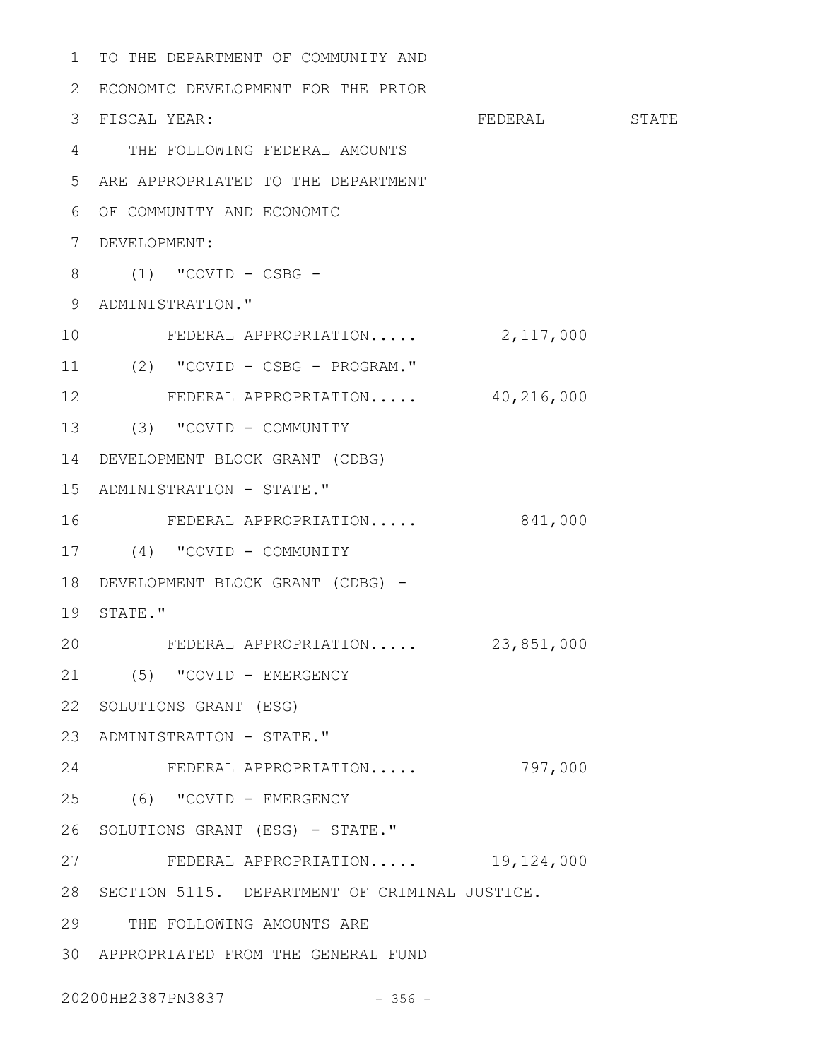```
1 TO THE DEPARTMENT OF COMMUNITY AND
 2 ECONOMIC DEVELOPMENT FOR THE PRIOR
                                FEDERAL STATE
 THE FOLLOWING FEDERAL AMOUNTS
4
 ARE APPROPRIATED TO THE DEPARTMENT
5
 OF COMMUNITY AND ECONOMIC
6
 DEVELOPMENT:
7
 (1) "COVID - CSBG -
8
 9 ADMINISTRATION."
FEDERAL APPROPRIATION..... 2,117,000
10
(2) "COVID - CSBG - PROGRAM."
11
        FEDERAL APPROPRIATION..... 40,216,000
(3) "COVID - COMMUNITY
13
DEVELOPMENT BLOCK GRANT (CDBG)
14
15 ADMINISTRATION - STATE."
    FEDERAL APPROPRIATION..... 841,000
(4) "COVID - COMMUNITY
17
18 DEVELOPMENT BLOCK GRANT (CDBG) -
19 STATE."
FEDERAL APPROPRIATION..... 23,851,000
20
(5) "COVID - EMERGENCY
21
22 SOLUTIONS GRANT (ESG)
23 ADMINISTRATION - STATE."
FEDERAL APPROPRIATION..... 797,000
24
(6) "COVID - EMERGENCY
25
26 SOLUTIONS GRANT (ESG) - STATE."
        FEDERAL APPROPRIATION..... 19,124,000
28 SECTION 5115. DEPARTMENT OF CRIMINAL JUSTICE.
29 THE FOLLOWING AMOUNTS ARE
APPROPRIATED FROM THE GENERAL FUND
303 FISCAL YEAR:
12
16
27
```
20200HB2387PN3837 - 356 -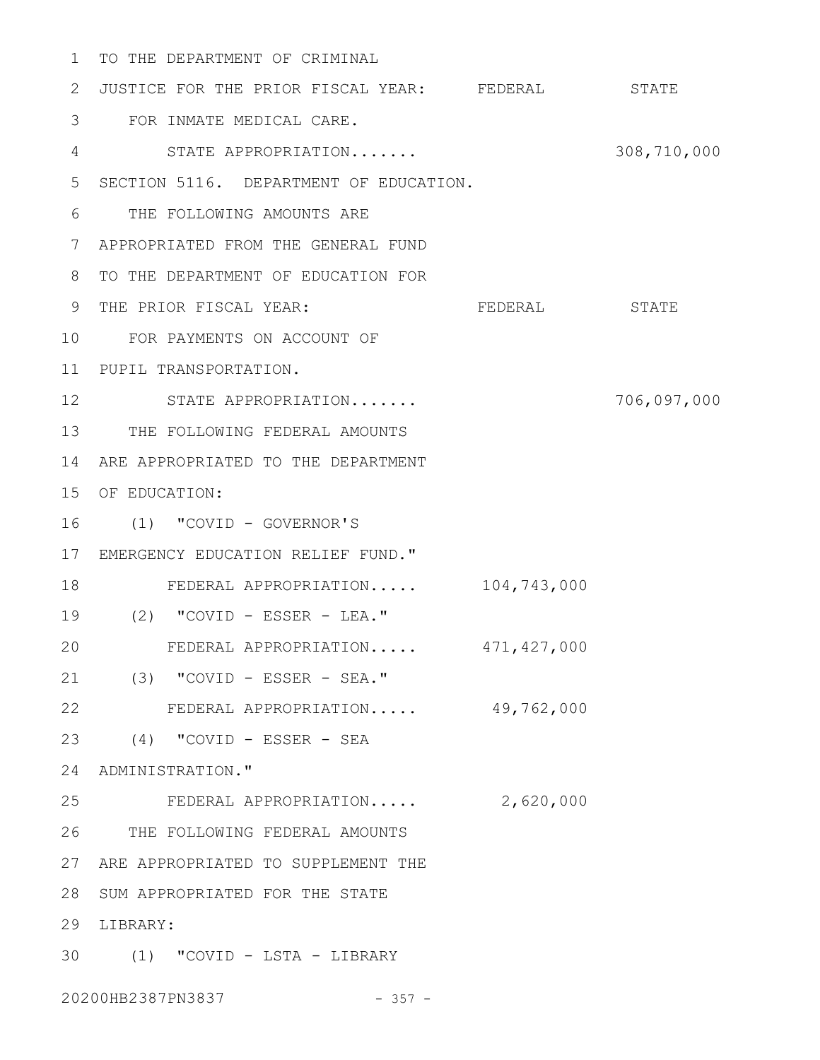1 TO THE DEPARTMENT OF CRIMINAL

2 JUSTICE FOR THE PRIOR FISCAL YEAR: FEDERAL STATE FOR INMATE MEDICAL CARE. 3 STATE APPROPRIATION....... 308,710,000 SECTION 5116. DEPARTMENT OF EDUCATION. 5 THE FOLLOWING AMOUNTS ARE 6 APPROPRIATED FROM THE GENERAL FUND 7 8 TO THE DEPARTMENT OF EDUCATION FOR FEDERAL STATE 10 FOR PAYMENTS ON ACCOUNT OF PUPIL TRANSPORTATION. 11 STATE APPROPRIATION....... 706,097,000 12 13 THE FOLLOWING FEDERAL AMOUNTS 14 ARE APPROPRIATED TO THE DEPARTMENT 15 OF EDUCATION: (1) "COVID - GOVERNOR'S 16 17 EMERGENCY EDUCATION RELIEF FUND." FEDERAL APPROPRIATION..... 104,743,000 18 (2) "COVID - ESSER - LEA." 19 FEDERAL APPROPRIATION..... 471,427,000 (3) "COVID - ESSER - SEA." 21 FEDERAL APPROPRIATION..... 49,762,000 (4) "COVID - ESSER - SEA 23 24 ADMINISTRATION." FEDERAL APPROPRIATION..... 2,620,000 25 THE FOLLOWING FEDERAL AMOUNTS 26 27 ARE APPROPRIATED TO SUPPLEMENT THE 28 SUM APPROPRIATED FOR THE STATE 29 LIBRARY: (1) "COVID - LSTA - LIBRARY 3020200HB2387PN3837 - 357 - 4 9 THE PRIOR FISCAL YEAR: 20 22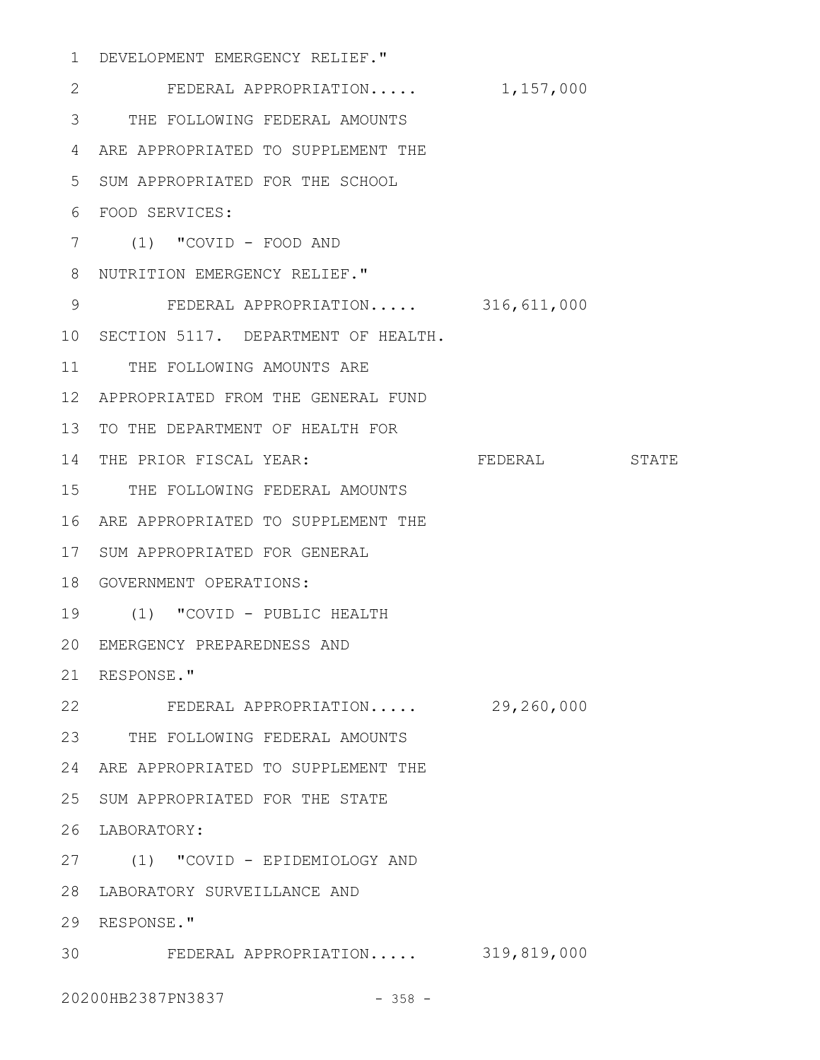DEVELOPMENT EMERGENCY RELIEF." 1

FEDERAL APPROPRIATION..... 1,157,000 THE FOLLOWING FEDERAL AMOUNTS 3 4 ARE APPROPRIATED TO SUPPLEMENT THE SUM APPROPRIATED FOR THE SCHOOL 5 FOOD SERVICES: 6 (1) "COVID - FOOD AND 7 8 NUTRITION EMERGENCY RELIEF." FEDERAL APPROPRIATION..... 316,611,000 10 SECTION 5117. DEPARTMENT OF HEALTH. 11 THE FOLLOWING AMOUNTS ARE APPROPRIATED FROM THE GENERAL FUND 12 13 TO THE DEPARTMENT OF HEALTH FOR FEDERAL STATE 15 THE FOLLOWING FEDERAL AMOUNTS 16 ARE APPROPRIATED TO SUPPLEMENT THE 17 SUM APPROPRIATED FOR GENERAL 18 GOVERNMENT OPERATIONS: (1) "COVID - PUBLIC HEALTH 19 EMERGENCY PREPAREDNESS AND 20 21 RESPONSE." FEDERAL APPROPRIATION..... 29,260,000 23 THE FOLLOWING FEDERAL AMOUNTS 24 ARE APPROPRIATED TO SUPPLEMENT THE 25 SUM APPROPRIATED FOR THE STATE LABORATORY: 26 (1) "COVID - EPIDEMIOLOGY AND 27 28 LABORATORY SURVEILLANCE AND 29 RESPONSE." FEDERAL APPROPRIATION..... 319,819,000 302 9 14 THE PRIOR FISCAL YEAR: 22

20200HB2387PN3837 - 358 -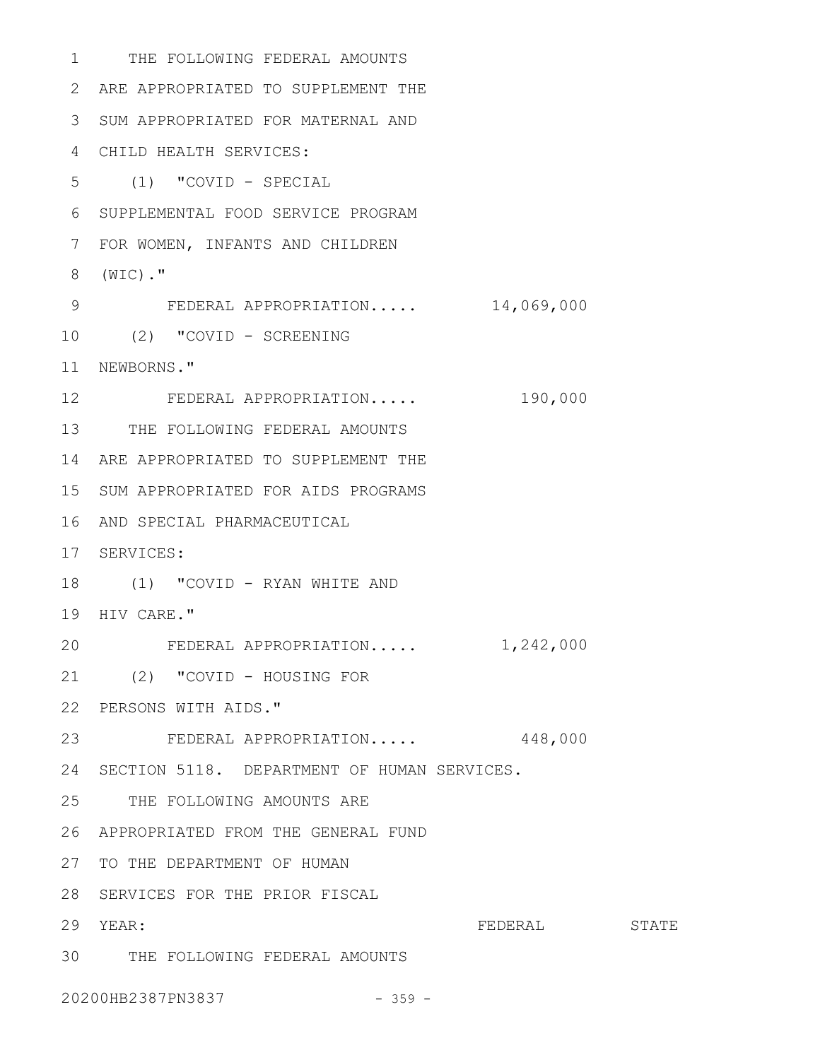1 THE FOLLOWING FEDERAL AMOUNTS 2 ARE APPROPRIATED TO SUPPLEMENT THE 3 SUM APPROPRIATED FOR MATERNAL AND CHILD HEALTH SERVICES: 4 (1) "COVID - SPECIAL 5 6 SUPPLEMENTAL FOOD SERVICE PROGRAM FOR WOMEN, INFANTS AND CHILDREN 7 (WIC)." 8 FEDERAL APPROPRIATION..... 14,069,000 (2) "COVID - SCREENING 10 11 NEWBORNS." FEDERAL APPROPRIATION..... 190,000 13 THE FOLLOWING FEDERAL AMOUNTS 14 ARE APPROPRIATED TO SUPPLEMENT THE 15 SUM APPROPRIATED FOR AIDS PROGRAMS 16 AND SPECIAL PHARMACEUTICAL 17 SERVICES: 18 (1) "COVID - RYAN WHITE AND 19 HIV CARE." 20 FEDERAL APPROPRIATION..... 1,242,000 (2) "COVID - HOUSING FOR 21 PERSONS WITH AIDS." 22 FEDERAL APPROPRIATION..... 448,000 23 24 SECTION 5118. DEPARTMENT OF HUMAN SERVICES. 25 THE FOLLOWING AMOUNTS ARE APPROPRIATED FROM THE GENERAL FUND 26 27 TO THE DEPARTMENT OF HUMAN 28 SERVICES FOR THE PRIOR FISCAL FEDERAL STATE THE FOLLOWING FEDERAL AMOUNTS 309 12 29 YEAR:

20200HB2387PN3837 - 359 -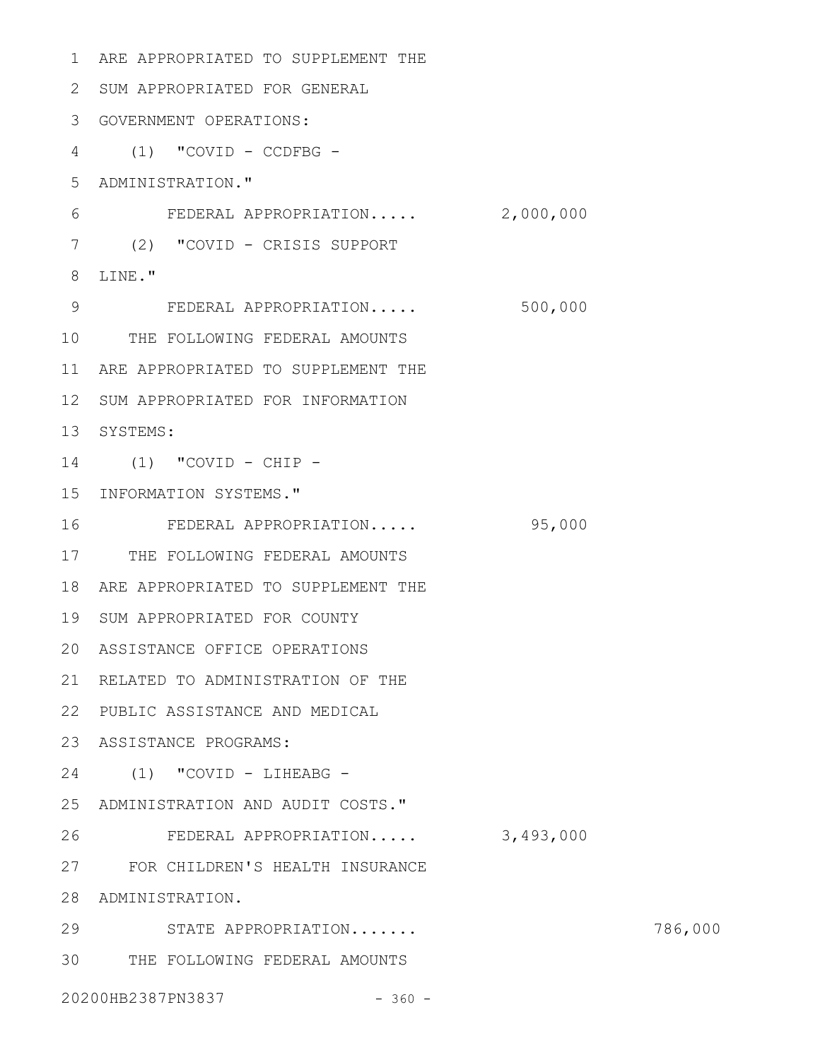1 ARE APPROPRIATED TO SUPPLEMENT THE 2 SUM APPROPRIATED FOR GENERAL GOVERNMENT OPERATIONS: 3 (1) "COVID - CCDFBG - 4 ADMINISTRATION." 5 FEDERAL APPROPRIATION..... 2,000,000 (2) "COVID - CRISIS SUPPORT 7 8 LINE." 9 FEDERAL APPROPRIATION..... 500,000 10 THE FOLLOWING FEDERAL AMOUNTS 11 ARE APPROPRIATED TO SUPPLEMENT THE 12 SUM APPROPRIATED FOR INFORMATION 13 SYSTEMS: (1) "COVID - CHIP - 14 15 INFORMATION SYSTEMS." FEDERAL APPROPRIATION..... 95,000 17 THE FOLLOWING FEDERAL AMOUNTS 18 ARE APPROPRIATED TO SUPPLEMENT THE 19 SUM APPROPRIATED FOR COUNTY ASSISTANCE OFFICE OPERATIONS 20 21 RELATED TO ADMINISTRATION OF THE PUBLIC ASSISTANCE AND MEDICAL 22 ASSISTANCE PROGRAMS: 23 (1) "COVID - LIHEABG - 24 25 ADMINISTRATION AND AUDIT COSTS." FEDERAL APPROPRIATION..... 3,493,000 FOR CHILDREN'S HEALTH INSURANCE 27 28 ADMINISTRATION. STATE APPROPRIATION....... 786,000 THE FOLLOWING FEDERAL AMOUNTS 3020200HB2387PN3837 - 360 -6 16 26 29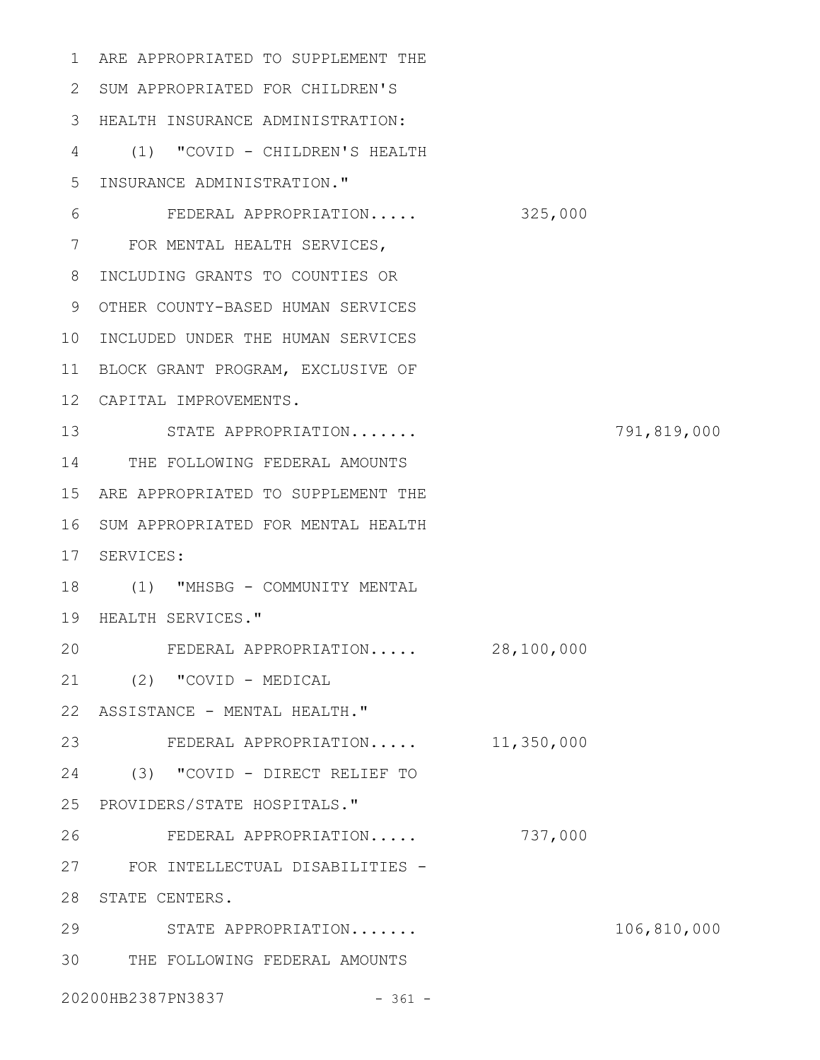1 ARE APPROPRIATED TO SUPPLEMENT THE 2 SUM APPROPRIATED FOR CHILDREN'S 3 HEALTH INSURANCE ADMINISTRATION: (1) "COVID - CHILDREN'S HEALTH 4 INSURANCE ADMINISTRATION." 5 FEDERAL APPROPRIATION..... 325,000 FOR MENTAL HEALTH SERVICES, 7 8 INCLUDING GRANTS TO COUNTIES OR 9 OTHER COUNTY-BASED HUMAN SERVICES 10 INCLUDED UNDER THE HUMAN SERVICES 11 BLOCK GRANT PROGRAM, EXCLUSIVE OF CAPITAL IMPROVEMENTS. 12 STATE APPROPRIATION....... 791,819,000 13 14 THE FOLLOWING FEDERAL AMOUNTS 15 ARE APPROPRIATED TO SUPPLEMENT THE 16 SUM APPROPRIATED FOR MENTAL HEALTH 17 SERVICES: 18 (1) "MHSBG - COMMUNITY MENTAL 19 HEALTH SERVICES." FEDERAL APPROPRIATION..... 28,100,000 (2) "COVID - MEDICAL 21 22 ASSISTANCE - MENTAL HEALTH." FEDERAL APPROPRIATION..... 11,350,000 23 (3) "COVID - DIRECT RELIEF TO 24 PROVIDERS/STATE HOSPITALS." 25 FEDERAL APPROPRIATION..... 737,000 FOR INTELLECTUAL DISABILITIES - 27 28 STATE CENTERS. STATE APPROPRIATION....... 106,810,000 THE FOLLOWING FEDERAL AMOUNTS 3020200HB2387PN3837 - 361 -6 20 26 29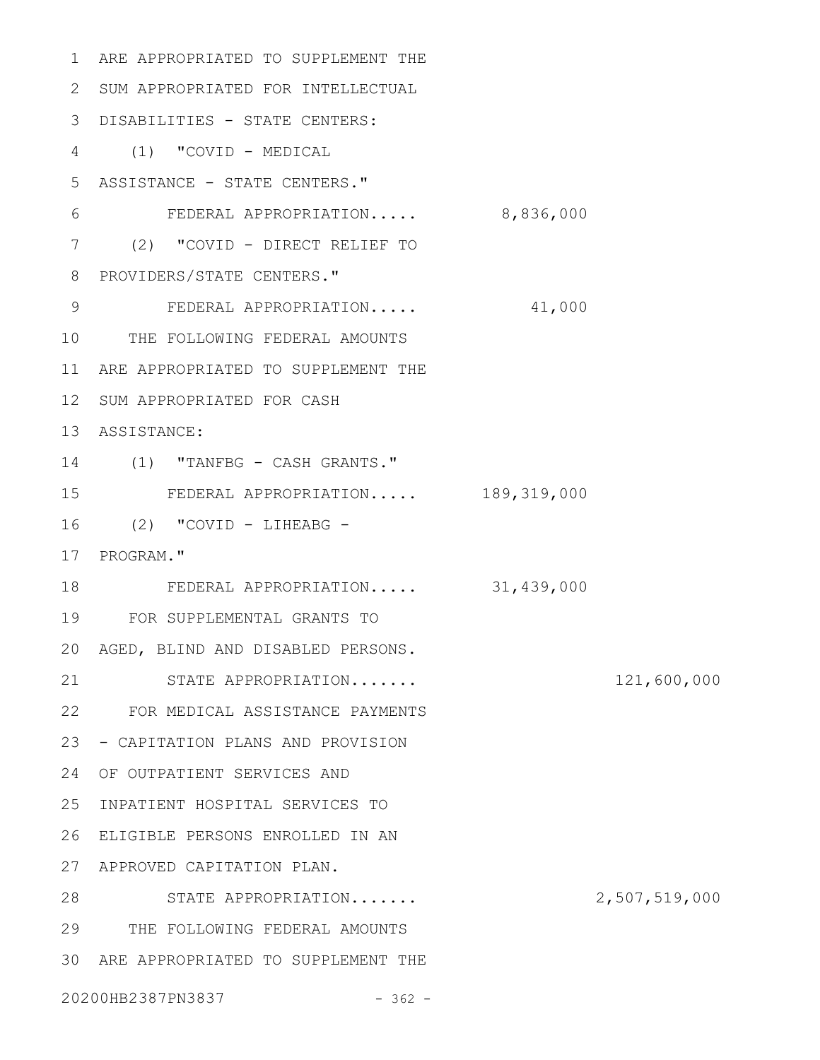1 ARE APPROPRIATED TO SUPPLEMENT THE 2 SUM APPROPRIATED FOR INTELLECTUAL 3 DISABILITIES - STATE CENTERS: (1) "COVID - MEDICAL 4 5 ASSISTANCE - STATE CENTERS." FEDERAL APPROPRIATION..... 8,836,000 (2) "COVID - DIRECT RELIEF TO 7 8 PROVIDERS/STATE CENTERS." FEDERAL APPROPRIATION..... 41,000 10 THE FOLLOWING FEDERAL AMOUNTS 11 ARE APPROPRIATED TO SUPPLEMENT THE 12 SUM APPROPRIATED FOR CASH 13 ASSISTANCE: (1) "TANFBG - CASH GRANTS." 14 FEDERAL APPROPRIATION..... 189,319,000 (2) "COVID - LIHEABG - 17 PROGRAM." FEDERAL APPROPRIATION..... 31,439,000 FOR SUPPLEMENTAL GRANTS TO 19 AGED, BLIND AND DISABLED PERSONS. 20 STATE APPROPRIATION....... 121,600,000 FOR MEDICAL ASSISTANCE PAYMENTS 22 23 - CAPITATION PLANS AND PROVISION 24 OF OUTPATIENT SERVICES AND INPATIENT HOSPITAL SERVICES TO 25 ELIGIBLE PERSONS ENROLLED IN AN 26 APPROVED CAPITATION PLAN. 27 28 STATE APPROPRIATION....... 2,507,519,000 THE FOLLOWING FEDERAL AMOUNTS 29 ARE APPROPRIATED TO SUPPLEMENT THE 3020200HB2387PN3837 - 362 - 6 9 15 16 18 21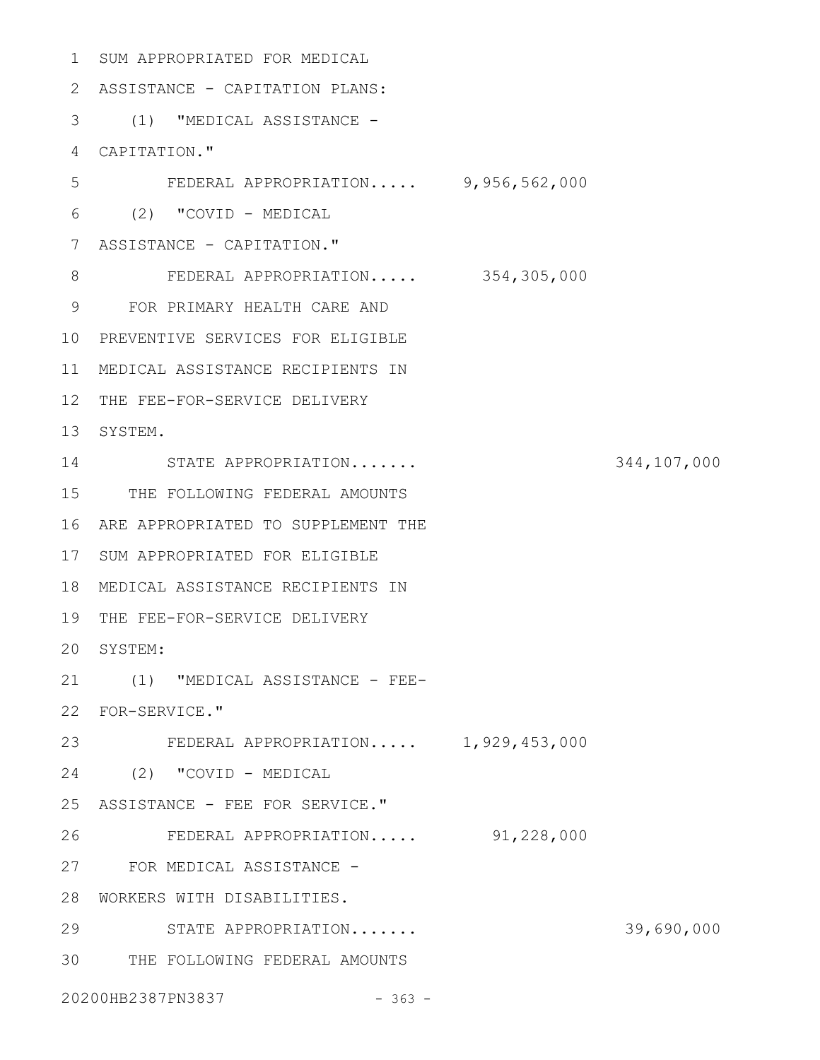```
SUM APPROPRIATED FOR MEDICAL
1
 2 ASSISTANCE - CAPITATION PLANS:
 (1) "MEDICAL ASSISTANCE -
3
 CAPITATION."
4
        FEDERAL APPROPRIATION..... 9,956,562,000
 (2) "COVID - MEDICAL
6
 7 ASSISTANCE - CAPITATION."
    FEDERAL APPROPRIATION..... 354,305,000
 FOR PRIMARY HEALTH CARE AND
9
10 PREVENTIVE SERVICES FOR ELIGIBLE
MEDICAL ASSISTANCE RECIPIENTS IN
11
12 THE FEE-FOR-SERVICE DELIVERY
13 SYSTEM.
STATE APPROPRIATION....... 344,107,000
14
15 THE FOLLOWING FEDERAL AMOUNTS
16 ARE APPROPRIATED TO SUPPLEMENT THE
17 SUM APPROPRIATED FOR ELIGIBLE
MEDICAL ASSISTANCE RECIPIENTS IN
18
19 THE FEE-FOR-SERVICE DELIVERY
20 SYSTEM:
(1) "MEDICAL ASSISTANCE - FEE-
21
FOR-SERVICE."
22
FEDERAL APPROPRIATION..... 1,929,453,000
23
(2) "COVID - MEDICAL
24
25 ASSISTANCE - FEE FOR SERVICE."
        FEDERAL APPROPRIATION..... 91,228,000
FOR MEDICAL ASSISTANCE -
27
WORKERS WITH DISABILITIES.
28
        STATE APPROPRIATION....... 39,690,000
THE FOLLOWING FEDERAL AMOUNTS
3020200HB2387PN3837 - 363 -
5
8
26
29
```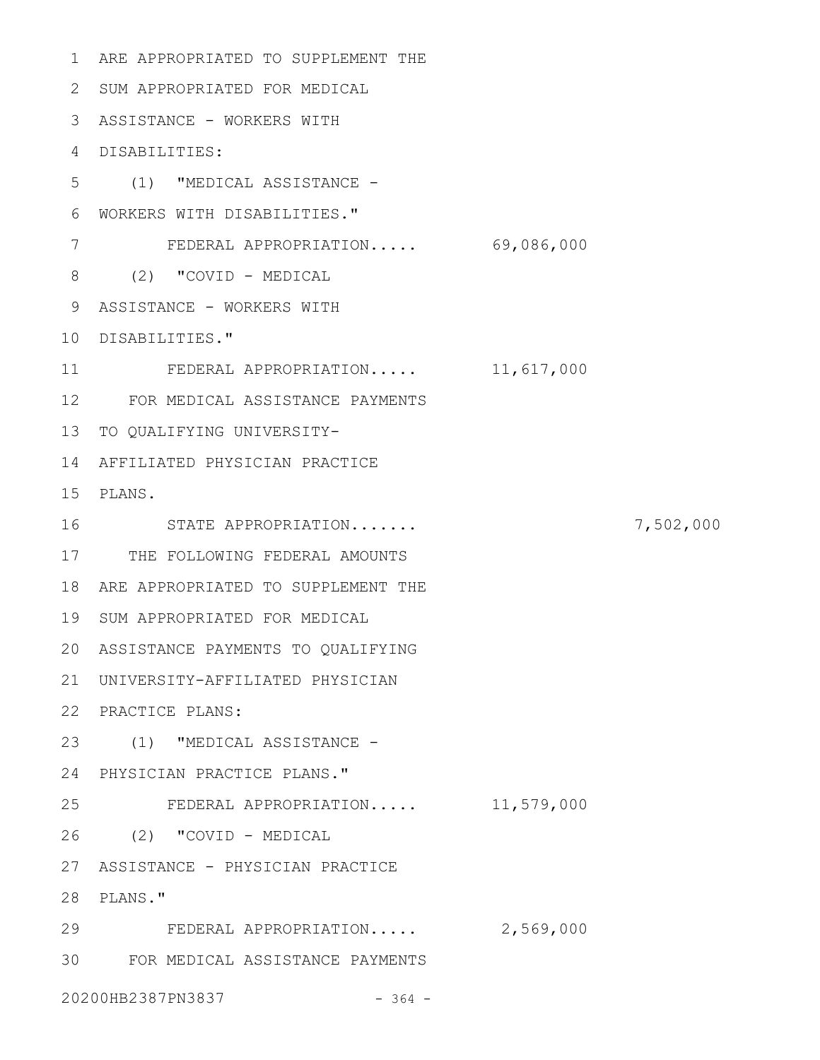```
1 ARE APPROPRIATED TO SUPPLEMENT THE
 2 SUM APPROPRIATED FOR MEDICAL
 3 ASSISTANCE - WORKERS WITH
 DISABILITIES:
4
 (1) "MEDICAL ASSISTANCE -
5
 WORKERS WITH DISABILITIES."
6
     FEDERAL APPROPRIATION..... 69,086,000
 (2) "COVID - MEDICAL
8
 9 ASSISTANCE - WORKERS WITH
10 DISABILITIES."
    FEDERAL APPROPRIATION..... 11,617,000
FOR MEDICAL ASSISTANCE PAYMENTS
12
13 TO QUALIFYING UNIVERSITY-
14 AFFILIATED PHYSICIAN PRACTICE
PLANS.
15
    STATE APPROPRIATION....... 7,502,000
17 THE FOLLOWING FEDERAL AMOUNTS
18 ARE APPROPRIATED TO SUPPLEMENT THE
19 SUM APPROPRIATED FOR MEDICAL
ASSISTANCE PAYMENTS TO QUALIFYING
20
UNIVERSITY-AFFILIATED PHYSICIAN
21
22 PRACTICE PLANS:
(1) "MEDICAL ASSISTANCE -
23
PHYSICIAN PRACTICE PLANS."
24
    FEDERAL APPROPRIATION..... 11,579,000
(2) "COVID - MEDICAL
26
ASSISTANCE - PHYSICIAN PRACTICE
27
PLANS."
28
29 FEDERAL APPROPRIATION..... 2,569,000
FOR MEDICAL ASSISTANCE PAYMENTS
3020200HB2387PN3837 - 364 -
7
11
16
25
```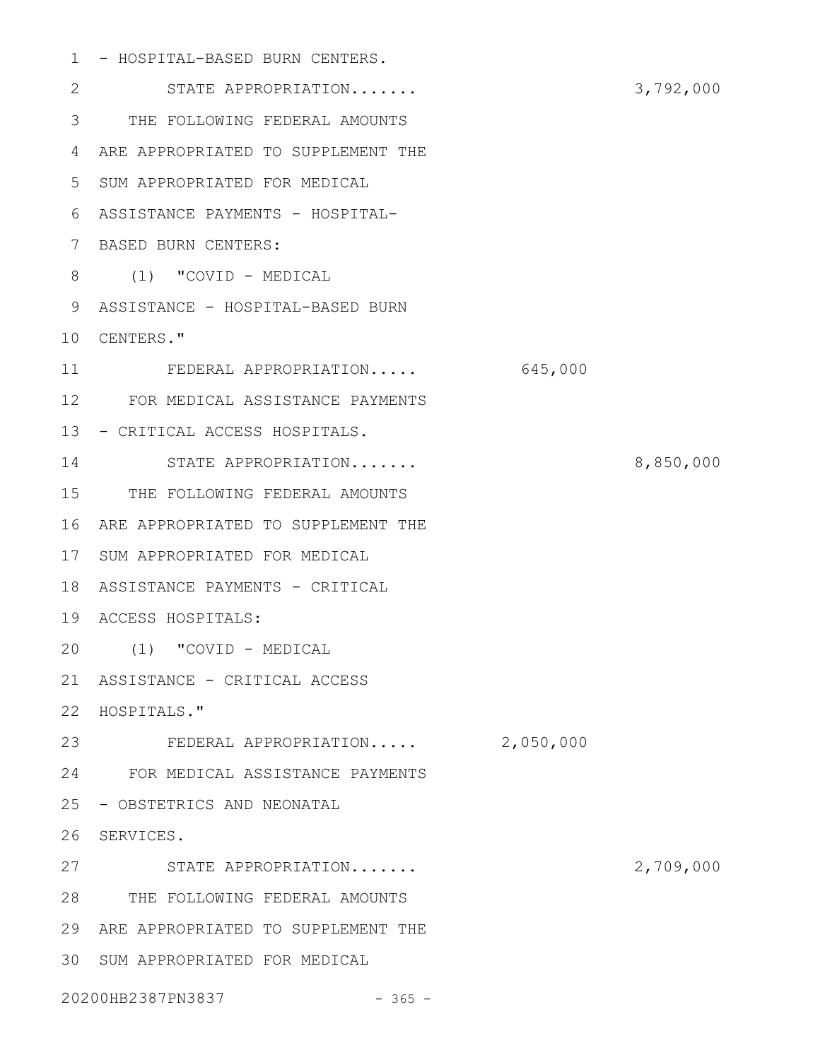1 - HOSPITAL-BASED BURN CENTERS.

STATE APPROPRIATION....... 3,792,000 THE FOLLOWING FEDERAL AMOUNTS 3 4 ARE APPROPRIATED TO SUPPLEMENT THE SUM APPROPRIATED FOR MEDICAL 5 ASSISTANCE PAYMENTS - HOSPITAL-6 BASED BURN CENTERS: 7 (1) "COVID - MEDICAL 8 9 ASSISTANCE - HOSPITAL-BASED BURN 10 CENTERS." FEDERAL APPROPRIATION..... 645,000 FOR MEDICAL ASSISTANCE PAYMENTS 12 13 - CRITICAL ACCESS HOSPITALS. STATE APPROPRIATION....... 8,850,000 14 15 THE FOLLOWING FEDERAL AMOUNTS 16 ARE APPROPRIATED TO SUPPLEMENT THE 17 SUM APPROPRIATED FOR MEDICAL 18 ASSISTANCE PAYMENTS - CRITICAL ACCESS HOSPITALS: 19 (1) "COVID - MEDICAL 20 ASSISTANCE - CRITICAL ACCESS 21 22 HOSPITALS." 23 FEDERAL APPROPRIATION..... 2,050,000 FOR MEDICAL ASSISTANCE PAYMENTS 24 25 - OBSTETRICS AND NEONATAL 26 SERVICES. STATE APPROPRIATION....... 2,709,000 THE FOLLOWING FEDERAL AMOUNTS 28 ARE APPROPRIATED TO SUPPLEMENT THE 29 SUM APPROPRIATED FOR MEDICAL 3020200HB2387PN3837 - 365 -2 11 27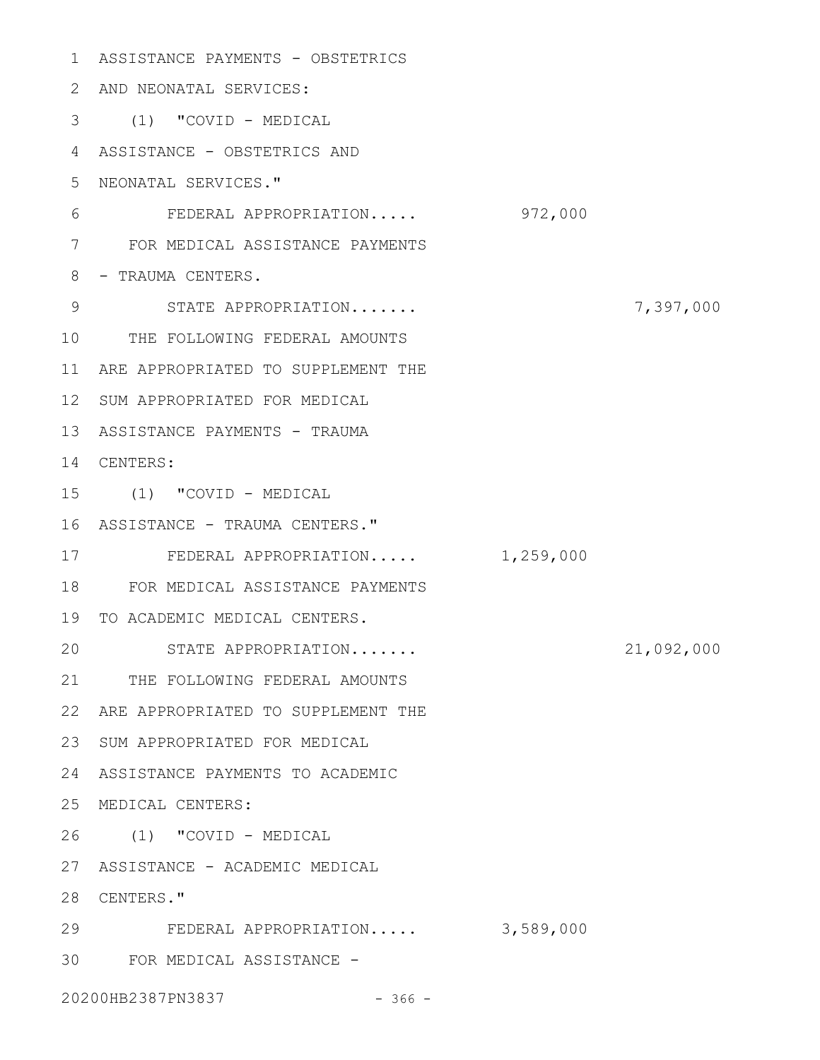ASSISTANCE PAYMENTS - OBSTETRICS 1 AND NEONATAL SERVICES: 2 (1) "COVID - MEDICAL 3 ASSISTANCE - OBSTETRICS AND 4 NEONATAL SERVICES." 5 FEDERAL APPROPRIATION..... 972,000 FOR MEDICAL ASSISTANCE PAYMENTS 7 8 - TRAUMA CENTERS. STATE APPROPRIATION....... 7,397,000 10 THE FOLLOWING FEDERAL AMOUNTS 11 ARE APPROPRIATED TO SUPPLEMENT THE 12 SUM APPROPRIATED FOR MEDICAL 13 ASSISTANCE PAYMENTS - TRAUMA 14 CENTERS: (1) "COVID - MEDICAL 15 16 ASSISTANCE - TRAUMA CENTERS." 17 FEDERAL APPROPRIATION..... 1,259,000 FOR MEDICAL ASSISTANCE PAYMENTS 18 19 TO ACADEMIC MEDICAL CENTERS. STATE APPROPRIATION....... 21,092,000 21 THE FOLLOWING FEDERAL AMOUNTS 22 ARE APPROPRIATED TO SUPPLEMENT THE 23 SUM APPROPRIATED FOR MEDICAL ASSISTANCE PAYMENTS TO ACADEMIC 24 MEDICAL CENTERS: 25 (1) "COVID - MEDICAL 26 ASSISTANCE - ACADEMIC MEDICAL 27 28 CENTERS." FEDERAL APPROPRIATION..... 3,589,000 29 FOR MEDICAL ASSISTANCE - 3020200HB2387PN3837 - 366 -6 9 20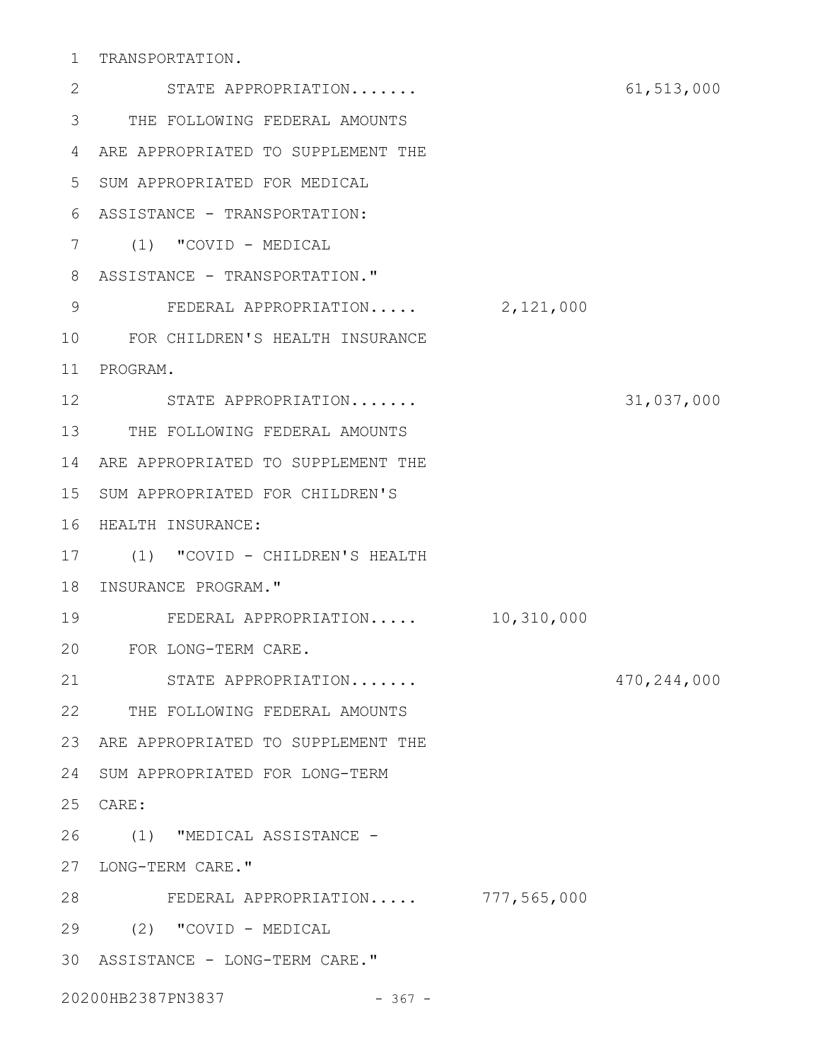1 TRANSPORTATION.

STATE APPROPRIATION....... 61,513,000 THE FOLLOWING FEDERAL AMOUNTS 3 4 ARE APPROPRIATED TO SUPPLEMENT THE SUM APPROPRIATED FOR MEDICAL 5 ASSISTANCE - TRANSPORTATION: 6 (1) "COVID - MEDICAL 7 8 ASSISTANCE - TRANSPORTATION." 9 FEDERAL APPROPRIATION..... 2,121,000 FOR CHILDREN'S HEALTH INSURANCE 10 11 PROGRAM. STATE APPROPRIATION....... 31,037,000 12 13 THE FOLLOWING FEDERAL AMOUNTS 14 ARE APPROPRIATED TO SUPPLEMENT THE 15 SUM APPROPRIATED FOR CHILDREN'S 16 HEALTH INSURANCE: (1) "COVID - CHILDREN'S HEALTH 17 18 INSURANCE PROGRAM." FEDERAL APPROPRIATION..... 10,310,000 FOR LONG-TERM CARE. 20 STATE APPROPRIATION....... 470,244,000 THE FOLLOWING FEDERAL AMOUNTS 22 23 ARE APPROPRIATED TO SUPPLEMENT THE 24 SUM APPROPRIATED FOR LONG-TERM CARE: 25 (1) "MEDICAL ASSISTANCE - 26 27 LONG-TERM CARE." FEDERAL APPROPRIATION..... 777,565,000 28 (2) "COVID - MEDICAL 29 ASSISTANCE - LONG-TERM CARE." 302 19 21

20200HB2387PN3837 - 367 -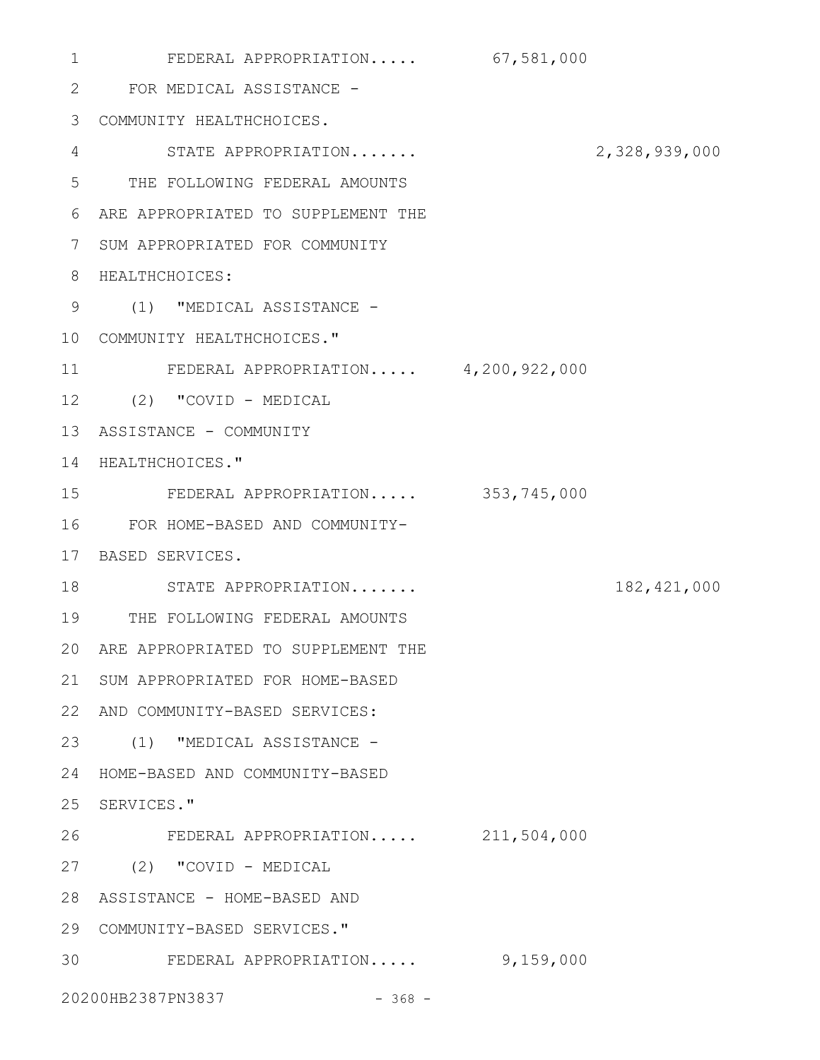FEDERAL APPROPRIATION..... 67,581,000 FOR MEDICAL ASSISTANCE - 2 COMMUNITY HEALTHCHOICES. 3 STATE APPROPRIATION....... 2,328,939,000 THE FOLLOWING FEDERAL AMOUNTS 5 ARE APPROPRIATED TO SUPPLEMENT THE 6 7 SUM APPROPRIATED FOR COMMUNITY 8 HEALTHCHOICES: (1) "MEDICAL ASSISTANCE - 9 COMMUNITY HEALTHCHOICES." 10 FEDERAL APPROPRIATION..... 4,200,922,000 (2) "COVID - MEDICAL 12 13 ASSISTANCE - COMMUNITY 14 HEALTHCHOICES." FEDERAL APPROPRIATION..... 353,745,000 FOR HOME-BASED AND COMMUNITY-16 17 BASED SERVICES. 18 STATE APPROPRIATION....... 182,421,000 THE FOLLOWING FEDERAL AMOUNTS 19 ARE APPROPRIATED TO SUPPLEMENT THE 20 21 SUM APPROPRIATED FOR HOME-BASED AND COMMUNITY-BASED SERVICES: 22 (1) "MEDICAL ASSISTANCE - 23 HOME-BASED AND COMMUNITY-BASED 24 25 SERVICES." FEDERAL APPROPRIATION..... 211,504,000 (2) "COVID - MEDICAL 27 28 ASSISTANCE - HOME-BASED AND COMMUNITY-BASED SERVICES." 29 30 FEDERAL APPROPRIATION..... 9,159,000 20200HB2387PN3837 - 368 -1 4 11 15 26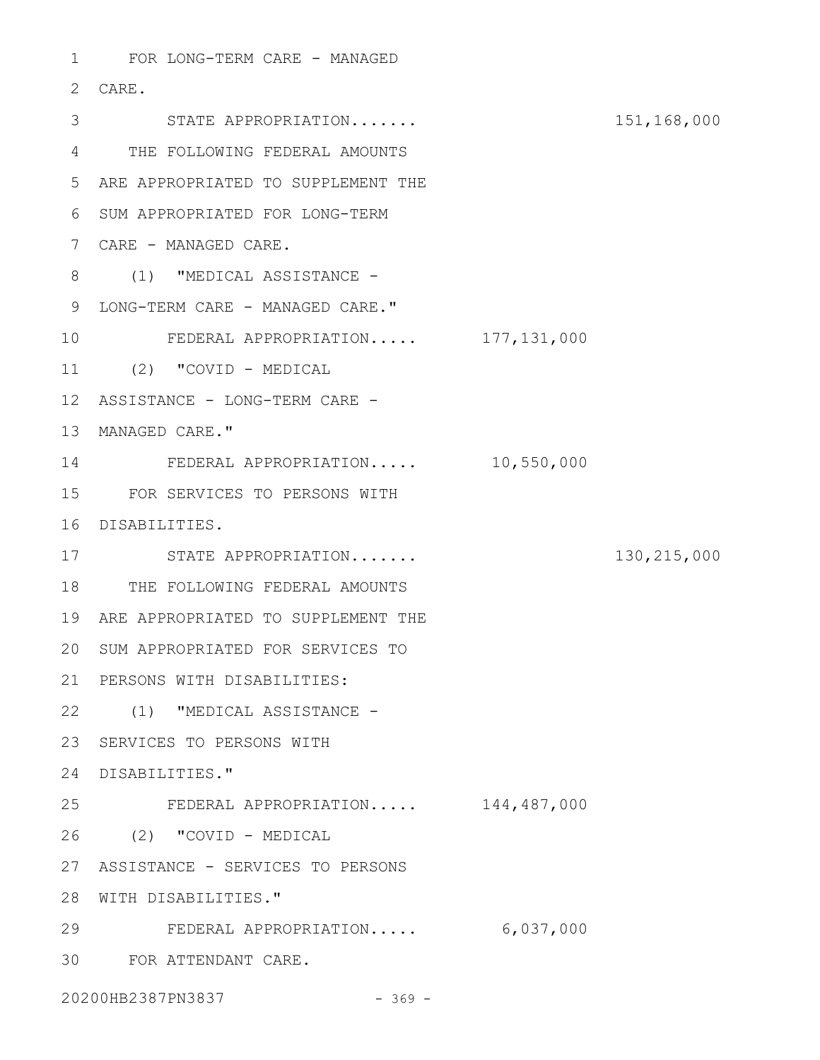1 FOR LONG-TERM CARE - MANAGED CARE. 2 STATE APPROPRIATION....... 151,168,000 3 THE FOLLOWING FEDERAL AMOUNTS 4 ARE APPROPRIATED TO SUPPLEMENT THE 5 6 SUM APPROPRIATED FOR LONG-TERM CARE - MANAGED CARE. 7 8 (1) "MEDICAL ASSISTANCE -9 LONG-TERM CARE - MANAGED CARE." FEDERAL APPROPRIATION..... 177,131,000 (2) "COVID - MEDICAL 11 12 ASSISTANCE - LONG-TERM CARE -13 MANAGED CARE." FEDERAL APPROPRIATION..... 10,550,000 14 FOR SERVICES TO PERSONS WITH 15 16 DISABILITIES. STATE APPROPRIATION....... 130,215,000 17 18 THE FOLLOWING FEDERAL AMOUNTS 19 ARE APPROPRIATED TO SUPPLEMENT THE 20 SUM APPROPRIATED FOR SERVICES TO PERSONS WITH DISABILITIES: 21 (1) "MEDICAL ASSISTANCE - 22 23 SERVICES TO PERSONS WITH 24 DISABILITIES." FEDERAL APPROPRIATION..... 144,487,000 (2) "COVID - MEDICAL 26 ASSISTANCE - SERVICES TO PERSONS 27 28 WITH DISABILITIES." FEDERAL APPROPRIATION..... 6,037,000 FOR ATTENDANT CARE. 3010 25 29

20200HB2387PN3837 - 369 -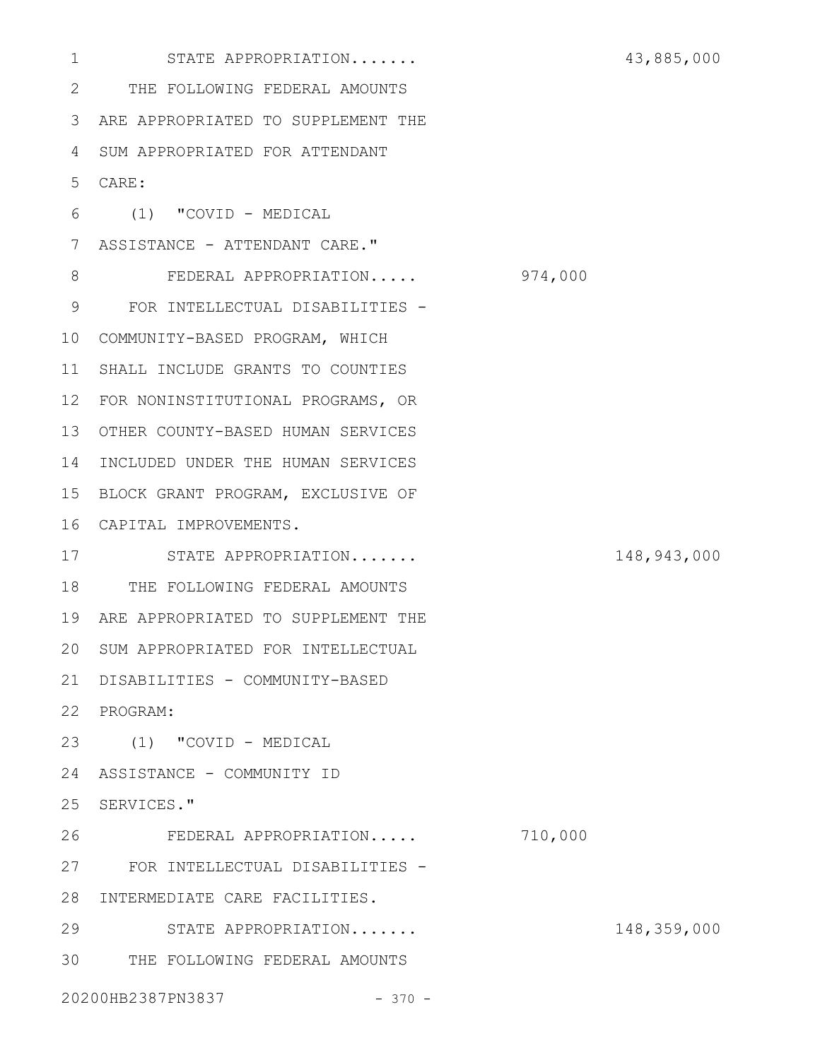STATE APPROPRIATION....... 43,885,000 THE FOLLOWING FEDERAL AMOUNTS 2 ARE APPROPRIATED TO SUPPLEMENT THE 3 SUM APPROPRIATED FOR ATTENDANT 4 CARE: 5 (1) "COVID - MEDICAL 6 7 ASSISTANCE - ATTENDANT CARE." FEDERAL APPROPRIATION..... 974,000 FOR INTELLECTUAL DISABILITIES - 9 COMMUNITY-BASED PROGRAM, WHICH 10 11 SHALL INCLUDE GRANTS TO COUNTIES 12 FOR NONINSTITUTIONAL PROGRAMS, OR OTHER COUNTY-BASED HUMAN SERVICES 13 14 INCLUDED UNDER THE HUMAN SERVICES 15 BLOCK GRANT PROGRAM, EXCLUSIVE OF CAPITAL IMPROVEMENTS. 16 STATE APPROPRIATION....... 148,943,000 17 18 THE FOLLOWING FEDERAL AMOUNTS 19 ARE APPROPRIATED TO SUPPLEMENT THE 20 SUM APPROPRIATED FOR INTELLECTUAL DISABILITIES - COMMUNITY-BASED 21 22 PROGRAM: (1) "COVID - MEDICAL 23 24 ASSISTANCE - COMMUNITY ID 25 SERVICES." FEDERAL APPROPRIATION..... 710,000 FOR INTELLECTUAL DISABILITIES - 27 28 INTERMEDIATE CARE FACILITIES. STATE APPROPRIATION....... 148,359,000 THE FOLLOWING FEDERAL AMOUNTS 3020200HB2387PN3837 - 370 -1 8 26 29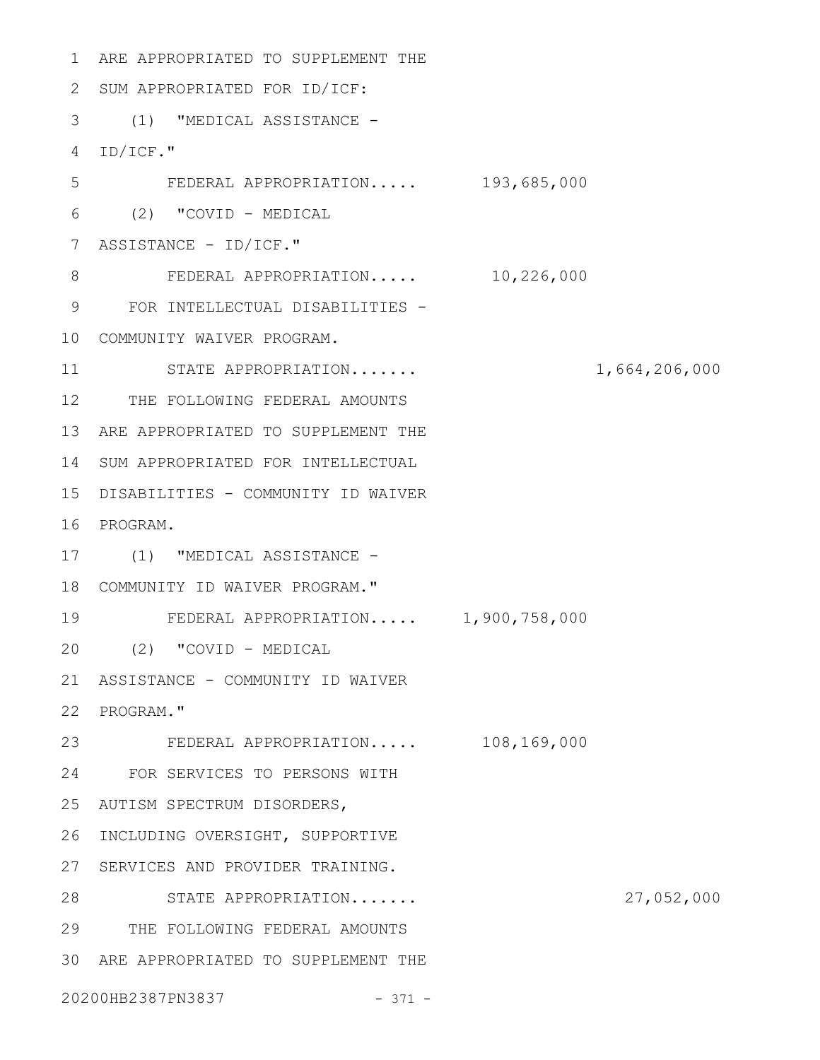1 ARE APPROPRIATED TO SUPPLEMENT THE 2 SUM APPROPRIATED FOR ID/ICF: (1) "MEDICAL ASSISTANCE - 3 ID/ICF." 4 FEDERAL APPROPRIATION..... 193,685,000 (2) "COVID - MEDICAL 6 7 ASSISTANCE - ID/ICF." FEDERAL APPROPRIATION..... 10,226,000 FOR INTELLECTUAL DISABILITIES - 9 COMMUNITY WAIVER PROGRAM. 10 STATE APPROPRIATION....... 1,664,206,000 12 THE FOLLOWING FEDERAL AMOUNTS 13 ARE APPROPRIATED TO SUPPLEMENT THE 14 SUM APPROPRIATED FOR INTELLECTUAL 15 DISABILITIES - COMMUNITY ID WAIVER 16 PROGRAM. 17 (1) "MEDICAL ASSISTANCE -COMMUNITY ID WAIVER PROGRAM." 18 FEDERAL APPROPRIATION..... 1,900,758,000 (2) "COVID - MEDICAL 20 21 ASSISTANCE - COMMUNITY ID WAIVER 22 PROGRAM." FEDERAL APPROPRIATION..... 108,169,000 23 FOR SERVICES TO PERSONS WITH 24 AUTISM SPECTRUM DISORDERS, 25 26 INCLUDING OVERSIGHT, SUPPORTIVE 27 SERVICES AND PROVIDER TRAINING. STATE APPROPRIATION....... 27,052,000 28 THE FOLLOWING FEDERAL AMOUNTS 29 ARE APPROPRIATED TO SUPPLEMENT THE 305 8 11 19

20200HB2387PN3837 - 371 -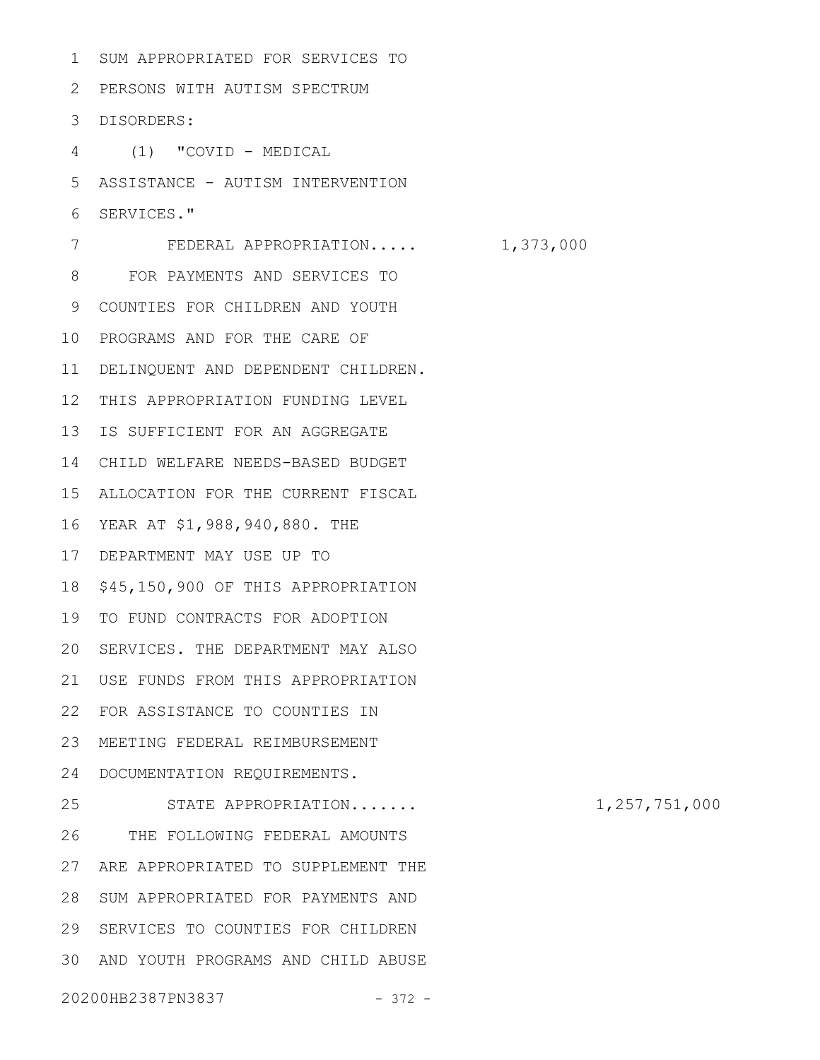SUM APPROPRIATED FOR SERVICES TO PERSONS WITH AUTISM SPECTRUM 2 DISORDERS: 3 (1) "COVID - MEDICAL ASSISTANCE - AUTISM INTERVENTION SERVICES." FEDERAL APPROPRIATION..... 1,373,000 FOR PAYMENTS AND SERVICES TO COUNTIES FOR CHILDREN AND YOUTH 9 10 PROGRAMS AND FOR THE CARE OF 11 DELINQUENT AND DEPENDENT CHILDREN. 12 THIS APPROPRIATION FUNDING LEVEL 13 IS SUFFICIENT FOR AN AGGREGATE CHILD WELFARE NEEDS-BASED BUDGET 14 ALLOCATION FOR THE CURRENT FISCAL 15 YEAR AT \$1,988,940,880. THE 16 DEPARTMENT MAY USE UP TO 17 18 \$45,150,900 OF THIS APPROPRIATION 19 TO FUND CONTRACTS FOR ADOPTION 20 SERVICES. THE DEPARTMENT MAY ALSO USE FUNDS FROM THIS APPROPRIATION 21 FOR ASSISTANCE TO COUNTIES IN 22 MEETING FEDERAL REIMBURSEMENT 23 24 DOCUMENTATION REQUIREMENTS. STATE APPROPRIATION....... 1,257,751,000 THE FOLLOWING FEDERAL AMOUNTS 27 ARE APPROPRIATED TO SUPPLEMENT THE 28 SUM APPROPRIATED FOR PAYMENTS AND 29 SERVICES TO COUNTIES FOR CHILDREN AND YOUTH PROGRAMS AND CHILD ABUSE 301 4 5 6 7 8 25 26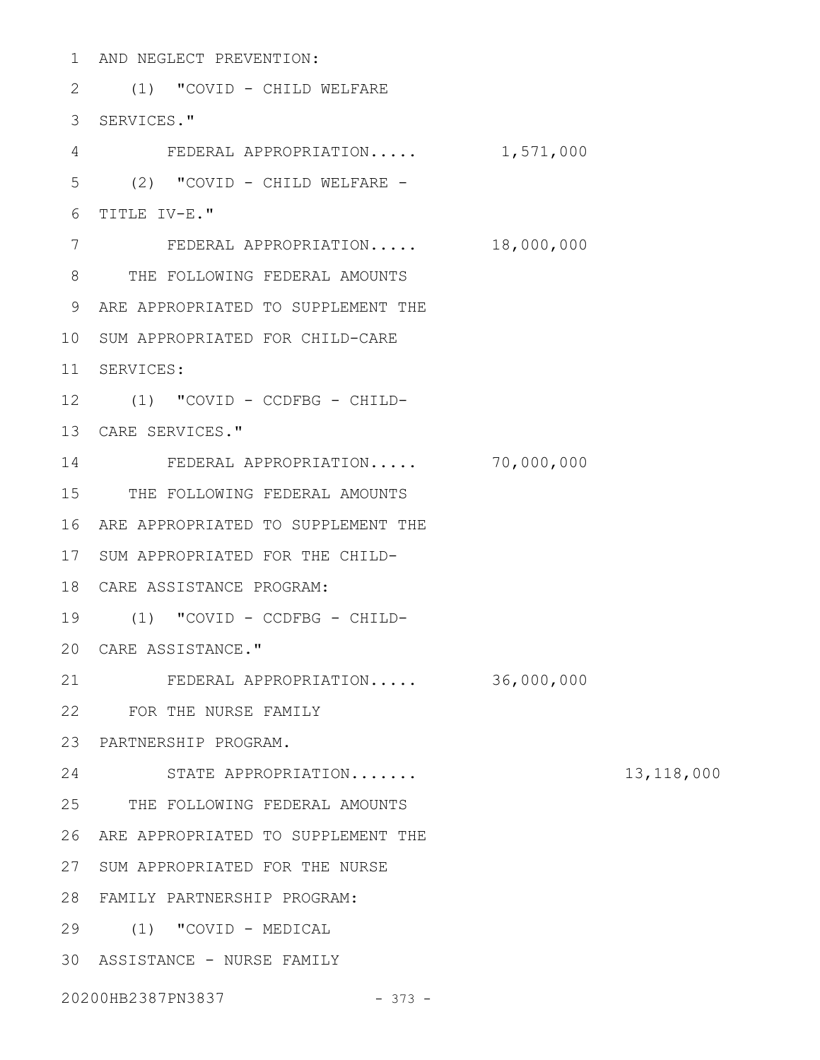1 AND NEGLECT PREVENTION: 2 (1) "COVID - CHILD WELFARE 3 SERVICES." FEDERAL APPROPRIATION..... 1,571,000 (2) "COVID - CHILD WELFARE - TITLE IV-E." 6 FEDERAL APPROPRIATION..... 18,000,000 THE FOLLOWING FEDERAL AMOUNTS 8 9 ARE APPROPRIATED TO SUPPLEMENT THE 10 SUM APPROPRIATED FOR CHILD-CARE SERVICES: 11 (1) "COVID - CCDFBG - CHILD-12 13 CARE SERVICES." FEDERAL APPROPRIATION..... 70,000,000 14 15 THE FOLLOWING FEDERAL AMOUNTS 16 ARE APPROPRIATED TO SUPPLEMENT THE 17 SUM APPROPRIATED FOR THE CHILD-CARE ASSISTANCE PROGRAM: 18 (1) "COVID - CCDFBG - CHILD-19 CARE ASSISTANCE." 20 FEDERAL APPROPRIATION..... 36,000,000 FOR THE NURSE FAMILY 22 PARTNERSHIP PROGRAM. 23 STATE APPROPRIATION....... 13,118,000 24 25 THE FOLLOWING FEDERAL AMOUNTS 26 ARE APPROPRIATED TO SUPPLEMENT THE 27 SUM APPROPRIATED FOR THE NURSE FAMILY PARTNERSHIP PROGRAM: 28 (1) "COVID - MEDICAL 29 30 ASSISTANCE - NURSE FAMILY 4 5 7 21

20200HB2387PN3837 - 373 -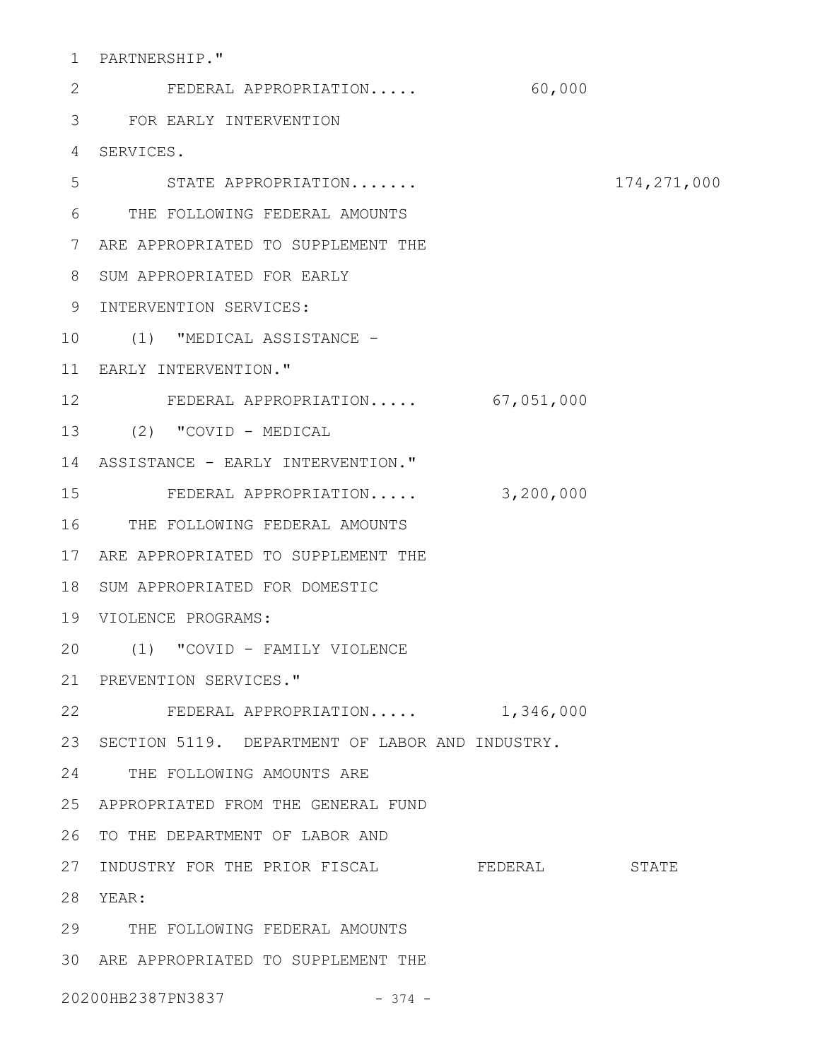PARTNERSHIP." 1

FEDERAL APPROPRIATION..... 60,000 FOR EARLY INTERVENTION 3 SERVICES. 4 STATE APPROPRIATION....... 174,271,000 THE FOLLOWING FEDERAL AMOUNTS 6 7 ARE APPROPRIATED TO SUPPLEMENT THE 8 SUM APPROPRIATED FOR EARLY 9 INTERVENTION SERVICES: 10 (1) "MEDICAL ASSISTANCE -EARLY INTERVENTION." 11 FEDERAL APPROPRIATION..... 67,051,000 12 (2) "COVID - MEDICAL 13 14 ASSISTANCE - EARLY INTERVENTION." FEDERAL APPROPRIATION..... 3,200,000 15 16 THE FOLLOWING FEDERAL AMOUNTS 17 ARE APPROPRIATED TO SUPPLEMENT THE 18 SUM APPROPRIATED FOR DOMESTIC VIOLENCE PROGRAMS: 19 (1) "COVID - FAMILY VIOLENCE 20 21 PREVENTION SERVICES." 22 FEDERAL APPROPRIATION..... 1,346,000 23 SECTION 5119. DEPARTMENT OF LABOR AND INDUSTRY. 24 THE FOLLOWING AMOUNTS ARE APPROPRIATED FROM THE GENERAL FUND 25 26 TO THE DEPARTMENT OF LABOR AND INDUSTRY FOR THE PRIOR FISCAL FEDERAL STATE 27 YEAR: 28 THE FOLLOWING FEDERAL AMOUNTS 29 ARE APPROPRIATED TO SUPPLEMENT THE 302 5

20200HB2387PN3837 - 374 -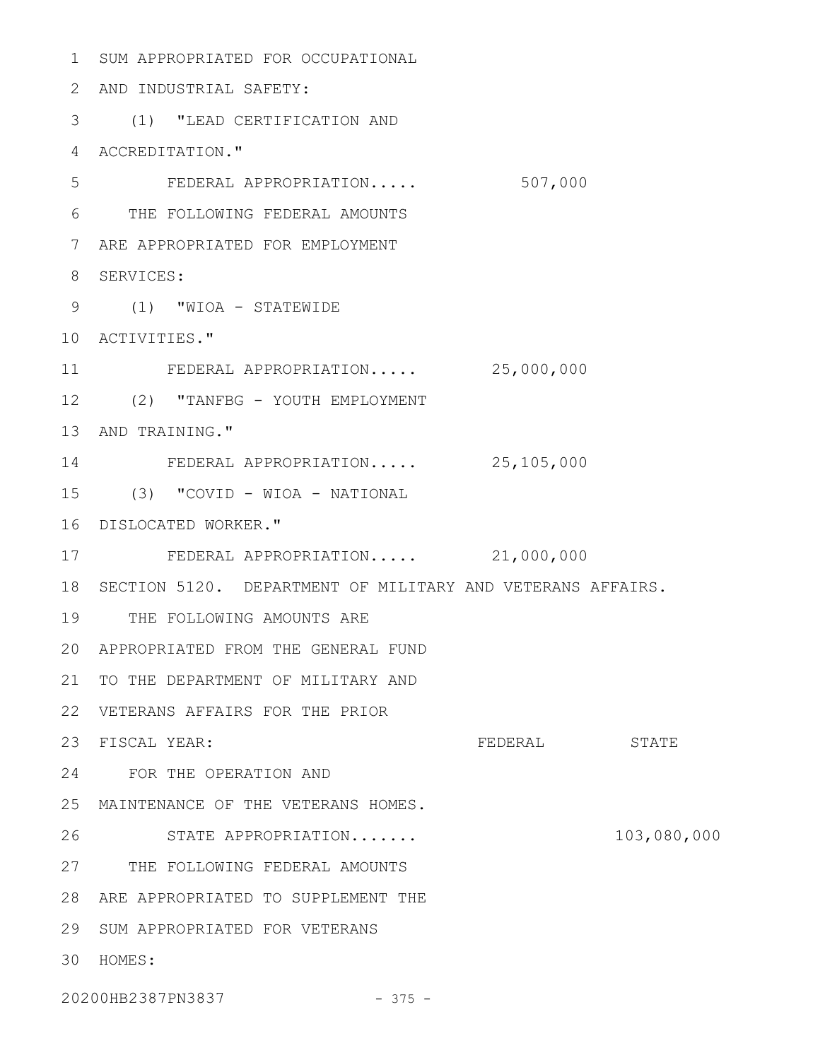1 SUM APPROPRIATED FOR OCCUPATIONAL AND INDUSTRIAL SAFETY: 2 (1) "LEAD CERTIFICATION AND 3 4 ACCREDITATION." FEDERAL APPROPRIATION..... 507,000 THE FOLLOWING FEDERAL AMOUNTS 6 ARE APPROPRIATED FOR EMPLOYMENT 7 8 SERVICES: (1) "WIOA - STATEWIDE 9 10 ACTIVITIES." FEDERAL APPROPRIATION..... 25,000,000 (2) "TANFBG - YOUTH EMPLOYMENT 12 13 AND TRAINING." FEDERAL APPROPRIATION..... 25,105,000 14 (3) "COVID - WIOA - NATIONAL 15 DISLOCATED WORKER." 16 FEDERAL APPROPRIATION..... 21,000,000 18 SECTION 5120. DEPARTMENT OF MILITARY AND VETERANS AFFAIRS. 19 THE FOLLOWING AMOUNTS ARE APPROPRIATED FROM THE GENERAL FUND 20 21 TO THE DEPARTMENT OF MILITARY AND VETERANS AFFAIRS FOR THE PRIOR 22 FEDERAL STATE FOR THE OPERATION AND 24 MAINTENANCE OF THE VETERANS HOMES. 25 STATE APPROPRIATION....... 103,080,000 27 THE FOLLOWING FEDERAL AMOUNTS ARE APPROPRIATED TO SUPPLEMENT THE 28 29 SUM APPROPRIATED FOR VETERANS HOMES: 305 11 17 23 FISCAL YEAR: 26

20200HB2387PN3837 - 375 -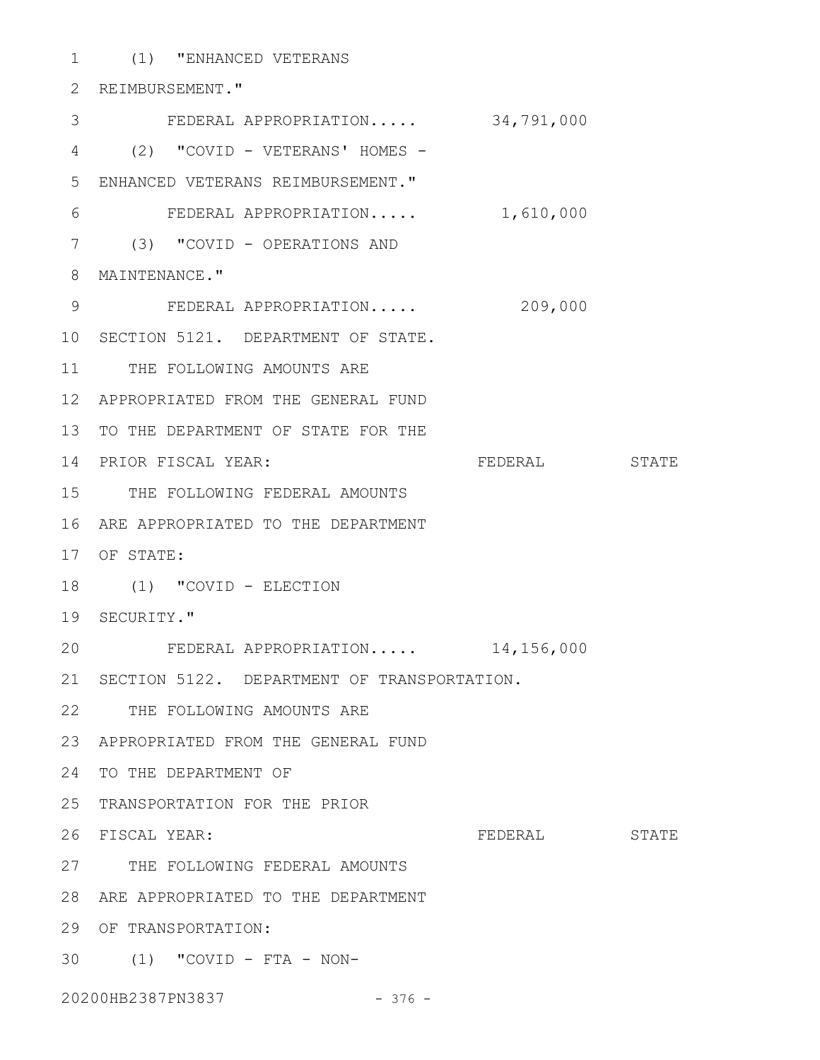(1) "ENHANCED VETERANS 1 2 REIMBURSEMENT." FEDERAL APPROPRIATION..... 34,791,000 (2) "COVID - VETERANS' HOMES - 4 ENHANCED VETERANS REIMBURSEMENT." 5 FEDERAL APPROPRIATION..... 1,610,000 (3) "COVID - OPERATIONS AND 7 8 MAINTENANCE." FEDERAL APPROPRIATION..... 209,000 10 SECTION 5121. DEPARTMENT OF STATE. 11 THE FOLLOWING AMOUNTS ARE APPROPRIATED FROM THE GENERAL FUND 12 3 6 9

13 TO THE DEPARTMENT OF STATE FOR THE

14 PRIOR FISCAL YEAR:

15 THE FOLLOWING FEDERAL AMOUNTS

16 ARE APPROPRIATED TO THE DEPARTMENT

17 OF STATE:

18 (1) "COVID - ELECTION

19 SECURITY."

FEDERAL APPROPRIATION..... 14,156,000 20

21 SECTION 5122. DEPARTMENT OF TRANSPORTATION.

22 THE FOLLOWING AMOUNTS ARE

APPROPRIATED FROM THE GENERAL FUND 23

24 TO THE DEPARTMENT OF

25 TRANSPORTATION FOR THE PRIOR

26 FISCAL YEAR:

FEDERAL STATE

PRIOR FISCAL YEAR: FEDERAL STATE

27 THE FOLLOWING FEDERAL AMOUNTS

ARE APPROPRIATED TO THE DEPARTMENT 28

29 OF TRANSPORTATION:

(1) "COVID - FTA - NON-30

20200HB2387PN3837 - 376 -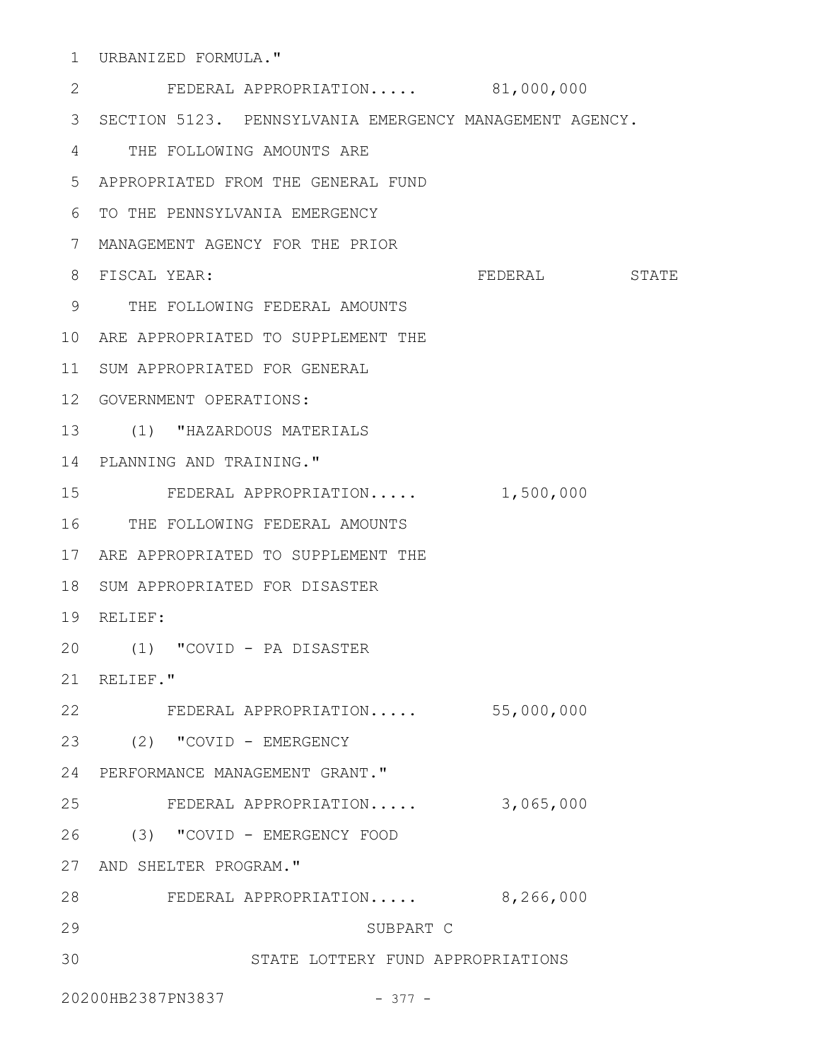URBANIZED FORMULA." 1

FEDERAL APPROPRIATION..... 81,000,000 SECTION 5123. PENNSYLVANIA EMERGENCY MANAGEMENT AGENCY. 3 THE FOLLOWING AMOUNTS ARE 4 APPROPRIATED FROM THE GENERAL FUND 5 TO THE PENNSYLVANIA EMERGENCY 6 MANAGEMENT AGENCY FOR THE PRIOR 7 FEDERAL STATE THE FOLLOWING FEDERAL AMOUNTS 9 10 ARE APPROPRIATED TO SUPPLEMENT THE 11 SUM APPROPRIATED FOR GENERAL 12 GOVERNMENT OPERATIONS: (1) "HAZARDOUS MATERIALS 13 14 PLANNING AND TRAINING." FEDERAL APPROPRIATION..... 1,500,000 16 THE FOLLOWING FEDERAL AMOUNTS 17 ARE APPROPRIATED TO SUPPLEMENT THE 18 SUM APPROPRIATED FOR DISASTER 19 RELIEF: (1) "COVID - PA DISASTER 20 RELIEF." 21 FEDERAL APPROPRIATION..... 55,000,000 22 (2) "COVID - EMERGENCY 23 PERFORMANCE MANAGEMENT GRANT." 24 FEDERAL APPROPRIATION..... 3,065,000 (3) "COVID - EMERGENCY FOOD 26 27 AND SHELTER PROGRAM." FEDERAL APPROPRIATION..... 8,266,000 28 SUBPART C STATE LOTTERY FUND APPROPRIATIONS 2 8 FISCAL YEAR: 15 25 29 30

20200HB2387PN3837 - 377 -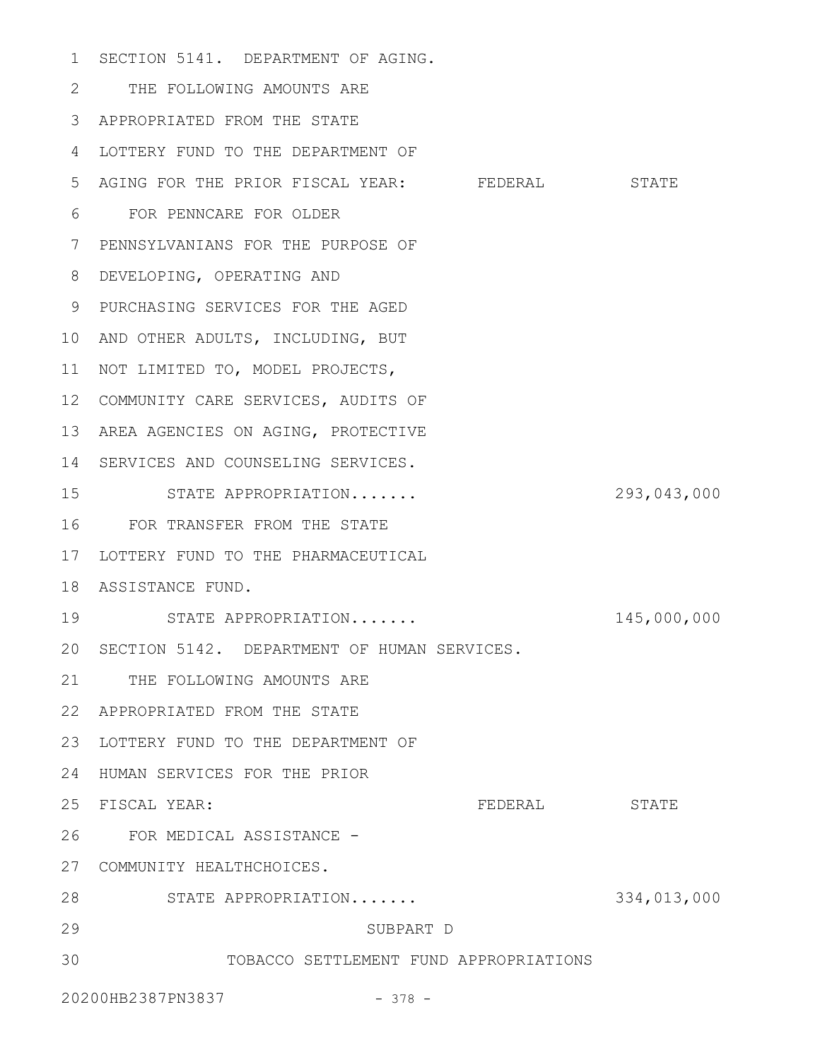1 SECTION 5141. DEPARTMENT OF AGING. THE FOLLOWING AMOUNTS ARE 2 APPROPRIATED FROM THE STATE 3 4 LOTTERY FUND TO THE DEPARTMENT OF 5 AGING FOR THE PRIOR FISCAL YEAR: FEDERAL STATE FOR PENNCARE FOR OLDER 6 7 PENNSYLVANIANS FOR THE PURPOSE OF DEVELOPING, OPERATING AND 8 PURCHASING SERVICES FOR THE AGED 9 10 AND OTHER ADULTS, INCLUDING, BUT 11 NOT LIMITED TO, MODEL PROJECTS, 12 COMMUNITY CARE SERVICES, AUDITS OF 13 AREA AGENCIES ON AGING, PROTECTIVE 14 SERVICES AND COUNSELING SERVICES. STATE APPROPRIATION....... 293,043,000 FOR TRANSFER FROM THE STATE 16 17 LOTTERY FUND TO THE PHARMACEUTICAL 18 ASSISTANCE FUND. STATE APPROPRIATION....... 145,000,000 20 SECTION 5142. DEPARTMENT OF HUMAN SERVICES. 21 THE FOLLOWING AMOUNTS ARE APPROPRIATED FROM THE STATE 22 23 LOTTERY FUND TO THE DEPARTMENT OF 24 HUMAN SERVICES FOR THE PRIOR FEDERAL STATE FOR MEDICAL ASSISTANCE - 26 27 COMMUNITY HEALTHCHOICES. STATE APPROPRIATION....... 334,013,000 28 SUBPART D TOBACCO SETTLEMENT FUND APPROPRIATIONS 15 19 25 FISCAL YEAR: 29 30

20200HB2387PN3837 - 378 -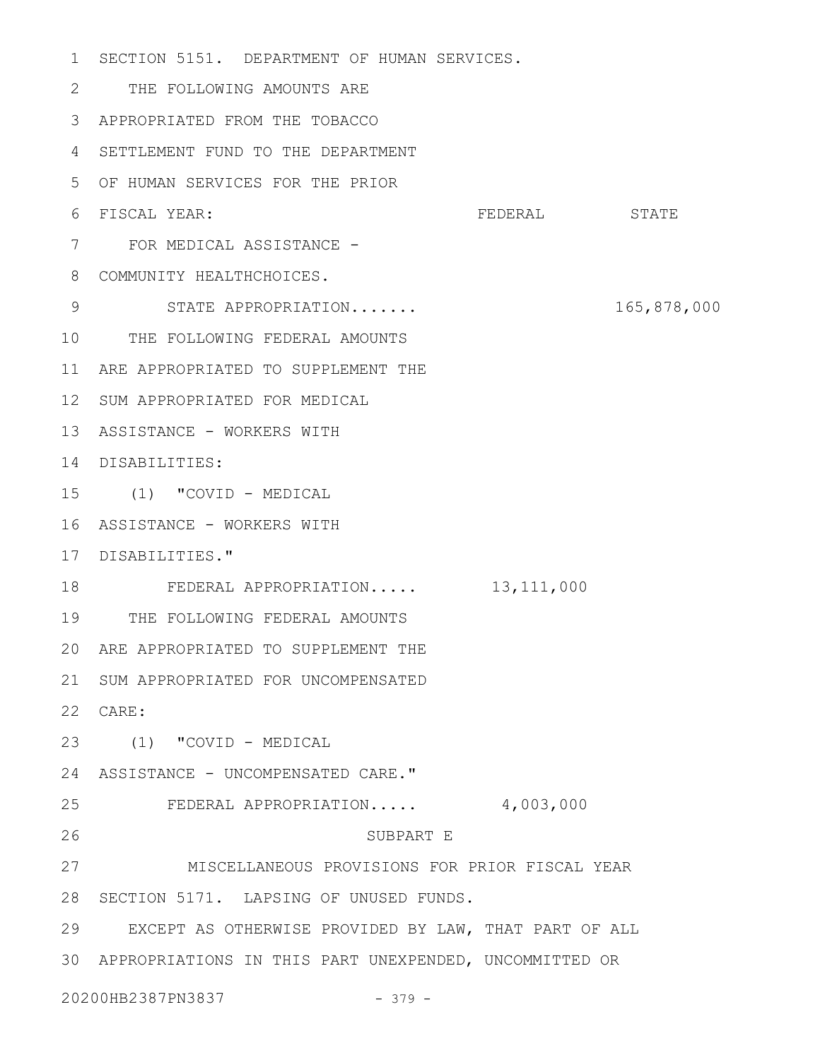SECTION 5151. DEPARTMENT OF HUMAN SERVICES. 1 THE FOLLOWING AMOUNTS ARE 2 APPROPRIATED FROM THE TOBACCO 3 SETTLEMENT FUND TO THE DEPARTMENT 4 OF HUMAN SERVICES FOR THE PRIOR 5 FEDERAL STATE 7 FOR MEDICAL ASSISTANCE -8 COMMUNITY HEALTHCHOICES. STATE APPROPRIATION....... 165,878,000 10 THE FOLLOWING FEDERAL AMOUNTS 11 ARE APPROPRIATED TO SUPPLEMENT THE 12 SUM APPROPRIATED FOR MEDICAL 13 ASSISTANCE - WORKERS WITH DISABILITIES: 14 (1) "COVID - MEDICAL 15 16 ASSISTANCE - WORKERS WITH 17 DISABILITIES." FEDERAL APPROPRIATION..... 13,111,000 THE FOLLOWING FEDERAL AMOUNTS 19 ARE APPROPRIATED TO SUPPLEMENT THE 20 21 SUM APPROPRIATED FOR UNCOMPENSATED CARE: 22 (1) "COVID - MEDICAL 23 24 ASSISTANCE - UNCOMPENSATED CARE." FEDERAL APPROPRIATION..... 4,003,000 SUBPART E MISCELLANEOUS PROVISIONS FOR PRIOR FISCAL YEAR 28 SECTION 5171. LAPSING OF UNUSED FUNDS. EXCEPT AS OTHERWISE PROVIDED BY LAW, THAT PART OF ALL 29 APPROPRIATIONS IN THIS PART UNEXPENDED, UNCOMMITTED OR 3020200HB2387PN3837 - 379 - 6 FISCAL YEAR: 9 18 25 26 27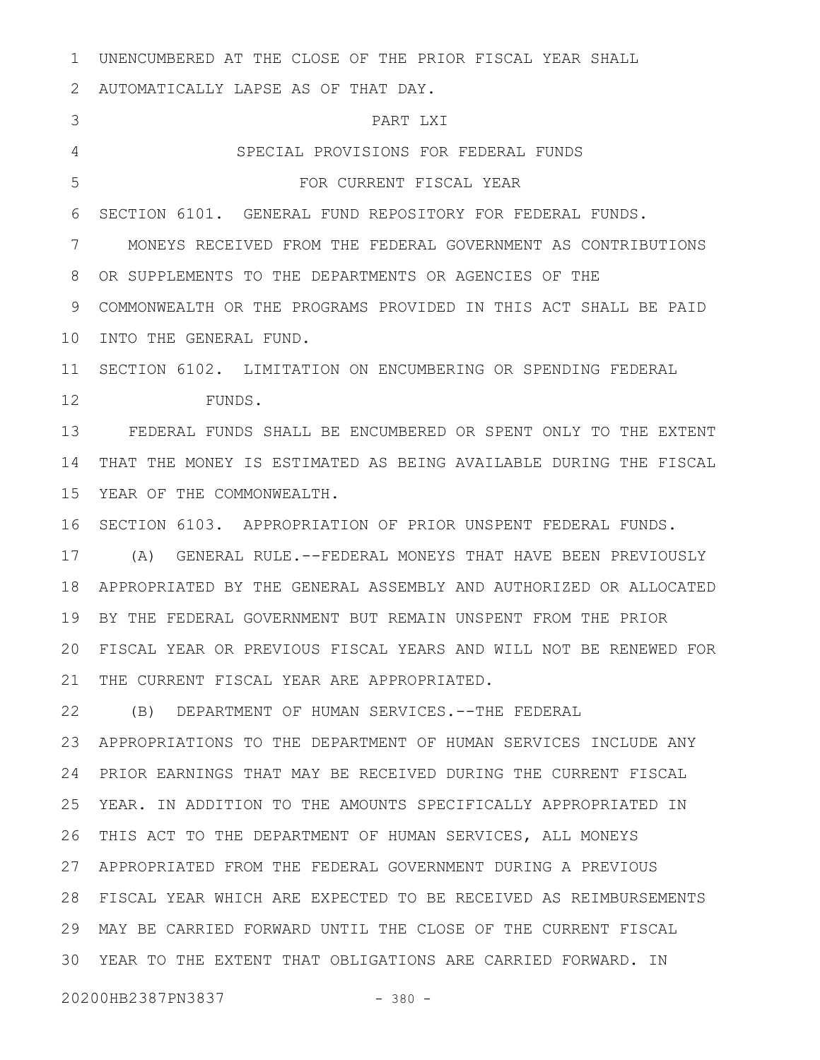UNENCUMBERED AT THE CLOSE OF THE PRIOR FISCAL YEAR SHALL AUTOMATICALLY LAPSE AS OF THAT DAY. PART LXI SPECIAL PROVISIONS FOR FEDERAL FUNDS FOR CURRENT FISCAL YEAR SECTION 6101. GENERAL FUND REPOSITORY FOR FEDERAL FUNDS. MONEYS RECEIVED FROM THE FEDERAL GOVERNMENT AS CONTRIBUTIONS OR SUPPLEMENTS TO THE DEPARTMENTS OR AGENCIES OF THE COMMONWEALTH OR THE PROGRAMS PROVIDED IN THIS ACT SHALL BE PAID 10 INTO THE GENERAL FUND. 11 SECTION 6102. LIMITATION ON ENCUMBERING OR SPENDING FEDERAL FUNDS. FEDERAL FUNDS SHALL BE ENCUMBERED OR SPENT ONLY TO THE EXTENT THAT THE MONEY IS ESTIMATED AS BEING AVAILABLE DURING THE FISCAL YEAR OF THE COMMONWEALTH. 16 SECTION 6103. APPROPRIATION OF PRIOR UNSPENT FEDERAL FUNDS. (A) GENERAL RULE.--FEDERAL MONEYS THAT HAVE BEEN PREVIOUSLY APPROPRIATED BY THE GENERAL ASSEMBLY AND AUTHORIZED OR ALLOCATED BY THE FEDERAL GOVERNMENT BUT REMAIN UNSPENT FROM THE PRIOR FISCAL YEAR OR PREVIOUS FISCAL YEARS AND WILL NOT BE RENEWED FOR 21 THE CURRENT FISCAL YEAR ARE APPROPRIATED. (B) DEPARTMENT OF HUMAN SERVICES.--THE FEDERAL APPROPRIATIONS TO THE DEPARTMENT OF HUMAN SERVICES INCLUDE ANY PRIOR EARNINGS THAT MAY BE RECEIVED DURING THE CURRENT FISCAL YEAR. IN ADDITION TO THE AMOUNTS SPECIFICALLY APPROPRIATED IN THIS ACT TO THE DEPARTMENT OF HUMAN SERVICES, ALL MONEYS APPROPRIATED FROM THE FEDERAL GOVERNMENT DURING A PREVIOUS FISCAL YEAR WHICH ARE EXPECTED TO BE RECEIVED AS REIMBURSEMENTS MAY BE CARRIED FORWARD UNTIL THE CLOSE OF THE CURRENT FISCAL YEAR TO THE EXTENT THAT OBLIGATIONS ARE CARRIED FORWARD. IN 20200HB2387PN3837 - 380 -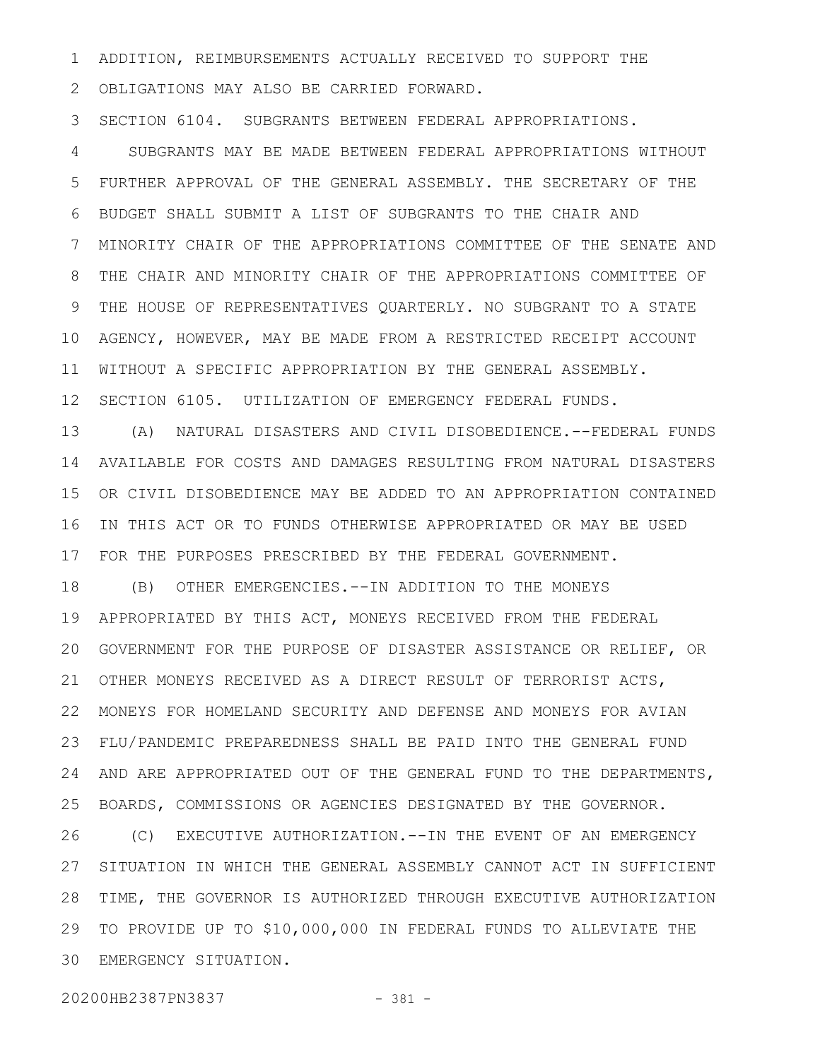ADDITION, REIMBURSEMENTS ACTUALLY RECEIVED TO SUPPORT THE 1

OBLIGATIONS MAY ALSO BE CARRIED FORWARD. 2

SECTION 6104. SUBGRANTS BETWEEN FEDERAL APPROPRIATIONS. 3

SUBGRANTS MAY BE MADE BETWEEN FEDERAL APPROPRIATIONS WITHOUT FURTHER APPROVAL OF THE GENERAL ASSEMBLY. THE SECRETARY OF THE BUDGET SHALL SUBMIT A LIST OF SUBGRANTS TO THE CHAIR AND MINORITY CHAIR OF THE APPROPRIATIONS COMMITTEE OF THE SENATE AND THE CHAIR AND MINORITY CHAIR OF THE APPROPRIATIONS COMMITTEE OF THE HOUSE OF REPRESENTATIVES QUARTERLY. NO SUBGRANT TO A STATE AGENCY, HOWEVER, MAY BE MADE FROM A RESTRICTED RECEIPT ACCOUNT WITHOUT A SPECIFIC APPROPRIATION BY THE GENERAL ASSEMBLY. SECTION 6105. UTILIZATION OF EMERGENCY FEDERAL FUNDS. 4 5 6 7 8 9 10 11 12

(A) NATURAL DISASTERS AND CIVIL DISOBEDIENCE.--FEDERAL FUNDS AVAILABLE FOR COSTS AND DAMAGES RESULTING FROM NATURAL DISASTERS OR CIVIL DISOBEDIENCE MAY BE ADDED TO AN APPROPRIATION CONTAINED IN THIS ACT OR TO FUNDS OTHERWISE APPROPRIATED OR MAY BE USED FOR THE PURPOSES PRESCRIBED BY THE FEDERAL GOVERNMENT. 13 14 15 16 17

(B) OTHER EMERGENCIES.--IN ADDITION TO THE MONEYS APPROPRIATED BY THIS ACT, MONEYS RECEIVED FROM THE FEDERAL GOVERNMENT FOR THE PURPOSE OF DISASTER ASSISTANCE OR RELIEF, OR 20 OTHER MONEYS RECEIVED AS A DIRECT RESULT OF TERRORIST ACTS, 21 MONEYS FOR HOMELAND SECURITY AND DEFENSE AND MONEYS FOR AVIAN 22 FLU/PANDEMIC PREPAREDNESS SHALL BE PAID INTO THE GENERAL FUND AND ARE APPROPRIATED OUT OF THE GENERAL FUND TO THE DEPARTMENTS, BOARDS, COMMISSIONS OR AGENCIES DESIGNATED BY THE GOVERNOR. (C) EXECUTIVE AUTHORIZATION.--IN THE EVENT OF AN EMERGENCY SITUATION IN WHICH THE GENERAL ASSEMBLY CANNOT ACT IN SUFFICIENT TIME, THE GOVERNOR IS AUTHORIZED THROUGH EXECUTIVE AUTHORIZATION 28 TO PROVIDE UP TO \$10,000,000 IN FEDERAL FUNDS TO ALLEVIATE THE EMERGENCY SITUATION. 3018 19 23 24 25 26 27 29

20200HB2387PN3837 - 381 -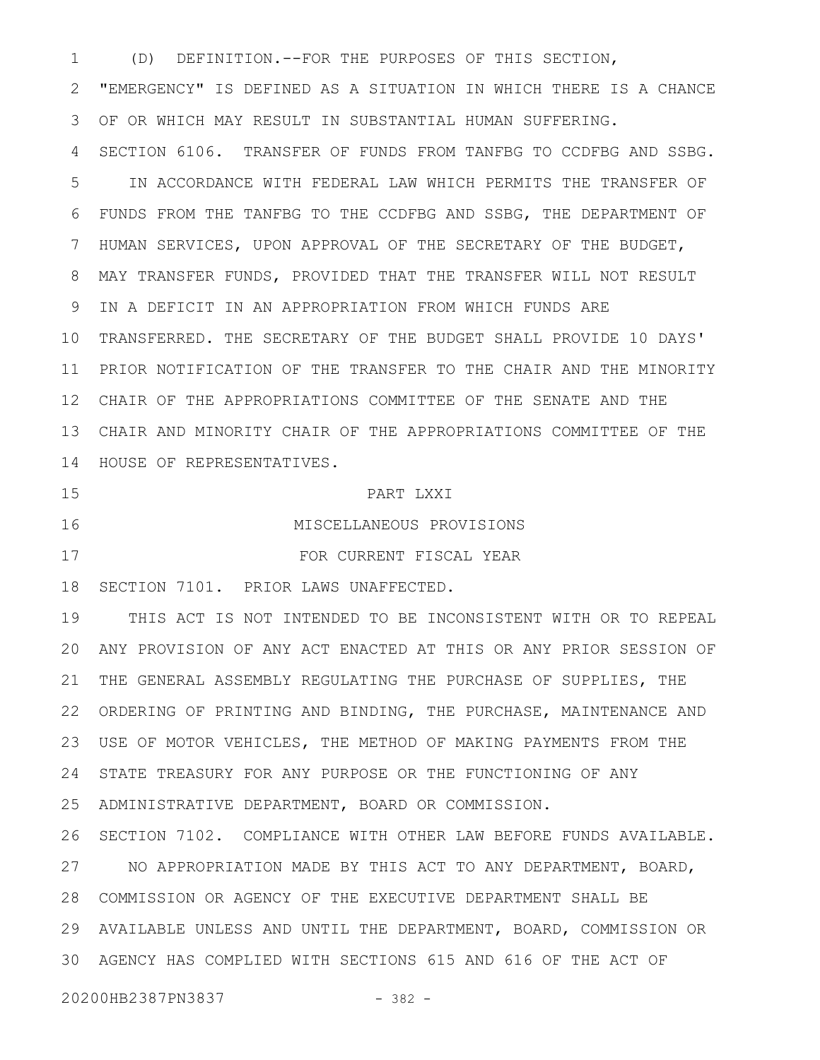(D) DEFINITION.--FOR THE PURPOSES OF THIS SECTION, 1

"EMERGENCY" IS DEFINED AS A SITUATION IN WHICH THERE IS A CHANCE OF OR WHICH MAY RESULT IN SUBSTANTIAL HUMAN SUFFERING. 2 3

SECTION 6106. TRANSFER OF FUNDS FROM TANFBG TO CCDFBG AND SSBG. IN ACCORDANCE WITH FEDERAL LAW WHICH PERMITS THE TRANSFER OF FUNDS FROM THE TANFBG TO THE CCDFBG AND SSBG, THE DEPARTMENT OF HUMAN SERVICES, UPON APPROVAL OF THE SECRETARY OF THE BUDGET, MAY TRANSFER FUNDS, PROVIDED THAT THE TRANSFER WILL NOT RESULT IN A DEFICIT IN AN APPROPRIATION FROM WHICH FUNDS ARE 10 TRANSFERRED. THE SECRETARY OF THE BUDGET SHALL PROVIDE 10 DAYS' 11 PRIOR NOTIFICATION OF THE TRANSFER TO THE CHAIR AND THE MINORITY CHAIR OF THE APPROPRIATIONS COMMITTEE OF THE SENATE AND THE 12 CHAIR AND MINORITY CHAIR OF THE APPROPRIATIONS COMMITTEE OF THE 13 14 HOUSE OF REPRESENTATIVES. 4 5 6 7 8 9

15

16

PART LXXI

FOR CURRENT FISCAL YEAR

MISCELLANEOUS PROVISIONS

17

18 SECTION 7101. PRIOR LAWS UNAFFECTED.

THIS ACT IS NOT INTENDED TO BE INCONSISTENT WITH OR TO REPEAL ANY PROVISION OF ANY ACT ENACTED AT THIS OR ANY PRIOR SESSION OF 20 THE GENERAL ASSEMBLY REGULATING THE PURCHASE OF SUPPLIES, THE 22 ORDERING OF PRINTING AND BINDING, THE PURCHASE, MAINTENANCE AND USE OF MOTOR VEHICLES, THE METHOD OF MAKING PAYMENTS FROM THE 23 24 STATE TREASURY FOR ANY PURPOSE OR THE FUNCTIONING OF ANY ADMINISTRATIVE DEPARTMENT, BOARD OR COMMISSION. 25 19 21

26 SECTION 7102. COMPLIANCE WITH OTHER LAW BEFORE FUNDS AVAILABLE. 27 NO APPROPRIATION MADE BY THIS ACT TO ANY DEPARTMENT, BOARD, COMMISSION OR AGENCY OF THE EXECUTIVE DEPARTMENT SHALL BE 28 AVAILABLE UNLESS AND UNTIL THE DEPARTMENT, BOARD, COMMISSION OR 29 AGENCY HAS COMPLIED WITH SECTIONS 615 AND 616 OF THE ACT OF 30

20200HB2387PN3837 - 382 -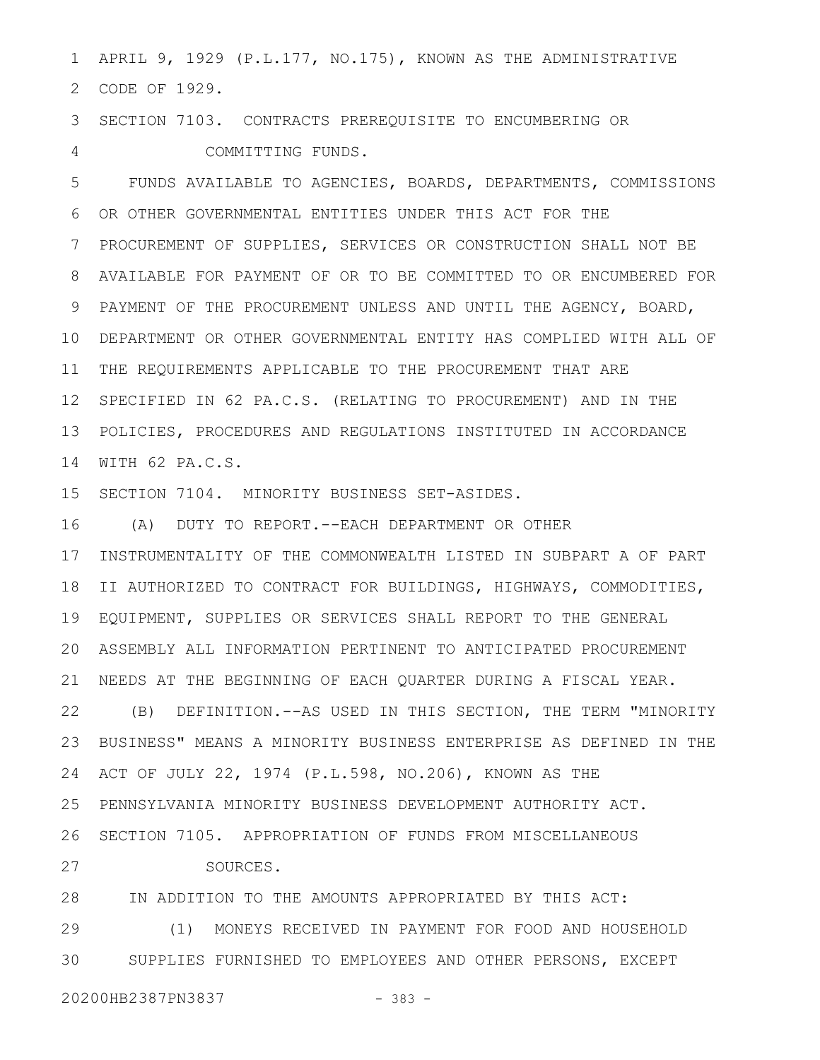APRIL 9, 1929 (P.L.177, NO.175), KNOWN AS THE ADMINISTRATIVE CODE OF 1929. 2 1

SECTION 7103. CONTRACTS PREREQUISITE TO ENCUMBERING OR 3

COMMITTING FUNDS. 4

FUNDS AVAILABLE TO AGENCIES, BOARDS, DEPARTMENTS, COMMISSIONS OR OTHER GOVERNMENTAL ENTITIES UNDER THIS ACT FOR THE PROCUREMENT OF SUPPLIES, SERVICES OR CONSTRUCTION SHALL NOT BE AVAILABLE FOR PAYMENT OF OR TO BE COMMITTED TO OR ENCUMBERED FOR PAYMENT OF THE PROCUREMENT UNLESS AND UNTIL THE AGENCY, BOARD, DEPARTMENT OR OTHER GOVERNMENTAL ENTITY HAS COMPLIED WITH ALL OF 10 11 THE REQUIREMENTS APPLICABLE TO THE PROCUREMENT THAT ARE 12 SPECIFIED IN 62 PA.C.S. (RELATING TO PROCUREMENT) AND IN THE POLICIES, PROCEDURES AND REGULATIONS INSTITUTED IN ACCORDANCE WITH 62 PA.C.S. 14 5 6 7 8 9 13

15 SECTION 7104. MINORITY BUSINESS SET-ASIDES.

(A) DUTY TO REPORT.--EACH DEPARTMENT OR OTHER 16

17 INSTRUMENTALITY OF THE COMMONWEALTH LISTED IN SUBPART A OF PART II AUTHORIZED TO CONTRACT FOR BUILDINGS, HIGHWAYS, COMMODITIES, 18 EQUIPMENT, SUPPLIES OR SERVICES SHALL REPORT TO THE GENERAL 19 ASSEMBLY ALL INFORMATION PERTINENT TO ANTICIPATED PROCUREMENT 20 NEEDS AT THE BEGINNING OF EACH QUARTER DURING A FISCAL YEAR. 21

(B) DEFINITION.--AS USED IN THIS SECTION, THE TERM "MINORITY BUSINESS" MEANS A MINORITY BUSINESS ENTERPRISE AS DEFINED IN THE ACT OF JULY 22, 1974 (P.L.598, NO.206), KNOWN AS THE 24 PENNSYLVANIA MINORITY BUSINESS DEVELOPMENT AUTHORITY ACT. 25 26 SECTION 7105. APPROPRIATION OF FUNDS FROM MISCELLANEOUS 22 23

SOURCES.

28 IN ADDITION TO THE AMOUNTS APPROPRIATED BY THIS ACT:

(1) MONEYS RECEIVED IN PAYMENT FOR FOOD AND HOUSEHOLD SUPPLIES FURNISHED TO EMPLOYEES AND OTHER PERSONS, EXCEPT 29 30

27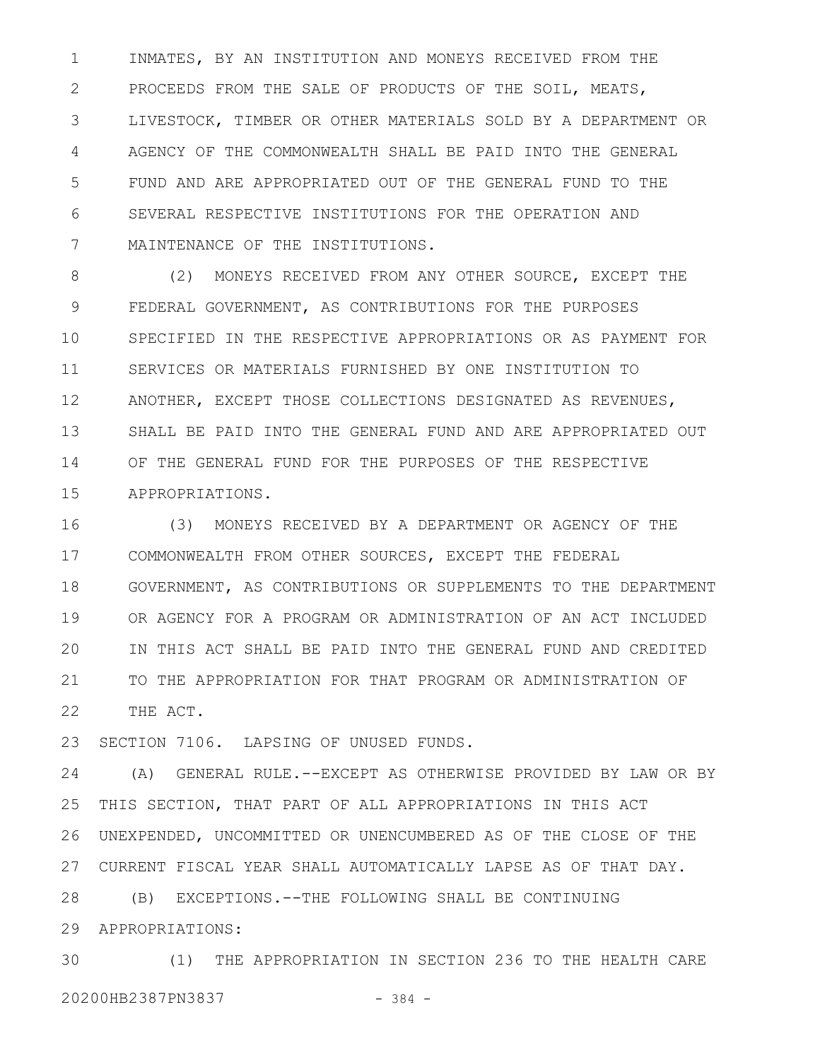INMATES, BY AN INSTITUTION AND MONEYS RECEIVED FROM THE PROCEEDS FROM THE SALE OF PRODUCTS OF THE SOIL, MEATS, LIVESTOCK, TIMBER OR OTHER MATERIALS SOLD BY A DEPARTMENT OR AGENCY OF THE COMMONWEALTH SHALL BE PAID INTO THE GENERAL FUND AND ARE APPROPRIATED OUT OF THE GENERAL FUND TO THE SEVERAL RESPECTIVE INSTITUTIONS FOR THE OPERATION AND MAINTENANCE OF THE INSTITUTIONS. 1 2 3 4 5 6 7

(2) MONEYS RECEIVED FROM ANY OTHER SOURCE, EXCEPT THE FEDERAL GOVERNMENT, AS CONTRIBUTIONS FOR THE PURPOSES SPECIFIED IN THE RESPECTIVE APPROPRIATIONS OR AS PAYMENT FOR SERVICES OR MATERIALS FURNISHED BY ONE INSTITUTION TO ANOTHER, EXCEPT THOSE COLLECTIONS DESIGNATED AS REVENUES, SHALL BE PAID INTO THE GENERAL FUND AND ARE APPROPRIATED OUT OF THE GENERAL FUND FOR THE PURPOSES OF THE RESPECTIVE APPROPRIATIONS. 8 9 10 11 12 13 14 15

(3) MONEYS RECEIVED BY A DEPARTMENT OR AGENCY OF THE COMMONWEALTH FROM OTHER SOURCES, EXCEPT THE FEDERAL GOVERNMENT, AS CONTRIBUTIONS OR SUPPLEMENTS TO THE DEPARTMENT OR AGENCY FOR A PROGRAM OR ADMINISTRATION OF AN ACT INCLUDED IN THIS ACT SHALL BE PAID INTO THE GENERAL FUND AND CREDITED TO THE APPROPRIATION FOR THAT PROGRAM OR ADMINISTRATION OF THE ACT. 16 17 18 19 20 21 22

SECTION 7106. LAPSING OF UNUSED FUNDS. 23

(A) GENERAL RULE.--EXCEPT AS OTHERWISE PROVIDED BY LAW OR BY THIS SECTION, THAT PART OF ALL APPROPRIATIONS IN THIS ACT UNEXPENDED, UNCOMMITTED OR UNENCUMBERED AS OF THE CLOSE OF THE CURRENT FISCAL YEAR SHALL AUTOMATICALLY LAPSE AS OF THAT DAY. 27 24 25 26

(B) EXCEPTIONS.--THE FOLLOWING SHALL BE CONTINUING 28

APPROPRIATIONS: 29

(1) THE APPROPRIATION IN SECTION 236 TO THE HEALTH CARE 20200HB2387PN3837 - 384 - 30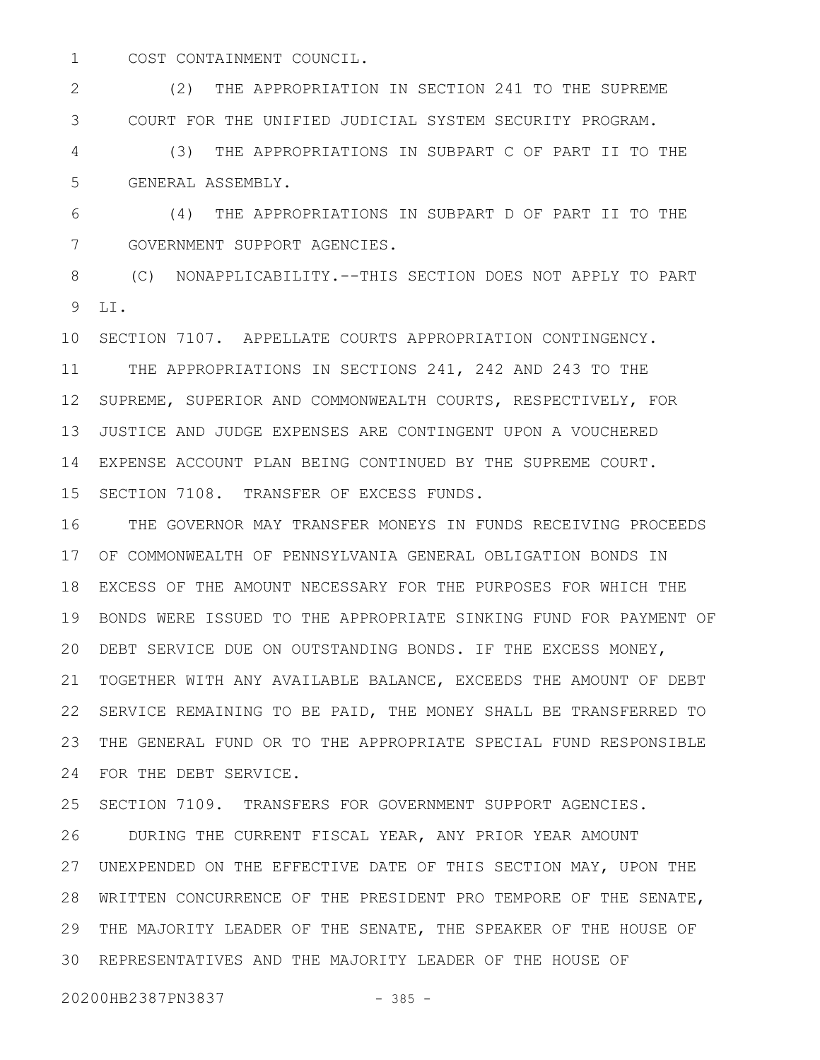COST CONTAINMENT COUNCIL. 1

(2) THE APPROPRIATION IN SECTION 241 TO THE SUPREME COURT FOR THE UNIFIED JUDICIAL SYSTEM SECURITY PROGRAM. 2 3

(3) THE APPROPRIATIONS IN SUBPART C OF PART II TO THE GENERAL ASSEMBLY. 4 5

(4) THE APPROPRIATIONS IN SUBPART D OF PART II TO THE GOVERNMENT SUPPORT AGENCIES. 6 7

(C) NONAPPLICABILITY.--THIS SECTION DOES NOT APPLY TO PART LI. 8 9

10 SECTION 7107. APPELLATE COURTS APPROPRIATION CONTINGENCY. THE APPROPRIATIONS IN SECTIONS 241, 242 AND 243 TO THE 12 SUPREME, SUPERIOR AND COMMONWEALTH COURTS, RESPECTIVELY, FOR JUSTICE AND JUDGE EXPENSES ARE CONTINGENT UPON A VOUCHERED EXPENSE ACCOUNT PLAN BEING CONTINUED BY THE SUPREME COURT. 14 15 SECTION 7108. TRANSFER OF EXCESS FUNDS. 11 13

THE GOVERNOR MAY TRANSFER MONEYS IN FUNDS RECEIVING PROCEEDS OF COMMONWEALTH OF PENNSYLVANIA GENERAL OBLIGATION BONDS IN 17 18 EXCESS OF THE AMOUNT NECESSARY FOR THE PURPOSES FOR WHICH THE BONDS WERE ISSUED TO THE APPROPRIATE SINKING FUND FOR PAYMENT OF 19 DEBT SERVICE DUE ON OUTSTANDING BONDS. IF THE EXCESS MONEY, 20 TOGETHER WITH ANY AVAILABLE BALANCE, EXCEEDS THE AMOUNT OF DEBT 21 22 SERVICE REMAINING TO BE PAID, THE MONEY SHALL BE TRANSFERRED TO THE GENERAL FUND OR TO THE APPROPRIATE SPECIAL FUND RESPONSIBLE 23 FOR THE DEBT SERVICE. 24 16

SECTION 7109. TRANSFERS FOR GOVERNMENT SUPPORT AGENCIES. 25

DURING THE CURRENT FISCAL YEAR, ANY PRIOR YEAR AMOUNT UNEXPENDED ON THE EFFECTIVE DATE OF THIS SECTION MAY, UPON THE 27 WRITTEN CONCURRENCE OF THE PRESIDENT PRO TEMPORE OF THE SENATE, 28 THE MAJORITY LEADER OF THE SENATE, THE SPEAKER OF THE HOUSE OF 29 REPRESENTATIVES AND THE MAJORITY LEADER OF THE HOUSE OF 3026

20200HB2387PN3837 - 385 -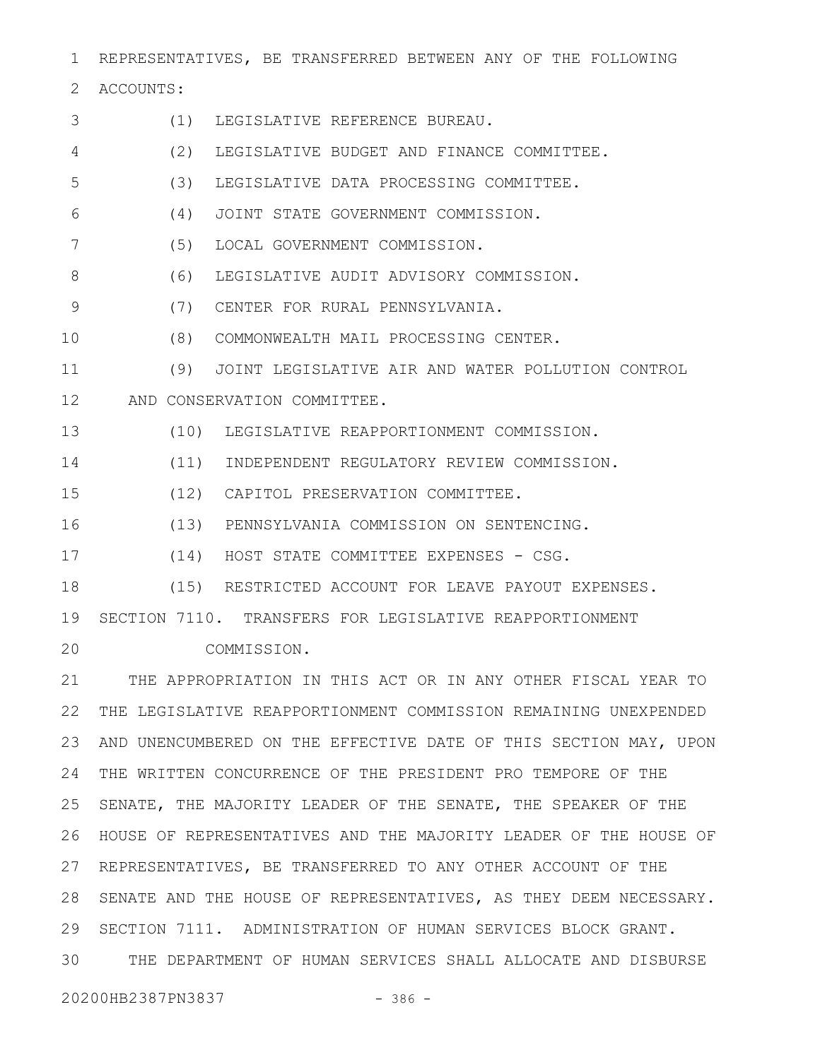REPRESENTATIVES, BE TRANSFERRED BETWEEN ANY OF THE FOLLOWING 1

2 ACCOUNTS:

(1) LEGISLATIVE REFERENCE BUREAU. (2) LEGISLATIVE BUDGET AND FINANCE COMMITTEE. (3) LEGISLATIVE DATA PROCESSING COMMITTEE. (4) JOINT STATE GOVERNMENT COMMISSION. (5) LOCAL GOVERNMENT COMMISSION. (6) LEGISLATIVE AUDIT ADVISORY COMMISSION. (7) CENTER FOR RURAL PENNSYLVANIA. (8) COMMONWEALTH MAIL PROCESSING CENTER. (9) JOINT LEGISLATIVE AIR AND WATER POLLUTION CONTROL AND CONSERVATION COMMITTEE. 12 (10) LEGISLATIVE REAPPORTIONMENT COMMISSION. (11) INDEPENDENT REGULATORY REVIEW COMMISSION. (12) CAPITOL PRESERVATION COMMITTEE. (13) PENNSYLVANIA COMMISSION ON SENTENCING. (14) HOST STATE COMMITTEE EXPENSES - CSG. (15) RESTRICTED ACCOUNT FOR LEAVE PAYOUT EXPENSES. 19 SECTION 7110. TRANSFERS FOR LEGISLATIVE REAPPORTIONMENT COMMISSION. THE APPROPRIATION IN THIS ACT OR IN ANY OTHER FISCAL YEAR TO 21 THE LEGISLATIVE REAPPORTIONMENT COMMISSION REMAINING UNEXPENDED 22 AND UNENCUMBERED ON THE EFFECTIVE DATE OF THIS SECTION MAY, UPON THE WRITTEN CONCURRENCE OF THE PRESIDENT PRO TEMPORE OF THE 24 SENATE, THE MAJORITY LEADER OF THE SENATE, THE SPEAKER OF THE HOUSE OF REPRESENTATIVES AND THE MAJORITY LEADER OF THE HOUSE OF 26 27 REPRESENTATIVES, BE TRANSFERRED TO ANY OTHER ACCOUNT OF THE 28 SENATE AND THE HOUSE OF REPRESENTATIVES, AS THEY DEEM NECESSARY. 29 SECTION 7111. ADMINISTRATION OF HUMAN SERVICES BLOCK GRANT. THE DEPARTMENT OF HUMAN SERVICES SHALL ALLOCATE AND DISBURSE 20200HB2387PN3837 - 386 -3 4 5 6 7 8 9 10 11 13 14 15 16 17 18 20 23 25 30